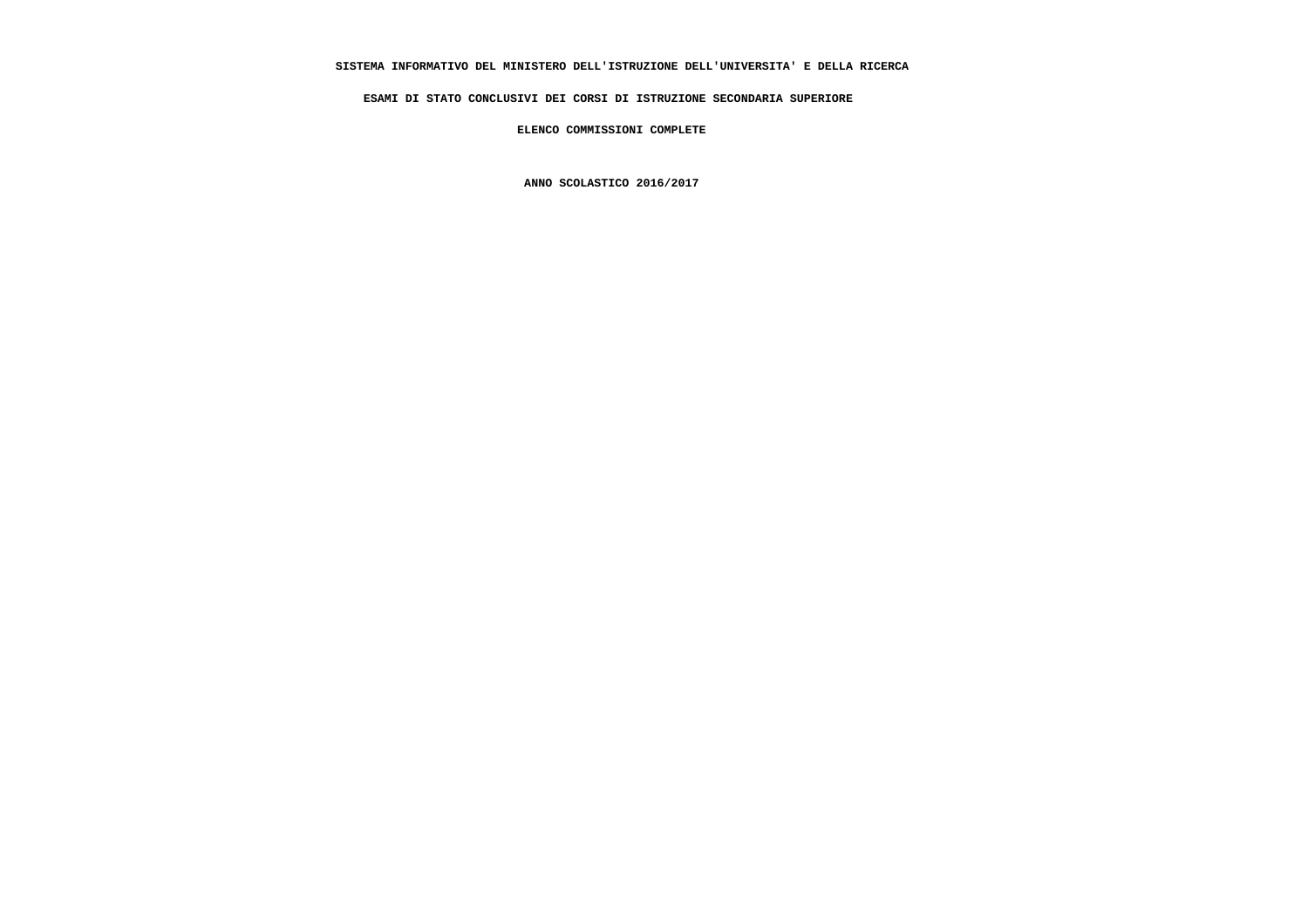# **SISTEMA INFORMATIVO DEL MINISTERO DELL'ISTRUZIONE DELL'UNIVERSITA' E DELLA RICERCA**

 **ESAMI DI STATO CONCLUSIVI DEI CORSI DI ISTRUZIONE SECONDARIA SUPERIORE**

 **ELENCO COMMISSIONI COMPLETE**

 **ANNO SCOLASTICO 2016/2017**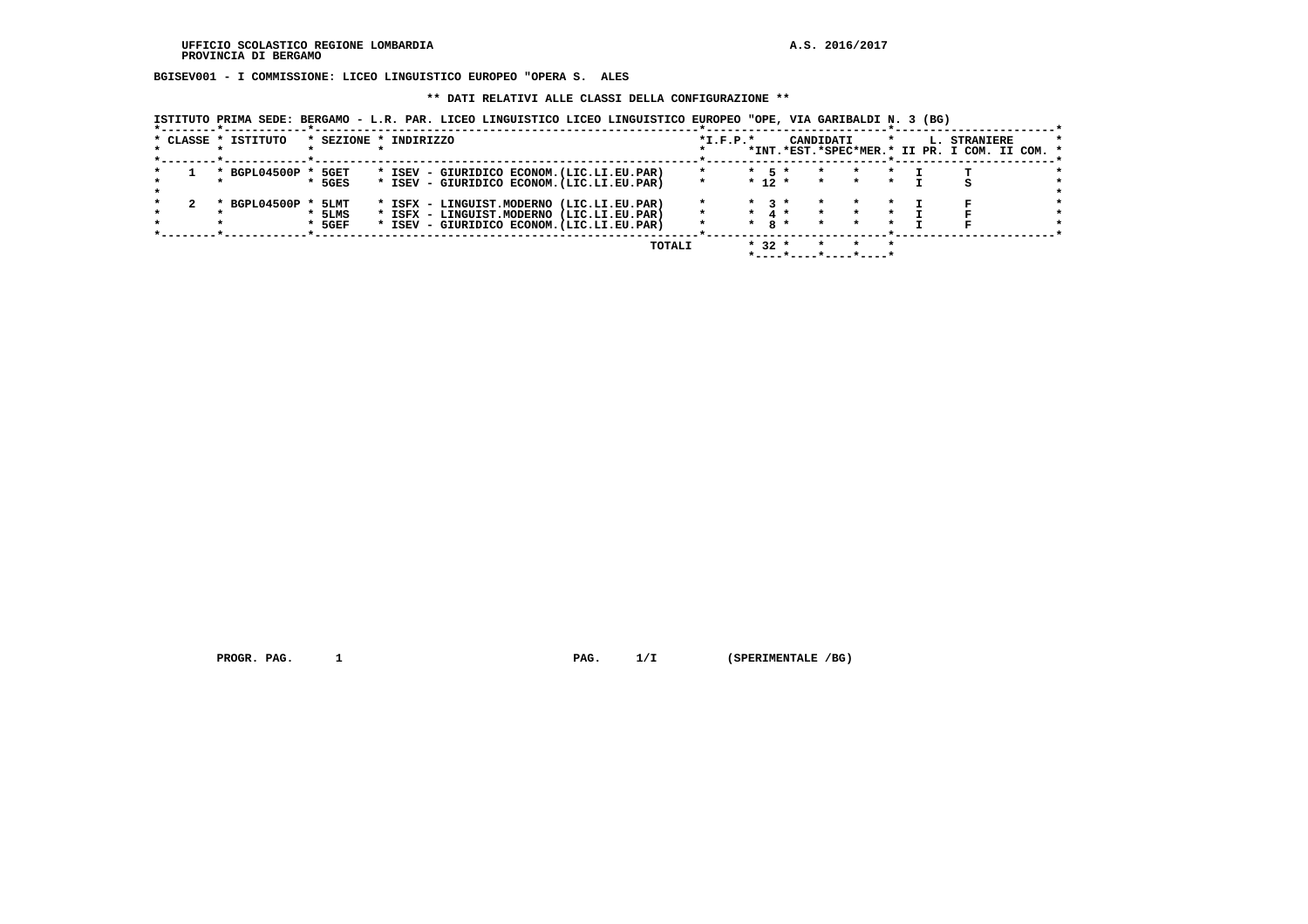**BGISEV001 - I COMMISSIONE: LICEO LINGUISTICO EUROPEO "OPERA S. ALES**

#### **\*\* DATI RELATIVI ALLE CLASSI DELLA CONFIGURAZIONE \*\***

 **ISTITUTO PRIMA SEDE: BERGAMO - L.R. PAR. LICEO LINGUISTICO LICEO LINGUISTICO EUROPEO "OPE, VIA GARIBALDI N. 3 (BG)**

|  | * CLASSE * ISTITUTO |          | * SEZIONE * INDIRIZZO                      |         | $*I.F.P.*$ |         |                   | CANDIDATI |                       |  | L. STRANIERE<br>*INT.*EST.*SPEC*MER.* II PR. I COM. II COM. * |  |
|--|---------------------|----------|--------------------------------------------|---------|------------|---------|-------------------|-----------|-----------------------|--|---------------------------------------------------------------|--|
|  | * BGPL04500P        | 5GET     | * ISEV - GIURIDICO ECONOM. (LIC.LI.EU.PAR) | $\star$ |            |         | $*$ 5 $*$         | $\star$   | $\star$               |  |                                                               |  |
|  |                     | $*$ 5GES | * ISEV - GIURIDICO ECONOM. (LIC.LI.EU.PAR) |         |            |         | $*$ 12 $*$        | $\star$   |                       |  |                                                               |  |
|  |                     |          |                                            |         |            |         |                   |           |                       |  |                                                               |  |
|  | BGPL04500P          | * 5LMT   | * ISFX - LINGUIST.MODERNO (LIC.LI.EU.PAR)  |         |            |         | $*$ 3 $*$         |           |                       |  |                                                               |  |
|  |                     | * 5LMS   | * ISFX - LINGUIST.MODERNO (LIC.LI.EU.PAR)  | $\star$ |            |         | $\star$ 4 $\star$ |           |                       |  |                                                               |  |
|  |                     | $*$ 5GEF | * ISEV - GIURIDICO ECONOM. (LIC.LI.EU.PAR) |         |            | $\star$ | $8*$              |           |                       |  |                                                               |  |
|  |                     |          |                                            |         |            |         |                   |           |                       |  |                                                               |  |
|  |                     |          | TOTALI                                     |         |            |         | $* 32 *$          |           |                       |  |                                                               |  |
|  |                     |          |                                            |         |            |         |                   |           | *----*----*----*----* |  |                                                               |  |

 **PROGR. PAG. 1 PAG. 1/I (SPERIMENTALE /BG)**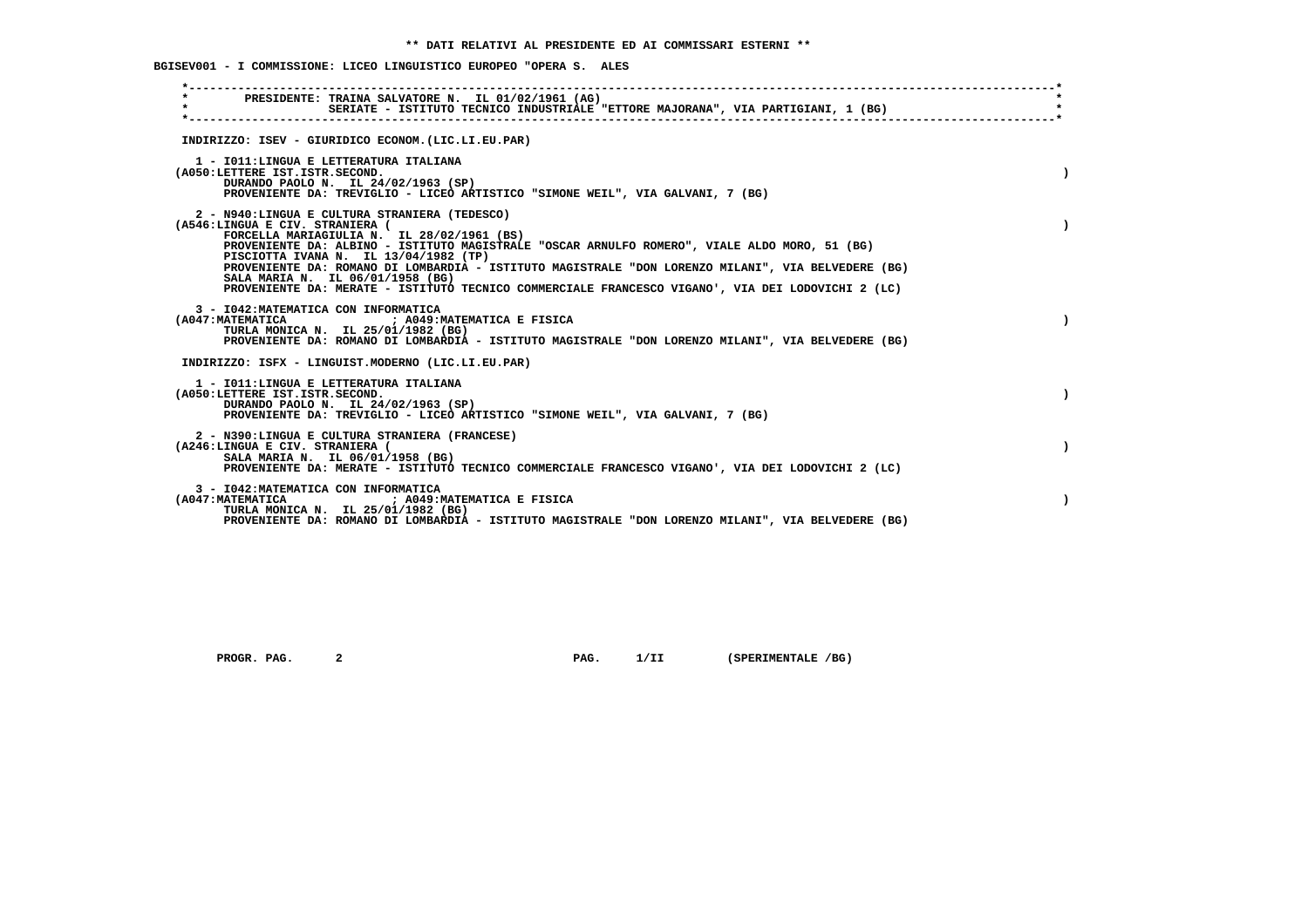**BGISEV001 - I COMMISSIONE: LICEO LINGUISTICO EUROPEO "OPERA S. ALES**

| $\star$ |                                 | PRESIDENTE: TRAINA SALVATORE N. IL 01/02/1961 (AG)<br>SERIATE - ISTITUTO TECNICO INDUSTRIALE "ETTORE MAJORANA", VIA PARTIGIANI, 1 (BG)                                                                                                                                                                                                                                                                                                                                               |           |
|---------|---------------------------------|--------------------------------------------------------------------------------------------------------------------------------------------------------------------------------------------------------------------------------------------------------------------------------------------------------------------------------------------------------------------------------------------------------------------------------------------------------------------------------------|-----------|
|         |                                 | INDIRIZZO: ISEV - GIURIDICO ECONOM. (LIC.LI.EU.PAR)                                                                                                                                                                                                                                                                                                                                                                                                                                  |           |
|         | (A050:LETTERE IST.ISTR.SECOND.  | 1 - IO11:LINGUA E LETTERATURA ITALIANA<br>DURANDO PAOLO N. IL 24/02/1963 (SP)<br>PROVENIENTE DA: TREVIGLIO - LICEO ARTISTICO "SIMONE WEIL", VIA GALVANI, 7 (BG)                                                                                                                                                                                                                                                                                                                      |           |
|         | (A546:LINGUA E CIV. STRANIERA ( | 2 - N940:LINGUA E CULTURA STRANIERA (TEDESCO)<br>FORCELLA MARIAGIULIA N. IL 28/02/1961 (BS)<br>PROVENIENTE DA: ALBINO - ISTITUTO MAGISTRALE "OSCAR ARNULFO ROMERO", VIALE ALDO MORO, 51 (BG)<br>PISCIOTTA IVANA N. IL 13/04/1982 (TP)<br>PROVENIENTE DA: ROMANO DI LOMBARDIA - ISTITUTO MAGISTRALE "DON LORENZO MILANI", VIA BELVEDERE (BG)<br>SALA MARIA N. IL 06/01/1958 (BG)<br>PROVENIENTE DA: MERATE - ISTITUTO TECNICO COMMERCIALE FRANCESCO VIGANO', VIA DEI LODOVICHI 2 (LC) |           |
|         |                                 | 3 - I042: MATEMATICA CON INFORMATICA<br>(A047:MATEMATICA ) ; A049:MATEMATICA E FISICA<br>TURLA MONICA N. IL 25/01/1982 (BG)<br>PROVENIENTE DA: ROMANO DI LOMBARDIA - ISTITUTO MAGISTRALE "DON LORENZO MILANI", VIA BELVEDERE (BG)                                                                                                                                                                                                                                                    |           |
|         |                                 | INDIRIZZO: ISFX - LINGUIST.MODERNO (LIC.LI.EU.PAR)                                                                                                                                                                                                                                                                                                                                                                                                                                   |           |
|         | (A050:LETTERE IST.ISTR.SECOND.  | 1 - IO11: LINGUA E LETTERATURA ITALIANA<br>DURANDO PAOLO N. IL 24/02/1963 (SP)<br>PROVENIENTE DA: TREVIGLIO - LICEO ARTISTICO "SIMONE WEIL", VIA GALVANI, 7 (BG)                                                                                                                                                                                                                                                                                                                     |           |
|         | (A246:LINGUA E CIV. STRANIERA ( | 2 - N390:LINGUA E CULTURA STRANIERA (FRANCESE)<br>SALA MARIA N. IL 06/01/1958 (BG)<br>PROVENIENTE DA: MERATE - ISTITUTO TECNICO COMMERCIALE FRANCESCO VIGANO', VIA DEI LODOVICHI 2 (LC)                                                                                                                                                                                                                                                                                              |           |
|         |                                 | 3 - I042: MATEMATICA CON INFORMATICA<br>(A047: MATEMATICA ) A049: MATEMATICA E FISICA<br>TURLA MONICA N. IL 25/01/1982 (BG)<br>PROVENIENTE DA: ROMANO DI LOMBARDIA - ISTITUTO MAGISTRALE "DON LORENZO MILANI", VIA BELVEDERE (BG)                                                                                                                                                                                                                                                    | $\lambda$ |

 **PROGR. PAG.** 2 **PAG.** 1/II (SPERIMENTALE /BG)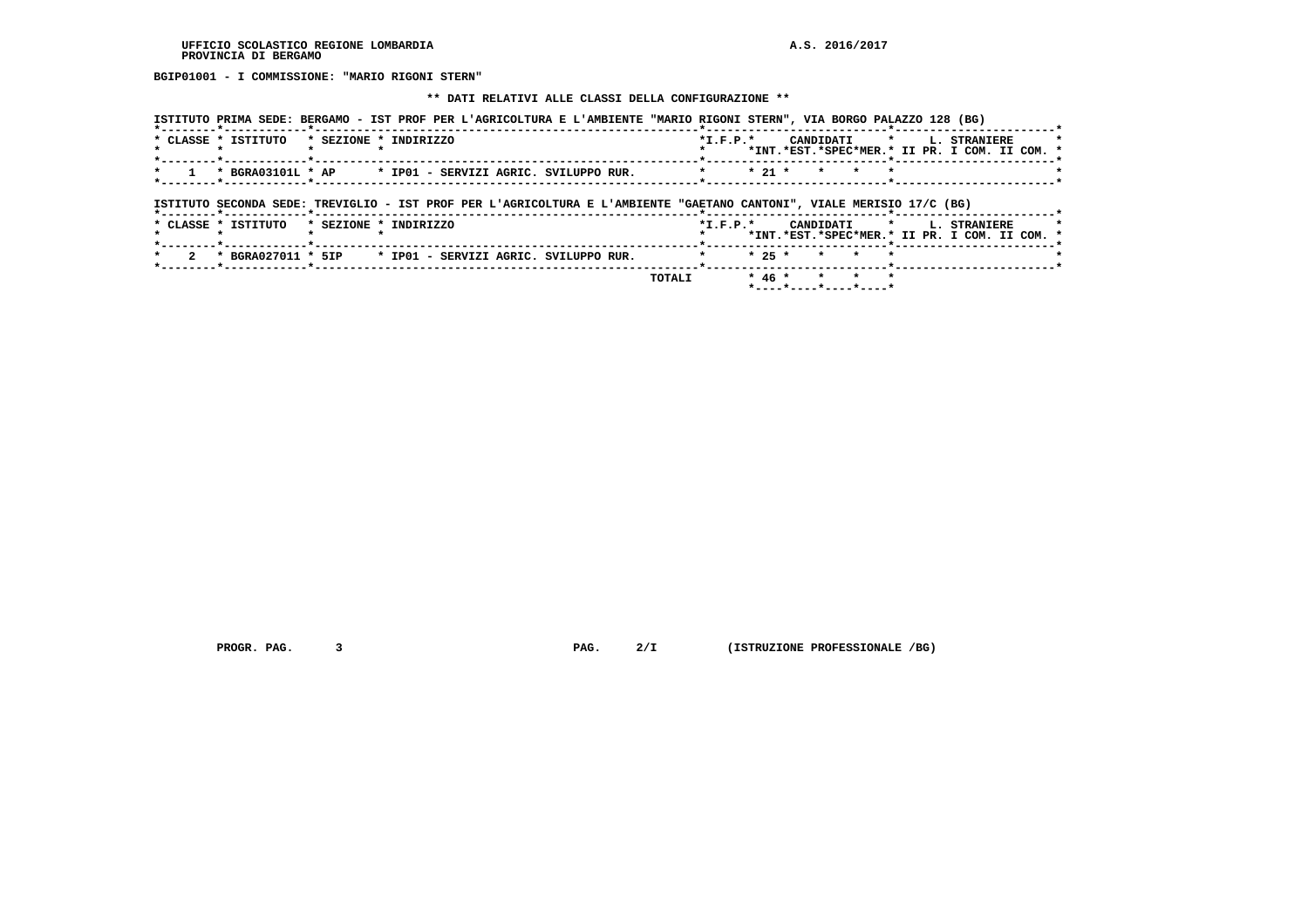**BGIP01001 - I COMMISSIONE: "MARIO RIGONI STERN"**

 **\*\* DATI RELATIVI ALLE CLASSI DELLA CONFIGURAZIONE \*\***

| ISTITUTO PRIMA SEDE: BERGAMO - IST PROF PER L'AGRICOLTURA E L'AMBIENTE "MARIO RIGONI STERN", VIA BORGO PALAZZO 128 (BG) |                                               |
|-------------------------------------------------------------------------------------------------------------------------|-----------------------------------------------|
| * CLASSE * ISTITUTO * SEZIONE * INDIRIZZO                                                                               | $*T.F.P.*$<br>CANDIDATI * L. STRANIERE        |
|                                                                                                                         | *INT.*EST.*SPEC*MER.* II PR. I COM. II COM. * |
| * BGRA03101L * AP * IP01 - SERVIZI AGRIC. SVILUPPO RUR.<br>$\sim$ 1 $\sim$                                              | $\star$ 21 $\star$ $\star$ $\star$ $\star$    |
| ISTITUTO SECONDA SEDE: TREVIGLIO - IST PROF PER L'AGRICOLTURA E L'AMBIENTE "GAETANO CANTONI", VIALE MERISIO 17/C (BG)   |                                               |
| *--------*------------*--------                                                                                         |                                               |

|  | * CLASSE * ISTITUTO                                                                  | * SEZIONE * INDIRIZZO |  |  |  |                | $*T$ , $F$ , $P$ , $*$ |  |  |              |  | CANDIDATI * I. STRANIERE<br>*INT.*EST.*SPEC*MER.* II PR. I COM. II COM. * |  | $\star$ |
|--|--------------------------------------------------------------------------------------|-----------------------|--|--|--|----------------|------------------------|--|--|--------------|--|---------------------------------------------------------------------------|--|---------|
|  | $\star$ 2 $\star$ BGRA027011 $\star$ 5IP $\star$ IP01 - SERVIZI AGRIC. SVILUPPO RUR. |                       |  |  |  | * * 25 * * * * |                        |  |  |              |  |                                                                           |  |         |
|  |                                                                                      |                       |  |  |  | TOTAL T        |                        |  |  | * 46 * * * * |  |                                                                           |  |         |

 **PROGR. PAG.** 3 **PAG. PAG.** 2/I (ISTRUZIONE PROFESSIONALE /BG)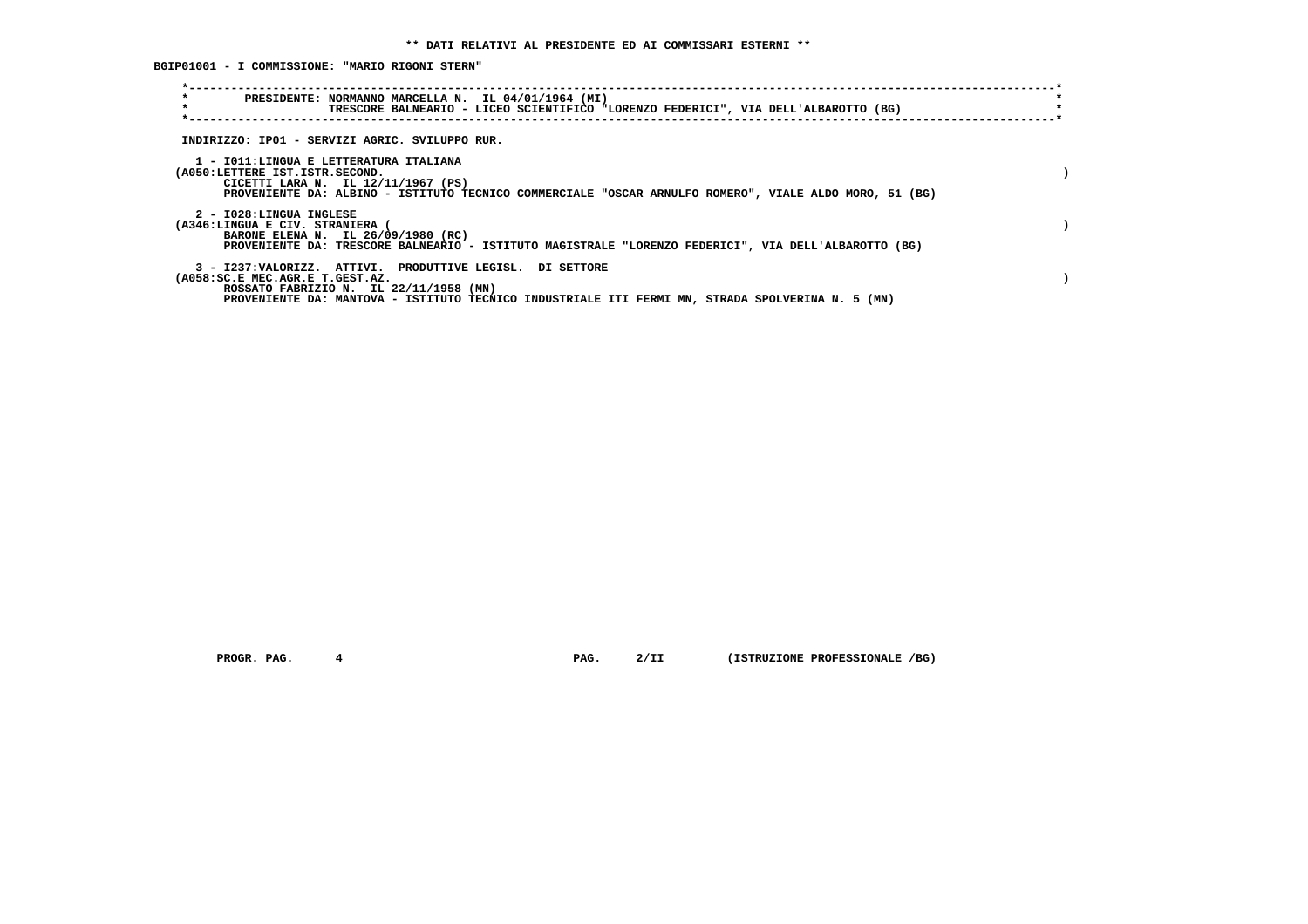**BGIP01001 - I COMMISSIONE: "MARIO RIGONI STERN"**

| $\star$<br>PRESIDENTE: NORMANNO MARCELLA N. IL 04/01/1964 (MI)<br>$\star$<br>TRESCORE BALNEARIO - LICEO SCIENTIFICO "LORENZO FEDERICI", VIA DELL'ALBAROTTO (BG)                                                                           |  |
|-------------------------------------------------------------------------------------------------------------------------------------------------------------------------------------------------------------------------------------------|--|
| INDIRIZZO: IP01 - SERVIZI AGRIC. SVILUPPO RUR.                                                                                                                                                                                            |  |
| 1 - IO11:LINGUA E LETTERATURA ITALIANA<br>(A050:LETTERE IST.ISTR.SECOND.<br>CICETTI LARA N. IL 12/11/1967 (PS)<br>PROVENIENTE DA: ALBINO - ISTITUTO TECNICO COMMERCIALE "OSCAR ARNULFO ROMERO", VIALE ALDO MORO, 51 (BG)                  |  |
| 2 - I028:LINGUA INGLESE<br>(A346:LINGUA E CIV. STRANIERA (<br>BARONE ELENA N. IL 26/09/1980 (RC)<br>PROVENIENTE DA: TRESCORE BALNEARIO - ISTITUTO MAGISTRALE "LORENZO FEDERICI", VIA DELL'ALBAROTTO (BG)                                  |  |
| 3 - I237:VALORIZZ. ATTIVI. PRODUTTIVE LEGISL. DI SETTORE<br>(A058:SC.E MEC.AGR.E T.GEST.AZ.<br>ROSSATO FABRIZIO N. IL 22/11/1958 (MN)<br>PROVENIENTE DA: MANTOVA - ISTITUTO TECNICO INDUSTRIALE ITI FERMI MN, STRADA SPOLVERINA N. 5 (MN) |  |

 **PROGR. PAG.** 4 **PAG.** 2/II (ISTRUZIONE PROFESSIONALE /BG)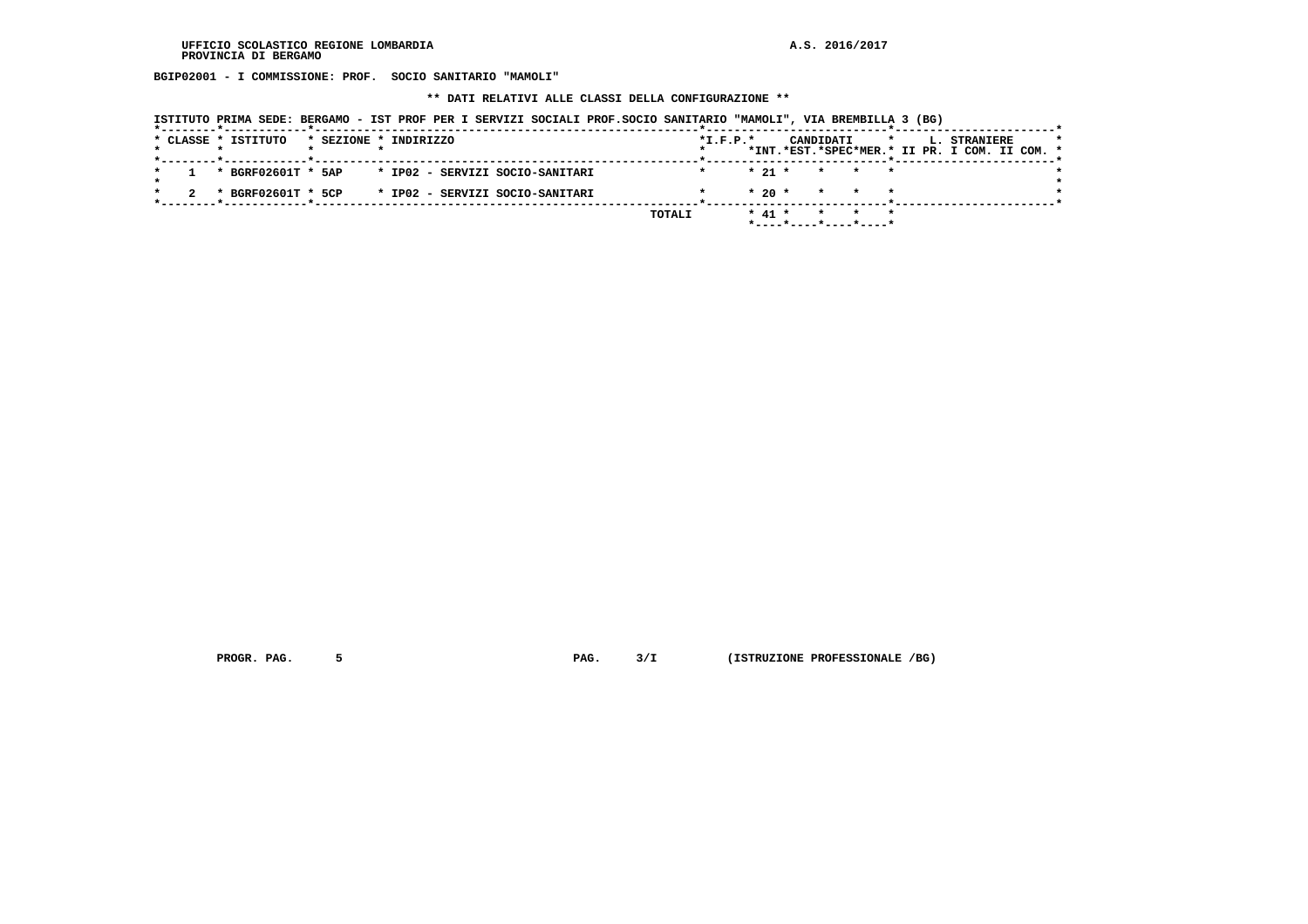**BGIP02001 - I COMMISSIONE: PROF. SOCIO SANITARIO "MAMOLI"**

 **\*\* DATI RELATIVI ALLE CLASSI DELLA CONFIGURAZIONE \*\***

| ISTITUTO PRIMA SEDE: BERGAMO - IST PROF PER I SERVIZI SOCIALI PROF.SOCIO SANITARIO "MAMOLI", VIA BREMBILLA 3 (BG) |
|-------------------------------------------------------------------------------------------------------------------|
|-------------------------------------------------------------------------------------------------------------------|

|  | * CLASSE * ISTITUTO |  | * SEZIONE * INDIRIZZO                              |  |        | $*I.F.P.*$ |          | CANDIDATI | $\mathbf{r}$         |  | <b>L. STRANIERE</b><br>*INT.*EST.*SPEC*MER.* II PR. I COM. II COM. * | $\star$ |
|--|---------------------|--|----------------------------------------------------|--|--------|------------|----------|-----------|----------------------|--|----------------------------------------------------------------------|---------|
|  |                     |  |                                                    |  |        |            |          |           |                      |  |                                                                      |         |
|  |                     |  | * BGRF02601T * 5AP * IP02 - SERVIZI SOCIO-SANITARI |  |        |            |          |           | $* 21 * * * * * * *$ |  |                                                                      |         |
|  |                     |  |                                                    |  |        |            |          |           |                      |  |                                                                      |         |
|  | * BGRF02601T * 5CP  |  | * IP02 - SERVIZI SOCIO-SANITARI                    |  |        |            |          |           | $* 20 * * * * * * *$ |  |                                                                      |         |
|  |                     |  |                                                    |  |        |            |          |           |                      |  |                                                                      |         |
|  |                     |  |                                                    |  | TOTALI |            | $* 41 *$ |           |                      |  |                                                                      |         |
|  |                     |  |                                                    |  |        |            |          |           |                      |  |                                                                      |         |
|  |                     |  |                                                    |  |        |            |          |           |                      |  |                                                                      |         |

 **PROGR. PAG.** 5 **PAG.** 3/I (ISTRUZIONE PROFESSIONALE /BG)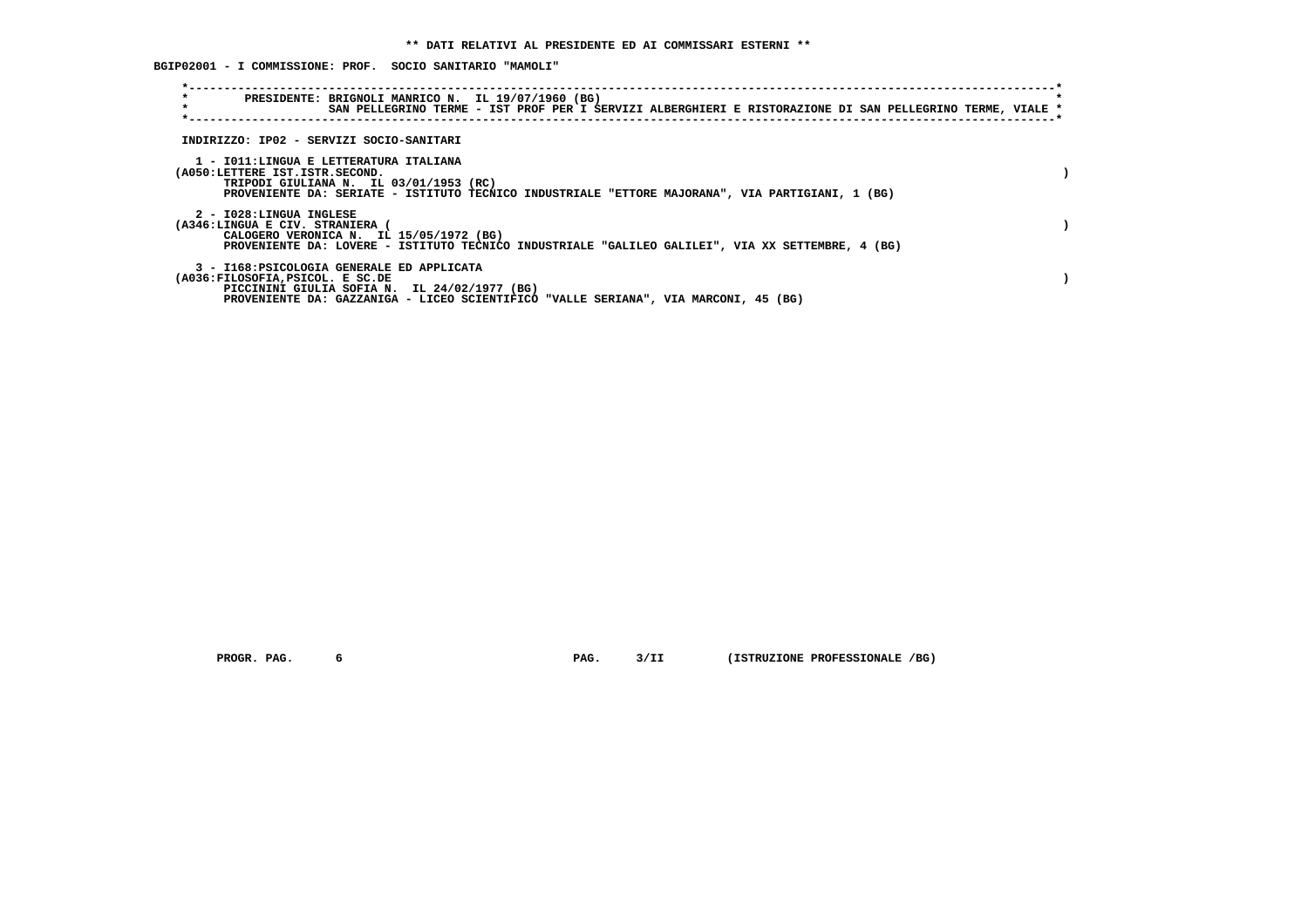**BGIP02001 - I COMMISSIONE: PROF. SOCIO SANITARIO "MAMOLI"**

| $\star$<br>$\star$ |                                                          | PRESIDENTE: BRIGNOLI MANRICO N. IL 19/07/1960 (BG)                                                                                                                                   |  |  | SAN PELLEGRINO TERME - IST PROF PER I SERVIZI ALBERGHIERI E RISTORAZIONE DI SAN PELLEGRINO TERME, VIALE * |  |  |
|--------------------|----------------------------------------------------------|--------------------------------------------------------------------------------------------------------------------------------------------------------------------------------------|--|--|-----------------------------------------------------------------------------------------------------------|--|--|
|                    |                                                          | INDIRIZZO: IP02 - SERVIZI SOCIO-SANITARI                                                                                                                                             |  |  |                                                                                                           |  |  |
|                    | (A050:LETTERE IST.ISTR.SECOND.                           | 1 - IO11:LINGUA E LETTERATURA ITALIANA<br>TRIPODI GIULIANA N. IL 03/01/1953 (RC)<br>PROVENIENTE DA: SERIATE - ISTITUTO TECNICO INDUSTRIALE "ETTORE MAJORANA", VIA PARTIGIANI, 1 (BG) |  |  |                                                                                                           |  |  |
|                    | 2 - I028:LINGUA INGLESE<br>(A346:LINGUA E CIV. STRANIERA | CALOGERO VERONICA N. IL 15/05/1972 (BG)<br>PROVENIENTE DA: LOVERE - ISTITUTO TECNICO INDUSTRIALE "GALILEO GALILEI", VIA XX SETTEMBRE, 4 (BG)                                         |  |  |                                                                                                           |  |  |
|                    | (A036:FILOSOFIA, PSICOL. E SC.DE                         | 3 - I168: PSICOLOGIA GENERALE ED APPLICATA<br>PICCININI GIULIA SOFIA N. IL 24/02/1977 (BG)<br>PROVENIENTE DA: GAZZANIGA - LICEO SCIENTIFICO "VALLE SERIANA", VIA MARCONI, 45 (BG)    |  |  |                                                                                                           |  |  |

 **PROGR. PAG.** 6 6 **PAG.** 9/II (ISTRUZIONE PROFESSIONALE /BG)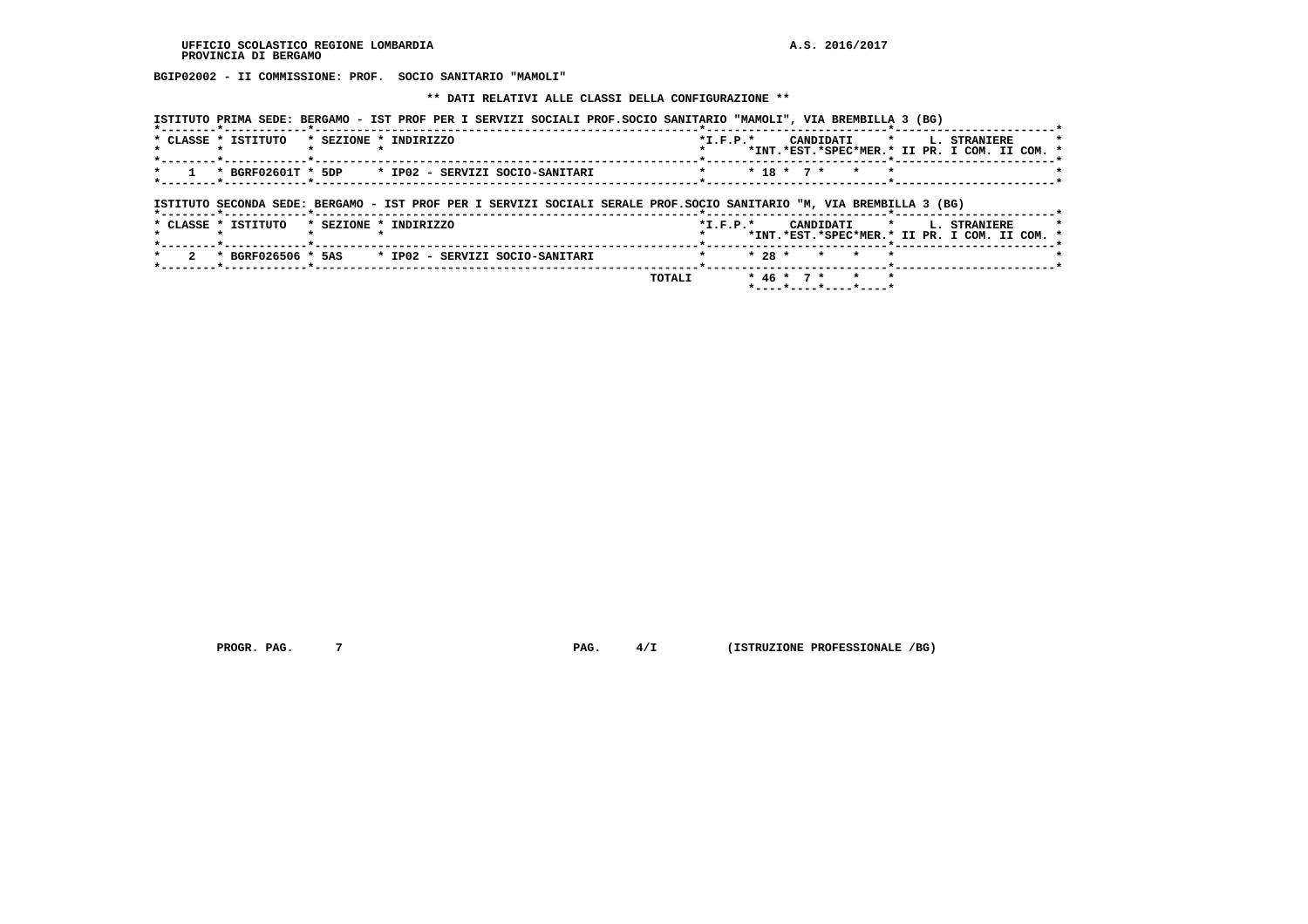**BGIP02002 - II COMMISSIONE: PROF. SOCIO SANITARIO "MAMOLI"**

 **\*\* DATI RELATIVI ALLE CLASSI DELLA CONFIGURAZIONE \*\***

|                                                                   | ISTITUTO PRIMA SEDE: BERGAMO - IST PROF PER I SERVIZI SOCIALI PROF.SOCIO SANITARIO "MAMOLI", VIA BREMBILLA 3 (BG) |                                               |
|-------------------------------------------------------------------|-------------------------------------------------------------------------------------------------------------------|-----------------------------------------------|
| $\star$ CLASSE $\star$ TSTITUTO $\star$ SEZIONE $\star$ INDIRIZZO |                                                                                                                   | *I.F.P.* CANDIDATI * L. STRANIERE             |
|                                                                   |                                                                                                                   | *INT.*EST.*SPEC*MER.* II PR. I COM. II COM. * |
|                                                                   | $\star$ 1 $\star$ BGRF02601T $\star$ 5DP $\star$ IP02 - SERVIZI SOCIO-SANITARI                                    | $* 18 * 7 * * * * *$                          |
|                                                                   |                                                                                                                   |                                               |

 **ISTITUTO SECONDA SEDE: BERGAMO - IST PROF PER I SERVIZI SOCIALI SERALE PROF.SOCIO SANITARIO "M, VIA BREMBILLA 3 (BG)**

| * SEZIONE * INDIRIZZO                                | $*T$ , $F$ , $P$ , $*$<br>CANDIDATI * L. STRANIERE<br>*INT.*EST.*SPEC*MER.* II PR. I COM. II COM. * |
|------------------------------------------------------|-----------------------------------------------------------------------------------------------------|
|                                                      |                                                                                                     |
| 2 * BGRF026506 * 5AS * IP02 - SERVIZI SOCIO-SANITARI | $\star$ 28 $\star$ $\star$ $\star$ $\star$                                                          |
| <b>TOTALI</b>                                        | * 46 * 7 * * *<br>$*$ - - - - $*$ - - - - $*$ - - - - $*$ - - - - $*$                               |
|                                                      |                                                                                                     |

 **PROGR. PAG.** 7 **PROGR. 4/I** (ISTRUZIONE PROFESSIONALE /BG)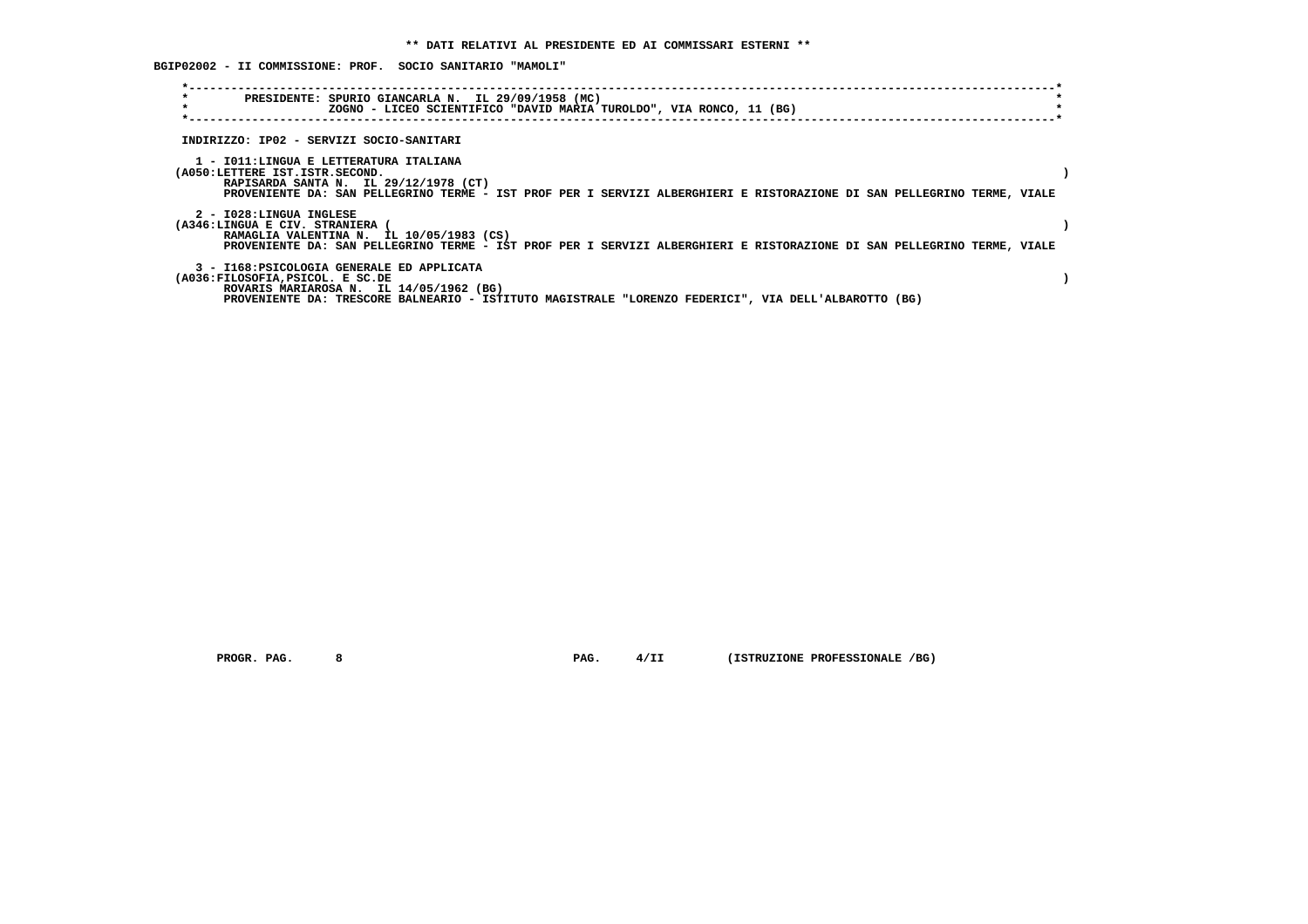**BGIP02002 - II COMMISSIONE: PROF. SOCIO SANITARIO "MAMOLI"**

| $\star$<br>$\star$ | PRESIDENTE: SPURIO GIANCARLA N. IL 29/09/1958 (MC)                                                                                                                                                                                           | ZOGNO - LICEO SCIENTIFICO "DAVID MARIA TUROLDO", VIA RONCO, 11 (BG) |  |  |  |  |  |  |  |  |  |
|--------------------|----------------------------------------------------------------------------------------------------------------------------------------------------------------------------------------------------------------------------------------------|---------------------------------------------------------------------|--|--|--|--|--|--|--|--|--|
|                    | INDIRIZZO: IP02 - SERVIZI SOCIO-SANITARI                                                                                                                                                                                                     |                                                                     |  |  |  |  |  |  |  |  |  |
|                    | 1 - IO11:LINGUA E LETTERATURA ITALIANA<br>(A050:LETTERE IST.ISTR.SECOND.<br>RAPISARDA SANTA N. IL 29/12/1978 (CT)<br>PROVENIENTE DA: SAN PELLEGRINO TERME - IST PROF PER I SERVIZI ALBERGHIERI E RISTORAZIONE DI SAN PELLEGRINO TERME, VIALE |                                                                     |  |  |  |  |  |  |  |  |  |
|                    | 2 - I028:LINGUA INGLESE<br>(A346:LINGUA E CIV. STRANIERA (<br>RAMAGLIA VALENTINA N. IL 10/05/1983 (CS)<br>PROVENIENTE DA: SAN PELLEGRINO TERME - IST PROF PER I SERVIZI ALBERGHIERI E RISTORAZIONE DI SAN PELLEGRINO TERME, VIALE            |                                                                     |  |  |  |  |  |  |  |  |  |
|                    | 3 - I168: PSICOLOGIA GENERALE ED APPLICATA<br>(A036:FILOSOFIA, PSICOL. E SC.DE<br>ROVARIS MARIAROSA N. IL 14/05/1962 (BG)<br>PROVENIENTE DA: TRESCORE BALNEARIO - ISTITUTO MAGISTRALE "LORENZO FEDERICI", VIA DELL'ALBAROTTO (BG)            |                                                                     |  |  |  |  |  |  |  |  |  |

 **PROGR. PAG. 8 PAG. 4/II (ISTRUZIONE PROFESSIONALE /BG)**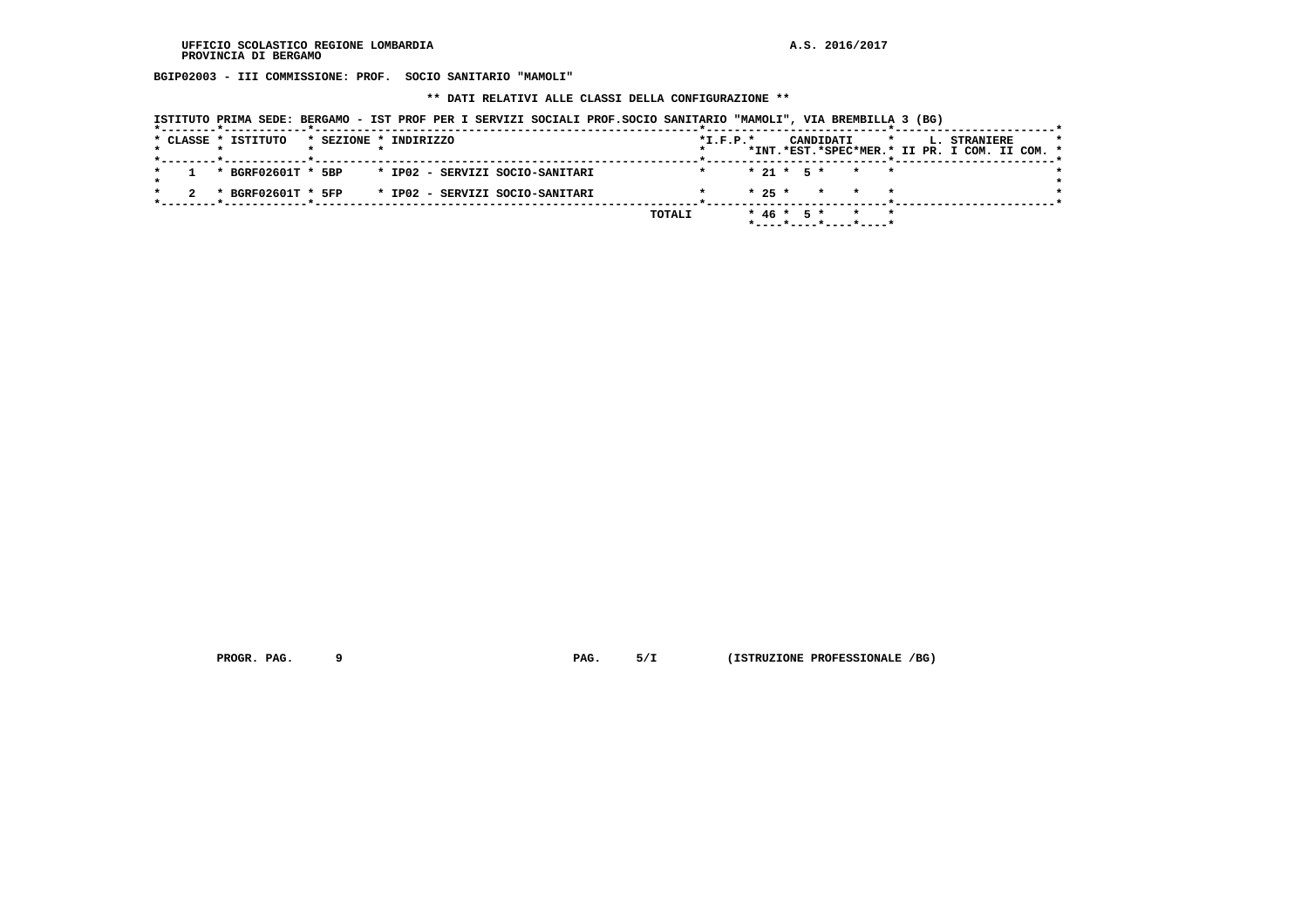**BGIP02003 - III COMMISSIONE: PROF. SOCIO SANITARIO "MAMOLI"**

 **\*\* DATI RELATIVI ALLE CLASSI DELLA CONFIGURAZIONE \*\***

| ISTITUTO PRIMA SEDE: BERGAMO - IST PROF PER I SERVIZI SOCIALI PROF.SOCIO SANITARIO "MAMOLI", VIA BREMBILLA 3 (BG) |  |  |
|-------------------------------------------------------------------------------------------------------------------|--|--|
|-------------------------------------------------------------------------------------------------------------------|--|--|

| * CLASSE * ISTITUTO |  | * SEZIONE * INDIRIZZO                              |  |  |  |  |        | $*L.F.P.*$ |  |  | CANDIDATI |                                                                             | $\mathbf{r}$ and $\mathbf{r}$ |  | <b>L. STRANIERE</b> | *INT.*EST.*SPEC*MER.* II PR. I COM. II COM. * | $\star$ |
|---------------------|--|----------------------------------------------------|--|--|--|--|--------|------------|--|--|-----------|-----------------------------------------------------------------------------|-------------------------------|--|---------------------|-----------------------------------------------|---------|
|                     |  | * BGRF02601T * 5BP * IP02 - SERVIZI SOCIO-SANITARI |  |  |  |  |        |            |  |  |           | $* 21 * 5 * * * * *$                                                        |                               |  |                     |                                               |         |
|                     |  | * BGRF02601T * 5FP * IP02 - SERVIZI SOCIO-SANITARI |  |  |  |  |        |            |  |  |           | $* 25 * * * * * * *$                                                        |                               |  |                     |                                               |         |
|                     |  |                                                    |  |  |  |  | TOTALI |            |  |  |           | $* 46 * 5 * * * * *$<br>$*$ - - - - $*$ - - - - $*$ - - - - $*$ - - - - $*$ |                               |  |                     |                                               |         |

 **PROGR. PAG.** 9 **PAG.** 5/I (ISTRUZIONE PROFESSIONALE /BG)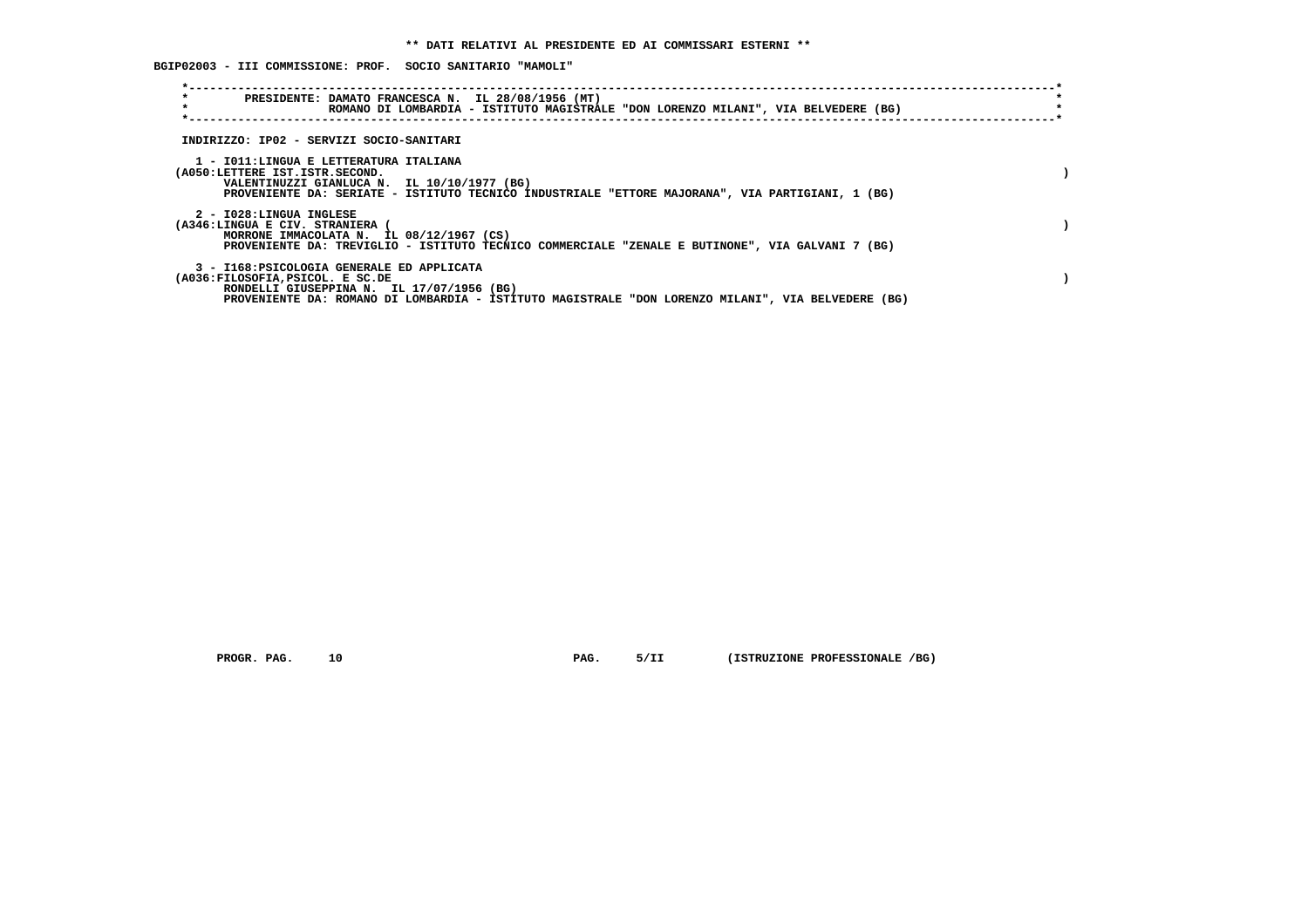**BGIP02003 - III COMMISSIONE: PROF. SOCIO SANITARIO "MAMOLI"**

| $\star$<br>PRESIDENTE: DAMATO FRANCESCA N. IL 28/08/1956 (MT)<br>$\star$                                                    | ROMANO DI LOMBARDIA - ISTITUTO MAGISTRALE "DON LORENZO MILANI", VIA BELVEDERE (BG)                 |
|-----------------------------------------------------------------------------------------------------------------------------|----------------------------------------------------------------------------------------------------|
| INDIRIZZO: IP02 - SERVIZI SOCIO-SANITARI                                                                                    |                                                                                                    |
| 1 - IO11:LINGUA E LETTERATURA ITALIANA<br>(A050:LETTERE IST.ISTR.SECOND.<br>VALENTINUZZI GIANLUCA N. IL 10/10/1977 (BG)     | PROVENIENTE DA: SERIATE - ISTITUTO TECNICO INDUSTRIALE "ETTORE MAJORANA", VIA PARTIGIANI, 1 (BG)   |
| 2 - I028:LINGUA INGLESE<br>(A346:LINGUA E CIV. STRANIERA (<br>MORRONE IMMACOLATA N. IL 08/12/1967 (CS)                      | PROVENIENTE DA: TREVIGLIO - ISTITUTO TECNICO COMMERCIALE "ZENALE E BUTINONE", VIA GALVANI 7 (BG)   |
| 3 - I168: PSICOLOGIA GENERALE ED APPLICATA<br>(A036:FILOSOFIA, PSICOL. E SC.DE<br>RONDELLI GIUSEPPINA N. IL 17/07/1956 (BG) | PROVENIENTE DA: ROMANO DI LOMBARDIA - ISTITUTO MAGISTRALE "DON LORENZO MILANI", VIA BELVEDERE (BG) |

 **PROGR. PAG. 10 PAG. 5/II (ISTRUZIONE PROFESSIONALE /BG)**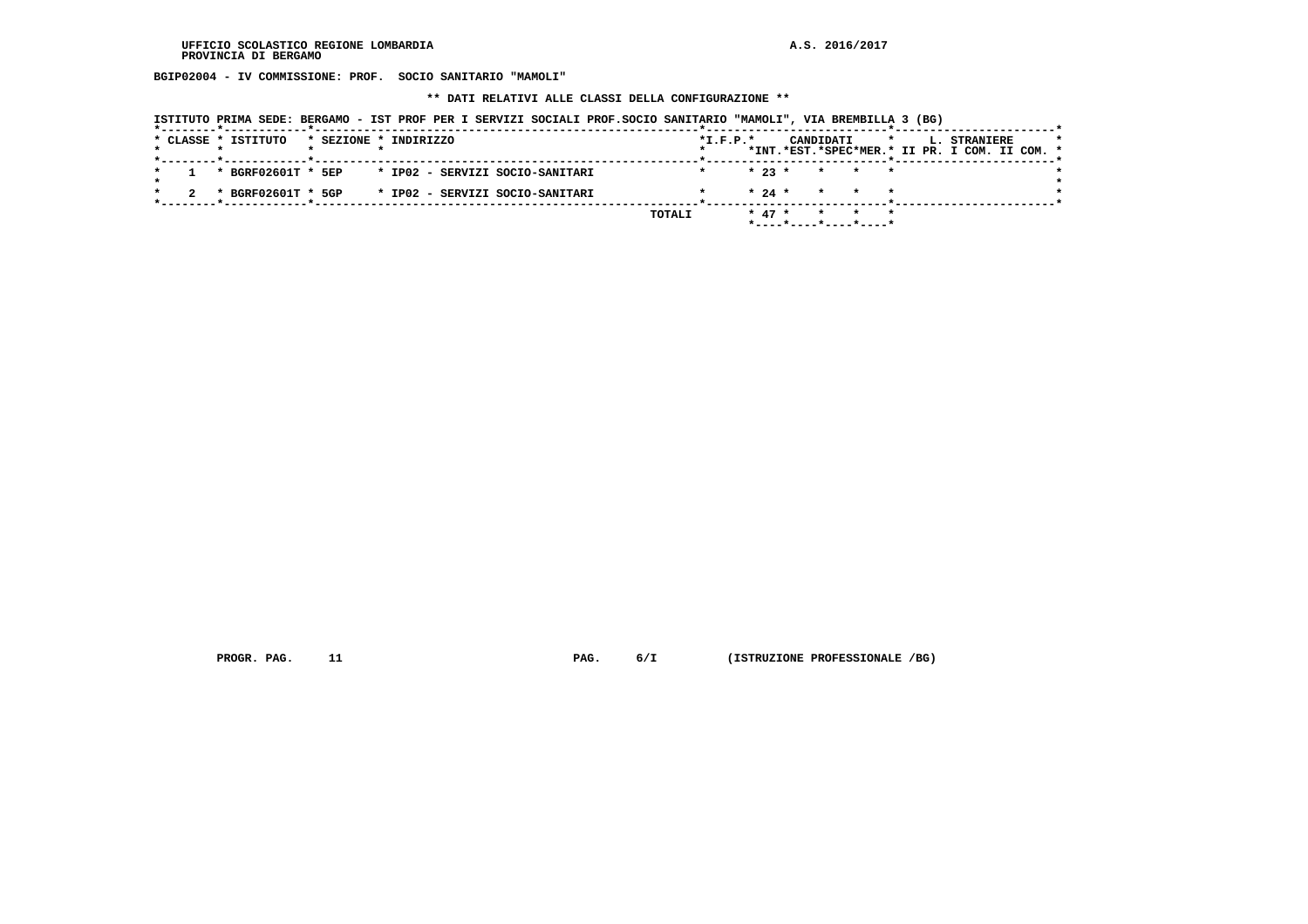**BGIP02004 - IV COMMISSIONE: PROF. SOCIO SANITARIO "MAMOLI"**

 **\*\* DATI RELATIVI ALLE CLASSI DELLA CONFIGURAZIONE \*\***

| ISTITUTO PRIMA SEDE: BERGAMO - IST PROF PER I SERVIZI SOCIALI PROF.SOCIO SANITARIO "MAMOLI", VIA BREMBILLA 3 (BG) |  |  |
|-------------------------------------------------------------------------------------------------------------------|--|--|
|-------------------------------------------------------------------------------------------------------------------|--|--|

|  | * CLASSE * ISTITUTO               |  | * SEZIONE * INDIRIZZO                              |  |               | $*I.F.P.*$ |          |  | CANDIDATI |                                                     | $\star$ | <b>L. STRANIERE</b>                           |  | $\star$ |
|--|-----------------------------------|--|----------------------------------------------------|--|---------------|------------|----------|--|-----------|-----------------------------------------------------|---------|-----------------------------------------------|--|---------|
|  | _____*_____________*_____________ |  |                                                    |  |               |            |          |  |           |                                                     |         | *INT.*EST.*SPEC*MER.* II PR. I COM. II COM. * |  |         |
|  |                                   |  | * BGRF02601T * 5EP * IP02 - SERVIZI SOCIO-SANITARI |  |               |            |          |  |           | $\star$ 23 $\star$ $\star$ $\star$ $\star$          |         |                                               |  |         |
|  |                                   |  |                                                    |  |               |            |          |  |           | $\star$ 24 $\star$ $\star$ $\star$ $\star$          |         |                                               |  |         |
|  |                                   |  | * BGRF02601T * 5GP * IP02 - SERVIZI SOCIO-SANITARI |  |               |            |          |  |           |                                                     |         |                                               |  |         |
|  |                                   |  |                                                    |  | <b>TOTALI</b> |            | $* 47 *$ |  |           | $\star$ $\star$ $\star$                             |         |                                               |  |         |
|  |                                   |  |                                                    |  |               |            |          |  |           | $*$ - - - - $*$ - - - - $*$ - - - - $*$ - - - - $*$ |         |                                               |  |         |

 **PROGR. PAG.** 11 **PAG.** 6/I (ISTRUZIONE PROFESSIONALE /BG)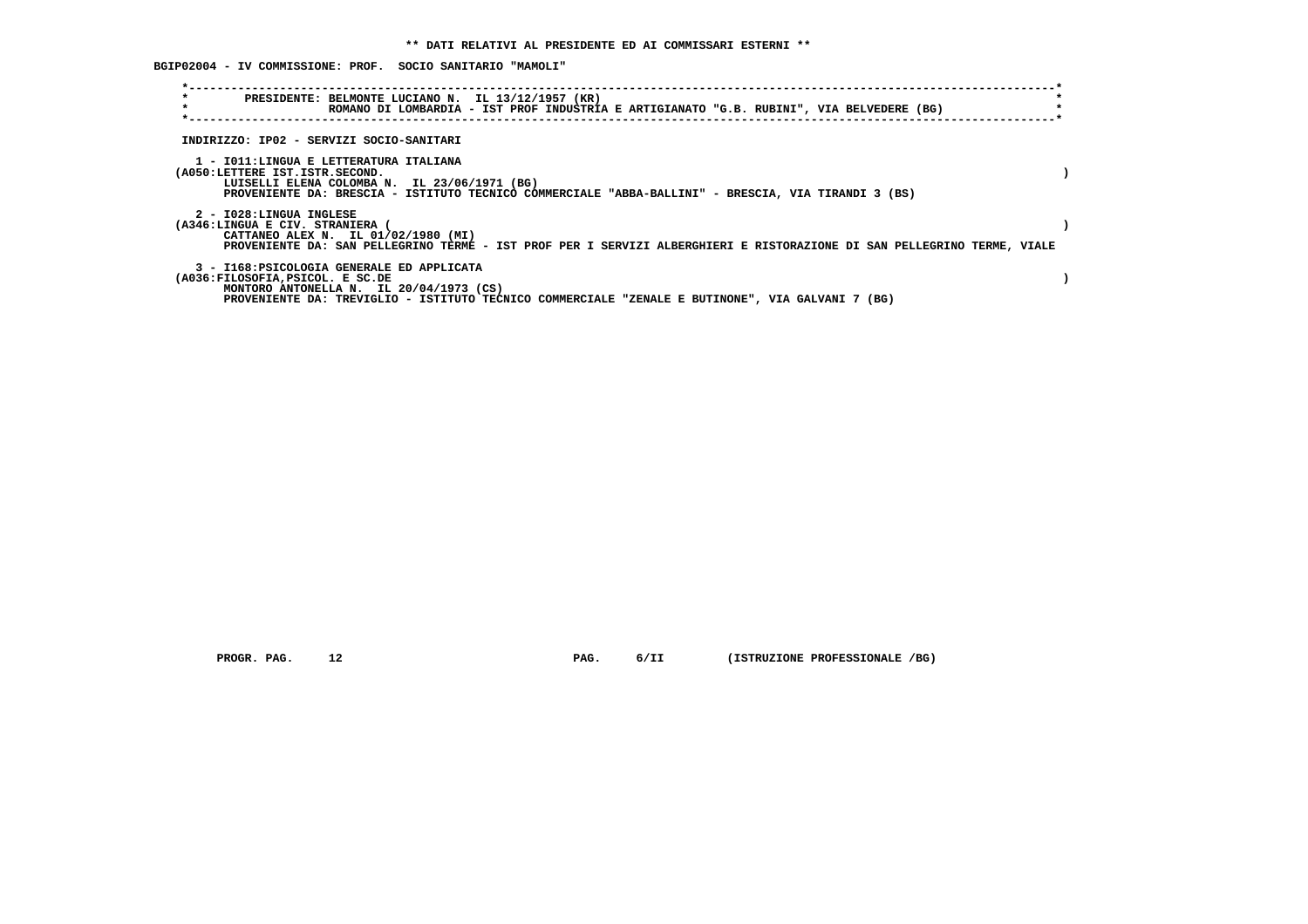**BGIP02004 - IV COMMISSIONE: PROF. SOCIO SANITARIO "MAMOLI"**

| $\star$<br>$\star$ | PRESIDENTE: BELMONTE LUCIANO N. IL 13/12/1957 (KR)<br>ROMANO DI LOMBARDIA - IST PROF INDUSTRIA E ARTIGIANATO "G.B. RUBINI", VIA BELVEDERE (BG)                                                                                  |  |  |  |
|--------------------|---------------------------------------------------------------------------------------------------------------------------------------------------------------------------------------------------------------------------------|--|--|--|
|                    | INDIRIZZO: IP02 - SERVIZI SOCIO-SANITARI                                                                                                                                                                                        |  |  |  |
|                    | 1 - IO11:LINGUA E LETTERATURA ITALIANA<br>(A050:LETTERE IST.ISTR.SECOND.<br>LUISELLI ELENA COLOMBA N. IL 23/06/1971 (BG)<br>PROVENIENTE DA: BRESCIA - ISTITUTO TECNICO COMMERCIALE "ABBA-BALLINI" - BRESCIA, VIA TIRANDI 3 (BS) |  |  |  |
|                    | 2 - I028:LINGUA INGLESE<br>(A346:LINGUA E CIV. STRANIERA (<br>CATTANEO ALEX N. IL 01/02/1980 (MI)<br>PROVENIENTE DA: SAN PELLEGRINO TERME - IST PROF PER I SERVIZI ALBERGHIERI E RISTORAZIONE DI SAN PELLEGRINO TERME, VIALE    |  |  |  |
|                    | 3 - I168: PSICOLOGIA GENERALE ED APPLICATA<br>(A036:FILOSOFIA, PSICOL. E SC.DE<br>MONTORO ANTONELLA N. IL 20/04/1973 (CS)<br>PROVENIENTE DA: TREVIGLIO - ISTITUTO TECNICO COMMERCIALE "ZENALE E BUTINONE", VIA GALVANI 7 (BG)   |  |  |  |

 **PROGR. PAG. 12 PAG. 6/II (ISTRUZIONE PROFESSIONALE /BG)**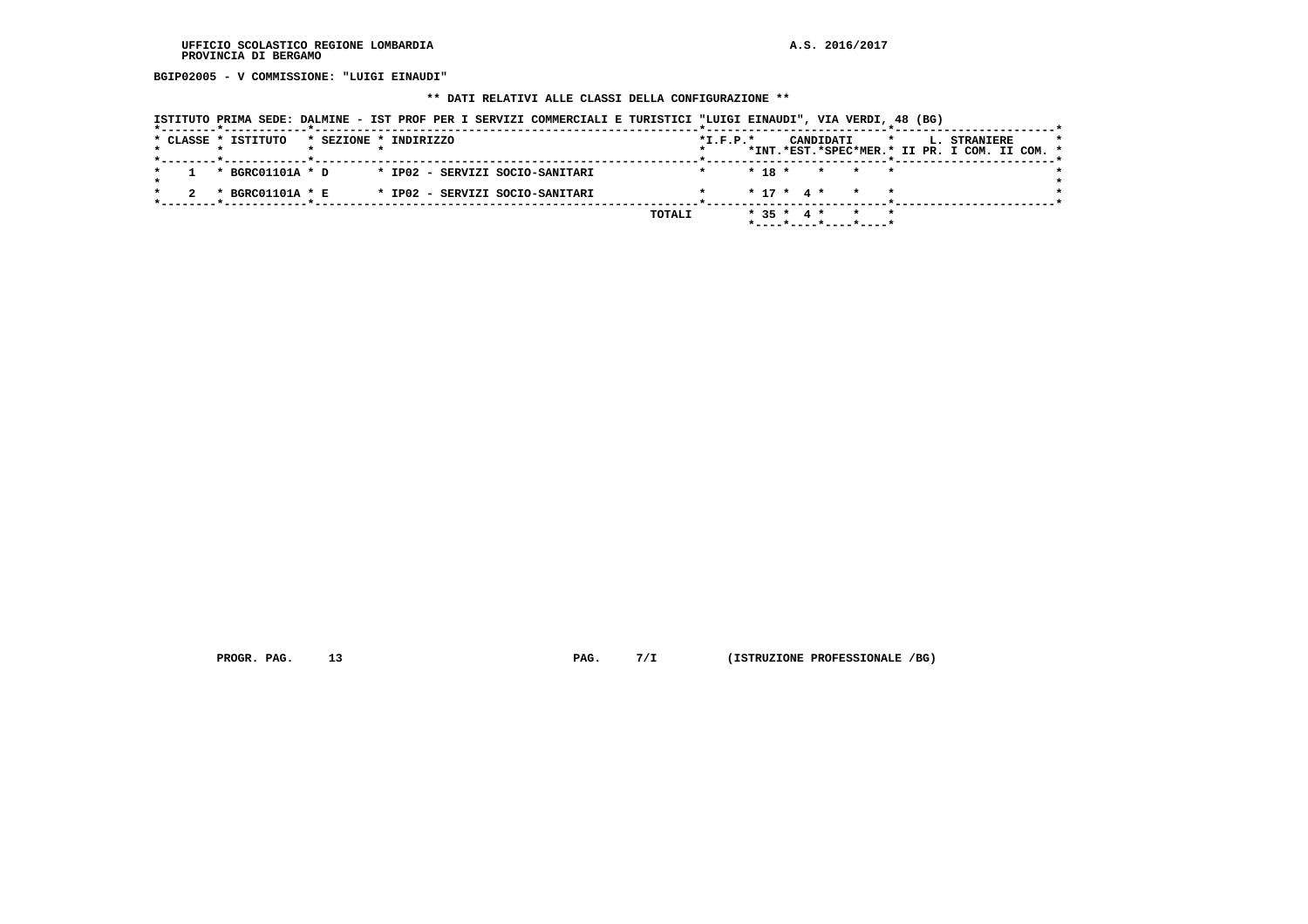**BGIP02005 - V COMMISSIONE: "LUIGI EINAUDI"**

## **\*\* DATI RELATIVI ALLE CLASSI DELLA CONFIGURAZIONE \*\***

| ISTITUTO PRIMA SEDE: DALMINE - IST PROF PER I SERVIZI COMMERCIALI E TURISTICI "LUIGI EINAUDI", VIA VERDI, 48 (BG) |  |  |
|-------------------------------------------------------------------------------------------------------------------|--|--|
|                                                                                                                   |  |  |

|  | * CLASSE * ISTITUTO |  | * SEZIONE * INDIRIZZO           |        | $*L.F.P.*$ |          |  | CANDIDATI                                     |  |  | L. STRANIERE<br>*INT.*EST.*SPEC*MER.* II PR. I COM. II COM. * |  |  |
|--|---------------------|--|---------------------------------|--------|------------|----------|--|-----------------------------------------------|--|--|---------------------------------------------------------------|--|--|
|  | * BGRC01101A * D    |  | * IP02 - SERVIZI SOCIO-SANITARI |        |            | $* 18 *$ |  | * * *                                         |  |  |                                                               |  |  |
|  | * BGRC01101A * E    |  | * IP02 - SERVIZI SOCIO-SANITARI |        |            |          |  | $* 17 * 4 * * * * *$                          |  |  |                                                               |  |  |
|  |                     |  |                                 | TOTALI |            |          |  | $* 35 * 4 * * * * *$<br>*----*----*----*----* |  |  |                                                               |  |  |

 **PROGR. PAG.** 13 **PAG.** 7/I (ISTRUZIONE PROFESSIONALE /BG)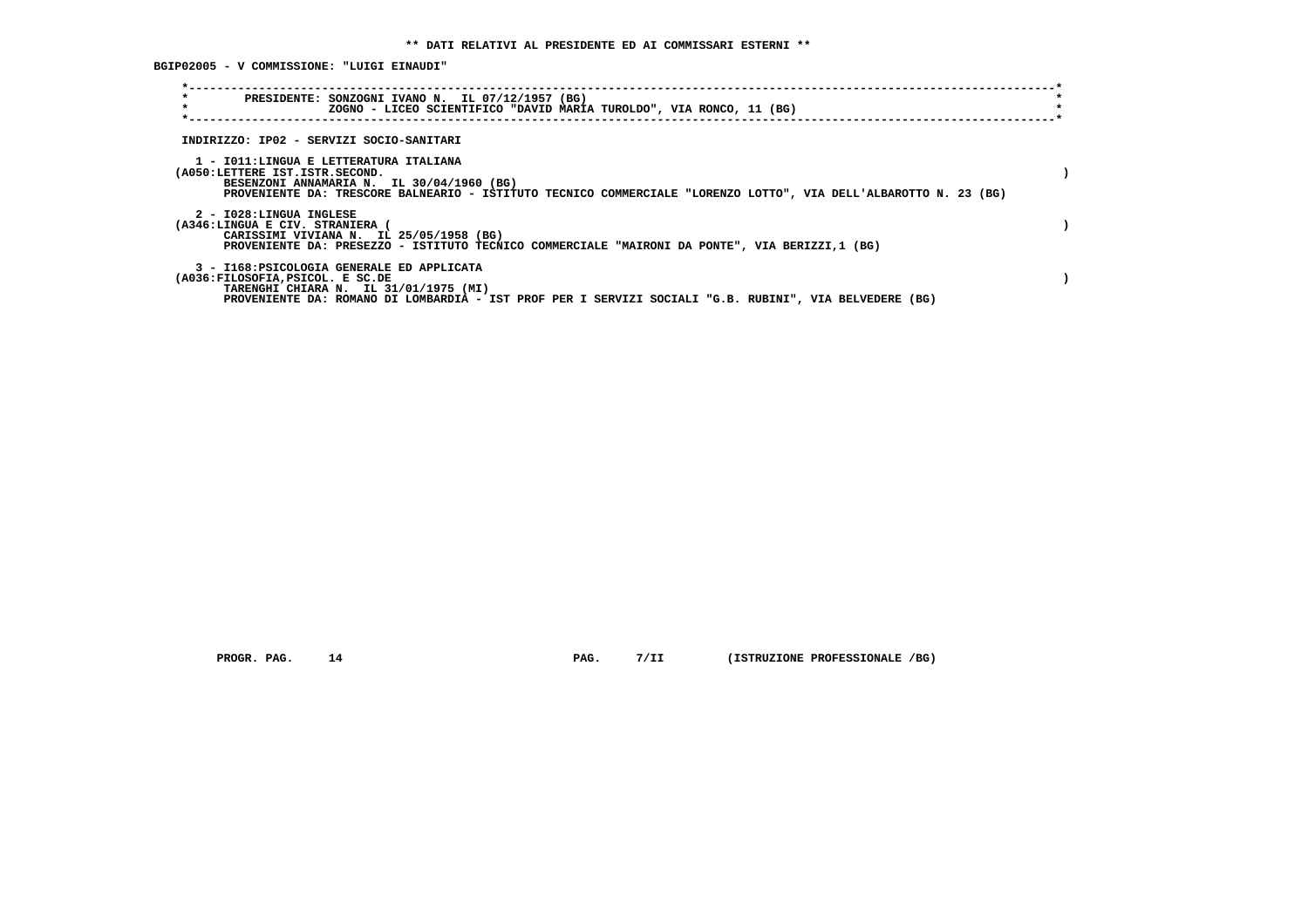**BGIP02005 - V COMMISSIONE: "LUIGI EINAUDI"**

| $\star$<br>PRESIDENTE: SONZOGNI IVANO N. IL 07/12/1957 (BG)<br>$\star$<br>ZOGNO - LICEO SCIENTIFICO "DAVID MARIA TUROLDO", VIA RONCO, 11 (BG)                                                                                             |  |
|-------------------------------------------------------------------------------------------------------------------------------------------------------------------------------------------------------------------------------------------|--|
| INDIRIZZO: IP02 - SERVIZI SOCIO-SANITARI                                                                                                                                                                                                  |  |
| 1 - IO11:LINGUA E LETTERATURA ITALIANA<br>(A050:LETTERE IST.ISTR.SECOND.<br>BESENZONI ANNAMARIA N. IL 30/04/1960 (BG)<br>PROVENIENTE DA: TRESCORE BALNEARIO - ISTITUTO TECNICO COMMERCIALE "LORENZO LOTTO", VIA DELL'ALBAROTTO N. 23 (BG) |  |
| 2 - I028:LINGUA INGLESE<br>(A346:LINGUA E CIV. STRANIERA (<br>CARISSIMI VIVIANA N. IL 25/05/1958 (BG)<br>PROVENIENTE DA: PRESEZZO - ISTITUTO TECNICO COMMERCIALE "MAIRONI DA PONTE", VIA BERIZZI,1 (BG)                                   |  |
| 3 - I168: PSICOLOGIA GENERALE ED APPLICATA<br>(A036:FILOSOFIA, PSICOL. E SC.DE<br>TARENGHI CHIARA N. IL 31/01/1975 (MI)<br>PROVENIENTE DA: ROMANO DI LOMBARDIA - IST PROF PER I SERVIZI SOCIALI "G.B. RUBINI", VIA BELVEDERE (BG)         |  |

 **PROGR. PAG.** 14 **PAG.** 7/II (ISTRUZIONE PROFESSIONALE /BG)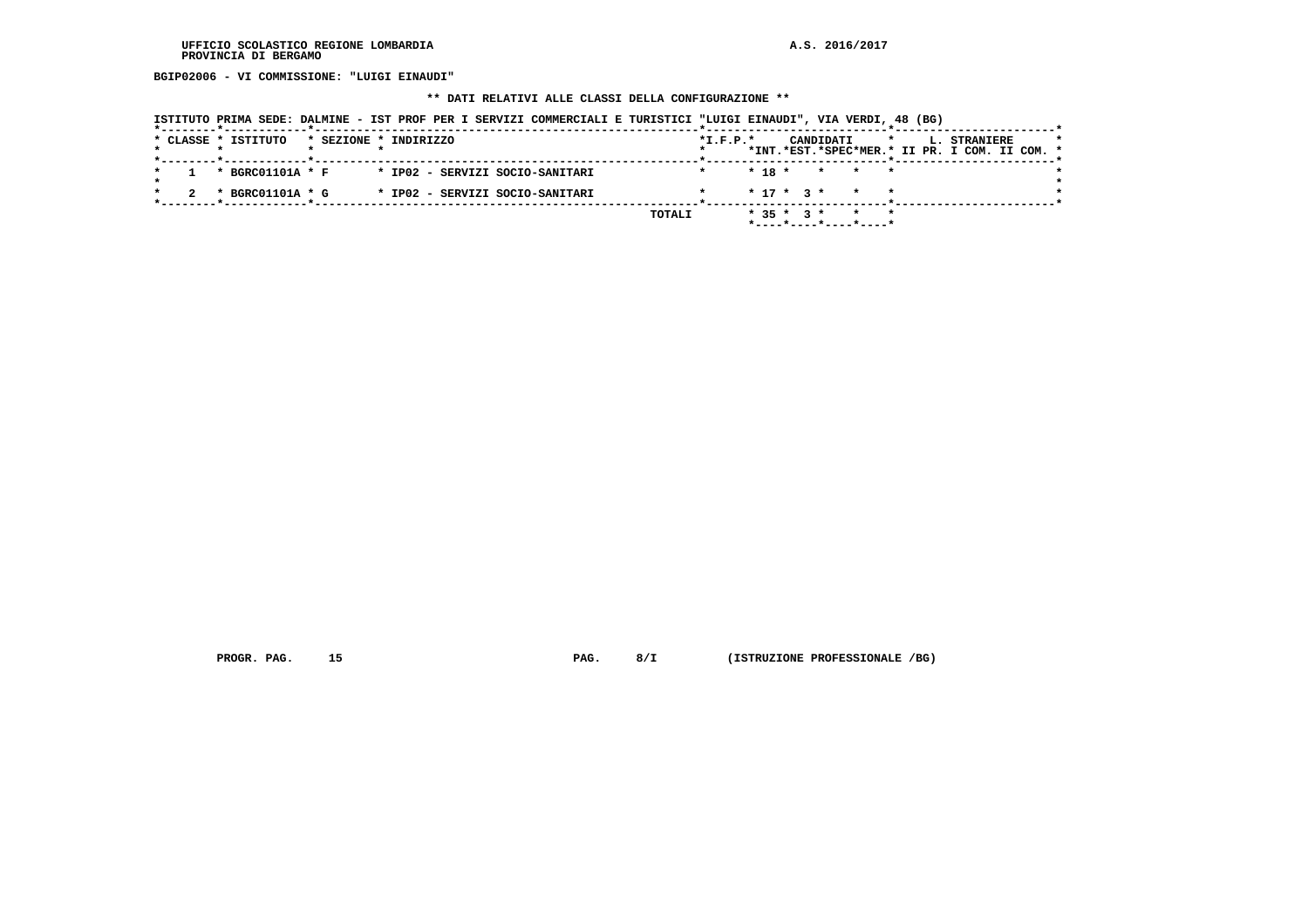**BGIP02006 - VI COMMISSIONE: "LUIGI EINAUDI"**

## **\*\* DATI RELATIVI ALLE CLASSI DELLA CONFIGURAZIONE \*\***

|  |  |                                                            |                       |  |  |  | ISTITUTO PRIMA SEDE: DALMINE - IST PROF PER I SERVIZI COMMERCIALI E TURISTICI "LUIGI EINAUDI", VIA VERDI, 48 (BG) |        |            |                  |  |           |                                      |         |  |                                                               |  |  |
|--|--|------------------------------------------------------------|-----------------------|--|--|--|-------------------------------------------------------------------------------------------------------------------|--------|------------|------------------|--|-----------|--------------------------------------|---------|--|---------------------------------------------------------------|--|--|
|  |  | * CLASSE * ISTITUTO<br>*--------*------------*------------ | * SEZIONE * INDIRIZZO |  |  |  |                                                                                                                   |        | $*I.F.P.*$ |                  |  | CANDIDATI |                                      | $\star$ |  | L. STRANIERE<br>*INT.*EST.*SPEC*MER.* II PR. I COM. II COM. * |  |  |
|  |  | * BGRC01101A * F                                           |                       |  |  |  | * IP02 - SERVIZI SOCIO-SANITARI                                                                                   |        |            |                  |  |           | $* 18 * * * * * *$                   |         |  |                                                               |  |  |
|  |  | * BGRC01101A * G                                           |                       |  |  |  | * IP02 - SERVIZI SOCIO-SANITARI                                                                                   |        |            |                  |  |           | $* 17 * 3 * * * * *$                 |         |  |                                                               |  |  |
|  |  |                                                            |                       |  |  |  |                                                                                                                   | TOTALI |            | $*$ 35 $*$ 3 $*$ |  |           | $*$ ---- $*$ ---- $*$ ---- $*$ ----* |         |  |                                                               |  |  |

 **PROGR. PAG. 15 PAG. 8/I (ISTRUZIONE PROFESSIONALE /BG)**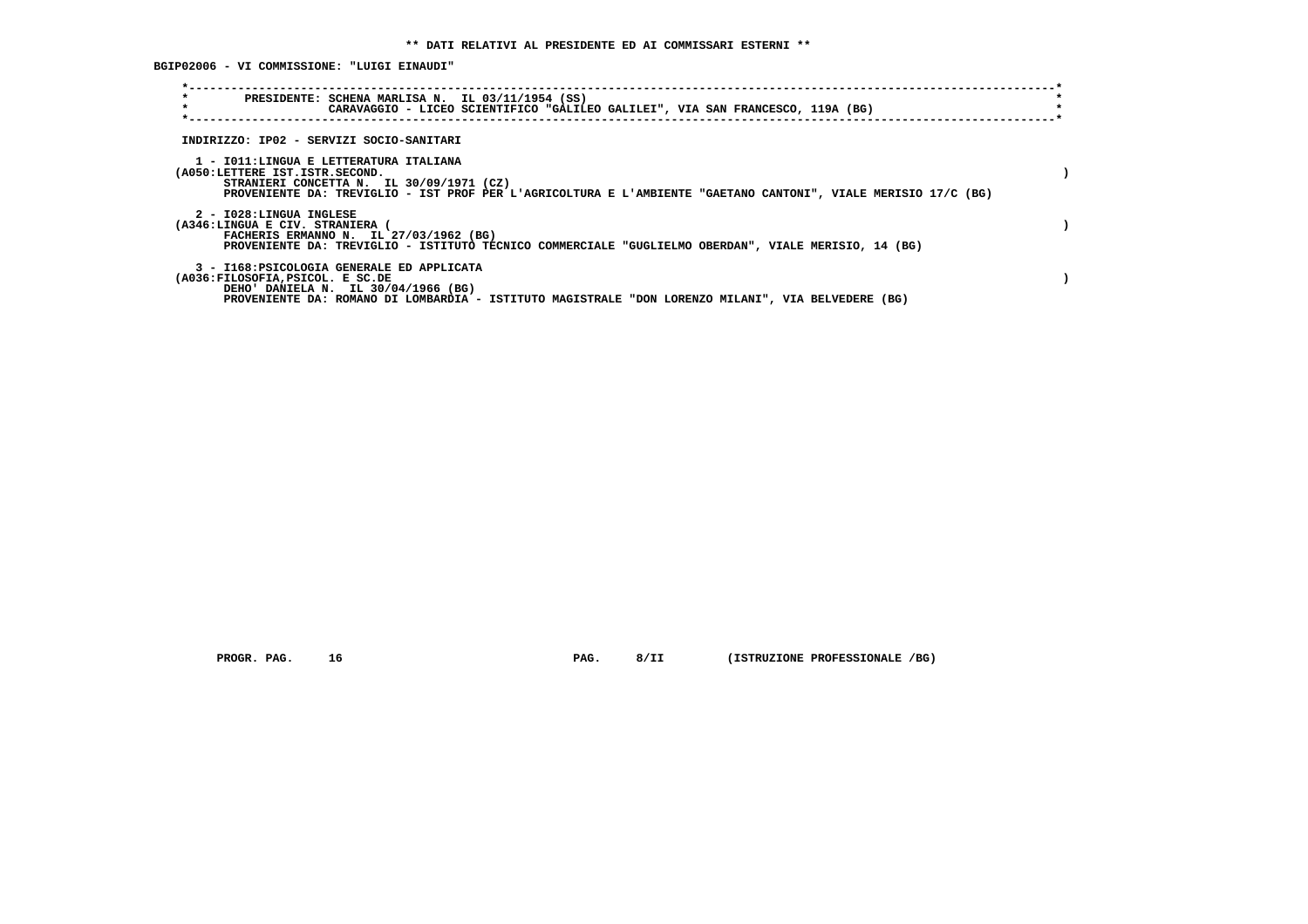**BGIP02006 - VI COMMISSIONE: "LUIGI EINAUDI"**

| $\star$<br>$\star$                                       | PRESIDENTE: SCHENA MARLISA N. IL 03/11/1954 (SS)<br>CARAVAGGIO - LICEO SCIENTIFICO "GALILEO GALILEI", VIA SAN FRANCESCO, 119A (BG)                                                                   |  |
|----------------------------------------------------------|------------------------------------------------------------------------------------------------------------------------------------------------------------------------------------------------------|--|
|                                                          | INDIRIZZO: IP02 - SERVIZI SOCIO-SANITARI                                                                                                                                                             |  |
| (A050:LETTERE IST.ISTR.SECOND.                           | 1 - IO11:LINGUA E LETTERATURA ITALIANA<br>STRANIERI CONCETTA N. IL 30/09/1971 (CZ)<br>PROVENIENTE DA: TREVIGLIO - IST PROF PER L'AGRICOLTURA E L'AMBIENTE "GAETANO CANTONI", VIALE MERISIO 17/C (BG) |  |
| 2 - I028:LINGUA INGLESE<br>(A346:LINGUA E CIV. STRANIERA | FACHERIS ERMANNO N. IL 27/03/1962 (BG)<br>PROVENIENTE DA: TREVIGLIO - ISTITUTO TECNICO COMMERCIALE "GUGLIELMO OBERDAN", VIALE MERISIO, 14 (BG)                                                       |  |
| (A036:FILOSOFIA, PSICOL. E SC.DE                         | 3 - I168: PSICOLOGIA GENERALE ED APPLICATA<br>DEHO' DANIELA N. IL 30/04/1966 (BG)<br>PROVENIENTE DA: ROMANO DI LOMBARDIA - ISTITUTO MAGISTRALE "DON LORENZO MILANI", VIA BELVEDERE (BG)              |  |

 **PROGR. PAG. 16 PAG. 8/II (ISTRUZIONE PROFESSIONALE /BG)**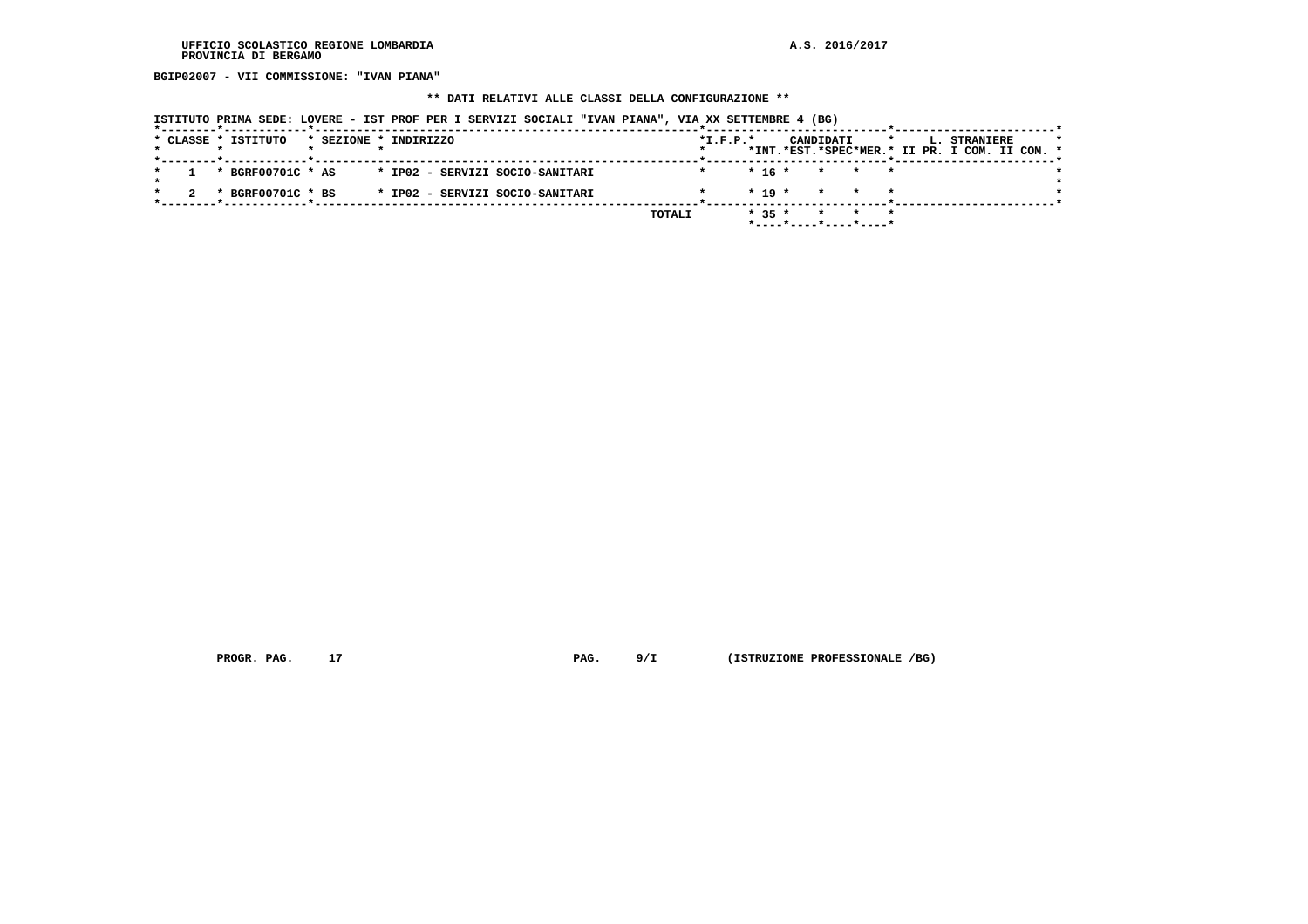**BGIP02007 - VII COMMISSIONE: "IVAN PIANA"**

### **\*\* DATI RELATIVI ALLE CLASSI DELLA CONFIGURAZIONE \*\***

|  | ISTITUTO PRIMA SEDE: LOVERE - IST PROF PER I SERVIZI SOCIALI "IVAN PIANA", VIA XX SETTEMBRE 4 (BG) |                       |  |                                 |  |        |            |          |           |                              |  |                                                                      |  |  |
|--|----------------------------------------------------------------------------------------------------|-----------------------|--|---------------------------------|--|--------|------------|----------|-----------|------------------------------|--|----------------------------------------------------------------------|--|--|
|  | * CLASSE * ISTITUTO                                                                                | * SEZIONE * INDIRIZZO |  |                                 |  |        | $*I.F.P.*$ |          | CANDIDATI |                              |  | <b>L. STRANIERE</b><br>*INT.*EST.*SPEC*MER.* II PR. I COM. II COM. * |  |  |
|  | * BGRF00701C * AS                                                                                  |                       |  | * IP02 - SERVIZI SOCIO-SANITARI |  |        |            | * 16 *   |           | * * *                        |  |                                                                      |  |  |
|  | * BGRF00701C * BS                                                                                  |                       |  | * IP02 - SERVIZI SOCIO-SANITARI |  |        |            | $* 19 *$ |           | * * *                        |  |                                                                      |  |  |
|  |                                                                                                    |                       |  |                                 |  | TOTALI |            | $* 35 *$ |           | $*$ ---- $*$ ----*----*----* |  |                                                                      |  |  |

 **PROGR. PAG.** 17 **PAG.** 9/I (ISTRUZIONE PROFESSIONALE /BG)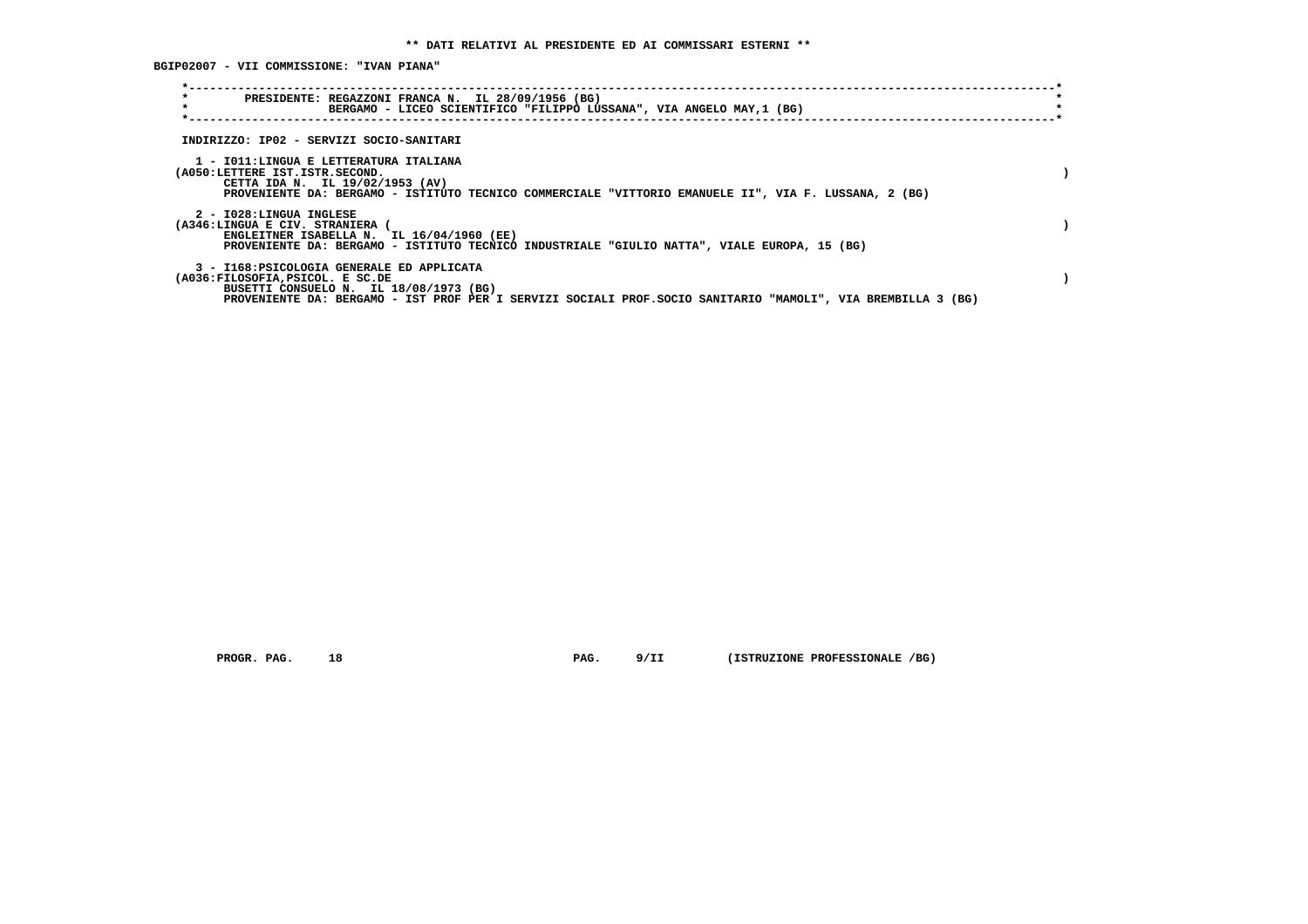**BGIP02007 - VII COMMISSIONE: "IVAN PIANA"**

| $\star$<br>$\star$                                                                                          | PRESIDENTE: REGAZZONI FRANCA N. IL 28/09/1956 (BG)<br>BERGAMO - LICEO SCIENTIFICO "FILIPPO LUSSANA", VIA ANGELO MAY,1 (BG)                                                                            |  |
|-------------------------------------------------------------------------------------------------------------|-------------------------------------------------------------------------------------------------------------------------------------------------------------------------------------------------------|--|
| INDIRIZZO: IP02 - SERVIZI SOCIO-SANITARI                                                                    |                                                                                                                                                                                                       |  |
| 1 - IO11:LINGUA E LETTERATURA ITALIANA<br>(A050:LETTERE IST.ISTR.SECOND.<br>CETTA IDA N. IL 19/02/1953 (AV) | PROVENIENTE DA: BERGAMO - ISTITUTO TECNICO COMMERCIALE "VITTORIO EMANUELE II", VIA F. LUSSANA, 2 (BG)                                                                                                 |  |
| 2 - I028:LINGUA INGLESE<br>(A346:LINGUA E CIV. STRANIERA                                                    | ENGLEITNER ISABELLA N. IL 16/04/1960 (EE)<br>PROVENIENTE DA: BERGAMO - ISTITUTO TECNICO INDUSTRIALE "GIULIO NATTA", VIALE EUROPA, 15 (BG)                                                             |  |
| (A036:FILOSOFIA, PSICOL. E SC.DE                                                                            | 3 - I168: PSICOLOGIA GENERALE ED APPLICATA<br>BUSETTI CONSUELO N. IL 18/08/1973 (BG)<br>PROVENIENTE DA: BERGAMO - IST PROF PER I SERVIZI SOCIALI PROF. SOCIO SANITARIO "MAMOLI", VIA BREMBILLA 3 (BG) |  |

 **PROGR. PAG.** 18 **PAG.** 9/II (ISTRUZIONE PROFESSIONALE /BG)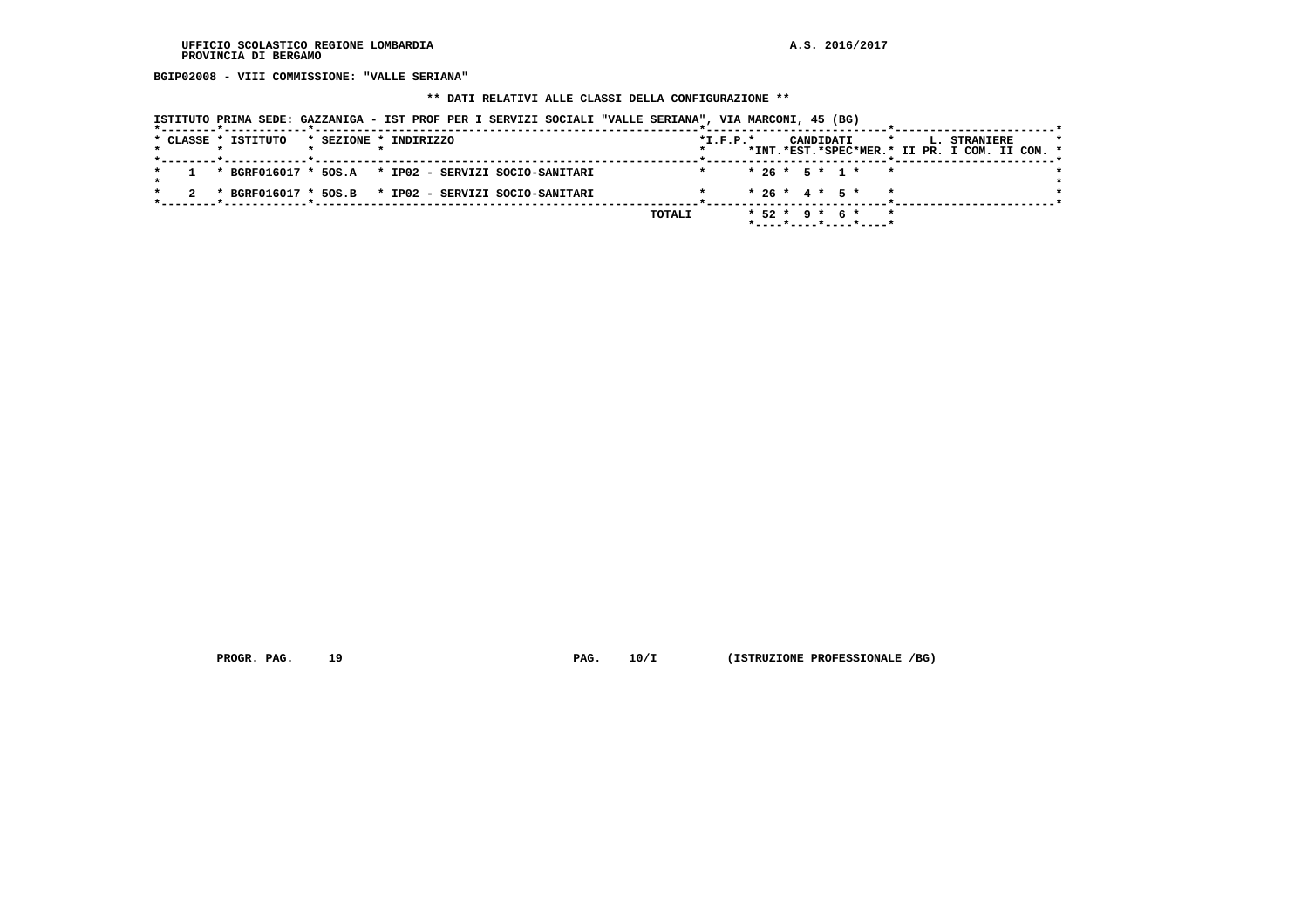**BGIP02008 - VIII COMMISSIONE: "VALLE SERIANA"**

#### **\*\* DATI RELATIVI ALLE CLASSI DELLA CONFIGURAZIONE \*\***

 **ISTITUTO PRIMA SEDE: GAZZANIGA - IST PROF PER I SERVIZI SOCIALI "VALLE SERIANA", VIA MARCONI, 45 (BG)**

|  | * CLASSE * ISTITUTO | * SEZIONE * INDIRIZZO |  |  |                                                        |        | $*$ I.F.P. $*$ |  |  | CANDIDATI |                                                 | $\star$ |  | <b>L. STRANIERE</b>                           |  |  |
|--|---------------------|-----------------------|--|--|--------------------------------------------------------|--------|----------------|--|--|-----------|-------------------------------------------------|---------|--|-----------------------------------------------|--|--|
|  |                     |                       |  |  |                                                        |        |                |  |  |           |                                                 |         |  | *INT.*EST.*SPEC*MER.* II PR. I COM. II COM. * |  |  |
|  |                     |                       |  |  | 1 * BGRF016017 * 50S.A * IP02 - SERVIZI SOCIO-SANITARI |        |                |  |  |           | $* 26 * 5 * 1 * * *$                            |         |  |                                               |  |  |
|  |                     |                       |  |  | * BGRF016017 * 5OS.B * IP02 - SERVIZI SOCIO-SANITARI   |        |                |  |  |           | $* 26 * 4 * 5 * * *$                            |         |  |                                               |  |  |
|  |                     |                       |  |  |                                                        |        |                |  |  |           |                                                 |         |  |                                               |  |  |
|  |                     |                       |  |  |                                                        | TOTALI |                |  |  |           | $*52 * 9 * 6 * * *$<br>$*$ ----*----*----*----* |         |  |                                               |  |  |
|  |                     |                       |  |  |                                                        |        |                |  |  |           |                                                 |         |  |                                               |  |  |

 **PROGR. PAG.** 19 **PAG.** 10/I (ISTRUZIONE PROFESSIONALE /BG)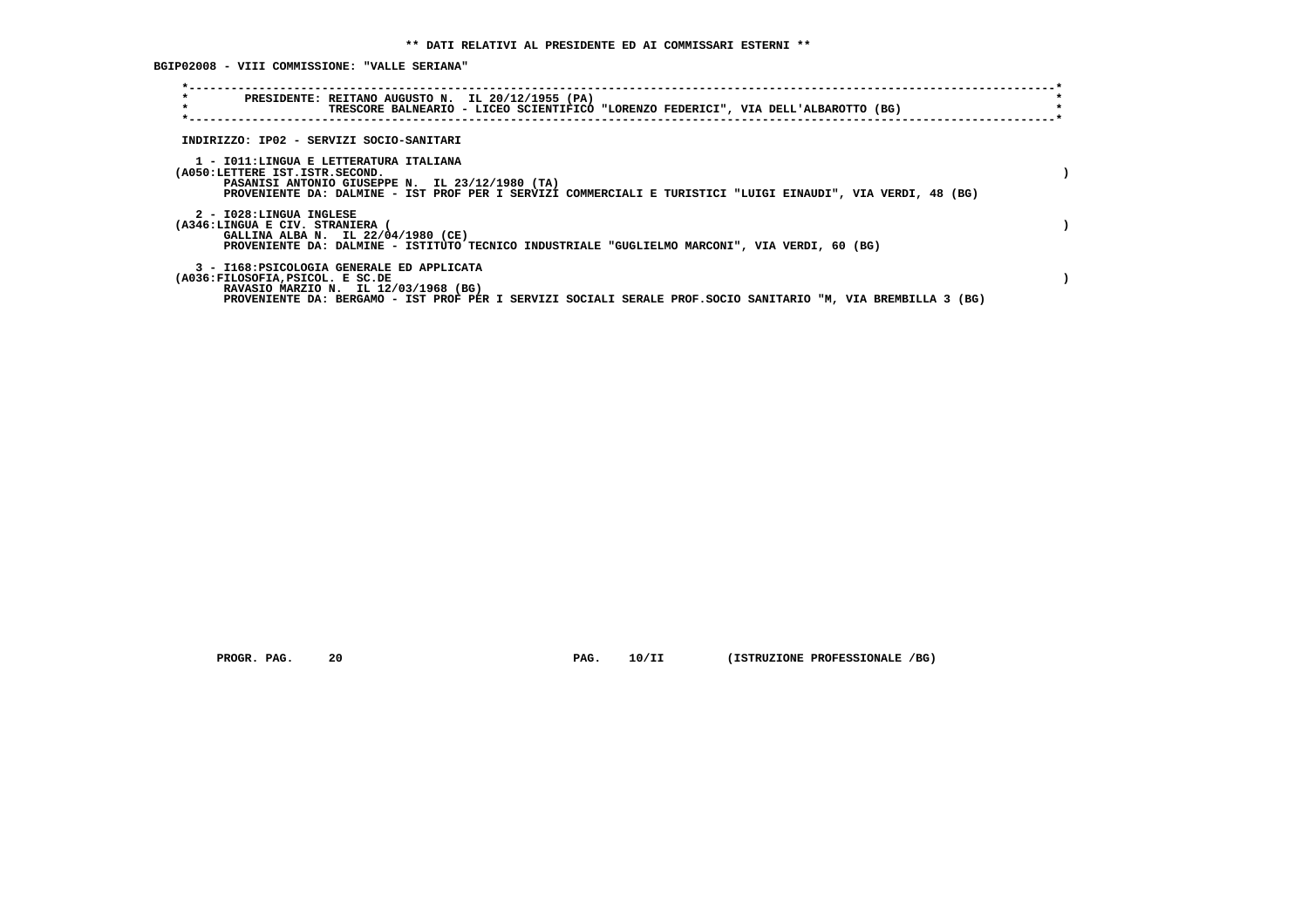**BGIP02008 - VIII COMMISSIONE: "VALLE SERIANA"**

| $\star$<br>$\star$                                       | PRESIDENTE: REITANO AUGUSTO N. IL 20/12/1955 (PA)                                                                                                                                                         |  |
|----------------------------------------------------------|-----------------------------------------------------------------------------------------------------------------------------------------------------------------------------------------------------------|--|
|                                                          | TRESCORE BALNEARIO - LICEO SCIENTIFICO "LORENZO FEDERICI", VIA DELL'ALBAROTTO (BG)                                                                                                                        |  |
| INDIRIZZO: IP02 - SERVIZI SOCIO-SANITARI                 |                                                                                                                                                                                                           |  |
| (A050:LETTERE IST.ISTR.SECOND.                           | 1 - IO11:LINGUA E LETTERATURA ITALIANA<br>PASANISI ANTONIO GIUSEPPE N. IL 23/12/1980 (TA)<br>PROVENIENTE DA: DALMINE - IST PROF PER I SERVIZI COMMERCIALI E TURISTICI "LUIGI EINAUDI", VIA VERDI, 48 (BG) |  |
| 2 - I028:LINGUA INGLESE<br>(A346:LINGUA E CIV. STRANIERA | GALLINA ALBA N. IL 22/04/1980 (CE)<br>PROVENIENTE DA: DALMINE - ISTITUTO TECNICO INDUSTRIALE "GUGLIELMO MARCONI", VIA VERDI, 60 (BG)                                                                      |  |
| (A036:FILOSOFIA, PSICOL. E SC.DE                         | 3 - I168: PSICOLOGIA GENERALE ED APPLICATA<br>RAVASIO MARZIO N. IL 12/03/1968 (BG)<br>PROVENIENTE DA: BERGAMO - IST PROF PER I SERVIZI SOCIALI SERALE PROF.SOCIO SANITARIO "M, VIA BREMBILLA 3 (BG)       |  |

 **PROGR. PAG.** 20 **PAG.** 10/II (ISTRUZIONE PROFESSIONALE /BG)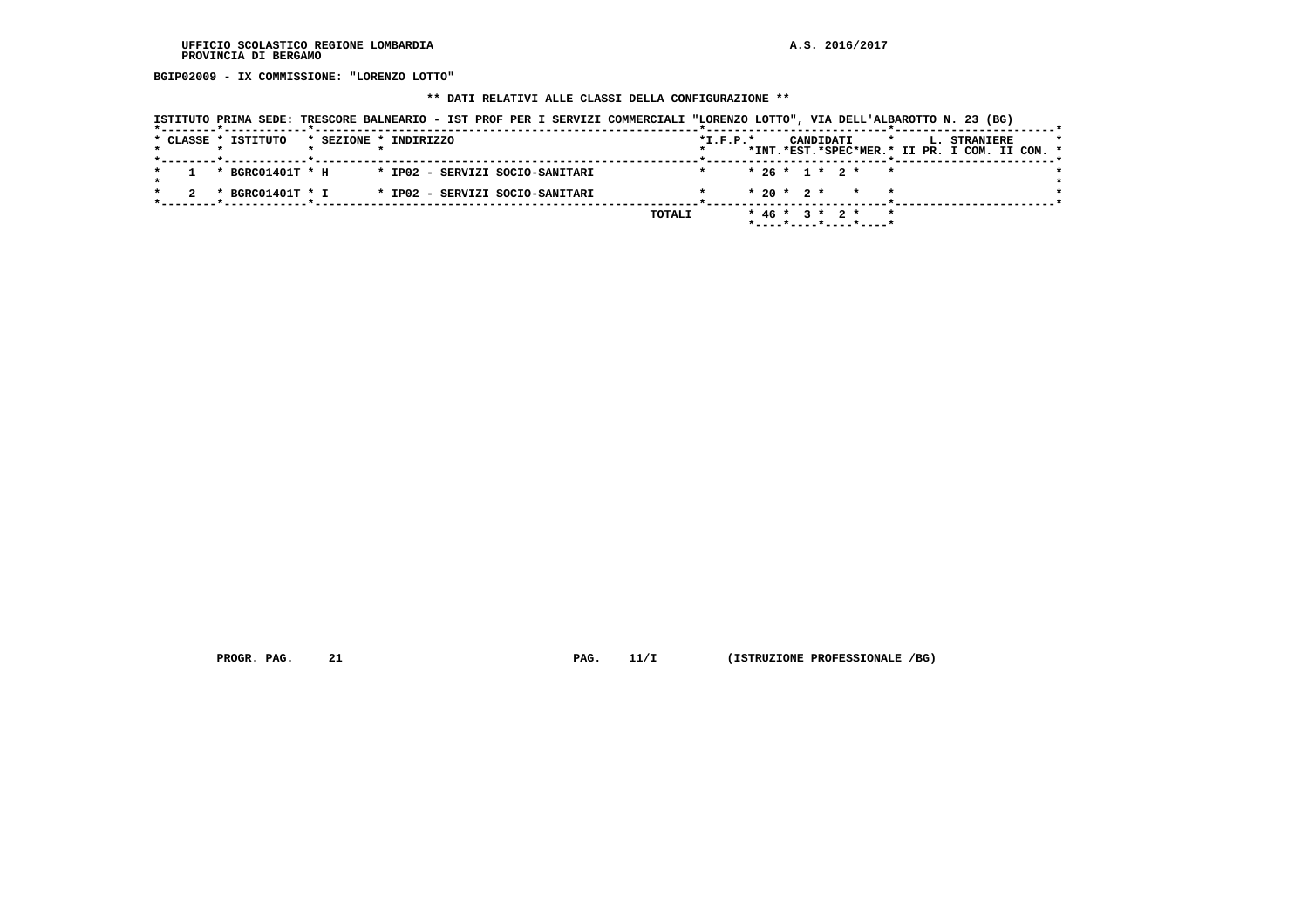**BGIP02009 - IX COMMISSIONE: "LORENZO LOTTO"**

## **\*\* DATI RELATIVI ALLE CLASSI DELLA CONFIGURAZIONE \*\***

|                     | ISTITUTO PRIMA SEDE: TRESCORE BALNEARIO - IST PROF PER I SERVIZI COMMERCIALI "LORENZO LOTTO", VIA DELL'ALBAROTTO N. 23 (BG) |                |                                                 |                                                                      |
|---------------------|-----------------------------------------------------------------------------------------------------------------------------|----------------|-------------------------------------------------|----------------------------------------------------------------------|
| * CLASSE * ISTITUTO | * SEZIONE * INDIRIZZO                                                                                                       | $*$ I.F.P. $*$ | CANDIDATI<br>$\star$                            | <b>L. STRANIERE</b><br>*INT.*EST.*SPEC*MER.* II PR. I COM. II COM. * |
|                     | * BGRC01401T * H<br>* IP02 - SERVIZI SOCIO-SANITARI                                                                         |                | $* 26 * 1 * 2 * * *$                            |                                                                      |
|                     | * BGRC01401T * I<br>* IP02 - SERVIZI SOCIO-SANITARI                                                                         |                | $* 20 * 2 * * * * *$                            |                                                                      |
|                     |                                                                                                                             | TOTALI         | $*$ 46 $*$ 3 $*$ 2 $*$<br>*----*----*----*----* |                                                                      |

 **PROGR. PAG.** 21 **PAG.** 11/I (ISTRUZIONE PROFESSIONALE /BG)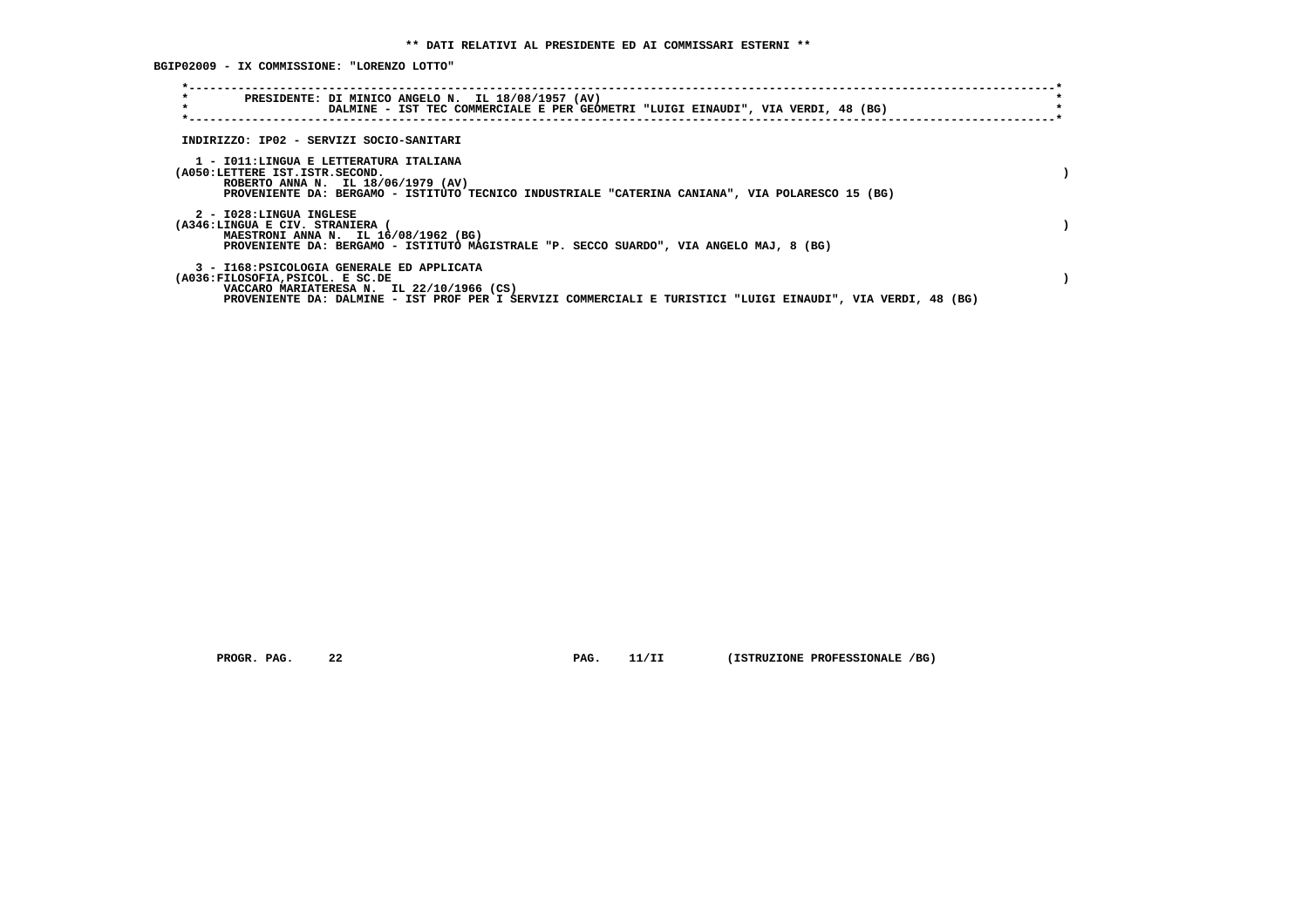**BGIP02009 - IX COMMISSIONE: "LORENZO LOTTO"**

| $\star$<br>$\star$ | PRESIDENTE: DI MINICO ANGELO N. IL 18/08/1957 (AV)                                                                                                                                                                                          | DALMINE - IST TEC COMMERCIALE E PER GEOMETRI "LUIGI EINAUDI", VIA VERDI, 48 (BG) |  |  |  |  |  |  |  |
|--------------------|---------------------------------------------------------------------------------------------------------------------------------------------------------------------------------------------------------------------------------------------|----------------------------------------------------------------------------------|--|--|--|--|--|--|--|
|                    | INDIRIZZO: IP02 - SERVIZI SOCIO-SANITARI                                                                                                                                                                                                    |                                                                                  |  |  |  |  |  |  |  |
|                    | 1 - IO11:LINGUA E LETTERATURA ITALIANA<br>(A050:LETTERE IST.ISTR.SECOND.<br>ROBERTO ANNA N. IL 18/06/1979 (AV)<br>PROVENIENTE DA: BERGAMO - ISTITUTO TECNICO INDUSTRIALE "CATERINA CANIANA", VIA POLARESCO 15 (BG)                          |                                                                                  |  |  |  |  |  |  |  |
|                    | 2 - I028:LINGUA INGLESE<br>(A346:LINGUA E CIV. STRANIERA<br>MAESTRONI ANNA N. IL 16/08/1962 (BG)<br>PROVENIENTE DA: BERGAMO - ISTITUTO MAGISTRALE "P. SECCO SUARDO", VIA ANGELO MAJ, 8 (BG)                                                 |                                                                                  |  |  |  |  |  |  |  |
|                    | 3 - I168: PSICOLOGIA GENERALE ED APPLICATA<br>(A036:FILOSOFIA, PSICOL. E SC.DE<br>VACCARO MARIATERESA N. IL 22/10/1966 (CS)<br>PROVENIENTE DA: DALMINE - IST PROF PER I SERVIZI COMMERCIALI E TURISTICI "LUIGI EINAUDI", VIA VERDI, 48 (BG) |                                                                                  |  |  |  |  |  |  |  |

 **PROGR. PAG.** 22 **PAG.** 11/II (ISTRUZIONE PROFESSIONALE /BG)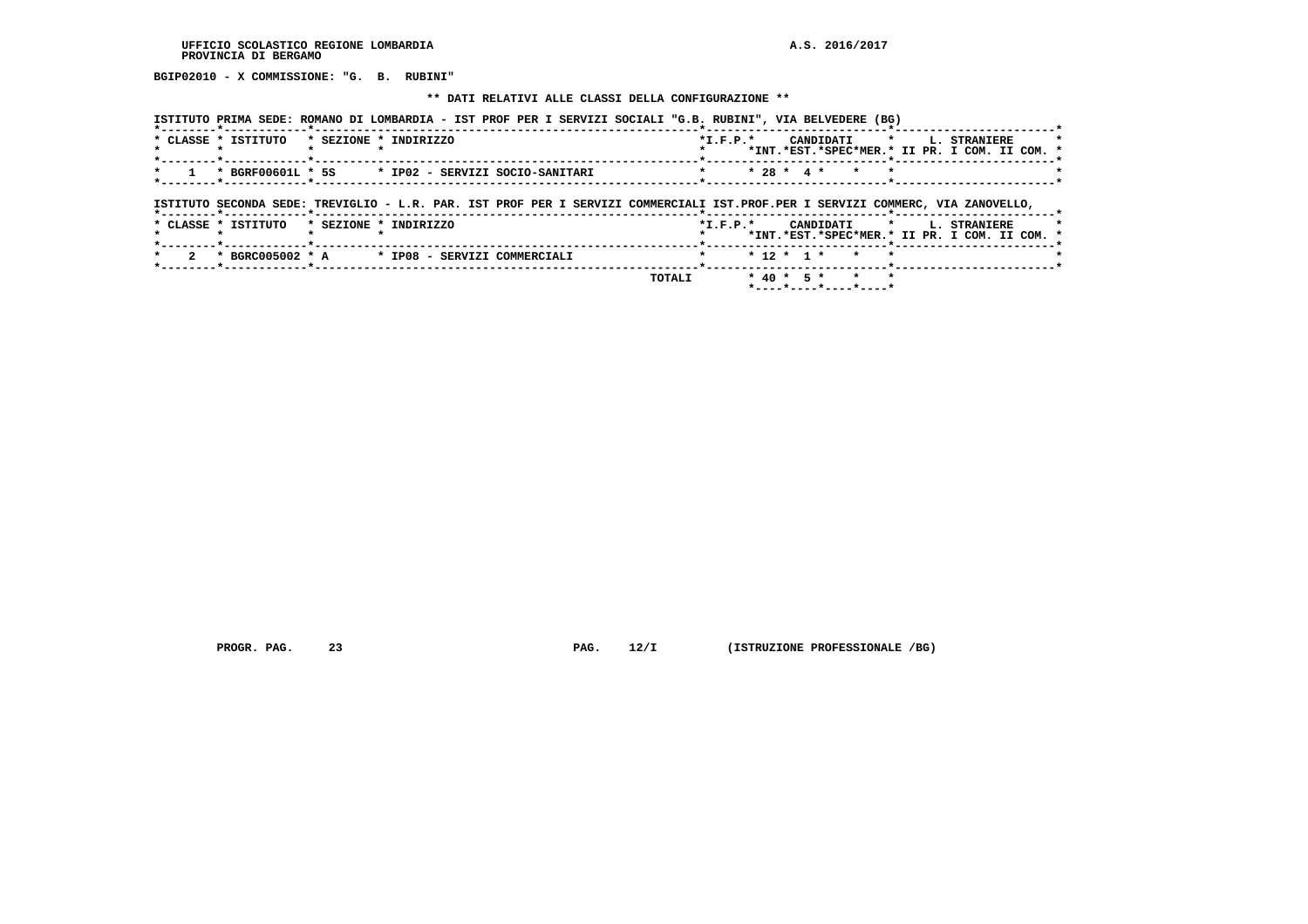**BGIP02010 - X COMMISSIONE: "G. B. RUBINI"**

 **\*\* DATI RELATIVI ALLE CLASSI DELLA CONFIGURAZIONE \*\***

|                     | ISTITUTO PRIMA SEDE: ROMANO DI LOMBARDIA - IST PROF PER I SERVIZI SOCIALI "G.B. RUBINI", VIA BELVEDERE (BG) |                                                                                                                                |
|---------------------|-------------------------------------------------------------------------------------------------------------|--------------------------------------------------------------------------------------------------------------------------------|
| * CLASSE * ISTITUTO | * SEZIONE * INDIRIZZO                                                                                       | CANDIDATI * L. STRANIERE<br>$*L.F.P.*$<br>*INT.*EST.*SPEC*MER.* II PR. I COM. II COM. *                                        |
|                     | * BGRF00601L * 5S * IP02 - SERVIZI SOCIO-SANITARI                                                           | $* 28 * 4 * * *$<br>$\star$                                                                                                    |
|                     |                                                                                                             | ISTITUTO SECONDA SEDE: TREVIGLIO - L.R. PAR. IST PROF PER I SERVIZI COMMERCIALI IST.PROF.PER I SERVIZI COMMERC, VIA ZANOVELLO, |
| * CLASSE * ISTITUTO | * SEZIONE * INDIRIZZO                                                                                       | *I.F.P.* CANDIDATI * L. STRANIERE<br>*INT.*EST.*SPEC*MER.* II PR. I COM. II COM. *                                             |
|                     | * BGRC005002 * A * IP08 - SERVIZI COMMERCIALI                                                               | $* 12 * 1 *$<br>$\star$                                                                                                        |
|                     |                                                                                                             | $*$ 40 $*$ 5 $*$<br>TOTALI<br>$\mathbf{r}$<br>$\star$<br>$*$ ---- $*$ ---- $*$ ---- $*$ ----*                                  |

 **PROGR. PAG. 23 PAG. 12/I (ISTRUZIONE PROFESSIONALE /BG)**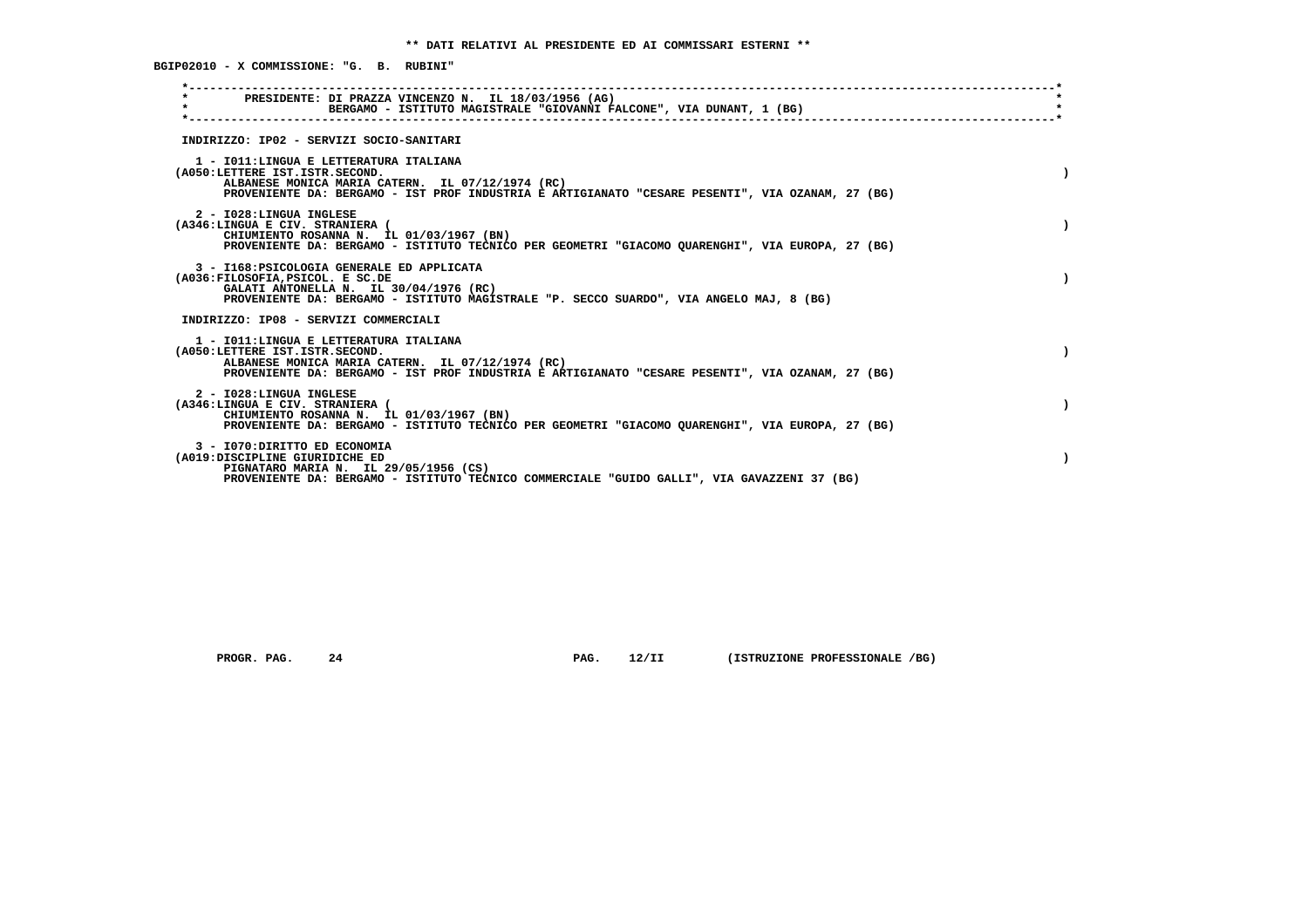| $\star$<br>PRESIDENTE: DI PRAZZA VINCENZO N. IL 18/03/1956 (AG)<br>$\star$<br>BERGAMO - ISTITUTO MAGISTRALE "GIOVANNI FALCONE", VIA DUNANT, 1 (BG)<br>-------------------------------                                             |  |
|-----------------------------------------------------------------------------------------------------------------------------------------------------------------------------------------------------------------------------------|--|
| INDIRIZZO: IP02 - SERVIZI SOCIO-SANITARI                                                                                                                                                                                          |  |
| 1 - IO11: LINGUA E LETTERATURA ITALIANA<br>(A050:LETTERE IST.ISTR.SECOND.<br>ALBANESE MONICA MARIA CATERN. IL 07/12/1974 (RC)<br>PROVENIENTE DA: BERGAMO - IST PROF INDUSTRIA E ARTIGIANATO "CESARE PESENTI", VIA OZANAM, 27 (BG) |  |
| 2 - I028:LINGUA INGLESE<br>(A346:LINGUA E CIV. STRANIERA (<br>CHIUMIENTO ROSANNA N. IL 01/03/1967 (BN)<br>PROVENIENTE DA: BERGAMO - ISTITUTO TECNICO PER GEOMETRI "GIACOMO QUARENGHI", VIA EUROPA, 27 (BG)                        |  |
| 3 - I168: PSICOLOGIA GENERALE ED APPLICATA<br>(A036:FILOSOFIA, PSICOL. E SC.DE<br>GALATI ANTONELLA N. IL 30/04/1976 (RC)<br>PROVENIENTE DA: BERGAMO - ISTITUTO MAGISTRALE "P. SECCO SUARDO", VIA ANGELO MAJ, 8 (BG)               |  |
| INDIRIZZO: IP08 - SERVIZI COMMERCIALI                                                                                                                                                                                             |  |
| 1 - IO11: LINGUA E LETTERATURA ITALIANA<br>(A050:LETTERE IST.ISTR.SECOND.<br>ALBANESE MONICA MARIA CATERN. IL 07/12/1974 (RC)<br>PROVENIENTE DA: BERGAMO - IST PROF INDUSTRIA E ARTIGIANATO "CESARE PESENTI", VIA OZANAM, 27 (BG) |  |
| 2 - I028:LINGUA INGLESE<br>(A346:LINGUA E CIV. STRANIERA (<br>CHIUMIENTO ROSANNA N. IL 01/03/1967 (BN)<br>PROVENIENTE DA: BERGAMO - ISTITUTO TECNICO PER GEOMETRI "GIACOMO QUARENGHI", VIA EUROPA, 27 (BG)                        |  |
| 3 - I070: DIRITTO ED ECONOMIA<br>(A019:DISCIPLINE GIURIDICHE ED<br>PIGNATARO MARIA N. IL 29/05/1956 (CS)<br>PROVENIENTE DA: BERGAMO - ISTITUTO TECNICO COMMERCIALE "GUIDO GALLI", VIA GAVAZZENI 37 (BG)                           |  |

 **PROGR. PAG.** 24 **PAG.** 12/II (ISTRUZIONE PROFESSIONALE /BG)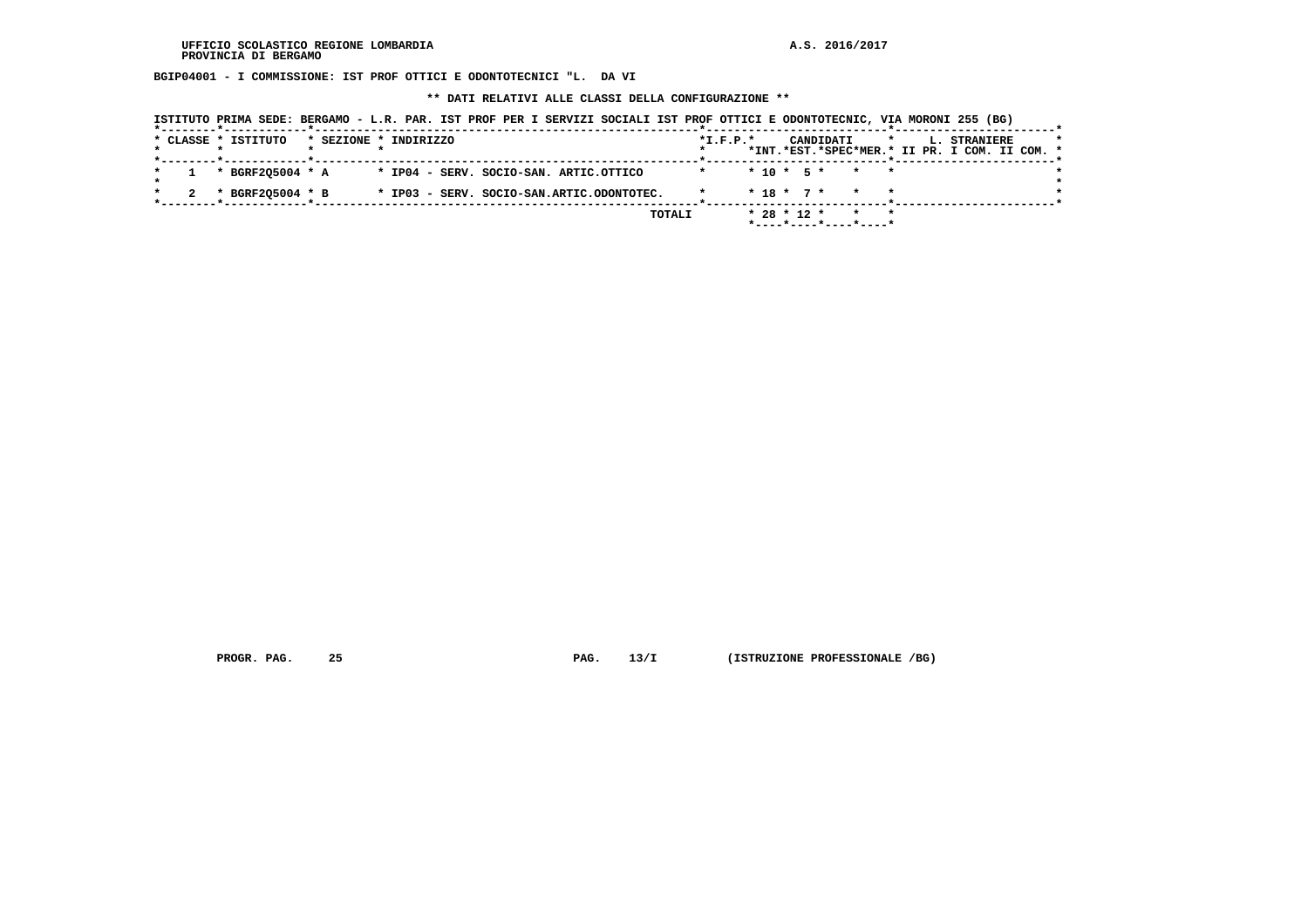**BGIP04001 - I COMMISSIONE: IST PROF OTTICI E ODONTOTECNICI "L. DA VI**

 **\*\* DATI RELATIVI ALLE CLASSI DELLA CONFIGURAZIONE \*\***

|  | ISTITUTO PRIMA SEDE: BERGAMO - L.R. PAR. IST PROF PER I SERVIZI SOCIALI IST PROF OTTICI E ODONTOTECNIC, VIA MORONI 255 (BG) |  |                       |  |  |                    |            |  |  |  |                                               |  |  |
|--|-----------------------------------------------------------------------------------------------------------------------------|--|-----------------------|--|--|--------------------|------------|--|--|--|-----------------------------------------------|--|--|
|  | * CLASSE * ISTITUTO                                                                                                         |  | * SEZIONE * INDIRIZZO |  |  |                    | $*T.F.P.*$ |  |  |  | CANDIDATI * L. STRANIERE                      |  |  |
|  |                                                                                                                             |  |                       |  |  |                    |            |  |  |  | *INT.*EST.*SPEC*MER.* II PR. I COM. II COM. * |  |  |
|  | $1$ * BGRF205004 * A $\quad$ * IP04 - SERV. SOCIO-SAN. ARTIC.OTTICO                                                         |  |                       |  |  | * * 10 * 5 * * * * |            |  |  |  |                                               |  |  |
|  |                                                                                                                             |  |                       |  |  |                    |            |  |  |  |                                               |  |  |
|  | * BGRF205004 * B * IP03 - SERV. SOCIO-SAN.ARTIC.ODONTOTEC. * * 18 * 7 * * *                                                 |  |                       |  |  |                    |            |  |  |  |                                               |  |  |

 **TOTALI \* 28 \* 12 \* \* \* \*----\*----\*----\*----\***

 **PROGR. PAG. 25 PAG. 13/I (ISTRUZIONE PROFESSIONALE /BG)**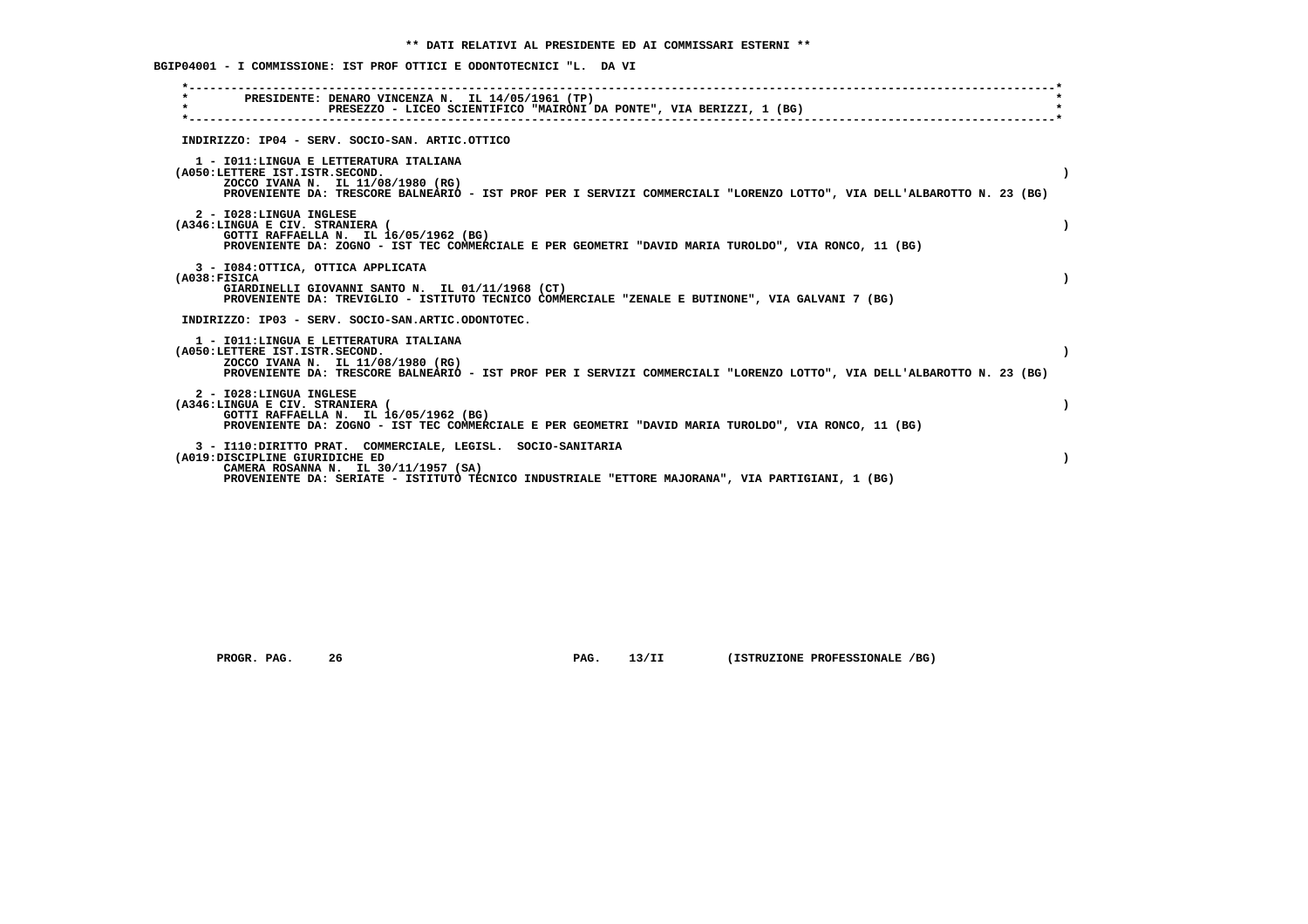**BGIP04001 - I COMMISSIONE: IST PROF OTTICI E ODONTOTECNICI "L. DA VI**

| PRESIDENTE: DENARO VINCENZA N. IL 14/05/1961 (TP)<br>$\star$<br>PRESEZZO - LICEO SCIENTIFICO "MAIRONI DA PONTE", VIA BERIZZI, 1 (BG)                                                                                                       |  |
|--------------------------------------------------------------------------------------------------------------------------------------------------------------------------------------------------------------------------------------------|--|
| INDIRIZZO: IP04 - SERV. SOCIO-SAN. ARTIC.OTTICO                                                                                                                                                                                            |  |
| 1 - IO11: LINGUA E LETTERATURA ITALIANA<br>(A050:LETTERE IST.ISTR.SECOND.<br>ZOCCO IVANA N. IL 11/08/1980 (RG)<br>PROVENIENTE DA: TRESCORE BALNEARIO - IST PROF PER I SERVIZI COMMERCIALI "LORENZO LOTTO", VIA DELL'ALBAROTTO N. 23 (BG)   |  |
| 2 - I028:LINGUA INGLESE<br>(A346:LINGUA E CIV. STRANIERA (<br>GOTTI RAFFAELLA N. IL 16/05/1962 (BG)<br>PROVENIENTE DA: ZOGNO - IST TEC COMMERCIALE E PER GEOMETRI "DAVID MARIA TUROLDO", VIA RONCO, 11 (BG)                                |  |
| 3 - I084: OTTICA, OTTICA APPLICATA<br>(A038:FIGICA<br>GIARDINELLI GIOVANNI SANTO N. IL 01/11/1968 (CT)<br>PROVENIENTE DA: TREVIGLIO - ISTITUTO TECNICO COMMERCIALE "ZENALE E BUTINONE", VIA GALVANI 7 (BG)                                 |  |
| INDIRIZZO: IP03 - SERV. SOCIO-SAN.ARTIC.ODONTOTEC.                                                                                                                                                                                         |  |
| 1 - IO11: LINGUA E LETTERATURA ITALIANA<br>(A050:LETTERE IST.ISTR.SECOND.<br>ZOCCO IVANA N. IL 11/08/1980 (RG)<br>PROVENIENTE DA: TRESCORE BALNEARIO - IST PROF PER I SERVIZI COMMERCIALI "LORENZO LOTTO", VIA DELL'ALBAROTTO N. 23 (BG)   |  |
| 2 - I028:LINGUA INGLESE<br>(A346:LINGUA E CIV. STRANIERA (<br>GOTTI RAFFAELLA N. IL 16/05/1962 (BG)<br>PROVENIENTE DA: ZOGNO - IST TEC COMMERCIALE E PER GEOMETRI "DAVID MARIA TUROLDO", VIA RONCO, 11 (BG)                                |  |
| 3 - I110: DIRITTO PRAT. COMMERCIALE, LEGISL. SOCIO-SANITARIA<br>(A019:DISCIPLINE GIURIDICHE ED<br>CAMERA ROSANNA N. IL 30/11/1957 (SA)<br>PROVENIENTE DA: SERIATE - ISTITUTO TECNICO INDUSTRIALE "ETTORE MAJORANA", VIA PARTIGIANI, 1 (BG) |  |

 **PROGR. PAG. 26 PAG. 13/II (ISTRUZIONE PROFESSIONALE /BG)**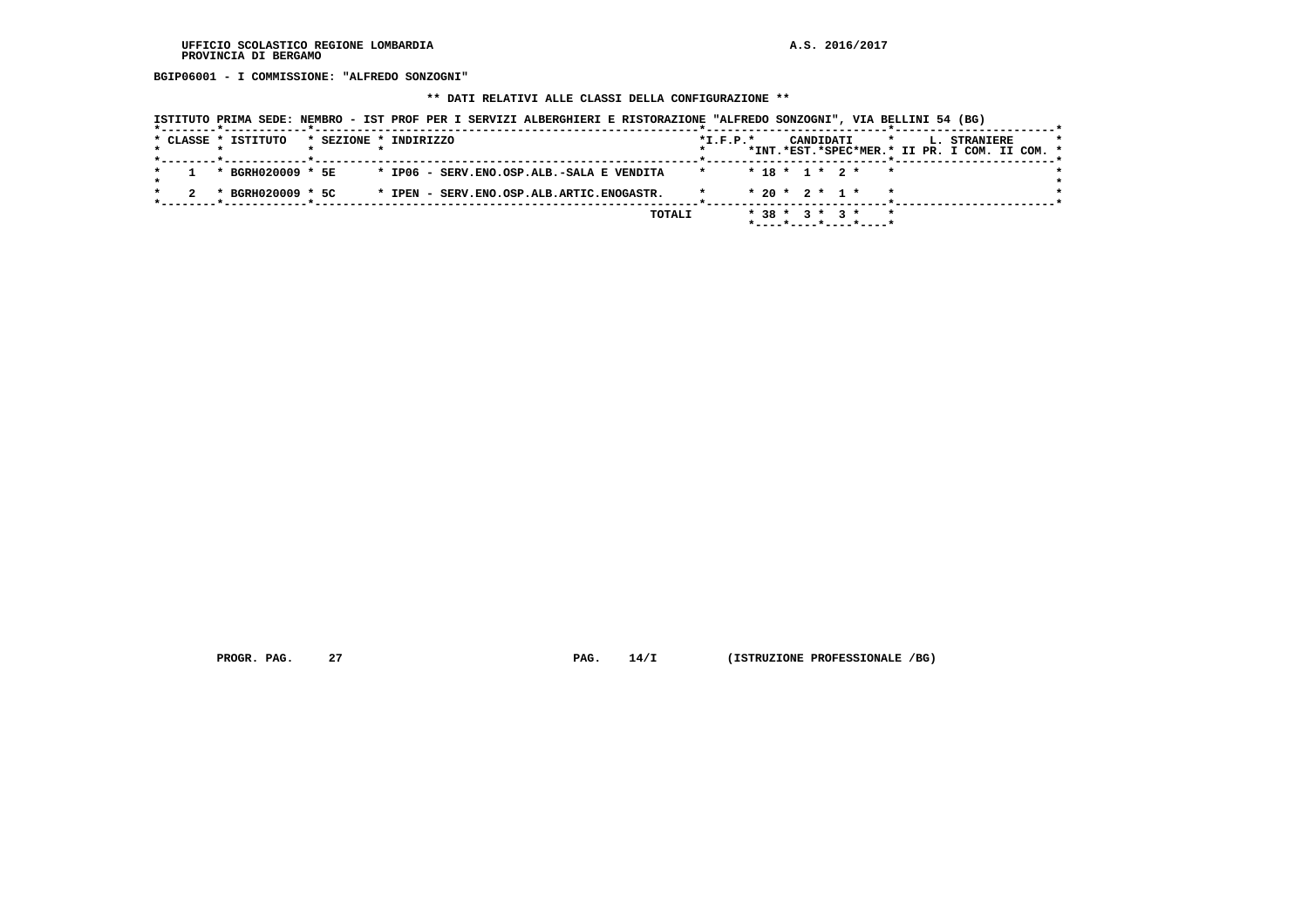**BGIP06001 - I COMMISSIONE: "ALFREDO SONZOGNI"**

### **\*\* DATI RELATIVI ALLE CLASSI DELLA CONFIGURAZIONE \*\***

|  |  |                     |                       |  |  |  |  | ISTITUTO PRIMA SEDE: NEMBRO - IST PROF PER I SERVIZI ALBERGHIERI E RISTORAZIONE "ALFREDO SONZOGNI", VIA BELLINI 54 (BG) |         |            |  |  |                  |                                                     |              |  |                                                                      |  |  |
|--|--|---------------------|-----------------------|--|--|--|--|-------------------------------------------------------------------------------------------------------------------------|---------|------------|--|--|------------------|-----------------------------------------------------|--------------|--|----------------------------------------------------------------------|--|--|
|  |  | * CLASSE * ISTITUTO | * SEZIONE * INDIRIZZO |  |  |  |  |                                                                                                                         |         | $*L.F.P.*$ |  |  | CANDIDATI        |                                                     | $\mathbf{r}$ |  | <b>L. STRANIERE</b><br>*INT.*EST.*SPEC*MER.* II PR. I COM. II COM. * |  |  |
|  |  | * BGRH020009 * 5E   |                       |  |  |  |  | * IP06 - SERV.ENO.OSP.ALB.-SALA E VENDITA                                                                               | $\star$ |            |  |  |                  | $* 18 * 1 * 2 * * *$                                |              |  |                                                                      |  |  |
|  |  | * BGRH020009 * 5C   |                       |  |  |  |  | * IPEN - SERV.ENO.OSP.ALB.ARTIC.ENOGASTR.                                                                               |         |            |  |  |                  | $* 20 * 2 * 1 * * *$                                |              |  |                                                                      |  |  |
|  |  |                     |                       |  |  |  |  | TOTALI                                                                                                                  |         |            |  |  | $* 38 * 3 * 3 *$ | $*$ - - - - $*$ - - - - $*$ - - - - $*$ - - - - $*$ |              |  |                                                                      |  |  |

 **PROGR. PAG.** 27 **PAG.** 14/I (ISTRUZIONE PROFESSIONALE /BG)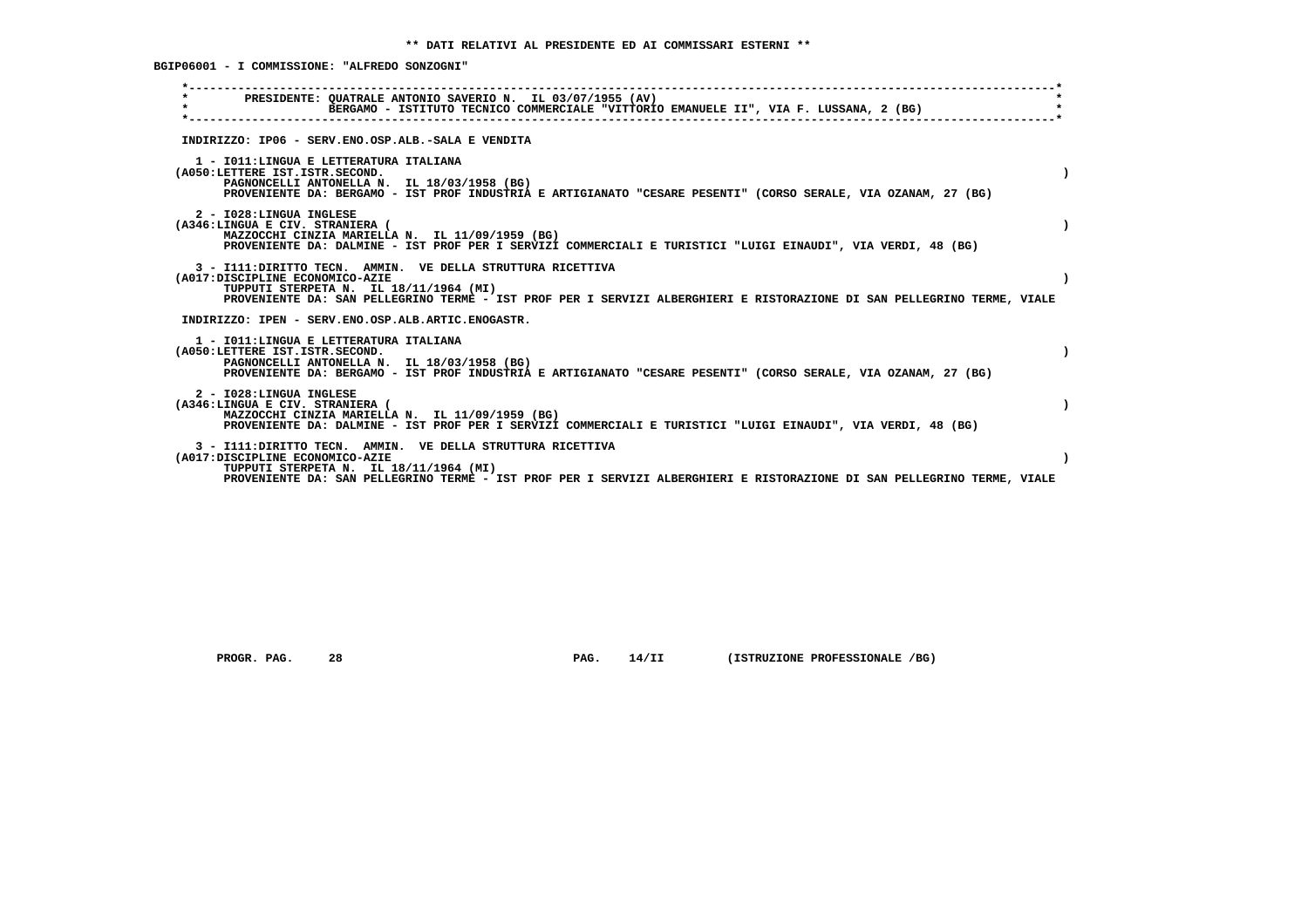**BGIP06001 - I COMMISSIONE: "ALFREDO SONZOGNI"**

| PRESIDENTE: OUATRALE ANTONIO SAVERIO N. IL 03/07/1955 (AV)<br>$\star$<br>BERGAMO - ISTITUTO TECNICO COMMERCIALE "VITTORIO EMANUELE II", VIA F. LUSSANA, 2 (BG)<br>INDIRIZZO: IP06 - SERV.ENO.OSP.ALB.-SALA E VENDITA<br>1 - IO11: LINGUA E LETTERATURA ITALIANA<br>(A050:LETTERE IST.ISTR.SECOND.<br>PAGNONCELLI ANTONELLA N. IL 18/03/1958 (BG)<br>PROVENIENTE DA: BERGAMO - IST PROF INDUSTRIA E ARTIGIANATO "CESARE PESENTI" (CORSO SERALE, VIA OZANAM, 27 (BG)<br>2 - I028:LINGUA INGLESE<br>(A346:LINGUA E CIV. STRANIERA (<br>MAZZOCCHI CINZIA MARIELLA N. IL 11/09/1959 (BG)<br>PROVENIENTE DA: DALMINE - IST PROF PER I SERVIZI COMMERCIALI E TURISTICI "LUIGI EINAUDI", VIA VERDI, 48 (BG)<br>3 - I111: DIRITTO TECN. AMMIN. VE DELLA STRUTTURA RICETTIVA<br>(A017:DISCIPLINE ECONOMICO-AZIE<br>TUPPUTI STERPETA N. IL 18/11/1964 (MI)<br>PROVENIENTE DA: SAN PELLEGRINO TERME - IST PROF PER I SERVIZI ALBERGHIERI E RISTORAZIONE DI SAN PELLEGRINO TERME, VIALE<br>INDIRIZZO: IPEN - SERV.ENO.OSP.ALB.ARTIC.ENOGASTR.<br>1 - IO11: LINGUA E LETTERATURA ITALIANA<br>(A050:LETTERE IST.ISTR.SECOND.<br>PAGNONCELLI ANTONELLA N. IL 18/03/1958 (BG)<br>PROVENIENTE DA: BERGAMO - IST PROF INDUSTRIA E ARTIGIANATO "CESARE PESENTI" (CORSO SERALE, VIA OZANAM, 27 (BG)<br>2 - I028:LINGUA INGLESE<br>(A346:LINGUA E CIV. STRANIERA (<br>MAZZOCCHI CINZIA MARIELLA N. IL 11/09/1959 (BG)<br>PROVENIENTE DA: DALMINE - IST PROF PER I SERVIZI COMMERCIALI E TURISTICI "LUIGI EINAUDI", VIA VERDI, 48 (BG)<br>3 - I111: DIRITTO TECN. AMMIN. VE DELLA STRUTTURA RICETTIVA<br>(A017:DISCIPLINE ECONOMICO-AZIE<br>TUPPUTI STERPETA N. IL 18/11/1964 (MI) |                                                                                                                         |  |
|-------------------------------------------------------------------------------------------------------------------------------------------------------------------------------------------------------------------------------------------------------------------------------------------------------------------------------------------------------------------------------------------------------------------------------------------------------------------------------------------------------------------------------------------------------------------------------------------------------------------------------------------------------------------------------------------------------------------------------------------------------------------------------------------------------------------------------------------------------------------------------------------------------------------------------------------------------------------------------------------------------------------------------------------------------------------------------------------------------------------------------------------------------------------------------------------------------------------------------------------------------------------------------------------------------------------------------------------------------------------------------------------------------------------------------------------------------------------------------------------------------------------------------------------------------------------------------------------------------------------------------------------------------------|-------------------------------------------------------------------------------------------------------------------------|--|
|                                                                                                                                                                                                                                                                                                                                                                                                                                                                                                                                                                                                                                                                                                                                                                                                                                                                                                                                                                                                                                                                                                                                                                                                                                                                                                                                                                                                                                                                                                                                                                                                                                                             |                                                                                                                         |  |
|                                                                                                                                                                                                                                                                                                                                                                                                                                                                                                                                                                                                                                                                                                                                                                                                                                                                                                                                                                                                                                                                                                                                                                                                                                                                                                                                                                                                                                                                                                                                                                                                                                                             |                                                                                                                         |  |
|                                                                                                                                                                                                                                                                                                                                                                                                                                                                                                                                                                                                                                                                                                                                                                                                                                                                                                                                                                                                                                                                                                                                                                                                                                                                                                                                                                                                                                                                                                                                                                                                                                                             |                                                                                                                         |  |
|                                                                                                                                                                                                                                                                                                                                                                                                                                                                                                                                                                                                                                                                                                                                                                                                                                                                                                                                                                                                                                                                                                                                                                                                                                                                                                                                                                                                                                                                                                                                                                                                                                                             |                                                                                                                         |  |
|                                                                                                                                                                                                                                                                                                                                                                                                                                                                                                                                                                                                                                                                                                                                                                                                                                                                                                                                                                                                                                                                                                                                                                                                                                                                                                                                                                                                                                                                                                                                                                                                                                                             |                                                                                                                         |  |
|                                                                                                                                                                                                                                                                                                                                                                                                                                                                                                                                                                                                                                                                                                                                                                                                                                                                                                                                                                                                                                                                                                                                                                                                                                                                                                                                                                                                                                                                                                                                                                                                                                                             |                                                                                                                         |  |
|                                                                                                                                                                                                                                                                                                                                                                                                                                                                                                                                                                                                                                                                                                                                                                                                                                                                                                                                                                                                                                                                                                                                                                                                                                                                                                                                                                                                                                                                                                                                                                                                                                                             |                                                                                                                         |  |
|                                                                                                                                                                                                                                                                                                                                                                                                                                                                                                                                                                                                                                                                                                                                                                                                                                                                                                                                                                                                                                                                                                                                                                                                                                                                                                                                                                                                                                                                                                                                                                                                                                                             |                                                                                                                         |  |
|                                                                                                                                                                                                                                                                                                                                                                                                                                                                                                                                                                                                                                                                                                                                                                                                                                                                                                                                                                                                                                                                                                                                                                                                                                                                                                                                                                                                                                                                                                                                                                                                                                                             | PROVENIENTE DA: SAN PELLEGRINO TERME - IST PROF PER I SERVIZI ALBERGHIERI E RISTORAZIONE DI SAN PELLEGRINO TERME, VIALE |  |

 **PROGR. PAG. 28 PAG. 14/II (ISTRUZIONE PROFESSIONALE /BG)**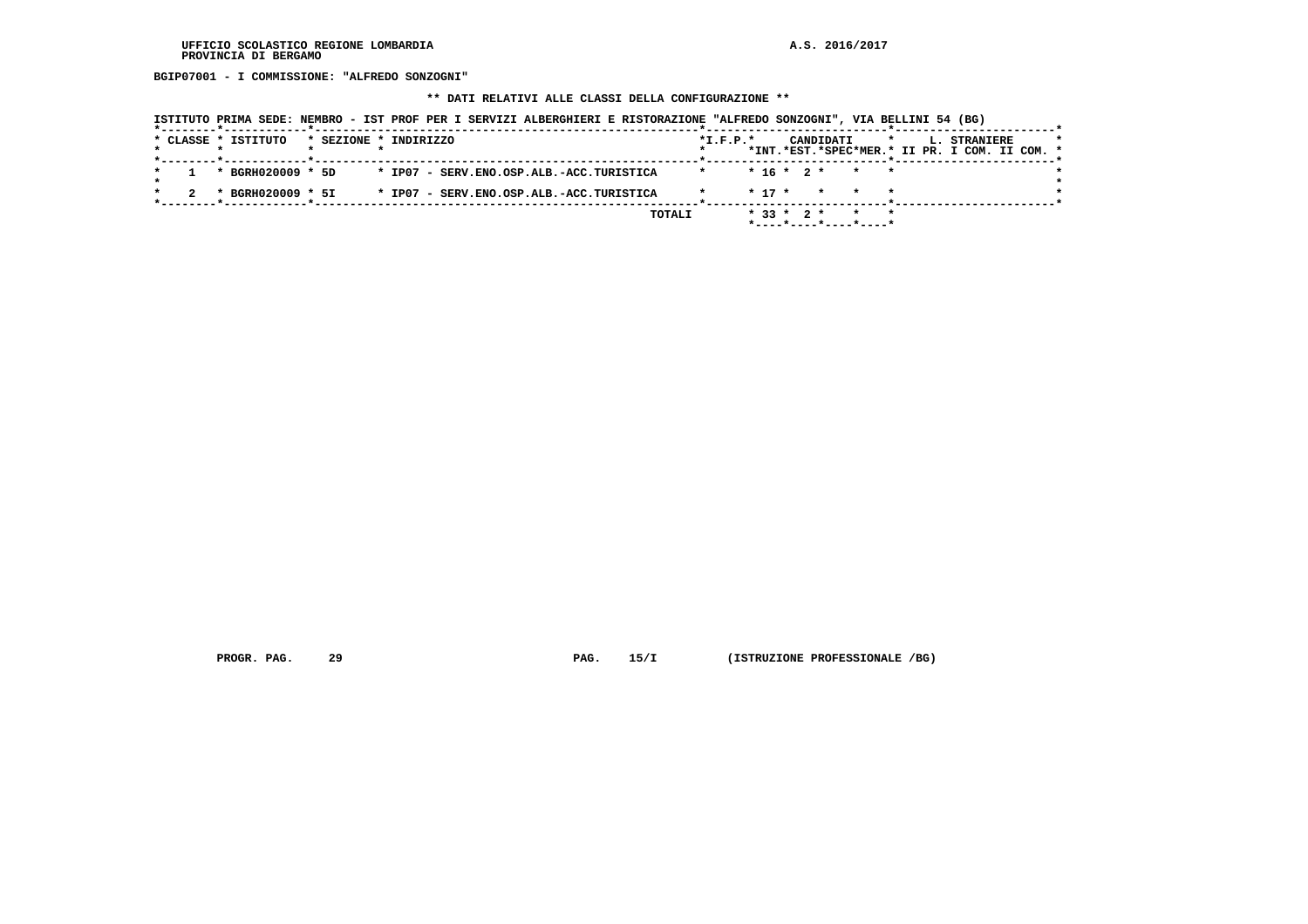**BGIP07001 - I COMMISSIONE: "ALFREDO SONZOGNI"**

#### **\*\* DATI RELATIVI ALLE CLASSI DELLA CONFIGURAZIONE \*\***

|  | * CLASSE * ISTITUTO                    | * SEZIONE * INDIRIZZO |  |  |  |                                          |        |         | $*L.F.P.*$ |                  |  | CANDIDATI             | $\mathbf{r}$ |  | <b>L. STRANIERE</b>                           |  | $\star$ |
|--|----------------------------------------|-----------------------|--|--|--|------------------------------------------|--------|---------|------------|------------------|--|-----------------------|--------------|--|-----------------------------------------------|--|---------|
|  | *--------*------------*--------------- |                       |  |  |  |                                          |        |         |            |                  |  |                       |              |  | *INT.*EST.*SPEC*MER.* II PR. I COM. II COM. * |  |         |
|  | * BGRH020009 * 5D                      |                       |  |  |  | * IP07 - SERV.ENO.OSP.ALB.-ACC.TURISTICA |        | $\star$ |            |                  |  | $* 16 * 2 * * * * *$  |              |  |                                               |  |         |
|  | * BGRH020009 * 5I                      |                       |  |  |  | * IP07 - SERV.ENO.OSP.ALB.-ACC.TURISTICA |        |         |            | $*$ 17 $*$       |  | * * *                 |              |  |                                               |  |         |
|  |                                        |                       |  |  |  |                                          | TOTALI |         |            | $*$ 33 $*$ 2 $*$ |  | *----*----*----*----* |              |  |                                               |  |         |

 **PROGR. PAG.** 29 **PAG.** 15/I (ISTRUZIONE PROFESSIONALE /BG)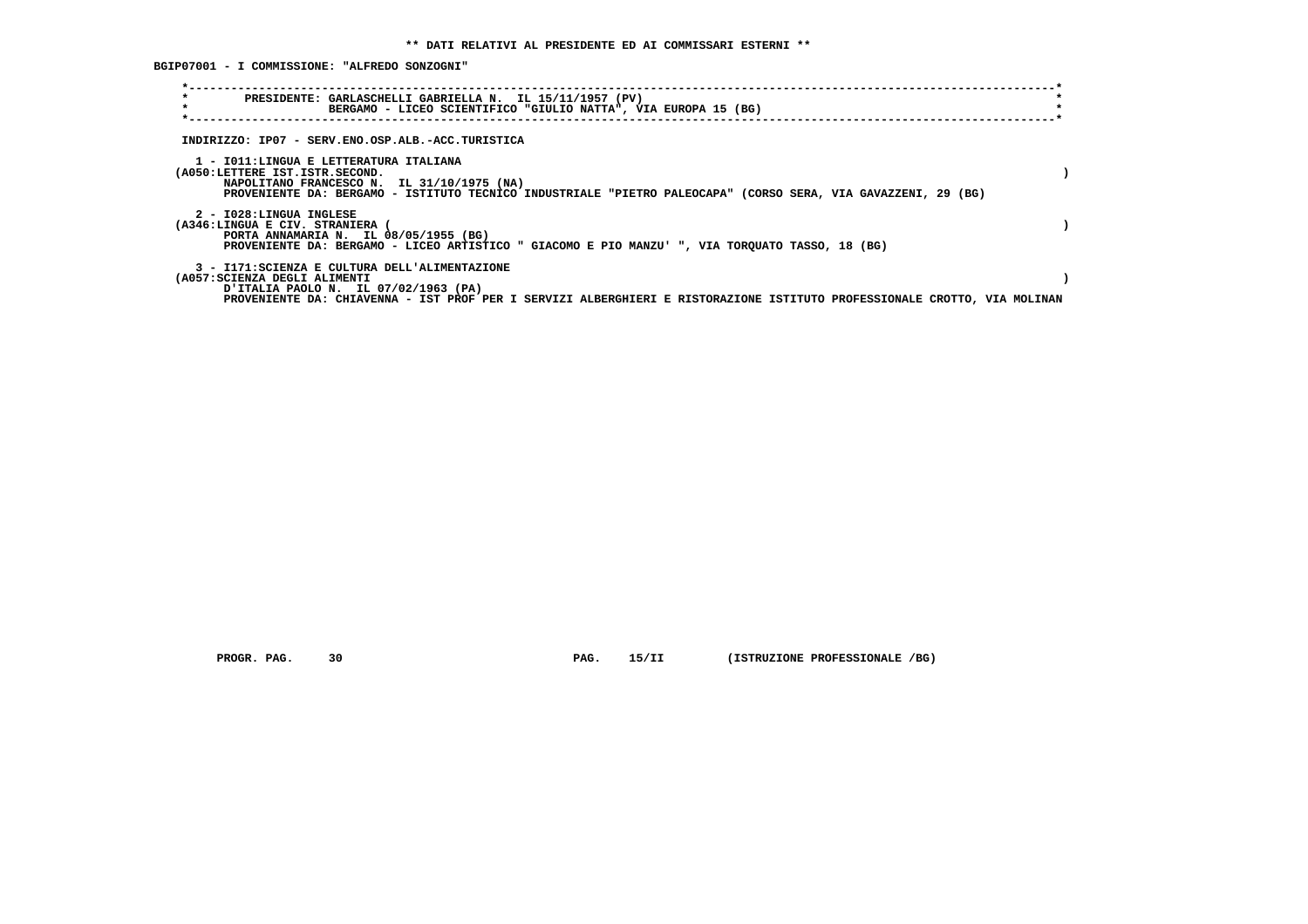**BGIP07001 - I COMMISSIONE: "ALFREDO SONZOGNI"**

| $\star$<br>$\star$                                                                                                    | PRESIDENTE: GARLASCHELLI GABRIELLA N. IL 15/11/1957 (PV)<br>BERGAMO - LICEO SCIENTIFICO "GIULIO NATTA", VIA EUROPA 15 (BG)                                  |  |
|-----------------------------------------------------------------------------------------------------------------------|-------------------------------------------------------------------------------------------------------------------------------------------------------------|--|
| INDIRIZZO: IP07 - SERV.ENO.OSP.ALB.-ACC.TURISTICA                                                                     |                                                                                                                                                             |  |
| 1 - IO11:LINGUA E LETTERATURA ITALIANA<br>(A050:LETTERE IST.ISTR.SECOND.                                              | NAPOLITANO FRANCESCO N. IL 31/10/1975 (NA)<br>PROVENIENTE DA: BERGAMO - ISTITUTO TECNICO INDUSTRIALE "PIETRO PALEOCAPA" (CORSO SERA, VIA GAVAZZENI, 29 (BG) |  |
| 2 - I028:LINGUA INGLESE<br>(A346:LINGUA E CIV. STRANIERA<br>PORTA ANNAMARIA N. IL 08/05/1955 (BG)                     | PROVENIENTE DA: BERGAMO - LICEO ARTISTICO " GIACOMO E PIO MANZU' ", VIA TORQUATO TASSO, 18 (BG)                                                             |  |
| 3 - I171:SCIENZA E CULTURA DELL'ALIMENTAZIONE<br>(A057:SCIENZA DEGLI ALIMENTI<br>U ITALIA PAOLO N. IL 07/02/1963 (PA) | PROVENIENTE DA: CHIAVENNA - IST PROF PER I SERVIZI ALBERGHIERI E RISTORAZIONE ISTITUTO PROFESSIONALE CROTTO, VIA MOLINAN                                    |  |

 **PROGR. PAG.** 30 **PAG.** 15/II (ISTRUZIONE PROFESSIONALE /BG)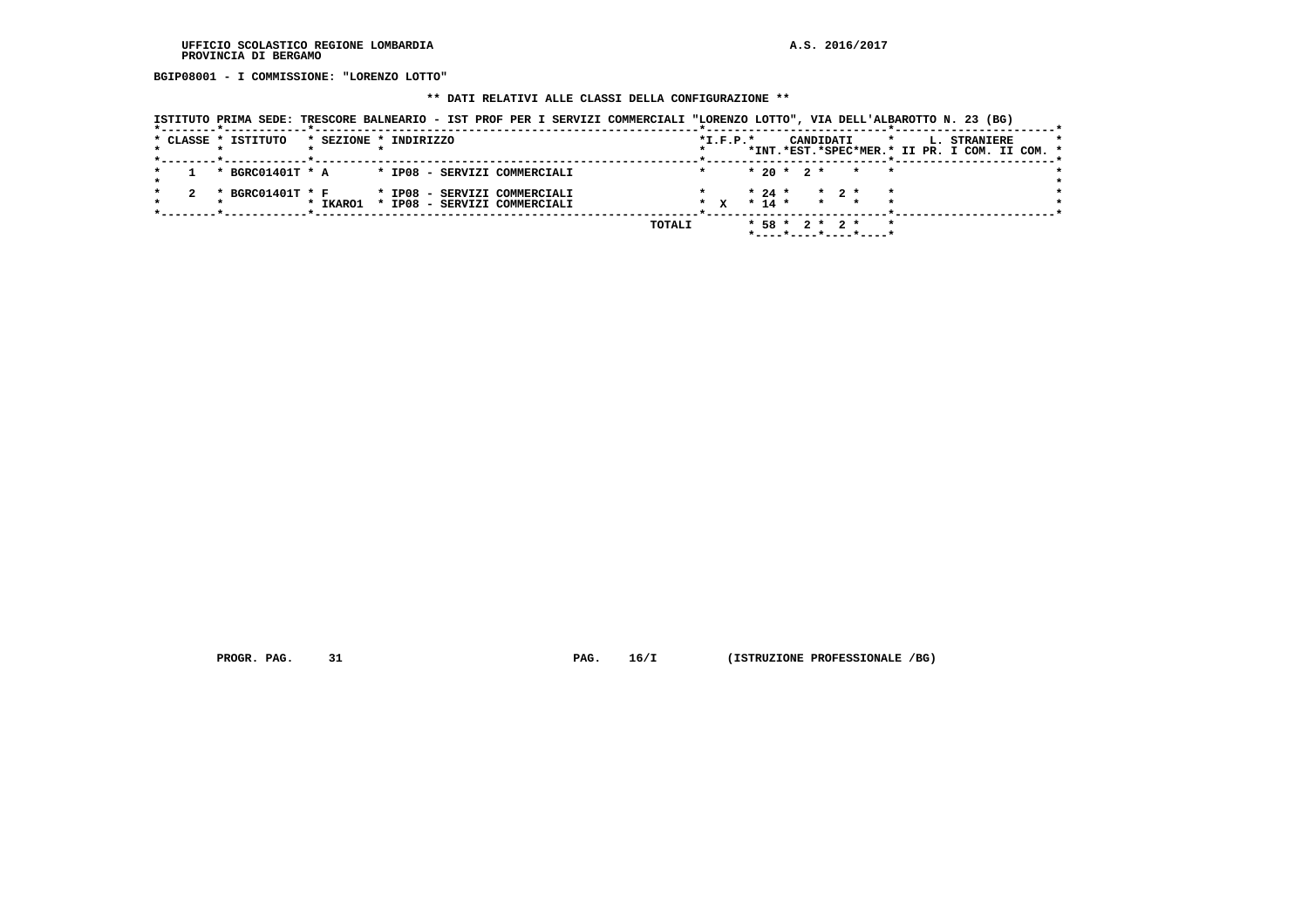**BGIP08001 - I COMMISSIONE: "LORENZO LOTTO"**

## **\*\* DATI RELATIVI ALLE CLASSI DELLA CONFIGURAZIONE \*\***

| ISTITUTO PRIMA SEDE: TRESCORE BALNEARIO - IST PROF PER I SERVIZI COMMERCIALI "LORENZO LOTTO", VIA DELL'ALBAROTTO N. 23 (BG) |                                                                                                          |
|-----------------------------------------------------------------------------------------------------------------------------|----------------------------------------------------------------------------------------------------------|
| * CLASSE * ISTITUTO<br>* SEZIONE * INDIRIZZO<br>*--------*------------*---------                                            | $*L.F.P.*$<br>CANDIDATI<br>$\mathbf{r}$<br>L. STRANIERE<br>*INT.*EST.*SPEC*MER.* II PR. I COM. II COM. * |
| * BGRC01401T * A * IP08 - SERVIZI COMMERCIALI                                                                               | $* 20 * 2 * * * * *$                                                                                     |
| * BGRC01401T * F<br>* IP08 - SERVIZI COMMERCIALI<br>* IP08 - SERVIZI COMMERCIALI<br>* IKARO1                                | $\star$ 2 $\star$<br>$* 24 *$<br>* x * 14 * * * * *                                                      |
| TOTALI                                                                                                                      | $*58 * 2 * 2 * * *$<br>*----*----*----*----*                                                             |

 **PROGR. PAG.** 31 **PAG.** 16/I (ISTRUZIONE PROFESSIONALE /BG)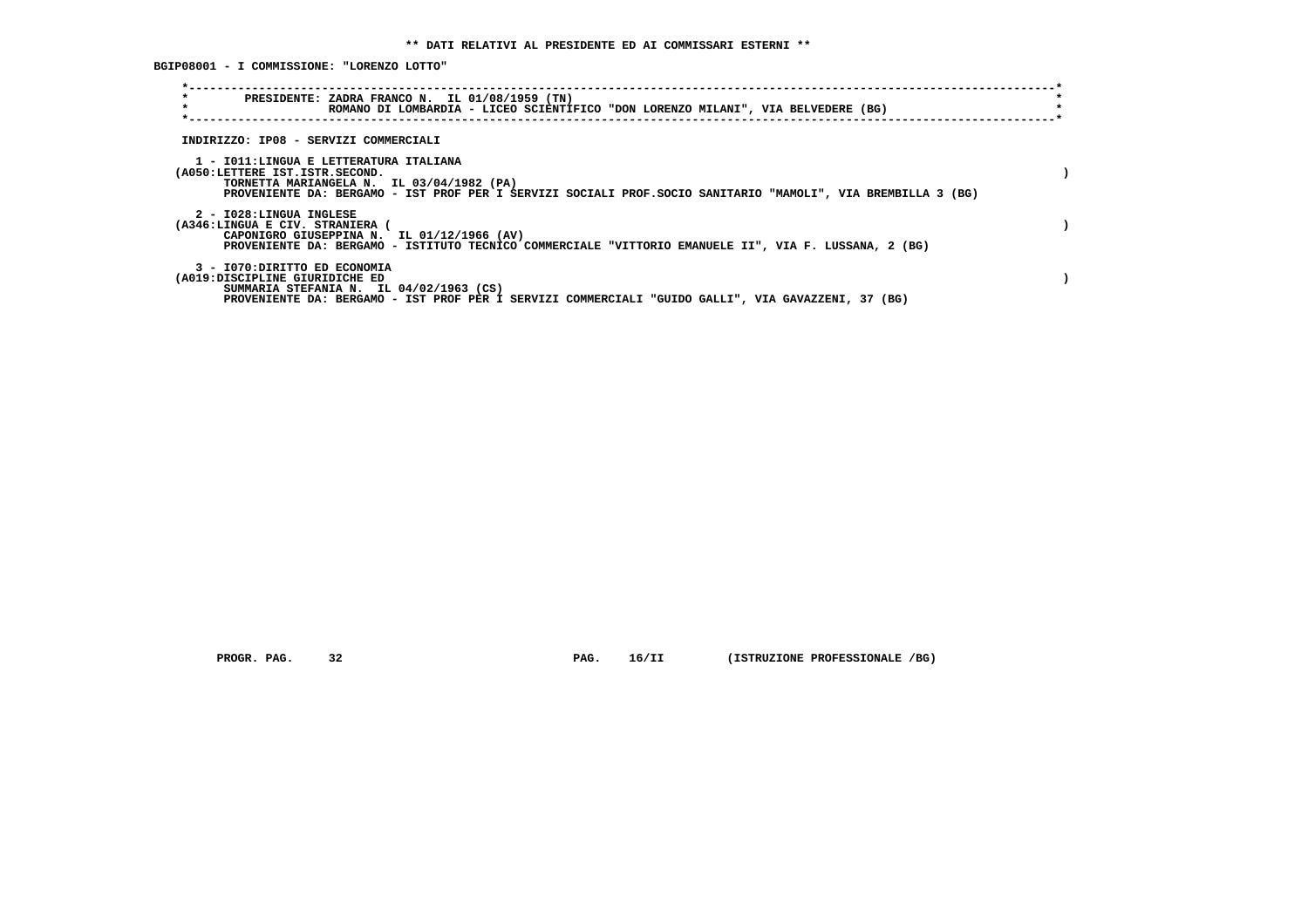**BGIP08001 - I COMMISSIONE: "LORENZO LOTTO"**

| $\star$<br>$\star$                                                       | PRESIDENTE: ZADRA FRANCO N. IL 01/08/1959 (TN)<br>ROMANO DI LOMBARDIA - LICEO SCIENTIFICO "DON LORENZO MILANI", VIA BELVEDERE (BG)                         |  |
|--------------------------------------------------------------------------|------------------------------------------------------------------------------------------------------------------------------------------------------------|--|
| INDIRIZZO: IP08 - SERVIZI COMMERCIALI                                    |                                                                                                                                                            |  |
| 1 - IO11:LINGUA E LETTERATURA ITALIANA<br>(A050:LETTERE IST.ISTR.SECOND. | TORNETTA MARIANGELA N. IL 03/04/1982 (PA)<br>PROVENIENTE DA: BERGAMO - IST PROF PER I SERVIZI SOCIALI PROF. SOCIO SANITARIO "MAMOLI", VIA BREMBILLA 3 (BG) |  |
| 2 - I028:LINGUA INGLESE<br>(A346:LINGUA E CIV. STRANIERA (               | CAPONIGRO GIUSEPPINA N. IL 01/12/1966 (AV)<br>PROVENIENTE DA: BERGAMO - ISTITUTO TECNICO COMMERCIALE "VITTORIO EMANUELE II", VIA F. LUSSANA, 2 (BG)        |  |
| 3 - I070: DIRITTO ED ECONOMIA<br>(A019:DISCIPLINE GIURIDICHE ED          | SUMMARIA STEFANIA N. IL $04/02/1963$ (CS)<br>PROVENIENTE DA: BERGAMO - IST PROF PER I SERVIZI COMMERCIALI "GUIDO GALLI", VIA GAVAZZENI, 37 (BG)            |  |

 **PROGR. PAG. 32 PAG. 16/II (ISTRUZIONE PROFESSIONALE /BG)**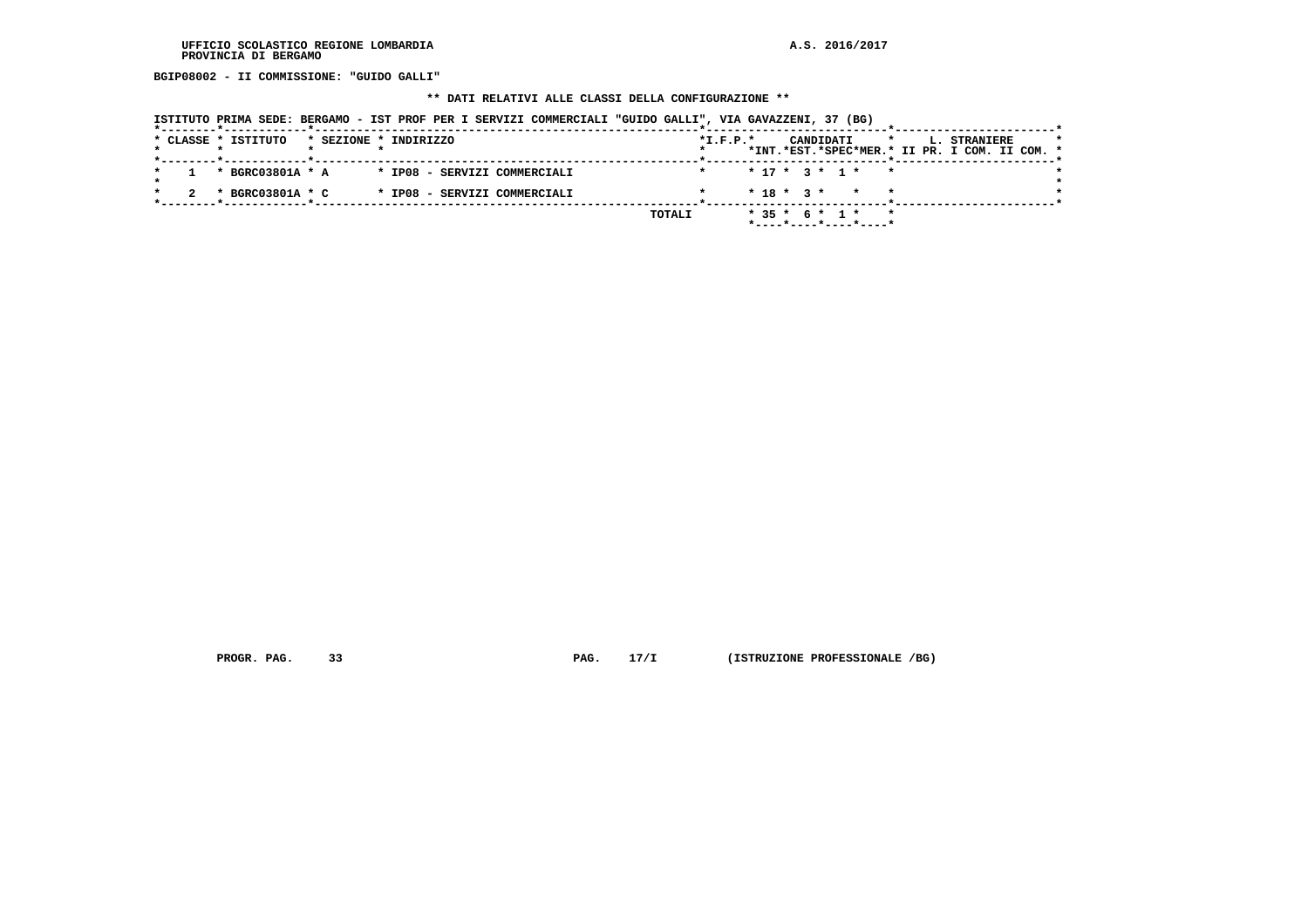**BGIP08002 - II COMMISSIONE: "GUIDO GALLI"**

### **\*\* DATI RELATIVI ALLE CLASSI DELLA CONFIGURAZIONE \*\***

|  | * CLASSE * ISTITUTO | * SEZIONE * INDIRIZZO |                                                 |        | $*L.F.P.*$ |  |  | CANDIDATI | $\mathbf{r}$                              |  | <b>L. STRANIERE</b><br>*INT.*EST.*SPEC*MER.* II PR. I COM. II COM. * |  | $\star$ |
|--|---------------------|-----------------------|-------------------------------------------------|--------|------------|--|--|-----------|-------------------------------------------|--|----------------------------------------------------------------------|--|---------|
|  |                     |                       | 1 * BGRC03801A * A * IP08 - SERVIZI COMMERCIALI |        |            |  |  |           | $* 17 * 3 * 1 * * *$                      |  |                                                                      |  |         |
|  | * BGRC03801A * C    |                       | * IP08 - SERVIZI COMMERCIALI                    |        |            |  |  |           | $* 18 * 3 * * * * *$                      |  |                                                                      |  |         |
|  |                     |                       |                                                 | TOTALI |            |  |  |           | * 35 * 6 * 1 * *<br>*----*----*----*----* |  |                                                                      |  |         |

 **PROGR. PAG.** 33 **PAG.** 17/I (ISTRUZIONE PROFESSIONALE /BG)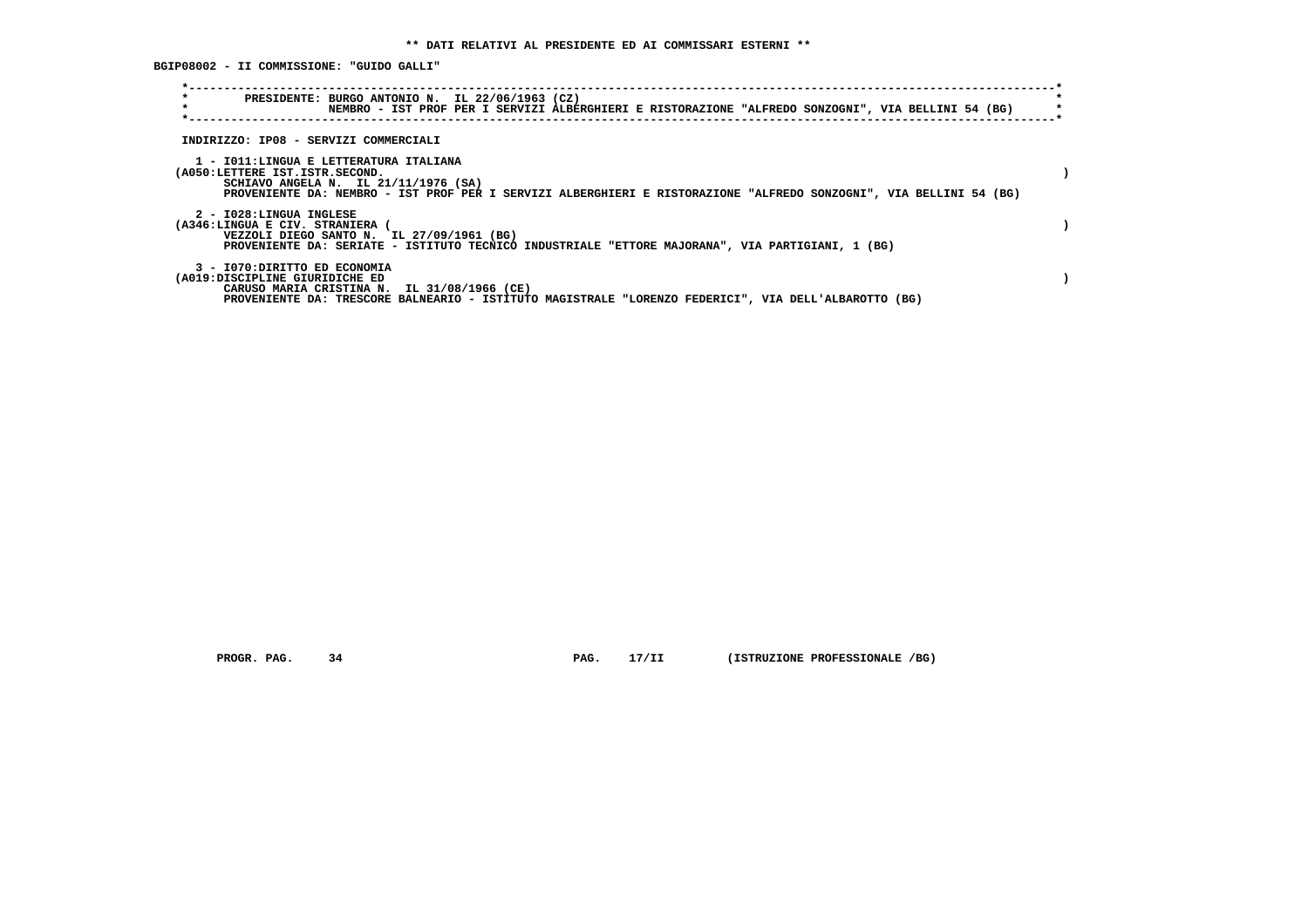**BGIP08002 - II COMMISSIONE: "GUIDO GALLI"**

| $\star$<br>$\star$                                              | PRESIDENTE: BURGO ANTONIO N. IL 22/06/1963 (CZ)<br>NEMBRO - IST PROF PER I SERVIZI ALBERGHIERI E RISTORAZIONE "ALFREDO SONZOGNI", VIA BELLINI 54 (BG)                                                  |  |
|-----------------------------------------------------------------|--------------------------------------------------------------------------------------------------------------------------------------------------------------------------------------------------------|--|
| INDIRIZZO: IP08 - SERVIZI COMMERCIALI                           |                                                                                                                                                                                                        |  |
| (A050:LETTERE IST.ISTR.SECOND.                                  | 1 - IO11:LINGUA E LETTERATURA ITALIANA<br>SCHIAVO ANGELA N. IL $21/11/1976$ (SA)<br>PROVENIENTE DA: NEMBRO - IST PROF PER I SERVIZI ALBERGHIERI E RISTORAZIONE "ALFREDO SONZOGNI", VIA BELLINI 54 (BG) |  |
| 2 - I028:LINGUA INGLESE<br>(A346:LINGUA E CIV. STRANIERA        | VEZZOLI DIEGO SANTO N. IL 27/09/1961 (BG)<br>PROVENIENTE DA: SERIATE - ISTITUTO TECNICO INDUSTRIALE "ETTORE MAJORANA", VIA PARTIGIANI, 1 (BG)                                                          |  |
| 3 - I070: DIRITTO ED ECONOMIA<br>(A019:DISCIPLINE GIURIDICHE ED | CARUSO MARIA CRISTINA N. IL 31/08/1966 (CE)<br>PROVENIENTE DA: TRESCORE BALNEARIO - ISTITUTO MAGISTRALE "LORENZO FEDERICI", VIA DELL'ALBAROTTO (BG)                                                    |  |

 **PROGR. PAG.** 34 **PAG.** 17/II (ISTRUZIONE PROFESSIONALE /BG)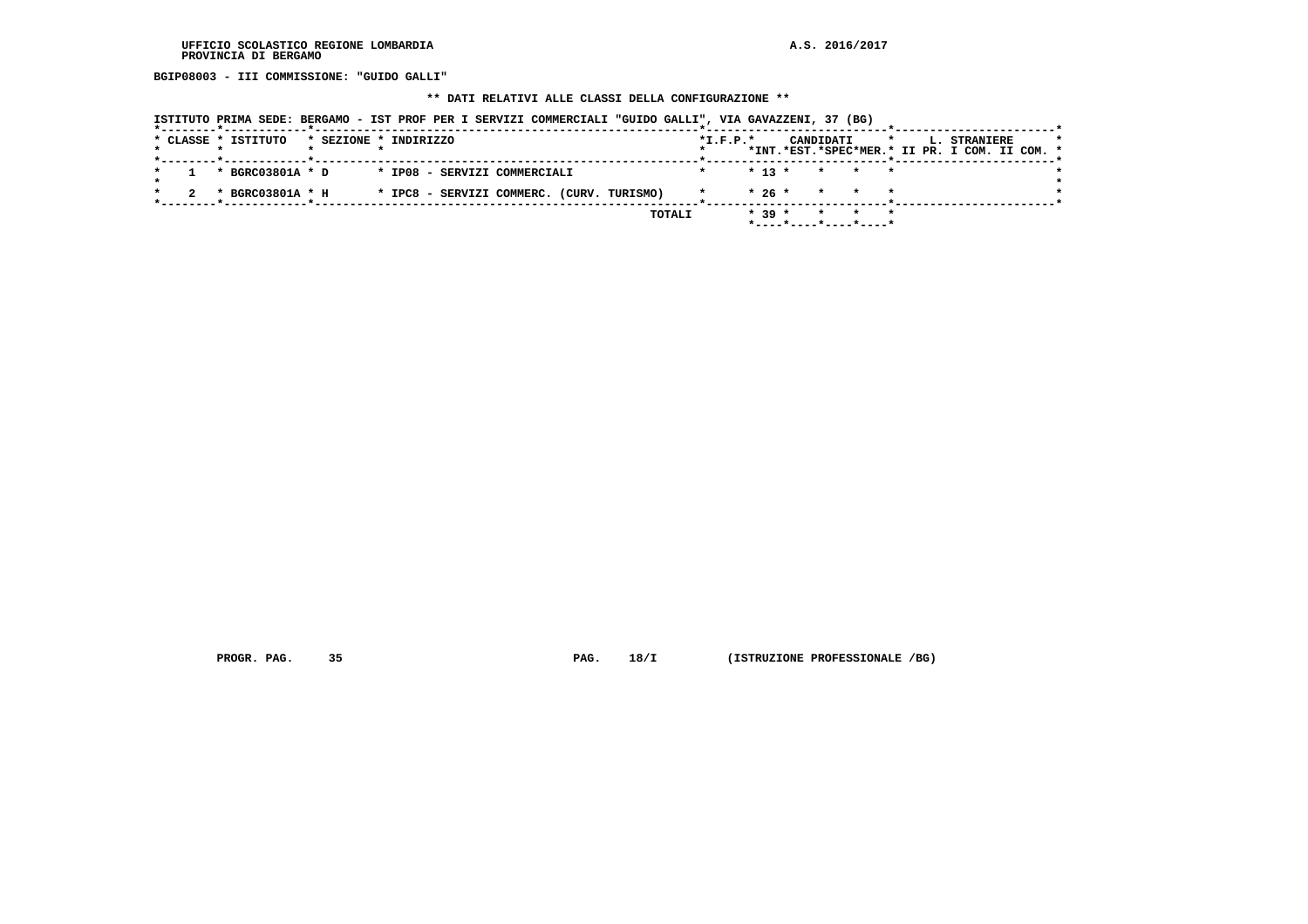**BGIP08003 - III COMMISSIONE: "GUIDO GALLI"**

### **\*\* DATI RELATIVI ALLE CLASSI DELLA CONFIGURAZIONE \*\***

|  | --------*------------*---------------- |  |                              |                                           |               |                |          |           |                                                     |  |                                                                      |  |         |
|--|----------------------------------------|--|------------------------------|-------------------------------------------|---------------|----------------|----------|-----------|-----------------------------------------------------|--|----------------------------------------------------------------------|--|---------|
|  | * CLASSE * ISTITUTO                    |  | * SEZIONE * INDIRIZZO        |                                           |               | $*$ I.F.P. $*$ |          | CANDIDATI | $\mathbf{r}$                                        |  | <b>L. STRANIERE</b><br>*INT.*EST.*SPEC*MER.* II PR. I COM. II COM. * |  | $\star$ |
|  |                                        |  |                              |                                           |               |                |          |           |                                                     |  |                                                                      |  |         |
|  | * BGRC03801A * D                       |  | * IP08 - SERVIZI COMMERCIALI |                                           |               |                |          |           | $* 13 * * * * * * *$                                |  |                                                                      |  |         |
|  |                                        |  |                              |                                           |               |                |          |           |                                                     |  |                                                                      |  |         |
|  | * BGRC03801A * H                       |  |                              | * IPC8 - SERVIZI COMMERC. (CURV. TURISMO) |               |                |          |           | $* 26 * * * * * * *$                                |  |                                                                      |  |         |
|  |                                        |  |                              |                                           |               |                |          |           |                                                     |  |                                                                      |  |         |
|  |                                        |  |                              |                                           | <b>TOTALI</b> |                | $* 39 *$ |           | * * *                                               |  |                                                                      |  |         |
|  |                                        |  |                              |                                           |               |                |          |           | $*$ - - - - $*$ - - - - $*$ - - - - $*$ - - - - $*$ |  |                                                                      |  |         |

 **PROGR. PAG. 35 PAG. 18/I (ISTRUZIONE PROFESSIONALE /BG)**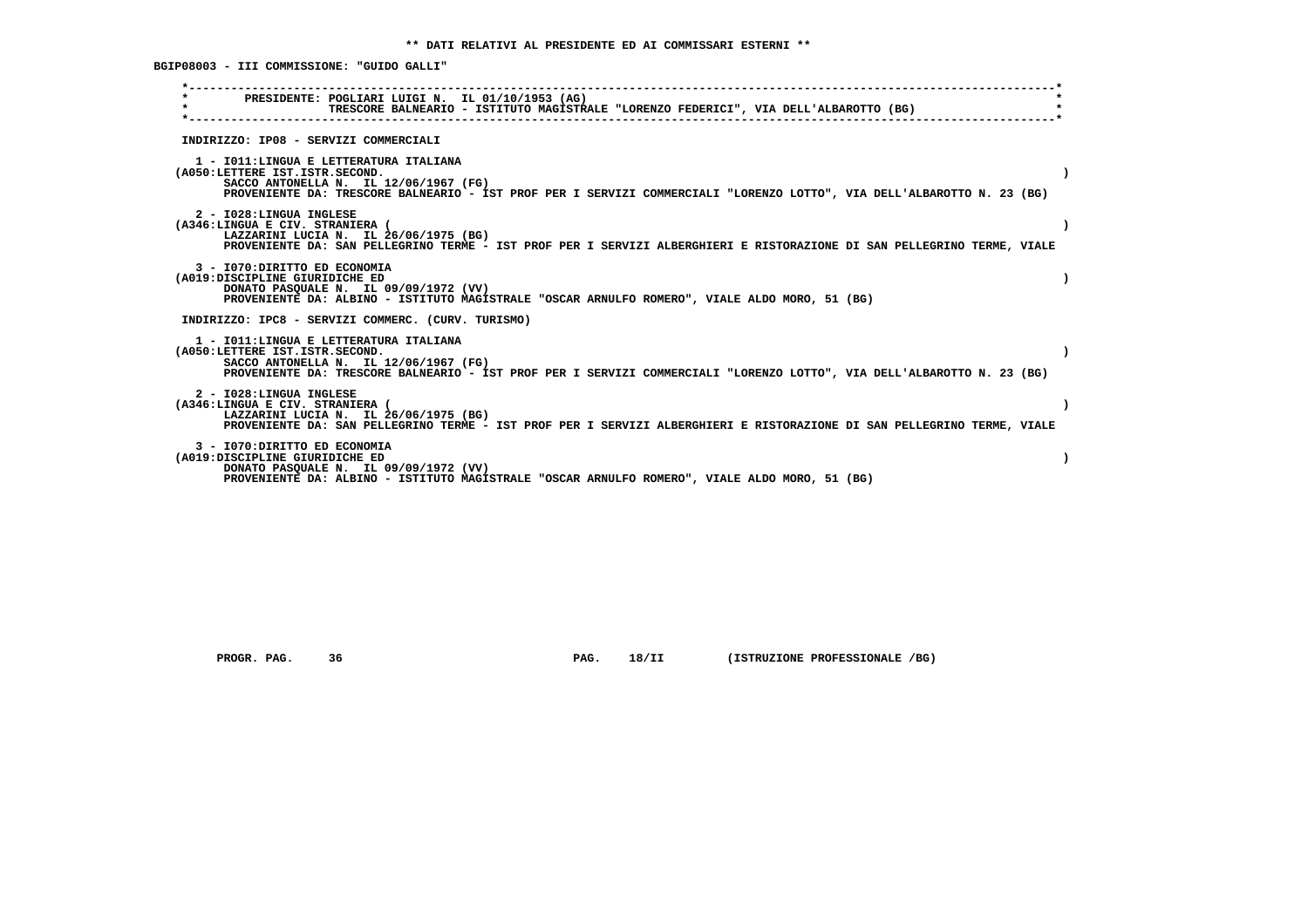**BGIP08003 - III COMMISSIONE: "GUIDO GALLI"**

|                                                                 | PRESIDENTE: POGLIARI LUIGI N. IL 01/10/1953 (AG)<br>TRESCORE BALNEARIO - ISTITUTO MAGISTRALE "LORENZO FEDERICI", VIA DELL'ALBAROTTO (BG)                                                                   |  |
|-----------------------------------------------------------------|------------------------------------------------------------------------------------------------------------------------------------------------------------------------------------------------------------|--|
|                                                                 | INDIRIZZO: IP08 - SERVIZI COMMERCIALI                                                                                                                                                                      |  |
| (A050:LETTERE IST.ISTR.SECOND.                                  | 1 - IO11: LINGUA E LETTERATURA ITALIANA<br>SACCO ANTONELLA N. IL 12/06/1967 (FG)<br>PROVENIENTE DA: TRESCORE BALNEARIO - IST PROF PER I SERVIZI COMMERCIALI "LORENZO LOTTO", VIA DELL'ALBAROTTO N. 23 (BG) |  |
| 2 - I028:LINGUA INGLESE<br>(A346:LINGUA E CIV. STRANIERA (      | LAZZARINI LUCIA N. IL 26/06/1975 (BG)<br>PROVENIENTE DA: SAN PELLEGRINO TERME - IST PROF PER I SERVIZI ALBERGHIERI E RISTORAZIONE DI SAN PELLEGRINO TERME, VIALE                                           |  |
| 3 - I070: DIRITTO ED ECONOMIA<br>(A019:DISCIPLINE GIURIDICHE ED | DONATO PASQUALE N. IL 09/09/1972 (VV)<br>PROVENIENTE DA: ALBINO - ISTITUTO MAGISTRALE "OSCAR ARNULFO ROMERO", VIALE ALDO MORO, 51 (BG)                                                                     |  |
|                                                                 | INDIRIZZO: IPC8 - SERVIZI COMMERC. (CURV. TURISMO)                                                                                                                                                         |  |
| (A050:LETTERE IST.ISTR.SECOND.                                  | 1 - IO11:LINGUA E LETTERATURA ITALIANA<br>SACCO ANTONELLA N. IL 12/06/1967 (FG)<br>PROVENIENTE DA: TRESCORE BALNEARIO - IST PROF PER I SERVIZI COMMERCIALI "LORENZO LOTTO", VIA DELL'ALBAROTTO N. 23 (BG)  |  |
| 2 - I028:LINGUA INGLESE<br>(A346:LINGUA E CIV. STRANIERA (      | LAZZARINI LUCIA N. IL 26/06/1975 (BG)<br>PROVENIENTE DA: SAN PELLEGRINO TERME - IST PROF PER I SERVIZI ALBERGHIERI E RISTORAZIONE DI SAN PELLEGRINO TERME, VIALE                                           |  |
| 3 - I070: DIRITTO ED ECONOMIA<br>(A019:DISCIPLINE GIURIDICHE ED | DONATO PASQUALE N. IL 09/09/1972 (VV)<br>PROVENIENTE DA: ALBINO - ISTITUTO MAGISTRALE "OSCAR ARNULFO ROMERO", VIALE ALDO MORO, 51 (BG)                                                                     |  |

 **PROGR. PAG. 36 PAG. 18/II (ISTRUZIONE PROFESSIONALE /BG)**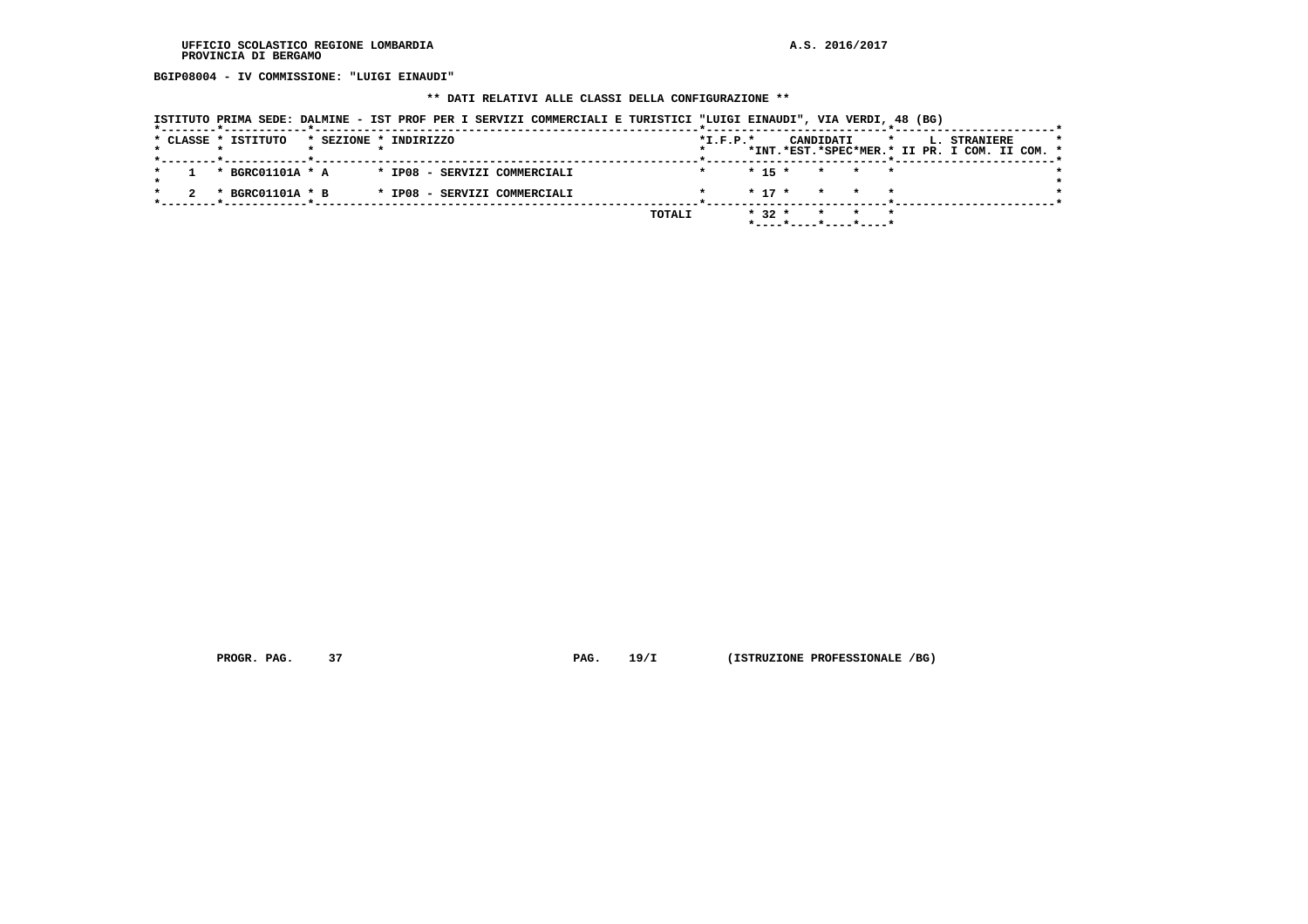**BGIP08004 - IV COMMISSIONE: "LUIGI EINAUDI"**

# **\*\* DATI RELATIVI ALLE CLASSI DELLA CONFIGURAZIONE \*\***

|  | ISTITUTO PRIMA SEDE: DALMINE - IST PROF PER I SERVIZI COMMERCIALI E TURISTICI "LUIGI EINAUDI", VIA VERDI, 48 (BG) |                       |                              |  |  |  |        |            |          |           |                                                                |              |  |                                                                      |  |  |
|--|-------------------------------------------------------------------------------------------------------------------|-----------------------|------------------------------|--|--|--|--------|------------|----------|-----------|----------------------------------------------------------------|--------------|--|----------------------------------------------------------------------|--|--|
|  | * CLASSE * ISTITUTO<br>*--------*------------*--------------                                                      | * SEZIONE * INDIRIZZO |                              |  |  |  |        | $*L.F.P.*$ |          | CANDIDATI |                                                                | $\mathbf{r}$ |  | <b>L. STRANIERE</b><br>*INT.*EST.*SPEC*MER.* II PR. I COM. II COM. * |  |  |
|  | * BGRC01101A * A * IP08 - SERVIZI COMMERCIALI                                                                     |                       |                              |  |  |  |        |            |          |           | $* 15 * * * * * *$                                             |              |  |                                                                      |  |  |
|  | * BGRC01101A * B                                                                                                  |                       | * IP08 - SERVIZI COMMERCIALI |  |  |  |        |            |          |           | $* 17 * * * * * *$                                             |              |  |                                                                      |  |  |
|  |                                                                                                                   |                       |                              |  |  |  | TOTALI |            | $* 32 *$ |           | * * *<br>$*$ - - - - $*$ - - - - $*$ - - - - $*$ - - - - - $*$ |              |  |                                                                      |  |  |

 **PROGR. PAG.** 37 **PAG.** 19/I (ISTRUZIONE PROFESSIONALE /BG)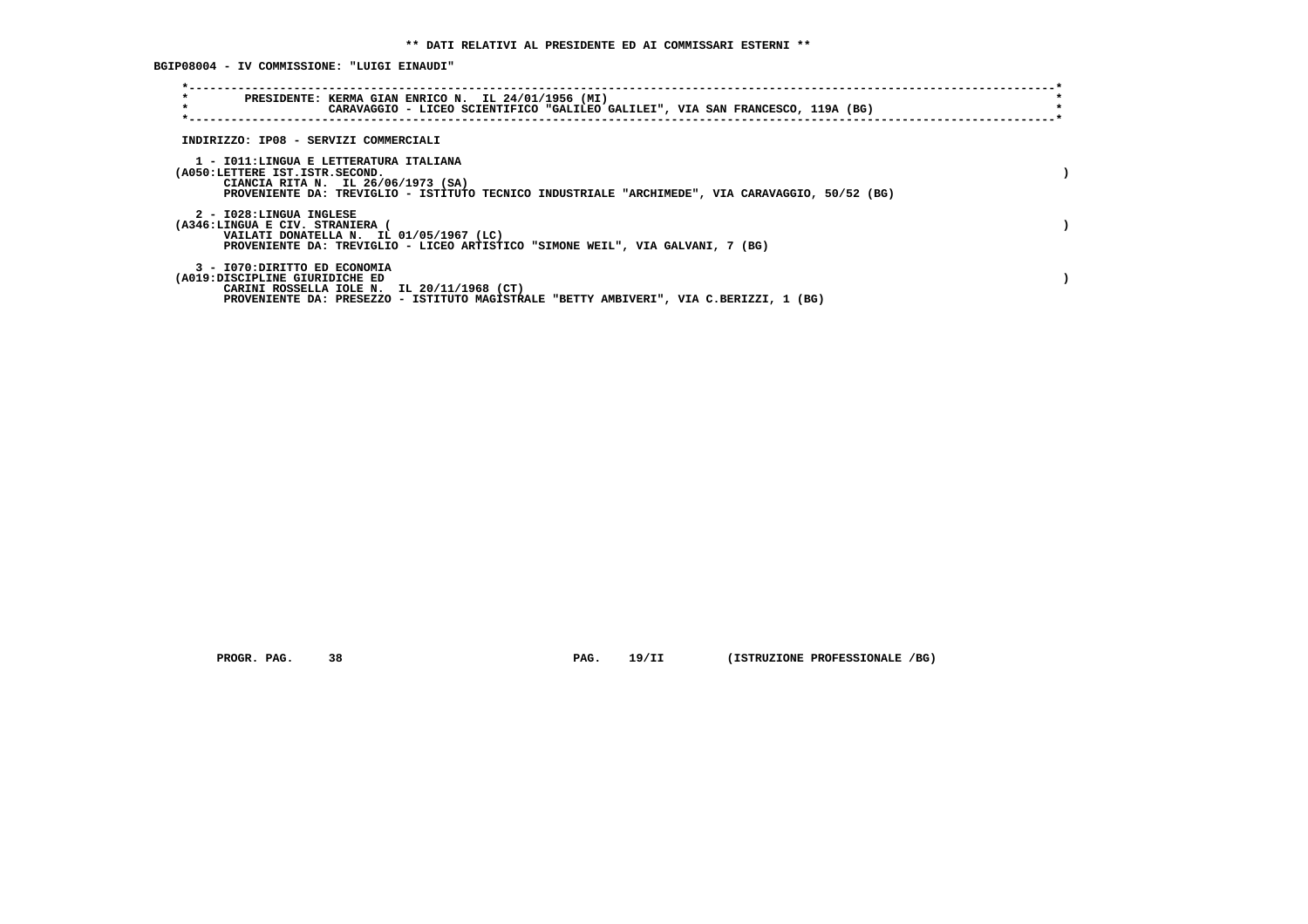**BGIP08004 - IV COMMISSIONE: "LUIGI EINAUDI"**

| $\star$<br>PRESIDENTE: KERMA GIAN ENRICO N. IL 24/01/1956 (MI)<br>$\star$<br>CARAVAGGIO - LICEO SCIENTIFICO "GALILEO GALILEI", VIA SAN FRANCESCO, 119A (BG)                                                        |  |
|--------------------------------------------------------------------------------------------------------------------------------------------------------------------------------------------------------------------|--|
| INDIRIZZO: IP08 - SERVIZI COMMERCIALI                                                                                                                                                                              |  |
| 1 - IO11:LINGUA E LETTERATURA ITALIANA<br>(A050:LETTERE IST.ISTR.SECOND.<br>CIANCIA RITA N. IL 26/06/1973 (SA)<br>PROVENIENTE DA: TREVIGLIO - ISTITUTO TECNICO INDUSTRIALE "ARCHIMEDE", VIA CARAVAGGIO, 50/52 (BG) |  |
| 2 - I028:LINGUA INGLESE<br>(A346:LINGUA E CIV. STRANIERA<br>VAILATI DONATELLA N. IL 01/05/1967 (LC)<br>PROVENIENTE DA: TREVIGLIO - LICEO ARTISTICO "SIMONE WEIL", VIA GALVANI, 7 (BG)                              |  |
| 3 - I070: DIRITTO ED ECONOMIA<br>(A019:DISCIPLINE GIURIDICHE ED<br>CARINI ROSSELLA IOLE N. IL 20/11/1968 (CT)<br>PROVENIENTE DA: PRESEZZO - ISTITUTO MAGISTRALE "BETTY AMBIVERI", VIA C.BERIZZI, 1 (BG)            |  |

 **PROGR. PAG. 38 PAG. 19/II (ISTRUZIONE PROFESSIONALE /BG)**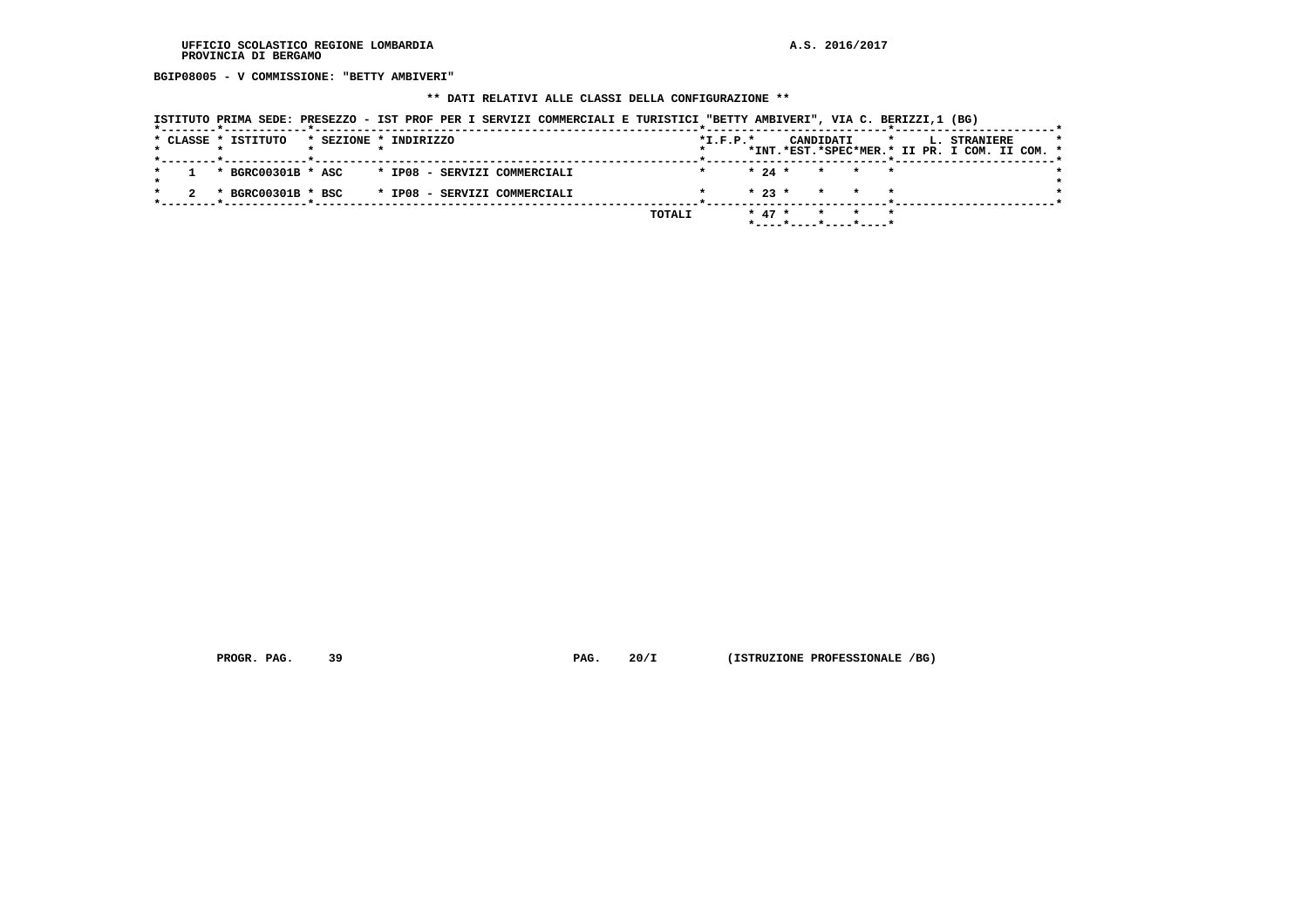**BGIP08005 - V COMMISSIONE: "BETTY AMBIVERI"**

## **\*\* DATI RELATIVI ALLE CLASSI DELLA CONFIGURAZIONE \*\***

| ISTITUTO PRIMA SEDE: PRESEZZO - IST PROF PER I SERVIZI COMMERCIALI E TURISTICI "BETTY AMBIVERI", VIA C. BERIZZI,1 (BG) |  |  |  |  |
|------------------------------------------------------------------------------------------------------------------------|--|--|--|--|
|------------------------------------------------------------------------------------------------------------------------|--|--|--|--|

|  | * CLASSE * ISTITUTO |  | * SEZIONE * INDIRIZZO                             |  |        | $*$ I.F.P. $*$ |          |                                            | CANDIDATI |       | $\mathbf{r}$ |  | <b>L. STRANIERE</b><br>*INT.*EST.*SPEC*MER.* II PR. I COM. II COM. * |  | $\star$ |
|--|---------------------|--|---------------------------------------------------|--|--------|----------------|----------|--------------------------------------------|-----------|-------|--------------|--|----------------------------------------------------------------------|--|---------|
|  |                     |  | 1 * BGRC00301B * ASC * IP08 - SERVIZI COMMERCIALI |  |        |                |          | $* 24 * * * * * * *$                       |           |       |              |  |                                                                      |  |         |
|  | * BGRC00301B * BSC  |  | * IP08 - SERVIZI COMMERCIALI                      |  |        |                |          | $\star$ 23 $\star$ $\star$ $\star$ $\star$ |           |       |              |  |                                                                      |  |         |
|  |                     |  |                                                   |  | TOTALI |                | $* 47 *$ |                                            |           | * * * |              |  |                                                                      |  |         |

 **PROGR. PAG.** 39 **PAG.** 20/I (ISTRUZIONE PROFESSIONALE /BG)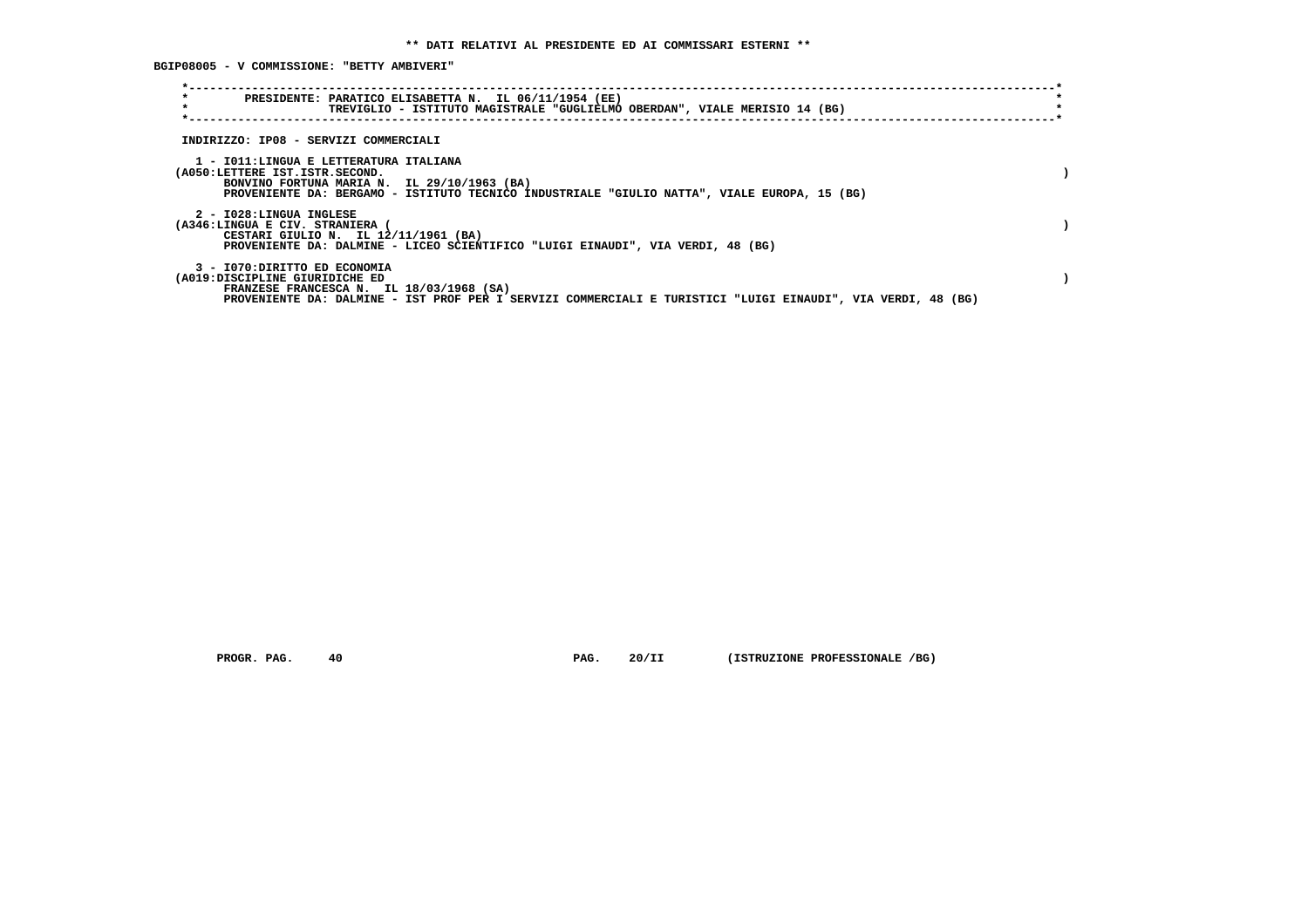**BGIP08005 - V COMMISSIONE: "BETTY AMBIVERI"**

|                                                                 | PRESIDENTE: PARATICO ELISABETTA N. IL 06/11/1954 (EE)<br>TREVIGLIO - ISTITUTO MAGISTRALE "GUGLIELMO OBERDAN", VIALE MERISIO 14 (BG)                                                   |  |
|-----------------------------------------------------------------|---------------------------------------------------------------------------------------------------------------------------------------------------------------------------------------|--|
| INDIRIZZO: IP08 - SERVIZI COMMERCIALI                           |                                                                                                                                                                                       |  |
| (A050:LETTERE IST.ISTR.SECOND.                                  | 1 - IO11:LINGUA E LETTERATURA ITALIANA<br>BONVINO FORTUNA MARIA N. IL 29/10/1963 (BA)<br>PROVENIENTE DA: BERGAMO - ISTITUTO TECNICO INDUSTRIALE "GIULIO NATTA", VIALE EUROPA, 15 (BG) |  |
| 2 - I028:LINGUA INGLESE<br>(A346:LINGUA E CIV. STRANIERA        | CESTARI GIULIO N. IL 12/11/1961 (BA)<br>PROVENIENTE DA: DALMINE - LICEO SCIENTIFICO "LUIGI EINAUDI", VIA VERDI, 48 (BG)                                                               |  |
| 3 - I070: DIRITTO ED ECONOMIA<br>(A019:DISCIPLINE GIURIDICHE ED | FRANZESE FRANCESCA N. IL 18/03/1968 (SA)<br>PROVENIENTE DA: DALMINE - IST PROF PER I SERVIZI COMMERCIALI E TURISTICI "LUIGI EINAUDI", VIA VERDI, 48 (BG)                              |  |

 **PROGR. PAG. 40 PAG. 20/II (ISTRUZIONE PROFESSIONALE /BG)**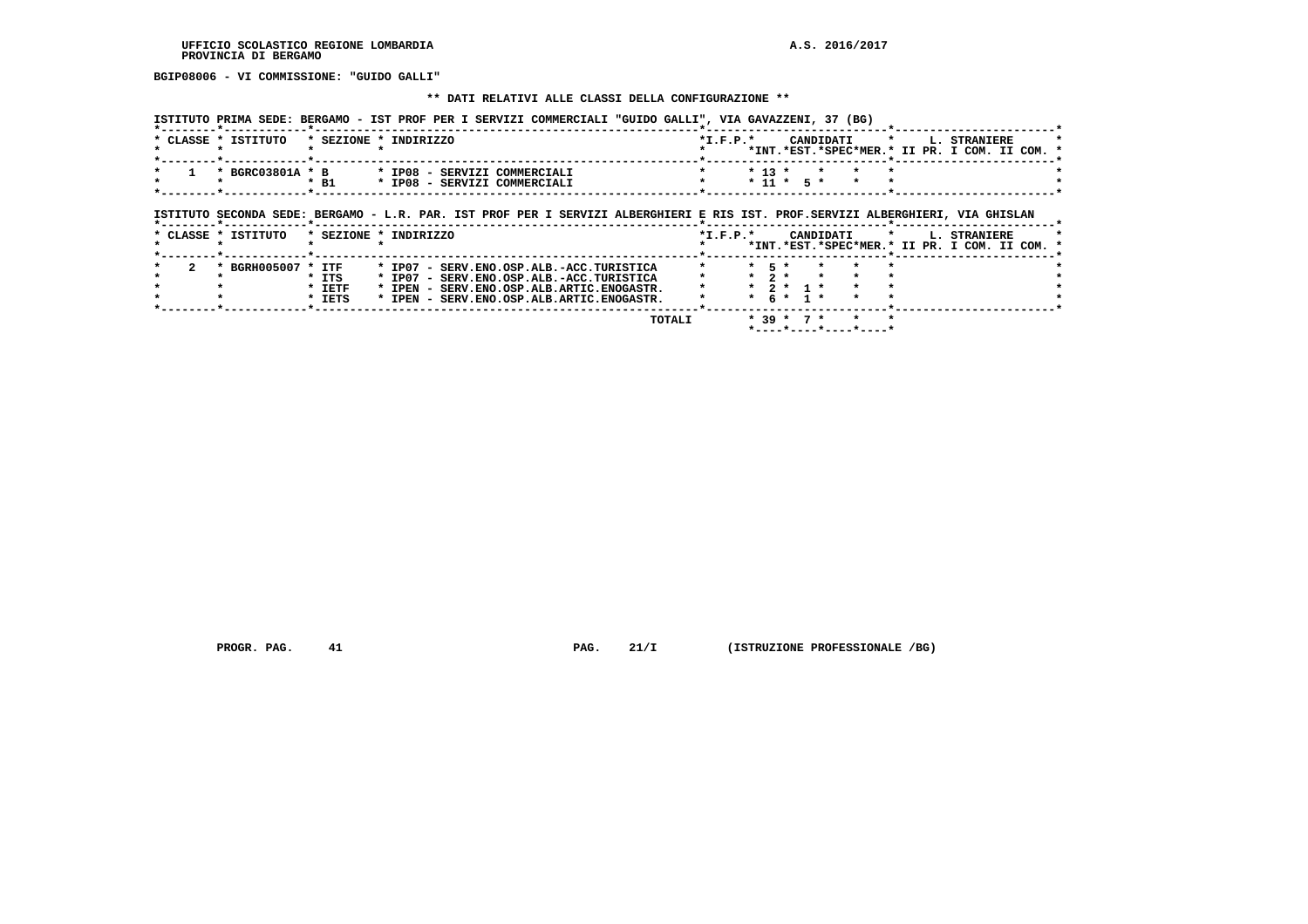**BGIP08006 - VI COMMISSIONE: "GUIDO GALLI"**

#### **\*\* DATI RELATIVI ALLE CLASSI DELLA CONFIGURAZIONE \*\***

 **ISTITUTO PRIMA SEDE: BERGAMO - IST PROF PER I SERVIZI COMMERCIALI "GUIDO GALLI", VIA GAVAZZENI, 37 (BG)**

|  | * CLASSE * ISTITUTO                                                       | * SEZIONE * INDIRIZZO |  |                              | $*T$ , $F$ , $D$ , $*$ |  |  |                    |  | CANDIDATI * L. STRANIERE                      |  | $\star$ |
|--|---------------------------------------------------------------------------|-----------------------|--|------------------------------|------------------------|--|--|--------------------|--|-----------------------------------------------|--|---------|
|  |                                                                           |                       |  |                              |                        |  |  |                    |  | *INT.*EST.*SPEC*MER.* II PR. I COM. II COM. * |  |         |
|  |                                                                           |                       |  |                              |                        |  |  |                    |  |                                               |  |         |
|  | $\star$ 1 $\star$ BGRC03801A $\star$ B $\star$ IP08 - SERVIZI COMMERCIALI |                       |  |                              |                        |  |  | $* 13 * * * * * *$ |  |                                               |  |         |
|  |                                                                           | $*$ B1                |  | * IP08 - SERVIZI COMMERCIALI |                        |  |  | * 11 * 5 * * *     |  |                                               |  |         |
|  |                                                                           |                       |  |                              |                        |  |  |                    |  |                                               |  |         |

## **ISTITUTO SECONDA SEDE: BERGAMO - L.R. PAR. IST PROF PER I SERVIZI ALBERGHIERI E RIS IST. PROF.SERVIZI ALBERGHIERI, VIA GHISLAN**

|  | * CLASSE * ISTITUTO |          | * SEZIONE * INDIRIZZO                          | $*L.F.P.*$ |           |                             | CANDIDATI |                       |  | L. STRANIERE                                  |  |  |
|--|---------------------|----------|------------------------------------------------|------------|-----------|-----------------------------|-----------|-----------------------|--|-----------------------------------------------|--|--|
|  |                     |          |                                                |            |           |                             |           |                       |  | *INT.*EST.*SPEC*MER.* II PR. I COM. II COM. * |  |  |
|  | BGRH005007 * ITF    |          | * IP07 - SERV.ENO.OSP.ALB.-ACC.TURISTICA       |            | $*$ 5 $*$ |                             |           |                       |  |                                               |  |  |
|  |                     | * ITS    | * IP07 - SERV.ENO.OSP.ALB.-ACC.TURISTICA       |            | $*$ 2 $*$ |                             |           |                       |  |                                               |  |  |
|  |                     | $*$ IETF | * IPEN - SERV. ENO. OSP. ALB. ARTIC. ENOGASTR. |            |           | $\star$ 2 $\star$ 1 $\star$ |           |                       |  |                                               |  |  |
|  |                     | * IETS   | * IPEN - SERV.ENO.OSP.ALB.ARTIC.ENOGASTR.      |            |           | $*$ 6 $*$ 1 $*$             |           |                       |  |                                               |  |  |
|  |                     |          |                                                |            |           |                             |           |                       |  |                                               |  |  |
|  |                     |          | TOTALI                                         |            |           | $* 39 * 7 *$                |           |                       |  |                                               |  |  |
|  |                     |          |                                                |            |           |                             |           | *----*----*----*----* |  |                                               |  |  |

 **PROGR. PAG.** 41 **PAG. 21/I** (ISTRUZIONE PROFESSIONALE /BG)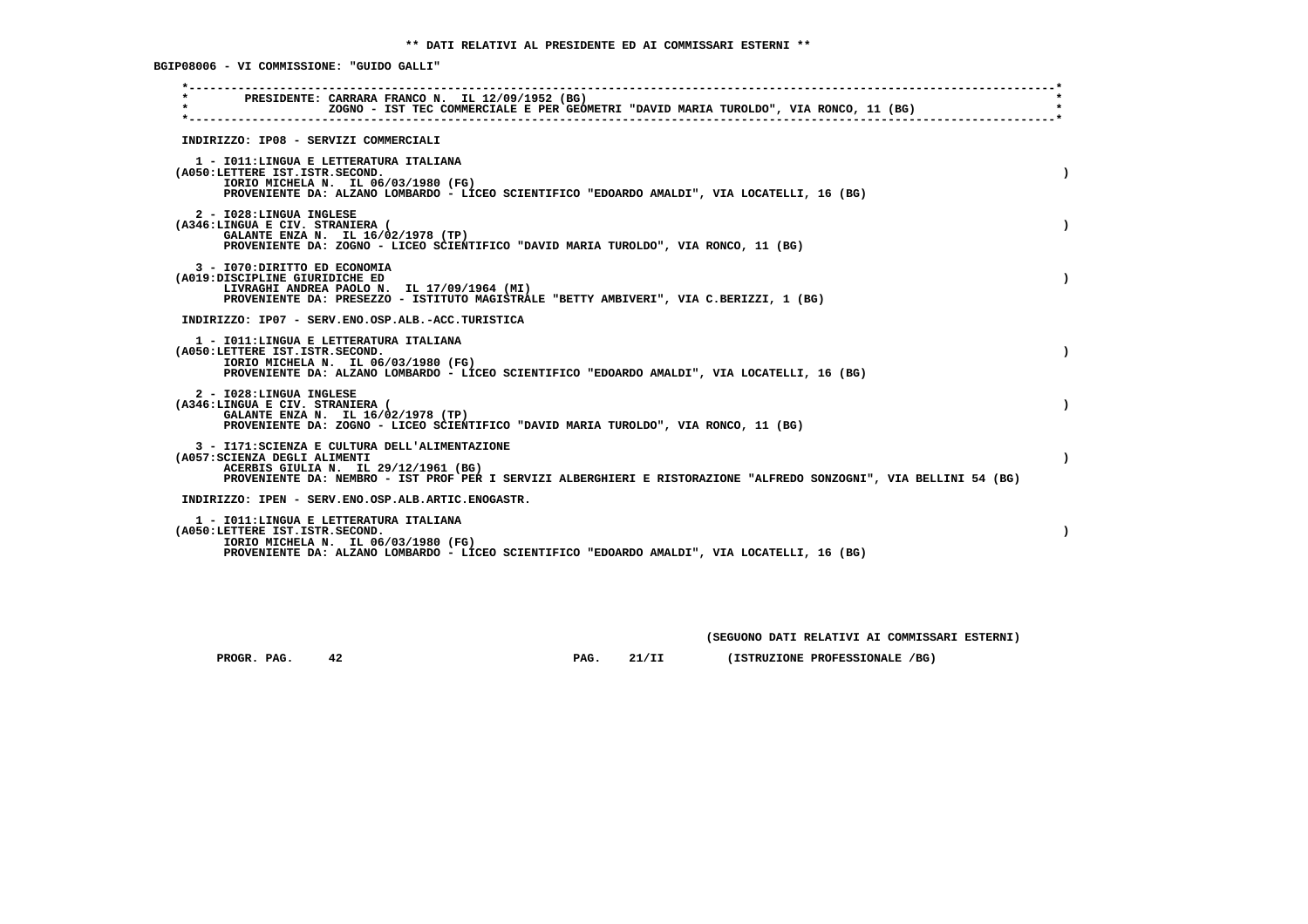**BGIP08006 - VI COMMISSIONE: "GUIDO GALLI"**

| $\star$ |                                                                 | PRESIDENTE: CARRARA FRANCO N. IL 12/09/1952 (BG)<br>ZOGNO - IST TEC COMMERCIALE E PER GEOMETRI "DAVID MARIA TUROLDO", VIA RONCO, 11 (BG)                                                                     |  |
|---------|-----------------------------------------------------------------|--------------------------------------------------------------------------------------------------------------------------------------------------------------------------------------------------------------|--|
|         |                                                                 | INDIRIZZO: IP08 - SERVIZI COMMERCIALI                                                                                                                                                                        |  |
|         | (A050:LETTERE IST.ISTR.SECOND.                                  | 1 - IO11: LINGUA E LETTERATURA ITALIANA<br>IORIO MICHELA N. IL 06/03/1980 (FG)<br>PROVENIENTE DA: ALZANO LOMBARDO - LICEO SCIENTIFICO "EDOARDO AMALDI", VIA LOCATELLI, 16 (BG)                               |  |
|         | 2 - I028:LINGUA INGLESE<br>(A346:LINGUA E CIV. STRANIERA (      | GALANTE ENZA N. IL 16/02/1978 (TP)<br>PROVENIENTE DA: ZOGNO - LICEO SCIENTIFICO "DAVID MARIA TUROLDO", VIA RONCO, 11 (BG)                                                                                    |  |
|         | 3 - I070: DIRITTO ED ECONOMIA<br>(A019:DISCIPLINE GIURIDICHE ED | LIVRAGHI ANDREA PAOLO N. IL 17/09/1964 (MI)<br>PROVENIENTE DA: PRESEZZO - ISTITUTO MAGISTRALE "BETTY AMBIVERI", VIA C.BERIZZI, 1 (BG)                                                                        |  |
|         |                                                                 | INDIRIZZO: IP07 - SERV.ENO.OSP.ALB.-ACC.TURISTICA                                                                                                                                                            |  |
|         | (A050:LETTERE IST.ISTR.SECOND.                                  | 1 - IO11:LINGUA E LETTERATURA ITALIANA<br>IORIO MICHELA N. IL 06/03/1980 (FG)<br>PROVENIENTE DA: ALZANO LOMBARDO - LICEO SCIENTIFICO "EDOARDO AMALDI", VIA LOCATELLI, 16 (BG)                                |  |
|         | 2 - I028:LINGUA INGLESE<br>(A346:LINGUA E CIV. STRANIERA (      | GALANTE ENZA N. IL 16/02/1978 (TP)<br>PROVENIENTE DA: ZOGNO - LICEO SCIENTIFICO "DAVID MARIA TUROLDO", VIA RONCO, 11 (BG)                                                                                    |  |
|         | (A057: SCIENZA DEGLI ALIMENTI                                   | 3 - I171: SCIENZA E CULTURA DELL'ALIMENTAZIONE<br>ACERBIS GIULIA N. IL 29/12/1961 (BG)<br>PROVENIENTE DA: NEMBRO - IST PROF PER I SERVIZI ALBERGHIERI E RISTORAZIONE "ALFREDO SONZOGNI", VIA BELLINI 54 (BG) |  |
|         |                                                                 | INDIRIZZO: IPEN - SERV.ENO.OSP.ALB.ARTIC.ENOGASTR.                                                                                                                                                           |  |
|         | (A050:LETTERE IST.ISTR.SECOND.                                  | 1 - IO11: LINGUA E LETTERATURA ITALIANA<br>IORIO MICHELA N. IL 06/03/1980 (FG)<br>PROVENIENTE DA: ALZANO LOMBARDO - LICEO SCIENTIFICO "EDOARDO AMALDI", VIA LOCATELLI, 16 (BG)                               |  |

 **(SEGUONO DATI RELATIVI AI COMMISSARI ESTERNI)**

 **PROGR. PAG.** 42 **PAG.** 21/II (ISTRUZIONE PROFESSIONALE /BG)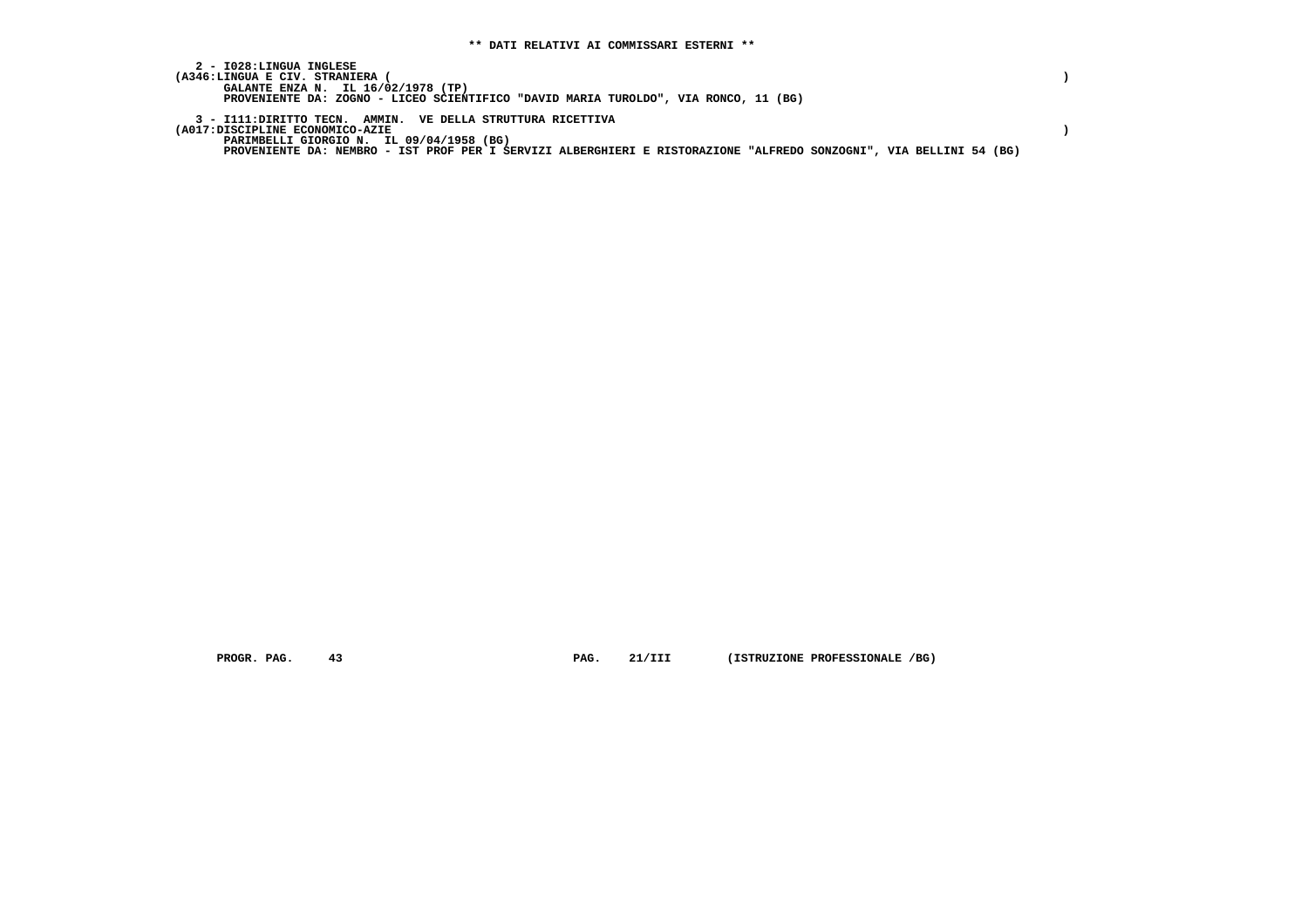| 2 - IO28:LINGUA INGLESE<br>(A346:LINGUA E CIV. STRANIERA (<br>GALANTE ENZA N. IL 16/02/1978 (TP)                   |  |
|--------------------------------------------------------------------------------------------------------------------|--|
| PROVENIENTE DA: ZOGNO - LICEO SCIENTIFICO "DAVID MARIA TUROLDO", VIA RONCO, 11 (BG)                                |  |
| 3 - I111: DIRITTO TECN. AMMIN. VE DELLA STRUTTURA RICETTIVA<br>(A017:DISCIPLINE ECONOMICO-AZIE                     |  |
| PARIMBELLI GIORGIO N. IL 09/04/1958 (BG)                                                                           |  |
| PROVENIENTE DA: NEMBRO - IST PROF PER I SERVIZI ALBERGHIERI E RISTORAZIONE "ALFREDO SONZOGNI", VIA BELLINI 54 (BG) |  |

 **PROGR. PAG.** 43 **PAG.** 21/III (ISTRUZIONE PROFESSIONALE /BG)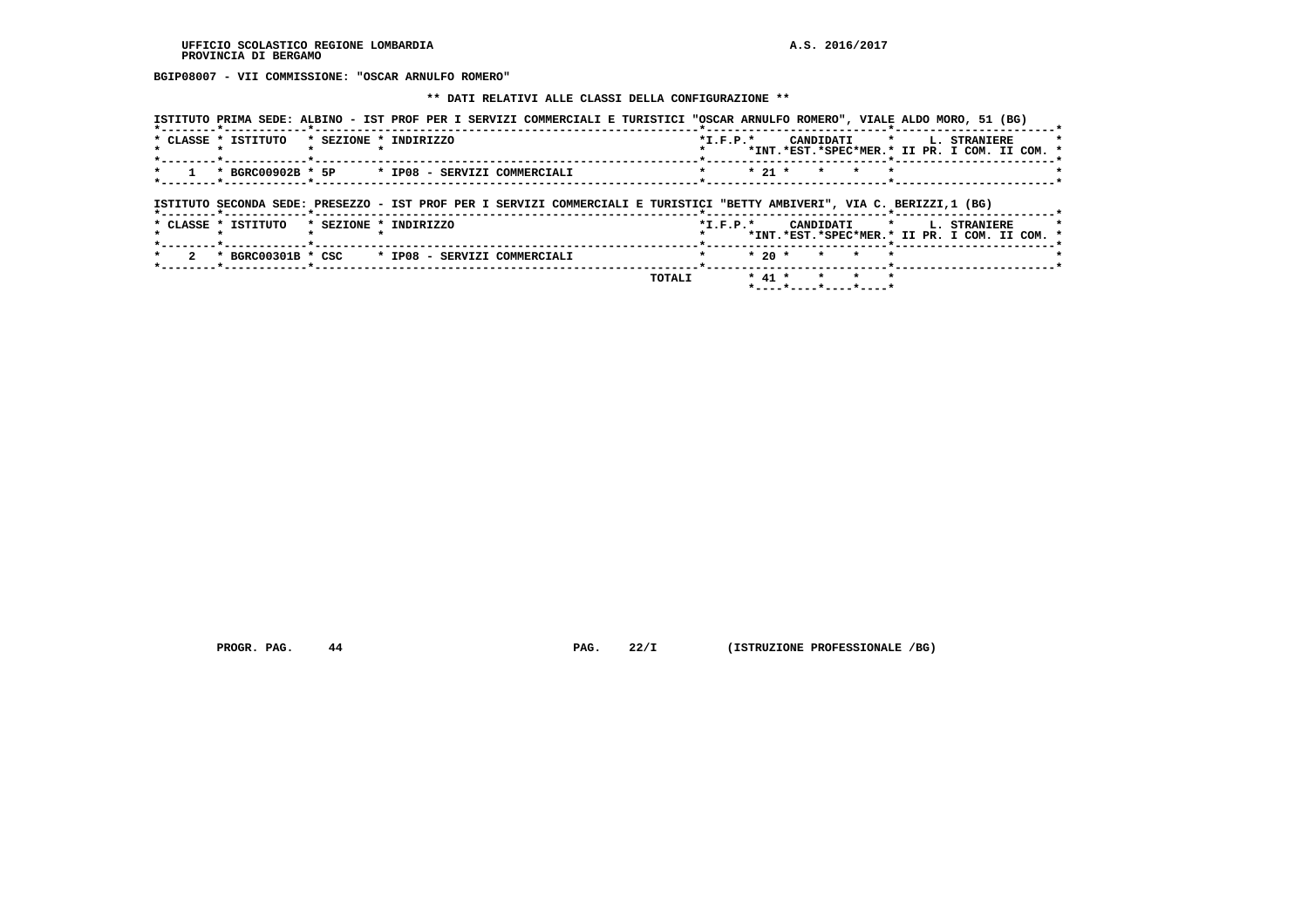**BGIP08007 - VII COMMISSIONE: "OSCAR ARNULFO ROMERO"**

#### **\*\* DATI RELATIVI ALLE CLASSI DELLA CONFIGURAZIONE \*\***

|                                 |                       | ISTITUTO PRIMA SEDE: ALBINO - IST PROF PER I SERVIZI COMMERCIALI E TURISTICI "OSCAR ARNULFO ROMERO", VIALE ALDO MORO, 51 (BG) |                                                  |                                                                                    |
|---------------------------------|-----------------------|-------------------------------------------------------------------------------------------------------------------------------|--------------------------------------------------|------------------------------------------------------------------------------------|
| * CLASSE * ISTITUTO             | * SEZIONE * INDIRIZZO |                                                                                                                               |                                                  | *I.F.P.* CANDIDATI * L. STRANIERE<br>*INT.*EST.*SPEC*MER.* II PR. I COM. II COM. * |
|                                 |                       | * BGRC00902B * 5P * IP08 - SERVIZI COMMERCIALI                                                                                | $*$ 21 $*$<br>$\mathbf{r}$<br>$\star$<br>$\star$ |                                                                                    |
| *--------*------------*-------- |                       | ISTITUTO SECONDA SEDE: PRESEZZO - IST PROF PER I SERVIZI COMMERCIALI E TURISTICI "BETTY AMBIVERI", VIA C. BERIZZI,1 (BG)      |                                                  |                                                                                    |
| * CLASSE * ISTITUTO             | * SEZIONE * INDIRIZZO |                                                                                                                               |                                                  | *I.F.P.* CANDIDATI * L. STRANIERE                                                  |
|                                 |                       |                                                                                                                               |                                                  | *INT.*EST.*SPEC*MER.* II PR. I COM. II COM. *                                      |
|                                 |                       | * BGRC00301B * CSC * IP08 - SERVIZI COMMERCIALI                                                                               | $*20$ $*$<br>$\star$<br>$\star$ $\star$          |                                                                                    |

 **PROGR. PAG.** 44 **PAG.** 22/I (ISTRUZIONE PROFESSIONALE /BG)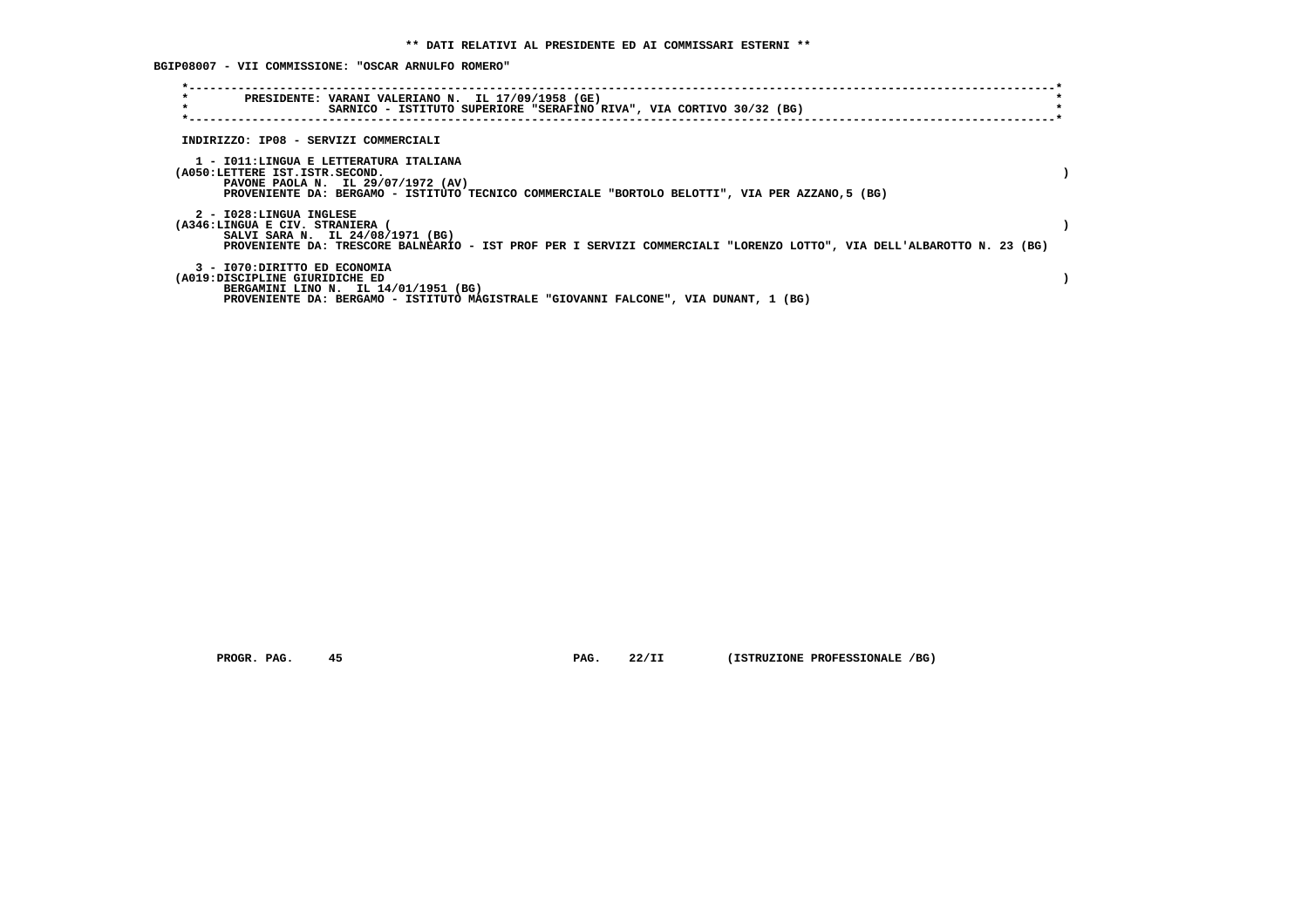**BGIP08007 - VII COMMISSIONE: "OSCAR ARNULFO ROMERO"**

| $\star$<br>$\star$                                              | PRESIDENTE: VARANI VALERIANO N. IL 17/09/1958 (GE)<br>SARNICO - ISTITUTO SUPERIORE "SERAFINO RIVA", VIA CORTIVO 30/32 (BG)                                                       |  |
|-----------------------------------------------------------------|----------------------------------------------------------------------------------------------------------------------------------------------------------------------------------|--|
| INDIRIZZO: IP08 - SERVIZI COMMERCIALI                           |                                                                                                                                                                                  |  |
| (A050:LETTERE IST.ISTR.SECOND.                                  | 1 - IO11:LINGUA E LETTERATURA ITALIANA<br>PAVONE PAOLA N. IL 29/07/1972 (AV)<br>PROVENIENTE DA: BERGAMO - ISTITUTO TECNICO COMMERCIALE "BORTOLO BELOTTI", VIA PER AZZANO, 5 (BG) |  |
| 2 - I028:LINGUA INGLESE<br>(A346:LINGUA E CIV. STRANIERA        | SALVI SARA N. IL 24/08/1971 (BG)<br>PROVENIENTE DA: TRESCORE BALNEARIO - IST PROF PER I SERVIZI COMMERCIALI "LORENZO LOTTO", VIA DELL'ALBAROTTO N. 23 (BG)                       |  |
| 3 - I070: DIRITTO ED ECONOMIA<br>(A019:DISCIPLINE GIURIDICHE ED | BERGAMINI LINO N. IL 14/01/1951 (BG)<br>PROVENIENTE DA: BERGAMO - ISTITUTO MAGISTRALE "GIOVANNI FALCONE", VIA DUNANT, 1 (BG)                                                     |  |

 **PROGR. PAG. 45 PAG. 22/II (ISTRUZIONE PROFESSIONALE /BG)**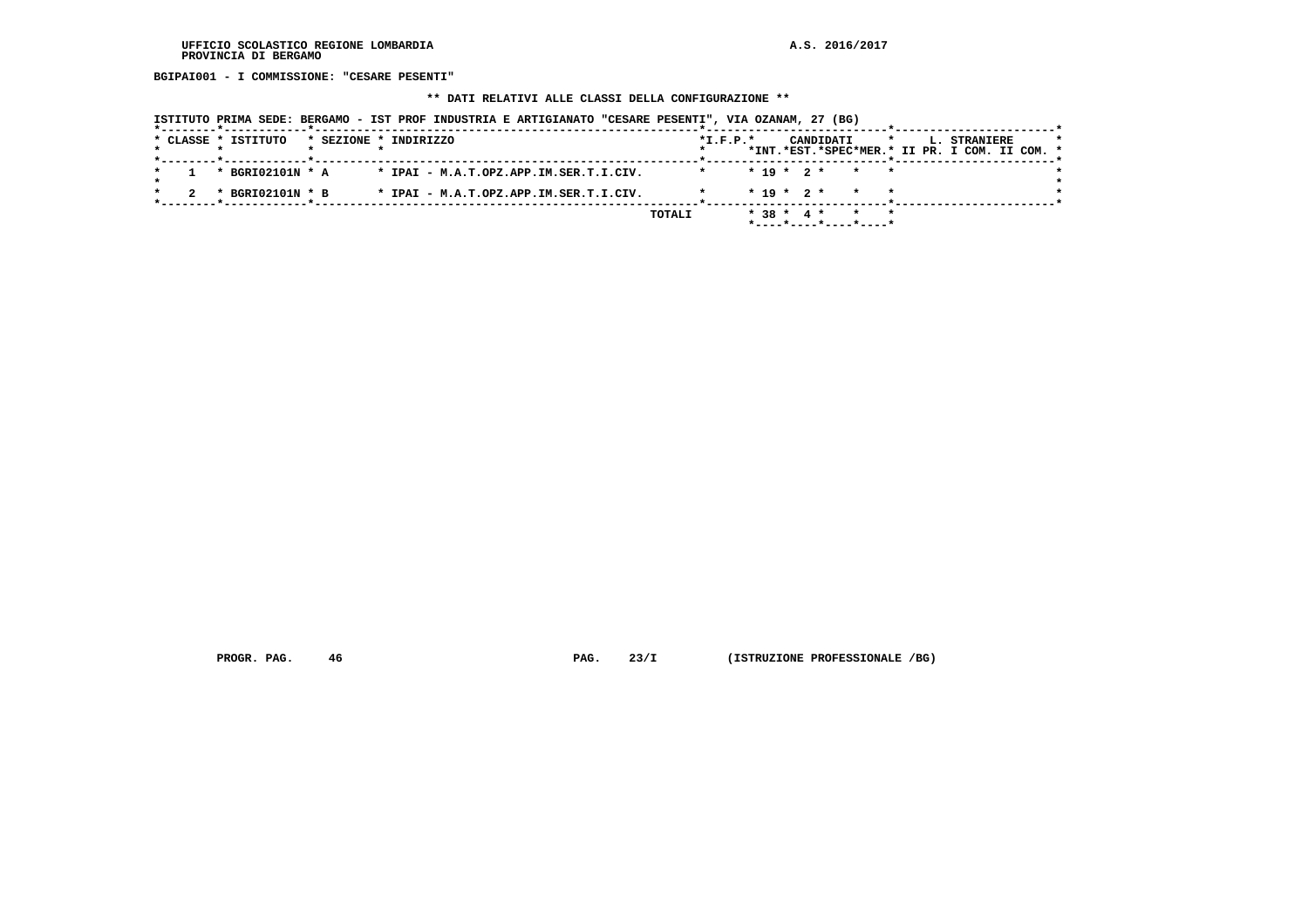**BGIPAI001 - I COMMISSIONE: "CESARE PESENTI"**

## **\*\* DATI RELATIVI ALLE CLASSI DELLA CONFIGURAZIONE \*\***

| ISTITUTO PRIMA SEDE: BERGAMO - IST PROF INDUSTRIA E ARTIGIANATO "CESARE PESENTI", VIA OZANAM, 27 (BG) |  |  |  |  |  |
|-------------------------------------------------------------------------------------------------------|--|--|--|--|--|
|-------------------------------------------------------------------------------------------------------|--|--|--|--|--|

|  | * CLASSE * ISTITUTO |  | * SEZIONE * INDIRIZZO                  |        | $*L.F.P.*$ |  |              | CANDIDATI | $\star$               |  | <b>L. STRANIERE</b><br>*INT.*EST.*SPEC*MER.* II PR. I COM. II COM. * | $\star$ |
|--|---------------------|--|----------------------------------------|--------|------------|--|--------------|-----------|-----------------------|--|----------------------------------------------------------------------|---------|
|  | * BGRI02101N * A    |  | * IPAI - M.A.T.OPZ.APP.IM.SER.T.I.CIV. |        |            |  |              |           | $* 19 * 2 * * * * *$  |  |                                                                      |         |
|  | * BGRI02101N * B    |  | * IPAI - M.A.T.OPZ.APP.IM.SER.T.I.CIV. |        |            |  |              |           | $* 19 * 2 * * * * *$  |  |                                                                      |         |
|  |                     |  |                                        | TOTALI |            |  | $* 38 * 4 *$ |           | *----*----*----*----* |  |                                                                      |         |

 **PROGR. PAG.** 46 **PAG.** 23/I (ISTRUZIONE PROFESSIONALE /BG)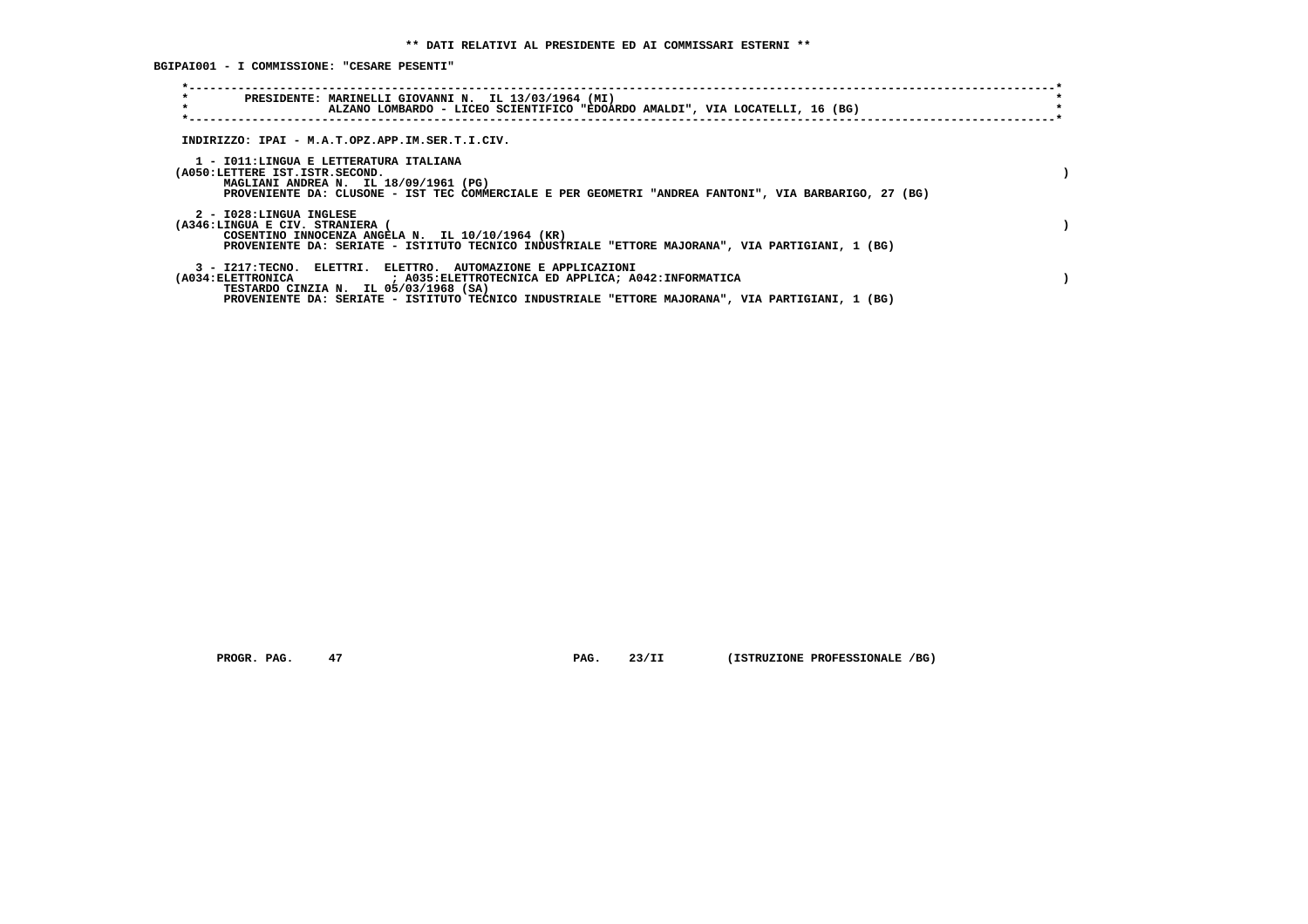**BGIPAI001 - I COMMISSIONE: "CESARE PESENTI"**

| $\star$<br>PRESIDENTE: MARINELLI GIOVANNI N. IL 13/03/1964 (MI)<br>$\star$<br>ALZANO LOMBARDO - LICEO SCIENTIFICO "EDOARDO AMALDI", VIA LOCATELLI, 16 (BG)                                                                                                                        |  |
|-----------------------------------------------------------------------------------------------------------------------------------------------------------------------------------------------------------------------------------------------------------------------------------|--|
| INDIRIZZO: IPAI - M.A.T.OPZ.APP.IM.SER.T.I.CIV.                                                                                                                                                                                                                                   |  |
| 1 - IO11:LINGUA E LETTERATURA ITALIANA<br>(A050:LETTERE IST.ISTR.SECOND.<br>MAGLIANI ANDREA N. IL 18/09/1961 (PG)<br>PROVENIENTE DA: CLUSONE - IST TEC COMMERCIALE E PER GEOMETRI "ANDREA FANTONI", VIA BARBARIGO, 27 (BG)                                                        |  |
| 2 - I028:LINGUA INGLESE<br>(A346:LINGUA E CIV. STRANIERA (<br>COSENTINO INNOCENZA ANGELA N. IL 10/10/1964 (KR)<br>PROVENIENTE DA: SERIATE - ISTITUTO TECNICO INDUSTRIALE "ETTORE MAJORANA", VIA PARTIGIANI, 1 (BG)                                                                |  |
| 3 - I217:TECNO, ELETTRI, ELETTRO, AUTOMAZIONE E APPLICAZIONI<br>(A034:ELETTRONICA ) A035:ELETTROTECNICA ED APPLICA; A042:INFORMATICA<br>TESTARDO CINZIA N. IL 05/03/1968 (SA)<br>PROVENIENTE DA: SERIATE - ISTITUTO TECNICO INDUSTRIALE "ETTORE MAJORANA", VIA PARTIGIANI, 1 (BG) |  |

 **PROGR. PAG.** 47 **PAG.** 23/II (ISTRUZIONE PROFESSIONALE /BG)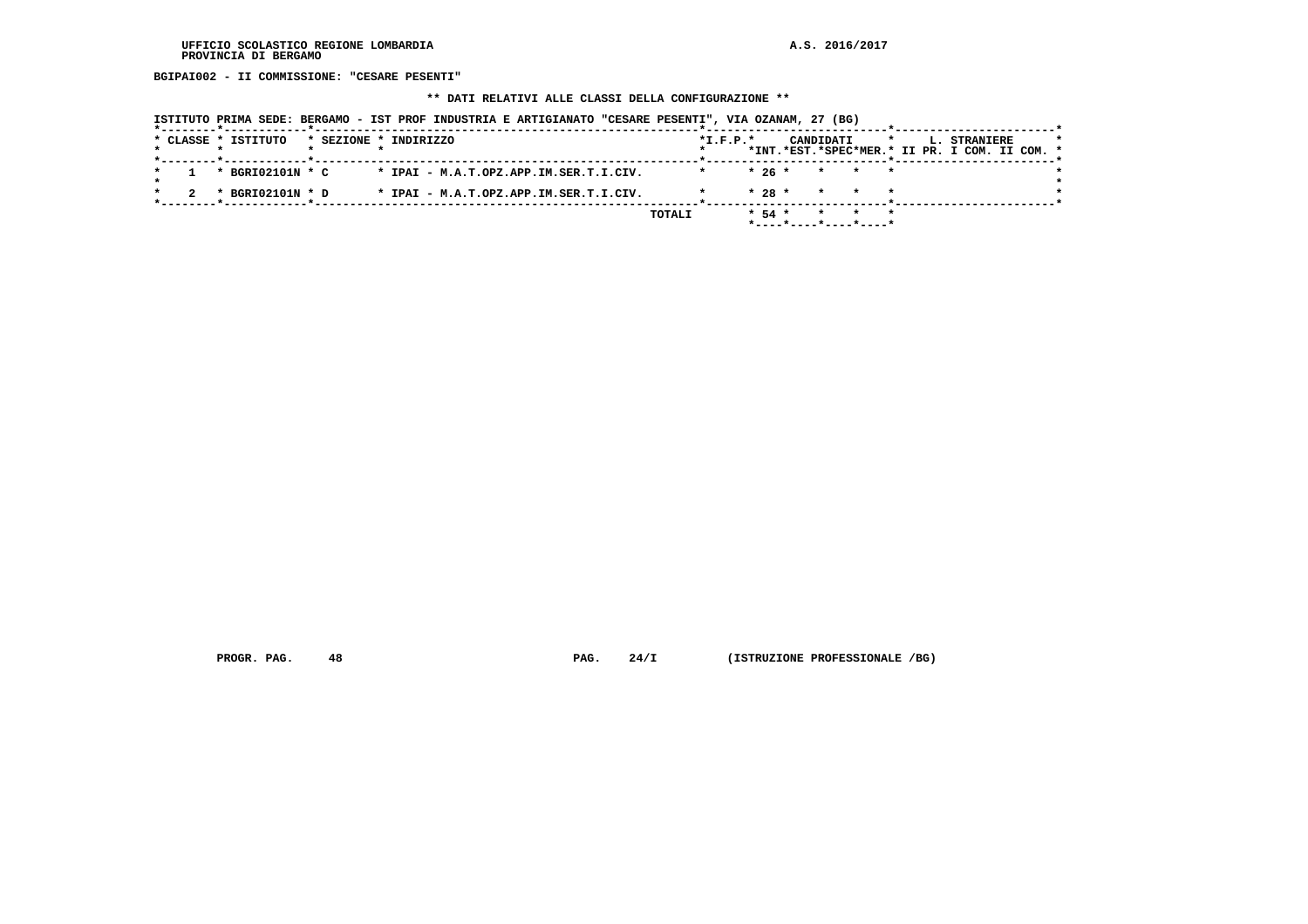**BGIPAI002 - II COMMISSIONE: "CESARE PESENTI"**

## **\*\* DATI RELATIVI ALLE CLASSI DELLA CONFIGURAZIONE \*\***

|  |  | * CLASSE * ISTITUTO |  | * SEZIONE * INDIRIZZO                  |               | $*L.F.P.*$ |          |                                               | CANDIDATI |     |  | L. STRANIERE |  | $\star$ |
|--|--|---------------------|--|----------------------------------------|---------------|------------|----------|-----------------------------------------------|-----------|-----|--|--------------|--|---------|
|  |  |                     |  |                                        |               |            |          | *INT.*EST.*SPEC*MER.* II PR. I COM. II COM. * |           |     |  |              |  |         |
|  |  |                     |  |                                        |               |            |          |                                               |           |     |  |              |  |         |
|  |  | * BGRI02101N * C    |  | * IPAI - M.A.T.OPZ.APP.IM.SER.T.I.CIV. |               |            | $*26*$   |                                               | * * *     |     |  |              |  |         |
|  |  |                     |  |                                        |               |            |          |                                               |           |     |  |              |  |         |
|  |  | * BGRI02101N * D    |  | * IPAI - M.A.T.OPZ.APP.IM.SER.T.I.CIV. |               |            | $* 28 *$ |                                               | $\star$   | * * |  |              |  |         |
|  |  |                     |  |                                        |               |            |          |                                               |           |     |  |              |  |         |
|  |  |                     |  |                                        | <b>TOTALI</b> |            | $* 54 *$ |                                               |           |     |  |              |  |         |
|  |  |                     |  |                                        |               |            |          | *----*----*----*----*                         |           |     |  |              |  |         |
|  |  |                     |  |                                        |               |            |          |                                               |           |     |  |              |  |         |

 **PROGR. PAG.** 48 **PAG.** 24/I (ISTRUZIONE PROFESSIONALE /BG)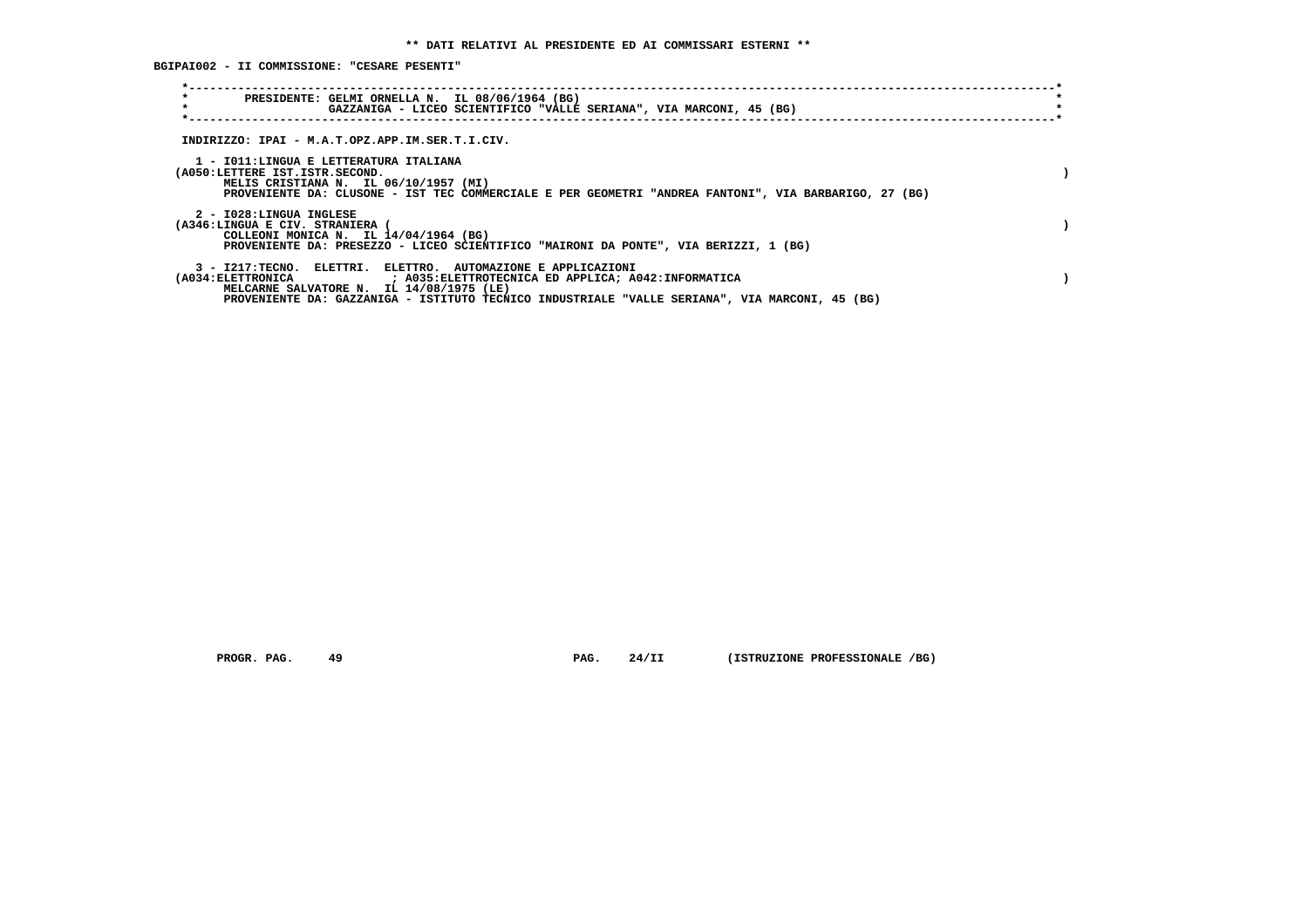**BGIPAI002 - II COMMISSIONE: "CESARE PESENTI"**

| $\star$<br>PRESIDENTE: GELMI ORNELLA N. IL 08/06/1964 (BG)<br>$\star$<br>GAZZANIGA - LICEO SCIENTIFICO "VALLE SERIANA", VIA MARCONI, 45 (BG)                                                                                                                                                                 |  |
|--------------------------------------------------------------------------------------------------------------------------------------------------------------------------------------------------------------------------------------------------------------------------------------------------------------|--|
| INDIRIZZO: IPAI - M.A.T.OPZ.APP.IM.SER.T.I.CIV.                                                                                                                                                                                                                                                              |  |
| 1 - IO11:LINGUA E LETTERATURA ITALIANA<br>(A050:LETTERE IST.ISTR.SECOND.<br>MELIS CRISTIANA N. IL 06/10/1957 (MI)<br>PROVENIENTE DA: CLUSONE - IST TEC COMMERCIALE E PER GEOMETRI "ANDREA FANTONI", VIA BARBARIGO, 27 (BG)                                                                                   |  |
| 2 - I028:LINGUA INGLESE<br>(A346:LINGUA E CIV. STRANIERA<br>COLLEONI MONICA N. IL 14/04/1964 (BG)<br>PROVENIENTE DA: PRESEZZO - LICEO SCIENTIFICO "MAIRONI DA PONTE", VIA BERIZZI, 1 (BG)                                                                                                                    |  |
| 3 - I217:TECNO, ELETTRI, ELETTRO, AUTOMAZIONE E APPLICAZIONI<br>(A034:ELETTRONICA                           ; A035:ELETTROTECNICA ED APPLICA; A042:INFORMATICA<br>MELCARNE SALVATORE N. IL 14/08/1975 (LE)<br>PROVENIENTE DA: GAZZANIGA - ISTITUTO TECNICO INDUSTRIALE "VALLE SERIANA", VIA MARCONI, 45 (BG) |  |

 **PROGR. PAG. 49 PAG. 24/II (ISTRUZIONE PROFESSIONALE /BG)**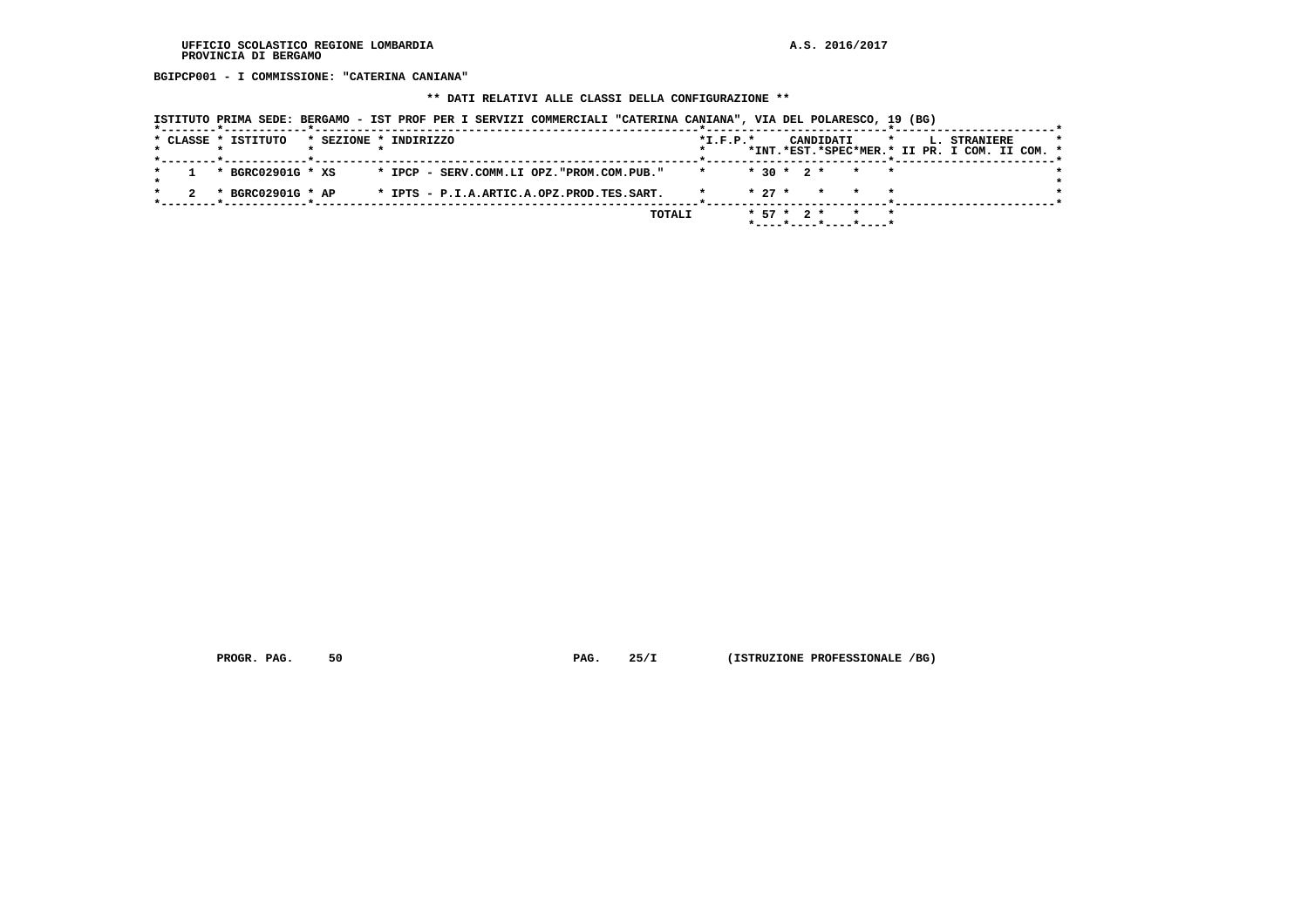**BGIPCP001 - I COMMISSIONE: "CATERINA CANIANA"**

### **\*\* DATI RELATIVI ALLE CLASSI DELLA CONFIGURAZIONE \*\***

|                     | ISTITUTO PRIMA SEDE: BERGAMO - IST PROF PER I SERVIZI COMMERCIALI "CATERINA CANIANA", VIA DEL POLARESCO, 19 (BG) |            |                                          |         |                                                               |
|---------------------|------------------------------------------------------------------------------------------------------------------|------------|------------------------------------------|---------|---------------------------------------------------------------|
| * CLASSE * ISTITUTO | * SEZIONE * INDIRIZZO                                                                                            | $*L.F.P.*$ | CANDIDATI                                | $\star$ | L. STRANIERE<br>*INT.*EST.*SPEC*MER.* II PR. I COM. II COM. * |
|                     |                                                                                                                  |            |                                          |         |                                                               |
| * BGRC02901G * XS   | * IPCP - SERV.COMM.LI OPZ."PROM.COM.PUB."                                                                        |            | $* 30 * 2 * * * * *$                     |         |                                                               |
| * BGRC02901G * AP   | * IPTS - P.I.A.ARTIC.A.OPZ.PROD.TES.SART.                                                                        |            | $* 27 *$<br>$\star$ $\star$              |         |                                                               |
|                     |                                                                                                                  | TOTALI     | $* 57 * 2 *$<br>$*$ ----*----*----*----* |         |                                                               |

 **PROGR. PAG.** 50 **PAG.** 25/I (ISTRUZIONE PROFESSIONALE /BG)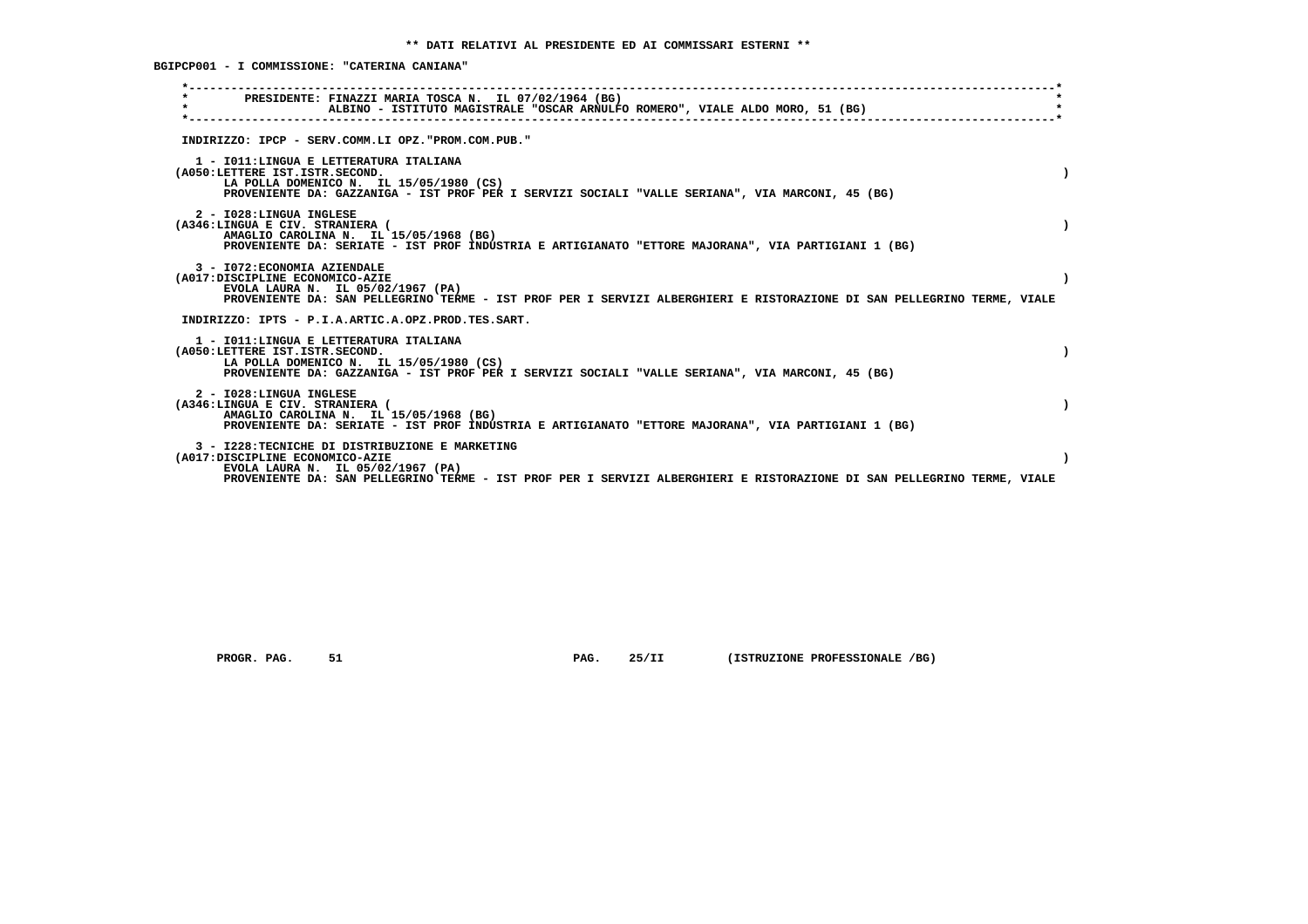**BGIPCP001 - I COMMISSIONE: "CATERINA CANIANA"**

| PRESIDENTE: FINAZZI MARIA TOSCA N. IL 07/02/1964 (BG)<br>$\star$<br>ALBINO - ISTITUTO MAGISTRALE "OSCAR ARNULFO ROMERO", VIALE ALDO MORO, 51 (BG)                                                                                                  |  |
|----------------------------------------------------------------------------------------------------------------------------------------------------------------------------------------------------------------------------------------------------|--|
| INDIRIZZO: IPCP - SERV.COMM.LI OPZ."PROM.COM.PUB."                                                                                                                                                                                                 |  |
| 1 - IO11: LINGUA E LETTERATURA ITALIANA<br>(A050:LETTERE IST.ISTR.SECOND.<br>LA POLLA DOMENICO N. IL 15/05/1980 (CS)<br>PROVENIENTE DA: GAZZANIGA - IST PROF PER I SERVIZI SOCIALI "VALLE SERIANA", VIA MARCONI, 45 (BG)                           |  |
| 2 - I028:LINGUA INGLESE<br>(A346:LINGUA E CIV. STRANIERA (<br>AMAGLIO CAROLINA N. IL 15/05/1968 (BG)<br>PROVENIENTE DA: SERIATE - IST PROF INDUSTRIA E ARTIGIANATO "ETTORE MAJORANA", VIA PARTIGIANI 1 (BG)                                        |  |
| 3 - I072: ECONOMIA AZIENDALE<br>(A017:DISCIPLINE ECONOMICO-AZIE<br>EVOLA LAURA N. IL 05/02/1967 (PA)<br>PROVENIENTE DA: SAN PELLEGRINO TERME - IST PROF PER I SERVIZI ALBERGHIERI E RISTORAZIONE DI SAN PELLEGRINO TERME, VIALE                    |  |
| INDIRIZZO: IPTS - P.I.A.ARTIC.A.OPZ.PROD.TES.SART.                                                                                                                                                                                                 |  |
| 1 - IO11: LINGUA E LETTERATURA ITALIANA<br>(A050:LETTERE IST.ISTR.SECOND.<br>LA POLLA DOMENICO N. IL 15/05/1980 (CS)<br>PROVENIENTE DA: GAZZANIGA - IST PROF PER I SERVIZI SOCIALI "VALLE SERIANA", VIA MARCONI, 45 (BG)                           |  |
| 2 - I028:LINGUA INGLESE<br>(A346:LINGUA E CIV. STRANIERA (<br>AMAGLIO CAROLINA N. IL 15/05/1968 (BG)<br>PROVENIENTE DA: SERIATE - IST PROF INDUSTRIA E ARTIGIANATO "ETTORE MAJORANA", VIA PARTIGIANI 1 (BG)                                        |  |
| 3 - I228: TECNICHE DI DISTRIBUZIONE E MARKETING<br>(A017:DISCIPLINE ECONOMICO-AZIE<br>EVOLA LAURA N. IL 05/02/1967 (PA)<br>PROVENIENTE DA: SAN PELLEGRINO TERME - IST PROF PER I SERVIZI ALBERGHIERI E RISTORAZIONE DI SAN PELLEGRINO TERME, VIALE |  |
|                                                                                                                                                                                                                                                    |  |

 **PROGR. PAG. 51 PAG. 25/II (ISTRUZIONE PROFESSIONALE /BG)**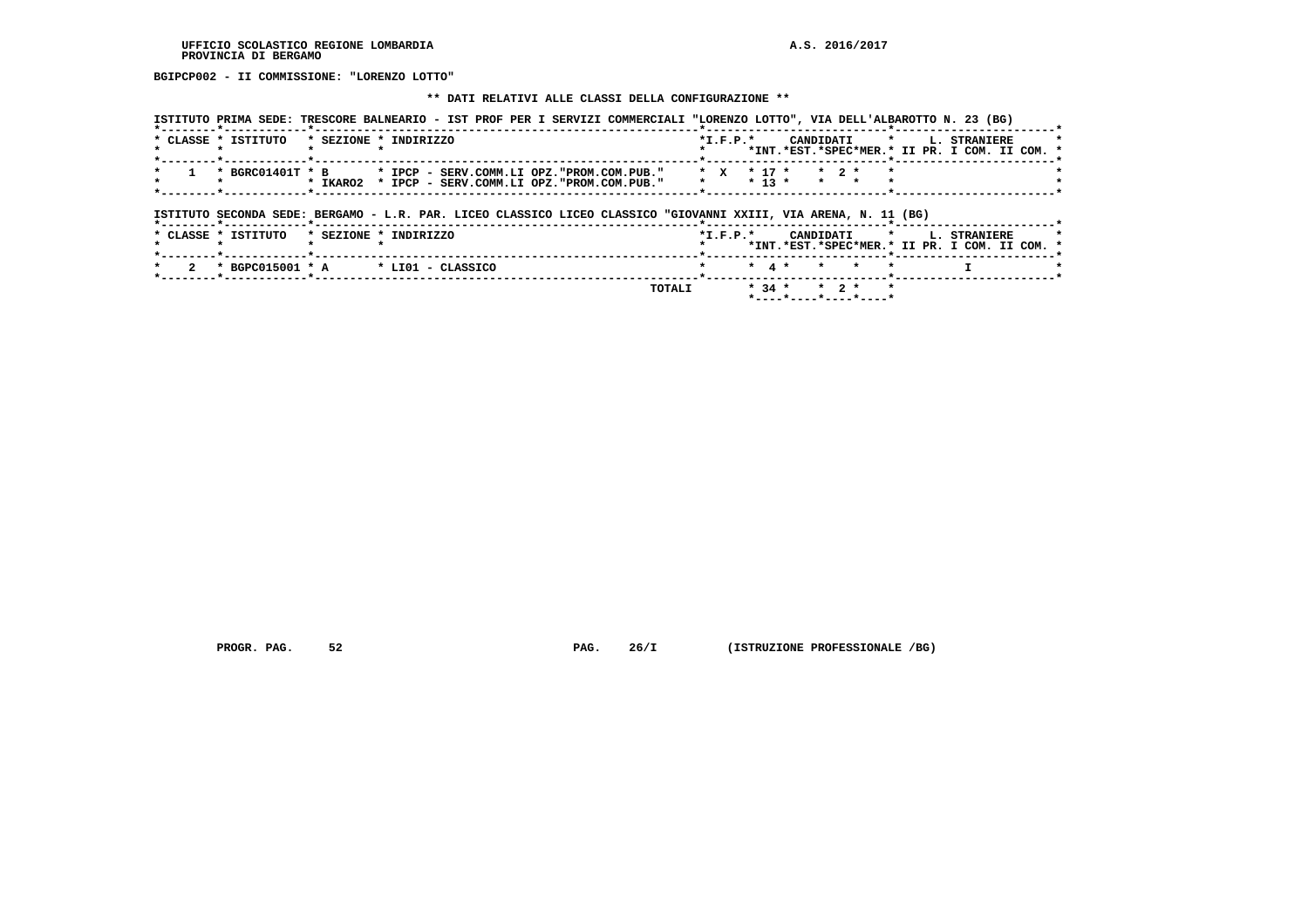**BGIPCP002 - II COMMISSIONE: "LORENZO LOTTO"**

### **\*\* DATI RELATIVI ALLE CLASSI DELLA CONFIGURAZIONE \*\***

|                     | ISTITUTO PRIMA SEDE: TRESCORE BALNEARIO - IST PROF PER I SERVIZI COMMERCIALI "LORENZO LOTTO", VIA DELL'ALBAROTTO N. 23 (BG) |        |                              |                   |                                         |                              |         |                                                               |  |
|---------------------|-----------------------------------------------------------------------------------------------------------------------------|--------|------------------------------|-------------------|-----------------------------------------|------------------------------|---------|---------------------------------------------------------------|--|
| * CLASSE * ISTITUTO | * SEZIONE * INDIRIZZO                                                                                                       |        | $*L.F.P.*$                   |                   | CANDIDATI                               |                              | $\star$ | L. STRANIERE<br>*INT.*EST.*SPEC*MER.* II PR. I COM. II COM. * |  |
|                     | * BGRC01401T * B * IPCP - SERV.COMM.LI OPZ."PROM.COM.PUB."<br>* IKARO2 * IPCP - SERV.COMM.LI OPZ."PROM.COM.PUB."            |        | $\star$ X $\star$ 17 $\star$ | $* 13 *$          |                                         | $*$ 2 $*$<br>$\star$ $\star$ |         |                                                               |  |
|                     | ISTITUTO SECONDA SEDE: BERGAMO - L.R. PAR. LICEO CLASSICO LICEO CLASSICO "GIOVANNI XXIII, VIA ARENA, N. 11 (BG)             |        |                              |                   |                                         |                              |         |                                                               |  |
| * CLASSE * ISTITUTO | * SEZIONE * INDIRIZZO                                                                                                       |        | $*L.F.P.*$                   |                   | CANDIDATI *                             |                              |         | L. STRANIERE<br>*INT.*EST.*SPEC*MER.* II PR. I COM. II COM. * |  |
| 2                   | * BGPC015001 * A * LI01 - CLASSICO                                                                                          |        |                              | $\star$ 4 $\star$ |                                         | $\star$ $\star$              |         |                                                               |  |
|                     |                                                                                                                             | TOTALI |                              | $*$ 34 $*$        | $*$ ---- $*$ ---- $*$ ---- $*$ ---- $*$ | $*$ 2 $*$                    |         |                                                               |  |

 **PROGR. PAG.** 52 **PAG.** 26/I (ISTRUZIONE PROFESSIONALE /BG)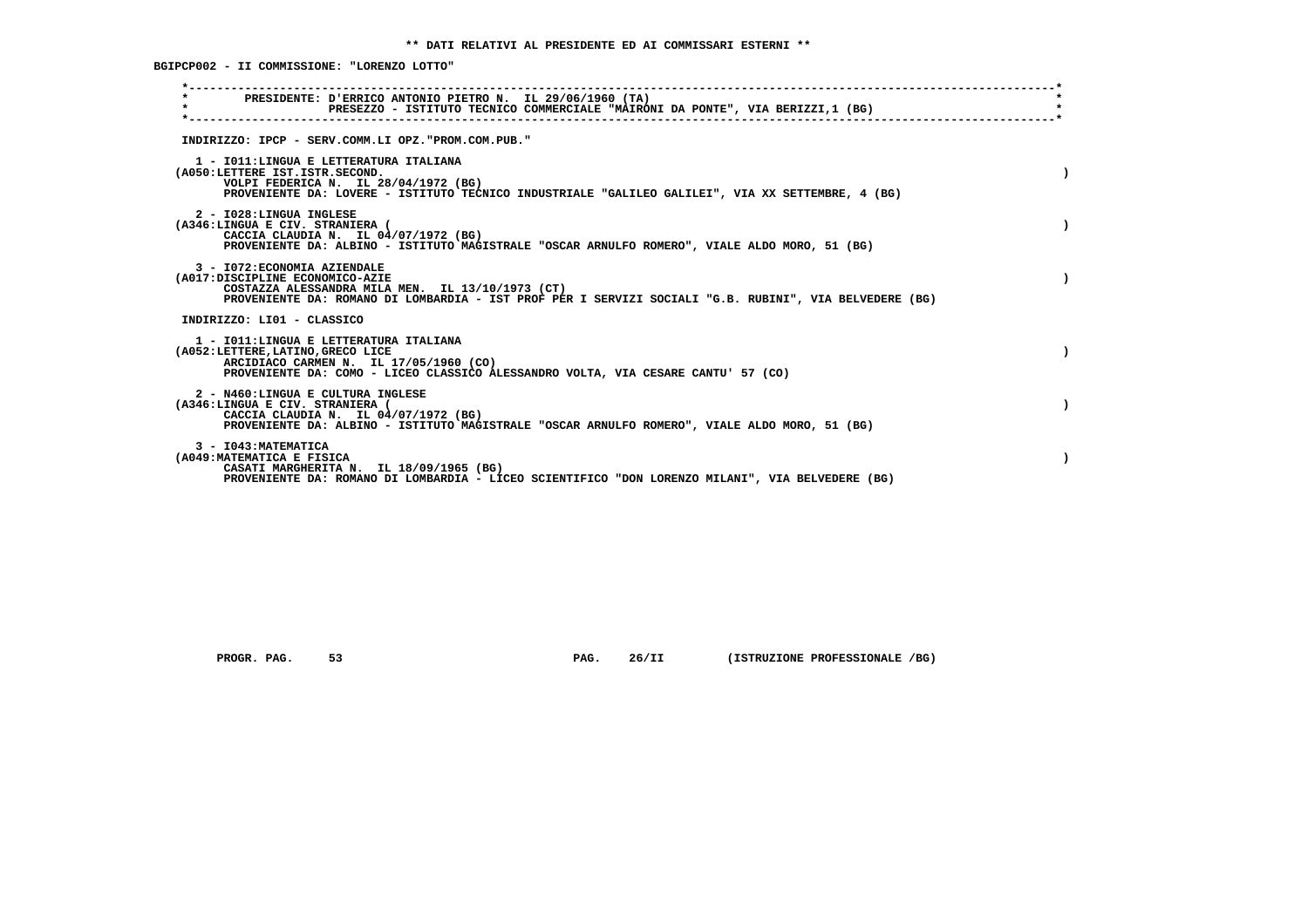**BGIPCP002 - II COMMISSIONE: "LORENZO LOTTO"**

| PRESIDENTE: D'ERRICO ANTONIO PIETRO N. IL 29/06/1960 (TA)                                                                                                                                                                     |  |
|-------------------------------------------------------------------------------------------------------------------------------------------------------------------------------------------------------------------------------|--|
| $\star$<br>PRESEZZO - ISTITUTO TECNICO COMMERCIALE "MAIRONI DA PONTE", VIA BERIZZI,1 (BG)                                                                                                                                     |  |
| INDIRIZZO: IPCP - SERV.COMM.LI OPZ."PROM.COM.PUB."                                                                                                                                                                            |  |
| 1 - IO11: LINGUA E LETTERATURA ITALIANA<br>(A050:LETTERE IST.ISTR.SECOND.<br>VOLPI FEDERICA N. IL 28/04/1972 (BG)<br>PROVENIENTE DA: LOVERE - ISTITUTO TECNICO INDUSTRIALE "GALILEO GALILEI", VIA XX SETTEMBRE, 4 (BG)        |  |
| 2 - I028:LINGUA INGLESE<br>(A346:LINGUA E CIV. STRANIERA (<br>CACCIA CLAUDIA N. IL 04/07/1972 (BG)<br>PROVENIENTE DA: ALBINO - ISTITUTO MAGISTRALE "OSCAR ARNULFO ROMERO", VIALE ALDO MORO, 51 (BG)                           |  |
| 3 - I072: ECONOMIA AZIENDALE<br>(A017:DISCIPLINE ECONOMICO-AZIE<br>COSTAZZA ALESSANDRA MILA MEN. IL 13/10/1973 (CT)<br>PROVENIENTE DA: ROMANO DI LOMBARDIA - IST PROF PER I SERVIZI SOCIALI "G.B. RUBINI", VIA BELVEDERE (BG) |  |
| INDIRIZZO: LI01 - CLASSICO                                                                                                                                                                                                    |  |
| 1 - IO11: LINGUA E LETTERATURA ITALIANA<br>(A052:LETTERE, LATINO, GRECO LICE<br>ARCIDIACO CARMEN N. IL 17/05/1960 (CO)<br>PROVENIENTE DA: COMO - LICEO CLASSICO ALESSANDRO VOLTA, VIA CESARE CANTU' 57 (CO)                   |  |
| 2 - N460:LINGUA E CULTURA INGLESE<br>(A346:LINGUA E CIV. STRANIERA (<br>CACCIA CLAUDIA N. IL 04/07/1972 (BG)<br>PROVENIENTE DA: ALBINO - ISTITUTO MAGISTRALE "OSCAR ARNULFO ROMERO", VIALE ALDO MORO, 51 (BG)                 |  |
| 3 - I043: MATEMATICA<br>(A049: MATEMATICA E FISICA<br>CASATI MARGHERITA N. IL 18/09/1965 (BG)<br>PROVENIENTE DA: ROMANO DI LOMBARDIA - LICEO SCIENTIFICO "DON LORENZO MILANI", VIA BELVEDERE (BG)                             |  |

 **PROGR. PAG. 53 PAG. 26/II (ISTRUZIONE PROFESSIONALE /BG)**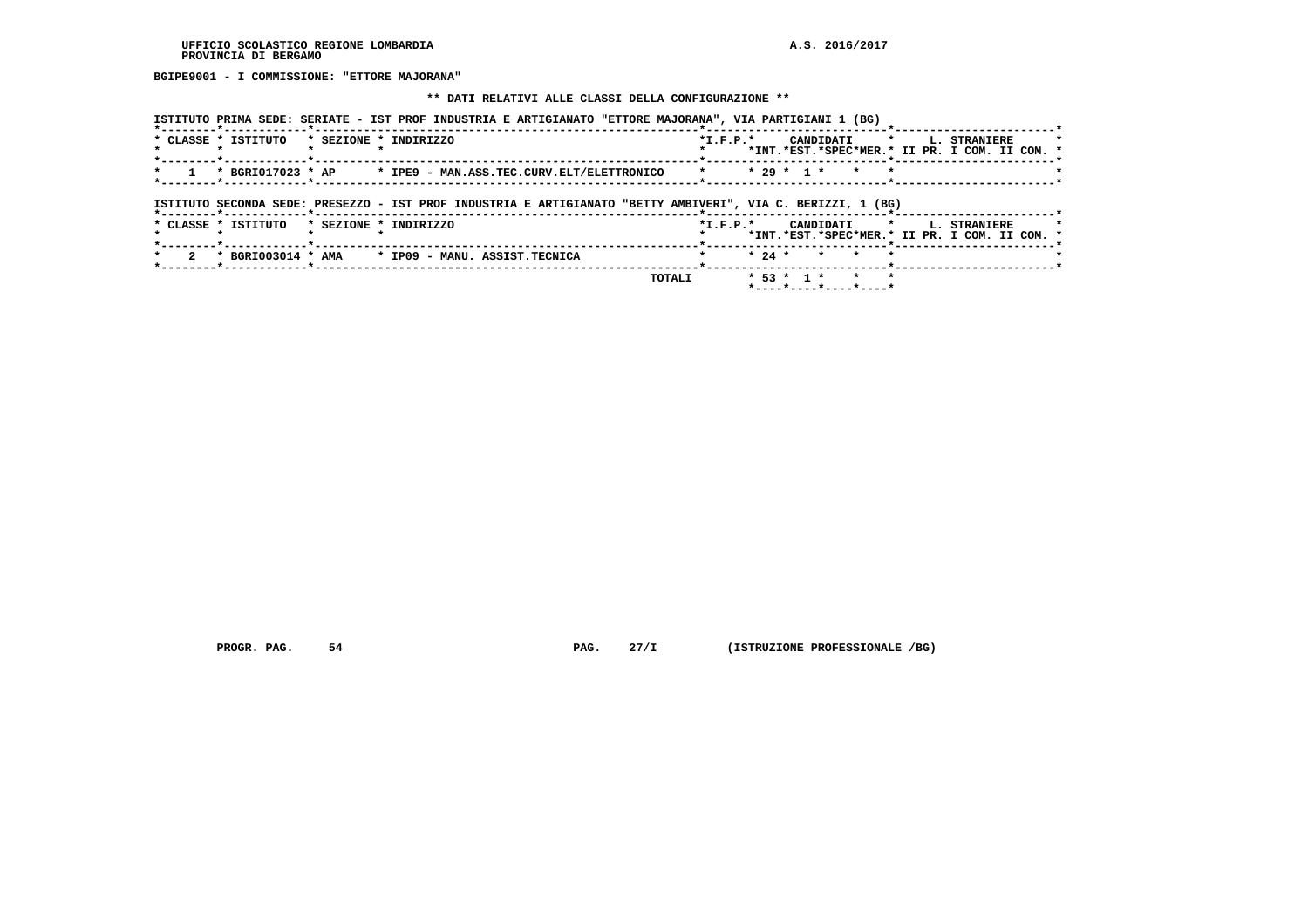**BGIPE9001 - I COMMISSIONE: "ETTORE MAJORANA"**

#### **\*\* DATI RELATIVI ALLE CLASSI DELLA CONFIGURAZIONE \*\***

| ISTITUTO PRIMA SEDE: SERIATE - IST PROF INDUSTRIA E ARTIGIANATO "ETTORE MAJORANA", VIA PARTIGIANI 1 (BG)    |                                                                                                                 |
|-------------------------------------------------------------------------------------------------------------|-----------------------------------------------------------------------------------------------------------------|
| * CLASSE * ISTITUTO<br>* SEZIONE * INDIRIZZO                                                                | CANDIDATI *<br>$*$ I.F.P. $*$<br>L. STRANIERE<br>*INT.*EST.*SPEC*MER.* II PR. I COM. II COM. *                  |
| * BGRI017023 * AP<br>* IPE9 - MAN.ASS.TEC.CURV.ELT/ELETTRONICO                                              | $* 29 * 1 *$<br>$\star$<br>$\mathbf{r}$                                                                         |
| ISTITUTO SECONDA SEDE: PRESEZZO - IST PROF INDUSTRIA E ARTIGIANATO "BETTY AMBIVERI", VIA C. BERIZZI, 1 (BG) |                                                                                                                 |
| * SEZIONE * INDIRIZZO<br>* CLASSE * ISTITUTO                                                                | $*L.F.P.*$<br>CANDIDATI<br>$\mathbf{r}$<br><b>L. STRANIERE</b><br>*INT.*EST.*SPEC*MER.* II PR. I COM. II COM. * |
| $*$ BGRI003014 $*$ AMA $*$ IP09 - MANU, ASSIST, TECNICA                                                     | $* 24 *$<br>$\star$<br>$\mathbf{r}$                                                                             |
| TOTALI                                                                                                      | $* 53 * 1 *$<br>$\star$<br>$\mathbf{r}$<br>*----*----*----*----*                                                |

 **PROGR. PAG.** 54 **PROGR. 27/I** (ISTRUZIONE PROFESSIONALE /BG)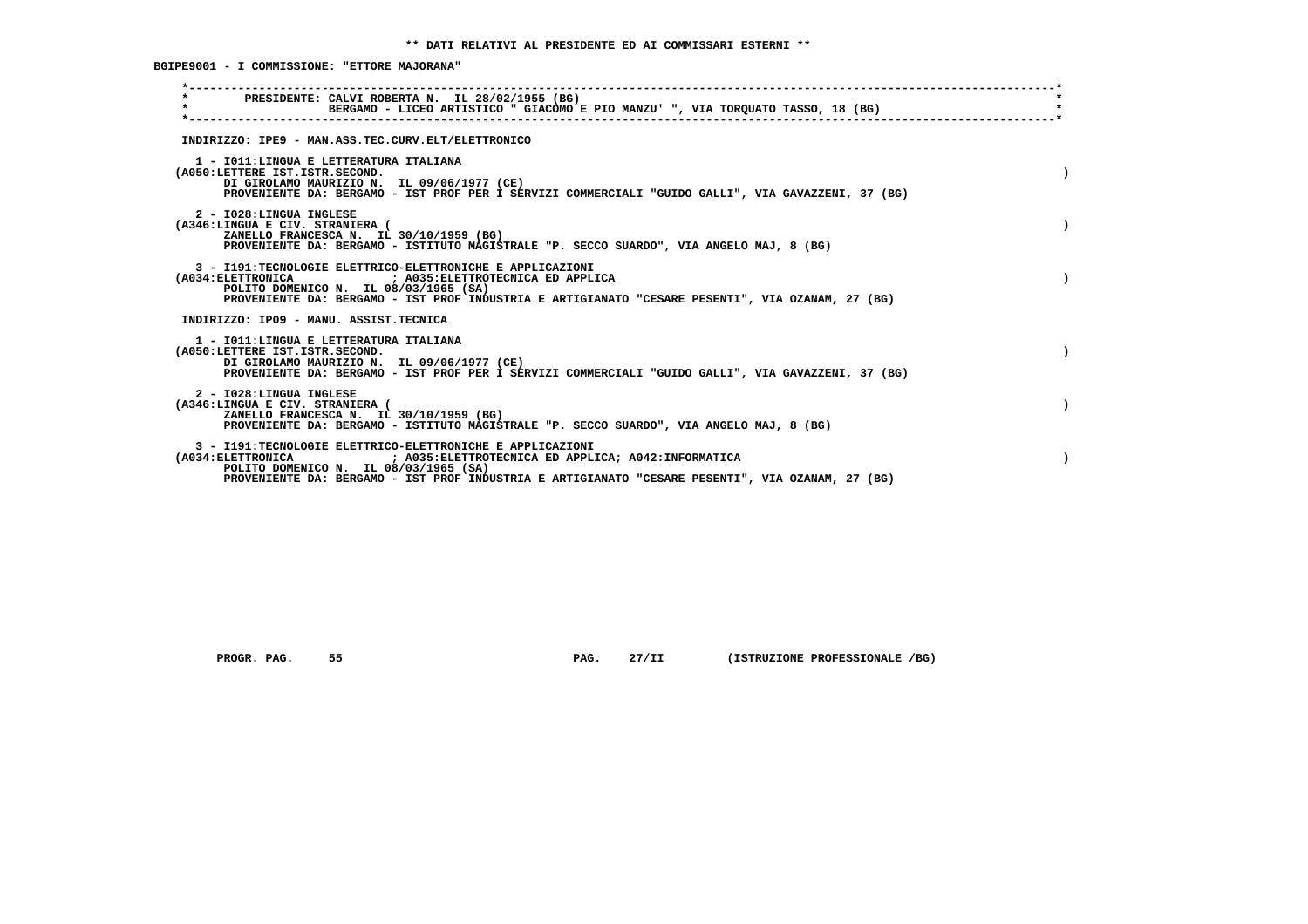**BGIPE9001 - I COMMISSIONE: "ETTORE MAJORANA"**

| PRESIDENTE: CALVI ROBERTA N. IL 28/02/1955 (BG)<br>$\star$<br>BERGAMO - LICEO ARTISTICO " GIACOMO E PIO MANZU' ", VIA TORQUATO TASSO, 18 (BG)                                                                                                                                               |  |
|---------------------------------------------------------------------------------------------------------------------------------------------------------------------------------------------------------------------------------------------------------------------------------------------|--|
| INDIRIZZO: IPE9 - MAN.ASS.TEC.CURV.ELT/ELETTRONICO                                                                                                                                                                                                                                          |  |
| 1 - IO11: LINGUA E LETTERATURA ITALIANA<br>(A050:LETTERE IST.ISTR.SECOND.<br>DI GIROLAMO MAURIZIO N. IL 09/06/1977 (CE)<br>PROVENIENTE DA: BERGAMO - IST PROF PER I SERVIZI COMMERCIALI "GUIDO GALLI", VIA GAVAZZENI, 37 (BG)                                                               |  |
| 2 - I028:LINGUA INGLESE<br>(A346:LINGUA E CIV. STRANIERA (<br>ZANELLO FRANCESCA N. IL 30/10/1959 (BG)<br>PROVENIENTE DA: BERGAMO - ISTITUTO MAGISTRALE "P. SECCO SUARDO", VIA ANGELO MAJ, 8 (BG)                                                                                            |  |
| 3 - I191:TECNOLOGIE ELETTRICO-ELETTRONICHE E APPLICAZIONI<br>(A034: ELETTRONICA ) A035: ELETTROTECNICA ED APPLICA<br>POLITO DOMENICO N. IL 08/03/1965 (SA)<br>PROVENIENTE DA: BERGAMO - IST PROF INDUSTRIA E ARTIGIANATO "CESARE PESENTI", VIA OZANAM, 27 (BG)                              |  |
| INDIRIZZO: IP09 - MANU, ASSIST.TECNICA                                                                                                                                                                                                                                                      |  |
| 1 - IO11: LINGUA E LETTERATURA ITALIANA<br>(A050:LETTERE IST.ISTR.SECOND.<br>DI GIROLAMO MAURIZIO N. IL 09/06/1977 (CE)<br>PROVENIENTE DA: BERGAMO - IST PROF PER I SERVIZI COMMERCIALI "GUIDO GALLI", VIA GAVAZZENI, 37 (BG)                                                               |  |
| 2 - I028:LINGUA INGLESE<br>(A346:LINGUA E CIV. STRANIERA (<br>ZANELLO FRANCESCA N. IL 30/10/1959 (BG)<br>PROVENIENTE DA: BERGAMO - ISTITUTO MAGISTRALE "P. SECCO SUARDO", VIA ANGELO MAJ, 8 (BG)                                                                                            |  |
| 3 - I191:TECNOLOGIE ELETTRICO-ELETTRONICHE E APPLICAZIONI<br>$($ A $034$ : ELETTRONICA<br>; A035: ELETTROTECNICA ED APPLICA; A042: INFORMATICA<br>POLITO DOMENICO N. IL 08/03/1965 (SA)<br>PROVENIENTE DA: BERGAMO - IST PROF INDUSTRIA E ARTIGIANATO "CESARE PESENTI", VIA OZANAM, 27 (BG) |  |
|                                                                                                                                                                                                                                                                                             |  |

 **PROGR. PAG. 55 PAG. 27/II (ISTRUZIONE PROFESSIONALE /BG)**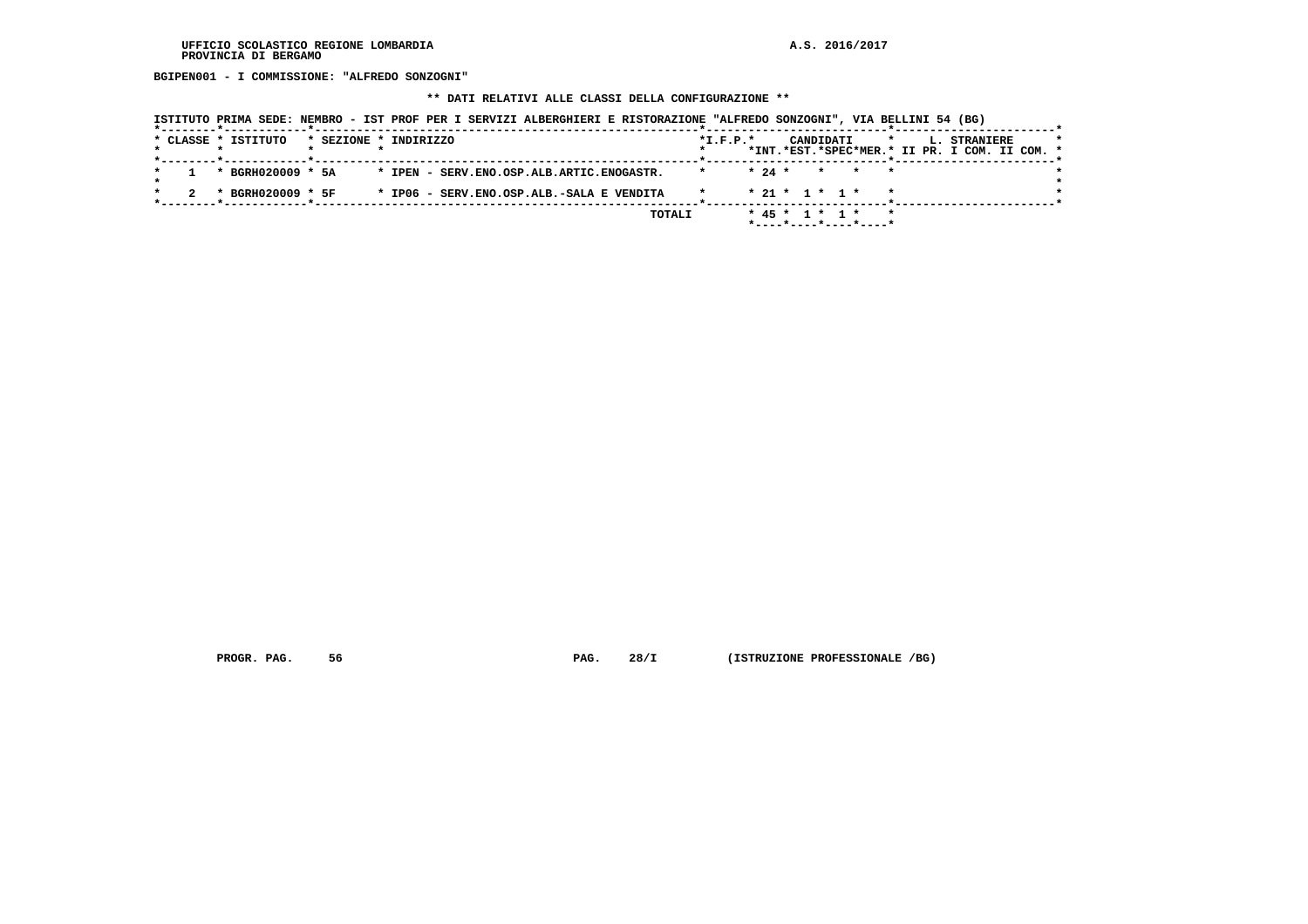**BGIPEN001 - I COMMISSIONE: "ALFREDO SONZOGNI"**

#### **\*\* DATI RELATIVI ALLE CLASSI DELLA CONFIGURAZIONE \*\***

| ISTITUTO PRIMA SEDE: NEMBRO - IST PROF PER I SERVIZI ALBERGHIERI E RISTORAZIONE "ALFREDO SONZOGNI", VIA BELLINI 54 (BG) |            |          |                  |       |                                               |  |
|-------------------------------------------------------------------------------------------------------------------------|------------|----------|------------------|-------|-----------------------------------------------|--|
| * CLASSE * ISTITUTO<br>* SEZIONE * INDIRIZZO                                                                            | $*I.F.P.*$ |          | CANDIDATI        |       | * L. STRANIERE                                |  |
|                                                                                                                         |            |          |                  |       | *INT.*EST.*SPEC*MER.* II PR. I COM. II COM. * |  |
| * BGRH020009 * 5A<br>* IPEN - SERV.ENO.OSP.ALB.ARTIC.ENOGASTR.                                                          |            | $* 24 *$ |                  | * * * |                                               |  |
|                                                                                                                         |            |          |                  |       |                                               |  |
| * BGRH020009 * 5F<br>* IP06 - SERV.ENO.OSP.ALB.-SALA E VENDITA                                                          | $\star$    |          | $* 21 * 1 * 1 *$ |       |                                               |  |
|                                                                                                                         |            |          | .                |       |                                               |  |

 **TOTALI \* 45 \* 1 \* 1 \* \* \*----\*----\*----\*----\***

 **PROGR. PAG. 56 PAG. 28/I (ISTRUZIONE PROFESSIONALE /BG)**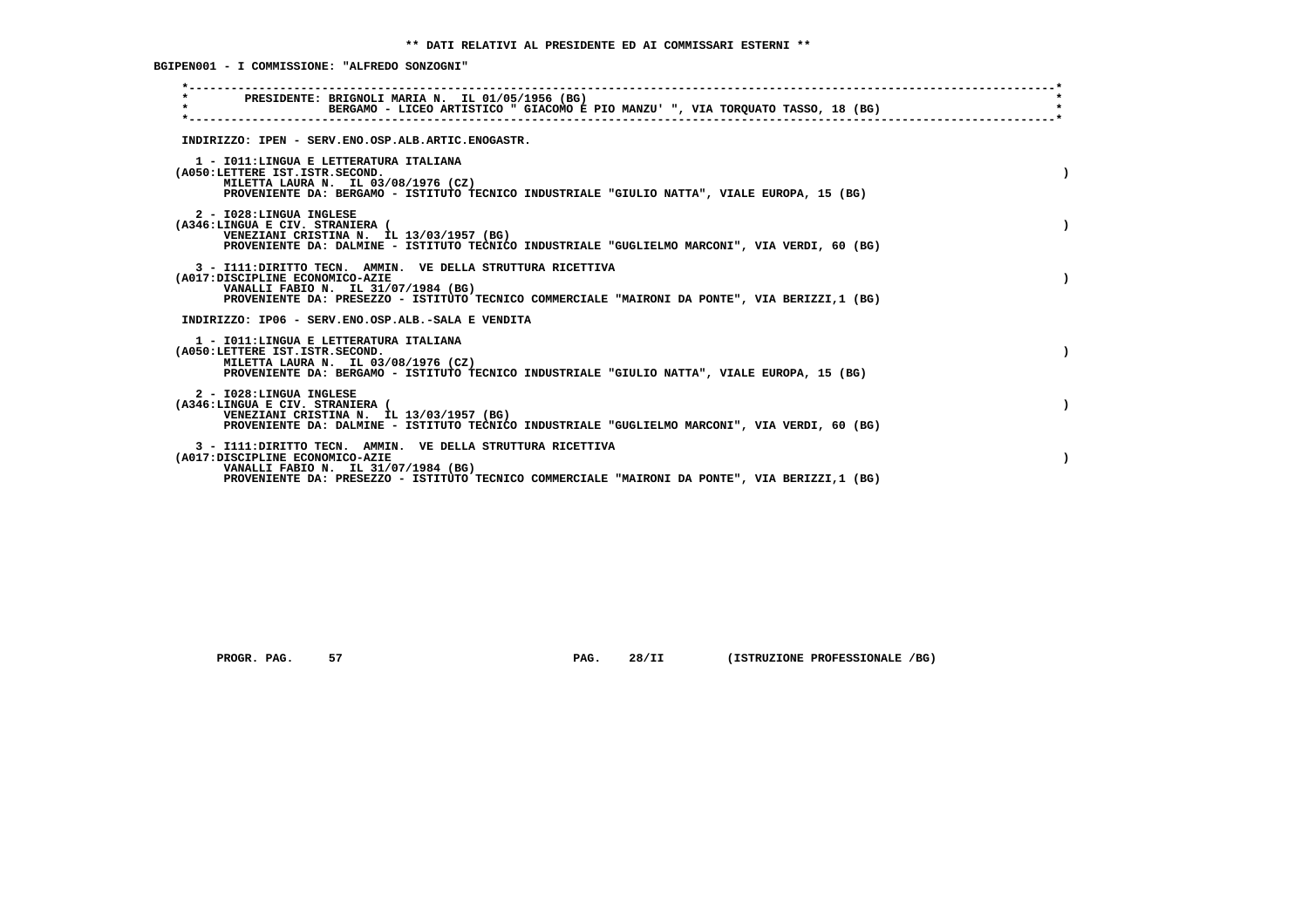**BGIPEN001 - I COMMISSIONE: "ALFREDO SONZOGNI"**

| PRESIDENTE: BRIGNOLI MARIA N. IL 01/05/1956 (BG)<br>$\star$<br>BERGAMO - LICEO ARTISTICO " GIACOMO E PIO MANZU' ", VIA TORQUATO TASSO, 18 (BG) |  |
|------------------------------------------------------------------------------------------------------------------------------------------------|--|
|                                                                                                                                                |  |
| INDIRIZZO: IPEN - SERV.ENO.OSP.ALB.ARTIC.ENOGASTR.                                                                                             |  |
| 1 - IO11: LINGUA E LETTERATURA ITALIANA<br>(A050:LETTERE IST.ISTR.SECOND.                                                                      |  |
| MILETTA LAURA N. IL 03/08/1976 (CZ)                                                                                                            |  |
| PROVENIENTE DA: BERGAMO - ISTITUTO TECNICO INDUSTRIALE "GIULIO NATTA", VIALE EUROPA, 15 (BG)                                                   |  |
| 2 - I028:LINGUA INGLESE                                                                                                                        |  |
| (A346:LINGUA E CIV. STRANIERA (<br>VENEZIANI CRISTINA N. IL 13/03/1957 (BG)                                                                    |  |
| PROVENIENTE DA: DALMINE - ISTITUTO TECNICO INDUSTRIALE "GUGLIELMO MARCONI", VIA VERDI, 60 (BG)                                                 |  |
| 3 - I111: DIRITTO TECN. AMMIN. VE DELLA STRUTTURA RICETTIVA                                                                                    |  |
| (A017:DISCIPLINE ECONOMICO-AZIE<br>VANALLI FABIO N. IL 31/07/1984 (BG)                                                                         |  |
| PROVENIENTE DA: PRESEZZO - ISTITUTO TECNICO COMMERCIALE "MAIRONI DA PONTE", VIA BERIZZI,1 (BG)                                                 |  |
| INDIRIZZO: IP06 - SERV.ENO.OSP.ALB.-SALA E VENDITA                                                                                             |  |
| 1 - IO11: LINGUA E LETTERATURA ITALIANA                                                                                                        |  |
| (A050:LETTERE IST.ISTR.SECOND.<br>MILETTA LAURA N. IL 03/08/1976 (CZ)                                                                          |  |
| PROVENIENTE DA: BERGAMO - ISTITUTO TECNICO INDUSTRIALE "GIULIO NATTA", VIALE EUROPA, 15 (BG)                                                   |  |
| 2 - I028:LINGUA INGLESE                                                                                                                        |  |
| (A346:LINGUA E CIV. STRANIERA (                                                                                                                |  |
| VENEZIANI CRISTINA N. IL 13/03/1957 (BG)<br>PROVENIENTE DA: DALMINE - ISTITUTO TECNICO INDUSTRIALE "GUGLIELMO MARCONI", VIA VERDI, 60 (BG)     |  |
| 3 - I111: DIRITTO TECN. AMMIN. VE DELLA STRUTTURA RICETTIVA                                                                                    |  |
| (A017:DISCIPLINE ECONOMICO-AZIE                                                                                                                |  |
| VANALLI FABIO N. IL 31/07/1984 (BG)<br>PROVENIENTE DA: PRESEZZO - ISTITUTO TECNICO COMMERCIALE "MAIRONI DA PONTE", VIA BERIZZI,1 (BG)          |  |
|                                                                                                                                                |  |

 **PROGR. PAG. 57 PAG. 28/II (ISTRUZIONE PROFESSIONALE /BG)**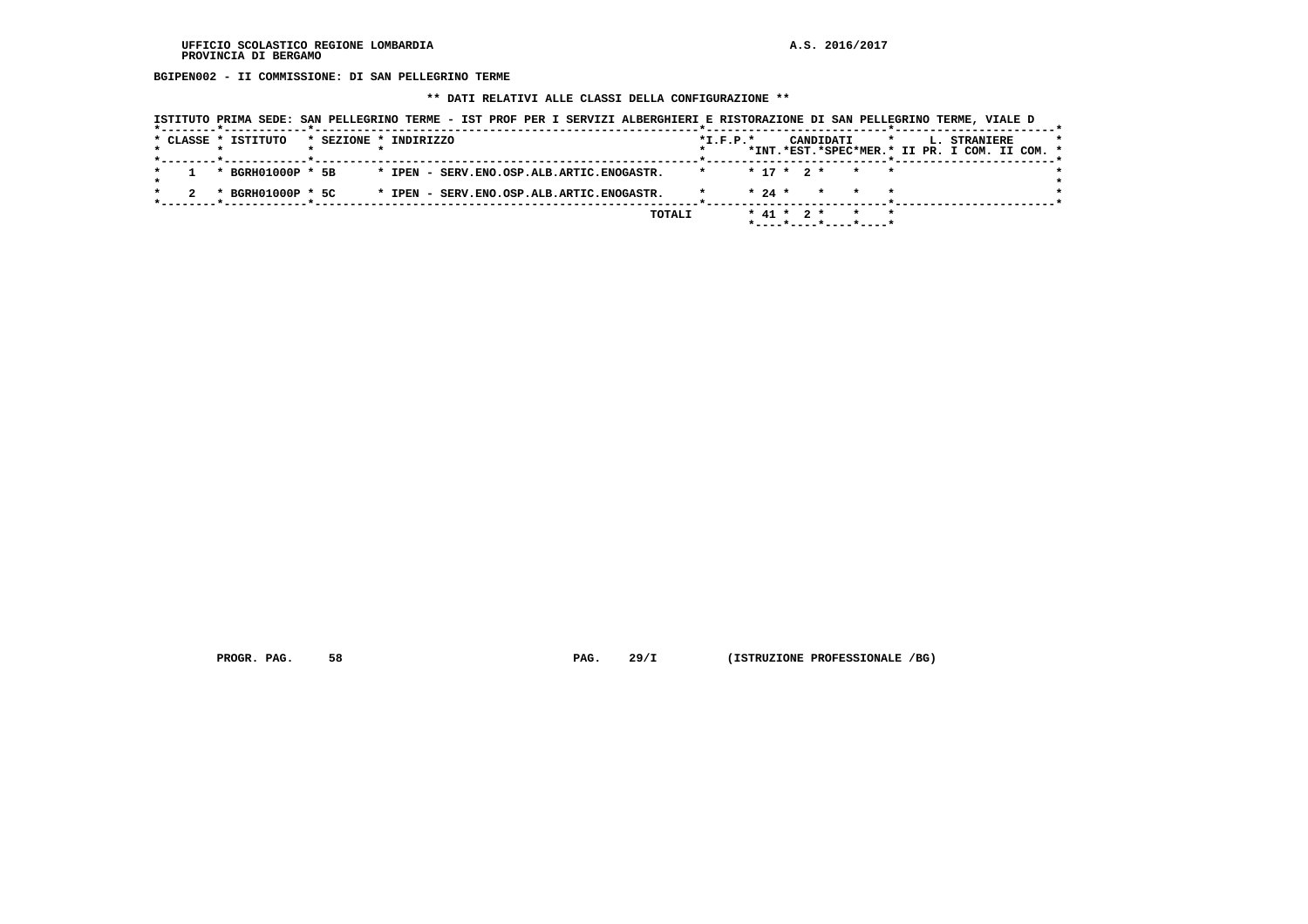**BGIPEN002 - II COMMISSIONE: DI SAN PELLEGRINO TERME**

 **\*\* DATI RELATIVI ALLE CLASSI DELLA CONFIGURAZIONE \*\***

|                                              |                                           | ISTITUTO PRIMA SEDE: SAN PELLEGRINO TERME - IST PROF PER I SERVIZI ALBERGHIERI E RISTORAZIONE DI SAN PELLEGRINO TERME, VIALE D |
|----------------------------------------------|-------------------------------------------|--------------------------------------------------------------------------------------------------------------------------------|
| * CLASSE * ISTITUTO<br>* SEZIONE * INDIRIZZO |                                           | $*$ I.F.P. $*$<br>CANDIDATI<br>L. STRANIERE<br>$\star$<br>*INT.*EST.*SPEC*MER.* II PR. I COM. II COM. *                        |
| * BGRH01000P * 5B                            | * IPEN - SERV.ENO.OSP.ALB.ARTIC.ENOGASTR. | $* 17 * 2 *$<br>$\star$ $\star$<br>$\star$                                                                                     |
| * BGRH01000P * 5C                            | * IPEN - SERV.ENO.OSP.ALB.ARTIC.ENOGASTR. | $* 24 *$<br>$\star$                                                                                                            |
|                                              | TOTALI                                    | $*$ 41 $*$ 2 $*$<br>* *                                                                                                        |

 **PROGR. PAG. 58 PAG. 29/I (ISTRUZIONE PROFESSIONALE /BG)**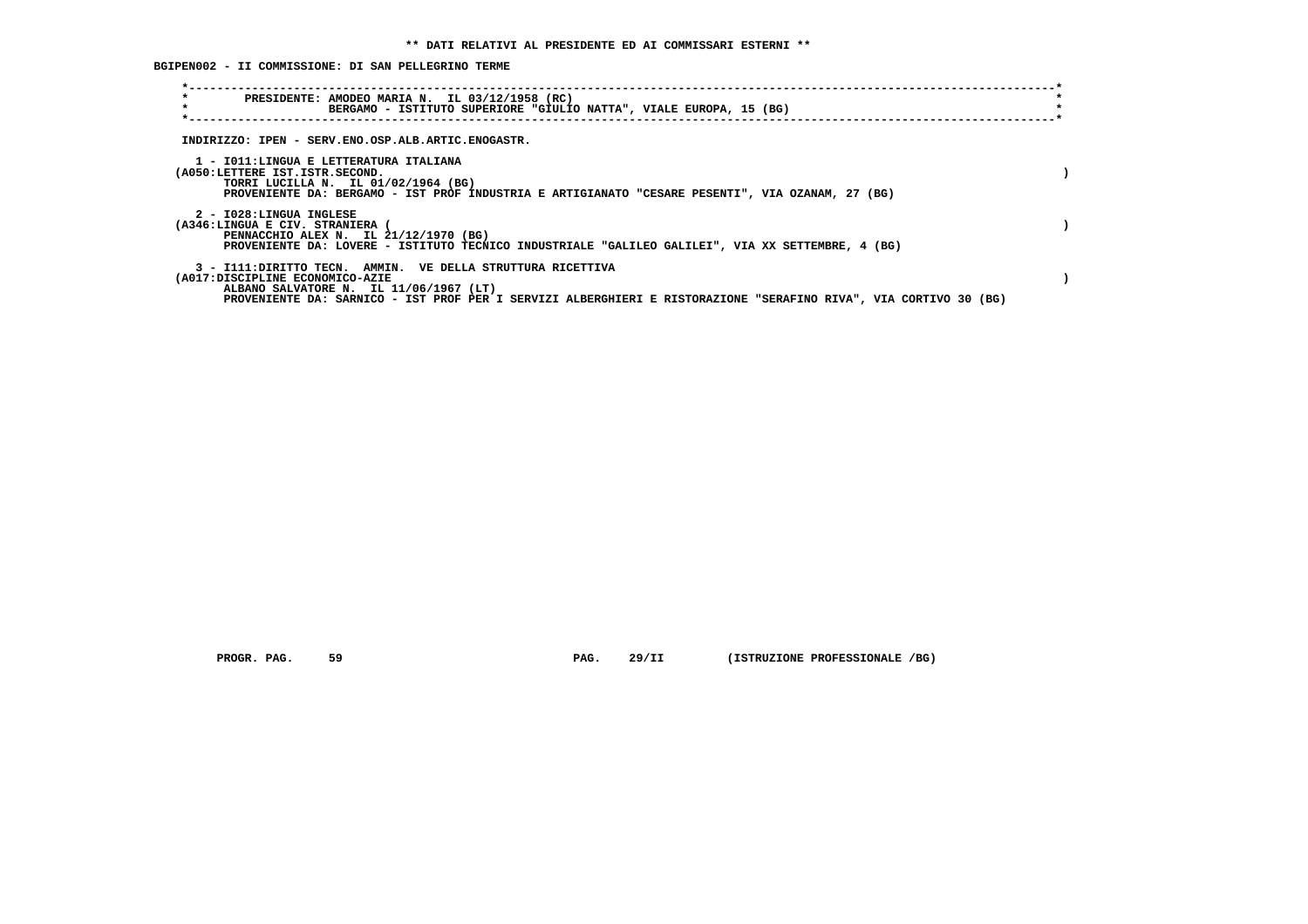**BGIPEN002 - II COMMISSIONE: DI SAN PELLEGRINO TERME**

| $\star$<br>PRESIDENTE: AMODEO MARIA N. IL 03/12/1958 (RC)<br>$\star$<br>BERGAMO - ISTITUTO SUPERIORE "GIULIO NATTA", VIALE EUROPA, 15 (BG)                                                                                                                   |  |
|--------------------------------------------------------------------------------------------------------------------------------------------------------------------------------------------------------------------------------------------------------------|--|
| INDIRIZZO: IPEN - SERV.ENO.OSP.ALB.ARTIC.ENOGASTR.                                                                                                                                                                                                           |  |
| 1 - IO11: LINGUA E LETTERATURA ITALIANA<br>(A050:LETTERE IST.ISTR.SECOND.<br>TORRI LUCILLA N. IL 01/02/1964 (BG)<br>PROVENIENTE DA: BERGAMO - IST PROF INDUSTRIA E ARTIGIANATO "CESARE PESENTI", VIA OZANAM, 27 (BG)                                         |  |
| 2 - I028:LINGUA INGLESE<br>(A346:LINGUA E CIV. STRANIERA<br>PENNACCHIO ALEX N. IL 21/12/1970 (BG)<br>PROVENIENTE DA: LOVERE - ISTITUTO TECNICO INDUSTRIALE "GALILEO GALILEI", VIA XX SETTEMBRE, 4 (BG)                                                       |  |
| 3 - I111: DIRITTO TECN. AMMIN. VE DELLA STRUTTURA RICETTIVA<br>(A017:DISCIPLINE ECONOMICO-AZIE<br>ALBANO SALVATORE N. IL 11/06/1967 (LT)<br>PROVENIENTE DA: SARNICO - IST PROF PER I SERVIZI ALBERGHIERI E RISTORAZIONE "SERAFINO RIVA", VIA CORTIVO 30 (BG) |  |

 **PROGR. PAG. 59 PAG. 29/II (ISTRUZIONE PROFESSIONALE /BG)**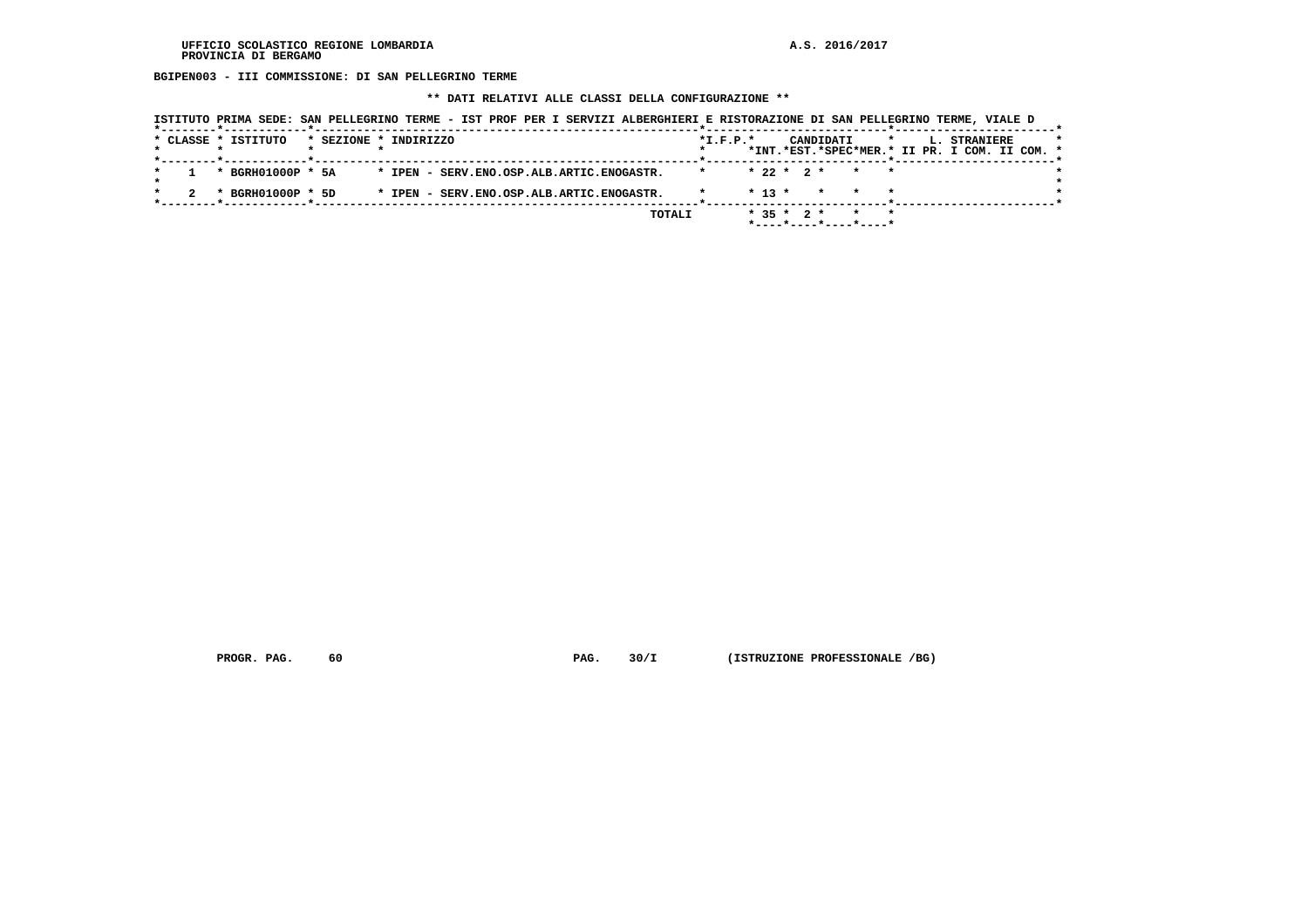**BGIPEN003 - III COMMISSIONE: DI SAN PELLEGRINO TERME**

 **\*\* DATI RELATIVI ALLE CLASSI DELLA CONFIGURAZIONE \*\***

| ISTITUTO PRIMA SEDE: SAN PELLEGRINO TERME - IST PROF PER I SERVIZI ALBERGHIERI E RISTORAZIONE DI SAN PELLEGRINO TERME, VIALE D |                                                                                                         |
|--------------------------------------------------------------------------------------------------------------------------------|---------------------------------------------------------------------------------------------------------|
| * CLASSE * ISTITUTO<br>* SEZIONE * INDIRIZZO<br>*--------*------------*--------                                                | $*$ I.F.P. $*$<br>CANDIDATI<br>L. STRANIERE<br>$\star$<br>*INT.*EST.*SPEC*MER.* II PR. I COM. II COM. * |
| * BGRH01000P * 5A<br>* IPEN - SERV.ENO.OSP.ALB.ARTIC.ENOGASTR.                                                                 | $* 22 * 2 *$<br>$\star$                                                                                 |
| * BGRH01000P * 5D<br>* IPEN - SERV.ENO.OSP.ALB.ARTIC.ENOGASTR.                                                                 | $* 13 *$<br>* * *                                                                                       |
|                                                                                                                                | $*$ 35 $*$ 2 $*$<br>TOTALI<br>$*$ - - - - $*$ - - - - $*$ - - - - $*$ - - - - $*$                       |

 **PROGR. PAG.** 60 **PAG.** 30/I (ISTRUZIONE PROFESSIONALE /BG)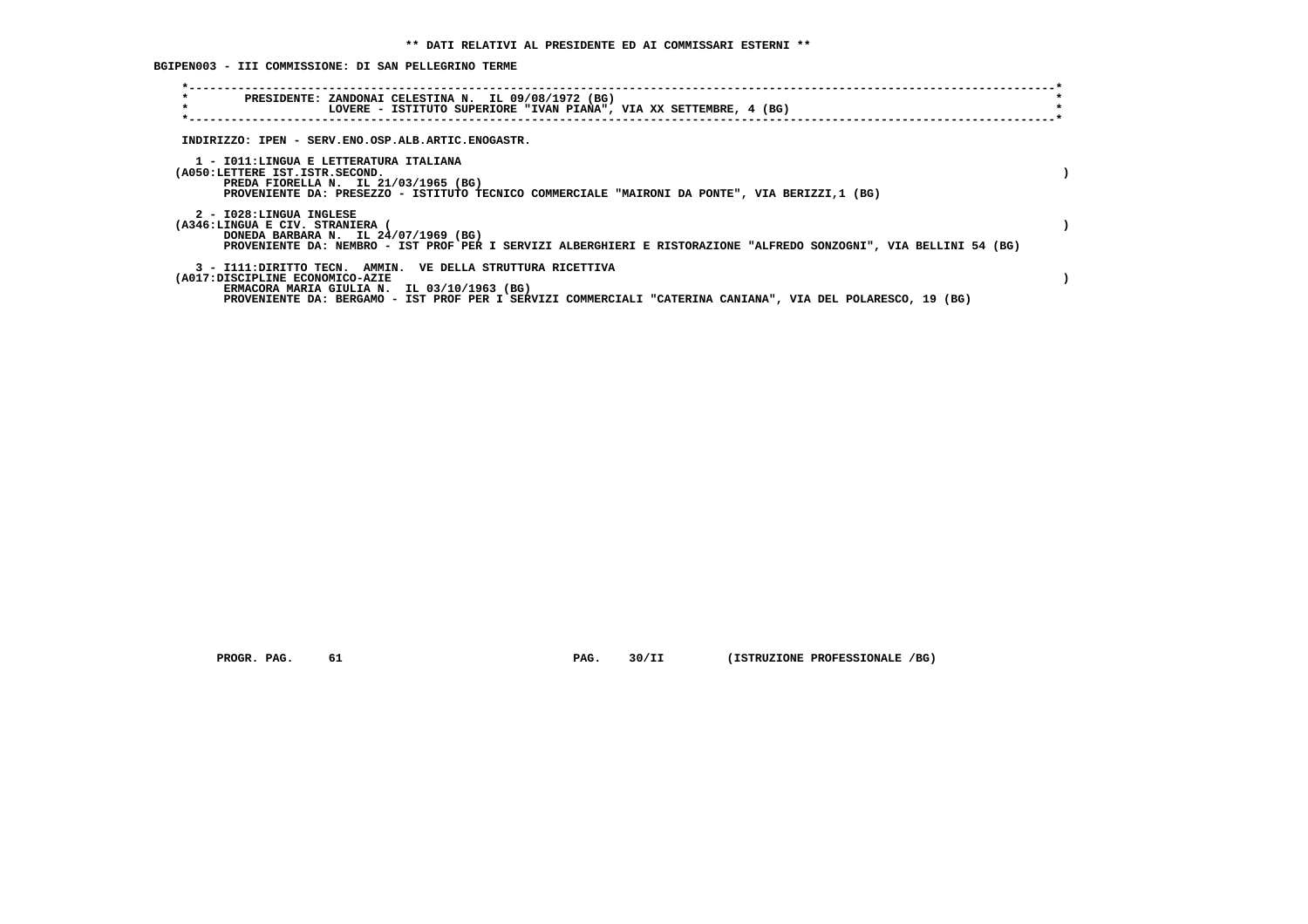**BGIPEN003 - III COMMISSIONE: DI SAN PELLEGRINO TERME**

| $\star$<br>PRESIDENTE: ZANDONAI CELESTINA N. IL 09/08/1972 (BG)<br>$\star$<br>LOVERE - ISTITUTO SUPERIORE "IVAN PIANA", VIA XX SETTEMBRE, 4 (BG)                                                                                                             |  |
|--------------------------------------------------------------------------------------------------------------------------------------------------------------------------------------------------------------------------------------------------------------|--|
| INDIRIZZO: IPEN - SERV.ENO.OSP.ALB.ARTIC.ENOGASTR.                                                                                                                                                                                                           |  |
| 1 - IO11:LINGUA E LETTERATURA ITALIANA<br>(A050:LETTERE IST.ISTR.SECOND.<br>PREDA FIORELLA N. IL 21/03/1965 (BG)<br>PROVENIENTE DA: PRESEZZO - ISTITUTO TECNICO COMMERCIALE "MAIRONI DA PONTE", VIA BERIZZI,1 (BG)                                           |  |
| 2 - I028:LINGUA INGLESE<br>(A346:LINGUA E CIV. STRANIERA (<br>DONEDA BARBARA N. IL 24/07/1969 (BG)<br>PROVENIENTE DA: NEMBRO - IST PROF PER I SERVIZI ALBERGHIERI E RISTORAZIONE "ALFREDO SONZOGNI", VIA BELLINI 54 (BG)                                     |  |
| 3 - I111: DIRITTO TECN. AMMIN. VE DELLA STRUTTURA RICETTIVA<br>(A017:DISCIPLINE ECONOMICO-AZIE<br>ERMACORA MARIA GIULIA N. IL 03/10/1963 (BG)<br>PROVENIENTE DA: BERGAMO - IST PROF PER I SERVIZI COMMERCIALI "CATERINA CANIANA", VIA DEL POLARESCO, 19 (BG) |  |

 **PROGR. PAG. 61 PAG. 30/II (ISTRUZIONE PROFESSIONALE /BG)**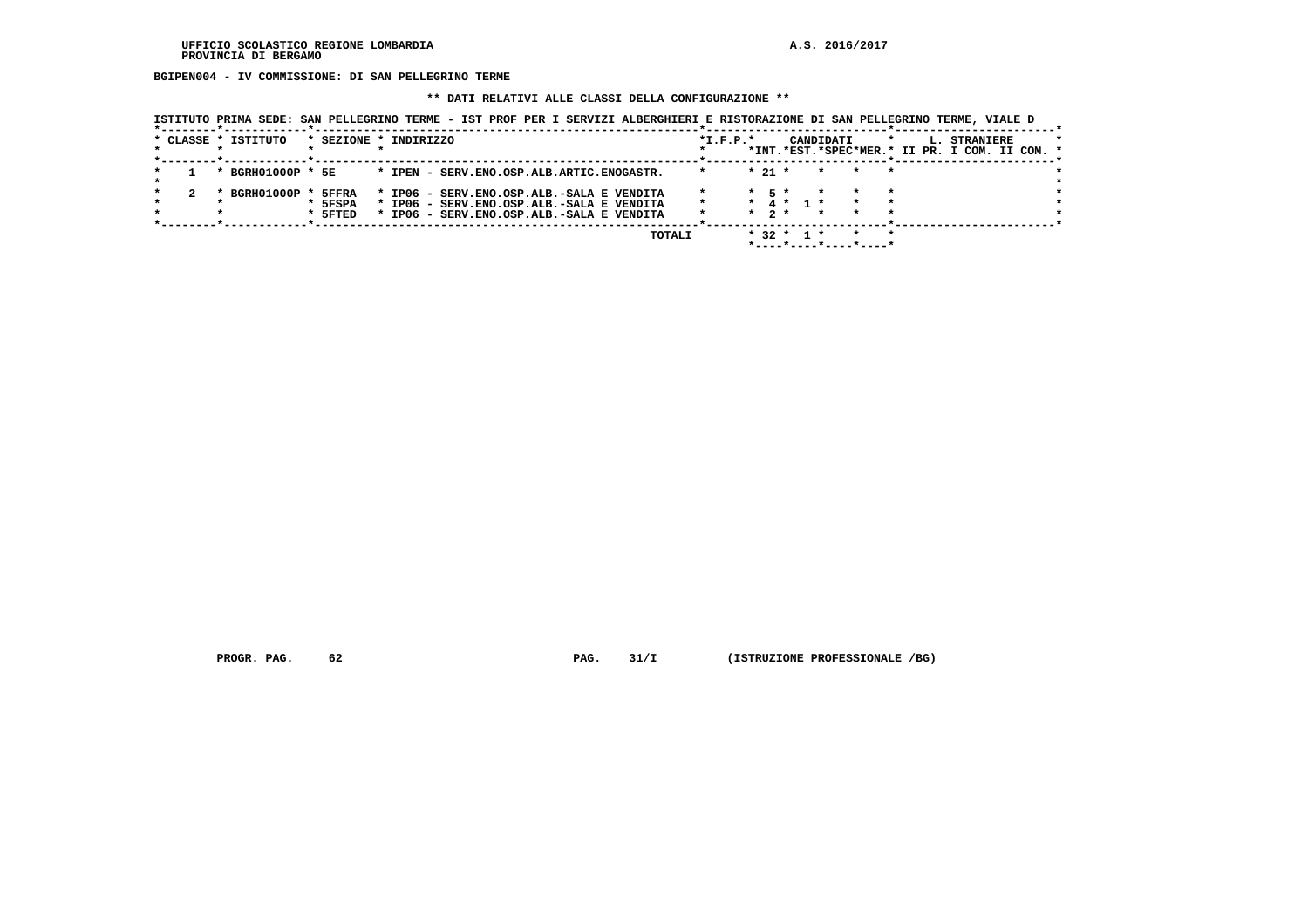**BGIPEN004 - IV COMMISSIONE: DI SAN PELLEGRINO TERME**

#### **\*\* DATI RELATIVI ALLE CLASSI DELLA CONFIGURAZIONE \*\***

 **ISTITUTO PRIMA SEDE: SAN PELLEGRINO TERME - IST PROF PER I SERVIZI ALBERGHIERI E RISTORAZIONE DI SAN PELLEGRINO TERME, VIALE D**

|  | * CLASSE * ISTITUTO |                             | * SEZIONE * INDIRIZZO                                                                                                               |        | $*I.F.P.*$ |                                |                  | CANDIDATI             |       | *INT.*EST.*SPEC*MER.* II PR. I COM. II COM. * | L. STRANIERE |  |  |
|--|---------------------|-----------------------------|-------------------------------------------------------------------------------------------------------------------------------------|--------|------------|--------------------------------|------------------|-----------------------|-------|-----------------------------------------------|--------------|--|--|
|  | * BGRH01000P * 5E   |                             | * IPEN - SERV. ENO. OSP. ALB. ARTIC. ENOGASTR.                                                                                      |        | $\star$    | $* 21 *$                       |                  | $\star$               | * * * |                                               |              |  |  |
|  | * BGRH01000P *      | 5FFRA<br>* 5FSPA<br>* 5FTED | * IP06 - SERV.ENO.OSP.ALB.-SALA E VENDITA<br>* IP06 - SERV.ENO.OSP.ALB.-SALA E VENDITA<br>* IP06 - SERV.ENO.OSP.ALB.-SALA E VENDITA |        | $\star$    | $*$ 5 $*$<br>$\star$ 2 $\star$ | * 4 * 1 *        |                       |       |                                               |              |  |  |
|  |                     |                             |                                                                                                                                     | TOTALI |            |                                | $*$ 32 $*$ 1 $*$ | *----*----*----*----* |       |                                               |              |  |  |

 **PROGR. PAG.** 62 **PROGR. 21/I** (ISTRUZIONE PROFESSIONALE /BG)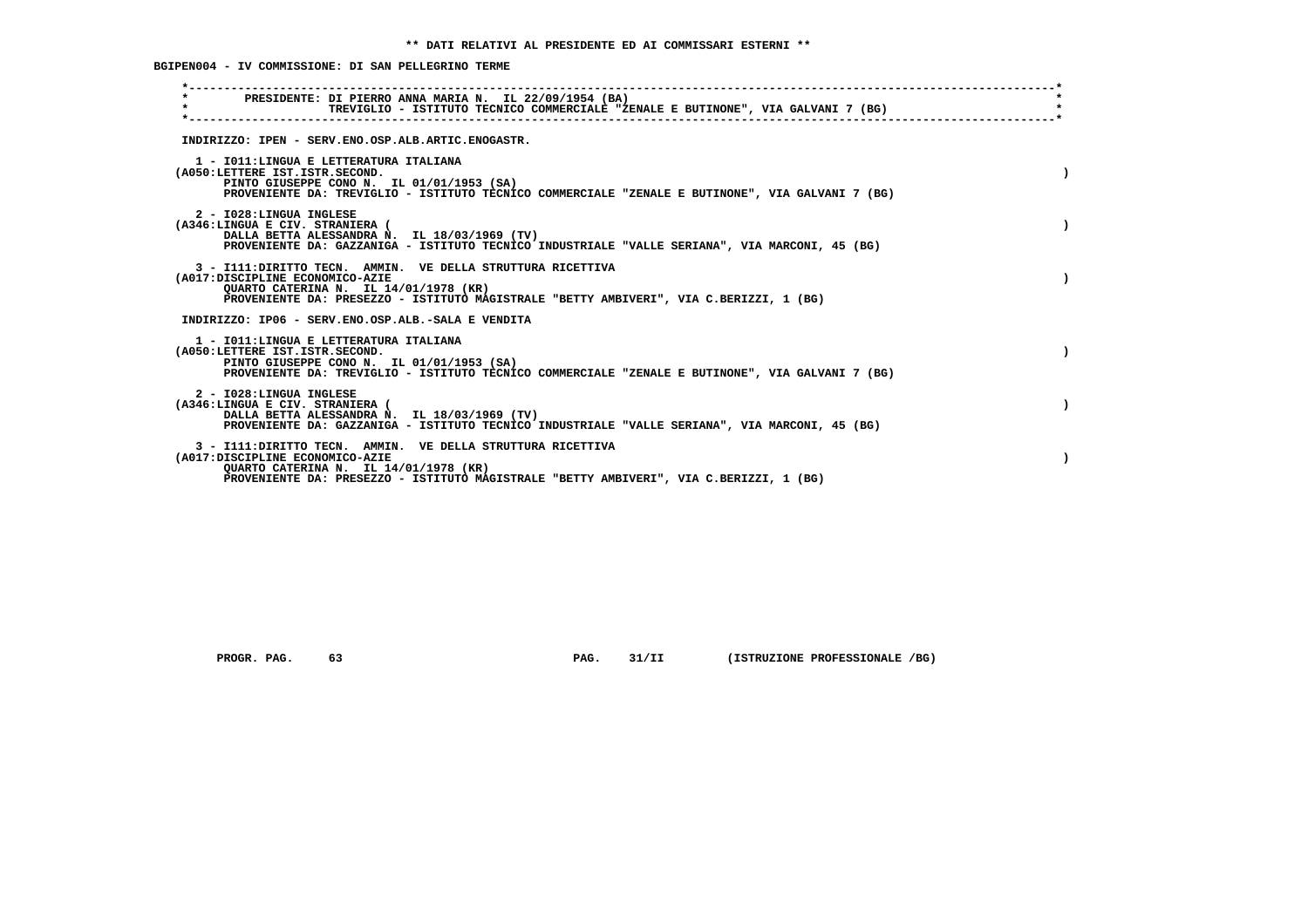**BGIPEN004 - IV COMMISSIONE: DI SAN PELLEGRINO TERME**

| PRESIDENTE: DI PIERRO ANNA MARIA N. IL 22/09/1954 (BA)<br>$\star$<br>TREVIGLIO - ISTITUTO TECNICO COMMERCIALE "ZENALE E BUTINONE", VIA GALVANI 7 (BG)                                                                             |  |
|-----------------------------------------------------------------------------------------------------------------------------------------------------------------------------------------------------------------------------------|--|
| INDIRIZZO: IPEN - SERV.ENO.OSP.ALB.ARTIC.ENOGASTR.                                                                                                                                                                                |  |
| 1 - IO11: LINGUA E LETTERATURA ITALIANA<br>(A050:LETTERE IST.ISTR.SECOND.<br>PINTO GIUSEPPE CONO N. IL 01/01/1953 (SA)<br>PROVENIENTE DA: TREVIGLIO - ISTITUTO TECNICO COMMERCIALE "ZENALE E BUTINONE", VIA GALVANI 7 (BG)        |  |
| 2 - I028:LINGUA INGLESE<br>(A346:LINGUA E CIV. STRANIERA (<br>DALLA BETTA ALESSANDRA N. IL 18/03/1969 (TV)<br>PROVENIENTE DA: GAZZANIGA - ISTITUTO TECNICO INDUSTRIALE "VALLE SERIANA", VIA MARCONI, 45 (BG)                      |  |
| 3 - I111: DIRITTO TECN. AMMIN. VE DELLA STRUTTURA RICETTIVA<br>(A017:DISCIPLINE ECONOMICO-AZIE<br>OUARTO CATERINA N. IL 14/01/1978 (KR)<br>PROVENIENTE DA: PRESEZZO - ISTITUTO MAGISTRALE "BETTY AMBIVERI", VIA C.BERIZZI, 1 (BG) |  |
| INDIRIZZO: IP06 - SERV.ENO.OSP.ALB.-SALA E VENDITA                                                                                                                                                                                |  |
| 1 - IO11:LINGUA E LETTERATURA ITALIANA<br>(A050:LETTERE IST.ISTR.SECOND.<br>PINTO GIUSEPPE CONO N. IL 01/01/1953 (SA)<br>PROVENIENTE DA: TREVIGLIO - ISTITUTO TECNICO COMMERCIALE "ZENALE E BUTINONE", VIA GALVANI 7 (BG)         |  |
| 2 - I028:LINGUA INGLESE<br>(A346:LINGUA E CIV. STRANIERA (<br>DALLA BETTA ALESSANDRA N. IL 18/03/1969 (TV)<br>PROVENIENTE DA: GAZZANIGA - ISTITUTO TECNICO INDUSTRIALE "VALLE SERIANA", VIA MARCONI, 45 (BG)                      |  |
| 3 - I111: DIRITTO TECN. AMMIN. VE DELLA STRUTTURA RICETTIVA<br>(A017:DISCIPLINE ECONOMICO-AZIE<br>OUARTO CATERINA N. IL 14/01/1978 (KR)<br>PROVENIENTE DA: PRESEZZO - ISTITUTO MAGISTRALE "BETTY AMBIVERI", VIA C.BERIZZI, 1 (BG) |  |

 **PROGR. PAG.** 63 **PAG.** 31/II (ISTRUZIONE PROFESSIONALE /BG)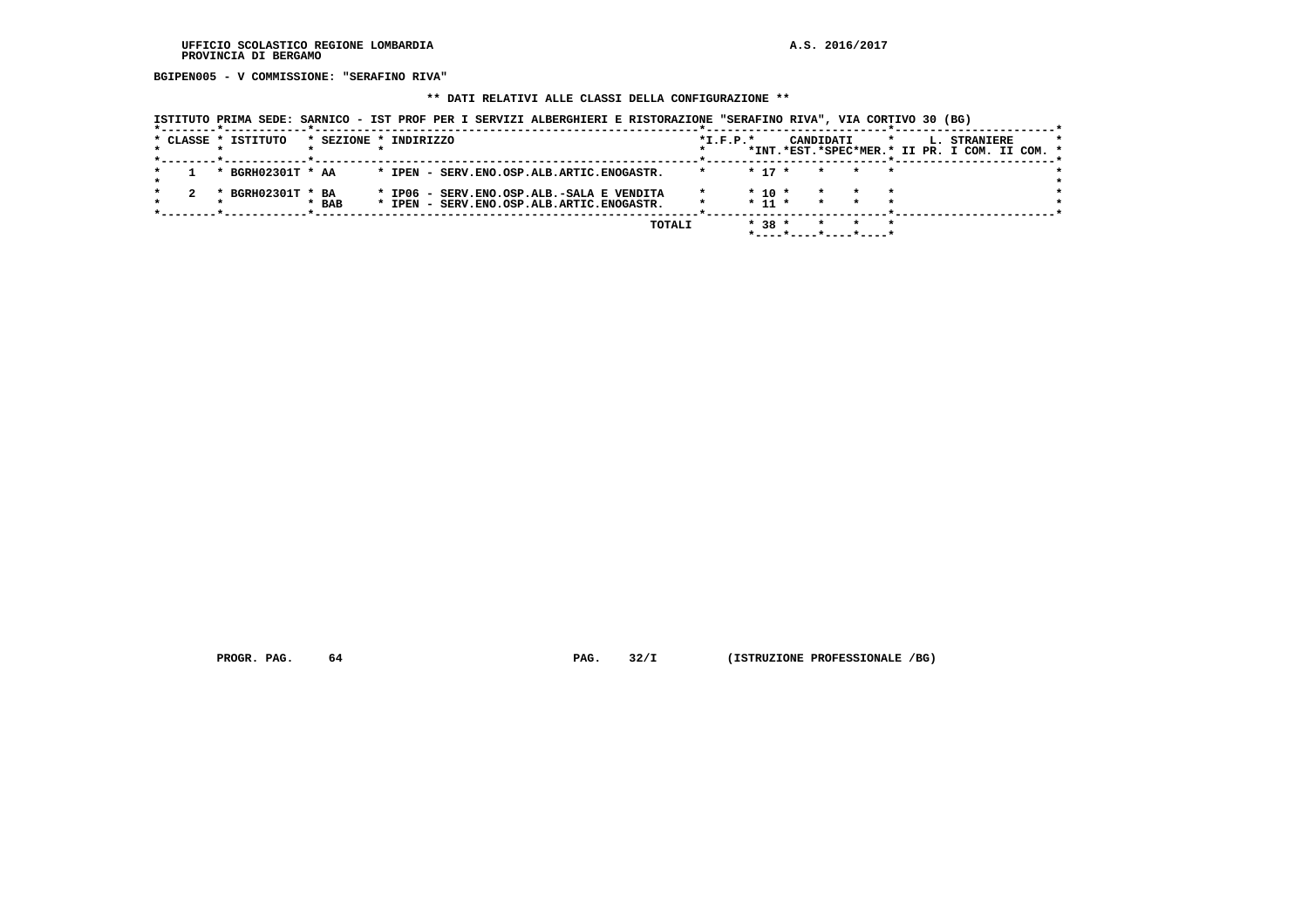**BGIPEN005 - V COMMISSIONE: "SERAFINO RIVA"**

#### **\*\* DATI RELATIVI ALLE CLASSI DELLA CONFIGURAZIONE \*\***

 **ISTITUTO PRIMA SEDE: SARNICO - IST PROF PER I SERVIZI ALBERGHIERI E RISTORAZIONE "SERAFINO RIVA", VIA CORTIVO 30 (BG)**

|  |                     |                       |  |  |  |                                                | TOTALI |            | $* 38 *$   |  |           |                                               |  |    |                  |  |  |
|--|---------------------|-----------------------|--|--|--|------------------------------------------------|--------|------------|------------|--|-----------|-----------------------------------------------|--|----|------------------|--|--|
|  |                     |                       |  |  |  |                                                |        |            |            |  |           |                                               |  |    |                  |  |  |
|  |                     | $*$ BAB               |  |  |  | * IPEN - SERV.ENO.OSP.ALB.ARTIC.ENOGASTR.      |        |            | $* 11 *$   |  | $\star$   |                                               |  |    |                  |  |  |
|  |                     |                       |  |  |  |                                                |        |            |            |  |           |                                               |  |    |                  |  |  |
|  | * BGRH02301T * BA   |                       |  |  |  | * IP06 - SERV.ENO.OSP.ALB.-SALA E VENDITA      |        |            | $*$ 10 $*$ |  |           |                                               |  |    |                  |  |  |
|  |                     |                       |  |  |  |                                                |        |            |            |  |           |                                               |  |    |                  |  |  |
|  | * BGRH02301T * AA   |                       |  |  |  | * IPEN - SERV. ENO. OSP. ALB. ARTIC. ENOGASTR. |        |            | $* 17 *$   |  | $\star$   |                                               |  |    |                  |  |  |
|  |                     |                       |  |  |  |                                                |        |            |            |  |           |                                               |  |    |                  |  |  |
|  |                     |                       |  |  |  |                                                |        |            |            |  |           | *INT.*EST.*SPEC*MER.* II PR. I COM. II COM. * |  |    |                  |  |  |
|  |                     |                       |  |  |  |                                                |        |            |            |  |           |                                               |  |    |                  |  |  |
|  | * CLASSE * ISTITUTO | * SEZIONE * INDIRIZZO |  |  |  |                                                |        | $*L.F.P.*$ |            |  | CANDIDATI |                                               |  | L. | <b>STRANIERE</b> |  |  |
|  |                     |                       |  |  |  |                                                |        |            |            |  |           |                                               |  |    |                  |  |  |

 **PROGR. PAG.** 64 **PROGR. 32/I** (ISTRUZIONE PROFESSIONALE /BG)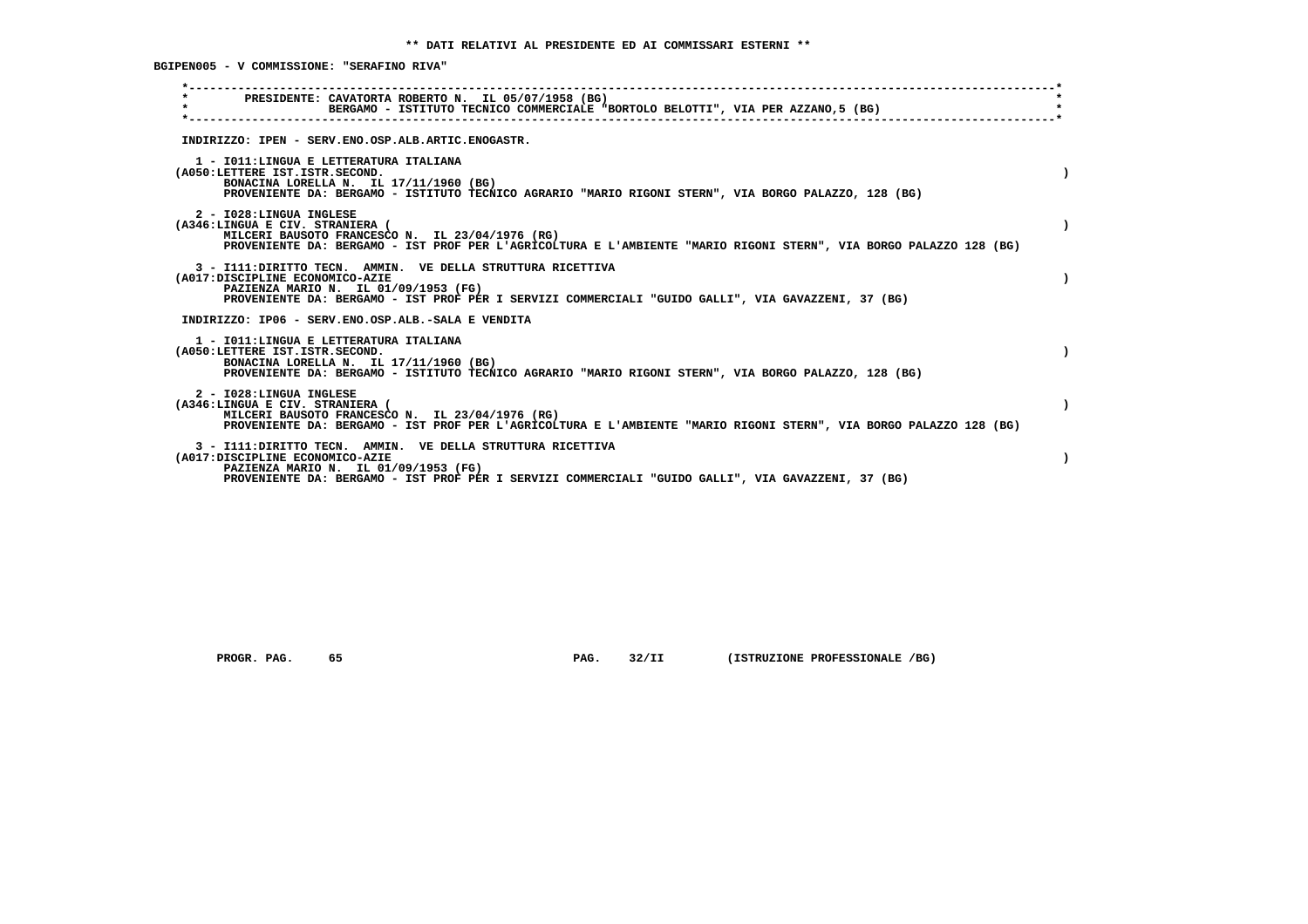**BGIPEN005 - V COMMISSIONE: "SERAFINO RIVA"**

| PRESIDENTE: CAVATORTA ROBERTO N. IL 05/07/1958 (BG)<br>$\star$<br>BERGAMO - ISTITUTO TECNICO COMMERCIALE "BORTOLO BELOTTI", VIA PER AZZANO,5 (BG)<br>INDIRIZZO: IPEN - SERV.ENO.OSP.ALB.ARTIC.ENOGASTR.<br>1 - IO11:LINGUA E LETTERATURA ITALIANA<br>(A050:LETTERE IST.ISTR.SECOND.<br>BONACINA LORELLA N. IL 17/11/1960 (BG)<br>PROVENIENTE DA: BERGAMO - ISTITUTO TECNICO AGRARIO "MARIO RIGONI STERN", VIA BORGO PALAZZO, 128 (BG)<br>2 - I028:LINGUA INGLESE<br>(A346:LINGUA E CIV. STRANIERA (<br>MILCERI BAUSOTO FRANCESCO N. IL 23/04/1976 (RG)<br>PROVENIENTE DA: BERGAMO - IST PROF PER L'AGRICOLTURA E L'AMBIENTE "MARIO RIGONI STERN", VIA BORGO PALAZZO 128 (BG)<br>3 - I111: DIRITTO TECN. AMMIN. VE DELLA STRUTTURA RICETTIVA<br>(A017:DISCIPLINE ECONOMICO-AZIE<br>PAZIENZA MARIO N. IL 01/09/1953 (FG)<br>PROVENIENTE DA: BERGAMO - IST PROF PER I SERVIZI COMMERCIALI "GUIDO GALLI", VIA GAVAZZENI, 37 (BG)<br>INDIRIZZO: IP06 - SERV.ENO.OSP.ALB.-SALA E VENDITA<br>1 - IO11: LINGUA E LETTERATURA ITALIANA<br>(A050:LETTERE IST.ISTR.SECOND.<br>BONACINA LORELLA N. IL 17/11/1960 (BG)<br>PROVENIENTE DA: BERGAMO - ISTITUTO TECNICO AGRARIO "MARIO RIGONI STERN", VIA BORGO PALAZZO, 128 (BG)<br>2 - I028:LINGUA INGLESE<br>(A346:LINGUA E CIV. STRANIERA (<br>MILCERI BAUSOTO FRANCESCO N. IL 23/04/1976 (RG)<br>PROVENIENTE DA: BERGAMO - IST PROF PER L'AGRICOLTURA E L'AMBIENTE "MARIO RIGONI STERN", VIA BORGO PALAZZO 128 (BG)<br>3 - I111: DIRITTO TECN. AMMIN. VE DELLA STRUTTURA RICETTIVA<br>(A017:DISCIPLINE ECONOMICO-AZIE<br>PAZIENZA MARIO N. IL 01/09/1953 (FG)<br>PROVENIENTE DA: BERGAMO - IST PROF PER I SERVIZI COMMERCIALI "GUIDO GALLI", VIA GAVAZZENI, 37 (BG) |  |
|----------------------------------------------------------------------------------------------------------------------------------------------------------------------------------------------------------------------------------------------------------------------------------------------------------------------------------------------------------------------------------------------------------------------------------------------------------------------------------------------------------------------------------------------------------------------------------------------------------------------------------------------------------------------------------------------------------------------------------------------------------------------------------------------------------------------------------------------------------------------------------------------------------------------------------------------------------------------------------------------------------------------------------------------------------------------------------------------------------------------------------------------------------------------------------------------------------------------------------------------------------------------------------------------------------------------------------------------------------------------------------------------------------------------------------------------------------------------------------------------------------------------------------------------------------------------------------------------------------------------------------------------------------------------------------------------------------|--|
|                                                                                                                                                                                                                                                                                                                                                                                                                                                                                                                                                                                                                                                                                                                                                                                                                                                                                                                                                                                                                                                                                                                                                                                                                                                                                                                                                                                                                                                                                                                                                                                                                                                                                                          |  |
|                                                                                                                                                                                                                                                                                                                                                                                                                                                                                                                                                                                                                                                                                                                                                                                                                                                                                                                                                                                                                                                                                                                                                                                                                                                                                                                                                                                                                                                                                                                                                                                                                                                                                                          |  |
|                                                                                                                                                                                                                                                                                                                                                                                                                                                                                                                                                                                                                                                                                                                                                                                                                                                                                                                                                                                                                                                                                                                                                                                                                                                                                                                                                                                                                                                                                                                                                                                                                                                                                                          |  |
|                                                                                                                                                                                                                                                                                                                                                                                                                                                                                                                                                                                                                                                                                                                                                                                                                                                                                                                                                                                                                                                                                                                                                                                                                                                                                                                                                                                                                                                                                                                                                                                                                                                                                                          |  |
|                                                                                                                                                                                                                                                                                                                                                                                                                                                                                                                                                                                                                                                                                                                                                                                                                                                                                                                                                                                                                                                                                                                                                                                                                                                                                                                                                                                                                                                                                                                                                                                                                                                                                                          |  |
|                                                                                                                                                                                                                                                                                                                                                                                                                                                                                                                                                                                                                                                                                                                                                                                                                                                                                                                                                                                                                                                                                                                                                                                                                                                                                                                                                                                                                                                                                                                                                                                                                                                                                                          |  |
|                                                                                                                                                                                                                                                                                                                                                                                                                                                                                                                                                                                                                                                                                                                                                                                                                                                                                                                                                                                                                                                                                                                                                                                                                                                                                                                                                                                                                                                                                                                                                                                                                                                                                                          |  |
|                                                                                                                                                                                                                                                                                                                                                                                                                                                                                                                                                                                                                                                                                                                                                                                                                                                                                                                                                                                                                                                                                                                                                                                                                                                                                                                                                                                                                                                                                                                                                                                                                                                                                                          |  |
|                                                                                                                                                                                                                                                                                                                                                                                                                                                                                                                                                                                                                                                                                                                                                                                                                                                                                                                                                                                                                                                                                                                                                                                                                                                                                                                                                                                                                                                                                                                                                                                                                                                                                                          |  |

 **PROGR. PAG. 65 PAG. 32/II (ISTRUZIONE PROFESSIONALE /BG)**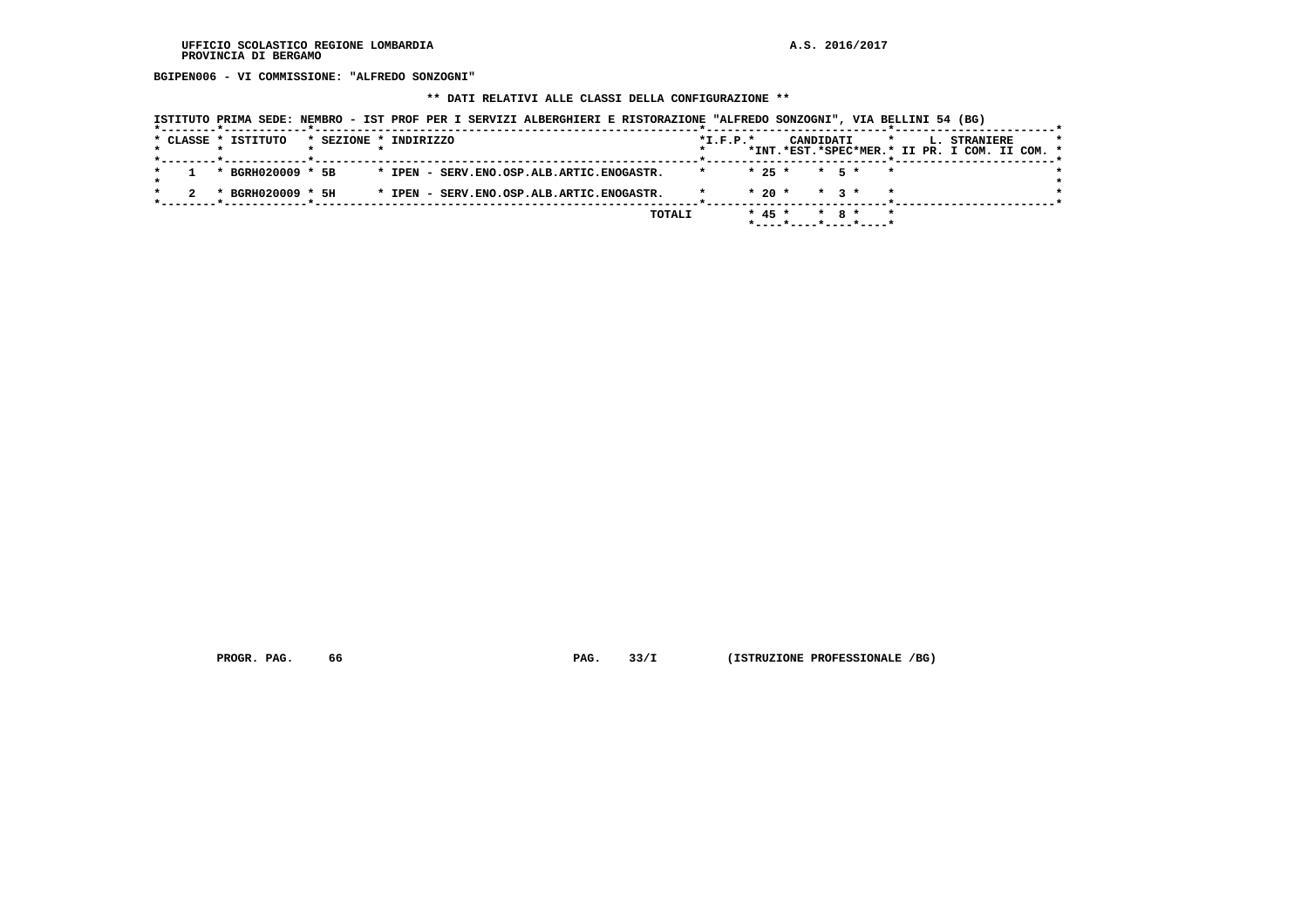**BGIPEN006 - VI COMMISSIONE: "ALFREDO SONZOGNI"**

#### **\*\* DATI RELATIVI ALLE CLASSI DELLA CONFIGURAZIONE \*\***

 **ISTITUTO PRIMA SEDE: NEMBRO - IST PROF PER I SERVIZI ALBERGHIERI E RISTORAZIONE "ALFREDO SONZOGNI", VIA BELLINI 54 (BG)**

|  | * CLASSE * ISTITUTO |  | * SEZIONE * INDIRIZZO                          |         | $*I.F.P.*$ |          | CANDIDATI      |           |                           |                                               | L. STRANIERE | $\star$ |
|--|---------------------|--|------------------------------------------------|---------|------------|----------|----------------|-----------|---------------------------|-----------------------------------------------|--------------|---------|
|  |                     |  |                                                |         |            |          |                |           |                           | *INT.*EST.*SPEC*MER.* II PR. I COM. II COM. * |              |         |
|  | * BGRH020009 * 5B   |  | * IPEN - SERV. ENO. OSP. ALB. ARTIC. ENOGASTR. | $\star$ |            | $* 25 *$ |                |           | $\star$ 5 $\star$ $\star$ |                                               |              |         |
|  |                     |  |                                                |         |            |          |                |           |                           |                                               |              |         |
|  | * BGRH020009 * 5H   |  | * IPEN - SERV. ENO. OSP. ALB. ARTIC. ENOGASTR. |         |            |          | $* 20 * * 3 *$ |           |                           |                                               |              |         |
|  |                     |  | TOTALI                                         |         |            | $* 45 *$ |                | $*$ 8 $*$ | $\star$                   |                                               |              |         |
|  |                     |  |                                                |         |            |          |                |           |                           |                                               |              |         |

 **PROGR. PAG.** 66 **PROGR. 23/I** (ISTRUZIONE PROFESSIONALE /BG)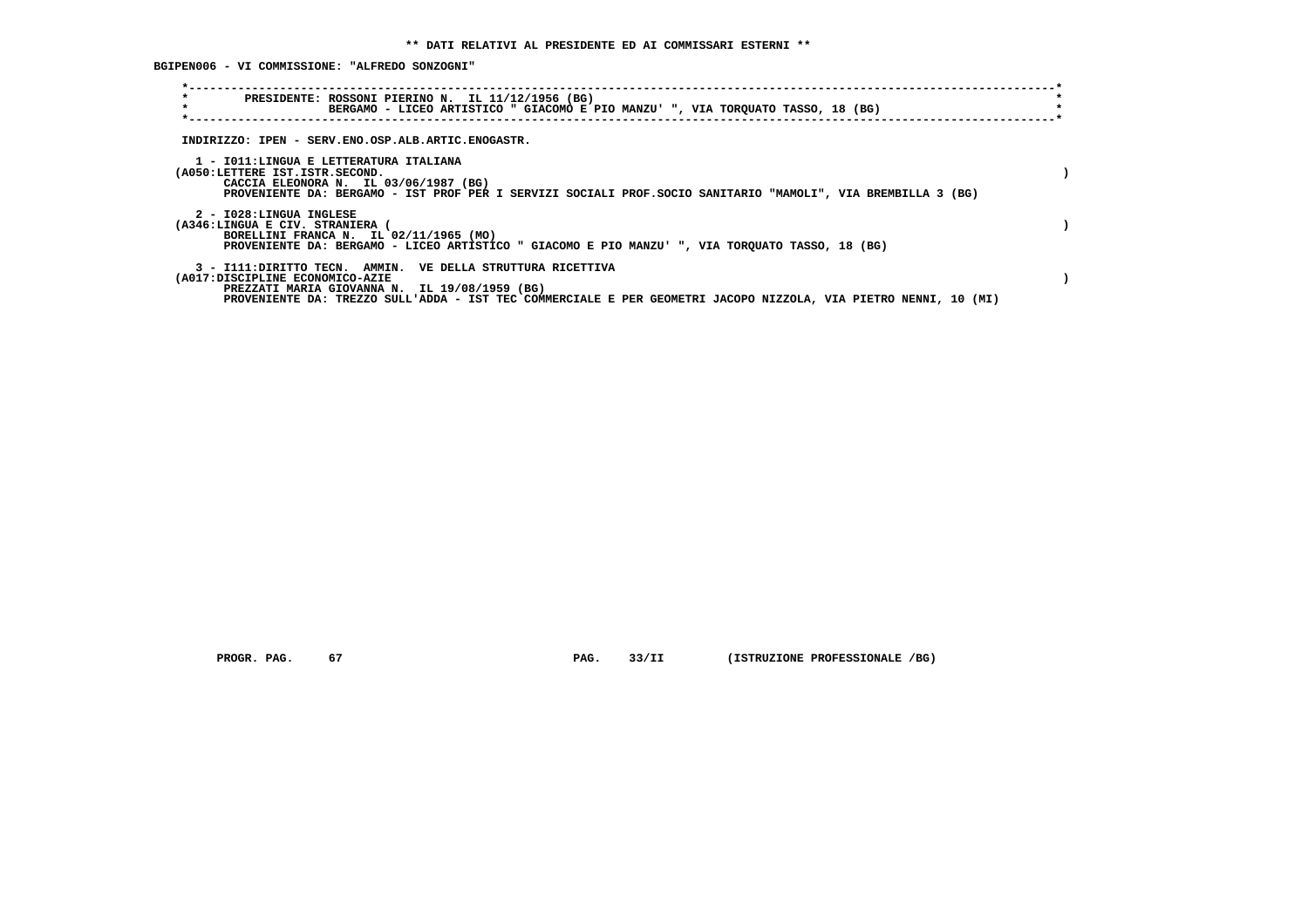**BGIPEN006 - VI COMMISSIONE: "ALFREDO SONZOGNI"**

| $\star$<br>PRESIDENTE: ROSSONI PIERINO N. IL 11/12/1956 (BG)<br>$\star$<br>BERGAMO - LICEO ARTISTICO " GIACOMO E PIO MANZU' ", VIA TORQUATO TASSO, 18 (BG)                                                                                                         |  |
|--------------------------------------------------------------------------------------------------------------------------------------------------------------------------------------------------------------------------------------------------------------------|--|
| INDIRIZZO: IPEN - SERV.ENO.OSP.ALB.ARTIC.ENOGASTR.                                                                                                                                                                                                                 |  |
| 1 - IO11:LINGUA E LETTERATURA ITALIANA<br>(A050:LETTERE IST.ISTR.SECOND.<br>CACCIA ELEONORA N. IL 03/06/1987 (BG)<br>PROVENIENTE DA: BERGAMO - IST PROF PER I SERVIZI SOCIALI PROF. SOCIO SANITARIO "MAMOLI", VIA BREMBILLA 3 (BG)                                 |  |
| 2 - I028:LINGUA INGLESE<br>(A346:LINGUA E CIV. STRANIERA<br>BORELLINI FRANCA N. IL 02/11/1965 (MO)<br>PROVENIENTE DA: BERGAMO - LICEO ARTISTICO " GIACOMO E PIO MANZU' ", VIA TORQUATO TASSO, 18 (BG)                                                              |  |
| 3 - I111: DIRITTO TECN. AMMIN. VE DELLA STRUTTURA RICETTIVA<br>(A017:DISCIPLINE ECONOMICO-AZIE<br>PREZZATI MARIA GIOVANNA N. IL 19/08/1959 (BG)<br>PROVENIENTE DA: TREZZO SULL'ADDA - IST TEC COMMERCIALE E PER GEOMETRI JACOPO NIZZOLA, VIA PIETRO NENNI, 10 (MI) |  |

 **PROGR. PAG.** 67 **PAG.** 33/II (ISTRUZIONE PROFESSIONALE /BG)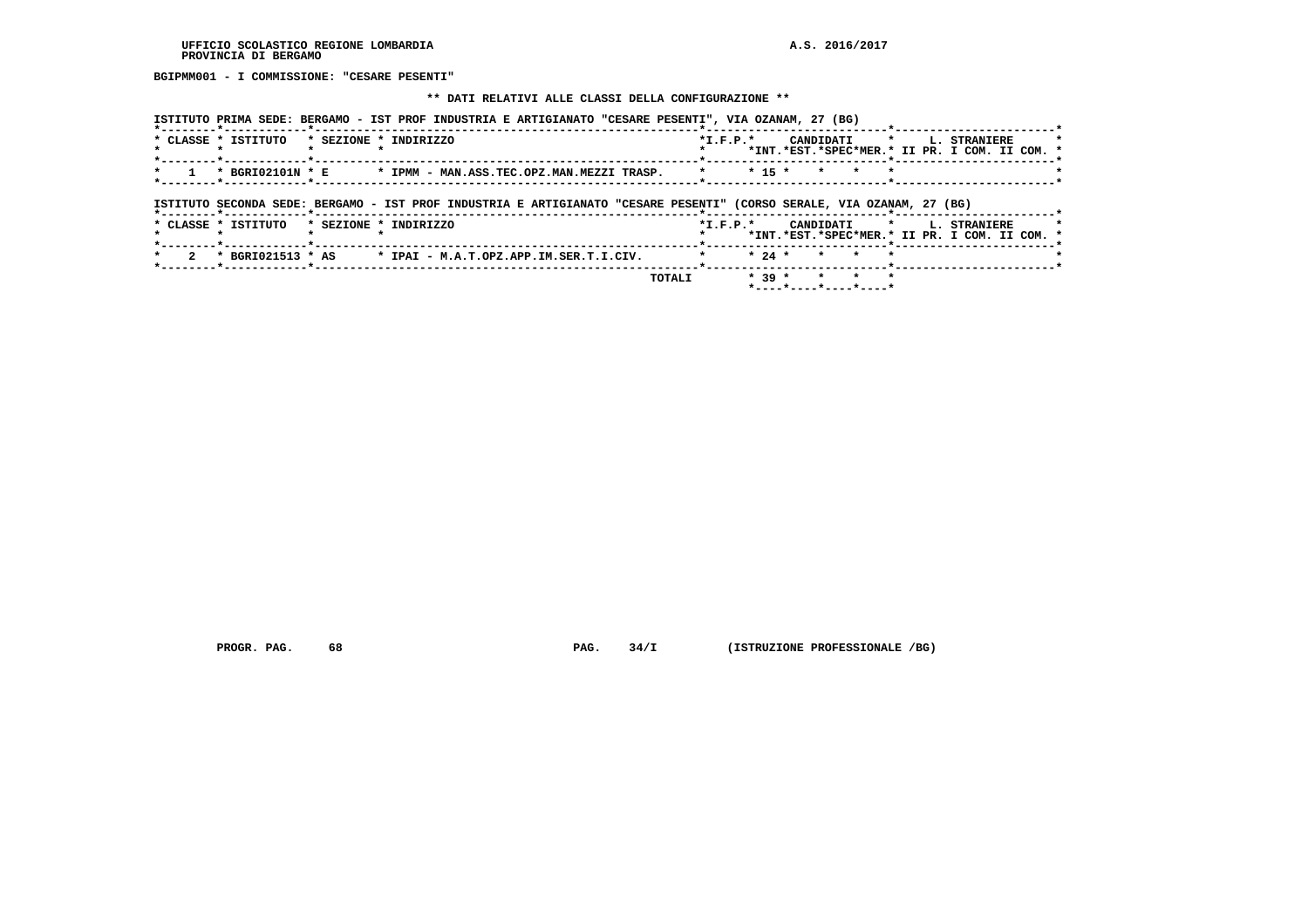**BGIPMM001 - I COMMISSIONE: "CESARE PESENTI"**

#### **\*\* DATI RELATIVI ALLE CLASSI DELLA CONFIGURAZIONE \*\***

|                                       | ISTITUTO PRIMA SEDE: BERGAMO - IST PROF INDUSTRIA E ARTIGIANATO "CESARE PESENTI", VIA OZANAM, 27 (BG)                 |            |                 |                                                                      |
|---------------------------------------|-----------------------------------------------------------------------------------------------------------------------|------------|-----------------|----------------------------------------------------------------------|
| * CLASSE * ISTITUTO                   | * SEZIONE * INDIRIZZO                                                                                                 | $*I.F.P.*$ | CANDIDATI *     | <b>L. STRANIERE</b><br>*INT.*EST.*SPEC*MER.* II PR. I COM. II COM. * |
|                                       | * BGRI02101N * E * IPMM - MAN.ASS.TEC.OPZ.MAN.MEZZI TRASP.                                                            | $* 15 *$   | $\star$ $\star$ |                                                                      |
| *--------*------------*-------------- | ISTITUTO SECONDA SEDE: BERGAMO - IST PROF INDUSTRIA E ARTIGIANATO "CESARE PESENTI" (CORSO SERALE, VIA OZANAM, 27 (BG) |            |                 |                                                                      |
| * CLASSE * ISTITUTO                   | * SEZIONE * INDIRIZZO                                                                                                 | $*I.F.P.*$ | CANDIDATI       | L. STRANIERE                                                         |

| בטכת ב | <b>LULLLULU</b>   | contour | <b>INDINIAO</b>                                           |        | . |  |                                               | unividai i |  |  | u. sinnilana |  |  |
|--------|-------------------|---------|-----------------------------------------------------------|--------|---|--|-----------------------------------------------|------------|--|--|--------------|--|--|
|        |                   |         |                                                           |        |   |  | *INT.*EST.*SPEC*MER.* II PR. I COM. II COM. * |            |  |  |              |  |  |
|        |                   |         |                                                           |        |   |  |                                               |            |  |  |              |  |  |
|        | * BGRI021513 * AS |         | * IPAI - M.A.T.OPZ.APP.IM.SER.T.I.CIV. * * * 24 * * * * * |        |   |  |                                               |            |  |  |              |  |  |
|        |                   |         |                                                           |        |   |  |                                               |            |  |  |              |  |  |
|        |                   |         |                                                           | TOTALI |   |  | $* 39 * * * * * *$                            |            |  |  |              |  |  |
|        |                   |         |                                                           |        |   |  |                                               |            |  |  |              |  |  |

 **PROGR. PAG.** 68 **PAG.** 34/I (ISTRUZIONE PROFESSIONALE /BG)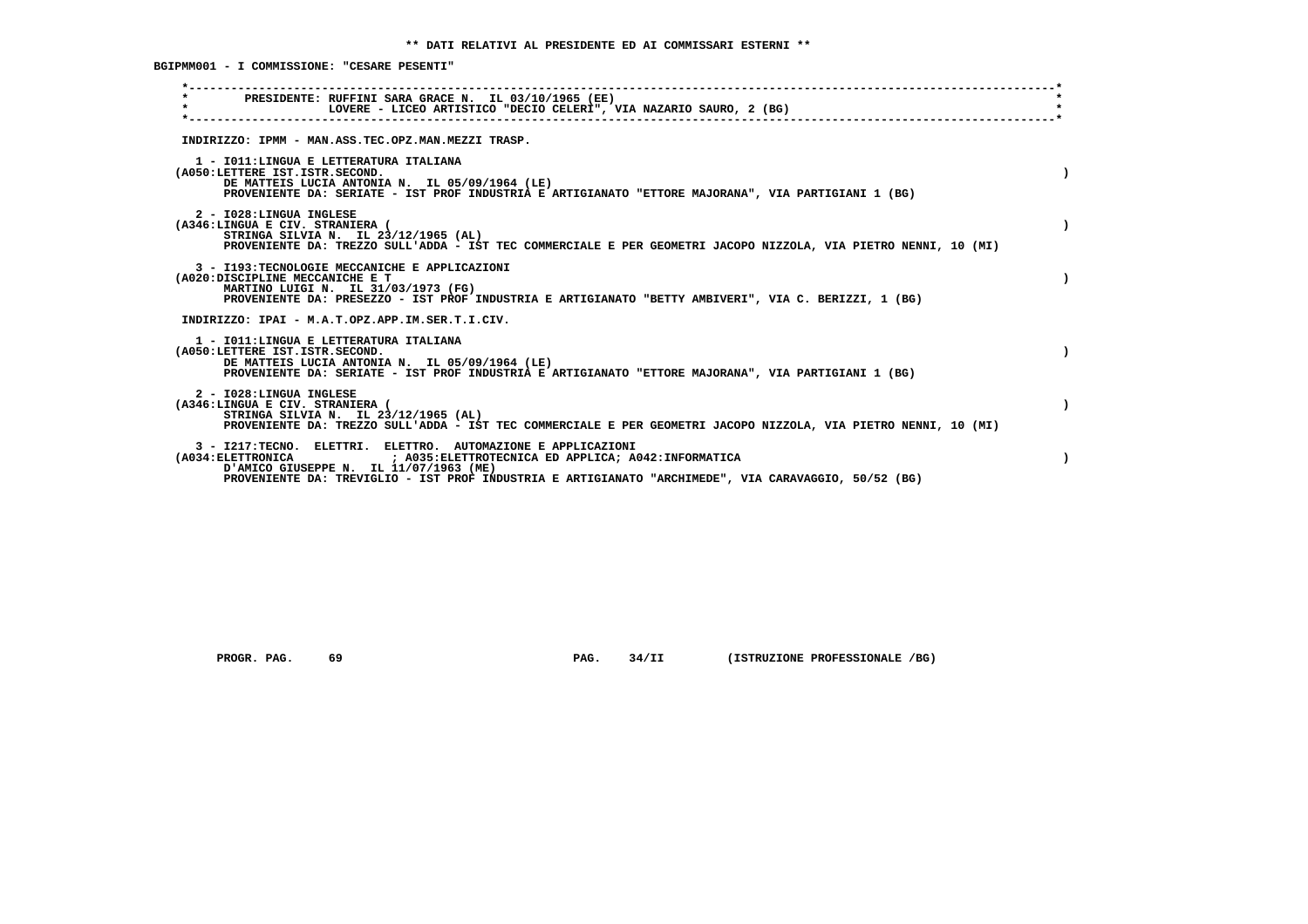**BGIPMM001 - I COMMISSIONE: "CESARE PESENTI"**

| PRESIDENTE: RUFFINI SARA GRACE N. IL 03/10/1965 (EE)<br>$\star$<br>LOVERE - LICEO ARTISTICO "DECIO CELERI", VIA NAZARIO SAURO, 2 (BG)                                                                                                                                                  |  |
|----------------------------------------------------------------------------------------------------------------------------------------------------------------------------------------------------------------------------------------------------------------------------------------|--|
| INDIRIZZO: IPMM - MAN.ASS.TEC.OPZ.MAN.MEZZI TRASP.                                                                                                                                                                                                                                     |  |
| 1 - IO11: LINGUA E LETTERATURA ITALIANA<br>(A050:LETTERE IST.ISTR.SECOND.<br>DE MATTEIS LUCIA ANTONIA N. IL 05/09/1964 (LE)<br>PROVENIENTE DA: SERIATE - IST PROF INDUSTRIA E ARTIGIANATO "ETTORE MAJORANA", VIA PARTIGIANI 1 (BG)                                                     |  |
| 2 - I028:LINGUA INGLESE<br>(A346:LINGUA E CIV. STRANIERA (<br>STRINGA SILVIA N. IL 23/12/1965 (AL)<br>PROVENIENTE DA: TREZZO SULL'ADDA - IST TEC COMMERCIALE E PER GEOMETRI JACOPO NIZZOLA, VIA PIETRO NENNI, 10 (MI)                                                                  |  |
| 3 - I193: TECNOLOGIE MECCANICHE E APPLICAZIONI<br>(A020:DISCIPLINE MECCANICHE E T<br>MARTINO LUIGI N. IL 31/03/1973 (FG)<br>PROVENIENTE DA: PRESEZZO - IST PROF INDUSTRIA E ARTIGIANATO "BETTY AMBIVERI", VIA C. BERIZZI, 1 (BG)                                                       |  |
| INDIRIZZO: IPAI - M.A.T.OPZ.APP.IM.SER.T.I.CIV.                                                                                                                                                                                                                                        |  |
| 1 - IO11: LINGUA E LETTERATURA ITALIANA<br>(A050:LETTERE IST.ISTR.SECOND.<br>DE MATTEIS LUCIA ANTONIA N. IL 05/09/1964 (LE)<br>PROVENIENTE DA: SERIATE - IST PROF INDUSTRIA E ARTIGIANATO "ETTORE MAJORANA", VIA PARTIGIANI 1 (BG)                                                     |  |
| 2 - I028:LINGUA INGLESE<br>(A346:LINGUA E CIV. STRANIERA (<br>STRINGA SILVIA N. IL 23/12/1965 (AL)<br>PROVENIENTE DA: TREZZO SULL'ADDA - IST TEC COMMERCIALE E PER GEOMETRI JACOPO NIZZOLA, VIA PIETRO NENNI, 10 (MI)                                                                  |  |
| 3 - I217:TECNO. ELETTRI. ELETTRO. AUTOMAZIONE E APPLICAZIONI<br>(A034:ELETTRONICA ; A035:ELETTROTECNICA ED APPLICA; A042:INFORMATICA<br>D'AMICO GIUSEPPE N. IL 11/07/1963 (ME)<br>PROVENIENTE DA: TREVIGLIO - IST PROF INDUSTRIA E ARTIGIANATO "ARCHIMEDE", VIA CARAVAGGIO, 50/52 (BG) |  |
|                                                                                                                                                                                                                                                                                        |  |

 **PROGR. PAG. 69 PAG. 34/II (ISTRUZIONE PROFESSIONALE /BG)**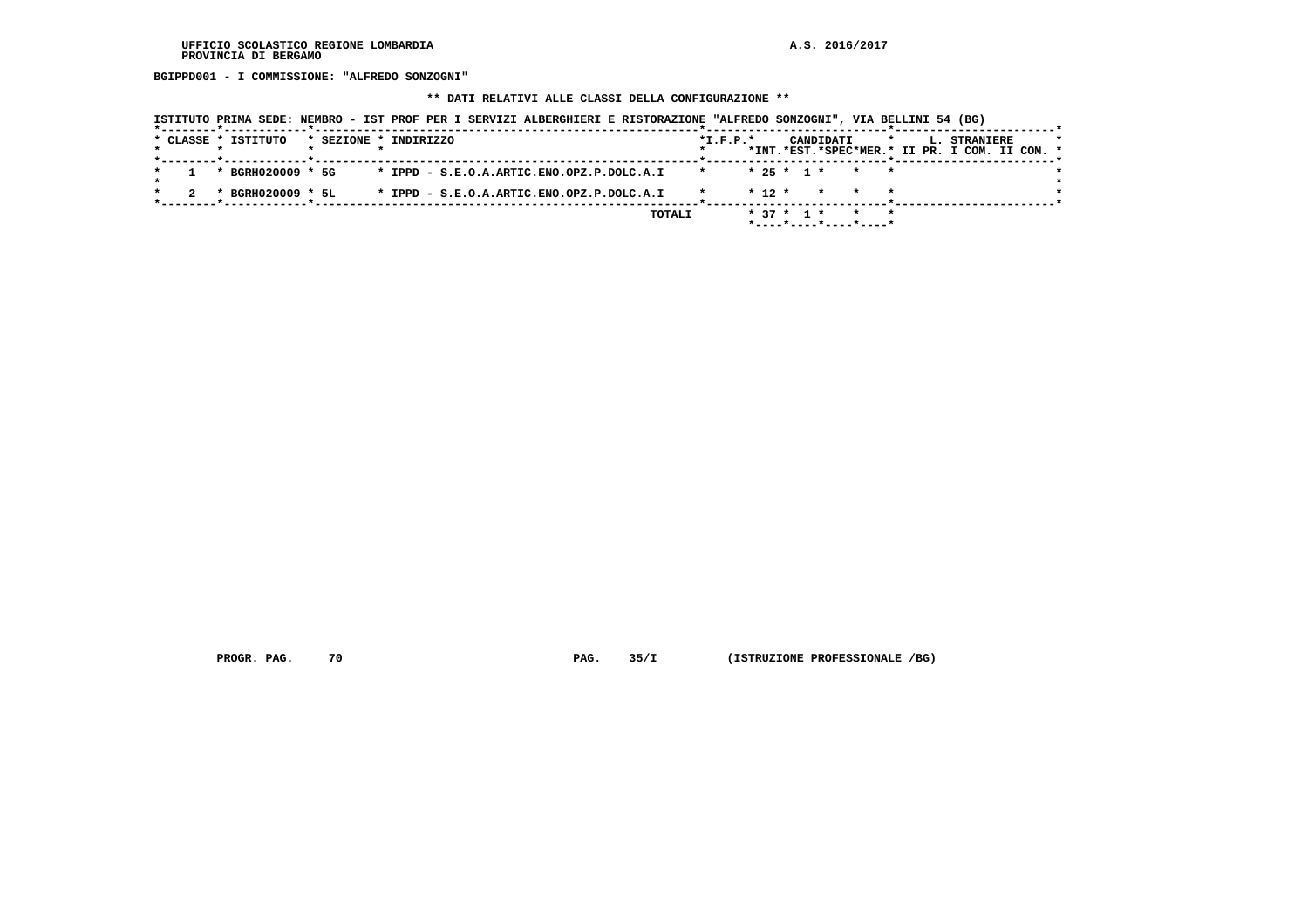**BGIPPD001 - I COMMISSIONE: "ALFREDO SONZOGNI"**

#### **\*\* DATI RELATIVI ALLE CLASSI DELLA CONFIGURAZIONE \*\***

|  |  | ISTITUTO PRIMA SEDE: NEMBRO - IST PROF PER I SERVIZI ALBERGHIERI E RISTORAZIONE "ALFREDO SONZOGNI", VIA BELLINI 54 (BG) |                       |  |  |                                           |  |        |            |          |              |                          |                 |              |  |                                                               |  |  |
|--|--|-------------------------------------------------------------------------------------------------------------------------|-----------------------|--|--|-------------------------------------------|--|--------|------------|----------|--------------|--------------------------|-----------------|--------------|--|---------------------------------------------------------------|--|--|
|  |  | * CLASSE * ISTITUTO                                                                                                     | * SEZIONE * INDIRIZZO |  |  |                                           |  |        | $*L.F.P.*$ |          |              | CANDIDATI                |                 | $\mathbf{r}$ |  | L. STRANIERE<br>*INT.*EST.*SPEC*MER.* II PR. I COM. II COM. * |  |  |
|  |  | * BGRH020009 * 5G                                                                                                       |                       |  |  | * IPPD - S.E.O.A.ARTIC.ENO.OPZ.P.DOLC.A.I |  |        |            |          | $* 25 * 1 *$ |                          | $\star$ $\star$ |              |  |                                                               |  |  |
|  |  | * BGRH020009 * 5L                                                                                                       |                       |  |  | * IPPD - S.E.O.A.ARTIC.ENO.OPZ.P.DOLC.A.I |  |        |            | $* 12 *$ |              | * * *                    |                 |              |  |                                                               |  |  |
|  |  |                                                                                                                         |                       |  |  |                                           |  | TOTALI |            |          | $* 37 * 1 *$ | $*$ ----*----*----*----* | $\star$ $\star$ |              |  |                                                               |  |  |

 **PROGR. PAG. 70 PAG. 35/I (ISTRUZIONE PROFESSIONALE /BG)**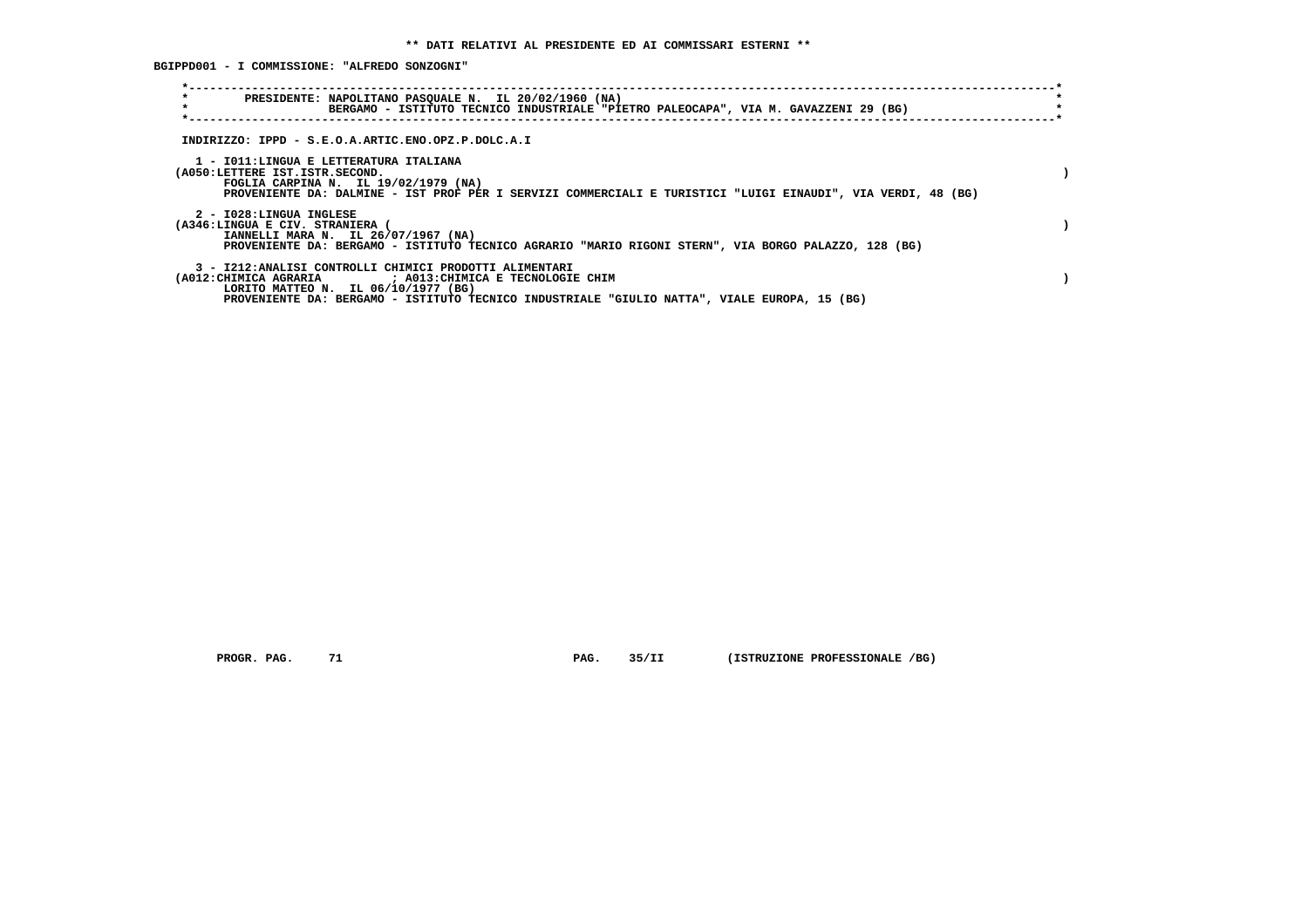**BGIPPD001 - I COMMISSIONE: "ALFREDO SONZOGNI"**

| $\star$<br>PRESIDENTE: NAPOLITANO PASQUALE N. IL 20/02/1960 (NA)<br>$\star$<br>BERGAMO - ISTITUTO TECNICO INDUSTRIALE "PIETRO PALEOCAPA", VIA M. GAVAZZENI 29 (BG)                                                                                          |  |
|-------------------------------------------------------------------------------------------------------------------------------------------------------------------------------------------------------------------------------------------------------------|--|
| INDIRIZZO: IPPD - S.E.O.A.ARTIC.ENO.OPZ.P.DOLC.A.I                                                                                                                                                                                                          |  |
| 1 - IO11:LINGUA E LETTERATURA ITALIANA<br>(A050:LETTERE IST.ISTR.SECOND.<br>FOGLIA CARPINA N. IL 19/02/1979 (NA)<br>PROVENIENTE DA: DALMINE - IST PROF PER I SERVIZI COMMERCIALI E TURISTICI "LUIGI EINAUDI", VIA VERDI, 48 (BG)                            |  |
| 2 - I028:LINGUA INGLESE<br>(A346:LINGUA E CIV. STRANIERA (<br>IANNELLI MARA N. IL 26/07/1967 (NA)<br>PROVENIENTE DA: BERGAMO - ISTITUTO TECNICO AGRARIO "MARIO RIGONI STERN", VIA BORGO PALAZZO, 128 (BG)                                                   |  |
| 3 - I212:ANALISI CONTROLLI CHIMICI PRODOTTI ALIMENTARI<br>(A012: CHIMICA AGRARIA ) : A013: CHIMICA E TECNOLOGIE CHIM<br>LORITO MATTEO N. IL 06/10/1977 (BG)<br>PROVENIENTE DA: BERGAMO - ISTITUTO TECNICO INDUSTRIALE "GIULIO NATTA", VIALE EUROPA, 15 (BG) |  |

 **PROGR. PAG. 71 PAG. 35/II (ISTRUZIONE PROFESSIONALE /BG)**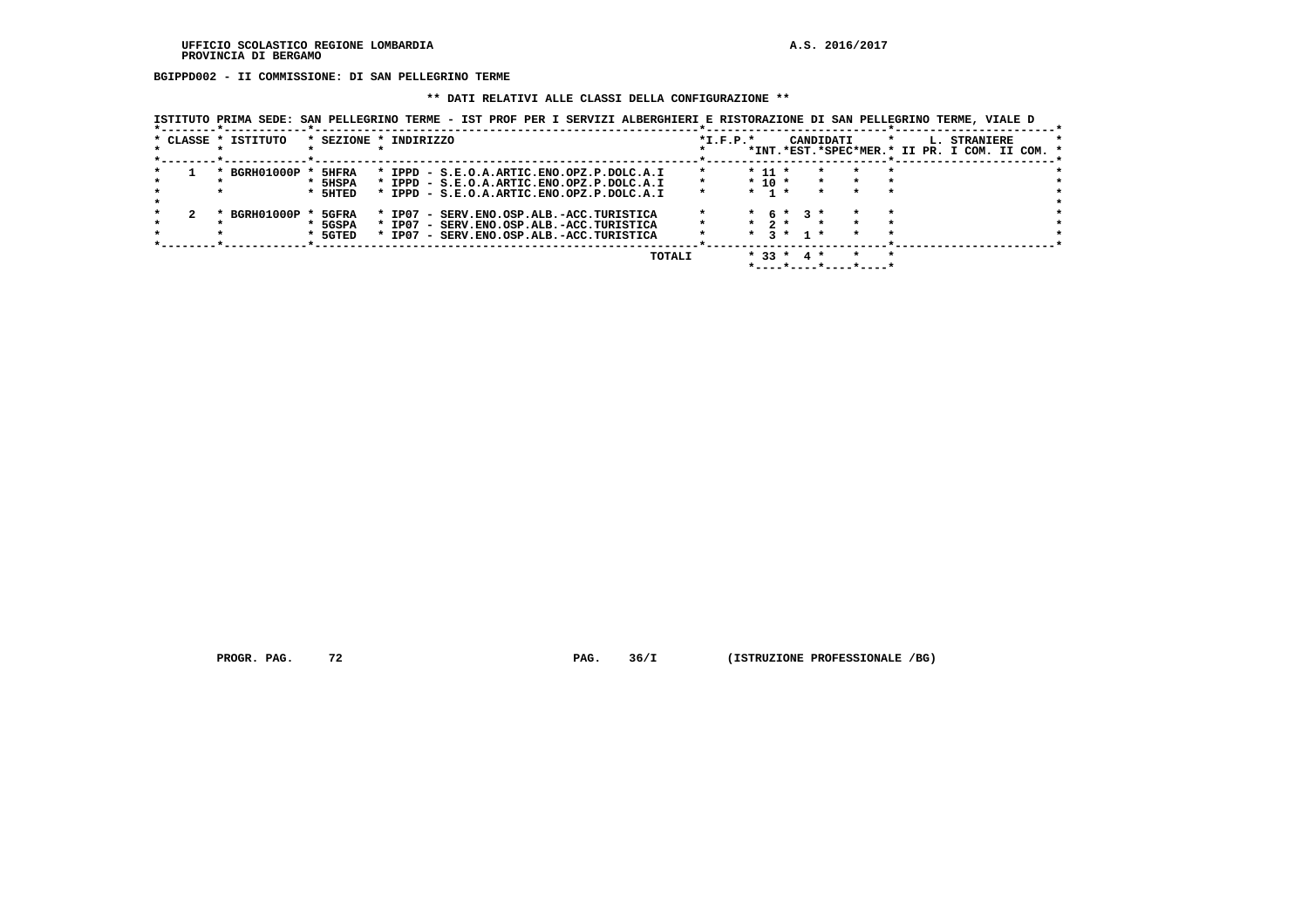**BGIPPD002 - II COMMISSIONE: DI SAN PELLEGRINO TERME**

#### **\*\* DATI RELATIVI ALLE CLASSI DELLA CONFIGURAZIONE \*\***

 **ISTITUTO PRIMA SEDE: SAN PELLEGRINO TERME - IST PROF PER I SERVIZI ALBERGHIERI E RISTORAZIONE DI SAN PELLEGRINO TERME, VIALE D**

|  |                     |         | TOTALI                                    |            | $* 33 *$   |                 | 4 *       |         |         |                                               |  |
|--|---------------------|---------|-------------------------------------------|------------|------------|-----------------|-----------|---------|---------|-----------------------------------------------|--|
|  |                     |         |                                           |            |            |                 |           |         |         |                                               |  |
|  |                     | * 5GTED | * IP07 - SERV.ENO.OSP.ALB.-ACC.TURISTICA  |            | $\star$    | $\mathbf{R}$    | $1 \star$ |         |         |                                               |  |
|  |                     | 5GSPA   | * IP07 - SERV.ENO.OSP.ALB.-ACC.TURISTICA  |            | $*$ 2 $*$  |                 |           |         |         |                                               |  |
|  | BGRH01000P          | 5GFRA   | * IP07 - SERV.ENO.OSP.ALB.-ACC.TURISTICA  |            |            | $*$ 6 $*$ 3 $*$ |           |         |         |                                               |  |
|  |                     |         |                                           |            |            |                 |           |         |         |                                               |  |
|  |                     |         |                                           |            |            |                 |           |         |         |                                               |  |
|  | $\star$             | * 5HTED | * IPPD - S.E.O.A.ARTIC.ENO.OPZ.P.DOLC.A.I | $\star$    | $*$ 1 $*$  |                 | $\star$   |         |         |                                               |  |
|  |                     | * 5HSPA | * IPPD - S.E.O.A.ARTIC.ENO.OPZ.P.DOLC.A.I | $\star$    | $*$ 10 $*$ |                 |           | $\star$ |         |                                               |  |
|  | BGRH01000P          | 5HFRA   | * IPPD - S.E.O.A.ARTIC.ENO.OPZ.P.DOLC.A.I | $\star$    | $* 11 *$   |                 |           |         |         |                                               |  |
|  |                     |         |                                           |            |            |                 |           |         |         |                                               |  |
|  |                     |         |                                           |            |            |                 |           |         |         | *INT.*EST.*SPEC*MER.* II PR. I COM. II COM. * |  |
|  | * CLASSE * ISTITUTO |         | * SEZIONE * INDIRIZZO                     | $*L.F.P.*$ |            |                 | CANDIDATI |         | $\star$ | L. STRANIERE                                  |  |
|  |                     |         |                                           |            |            |                 |           |         |         |                                               |  |

 **PROGR. PAG.** 72 **PROGR. 36/I** (ISTRUZIONE PROFESSIONALE /BG)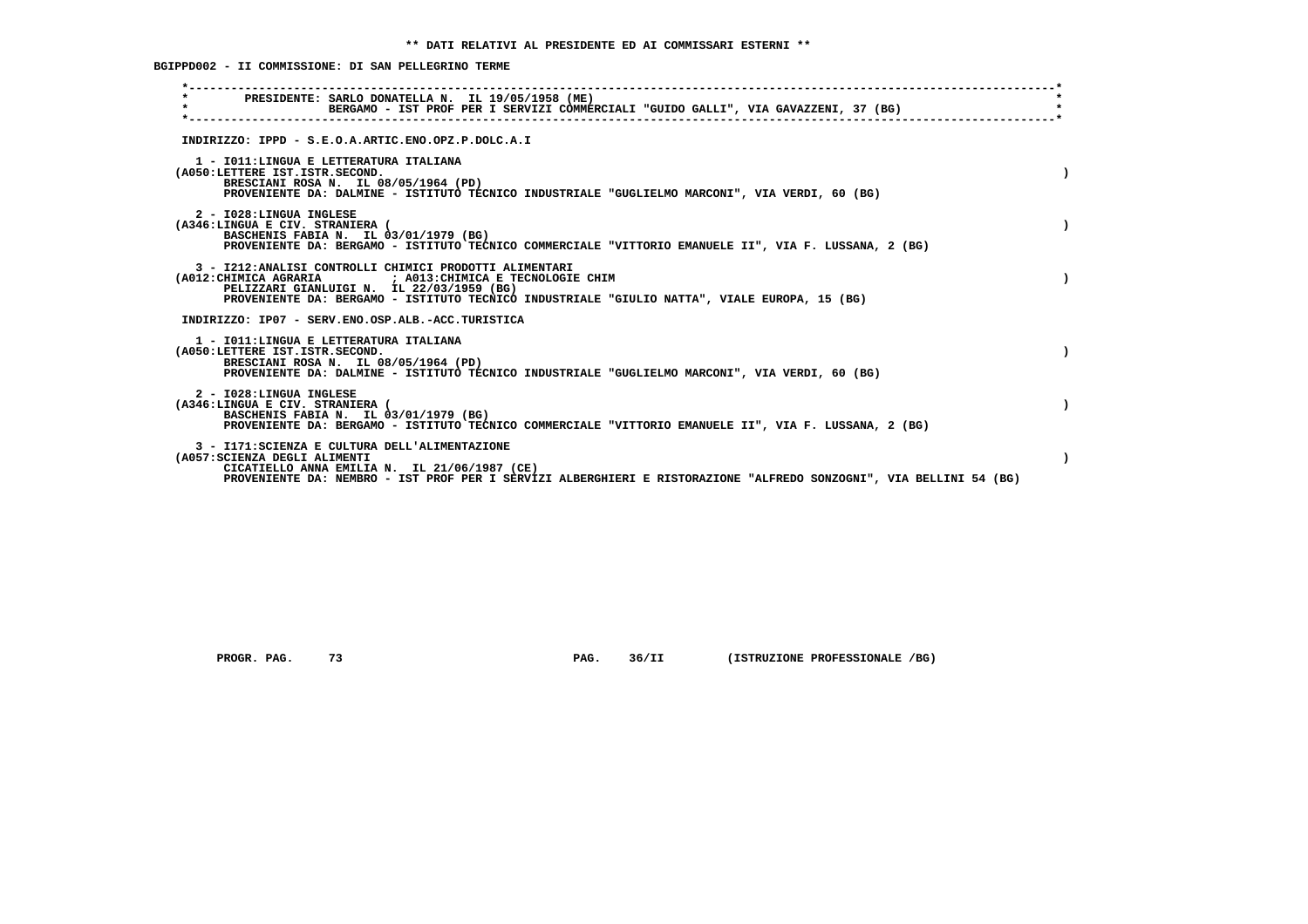**BGIPPD002 - II COMMISSIONE: DI SAN PELLEGRINO TERME**

| PRESIDENTE: SARLO DONATELLA N. IL 19/05/1958 (ME)<br>$\star$<br>BERGAMO - IST PROF PER I SERVIZI COMMERCIALI "GUIDO GALLI", VIA GAVAZZENI, 37 (BG)                                                                                                              |  |
|-----------------------------------------------------------------------------------------------------------------------------------------------------------------------------------------------------------------------------------------------------------------|--|
| INDIRIZZO: IPPD - S.E.O.A.ARTIC.ENO.OPZ.P.DOLC.A.I                                                                                                                                                                                                              |  |
| 1 - IO11:LINGUA E LETTERATURA ITALIANA<br>(A050:LETTERE IST.ISTR.SECOND.<br>BRESCIANI ROSA N. IL 08/05/1964 (PD)<br>PROVENIENTE DA: DALMINE - ISTITUTO TECNICO INDUSTRIALE "GUGLIELMO MARCONI", VIA VERDI, 60 (BG)                                              |  |
| 2 - I028: LINGUA INGLESE<br>(A346:LINGUA E CIV. STRANIERA (<br>BASCHENIS FABIA N. IL 03/01/1979 (BG)<br>PROVENIENTE DA: BERGAMO - ISTITUTO TECNICO COMMERCIALE "VITTORIO EMANUELE II", VIA F. LUSSANA, 2 (BG)                                                   |  |
| 3 - I212:ANALISI CONTROLLI CHIMICI PRODOTTI ALIMENTARI<br>(A012: CHIMICA AGRARIA ) A013: CHIMICA E TECNOLOGIE CHIM<br>PELIZZARI GIANLUIGI N. IL 22/03/1959 (BG)<br>PROVENIENTE DA: BERGAMO - ISTITUTO TECNICO INDUSTRIALE "GIULIO NATTA", VIALE EUROPA, 15 (BG) |  |
| INDIRIZZO: IP07 - SERV.ENO.OSP.ALB.-ACC.TURISTICA                                                                                                                                                                                                               |  |
| 1 - IO11: LINGUA E LETTERATURA ITALIANA<br>(A050:LETTERE IST.ISTR.SECOND.<br>BRESCIANI ROSA N. IL 08/05/1964 (PD)<br>PROVENIENTE DA: DALMINE - ISTITUTO TECNICO INDUSTRIALE "GUGLIELMO MARCONI", VIA VERDI, 60 (BG)                                             |  |
| 2 - I028:LINGUA INGLESE<br>(A346:LINGUA E CIV. STRANIERA (<br>BASCHENIS FABIA N. IL 03/01/1979 (BG)<br>PROVENIENTE DA: BERGAMO - ISTITUTO TECNICO COMMERCIALE "VITTORIO EMANUELE II", VIA F. LUSSANA, 2 (BG)                                                    |  |
| 3 - I171: SCIENZA E CULTURA DELL'ALIMENTAZIONE<br>(A057: SCIENZA DEGLI ALIMENTI<br>CICATIELLO ANNA EMILIA N. IL 21/06/1987 (CE)<br>PROVENIENTE DA: NEMBRO - IST PROF PER I SERVIZI ALBERGHIERI E RISTORAZIONE "ALFREDO SONZOGNI", VIA BELLINI 54 (BG)           |  |
|                                                                                                                                                                                                                                                                 |  |

 **PROGR. PAG. 73 PAG. 36/II (ISTRUZIONE PROFESSIONALE /BG)**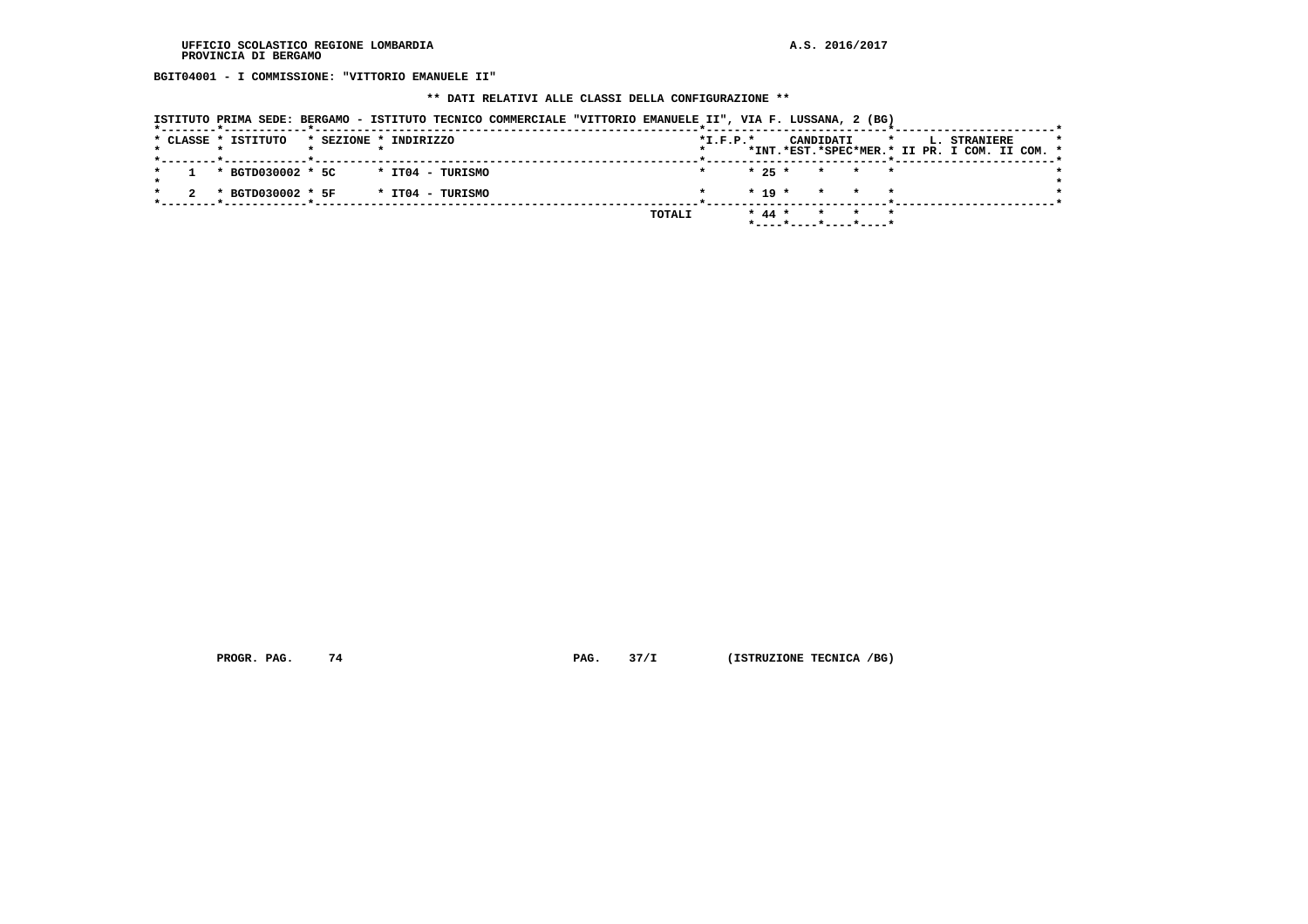**BGIT04001 - I COMMISSIONE: "VITTORIO EMANUELE II"**

# **\*\* DATI RELATIVI ALLE CLASSI DELLA CONFIGURAZIONE \*\***

|                                                      |                       |                  | ISTITUTO PRIMA SEDE: BERGAMO - ISTITUTO TECNICO COMMERCIALE "VITTORIO EMANUELE II", VIA F. LUSSANA, 2 (BG) |        |                |  |                                            |  |                                                                           |         |
|------------------------------------------------------|-----------------------|------------------|------------------------------------------------------------------------------------------------------------|--------|----------------|--|--------------------------------------------|--|---------------------------------------------------------------------------|---------|
| * CLASSE * ISTITUTO                                  | * SEZIONE * INDIRIZZO |                  |                                                                                                            |        | $*$ I.F.P. $*$ |  |                                            |  | CANDIDATI * L. STRANIERE<br>*INT.*EST.*SPEC*MER.* II PR. I COM. II COM. * | $\star$ |
| 1 * BGTD030002 * 5C                                  |                       | * IT04 - TURISMO |                                                                                                            |        |                |  | $\star$ 25 $\star$ $\star$ $\star$ $\star$ |  |                                                                           |         |
| * BGTD030002 * 5F<br>----*-----------*-------------- |                       | * IT04 - TURISMO |                                                                                                            |        |                |  | $* 19 * * * * * *$                         |  |                                                                           |         |
|                                                      |                       |                  |                                                                                                            | TOTALI |                |  | * 44 * * * *<br>*----*----*----*----*      |  |                                                                           |         |

 **PROGR. PAG.** 74 **PAG.** 37/I (ISTRUZIONE TECNICA /BG)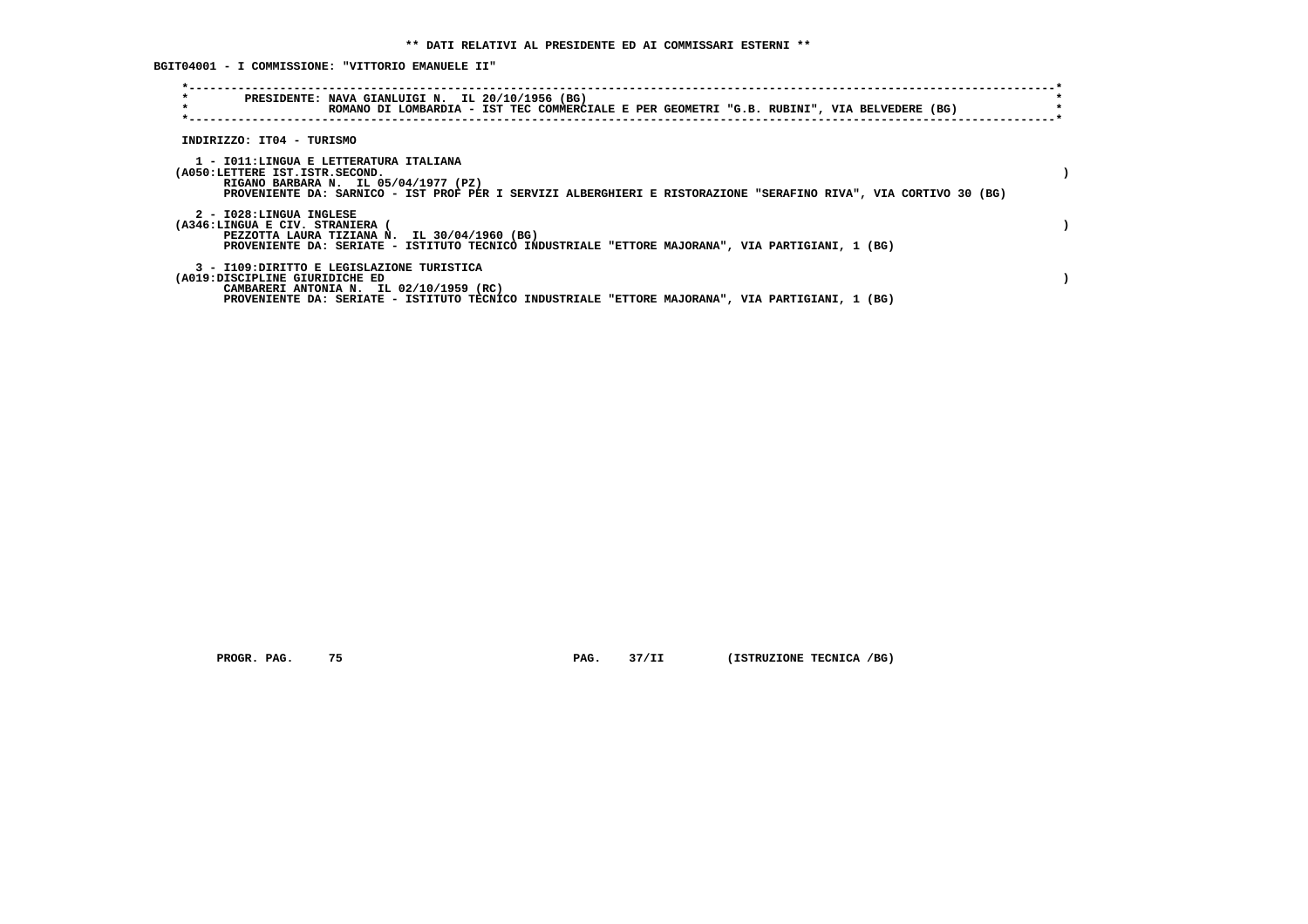**BGIT04001 - I COMMISSIONE: "VITTORIO EMANUELE II"**

| $\star$<br>$\star$                                         | PRESIDENTE: NAVA GIANLUIGI N. IL 20/10/1956 (BG)<br>ROMANO DI LOMBARDIA - IST TEC COMMERCIALE E PER GEOMETRI "G.B. RUBINI", VIA BELVEDERE (BG)                                                     |  |
|------------------------------------------------------------|----------------------------------------------------------------------------------------------------------------------------------------------------------------------------------------------------|--|
| INDIRIZZO: IT04 - TURISMO                                  |                                                                                                                                                                                                    |  |
| (A050:LETTERE IST.ISTR.SECOND.                             | 1 - IO11:LINGUA E LETTERATURA ITALIANA<br>RIGANO BARBARA N. IL 05/04/1977 (PZ)<br>PROVENIENTE DA: SARNICO - IST PROF PER I SERVIZI ALBERGHIERI E RISTORAZIONE "SERAFINO RIVA", VIA CORTIVO 30 (BG) |  |
| 2 - I028:LINGUA INGLESE<br>(A346:LINGUA E CIV. STRANIERA ( | PEZZOTTA LAURA TIZIANA N. IL 30/04/1960 (BG)<br>PROVENIENTE DA: SERIATE - ISTITUTO TECNICO INDUSTRIALE "ETTORE MAJORANA", VIA PARTIGIANI, 1 (BG)                                                   |  |
| (A019:DISCIPLINE GIURIDICHE ED                             | 3 - I109: DIRITTO E LEGISLAZIONE TURISTICA<br>CAMBARERI ANTONIA N. IL 02/10/1959 (RC)<br>PROVENIENTE DA: SERIATE - ISTITUTO TECNICO INDUSTRIALE "ETTORE MAJORANA", VIA PARTIGIANI, 1 (BG)          |  |

 **PROGR. PAG.** 75 **PAG.** 37/II (ISTRUZIONE TECNICA /BG)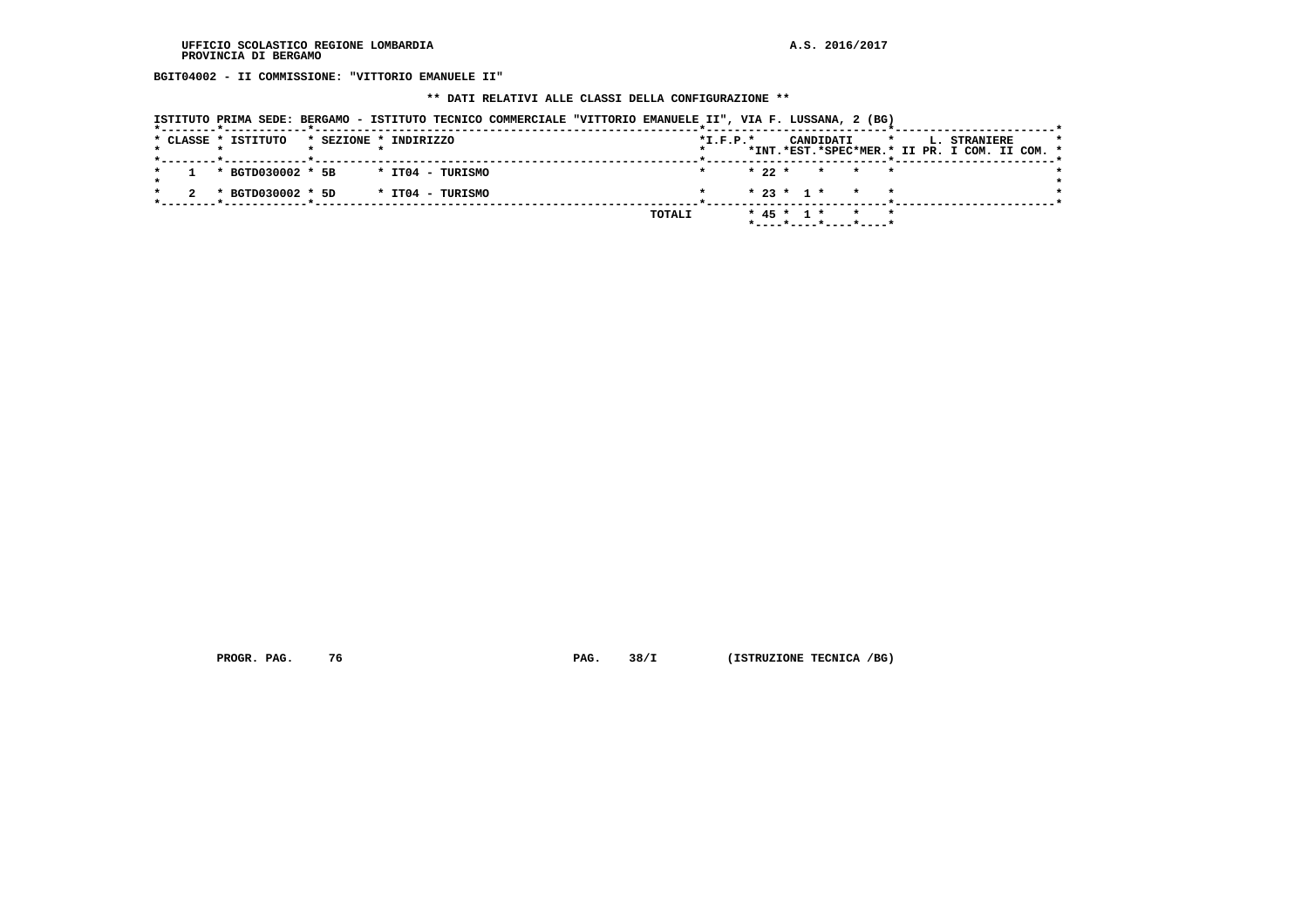**BGIT04002 - II COMMISSIONE: "VITTORIO EMANUELE II"**

#### **\*\* DATI RELATIVI ALLE CLASSI DELLA CONFIGURAZIONE \*\***

|  |  | ISTITUTO PRIMA SEDE: BERGAMO - ISTITUTO TECNICO COMMERCIALE "VITTORIO EMANUELE II", VIA F. LUSSANA, 2 (BG) |                       |  |                  |  |        |            |  |                  |           |                                            |              |  |                                               |  |  |
|--|--|------------------------------------------------------------------------------------------------------------|-----------------------|--|------------------|--|--------|------------|--|------------------|-----------|--------------------------------------------|--------------|--|-----------------------------------------------|--|--|
|  |  | * CLASSE * ISTITUTO                                                                                        | * SEZIONE * INDIRIZZO |  |                  |  |        | $*L.F.P.*$ |  |                  | CANDIDATI |                                            | $\mathbf{r}$ |  | <b>L. STRANIERE</b>                           |  |  |
|  |  |                                                                                                            |                       |  |                  |  |        |            |  |                  |           |                                            |              |  | *INT.*EST.*SPEC*MER.* II PR. I COM. II COM. * |  |  |
|  |  | * BGTD030002 * 5B                                                                                          |                       |  | * IT04 - TURISMO |  |        |            |  |                  |           | $\star$ 22 $\star$ $\star$ $\star$ $\star$ |              |  |                                               |  |  |
|  |  | * BGTD030002 * 5D                                                                                          |                       |  | * IT04 - TURISMO |  |        |            |  |                  |           | $* 23 * 1 * * * * *$                       |              |  |                                               |  |  |
|  |  |                                                                                                            |                       |  |                  |  | TOTALI |            |  | $*$ 45 $*$ 1 $*$ |           | $*$ ---- $*$ ---- $*$ ---- $*$ ----*       |              |  |                                               |  |  |

 **PROGR. PAG.** 76 **PAG.** 38/I (ISTRUZIONE TECNICA /BG)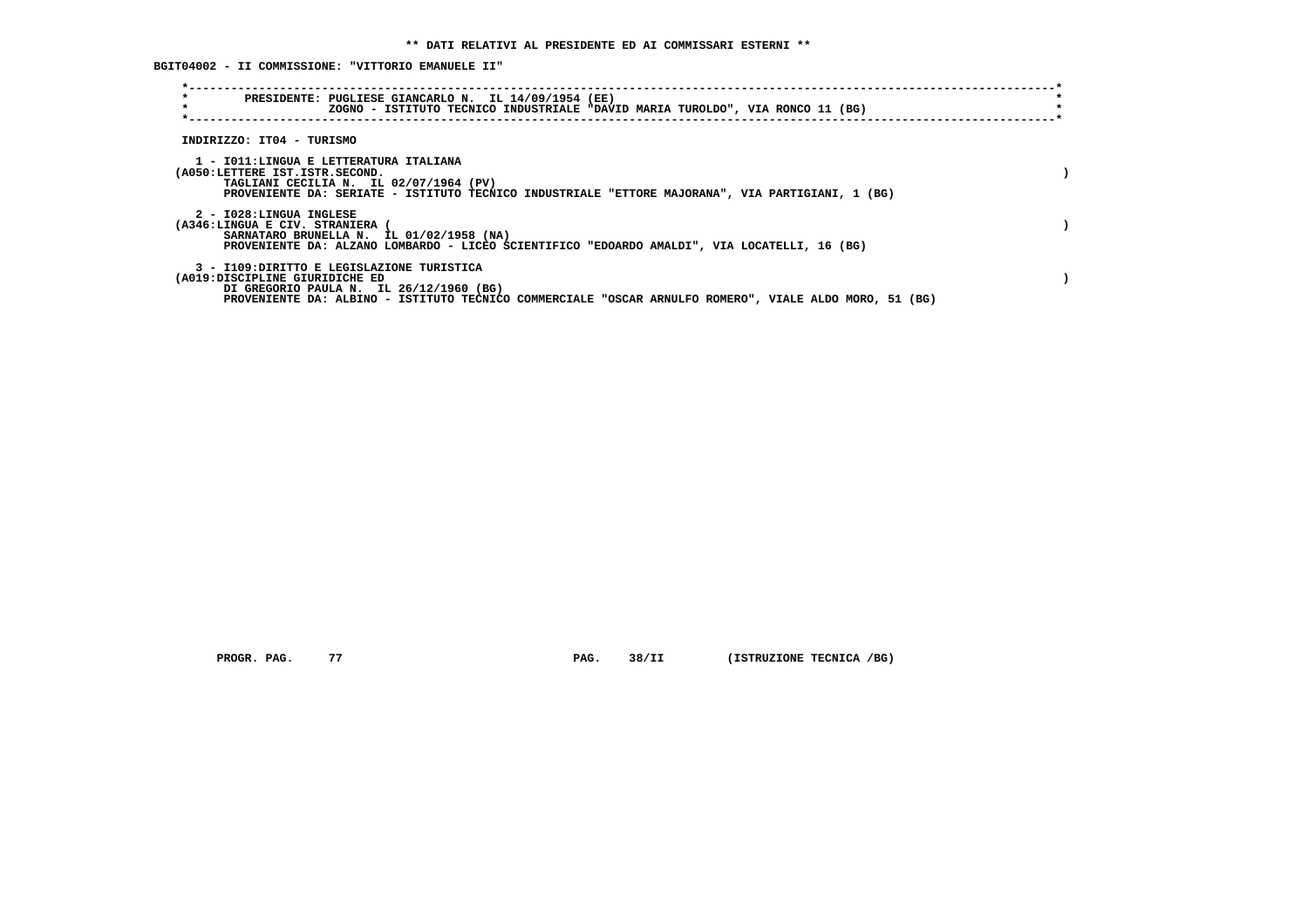**BGIT04002 - II COMMISSIONE: "VITTORIO EMANUELE II"**

| $\star$<br>$\star$                                                       | PRESIDENTE: PUGLIESE GIANCARLO N. IL 14/09/1954 (EE)<br>ZOGNO - ISTITUTO TECNICO INDUSTRIALE "DAVID MARIA TUROLDO", VIA RONCO 11 (BG)                                                          |  |
|--------------------------------------------------------------------------|------------------------------------------------------------------------------------------------------------------------------------------------------------------------------------------------|--|
| INDIRIZZO: IT04 - TURISMO                                                |                                                                                                                                                                                                |  |
| 1 - IO11:LINGUA E LETTERATURA ITALIANA<br>(A050:LETTERE IST.ISTR.SECOND. | TAGLIANI CECILIA N. IL 02/07/1964 (PV)<br>PROVENIENTE DA: SERIATE - ISTITUTO TECNICO INDUSTRIALE "ETTORE MAJORANA", VIA PARTIGIANI, 1 (BG)                                                     |  |
| 2 - I028:LINGUA INGLESE<br>(A346:LINGUA E CIV. STRANIERA                 | SARNATARO BRUNELLA N. IL 01/02/1958 (NA)<br>PROVENIENTE DA: ALZANO LOMBARDO - LICEO SCIENTIFICO "EDOARDO AMALDI", VIA LOCATELLI, 16 (BG)                                                       |  |
| (A019:DISCIPLINE GIURIDICHE ED                                           | 3 - I109:DIRITTO E LEGISLAZIONE TURISTICA<br>DI GREGORIO PAULA N. IL 26/12/1960 (BG)<br>PROVENIENTE DA: ALBINO - ISTITUTO TECNICO COMMERCIALE "OSCAR ARNULFO ROMERO", VIALE ALDO MORO, 51 (BG) |  |

 **PROGR. PAG.** 77 **PAG.** 38/II (ISTRUZIONE TECNICA /BG)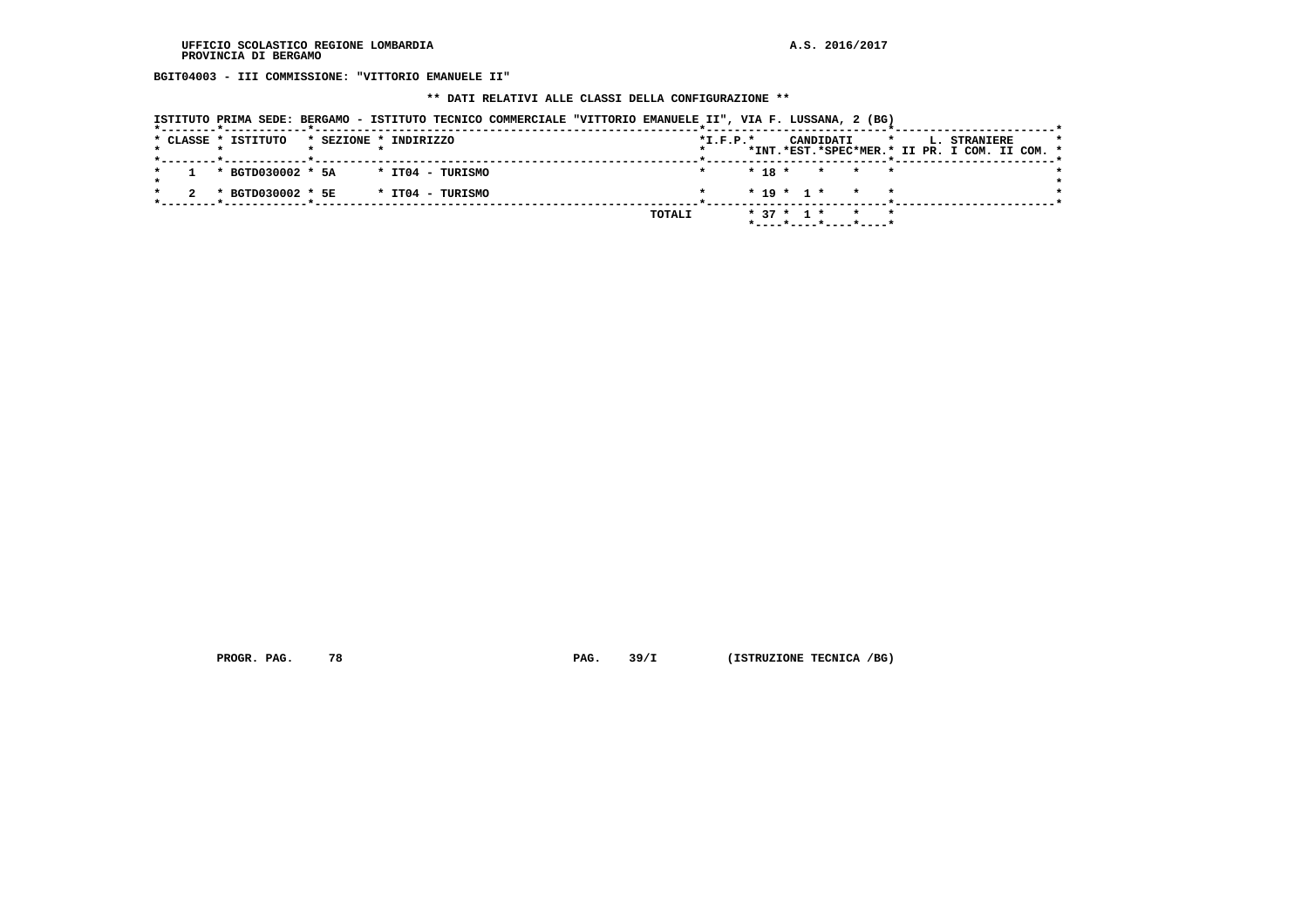**BGIT04003 - III COMMISSIONE: "VITTORIO EMANUELE II"**

 **\*\* DATI RELATIVI ALLE CLASSI DELLA CONFIGURAZIONE \*\***

|  |  | ISTITUTO PRIMA SEDE: BERGAMO - ISTITUTO TECNICO COMMERCIALE "VITTORIO EMANUELE II", VIA F. LUSSANA, 2 (BG) |                       |  |                  |  |        |                |  |           |  |                                             |  |                     |                                               |         |
|--|--|------------------------------------------------------------------------------------------------------------|-----------------------|--|------------------|--|--------|----------------|--|-----------|--|---------------------------------------------|--|---------------------|-----------------------------------------------|---------|
|  |  | * CLASSE * ISTITUTO                                                                                        | * SEZIONE * INDIRIZZO |  |                  |  |        | $*$ I.F.P. $*$ |  | CANDIDATI |  | <b>Experience of the state of the state</b> |  | <b>L. STRANIERE</b> | *INT.*EST.*SPEC*MER.* II PR. I COM. II COM. * | $\star$ |
|  |  | * BGTD030002 * 5A                                                                                          |                       |  | * IT04 - TURISMO |  |        |                |  |           |  | $* 18 * * * * * *$                          |  |                     |                                               |         |
|  |  | * BGTD030002 * 5E                                                                                          |                       |  | * IT04 - TURISMO |  |        |                |  |           |  | $* 19 * 1 * * * * *$                        |  |                     |                                               |         |
|  |  |                                                                                                            |                       |  |                  |  | TOTALI |                |  |           |  | * 37 * 1 * * *                              |  |                     |                                               |         |
|  |  |                                                                                                            |                       |  |                  |  |        |                |  |           |  | $*$ ---- $*$ ---- $*$ ---- $*$ ----*        |  |                     |                                               |         |

 **PROGR. PAG.** 78 **PAG.** 39/I (ISTRUZIONE TECNICA /BG)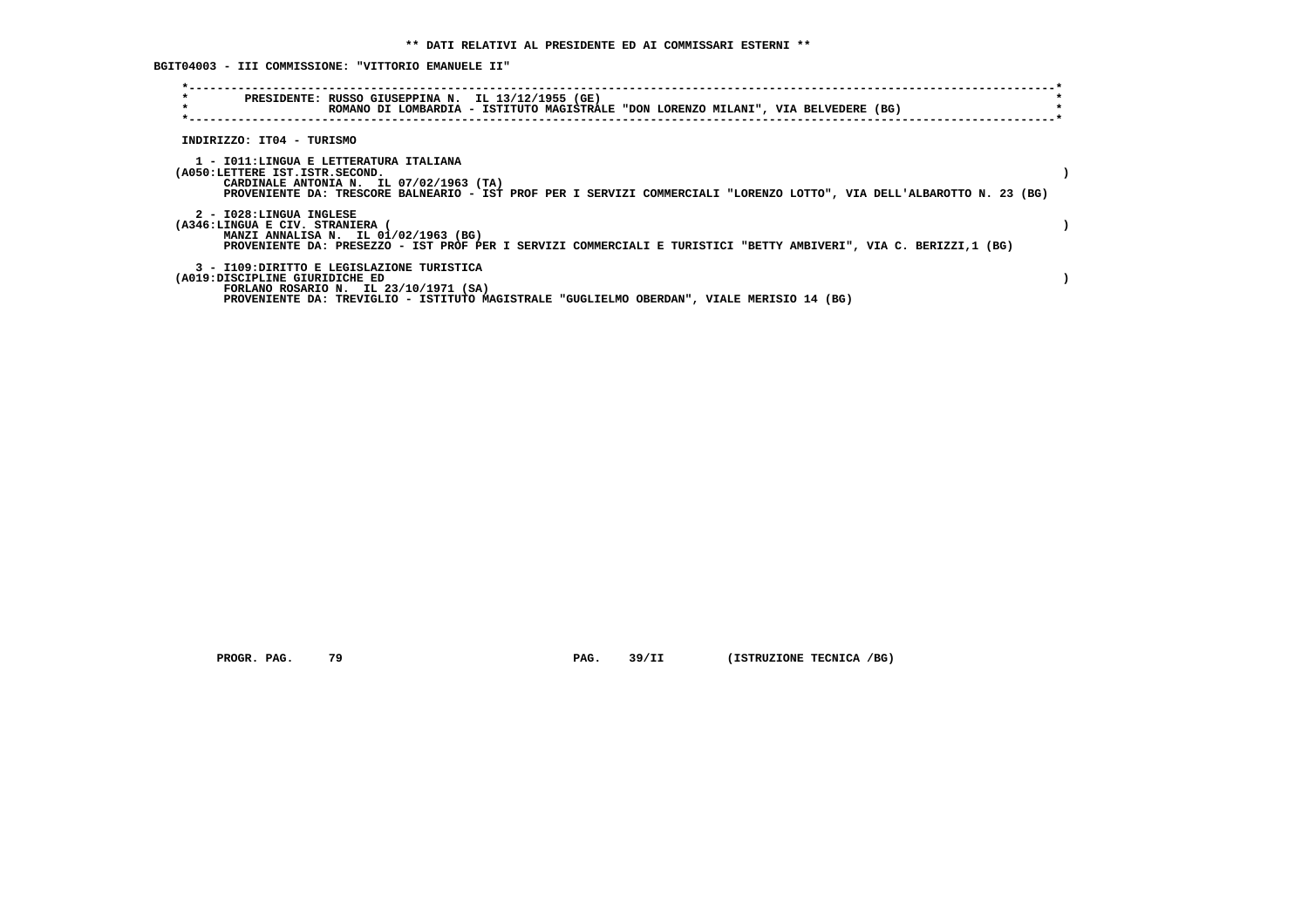**BGIT04003 - III COMMISSIONE: "VITTORIO EMANUELE II"**

| $\star$<br>$\star$             | PRESIDENTE: RUSSO GIUSEPPINA N. IL 13/12/1955 (GE)<br>ROMANO DI LOMBARDIA - ISTITUTO MAGISTRALE "DON LORENZO MILANI", VIA BELVEDERE (BG)                          |  |
|--------------------------------|-------------------------------------------------------------------------------------------------------------------------------------------------------------------|--|
|                                |                                                                                                                                                                   |  |
| INDIRIZZO: IT04 - TURISMO      |                                                                                                                                                                   |  |
|                                | 1 - IO11: LINGUA E LETTERATURA ITALIANA                                                                                                                           |  |
| (A050:LETTERE IST.ISTR.SECOND. |                                                                                                                                                                   |  |
|                                | CARDINALE ANTONIA N. IL 07/02/1963 (TA)<br>PROVENIENTE DA: TRESCORE BALNEARIO - IST PROF PER I SERVIZI COMMERCIALI "LORENZO LOTTO", VIA DELL'ALBAROTTO N. 23 (BG) |  |
| 2 - I028:LINGUA INGLESE        |                                                                                                                                                                   |  |
| (A346:LINGUA E CIV. STRANIERA  | MANZI ANNALISA N. IL 01/02/1963 (BG)                                                                                                                              |  |
|                                | PROVENIENTE DA: PRESEZZO - IST PROF PER I SERVIZI COMMERCIALI E TURISTICI "BETTY AMBIVERI", VIA C. BERIZZI,1 (BG)                                                 |  |
|                                | 3 - I109: DIRITTO E LEGISLAZIONE TURISTICA                                                                                                                        |  |
| (A019:DISCIPLINE GIURIDICHE ED | FORLANO ROSARIO N. IL $23/10/1971$ (SA)                                                                                                                           |  |
|                                | PROVENIENTE DA: TREVIGLIO - ISTITUTO MAGISTRALE "GUGLIELMO OBERDAN", VIALE MERISIO 14 (BG)                                                                        |  |

 **PROGR. PAG.** 79 **PAG.** 39/II (ISTRUZIONE TECNICA /BG)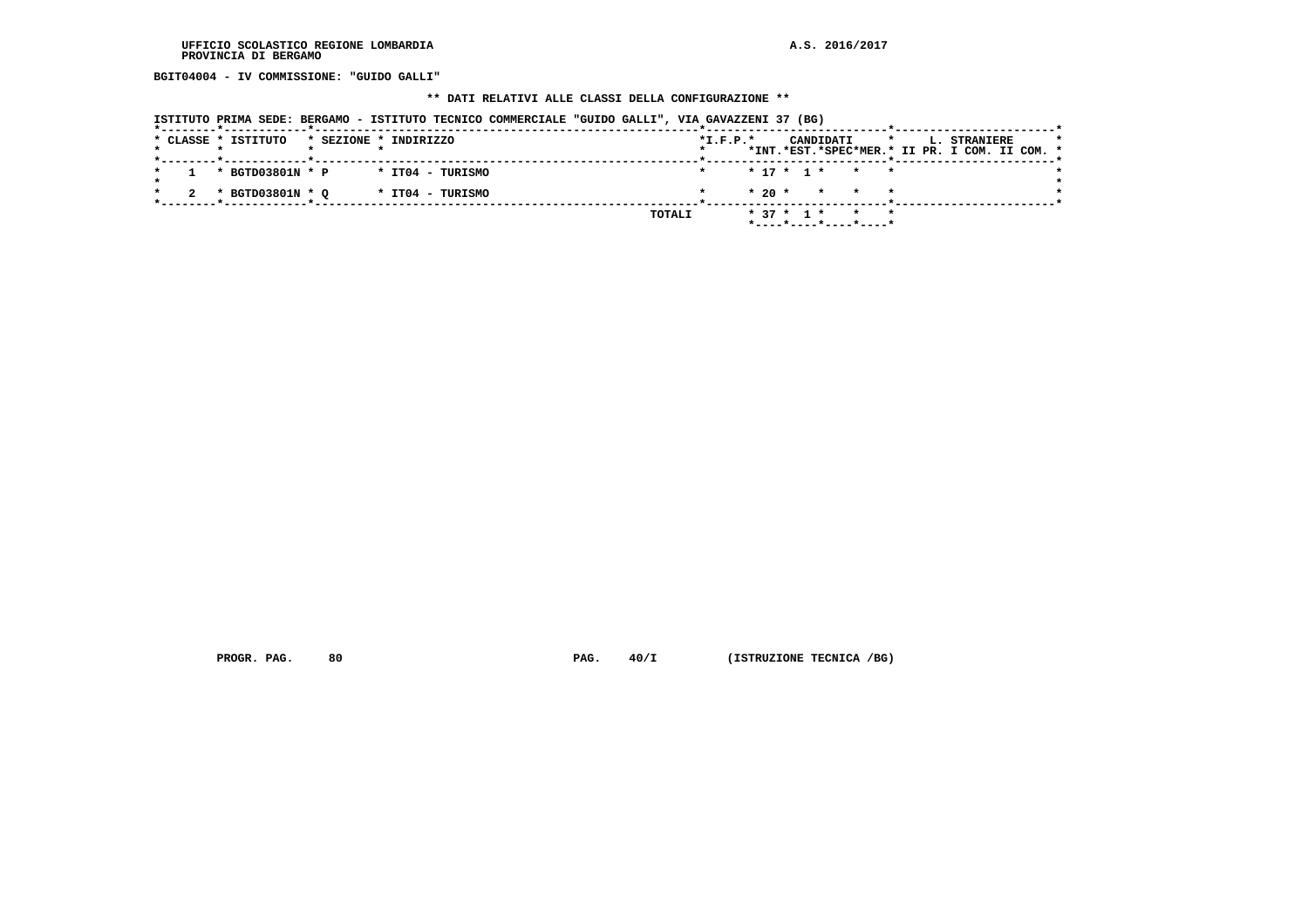**BGIT04004 - IV COMMISSIONE: "GUIDO GALLI"**

#### **\*\* DATI RELATIVI ALLE CLASSI DELLA CONFIGURAZIONE \*\***

|  |                     | ISTITUTO PRIMA SEDE: BERGAMO - ISTITUTO TECNICO COMMERCIALE "GUIDO GALLI", VIA GAVAZZENI 37 (BG) |  |        |            |              |                          |                 |  |                                                               |  |
|--|---------------------|--------------------------------------------------------------------------------------------------|--|--------|------------|--------------|--------------------------|-----------------|--|---------------------------------------------------------------|--|
|  | * CLASSE * ISTITUTO | * SEZIONE * INDIRIZZO                                                                            |  |        | $*L.F.P.*$ |              | CANDIDATI                | $\star$         |  | L. STRANIERE<br>*INT.*EST.*SPEC*MER.* II PR. I COM. II COM. * |  |
|  | * BGTD03801N * P    | * IT04 - TURISMO                                                                                 |  |        |            |              | * 17 * 1 * * *           |                 |  |                                                               |  |
|  | * BGTD03801N * O    | * IT04 - TURISMO                                                                                 |  |        |            |              | $* 20 * * * * * * *$     |                 |  |                                                               |  |
|  |                     |                                                                                                  |  | TOTALI |            | $* 37 * 1 *$ | $*$ ----*----*----*----* | $\star$ $\star$ |  |                                                               |  |

 **PROGR. PAG.** 80 **PAG. 40/I (ISTRUZIONE TECNICA /BG)**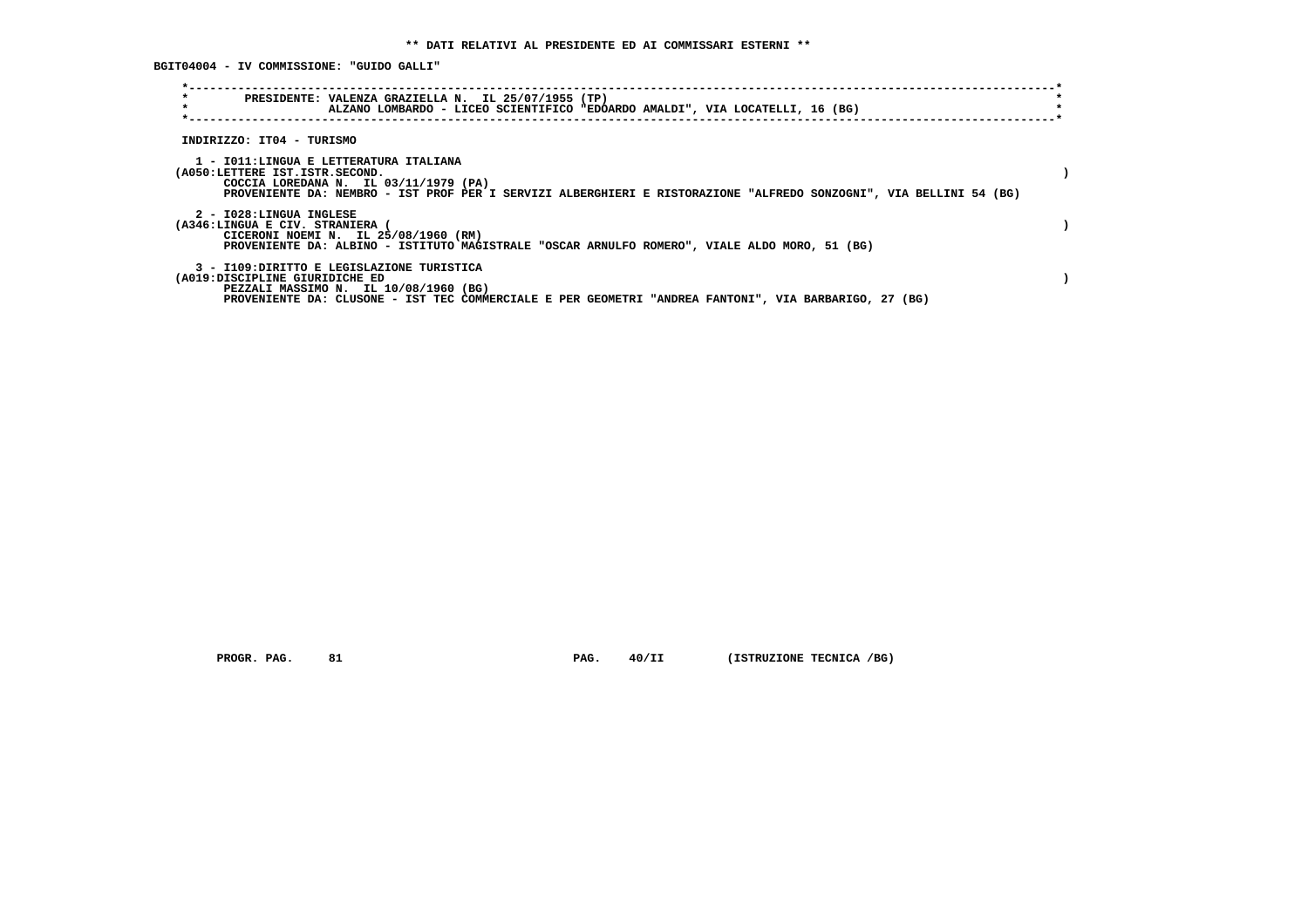**BGIT04004 - IV COMMISSIONE: "GUIDO GALLI"**

| $\star$<br>$\star$                                       | PRESIDENTE: VALENZA GRAZIELLA N. IL 25/07/1955 (TP)<br>ALZANO LOMBARDO - LICEO SCIENTIFICO "EDOARDO AMALDI", VIA LOCATELLI, 16 (BG)                                                                   |  |
|----------------------------------------------------------|-------------------------------------------------------------------------------------------------------------------------------------------------------------------------------------------------------|--|
| INDIRIZZO: IT04 - TURISMO                                |                                                                                                                                                                                                       |  |
| (A050:LETTERE IST.ISTR.SECOND.                           | 1 - IO11:LINGUA E LETTERATURA ITALIANA<br>COCCIA LOREDANA N. IL 03/11/1979 (PA)<br>PROVENIENTE DA: NEMBRO - IST PROF PER I SERVIZI ALBERGHIERI E RISTORAZIONE "ALFREDO SONZOGNI", VIA BELLINI 54 (BG) |  |
| 2 - I028:LINGUA INGLESE<br>(A346:LINGUA E CIV. STRANIERA | CICERONI NOEMI N. IL 25/08/1960 (RM)<br>PROVENIENTE DA: ALBINO - ISTITUTO MAGISTRALE "OSCAR ARNULFO ROMERO", VIALE ALDO MORO, 51 (BG)                                                                 |  |
| (A019:DISCIPLINE GIURIDICHE ED                           | 3 - I109: DIRITTO E LEGISLAZIONE TURISTICA<br>PEZZALI MASSIMO N. IL 10/08/1960 (BG)<br>PROVENIENTE DA: CLUSONE - IST TEC COMMERCIALE E PER GEOMETRI "ANDREA FANTONI", VIA BARBARIGO, 27 (BG)          |  |

 **PROGR. PAG.** 81 **PAG. 40/II (ISTRUZIONE TECNICA /BG)**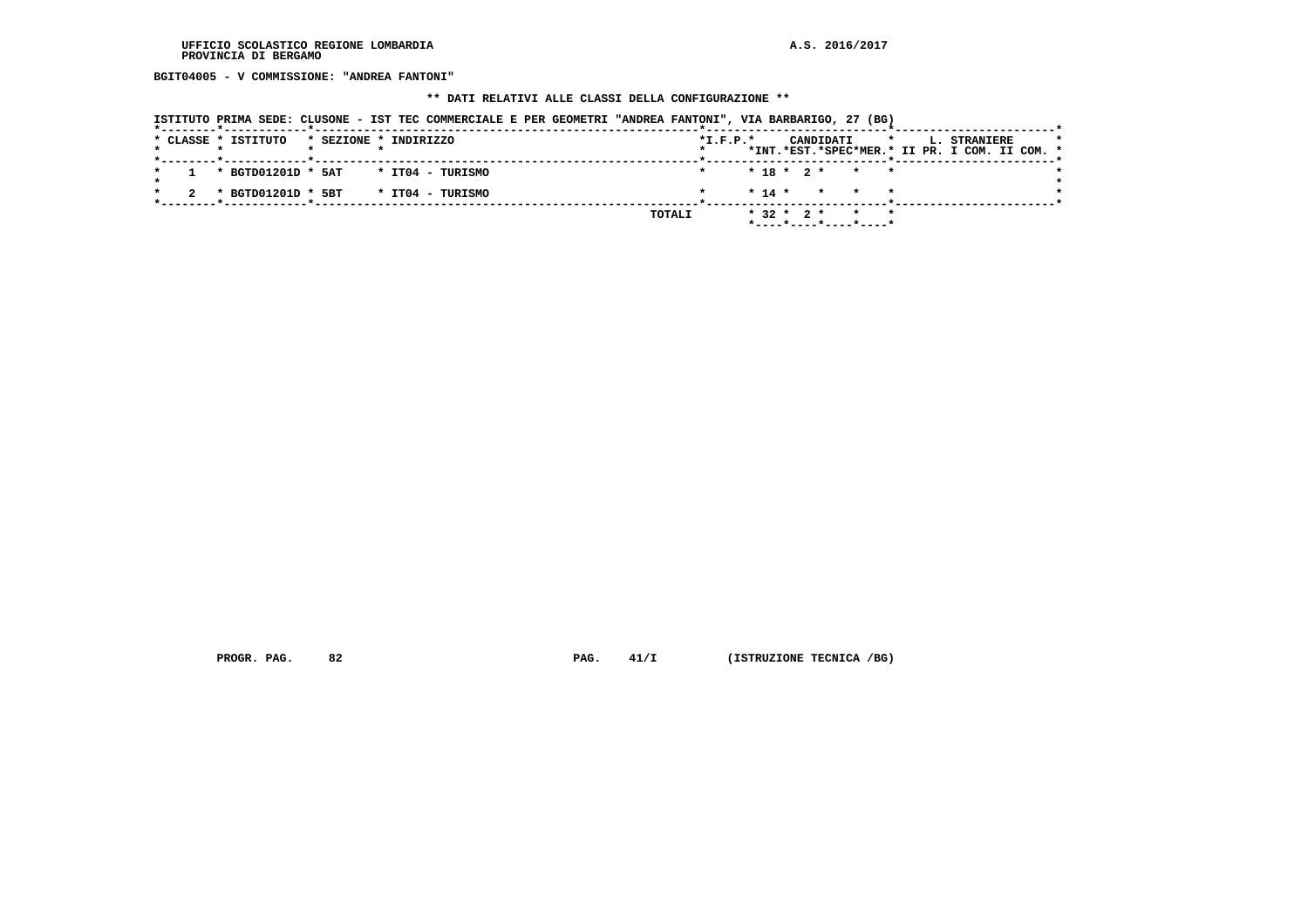**BGIT04005 - V COMMISSIONE: "ANDREA FANTONI"**

# **\*\* DATI RELATIVI ALLE CLASSI DELLA CONFIGURAZIONE \*\***

|  |                                                            |                       |  | ISTITUTO PRIMA SEDE: CLUSONE - IST TEC COMMERCIALE E PER GEOMETRI "ANDREA FANTONI", VIA BARBARIGO, 27 (BG) |  |        |         |                |                                                    |  |           |  |                                             |                                                                      |  |         |
|--|------------------------------------------------------------|-----------------------|--|------------------------------------------------------------------------------------------------------------|--|--------|---------|----------------|----------------------------------------------------|--|-----------|--|---------------------------------------------|----------------------------------------------------------------------|--|---------|
|  | * CLASSE * ISTITUTO<br>*--------*------------*------------ | * SEZIONE * INDIRIZZO |  |                                                                                                            |  |        |         | $*$ I.F.P. $*$ |                                                    |  | CANDIDATI |  | <b>Experience of the state of the state</b> | <b>L. STRANIERE</b><br>*INT.*EST.*SPEC*MER.* II PR. I COM. II COM. * |  | $\star$ |
|  | $1$ * BGTD01201D * 5AT * IT04 - TURISMO                    |                       |  |                                                                                                            |  |        | $\star$ |                | $* 18 * 2 * * * *$                                 |  |           |  |                                             |                                                                      |  |         |
|  | * BGTD01201D * 5BT * IT04 - TURISMO                        |                       |  |                                                                                                            |  |        |         |                | $* 14 * * * * * * *$                               |  |           |  |                                             |                                                                      |  |         |
|  |                                                            |                       |  |                                                                                                            |  | TOTALI |         |                | $* 32 * 2 * * * * * *$<br>$*$ ----*----*----*----* |  |           |  |                                             |                                                                      |  |         |

 **PROGR. PAG.** 82 **PAG.** 41/I (ISTRUZIONE TECNICA /BG)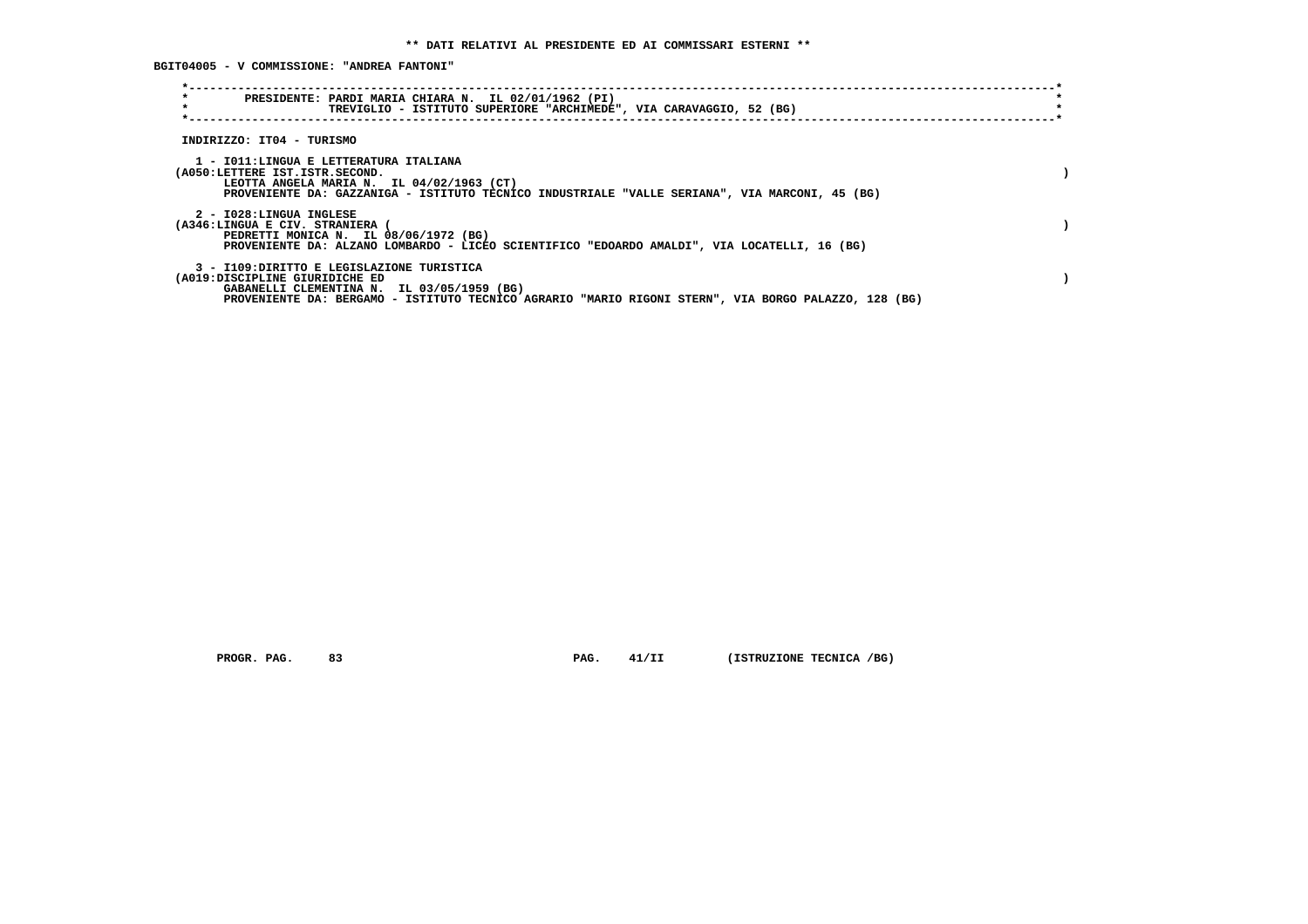**BGIT04005 - V COMMISSIONE: "ANDREA FANTONI"**

| $\star$<br>PRESIDENTE: PARDI MARIA CHIARA N. IL 02/01/1962 (PI)<br>$\star$<br>TREVIGLIO - ISTITUTO SUPERIORE "ARCHIMEDE", VIA CARAVAGGIO, 52 (BG)                                                                                 |  |
|-----------------------------------------------------------------------------------------------------------------------------------------------------------------------------------------------------------------------------------|--|
| INDIRIZZO: IT04 - TURISMO                                                                                                                                                                                                         |  |
| 1 - IO11:LINGUA E LETTERATURA ITALIANA<br>(A050:LETTERE IST.ISTR.SECOND.<br>LEOTTA ANGELA MARIA N. IL 04/02/1963 (CT)<br>PROVENIENTE DA: GAZZANIGA - ISTITUTO TECNICO INDUSTRIALE "VALLE SERIANA", VIA MARCONI, 45 (BG)           |  |
| 2 - I028:LINGUA INGLESE<br>(A346:LINGUA E CIV. STRANIERA<br>PEDRETTI MONICA N. IL 08/06/1972 (BG)<br>PROVENIENTE DA: ALZANO LOMBARDO - LICEO SCIENTIFICO "EDOARDO AMALDI", VIA LOCATELLI, 16 (BG)                                 |  |
| 3 - I109:DIRITTO E LEGISLAZIONE TURISTICA<br>(A019:DISCIPLINE GIURIDICHE ED<br>GABANELLI CLEMENTINA N. IL 03/05/1959 (BG)<br>PROVENIENTE DA: BERGAMO - ISTITUTO TECNICO AGRARIO "MARIO RIGONI STERN", VIA BORGO PALAZZO, 128 (BG) |  |

 **PROGR. PAG.** 83 **PAG. 41/II (ISTRUZIONE TECNICA /BG)**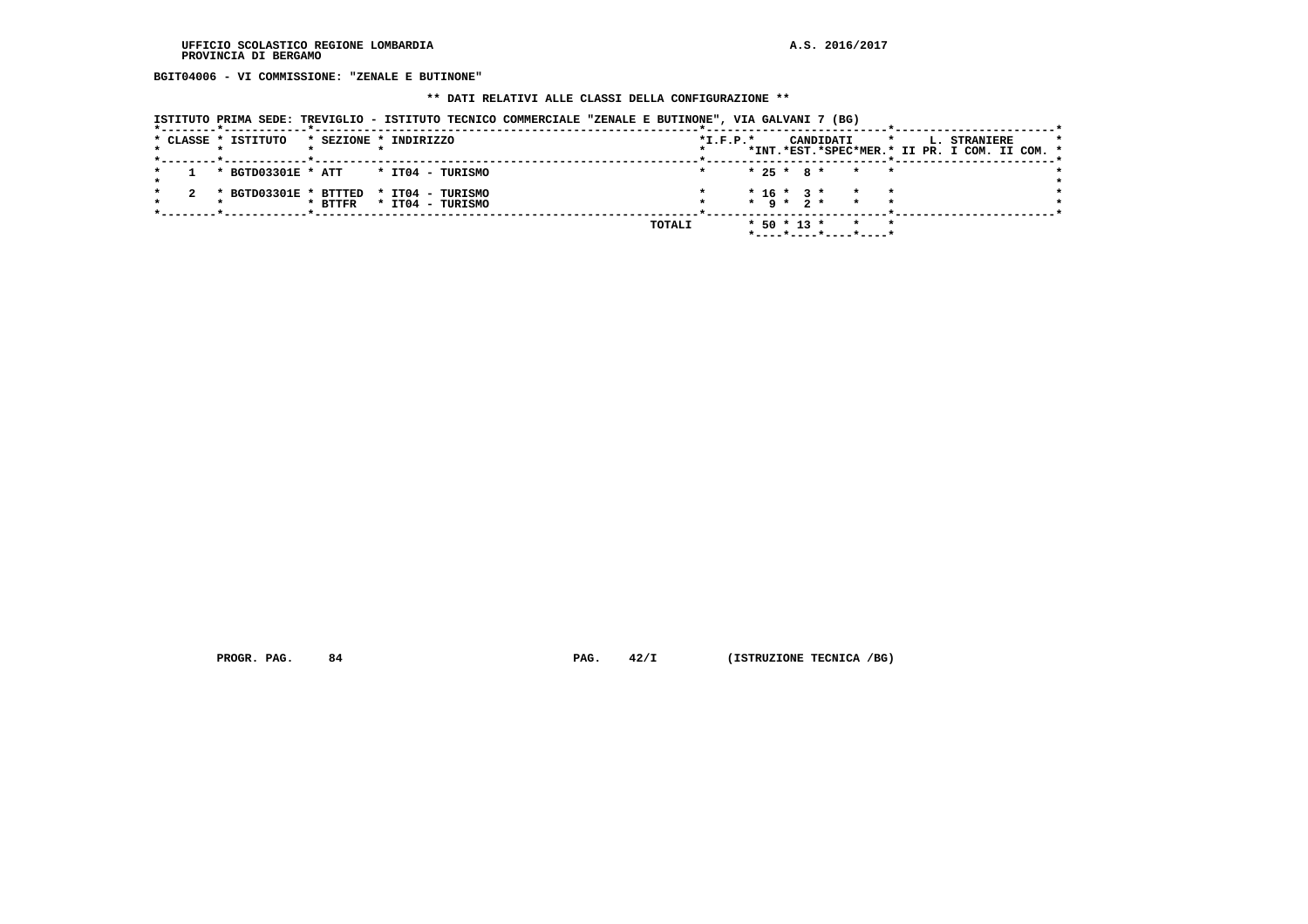**BGIT04006 - VI COMMISSIONE: "ZENALE E BUTINONE"**

# **\*\* DATI RELATIVI ALLE CLASSI DELLA CONFIGURAZIONE \*\***

| ISTITUTO PRIMA SEDE: TREVIGLIO - ISTITUTO TECNICO COMMERCIALE "ZENALE E BUTINONE", VIA GALVANI 7 (BG) |  |  |  |  |  |
|-------------------------------------------------------------------------------------------------------|--|--|--|--|--|
|                                                                                                       |  |  |  |  |  |

|  | * CLASSE * ISTITUTO                    | * SEZIONE * INDIRIZZO |  |                          |  |        | $*L.F.P.*$ |  |                   | CANDIDATI                                     | $\star$ |  | <b>L. STRANIERE</b> |  |  |
|--|----------------------------------------|-----------------------|--|--------------------------|--|--------|------------|--|-------------------|-----------------------------------------------|---------|--|---------------------|--|--|
|  |                                        |                       |  |                          |  |        |            |  |                   | *INT.*EST.*SPEC*MER.* II PR. I COM. II COM. * |         |  |                     |  |  |
|  | * BGTD03301E * ATT * IT04 - TURISMO    |                       |  |                          |  |        |            |  |                   | * 25 * 8 * * * *                              |         |  |                     |  |  |
|  |                                        |                       |  |                          |  |        |            |  |                   | $* 16 * 3 * * * * *$                          |         |  |                     |  |  |
|  | * BGTD03301E * BTTTED * IT04 - TURISMO |                       |  | * BTTFR * IT04 - TURISMO |  |        |            |  |                   | $\star$ 9 $\star$ 2 $\star$ $\star$ $\star$   |         |  |                     |  |  |
|  |                                        |                       |  |                          |  |        |            |  |                   |                                               |         |  |                     |  |  |
|  |                                        |                       |  |                          |  | TOTALI |            |  | $*$ 50 $*$ 13 $*$ |                                               |         |  |                     |  |  |
|  |                                        |                       |  |                          |  |        |            |  |                   | *----*----*----*----*                         |         |  |                     |  |  |

 **PROGR. PAG.** 84 **PAG.** 42/I (ISTRUZIONE TECNICA /BG)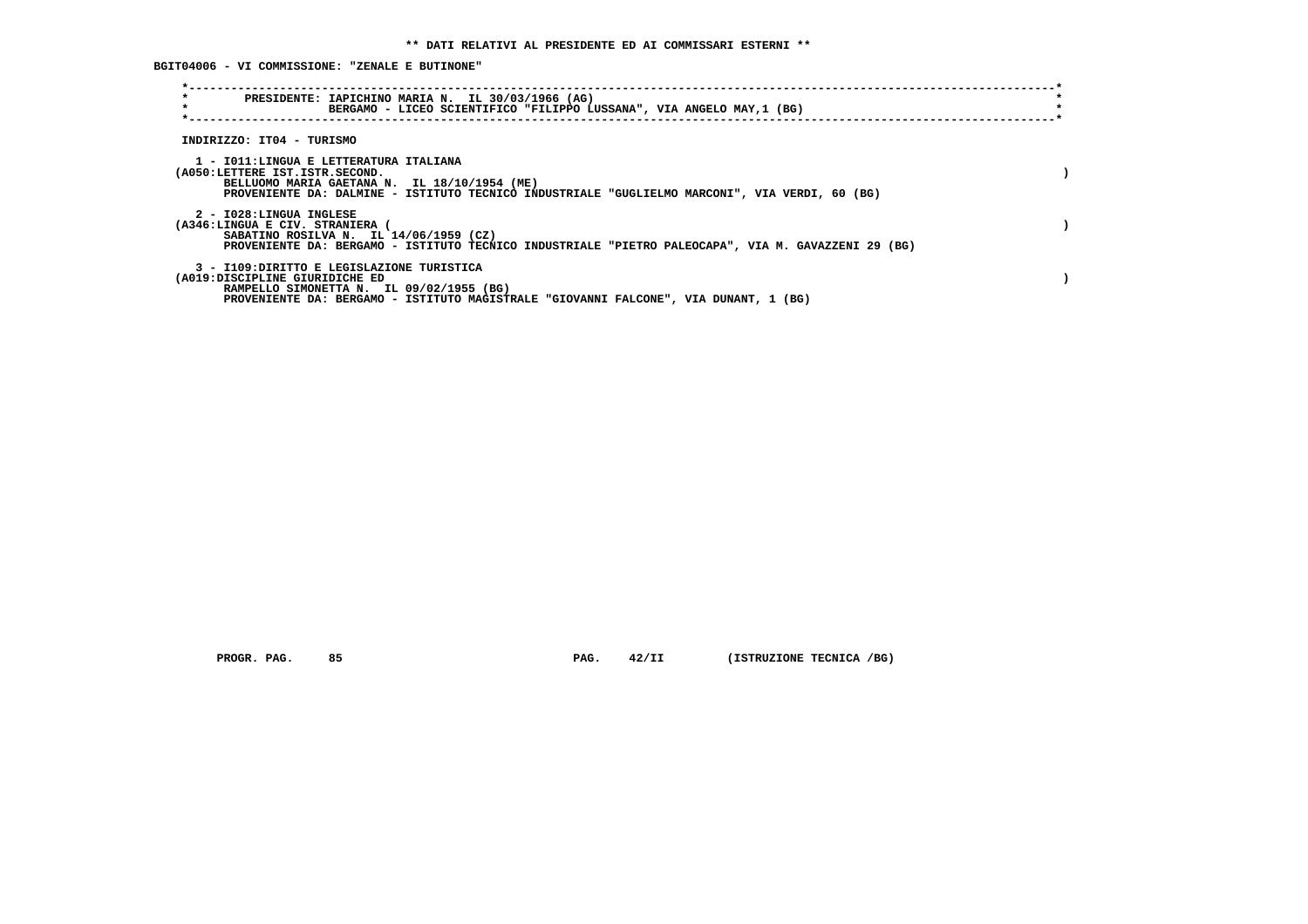**BGIT04006 - VI COMMISSIONE: "ZENALE E BUTINONE"**

| $\star$<br>PRESIDENTE: IAPICHINO MARIA N. IL 30/03/1966 (AG)<br>$\star$<br>BERGAMO - LICEO SCIENTIFICO "FILIPPO LUSSANA", VIA ANGELO MAY,1 (BG)                                                                            |  |
|----------------------------------------------------------------------------------------------------------------------------------------------------------------------------------------------------------------------------|--|
| INDIRIZZO: IT04 - TURISMO                                                                                                                                                                                                  |  |
| 1 - IO11:LINGUA E LETTERATURA ITALIANA<br>(A050:LETTERE IST.ISTR.SECOND.<br>BELLUOMO MARIA GAETANA N. IL 18/10/1954 (ME)<br>PROVENIENTE DA: DALMINE - ISTITUTO TECNICO INDUSTRIALE "GUGLIELMO MARCONI", VIA VERDI, 60 (BG) |  |
| 2 - I028:LINGUA INGLESE<br>(A346:LINGUA E CIV. STRANIERA<br>SABATINO ROSILVA N. IL 14/06/1959 (CZ)<br>PROVENIENTE DA: BERGAMO - ISTITUTO TECNICO INDUSTRIALE "PIETRO PALEOCAPA", VIA M. GAVAZZENI 29 (BG)                  |  |
| 3 - I109:DIRITTO E LEGISLAZIONE TURISTICA<br>(A019:DISCIPLINE GIURIDICHE ED<br>RAMPELLO SIMONETTA N. IL 09/02/1955 (BG)<br>PROVENIENTE DA: BERGAMO - ISTITUTO MAGISTRALE "GIOVANNI FALCONE", VIA DUNANT, 1 (BG)            |  |

 **PROGR. PAG.** 85 **PAG. 42/II (ISTRUZIONE TECNICA /BG)**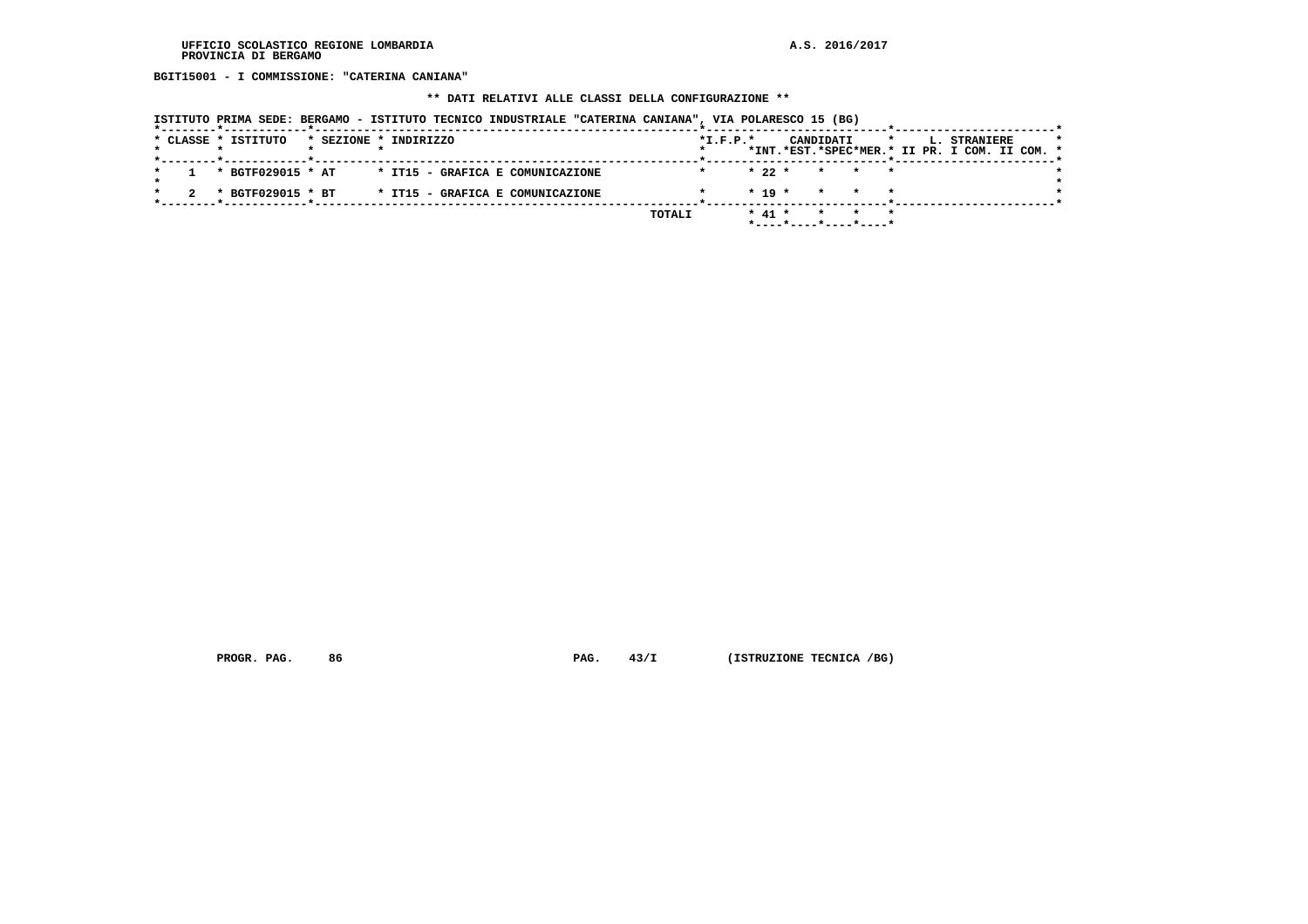**BGIT15001 - I COMMISSIONE: "CATERINA CANIANA"**

# **\*\* DATI RELATIVI ALLE CLASSI DELLA CONFIGURAZIONE \*\***

|  |  |  | ISTITUTO PRIMA SEDE: BERGAMO - ISTITUTO TECNICO INDUSTRIALE "CATERINA CANIANA", VIA POLARESCO 15 (BG) |  |  |  |  |
|--|--|--|-------------------------------------------------------------------------------------------------------|--|--|--|--|
|  |  |  |                                                                                                       |  |  |  |  |

|  | * CLASSE * ISTITUTO |  | * SEZIONE * INDIRIZZO            |        | $*I.F.P.*$ |          |                      | CANDIDATI | $\mathbf{r}$ |  | <b>L. STRANIERE</b><br>*INT.*EST.*SPEC*MER.* II PR. I COM. II COM. * |  | $\star$ |
|--|---------------------|--|----------------------------------|--------|------------|----------|----------------------|-----------|--------------|--|----------------------------------------------------------------------|--|---------|
|  |                     |  |                                  |        |            |          |                      |           |              |  |                                                                      |  |         |
|  | * BGTF029015 * AT   |  | * IT15 - GRAFICA E COMUNICAZIONE |        |            |          | $* 22 * * * * * * *$ |           |              |  |                                                                      |  |         |
|  |                     |  |                                  |        |            |          |                      |           |              |  |                                                                      |  |         |
|  | * BGTF029015 * BT   |  | * IT15 - GRAFICA E COMUNICAZIONE |        |            |          | $* 19 *$             |           | * * *        |  |                                                                      |  |         |
|  |                     |  |                                  |        |            |          |                      |           |              |  |                                                                      |  |         |
|  |                     |  |                                  | TOTALI |            | $* 41 *$ |                      |           |              |  |                                                                      |  |         |
|  |                     |  |                                  |        |            |          |                      |           |              |  |                                                                      |  |         |

 **PROGR. PAG.** 86 **PAG. 43/I** (ISTRUZIONE TECNICA /BG)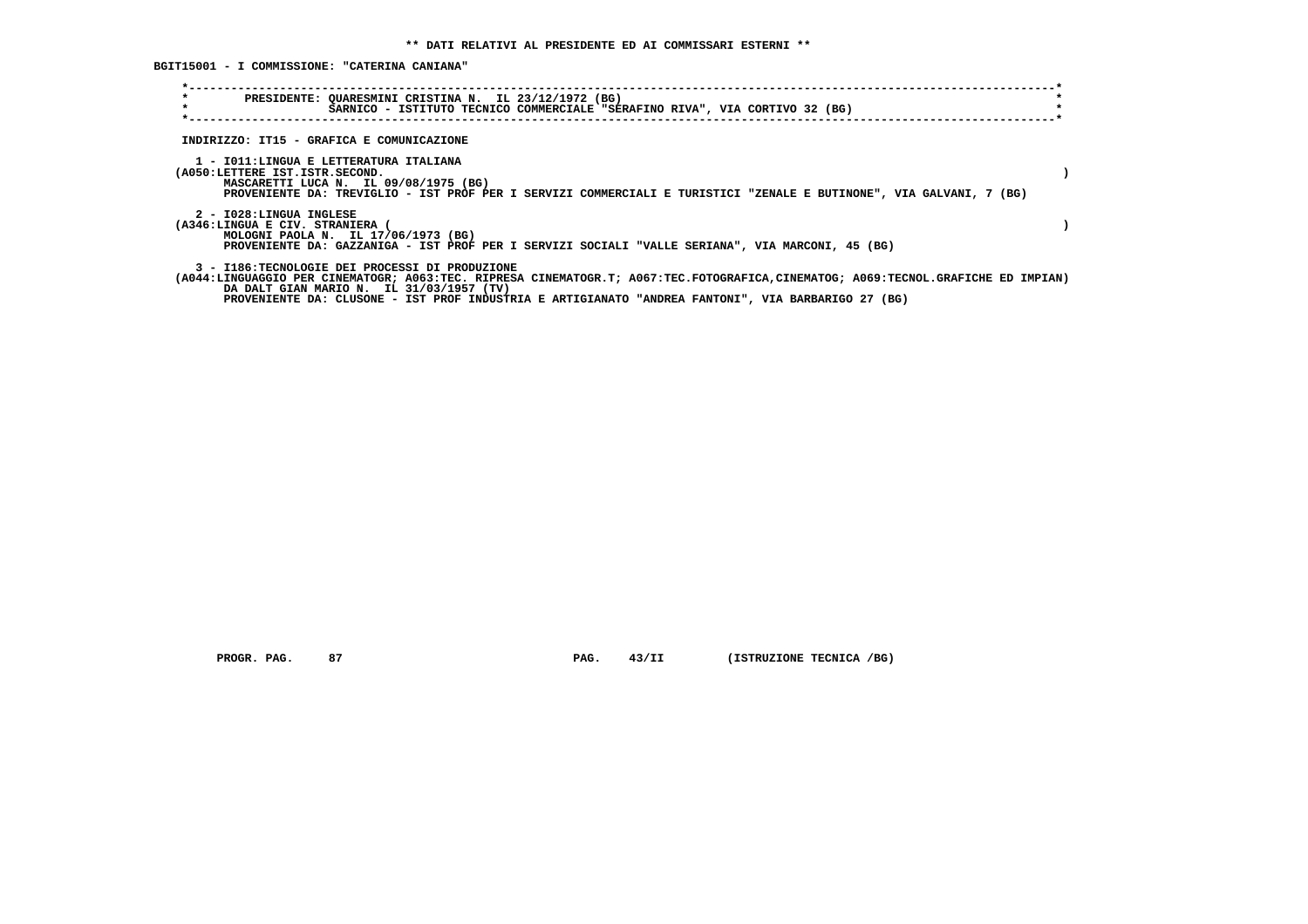**BGIT15001 - I COMMISSIONE: "CATERINA CANIANA"**

| $\star$<br>$\star$                                       | PRESIDENTE: QUARESMINI CRISTINA N. IL 23/12/1972 (BG)<br>SARNICO - ISTITUTO TECNICO COMMERCIALE "SERAFINO RIVA", VIA CORTIVO 32 (BG)                                                                                                                                                                                                 |  |
|----------------------------------------------------------|--------------------------------------------------------------------------------------------------------------------------------------------------------------------------------------------------------------------------------------------------------------------------------------------------------------------------------------|--|
|                                                          | INDIRIZZO: IT15 - GRAFICA E COMUNICAZIONE                                                                                                                                                                                                                                                                                            |  |
| (A050:LETTERE IST.ISTR.SECOND.                           | 1 - IO11:LINGUA E LETTERATURA ITALIANA<br>MASCARETTI LUCA N. IL 09/08/1975 (BG)<br>PROVENIENTE DA: TREVIGLIO - IST PROF PER I SERVIZI COMMERCIALI E TURISTICI "ZENALE E BUTINONE", VIA GALVANI, 7 (BG)                                                                                                                               |  |
| 2 - I028:LINGUA INGLESE<br>(A346:LINGUA E CIV. STRANIERA | MOLOGNI PAOLA N. IL 17/06/1973 (BG)<br>PROVENIENTE DA: GAZZANIGA - IST PROF PER I SERVIZI SOCIALI "VALLE SERIANA", VIA MARCONI, 45 (BG)                                                                                                                                                                                              |  |
|                                                          | 3 - I186:TECNOLOGIE DEI PROCESSI DI PRODUZIONE<br>(A044:LINGUAGGIO PER CINEMATOGR; A063:TEC. RIPRESA CINEMATOGR.T; A067:TEC.FOTOGRAFICA.CINEMATOG; A069:TECNOL.GRAFICHE ED IMPIAN)<br>DA DALT GIAN MARIO N. IL 31/03/1957 (TV)<br>PROVENIENTE DA: CLUSONE - IST PROF INDUSTRIA E ARTIGIANATO "ANDREA FANTONI", VIA BARBARIGO 27 (BG) |  |

 **PROGR. PAG.** 87 **PAG.** 43/II (ISTRUZIONE TECNICA /BG)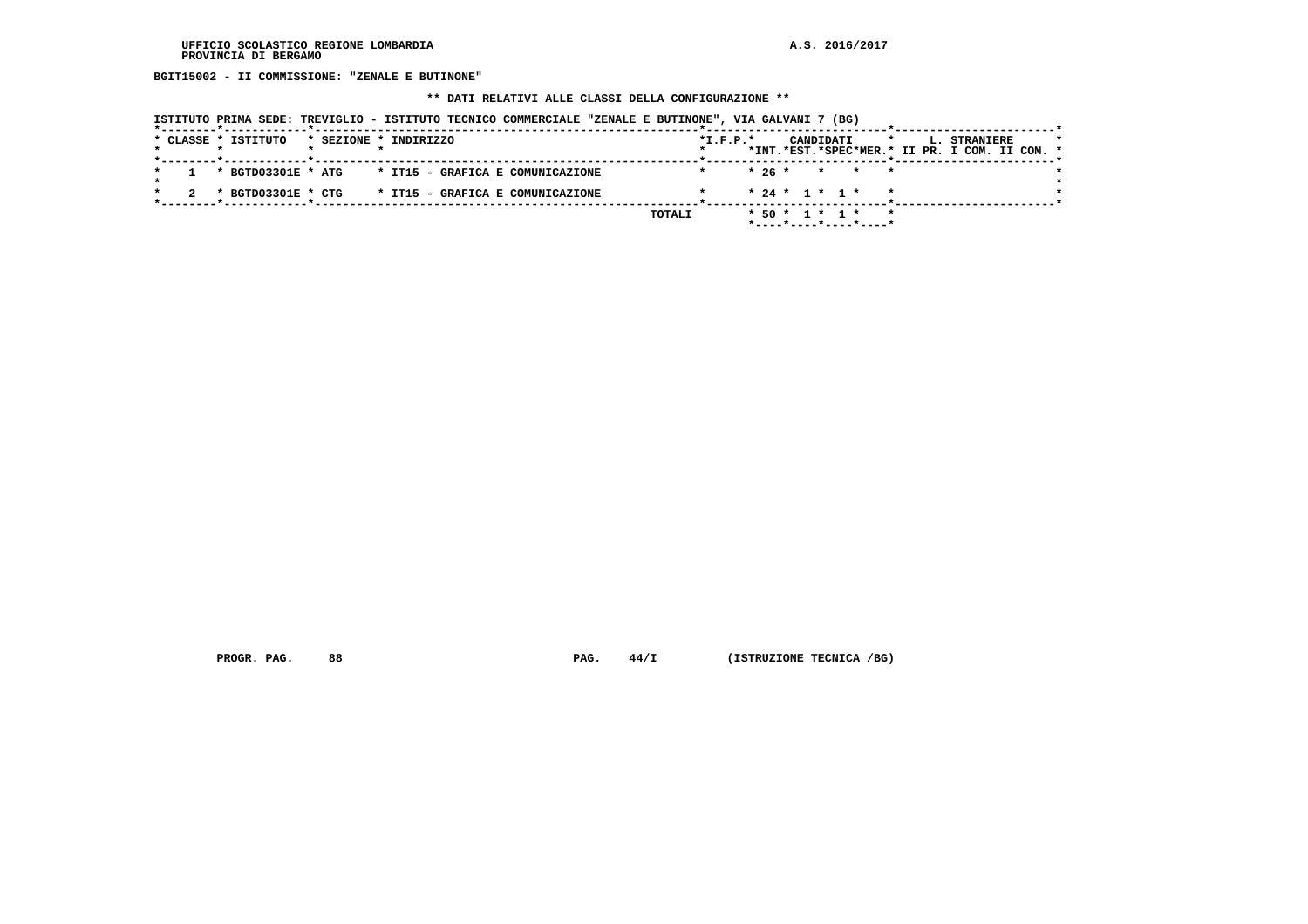**BGIT15002 - II COMMISSIONE: "ZENALE E BUTINONE"**

 **\*\* DATI RELATIVI ALLE CLASSI DELLA CONFIGURAZIONE \*\***

| ISTITUTO PRIMA SEDE: TREVIGLIO - ISTITUTO TECNICO COMMERCIALE "ZENALE E BUTINONE", VIA GALVANI 7 (BG) |  |  |  |  |  |
|-------------------------------------------------------------------------------------------------------|--|--|--|--|--|
|                                                                                                       |  |  |  |  |  |

|  | * CLASSE * ISTITUTO                                 | * SEZIONE * INDIRIZZO |  |  |  |        | $*I.F.P.*$ |                | CANDIDATI |  |                       | $\star$                  |  |  | L. STRANIERE |                                               | $\star$ |
|--|-----------------------------------------------------|-----------------------|--|--|--|--------|------------|----------------|-----------|--|-----------------------|--------------------------|--|--|--------------|-----------------------------------------------|---------|
|  |                                                     |                       |  |  |  |        |            |                |           |  |                       |                          |  |  |              | *INT.*EST.*SPEC*MER.* II PR. I COM. II COM. * |         |
|  |                                                     |                       |  |  |  |        |            |                |           |  |                       |                          |  |  |              |                                               |         |
|  | * BGTD03301E * ATG * IT15 - GRAFICA E COMUNICAZIONE |                       |  |  |  |        |            |                |           |  | $* 26 * * * * * * *$  |                          |  |  |              |                                               |         |
|  |                                                     |                       |  |  |  |        |            |                |           |  |                       |                          |  |  |              |                                               |         |
|  | * BGTD03301E * CTG * IT15 - GRAFICA E COMUNICAZIONE |                       |  |  |  |        |            |                |           |  | $* 24 * 1 * 1 * * *$  |                          |  |  |              |                                               |         |
|  |                                                     |                       |  |  |  |        |            |                |           |  |                       |                          |  |  |              |                                               |         |
|  |                                                     |                       |  |  |  | TOTALI |            | * 50 * 1 * 1 * |           |  |                       | $\overline{\phantom{a}}$ |  |  |              |                                               |         |
|  |                                                     |                       |  |  |  |        |            |                |           |  | *----*----*----*----* |                          |  |  |              |                                               |         |
|  |                                                     |                       |  |  |  |        |            |                |           |  |                       |                          |  |  |              |                                               |         |

 **PROGR. PAG.** 88 **PAG.** 44/I (ISTRUZIONE TECNICA /BG)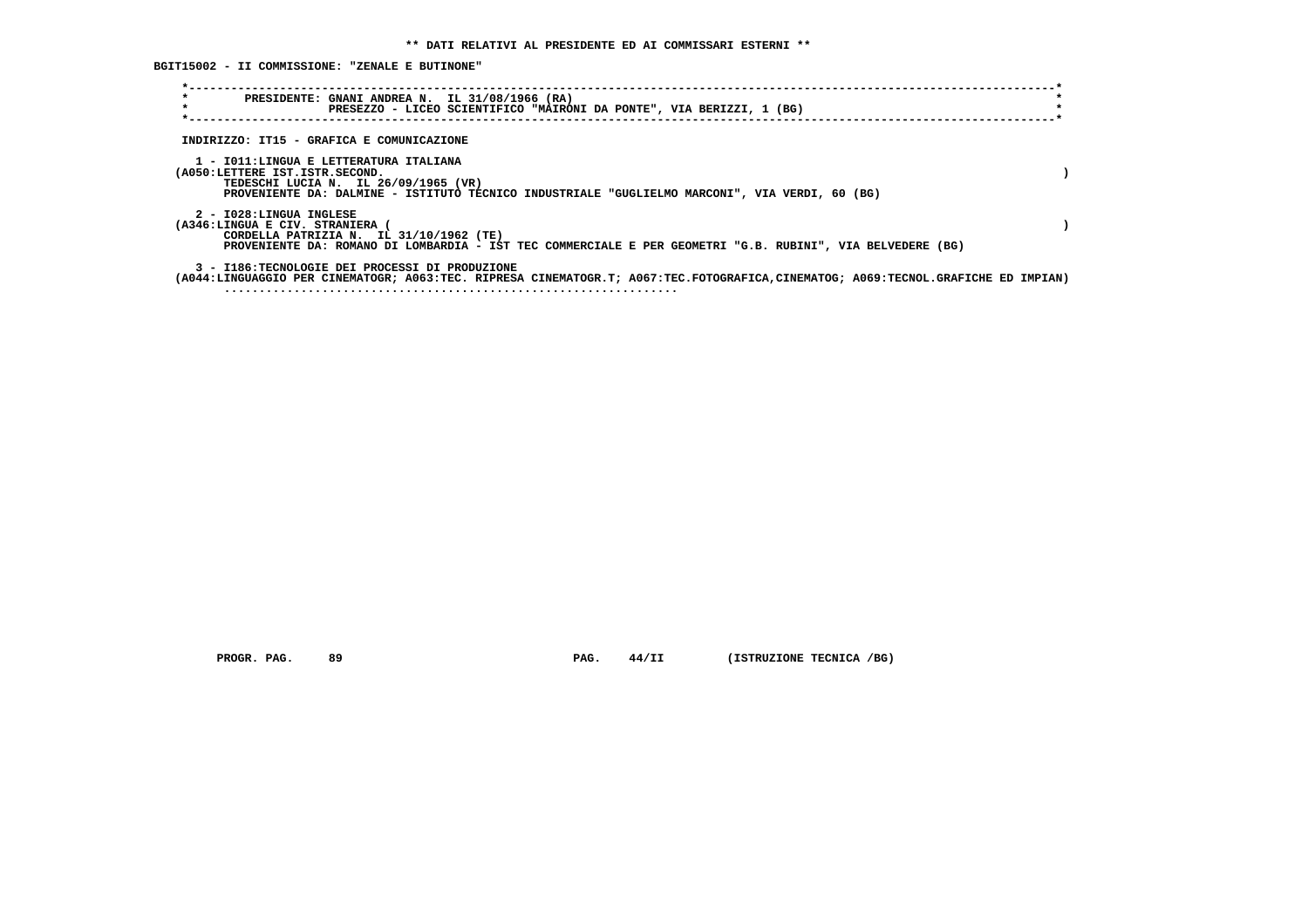**BGIT15002 - II COMMISSIONE: "ZENALE E BUTINONE"**

| $\star$<br>$\star$ | PRESIDENTE: GNANI ANDREA N. IL 31/08/1966 (RA)<br>PRESEZZO - LICEO SCIENTIFICO "MAIRONI DA PONTE", VIA BERIZZI, 1 (BG)                                                                                              |  |
|--------------------|---------------------------------------------------------------------------------------------------------------------------------------------------------------------------------------------------------------------|--|
|                    | INDIRIZZO: IT15 - GRAFICA E COMUNICAZIONE                                                                                                                                                                           |  |
|                    | 1 - IO11:LINGUA E LETTERATURA ITALIANA<br>(A050:LETTERE IST.ISTR.SECOND.<br>TEDESCHI LUCIA N. IL 26/09/1965 (VR)<br>PROVENIENTE DA: DALMINE - ISTITUTO TECNICO INDUSTRIALE "GUGLIELMO MARCONI", VIA VERDI, 60 (BG)  |  |
|                    | 2 - I028:LINGUA INGLESE<br>(A346:LINGUA E CIV. STRANIERA (<br>CORDELLA PATRIZIA N. IL 31/10/1962 (TE)<br>PROVENIENTE DA: ROMANO DI LOMBARDIA - IST TEC COMMERCIALE E PER GEOMETRI "G.B. RUBINI", VIA BELVEDERE (BG) |  |
|                    | 3 - I186:TECNOLOGIE DEI PROCESSI DI PRODUZIONE<br>(A044:LINGUAGGIO PER CINEMATOGR; A063:TEC. RIPRESA CINEMATOGR.T; A067:TEC.FOTOGRAFICA,CINEMATOG; A069:TECNOL.GRAFICHE ED IMPIAN)                                  |  |

 **PROGR. PAG.** 89 **PAG. 44/II** (ISTRUZIONE TECNICA /BG)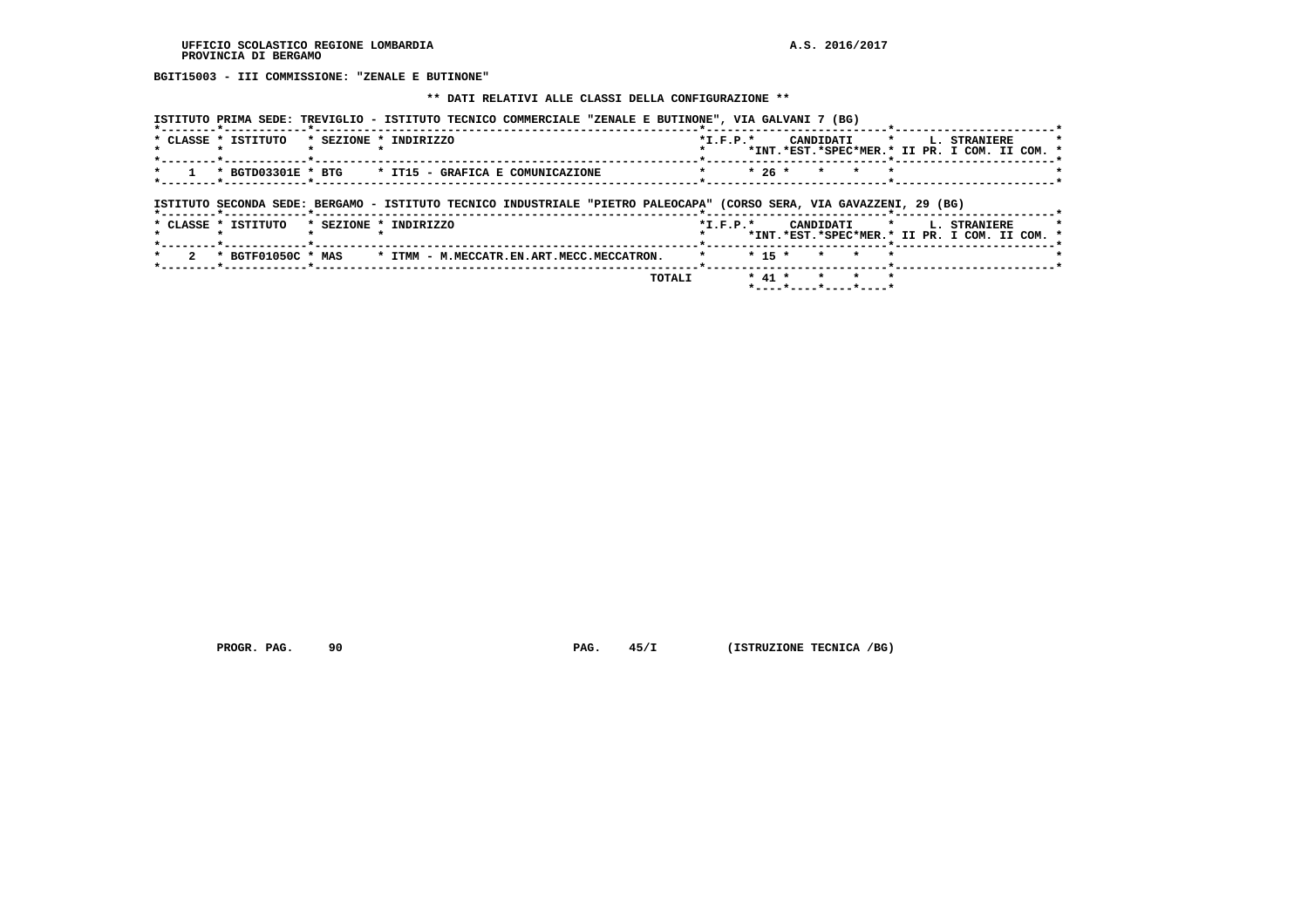**BGIT15003 - III COMMISSIONE: "ZENALE E BUTINONE"**

#### **\*\* DATI RELATIVI ALLE CLASSI DELLA CONFIGURAZIONE \*\***

| ISTITUTO PRIMA SEDE: TREVIGLIO - ISTITUTO TECNICO COMMERCIALE "ZENALE E BUTINONE", VIA GALVANI 7 (BG) |  |  |  |  |  |
|-------------------------------------------------------------------------------------------------------|--|--|--|--|--|
|                                                                                                       |  |  |  |  |  |

|  | * CLASSE * ISTITUTO | * SEZIONE * INDIRIZZO                                                           | $*T$ , $F$ , $D$ , $*$     |  |  | CANDIDATI * I. STRANIERE                      |  |
|--|---------------------|---------------------------------------------------------------------------------|----------------------------|--|--|-----------------------------------------------|--|
|  |                     |                                                                                 |                            |  |  | *INT.*EST.*SPEC*MER.* II PR. I COM. II COM. * |  |
|  |                     |                                                                                 |                            |  |  |                                               |  |
|  |                     | $\star$ 1 $\star$ BGTD03301E $\star$ BTG $\star$ IT15 - GRAFICA E COMUNICAZIONE | $*$ $*$ 26 $*$ $*$ $*$ $*$ |  |  |                                               |  |
|  |                     |                                                                                 |                            |  |  |                                               |  |

# **ISTITUTO SECONDA SEDE: BERGAMO - ISTITUTO TECNICO INDUSTRIALE "PIETRO PALEOCAPA" (CORSO SERA, VIA GAVAZZENI, 29 (BG)**

|                     |  | <b>TOTALI</b>                                                                  |                        | * 41 * * * * |  |  |                                                                           |  |
|---------------------|--|--------------------------------------------------------------------------------|------------------------|--------------|--|--|---------------------------------------------------------------------------|--|
|                     |  | 2 * BGTF01050C * MAS * ITMM - M.MECCATR.EN.ART.MECC.MECCATRON. * * * 5 * * * * |                        |              |  |  |                                                                           |  |
| * CLASSE * ISTITUTO |  | * SEZIONE * INDIRIZZO                                                          | $*T$ , $F$ , $D$ , $*$ |              |  |  | CANDIDATI * L. STRANIERE<br>*INT.*EST.*SPEC*MER.* II PR. I COM. II COM. * |  |
|                     |  |                                                                                |                        |              |  |  |                                                                           |  |

 **PROGR. PAG.** 90 **PAG.** 45/I (ISTRUZIONE TECNICA /BG)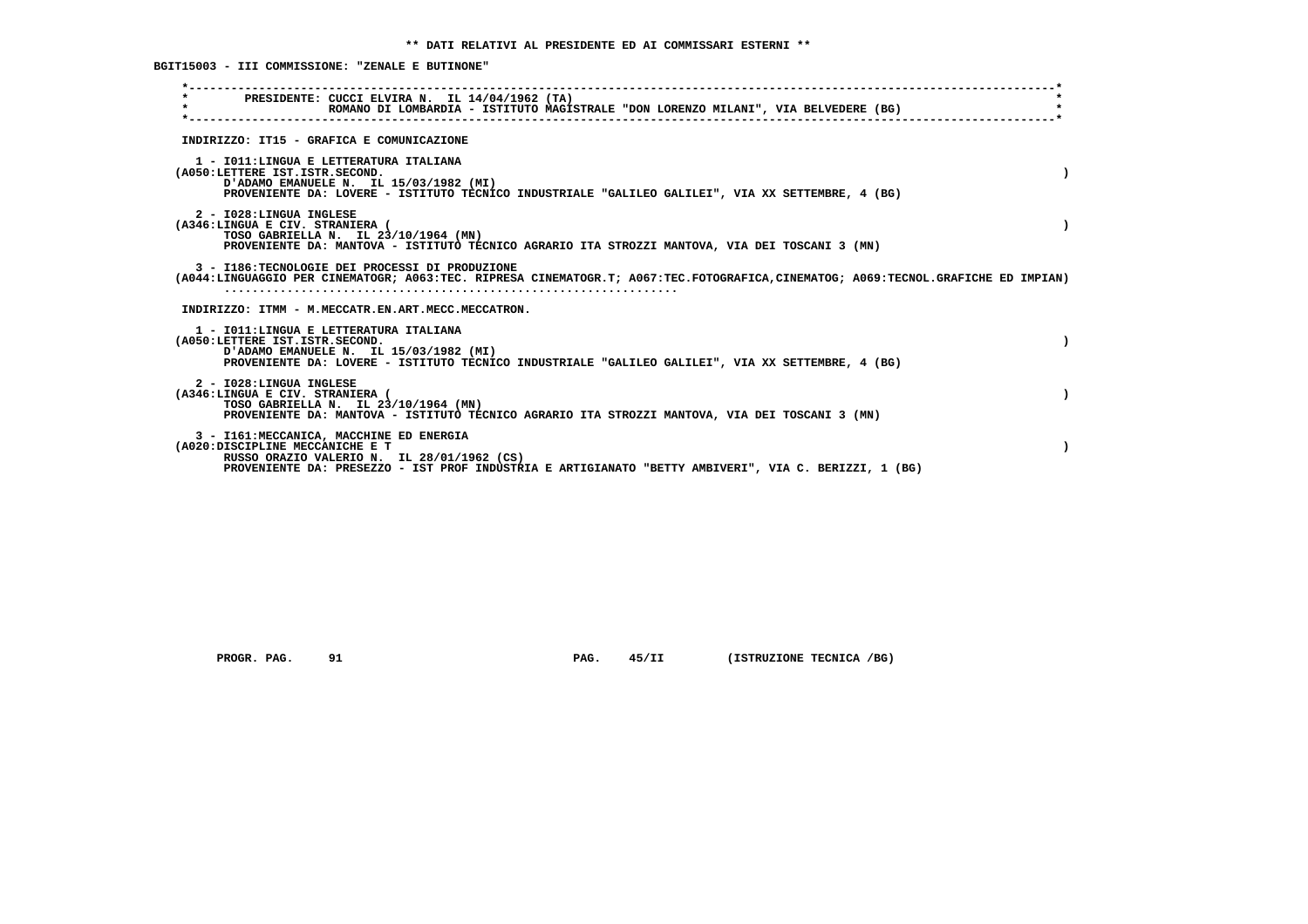**BGIT15003 - III COMMISSIONE: "ZENALE E BUTINONE"**

| PRESIDENTE: CUCCI ELVIRA N. IL 14/04/1962 (TA)<br>$\star$<br>ROMANO DI LOMBARDIA - ISTITUTO MAGISTRALE "DON LORENZO MILANI", VIA BELVEDERE (BG)                                                                                   |  |
|-----------------------------------------------------------------------------------------------------------------------------------------------------------------------------------------------------------------------------------|--|
| INDIRIZZO: IT15 - GRAFICA E COMUNICAZIONE                                                                                                                                                                                         |  |
| 1 - IO11: LINGUA E LETTERATURA ITALIANA<br>(A050:LETTERE IST.ISTR.SECOND.<br>D'ADAMO EMANUELE N. IL 15/03/1982 (MI)<br>PROVENIENTE DA: LOVERE - ISTITUTO TECNICO INDUSTRIALE "GALILEO GALILEI", VIA XX SETTEMBRE, 4 (BG)          |  |
| 2 - I028:LINGUA INGLESE<br>(A346:LINGUA E CIV. STRANIERA (<br>TOSO GABRIELLA N. IL 23/10/1964 (MN)<br>PROVENIENTE DA: MANTOVA - ISTITUTO TECNICO AGRARIO ITA STROZZI MANTOVA, VIA DEI TOSCANI 3 (MN)                              |  |
| 3 - I186:TECNOLOGIE DEI PROCESSI DI PRODUZIONE<br>(A044:LINGUAGGIO PER CINEMATOGR; A063:TEC. RIPRESA CINEMATOGR.T; A067:TEC.FOTOGRAFICA,CINEMATOG; A069:TECNOL.GRAFICHE ED IMPIAN)                                                |  |
| INDIRIZZO: ITMM - M.MECCATR.EN.ART.MECC.MECCATRON.                                                                                                                                                                                |  |
| 1 - IO11: LINGUA E LETTERATURA ITALIANA<br>(A050:LETTERE IST.ISTR.SECOND.<br>D'ADAMO EMANUELE N. IL 15/03/1982 (MI)<br>PROVENIENTE DA: LOVERE - ISTITUTO TECNICO INDUSTRIALE "GALILEO GALILEI", VIA XX SETTEMBRE, 4 (BG)          |  |
| 2 - I028:LINGUA INGLESE<br>(A346:LINGUA E CIV. STRANIERA (<br>TOSO GABRIELLA N. IL 23/10/1964 (MN)<br>PROVENIENTE DA: MANTOVA - ISTITUTO TECNICO AGRARIO ITA STROZZI MANTOVA, VIA DEI TOSCANI 3 (MN)                              |  |
| 3 - I161: MECCANICA, MACCHINE ED ENERGIA<br>(A020:DISCIPLINE MECCANICHE E T<br>RUSSO ORAZIO VALERIO N. IL 28/01/1962 (CS)<br>PROVENIENTE DA: PRESEZZO - IST PROF INDUSTRIA E ARTIGIANATO "BETTY AMBIVERI", VIA C. BERIZZI, 1 (BG) |  |
|                                                                                                                                                                                                                                   |  |

 **PROGR. PAG.** 91 **PAG.** 45/II (ISTRUZIONE TECNICA /BG)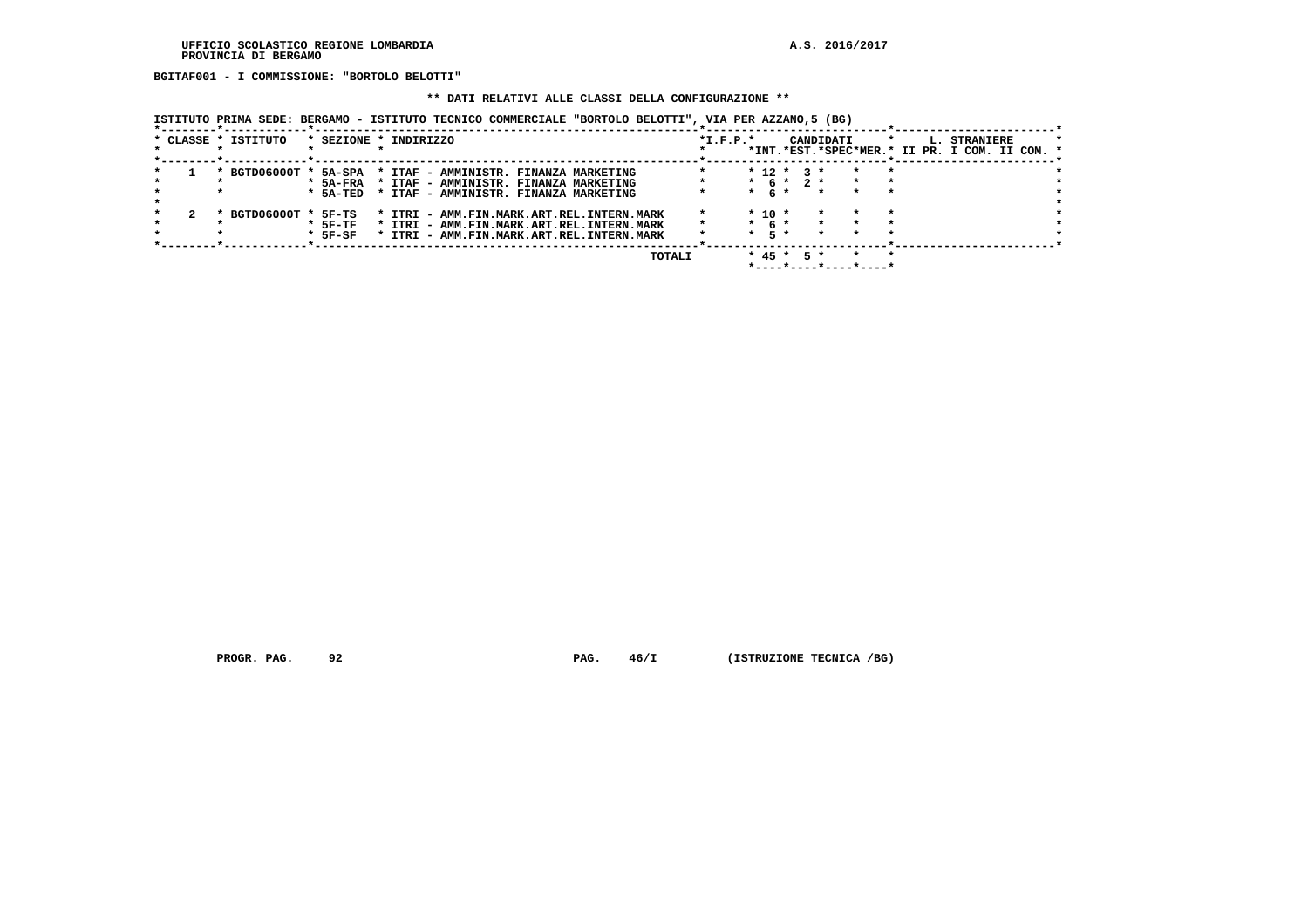**BGITAF001 - I COMMISSIONE: "BORTOLO BELOTTI"**

#### **\*\* DATI RELATIVI ALLE CLASSI DELLA CONFIGURAZIONE \*\***

 **ISTITUTO PRIMA SEDE: BERGAMO - ISTITUTO TECNICO COMMERCIALE "BORTOLO BELOTTI", VIA PER AZZANO,5 (BG)**

|  | * CLASSE * ISTITUTO   |            | * SEZIONE * INDIRIZZO                     |  |        | $*L.F.P.*$ |            |              |      | CANDIDATI |  | L. STRANIERE                                  |  |  |
|--|-----------------------|------------|-------------------------------------------|--|--------|------------|------------|--------------|------|-----------|--|-----------------------------------------------|--|--|
|  |                       |            |                                           |  |        |            |            |              |      |           |  | *INT.*EST.*SPEC*MER.* II PR. I COM. II COM. * |  |  |
|  | * BGTD06000T * 5A-SPA |            | * ITAF - AMMINISTR. FINANZA MARKETING     |  |        |            |            | $* 12 * 3 *$ |      |           |  |                                               |  |  |
|  |                       | $*$ 5A-FRA | * ITAF - AMMINISTR. FINANZA MARKETING     |  |        |            |            | $* 6 * 2 *$  |      |           |  |                                               |  |  |
|  |                       | * 5A-TED   | * ITAF - AMMINISTR. FINANZA MARKETING     |  |        |            | $*$ 6 $*$  |              |      | $\star$   |  |                                               |  |  |
|  |                       |            |                                           |  |        |            |            |              |      |           |  |                                               |  |  |
|  | * BGTD06000T * 5F-TS  |            | * ITRI - AMM.FIN.MARK.ART.REL.INTERN.MARK |  |        |            | $*$ 10 $*$ |              |      |           |  |                                               |  |  |
|  |                       | $*$ 5F-TF  | * ITRI - AMM.FIN.MARK.ART.REL.INTERN.MARK |  |        |            | $*$ 6 $*$  |              |      |           |  |                                               |  |  |
|  |                       | $*$ 5F-SF  | * ITRI - AMM.FIN.MARK.ART.REL.INTERN.MARK |  |        |            | $*$ 5 $*$  |              |      | $\star$   |  |                                               |  |  |
|  |                       |            |                                           |  |        |            |            |              |      |           |  |                                               |  |  |
|  |                       |            |                                           |  | TOTALI |            |            | $*$ 45 $*$   | $5*$ |           |  |                                               |  |  |
|  |                       |            |                                           |  |        |            |            |              |      |           |  |                                               |  |  |

 **PROGR. PAG.** 92 **PAG.** 46/I (ISTRUZIONE TECNICA /BG)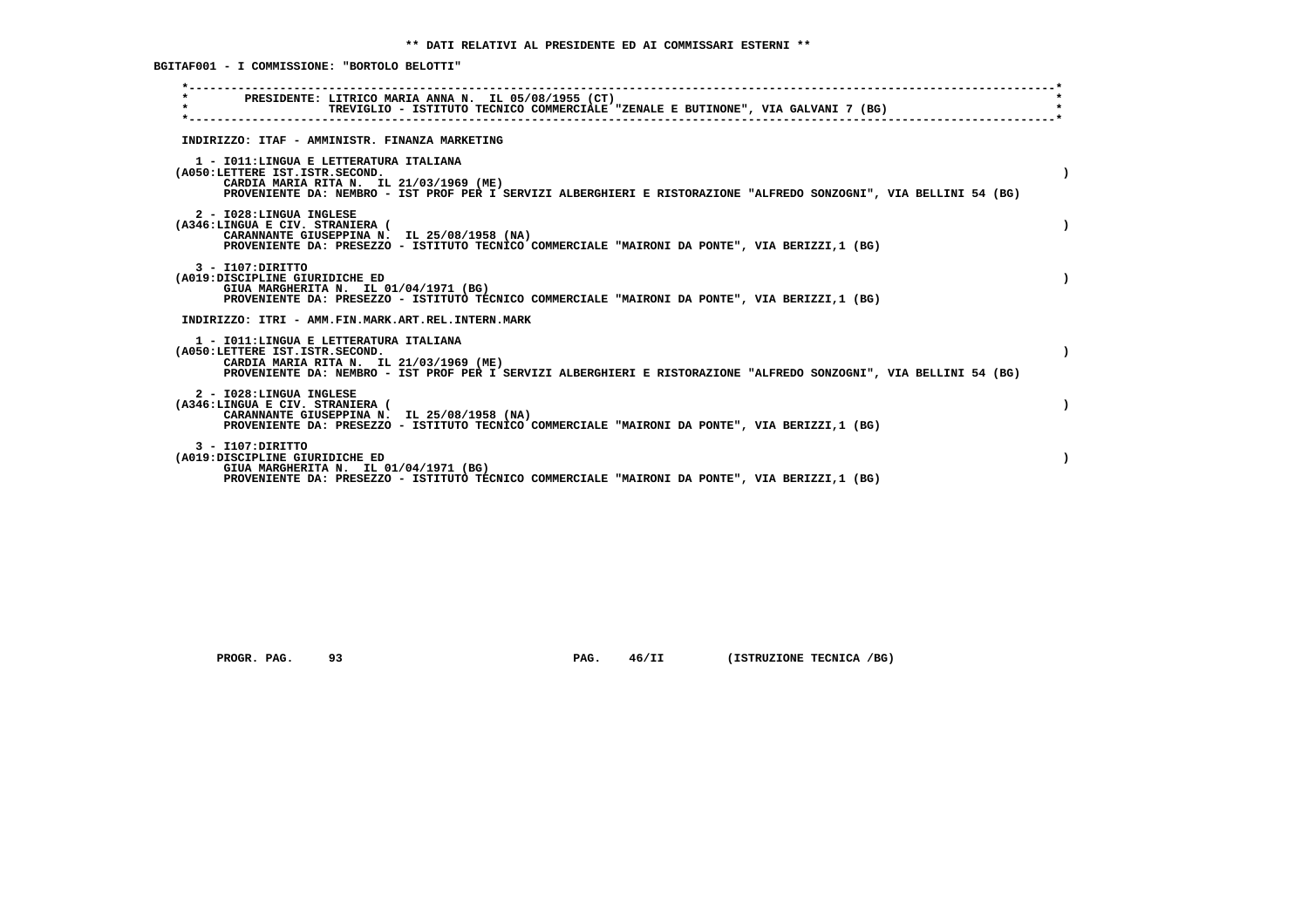**BGITAF001 - I COMMISSIONE: "BORTOLO BELOTTI"**

| $\star$ | PRESIDENTE: LITRICO MARIA ANNA N. IL 05/08/1955 (CT)<br>TREVIGLIO - ISTITUTO TECNICO COMMERCIALE "ZENALE E BUTINONE", VIA GALVANI 7 (BG)                                                                                                   |
|---------|--------------------------------------------------------------------------------------------------------------------------------------------------------------------------------------------------------------------------------------------|
|         | INDIRIZZO: ITAF - AMMINISTR. FINANZA MARKETING                                                                                                                                                                                             |
|         | 1 - IO11: LINGUA E LETTERATURA ITALIANA<br>(A050:LETTERE IST.ISTR.SECOND.<br>CARDIA MARIA RITA N. IL 21/03/1969 (ME)<br>PROVENIENTE DA: NEMBRO - IST PROF PER I SERVIZI ALBERGHIERI E RISTORAZIONE "ALFREDO SONZOGNI", VIA BELLINI 54 (BG) |
|         | 2 - I028:LINGUA INGLESE<br>(A346:LINGUA E CIV. STRANIERA (<br>CARANNANTE GIUSEPPINA N. IL 25/08/1958 (NA)<br>PROVENIENTE DA: PRESEZZO - ISTITUTO TECNICO COMMERCIALE "MAIRONI DA PONTE", VIA BERIZZI,1 (BG)                                |
|         | $3 - I107:$ DIRITTO<br>(A019:DISCIPLINE GIURIDICHE ED<br>GIUA MARGHERITA N. IL 01/04/1971 (BG)<br>PROVENIENTE DA: PRESEZZO - ISTITUTO TECNICO COMMERCIALE "MAIRONI DA PONTE", VIA BERIZZI,1 (BG)                                           |
|         | INDIRIZZO: ITRI - AMM.FIN.MARK.ART.REL.INTERN.MARK                                                                                                                                                                                         |
|         | 1 - IO11:LINGUA E LETTERATURA ITALIANA<br>(A050:LETTERE IST.ISTR.SECOND.<br>CARDIA MARIA RITA N. IL 21/03/1969 (ME)<br>PROVENIENTE DA: NEMBRO - IST PROF PER I SERVIZI ALBERGHIERI E RISTORAZIONE "ALFREDO SONZOGNI", VIA BELLINI 54 (BG)  |
|         | 2 - I028:LINGUA INGLESE<br>(A346:LINGUA E CIV. STRANIERA (<br>CARANNANTE GIUSEPPINA N. IL 25/08/1958 (NA)<br>PROVENIENTE DA: PRESEZZO - ISTITUTO TECNICO COMMERCIALE "MAIRONI DA PONTE", VIA BERIZZI,1 (BG)                                |
|         | $3 - I107:$ DIRITTO<br>(A019:DISCIPLINE GIURIDICHE ED<br>GIUA MARGHERITA N. IL 01/04/1971 (BG)<br>PROVENIENTE DA: PRESEZZO - ISTITUTO TECNICO COMMERCIALE "MAIRONI DA PONTE", VIA BERIZZI,1 (BG)                                           |

 **PROGR. PAG.** 93 **PAG.** 46/II (ISTRUZIONE TECNICA /BG)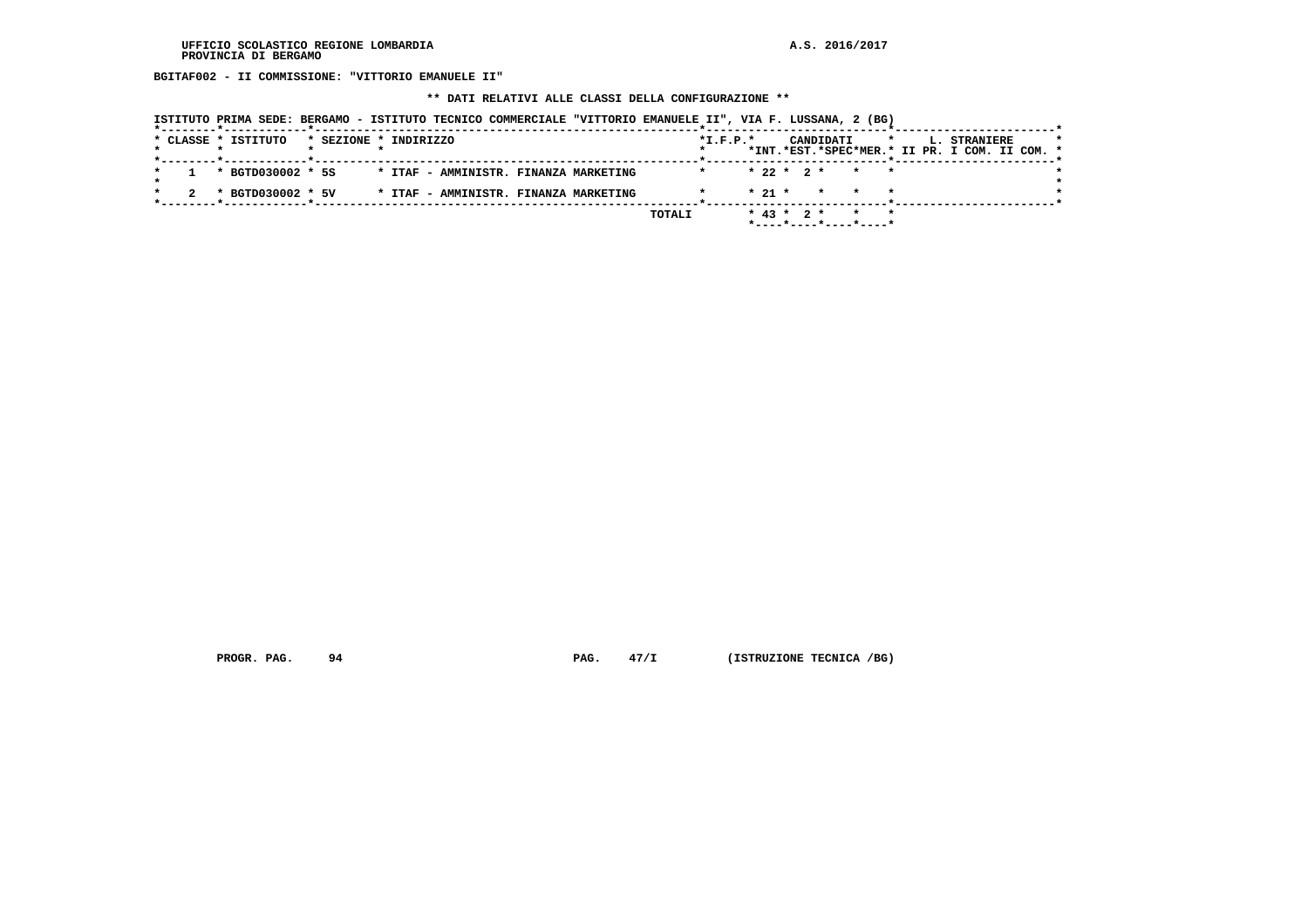**BGITAF002 - II COMMISSIONE: "VITTORIO EMANUELE II"**

 **\*\* DATI RELATIVI ALLE CLASSI DELLA CONFIGURAZIONE \*\***

|  |                        |                       | ISTITUTO PRIMA SEDE: BERGAMO - ISTITUTO TECNICO COMMERCIALE "VITTORIO EMANUELE II", VIA F. LUSSANA, 2 (BG) |  |            |  |                                            |  |                                               |  |  |
|--|------------------------|-----------------------|------------------------------------------------------------------------------------------------------------|--|------------|--|--------------------------------------------|--|-----------------------------------------------|--|--|
|  | * CLASSE * ISTITUTO    | * SEZIONE * INDIRIZZO |                                                                                                            |  | $*L.F.P.*$ |  | CANDIDATI *                                |  | L. STRANIERE                                  |  |  |
|  |                        |                       |                                                                                                            |  |            |  |                                            |  | *INT.*EST.*SPEC*MER.* II PR. I COM. II COM. * |  |  |
|  | $1 * RGTD0.30002 * 5S$ |                       | * ITAF - AMMINISTR. FINANZA MARKETING                                                                      |  |            |  | $* 22 * 2 * * * * *$                       |  |                                               |  |  |
|  | * BGTD030002 * 5V      |                       | * ITAF - AMMINISTR. FINANZA MARKETING                                                                      |  |            |  | $\star$ 21 $\star$ $\star$ $\star$ $\star$ |  |                                               |  |  |
|  |                        |                       |                                                                                                            |  |            |  |                                            |  |                                               |  |  |

 **TOTALI \* 43 \* 2 \* \* \* \*----\*----\*----\*----\***

 **PROGR. PAG.** 94 **PAG.** 47/I (ISTRUZIONE TECNICA /BG)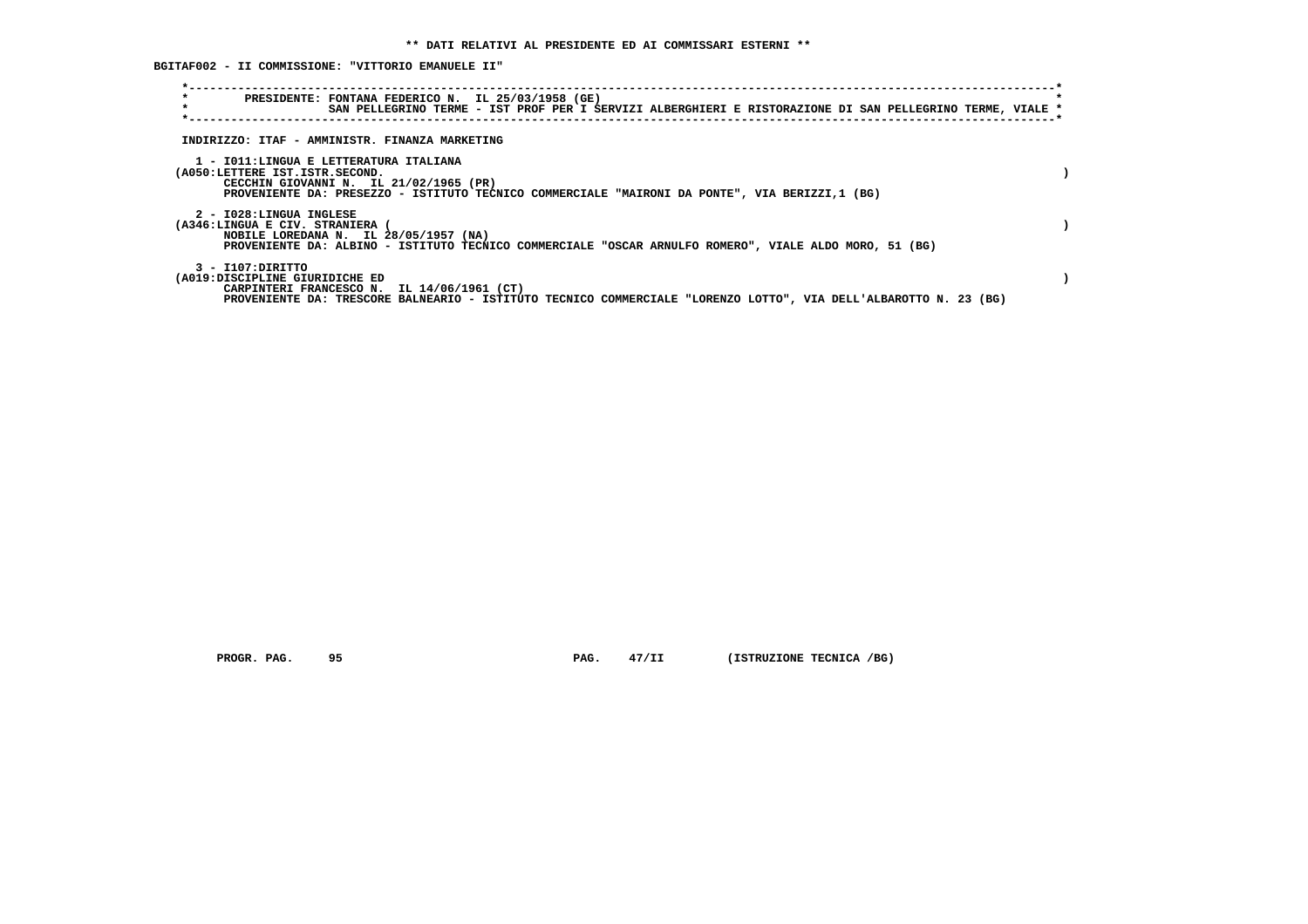**BGITAF002 - II COMMISSIONE: "VITTORIO EMANUELE II"**

| $\star$<br>$\star$                                       | PRESIDENTE: FONTANA FEDERICO N. IL 25/03/1958 (GE)<br>SAN PELLEGRINO TERME - IST PROF PER I SERVIZI ALBERGHIERI E RISTORAZIONE DI SAN PELLEGRINO TERME, VIALE *                    |  |
|----------------------------------------------------------|------------------------------------------------------------------------------------------------------------------------------------------------------------------------------------|--|
|                                                          | INDIRIZZO: ITAF - AMMINISTR. FINANZA MARKETING                                                                                                                                     |  |
| (A050:LETTERE IST.ISTR.SECOND.                           | 1 - IO11:LINGUA E LETTERATURA ITALIANA<br>CECCHIN GIOVANNI N. IL 21/02/1965 (PR)<br>PROVENIENTE DA: PRESEZZO - ISTITUTO TECNICO COMMERCIALE "MAIRONI DA PONTE", VIA BERIZZI,1 (BG) |  |
| 2 - I028:LINGUA INGLESE<br>(A346:LINGUA E CIV. STRANIERA | NOBILE LOREDANA N. IL 28/05/1957 (NA)<br>PROVENIENTE DA: ALBINO - ISTITUTO TECNICO COMMERCIALE "OSCAR ARNULFO ROMERO", VIALE ALDO MORO, 51 (BG)                                    |  |
| 3 - I107:DIRITTO<br>(A019:DISCIPLINE GIURIDICHE ED       | CARPINTERI FRANCESCO N. IL 14/06/1961 (CT)<br>PROVENIENTE DA: TRESCORE BALNEARIO - ISTITUTO TECNICO COMMERCIALE "LORENZO LOTTO", VIA DELL'ALBAROTTO N. 23 (BG)                     |  |

 **PROGR. PAG.** 95 **PAG.** 47/II (ISTRUZIONE TECNICA /BG)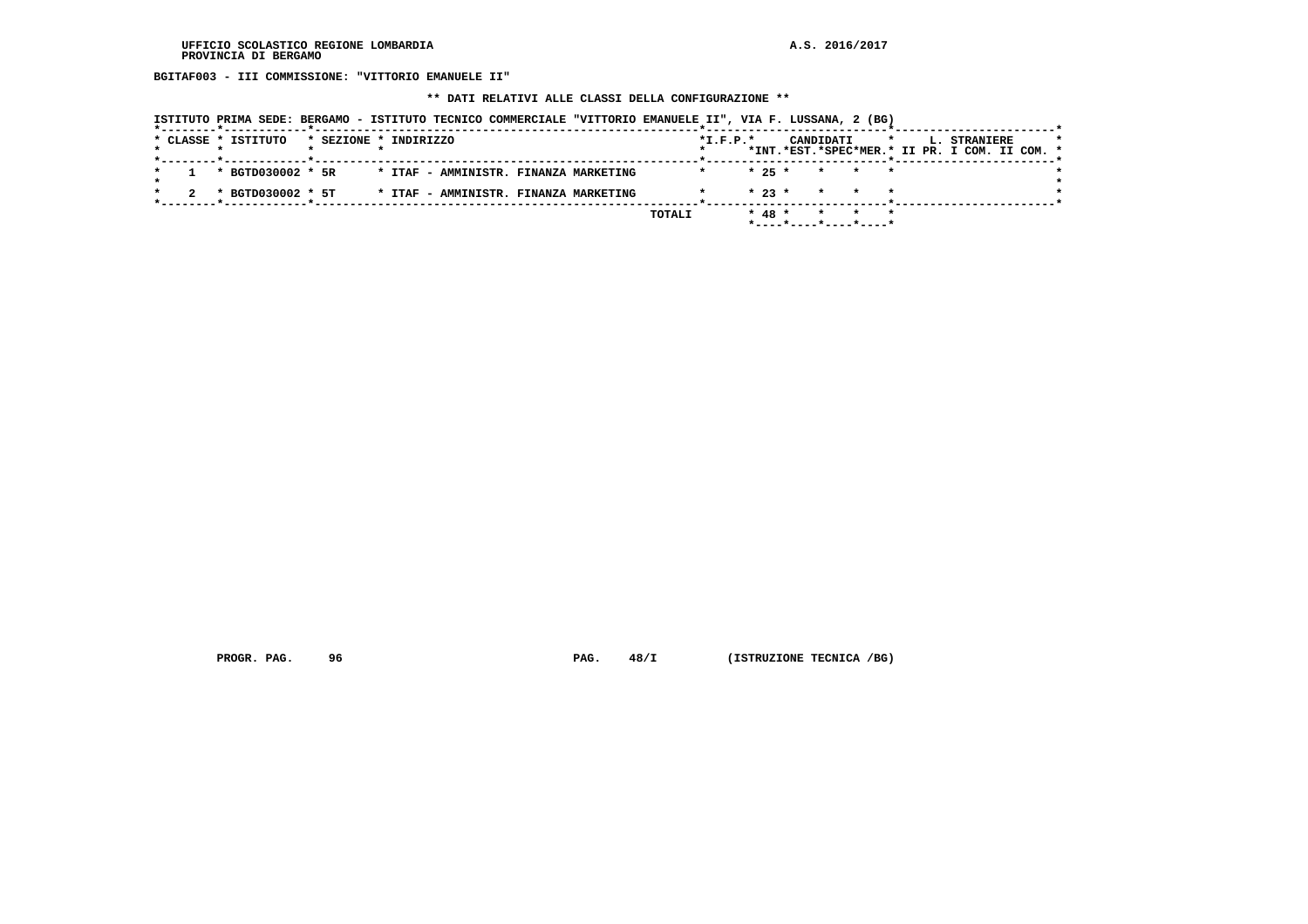**BGITAF003 - III COMMISSIONE: "VITTORIO EMANUELE II"**

 **\*\* DATI RELATIVI ALLE CLASSI DELLA CONFIGURAZIONE \*\***

|  | * CLASSE * ISTITUTO | * SEZIONE * INDIRIZZO |  |  |                                       |        | $*L.F.P.*$ |           | CANDIDATI |                                            | $\star$ |  | <b>L. STRANIERE</b><br>*INT.*EST.*SPEC*MER.* II PR. I COM. II COM. * |  | $\star$ |
|--|---------------------|-----------------------|--|--|---------------------------------------|--------|------------|-----------|-----------|--------------------------------------------|---------|--|----------------------------------------------------------------------|--|---------|
|  | * BGTD030002 * 5R   |                       |  |  | * ITAF - AMMINISTR. FINANZA MARKETING |        |            |           |           | $\star$ 25 $\star$ $\star$ $\star$ $\star$ |         |  |                                                                      |  |         |
|  | * BGTD030002 * 5T   |                       |  |  | * ITAF - AMMINISTR. FINANZA MARKETING |        |            | $*23$ $*$ |           | * * *                                      |         |  |                                                                      |  |         |
|  |                     |                       |  |  |                                       | TOTALI |            | $* 48 *$  |           | * * *                                      |         |  |                                                                      |  |         |

 **PROGR. PAG.** 96 **PAG.** 48/I (ISTRUZIONE TECNICA /BG)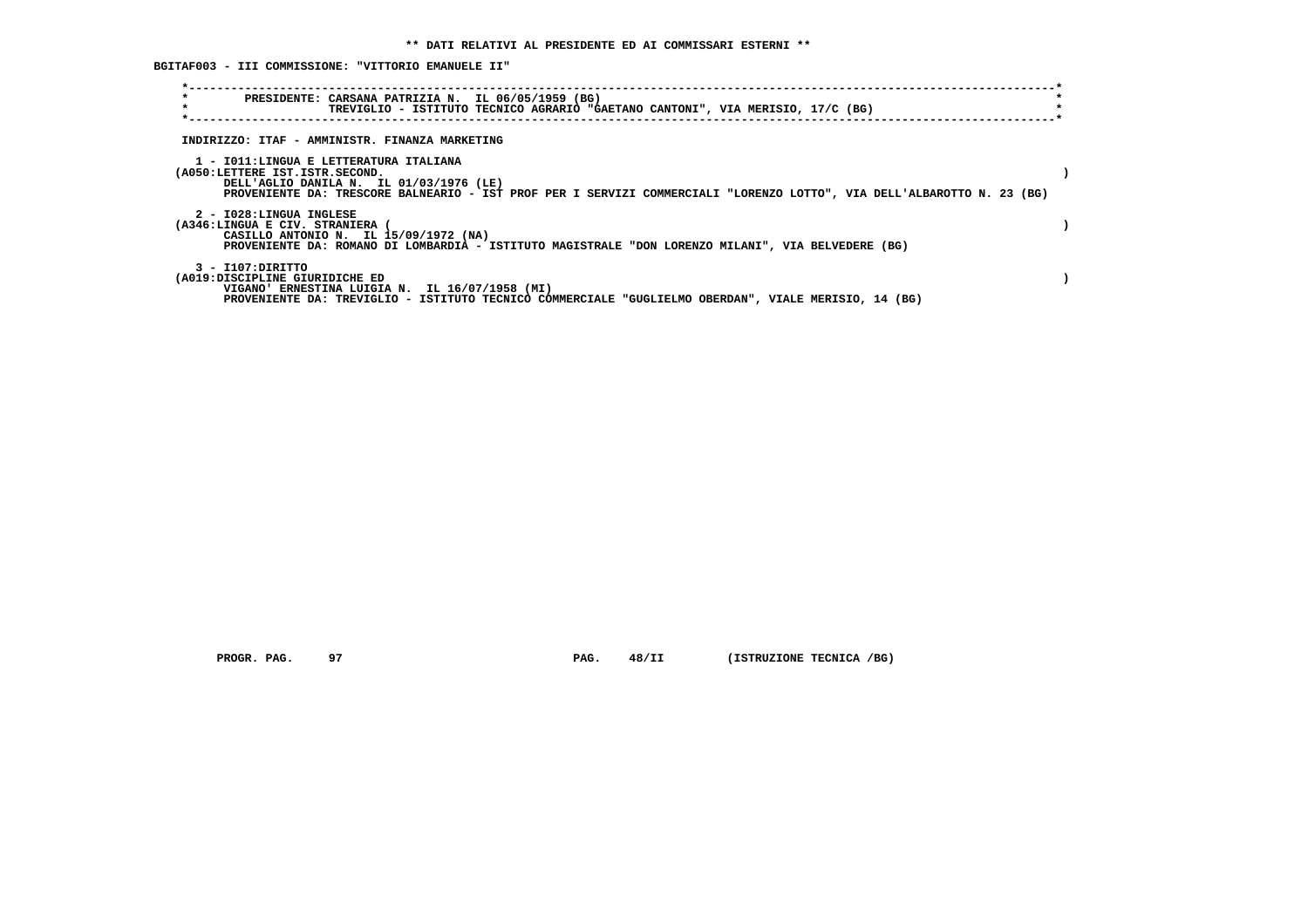**BGITAF003 - III COMMISSIONE: "VITTORIO EMANUELE II"**

| $\star$<br>$\star$                                                       | PRESIDENTE: CARSANA PATRIZIA N. IL 06/05/1959 (BG)<br>TREVIGLIO - ISTITUTO TECNICO AGRARIO "GAETANO CANTONI", VIA MERISIO, 17/C (BG)                              |  |
|--------------------------------------------------------------------------|-------------------------------------------------------------------------------------------------------------------------------------------------------------------|--|
|                                                                          | INDIRIZZO: ITAF - AMMINISTR. FINANZA MARKETING                                                                                                                    |  |
| 1 - IO11:LINGUA E LETTERATURA ITALIANA<br>(A050:LETTERE IST.ISTR.SECOND. | DELL'AGLIO DANILA N. IL 01/03/1976 (LE)<br>PROVENIENTE DA: TRESCORE BALNEARIO - IST PROF PER I SERVIZI COMMERCIALI "LORENZO LOTTO", VIA DELL'ALBAROTTO N. 23 (BG) |  |
| 2 - I028:LINGUA INGLESE<br>(A346:LINGUA E CIV. STRANIERA                 | CASILLO ANTONIO N. IL 15/09/1972 (NA)<br>PROVENIENTE DA: ROMANO DI LOMBARDIA - ISTITUTO MAGISTRALE "DON LORENZO MILANI", VIA BELVEDERE (BG)                       |  |
| 3 - I107:DIRITTO<br>(A019:DISCIPLINE GIURIDICHE ED                       | VIGANO' ERNESTINA LUIGIA N. IL 16/07/1958 (MI)<br>PROVENIENTE DA: TREVIGLIO - ISTITUTO TECNICO COMMERCIALE "GUGLIELMO OBERDAN", VIALE MERISIO, 14 (BG)            |  |

 **PROGR. PAG.** 97 **PAG.** 48/II (ISTRUZIONE TECNICA /BG)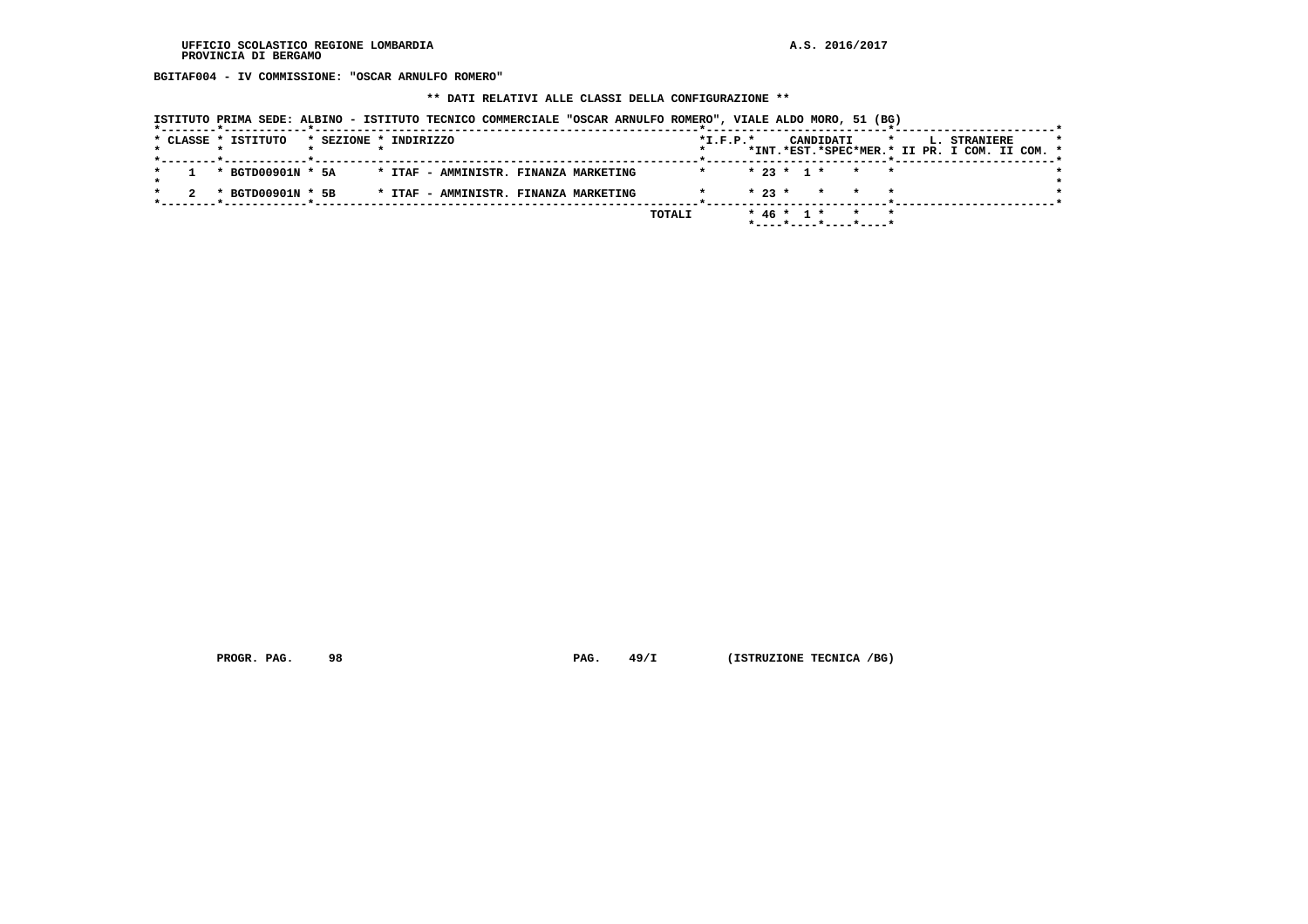**BGITAF004 - IV COMMISSIONE: "OSCAR ARNULFO ROMERO"**

 **\*\* DATI RELATIVI ALLE CLASSI DELLA CONFIGURAZIONE \*\***

|  | * CLASSE * ISTITUTO<br>_____ <b>*</b> ____________ <b>___*</b> ____ |  | * SEZIONE * INDIRIZZO |  |                                       |        | $*L.F.P.*$ |          |  | CANDIDATI | $\star$                                       |  | <b>L. STRANIERE</b><br>*INT.*EST.*SPEC*MER.* II PR. I COM. II COM. * | $\star$ |
|--|---------------------------------------------------------------------|--|-----------------------|--|---------------------------------------|--------|------------|----------|--|-----------|-----------------------------------------------|--|----------------------------------------------------------------------|---------|
|  | * BGTD00901N * 5A                                                   |  |                       |  | * ITAF - AMMINISTR. FINANZA MARKETING |        |            |          |  |           | $* 23 * 1 * * * * *$                          |  |                                                                      |         |
|  | * BGTD00901N * 5B                                                   |  |                       |  | * ITAF - AMMINISTR. FINANZA MARKETING |        |            | $* 23 *$ |  |           | * * *                                         |  |                                                                      |         |
|  |                                                                     |  |                       |  |                                       | TOTALI |            |          |  |           | $* 46 * 1 * * * * *$<br>*----*----*----*----* |  |                                                                      |         |

 **PROGR. PAG.** 98 **PAG. 49/I** (ISTRUZIONE TECNICA /BG)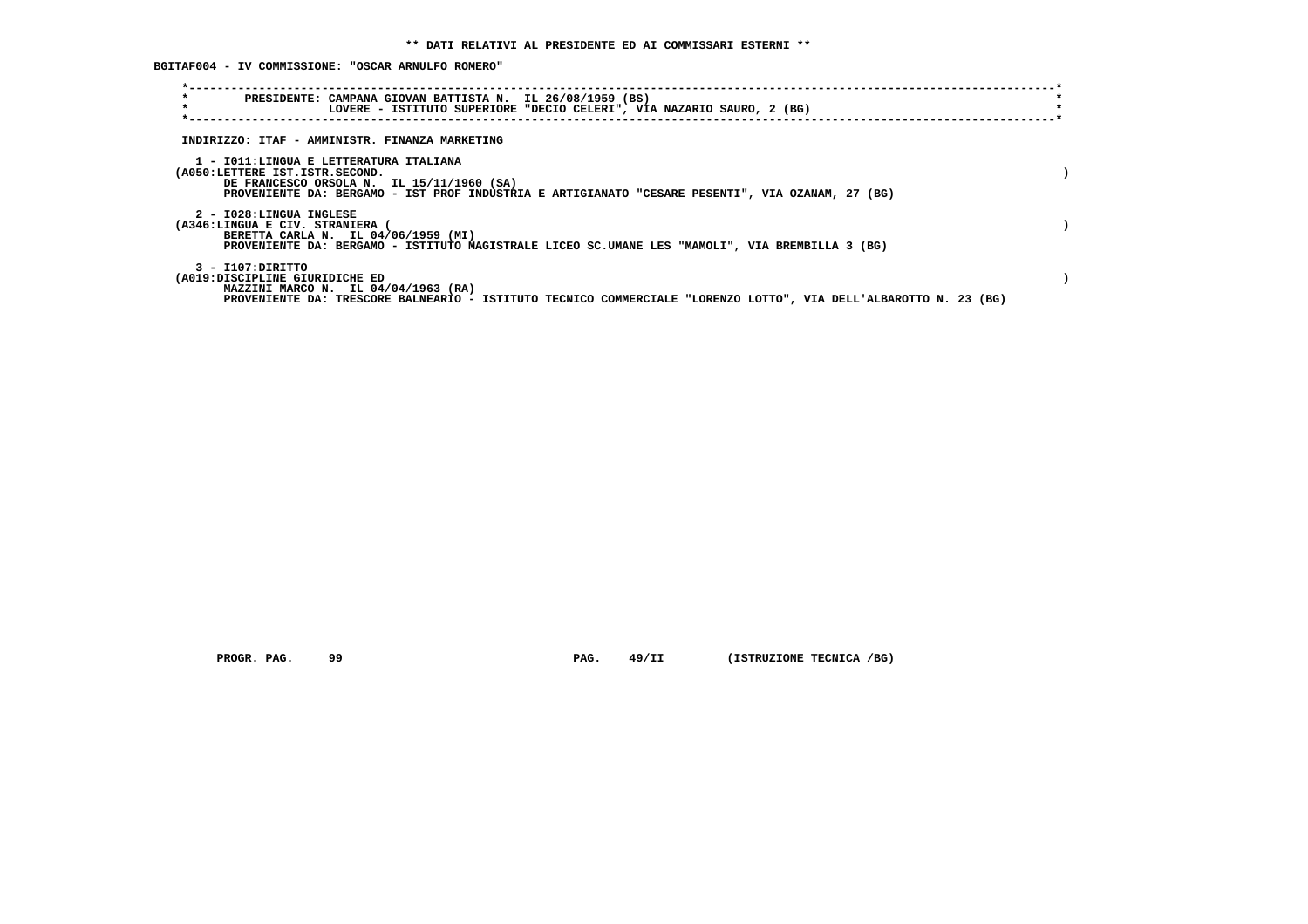**BGITAF004 - IV COMMISSIONE: "OSCAR ARNULFO ROMERO"**

| $\star$<br>PRESIDENTE: CAMPANA GIOVAN BATTISTA N. IL 26/08/1959 (BS)<br>$\star$<br>LOVERE - ISTITUTO SUPERIORE "DECIO CELERI", VIA NAZARIO SAURO, 2 (BG)                                                                  |  |
|---------------------------------------------------------------------------------------------------------------------------------------------------------------------------------------------------------------------------|--|
| INDIRIZZO: ITAF - AMMINISTR. FINANZA MARKETING                                                                                                                                                                            |  |
| 1 - IO11:LINGUA E LETTERATURA ITALIANA<br>(A050:LETTERE IST.ISTR.SECOND.<br>DE FRANCESCO ORSOLA N. IL 15/11/1960 (SA)<br>PROVENIENTE DA: BERGAMO - IST PROF INDUSTRIA E ARTIGIANATO "CESARE PESENTI", VIA OZANAM, 27 (BG) |  |
| 2 - I028:LINGUA INGLESE<br>(A346:LINGUA E CIV. STRANIERA (<br>BERETTA CARLA N. IL 04/06/1959 (MI)<br>PROVENIENTE DA: BERGAMO - ISTITUTO MAGISTRALE LICEO SC.UMANE LES "MAMOLI", VIA BREMBILLA 3 (BG)                      |  |
| $3 - I107:$ DIRITTO<br>(A019:DISCIPLINE GIURIDICHE ED<br>MAZZINI MARCO N. IL 04/04/1963 (RA)<br>PROVENIENTE DA: TRESCORE BALNEARIO - ISTITUTO TECNICO COMMERCIALE "LORENZO LOTTO", VIA DELL'ALBAROTTO N. 23 (BG)          |  |

 **PROGR. PAG.** 99 **PAG.** 49/II (ISTRUZIONE TECNICA /BG)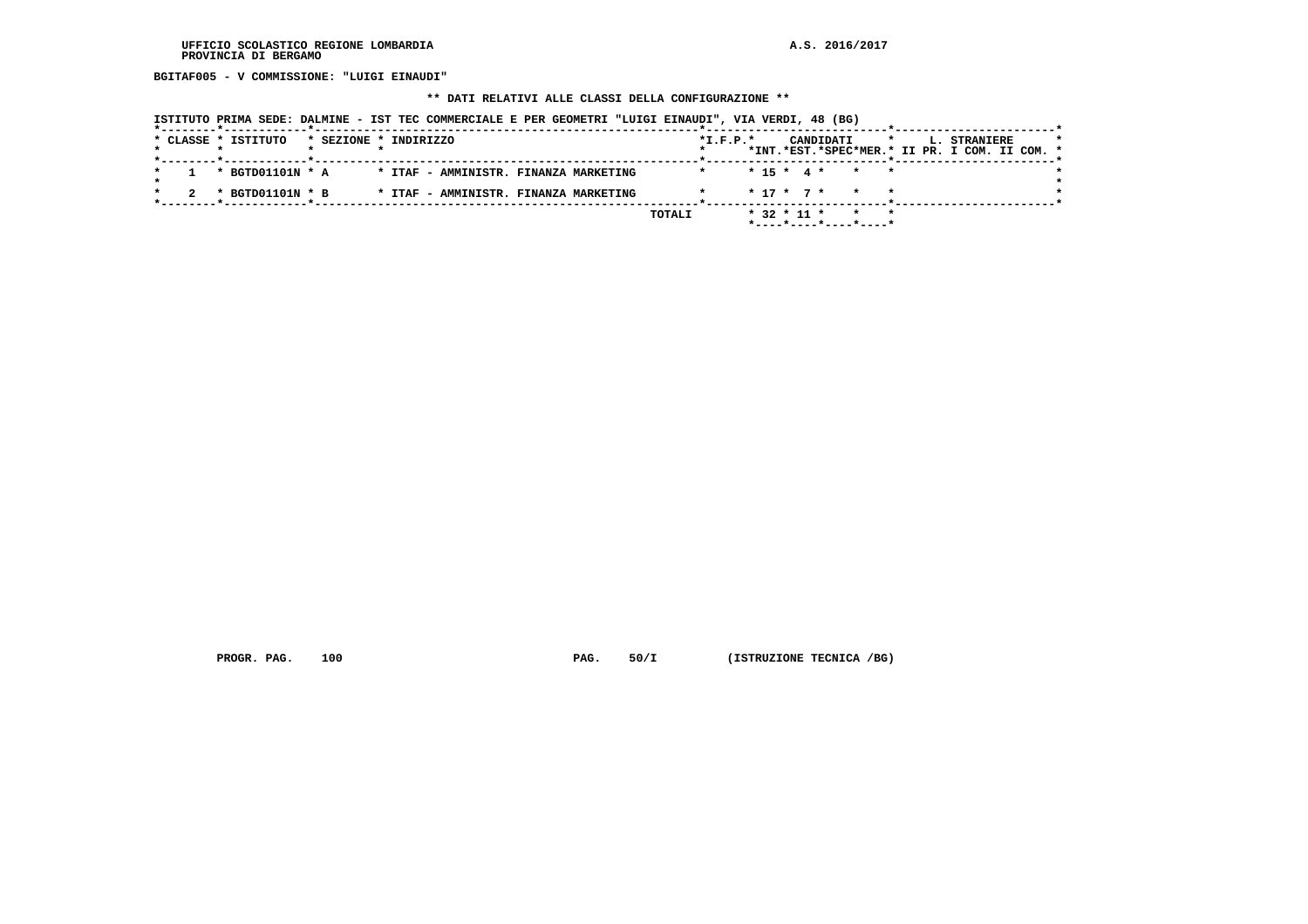**BGITAF005 - V COMMISSIONE: "LUIGI EINAUDI"**

#### **\*\* DATI RELATIVI ALLE CLASSI DELLA CONFIGURAZIONE \*\***

 **ISTITUTO PRIMA SEDE: DALMINE - IST TEC COMMERCIALE E PER GEOMETRI "LUIGI EINAUDI", VIA VERDI, 48 (BG)**

|  | * CLASSE * ISTITUTO |                  | * SEZIONE * INDIRIZZO |  |  |                                       |        | $*L.F.P.*$ |  |                   | CANDIDATI |                                      | $\star$ |  | <b>L. STRANIERE</b>                           |  |  |
|--|---------------------|------------------|-----------------------|--|--|---------------------------------------|--------|------------|--|-------------------|-----------|--------------------------------------|---------|--|-----------------------------------------------|--|--|
|  |                     |                  |                       |  |  |                                       |        |            |  |                   |           |                                      |         |  | *INT.*EST.*SPEC*MER.* II PR. I COM. II COM. * |  |  |
|  |                     | * BGTD01101N * A |                       |  |  | * ITAF - AMMINISTR. FINANZA MARKETING |        |            |  |                   |           | $* 15 * 4 * * * * *$                 |         |  |                                               |  |  |
|  |                     |                  |                       |  |  |                                       |        |            |  |                   |           |                                      |         |  |                                               |  |  |
|  |                     | * BGTD01101N * B |                       |  |  | * ITAF - AMMINISTR. FINANZA MARKETING |        |            |  |                   |           | $* 17 * 7 * * * * *$                 |         |  |                                               |  |  |
|  |                     |                  |                       |  |  |                                       | TOTALI |            |  | $*$ 32 $*$ 11 $*$ |           |                                      |         |  |                                               |  |  |
|  |                     |                  |                       |  |  |                                       |        |            |  |                   |           | $*$ ---- $*$ ---- $*$ ---- $*$ ----* |         |  |                                               |  |  |

 **PROGR. PAG.** 100 **PAG.** 50/I (ISTRUZIONE TECNICA /BG)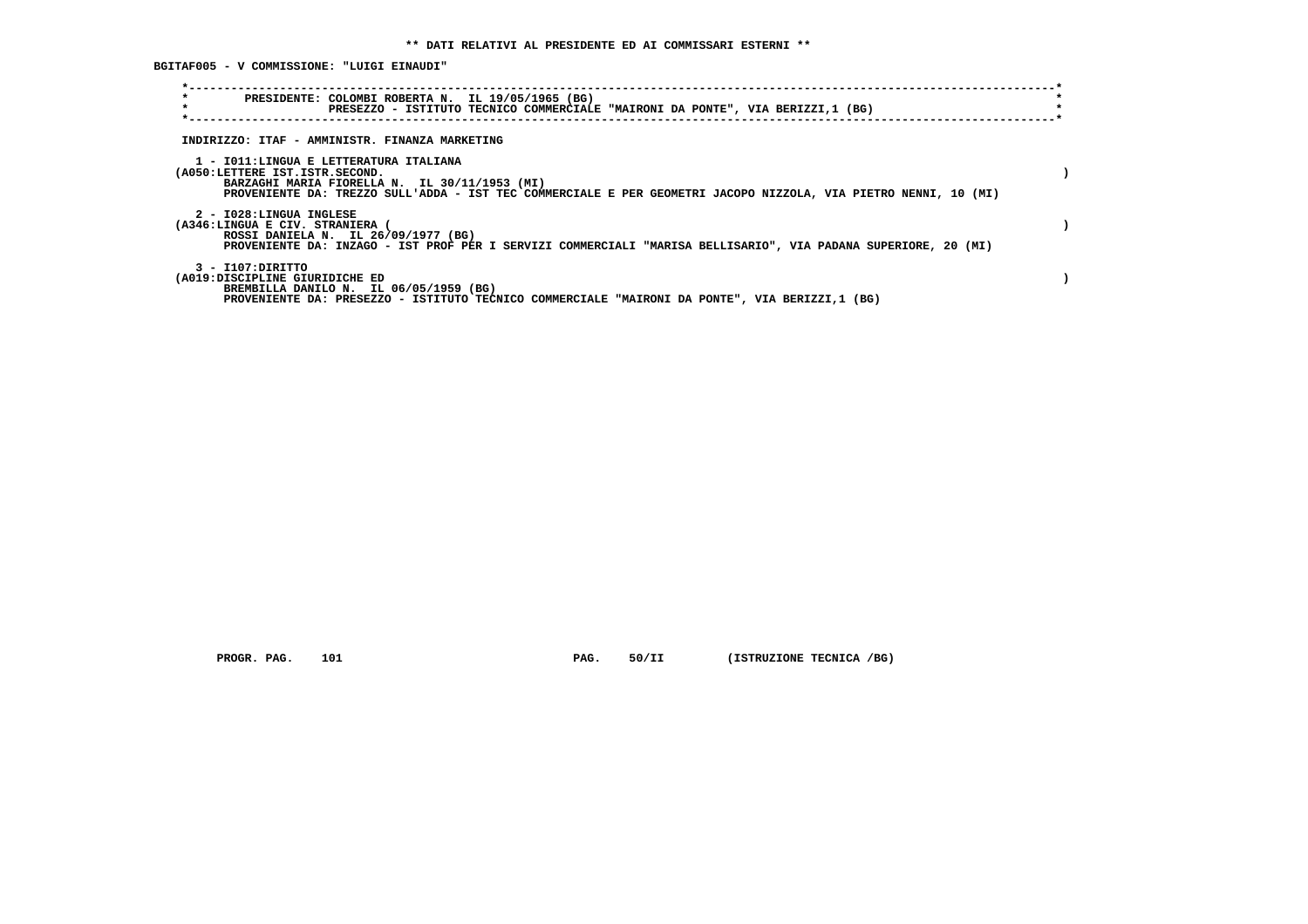**BGITAF005 - V COMMISSIONE: "LUIGI EINAUDI"**

| $\star$<br>PRESIDENTE: COLOMBI ROBERTA N. IL 19/05/1965 (BG)<br>$\star$<br>PRESEZZO - ISTITUTO TECNICO COMMERCIALE "MAIRONI DA PONTE", VIA BERIZZI,1 (BG)                                                                                    |  |
|----------------------------------------------------------------------------------------------------------------------------------------------------------------------------------------------------------------------------------------------|--|
| INDIRIZZO: ITAF - AMMINISTR. FINANZA MARKETING                                                                                                                                                                                               |  |
| 1 - IO11:LINGUA E LETTERATURA ITALIANA<br>(A050:LETTERE IST.ISTR.SECOND.<br>BARZAGHI MARIA FIORELLA N. IL 30/11/1953 (MI)<br>PROVENIENTE DA: TREZZO SULL'ADDA - IST TEC COMMERCIALE E PER GEOMETRI JACOPO NIZZOLA, VIA PIETRO NENNI, 10 (MI) |  |
| 2 - I028:LINGUA INGLESE<br>(A346:LINGUA E CIV. STRANIERA (<br>ROSSI DANIELA N. IL 26/09/1977 (BG)<br>PROVENIENTE DA: INZAGO - IST PROF PER I SERVIZI COMMERCIALI "MARISA BELLISARIO", VIA PADANA SUPERIORE, 20 (MI)                          |  |
| 3 - I107:DIRITTO<br>(A019:DISCIPLINE GIURIDICHE ED<br>BREMBILLA DANILO N. IL 06/05/1959 (BG)<br>PROVENIENTE DA: PRESEZZO - ISTITUTO TECNICO COMMERCIALE "MAIRONI DA PONTE", VIA BERIZZI,1 (BG)                                               |  |

 **PROGR. PAG.** 101 **PAG.** 50/II (ISTRUZIONE TECNICA /BG)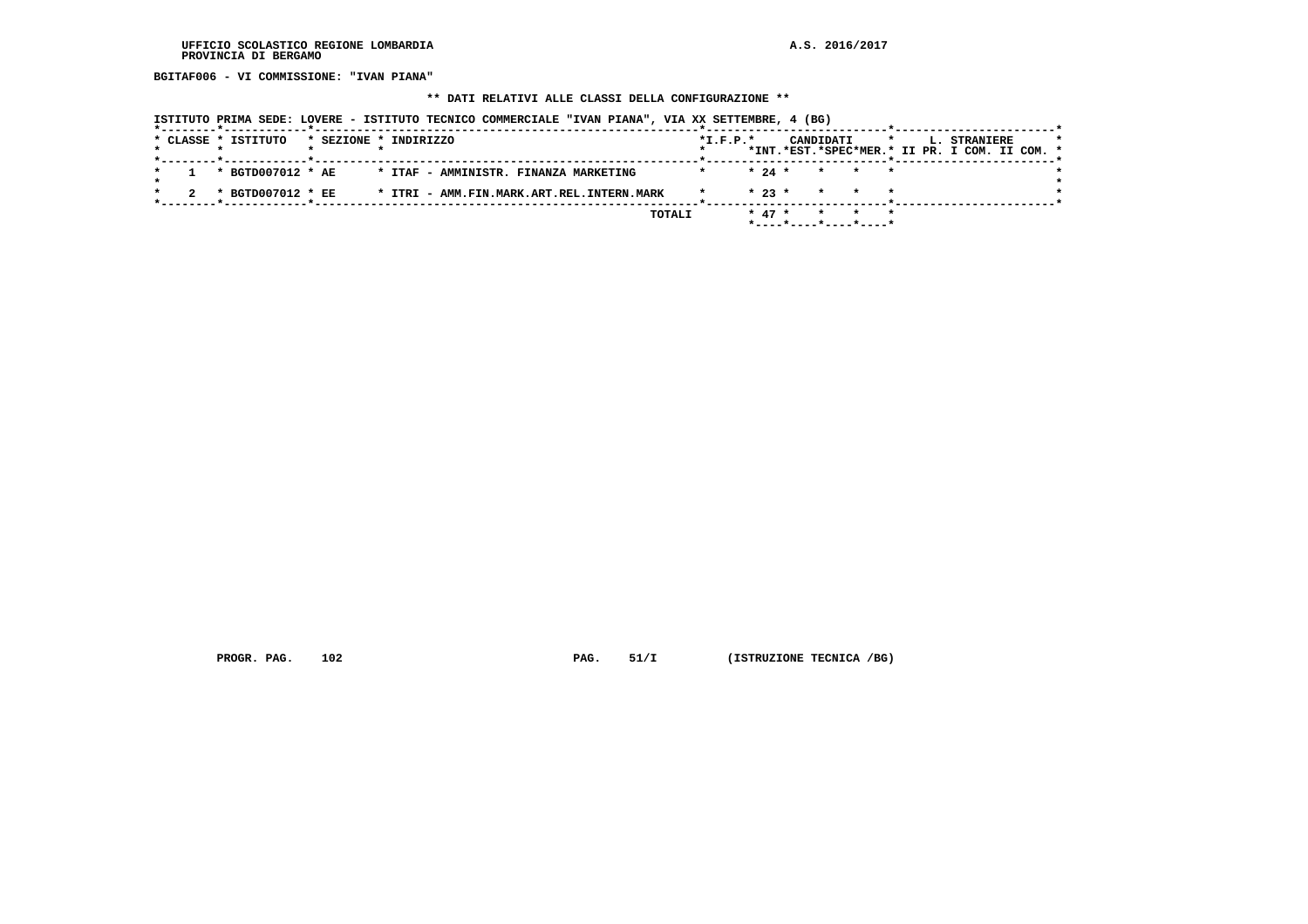**BGITAF006 - VI COMMISSIONE: "IVAN PIANA"**

#### **\*\* DATI RELATIVI ALLE CLASSI DELLA CONFIGURAZIONE \*\***

 **ISTITUTO PRIMA SEDE: LOVERE - ISTITUTO TECNICO COMMERCIALE "IVAN PIANA", VIA XX SETTEMBRE, 4 (BG)**

|  | * CLASSE * ISTITUTO |  | * SEZIONE * INDIRIZZO                     | $*L.F.P.*$ |          | CANDIDATI |       |  | L. STRANIERE                                  |  |  |
|--|---------------------|--|-------------------------------------------|------------|----------|-----------|-------|--|-----------------------------------------------|--|--|
|  |                     |  |                                           |            |          |           |       |  | *INT.*EST.*SPEC*MER.* II PR. I COM. II COM. * |  |  |
|  | * BGTD007012 * AE   |  | * ITAF - AMMINISTR. FINANZA MARKETING     |            | $* 24 *$ |           | * * * |  |                                               |  |  |
|  |                     |  |                                           |            |          |           |       |  |                                               |  |  |
|  | * BGTD007012 * EE   |  | * ITRI - AMM.FIN.MARK.ART.REL.INTERN.MARK |            | $* 23 *$ | $\star$   |       |  |                                               |  |  |
|  |                     |  | TOTALI                                    |            | $* 47 *$ |           |       |  |                                               |  |  |
|  |                     |  |                                           |            |          |           |       |  |                                               |  |  |
|  |                     |  |                                           |            |          |           |       |  |                                               |  |  |

 **PROGR. PAG.** 102 **PAG.** 51/I (ISTRUZIONE TECNICA /BG)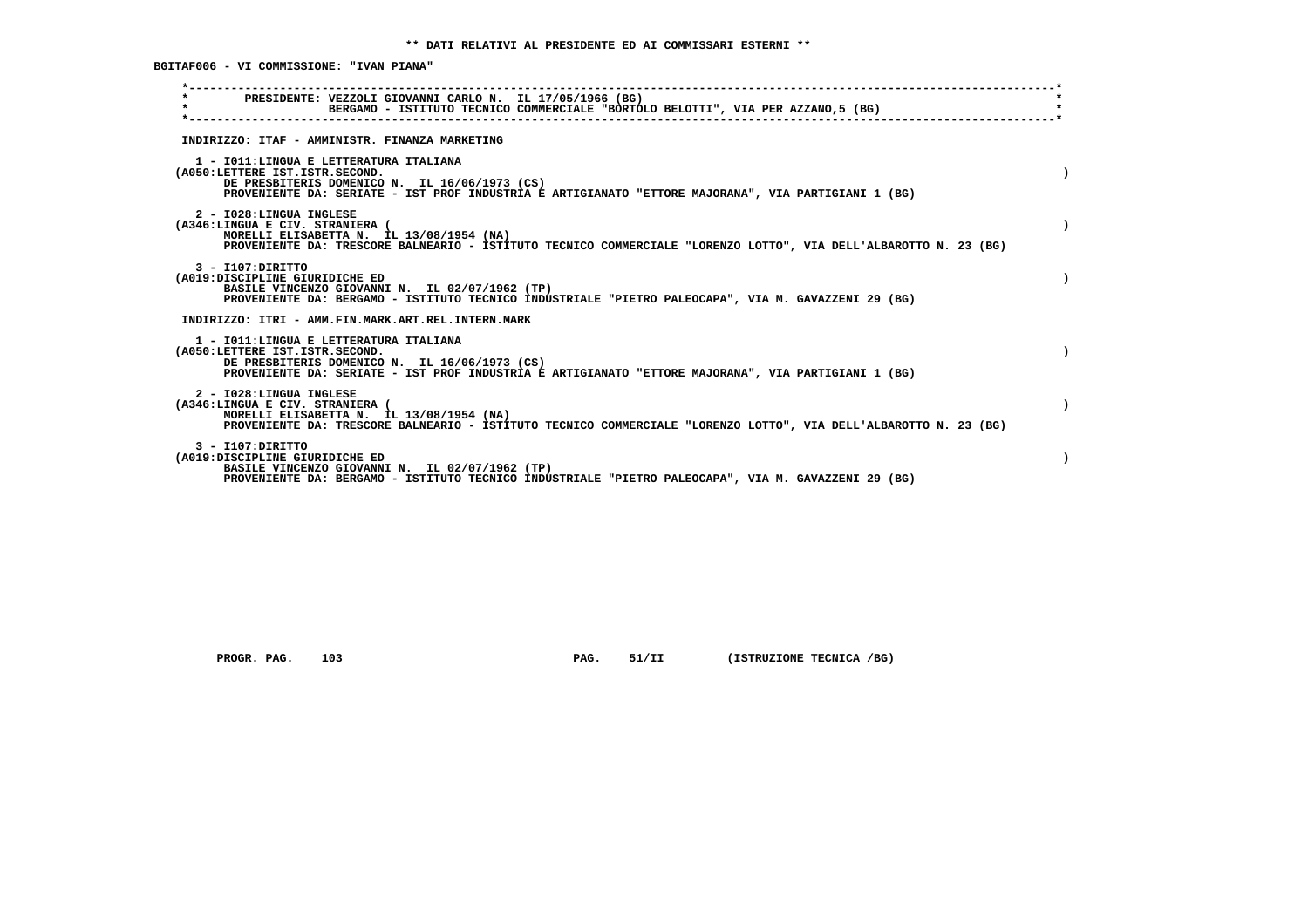**BGITAF006 - VI COMMISSIONE: "IVAN PIANA"**

| PRESIDENTE: VEZZOLI GIOVANNI CARLO N. IL 17/05/1966 (BG)<br>$\star$<br>BERGAMO - ISTITUTO TECNICO COMMERCIALE "BORTOLO BELOTTI", VIA PER AZZANO, 5 (BG)                                                                           |  |
|-----------------------------------------------------------------------------------------------------------------------------------------------------------------------------------------------------------------------------------|--|
| INDIRIZZO: ITAF - AMMINISTR. FINANZA MARKETING                                                                                                                                                                                    |  |
| 1 - IO11: LINGUA E LETTERATURA ITALIANA<br>(A050:LETTERE IST.ISTR.SECOND.<br>DE PRESBITERIS DOMENICO N. IL 16/06/1973 (CS)<br>PROVENIENTE DA: SERIATE - IST PROF INDUSTRIA E ARTIGIANATO "ETTORE MAJORANA", VIA PARTIGIANI 1 (BG) |  |
| 2 - I028:LINGUA INGLESE<br>(A346:LINGUA E CIV. STRANIERA (<br>MORELLI ELISABETTA N. IL 13/08/1954 (NA)<br>PROVENIENTE DA: TRESCORE BALNEARIO - ISTITUTO TECNICO COMMERCIALE "LORENZO LOTTO", VIA DELL'ALBAROTTO N. 23 (BG)        |  |
| $3 - I107:$ DIRITTO<br>(A019:DISCIPLINE GIURIDICHE ED<br>BASILE VINCENZO GIOVANNI N. IL 02/07/1962 (TP)<br>PROVENIENTE DA: BERGAMO - ISTITUTO TECNICO INDUSTRIALE "PIETRO PALEOCAPA", VIA M. GAVAZZENI 29 (BG)                    |  |
| INDIRIZZO: ITRI - AMM.FIN.MARK.ART.REL.INTERN.MARK                                                                                                                                                                                |  |
| 1 - IO11:LINGUA E LETTERATURA ITALIANA<br>(A050:LETTERE IST.ISTR.SECOND.<br>DE PRESBITERIS DOMENICO N. IL 16/06/1973 (CS)<br>PROVENIENTE DA: SERIATE - IST PROF INDUSTRIA E ARTIGIANATO "ETTORE MAJORANA", VIA PARTIGIANI 1 (BG)  |  |
| 2 - I028:LINGUA INGLESE<br>(A346:LINGUA E CIV. STRANIERA (<br>MORELLI ELISABETTA N. IL 13/08/1954 (NA)<br>PROVENIENTE DA: TRESCORE BALNEARIO - ISTITUTO TECNICO COMMERCIALE "LORENZO LOTTO", VIA DELL'ALBAROTTO N. 23 (BG)        |  |
| $3 - I107:$ DIRITTO<br>(A019:DISCIPLINE GIURIDICHE ED<br>BASILE VINCENZO GIOVANNI N. IL 02/07/1962 (TP)<br>PROVENIENTE DA: BERGAMO - ISTITUTO TECNICO INDUSTRIALE "PIETRO PALEOCAPA", VIA M. GAVAZZENI 29 (BG)                    |  |
|                                                                                                                                                                                                                                   |  |

 **PROGR. PAG.** 103 **PAG.** 51/II (ISTRUZIONE TECNICA /BG)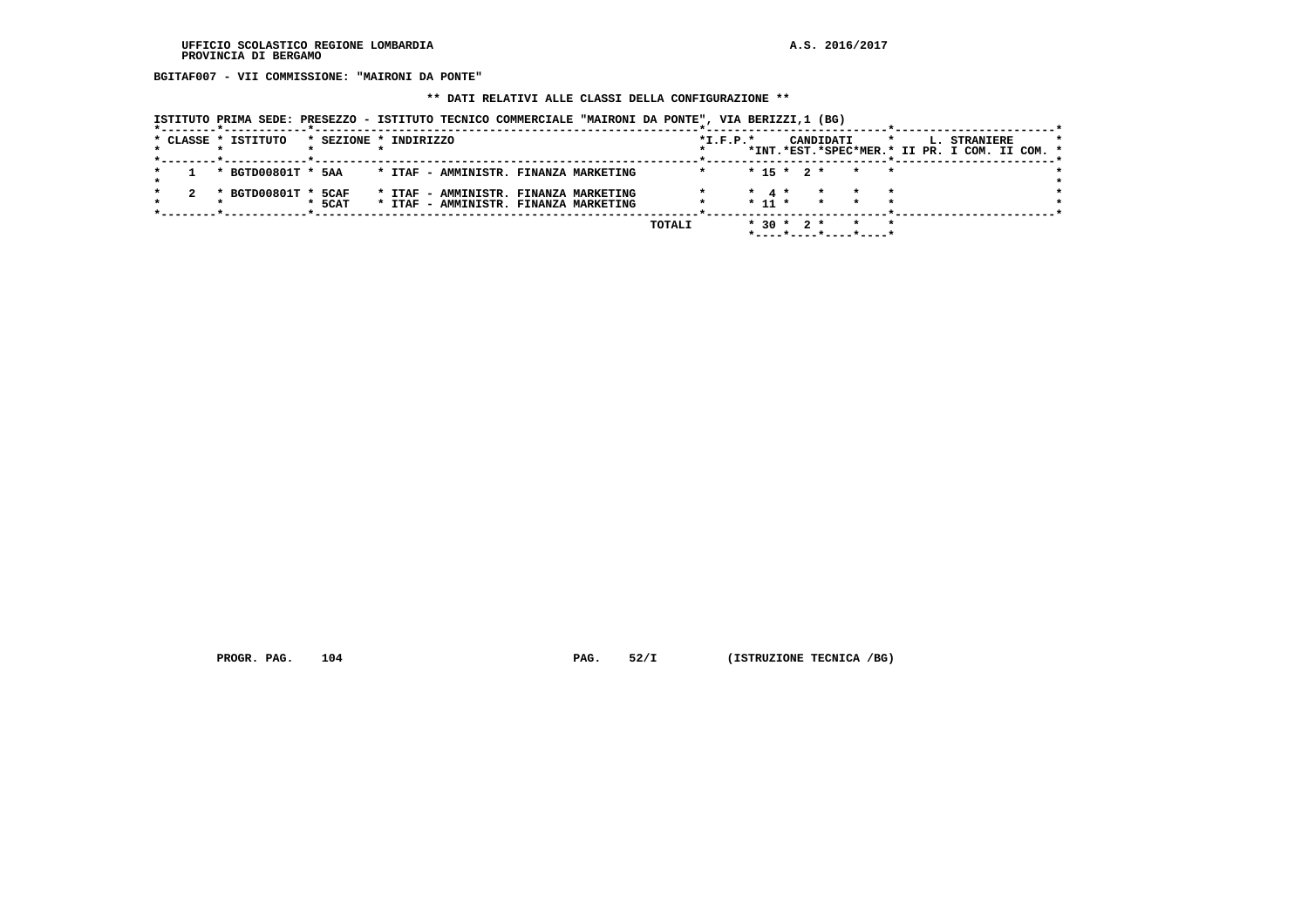**BGITAF007 - VII COMMISSIONE: "MAIRONI DA PONTE"**

# **\*\* DATI RELATIVI ALLE CLASSI DELLA CONFIGURAZIONE \*\***

|  | ISTITUTO PRIMA SEDE: PRESEZZO - ISTITUTO TECNICO COMMERCIALE "MAIRONI DA PONTE", VIA BERIZZI,1 (BG) |  |  |
|--|-----------------------------------------------------------------------------------------------------|--|--|
|--|-----------------------------------------------------------------------------------------------------|--|--|

|  | * CLASSE * ISTITUTO | * SEZIONE * INDIRIZZO |  |  |                                                                                |        | $*I.F.P.*$ |                               |  | CANDIDATI          | *INT.*EST.*SPEC*MER.* II PR. I COM. II COM. * | $\star$ |  | L. STRANIERE |  |  |
|--|---------------------|-----------------------|--|--|--------------------------------------------------------------------------------|--------|------------|-------------------------------|--|--------------------|-----------------------------------------------|---------|--|--------------|--|--|
|  |                     |                       |  |  |                                                                                |        |            |                               |  |                    |                                               |         |  |              |  |  |
|  | * BGTD00801T * 5AA  |                       |  |  | * ITAF - AMMINISTR. FINANZA MARKETING                                          |        |            | $* 15 * 2 *$                  |  |                    | $\star$ $\star$                               |         |  |              |  |  |
|  | * BGTD00801T * 5CAF | $*$ 5CAT              |  |  | * ITAF - AMMINISTR. FINANZA MARKETING<br>* ITAF - AMMINISTR. FINANZA MARKETING |        |            | $\star$ 4 $\star$<br>$* 11 *$ |  | $\star$<br>$\star$ | $\star$<br>$\star$                            |         |  |              |  |  |
|  |                     |                       |  |  |                                                                                | TOTALI |            | $*$ 30 $*$ 2 $*$              |  |                    | *----*----*----*----*                         |         |  |              |  |  |

 **PROGR. PAG.** 104 **PAG.** 52/I (ISTRUZIONE TECNICA /BG)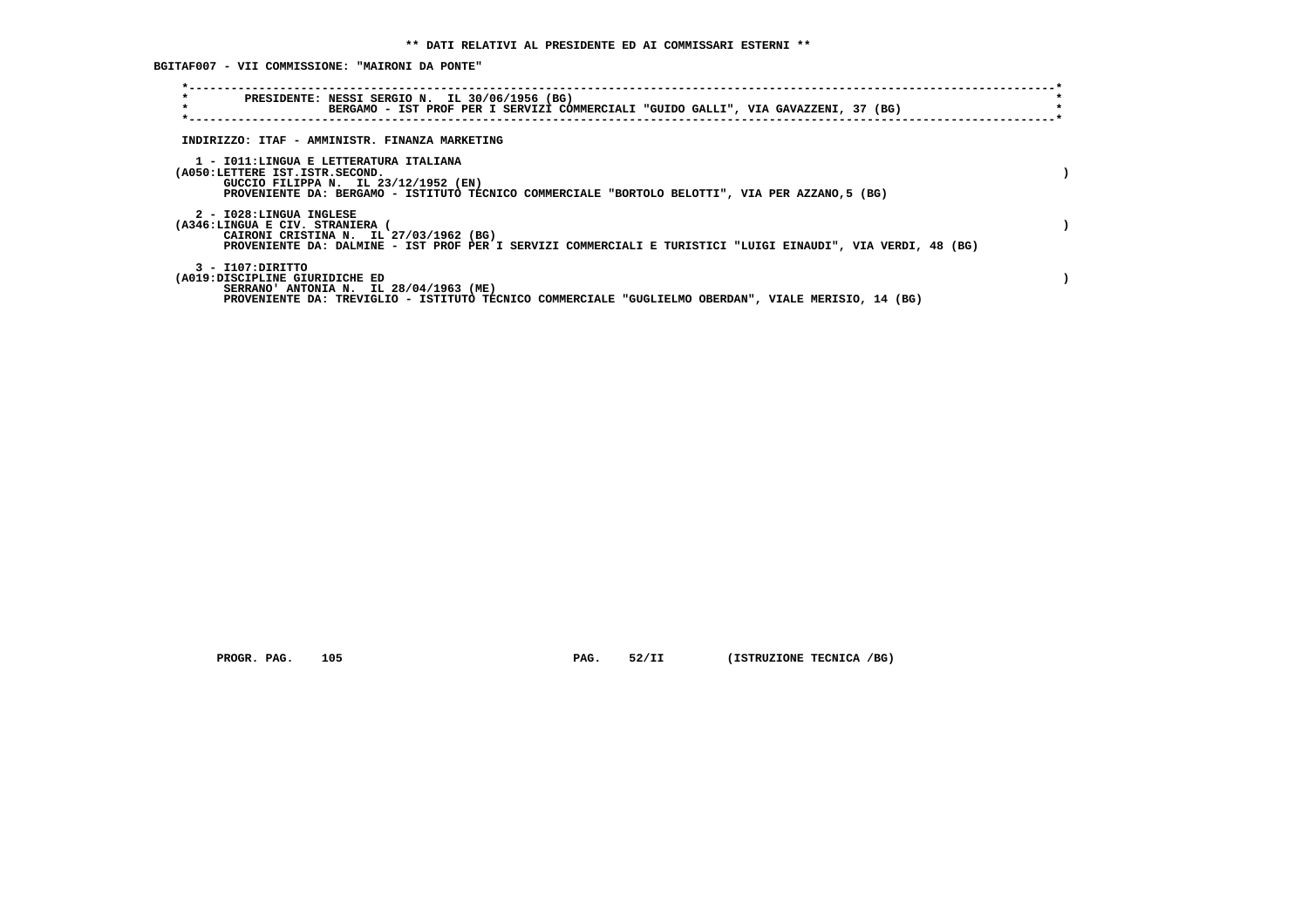**BGITAF007 - VII COMMISSIONE: "MAIRONI DA PONTE"**

| $\star$<br>PRESIDENTE: NESSI SERGIO N. IL 30/06/1956 (BG)<br>$\star$<br>BERGAMO - IST PROF PER I SERVIZI COMMERCIALI "GUIDO GALLI", VIA GAVAZZENI, 37 (BG)                                                          |  |
|---------------------------------------------------------------------------------------------------------------------------------------------------------------------------------------------------------------------|--|
| INDIRIZZO: ITAF - AMMINISTR. FINANZA MARKETING                                                                                                                                                                      |  |
| 1 - IO11:LINGUA E LETTERATURA ITALIANA<br>(A050:LETTERE IST.ISTR.SECOND.<br>GUCCIO FILIPPA N. IL 23/12/1952 (EN)<br>PROVENIENTE DA: BERGAMO - ISTITUTO TECNICO COMMERCIALE "BORTOLO BELOTTI", VIA PER AZZANO,5 (BG) |  |
| 2 - I028:LINGUA INGLESE<br>(A346:LINGUA E CIV. STRANIERA<br>CAIRONI CRISTINA N. IL 27/03/1962 (BG)<br>PROVENIENTE DA: DALMINE - IST PROF PER I SERVIZI COMMERCIALI E TURISTICI "LUIGI EINAUDI", VIA VERDI, 48 (BG)  |  |
| 3 - I107:DIRITTO<br>(A019:DISCIPLINE GIURIDICHE ED<br>SERRANO' ANTONIA N. IL 28/04/1963 (ME)<br>PROVENIENTE DA: TREVIGLIO - ISTITUTO TECNICO COMMERCIALE "GUGLIELMO OBERDAN", VIALE MERISIO, 14 (BG)                |  |

 **PROGR. PAG.** 105 **PAG.** 52/II (ISTRUZIONE TECNICA /BG)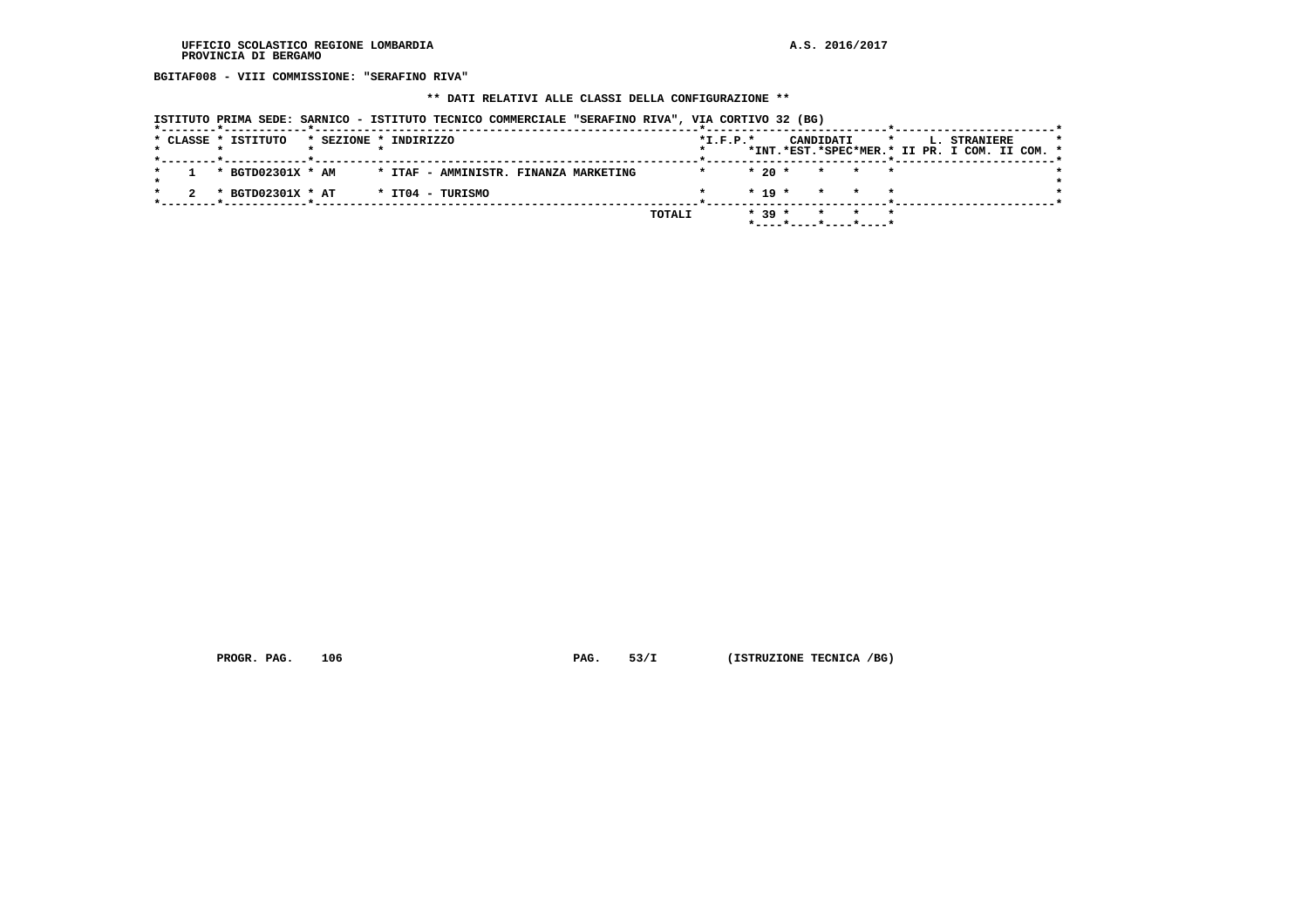**BGITAF008 - VIII COMMISSIONE: "SERAFINO RIVA"**

#### **\*\* DATI RELATIVI ALLE CLASSI DELLA CONFIGURAZIONE \*\***

| ISTITUTO PRIMA SEDE: SARNICO - ISTITUTO TECNICO COMMERCIALE "SERAFINO RIVA", VIA CORTIVO 32 (BG) |  |  |  |  |  |  |  |
|--------------------------------------------------------------------------------------------------|--|--|--|--|--|--|--|
|--------------------------------------------------------------------------------------------------|--|--|--|--|--|--|--|

|  | * CLASSE * ISTITUTO |  | * SEZIONE * INDIRIZZO                 |  |        | $*L.F.P.*$ |          |                                      | CANDIDATI |  |  | L. STRANIERE                                  |  |  |
|--|---------------------|--|---------------------------------------|--|--------|------------|----------|--------------------------------------|-----------|--|--|-----------------------------------------------|--|--|
|  |                     |  |                                       |  |        |            |          |                                      |           |  |  | *INT.*EST.*SPEC*MER.* II PR. I COM. II COM. * |  |  |
|  | * BGTD02301X * AM   |  | * ITAF - AMMINISTR. FINANZA MARKETING |  |        |            |          | $* 20 * * * * * * *$                 |           |  |  |                                               |  |  |
|  | * BGTD02301X * AT   |  | * IT04 - TURISMO                      |  |        |            |          | $* 19 * * * * * * *$                 |           |  |  |                                               |  |  |
|  |                     |  |                                       |  | TOTALI |            | $* 39 *$ |                                      |           |  |  |                                               |  |  |
|  |                     |  |                                       |  |        |            |          | $*$ ---- $*$ ---- $*$ ---- $*$ ----* |           |  |  |                                               |  |  |

 **PROGR. PAG.** 106 **PAG.** 53/I (ISTRUZIONE TECNICA /BG)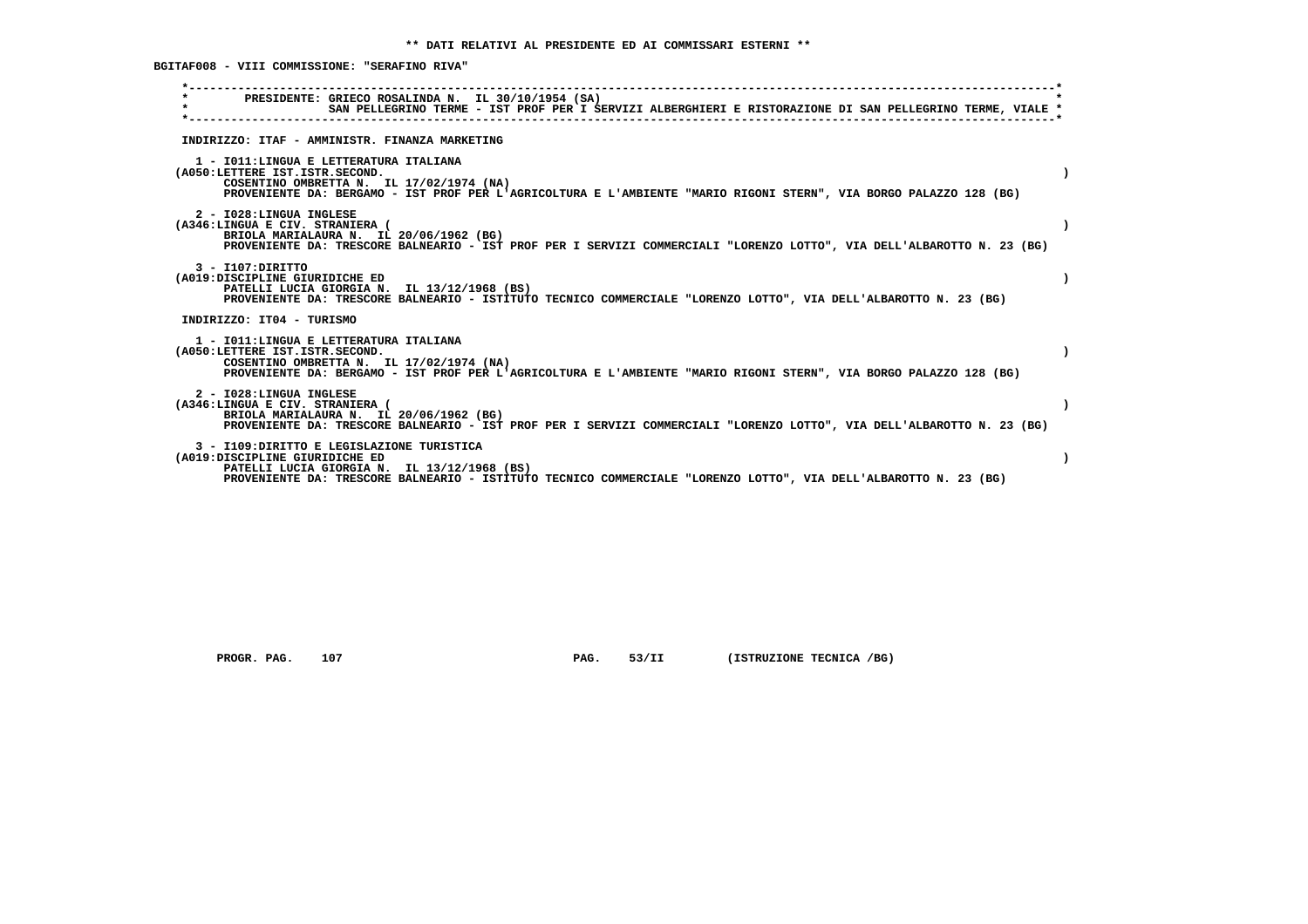**BGITAF008 - VIII COMMISSIONE: "SERAFINO RIVA"**

| PRESIDENTE: GRIECO ROSALINDA N. IL 30/10/1954 (SA)<br>SAN PELLEGRINO TERME - IST PROF PER I SERVIZI ALBERGHIERI E RISTORAZIONE DI SAN PELLEGRINO TERME, VIALE *                                                                                |
|------------------------------------------------------------------------------------------------------------------------------------------------------------------------------------------------------------------------------------------------|
| INDIRIZZO: ITAF - AMMINISTR. FINANZA MARKETING                                                                                                                                                                                                 |
| 1 - IO11: LINGUA E LETTERATURA ITALIANA<br>(A050:LETTERE IST.ISTR.SECOND.<br>COSENTINO OMBRETTA N. IL 17/02/1974 (NA)<br>PROVENIENTE DA: BERGAMO - IST PROF PER L'AGRICOLTURA E L'AMBIENTE "MARIO RIGONI STERN", VIA BORGO PALAZZO 128 (BG)    |
| 2 - I028:LINGUA INGLESE<br>(A346:LINGUA E CIV. STRANIERA (<br>BRIOLA MARIALAURA N. IL 20/06/1962 (BG)<br>PROVENIENTE DA: TRESCORE BALNEARIO - IST PROF PER I SERVIZI COMMERCIALI "LORENZO LOTTO", VIA DELL'ALBAROTTO N. 23 (BG)                |
| $3 - I107:DTRITTO$<br>(A019:DISCIPLINE GIURIDICHE ED<br>PATELLI LUCIA GIORGIA N. IL 13/12/1968 (BS)<br>PROVENIENTE DA: TRESCORE BALNEARIO - ISTITUTO TECNICO COMMERCIALE "LORENZO LOTTO", VIA DELL'ALBAROTTO N. 23 (BG)                        |
| INDIRIZZO: IT04 - TURISMO                                                                                                                                                                                                                      |
| 1 - IO11: LINGUA E LETTERATURA ITALIANA<br>(A050:LETTERE IST.ISTR.SECOND.<br>COSENTINO OMBRETTA N. IL 17/02/1974 (NA)<br>PROVENIENTE DA: BERGAMO - IST PROF PER L'AGRICOLTURA E L'AMBIENTE "MARIO RIGONI STERN", VIA BORGO PALAZZO 128 (BG)    |
| 2 - I028:LINGUA INGLESE<br>(A346:LINGUA E CIV. STRANIERA (<br>BRIOLA MARIALAURA N. IL 20/06/1962 (BG)<br>PROVENIENTE DA: TRESCORE BALNEARIO - IST PROF PER I SERVIZI COMMERCIALI "LORENZO LOTTO", VIA DELL'ALBAROTTO N. 23 (BG)                |
| 3 - I109:DIRITTO E LEGISLAZIONE TURISTICA<br>(A019:DISCIPLINE GIURIDICHE ED<br>PATELLI LUCIA GIORGIA N. IL 13/12/1968 (BS)<br>PROVENIENTE DA: TRESCORE BALNEARIO - ISTITUTO TECNICO COMMERCIALE "LORENZO LOTTO", VIA DELL'ALBAROTTO N. 23 (BG) |

 **PROGR. PAG.** 107 **PAG.** 53/II (ISTRUZIONE TECNICA /BG)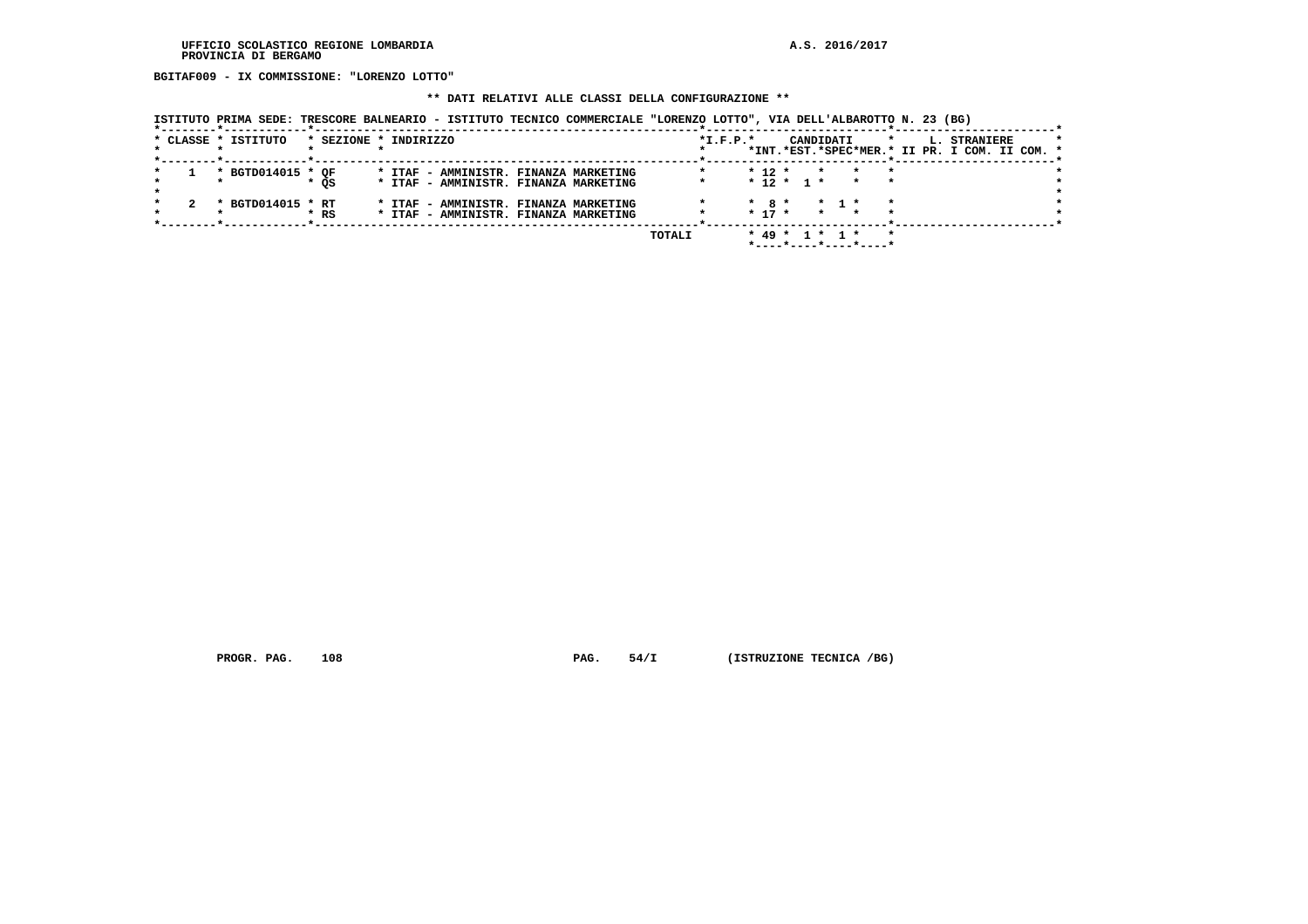**BGITAF009 - IX COMMISSIONE: "LORENZO LOTTO"**

#### **\*\* DATI RELATIVI ALLE CLASSI DELLA CONFIGURAZIONE \*\***

 **ISTITUTO PRIMA SEDE: TRESCORE BALNEARIO - ISTITUTO TECNICO COMMERCIALE "LORENZO LOTTO", VIA DELL'ALBAROTTO N. 23 (BG)**

|  | * CLASSE * ISTITUTO | * SEZIONE * INDIRIZZO |  |                                                                                |  |        | $*I.F.P.*$ |                       |              | CANDIDATI         |                       |  | L. STRANIERE | *INT.*EST.*SPEC*MER.* II PR. I COM. II COM. * |  |
|--|---------------------|-----------------------|--|--------------------------------------------------------------------------------|--|--------|------------|-----------------------|--------------|-------------------|-----------------------|--|--------------|-----------------------------------------------|--|
|  | * BGTD014015 * OF   | * OS                  |  | * ITAF - AMMINISTR. FINANZA MARKETING<br>* ITAF - AMMINISTR. FINANZA MARKETING |  |        |            | $* 12 *$              | $* 12 * 1 *$ | $\star$           |                       |  |              |                                               |  |
|  | * BGTD014015 * RT   | * RS                  |  | * ITAF - AMMINISTR. FINANZA MARKETING<br>* ITAF - AMMINISTR. FINANZA MARKETING |  |        |            | $*$ 8 $*$<br>$* 17 *$ |              | $\star$ 1 $\star$ |                       |  |              |                                               |  |
|  |                     |                       |  |                                                                                |  | TOTALI |            |                       |              | $* 49 * 1 * 1 *$  | *----*----*----*----* |  |              |                                               |  |

 **PROGR. PAG.** 108 **PAG.** 54/I (ISTRUZIONE TECNICA /BG)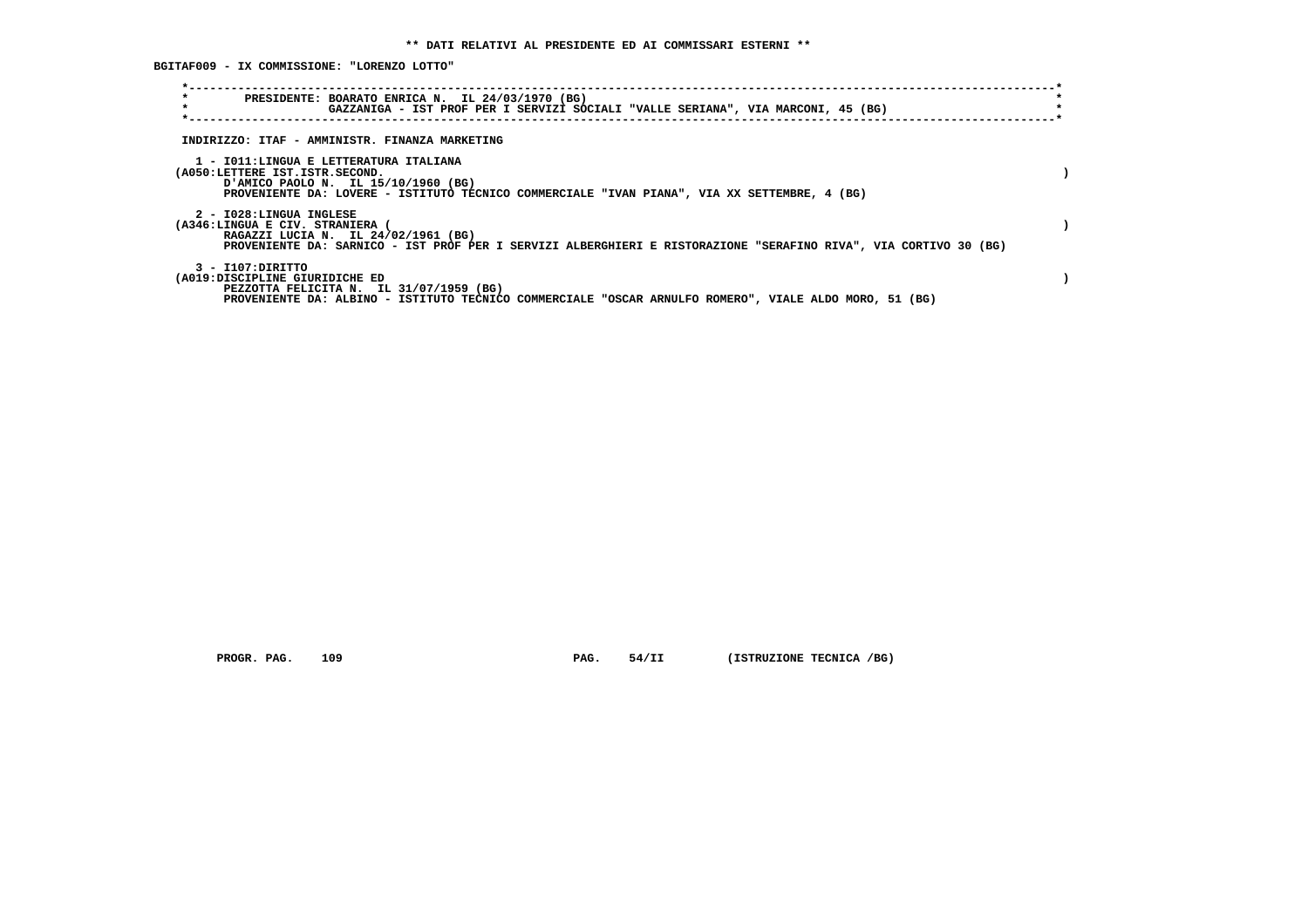**BGITAF009 - IX COMMISSIONE: "LORENZO LOTTO"**

| $\star$<br>PRESIDENTE: BOARATO ENRICA N. IL 24/03/1970 (BG)<br>$\star$<br>GAZZANIGA - IST PROF PER I SERVIZI SOCIALI "VALLE SERIANA", VIA MARCONI, 45 (BG)                                                            |  |
|-----------------------------------------------------------------------------------------------------------------------------------------------------------------------------------------------------------------------|--|
| INDIRIZZO: ITAF - AMMINISTR. FINANZA MARKETING                                                                                                                                                                        |  |
| 1 - IO11:LINGUA E LETTERATURA ITALIANA<br>(A050:LETTERE IST.ISTR.SECOND.<br>(BG) AMICO PAOLO N. IL 15/10/1960<br>PROVENIENTE DA: LOVERE - ISTITUTO TECNICO COMMERCIALE "IVAN PIANA", VIA XX SETTEMBRE, 4 (BG)         |  |
| 2 - I028:LINGUA INGLESE<br>(A346:LINGUA E CIV. STRANIERA (<br>RAGAZZI LUCIA N. IL 24/02/1961 (BG)<br>PROVENIENTE DA: SARNICO - IST PROF PER I SERVIZI ALBERGHIERI E RISTORAZIONE "SERAFINO RIVA", VIA CORTIVO 30 (BG) |  |
| 3 - I107: DIRITTO<br>(A019:DISCIPLINE GIURIDICHE ED<br>PEZZOTTA FELICITA N. IL 31/07/1959 (BG)<br>PROVENIENTE DA: ALBINO - ISTITUTO TECNICO COMMERCIALE "OSCAR ARNULFO ROMERO", VIALE ALDO MORO, 51 (BG)              |  |

 **PROGR. PAG.** 109 **PAG.** 54/II (ISTRUZIONE TECNICA /BG)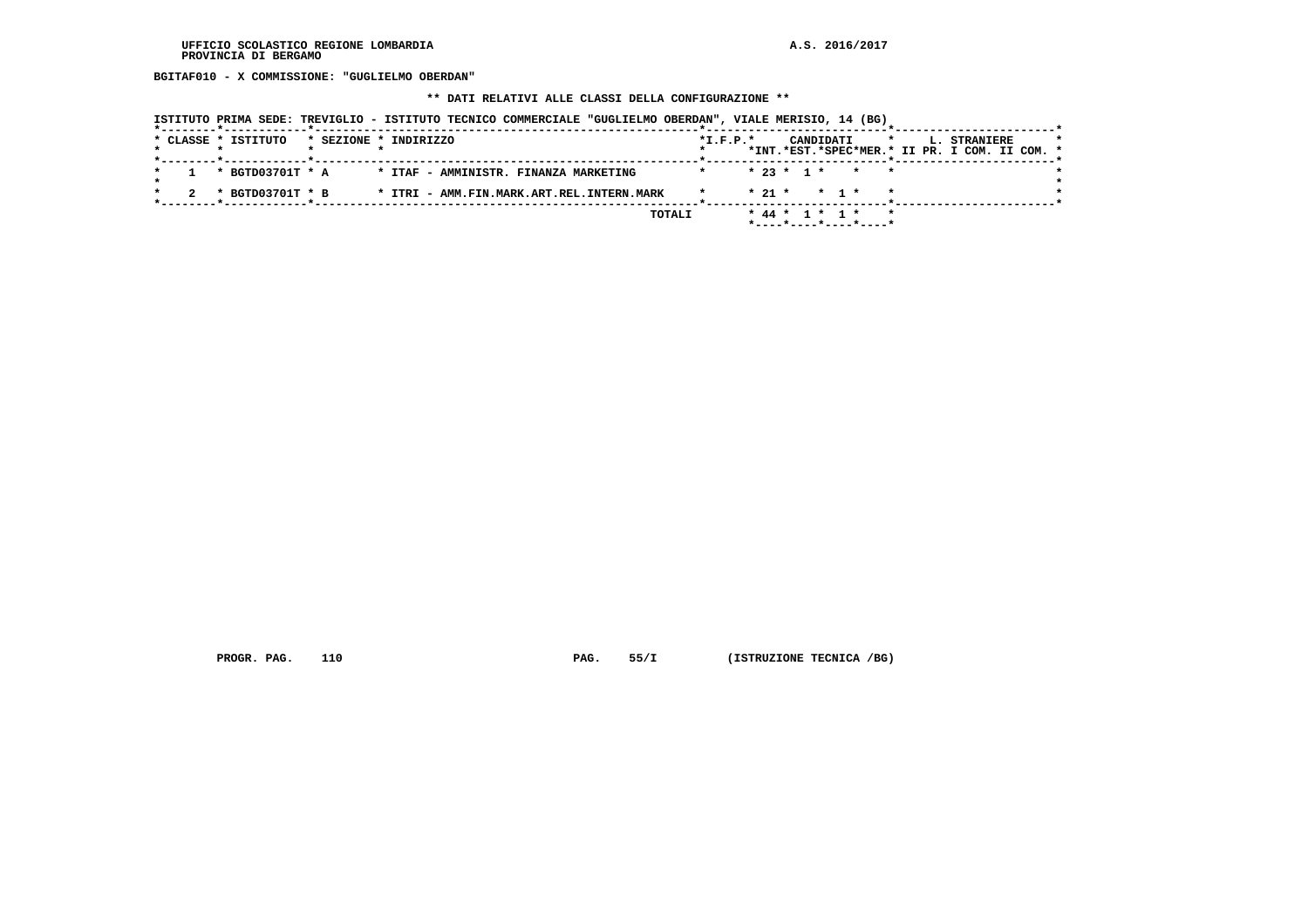**BGITAF010 - X COMMISSIONE: "GUGLIELMO OBERDAN"**

## **\*\* DATI RELATIVI ALLE CLASSI DELLA CONFIGURAZIONE \*\***

|                     | ISTITUTO PRIMA SEDE: TREVIGLIO - ISTITUTO TECNICO COMMERCIALE "GUGLIELMO OBERDAN", VIALE MERISIO, 14 (BG) |                                                                                                     |
|---------------------|-----------------------------------------------------------------------------------------------------------|-----------------------------------------------------------------------------------------------------|
| * CLASSE * ISTITUTO | * SEZIONE * INDIRIZZO                                                                                     | $*I.F.P.*$<br>CANDIDATI<br>L. STRANIERE<br>$\star$<br>*INT.*EST.*SPEC*MER.* II PR. I COM. II COM. * |
| * BGTD03701T * A    | * ITAF - AMMINISTR. FINANZA MARKETING                                                                     | $* 23 * 1 * * * * *$                                                                                |
| * BGTD03701T * B    | * ITRI - AMM.FIN.MARK.ART.REL.INTERN.MARK                                                                 | $* 21 * * 1 *$                                                                                      |
|                     | TOTALI                                                                                                    | * 44 * 1 * 1 *                                                                                      |
|                     |                                                                                                           | *----*----*----*----*                                                                               |

 **PROGR. PAG.** 110 **PAG.** 55/I (ISTRUZIONE TECNICA /BG)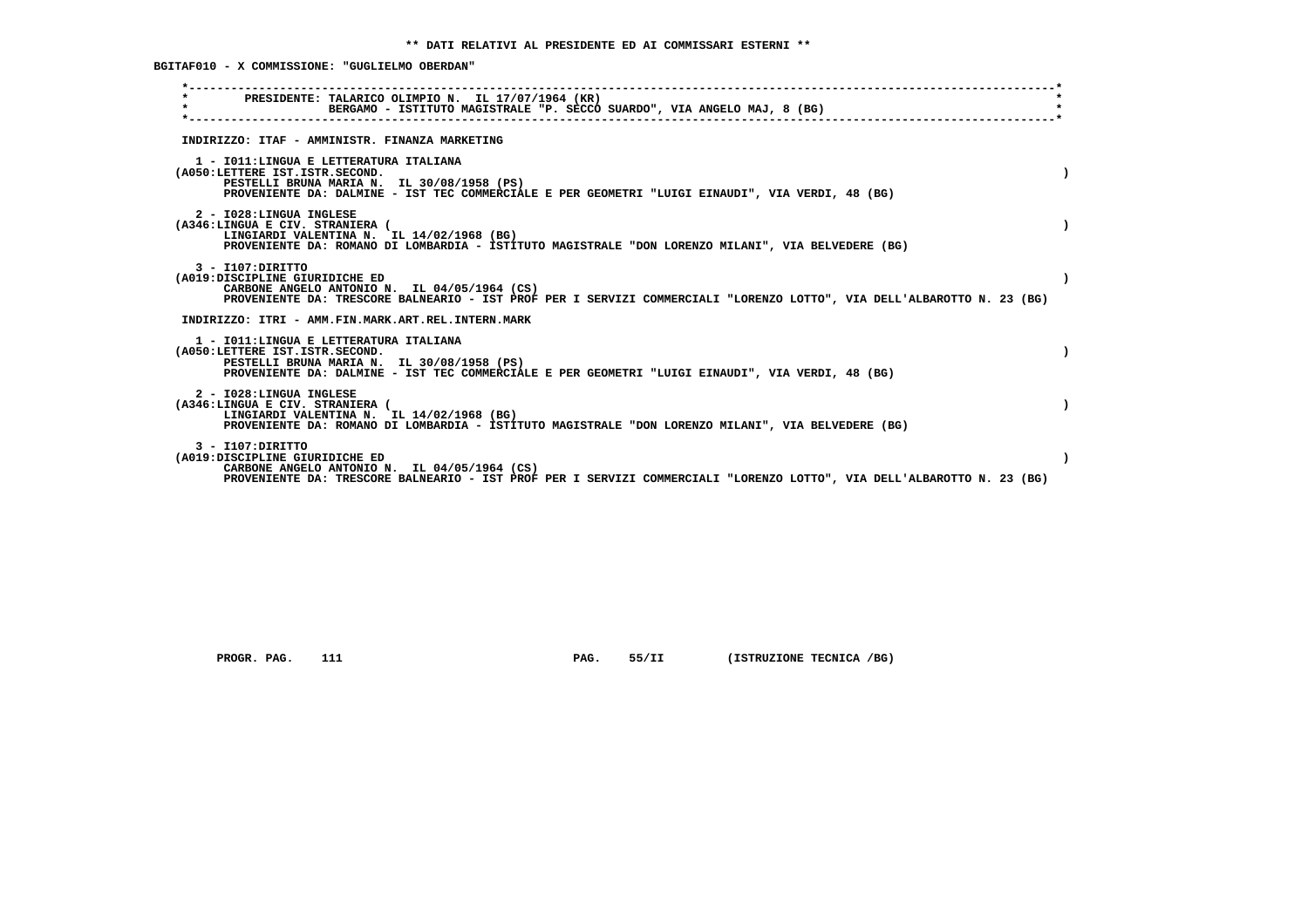**BGITAF010 - X COMMISSIONE: "GUGLIELMO OBERDAN"**

| PRESIDENTE: TALARICO OLIMPIO N. IL 17/07/1964 (KR)<br>BERGAMO - ISTITUTO MAGISTRALE "P. SECCO SUARDO", VIA ANGELO MAJ, 8 (BG)                                                                                                  |  |
|--------------------------------------------------------------------------------------------------------------------------------------------------------------------------------------------------------------------------------|--|
| INDIRIZZO: ITAF - AMMINISTR. FINANZA MARKETING                                                                                                                                                                                 |  |
| 1 - IO11: LINGUA E LETTERATURA ITALIANA<br>(A050:LETTERE IST.ISTR.SECOND.<br>PESTELLI BRUNA MARIA N. IL 30/08/1958 (PS)<br>PROVENIENTE DA: DALMINE - IST TEC COMMERCIALE E PER GEOMETRI "LUIGI EINAUDI", VIA VERDI, 48 (BG)    |  |
| 2 - I028:LINGUA INGLESE<br>(A346:LINGUA E CIV. STRANIERA (<br>LINGIARDI VALENTINA N. IL 14/02/1968 (BG)<br>PROVENIENTE DA: ROMANO DI LOMBARDIA - ISTITUTO MAGISTRALE "DON LORENZO MILANI", VIA BELVEDERE (BG)                  |  |
| $3 - I107:DTRITTO$<br>(A019:DISCIPLINE GIURIDICHE ED<br>CARBONE ANGELO ANTONIO N. IL 04/05/1964 (CS)<br>PROVENIENTE DA: TRESCORE BALNEARIO - IST PROF PER I SERVIZI COMMERCIALI "LORENZO LOTTO", VIA DELL'ALBAROTTO N. 23 (BG) |  |
| INDIRIZZO: ITRI - AMM.FIN.MARK.ART.REL.INTERN.MARK                                                                                                                                                                             |  |
| 1 - IO11: LINGUA E LETTERATURA ITALIANA<br>(A050:LETTERE IST.ISTR.SECOND.<br>PESTELLI BRUNA MARIA N. IL 30/08/1958 (PS)<br>PROVENIENTE DA: DALMINE - IST TEC COMMERCIALE E PER GEOMETRI "LUIGI EINAUDI", VIA VERDI, 48 (BG)    |  |
| 2 - I028:LINGUA INGLESE<br>(A346:LINGUA E CIV. STRANIERA (<br>LINGIARDI VALENTINA N. IL 14/02/1968 (BG)<br>PROVENIENTE DA: ROMANO DI LOMBARDIA - ISTITUTO MAGISTRALE "DON LORENZO MILANI", VIA BELVEDERE (BG)                  |  |
| $3 - I107:DTRITTO$<br>(A019:DISCIPLINE GIURIDICHE ED<br>CARBONE ANGELO ANTONIO N. IL 04/05/1964 (CS)<br>PROVENIENTE DA: TRESCORE BALNEARIO - IST PROF PER I SERVIZI COMMERCIALI "LORENZO LOTTO", VIA DELL'ALBAROTTO N. 23 (BG) |  |
|                                                                                                                                                                                                                                |  |

 **PROGR. PAG.** 111 **PAG.** 55/II (ISTRUZIONE TECNICA /BG)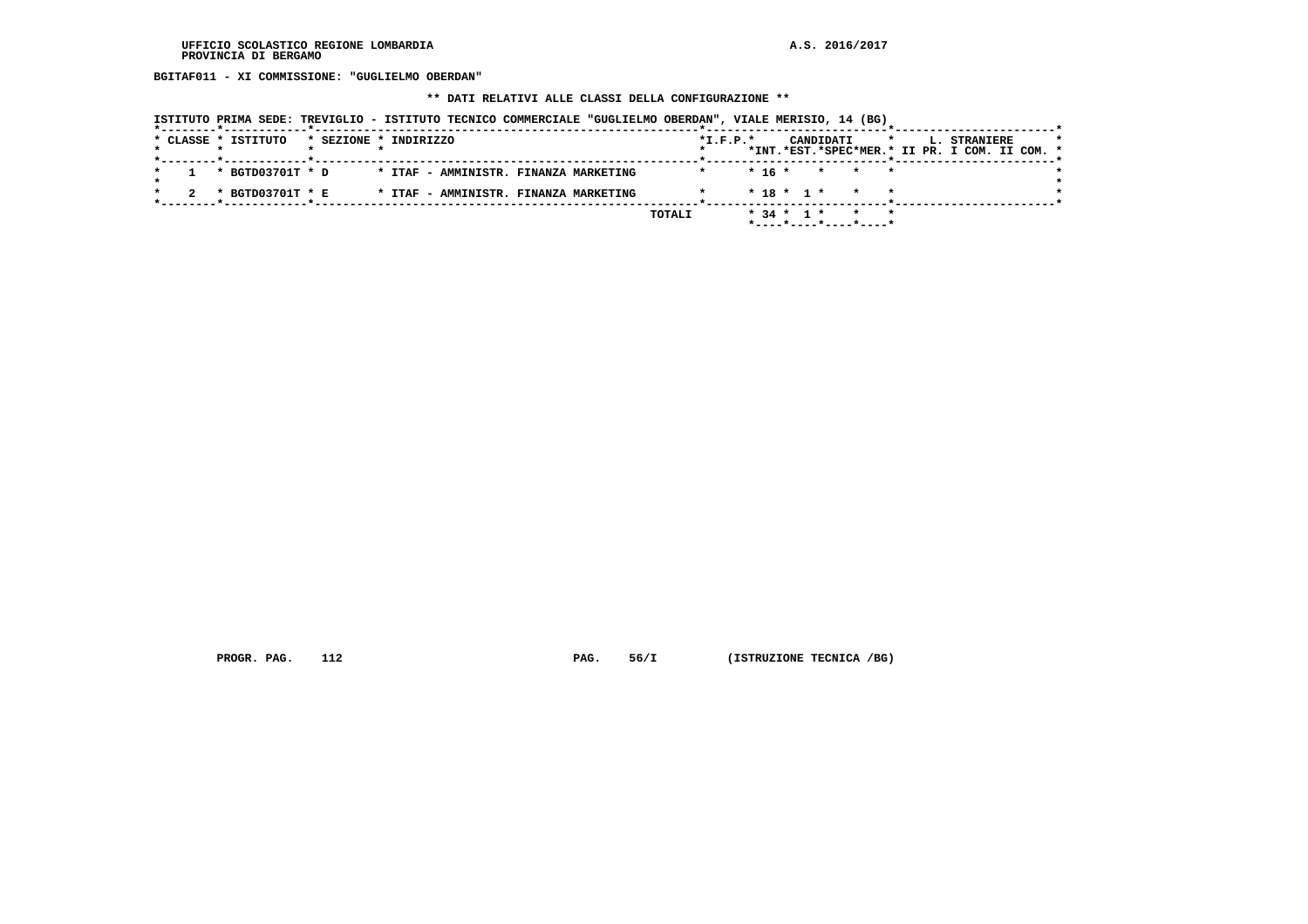**BGITAF011 - XI COMMISSIONE: "GUGLIELMO OBERDAN"**

#### **\*\* DATI RELATIVI ALLE CLASSI DELLA CONFIGURAZIONE \*\***

|                     |                       | ISTITUTO PRIMA SEDE: TREVIGLIO - ISTITUTO TECNICO COMMERCIALE "GUGLIELMO OBERDAN", VIALE MERISIO, 14 (BG) |         |                |                                                                        |         |                                                               |
|---------------------|-----------------------|-----------------------------------------------------------------------------------------------------------|---------|----------------|------------------------------------------------------------------------|---------|---------------------------------------------------------------|
| * CLASSE * ISTITUTO | * SEZIONE * INDIRIZZO |                                                                                                           |         | $*$ I.F.P. $*$ | CANDIDATI                                                              | $\star$ | L. STRANIERE<br>*INT.*EST.*SPEC*MER.* II PR. I COM. II COM. * |
|                     |                       |                                                                                                           |         |                |                                                                        |         |                                                               |
| * BGTD03701T * D    |                       | * ITAF - AMMINISTR. FINANZA MARKETING                                                                     | $\star$ | * 16 *         | * * *                                                                  |         |                                                               |
| * BGTD03701T * E    |                       | * ITAF - AMMINISTR. FINANZA MARKETING                                                                     |         |                | $*$ 18 $*$ 1 $*$                                                       |         |                                                               |
|                     |                       |                                                                                                           | TOTALI  | $* 34 * 1 *$   | $\star$ $\star$<br>$*$ - - - - $*$ - - - - $*$ - - - - $*$ - - - - $*$ |         |                                                               |

 **PROGR. PAG.** 112 **PAG.** 56/I (ISTRUZIONE TECNICA /BG)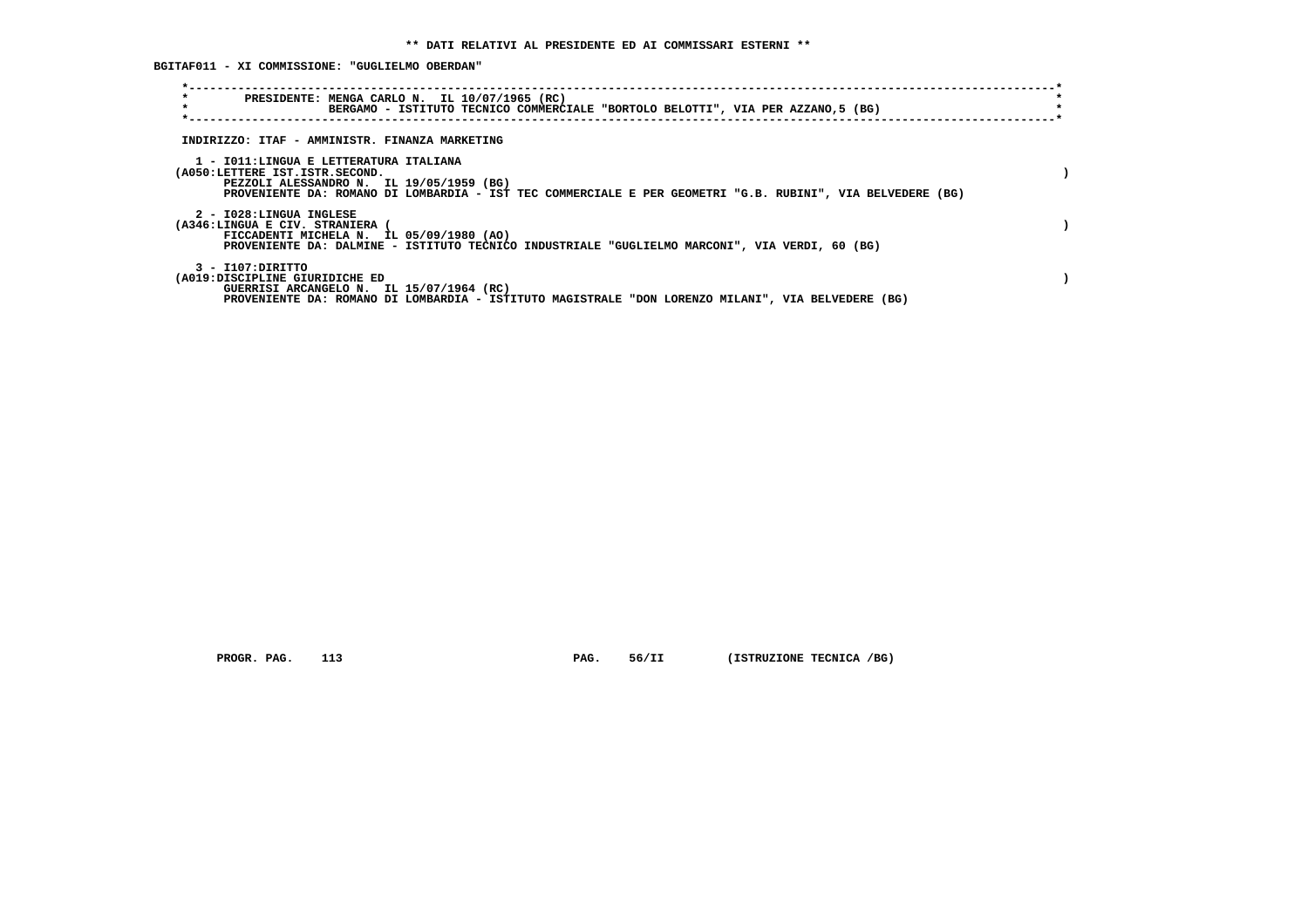**BGITAF011 - XI COMMISSIONE: "GUGLIELMO OBERDAN"**

| $\star$<br>PRESIDENTE: MENGA CARLO N. IL 10/07/1965 (RC)<br>$\star$<br>BERGAMO - ISTITUTO TECNICO COMMERCIALE "BORTOLO BELOTTI", VIA PER AZZANO,5 (BG)                                                                             |  |
|------------------------------------------------------------------------------------------------------------------------------------------------------------------------------------------------------------------------------------|--|
| INDIRIZZO: ITAF - AMMINISTR. FINANZA MARKETING                                                                                                                                                                                     |  |
| 1 - IO11:LINGUA E LETTERATURA ITALIANA<br>(A050:LETTERE IST.ISTR.SECOND.<br>PEZZOLI ALESSANDRO N. IL 19/05/1959 (BG)<br>PROVENIENTE DA: ROMANO DI LOMBARDIA - IST TEC COMMERCIALE E PER GEOMETRI "G.B. RUBINI", VIA BELVEDERE (BG) |  |
| 2 - I028:LINGUA INGLESE<br>(A346:LINGUA E CIV. STRANIERA<br>FICCADENTI MICHELA N. IL 05/09/1980 (AO)<br>PROVENIENTE DA: DALMINE - ISTITUTO TECNICO INDUSTRIALE "GUGLIELMO MARCONI", VIA VERDI, 60 (BG)                             |  |
| 3 - I107:DIRITTO<br>(A019:DISCIPLINE GIURIDICHE ED<br>GUERRISI ARCANGELO N. IL 15/07/1964 (RC)<br>PROVENIENTE DA: ROMANO DI LOMBARDIA - ISTITUTO MAGISTRALE "DON LORENZO MILANI", VIA BELVEDERE (BG)                               |  |

 **PROGR. PAG.** 113 **PAG.** 56/II (ISTRUZIONE TECNICA /BG)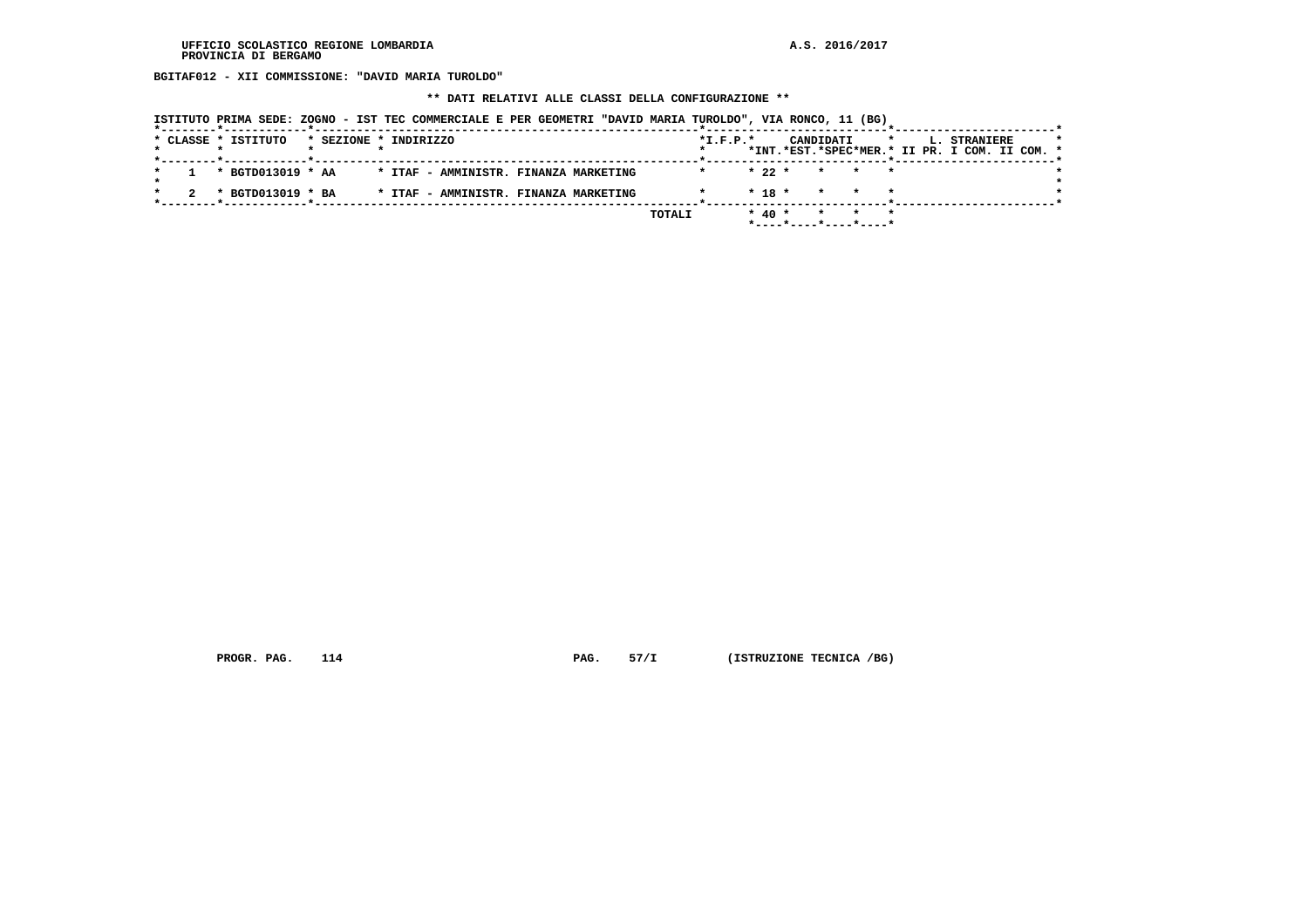**BGITAF012 - XII COMMISSIONE: "DAVID MARIA TUROLDO"**

## **\*\* DATI RELATIVI ALLE CLASSI DELLA CONFIGURAZIONE \*\***

|  | * CLASSE * ISTITUTO | * SEZIONE * INDIRIZZO |  |  |                                       |        | $*L.F.P.*$ |            | CANDIDATI | $\mathbf{x}$ |  | <b>L. STRANIERE</b><br>*INT.*EST.*SPEC*MER.* II PR. I COM. II COM. * |  | $\star$ |
|--|---------------------|-----------------------|--|--|---------------------------------------|--------|------------|------------|-----------|--------------|--|----------------------------------------------------------------------|--|---------|
|  | * BGTD013019 * AA   |                       |  |  | * ITAF - AMMINISTR. FINANZA MARKETING |        |            | $*22*$     |           | * * *        |  |                                                                      |  |         |
|  | * BGTD013019 * BA   |                       |  |  | * ITAF - AMMINISTR. FINANZA MARKETING |        |            | $*$ 18 $*$ |           | * * *        |  |                                                                      |  |         |
|  |                     |                       |  |  |                                       | TOTALI |            | $*$ 40 $*$ |           | * * *        |  |                                                                      |  |         |

 **PROGR. PAG.** 114 **PAG.** 57/I (ISTRUZIONE TECNICA /BG)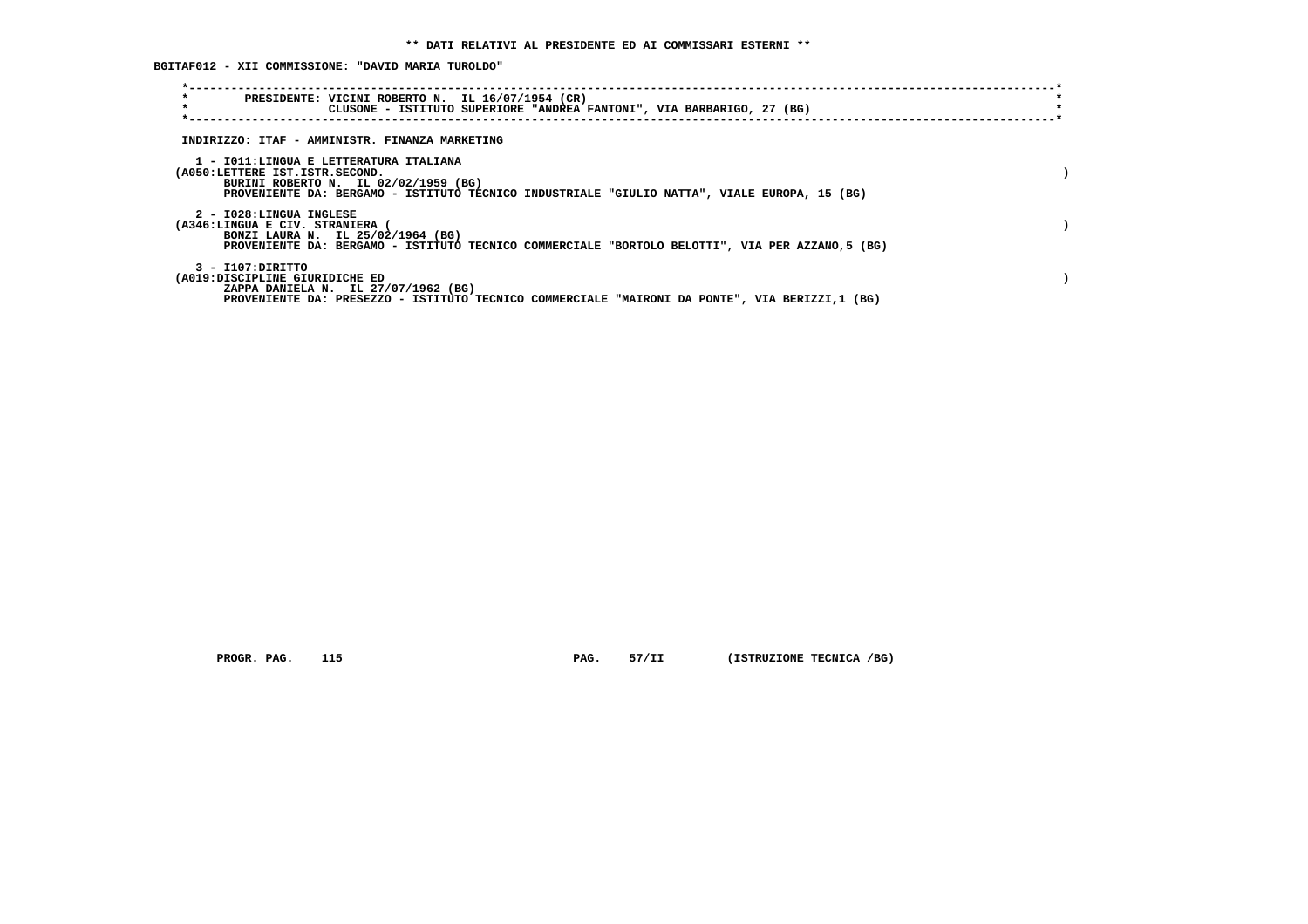**BGITAF012 - XII COMMISSIONE: "DAVID MARIA TUROLDO"**

| $\star$<br>$\star$                                                       | PRESIDENTE: VICINI ROBERTO N. IL 16/07/1954 (CR)<br>CLUSONE - ISTITUTO SUPERIORE "ANDREA FANTONI", VIA BARBARIGO, 27 (BG)             |  |
|--------------------------------------------------------------------------|---------------------------------------------------------------------------------------------------------------------------------------|--|
|                                                                          | INDIRIZZO: ITAF - AMMINISTR. FINANZA MARKETING                                                                                        |  |
| 1 - IO11:LINGUA E LETTERATURA ITALIANA<br>(A050:LETTERE IST.ISTR.SECOND. | BURINI ROBERTO N. IL 02/02/1959 (BG)<br>PROVENIENTE DA: BERGAMO - ISTITUTO TECNICO INDUSTRIALE "GIULIO NATTA", VIALE EUROPA, 15 (BG)  |  |
| 2 - I028:LINGUA INGLESE<br>(A346:LINGUA E CIV. STRANIERA (               | BONZI LAURA N. IL 25/02/1964 (BG)<br>PROVENIENTE DA: BERGAMO - ISTITUTO TECNICO COMMERCIALE "BORTOLO BELOTTI", VIA PER AZZANO,5 (BG)  |  |
| 3 - I107:DIRITTO<br>(A019:DISCIPLINE GIURIDICHE ED                       | ZAPPA DANIELA N. IL 27/07/1962 (BG)<br>PROVENIENTE DA: PRESEZZO - ISTITUTO TECNICO COMMERCIALE "MAIRONI DA PONTE", VIA BERIZZI,1 (BG) |  |

 **PROGR. PAG.** 115 **PAG.** 57/II (ISTRUZIONE TECNICA /BG)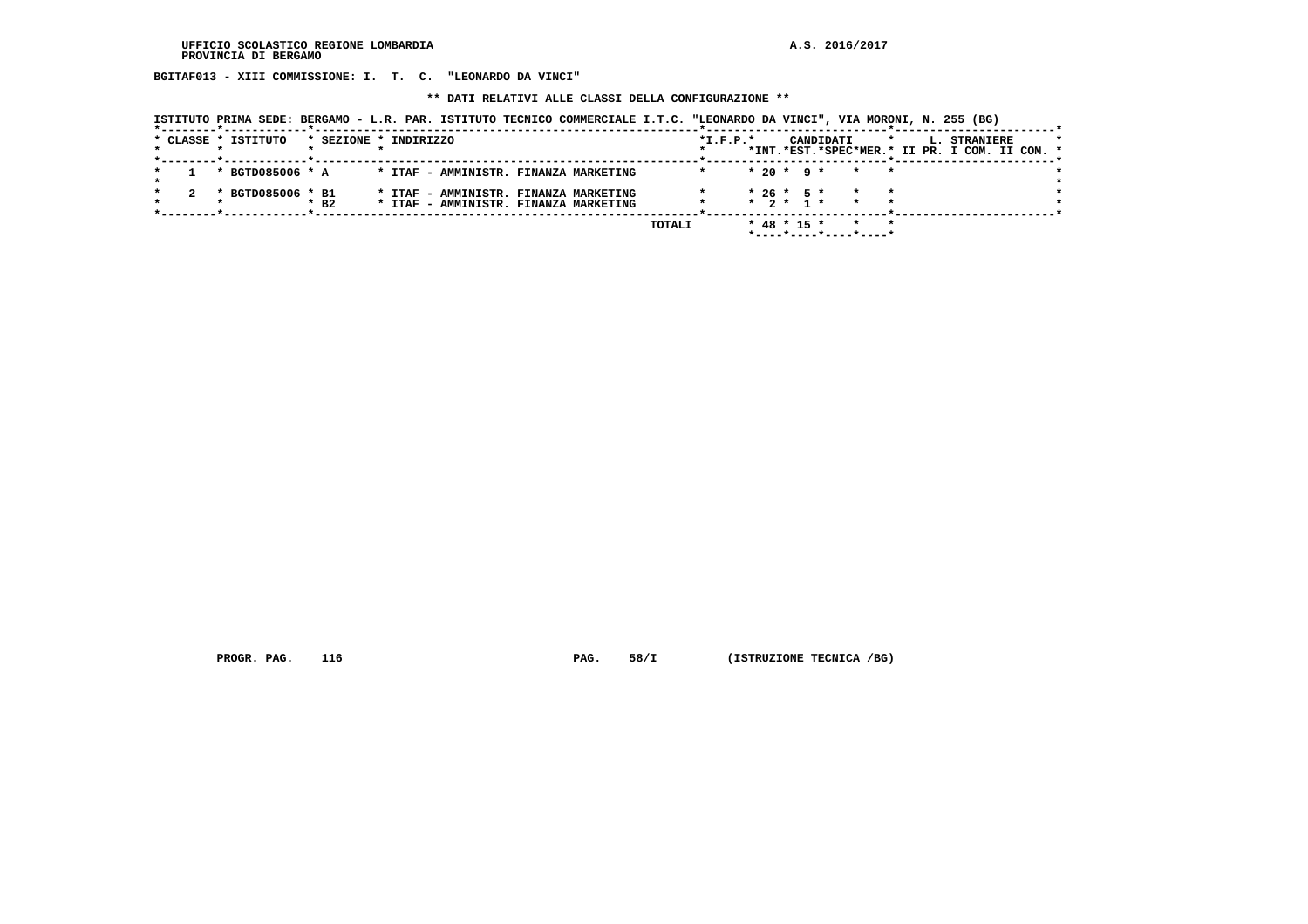**BGITAF013 - XIII COMMISSIONE: I. T. C. "LEONARDO DA VINCI"**

 **\*\* DATI RELATIVI ALLE CLASSI DELLA CONFIGURAZIONE \*\***

| ISTITUTO PRIMA SEDE: BERGAMO - L.R. PAR. ISTITUTO TECNICO COMMERCIALE I.T.C. "LEONARDO DA VINCI", VIA MORONI, N. 255 (BG) |  |  |
|---------------------------------------------------------------------------------------------------------------------------|--|--|
|                                                                                                                           |  |  |

| * CLASSE * ISTITUTO |                   |                    | * SEZIONE * INDIRIZZO |  |                                                                                |  |        | $*I.F.P.*$ |  |  | CANDIDATI                                                           | $\star$ | L. STRANIERE<br>*INT.*EST.*SPEC*MER.* II PR. I COM. II COM. * |  |  |
|---------------------|-------------------|--------------------|-----------------------|--|--------------------------------------------------------------------------------|--|--------|------------|--|--|---------------------------------------------------------------------|---------|---------------------------------------------------------------|--|--|
|                     | * BGTD085006 * A  |                    |                       |  | * ITAF - AMMINISTR. FINANZA MARKETING                                          |  |        |            |  |  | $* 20 * 9 * * * * *$                                                |         |                                                               |  |  |
|                     | * BGTD085006 * B1 | $*$ B <sub>2</sub> |                       |  | * ITAF - AMMINISTR. FINANZA MARKETING<br>* ITAF - AMMINISTR. FINANZA MARKETING |  |        |            |  |  | $* 26 * 5 * * * * *$<br>$\star$ 2 $\star$ 1 $\star$ $\star$ $\star$ |         |                                                               |  |  |
|                     |                   |                    |                       |  |                                                                                |  | TOTALI |            |  |  | $*$ 48 $*$ 15 $*$ $*$ $*$<br>*----*----*----*----*                  |         |                                                               |  |  |

 **PROGR. PAG.** 116 **PAG.** 58/I (ISTRUZIONE TECNICA /BG)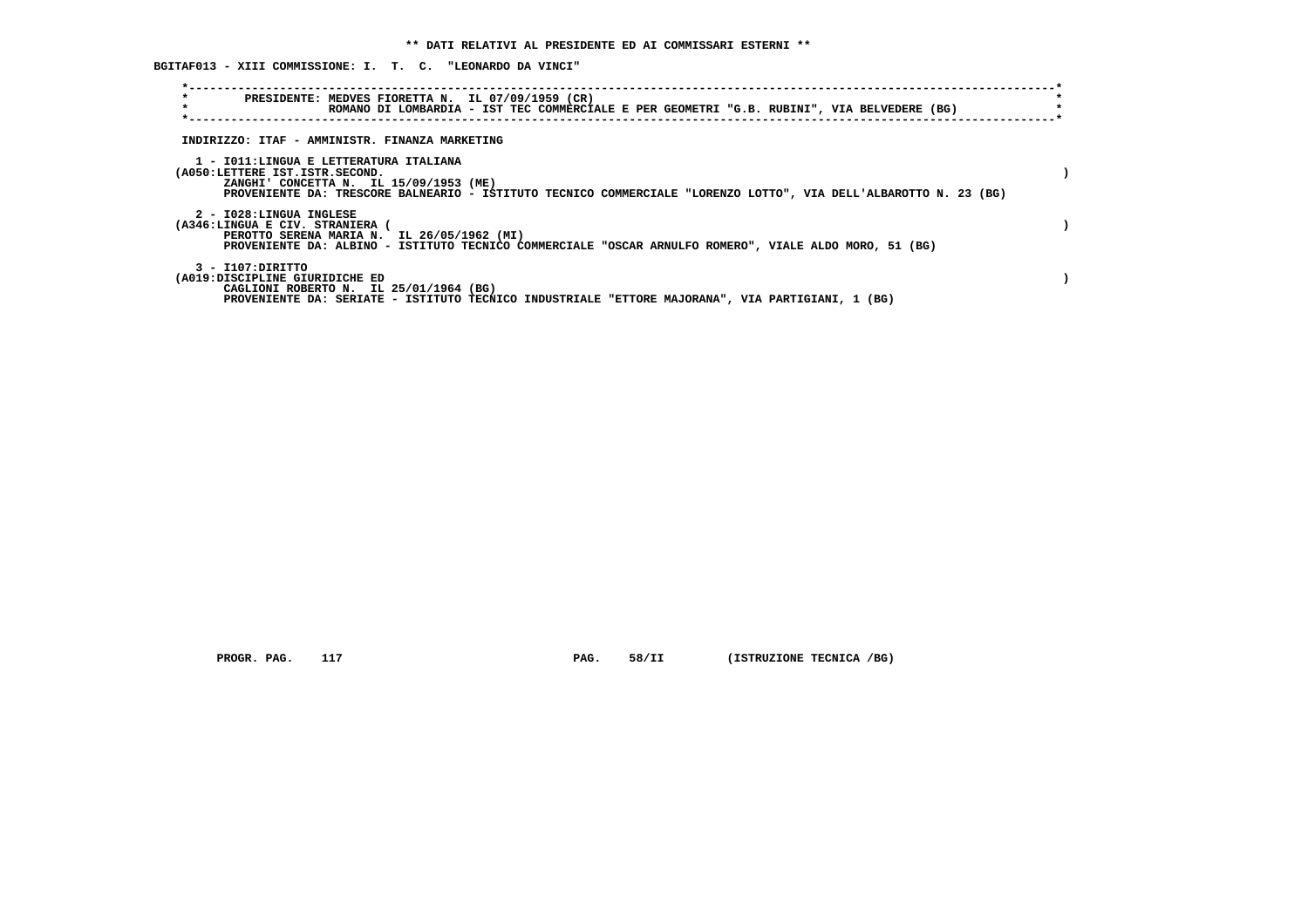**BGITAF013 - XIII COMMISSIONE: I. T. C. "LEONARDO DA VINCI"**

| $\star$<br>PRESIDENTE: MEDVES FIORETTA N. IL 07/09/1959 (CR)<br>$\star$<br>ROMANO DI LOMBARDIA - IST TEC COMMERCIALE E PER GEOMETRI "G.B. RUBINI", VIA BELVEDERE (BG)                                                                  |  |
|----------------------------------------------------------------------------------------------------------------------------------------------------------------------------------------------------------------------------------------|--|
| INDIRIZZO: ITAF - AMMINISTR. FINANZA MARKETING                                                                                                                                                                                         |  |
| 1 - IO11:LINGUA E LETTERATURA ITALIANA<br>(A050:LETTERE IST.ISTR.SECOND.<br>ZANGHI' CONCETTA N. IL 15/09/1953 (ME)<br>PROVENIENTE DA: TRESCORE BALNEARIO - ISTITUTO TECNICO COMMERCIALE "LORENZO LOTTO", VIA DELL'ALBAROTTO N. 23 (BG) |  |
| 2 - I028:LINGUA INGLESE<br>(A346:LINGUA E CIV. STRANIERA (<br>PEROTTO SERENA MARIA N. IL 26/05/1962 (MI)<br>PROVENIENTE DA: ALBINO - ISTITUTO TECNICO COMMERCIALE "OSCAR ARNULFO ROMERO", VIALE ALDO MORO, 51 (BG)                     |  |
| 3 - I107:DIRITTO<br>(A019:DISCIPLINE GIURIDICHE ED<br>CAGLIONI ROBERTO N. IL 25/01/1964 (BG)<br>PROVENIENTE DA: SERIATE - ISTITUTO TECNICO INDUSTRIALE "ETTORE MAJORANA", VIA PARTIGIANI, 1 (BG)                                       |  |

 **PROGR. PAG.** 117 **PAG.** 58/II (ISTRUZIONE TECNICA /BG)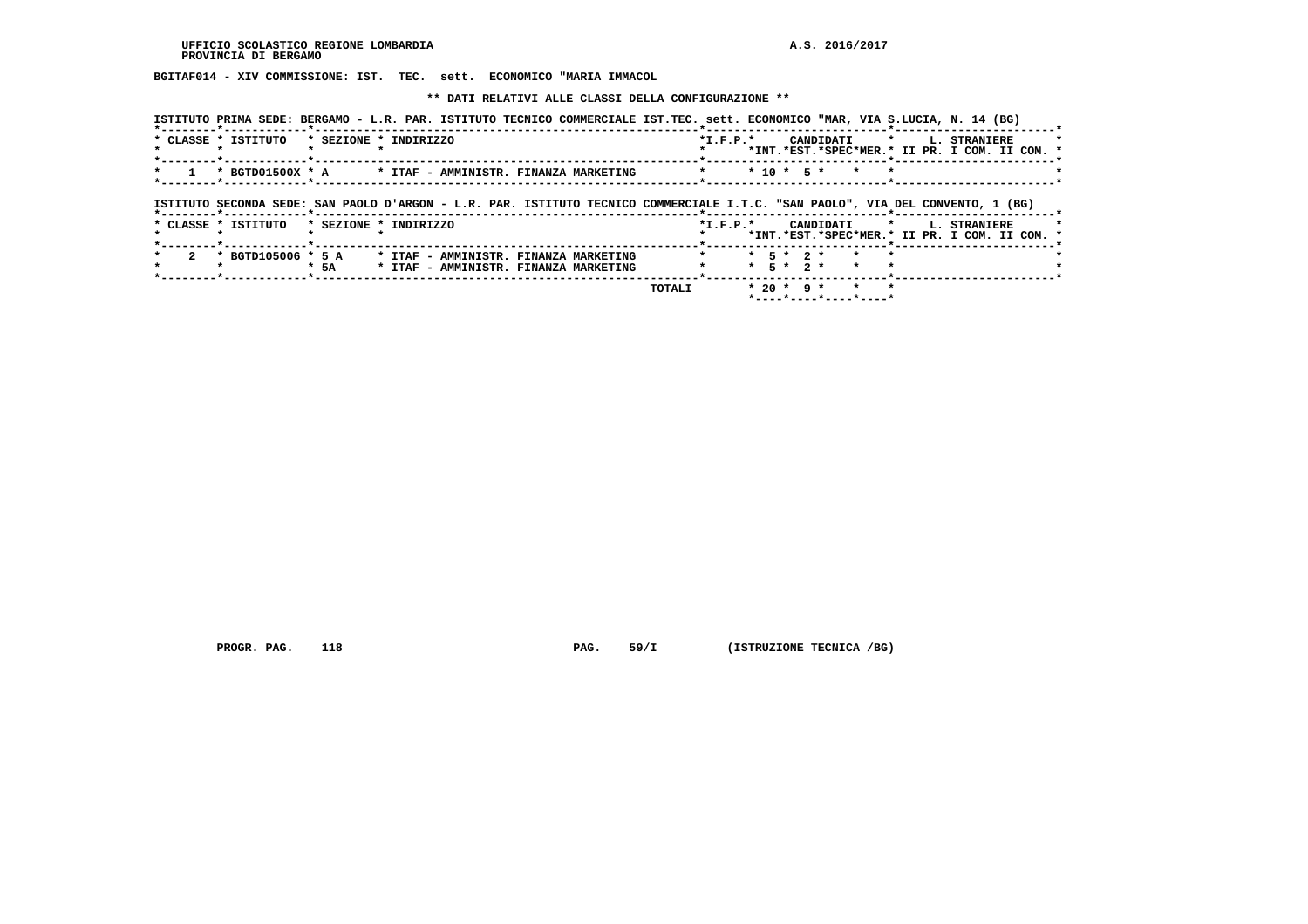**BGITAF014 - XIV COMMISSIONE: IST. TEC. sett. ECONOMICO "MARIA IMMACOL**

 **\*\* DATI RELATIVI ALLE CLASSI DELLA CONFIGURAZIONE \*\***

|                     |                                                                                        | ISTITUTO PRIMA SEDE: BERGAMO - L.R. PAR. ISTITUTO TECNICO COMMERCIALE IST.TEC. sett. ECONOMICO "MAR, VIA S.LUCIA, N. 14 (BG)   |
|---------------------|----------------------------------------------------------------------------------------|--------------------------------------------------------------------------------------------------------------------------------|
| * CLASSE * ISTITUTO | * SEZIONE * INDIRIZZO                                                                  | $*I.F.P.*$<br>$\star$<br>L. STRANIERE<br>CANDIDATI<br>*INT.*EST.*SPEC*MER.* II PR. I COM. II COM. *                            |
| * BGTD01500X * A    | * ITAF - AMMINISTR. FINANZA MARKETING                                                  | $* 10 * 5 *$                                                                                                                   |
|                     |                                                                                        | ISTITUTO SECONDA SEDE: SAN PAOLO D'ARGON - L.R. PAR. ISTITUTO TECNICO COMMERCIALE I.T.C. "SAN PAOLO", VIA DEL CONVENTO, 1 (BG) |
| * CLASSE * ISTITUTO | * SEZIONE * INDIRIZZO                                                                  | $\star$<br>$*$ I.F.P. $*$<br>CANDIDATI<br>L. STRANIERE<br>*INT.*EST.*SPEC*MER.* II PR. I COM. II COM. *                        |
| * BGTD105006 * 5 A  | * ITAF - AMMINISTR. FINANZA MARKETING<br>* 5A<br>* ITAF - AMMINISTR. FINANZA MARKETING | $*$ 5 $*$ 2 $*$<br>$* 5 * 2 *$                                                                                                 |
|                     |                                                                                        | $* 20 * 9 *$<br>TOTALI                                                                                                         |

 **\*----\*----\*----\*----\***

 **PROGR. PAG.** 118 **PAG.** 59/I (ISTRUZIONE TECNICA /BG)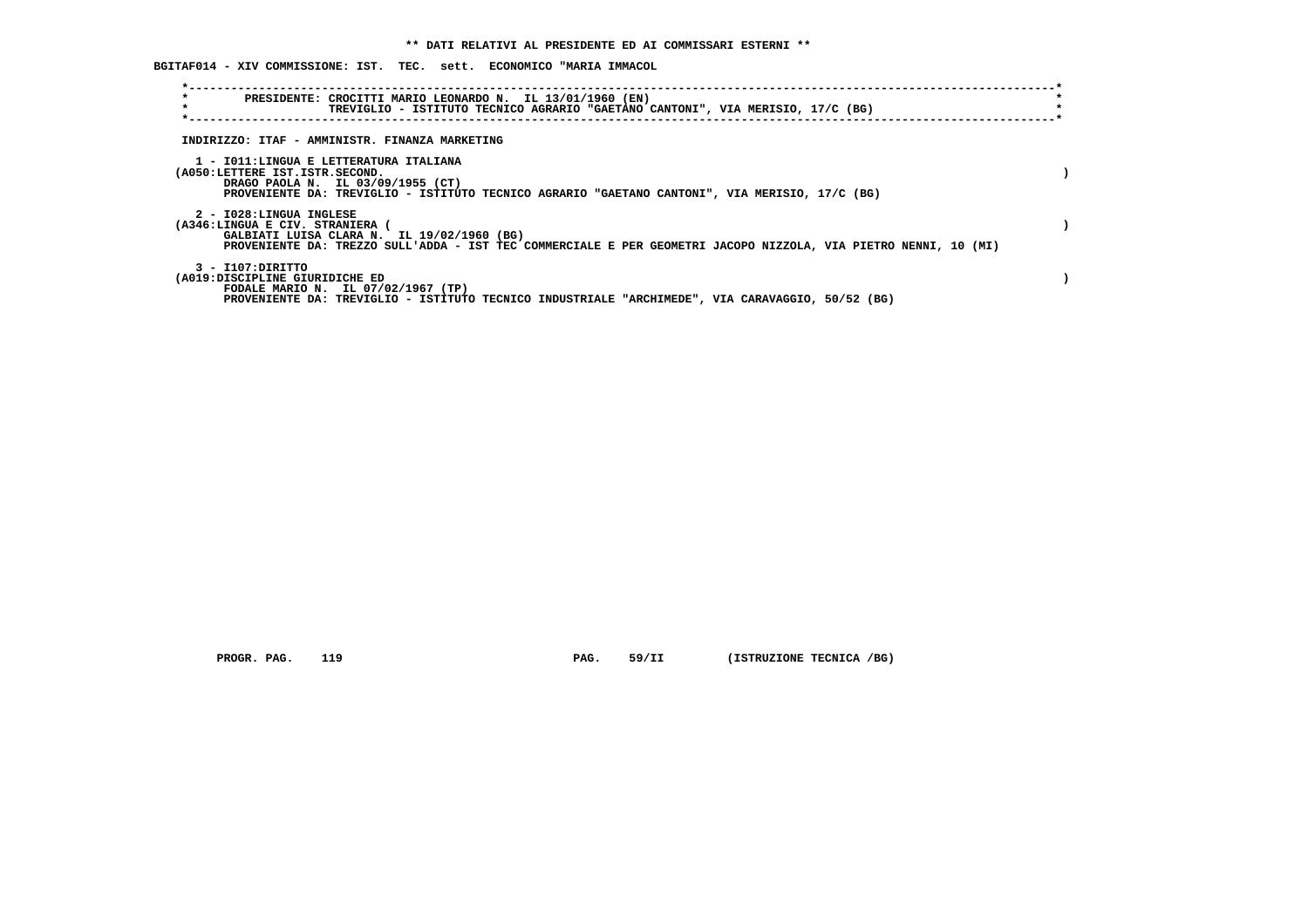|  |  | BGITAF014 - XIV COMMISSIONE: IST.  TEC.  sett.  ECONOMICO "MARIA IMMACOL |  |  |  |  |  |  |
|--|--|--------------------------------------------------------------------------|--|--|--|--|--|--|
|--|--|--------------------------------------------------------------------------|--|--|--|--|--|--|

| $\star$<br>$\star$                                                       | PRESIDENTE: CROCITTI MARIO LEONARDO N. IL 13/01/1960 (EN)<br>TREVIGLIO - ISTITUTO TECNICO AGRARIO "GAETANO CANTONI", VIA MERISIO, 17/C (BG)                   |  |
|--------------------------------------------------------------------------|---------------------------------------------------------------------------------------------------------------------------------------------------------------|--|
|                                                                          | INDIRIZZO: ITAF - AMMINISTR. FINANZA MARKETING                                                                                                                |  |
| 1 - IO11:LINGUA E LETTERATURA ITALIANA<br>(A050:LETTERE IST.ISTR.SECOND. | DRAGO PAOLA N. IL 03/09/1955 (CT)<br>PROVENIENTE DA: TREVIGLIO - ISTITUTO TECNICO AGRARIO "GAETANO CANTONI", VIA MERISIO, 17/C (BG)                           |  |
| 2 - I028:LINGUA INGLESE<br>(A346:LINGUA E CIV. STRANIERA                 | GALBIATI LUISA CLARA N. IL 19/02/1960 (BG)<br>PROVENIENTE DA: TREZZO SULL'ADDA - IST TEC COMMERCIALE E PER GEOMETRI JACOPO NIZZOLA, VIA PIETRO NENNI, 10 (MI) |  |
| $3 - I107:$ DIRITTO<br>(A019:DISCIPLINE GIURIDICHE ED                    | FODALE MARIO N. IL 07/02/1967 (TP)<br>PROVENIENTE DA: TREVIGLIO - ISTITUTO TECNICO INDUSTRIALE "ARCHIMEDE", VIA CARAVAGGIO, 50/52 (BG)                        |  |

 **PROGR. PAG.** 119 **PAG.** 59/II (ISTRUZIONE TECNICA /BG)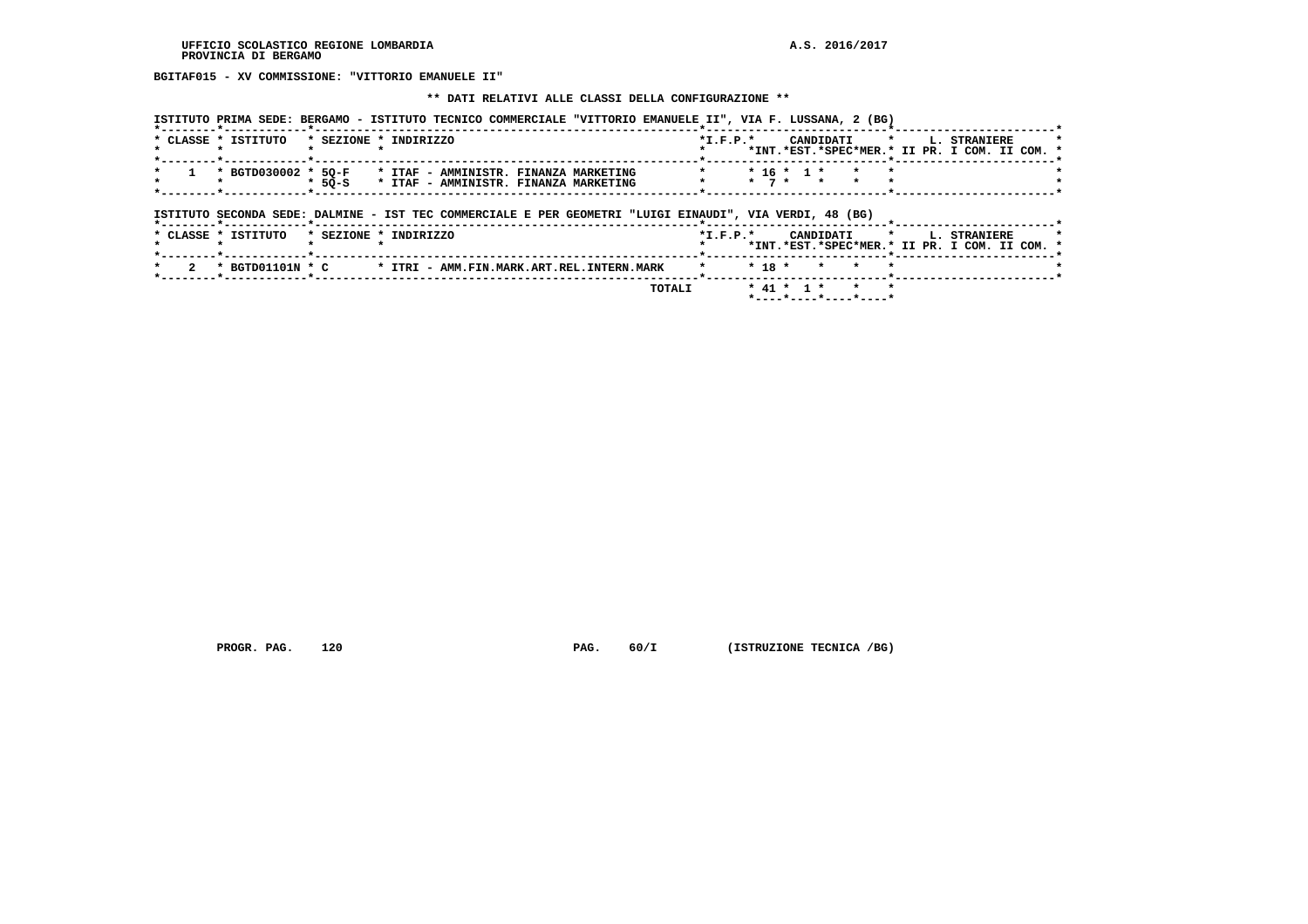**BGITAF015 - XV COMMISSIONE: "VITTORIO EMANUELE II"**

#### **\*\* DATI RELATIVI ALLE CLASSI DELLA CONFIGURAZIONE \*\***

| * CLASSE * ISTITUTO                                                                       |                         |          | * SEZIONE * INDIRIZZO                                     |                                                                                                         | $*$ I.F.P. $*$ |                                        | CANDIDATI * L. STRANIERE                      |
|-------------------------------------------------------------------------------------------|-------------------------|----------|-----------------------------------------------------------|---------------------------------------------------------------------------------------------------------|----------------|----------------------------------------|-----------------------------------------------|
|                                                                                           |                         |          |                                                           |                                                                                                         |                |                                        | *INT.*EST.*SPEC*MER.* II PR. I COM. II COM. * |
|                                                                                           |                         |          |                                                           |                                                                                                         |                |                                        |                                               |
|                                                                                           |                         |          | * BGTD030002 * 50-F * ITAF - AMMINISTR. FINANZA MARKETING |                                                                                                         |                | $* 16 * 1 *$                           |                                               |
|                                                                                           |                         | $*$ 50-S | * ITAF - AMMINISTR. FINANZA MARKETING                     |                                                                                                         |                | $\star$ $\star$ $\tau$ $\star$ $\star$ |                                               |
|                                                                                           |                         |          |                                                           |                                                                                                         |                |                                        |                                               |
|                                                                                           |                         |          |                                                           |                                                                                                         |                |                                        |                                               |
|                                                                                           |                         |          |                                                           | ISTITUTO SECONDA SEDE: DALMINE - IST TEC COMMERCIALE E PER GEOMETRI "LUIGI EINAUDI", VIA VERDI, 48 (BG) |                |                                        |                                               |
|                                                                                           | -----*------------*---- |          |                                                           |                                                                                                         |                |                                        |                                               |
| $\pm$ $\sigma$ $\sim$ $\sigma$ $\sigma$ $\sim$ $\sigma$ $\sigma$ $\sigma$ $\sim$ $\sigma$ |                         |          | * <i>*</i> ===^*** * *********^                           |                                                                                                         | .              |                                        | ----------                                    |

|  |  |  | * CLASSE * ISTITUTO * SEZIONE * INDIRIZZO |  |  |  |                                                                               | $*T$ , $F$ , $D$ , $*$ |                          |                  |  |  | CANDIDATI * L. STRANIERE                      |  |  |
|--|--|--|-------------------------------------------|--|--|--|-------------------------------------------------------------------------------|------------------------|--------------------------|------------------|--|--|-----------------------------------------------|--|--|
|  |  |  |                                           |  |  |  |                                                                               |                        |                          |                  |  |  | *INT.*EST.*SPEC*MER.* II PR. I COM. II COM. * |  |  |
|  |  |  |                                           |  |  |  |                                                                               |                        |                          |                  |  |  |                                               |  |  |
|  |  |  |                                           |  |  |  | * 2 * BGTD01101N * C * ITRI - AMM.FIN.MARK.ART.REL.INTERN.MARK * * 18 * * * * |                        |                          |                  |  |  |                                               |  |  |
|  |  |  |                                           |  |  |  | TOTALI                                                                        |                        |                          | * 41 * 1 * * * * |  |  |                                               |  |  |
|  |  |  |                                           |  |  |  |                                                                               |                        | $*$ ----*----*----*----* |                  |  |  |                                               |  |  |

 **PROGR. PAG.** 120 **PAG.** 60/I (ISTRUZIONE TECNICA /BG)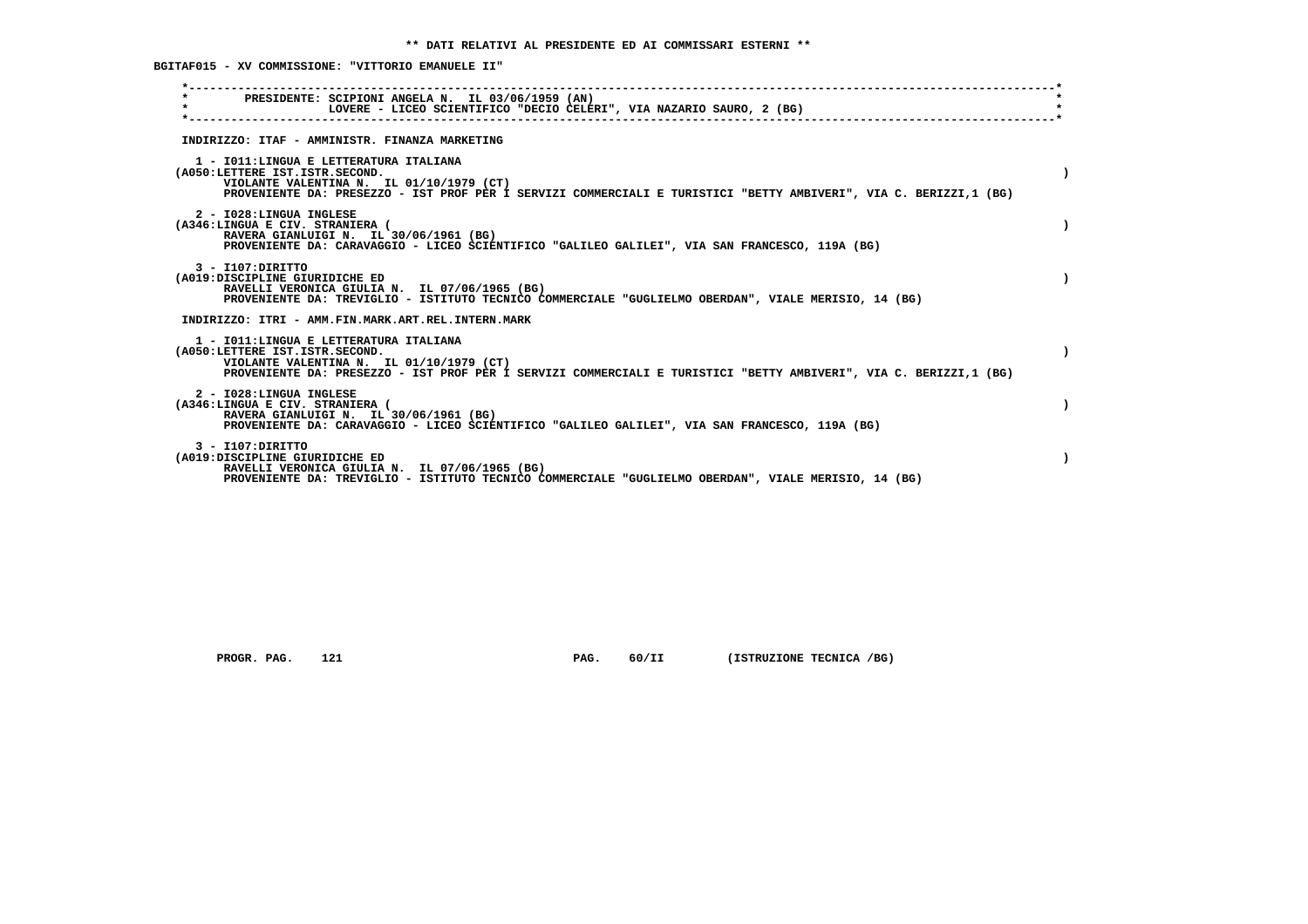**BGITAF015 - XV COMMISSIONE: "VITTORIO EMANUELE II"**

| PRESIDENTE: SCIPIONI ANGELA N. IL 03/06/1959 (AN)<br>$\star$<br>LOVERE - LICEO SCIENTIFICO "DECIO CELERI", VIA NAZARIO SAURO, 2 (BG)                                                                                                       |  |
|--------------------------------------------------------------------------------------------------------------------------------------------------------------------------------------------------------------------------------------------|--|
| INDIRIZZO: ITAF - AMMINISTR. FINANZA MARKETING                                                                                                                                                                                             |  |
| 1 - IO11: LINGUA E LETTERATURA ITALIANA<br>(A050:LETTERE IST.ISTR.SECOND.<br>VIOLANTE VALENTINA N. IL 01/10/1979 (CT)<br>PROVENIENTE DA: PRESEZZO - IST PROF PER I SERVIZI COMMERCIALI E TURISTICI "BETTY AMBIVERI", VIA C. BERIZZI,1 (BG) |  |
| 2 - I028:LINGUA INGLESE<br>(A346:LINGUA E CIV. STRANIERA (<br>RAVERA GIANLUIGI N. IL 30/06/1961 (BG)<br>PROVENIENTE DA: CARAVAGGIO - LICEO SCIENTIFICO "GALILEO GALILEI", VIA SAN FRANCESCO, 119A (BG)                                     |  |
| 3 - I107: DIRITTO<br>(A019:DISCIPLINE GIURIDICHE ED<br>RAVELLI VERONICA GIULIA N. IL 07/06/1965 (BG)<br>PROVENIENTE DA: TREVIGLIO - ISTITUTO TECNICO COMMERCIALE "GUGLIELMO OBERDAN", VIALE MERISIO, 14 (BG)                               |  |
| INDIRIZZO: ITRI - AMM.FIN.MARK.ART.REL.INTERN.MARK                                                                                                                                                                                         |  |
| 1 - IO11:LINGUA E LETTERATURA ITALIANA<br>(A050:LETTERE IST.ISTR.SECOND.<br>VIOLANTE VALENTINA N. IL 01/10/1979 (CT)<br>PROVENIENTE DA: PRESEZZO - IST PROF PER I SERVIZI COMMERCIALI E TURISTICI "BETTY AMBIVERI", VIA C. BERIZZI,1 (BG)  |  |
| 2 - I028:LINGUA INGLESE<br>(A346:LINGUA E CIV. STRANIERA (<br>RAVERA GIANLUIGI N. IL 30/06/1961 (BG)<br>PROVENIENTE DA: CARAVAGGIO - LICEO SCIENTIFICO "GALILEO GALILEI", VIA SAN FRANCESCO, 119A (BG)                                     |  |
| $3 - I107:DTRITTO$<br>(A019:DISCIPLINE GIURIDICHE ED<br>RAVELLI VERONICA GIULIA N. IL 07/06/1965 (BG)<br>PROVENIENTE DA: TREVIGLIO - ISTITUTO TECNICO COMMERCIALE "GUGLIELMO OBERDAN", VIALE MERISIO, 14 (BG)                              |  |

 **PROGR. PAG.** 121 **PAG.** 60/II (ISTRUZIONE TECNICA /BG)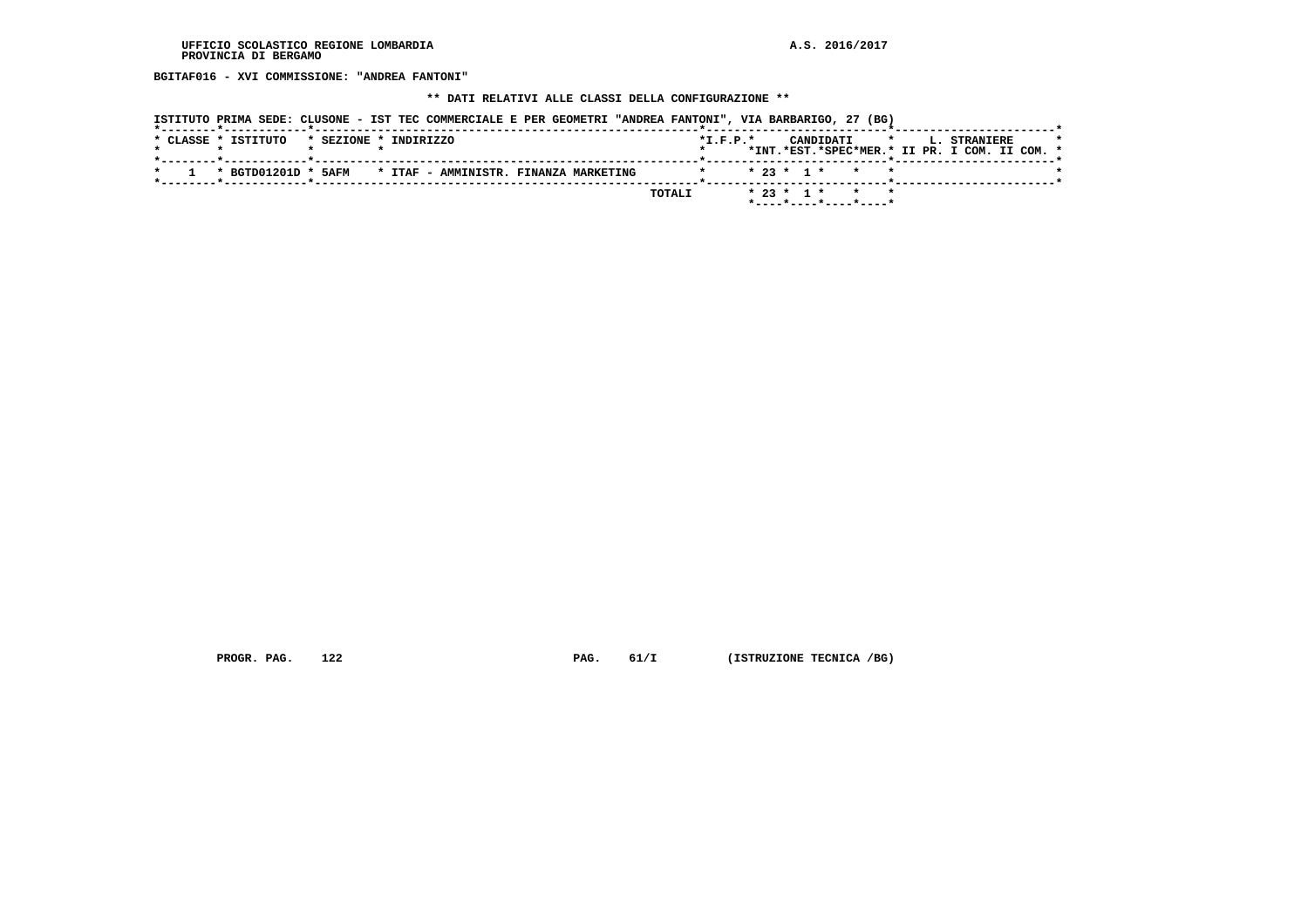**BGITAF016 - XVI COMMISSIONE: "ANDREA FANTONI"**

## **\*\* DATI RELATIVI ALLE CLASSI DELLA CONFIGURAZIONE \*\***

| ISTITUTO PRIMA SEDE: CLUSONE - IST TEC COMMERCIALE E PER GEOMETRI "ANDREA FANTONI", VIA BARBARIGO, 27 (BG)<br>이 그 사람들은 그 사람들은 그 사람들은 그 사람들을 지르며 그 사람들을 지르며 그 사람들을 지르며 그 사람들을 지르며 그 사람들을 지르며 그 사람들을 지르며 그 사람들을 지르며 그 사람들을 지르며 |                                                     |
|------------------------------------------------------------------------------------------------------------------------------------------------------------------------------------------------------------------------------|-----------------------------------------------------|
| * CLASSE * ISTITUTO<br>* SEZIONE * INDIRIZZO                                                                                                                                                                                 | $*T.F.P.*$<br>CANDIDATI * L. STRANIERE              |
| ______ <del>*</del> ____________ <b>__*</b> ____________________                                                                                                                                                             | *INT.*EST.*SPEC*MER.* II PR. I COM. II COM. *       |
| 1 * BGTD01201D * 5AFM<br>* ITAF - AMMINISTR. FINANZA MARKETING                                                                                                                                                               | * * 23 * 1 * * * *                                  |
|                                                                                                                                                                                                                              |                                                     |
|                                                                                                                                                                                                                              | $* 23 * 1 * * * * *$<br>TOTALI                      |
|                                                                                                                                                                                                                              | $*$ - - - - $*$ - - - - $*$ - - - - $*$ - - - - $*$ |

 **PROGR. PAG.** 122 **PAG.** 61/I (ISTRUZIONE TECNICA /BG)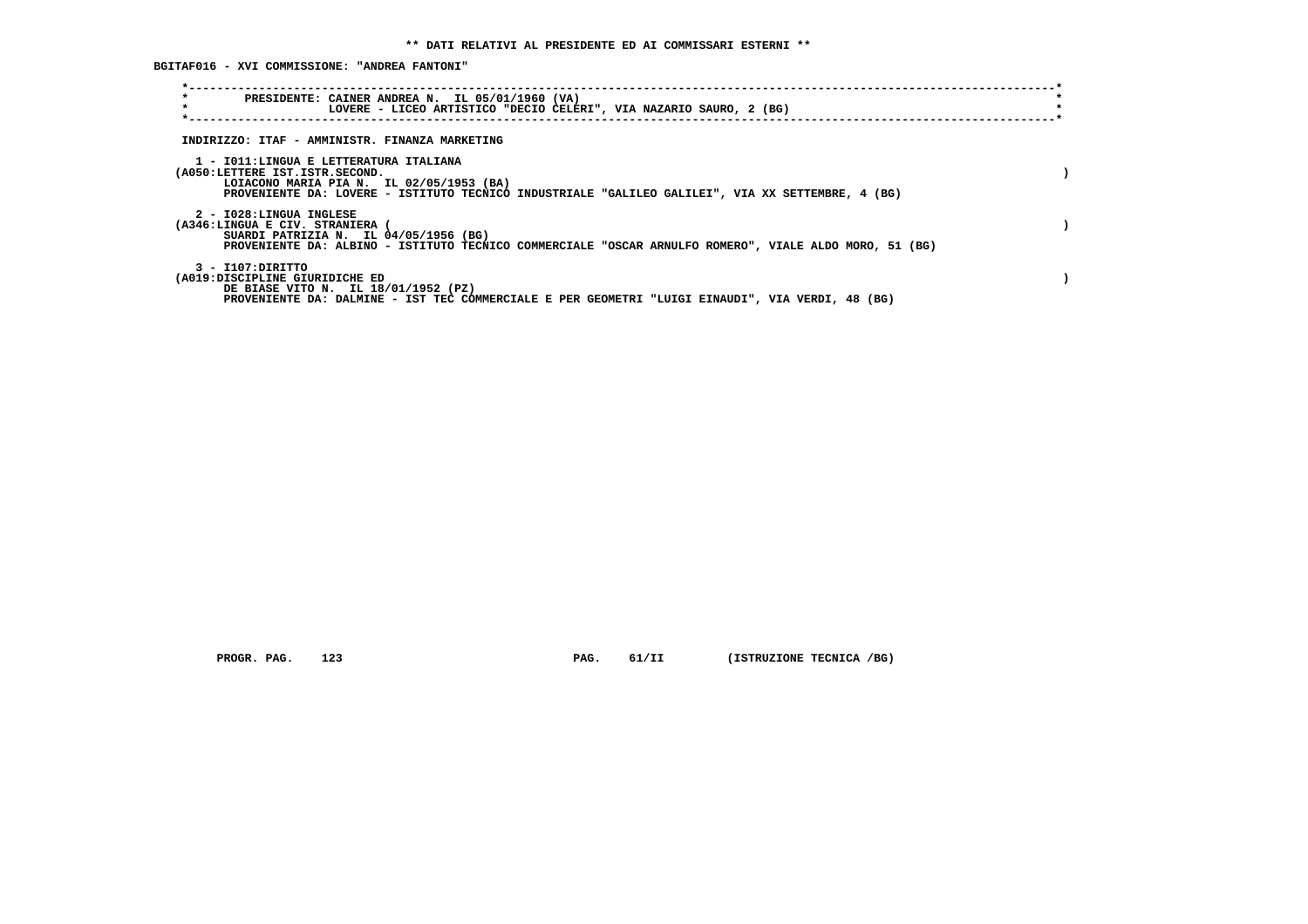**BGITAF016 - XVI COMMISSIONE: "ANDREA FANTONI"**

| $\star$<br>PRESIDENTE: CAINER ANDREA N. IL 05/01/1960 (VA)<br>$\star$<br>LOVERE - LICEO ARTISTICO "DECIO CELERI", VIA NAZARIO SAURO, 2 (BG)                                                                               |  |
|---------------------------------------------------------------------------------------------------------------------------------------------------------------------------------------------------------------------------|--|
| INDIRIZZO: ITAF - AMMINISTR. FINANZA MARKETING                                                                                                                                                                            |  |
| 1 - IO11:LINGUA E LETTERATURA ITALIANA<br>(A050:LETTERE IST.ISTR.SECOND.<br>LOIACONO MARIA PIA N. IL 02/05/1953 (BA)<br>PROVENIENTE DA: LOVERE - ISTITUTO TECNICO INDUSTRIALE "GALILEO GALILEI", VIA XX SETTEMBRE, 4 (BG) |  |
| 2 - I028:LINGUA INGLESE<br>(A346:LINGUA E CIV. STRANIERA<br>SUARDI PATRIZIA N. IL 04/05/1956 (BG)<br>PROVENIENTE DA: ALBINO - ISTITUTO TECNICO COMMERCIALE "OSCAR ARNULFO ROMERO", VIALE ALDO MORO, 51 (BG)               |  |
| 3 - I107:DIRITTO<br>(A019:DISCIPLINE GIURIDICHE ED<br>DE BIASE VITO N. IL 18/01/1952 (PZ)<br>PROVENIENTE DA: DALMINE - IST TEC COMMERCIALE E PER GEOMETRI "LUIGI EINAUDI", VIA VERDI, 48 (BG)                             |  |

 **PROGR. PAG.** 123 **PAG.** 61/II (ISTRUZIONE TECNICA /BG)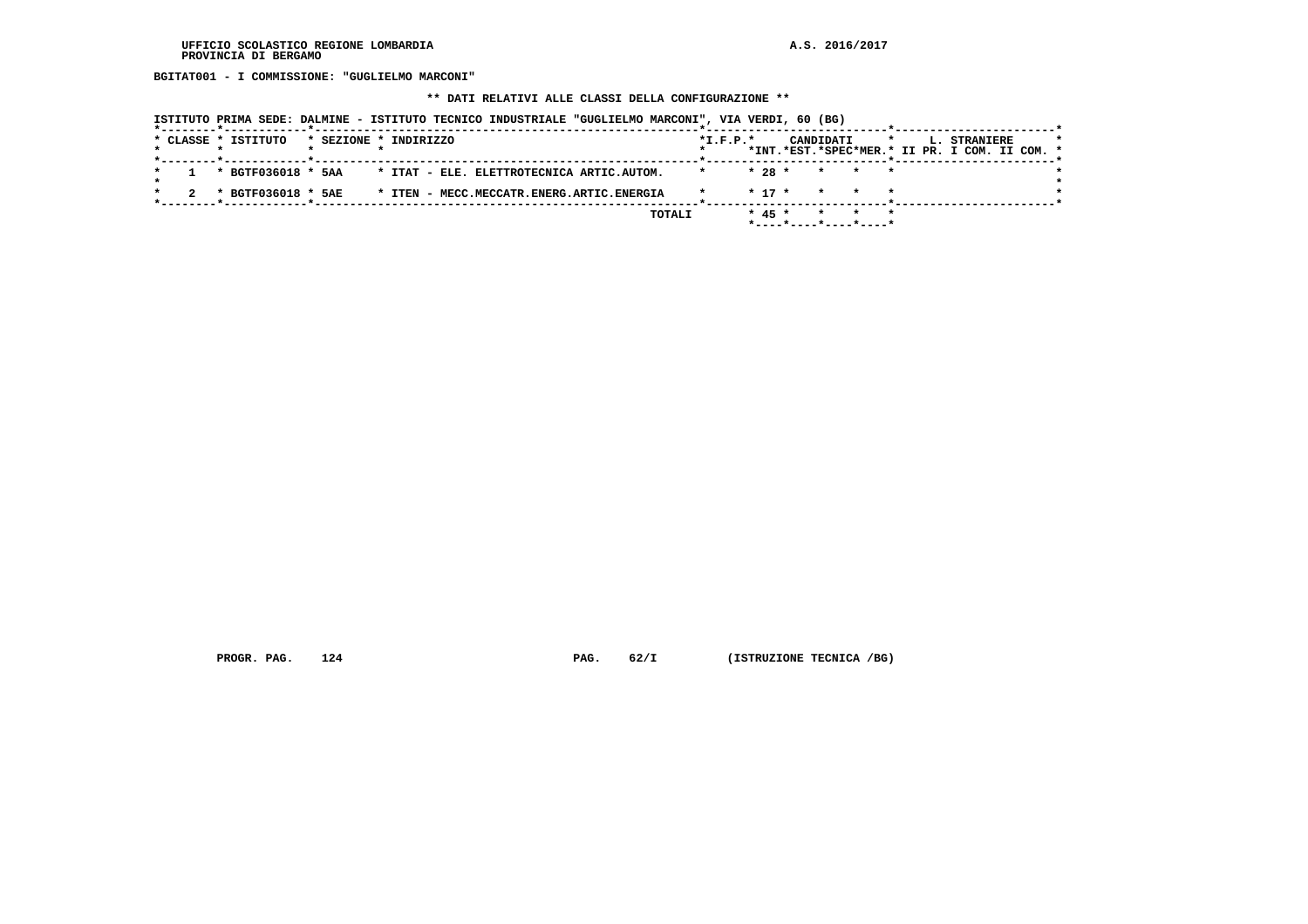**BGITAT001 - I COMMISSIONE: "GUGLIELMO MARCONI"**

## **\*\* DATI RELATIVI ALLE CLASSI DELLA CONFIGURAZIONE \*\***

| ISTITUTO PRIMA SEDE: DALMINE - ISTITUTO TECNICO INDUSTRIALE "GUGLIELMO MARCONI", VIA VERDI, 60 (BG) |            |                                                                          |                                                                                 |
|-----------------------------------------------------------------------------------------------------|------------|--------------------------------------------------------------------------|---------------------------------------------------------------------------------|
| * CLASSE * ISTITUTO<br>* SEZIONE * INDIRIZZO                                                        | $*L.F.P.*$ | CANDIDATI                                                                | $\star$<br><b>L. STRANIERE</b><br>*INT.*EST.*SPEC*MER.* II PR. I COM. II COM. * |
| * BGTF036018 * 5AA * ITAT - ELE. ELETTROTECNICA ARTIC.AUTOM.                                        |            | $* 28 *$<br>* * *                                                        |                                                                                 |
| * BGTF036018 * 5AE<br>* ITEN - MECC.MECCATR.ENERG.ARTIC.ENERGIA                                     |            | $* 17 *$<br>* *                                                          |                                                                                 |
|                                                                                                     | TOTALI     | $* 45 *$<br>* * *<br>$*$ - - - - $*$ - - - - $*$ - - - - $*$ - - - - $*$ |                                                                                 |

 **PROGR. PAG.** 124 **PAG.** 62/I (ISTRUZIONE TECNICA /BG)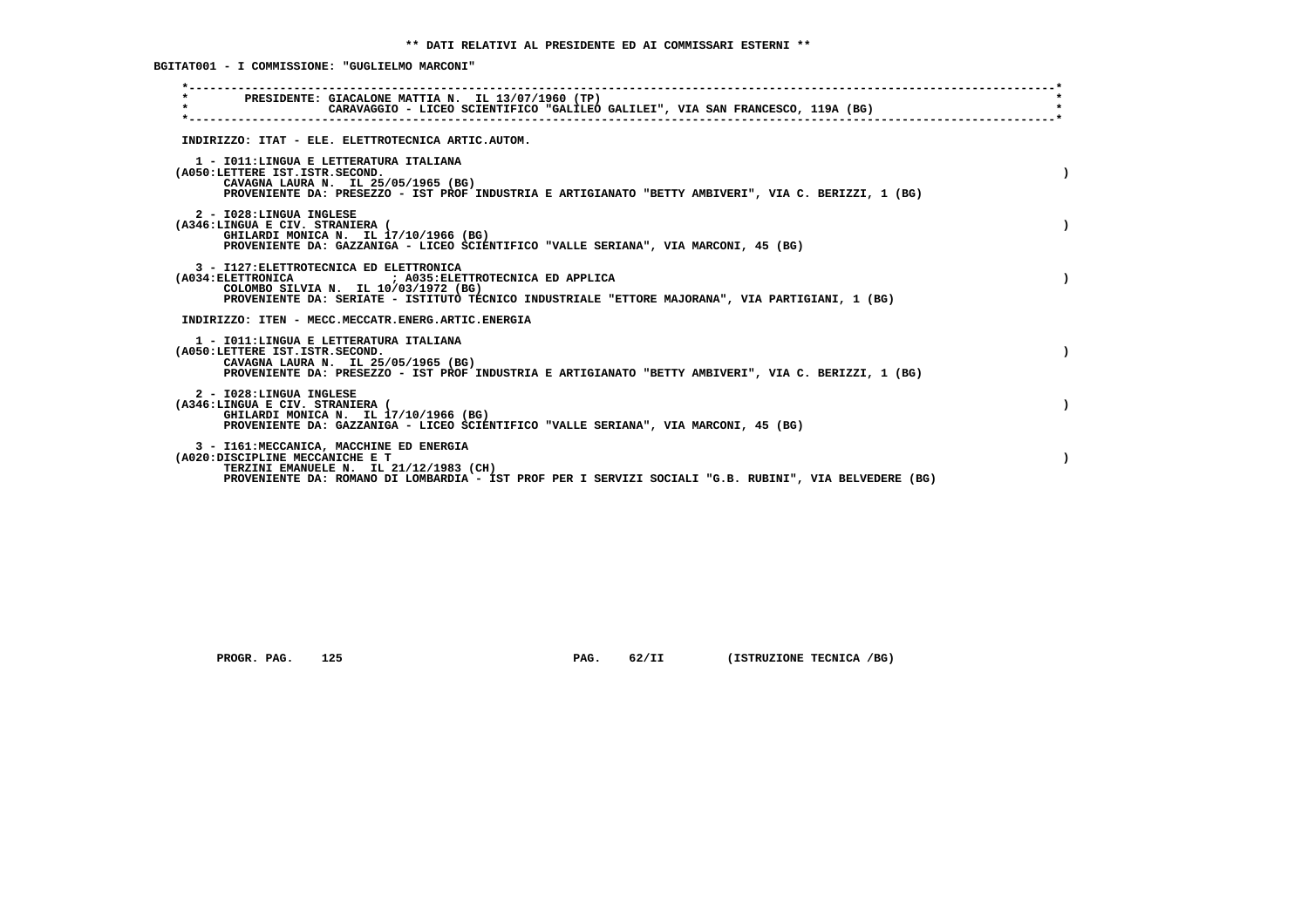**BGITAT001 - I COMMISSIONE: "GUGLIELMO MARCONI"**

| PRESIDENTE: GIACALONE MATTIA N. IL 13/07/1960 (TP)<br>$\star$<br>CARAVAGGIO - LICEO SCIENTIFICO "GALILEO GALILEI", VIA SAN FRANCESCO, 119A (BG)                                                                                             |  |
|---------------------------------------------------------------------------------------------------------------------------------------------------------------------------------------------------------------------------------------------|--|
| INDIRIZZO: ITAT - ELE. ELETTROTECNICA ARTIC.AUTOM.                                                                                                                                                                                          |  |
| 1 - IO11: LINGUA E LETTERATURA ITALIANA<br>(A050:LETTERE IST.ISTR.SECOND.<br>CAVAGNA LAURA N. IL 25/05/1965 (BG)<br>PROVENIENTE DA: PRESEZZO - IST PROF INDUSTRIA E ARTIGIANATO "BETTY AMBIVERI", VIA C. BERIZZI, 1 (BG)                    |  |
| 2 - I028:LINGUA INGLESE<br>(A346:LINGUA E CIV. STRANIERA (<br>GHILARDI MONICA N. IL 17/10/1966 (BG)<br>PROVENIENTE DA: GAZZANIGA - LICEO SCIENTIFICO "VALLE SERIANA", VIA MARCONI, 45 (BG)                                                  |  |
| 3 - I127: ELETTROTECNICA ED ELETTRONICA<br>(A034: ELETTRONICA ) A035: ELETTROTECNICA ED APPLICA<br>COLOMBO SILVIA N. IL 10/03/1972 (BG)<br>PROVENIENTE DA: SERIATE - ISTITUTO TECNICO INDUSTRIALE "ETTORE MAJORANA", VIA PARTIGIANI, 1 (BG) |  |
| INDIRIZZO: ITEN - MECC.MECCATR.ENERG.ARTIC.ENERGIA                                                                                                                                                                                          |  |
| 1 - IO11: LINGUA E LETTERATURA ITALIANA<br>(A050:LETTERE IST.ISTR.SECOND.<br>CAVAGNA LAURA N. IL 25/05/1965 (BG)<br>PROVENIENTE DA: PRESEZZO - IST PROF INDUSTRIA E ARTIGIANATO "BETTY AMBIVERI", VIA C. BERIZZI, 1 (BG)                    |  |
| 2 - I028:LINGUA INGLESE<br>(A346:LINGUA E CIV. STRANIERA (<br>GHILARDI MONICA N. IL 17/10/1966 (BG)<br>PROVENIENTE DA: GAZZANIGA - LICEO SCIENTIFICO "VALLE SERIANA", VIA MARCONI, 45 (BG)                                                  |  |
| 3 - I161: MECCANICA, MACCHINE ED ENERGIA<br>(A020:DISCIPLINE MECCANICHE E T<br>TERZINI EMANUELE N. IL 21/12/1983 (CH)<br>PROVENIENTE DA: ROMANO DI LOMBARDIA - IST PROF PER I SERVIZI SOCIALI "G.B. RUBINI", VIA BELVEDERE (BG)             |  |
|                                                                                                                                                                                                                                             |  |

 **PROGR. PAG.** 125 **PAG.** 62/II (ISTRUZIONE TECNICA /BG)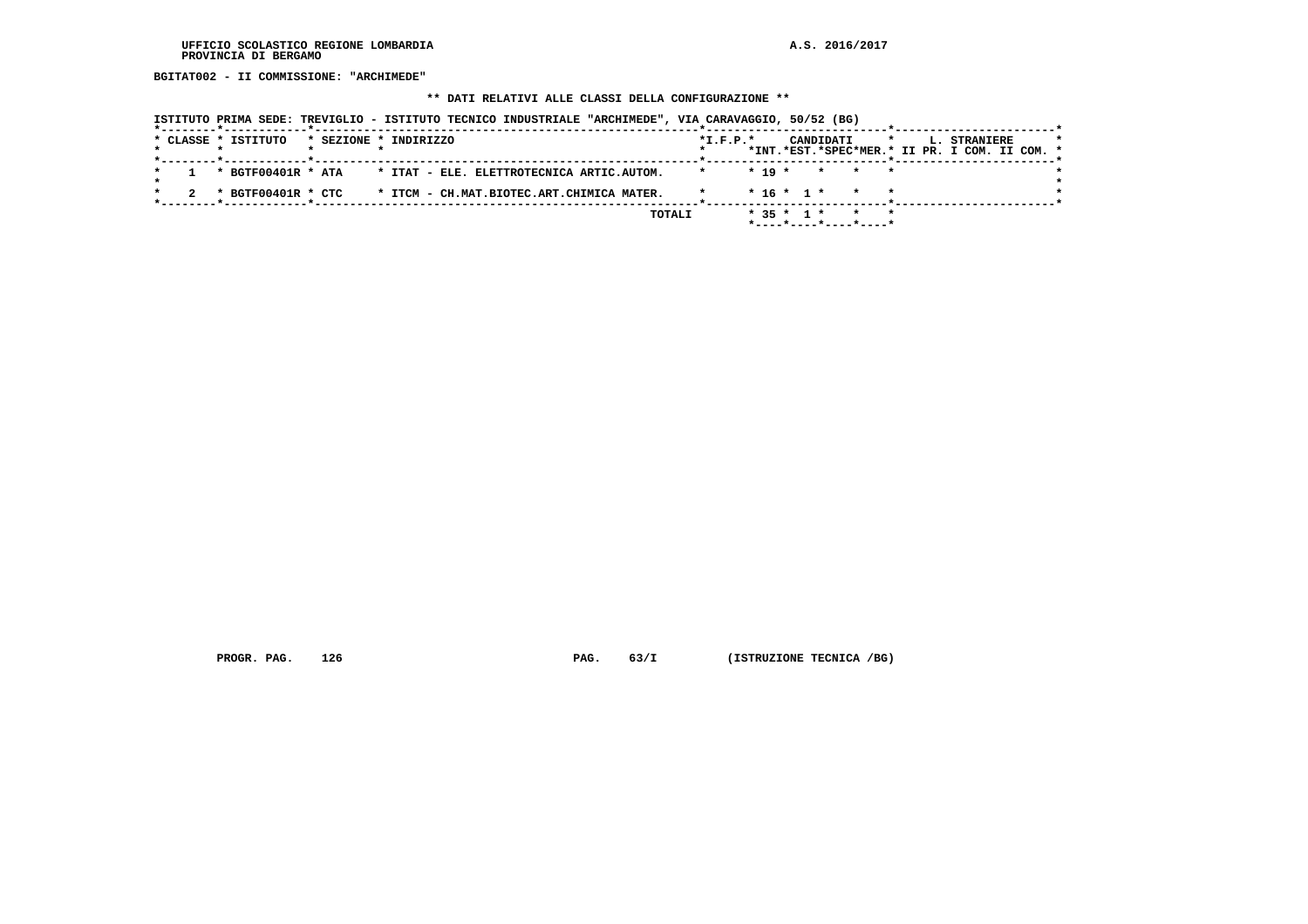**BGITAT002 - II COMMISSIONE: "ARCHIMEDE"**

## **\*\* DATI RELATIVI ALLE CLASSI DELLA CONFIGURAZIONE \*\***

|  |                     | ISTITUTO PRIMA SEDE: TREVIGLIO - ISTITUTO TECNICO INDUSTRIALE "ARCHIMEDE", VIA CARAVAGGIO, 50/52 (BG) |                                           |  |  |        |            |          |              |           |                       |  |                                                                      |  |         |
|--|---------------------|-------------------------------------------------------------------------------------------------------|-------------------------------------------|--|--|--------|------------|----------|--------------|-----------|-----------------------|--|----------------------------------------------------------------------|--|---------|
|  | * CLASSE * ISTITUTO | * SEZIONE * INDIRIZZO<br>*--------*------------*---------------                                       |                                           |  |  |        | $*L.F.P.*$ |          |              | CANDIDATI | $\mathbf{r}$          |  | <b>L. STRANIERE</b><br>*INT.*EST.*SPEC*MER.* II PR. I COM. II COM. * |  | $\star$ |
|  |                     | * BGTF00401R * ATA * ITAT - ELE. ELETTROTECNICA ARTIC.AUTOM.                                          |                                           |  |  |        | $\star$    | $* 19 *$ |              |           | * * *                 |  |                                                                      |  |         |
|  |                     | * BGTF00401R * CTC                                                                                    | * ITCM - CH.MAT.BIOTEC.ART.CHIMICA MATER. |  |  |        |            |          | $* 16 * 1 *$ |           |                       |  |                                                                      |  |         |
|  |                     |                                                                                                       |                                           |  |  | TOTALI |            |          | $* 35 * 1 *$ |           | *----*----*----*----* |  |                                                                      |  |         |

 **PROGR. PAG.** 126 **PAG.** 63/I (ISTRUZIONE TECNICA /BG)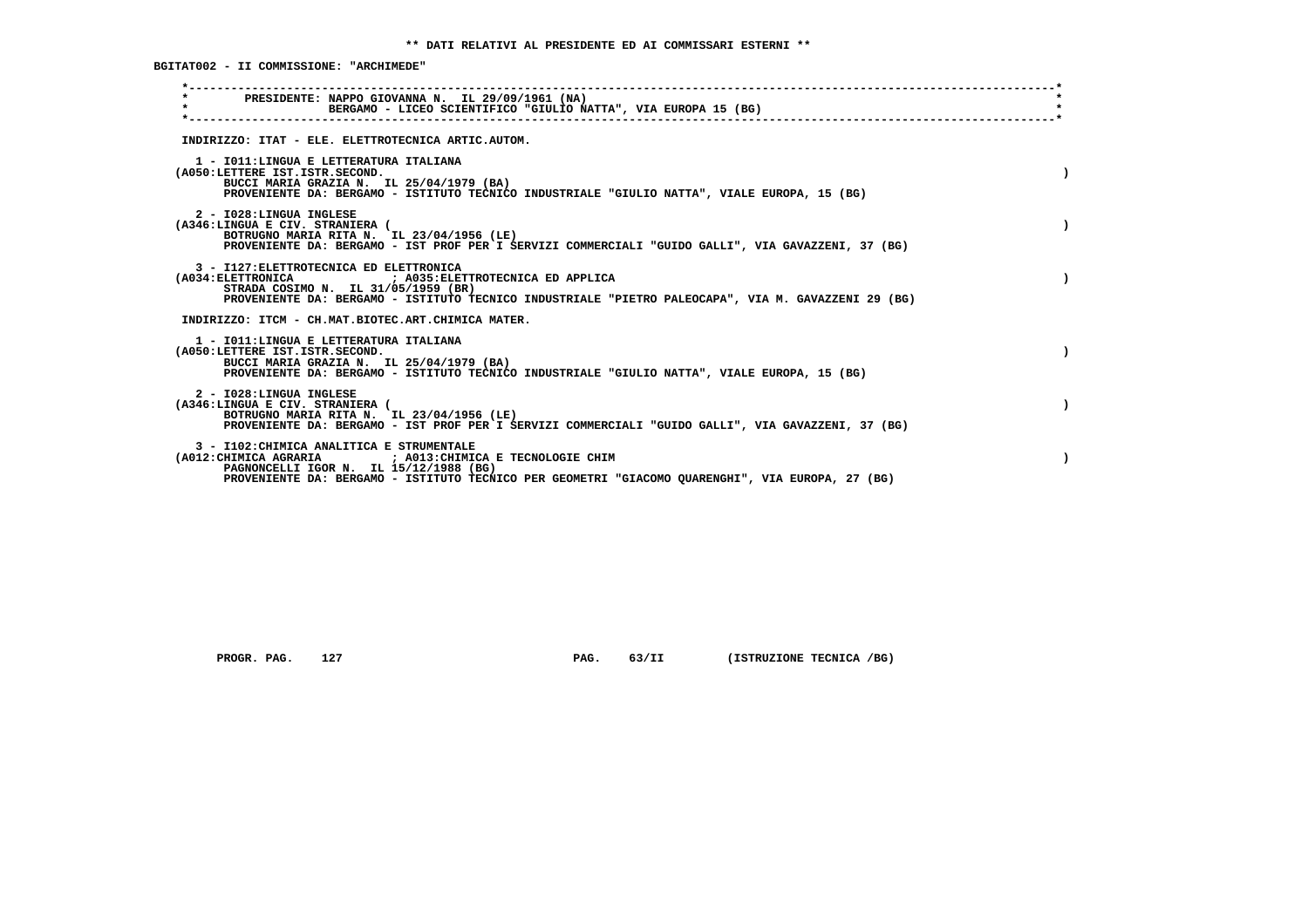**BGITAT002 - II COMMISSIONE: "ARCHIMEDE"**

| PRESIDENTE: NAPPO GIOVANNA N. IL 29/09/1961 (NA)<br>$\star$<br>BERGAMO - LICEO SCIENTIFICO "GIULIO NATTA", VIA EUROPA 15 (BG)                                                                                                                                             |  |
|---------------------------------------------------------------------------------------------------------------------------------------------------------------------------------------------------------------------------------------------------------------------------|--|
| INDIRIZZO: ITAT - ELE. ELETTROTECNICA ARTIC.AUTOM.                                                                                                                                                                                                                        |  |
| 1 - IO11: LINGUA E LETTERATURA ITALIANA<br>(A050:LETTERE IST.ISTR.SECOND.<br>BUCCI MARIA GRAZIA N. IL 25/04/1979 (BA)<br>PROVENIENTE DA: BERGAMO - ISTITUTO TECNICO INDUSTRIALE "GIULIO NATTA", VIALE EUROPA, 15 (BG)                                                     |  |
| 2 - I028:LINGUA INGLESE<br>(A346:LINGUA E CIV. STRANIERA (<br>BOTRUGNO MARIA RITA N. IL 23/04/1956 (LE)<br>PROVENIENTE DA: BERGAMO - IST PROF PER I SERVIZI COMMERCIALI "GUIDO GALLI", VIA GAVAZZENI, 37 (BG)                                                             |  |
| 3 - I127: ELETTROTECNICA ED ELETTRONICA<br>(A034: ELETTRONICA                             ; A035: ELETTROTECNICA ED APPLICA<br>STRADA COSIMO N. IL 31/05/1959 (BR)<br>PROVENIENTE DA: BERGAMO - ISTITUTO TECNICO INDUSTRIALE "PIETRO PALEOCAPA", VIA M. GAVAZZENI 29 (BG) |  |
| INDIRIZZO: ITCM - CH.MAT.BIOTEC.ART.CHIMICA MATER.                                                                                                                                                                                                                        |  |
| 1 - IO11: LINGUA E LETTERATURA ITALIANA<br>(A050:LETTERE IST.ISTR.SECOND.<br>BUCCI MARIA GRAZIA N. IL 25/04/1979 (BA)<br>PROVENIENTE DA: BERGAMO - ISTITUTO TECNICO INDUSTRIALE "GIULIO NATTA", VIALE EUROPA, 15 (BG)                                                     |  |
| 2 - I028:LINGUA INGLESE<br>(A346:LINGUA E CIV. STRANIERA (<br>BOTRUGNO MARIA RITA N. IL 23/04/1956 (LE)<br>PROVENIENTE DA: BERGAMO - IST PROF PER I SERVIZI COMMERCIALI "GUIDO GALLI", VIA GAVAZZENI, 37 (BG)                                                             |  |
| 3 - I102: CHIMICA ANALITICA E STRUMENTALE<br>(A012: CHIMICA AGRARIA<br>; A013: CHIMICA E TECNOLOGIE CHIM<br>PAGNONCELLI IGOR N. IL 15/12/1988 (BG)<br>PROVENIENTE DA: BERGAMO - ISTITUTO TECNICO PER GEOMETRI "GIACOMO QUARENGHI", VIA EUROPA, 27 (BG)                    |  |
|                                                                                                                                                                                                                                                                           |  |

 **PROGR. PAG.** 127 **PAG.** 63/II (ISTRUZIONE TECNICA /BG)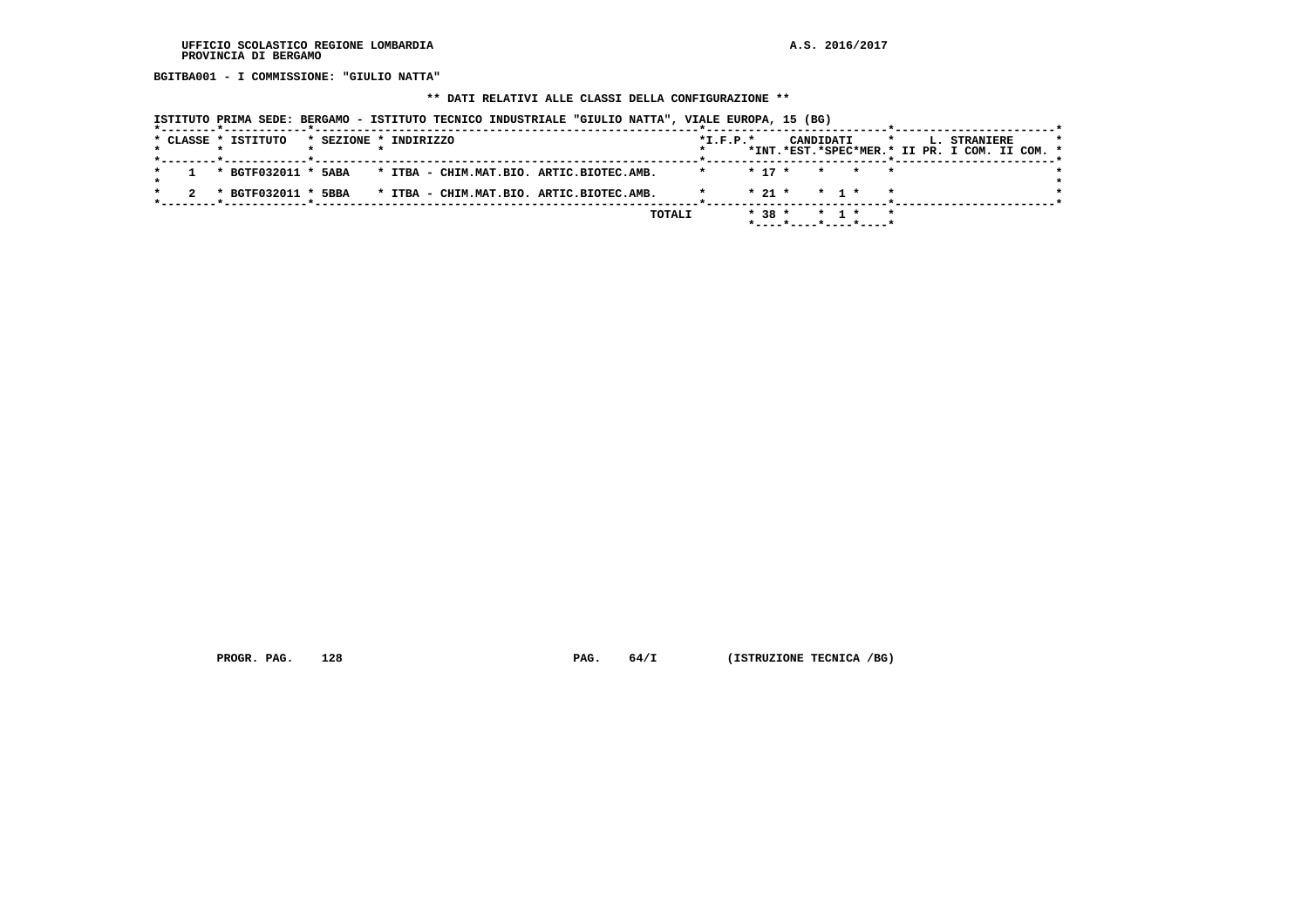**BGITBA001 - I COMMISSIONE: "GIULIO NATTA"**

# **\*\* DATI RELATIVI ALLE CLASSI DELLA CONFIGURAZIONE \*\***

|  |  | ISTITUTO PRIMA SEDE: BERGAMO - ISTITUTO TECNICO INDUSTRIALE "GIULIO NATTA", VIALE EUROPA, 15 (BG) |                       |  |  |  |                                          |        |         |            |          |                       |                   |       |         |  |                                                               |  |  |
|--|--|---------------------------------------------------------------------------------------------------|-----------------------|--|--|--|------------------------------------------|--------|---------|------------|----------|-----------------------|-------------------|-------|---------|--|---------------------------------------------------------------|--|--|
|  |  | * CLASSE * ISTITUTO                                                                               | * SEZIONE * INDIRIZZO |  |  |  |                                          |        |         | $*L.F.P.*$ |          | CANDIDATI             |                   |       | $\star$ |  | L. STRANIERE<br>*INT.*EST.*SPEC*MER.* II PR. I COM. II COM. * |  |  |
|  |  | * BGTF032011 * 5ABA                                                                               |                       |  |  |  | * ITBA - CHIM.MAT.BIO. ARTIC.BIOTEC.AMB. |        | $\star$ |            | $* 17 *$ |                       |                   | * * * |         |  |                                                               |  |  |
|  |  | * BGTF032011 * 5BBA                                                                               |                       |  |  |  | * ITBA - CHIM.MAT.BIO. ARTIC.BIOTEC.AMB. |        |         |            |          | $* 21 * * 1 * * *$    |                   |       |         |  |                                                               |  |  |
|  |  |                                                                                                   |                       |  |  |  |                                          | TOTALI |         |            | $* 38 *$ | *----*----*----*----* | $\star$ 1 $\star$ |       |         |  |                                                               |  |  |

 **PROGR. PAG.** 128 **PAG.** 64/I (ISTRUZIONE TECNICA /BG)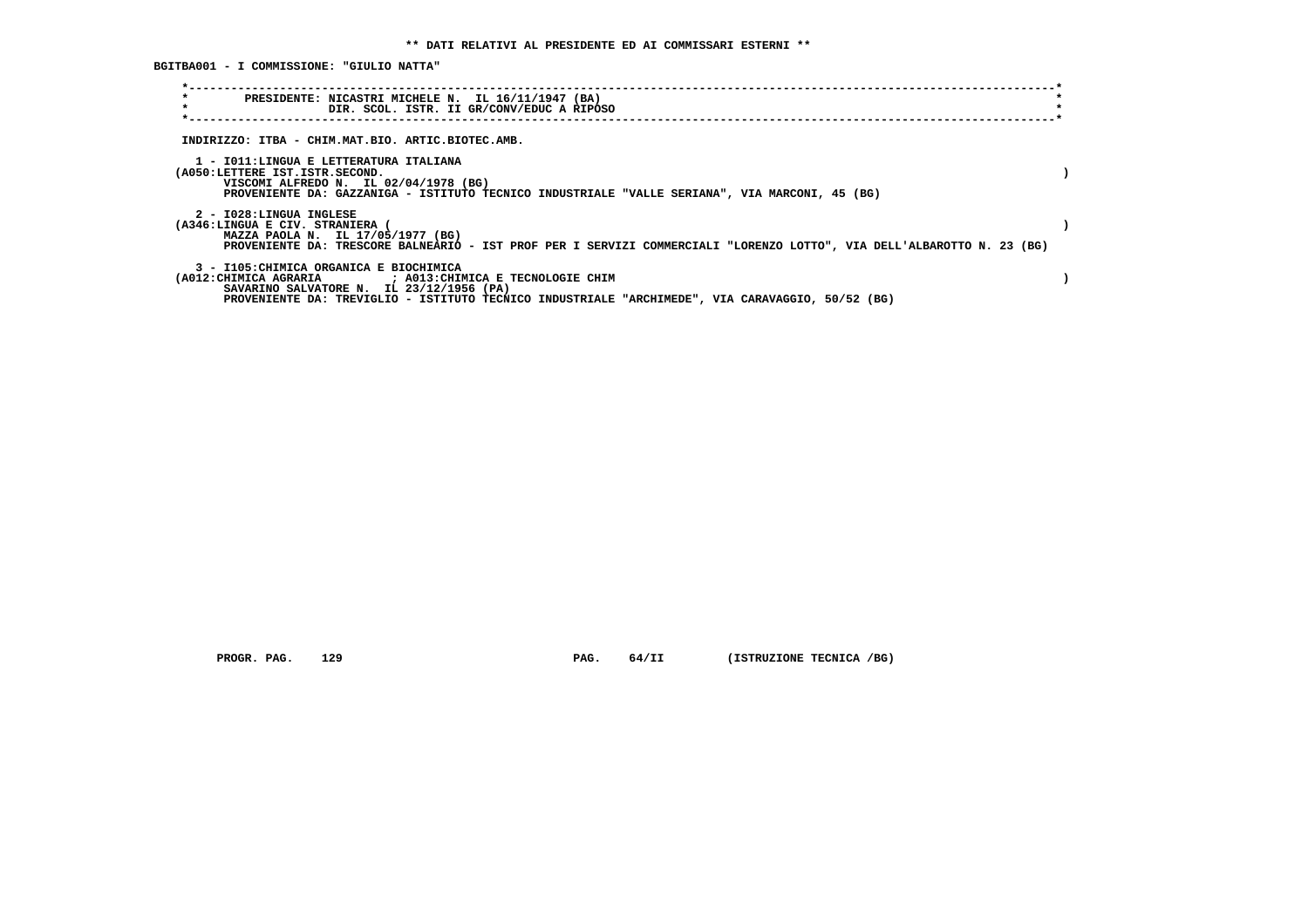**BGITBA001 - I COMMISSIONE: "GIULIO NATTA"**

| $\star$<br>PRESIDENTE: NICASTRI MICHELE N. IL 16/11/1947 (BA)<br>$\star$<br>DIR. SCOL. ISTR. II GR/CONV/EDUC A RIPOSO                                       |  |
|-------------------------------------------------------------------------------------------------------------------------------------------------------------|--|
|                                                                                                                                                             |  |
| INDIRIZZO: ITBA - CHIM.MAT.BIO. ARTIC.BIOTEC.AMB.                                                                                                           |  |
| 1 - IO11:LINGUA E LETTERATURA ITALIANA                                                                                                                      |  |
| (A050:LETTERE IST.ISTR.SECOND.                                                                                                                              |  |
| VISCOMI ALFREDO N. IL 02/04/1978 (BG)                                                                                                                       |  |
| PROVENIENTE DA: GAZZANIGA - ISTITUTO TECNICO INDUSTRIALE "VALLE SERIANA", VIA MARCONI, 45 (BG)                                                              |  |
| 2 - I028:LINGUA INGLESE                                                                                                                                     |  |
| (A346:LINGUA E CIV. STRANIERA (                                                                                                                             |  |
| MAZZA PAOLA N. IL 17/05/1977 (BG)<br>PROVENIENTE DA: TRESCORE BALNEARIO - IST PROF PER I SERVIZI COMMERCIALI "LORENZO LOTTO", VIA DELL'ALBAROTTO N. 23 (BG) |  |
| 3 - I105: CHIMICA ORGANICA E BIOCHIMICA                                                                                                                     |  |
| (A012: CHIMICA AGRARIA ) ; A013: CHIMICA E TECNOLOGIE CHIM<br>SAVARINO SALVATORE N. IL 23/12/1956 (PA)                                                      |  |
| PROVENIENTE DA: TREVIGLIO - ISTITUTO TECNICO INDUSTRIALE "ARCHIMEDE", VIA CARAVAGGIO, 50/52 (BG)                                                            |  |
|                                                                                                                                                             |  |

 **PROGR. PAG.** 129 **PAG.** 64/II (ISTRUZIONE TECNICA /BG)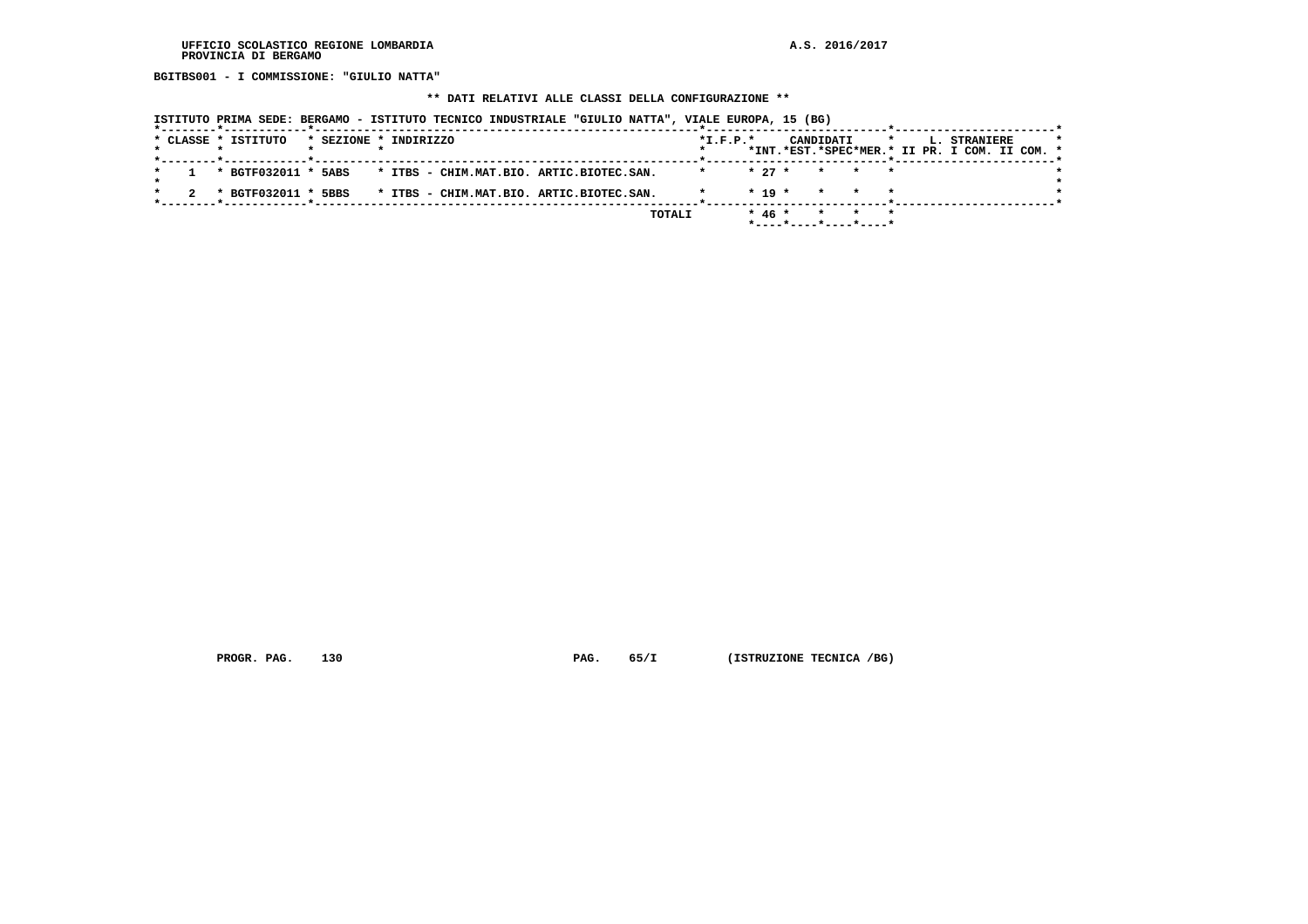**BGITBS001 - I COMMISSIONE: "GIULIO NATTA"**

## **\*\* DATI RELATIVI ALLE CLASSI DELLA CONFIGURAZIONE \*\***

| ISTITUTO PRIMA SEDE: BERGAMO - ISTITUTO TECNICO INDUSTRIALE "GIULIO NATTA", VIALE EUROPA, 15 (BG) |                                                                                                     |
|---------------------------------------------------------------------------------------------------|-----------------------------------------------------------------------------------------------------|
| * CLASSE * ISTITUTO<br>* SEZIONE * INDIRIZZO                                                      | $*L.F.P.*$<br>CANDIDATI<br>$\star$<br>L. STRANIERE<br>*INT.*EST.*SPEC*MER.* II PR. I COM. II COM. * |
| * BGTF032011 * 5ABS<br>* ITBS - CHIM.MAT.BIO. ARTIC.BIOTEC.SAN.                                   | $* 27 *$<br>* * *                                                                                   |
| * ITBS - CHIM.MAT.BIO. ARTIC.BIOTEC.SAN.<br>* BGTF032011 * 5BBS                                   | $* 19 *$<br>* * *                                                                                   |
| TOTALI                                                                                            | $* 46 *$<br>$\star$                                                                                 |

 **PROGR. PAG.** 130 **PAG.** 65/I (ISTRUZIONE TECNICA /BG)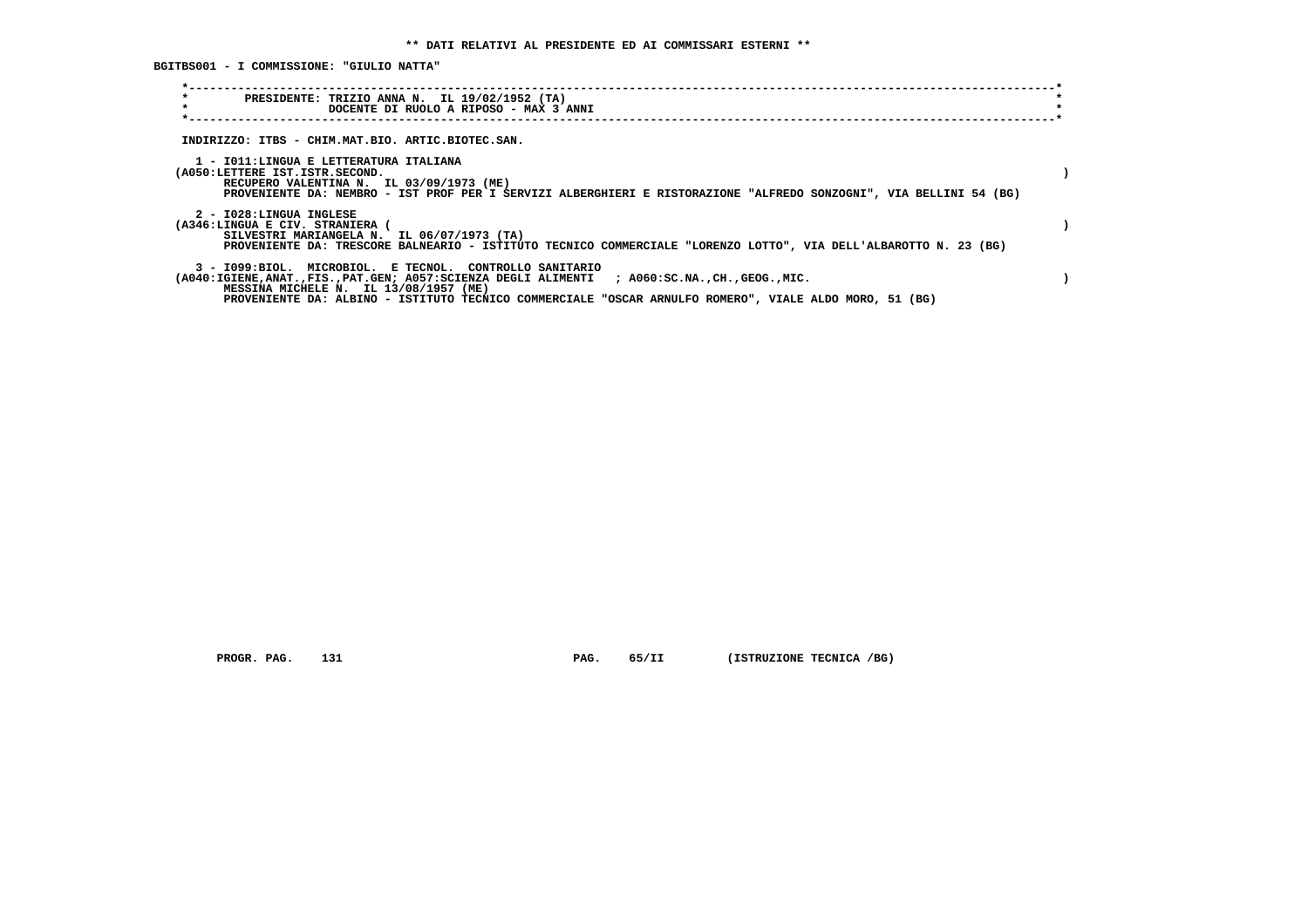**BGITBS001 - I COMMISSIONE: "GIULIO NATTA"**

| $\star$<br>PRESIDENTE: TRIZIO ANNA N. IL 19/02/1952 (TA)<br>$\star$<br>DOCENTE DI RUOLO A RIPOSO - MAX 3 ANNI<br>INDIRIZZO: ITBS - CHIM.MAT.BIO. ARTIC.BIOTEC.SAN.<br>1 - IO11:LINGUA E LETTERATURA ITALIANA<br>(A050:LETTERE IST.ISTR.SECOND.<br>RECUPERO VALENTINA N. IL 03/09/1973 (ME)<br>PROVENIENTE DA: NEMBRO - IST PROF PER I SERVIZI ALBERGHIERI E RISTORAZIONE "ALFREDO SONZOGNI", VIA BELLINI 54 (BG)<br>2 - I028:LINGUA INGLESE<br>(A346:LINGUA E CIV. STRANIERA (<br>SILVESTRI MARIANGELA N. IL 06/07/1973 (TA)<br>PROVENIENTE DA: TRESCORE BALNEARIO - ISTITUTO TECNICO COMMERCIALE "LORENZO LOTTO", VIA DELL'ALBAROTTO N. 23 (BG) |
|--------------------------------------------------------------------------------------------------------------------------------------------------------------------------------------------------------------------------------------------------------------------------------------------------------------------------------------------------------------------------------------------------------------------------------------------------------------------------------------------------------------------------------------------------------------------------------------------------------------------------------------------------|
|                                                                                                                                                                                                                                                                                                                                                                                                                                                                                                                                                                                                                                                  |
|                                                                                                                                                                                                                                                                                                                                                                                                                                                                                                                                                                                                                                                  |
|                                                                                                                                                                                                                                                                                                                                                                                                                                                                                                                                                                                                                                                  |
|                                                                                                                                                                                                                                                                                                                                                                                                                                                                                                                                                                                                                                                  |
|                                                                                                                                                                                                                                                                                                                                                                                                                                                                                                                                                                                                                                                  |
|                                                                                                                                                                                                                                                                                                                                                                                                                                                                                                                                                                                                                                                  |
|                                                                                                                                                                                                                                                                                                                                                                                                                                                                                                                                                                                                                                                  |
|                                                                                                                                                                                                                                                                                                                                                                                                                                                                                                                                                                                                                                                  |
|                                                                                                                                                                                                                                                                                                                                                                                                                                                                                                                                                                                                                                                  |
|                                                                                                                                                                                                                                                                                                                                                                                                                                                                                                                                                                                                                                                  |
|                                                                                                                                                                                                                                                                                                                                                                                                                                                                                                                                                                                                                                                  |
|                                                                                                                                                                                                                                                                                                                                                                                                                                                                                                                                                                                                                                                  |
|                                                                                                                                                                                                                                                                                                                                                                                                                                                                                                                                                                                                                                                  |
|                                                                                                                                                                                                                                                                                                                                                                                                                                                                                                                                                                                                                                                  |
| 3 - 1099:BIOL. MICROBIOL. E TECNOL. CONTROLLO SANITARIO                                                                                                                                                                                                                                                                                                                                                                                                                                                                                                                                                                                          |
| (A040:IGIENE,ANAT.,FIS.,PAT.GEN; A057:SCIENZA DEGLI ALIMENTI ; A060:SC.NA.,CH.,GEOG.,MIC.                                                                                                                                                                                                                                                                                                                                                                                                                                                                                                                                                        |
| MESSINA MICHELE N. IL 13/08/1957 (ME)                                                                                                                                                                                                                                                                                                                                                                                                                                                                                                                                                                                                            |
| PROVENIENTE DA: ALBINO - ISTITUTO TECNICO COMMERCIALE "OSCAR ARNULFO ROMERO", VIALE ALDO MORO, 51 (BG)                                                                                                                                                                                                                                                                                                                                                                                                                                                                                                                                           |

 **PROGR. PAG.** 131 **PAG.** 65/II (ISTRUZIONE TECNICA /BG)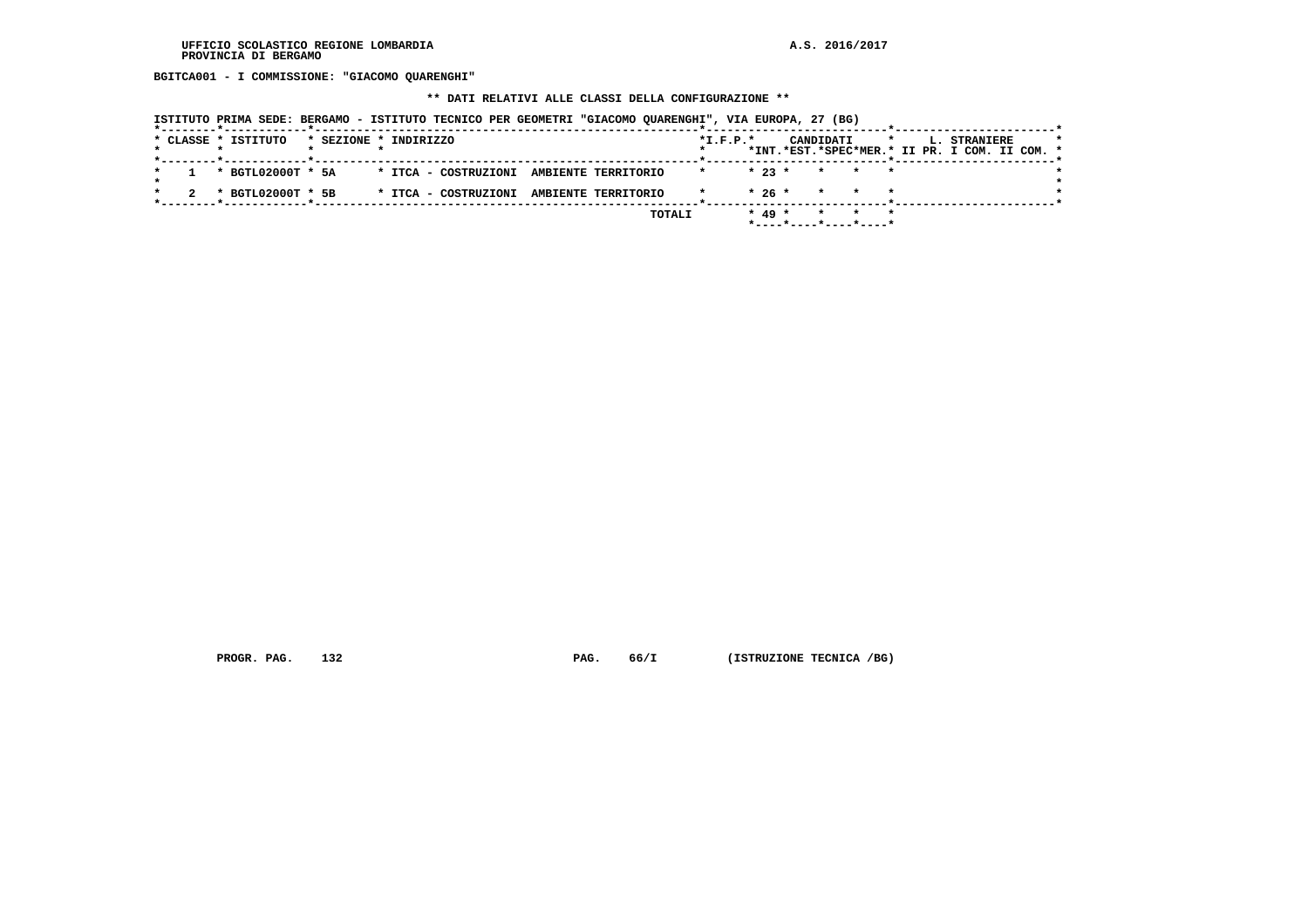**BGITCA001 - I COMMISSIONE: "GIACOMO QUARENGHI"**

 **\*\* DATI RELATIVI ALLE CLASSI DELLA CONFIGURAZIONE \*\***

|  | ISTITUTO PRIMA SEDE: BERGAMO - ISTITUTO TECNICO PER GEOMETRI "GIACOMO OUARENGHI", VIA EUROPA, 27 (BG) |  |  |  |  |  |  |  |
|--|-------------------------------------------------------------------------------------------------------|--|--|--|--|--|--|--|
|--|-------------------------------------------------------------------------------------------------------|--|--|--|--|--|--|--|

|  | * CLASSE * ISTITUTO | * SEZIONE * INDIRIZZO |  |                                          |        | $*L.F.P.*$ |          | CANDIDATI | $\star$ $\star$<br>*INT.*EST.*SPEC*MER.* II PR. I COM. II COM. * |  | <b>L. STRANIERE</b> |  | $\star$ |
|--|---------------------|-----------------------|--|------------------------------------------|--------|------------|----------|-----------|------------------------------------------------------------------|--|---------------------|--|---------|
|  |                     |                       |  |                                          |        |            |          |           |                                                                  |  |                     |  |         |
|  | * BGTL02000T * 5A   |                       |  | * ITCA - COSTRUZIONI AMBIENTE TERRITORIO |        | $\star$    |          |           | $\star$ 23 $\star$ $\star$ $\star$ $\star$                       |  |                     |  |         |
|  |                     |                       |  |                                          |        |            |          |           |                                                                  |  |                     |  |         |
|  | * BGTL02000T * 5B   |                       |  | * ITCA - COSTRUZIONI AMBIENTE TERRITORIO |        |            |          |           | $* 26 * * * * * * *$                                             |  |                     |  |         |
|  |                     |                       |  |                                          |        |            |          |           |                                                                  |  |                     |  |         |
|  |                     |                       |  |                                          | TOTALI |            | $* 49 *$ |           | * * *                                                            |  |                     |  |         |
|  |                     |                       |  |                                          |        |            |          |           |                                                                  |  |                     |  |         |

 **PROGR. PAG.** 132 **PAG.** 66/I (ISTRUZIONE TECNICA /BG)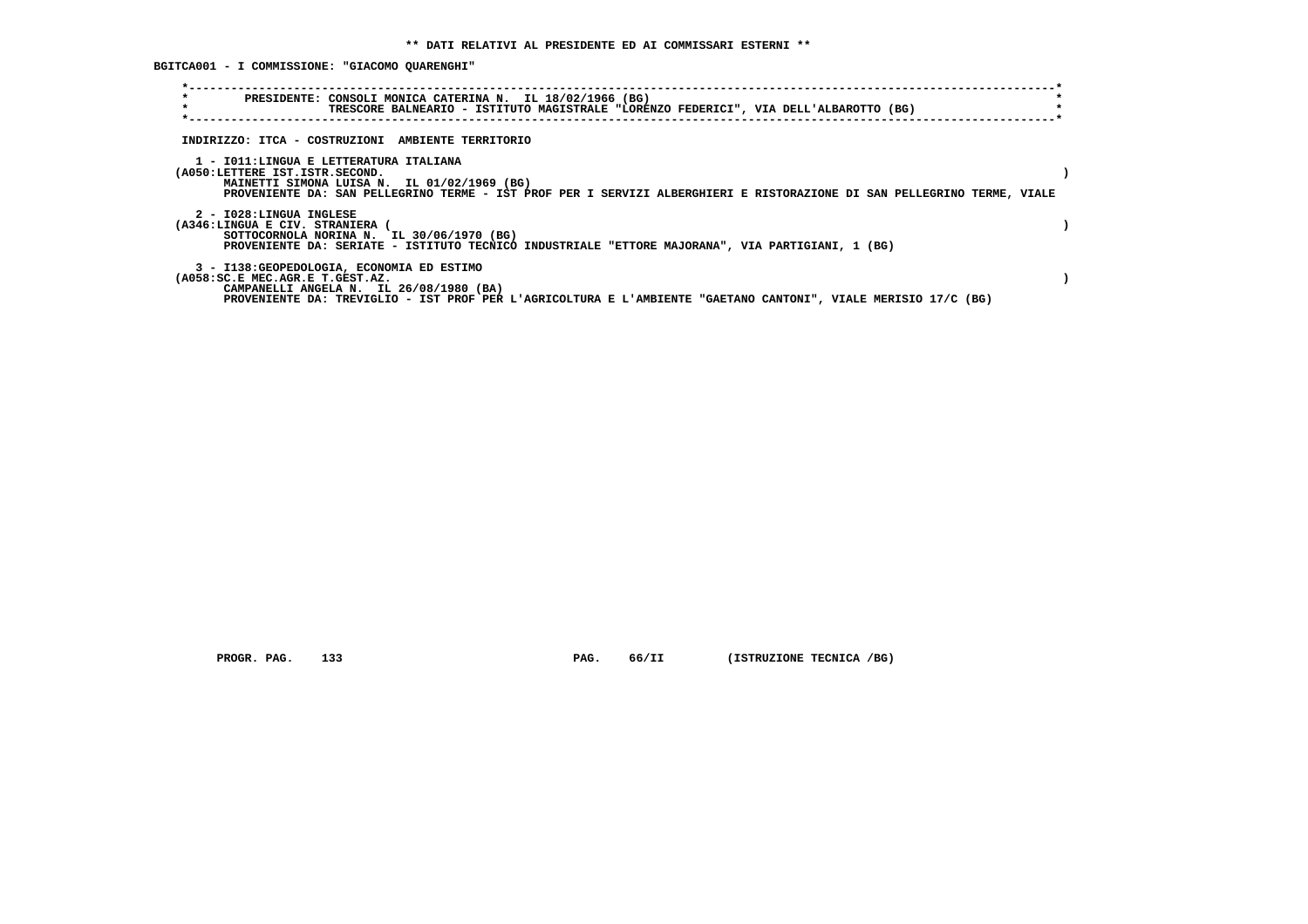**BGITCA001 - I COMMISSIONE: "GIACOMO QUARENGHI"**

| $\star$<br>$\star$                                       | PRESIDENTE: CONSOLI MONICA CATERINA N. IL 18/02/1966 (BG)<br>TRESCORE BALNEARIO - ISTITUTO MAGISTRALE "LORENZO FEDERICI", VIA DELL'ALBAROTTO (BG)                                                                |  |
|----------------------------------------------------------|------------------------------------------------------------------------------------------------------------------------------------------------------------------------------------------------------------------|--|
|                                                          | INDIRIZZO: ITCA - COSTRUZIONI AMBIENTE TERRITORIO                                                                                                                                                                |  |
| (A050:LETTERE IST.ISTR.SECOND.                           | 1 - IO11:LINGUA E LETTERATURA ITALIANA<br>MAINETTI SIMONA LUISA N. IL 01/02/1969 (BG)<br>PROVENIENTE DA: SAN PELLEGRINO TERME - IST PROF PER I SERVIZI ALBERGHIERI E RISTORAZIONE DI SAN PELLEGRINO TERME, VIALE |  |
| 2 - I028:LINGUA INGLESE<br>(A346:LINGUA E CIV. STRANIERA | SOTTOCORNOLA NORINA N. IL 30/06/1970 (BG)<br>PROVENIENTE DA: SERIATE - ISTITUTO TECNICO INDUSTRIALE "ETTORE MAJORANA", VIA PARTIGIANI, 1 (BG)                                                                    |  |
| (A058:SC.E MEC.AGR.E T.GEST.AZ.                          | 3 - I138: GEOPEDOLOGIA, ECONOMIA ED ESTIMO<br>CAMPANELLI ANGELA N. IL 26/08/1980 (BA)<br>PROVENIENTE DA: TREVIGLIO - IST PROF PER L'AGRICOLTURA E L'AMBIENTE "GAETANO CANTONI", VIALE MERISIO 17/C (BG)          |  |

 **PROGR. PAG.** 133 **PAG.** 66/II (ISTRUZIONE TECNICA /BG)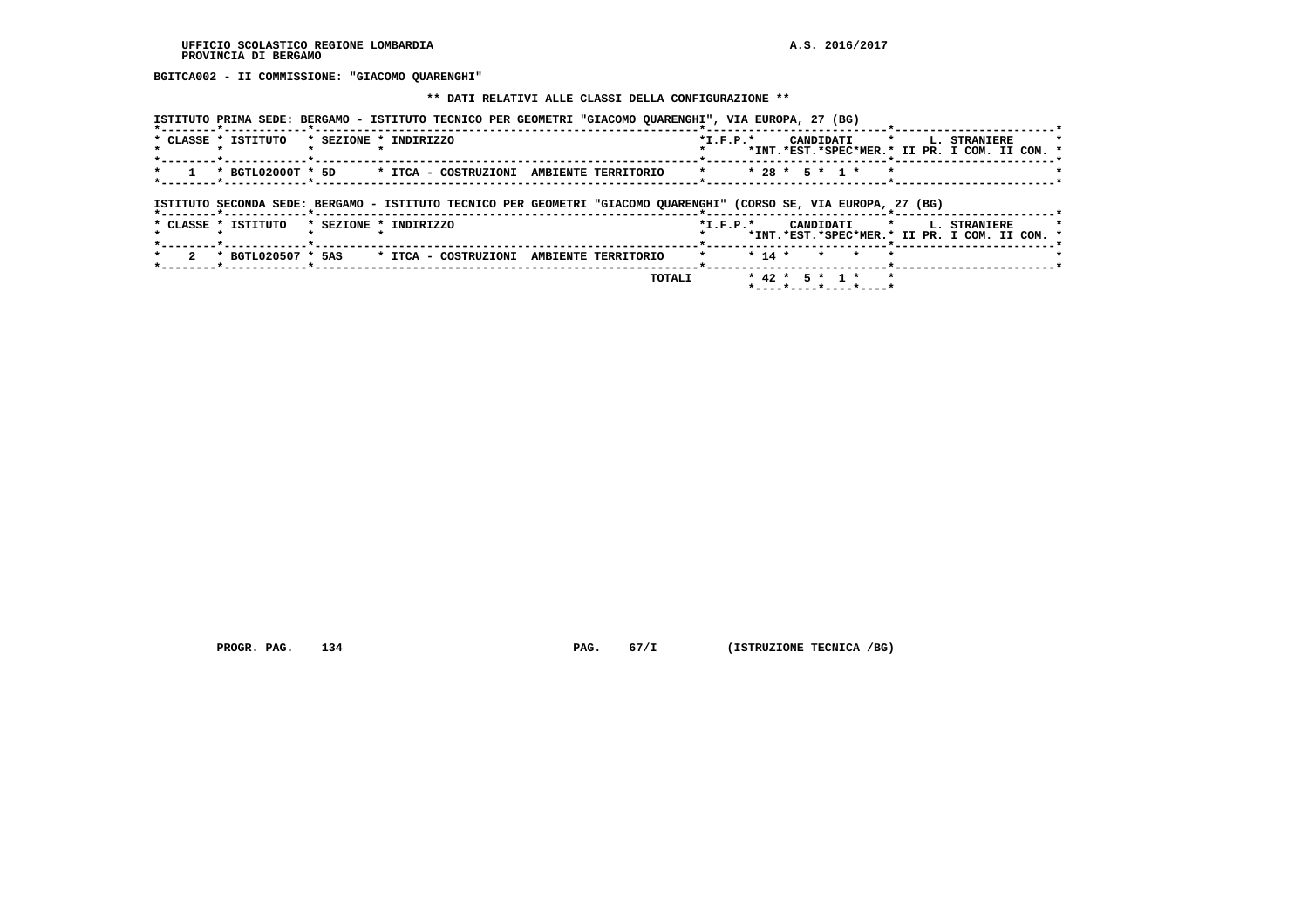**BGITCA002 - II COMMISSIONE: "GIACOMO QUARENGHI"**

#### **\*\* DATI RELATIVI ALLE CLASSI DELLA CONFIGURAZIONE \*\***

|                                           | ISTITUTO PRIMA SEDE: BERGAMO - ISTITUTO TECNICO PER GEOMETRI "GIACOMO QUARENGHI", VIA EUROPA, 27 (BG)             |                                               |
|-------------------------------------------|-------------------------------------------------------------------------------------------------------------------|-----------------------------------------------|
| * CLASSE * ISTITUTO * SEZIONE * INDIRIZZO |                                                                                                                   | *I.F.P.* CANDIDATI * L. STRANIERE<br>$\star$  |
|                                           |                                                                                                                   | *INT.*EST.*SPEC*MER.* II PR. I COM. II COM. * |
|                                           | * 1 * BGTL02000T * 5D * ITCA - COSTRUZIONI AMBIENTE TERRITORIO * * * 28 * 5 * 1 * *                               |                                               |
|                                           |                                                                                                                   |                                               |
|                                           | ISTITUTO SECONDA SEDE: BERGAMO - ISTITUTO TECNICO PER GEOMETRI "GIACOMO QUARENGHI" (CORSO SE, VIA EUROPA, 27 (BG) |                                               |

|  |  | * CLASSE * ISTITUTO | * SEZIONE * INDIRIZZO |  |                                                               |  |               | $*T.F.P.*$     |  |  |  |                                                                           |  | CANDIDATI * L. STRANIERE<br>*INT.*EST.*SPEC*MER.* II PR. I COM. II COM. * |  |  |
|--|--|---------------------|-----------------------|--|---------------------------------------------------------------|--|---------------|----------------|--|--|--|---------------------------------------------------------------------------|--|---------------------------------------------------------------------------|--|--|
|  |  |                     |                       |  | 2 * BGTL020507 * 5AS * ITCA - COSTRUZIONI AMBIENTE TERRITORIO |  |               | * * 14 * * * * |  |  |  |                                                                           |  |                                                                           |  |  |
|  |  |                     |                       |  |                                                               |  | <b>TOTALI</b> |                |  |  |  | $* 42 * 5 * 1 * * *$<br>$*$ - - - - $*$ - - - - $*$ - - - - $*$ - - - - + |  |                                                                           |  |  |

 **PROGR. PAG.** 134 **PAG.** 67/I (ISTRUZIONE TECNICA /BG)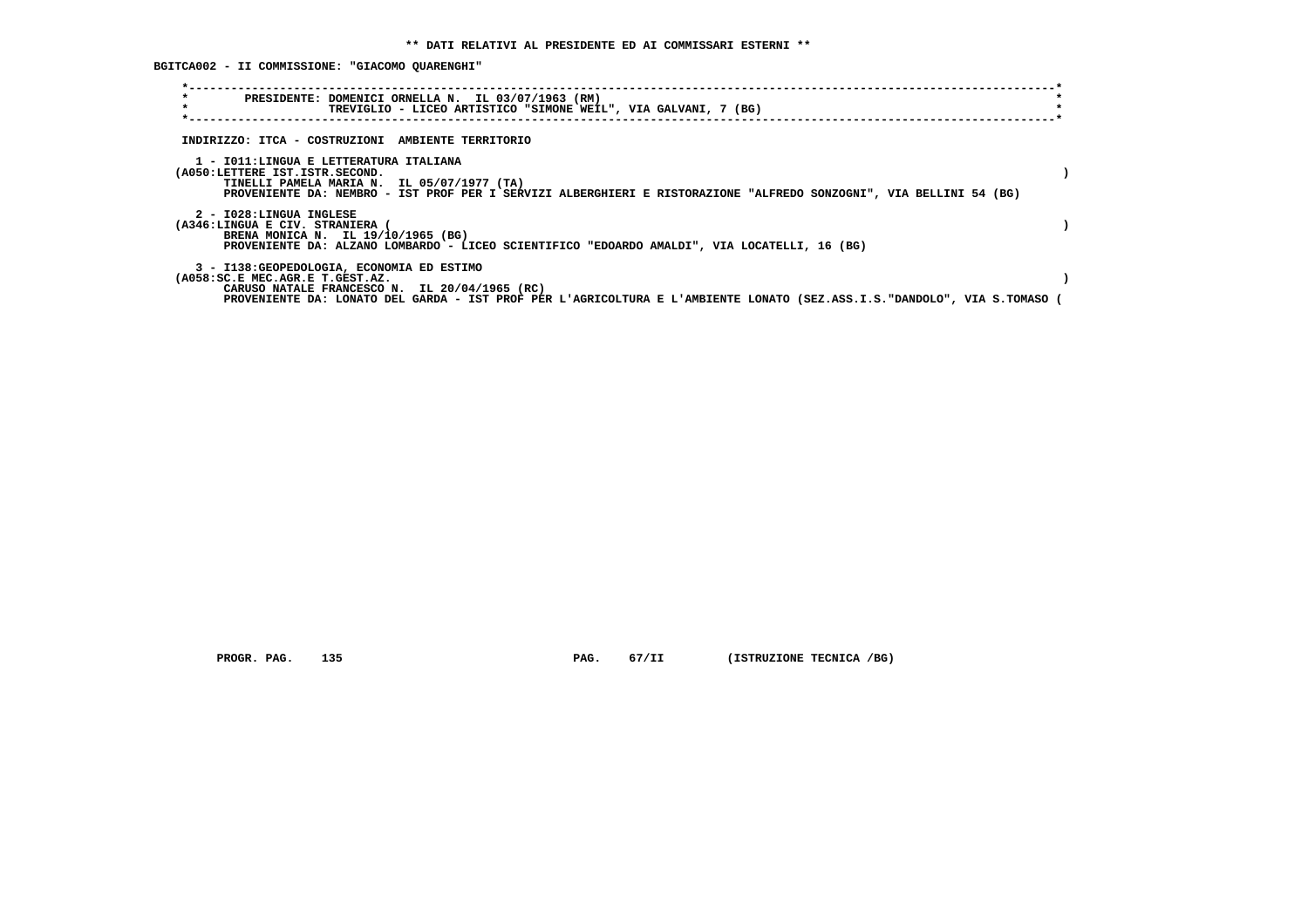**BGITCA002 - II COMMISSIONE: "GIACOMO QUARENGHI"**

| $\star$<br>PRESIDENTE: DOMENICI ORNELLA N. IL 03/07/1963 (RM)<br>$\star$<br>TREVIGLIO - LICEO ARTISTICO "SIMONE WEIL", VIA GALVANI, 7 (BG)                                                                                                                 |  |
|------------------------------------------------------------------------------------------------------------------------------------------------------------------------------------------------------------------------------------------------------------|--|
| INDIRIZZO: ITCA - COSTRUZIONI AMBIENTE TERRITORIO                                                                                                                                                                                                          |  |
| 1 - IO11:LINGUA E LETTERATURA ITALIANA<br>(A050:LETTERE IST.ISTR.SECOND.<br>TINELLI PAMELA MARIA N. IL 05/07/1977 (TA)<br>PROVENIENTE DA: NEMBRO - IST PROF PER I SERVIZI ALBERGHIERI E RISTORAZIONE "ALFREDO SONZOGNI", VIA BELLINI 54 (BG)               |  |
| 2 - I028:LINGUA INGLESE<br>(A346:LINGUA E CIV. STRANIERA (<br>BRENA MONICA N. IL 19/10/1965 (BG)<br>PROVENIENTE DA: ALZANO LOMBARDO - LICEO SCIENTIFICO "EDOARDO AMALDI", VIA LOCATELLI, 16 (BG)                                                           |  |
| 3 - I138: GEOPEDOLOGIA, ECONOMIA ED ESTIMO<br>(A058:SC.E MEC.AGR.E T.GEST.AZ.<br>CARUSO NATALE FRANCESCO N. IL 20/04/1965 (RC)<br>PROVENIENTE DA: LONATO DEL GARDA - IST PROF PER L'AGRICOLTURA E L'AMBIENTE LONATO (SEZ.ASS.I.S."DANDOLO", VIA S.TOMASO ( |  |

 **PROGR. PAG.** 135 **PAG.** 67/II (ISTRUZIONE TECNICA /BG)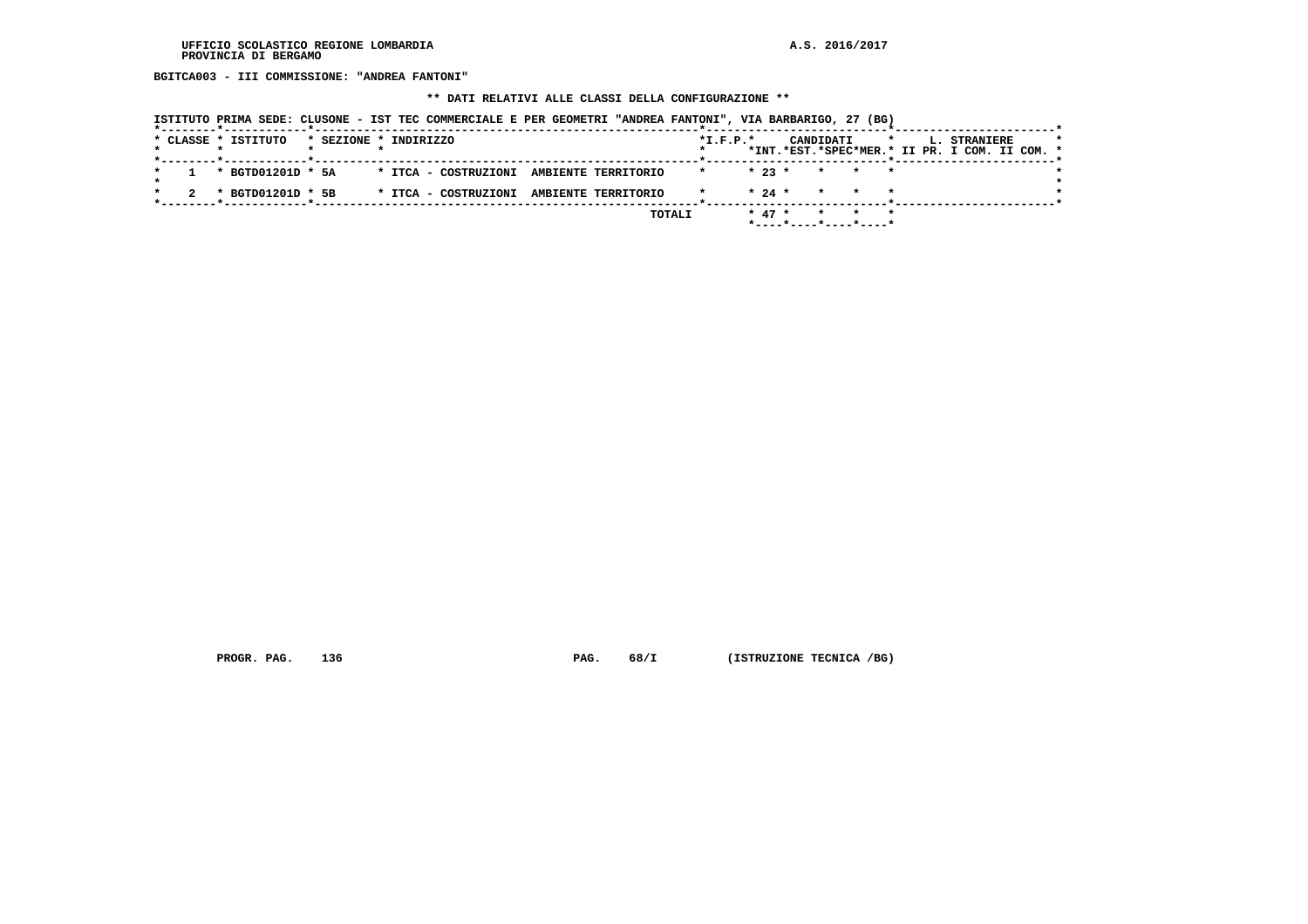**BGITCA003 - III COMMISSIONE: "ANDREA FANTONI"**

## **\*\* DATI RELATIVI ALLE CLASSI DELLA CONFIGURAZIONE \*\***

|  |  | ISTITUTO PRIMA SEDE: CLUSONE - IST TEC COMMERCIALE E PER GEOMETRI "ANDREA FANTONI", VIA BARBARIGO, 27 (BG) |                       |  |                                          |  |  |        |                |          |                                                     |                 |  |         |  |              |                                               |  |
|--|--|------------------------------------------------------------------------------------------------------------|-----------------------|--|------------------------------------------|--|--|--------|----------------|----------|-----------------------------------------------------|-----------------|--|---------|--|--------------|-----------------------------------------------|--|
|  |  | * CLASSE * ISTITUTO                                                                                        | * SEZIONE * INDIRIZZO |  |                                          |  |  |        | $*$ I.F.P. $*$ |          |                                                     | CANDIDATI       |  | $\star$ |  | L. STRANIERE | *INT.*EST.*SPEC*MER.* II PR. I COM. II COM. * |  |
|  |  | * BGTD01201D * 5A                                                                                          |                       |  | * ITCA - COSTRUZIONI AMBIENTE TERRITORIO |  |  |        | $\star$        | $* 23 *$ |                                                     | * * *           |  |         |  |              |                                               |  |
|  |  | * BGTD01201D * 5B                                                                                          |                       |  | * ITCA - COSTRUZIONI AMBIENTE TERRITORIO |  |  |        |                | $* 24 *$ |                                                     | $\star$ $\star$ |  |         |  |              |                                               |  |
|  |  |                                                                                                            |                       |  |                                          |  |  | TOTALI |                | $* 47 *$ | $*$ - - - - $*$ - - - - $*$ - - - - $*$ - - - - $*$ | * * *           |  |         |  |              |                                               |  |

 **PROGR. PAG.** 136 **PAG.** 68/I (ISTRUZIONE TECNICA /BG)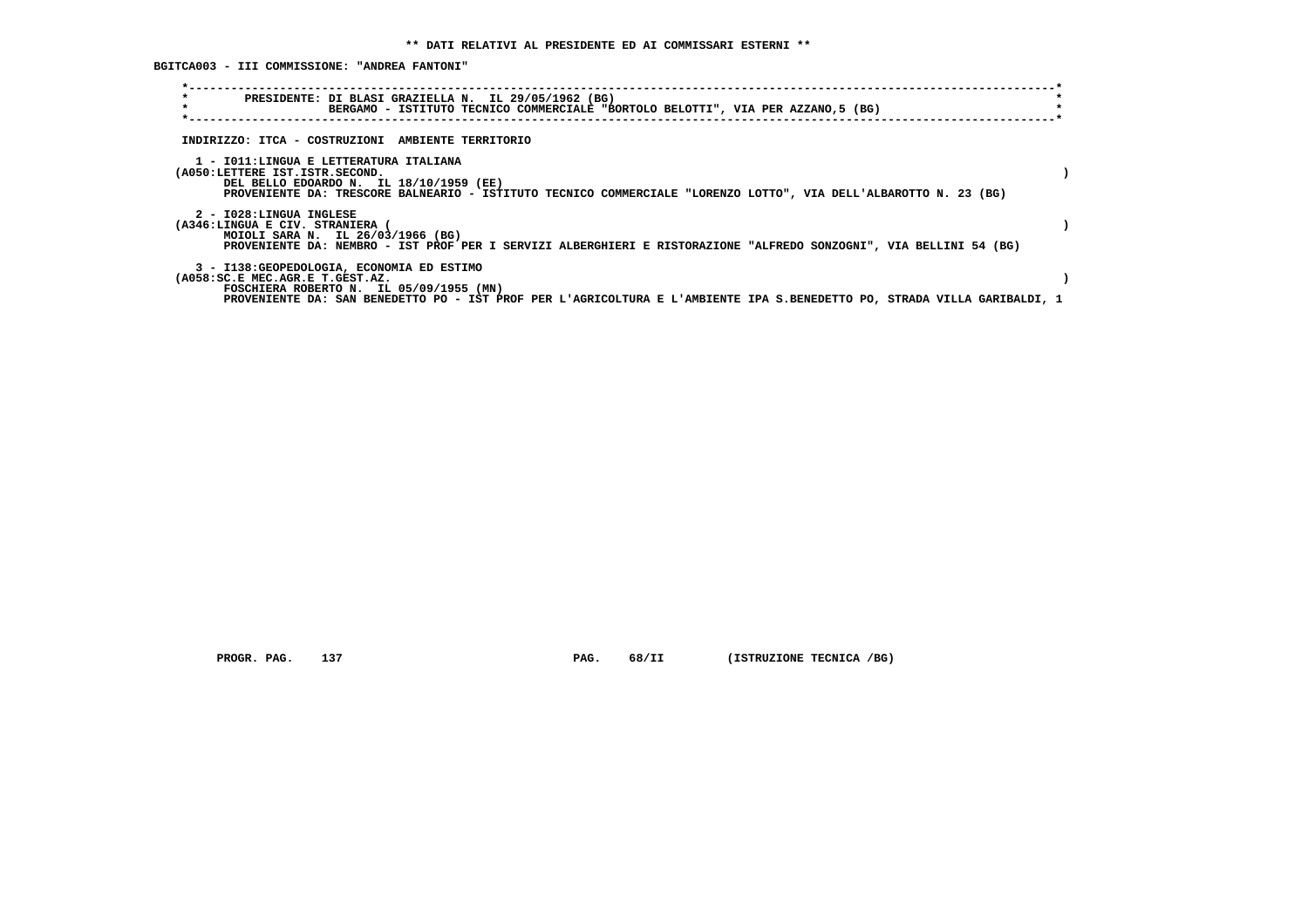**BGITCA003 - III COMMISSIONE: "ANDREA FANTONI"**

| $\star$<br>PRESIDENTE: DI BLASI GRAZIELLA N. IL 29/05/1962 (BG)<br>$\star$<br>BERGAMO - ISTITUTO TECNICO COMMERCIALE "BORTOLO BELOTTI", VIA PER AZZANO,5 (BG)                                                                                        |  |
|------------------------------------------------------------------------------------------------------------------------------------------------------------------------------------------------------------------------------------------------------|--|
| INDIRIZZO: ITCA - COSTRUZIONI AMBIENTE TERRITORIO                                                                                                                                                                                                    |  |
| 1 - IO11:LINGUA E LETTERATURA ITALIANA<br>(A050:LETTERE IST.ISTR.SECOND.<br>DEL BELLO EDOARDO N. IL 18/10/1959 (EE)<br>PROVENIENTE DA: TRESCORE BALNEARIO - ISTITUTO TECNICO COMMERCIALE "LORENZO LOTTO", VIA DELL'ALBAROTTO N. 23 (BG)              |  |
| 2 - I028:LINGUA INGLESE<br>(A346:LINGUA E CIV. STRANIERA (<br>MOIOLI SARA N. IL 26/03/1966 (BG)<br>PROVENIENTE DA: NEMBRO - IST PROF PER I SERVIZI ALBERGHIERI E RISTORAZIONE "ALFREDO SONZOGNI", VIA BELLINI 54 (BG)                                |  |
| 3 - I138: GEOPEDOLOGIA, ECONOMIA ED ESTIMO<br>(A058:SC.E MEC.AGR.E T.GEST.AZ.<br>FOSCHIERA ROBERTO N. IL 05/09/1955 (MN)<br>PROVENIENTE DA: SAN BENEDETTO PO - IST PROF PER L'AGRICOLTURA E L'AMBIENTE IPA S.BENEDETTO PO, STRADA VILLA GARIBALDI, 1 |  |

 **PROGR. PAG.** 137 **PAG.** 68/II (ISTRUZIONE TECNICA /BG)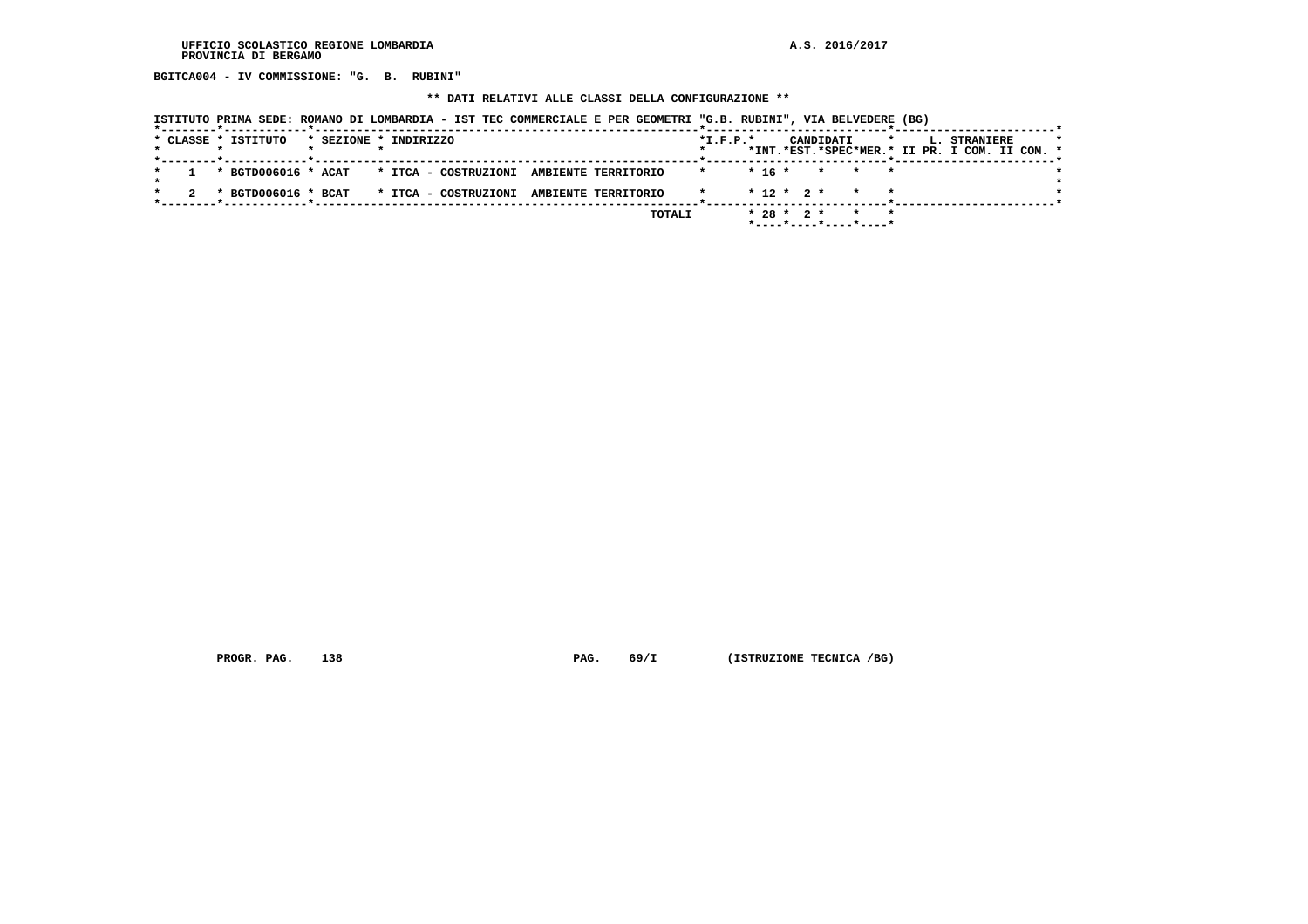**BGITCA004 - IV COMMISSIONE: "G. B. RUBINI"**

#### **\*\* DATI RELATIVI ALLE CLASSI DELLA CONFIGURAZIONE \*\***

 **ISTITUTO PRIMA SEDE: ROMANO DI LOMBARDIA - IST TEC COMMERCIALE E PER GEOMETRI "G.B. RUBINI", VIA BELVEDERE (BG)**

|  | * CLASSE * ISTITUTO                      | * SEZIONE * INDIRIZZO |  |                      |  |                     |        | $*L.F.P.*$ |          |  | CANDIDATI |                                                     | $\star$ |  | L. STRANIERE                                  |  |  |
|--|------------------------------------------|-----------------------|--|----------------------|--|---------------------|--------|------------|----------|--|-----------|-----------------------------------------------------|---------|--|-----------------------------------------------|--|--|
|  |                                          |                       |  |                      |  |                     |        |            |          |  |           |                                                     |         |  | *INT.*EST.*SPEC*MER.* II PR. I COM. II COM. * |  |  |
|  | * BGTD006016 * ACAT * ITCA - COSTRUZIONI |                       |  |                      |  | AMBIENTE TERRITORIO |        |            | $* 16 *$ |  |           | * * *                                               |         |  |                                               |  |  |
|  |                                          |                       |  |                      |  |                     |        |            |          |  |           |                                                     |         |  |                                               |  |  |
|  | * BGTD006016 * BCAT                      |                       |  | * ITCA – COSTRUZIONI |  | AMBIENTE TERRITORIO |        |            |          |  |           | $* 12 * 2 * * * * *$                                |         |  |                                               |  |  |
|  |                                          |                       |  |                      |  |                     | TOTALI |            |          |  |           | $* 28 * 2 * * * * *$                                |         |  |                                               |  |  |
|  |                                          |                       |  |                      |  |                     |        |            |          |  |           | $*$ - - - - $*$ - - - - $*$ - - - - $*$ - - - - $*$ |         |  |                                               |  |  |

 **PROGR. PAG.** 138 **PAG.** 69/I (ISTRUZIONE TECNICA /BG)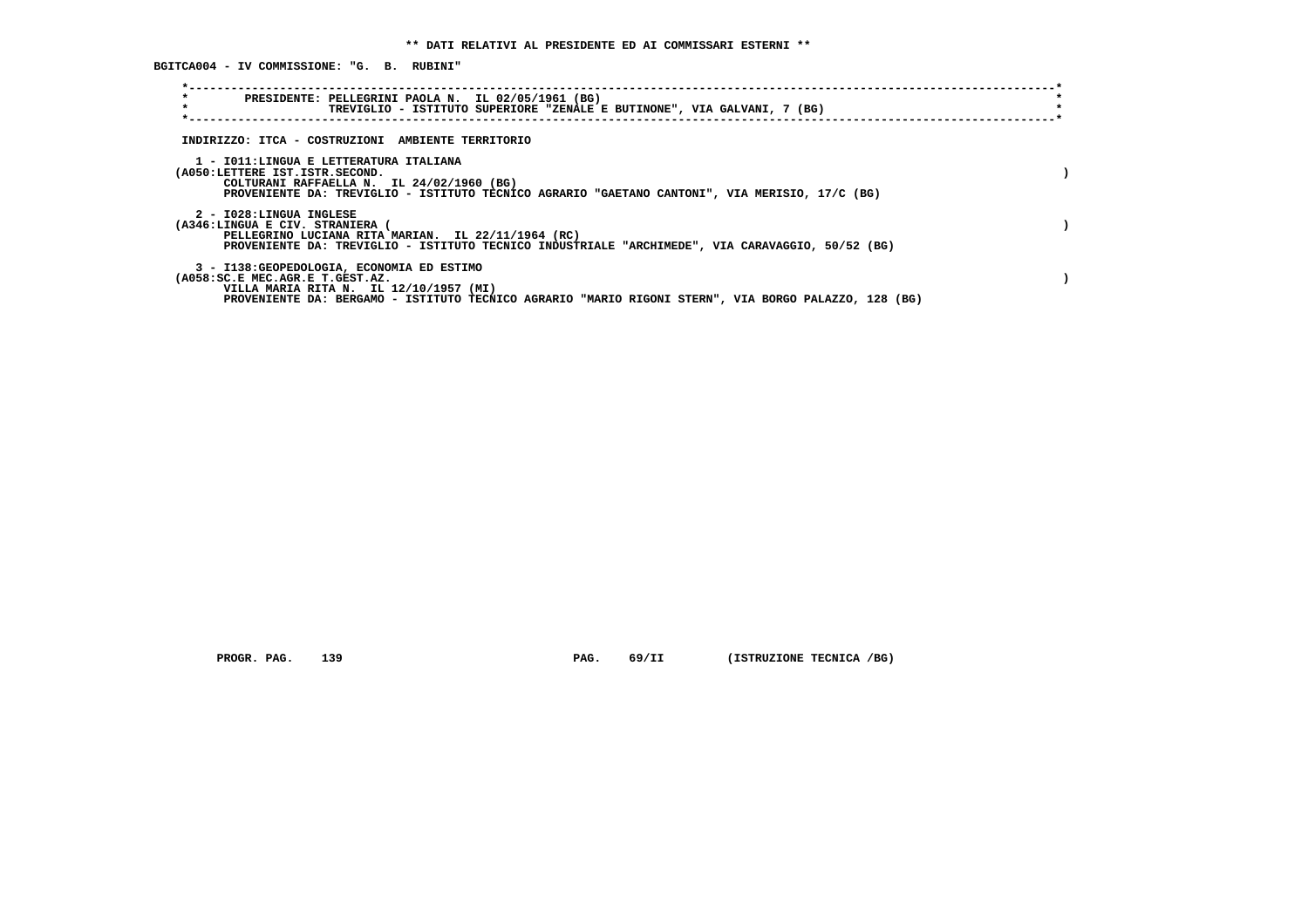**\*----------------------------------------------------------------------------------------------------------------------------\* \* PRESIDENTE: PELLEGRINI PAOLA N. IL 02/05/1961 (BG) \*** $\star$  **\* TREVIGLIO - ISTITUTO SUPERIORE "ZENALE E BUTINONE", VIA GALVANI, 7 (BG) \* \*----------------------------------------------------------------------------------------------------------------------------\* INDIRIZZO: ITCA - COSTRUZIONI AMBIENTE TERRITORIO 1 - I011:LINGUA E LETTERATURA ITALIANA (A050:LETTERE IST.ISTR.SECOND. ) COLTURANI RAFFAELLA N. IL 24/02/1960 (BG) PROVENIENTE DA: TREVIGLIO - ISTITUTO TECNICO AGRARIO "GAETANO CANTONI", VIA MERISIO, 17/C (BG) 2 - I028:LINGUA INGLESE (A346:LINGUA E CIV. STRANIERA ( ) PELLEGRINO LUCIANA RITA MARIAN. IL 22/11/1964 (RC) PROVENIENTE DA: TREVIGLIO - ISTITUTO TECNICO INDUSTRIALE "ARCHIMEDE", VIA CARAVAGGIO, 50/52 (BG) 3 - I138:GEOPEDOLOGIA, ECONOMIA ED ESTIMO (A058:SC.E MEC.AGR.E T.GEST.AZ. ) VILLA MARIA RITA N. IL 12/10/1957 (MI) PROVENIENTE DA: BERGAMO - ISTITUTO TECNICO AGRARIO "MARIO RIGONI STERN", VIA BORGO PALAZZO, 128 (BG)**

 **PROGR. PAG.** 139 **PAG. PAG.** 69/II (ISTRUZIONE TECNICA /BG)

 **BGITCA004 - IV COMMISSIONE: "G. B. RUBINI"**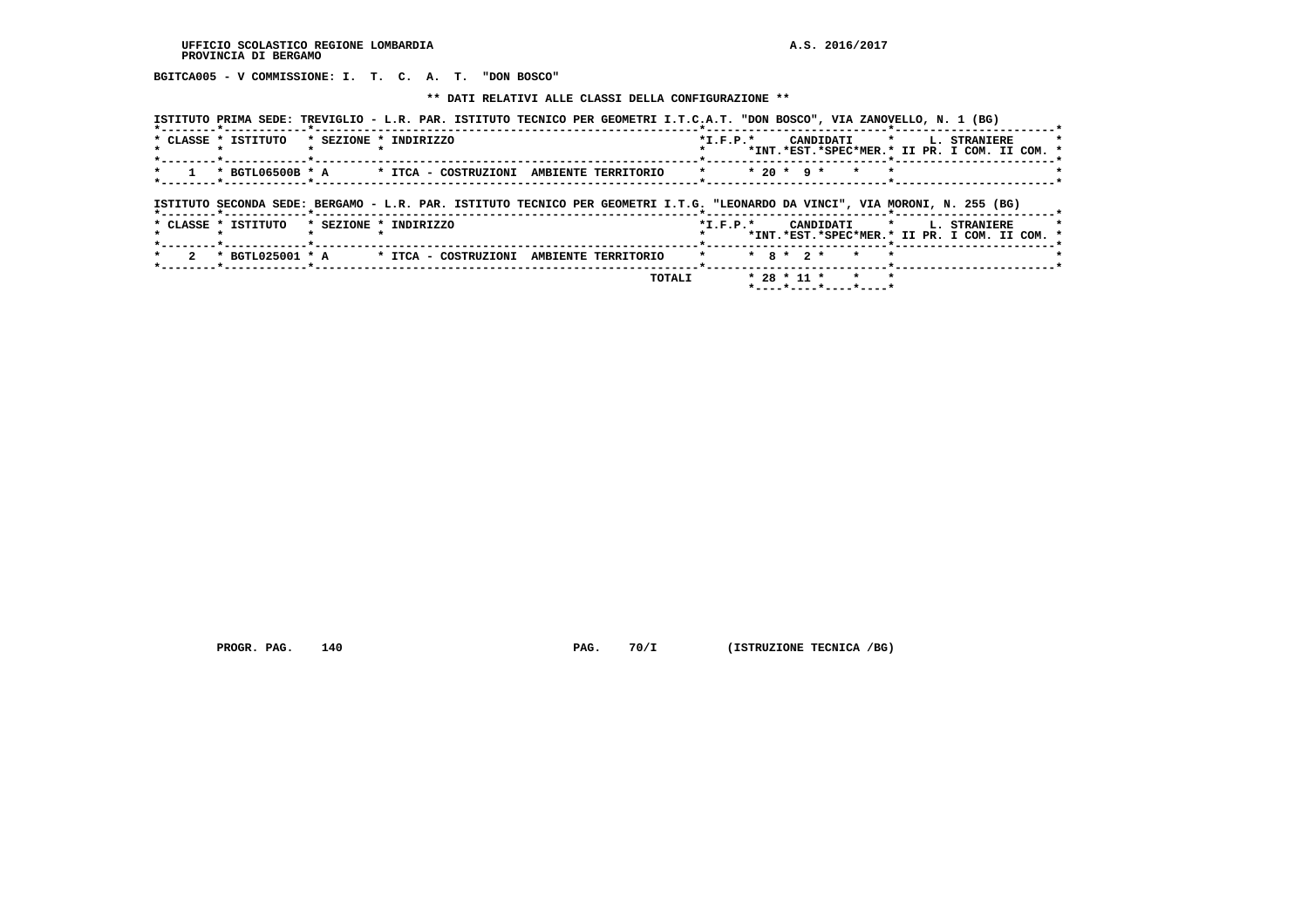**BGITCA005 - V COMMISSIONE: I. T. C. A. T. "DON BOSCO"**

 **\*\* DATI RELATIVI ALLE CLASSI DELLA CONFIGURAZIONE \*\***

| ISTITUTO PRIMA SEDE: TREVIGLIO - L.R. PAR. ISTITUTO TECNICO PER GEOMETRI I.T.C.A.T. "DON BOSCO", VIA ZANOVELLO, N. 1 (BG)    |                       |                                          |  |        |            |              |                 |                                                 |           |                          |                                               |
|------------------------------------------------------------------------------------------------------------------------------|-----------------------|------------------------------------------|--|--------|------------|--------------|-----------------|-------------------------------------------------|-----------|--------------------------|-----------------------------------------------|
| * CLASSE * ISTITUTO                                                                                                          | * SEZIONE * INDIRIZZO |                                          |  |        | $*L.F.P.*$ |              |                 |                                                 |           | CANDIDATI * L. STRANIERE | *INT.*EST.*SPEC*MER.* II PR. I COM. II COM. * |
| * BGTL06500B * A * ITCA - COSTRUZIONI AMBIENTE TERRITORIO                                                                    |                       |                                          |  |        | $\star$    | $* 20 * 9 *$ |                 | $\star$                                         | $\bullet$ |                          |                                               |
| ISTITUTO SECONDA SEDE: BERGAMO - L.R. PAR. ISTITUTO TECNICO PER GEOMETRI I.T.G. "LEONARDO DA VINCI", VIA MORONI, N. 255 (BG) |                       |                                          |  |        |            |              |                 |                                                 |           |                          |                                               |
| * CLASSE * ISTITUTO                                                                                                          | * SEZIONE * INDIRIZZO |                                          |  |        | $*L.F.P.*$ |              |                 |                                                 |           | CANDIDATI * L. STRANIERE | *INT.*EST.*SPEC*MER.* II PR. I COM. II COM. * |
| * BGTL025001 * A                                                                                                             |                       | * ITCA - COSTRUZIONI AMBIENTE TERRITORIO |  |        |            |              | $*$ 8 $*$ 2 $*$ | $\star$                                         |           |                          |                                               |
|                                                                                                                              |                       |                                          |  | TOTALI |            |              | $* 28 * 11 *$   | $\star$<br>$*$ ---- $*$ ---- $*$ ---- $*$ ----* | $\star$   |                          |                                               |

 **PROGR. PAG.** 140 **PAG. PAG.** 70/I (ISTRUZIONE TECNICA /BG)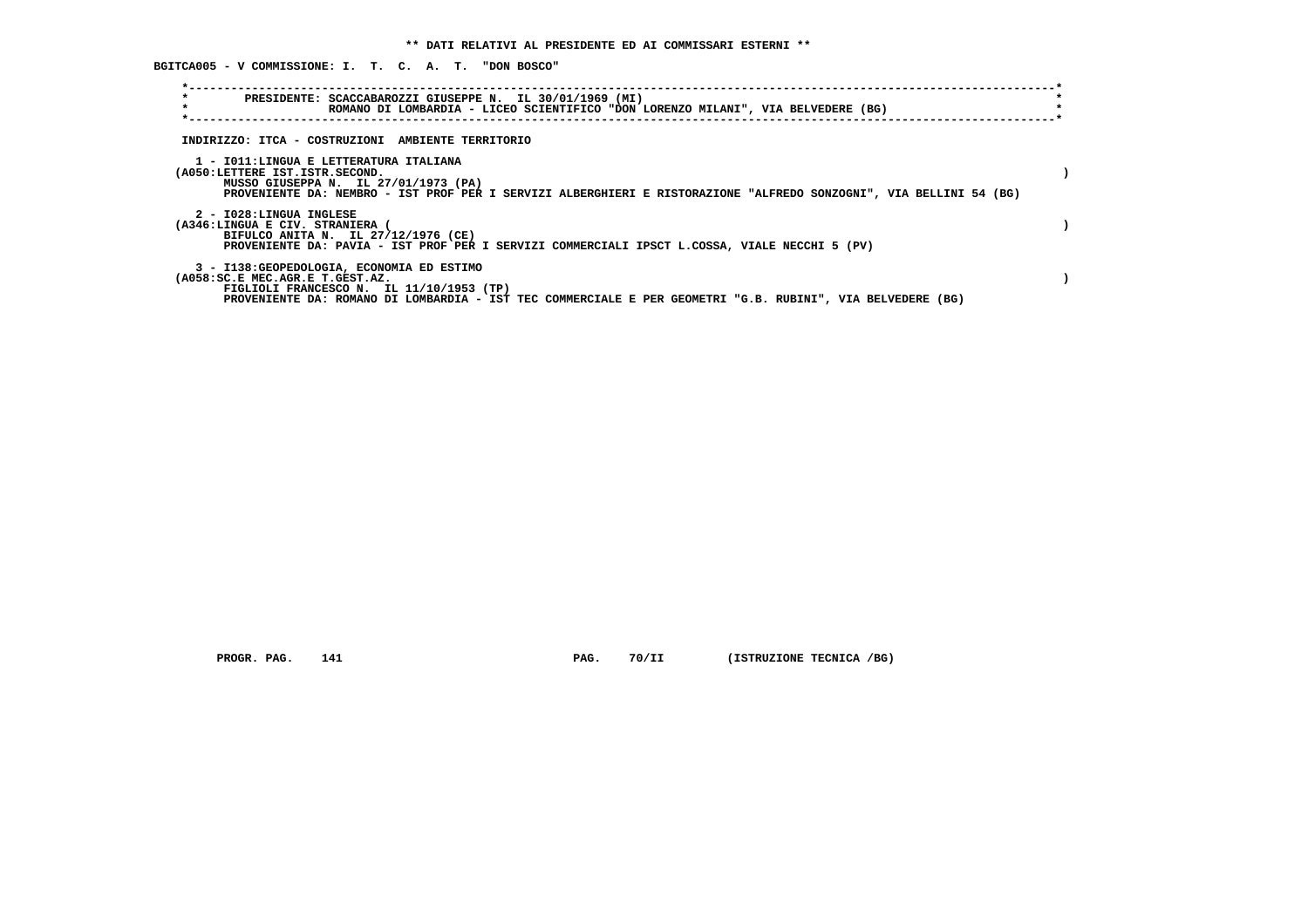**BGITCA005 - V COMMISSIONE: I. T. C. A. T. "DON BOSCO"**

| $\star$<br>PRESIDENTE: SCACCABAROZZI GIUSEPPE N. IL 30/01/1969 (MI)<br>$\star$<br>ROMANO DI LOMBARDIA - LICEO SCIENTIFICO "DON LORENZO MILANI", VIA BELVEDERE (BG)                                                                      |  |
|-----------------------------------------------------------------------------------------------------------------------------------------------------------------------------------------------------------------------------------------|--|
| INDIRIZZO: ITCA - COSTRUZIONI AMBIENTE TERRITORIO                                                                                                                                                                                       |  |
| 1 - IO11:LINGUA E LETTERATURA ITALIANA<br>(A050:LETTERE IST.ISTR.SECOND.<br>MUSSO GIUSEPPA N. IL 27/01/1973 (PA)<br>PROVENIENTE DA: NEMBRO - IST PROF PER I SERVIZI ALBERGHIERI E RISTORAZIONE "ALFREDO SONZOGNI", VIA BELLINI 54 (BG)  |  |
| 2 - I028:LINGUA INGLESE<br>(A346:LINGUA E CIV. STRANIERA (<br>BIFULCO ANITA N. IL 27/12/1976 (CE)<br>PROVENIENTE DA: PAVIA - IST PROF PER I SERVIZI COMMERCIALI IPSCT L.COSSA, VIALE NECCHI 5 (PV)                                      |  |
| 3 - I138: GEOPEDOLOGIA, ECONOMIA ED ESTIMO<br>(A058:SC.E MEC.AGR.E T.GEST.AZ.<br>FIGLIOLI FRANCESCO N. IL 11/10/1953 (TP)<br>PROVENIENTE DA: ROMANO DI LOMBARDIA - IST TEC COMMERCIALE E PER GEOMETRI "G.B. RUBINI", VIA BELVEDERE (BG) |  |

 **PROGR. PAG.** 141 **PAG.** 70/II (ISTRUZIONE TECNICA /BG)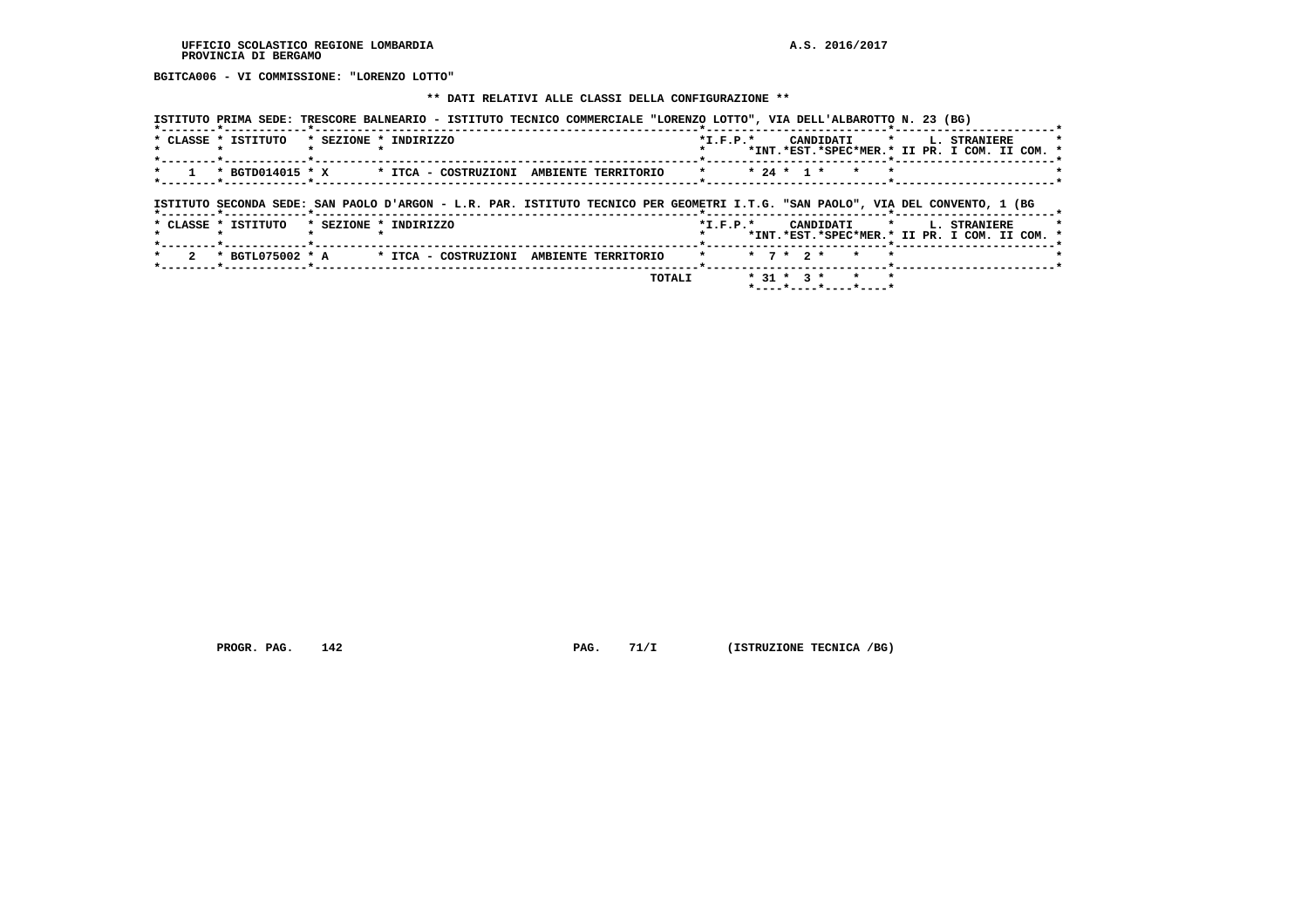**BGITCA006 - VI COMMISSIONE: "LORENZO LOTTO"**

#### **\*\* DATI RELATIVI ALLE CLASSI DELLA CONFIGURAZIONE \*\***

| * * 24 * 1 * *<br>ISTITUTO SECONDA SEDE: SAN PAOLO D'ARGON - L.R. PAR. ISTITUTO TECNICO PER GEOMETRI I.T.G. "SAN PAOLO", VIA DEL CONVENTO, 1 (BG<br>*--------*------------*-------------<br>* CLASSE * ISTITUTO<br>* SEZIONE * INDIRIZZO<br>*I.F.P.* CANDIDATI * L. STRANIERE<br>*INT.*EST.*SPEC*MER.* II PR. I COM. II COM. *<br>$\star$ 7 $\star$ 2 $\star$ $\star$<br>* BGTL075002 * A * ITCA - COSTRUZIONI AMBIENTE TERRITORIO<br>$\star$ | *--------*------------*--------<br>* CLASSE * ISTITUTO | * SEZIONE * INDIRIZZO |  |  |  |  |  |  | *I.F.P.* CANDIDATI * L. STRANIERE<br>*INT.*EST.*SPEC*MER.* II PR. I COM. II COM. * |  |
|-----------------------------------------------------------------------------------------------------------------------------------------------------------------------------------------------------------------------------------------------------------------------------------------------------------------------------------------------------------------------------------------------------------------------------------------------|--------------------------------------------------------|-----------------------|--|--|--|--|--|--|------------------------------------------------------------------------------------|--|
|                                                                                                                                                                                                                                                                                                                                                                                                                                               |                                                        |                       |  |  |  |  |  |  |                                                                                    |  |
|                                                                                                                                                                                                                                                                                                                                                                                                                                               |                                                        |                       |  |  |  |  |  |  |                                                                                    |  |
|                                                                                                                                                                                                                                                                                                                                                                                                                                               |                                                        |                       |  |  |  |  |  |  |                                                                                    |  |
|                                                                                                                                                                                                                                                                                                                                                                                                                                               |                                                        |                       |  |  |  |  |  |  |                                                                                    |  |

 **PROGR. PAG.** 142 **PAG. PAG.** 71/I (ISTRUZIONE TECNICA /BG)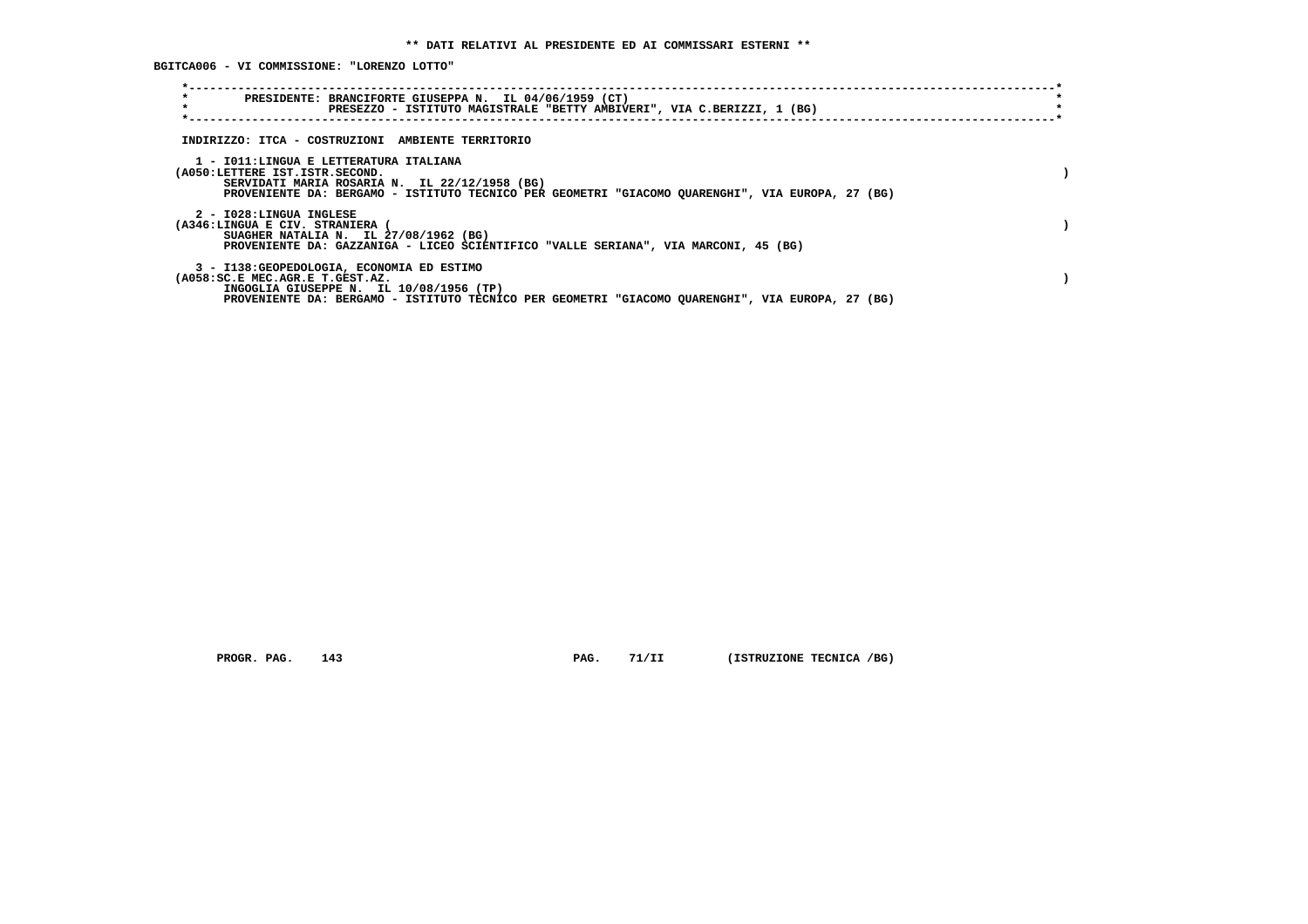**BGITCA006 - VI COMMISSIONE: "LORENZO LOTTO"**

| $\star$<br>PRESIDENTE: BRANCIFORTE GIUSEPPA N. IL 04/06/1959 (CT)<br>$\star$<br>PRESEZZO - ISTITUTO MAGISTRALE "BETTY AMBIVERI", VIA C.BERIZZI, 1 (BG)                                                                         |  |
|--------------------------------------------------------------------------------------------------------------------------------------------------------------------------------------------------------------------------------|--|
| INDIRIZZO: ITCA - COSTRUZIONI AMBIENTE TERRITORIO                                                                                                                                                                              |  |
| 1 - IO11: LINGUA E LETTERATURA ITALIANA<br>(A050:LETTERE IST.ISTR.SECOND.<br>SERVIDATI MARIA ROSARIA N. IL 22/12/1958 (BG)<br>PROVENIENTE DA: BERGAMO - ISTITUTO TECNICO PER GEOMETRI "GIACOMO QUARENGHI", VIA EUROPA, 27 (BG) |  |
| 2 - I028:LINGUA INGLESE<br>(A346:LINGUA E CIV. STRANIERA<br>SUAGHER NATALIA N. IL 27/08/1962 (BG)<br>PROVENIENTE DA: GAZZANIGA - LICEO SCIENTIFICO "VALLE SERIANA", VIA MARCONI, 45 (BG)                                       |  |
| 3 - I138: GEOPEDOLOGIA, ECONOMIA ED ESTIMO<br>(A058:SC.E MEC.AGR.E T.GEST.AZ.<br>INGOGLIA GIUSEPPE N. IL 10/08/1956 (TP)<br>PROVENIENTE DA: BERGAMO - ISTITUTO TECNICO PER GEOMETRI "GIACOMO QUARENGHI", VIA EUROPA, 27 (BG)   |  |

 **PROGR. PAG.** 143 **PAG.** 71/II (ISTRUZIONE TECNICA /BG)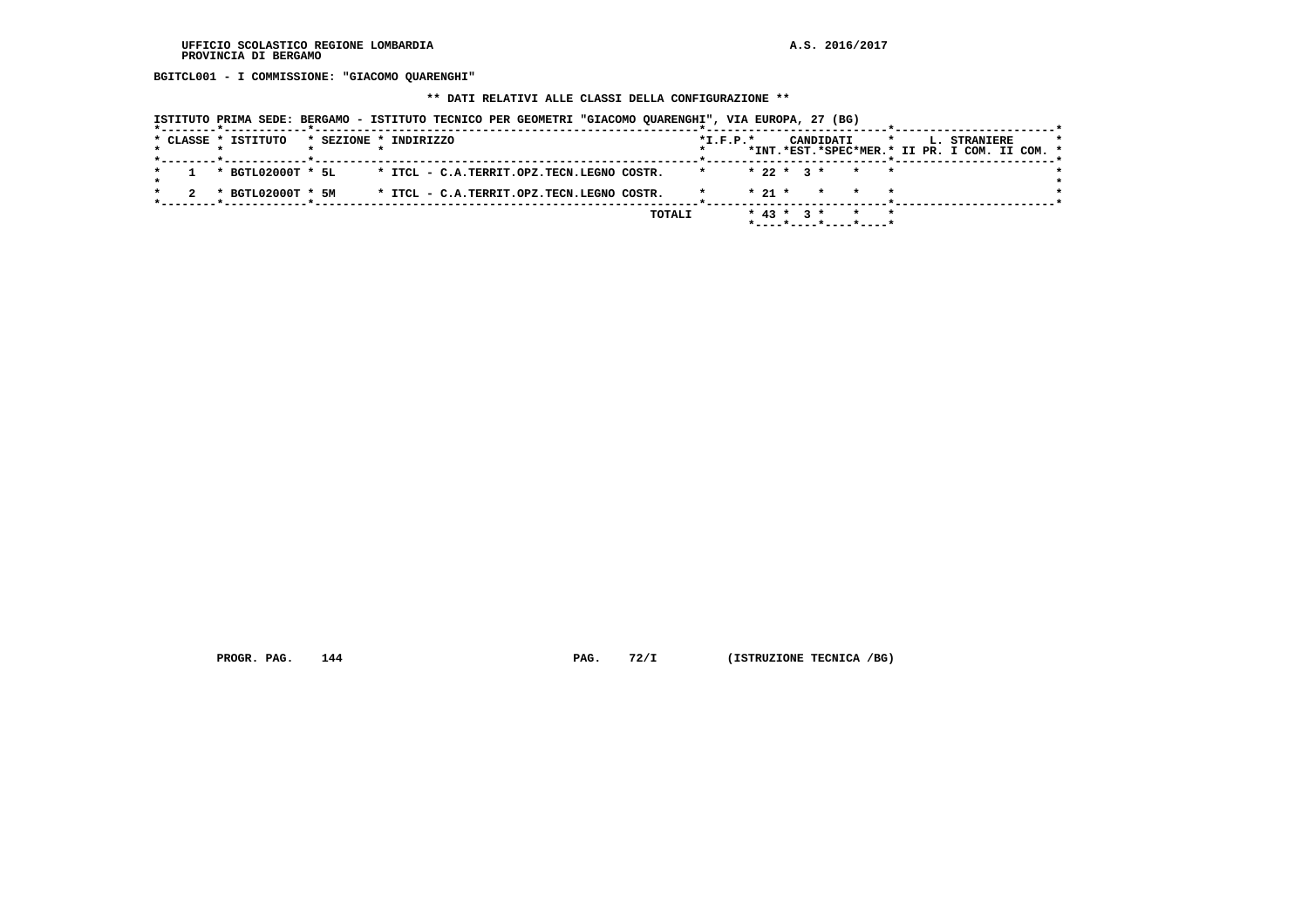**BGITCL001 - I COMMISSIONE: "GIACOMO QUARENGHI"**

 **\*\* DATI RELATIVI ALLE CLASSI DELLA CONFIGURAZIONE \*\***

|  | ISTITUTO PRIMA SEDE: BERGAMO - ISTITUTO TECNICO PER GEOMETRI "GIACOMO OUARENGHI", VIA EUROPA, 27 (BG) |  |  |  |  |  |  |  |
|--|-------------------------------------------------------------------------------------------------------|--|--|--|--|--|--|--|
|--|-------------------------------------------------------------------------------------------------------|--|--|--|--|--|--|--|

|  | --------*------------*-------------- |  |                                           |        |                |          |  |                        |              |  |                                               |         |
|--|--------------------------------------|--|-------------------------------------------|--------|----------------|----------|--|------------------------|--------------|--|-----------------------------------------------|---------|
|  | * CLASSE * ISTITUTO                  |  | * SEZIONE * INDIRIZZO                     |        | $*$ I.F.P. $*$ |          |  | CANDIDATI              | $\mathbf{r}$ |  | <b>L. STRANIERE</b>                           | $\star$ |
|  |                                      |  |                                           |        |                |          |  |                        |              |  | *INT.*EST.*SPEC*MER.* II PR. I COM. II COM. * |         |
|  |                                      |  |                                           |        |                |          |  |                        |              |  |                                               |         |
|  | * BGTL02000T * 5L                    |  | * ITCL - C.A.TERRIT.OPZ.TECN.LEGNO COSTR. |        |                |          |  | $* 22 * 3 * * * * *$   |              |  |                                               |         |
|  |                                      |  |                                           |        |                |          |  |                        |              |  |                                               |         |
|  | * BGTL02000T * 5M                    |  | * ITCL - C.A.TERRIT.OPZ.TECN.LEGNO COSTR. |        |                | $* 21 *$ |  | * * *                  |              |  |                                               |         |
|  |                                      |  |                                           |        |                |          |  |                        |              |  |                                               |         |
|  |                                      |  |                                           | TOTALI |                |          |  | $* 43 * 3 * * * * * *$ |              |  |                                               |         |
|  |                                      |  |                                           |        |                |          |  |                        |              |  |                                               |         |
|  |                                      |  |                                           |        |                |          |  |                        |              |  |                                               |         |

 **PROGR. PAG.** 144 **PAG.** 72/I (ISTRUZIONE TECNICA /BG)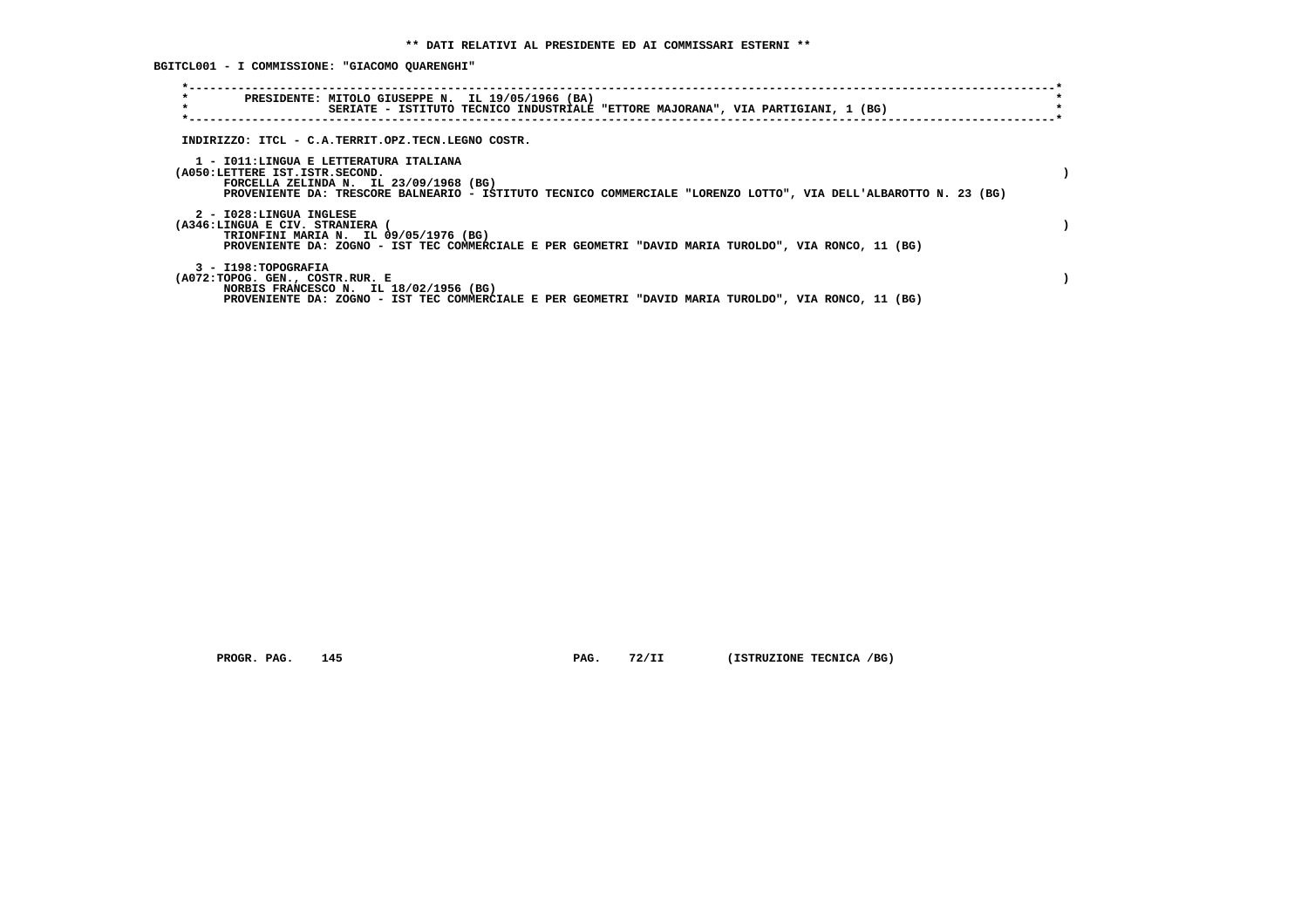**BGITCL001 - I COMMISSIONE: "GIACOMO QUARENGHI"**

| $\star$<br>PRESIDENTE: MITOLO GIUSEPPE N. IL 19/05/1966 (BA)<br>$\star$                                              | SERIATE - ISTITUTO TECNICO INDUSTRIALE "ETTORE MAJORANA", VIA PARTIGIANI, 1 (BG)                                 |  |
|----------------------------------------------------------------------------------------------------------------------|------------------------------------------------------------------------------------------------------------------|--|
| INDIRIZZO: ITCL - C.A.TERRIT.OPZ.TECN.LEGNO COSTR.                                                                   |                                                                                                                  |  |
| 1 - IO11:LINGUA E LETTERATURA ITALIANA<br>(A050:LETTERE IST.ISTR.SECOND.<br>FORCELLA ZELINDA N. IL $23/09/1968$ (BG) | PROVENIENTE DA: TRESCORE BALNEARIO - ISTITUTO TECNICO COMMERCIALE "LORENZO LOTTO", VIA DELL'ALBAROTTO N. 23 (BG) |  |
| 2 - I028:LINGUA INGLESE<br>(A346:LINGUA E CIV. STRANIERA<br>TRIONFINI MARIA N. IL 09/05/1976 (BG)                    | PROVENIENTE DA: ZOGNO - IST TEC COMMERCIALE E PER GEOMETRI "DAVID MARIA TUROLDO", VIA RONCO, 11 (BG)             |  |
| 3 - I198: TOPOGRAFIA<br>(A072:TOPOG. GEN., COSTR.RUR. E<br>NORBIS FRANCESCO N. IL 18/02/1956 (BG)                    | PROVENIENTE DA: ZOGNO - IST TEC COMMERCIALE E PER GEOMETRI "DAVID MARIA TUROLDO", VIA RONCO, 11 (BG)             |  |

 **PROGR. PAG.** 145 **PAG.** 72/II (ISTRUZIONE TECNICA /BG)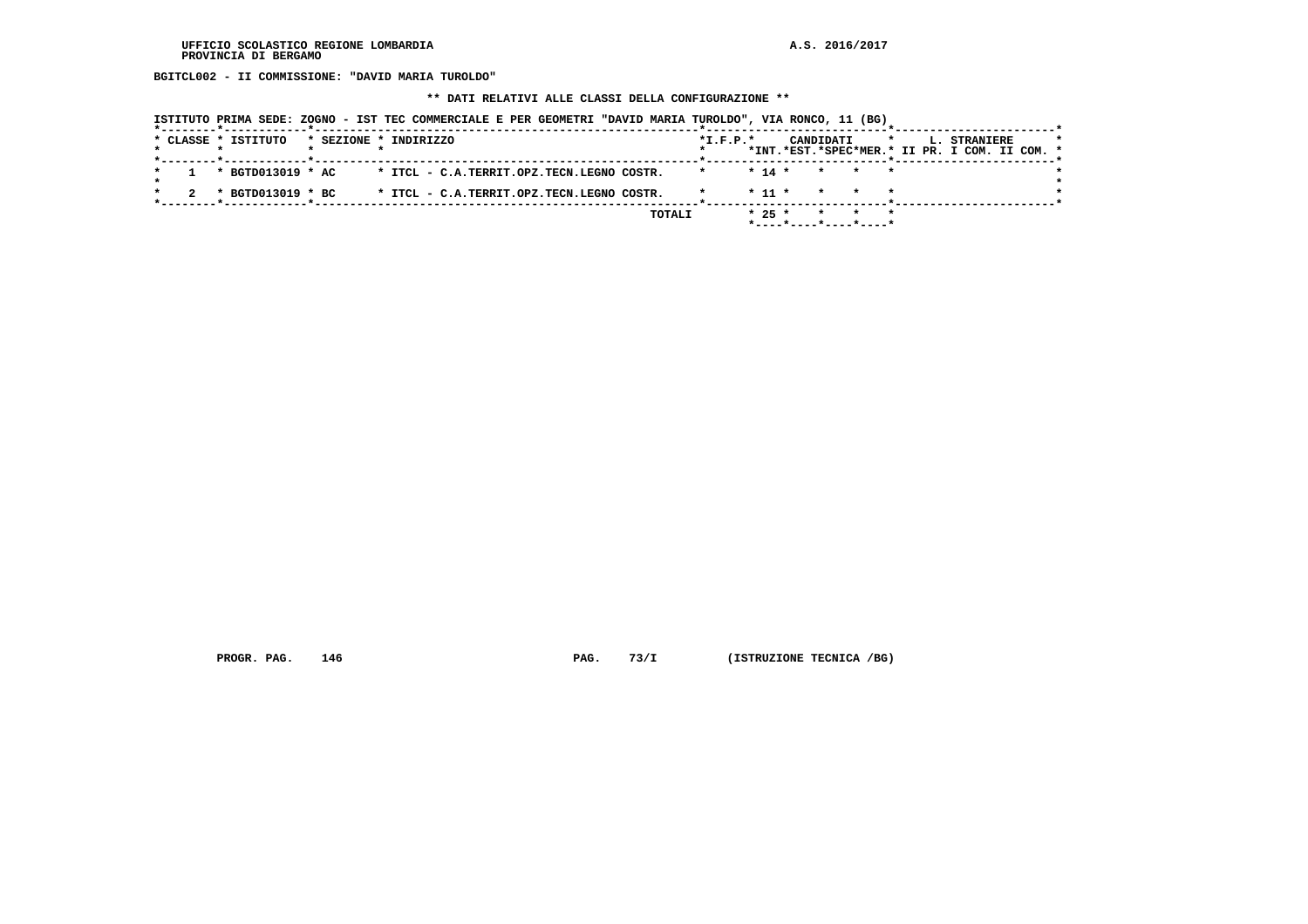**BGITCL002 - II COMMISSIONE: "DAVID MARIA TUROLDO"**

#### **\*\* DATI RELATIVI ALLE CLASSI DELLA CONFIGURAZIONE \*\***

| ISTITUTO PRIMA SEDE: ZOGNO - IST TEC COMMERCIALE E PER GEOMETRI "DAVID MARIA TUROLDO", VIA RONCO, 11 (BG) |  |
|-----------------------------------------------------------------------------------------------------------|--|
|-----------------------------------------------------------------------------------------------------------|--|

|  | --------*------------*------------- |                       |  |                                           |        |            |            |  |                                               |                 |  |  |                     |  |         |
|--|-------------------------------------|-----------------------|--|-------------------------------------------|--------|------------|------------|--|-----------------------------------------------|-----------------|--|--|---------------------|--|---------|
|  | * CLASSE * ISTITUTO                 | * SEZIONE * INDIRIZZO |  |                                           |        | $*L.F.P.*$ |            |  | CANDIDATI                                     | $\star$         |  |  | <b>L. STRANIERE</b> |  | $\star$ |
|  |                                     |                       |  |                                           |        |            |            |  | *INT.*EST.*SPEC*MER.* II PR. I COM. II COM. * |                 |  |  |                     |  |         |
|  | * BGTD013019 * AC                   |                       |  | * ITCL - C.A.TERRIT.OPZ.TECN.LEGNO COSTR. |        |            | $* 14 *$   |  | * * *                                         |                 |  |  |                     |  |         |
|  |                                     |                       |  |                                           |        |            |            |  |                                               |                 |  |  |                     |  |         |
|  | * BGTD013019 * BC                   |                       |  | * ITCL - C.A.TERRIT.OPZ.TECN.LEGNO COSTR. |        |            | $*$ 11 $*$ |  | $\star$                                       | $\star$ $\star$ |  |  |                     |  |         |
|  |                                     |                       |  |                                           |        |            |            |  |                                               |                 |  |  |                     |  |         |
|  |                                     |                       |  |                                           | TOTALI |            | $* 25 *$   |  | $\star$                                       |                 |  |  |                     |  |         |
|  |                                     |                       |  |                                           |        |            |            |  |                                               |                 |  |  |                     |  |         |

 **PROGR. PAG.** 146 **PAG.** 73/I (ISTRUZIONE TECNICA /BG)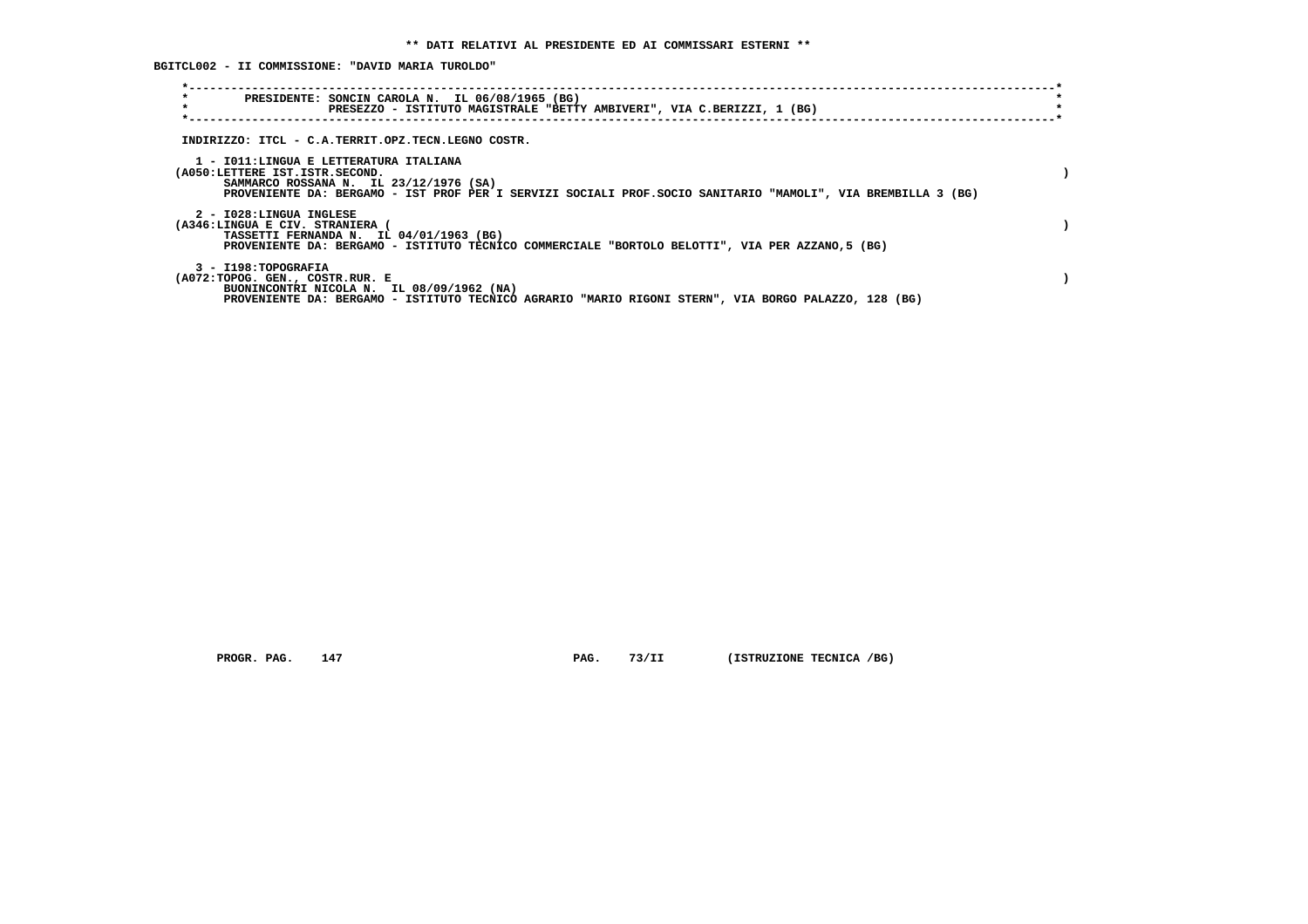**BGITCL002 - II COMMISSIONE: "DAVID MARIA TUROLDO"**

| $\star$<br>PRESIDENTE: SONCIN CAROLA N. IL 06/08/1965 (BG)<br>$\star$<br>PRESEZZO - ISTITUTO MAGISTRALE "BETTY AMBIVERI", VIA C.BERIZZI, 1 (BG)                                                                                    |  |
|------------------------------------------------------------------------------------------------------------------------------------------------------------------------------------------------------------------------------------|--|
| INDIRIZZO: ITCL - C.A.TERRIT.OPZ.TECN.LEGNO COSTR.                                                                                                                                                                                 |  |
| 1 - IO11:LINGUA E LETTERATURA ITALIANA<br>(A050:LETTERE IST.ISTR.SECOND.<br>SAMMARCO ROSSANA N. IL 23/12/1976 (SA)<br>PROVENIENTE DA: BERGAMO - IST PROF PER I SERVIZI SOCIALI PROF.SOCIO SANITARIO "MAMOLI", VIA BREMBILLA 3 (BG) |  |
| 2 - I028:LINGUA INGLESE<br>(A346:LINGUA E CIV. STRANIERA (<br>TASSETTI FERNANDA N. IL 04/01/1963 (BG)<br>PROVENIENTE DA: BERGAMO - ISTITUTO TECNICO COMMERCIALE "BORTOLO BELOTTI", VIA PER AZZANO,5 (BG)                           |  |
| 3 - I198: TOPOGRAFIA<br>(A072:TOPOG. GEN., COSTR.RUR. E<br>BUONINCONTRI NICOLA N. IL 08/09/1962 (NA)<br>PROVENIENTE DA: BERGAMO - ISTITUTO TECNICO AGRARIO "MARIO RIGONI STERN", VIA BORGO PALAZZO, 128 (BG)                       |  |

 **PROGR. PAG.** 147 **PAG.** 73/II (ISTRUZIONE TECNICA /BG)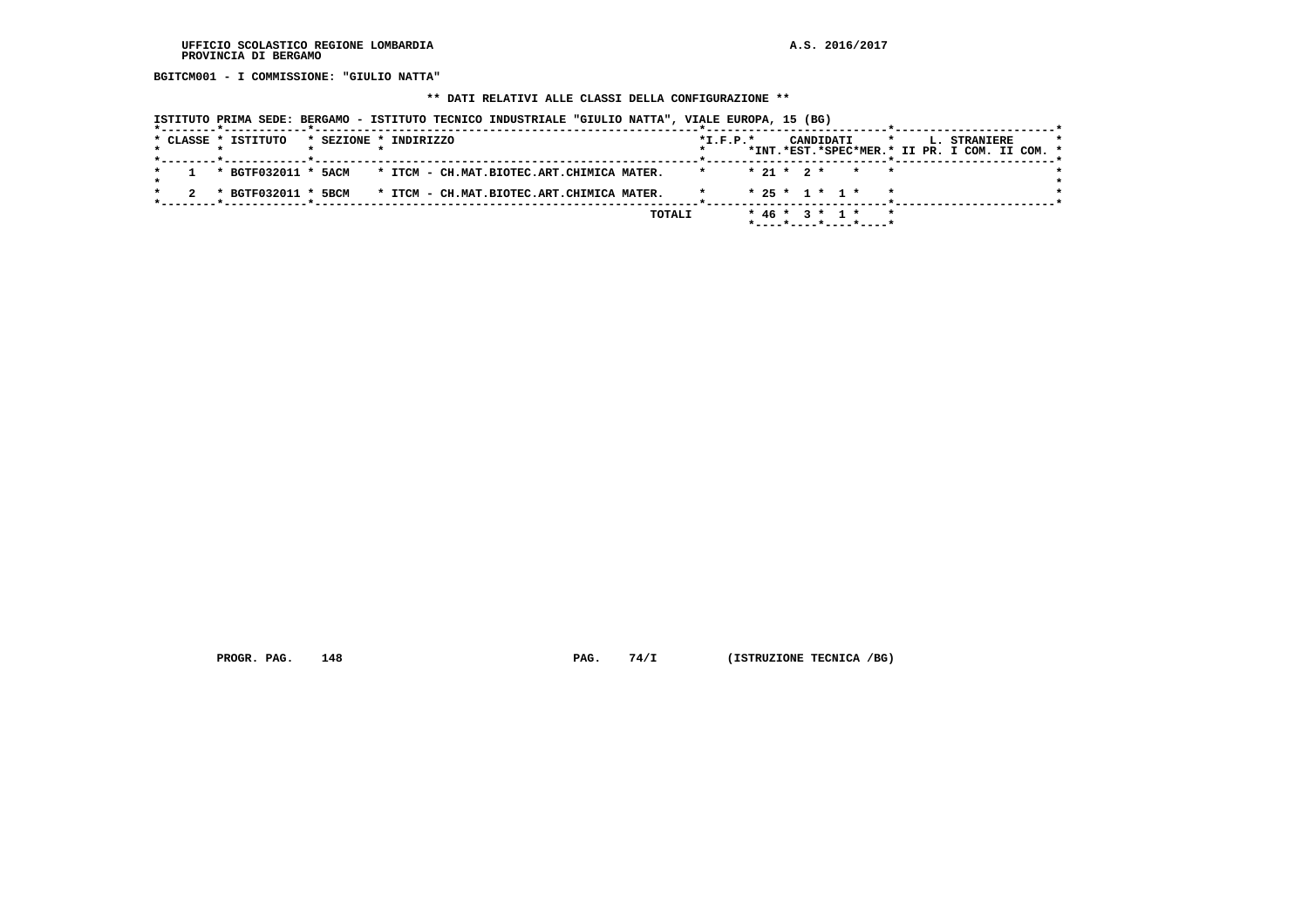**BGITCM001 - I COMMISSIONE: "GIULIO NATTA"**

## **\*\* DATI RELATIVI ALLE CLASSI DELLA CONFIGURAZIONE \*\***

|  | ISTITUTO PRIMA SEDE: BERGAMO - ISTITUTO TECNICO INDUSTRIALE "GIULIO NATTA", VIALE EUROPA, 15 (BG) |                       |  |                                           |  |        |                |  |                        |                                                     |         |  |                                               |  |  |
|--|---------------------------------------------------------------------------------------------------|-----------------------|--|-------------------------------------------|--|--------|----------------|--|------------------------|-----------------------------------------------------|---------|--|-----------------------------------------------|--|--|
|  | * CLASSE * ISTITUTO                                                                               | * SEZIONE * INDIRIZZO |  |                                           |  |        | $*$ I.F.P. $*$ |  | CANDIDATI              |                                                     | $\star$ |  | L. STRANIERE                                  |  |  |
|  |                                                                                                   |                       |  |                                           |  |        |                |  |                        |                                                     |         |  | *INT.*EST.*SPEC*MER.* II PR. I COM. II COM. * |  |  |
|  | * BGTF032011 * 5ACM * ITCM - CH.MAT.BIOTEC.ART.CHIMICA MATER.                                     |                       |  |                                           |  |        |                |  |                        | $* 21 * 2 * * * * *$                                |         |  |                                               |  |  |
|  | * BGTF032011 * 5BCM                                                                               |                       |  | * ITCM - CH.MAT.BIOTEC.ART.CHIMICA MATER. |  |        |                |  | $* 25 * 1 * 1 *$       |                                                     |         |  |                                               |  |  |
|  |                                                                                                   |                       |  |                                           |  | TOTALI |                |  | $*$ 46 $*$ 3 $*$ 1 $*$ | $*$ - - - - $*$ - - - - $*$ - - - - $*$ - - - - $*$ |         |  |                                               |  |  |

 **PROGR. PAG.** 148 **PAG.** 74/I (ISTRUZIONE TECNICA /BG)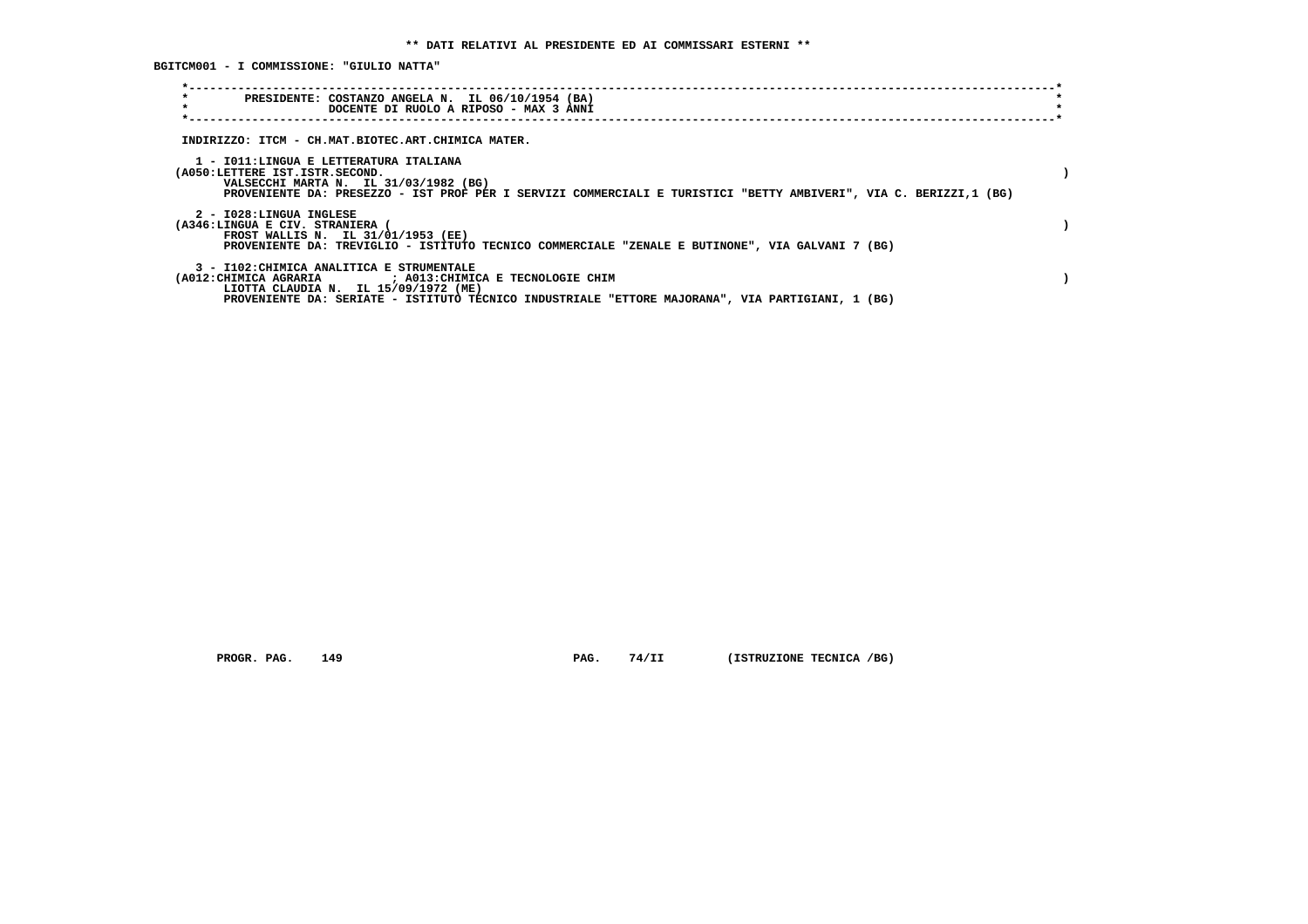**BGITCM001 - I COMMISSIONE: "GIULIO NATTA"**

| $\star$<br>PRESIDENTE: COSTANZO ANGELA N. IL 06/10/1954 (BA)<br>$\star$<br>DOCENTE DI RUOLO A RIPOSO - MAX 3 ANNI                                                                                                                                   |  |
|-----------------------------------------------------------------------------------------------------------------------------------------------------------------------------------------------------------------------------------------------------|--|
| INDIRIZZO: ITCM - CH.MAT.BIOTEC.ART.CHIMICA MATER.                                                                                                                                                                                                  |  |
| 1 - IO11:LINGUA E LETTERATURA ITALIANA<br>(A050:LETTERE IST.ISTR.SECOND.<br>VALSECCHI MARTA N. IL 31/03/1982 (BG)<br>PROVENIENTE DA: PRESEZZO - IST PROF PER I SERVIZI COMMERCIALI E TURISTICI "BETTY AMBIVERI", VIA C. BERIZZI,1 (BG)              |  |
| 2 - I028:LINGUA INGLESE<br>(A346:LINGUA E CIV. STRANIERA (<br>FROST WALLIS N. IL 31/01/1953 (EE)<br>PROVENIENTE DA: TREVIGLIO - ISTITUTO TECNICO COMMERCIALE "ZENALE E BUTINONE", VIA GALVANI 7 (BG)                                                |  |
| 3 - I102: CHIMICA ANALITICA E STRUMENTALE<br>(A012: CHIMICA AGRARIA ) : A013: CHIMICA E TECNOLOGIE CHIM<br>LIOTTA CLAUDIA N. IL 15/09/1972 (ME)<br>PROVENIENTE DA: SERIATE - ISTITUTO TECNICO INDUSTRIALE "ETTORE MAJORANA", VIA PARTIGIANI, 1 (BG) |  |

 **PROGR. PAG.** 149 **PAG.** 74/II (ISTRUZIONE TECNICA /BG)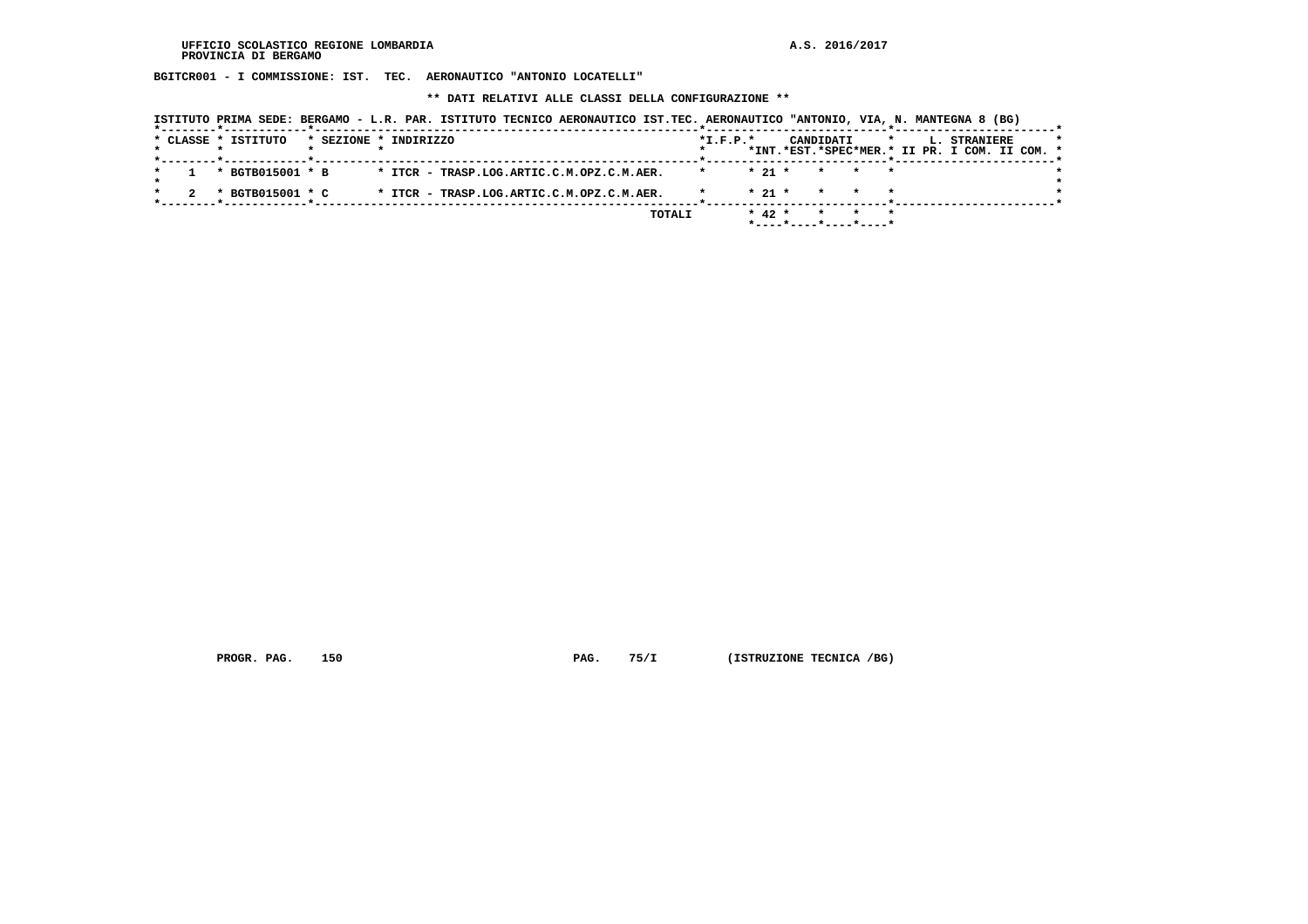**BGITCR001 - I COMMISSIONE: IST. TEC. AERONAUTICO "ANTONIO LOCATELLI"**

 **\*\* DATI RELATIVI ALLE CLASSI DELLA CONFIGURAZIONE \*\***

|  |                     |                       |  | ISTITUTO PRIMA SEDE: BERGAMO - L.R. PAR. ISTITUTO TECNICO AERONAUTICO IST.TEC. AERONAUTICO "ANTONIO, VIA, N. MANTEGNA 8 (BG) |        |            |            |           |         |                                                               |  |
|--|---------------------|-----------------------|--|------------------------------------------------------------------------------------------------------------------------------|--------|------------|------------|-----------|---------|---------------------------------------------------------------|--|
|  | * CLASSE * ISTITUTO | * SEZIONE * INDIRIZZO |  |                                                                                                                              |        | $*I.F.P.*$ |            | CANDIDATI | $\star$ | L. STRANIERE<br>*INT.*EST.*SPEC*MER.* II PR. I COM. II COM. * |  |
|  | * BGTB015001 * B    |                       |  | * ITCR - TRASP.LOG.ARTIC.C.M.OPZ.C.M.AER.                                                                                    |        |            | $*$ 21 $*$ | $\star$   |         |                                                               |  |
|  | * BGTB015001 * C    |                       |  | * ITCR - TRASP.LOG.ARTIC.C.M.OPZ.C.M.AER.                                                                                    |        |            | $* 21 *$   |           |         |                                                               |  |
|  |                     |                       |  |                                                                                                                              | TOTALI |            | $* 42 *$   |           |         |                                                               |  |

 **PROGR. PAG.** 150 **PAG. 75/I** (ISTRUZIONE TECNICA /BG)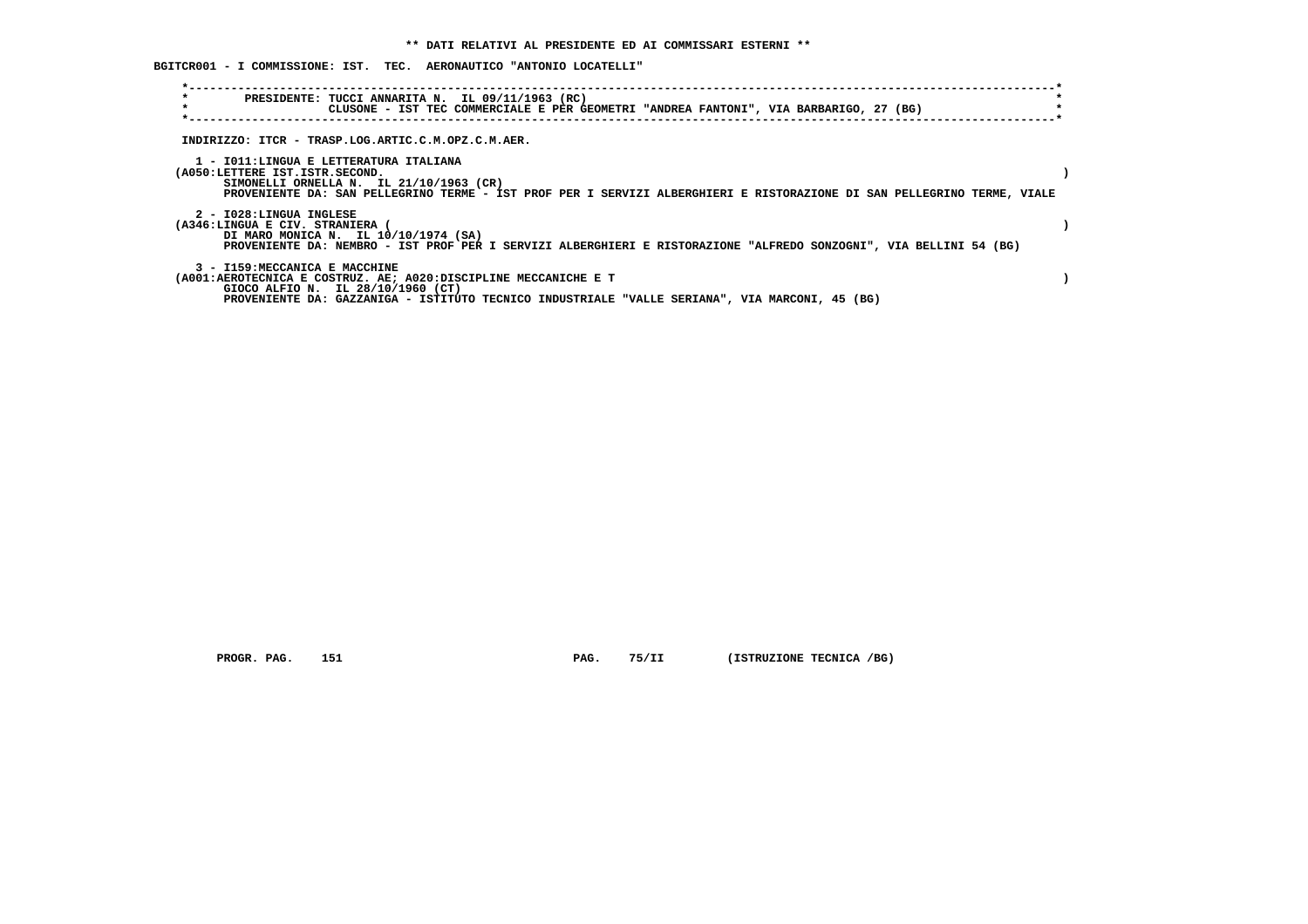| BGITCR001 - I COMMISSIONE: IST. TEC. AERONAUTICO "ANTONIO LOCATELLI" |  |  |  |  |  |  |  |  |
|----------------------------------------------------------------------|--|--|--|--|--|--|--|--|
|----------------------------------------------------------------------|--|--|--|--|--|--|--|--|

| $\star$<br>$\star$                                              |                               | PRESIDENTE: TUCCI ANNARITA N. IL 09/11/1963 (RC)<br>CLUSONE - IST TEC COMMERCIALE E PER GEOMETRI "ANDREA FANTONI", VIA BARBARIGO, 27 (BG)                                                                    |  |  |  |  |  |  |  |
|-----------------------------------------------------------------|-------------------------------|--------------------------------------------------------------------------------------------------------------------------------------------------------------------------------------------------------------|--|--|--|--|--|--|--|
| INDIRIZZO: ITCR - TRASP.LOG.ARTIC.C.M.OPZ.C.M.AER.              |                               |                                                                                                                                                                                                              |  |  |  |  |  |  |  |
| (A050:LETTERE IST.ISTR.SECOND.                                  |                               | 1 - IO11:LINGUA E LETTERATURA ITALIANA<br>SIMONELLI ORNELLA N. IL 21/10/1963 (CR)<br>PROVENIENTE DA: SAN PELLEGRINO TERME - IST PROF PER I SERVIZI ALBERGHIERI E RISTORAZIONE DI SAN PELLEGRINO TERME, VIALE |  |  |  |  |  |  |  |
| (A346:LINGUA E CIV. STRANIERA                                   | 2 - I028:LINGUA INGLESE       | DI MARO MONICA N. IL 10/10/1974 (SA)<br>PROVENIENTE DA: NEMBRO - IST PROF PER I SERVIZI ALBERGHIERI E RISTORAZIONE "ALFREDO SONZOGNI", VIA BELLINI 54 (BG)                                                   |  |  |  |  |  |  |  |
| (A001:AEROTECNICA E COSTRUZ. AE; A020:DISCIPLINE MECCANICHE E T | 3 - I159:MECCANICA E MACCHINE | GIOCO ALFIO N. IL 28/10/1960 (CT)<br>PROVENIENTE DA: GAZZANIGA - ISTITUTO TECNICO INDUSTRIALE "VALLE SERIANA", VIA MARCONI, 45 (BG)                                                                          |  |  |  |  |  |  |  |

 **PROGR. PAG.** 151 **PAG.** 75/II (ISTRUZIONE TECNICA /BG)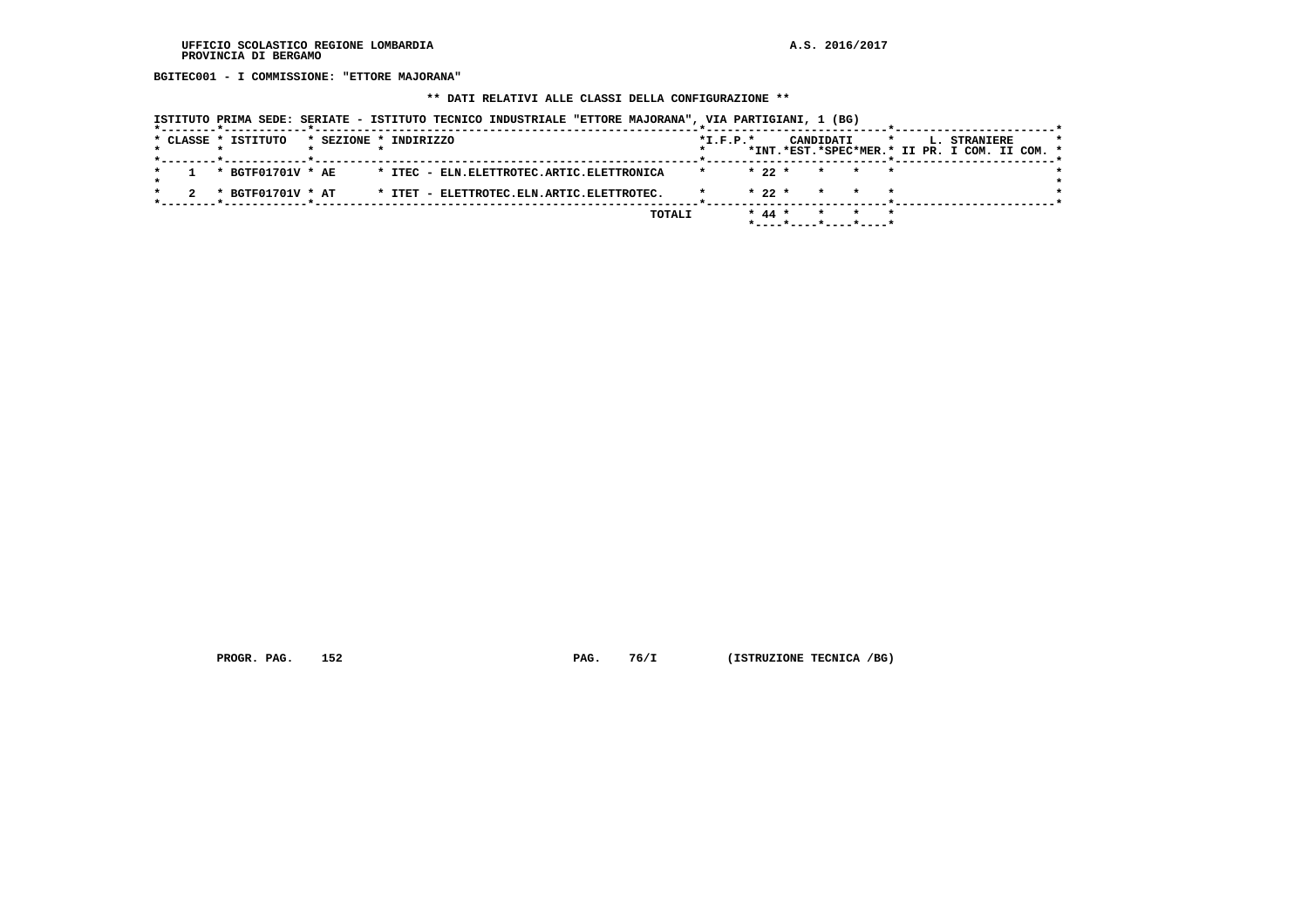**BGITEC001 - I COMMISSIONE: "ETTORE MAJORANA"**

 **\*\* DATI RELATIVI ALLE CLASSI DELLA CONFIGURAZIONE \*\***

| ISTITUTO PRIMA SEDE: SERIATE - ISTITUTO TECNICO INDUSTRIALE "ETTORE MAJORANA", VIA PARTIGIANI, 1 (BG) |                                                                                                     |  |
|-------------------------------------------------------------------------------------------------------|-----------------------------------------------------------------------------------------------------|--|
| * CLASSE * ISTITUTO<br>* SEZIONE * INDIRIZZO                                                          | $*I.F.P.*$<br>CANDIDATI<br>L. STRANIERE<br>$\star$<br>*INT.*EST.*SPEC*MER.* II PR. I COM. II COM. * |  |
| * BGTF01701V * AE<br>* ITEC - ELN. ELETTROTEC. ARTIC. ELETTRONICA                                     | $* 22 *$<br>$\star$<br>$\star$<br>* *                                                               |  |
| * BGTF01701V * AT<br>* ITET - ELETTROTEC.ELN.ARTIC.ELETTROTEC.                                        | $* 22 *$<br>$\star$                                                                                 |  |
| TOTALI                                                                                                | $* 44 *$<br>$\star$<br>*----*----*----*----*                                                        |  |

 **PROGR. PAG.** 152 **PAG.** 76/I (ISTRUZIONE TECNICA /BG)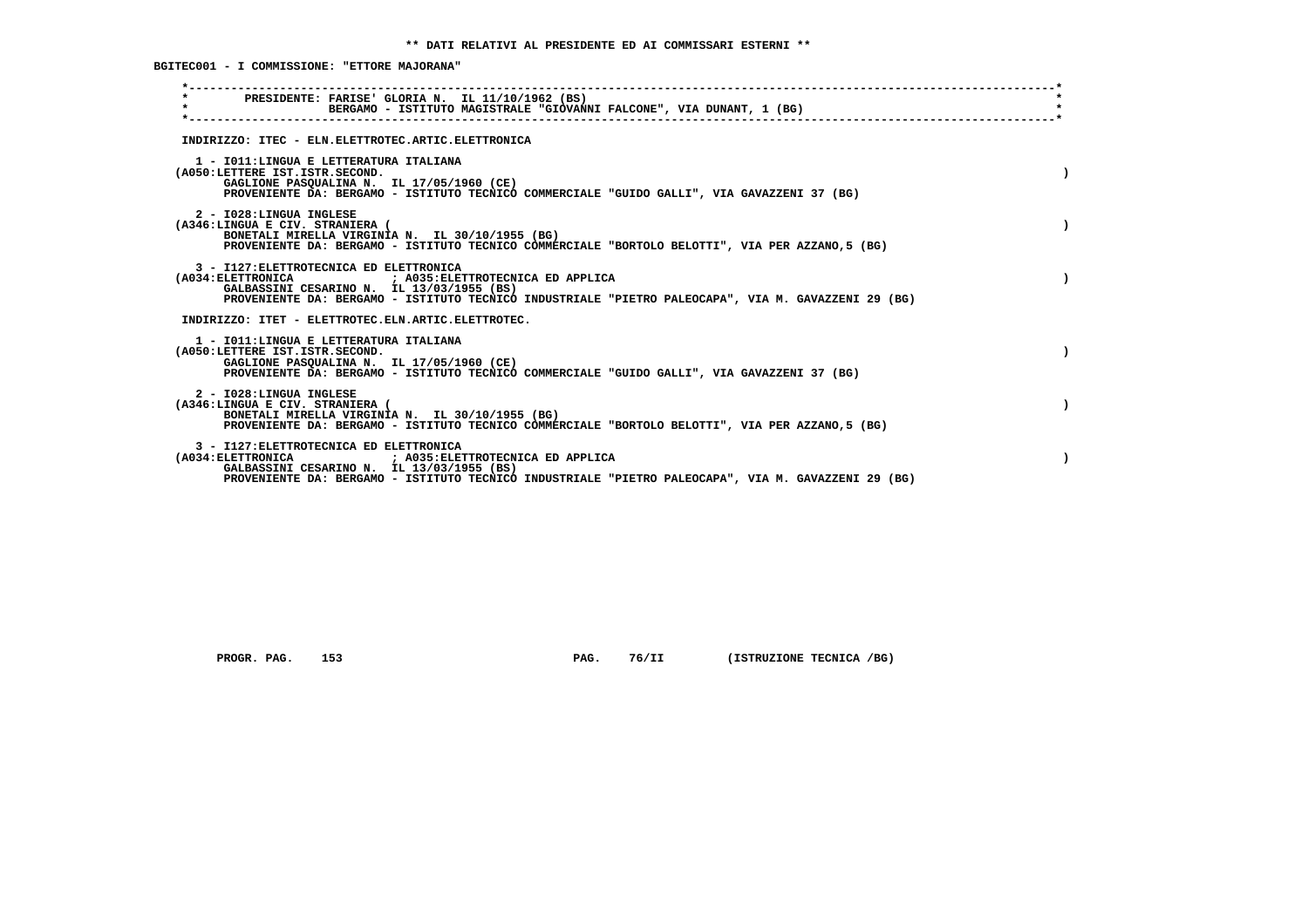**BGITEC001 - I COMMISSIONE: "ETTORE MAJORANA"**

| PRESIDENTE: FARISE' GLORIA N. IL 11/10/1962 (BS)<br>$\star$<br>BERGAMO - ISTITUTO MAGISTRALE "GIOVANNI FALCONE", VIA DUNANT, 1 (BG)                                                                                                                 |  |
|-----------------------------------------------------------------------------------------------------------------------------------------------------------------------------------------------------------------------------------------------------|--|
| INDIRIZZO: ITEC - ELN.ELETTROTEC.ARTIC.ELETTRONICA                                                                                                                                                                                                  |  |
| 1 - IO11: LINGUA E LETTERATURA ITALIANA<br>(A050:LETTERE IST.ISTR.SECOND.<br>GAGLIONE PASQUALINA N. IL 17/05/1960 (CE)<br>PROVENIENTE DA: BERGAMO - ISTITUTO TECNICO COMMERCIALE "GUIDO GALLI", VIA GAVAZZENI 37 (BG)                               |  |
| 2 - I028:LINGUA INGLESE<br>(A346:LINGUA E CIV. STRANIERA (<br>BONETALI MIRELLA VIRGINIA N. IL 30/10/1955 (BG)<br>PROVENIENTE DA: BERGAMO - ISTITUTO TECNICO COMMERCIALE "BORTOLO BELOTTI", VIA PER AZZANO, 5 (BG)                                   |  |
| 3 - I127: ELETTROTECNICA ED ELETTRONICA<br>(A034: ELETTRONICA ) A035: ELETTROTECNICA ED APPLICA<br>GALBASSINI CESARINO N. IL 13/03/1955 (BS)<br>PROVENIENTE DA: BERGAMO - ISTITUTO TECNICO INDUSTRIALE "PIETRO PALEOCAPA", VIA M. GAVAZZENI 29 (BG) |  |
| INDIRIZZO: ITET - ELETTROTEC.ELN.ARTIC.ELETTROTEC.                                                                                                                                                                                                  |  |
| 1 - IO11: LINGUA E LETTERATURA ITALIANA<br>(A050:LETTERE IST.ISTR.SECOND.<br>GAGLIONE PASOUALINA N. IL 17/05/1960 (CE)<br>PROVENIENTE DA: BERGAMO - ISTITUTO TECNICO COMMERCIALE "GUIDO GALLI", VIA GAVAZZENI 37 (BG)                               |  |
| 2 - I028:LINGUA INGLESE<br>(A346:LINGUA E CIV. STRANIERA (<br>BONETALI MIRELLA VIRGINIA N. IL 30/10/1955 (BG)<br>PROVENIENTE DA: BERGAMO - ISTITUTO TECNICO COMMERCIALE "BORTOLO BELOTTI", VIA PER AZZANO, 5 (BG)                                   |  |
| 3 - I127: ELETTROTECNICA ED ELETTRONICA<br>(A034: ELETTRONICA : A035: ELETTROTECNICA ED APPLICA<br>GALBASSINI CESARINO N. IL 13/03/1955 (BS)<br>PROVENIENTE DA: BERGAMO - ISTITUTO TECNICO INDUSTRIALE "PIETRO PALEOCAPA", VIA M. GAVAZZENI 29 (BG) |  |
|                                                                                                                                                                                                                                                     |  |

 **PROGR. PAG.** 153 **PAG.** 76/II (ISTRUZIONE TECNICA /BG)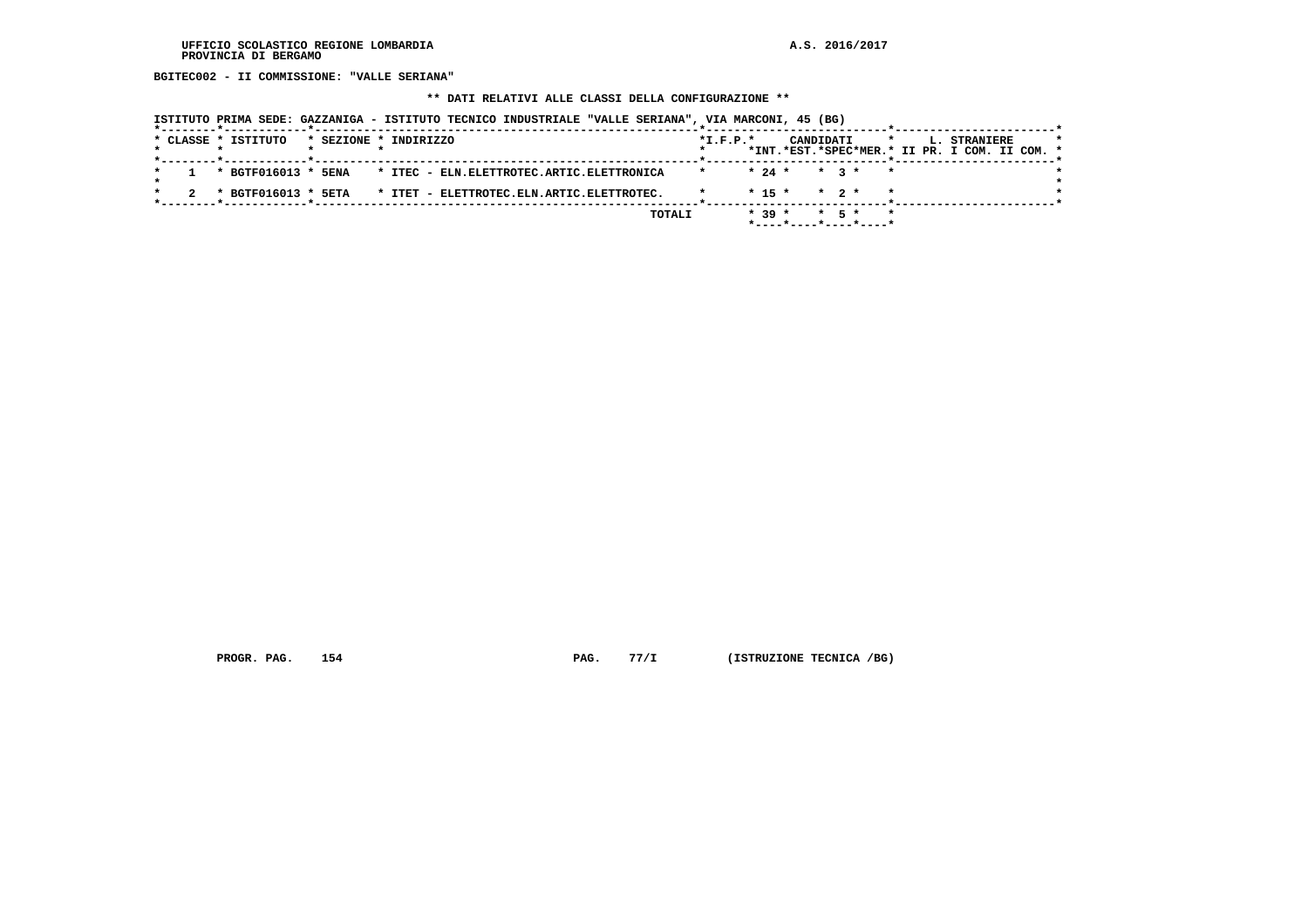**BGITEC002 - II COMMISSIONE: "VALLE SERIANA"**

## **\*\* DATI RELATIVI ALLE CLASSI DELLA CONFIGURAZIONE \*\***

|  |  | ISTITUTO PRIMA SEDE: GAZZANIGA - ISTITUTO TECNICO INDUSTRIALE "VALLE SERIANA", VIA MARCONI, 45 (BG) |                       |  |                                           |  |        |                |          |                       |                   |         |         |                                                               |  |  |
|--|--|-----------------------------------------------------------------------------------------------------|-----------------------|--|-------------------------------------------|--|--------|----------------|----------|-----------------------|-------------------|---------|---------|---------------------------------------------------------------|--|--|
|  |  | * CLASSE * ISTITUTO                                                                                 | * SEZIONE * INDIRIZZO |  |                                           |  |        | $*$ I.F.P. $*$ |          | CANDIDATI             |                   |         | $\star$ | L. STRANIERE<br>*INT.*EST.*SPEC*MER.* II PR. I COM. II COM. * |  |  |
|  |  | * BGTF016013 * 5ENA                                                                                 |                       |  | * ITEC - ELN.ELETTROTEC.ARTIC.ELETTRONICA |  |        |                | $* 24 *$ |                       | $\star$ 3 $\star$ | $\star$ |         |                                                               |  |  |
|  |  | * BGTF016013 * 5ETA                                                                                 |                       |  | * ITET - ELETTROTEC.ELN.ARTIC.ELETTROTEC. |  |        |                | $* 15 *$ |                       | $*$ 2 $*$         |         |         |                                                               |  |  |
|  |  |                                                                                                     |                       |  |                                           |  | TOTALI |                | $* 39 *$ | *----*----*----*----* | $*$ 5 $*$         | $\star$ |         |                                                               |  |  |

 **PROGR. PAG.** 154 **PAG.** 77/I (ISTRUZIONE TECNICA /BG)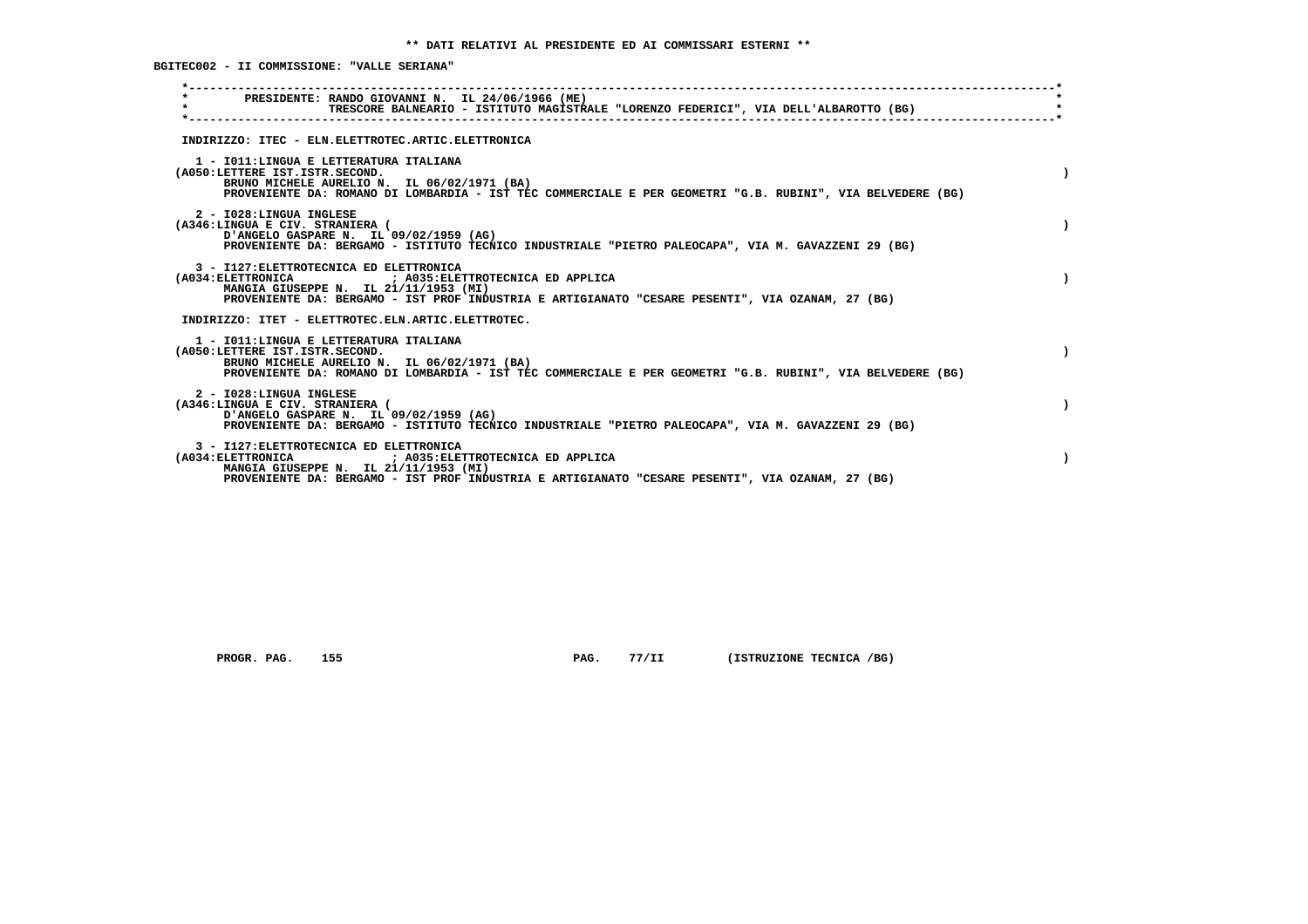**BGITEC002 - II COMMISSIONE: "VALLE SERIANA"**

|                    |                                | PRESIDENTE: RANDO GIOVANNI N. IL 24/06/1966 (ME)                                                                                                                                                                                             |  |
|--------------------|--------------------------------|----------------------------------------------------------------------------------------------------------------------------------------------------------------------------------------------------------------------------------------------|--|
| $\star$            |                                | TRESCORE BALNEARIO - ISTITUTO MAGISTRALE "LORENZO FEDERICI", VIA DELL'ALBAROTTO (BG)                                                                                                                                                         |  |
|                    |                                | INDIRIZZO: ITEC - ELN.ELETTROTEC.ARTIC.ELETTRONICA                                                                                                                                                                                           |  |
|                    | (A050:LETTERE IST.ISTR.SECOND. | 1 - IO11: LINGUA E LETTERATURA ITALIANA<br>BRUNO MICHELE AURELIO N. IL 06/02/1971 (BA)<br>PROVENIENTE DA: ROMANO DI LOMBARDIA - IST TEC COMMERCIALE E PER GEOMETRI "G.B. RUBINI", VIA BELVEDERE (BG)                                         |  |
|                    | 2 - I028:LINGUA INGLESE        | (A346:LINGUA E CIV. STRANIERA (<br>D'ANGELO GASPARE N. IL 09/02/1959 (AG)<br>PROVENIENTE DA: BERGAMO - ISTITUTO TECNICO INDUSTRIALE "PIETRO PALEOCAPA", VIA M. GAVAZZENI 29 (BG)                                                             |  |
|                    |                                | 3 - I127: ELETTROTECNICA ED ELETTRONICA<br>(A034: ELETTRONICA ) A035: ELETTROTECNICA ED APPLICA<br>MANGIA GIUSEPPE N. IL 21/11/1953 (MI)<br>PROVENIENTE DA: BERGAMO - IST PROF INDUSTRIA E ARTIGIANATO "CESARE PESENTI", VIA OZANAM, 27 (BG) |  |
|                    |                                | INDIRIZZO: ITET - ELETTROTEC.ELN.ARTIC.ELETTROTEC.                                                                                                                                                                                           |  |
|                    | (A050:LETTERE IST.ISTR.SECOND. | 1 - IO11: LINGUA E LETTERATURA ITALIANA<br>BRUNO MICHELE AURELIO N. IL 06/02/1971 (BA)<br>PROVENIENTE DA: ROMANO DI LOMBARDIA - IST TEC COMMERCIALE E PER GEOMETRI "G.B. RUBINI", VIA BELVEDERE (BG)                                         |  |
|                    | 2 - I028:LINGUA INGLESE        | (A346:LINGUA E CIV. STRANIERA (<br>D'ANGELO GASPARE N. IL 09/02/1959 (AG)<br>PROVENIENTE DA: BERGAMO - ISTITUTO TECNICO INDUSTRIALE "PIETRO PALEOCAPA", VIA M. GAVAZZENI 29 (BG)                                                             |  |
| (A034: ELETTRONICA |                                | 3 - I127: ELETTROTECNICA ED ELETTRONICA<br>; A035: ELETTROTECNICA ED APPLICA<br>MANGIA GIUSEPPE N. IL 21/11/1953 (MI)<br>PROVENIENTE DA: BERGAMO - IST PROF INDUSTRIA E ARTIGIANATO "CESARE PESENTI", VIA OZANAM, 27 (BG)                    |  |

 **PROGR. PAG.** 155 **PAG.** 77/II (ISTRUZIONE TECNICA /BG)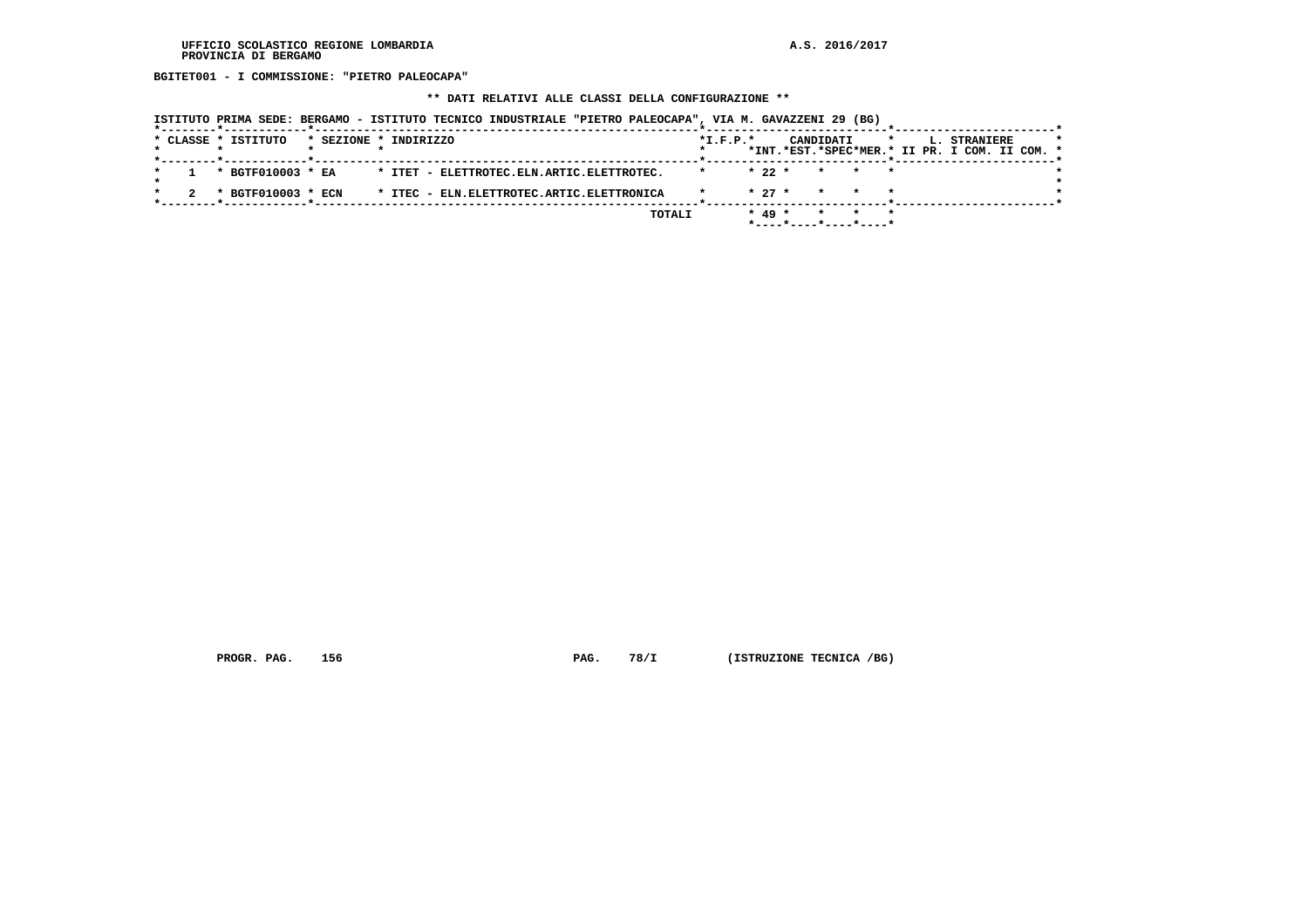**BGITET001 - I COMMISSIONE: "PIETRO PALEOCAPA"**

## **\*\* DATI RELATIVI ALLE CLASSI DELLA CONFIGURAZIONE \*\***

|                     | ISTITUTO PRIMA SEDE: BERGAMO - ISTITUTO TECNICO INDUSTRIALE "PIETRO PALEOCAPA", VIA M. GAVAZZENI 29 (BG) |                                                                                                         |
|---------------------|----------------------------------------------------------------------------------------------------------|---------------------------------------------------------------------------------------------------------|
| * CLASSE * ISTITUTO | * SEZIONE * INDIRIZZO                                                                                    | $*$ I.F.P. $*$<br>CANDIDATI<br>L. STRANIERE<br>$\star$<br>*INT.*EST.*SPEC*MER.* II PR. I COM. II COM. * |
| * BGTF010003 * EA   | * ITET - ELETTROTEC.ELN.ARTIC.ELETTROTEC.                                                                | $* 22 *$<br>* * *                                                                                       |
| * BGTF010003 * ECN  | * ITEC - ELN.ELETTROTEC.ARTIC.ELETTRONICA                                                                | $* 27 *$<br>* *                                                                                         |
|                     | TOTALI                                                                                                   | $* 49 *$<br>$*$ - - - - $*$ - - - - $*$ - - - - $*$ - - - - $*$                                         |

 **PROGR. PAG.** 156 **PAG. 78/I** (ISTRUZIONE TECNICA /BG)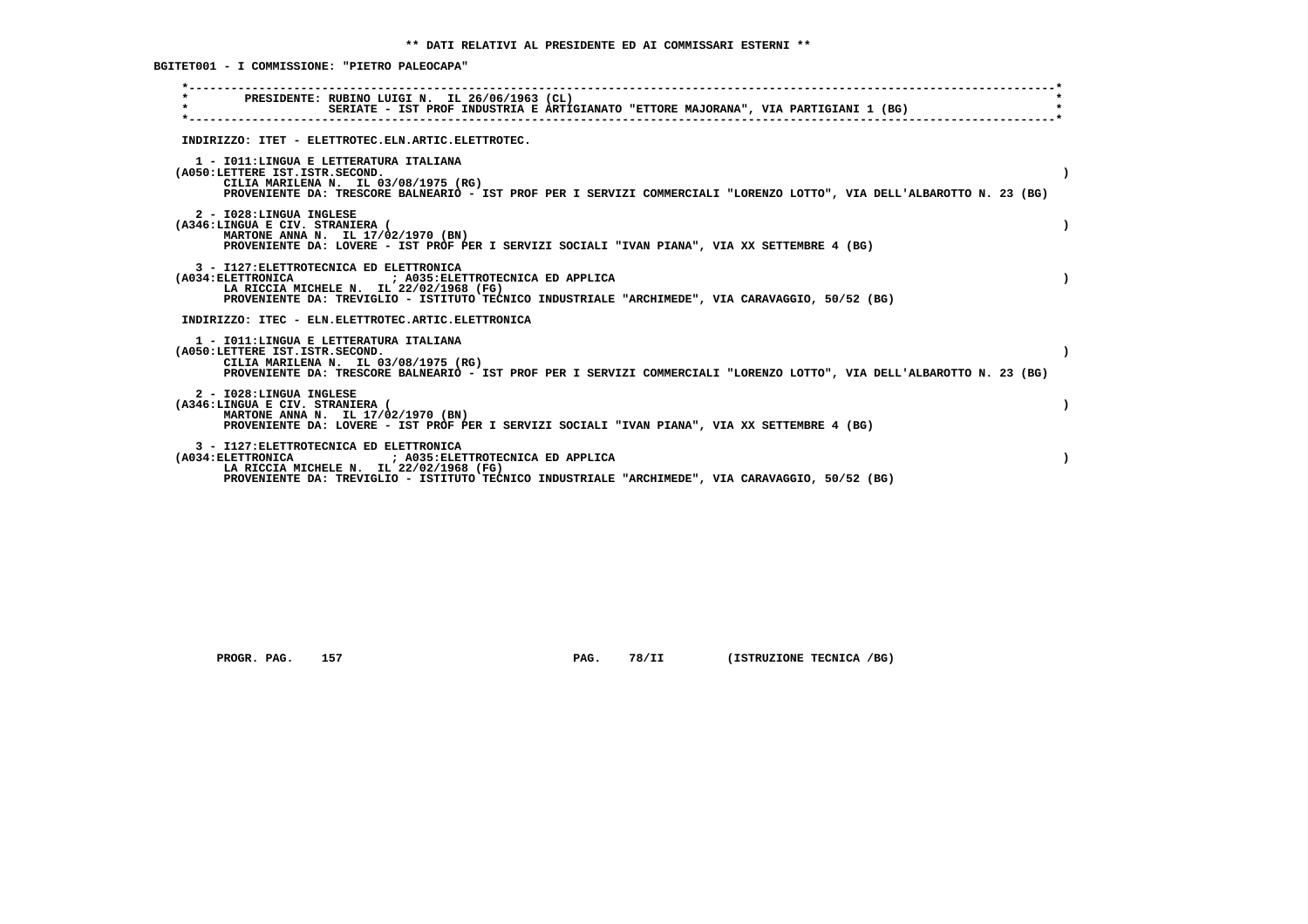**BGITET001 - I COMMISSIONE: "PIETRO PALEOCAPA"**

| PRESIDENTE: RUBINO LUIGI N. IL 26/06/1963 (CL)<br>$\star$<br>SERIATE - IST PROF INDUSTRIA E ARTIGIANATO "ETTORE MAJORANA", VIA PARTIGIANI 1 (BG)                                                                                                  |  |
|---------------------------------------------------------------------------------------------------------------------------------------------------------------------------------------------------------------------------------------------------|--|
| INDIRIZZO: ITET - ELETTROTEC.ELN.ARTIC.ELETTROTEC.                                                                                                                                                                                                |  |
| 1 - IO11: LINGUA E LETTERATURA ITALIANA<br>(A050:LETTERE IST.ISTR.SECOND.<br>CILIA MARILENA N. IL 03/08/1975 (RG)<br>PROVENIENTE DA: TRESCORE BALNEARIO - IST PROF PER I SERVIZI COMMERCIALI "LORENZO LOTTO", VIA DELL'ALBAROTTO N. 23 (BG)       |  |
| 2 - I028:LINGUA INGLESE<br>(A346:LINGUA E CIV. STRANIERA (<br>MARTONE ANNA N. IL 17/02/1970 (BN)<br>PROVENIENTE DA: LOVERE - IST PROF PER I SERVIZI SOCIALI "IVAN PIANA", VIA XX SETTEMBRE 4 (BG)                                                 |  |
| 3 - I127: ELETTROTECNICA ED ELETTRONICA<br>(A034: ELETTRONICA ) A035: ELETTROTECNICA ED APPLICA<br>LA RICCIA MICHELE N. IL 22/02/1968 (FG)<br>PROVENIENTE DA: TREVIGLIO - ISTITUTO TECNICO INDUSTRIALE "ARCHIMEDE", VIA CARAVAGGIO, 50/52 (BG)    |  |
| INDIRIZZO: ITEC - ELN.ELETTROTEC.ARTIC.ELETTRONICA                                                                                                                                                                                                |  |
| 1 - IO11: LINGUA E LETTERATURA ITALIANA<br>(A050:LETTERE IST.ISTR.SECOND.<br>CILIA MARILENA N. IL 03/08/1975 (RG)<br>PROVENIENTE DA: TRESCORE BALNEARIO - IST PROF PER I SERVIZI COMMERCIALI "LORENZO LOTTO", VIA DELL'ALBAROTTO N. 23 (BG)       |  |
| 2 - I028:LINGUA INGLESE<br>(A346:LINGUA E CIV. STRANIERA (<br>MARTONE ANNA N. IL 17/02/1970 (BN)<br>PROVENIENTE DA: LOVERE - IST PROF PER I SERVIZI SOCIALI "IVAN PIANA", VIA XX SETTEMBRE 4 (BG)                                                 |  |
| 3 - I127: ELETTROTECNICA ED ELETTRONICA<br>(A034: ELETTRONICA<br>; A035: ELETTROTECNICA ED APPLICA<br>LA RICCIA MICHELE N. IL 22/02/1968 (FG)<br>PROVENIENTE DA: TREVIGLIO - ISTITUTO TECNICO INDUSTRIALE "ARCHIMEDE", VIA CARAVAGGIO, 50/52 (BG) |  |
|                                                                                                                                                                                                                                                   |  |

 **PROGR. PAG.** 157 **PAG.** 78/II (ISTRUZIONE TECNICA /BG)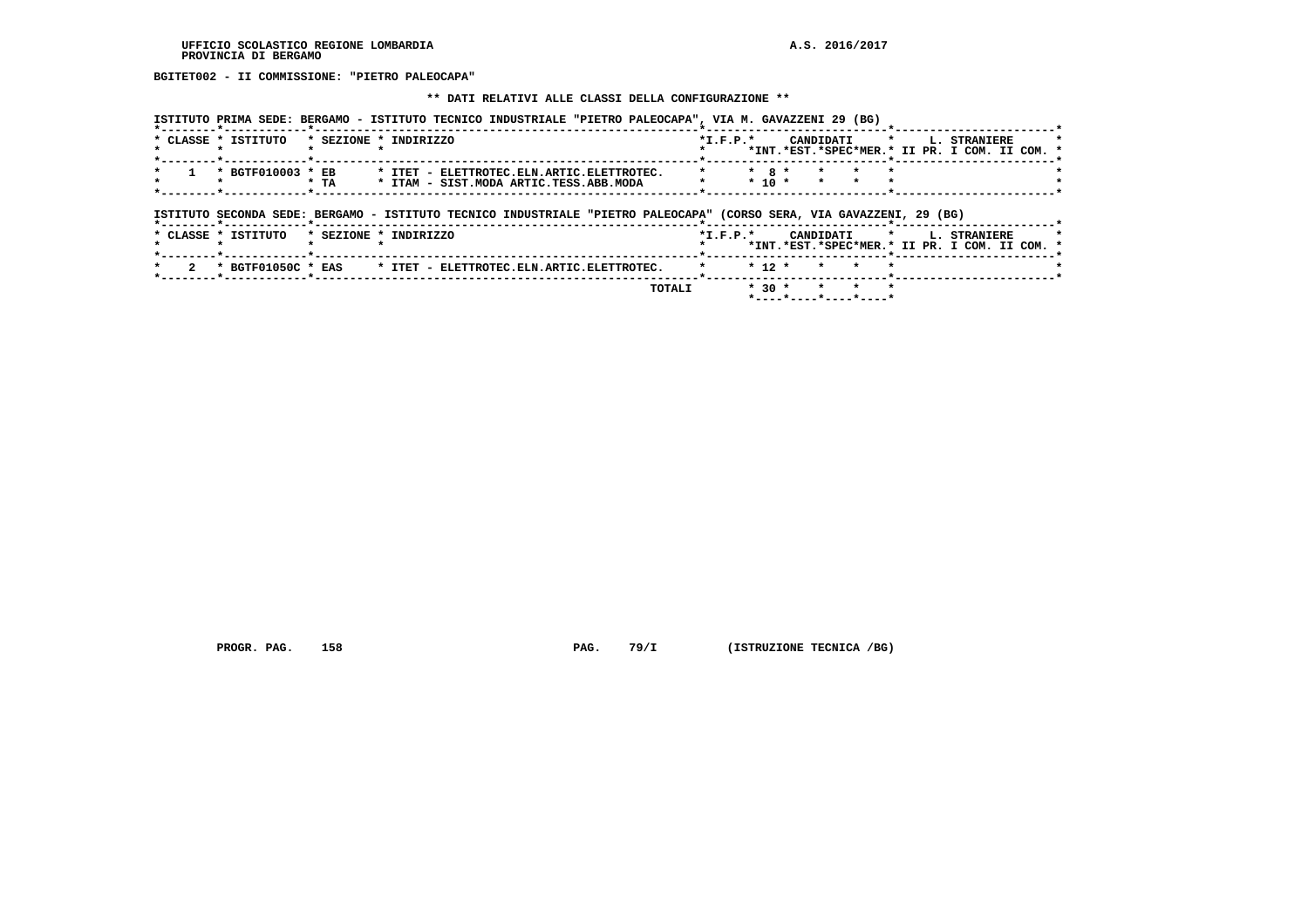# **BGITET002 - II COMMISSIONE: "PIETRO PALEOCAPA"**

#### **\*\* DATI RELATIVI ALLE CLASSI DELLA CONFIGURAZIONE \*\***

|  | ISTITUTO PRIMA SEDE: BERGAMO - ISTITUTO TECNICO INDUSTRIALE "PIETRO PALEOCAPA", VIA M. GAVAZZENI 29 (BG) |  |  |
|--|----------------------------------------------------------------------------------------------------------|--|--|
|  |                                                                                                          |  |  |

| * CLASSE * ISTITUTO<br>* SEZIONE * INDIRIZZO                   | $*T.F.P.*$ |           | CANDIDATI | $\star$ | L. STRANIERE                                  |  |
|----------------------------------------------------------------|------------|-----------|-----------|---------|-----------------------------------------------|--|
|                                                                |            |           |           |         | *INT.*EST.*SPEC*MER.* II PR. I COM. II COM. * |  |
| * ITET - ELETTROTEC.ELN.ARTIC.ELETTROTEC.<br>* BGTF010003 * EB |            | $*$ 8 $*$ |           |         |                                               |  |
| * ITAM - SIST. MODA ARTIC. TESS. ABB. MODA<br>* TA             |            | $* 10 *$  |           |         |                                               |  |
|                                                                |            |           |           |         |                                               |  |

# **ISTITUTO SECONDA SEDE: BERGAMO - ISTITUTO TECNICO INDUSTRIALE "PIETRO PALEOCAPA" (CORSO SERA, VIA GAVAZZENI, 29 (BG) \*--------\*------------\*-------------------------------------------------------\*--------------------------\*-----------------------\***

| * CLASSE * ISTITUTO | * SEZIONE * INDIRIZZO                                                             | $*T$ , $F$ , $P$ , $*$ | CANDIDATI * I. STRANIERE |                                               |
|---------------------|-----------------------------------------------------------------------------------|------------------------|--------------------------|-----------------------------------------------|
|                     |                                                                                   |                        |                          | *INT.*EST.*SPEC*MER.* II PR. I COM. II COM. * |
|                     | * 2 * BGTF01050C * EAS * ITET - ELETTROTEC.ELN.ARTIC.ELETTROTEC. * * * 12 * * * * |                        |                          |                                               |
|                     | TOTALI                                                                            |                        | $*30 * * * * *$          |                                               |

 **\*----\*----\*----\*----\***

 **PROGR. PAG. 158 PAG. 79/I (ISTRUZIONE TECNICA /BG)**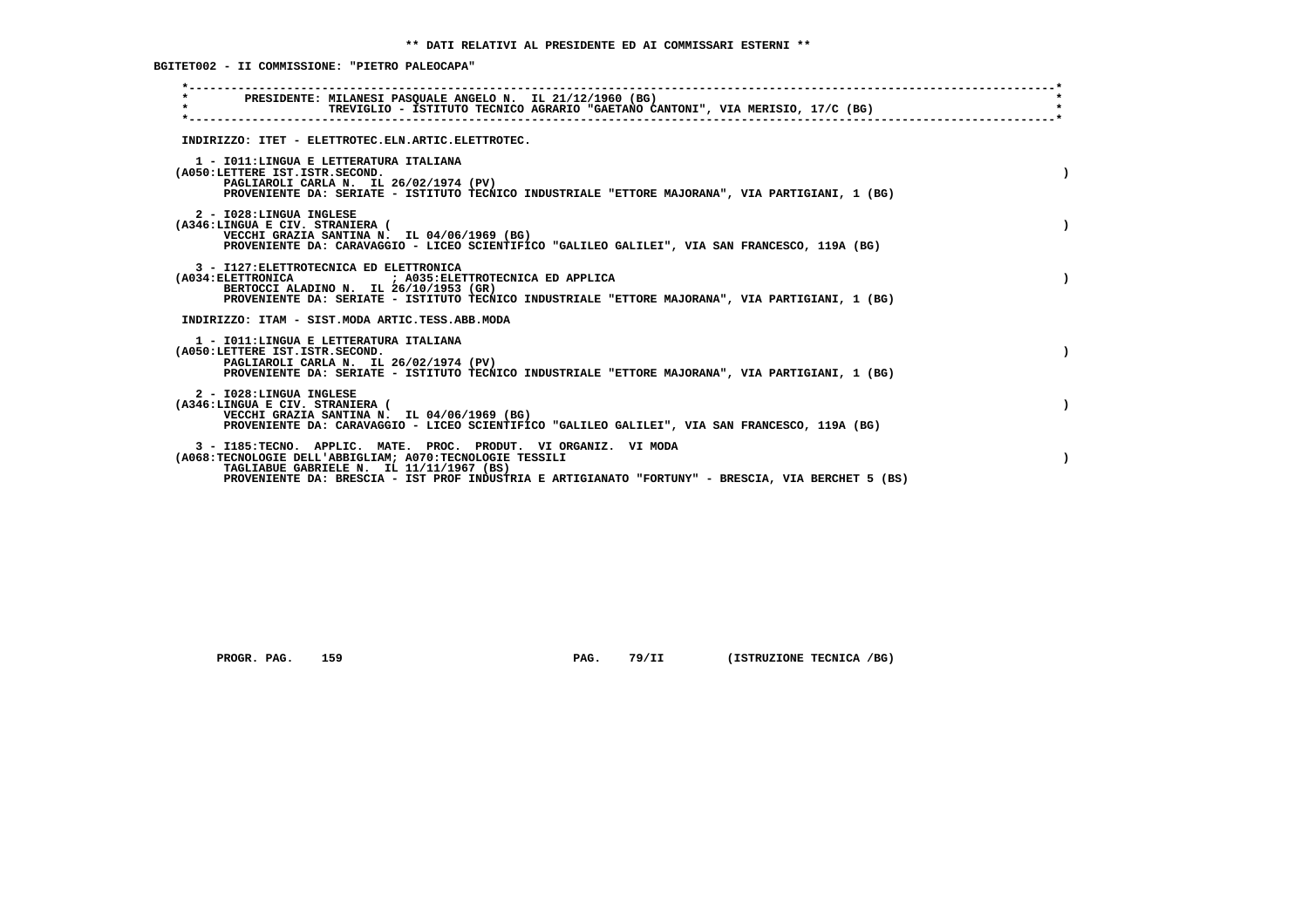**BGITET002 - II COMMISSIONE: "PIETRO PALEOCAPA"**

| PRESIDENTE: MILANESI PASOUALE ANGELO N. IL 21/12/1960 (BG)<br>$\star$<br>TREVIGLIO - ISTITUTO TECNICO AGRARIO "GAETANO CANTONI", VIA MERISIO, 17/C (BG)                                                                                                                       |  |
|-------------------------------------------------------------------------------------------------------------------------------------------------------------------------------------------------------------------------------------------------------------------------------|--|
| INDIRIZZO: ITET - ELETTROTEC.ELN.ARTIC.ELETTROTEC.                                                                                                                                                                                                                            |  |
| 1 - IO11: LINGUA E LETTERATURA ITALIANA<br>(A050:LETTERE IST.ISTR.SECOND.<br>PAGLIAROLI CARLA N. IL 26/02/1974 (PV)<br>PROVENIENTE DA: SERIATE - ISTITUTO TECNICO INDUSTRIALE "ETTORE MAJORANA", VIA PARTIGIANI, 1 (BG)                                                       |  |
| 2 - I028:LINGUA INGLESE<br>(A346:LINGUA E CIV. STRANIERA (<br>VECCHI GRAZIA SANTINA N. IL 04/06/1969 (BG)<br>PROVENIENTE DA: CARAVAGGIO - LICEO SCIENTIFICO "GALILEO GALILEI", VIA SAN FRANCESCO, 119A (BG)                                                                   |  |
| 3 - I127: ELETTROTECNICA ED ELETTRONICA<br>(A034: ELETTRONICA : A035: ELETTROTECNICA ED APPLICA<br>BERTOCCI ALADINO N. IL 26/10/1953 (GR)<br>PROVENIENTE DA: SERIATE - ISTITUTO TECNICO INDUSTRIALE "ETTORE MAJORANA", VIA PARTIGIANI, 1 (BG)                                 |  |
| INDIRIZZO: ITAM - SIST.MODA ARTIC.TESS.ABB.MODA                                                                                                                                                                                                                               |  |
| 1 - IO11: LINGUA E LETTERATURA ITALIANA<br>(A050:LETTERE IST.ISTR.SECOND.<br>PAGLIAROLI CARLA N. IL 26/02/1974 (PV)<br>PROVENIENTE DA: SERIATE - ISTITUTO TECNICO INDUSTRIALE "ETTORE MAJORANA", VIA PARTIGIANI, 1 (BG)                                                       |  |
| 2 - I028:LINGUA INGLESE<br>(A346:LINGUA E CIV. STRANIERA (<br>VECCHI GRAZIA SANTINA N. IL 04/06/1969 (BG)<br>PROVENIENTE DA: CARAVAGGIO - LICEO SCIENTIFICO "GALILEO GALILEI", VIA SAN FRANCESCO, 119A (BG)                                                                   |  |
| 3 - I185:TECNO. APPLIC. MATE. PROC. PRODUT. VI ORGANIZ. VI MODA<br>(A068:TECNOLOGIE DELL'ABBIGLIAM; A070:TECNOLOGIE TESSILI<br>TAGLIABUE GABRIELE N. IL 11/11/1967 (BS)<br>PROVENIENTE DA: BRESCIA - IST PROF INDUSTRIA E ARTIGIANATO "FORTUNY" - BRESCIA, VIA BERCHET 5 (BS) |  |

 **PROGR. PAG.** 159 **PAG.** 79/II (ISTRUZIONE TECNICA /BG)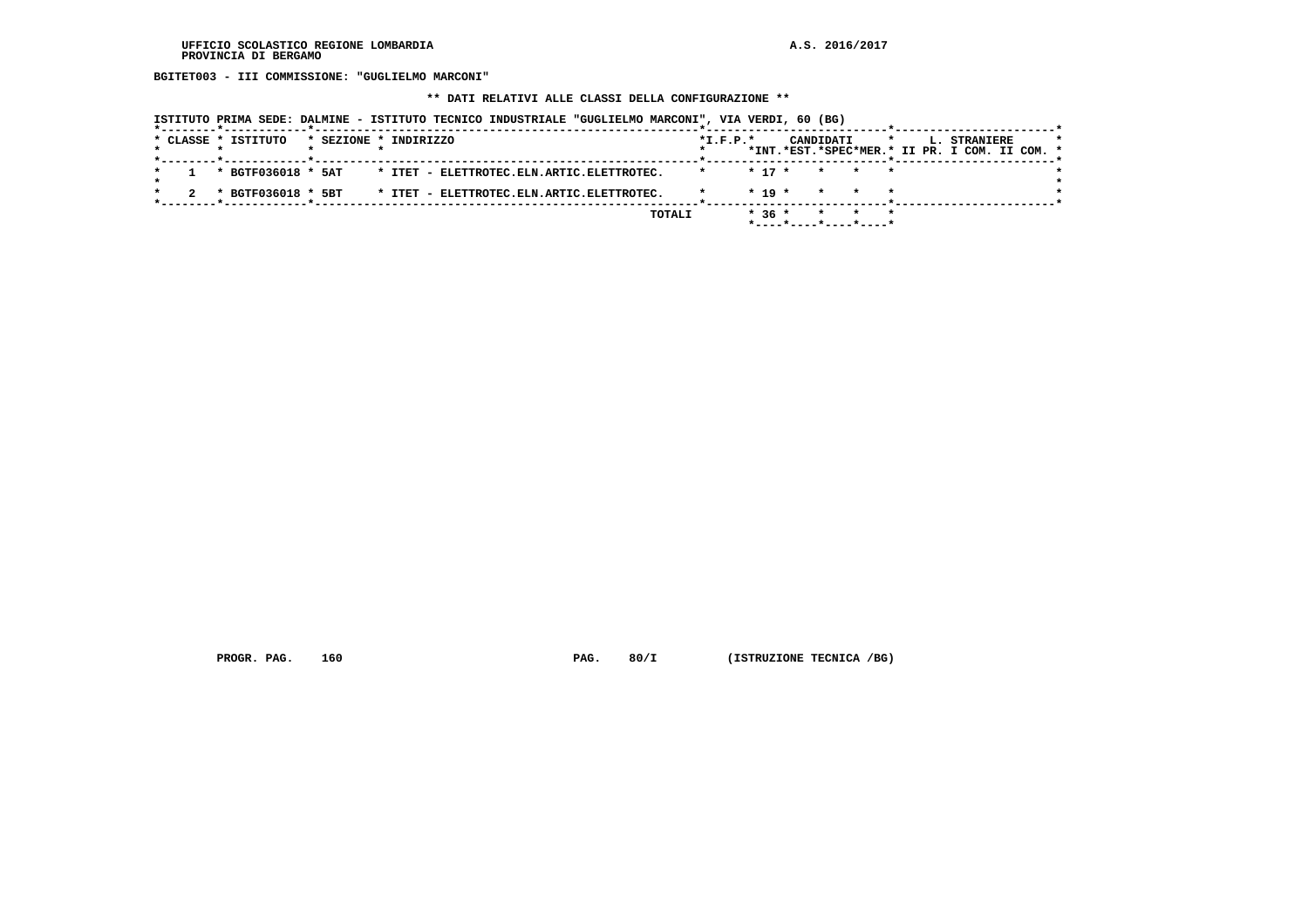**BGITET003 - III COMMISSIONE: "GUGLIELMO MARCONI"**

 **\*\* DATI RELATIVI ALLE CLASSI DELLA CONFIGURAZIONE \*\***

| ISTITUTO PRIMA SEDE: DALMINE - ISTITUTO TECNICO INDUSTRIALE "GUGLIELMO MARCONI", VIA VERDI, 60 (BG) |                                                                                                         |
|-----------------------------------------------------------------------------------------------------|---------------------------------------------------------------------------------------------------------|
| * CLASSE * ISTITUTO<br>* SEZIONE * INDIRIZZO                                                        | $*$ I.F.P. $*$<br>CANDIDATI<br>$\star$<br>L. STRANIERE<br>*INT.*EST.*SPEC*MER.* II PR. I COM. II COM. * |
| * BGTF036018 * 5AT<br>* ITET - ELETTROTEC.ELN.ARTIC.ELETTROTEC.                                     | $* 17 *$<br>$\star$ $\star$<br>$\star$                                                                  |
| * ITET - ELETTROTEC.ELN.ARTIC.ELETTROTEC.<br>* BGTF036018 * 5BT                                     | $* 19 *$<br>$\star$<br>$\star$ .                                                                        |
|                                                                                                     | $*36*$<br>TOTALI<br>$\star$<br>$\star$                                                                  |

 **PROGR. PAG.** 160 **PAG. 80/I** (ISTRUZIONE TECNICA /BG)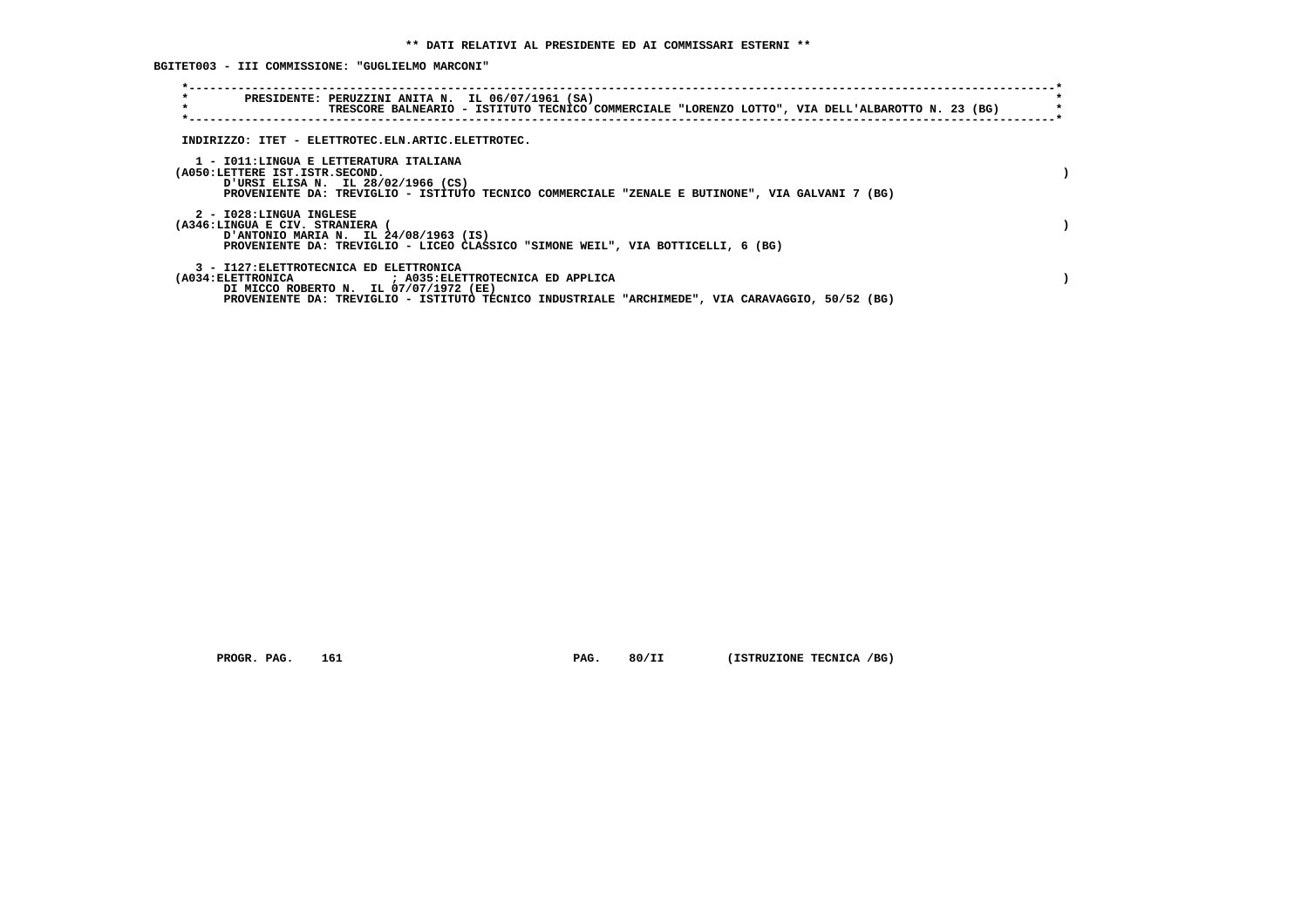**BGITET003 - III COMMISSIONE: "GUGLIELMO MARCONI"**

| $\star$<br>PRESIDENTE: PERUZZINI ANITA N. IL 06/07/1961 (SA)<br>$\star$<br>TRESCORE BALNEARIO - ISTITUTO TECNICO COMMERCIALE "LORENZO LOTTO", VIA DELL'ALBAROTTO N. 23 (BG)                                                                                               |  |
|---------------------------------------------------------------------------------------------------------------------------------------------------------------------------------------------------------------------------------------------------------------------------|--|
| INDIRIZZO: ITET - ELETTROTEC.ELN.ARTIC.ELETTROTEC.                                                                                                                                                                                                                        |  |
| 1 - IO11:LINGUA E LETTERATURA ITALIANA<br>(A050:LETTERE IST.ISTR.SECOND.<br>URSI ELISA N. IL 28/02/1966 (CS)<br>PROVENIENTE DA: TREVIGLIO - ISTITUTO TECNICO COMMERCIALE "ZENALE E BUTINONE", VIA GALVANI 7 (BG)                                                          |  |
| 2 - I028:LINGUA INGLESE<br>(A346:LINGUA E CIV. STRANIERA<br>D'ANTONIO MARIA N. IL 24/08/1963 (IS)<br>PROVENIENTE DA: TREVIGLIO - LICEO CLASSICO "SIMONE WEIL", VIA BOTTICELLI, 6 (BG)                                                                                     |  |
| 3 - I127: ELETTROTECNICA ED ELETTRONICA<br>(A034: ELETTRONICA                             ; A035: ELETTROTECNICA ED APPLICA<br>DI MICCO ROBERTO N. IL 07/07/1972 (EE)<br>PROVENIENTE DA: TREVIGLIO - ISTITUTO TECNICO INDUSTRIALE "ARCHIMEDE", VIA CARAVAGGIO, 50/52 (BG) |  |

 **PROGR. PAG.** 161 **PAG. 80/II (ISTRUZIONE TECNICA /BG)**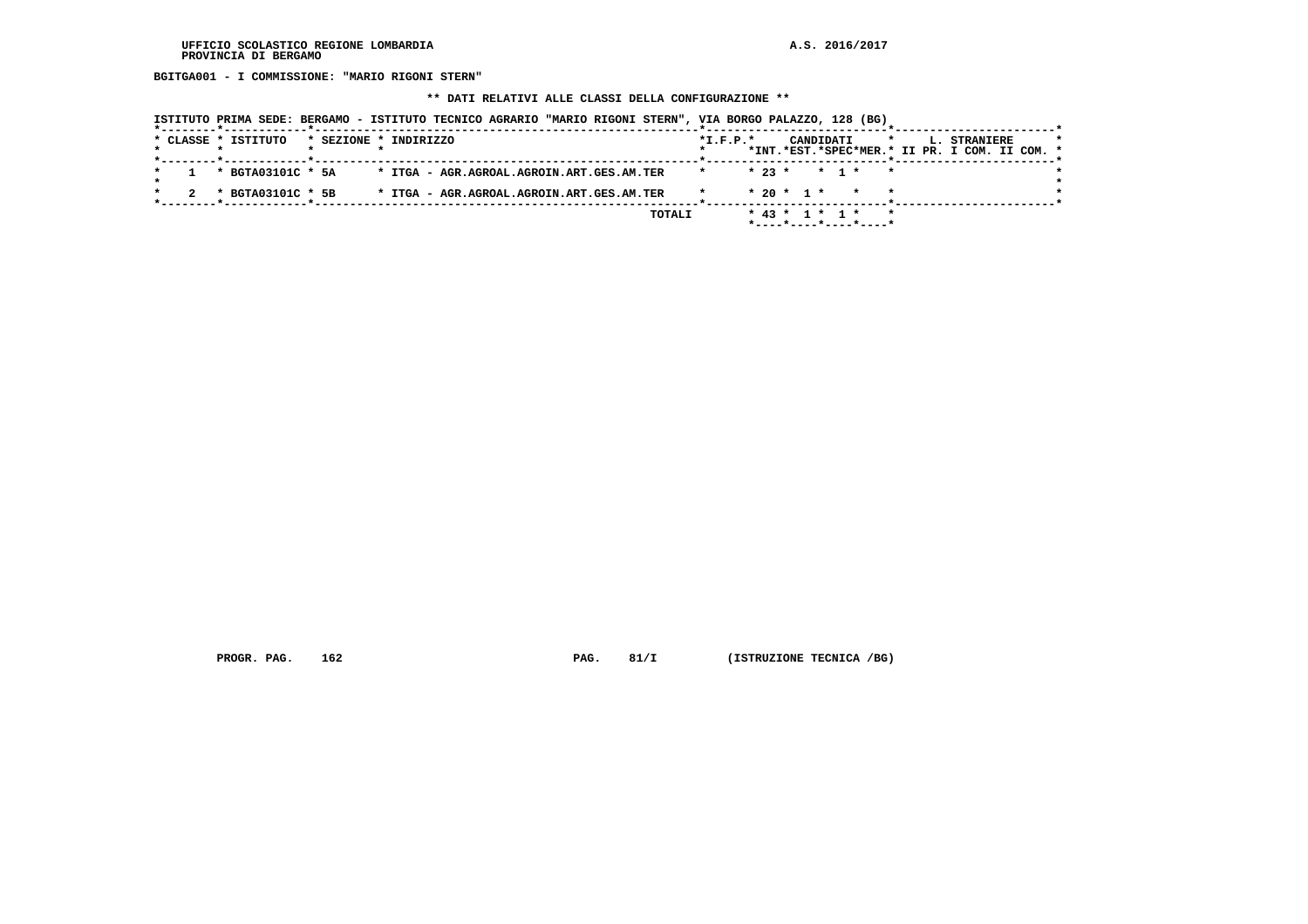**BGITGA001 - I COMMISSIONE: "MARIO RIGONI STERN"**

 **\*\* DATI RELATIVI ALLE CLASSI DELLA CONFIGURAZIONE \*\***

|  |  | ISTITUTO PRIMA SEDE: BERGAMO - ISTITUTO TECNICO AGRARIO "MARIO RIGONI STERN", VIA BORGO PALAZZO, 128 (BG) |                       |  |  |  |                                           |        |            |                        |           |       |                       |         |                                               |              |  |  |
|--|--|-----------------------------------------------------------------------------------------------------------|-----------------------|--|--|--|-------------------------------------------|--------|------------|------------------------|-----------|-------|-----------------------|---------|-----------------------------------------------|--------------|--|--|
|  |  | * CLASSE * ISTITUTO                                                                                       | * SEZIONE * INDIRIZZO |  |  |  |                                           |        | $*I.F.P.*$ |                        | CANDIDATI |       |                       | $\star$ | *INT.*EST.*SPEC*MER.* II PR. I COM. II COM. * | L. STRANIERE |  |  |
|  |  | * BGTA03101C * 5A                                                                                         |                       |  |  |  | * ITGA - AGR.AGROAL.AGROIN.ART.GES.AM.TER |        | $\star$    | $* 23 *$               |           | * 1 * |                       | $\star$ |                                               |              |  |  |
|  |  | * BGTA03101C * 5B                                                                                         |                       |  |  |  | * ITGA - AGR.AGROAL.AGROIN.ART.GES.AM.TER |        |            | $* 20 * 1 *$           |           |       |                       |         |                                               |              |  |  |
|  |  |                                                                                                           |                       |  |  |  |                                           | TOTALI |            | $*$ 43 $*$ 1 $*$ 1 $*$ |           |       | *----*----*----*----* |         |                                               |              |  |  |

 **PROGR. PAG.** 162 **PAG. 81/I** (ISTRUZIONE TECNICA /BG)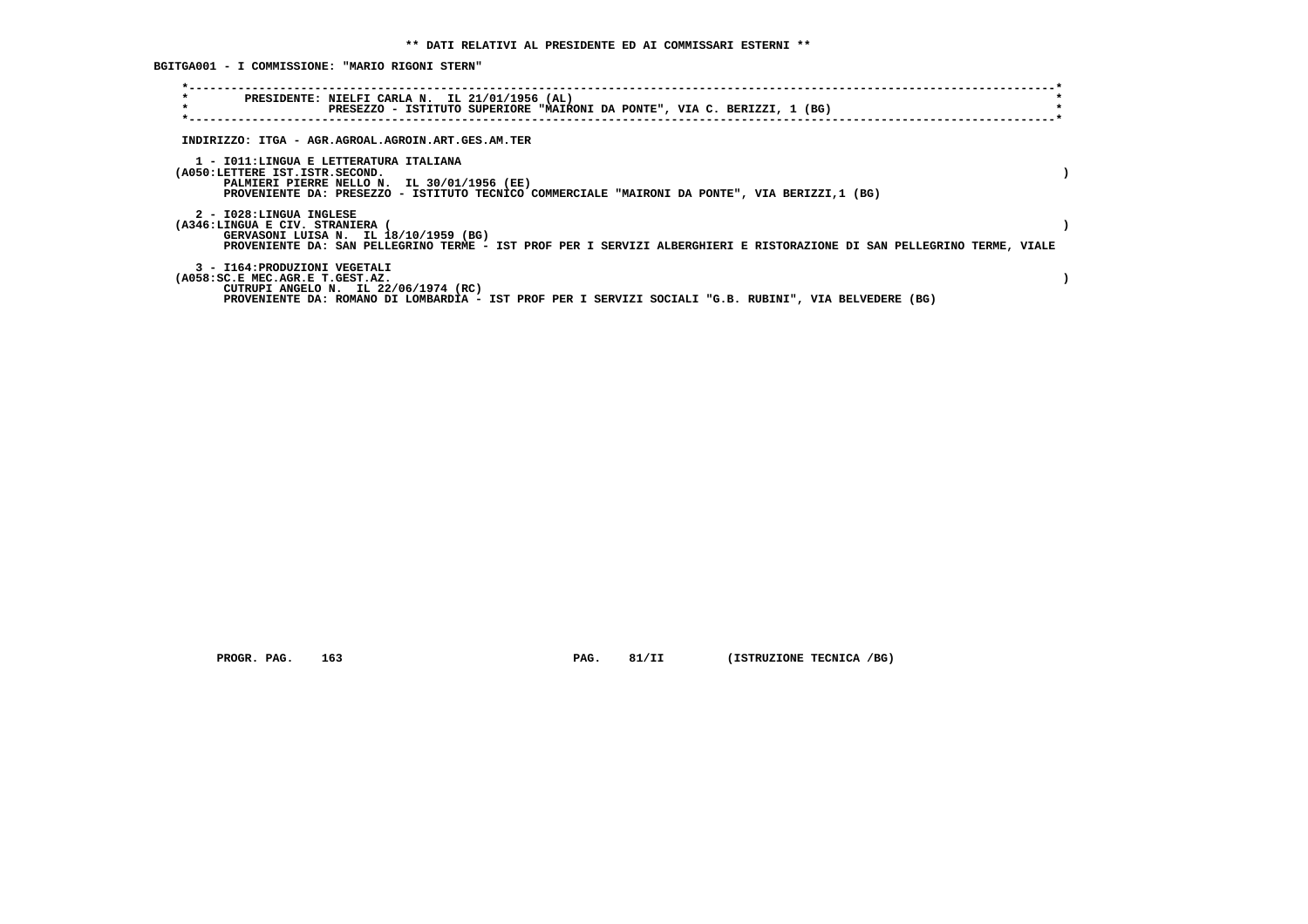**BGITGA001 - I COMMISSIONE: "MARIO RIGONI STERN"**

| $\star$<br>$\star$                                                       | PRESIDENTE: NIELFI CARLA N. IL 21/01/1956 (AL)<br>PRESEZZO - ISTITUTO SUPERIORE "MAIRONI DA PONTE", VIA C. BERIZZI, 1 (BG)                                       |  |
|--------------------------------------------------------------------------|------------------------------------------------------------------------------------------------------------------------------------------------------------------|--|
|                                                                          |                                                                                                                                                                  |  |
|                                                                          | INDIRIZZO: ITGA - AGR.AGROAL.AGROIN.ART.GES.AM.TER                                                                                                               |  |
| 1 - IO11:LINGUA E LETTERATURA ITALIANA<br>(A050:LETTERE IST.ISTR.SECOND. | PALMIERI PIERRE NELLO N. IL 30/01/1956 (EE)<br>PROVENIENTE DA: PRESEZZO - ISTITUTO TECNICO COMMERCIALE "MAIRONI DA PONTE", VIA BERIZZI,1 (BG)                    |  |
| 2 - I028:LINGUA INGLESE<br>(A346:LINGUA E CIV. STRANIERA                 | GERVASONI LUISA N. IL 18/10/1959 (BG)<br>PROVENIENTE DA: SAN PELLEGRINO TERME - IST PROF PER I SERVIZI ALBERGHIERI E RISTORAZIONE DI SAN PELLEGRINO TERME, VIALE |  |
| 3 - I164: PRODUZIONI VEGETALI<br>(A058:SC.E MEC.AGR.E T.GEST.AZ.         | CUTRUPI ANGELO N. IL 22/06/1974 (RC)<br>PROVENIENTE DA: ROMANO DI LOMBARDIA - IST PROF PER I SERVIZI SOCIALI "G.B. RUBINI", VIA BELVEDERE (BG)                   |  |

 **PROGR. PAG.** 163 **PAG. 81/II (ISTRUZIONE TECNICA /BG)**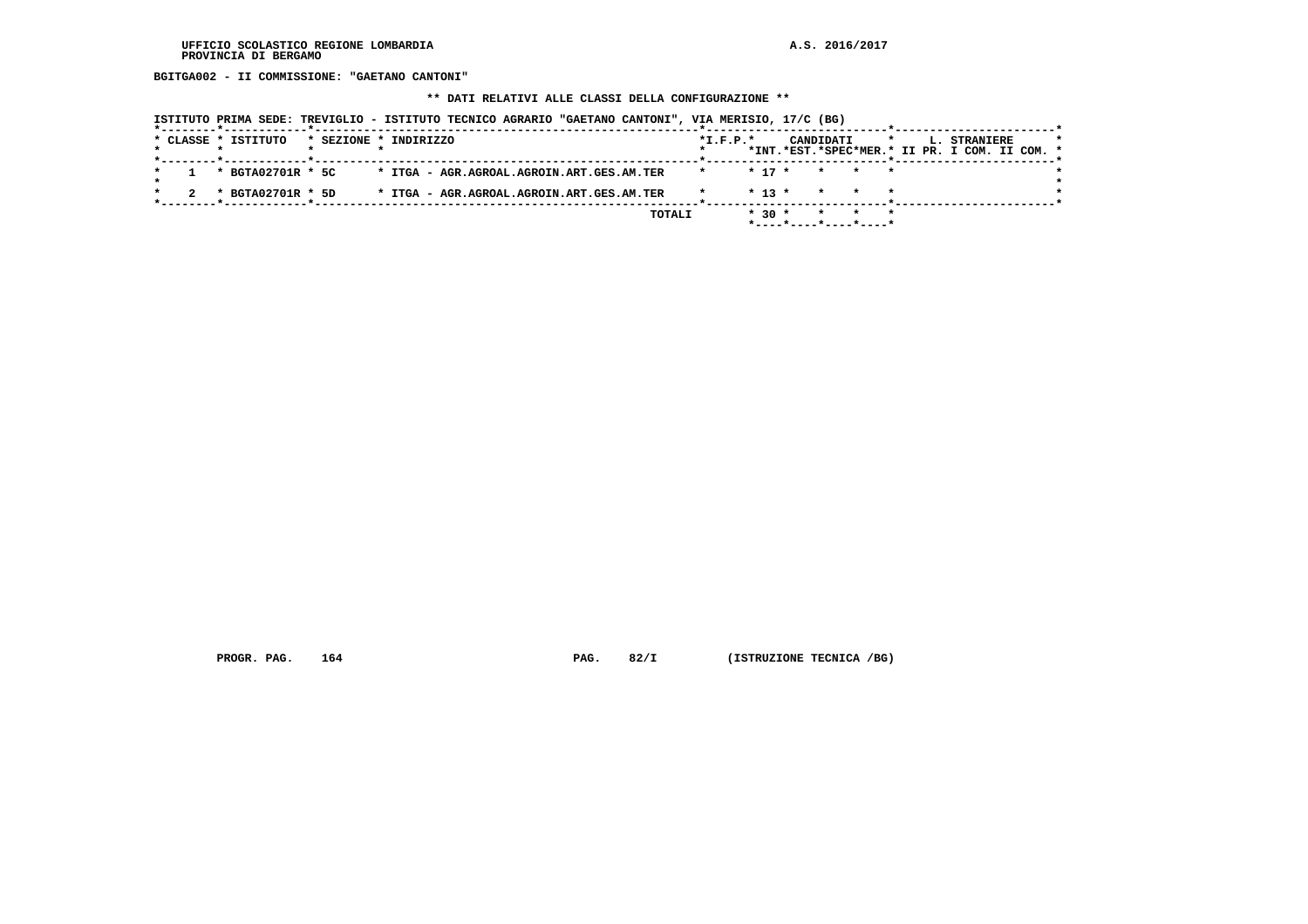**BGITGA002 - II COMMISSIONE: "GAETANO CANTONI"**

## **\*\* DATI RELATIVI ALLE CLASSI DELLA CONFIGURAZIONE \*\***

|                     |                                           | ISTITUTO PRIMA SEDE: TREVIGLIO - ISTITUTO TECNICO AGRARIO "GAETANO CANTONI", VIA MERISIO, 17/C (BG) |                |          |           |                                                         |         |                                               |  |
|---------------------|-------------------------------------------|-----------------------------------------------------------------------------------------------------|----------------|----------|-----------|---------------------------------------------------------|---------|-----------------------------------------------|--|
| * CLASSE * ISTITUTO | * SEZIONE * INDIRIZZO                     |                                                                                                     | $*$ I.F.P. $*$ |          | CANDIDATI |                                                         | $\star$ | L. STRANIERE                                  |  |
|                     |                                           |                                                                                                     |                |          |           |                                                         |         | *INT.*EST.*SPEC*MER.* II PR. I COM. II COM. * |  |
| * BGTA02701R * 5C   | * ITGA - AGR.AGROAL.AGROIN.ART.GES.AM.TER |                                                                                                     |                | $* 17 *$ |           | * * *                                                   |         |                                               |  |
| * BGTA02701R * 5D   | * ITGA - AGR.AGROAL.AGROIN.ART.GES.AM.TER |                                                                                                     |                | $* 13 *$ | $\star$   |                                                         |         |                                               |  |
|                     |                                           | TOTALI                                                                                              |                | $* 30 *$ |           | $\star$ $\star$<br>$*$ ---- $*$ ---- $*$ ---- $*$ ----* | $\star$ |                                               |  |

 **PROGR. PAG.** 164 **PAG.** 82/I (ISTRUZIONE TECNICA /BG)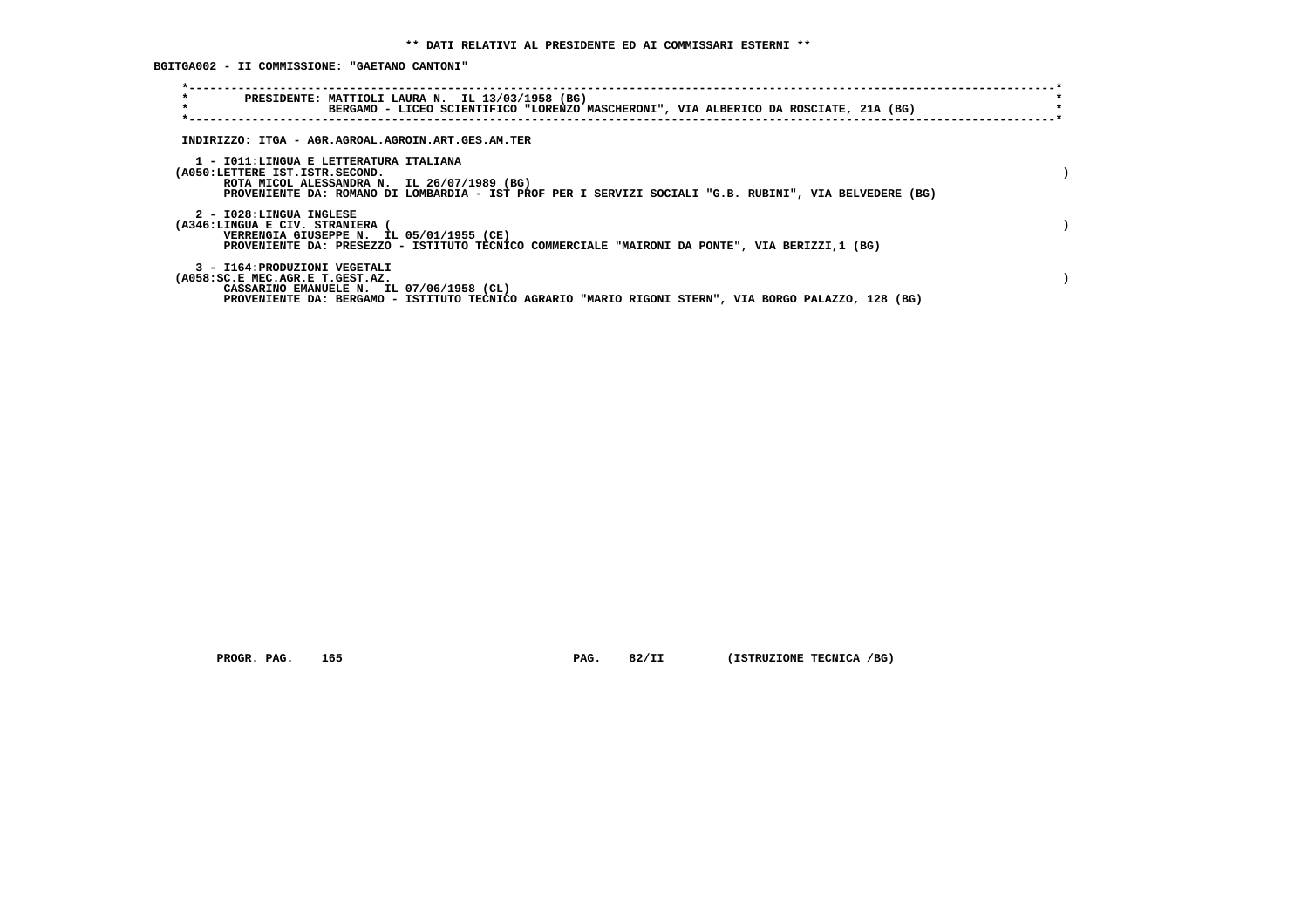**BGITGA002 - II COMMISSIONE: "GAETANO CANTONI"**

| $\star$<br>PRESIDENTE: MATTIOLI LAURA N. IL 13/03/1958 (BG)<br>$\star$<br>BERGAMO - LICEO SCIENTIFICO "LORENZO MASCHERONI", VIA ALBERICO DA ROSCIATE, 21A (BG)                                                                    |  |
|-----------------------------------------------------------------------------------------------------------------------------------------------------------------------------------------------------------------------------------|--|
| INDIRIZZO: ITGA - AGR.AGROAL.AGROIN.ART.GES.AM.TER                                                                                                                                                                                |  |
| 1 - IO11:LINGUA E LETTERATURA ITALIANA<br>(A050:LETTERE IST.ISTR.SECOND.<br>ROTA MICOL ALESSANDRA N. IL 26/07/1989 (BG)<br>PROVENIENTE DA: ROMANO DI LOMBARDIA - IST PROF PER I SERVIZI SOCIALI "G.B. RUBINI", VIA BELVEDERE (BG) |  |
| 2 - I028:LINGUA INGLESE<br>(A346:LINGUA E CIV. STRANIERA<br>VERRENGIA GIUSEPPE N. IL 05/01/1955 (CE)<br>PROVENIENTE DA: PRESEZZO - ISTITUTO TECNICO COMMERCIALE "MAIRONI DA PONTE", VIA BERIZZI,1 (BG)                            |  |
| 3 - I164: PRODUZIONI VEGETALI<br>(A058:SC.E MEC.AGR.E T.GEST.AZ.<br>CASSARINO EMANUELE N. IL 07/06/1958 (CL)<br>PROVENIENTE DA: BERGAMO - ISTITUTO TECNICO AGRARIO "MARIO RIGONI STERN", VIA BORGO PALAZZO, 128 (BG)              |  |

 **PROGR. PAG.** 165 **PAG. 82/II (ISTRUZIONE TECNICA /BG)**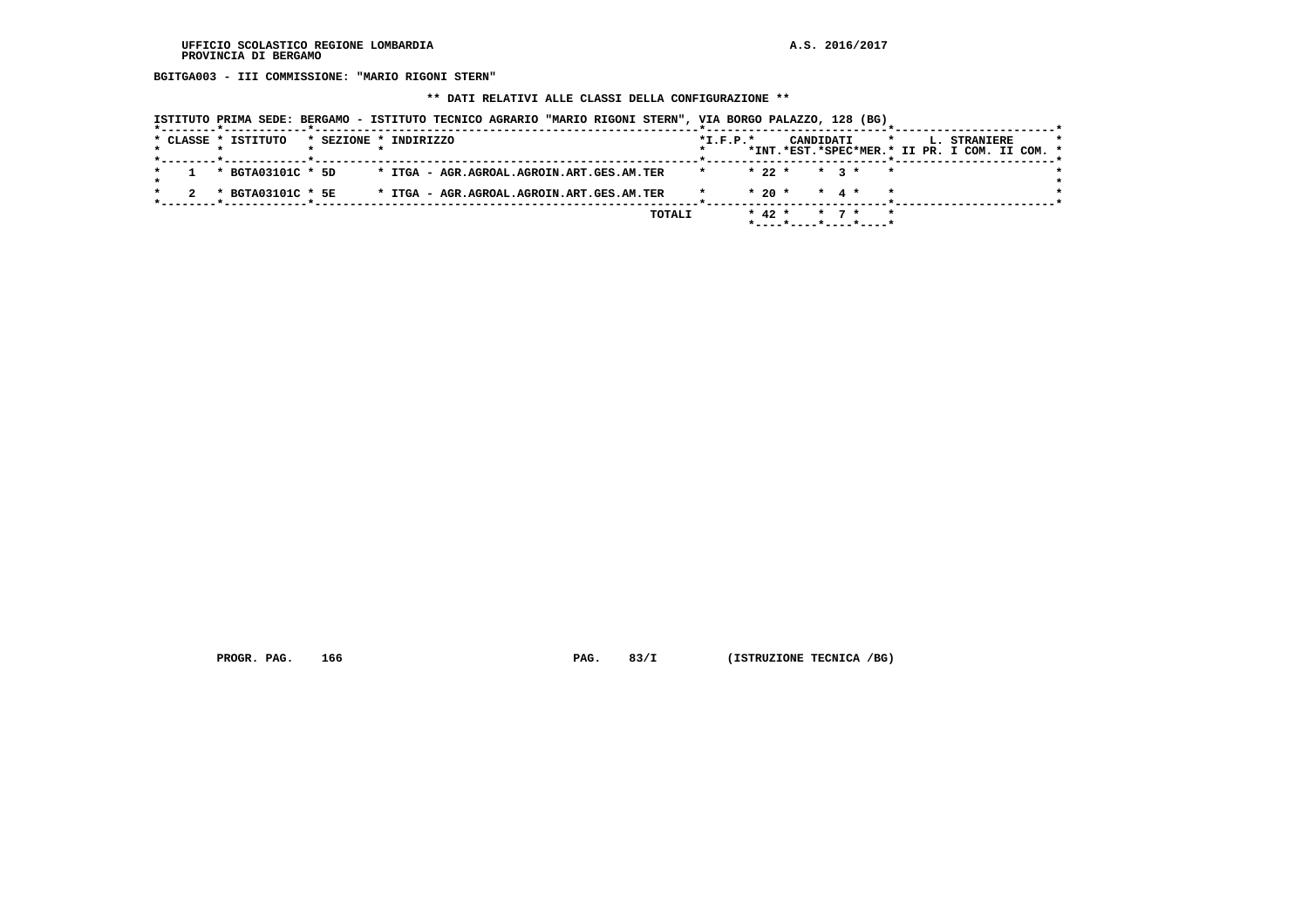**BGITGA003 - III COMMISSIONE: "MARIO RIGONI STERN"**

#### **\*\* DATI RELATIVI ALLE CLASSI DELLA CONFIGURAZIONE \*\***

|  |  | ISTITUTO PRIMA SEDE: BERGAMO - ISTITUTO TECNICO AGRARIO "MARIO RIGONI STERN", VIA BORGO PALAZZO, 128 (BG) |                       |  |  |                                           |  |        |         |            |           |                                                            |                   |  |         |  |              |  |  |
|--|--|-----------------------------------------------------------------------------------------------------------|-----------------------|--|--|-------------------------------------------|--|--------|---------|------------|-----------|------------------------------------------------------------|-------------------|--|---------|--|--------------|--|--|
|  |  | * CLASSE * ISTITUTO                                                                                       | * SEZIONE * INDIRIZZO |  |  |                                           |  |        |         | $*I.F.P.*$ |           | CANDIDATI<br>*INT.*EST.*SPEC*MER.* II PR. I COM. II COM. * |                   |  | $\star$ |  | L. STRANIERE |  |  |
|  |  | * BGTA03101C * 5D                                                                                         |                       |  |  | * ITGA - AGR.AGROAL.AGROIN.ART.GES.AM.TER |  |        | $\star$ |            |           | $* 22 * * 3 *$                                             |                   |  |         |  |              |  |  |
|  |  | * BGTA03101C * 5E                                                                                         |                       |  |  | * ITGA - AGR.AGROAL.AGROIN.ART.GES.AM.TER |  |        |         |            | $*20$ $*$ | $\star$ 4 $\star$                                          |                   |  |         |  |              |  |  |
|  |  |                                                                                                           |                       |  |  |                                           |  | TOTALI |         |            | $* 42 *$  | $*$ ---- $*$ ---- $*$ ---- $*$ ---- $*$                    | $\star$ 7 $\star$ |  |         |  |              |  |  |

 **PROGR. PAG.** 166 **PAG. 83/I** (ISTRUZIONE TECNICA /BG)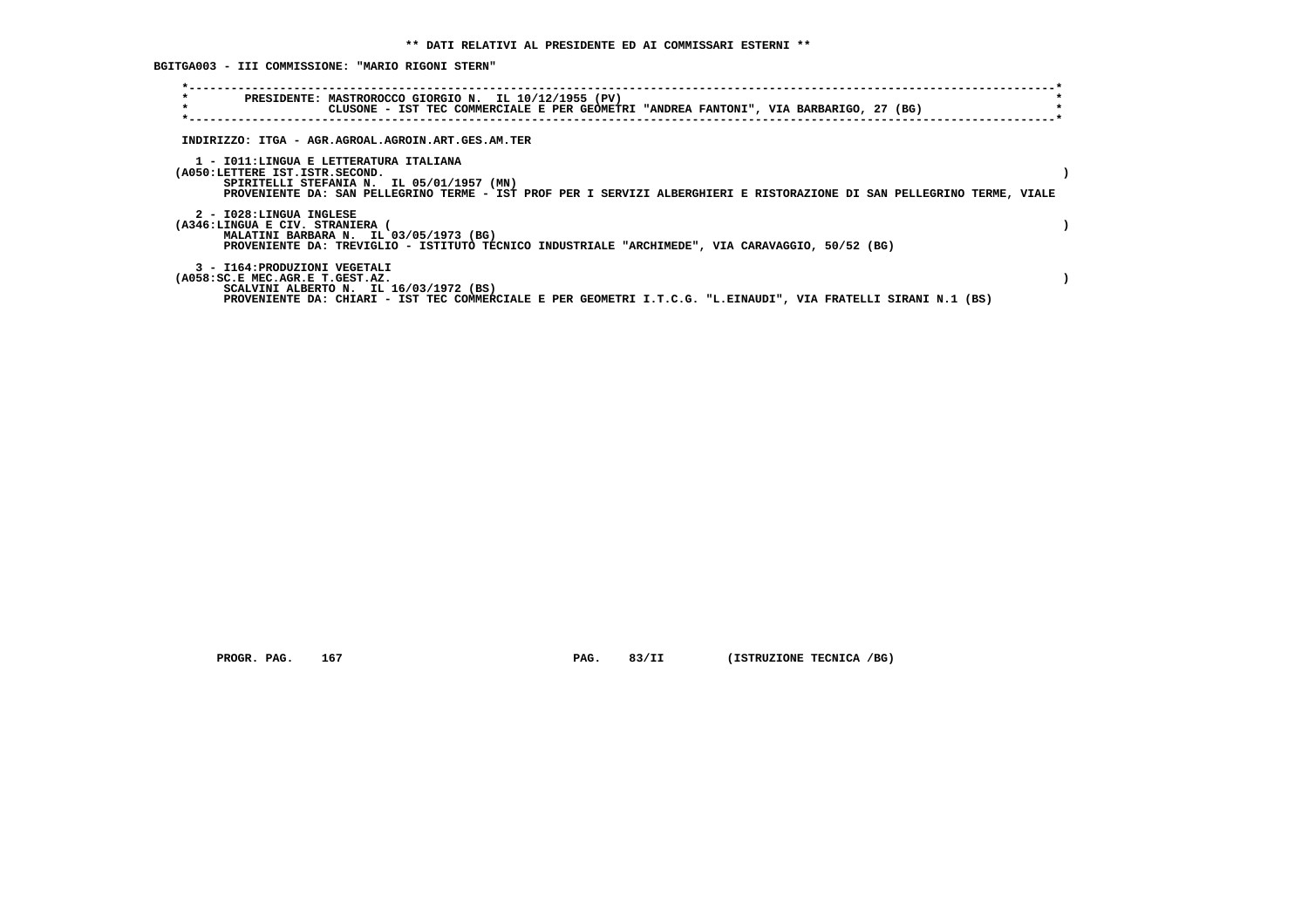**BGITGA003 - III COMMISSIONE: "MARIO RIGONI STERN"**

| $\star$<br>$\star$                                               | PRESIDENTE: MASTROROCCO GIORGIO N. IL 10/12/1955 (PV)<br>CLUSONE - IST TEC COMMERCIALE E PER GEOMETRI "ANDREA FANTONI", VIA BARBARIGO, 27 (BG)                                                                 |  |
|------------------------------------------------------------------|----------------------------------------------------------------------------------------------------------------------------------------------------------------------------------------------------------------|--|
|                                                                  | INDIRIZZO: ITGA - AGR.AGROAL.AGROIN.ART.GES.AM.TER                                                                                                                                                             |  |
| (A050:LETTERE IST.ISTR.SECOND.                                   | 1 - IO11:LINGUA E LETTERATURA ITALIANA<br>SPIRITELLI STEFANIA N. IL 05/01/1957 (MN)<br>PROVENIENTE DA: SAN PELLEGRINO TERME - IST PROF PER I SERVIZI ALBERGHIERI E RISTORAZIONE DI SAN PELLEGRINO TERME, VIALE |  |
| 2 - I028:LINGUA INGLESE<br>(A346:LINGUA E CIV. STRANIERA         | MALATINI BARBARA N. IL 03/05/1973 (BG)<br>PROVENIENTE DA: TREVIGLIO - ISTITUTO TECNICO INDUSTRIALE "ARCHIMEDE", VIA CARAVAGGIO, 50/52 (BG)                                                                     |  |
| 3 - I164: PRODUZIONI VEGETALI<br>(A058:SC.E MEC.AGR.E T.GEST.AZ. | SCALVINI ALBERTO N. IL 16/03/1972 (BS)<br>PROVENIENTE DA: CHIARI - IST TEC COMMERCIALE E PER GEOMETRI I.T.C.G. "L.EINAUDI", VIA FRATELLI SIRANI N.1 (BS)                                                       |  |

 **PROGR. PAG.** 167 **PAG.** 83/II (ISTRUZIONE TECNICA /BG)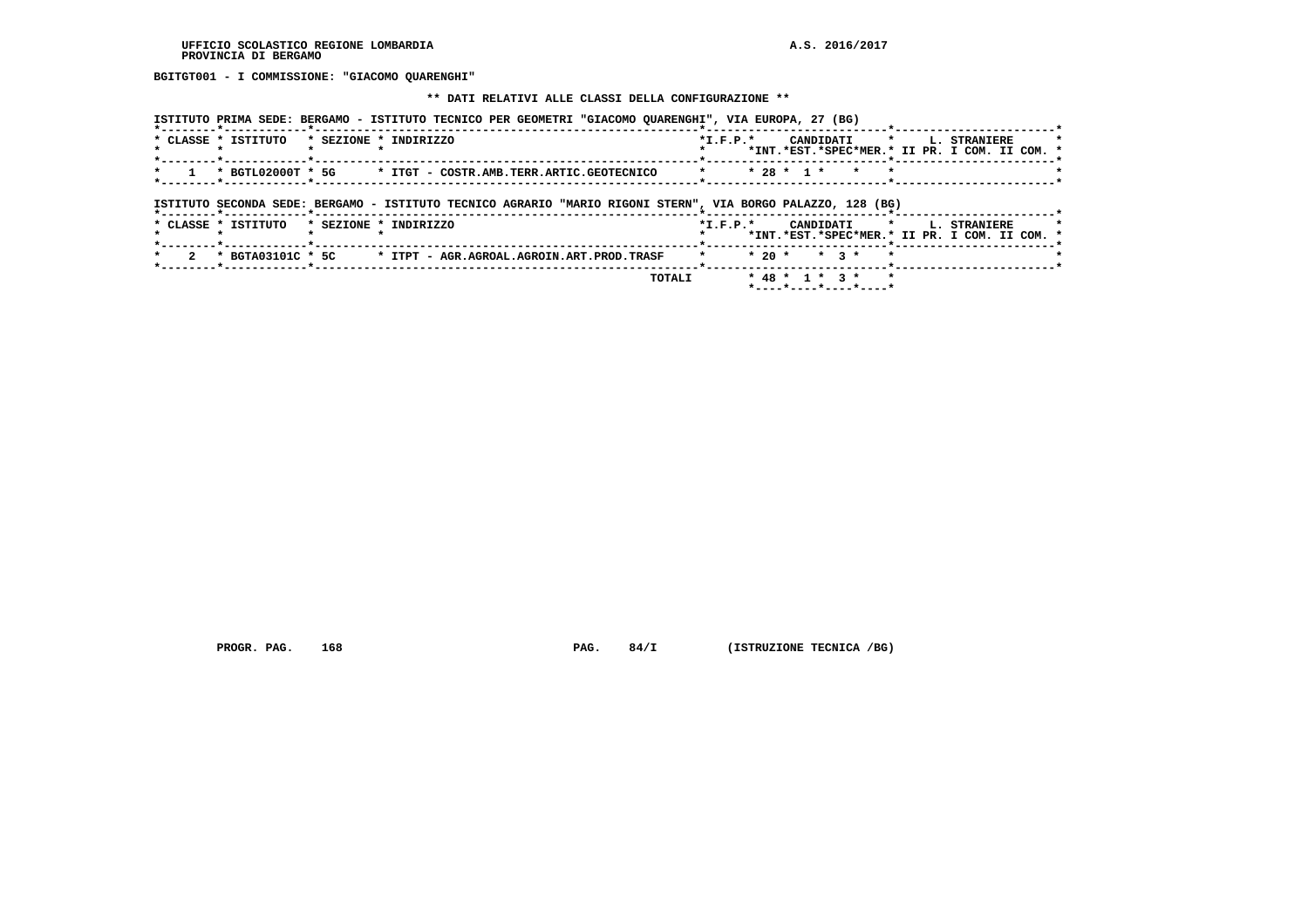**BGITGT001 - I COMMISSIONE: "GIACOMO QUARENGHI"**

#### **\*\* DATI RELATIVI ALLE CLASSI DELLA CONFIGURAZIONE \*\***

| ISTITUTO PRIMA SEDE: BERGAMO - ISTITUTO TECNICO PER GEOMETRI "GIACOMO OUARENGHI", VIA EUROPA, 27 (BG) |  |  |  |  |  |  |  |  |  |  |  |
|-------------------------------------------------------------------------------------------------------|--|--|--|--|--|--|--|--|--|--|--|
|-------------------------------------------------------------------------------------------------------|--|--|--|--|--|--|--|--|--|--|--|

|  | * CLASSE * ISTITUTO | * SEZIONE * INDIRIZZO                                                                  | $*T$ , $F$ , $D$ , $*$ | CANDIDATI * I. STRANIERE |                                               |  |
|--|---------------------|----------------------------------------------------------------------------------------|------------------------|--------------------------|-----------------------------------------------|--|
|  |                     |                                                                                        |                        |                          | *INT.*EST.*SPEC*MER.* II PR. I COM. II COM. * |  |
|  |                     |                                                                                        |                        |                          |                                               |  |
|  |                     | $\star$ 1 $\star$ BGTL02000T $\star$ 5G $\star$ TTGT - COSTR.AMB.TERR.ARTIC.GEOTECNICO |                        | * * 28 * 1 * * * *       |                                               |  |
|  |                     |                                                                                        |                        |                          |                                               |  |

## **ISTITUTO SECONDA SEDE: BERGAMO - ISTITUTO TECNICO AGRARIO "MARIO RIGONI STERN", VIA BORGO PALAZZO, 128 (BG)**

|  | * CLASSE * ISTITUTO |  | * SEZIONE * INDIRIZZO                                         | $*T$ , $F$ , $D$ , $*$ |  |  | CANDIDATI * L. STRANIERE                      |  |  |  |  |
|--|---------------------|--|---------------------------------------------------------------|------------------------|--|--|-----------------------------------------------|--|--|--|--|
|  |                     |  |                                                               |                        |  |  | *INT.*EST.*SPEC*MER.* II PR. I COM. II COM. * |  |  |  |  |
|  |                     |  |                                                               |                        |  |  |                                               |  |  |  |  |
|  |                     |  | 2 * BGTA03101C * 5C * ITPT - AGR.AGROAL.AGROIN.ART.PROD.TRASF |                        |  |  | * * 20 * * 3 * *                              |  |  |  |  |
|  |                     |  | <b>TOTALI</b>                                                 |                        |  |  | $* 48 * 1 * 3 * * *$                          |  |  |  |  |
|  |                     |  |                                                               |                        |  |  | *----*----*----*----*                         |  |  |  |  |

 **PROGR. PAG.** 168 **PAG. 84/I** (ISTRUZIONE TECNICA /BG)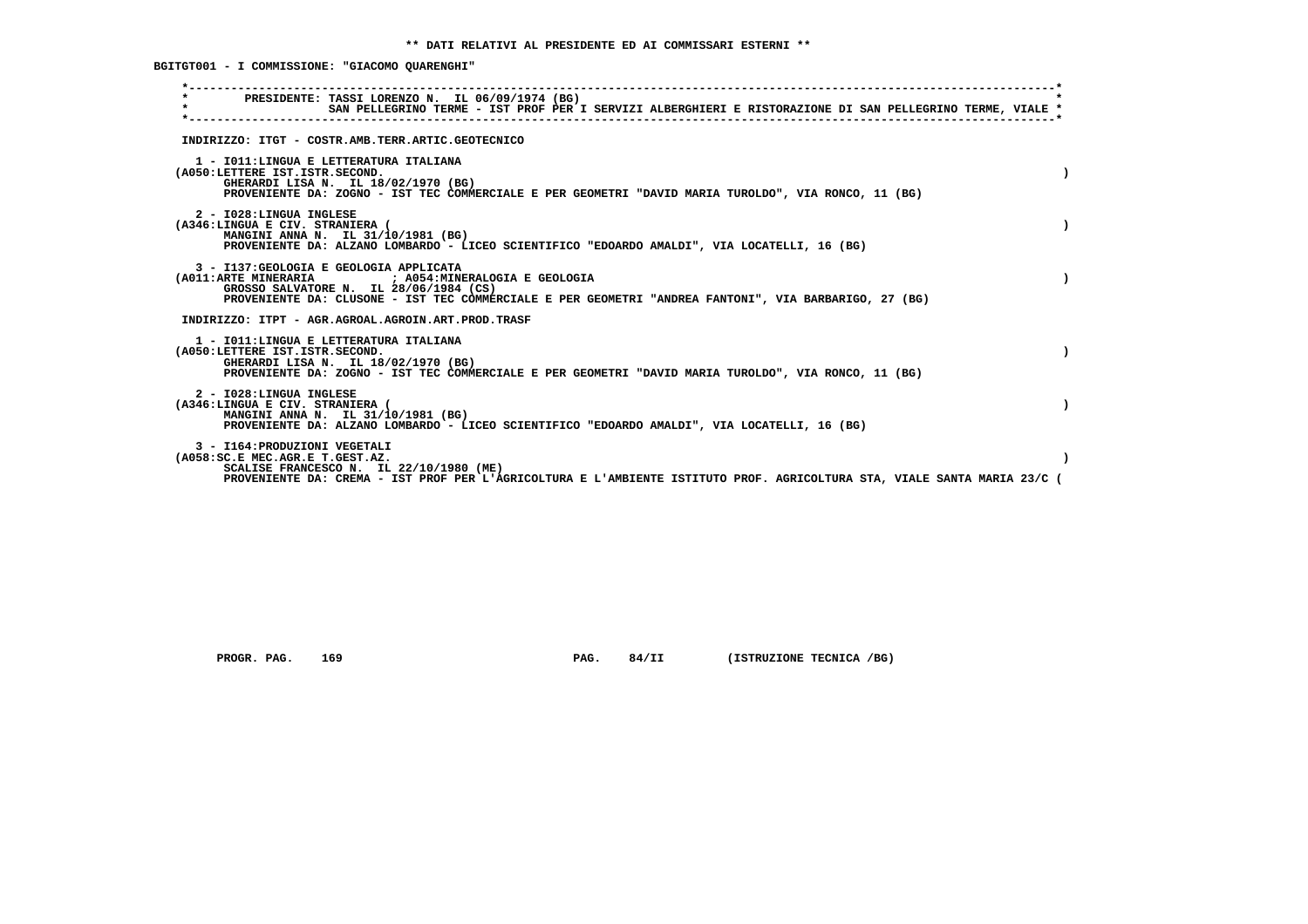**BGITGT001 - I COMMISSIONE: "GIACOMO QUARENGHI"**

| PRESIDENTE: TASSI LORENZO N. IL 06/09/1974 (BG)<br>$\star$<br>SAN PELLEGRINO TERME - IST PROF PER I SERVIZI ALBERGHIERI E RISTORAZIONE DI SAN PELLEGRINO TERME, VIALE *                                                                            |  |  |
|----------------------------------------------------------------------------------------------------------------------------------------------------------------------------------------------------------------------------------------------------|--|--|
| INDIRIZZO: ITGT - COSTR.AMB.TERR.ARTIC.GEOTECNICO                                                                                                                                                                                                  |  |  |
| 1 - IO11: LINGUA E LETTERATURA ITALIANA<br>(A050:LETTERE IST.ISTR.SECOND.<br>GHERARDI LISA N. IL 18/02/1970 (BG)<br>PROVENIENTE DA: ZOGNO - IST TEC COMMERCIALE E PER GEOMETRI "DAVID MARIA TUROLDO", VIA RONCO, 11 (BG)                           |  |  |
| 2 - I028:LINGUA INGLESE<br>(A346:LINGUA E CIV. STRANIERA (<br>MANGINI ANNA N. IL 31/10/1981 (BG)<br>PROVENIENTE DA: ALZANO LOMBARDO - LICEO SCIENTIFICO "EDOARDO AMALDI", VIA LOCATELLI, 16 (BG)                                                   |  |  |
| 3 - I137: GEOLOGIA E GEOLOGIA APPLICATA<br>(A011:ARTE MINERARIA ) ; A054:MINERALOGIA E GEOLOGIA<br>GROSSO SALVATORE N. IL 28/06/1984 (CS)<br>PROVENIENTE DA: CLUSONE - IST TEC COMMERCIALE E PER GEOMETRI "ANDREA FANTONI", VIA BARBARIGO, 27 (BG) |  |  |
| INDIRIZZO: ITPT - AGR.AGROAL.AGROIN.ART.PROD.TRASF                                                                                                                                                                                                 |  |  |
| 1 - IO11: LINGUA E LETTERATURA ITALIANA<br>(A050:LETTERE IST.ISTR.SECOND.<br>GHERARDI LISA N. IL 18/02/1970 (BG)<br>PROVENIENTE DA: ZOGNO - IST TEC COMMERCIALE E PER GEOMETRI "DAVID MARIA TUROLDO", VIA RONCO, 11 (BG)                           |  |  |
| 2 - I028:LINGUA INGLESE<br>(A346:LINGUA E CIV. STRANIERA (<br>MANGINI ANNA N. IL 31/10/1981 (BG)<br>PROVENIENTE DA: ALZANO LOMBARDO - LICEO SCIENTIFICO "EDOARDO AMALDI", VIA LOCATELLI, 16 (BG)                                                   |  |  |
| 3 - I164: PRODUZIONI VEGETALI<br>(A058:SC.E MEC.AGR.E T.GEST.AZ.<br>SCALISE FRANCESCO N. IL 22/10/1980 (ME)<br>PROVENIENTE DA: CREMA - IST PROF PER L'AGRICOLTURA E L'AMBIENTE ISTITUTO PROF. AGRICOLTURA STA, VIALE SANTA MARIA 23/C (            |  |  |

 **PROGR. PAG.** 169 **PAG. 84/II** (ISTRUZIONE TECNICA /BG)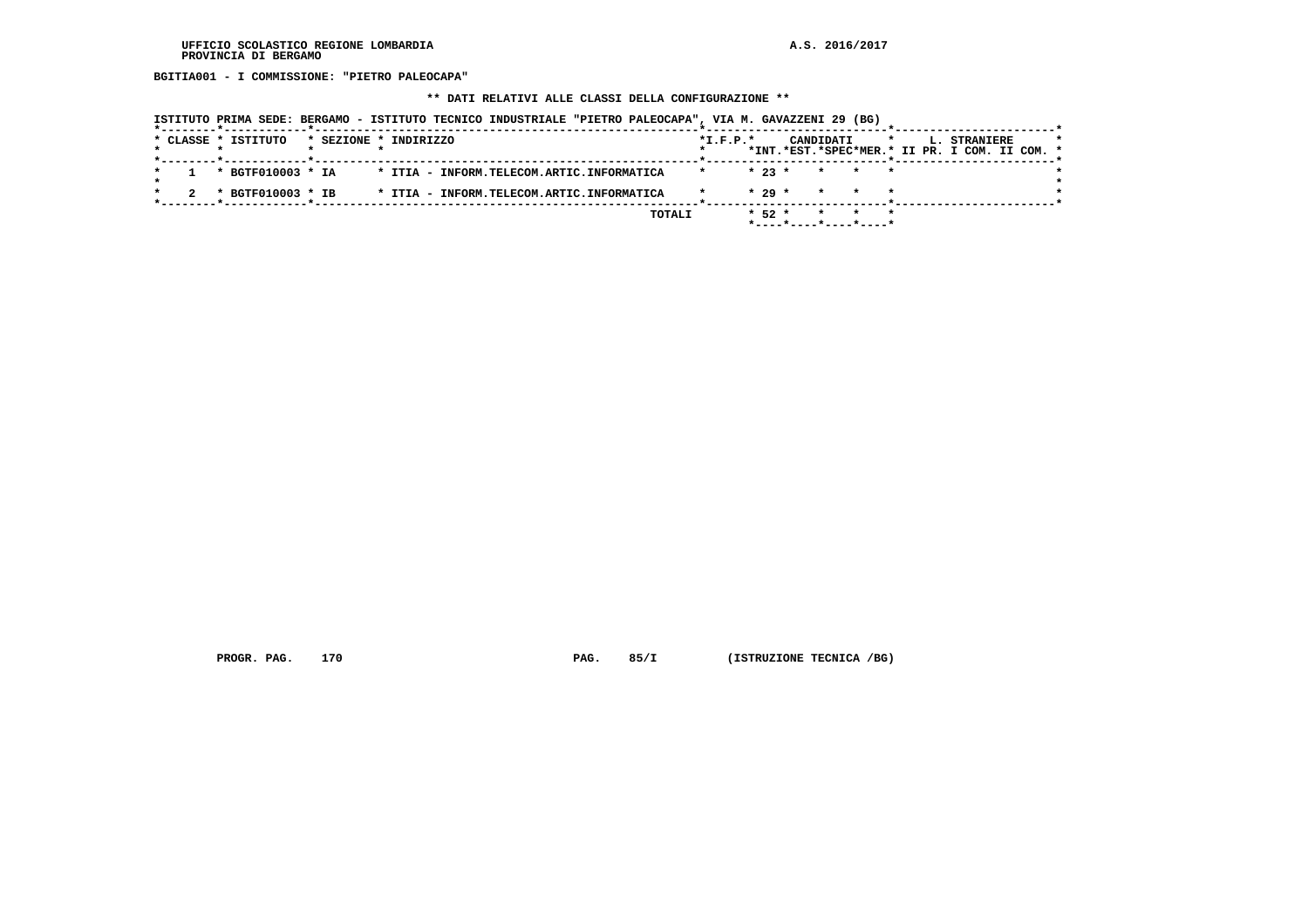**BGITIA001 - I COMMISSIONE: "PIETRO PALEOCAPA"**

## **\*\* DATI RELATIVI ALLE CLASSI DELLA CONFIGURAZIONE \*\***

|  |  | ISTITUTO PRIMA SEDE: BERGAMO - ISTITUTO TECNICO INDUSTRIALE "PIETRO PALEOCAPA", VIA M. GAVAZZENI 29 (BG) |                       |  |  |                                           |  |        |            |            |           |                          |         |  |                                                               |  |  |
|--|--|----------------------------------------------------------------------------------------------------------|-----------------------|--|--|-------------------------------------------|--|--------|------------|------------|-----------|--------------------------|---------|--|---------------------------------------------------------------|--|--|
|  |  | * CLASSE * ISTITUTO                                                                                      | * SEZIONE * INDIRIZZO |  |  |                                           |  |        | $*L.F.P.*$ |            | CANDIDATI |                          | $\star$ |  | L. STRANIERE<br>*INT.*EST.*SPEC*MER.* II PR. I COM. II COM. * |  |  |
|  |  | * BGTF010003 * IA                                                                                        |                       |  |  | * ITIA - INFORM.TELECOM.ARTIC.INFORMATICA |  |        | $\star$    | $* 23 *$   |           | * * *                    |         |  |                                                               |  |  |
|  |  | * BGTF010003 * IB                                                                                        |                       |  |  | * ITIA - INFORM.TELECOM.ARTIC.INFORMATICA |  |        |            | $* 29 *$   | $\star$   |                          |         |  |                                                               |  |  |
|  |  |                                                                                                          |                       |  |  |                                           |  | TOTALI |            | $*$ 52 $*$ |           | $*$ ----*----*----*----* |         |  |                                                               |  |  |

 **PROGR. PAG.** 170 **PAG. 85/I** (ISTRUZIONE TECNICA /BG)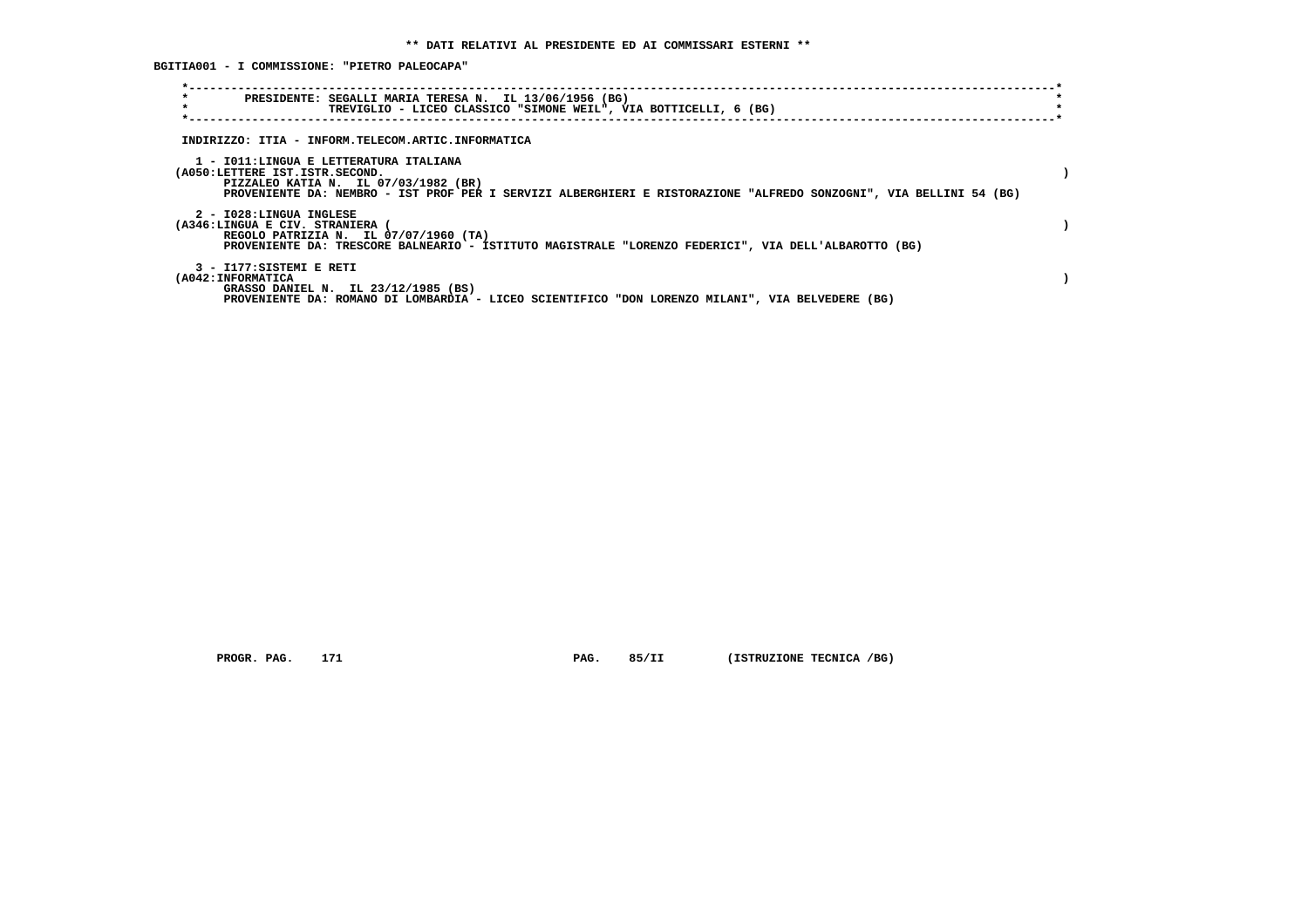**BGITIA001 - I COMMISSIONE: "PIETRO PALEOCAPA"**

| $\star$<br>$\star$                     | PRESIDENTE: SEGALLI MARIA TERESA N. IL 13/06/1956 (BG)<br>TREVIGLIO - LICEO CLASSICO "SIMONE WEIL", VIA BOTTICELLI, 6 (BG) |  |
|----------------------------------------|----------------------------------------------------------------------------------------------------------------------------|--|
|                                        |                                                                                                                            |  |
|                                        | INDIRIZZO: ITIA - INFORM.TELECOM.ARTIC.INFORMATICA                                                                         |  |
|                                        |                                                                                                                            |  |
| 1 - IO11:LINGUA E LETTERATURA ITALIANA |                                                                                                                            |  |
| (A050:LETTERE IST.ISTR.SECOND.         | PIZZALEO KATIA N. IL 07/03/1982 (BR)                                                                                       |  |
|                                        | PROVENIENTE DA: NEMBRO - IST PROF PER I SERVIZI ALBERGHIERI E RISTORAZIONE "ALFREDO SONZOGNI", VIA BELLINI 54 (BG)         |  |
|                                        |                                                                                                                            |  |
| 2 - I028:LINGUA INGLESE                |                                                                                                                            |  |
| (A346:LINGUA E CIV. STRANIERA (        | REGOLO PATRIZIA N. IL 07/07/1960 (TA)                                                                                      |  |
|                                        | PROVENIENTE DA: TRESCORE BALNEARIO - ISTITUTO MAGISTRALE "LORENZO FEDERICI", VIA DELL'ALBAROTTO (BG)                       |  |
|                                        |                                                                                                                            |  |
| 3 - I177:SISTEMI E RETI                |                                                                                                                            |  |
| (A042: INFORMATICA                     | GRASSO DANIEL N. IL 23/12/1985 (BS)                                                                                        |  |
|                                        | PROVENIENTE DA: ROMANO DI LOMBARDIA - LICEO SCIENTIFICO "DON LORENZO MILANI", VIA BELVEDERE (BG)                           |  |

 **PROGR. PAG.** 171 **PAG.** 85/II (ISTRUZIONE TECNICA /BG)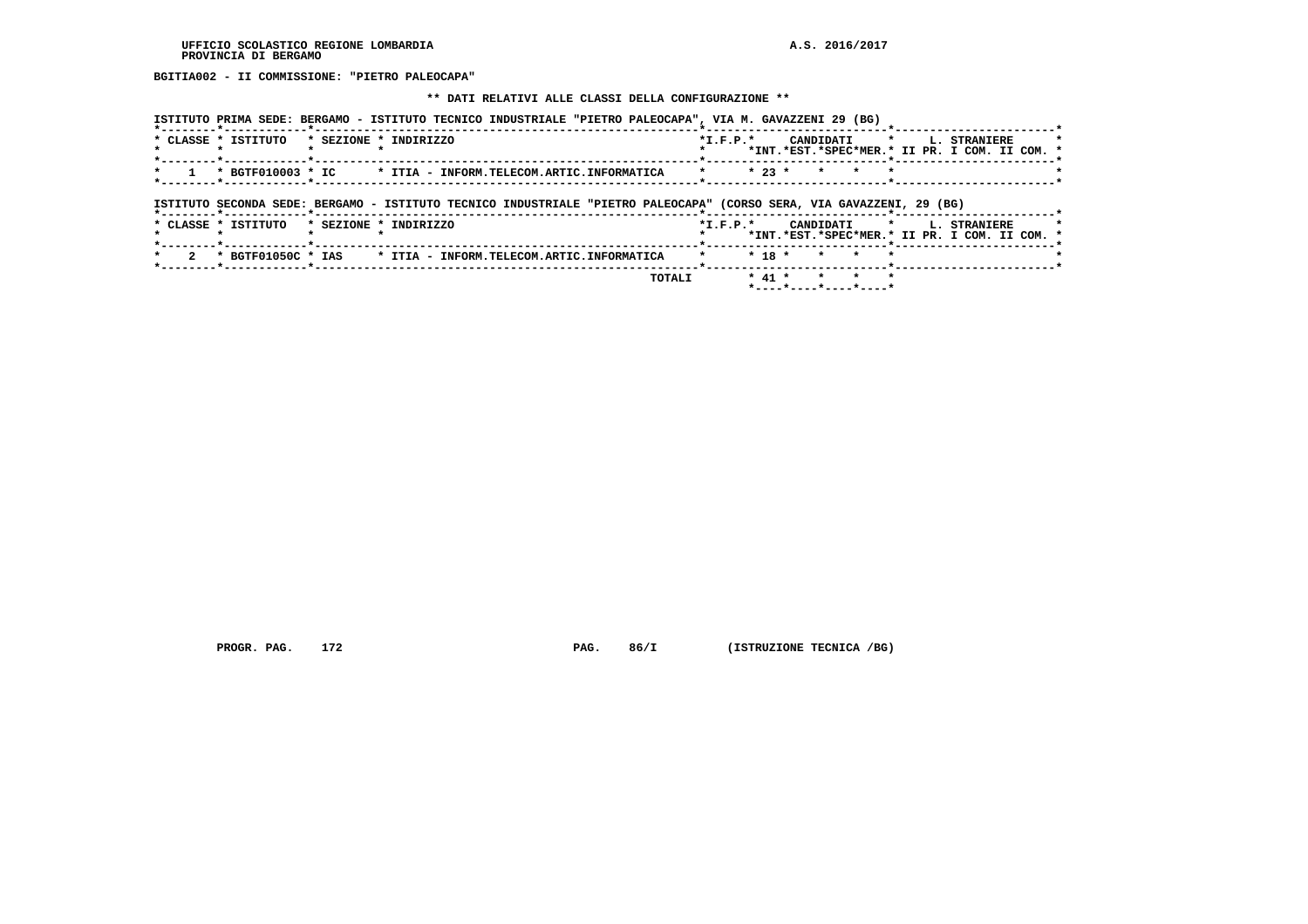**BGITIA002 - II COMMISSIONE: "PIETRO PALEOCAPA"**

#### **\*\* DATI RELATIVI ALLE CLASSI DELLA CONFIGURAZIONE \*\***

| ISTITUTO PRIMA SEDE: BERGAMO - ISTITUTO TECNICO INDUSTRIALE "PIETRO PALEOCAPA", VIA M. GAVAZZENI 29 (BG)             |                                                                                                                   |
|----------------------------------------------------------------------------------------------------------------------|-------------------------------------------------------------------------------------------------------------------|
| * CLASSE * ISTITUTO<br>* SEZIONE * INDIRIZZO                                                                         | CANDIDATI<br>$*I.F.P.*$<br>L. STRANIERE<br>$\star$<br>*INT.*EST.*SPEC*MER.* II PR. I COM. II COM. *               |
| * BGTF010003 * IC<br>* ITIA - INFORM.TELECOM.ARTIC.INFORMATICA                                                       | $* 23 *$                                                                                                          |
| ISTITUTO SECONDA SEDE: BERGAMO - ISTITUTO TECNICO INDUSTRIALE "PIETRO PALEOCAPA" (CORSO SERA, VIA GAVAZZENI, 29 (BG) |                                                                                                                   |
| * CLASSE * ISTITUTO<br>* SEZIONE * INDIRIZZO                                                                         | $*L.F.P.*$<br>CANDIDATI<br>$\star$ $\sim$<br><b>L. STRANIERE</b><br>*INT.*EST.*SPEC*MER.* II PR. I COM. II COM. * |
|                                                                                                                      |                                                                                                                   |
| * BGTF01050C * IAS<br>* ITIA - INFORM.TELECOM.ARTIC.INFORMATICA                                                      | $* 18 *$                                                                                                          |

 **\*----\*----\*----\*----\***

 **PROGR. PAG. 172 PAG. 86/I (ISTRUZIONE TECNICA /BG)**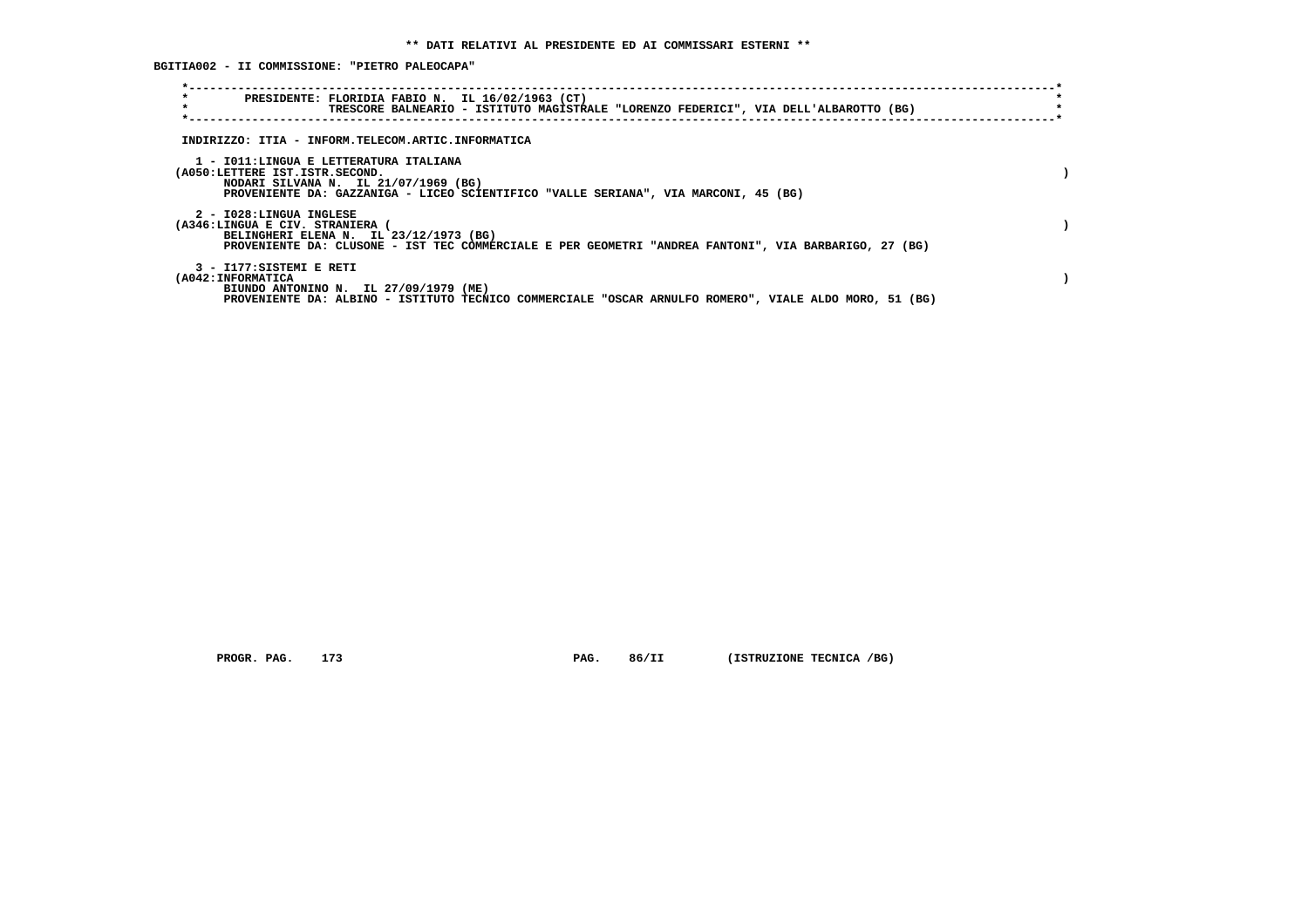**BGITIA002 - II COMMISSIONE: "PIETRO PALEOCAPA"**

| $\star$<br>PRESIDENTE: FLORIDIA FABIO N. IL 16/02/1963 (CT)<br>$\star$<br>TRESCORE BALNEARIO - ISTITUTO MAGISTRALE "LORENZO FEDERICI", VIA DELL'ALBAROTTO (BG)                                              |  |
|-------------------------------------------------------------------------------------------------------------------------------------------------------------------------------------------------------------|--|
| INDIRIZZO: ITIA - INFORM.TELECOM.ARTIC.INFORMATICA                                                                                                                                                          |  |
| 1 - IO11:LINGUA E LETTERATURA ITALIANA<br>(A050:LETTERE IST.ISTR.SECOND.<br>NODARI SILVANA N. IL 21/07/1969 (BG)<br>PROVENIENTE DA: GAZZANIGA - LICEO SCIENTIFICO "VALLE SERIANA", VIA MARCONI, 45 (BG)     |  |
| 2 - I028:LINGUA INGLESE<br>(A346:LINGUA E CIV. STRANIERA<br>BELINGHERI ELENA N. IL 23/12/1973 (BG)<br>PROVENIENTE DA: CLUSONE - IST TEC COMMERCIALE E PER GEOMETRI "ANDREA FANTONI", VIA BARBARIGO, 27 (BG) |  |
| 3 - I177:SISTEMI E RETI<br>(A042: INFORMATICA<br>BIUNDO ANTONINO N. IL 27/09/1979 (ME)<br>PROVENIENTE DA: ALBINO - ISTITUTO TECNICO COMMERCIALE "OSCAR ARNULFO ROMERO", VIALE ALDO MORO, 51 (BG)            |  |

 **PROGR. PAG.** 173 **PAG. 86/II (ISTRUZIONE TECNICA /BG)**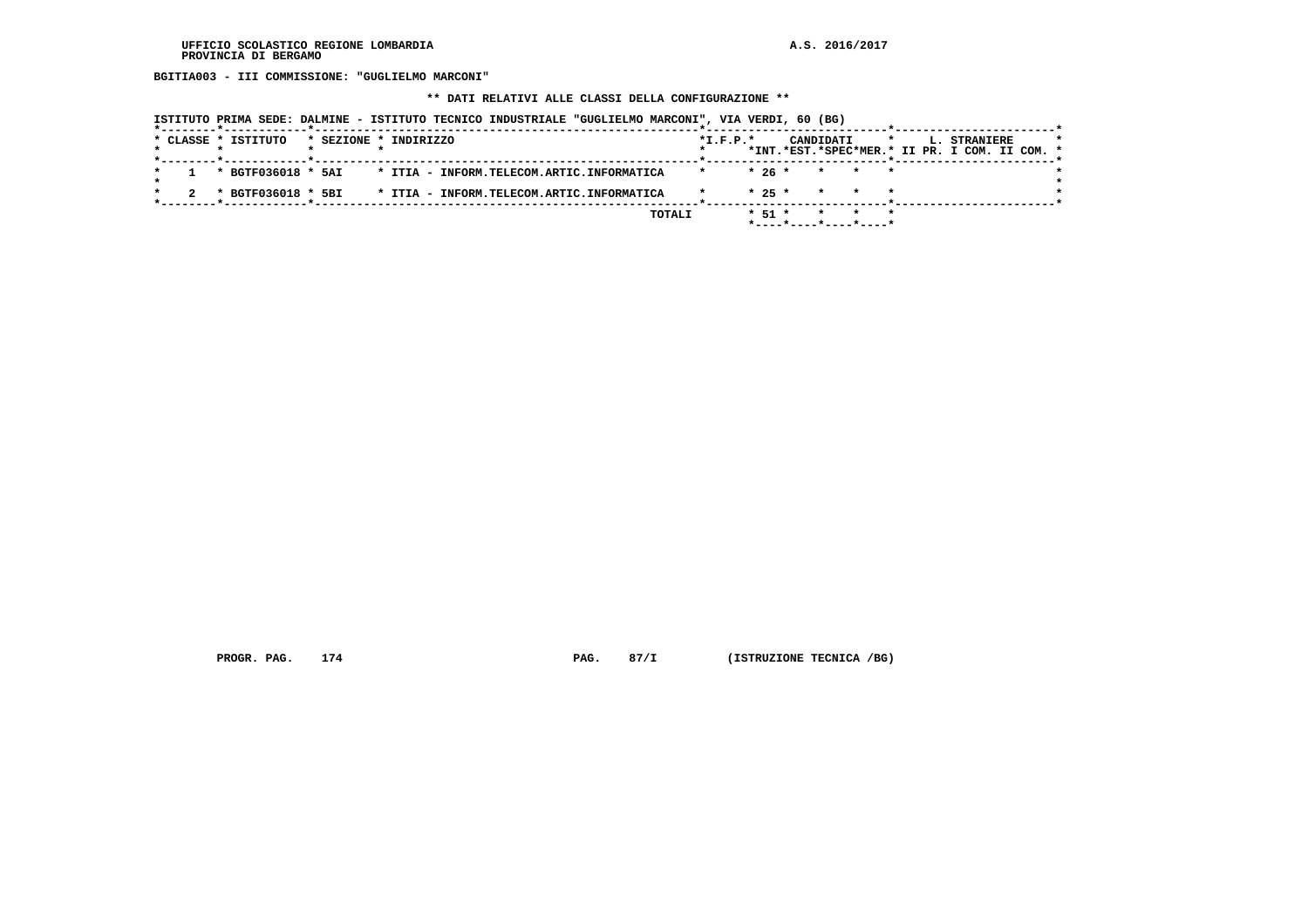**BGITIA003 - III COMMISSIONE: "GUGLIELMO MARCONI"**

 **\*\* DATI RELATIVI ALLE CLASSI DELLA CONFIGURAZIONE \*\***

|  |  | ISTITUTO PRIMA SEDE: DALMINE - ISTITUTO TECNICO INDUSTRIALE "GUGLIELMO MARCONI", VIA VERDI, 60 (BG) |                       |  |  |  |                                           |        |            |          |           |       |         |  |                                                               |  |  |
|--|--|-----------------------------------------------------------------------------------------------------|-----------------------|--|--|--|-------------------------------------------|--------|------------|----------|-----------|-------|---------|--|---------------------------------------------------------------|--|--|
|  |  | * CLASSE * ISTITUTO                                                                                 | * SEZIONE * INDIRIZZO |  |  |  |                                           |        | $*I.F.P.*$ |          | CANDIDATI |       | $\star$ |  | L. STRANIERE<br>*INT.*EST.*SPEC*MER.* II PR. I COM. II COM. * |  |  |
|  |  | * BGTF036018 * 5AI                                                                                  |                       |  |  |  | * ITIA - INFORM.TELECOM.ARTIC.INFORMATICA |        | $\star$    | $*26*$   |           | * * * |         |  |                                                               |  |  |
|  |  | * BGTF036018 * 5BI                                                                                  |                       |  |  |  | * ITIA - INFORM.TELECOM.ARTIC.INFORMATICA |        |            | $* 25 *$ | $\star$   |       |         |  |                                                               |  |  |
|  |  |                                                                                                     |                       |  |  |  |                                           | TOTALI |            | $* 51 *$ | $\star$   | * * * |         |  |                                                               |  |  |

 **PROGR. PAG.** 174 **PAG.** 87/I (ISTRUZIONE TECNICA /BG)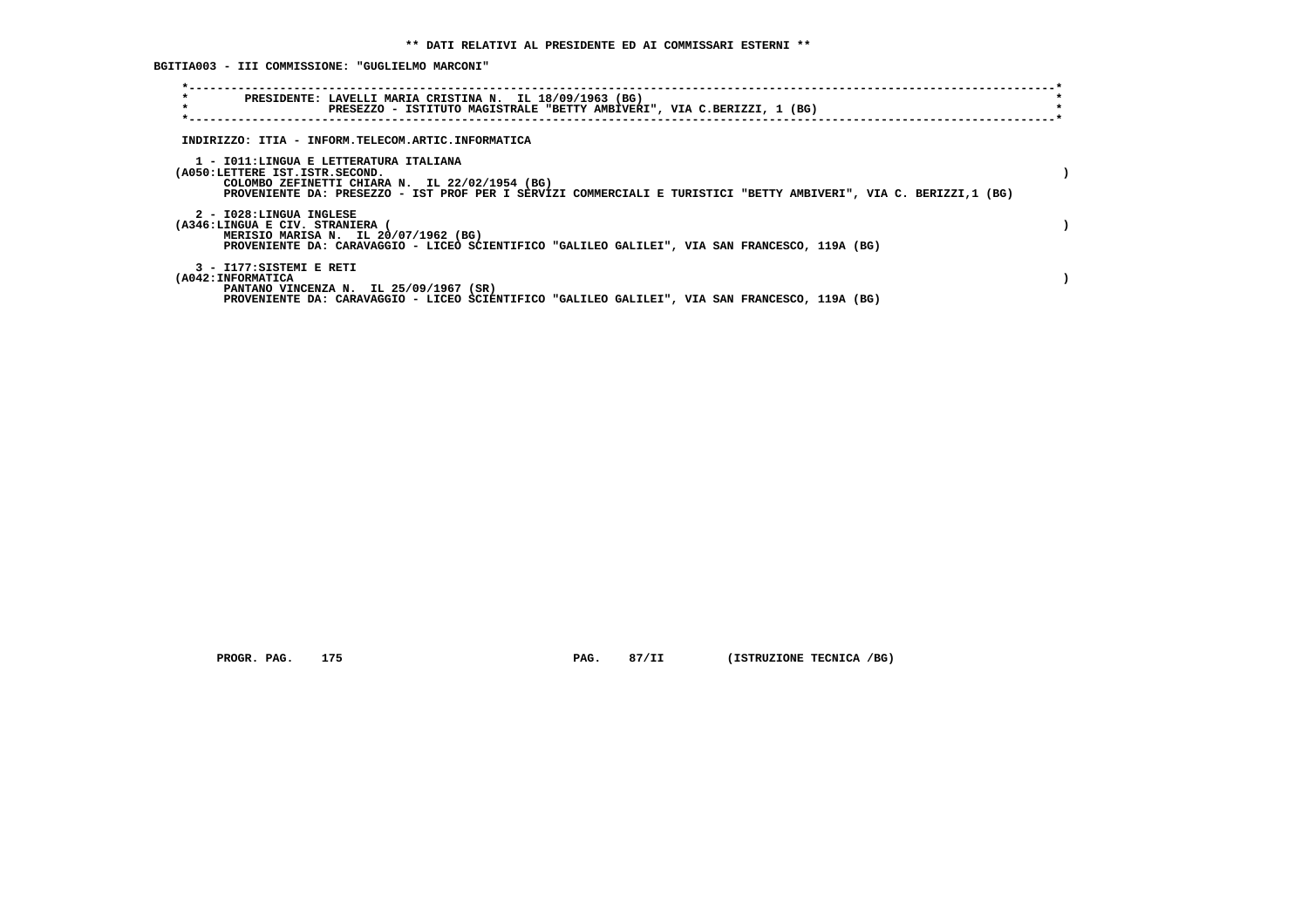**BGITIA003 - III COMMISSIONE: "GUGLIELMO MARCONI"**

| $\star$<br>PRESIDENTE: LAVELLI MARIA CRISTINA N. IL 18/09/1963 (BG)<br>$\star$<br>PRESEZZO - ISTITUTO MAGISTRALE "BETTY AMBIVERI", VIA C.BERIZZI, 1 (BG)                                                                                        |  |
|-------------------------------------------------------------------------------------------------------------------------------------------------------------------------------------------------------------------------------------------------|--|
| INDIRIZZO: ITIA - INFORM.TELECOM.ARTIC.INFORMATICA                                                                                                                                                                                              |  |
| 1 - IO11:LINGUA E LETTERATURA ITALIANA<br>(A050:LETTERE IST.ISTR.SECOND.<br>COLOMBO ZEFINETTI CHIARA N. IL 22/02/1954 (BG)<br>PROVENIENTE DA: PRESEZZO - IST PROF PER I SERVIZI COMMERCIALI E TURISTICI "BETTY AMBIVERI", VIA C. BERIZZI,1 (BG) |  |
| 2 - I028:LINGUA INGLESE<br>(A346:LINGUA E CIV. STRANIERA<br>MERISIO MARISA N. IL 20/07/1962 (BG)<br>PROVENIENTE DA: CARAVAGGIO - LICEO SCIENTIFICO "GALILEO GALILEI", VIA SAN FRANCESCO, 119A (BG)                                              |  |
| 3 - I177:SISTEMI E RETI<br>(A042: INFORMATICA<br>PANTANO VINCENZA N. IL 25/09/1967 (SR)<br>PROVENIENTE DA: CARAVAGGIO - LICEO SCIENTIFICO "GALILLEO GALILEI", VIA SAN FRANCESCO, 119A (BG)                                                      |  |

 **PROGR. PAG.** 175 **PAG. 87/II (ISTRUZIONE TECNICA /BG)**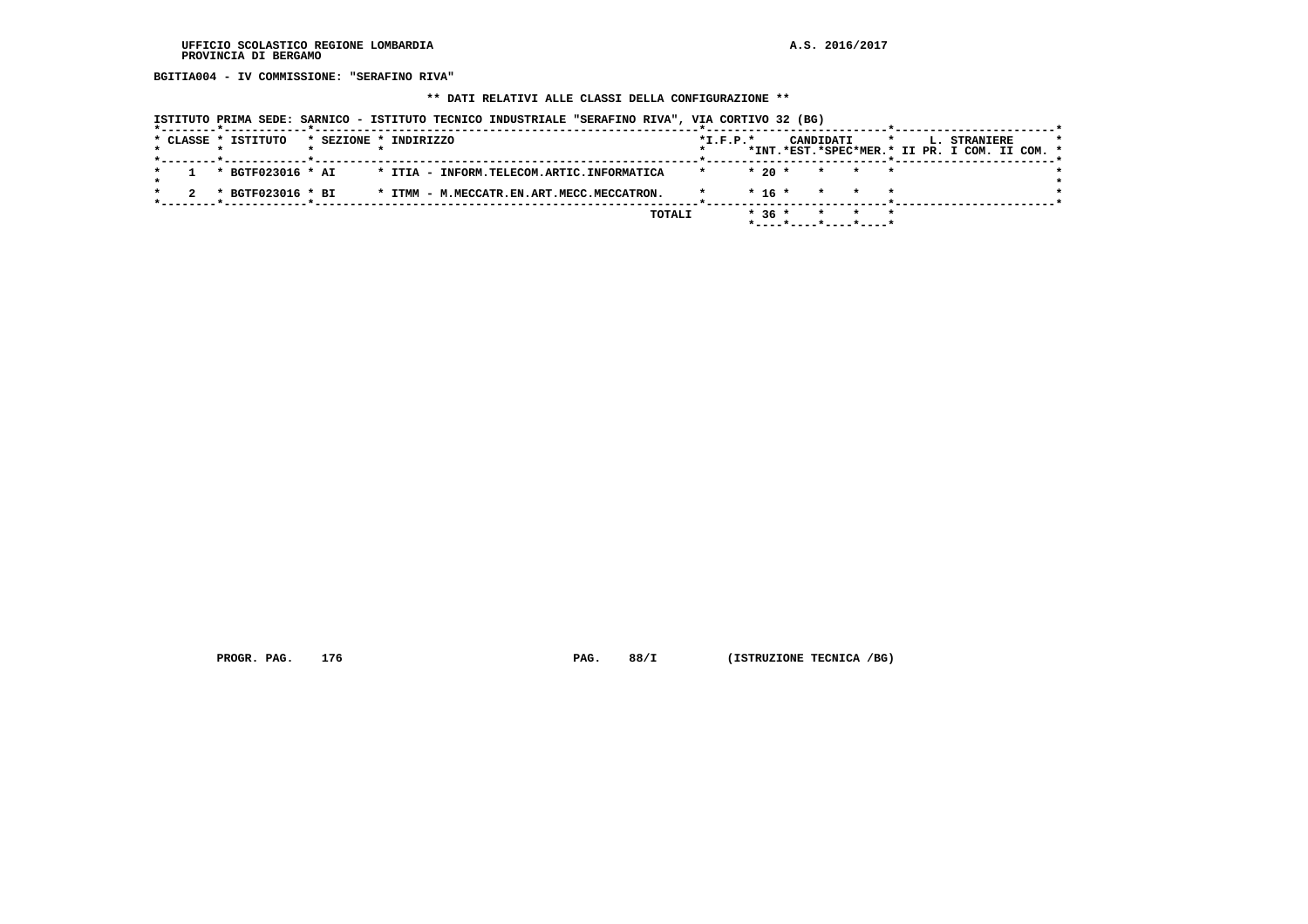**BGITIA004 - IV COMMISSIONE: "SERAFINO RIVA"**

## **\*\* DATI RELATIVI ALLE CLASSI DELLA CONFIGURAZIONE \*\***

|  |  | ISTITUTO PRIMA SEDE: SARNICO - ISTITUTO TECNICO INDUSTRIALE "SERAFINO RIVA", VIA CORTIVO 32 (BG) |                       |  |  |                                           |  |        |            |         |                       |           |         |  |                                                               |  |  |
|--|--|--------------------------------------------------------------------------------------------------|-----------------------|--|--|-------------------------------------------|--|--------|------------|---------|-----------------------|-----------|---------|--|---------------------------------------------------------------|--|--|
|  |  | * CLASSE * ISTITUTO                                                                              | * SEZIONE * INDIRIZZO |  |  |                                           |  |        | $*I.F.P.*$ |         |                       | CANDIDATI | $\star$ |  | L. STRANIERE<br>*INT.*EST.*SPEC*MER.* II PR. I COM. II COM. * |  |  |
|  |  | * BGTF023016 * AI                                                                                |                       |  |  | * ITIA - INFORM.TELECOM.ARTIC.INFORMATICA |  |        | $\star$    | $*20$ * |                       | $\star$   | $\star$ |  |                                                               |  |  |
|  |  | * BGTF023016 * BI                                                                                |                       |  |  | * ITMM - M.MECCATR.EN.ART.MECC.MECCATRON. |  |        |            | * 16 *  |                       | $\star$   |         |  |                                                               |  |  |
|  |  |                                                                                                  |                       |  |  |                                           |  | TOTALI |            | $*36*$  | *----*----*----*----* | $\star$   |         |  |                                                               |  |  |

 **PROGR. PAG.** 176 **PAG. 88/I** (ISTRUZIONE TECNICA /BG)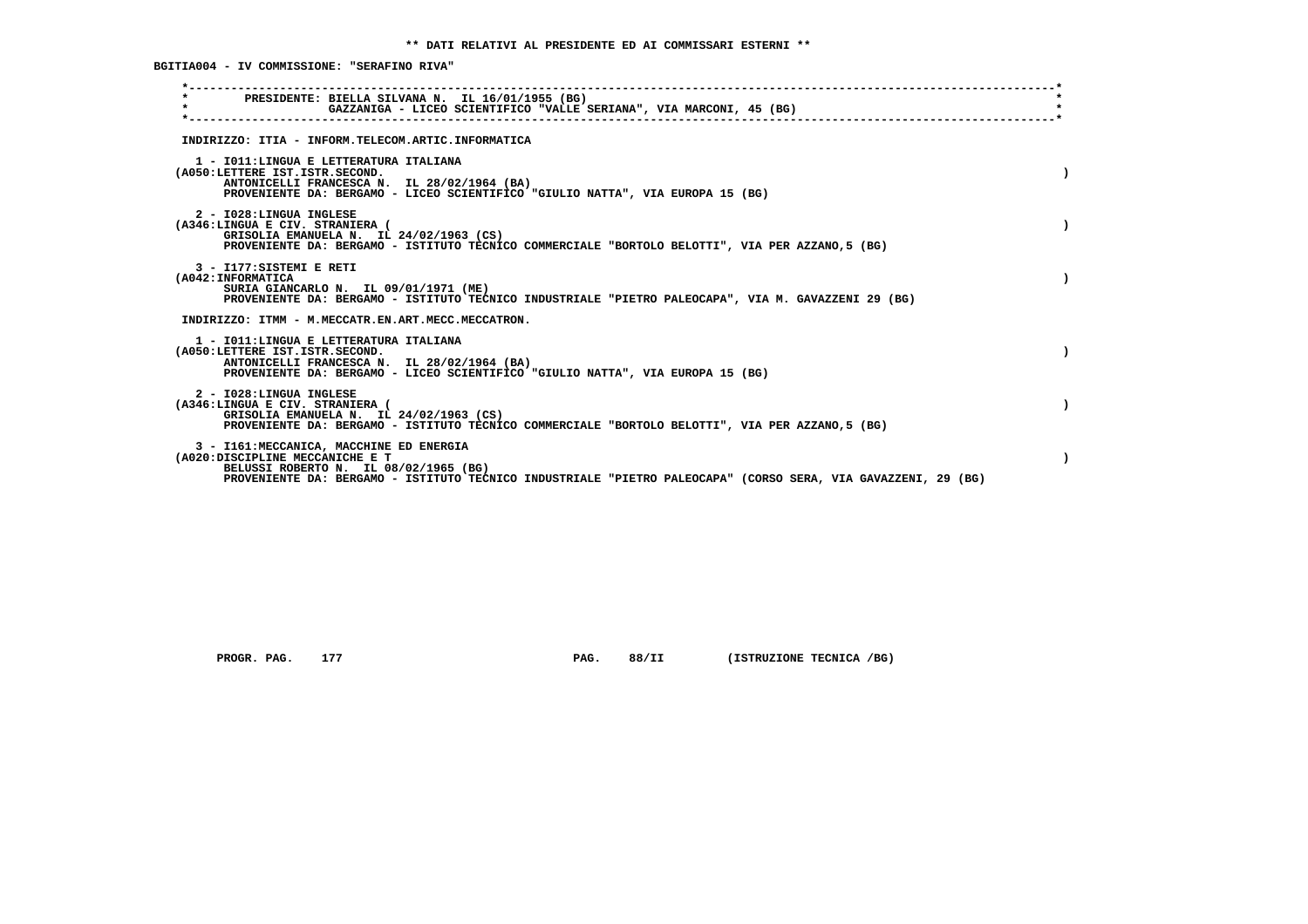**BGITIA004 - IV COMMISSIONE: "SERAFINO RIVA"**

| PRESIDENTE: BIELLA SILVANA N. IL 16/01/1955 (BG)<br>$\star$<br>GAZZANIGA - LICEO SCIENTIFICO "VALLE SERIANA", VIA MARCONI, 45 (BG)                                                                                                    |  |
|---------------------------------------------------------------------------------------------------------------------------------------------------------------------------------------------------------------------------------------|--|
| INDIRIZZO: ITIA - INFORM.TELECOM.ARTIC.INFORMATICA                                                                                                                                                                                    |  |
| 1 - IO11:LINGUA E LETTERATURA ITALIANA<br>(A050:LETTERE IST.ISTR.SECOND.<br>ANTONICELLI FRANCESCA N. IL 28/02/1964 (BA)<br>PROVENIENTE DA: BERGAMO - LICEO SCIENTIFICO "GIULIO NATTA", VIA EUROPA 15 (BG)                             |  |
| 2 - I028:LINGUA INGLESE<br>(A346:LINGUA E CIV. STRANIERA (<br>GRISOLIA EMANUELA N. IL 24/02/1963 (CS)<br>PROVENIENTE DA: BERGAMO - ISTITUTO TECNICO COMMERCIALE "BORTOLO BELOTTI", VIA PER AZZANO, 5 (BG)                             |  |
| 3 - I177: SISTEMI E RETI<br>(A042: INFORMATICA<br>SURIA GIANCARLO N. IL 09/01/1971 (ME)<br>PROVENIENTE DA: BERGAMO - ISTITUTO TECNICO INDUSTRIALE "PIETRO PALEOCAPA", VIA M. GAVAZZENI 29 (BG)                                        |  |
| INDIRIZZO: ITMM - M.MECCATR.EN.ART.MECC.MECCATRON.                                                                                                                                                                                    |  |
| 1 - IO11: LINGUA E LETTERATURA ITALIANA<br>(A050:LETTERE IST.ISTR.SECOND.<br>ANTONICELLI FRANCESCA N. IL 28/02/1964 (BA)<br>PROVENIENTE DA: BERGAMO - LICEO SCIENTIFICO "GIULIO NATTA", VIA EUROPA 15 (BG)                            |  |
| 2 - I028:LINGUA INGLESE<br>(A346:LINGUA E CIV. STRANIERA (<br>GRISOLIA EMANUELA N. IL 24/02/1963 (CS)<br>PROVENIENTE DA: BERGAMO - ISTITUTO TECNICO COMMERCIALE "BORTOLO BELOTTI", VIA PER AZZANO, 5 (BG)                             |  |
| 3 - I161: MECCANICA, MACCHINE ED ENERGIA<br>(A020:DISCIPLINE MECCANICHE E T<br>BELUSSI ROBERTO N. IL 08/02/1965 (BG)<br>PROVENIENTE DA: BERGAMO - ISTITUTO TECNICO INDUSTRIALE "PIETRO PALEOCAPA" (CORSO SERA, VIA GAVAZZENI, 29 (BG) |  |
|                                                                                                                                                                                                                                       |  |

 **PROGR. PAG.** 177 **PAG. 88/II (ISTRUZIONE TECNICA /BG)**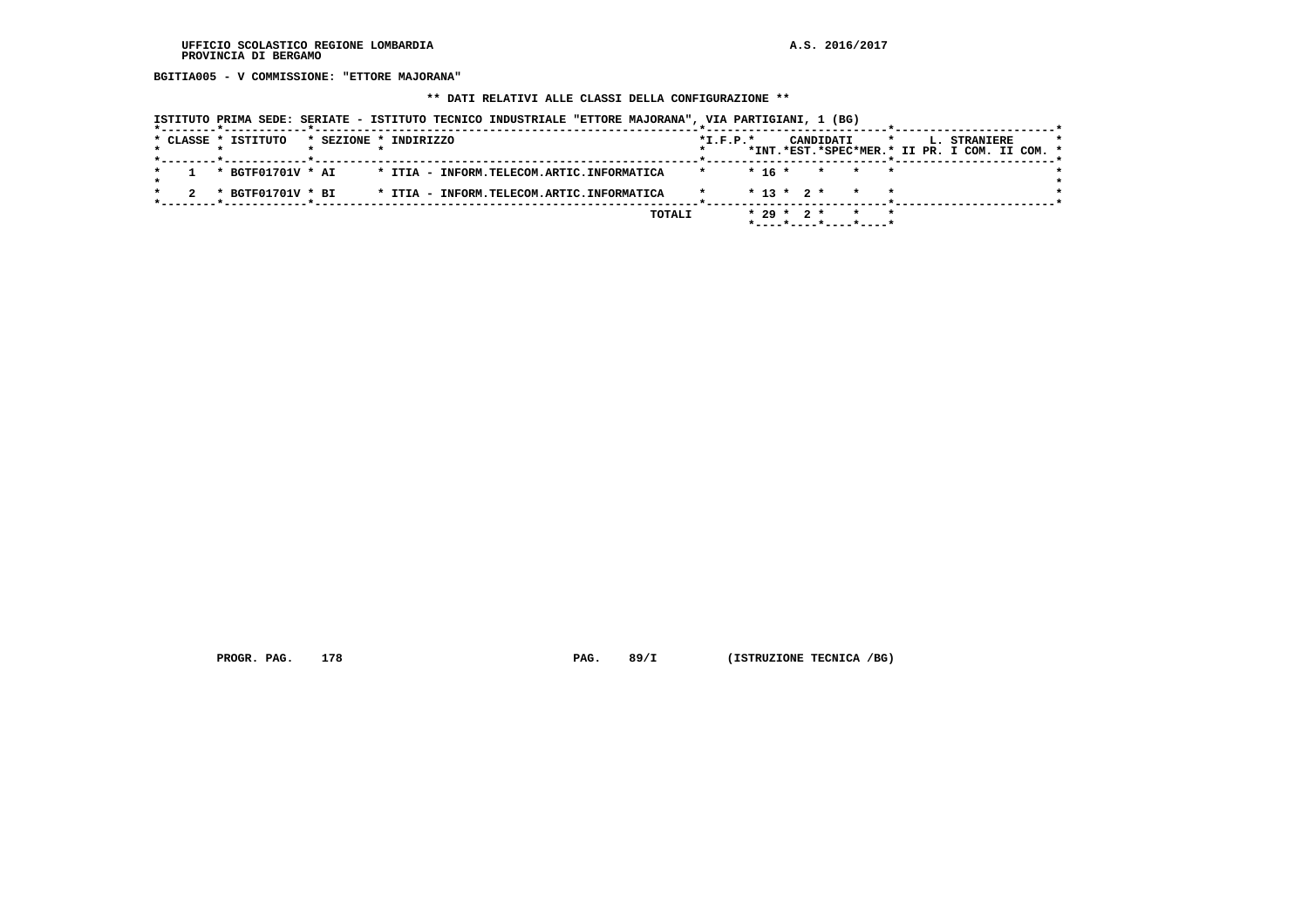**BGITIA005 - V COMMISSIONE: "ETTORE MAJORANA"**

## **\*\* DATI RELATIVI ALLE CLASSI DELLA CONFIGURAZIONE \*\***

|  | * CLASSE * ISTITUTO |  | * SEZIONE * INDIRIZZO                     | $*L.F.P.*$ |  |              | CANDIDATI             | $\star$ |  | <b>L. STRANIERE</b>                           |  | $\star$ |
|--|---------------------|--|-------------------------------------------|------------|--|--------------|-----------------------|---------|--|-----------------------------------------------|--|---------|
|  |                     |  |                                           |            |  |              |                       |         |  | *INT.*EST.*SPEC*MER.* II PR. I COM. II COM. * |  |         |
|  |                     |  |                                           |            |  |              |                       |         |  |                                               |  |         |
|  | * BGTF01701V * AI   |  | * ITIA - INFORM.TELECOM.ARTIC.INFORMATICA |            |  |              | $* 16 * * * * * *$    |         |  |                                               |  |         |
|  |                     |  |                                           |            |  |              |                       |         |  |                                               |  |         |
|  | * BGTF01701V * BI   |  | * ITIA - INFORM.TELECOM.ARTIC.INFORMATICA |            |  |              | $* 13 * 2 * * * * *$  |         |  |                                               |  |         |
|  |                     |  |                                           |            |  |              |                       |         |  |                                               |  |         |
|  |                     |  | TOTALI                                    |            |  | $* 29 * 2 *$ |                       |         |  |                                               |  |         |
|  |                     |  |                                           |            |  |              | *----*----*----*----* |         |  |                                               |  |         |

 **PROGR. PAG.** 178 **PAG. 89/I** (ISTRUZIONE TECNICA /BG)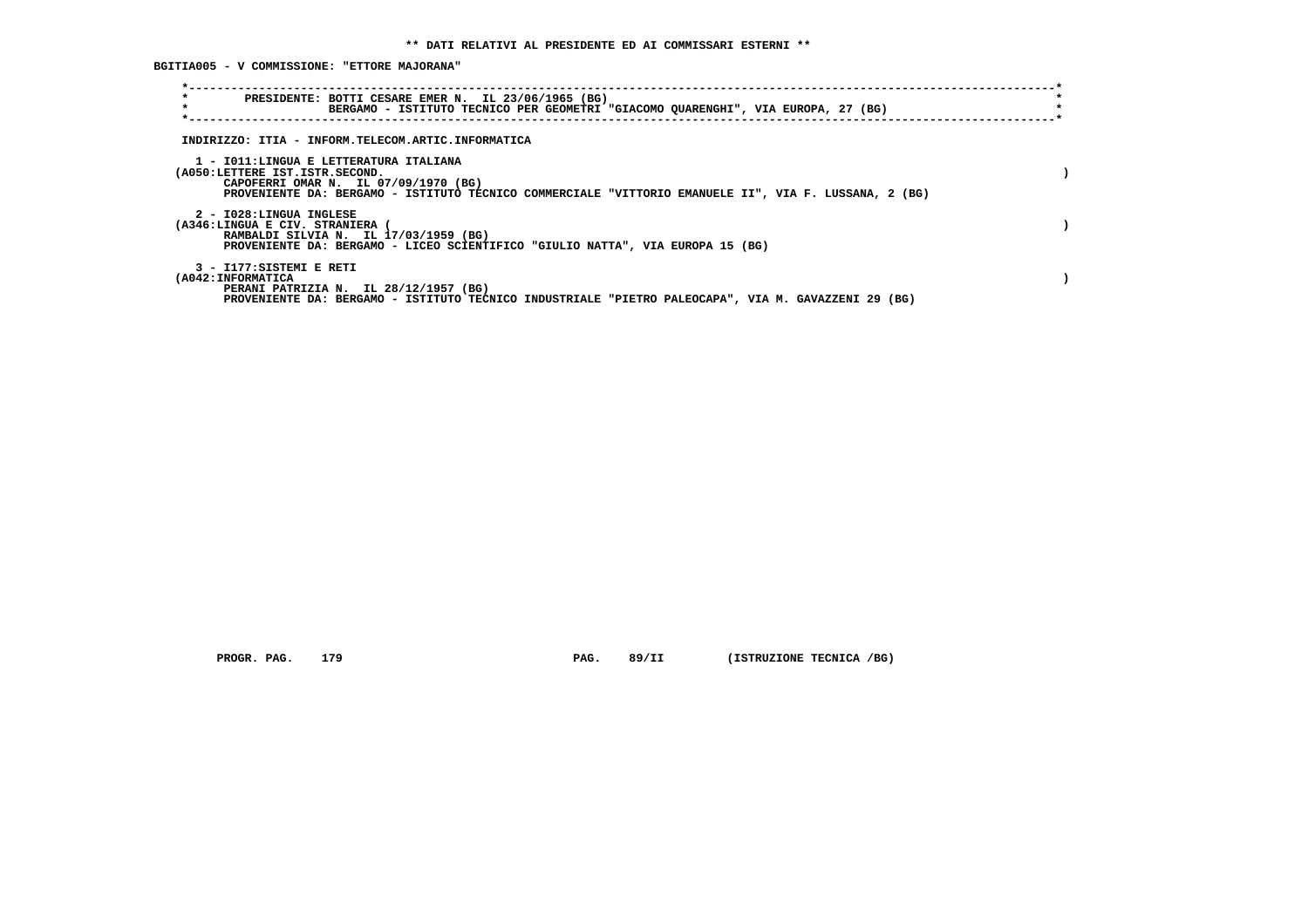**BGITIA005 - V COMMISSIONE: "ETTORE MAJORANA"**

| $\star$<br>PRESIDENTE: BOTTI CESARE EMER N. IL 23/06/1965 (BG)<br>$\star$<br>BERGAMO - ISTITUTO TECNICO PER GEOMETRI "GIACOMO QUARENGHI", VIA EUROPA, 27 (BG)                                                             |  |
|---------------------------------------------------------------------------------------------------------------------------------------------------------------------------------------------------------------------------|--|
| INDIRIZZO: ITIA - INFORM.TELECOM.ARTIC.INFORMATICA                                                                                                                                                                        |  |
| 1 - IO11:LINGUA E LETTERATURA ITALIANA<br>(A050:LETTERE IST.ISTR.SECOND.<br>CAPOFERRI OMAR N. IL 07/09/1970 (BG)<br>PROVENIENTE DA: BERGAMO - ISTITUTO TECNICO COMMERCIALE "VITTORIO EMANUELE II", VIA F. LUSSANA, 2 (BG) |  |
| 2 - I028:LINGUA INGLESE<br>(A346:LINGUA E CIV. STRANIERA (<br>RAMBALDI SILVIA N. IL 17/03/1959 (BG)<br>PROVENIENTE DA: BERGAMO - LICEO SCIENTIFICO "GIULIO NATTA", VIA EUROPA 15 (BG)                                     |  |
| 3 - I177:SISTEMI E RETI<br>(A042: INFORMATICA<br>PERANI PATRIZIA N. IL 28/12/1957 (BG)<br>PROVENIENTE DA: BERGAMO - ISTITUTO TECNICO INDUSTRIALE "PIETRO PALEOCAPA", VIA M. GAVAZZENI 29 (BG)                             |  |

 **PROGR. PAG.** 179 **PAG. 89/II** (ISTRUZIONE TECNICA /BG)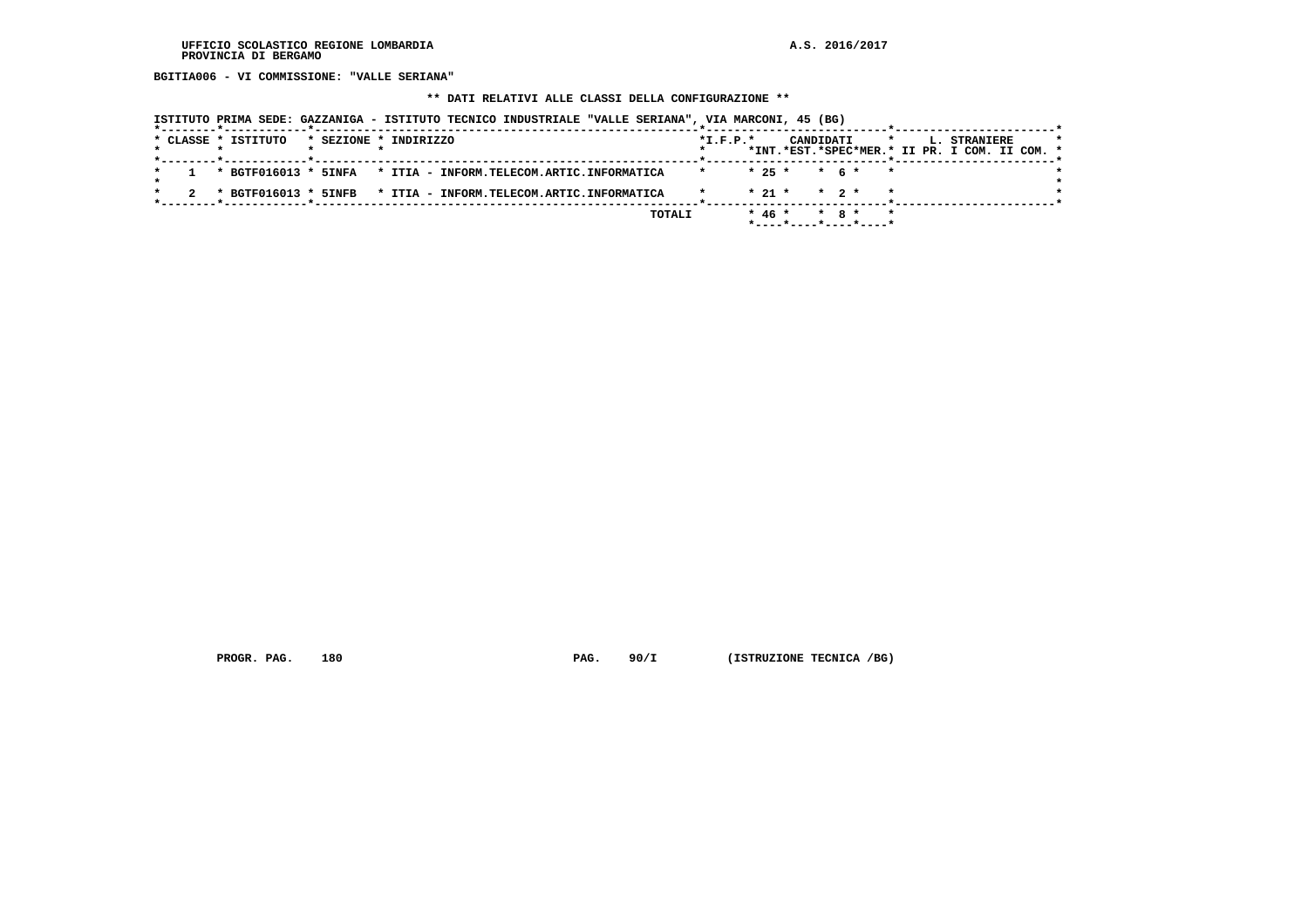**BGITIA006 - VI COMMISSIONE: "VALLE SERIANA"**

# **\*\* DATI RELATIVI ALLE CLASSI DELLA CONFIGURAZIONE \*\***

|  |                     | ISTITUTO PRIMA SEDE: GAZZANIGA - ISTITUTO TECNICO INDUSTRIALE "VALLE SERIANA", VIA MARCONI, 45 (BG) |        |                |          |                                    |         |                                                               |  |
|--|---------------------|-----------------------------------------------------------------------------------------------------|--------|----------------|----------|------------------------------------|---------|---------------------------------------------------------------|--|
|  | * CLASSE * ISTITUTO | * SEZIONE * INDIRIZZO                                                                               |        | $*$ I.F.P. $*$ |          | CANDIDATI                          | $\star$ | L. STRANIERE<br>*INT.*EST.*SPEC*MER.* II PR. I COM. II COM. * |  |
|  |                     | * BGTF016013 * 5INFA * ITIA - INFORM.TELECOM.ARTIC.INFORMATICA                                      |        |                | $* 25 *$ | $\star$ 6 $\star$                  | $\star$ |                                                               |  |
|  |                     | * BGTF016013 * 5INFB * ITIA - INFORM.TELECOM.ARTIC.INFORMATICA                                      |        |                | $* 21 *$ | $\star$ 2 $\star$                  |         |                                                               |  |
|  |                     |                                                                                                     | TOTALI |                | $* 46 *$ | $*$ 8 $*$<br>*----*----*----*----* | $\star$ |                                                               |  |

 **PROGR. PAG.** 180 **PAG. 90/I** (ISTRUZIONE TECNICA /BG)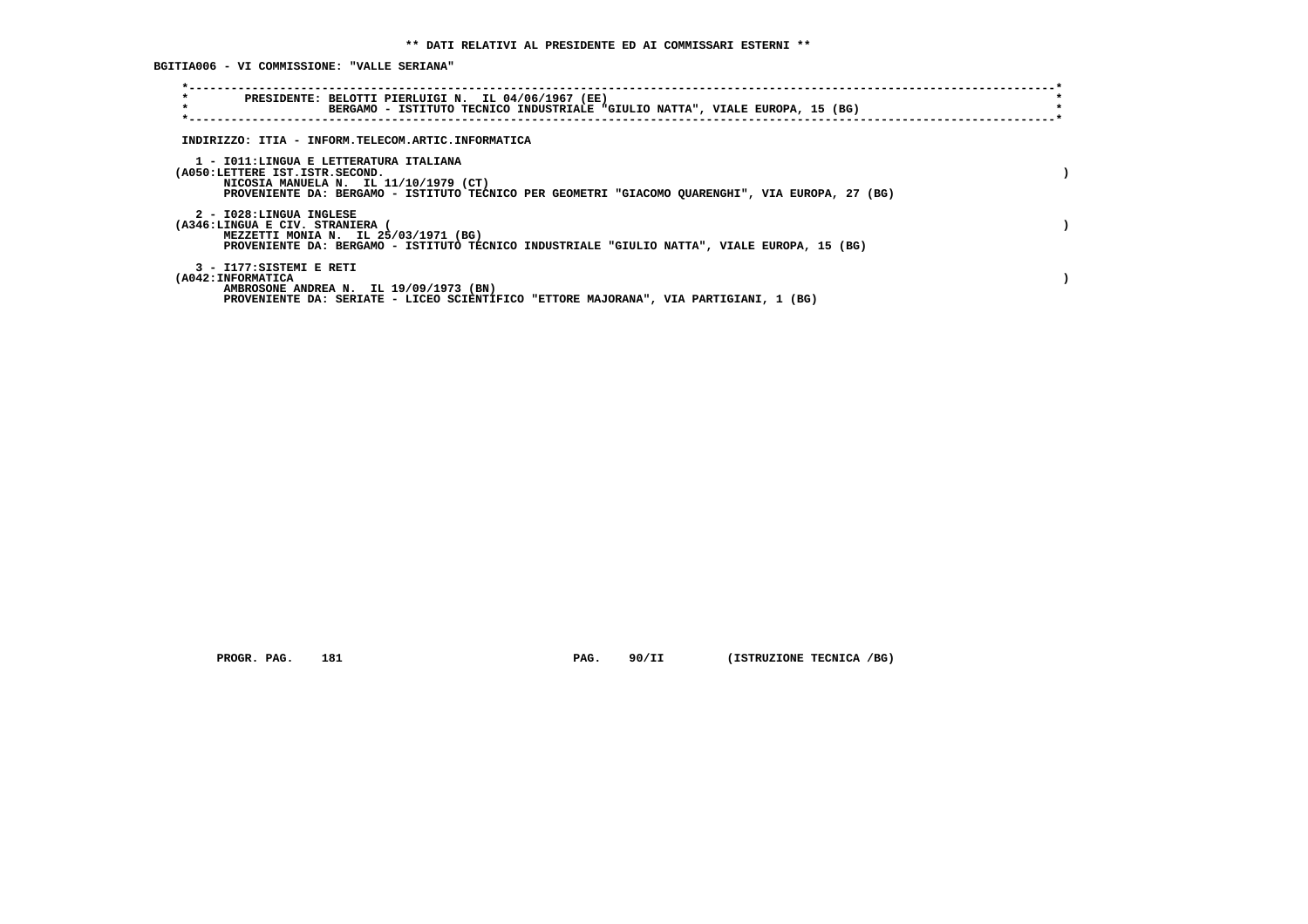**BGITIA006 - VI COMMISSIONE: "VALLE SERIANA"**

| $\star$<br>PRESIDENTE: BELOTTI PIERLUIGI N. IL 04/06/1967 (EE)<br>$\star$<br>BERGAMO - ISTITUTO TECNICO INDUSTRIALE "GIULIO NATTA", VIALE EUROPA, 15 (BG)                                                             |  |
|-----------------------------------------------------------------------------------------------------------------------------------------------------------------------------------------------------------------------|--|
| INDIRIZZO: ITIA - INFORM.TELECOM.ARTIC.INFORMATICA                                                                                                                                                                    |  |
| 1 - IO11:LINGUA E LETTERATURA ITALIANA<br>(A050:LETTERE IST.ISTR.SECOND.<br>NICOSIA MANUELA N. IL 11/10/1979 (CT)<br>PROVENIENTE DA: BERGAMO - ISTITUTO TECNICO PER GEOMETRI "GIACOMO QUARENGHI", VIA EUROPA, 27 (BG) |  |
| 2 - I028:LINGUA INGLESE<br>(A346:LINGUA E CIV. STRANIERA<br>MEZZETTI MONIA N. IL 25/03/1971 (BG)<br>PROVENIENTE DA: BERGAMO - ISTITUTO TECNICO INDUSTRIALE "GIULIO NATTA", VIALE EUROPA, 15 (BG)                      |  |
| 3 - I177:SISTEMI E RETI<br>(A042: INFORMATICA<br>AMBROSONE ANDREA N. IL 19/09/1973 (BN)<br>PROVENIENTE DA: SERIATE - LICEO SCIENTIFICO "ETTORE MAJORANA", VIA PARTIGIANI, 1 (BG)                                      |  |

 **PROGR. PAG.** 181 **PAG. 90/II (ISTRUZIONE TECNICA /BG)**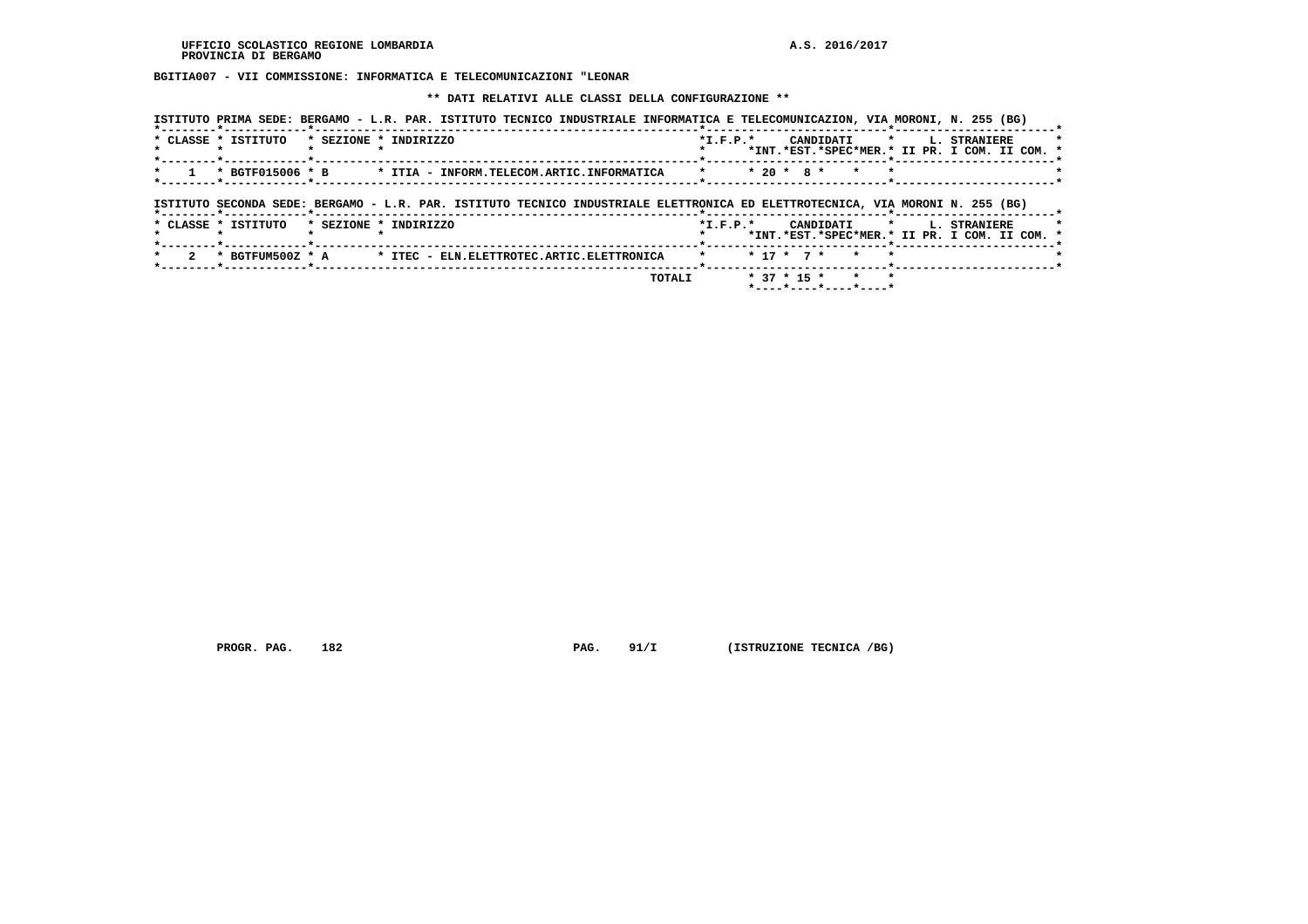**BGITIA007 - VII COMMISSIONE: INFORMATICA E TELECOMUNICAZIONI "LEONAR**

 **\*\* DATI RELATIVI ALLE CLASSI DELLA CONFIGURAZIONE \*\***

| ISTITUTO PRIMA SEDE: BERGAMO - L.R. PAR. ISTITUTO TECNICO INDUSTRIALE INFORMATICA E TELECOMUNICAZION, VIA MORONI, N. 255 (BG) |            |                                                            |         |              |  |
|-------------------------------------------------------------------------------------------------------------------------------|------------|------------------------------------------------------------|---------|--------------|--|
| * CLASSE * ISTITUTO<br>* SEZIONE * INDIRIZZO                                                                                  | $*L.F.P.*$ | CANDIDATI<br>*INT.*EST.*SPEC*MER.* II PR. I COM. II COM. * | $\star$ | L. STRANIERE |  |
| * BGTF015006 * B<br>* ITIA - INFORM.TELECOM.ARTIC.INFORMATICA                                                                 |            | $* 20 * 8 *$<br>$\star$                                    |         |              |  |
| ISTITUTO SECONDA SEDE: BERGAMO - L.R. PAR. ISTITUTO TECNICO INDUSTRIALE ELETTRONICA ED ELETTROTECNICA, VIA MORONI N. 255 (BG) |            |                                                            |         |              |  |
|                                                                                                                               |            |                                                            |         |              |  |
| * CLASSE * ISTITUTO<br>* SEZIONE * INDIRIZZO                                                                                  | $*L.F.P.*$ | CANDIDATI<br>*INT.*EST.*SPEC*MER.* II PR. I COM. II COM. * | $\star$ | L. STRANIERE |  |
| $\mathbf{2}^{\circ}$<br>* BGTFUM500Z * A<br>* ITEC - ELN.ELETTROTEC.ARTIC.ELETTRONICA                                         |            | $* 17 * 7 *$<br>$\star$                                    |         |              |  |

 **PROGR. PAG.** 182 **PAG. 91/I (ISTRUZIONE TECNICA /BG)**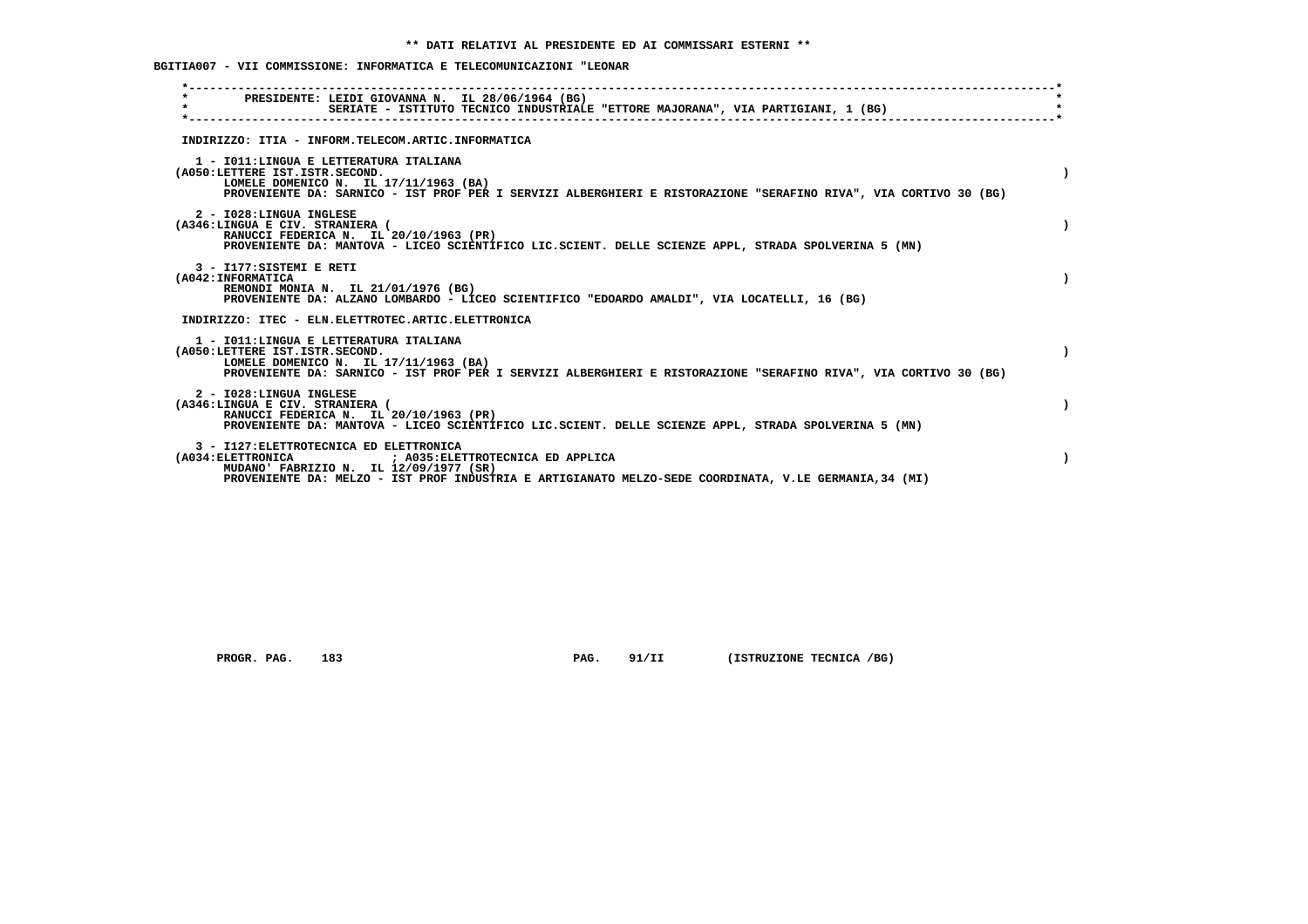**BGITIA007 - VII COMMISSIONE: INFORMATICA E TELECOMUNICAZIONI "LEONAR**

| PRESIDENTE: LEIDI GIOVANNA N. IL 28/06/1964 (BG)<br>$\star$<br>SERIATE - ISTITUTO TECNICO INDUSTRIALE "ETTORE MAJORANA", VIA PARTIGIANI, 1 (BG)                                                                                                        |  |
|--------------------------------------------------------------------------------------------------------------------------------------------------------------------------------------------------------------------------------------------------------|--|
| INDIRIZZO: ITIA - INFORM.TELECOM.ARTIC.INFORMATICA                                                                                                                                                                                                     |  |
| 1 - IO11:LINGUA E LETTERATURA ITALIANA<br>(A050:LETTERE IST.ISTR.SECOND.<br>LOMELE DOMENICO N. IL 17/11/1963 (BA)<br>PROVENIENTE DA: SARNICO - IST PROF PER I SERVIZI ALBERGHIERI E RISTORAZIONE "SERAFINO RIVA", VIA CORTIVO 30 (BG)                  |  |
| 2 - I028:LINGUA INGLESE<br>(A346:LINGUA E CIV. STRANIERA (<br>RANUCCI FEDERICA N. IL 20/10/1963 (PR)<br>PROVENIENTE DA: MANTOVA - LICEO SCIENTIFICO LIC.SCIENT. DELLE SCIENZE APPL, STRADA SPOLVERINA 5 (MN)                                           |  |
| 3 - I177: SISTEMI E RETI<br>(A042: INFORMATICA<br>REMONDI MONIA N. IL 21/01/1976 (BG)<br>PROVENIENTE DA: ALZANO LOMBARDO - LICEO SCIENTIFICO "EDOARDO AMALDI", VIA LOCATELLI, 16 (BG)                                                                  |  |
| INDIRIZZO: ITEC - ELN.ELETTROTEC.ARTIC.ELETTRONICA                                                                                                                                                                                                     |  |
| 1 - IO11: LINGUA E LETTERATURA ITALIANA<br>(A050:LETTERE IST.ISTR.SECOND.<br>LOMELE DOMENICO N. IL 17/11/1963 (BA)<br>PROVENIENTE DA: SARNICO - IST PROF PER I SERVIZI ALBERGHIERI E RISTORAZIONE "SERAFINO RIVA", VIA CORTIVO 30 (BG)                 |  |
| 2 - I028:LINGUA INGLESE<br>(A346:LINGUA E CIV. STRANIERA (<br>RANUCCI FEDERICA N. IL 20/10/1963 (PR)<br>PROVENIENTE DA: MANTOVA - LICEO SCIENTIFICO LIC.SCIENT. DELLE SCIENZE APPL, STRADA SPOLVERINA 5 (MN)                                           |  |
| 3 - I127: ELETTROTECNICA ED ELETTRONICA<br>(A034: ELETTRONICA<br>: A035: ELETTROTECNICA ED APPLICA<br>MUDANO' FABRIZIO N. IL 12/09/1977 (SR)<br>PROVENIENTE DA: MELZO - IST PROF INDUSTRIA E ARTIGIANATO MELZO-SEDE COORDINATA, V.LE GERMANIA, 34 (MI) |  |
|                                                                                                                                                                                                                                                        |  |

 **PROGR. PAG.** 183 **PAG. 91/II (ISTRUZIONE TECNICA /BG)**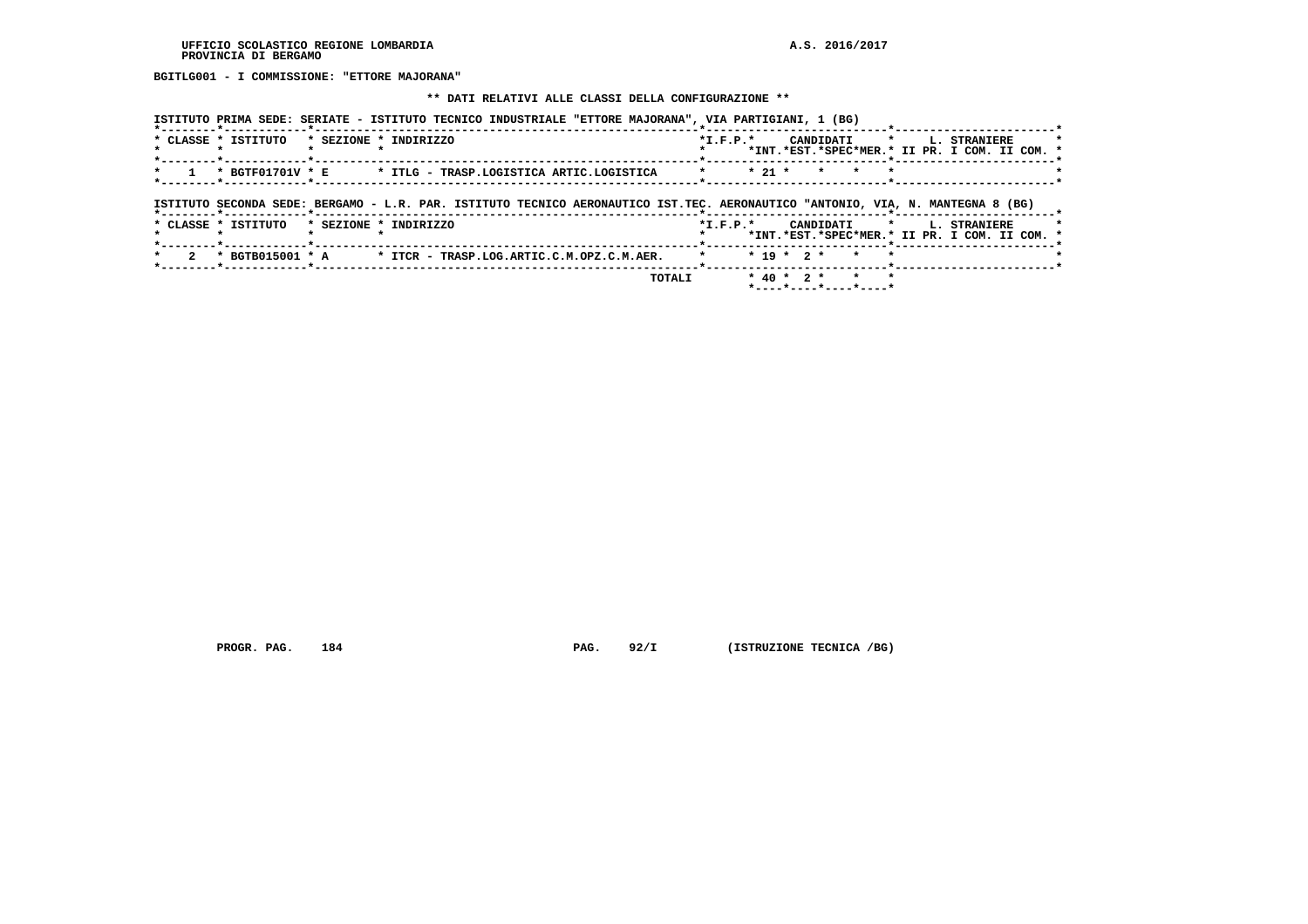**BGITLG001 - I COMMISSIONE: "ETTORE MAJORANA"**

#### **\*\* DATI RELATIVI ALLE CLASSI DELLA CONFIGURAZIONE \*\***

| * CLASSE * ISTITUTO                                  | * SEZIONE * INDIRIZZO                                                                                                          | $*L.F.P.*$     |              | CANDIDATI                 |  | * L. STRANIERE<br>*INT.*EST.*SPEC*MER.* II PR. I COM. II COM. *           |  |
|------------------------------------------------------|--------------------------------------------------------------------------------------------------------------------------------|----------------|--------------|---------------------------|--|---------------------------------------------------------------------------|--|
| * BGTF01701V * E<br>*--------*-----------*---        | * ITLG - TRASP.LOGISTICA ARTIC.LOGISTICA                                                                                       |                | $* 21 *$     | $\star$ $\sim$<br>$\star$ |  |                                                                           |  |
|                                                      |                                                                                                                                |                |              |                           |  |                                                                           |  |
|                                                      |                                                                                                                                |                |              |                           |  |                                                                           |  |
|                                                      | ISTITUTO SECONDA SEDE: BERGAMO - L.R. PAR. ISTITUTO TECNICO AERONAUTICO IST.TEC. AERONAUTICO "ANTONIO, VIA, N. MANTEGNA 8 (BG) |                |              |                           |  |                                                                           |  |
|                                                      | * SEZIONE * INDIRIZZO                                                                                                          | $*$ I.F.P. $*$ |              |                           |  | CANDIDATI * L. STRANIERE<br>*INT.*EST.*SPEC*MER.* II PR. I COM. II COM. * |  |
| *--------*------------*------<br>* CLASSE * ISTITUTO | $*$ BGTB015001 $*$ A $*$ ITCR - TRASP.LOG.ARTIC.C.M.OPZ.C.M.AER.                                                               |                | $* 19 * 2 *$ | $\star$                   |  |                                                                           |  |

 **PROGR. PAG.** 184 **PAG.** 92/I (ISTRUZIONE TECNICA /BG)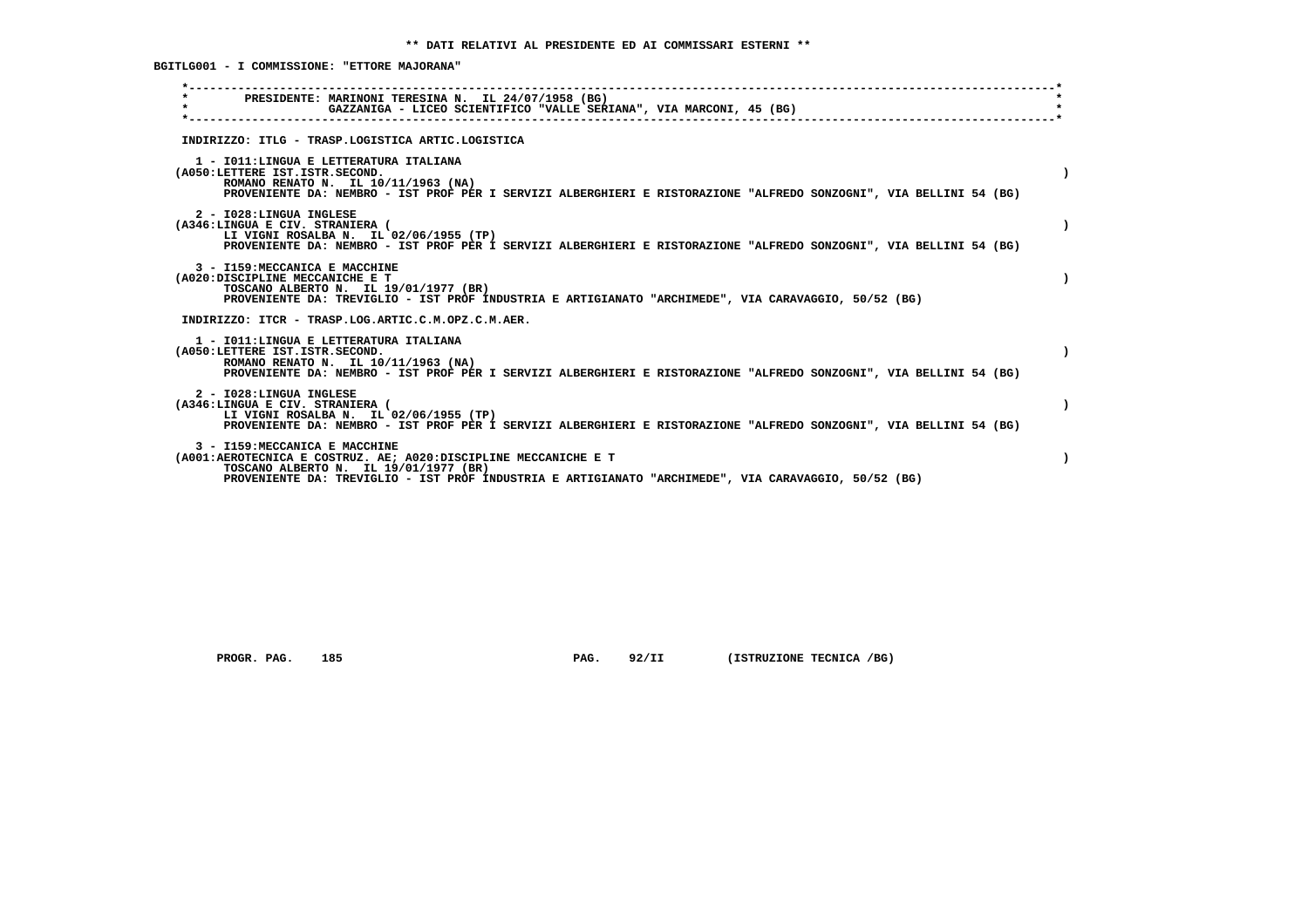**BGITLG001 - I COMMISSIONE: "ETTORE MAJORANA"**

| PRESIDENTE: MARINONI TERESINA N. IL 24/07/1958 (BG)<br>$\star$<br>GAZZANIGA - LICEO SCIENTIFICO "VALLE SERIANA", VIA MARCONI, 45 (BG)                                                                                                              |  |
|----------------------------------------------------------------------------------------------------------------------------------------------------------------------------------------------------------------------------------------------------|--|
| INDIRIZZO: ITLG - TRASP.LOGISTICA ARTIC.LOGISTICA                                                                                                                                                                                                  |  |
| 1 - IO11: LINGUA E LETTERATURA ITALIANA<br>(A050:LETTERE IST.ISTR.SECOND.<br>ROMANO RENATO N. IL 10/11/1963 (NA)<br>PROVENIENTE DA: NEMBRO - IST PROF PER I SERVIZI ALBERGHIERI E RISTORAZIONE "ALFREDO SONZOGNI", VIA BELLINI 54 (BG)             |  |
| 2 - I028: LINGUA INGLESE<br>(A346:LINGUA E CIV. STRANIERA (<br>LI VIGNI ROSALBA N. IL 02/06/1955 (TP)<br>PROVENIENTE DA: NEMBRO - IST PROF PER I SERVIZI ALBERGHIERI E RISTORAZIONE "ALFREDO SONZOGNI", VIA BELLINI 54 (BG)                        |  |
| 3 - I159: MECCANICA E MACCHINE<br>(A020:DISCIPLINE MECCANICHE E T<br>TOSCANO ALBERTO N. IL 19/01/1977 (BR)<br>PROVENIENTE DA: TREVIGLIO - IST PROF INDUSTRIA E ARTIGIANATO "ARCHIMEDE", VIA CARAVAGGIO, 50/52 (BG)                                 |  |
| INDIRIZZO: ITCR - TRASP.LOG.ARTIC.C.M.OPZ.C.M.AER.                                                                                                                                                                                                 |  |
| 1 - IO11: LINGUA E LETTERATURA ITALIANA<br>(A050:LETTERE IST.ISTR.SECOND.<br>ROMANO RENATO N. IL 10/11/1963 (NA)<br>PROVENIENTE DA: NEMBRO - IST PROF PER I SERVIZI ALBERGHIERI E RISTORAZIONE "ALFREDO SONZOGNI", VIA BELLINI 54 (BG)             |  |
| 2 - I028:LINGUA INGLESE<br>(A346:LINGUA E CIV. STRANIERA (<br>LI VIGNI ROSALBA N. IL 02/06/1955 (TP)<br>PROVENIENTE DA: NEMBRO - IST PROF PER I SERVIZI ALBERGHIERI E RISTORAZIONE "ALFREDO SONZOGNI", VIA BELLINI 54 (BG)                         |  |
| 3 - I159: MECCANICA E MACCHINE<br>(A001:AEROTECNICA E COSTRUZ. AE: A020:DISCIPLINE MECCANICHE E T<br>TOSCANO ALBERTO N. IL 19/01/1977 (BR)<br>PROVENIENTE DA: TREVIGLIO - IST PROF INDUSTRIA E ARTIGIANATO "ARCHIMEDE", VIA CARAVAGGIO, 50/52 (BG) |  |
|                                                                                                                                                                                                                                                    |  |

 **PROGR. PAG.** 185 **PAG. 92/II (ISTRUZIONE TECNICA /BG)**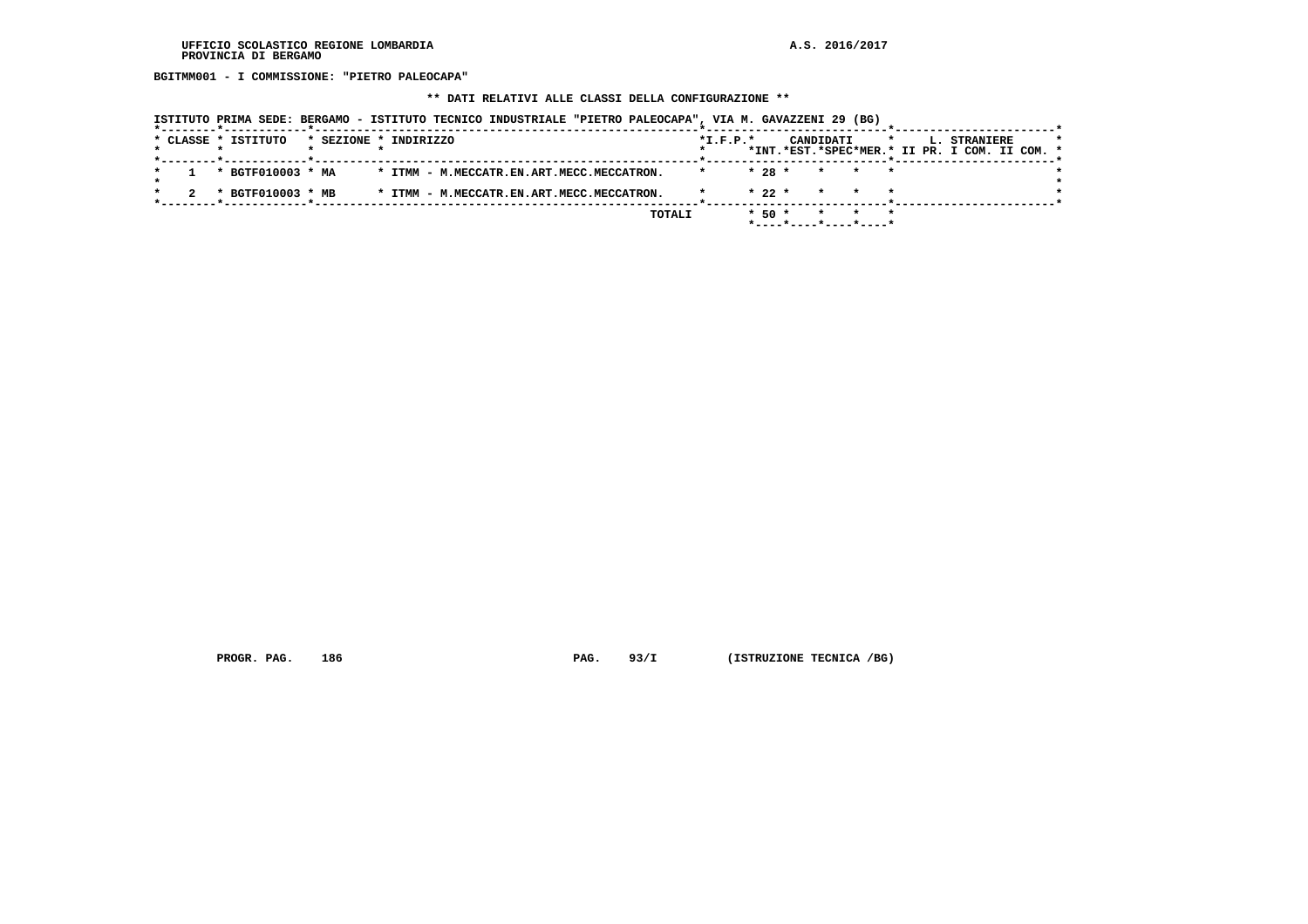**BGITMM001 - I COMMISSIONE: "PIETRO PALEOCAPA"**

# **\*\* DATI RELATIVI ALLE CLASSI DELLA CONFIGURAZIONE \*\***

|  |  | ISTITUTO PRIMA SEDE: BERGAMO - ISTITUTO TECNICO INDUSTRIALE "PIETRO PALEOCAPA", VIA M. GAVAZZENI 29 (BG) |                       |  |                                           |  |        |            |            |  |           |                          |         |  |                                                               |  |  |
|--|--|----------------------------------------------------------------------------------------------------------|-----------------------|--|-------------------------------------------|--|--------|------------|------------|--|-----------|--------------------------|---------|--|---------------------------------------------------------------|--|--|
|  |  | * CLASSE * ISTITUTO                                                                                      | * SEZIONE * INDIRIZZO |  |                                           |  |        | $*L.F.P.*$ |            |  | CANDIDATI |                          | $\star$ |  | L. STRANIERE<br>*INT.*EST.*SPEC*MER.* II PR. I COM. II COM. * |  |  |
|  |  | * BGTF010003 * MA                                                                                        |                       |  | * ITMM - M.MECCATR.EN.ART.MECC.MECCATRON. |  |        |            | $* 28 *$   |  |           | * * *                    |         |  |                                                               |  |  |
|  |  | * BGTF010003 * MB                                                                                        |                       |  | * ITMM - M.MECCATR.EN.ART.MECC.MECCATRON. |  |        |            | $* 22 *$   |  | $\star$   |                          |         |  |                                                               |  |  |
|  |  |                                                                                                          |                       |  |                                           |  | TOTALI |            | $*$ 50 $*$ |  |           | $*$ ----*----*----*----* |         |  |                                                               |  |  |

 **PROGR. PAG.** 186 **PAG. 93/I** (ISTRUZIONE TECNICA /BG)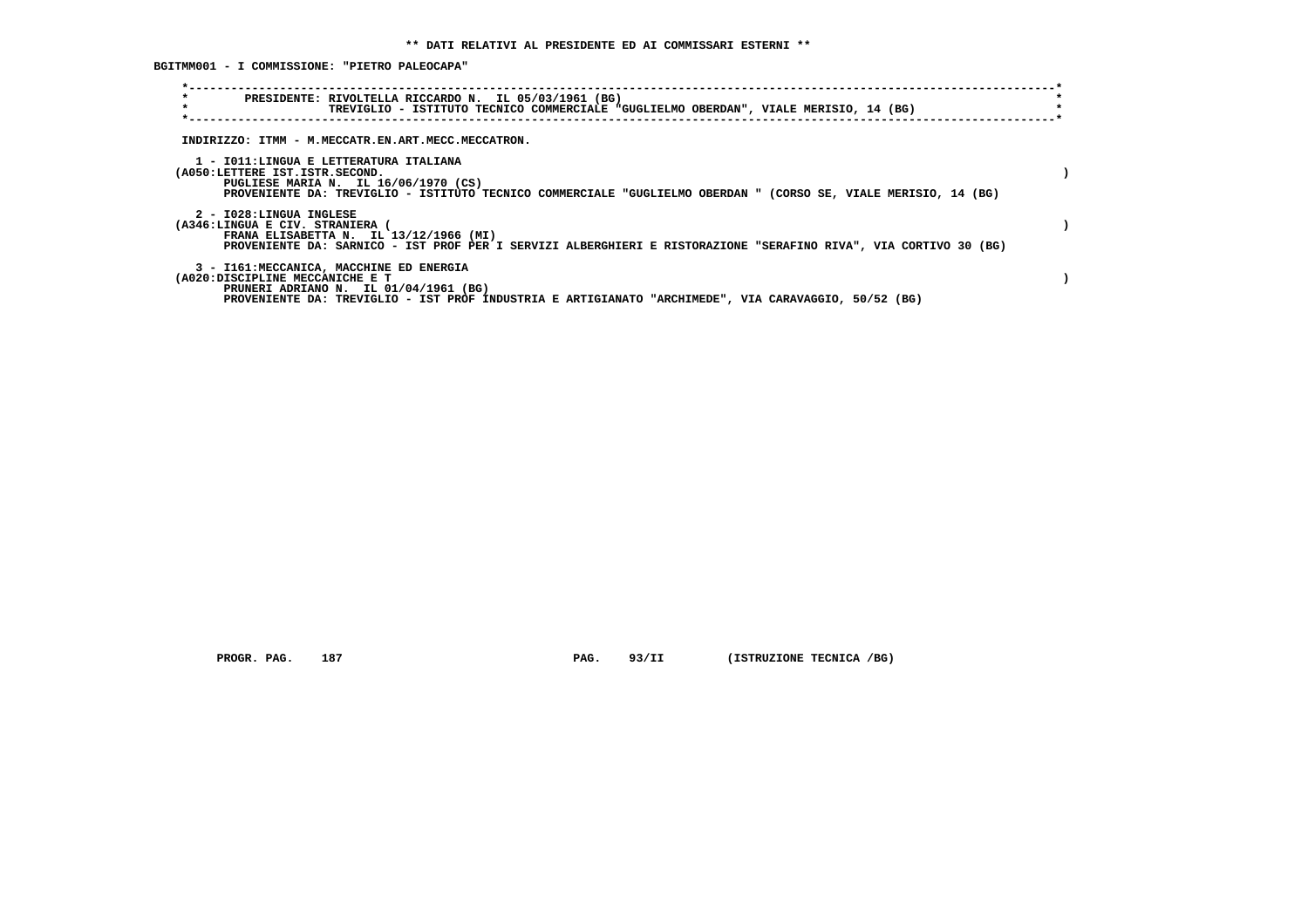**BGITMM001 - I COMMISSIONE: "PIETRO PALEOCAPA"**

| $\star$<br>PRESIDENTE: RIVOLTELLA RICCARDO N. IL 05/03/1961 (BG)<br>$\star$<br>TREVIGLIO - ISTITUTO TECNICO COMMERCIALE "GUGLIELMO OBERDAN", VIALE MERISIO, 14 (BG)                                                                 |  |
|-------------------------------------------------------------------------------------------------------------------------------------------------------------------------------------------------------------------------------------|--|
| INDIRIZZO: ITMM - M.MECCATR.EN.ART.MECC.MECCATRON.                                                                                                                                                                                  |  |
| 1 - IO11:LINGUA E LETTERATURA ITALIANA<br>(A050:LETTERE IST.ISTR.SECOND.<br>PUGLIESE MARIA N. IL 16/06/1970 (CS)<br>PROVENIENTE DA: TREVIGLIO - ISTITUTO TECNICO COMMERCIALE "GUGLIELMO OBERDAN " (CORSO SE, VIALE MERISIO, 14 (BG) |  |
| 2 - I028:LINGUA INGLESE<br>(A346:LINGUA E CIV. STRANIERA (<br>FRANA ELISABETTA N. IL 13/12/1966 (MI)<br>PROVENIENTE DA: SARNICO - IST PROF PER I SERVIZI ALBERGHIERI E RISTORAZIONE "SERAFINO RIVA", VIA CORTIVO 30 (BG)            |  |
| 3 - I161: MECCANICA, MACCHINE ED ENERGIA<br>(A020:DISCIPLINE MECCANICHE E T<br>PRUNERI ADRIANO N. IL 01/04/1961 (BG)<br>PROVENIENTE DA: TREVIGLIO - IST PROF INDUSTRIA E ARTIGIANATO "ARCHIMEDE", VIA CARAVAGGIO, 50/52 (BG)        |  |

 **PROGR. PAG.** 187 **PAG.** 93/II (ISTRUZIONE TECNICA /BG)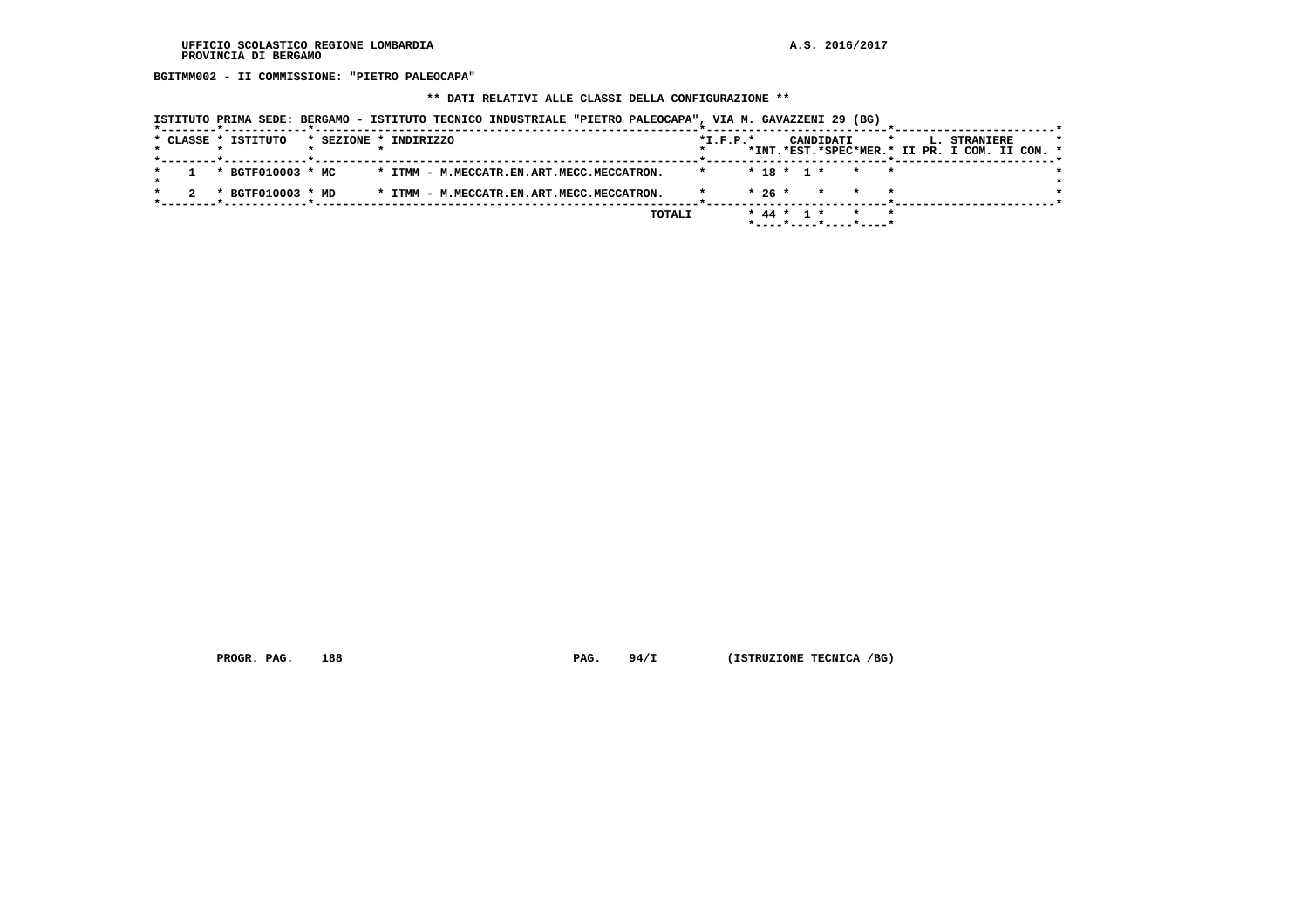**BGITMM002 - II COMMISSIONE: "PIETRO PALEOCAPA"**

 **\*\* DATI RELATIVI ALLE CLASSI DELLA CONFIGURAZIONE \*\***

|  |                     |                       |  | ISTITUTO PRIMA SEDE: BERGAMO - ISTITUTO TECNICO INDUSTRIALE "PIETRO PALEOCAPA", VIA M. GAVAZZENI 29 (BG) |  |        |            |              |  |           |                          |         |  |              |                                               |  |
|--|---------------------|-----------------------|--|----------------------------------------------------------------------------------------------------------|--|--------|------------|--------------|--|-----------|--------------------------|---------|--|--------------|-----------------------------------------------|--|
|  | * CLASSE * ISTITUTO | * SEZIONE * INDIRIZZO |  |                                                                                                          |  |        | $*I.F.P.*$ |              |  | CANDIDATI |                          | $\star$ |  | L. STRANIERE | *INT.*EST.*SPEC*MER.* II PR. I COM. II COM. * |  |
|  | * BGTF010003 * MC   |                       |  | * ITMM - M.MECCATR.EN.ART.MECC.MECCATRON.                                                                |  |        | $\star$    | $* 18 * 1 *$ |  |           | $\star$ $\star$          |         |  |              |                                               |  |
|  | * BGTF010003 * MD   |                       |  | * ITMM - M.MECCATR.EN.ART.MECC.MECCATRON.                                                                |  |        |            | $*26*$       |  | $\star$   | $\star$                  |         |  |              |                                               |  |
|  |                     |                       |  |                                                                                                          |  | TOTALI |            | * 44 * 1 *   |  |           | $*$ ----*----*----*----* |         |  |              |                                               |  |

 **PROGR. PAG.** 188 **PAG. 94/I (ISTRUZIONE TECNICA /BG)**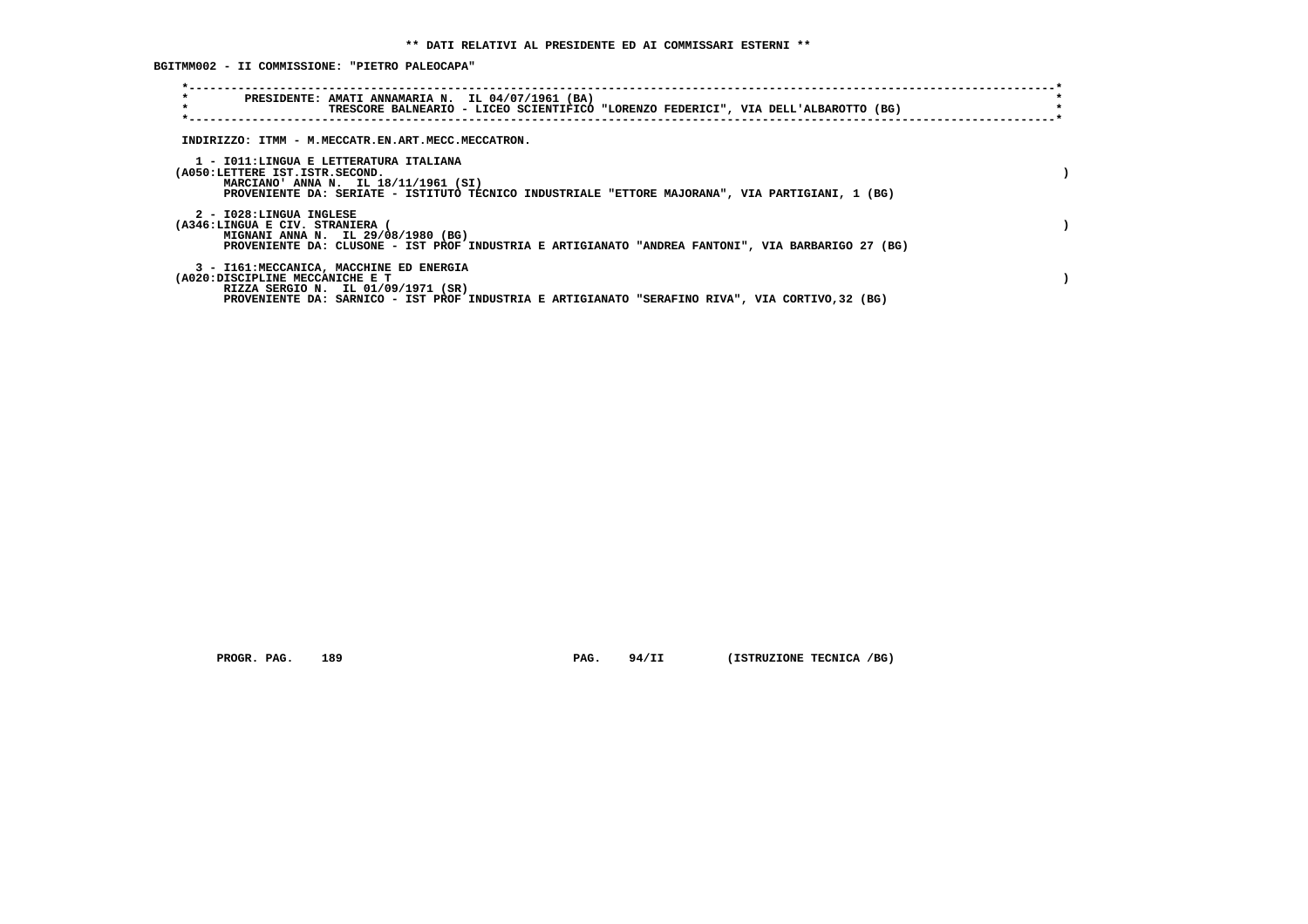**BGITMM002 - II COMMISSIONE: "PIETRO PALEOCAPA"**

| $\star$<br>$\star$                                         | PRESIDENTE: AMATI ANNAMARIA N. IL 04/07/1961 (BA)<br>TRESCORE BALNEARIO - LICEO SCIENTIFICO "LORENZO FEDERICI", VIA DELL'ALBAROTTO (BG)                                            |  |
|------------------------------------------------------------|------------------------------------------------------------------------------------------------------------------------------------------------------------------------------------|--|
|                                                            | INDIRIZZO: ITMM - M.MECCATR.EN.ART.MECC.MECCATRON.                                                                                                                                 |  |
| (A050:LETTERE IST.ISTR.SECOND.                             | 1 - IO11:LINGUA E LETTERATURA ITALIANA<br>MARCIANO' ANNA N. IL 18/11/1961 (SI)<br>PROVENIENTE DA: SERIATE - ISTITUTO TECNICO INDUSTRIALE "ETTORE MAJORANA", VIA PARTIGIANI, 1 (BG) |  |
| 2 - I028:LINGUA INGLESE<br>(A346:LINGUA E CIV. STRANIERA ( | MIGNANI ANNA N. IL 29/08/1980 (BG)<br>PROVENIENTE DA: CLUSONE - IST PROF INDUSTRIA E ARTIGIANATO "ANDREA FANTONI", VIA BARBARIGO 27 (BG)                                           |  |
| (A020:DISCIPLINE MECCANICHE E T                            | 3 - I161: MECCANICA, MACCHINE ED ENERGIA<br>RIZZA SERGIO N. IL 01/09/1971 (SR)<br>PROVENIENTE DA: SARNICO - IST PROF INDUSTRIA E ARTIGIANATO "SERAFINO RIVA", VIA CORTIVO, 32 (BG) |  |

 **PROGR. PAG.** 189 **PAG.** 94/II (ISTRUZIONE TECNICA /BG)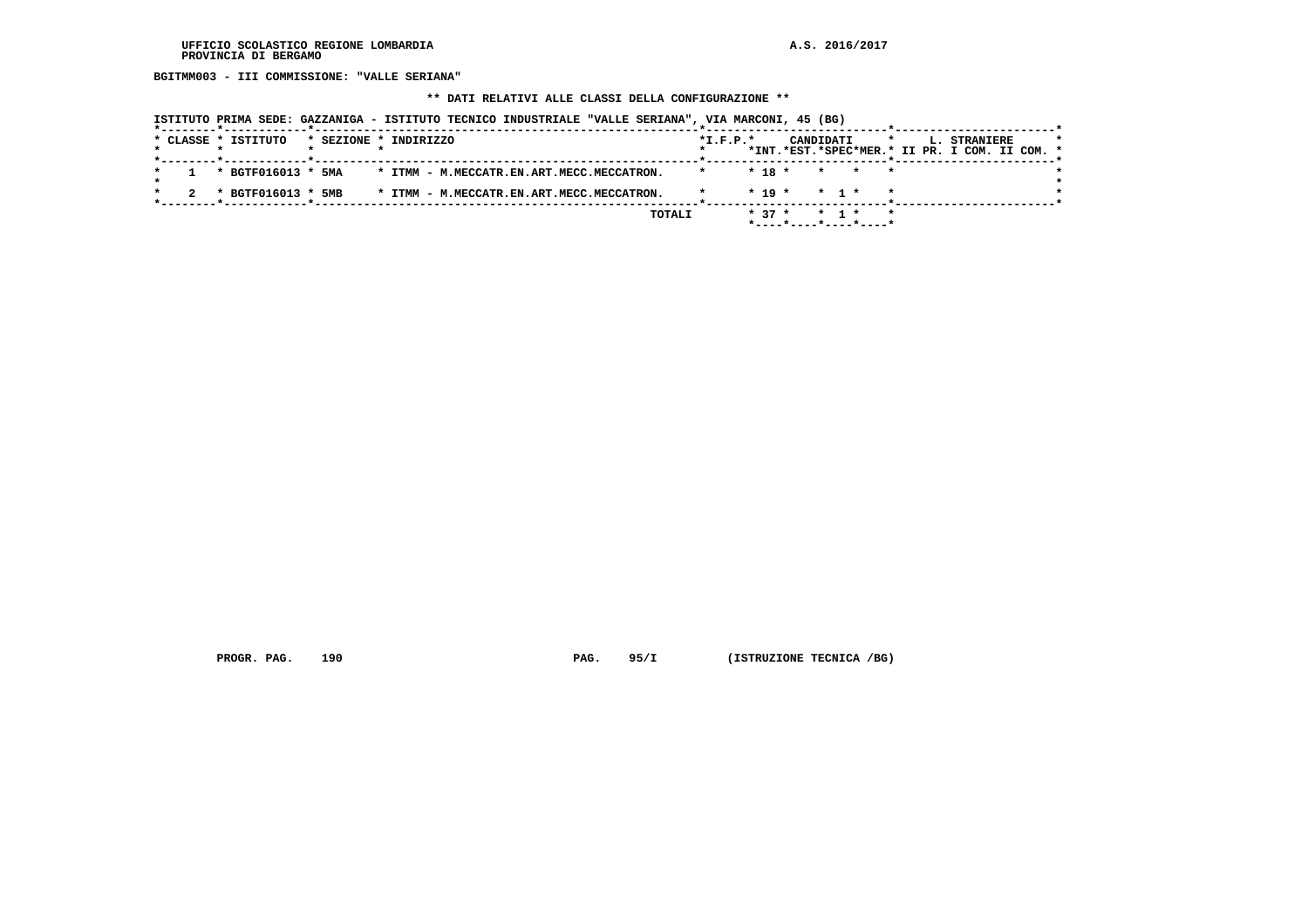**BGITMM003 - III COMMISSIONE: "VALLE SERIANA"**

# **\*\* DATI RELATIVI ALLE CLASSI DELLA CONFIGURAZIONE \*\***

|                     | ISTITUTO PRIMA SEDE: GAZZANIGA - ISTITUTO TECNICO INDUSTRIALE "VALLE SERIANA", VIA MARCONI, 45 (BG) |                                                                                                     |
|---------------------|-----------------------------------------------------------------------------------------------------|-----------------------------------------------------------------------------------------------------|
| * CLASSE * ISTITUTO | * SEZIONE * INDIRIZZO                                                                               | $*I.F.P.*$<br>CANDIDATI<br>$\star$<br>L. STRANIERE<br>*INT.*EST.*SPEC*MER.* II PR. I COM. II COM. * |
| * BGTF016013 * 5MA  | * ITMM - M.MECCATR.EN.ART.MECC.MECCATRON.                                                           | $* 18 *$<br>* * *                                                                                   |
| * BGTF016013 * 5MB  | * ITMM - M.MECCATR.EN.ART.MECC.MECCATRON.                                                           | $*$ 19 $*$<br>* 1 *<br>$\star$                                                                      |
|                     | TOTALI                                                                                              | $* 37 *$<br>$\star$<br>$*$ 1 $*$<br>*----*----*----*----*                                           |

 **PROGR. PAG.** 190 **PAG. 95/I** (ISTRUZIONE TECNICA /BG)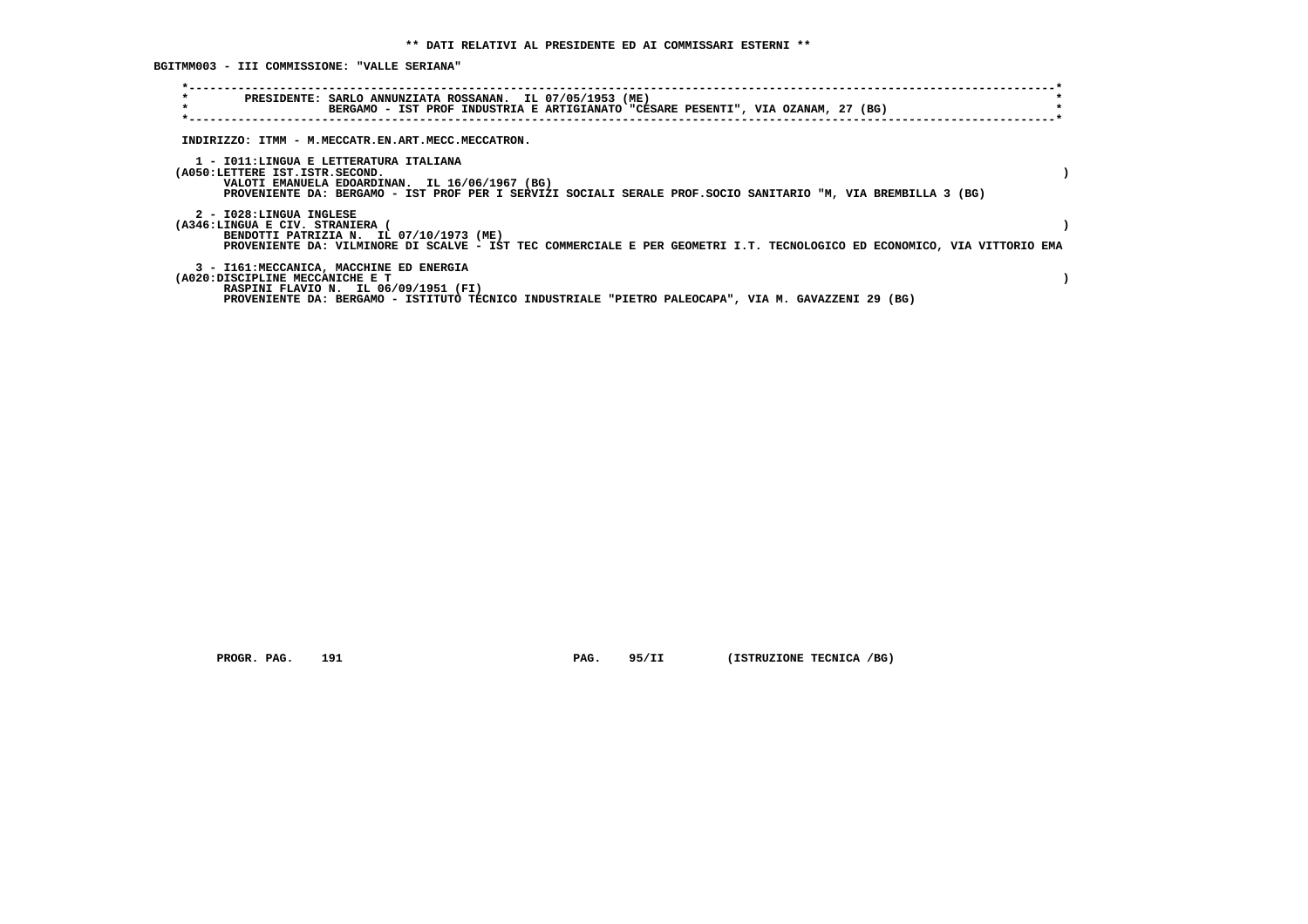**BGITMM003 - III COMMISSIONE: "VALLE SERIANA"**

| $\star$<br>$\star$                                         | PRESIDENTE: SARLO ANNUNZIATA ROSSANAN. IL 07/05/1953 (ME)<br>BERGAMO - IST PROF INDUSTRIA E ARTIGIANATO "CESARE PESENTI", VIA OZANAM, 27 (BG)                                                              |  |
|------------------------------------------------------------|------------------------------------------------------------------------------------------------------------------------------------------------------------------------------------------------------------|--|
|                                                            | INDIRIZZO: ITMM - M.MECCATR.EN.ART.MECC.MECCATRON.                                                                                                                                                         |  |
| (A050:LETTERE IST.ISTR.SECOND.                             | 1 - IO11:LINGUA E LETTERATURA ITALIANA<br>VALOTI EMANUELA EDOARDINAN. IL 16/06/1967 (BG)<br>PROVENIENTE DA: BERGAMO - IST PROF PER I SERVIZI SOCIALI SERALE PROF. SOCIO SANITARIO "M, VIA BREMBILLA 3 (BG) |  |
| 2 - I028:LINGUA INGLESE<br>(A346:LINGUA E CIV. STRANIERA ( | BENDOTTI PATRIZIA N. IL 07/10/1973 (ME)<br>PROVENIENTE DA: VILMINORE DI SCALVE - IST TEC COMMERCIALE E PER GEOMETRI I.T. TECNOLOGICO ED ECONOMICO, VIA VITTORIO EMA                                        |  |
| (A020:DISCIPLINE MECCANICHE E T                            | 3 - I161: MECCANICA, MACCHINE ED ENERGIA<br>RASPINI FLAVIO N. IL 06/09/1951 (FI)<br>PROVENIENTE DA: BERGAMO - ISTITUTO TECNICO INDUSTRIALE "PIETRO PALEOCAPA", VIA M. GAVAZZENI 29 (BG)                    |  |

 **PROGR. PAG.** 191 **PAG.** 95/II (ISTRUZIONE TECNICA /BG)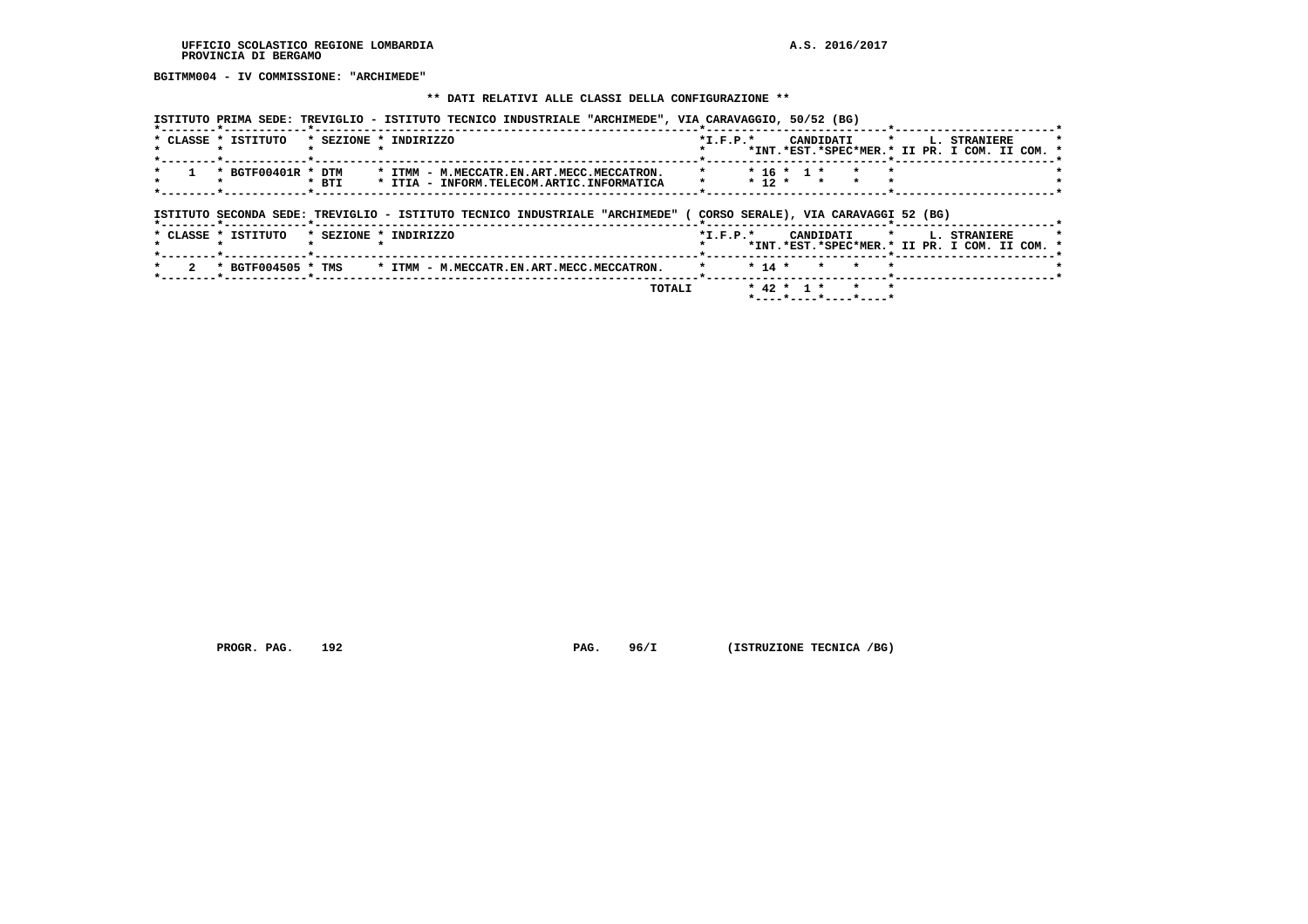**BGITMM004 - IV COMMISSIONE: "ARCHIMEDE"**

#### **\*\* DATI RELATIVI ALLE CLASSI DELLA CONFIGURAZIONE \*\***

 **ISTITUTO PRIMA SEDE: TREVIGLIO - ISTITUTO TECNICO INDUSTRIALE "ARCHIMEDE", VIA CARAVAGGIO, 50/52 (BG)**

| * CLASSE * ISTITUTO |                    |       | * SEZIONE * INDIRIZZO                                                                  | $*_{\texttt{I.F.P.}}*$ |          |                  | CANDIDATI                            | $\star$ | L. STRANIERE                                                  |  |
|---------------------|--------------------|-------|----------------------------------------------------------------------------------------|------------------------|----------|------------------|--------------------------------------|---------|---------------------------------------------------------------|--|
|                     |                    |       |                                                                                        |                        |          |                  |                                      |         | *INT.*EST.*SPEC*MER.* II PR. I COM. II COM. *                 |  |
|                     | * BGTF00401R * DTM | * BTI | * ITMM - M.MECCATR.EN.ART.MECC.MECCATRON.<br>* ITIA - INFORM.TELECOM.ARTIC.INFORMATICA | *                      | $* 12 *$ | $* 16 * 1 *$     |                                      |         |                                                               |  |
|                     |                    |       | ISTITUTO SECONDA SEDE: TREVIGLIO - ISTITUTO TECNICO INDUSTRIALE "ARCHIMEDE" (          |                        |          |                  | CORSO SERALE), VIA CARAVAGGI 52 (BG) |         |                                                               |  |
| * CLASSE * ISTITUTO |                    |       | * SEZIONE * INDIRIZZO                                                                  | $*$ I.F.P. $*$         |          |                  | CANDIDATI                            | $\star$ | L. STRANIERE<br>*INT.*EST.*SPEC*MER.* II PR. I COM. II COM. * |  |
|                     | * BGTF004505 * TMS |       | * ITMM - M.MECCATR.EN.ART.MECC.MECCATRON.                                              |                        | $* 14 *$ |                  |                                      |         |                                                               |  |
|                     |                    |       | TOTALI                                                                                 |                        |          | $*$ 42 $*$ 1 $*$ |                                      |         |                                                               |  |

 **PROGR. PAG.** 192 **PAG.** 96/I (ISTRUZIONE TECNICA /BG)

 **\*----\*----\*----\*----\***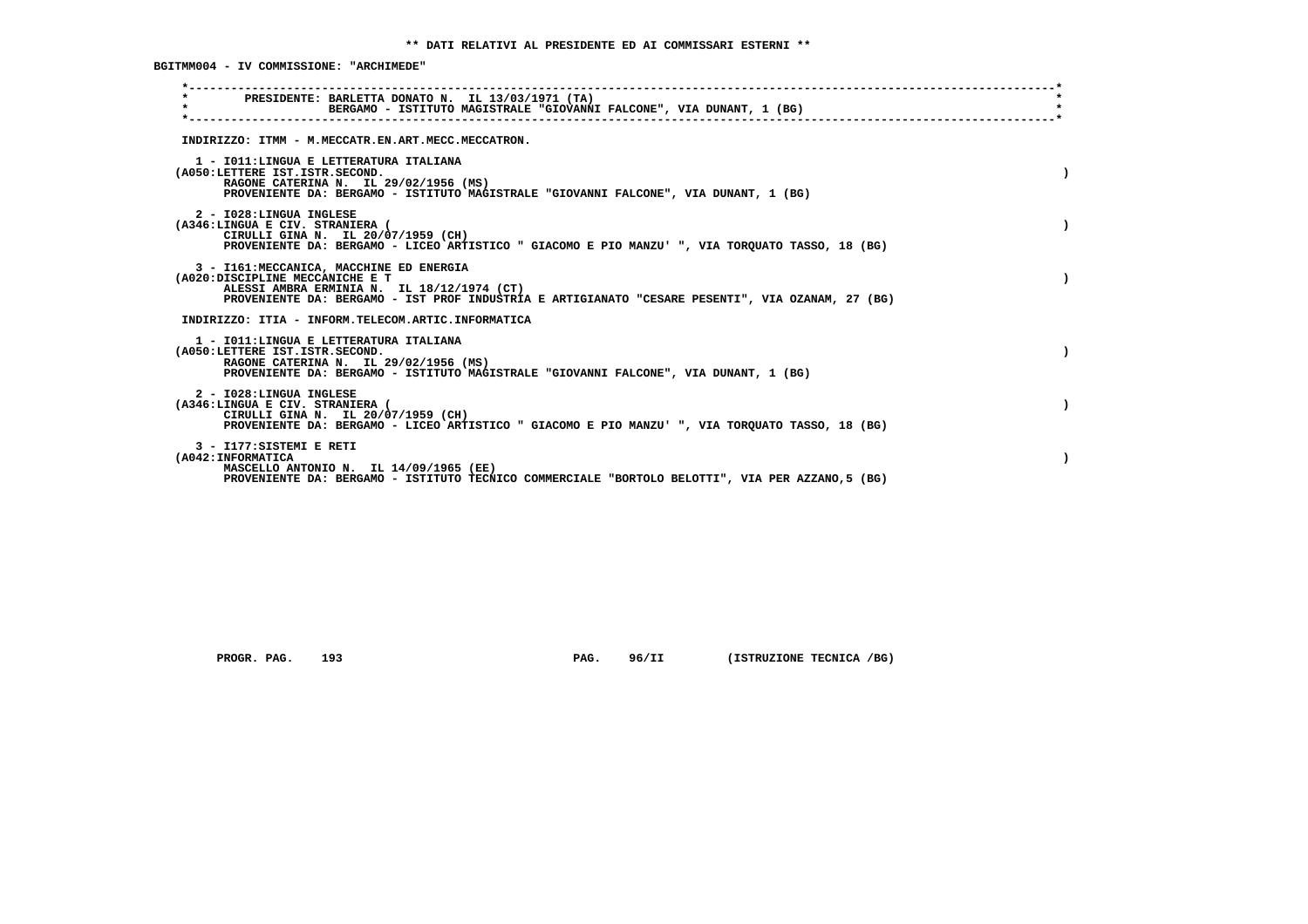**BGITMM004 - IV COMMISSIONE: "ARCHIMEDE"**

| PRESIDENTE: BARLETTA DONATO N. IL 13/03/1971 (TA)<br>$\star$<br>BERGAMO - ISTITUTO MAGISTRALE "GIOVANNI FALCONE", VIA DUNANT, 1 (BG) |  |
|--------------------------------------------------------------------------------------------------------------------------------------|--|
|                                                                                                                                      |  |
| INDIRIZZO: ITMM - M.MECCATR.EN.ART.MECC.MECCATRON.                                                                                   |  |
| 1 - IO11:LINGUA E LETTERATURA ITALIANA                                                                                               |  |
| (A050:LETTERE IST.ISTR.SECOND.<br>RAGONE CATERINA N. IL 29/02/1956 (MS)                                                              |  |
| PROVENIENTE DA: BERGAMO - ISTITUTO MAGISTRALE "GIOVANNI FALCONE", VIA DUNANT, 1 (BG)                                                 |  |
| 2 - I028:LINGUA INGLESE                                                                                                              |  |
| (A346:LINGUA E CIV. STRANIERA (<br>CIRULLI GINA N. IL 20/07/1959 (CH)                                                                |  |
| PROVENIENTE DA: BERGAMO - LICEO ARTISTICO " GIACOMO E PIO MANZU' ", VIA TORQUATO TASSO, 18 (BG)                                      |  |
| 3 - I161: MECCANICA, MACCHINE ED ENERGIA                                                                                             |  |
| (A020:DISCIPLINE MECCANICHE E T<br>ALESSI AMBRA ERMINIA N. IL 18/12/1974 (CT)                                                        |  |
| PROVENIENTE DA: BERGAMO - IST PROF INDUSTRIA E ARTIGIANATO "CESARE PESENTI", VIA OZANAM, 27 (BG)                                     |  |
| INDIRIZZO: ITIA - INFORM.TELECOM.ARTIC.INFORMATICA                                                                                   |  |
| 1 - IO11: LINGUA E LETTERATURA ITALIANA                                                                                              |  |
| (A050:LETTERE IST.ISTR.SECOND.<br>RAGONE CATERINA N. IL 29/02/1956 (MS)                                                              |  |
| PROVENIENTE DA: BERGAMO - ISTITUTO MAGISTRALE "GIOVANNI FALCONE", VIA DUNANT, 1 (BG)                                                 |  |
| 2 - I028:LINGUA INGLESE                                                                                                              |  |
| (A346:LINGUA E CIV. STRANIERA (<br>CIRULLI GINA N. IL 20/07/1959 (CH)                                                                |  |
| PROVENIENTE DA: BERGAMO - LICEO ARTISTICO " GIACOMO E PIO MANZU' ", VIA TOROUATO TASSO, 18 (BG)                                      |  |
| 3 - I177: SISTEMI E RETI                                                                                                             |  |
| (A042: INFORMATICA<br>MASCELLO ANTONIO N. IL 14/09/1965 (EE)                                                                         |  |
| PROVENIENTE DA: BERGAMO - ISTITUTO TECNICO COMMERCIALE "BORTOLO BELOTTI", VIA PER AZZANO, 5 (BG)                                     |  |
|                                                                                                                                      |  |

 **PROGR. PAG.** 193 **PAG.** 96/II (ISTRUZIONE TECNICA /BG)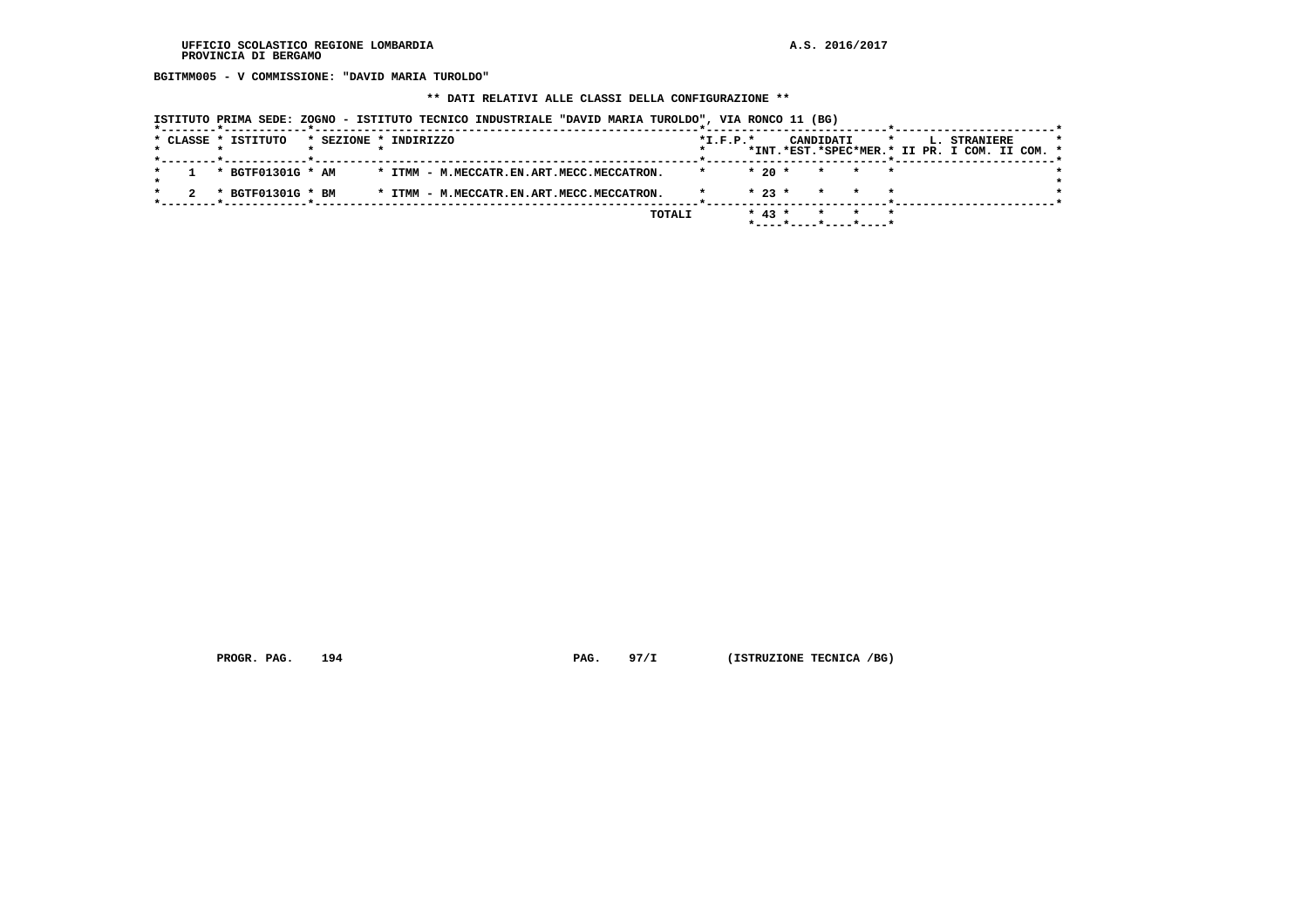**BGITMM005 - V COMMISSIONE: "DAVID MARIA TUROLDO"**

# **\*\* DATI RELATIVI ALLE CLASSI DELLA CONFIGURAZIONE \*\***

|                                              | ISTITUTO PRIMA SEDE: ZOGNO - ISTITUTO TECNICO INDUSTRIALE "DAVID MARIA TUROLDO", VIA RONCO 11 (BG) |                |                                                              |                                               |
|----------------------------------------------|----------------------------------------------------------------------------------------------------|----------------|--------------------------------------------------------------|-----------------------------------------------|
| * CLASSE * ISTITUTO<br>* SEZIONE * INDIRIZZO |                                                                                                    | $*$ I.F.P. $*$ | CANDIDATI                                                    | L. STRANIERE<br>$\star$                       |
|                                              |                                                                                                    |                |                                                              | *INT.*EST.*SPEC*MER.* II PR. I COM. II COM. * |
| * BGTF01301G * AM                            | * ITMM - M.MECCATR.EN.ART.MECC.MECCATRON.                                                          | $*20$ *        | * * *                                                        |                                               |
| * BGTF01301G * BM                            | * ITMM - M.MECCATR.EN.ART.MECC.MECCATRON.                                                          | $* 23 *$       | * * *                                                        |                                               |
|                                              |                                                                                                    |                |                                                              |                                               |
|                                              | TOTALI                                                                                             | $* 43 *$       | * * *<br>$*$ - - - - $*$ - - - - $*$ - - - - $*$ - - - - $*$ |                                               |

 **PROGR. PAG.** 194 **PAG.** 97/I (ISTRUZIONE TECNICA /BG)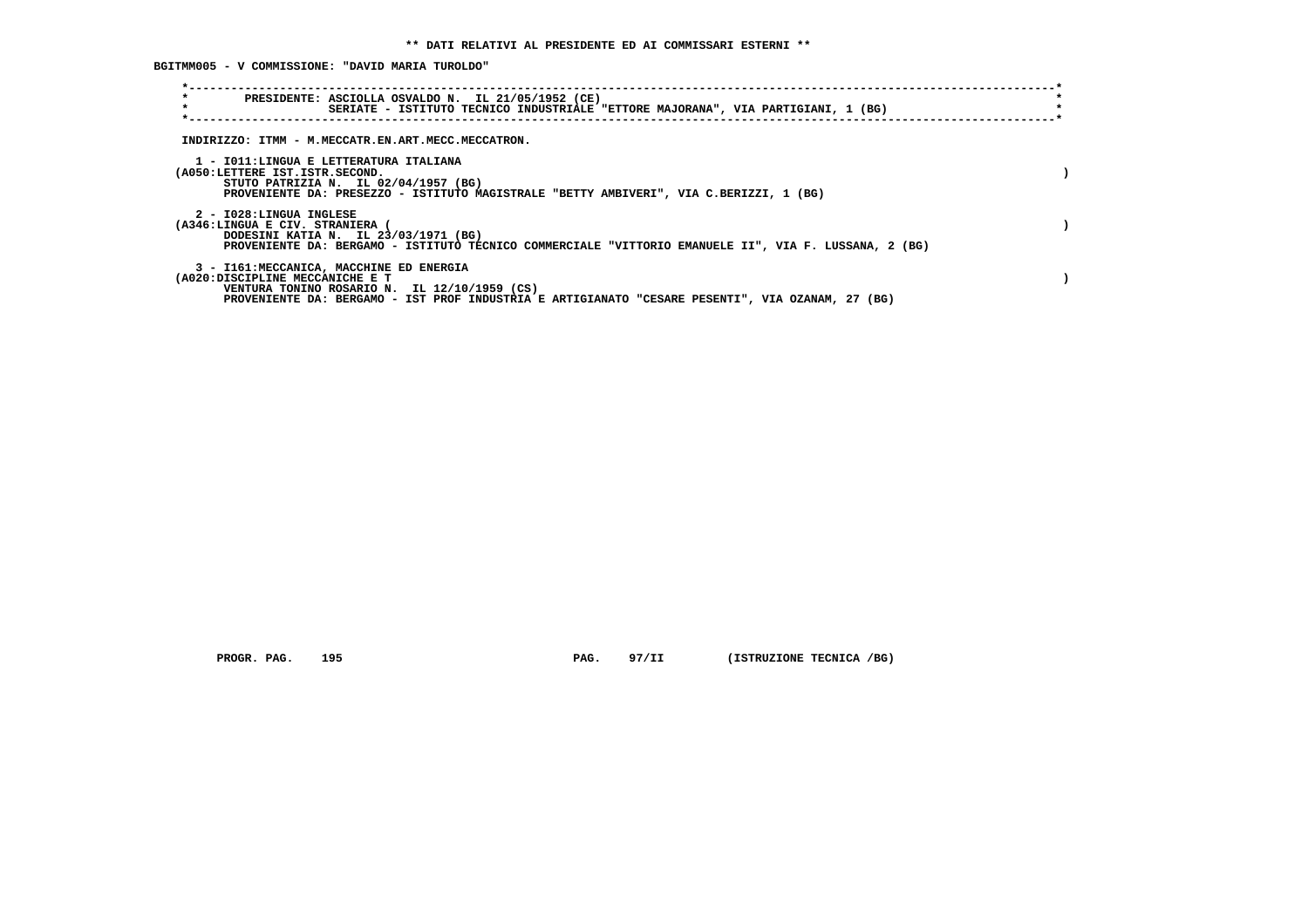**BGITMM005 - V COMMISSIONE: "DAVID MARIA TUROLDO"**

| $\star$<br>PRESIDENTE: ASCIOLLA OSVALDO N. IL 21/05/1952 (CE)<br>$\star$<br>SERIATE - ISTITUTO TECNICO INDUSTRIALE "ETTORE MAJORANA", VIA PARTIGIANI, 1 (BG)                                                                    |  |
|---------------------------------------------------------------------------------------------------------------------------------------------------------------------------------------------------------------------------------|--|
| INDIRIZZO: ITMM - M.MECCATR.EN.ART.MECC.MECCATRON.                                                                                                                                                                              |  |
| 1 - IO11: LINGUA E LETTERATURA ITALIANA<br>(A050:LETTERE IST.ISTR.SECOND.<br>STUTO PATRIZIA N. IL 02/04/1957 (BG)<br>PROVENIENTE DA: PRESEZZO - ISTITUTO MAGISTRALE "BETTY AMBIVERI", VIA C.BERIZZI, 1 (BG)                     |  |
| 2 - I028:LINGUA INGLESE<br>(A346:LINGUA E CIV. STRANIERA<br>DODESINI KATIA N. IL 23/03/1971 (BG)<br>PROVENIENTE DA: BERGAMO - ISTITUTO TECNICO COMMERCIALE "VITTORIO EMANUELE II", VIA F. LUSSANA, 2 (BG)                       |  |
| 3 - I161: MECCANICA, MACCHINE ED ENERGIA<br>(A020:DISCIPLINE MECCANICHE E T<br>VENTURA TONINO ROSARIO N. IL 12/10/1959 (CS)<br>PROVENIENTE DA: BERGAMO - IST PROF INDUSTRIA E ARTIGIANATO "CESARE PESENTI", VIA OZANAM, 27 (BG) |  |

 **PROGR. PAG.** 195 **PAG.** 97/II (ISTRUZIONE TECNICA /BG)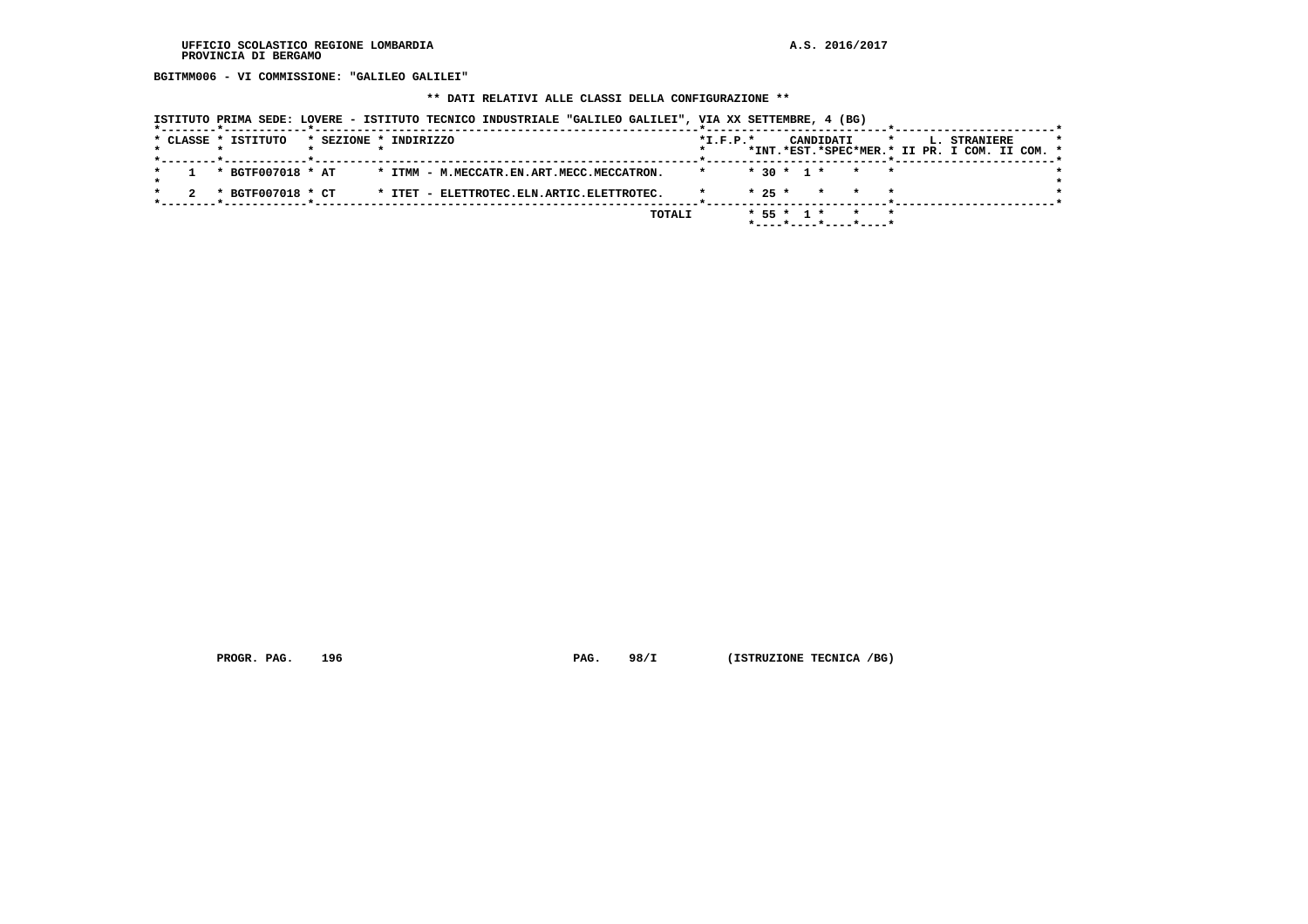**BGITMM006 - VI COMMISSIONE: "GALILEO GALILEI"**

#### **\*\* DATI RELATIVI ALLE CLASSI DELLA CONFIGURAZIONE \*\***

 **ISTITUTO PRIMA SEDE: LOVERE - ISTITUTO TECNICO INDUSTRIALE "GALILEO GALILEI", VIA XX SETTEMBRE, 4 (BG)**

|  |  | --------*------------*-------------- |  |                                           |                |  |  |                          |         |  |                                                                      |  |  |
|--|--|--------------------------------------|--|-------------------------------------------|----------------|--|--|--------------------------|---------|--|----------------------------------------------------------------------|--|--|
|  |  | * CLASSE * ISTITUTO                  |  | * SEZIONE * INDIRIZZO                     | $*$ I.F.P. $*$ |  |  | CANDIDATI                | $\star$ |  | <b>L. STRANIERE</b><br>*INT.*EST.*SPEC*MER.* II PR. I COM. II COM. * |  |  |
|  |  |                                      |  |                                           |                |  |  |                          |         |  |                                                                      |  |  |
|  |  | * BGTF007018 * AT                    |  | * ITMM - M.MECCATR.EN.ART.MECC.MECCATRON. |                |  |  | $* 30 * 1 * * * * *$     |         |  |                                                                      |  |  |
|  |  |                                      |  |                                           |                |  |  |                          |         |  |                                                                      |  |  |
|  |  | * BGTF007018 * CT                    |  | * ITET - ELETTROTEC.ELN.ARTIC.ELETTROTEC. |                |  |  | $* 25 * * * * * * *$     |         |  |                                                                      |  |  |
|  |  |                                      |  |                                           |                |  |  |                          |         |  |                                                                      |  |  |
|  |  |                                      |  | TOTALI                                    |                |  |  | * 55 * 1 * * *           |         |  |                                                                      |  |  |
|  |  |                                      |  |                                           |                |  |  | $*$ ----*----*----*----* |         |  |                                                                      |  |  |

 **PROGR. PAG.** 196 **PAG. 98/I** (ISTRUZIONE TECNICA /BG)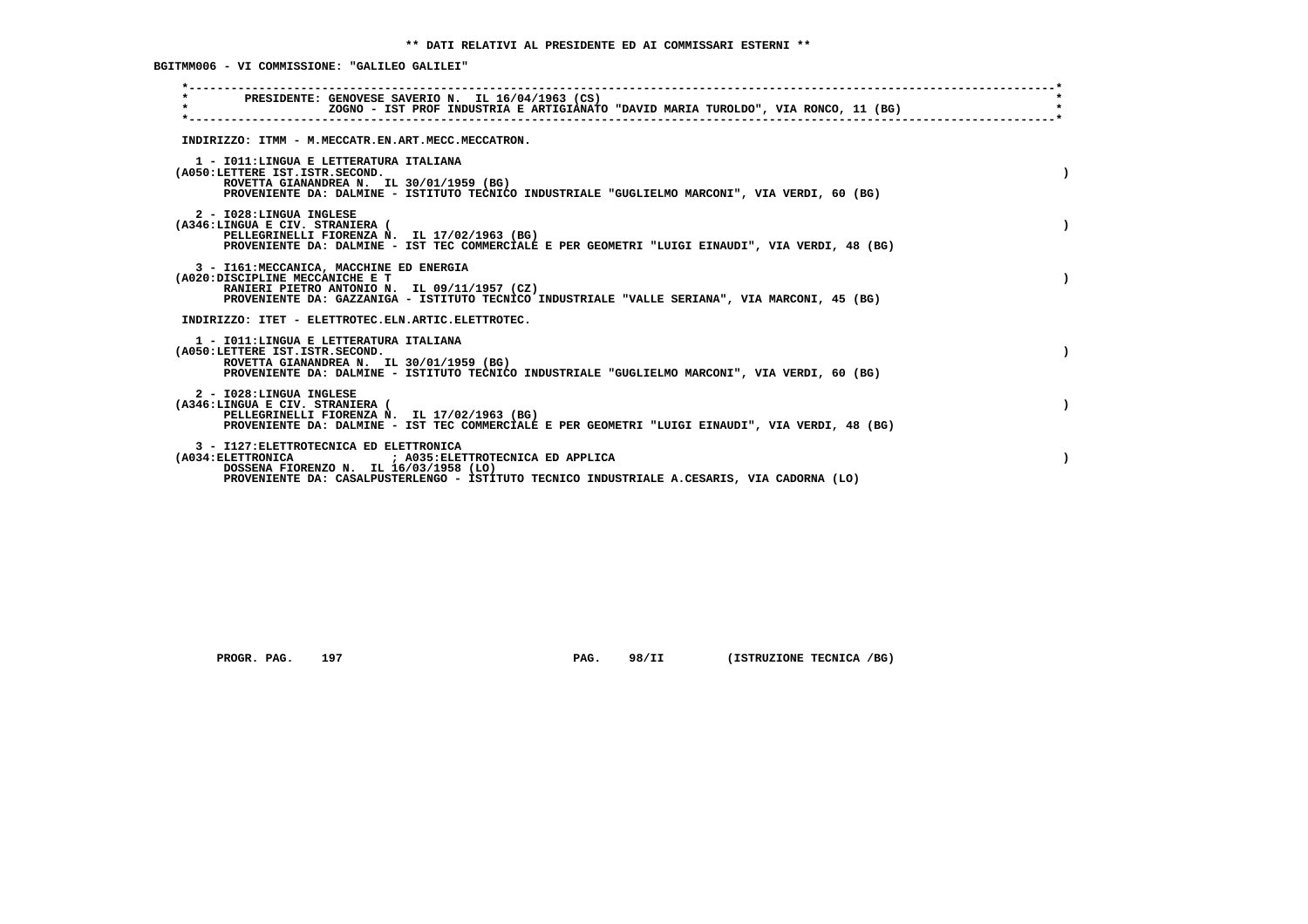**BGITMM006 - VI COMMISSIONE: "GALILEO GALILEI"**

| PRESIDENTE: GENOVESE SAVERIO N. IL 16/04/1963 (CS)<br>$\star$<br>ZOGNO - IST PROF INDUSTRIA E ARTIGIANATO "DAVID MARIA TUROLDO", VIA RONCO, 11 (BG)                                                                                       |  |
|-------------------------------------------------------------------------------------------------------------------------------------------------------------------------------------------------------------------------------------------|--|
| INDIRIZZO: ITMM - M.MECCATR.EN.ART.MECC.MECCATRON.                                                                                                                                                                                        |  |
| 1 - IO11: LINGUA E LETTERATURA ITALIANA<br>(A050:LETTERE IST.ISTR.SECOND.<br>ROVETTA GIANANDREA N. IL 30/01/1959 (BG)<br>PROVENIENTE DA: DALMINE - ISTITUTO TECNICO INDUSTRIALE "GUGLIELMO MARCONI", VIA VERDI, 60 (BG)                   |  |
| 2 - I028:LINGUA INGLESE<br>(A346:LINGUA E CIV. STRANIERA (<br>PELLEGRINELLI FIORENZA N. IL 17/02/1963 (BG)<br>PROVENIENTE DA: DALMINE - IST TEC COMMERCIALE E PER GEOMETRI "LUIGI EINAUDI", VIA VERDI, 48 (BG)                            |  |
| 3 - I161: MECCANICA, MACCHINE ED ENERGIA<br>(A020:DISCIPLINE MECCANICHE E T<br>RANIERI PIETRO ANTONIO N. IL 09/11/1957 (CZ)<br>PROVENIENTE DA: GAZZANIGA - ISTITUTO TECNICO INDUSTRIALE "VALLE SERIANA", VIA MARCONI, 45 (BG)             |  |
| INDIRIZZO: ITET - ELETTROTEC.ELN.ARTIC.ELETTROTEC.                                                                                                                                                                                        |  |
| 1 - IO11:LINGUA E LETTERATURA ITALIANA<br>(A050:LETTERE IST.ISTR.SECOND.<br>ROVETTA GIANANDREA N. IL 30/01/1959 (BG)<br>PROVENIENTE DA: DALMINE - ISTITUTO TECNICO INDUSTRIALE "GUGLIELMO MARCONI", VIA VERDI, 60 (BG)                    |  |
| 2 - I028:LINGUA INGLESE<br>(A346:LINGUA E CIV. STRANIERA (<br>PELLEGRINELLI FIORENZA N. IL 17/02/1963 (BG)<br>PROVENIENTE DA: DALMINE - IST TEC COMMERCIALE E PER GEOMETRI "LUIGI EINAUDI", VIA VERDI, 48 (BG)                            |  |
| 3 - I127: ELETTROTECNICA ED ELETTRONICA<br>(A034: ELETTRONICA ) (A035: ELETTROTECNICA ED APPLICA<br>DOSSENA FIORENZO N. IL 16/03/1958 (LO)<br>PROVENIENTE DA: CASALPUSTERLENGO - ISTITUTO TECNICO INDUSTRIALE A.CESARIS, VIA CADORNA (LO) |  |
|                                                                                                                                                                                                                                           |  |

 **PROGR. PAG.** 197 **PAG.** 98/II (ISTRUZIONE TECNICA /BG)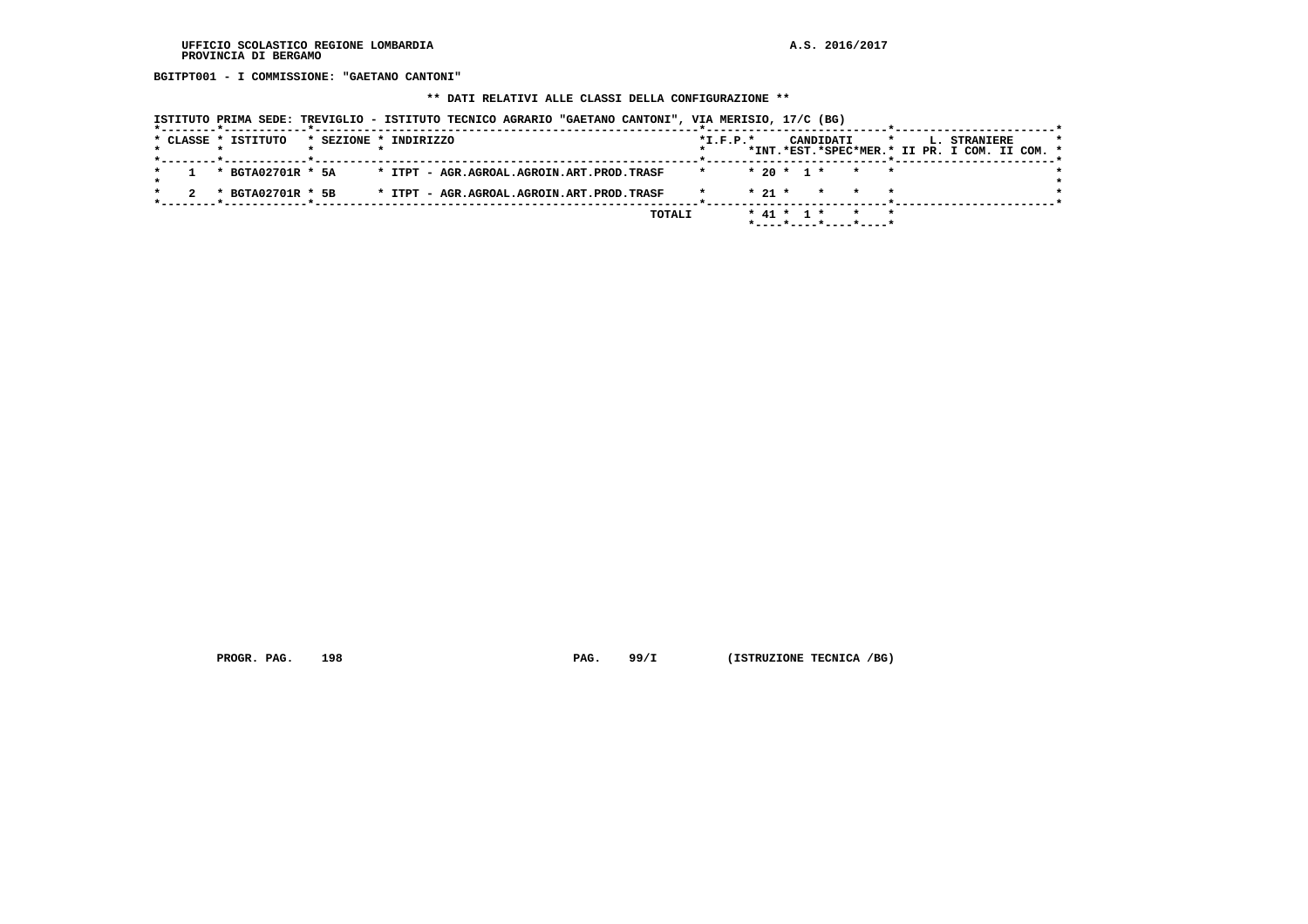**BGITPT001 - I COMMISSIONE: "GAETANO CANTONI"**

# **\*\* DATI RELATIVI ALLE CLASSI DELLA CONFIGURAZIONE \*\***

|                     | ISTITUTO PRIMA SEDE: TREVIGLIO - ISTITUTO TECNICO AGRARIO "GAETANO CANTONI", VIA MERISIO, 17/C (BG) |                |                                              |                                                                          |
|---------------------|-----------------------------------------------------------------------------------------------------|----------------|----------------------------------------------|--------------------------------------------------------------------------|
| * CLASSE * ISTITUTO | * SEZIONE * INDIRIZZO                                                                               | $*$ I.F.P. $*$ | CANDIDATI                                    | L. STRANIERE<br>$\star$<br>*INT.*EST.*SPEC*MER.* II PR. I COM. II COM. * |
| * BGTA02701R * 5A   | * ITPT - AGR.AGROAL.AGROIN.ART.PROD.TRASF                                                           |                | $* 20 * 1 * * * * *$                         |                                                                          |
| * BGTA02701R * 5B   | * ITPT - AGR.AGROAL.AGROIN.ART.PROD.TRASF                                                           |                | $* 21 *$<br>$\star$ $\star$                  |                                                                          |
|                     |                                                                                                     | TOTALI         | $*$ 41 $*$ 1 $*$<br>$*$ ----*----*----*----* |                                                                          |

 **PROGR. PAG.** 198 **PAG. 99/I** (ISTRUZIONE TECNICA /BG)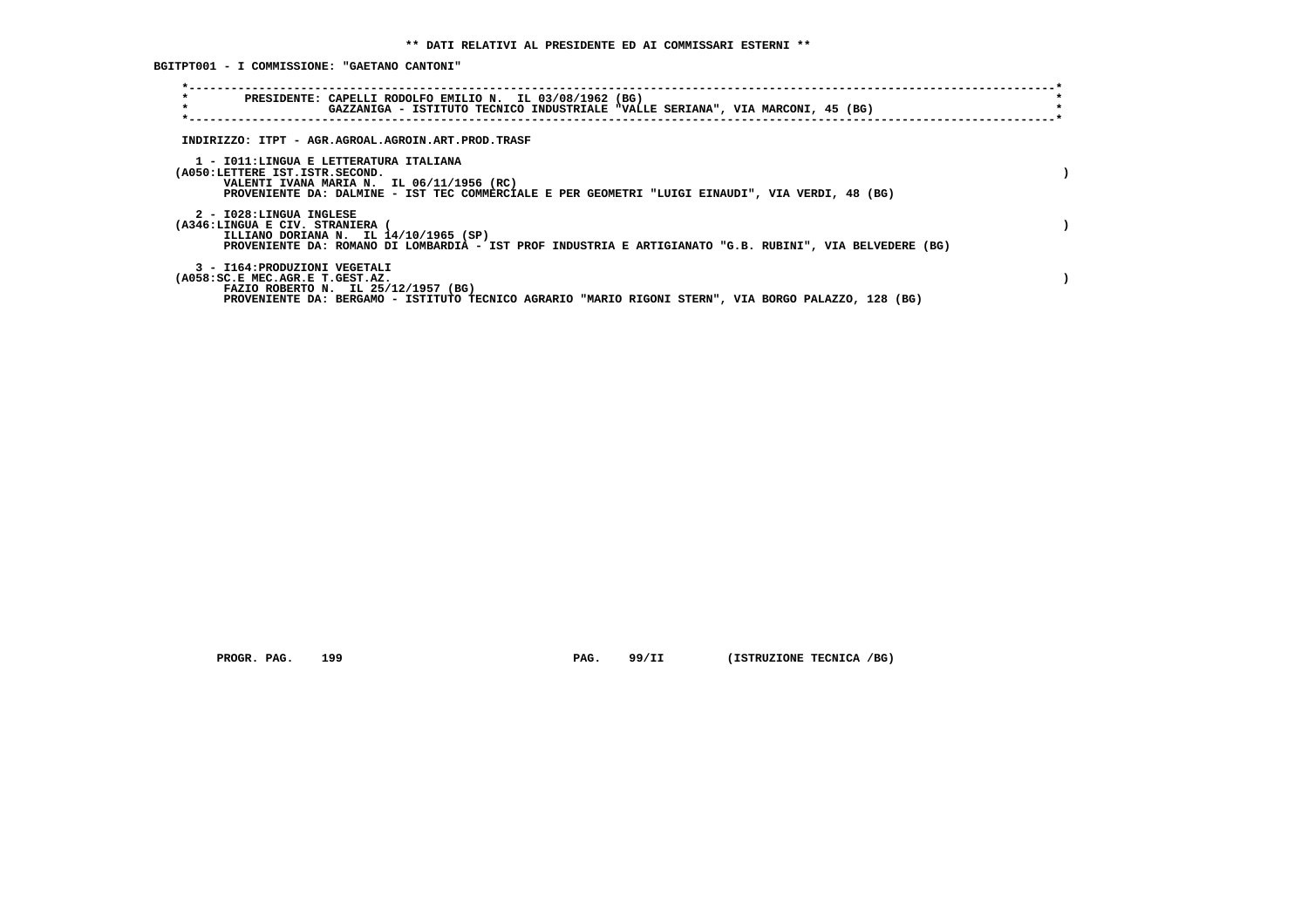**BGITPT001 - I COMMISSIONE: "GAETANO CANTONI"**

| $\star$<br>$\star$                                               | PRESIDENTE: CAPELLI RODOLFO EMILIO N. IL 03/08/1962 (BG)<br>GAZZANIGA - ISTITUTO TECNICO INDUSTRIALE "VALLE SERIANA", VIA MARCONI, 45 (BG)                                              |  |
|------------------------------------------------------------------|-----------------------------------------------------------------------------------------------------------------------------------------------------------------------------------------|--|
|                                                                  | INDIRIZZO: ITPT - AGR.AGROAL.AGROIN.ART.PROD.TRASF                                                                                                                                      |  |
| (A050:LETTERE IST.ISTR.SECOND.                                   | 1 - IO11:LINGUA E LETTERATURA ITALIANA<br>VALENTI IVANA MARIA N. IL 06/11/1956 (RC)<br>PROVENIENTE DA: DALMINE - IST TEC COMMERCIALE E PER GEOMETRI "LUIGI EINAUDI", VIA VERDI, 48 (BG) |  |
| 2 - I028:LINGUA INGLESE<br>(A346:LINGUA E CIV. STRANIERA         | ILLIANO DORIANA N. IL 14/10/1965 (SP)<br>PROVENIENTE DA: ROMANO DI LOMBARDIA - IST PROF INDUSTRIA E ARTIGIANATO "G.B. RUBINI", VIA BELVEDERE (BG)                                       |  |
| 3 - I164: PRODUZIONI VEGETALI<br>(A058:SC.E MEC.AGR.E T.GEST.AZ. | FAZIO ROBERTO N. IL 25/12/1957 (BG)<br>PROVENIENTE DA: BERGAMO - ISTITUTO TECNICO AGRARIO "MARIO RIGONI STERN", VIA BORGO PALAZZO, 128 (BG)                                             |  |

 **PROGR. PAG.** 199 **PAG.** 99/II (ISTRUZIONE TECNICA /BG)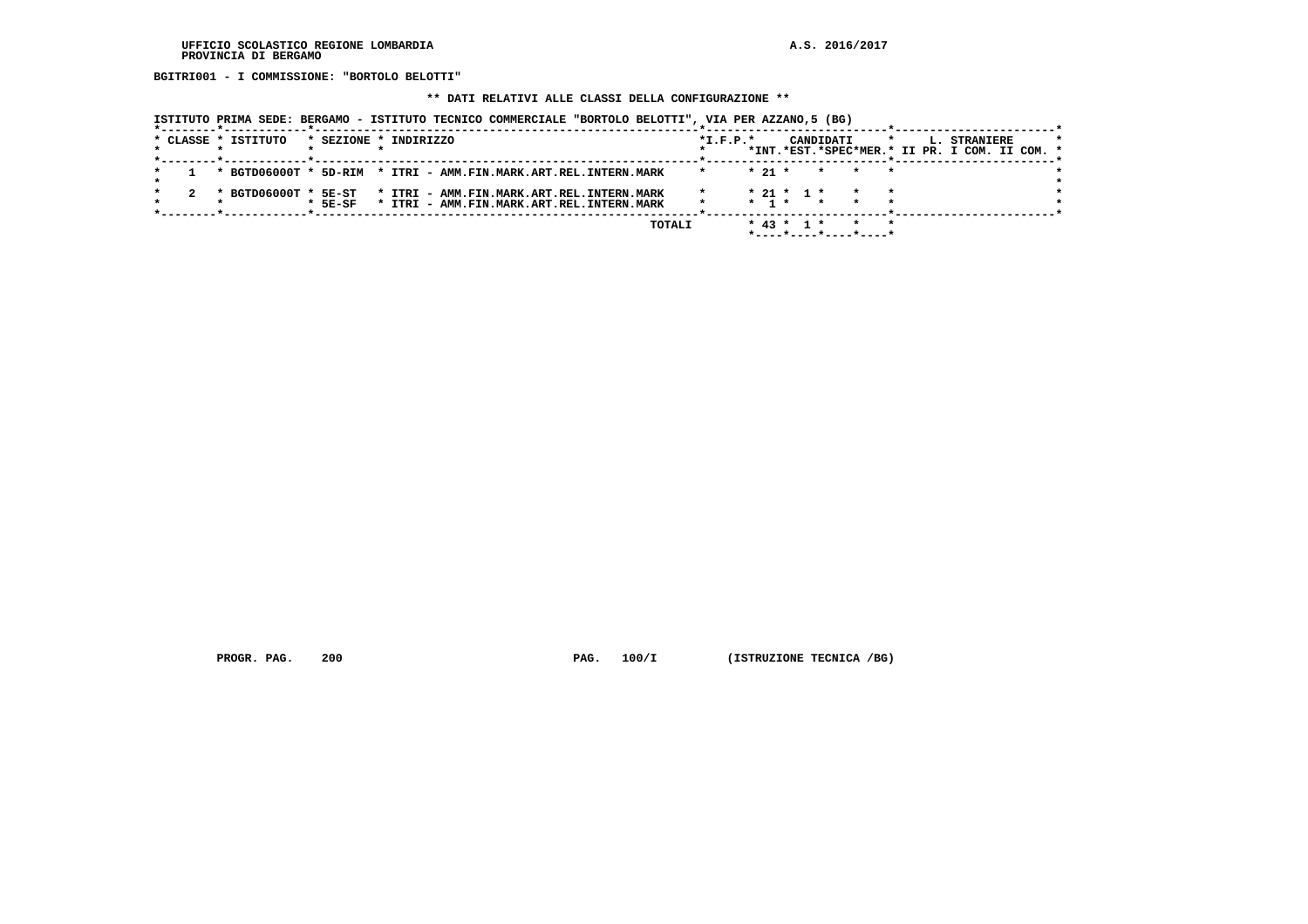**BGITRI001 - I COMMISSIONE: "BORTOLO BELOTTI"**

#### **\*\* DATI RELATIVI ALLE CLASSI DELLA CONFIGURAZIONE \*\***

 **ISTITUTO PRIMA SEDE: BERGAMO - ISTITUTO TECNICO COMMERCIALE "BORTOLO BELOTTI", VIA PER AZZANO,5 (BG)**

|  | * CLASSE * ISTITUTO                                             |           | * SEZIONE * INDIRIZZO                                                                  |  |        | $*I.F.P.*$ |          |                                           | CANDIDATI | *INT.*EST.*SPEC*MER.* II PR. I COM. II COM. * |  | L. STRANIERE |  |  |
|--|-----------------------------------------------------------------|-----------|----------------------------------------------------------------------------------------|--|--------|------------|----------|-------------------------------------------|-----------|-----------------------------------------------|--|--------------|--|--|
|  | * BGTD06000T * 5D-RIM * ITRI - AMM.FIN.MARK.ART.REL.INTERN.MARK |           |                                                                                        |  |        |            | $* 21 *$ |                                           | $\star$   |                                               |  |              |  |  |
|  | * BGTD06000T * 5E-ST                                            | $*$ 5E-SF | * ITRI - AMM.FIN.MARK.ART.REL.INTERN.MARK<br>* ITRI - AMM.FIN.MARK.ART.REL.INTERN.MARK |  |        |            |          | $* 21 * 1 *$<br>$\star$ 1 $\star$ $\star$ |           |                                               |  |              |  |  |
|  |                                                                 |           |                                                                                        |  | TOTALI |            |          | $*$ 43 $*$ 1 $*$                          |           | *----*----*----*----*                         |  |              |  |  |

 **PROGR. PAG.** 200 **PAG. 100/I** (ISTRUZIONE TECNICA /BG)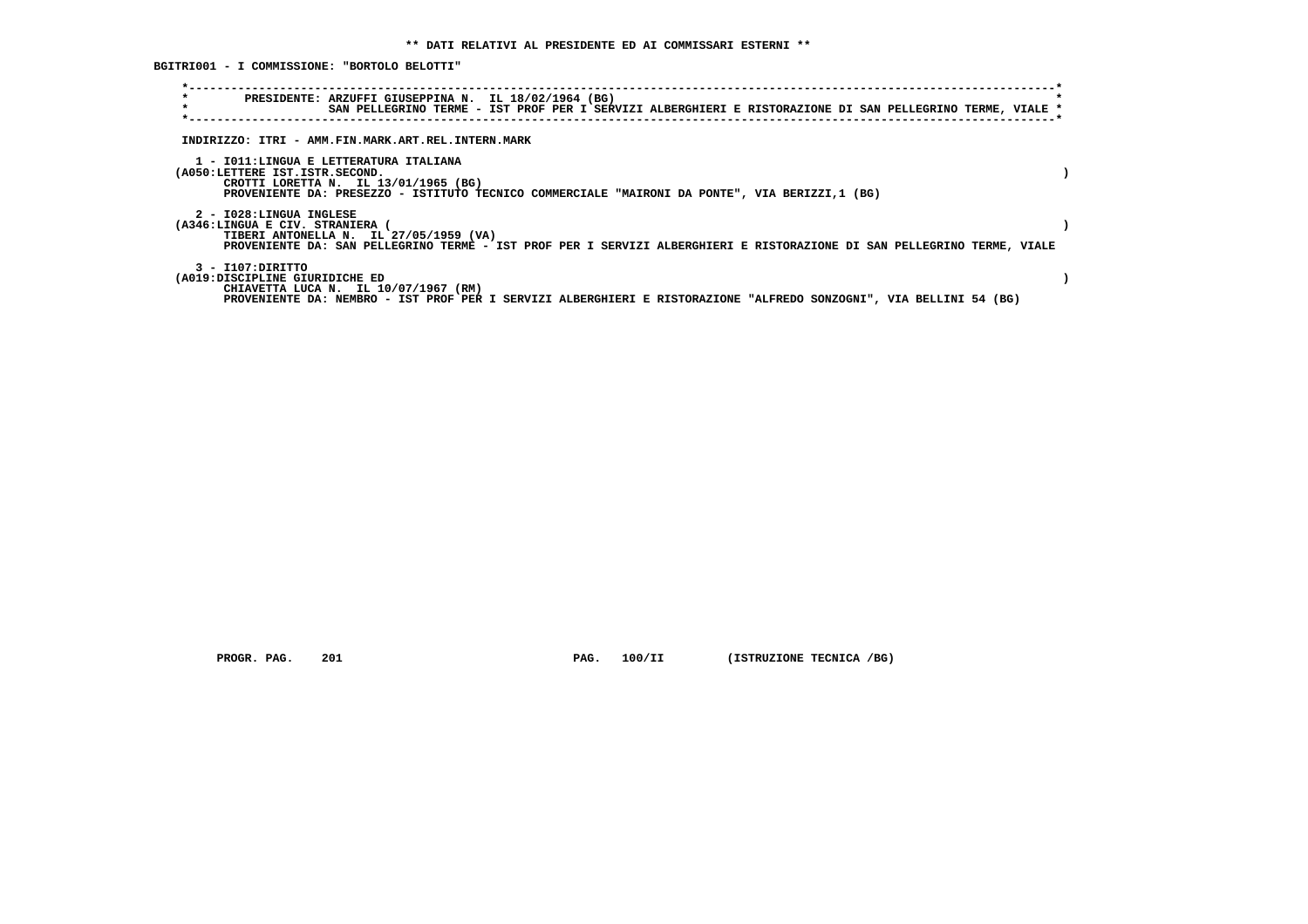**BGITRI001 - I COMMISSIONE: "BORTOLO BELOTTI"**

| $\star$<br>$\star$ | PRESIDENTE: ARZUFFI GIUSEPPINA N. IL 18/02/1964 (BG)<br>SAN PELLEGRINO TERME - IST PROF PER I SERVIZI ALBERGHIERI E RISTORAZIONE DI SAN PELLEGRINO TERME, VIALE *                                                             |  |
|--------------------|-------------------------------------------------------------------------------------------------------------------------------------------------------------------------------------------------------------------------------|--|
|                    | INDIRIZZO: ITRI - AMM.FIN.MARK.ART.REL.INTERN.MARK                                                                                                                                                                            |  |
|                    | 1 - IO11:LINGUA E LETTERATURA ITALIANA<br>(A050:LETTERE IST.ISTR.SECOND.<br>CROTTI LORETTA N. IL 13/01/1965 (BG)<br>PROVENIENTE DA: PRESEZZO - ISTITUTO TECNICO COMMERCIALE "MAIRONI DA PONTE", VIA BERIZZI,1 (BG)            |  |
|                    | 2 - I028:LINGUA INGLESE<br>(A346:LINGUA E CIV. STRANIERA<br>TIBERI ANTONELLA N. IL 27/05/1959 (VA)<br>PROVENIENTE DA: SAN PELLEGRINO TERME - IST PROF PER I SERVIZI ALBERGHIERI E RISTORAZIONE DI SAN PELLEGRINO TERME, VIALE |  |
|                    | 3 - I107: DIRITTO<br>(A019:DISCIPLINE GIURIDICHE ED<br>CHIAVETTA LUCA N. IL 10/07/1967 (RM)<br>PROVENIENTE DA: NEMBRO - IST PROF PER I SERVIZI ALBERGHIERI E RISTORAZIONE "ALFREDO SONZOGNI", VIA BELLINI 54 (BG)             |  |

 **PROGR. PAG.** 201 **PAG.** 100/II (ISTRUZIONE TECNICA /BG)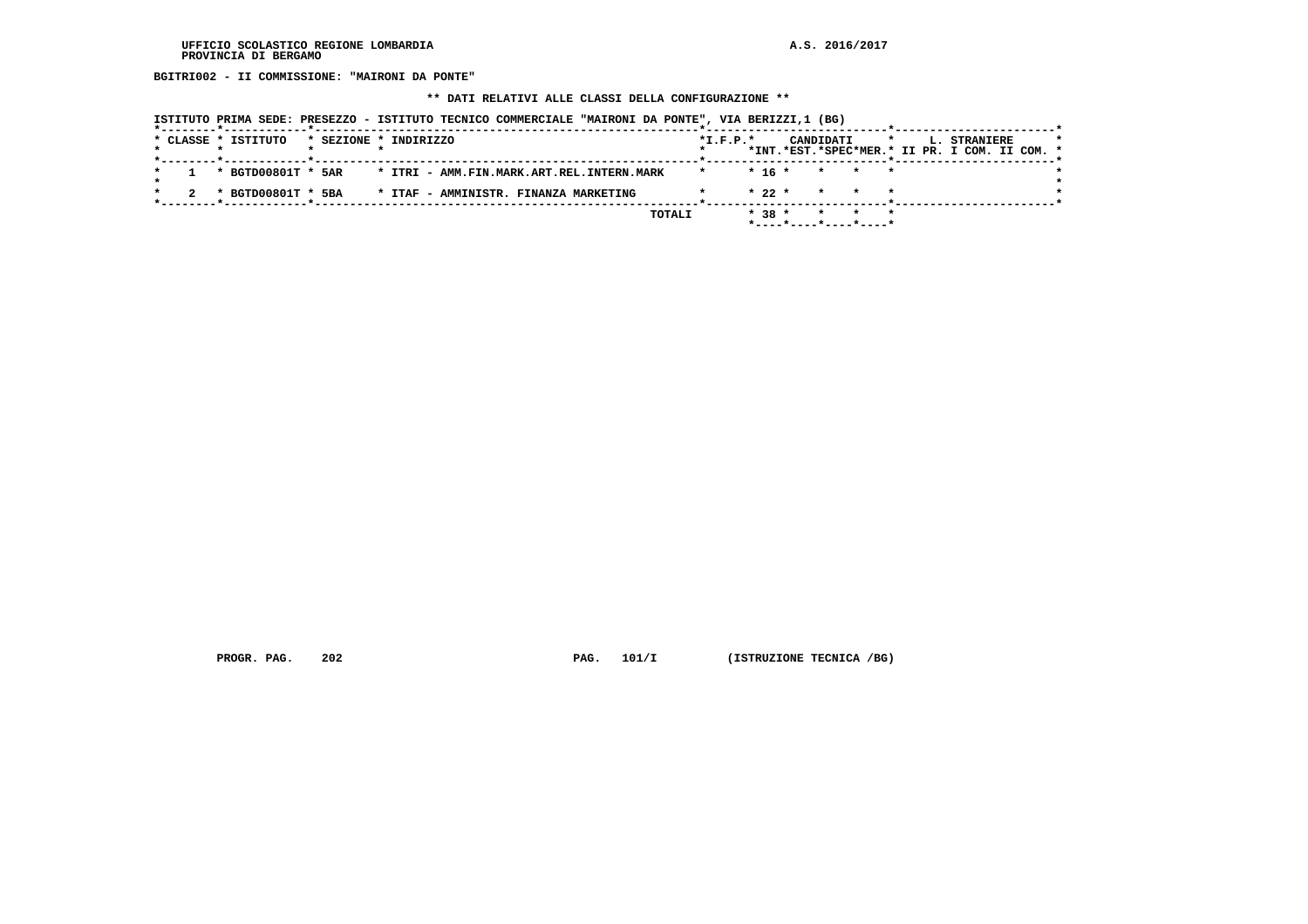**BGITRI002 - II COMMISSIONE: "MAIRONI DA PONTE"**

 **\*\* DATI RELATIVI ALLE CLASSI DELLA CONFIGURAZIONE \*\***

|  |  |                     |                       |  | ISTITUTO PRIMA SEDE: PRESEZZO - ISTITUTO TECNICO COMMERCIALE "MAIRONI DA PONTE", VIA BERIZZI,1 (BG) |        |            |          |           |         |                                               |         |              |  |  |
|--|--|---------------------|-----------------------|--|-----------------------------------------------------------------------------------------------------|--------|------------|----------|-----------|---------|-----------------------------------------------|---------|--------------|--|--|
|  |  | * CLASSE * ISTITUTO | * SEZIONE * INDIRIZZO |  |                                                                                                     |        | $*L.F.P.*$ |          | CANDIDATI |         | *INT.*EST.*SPEC*MER.* II PR. I COM. II COM. * | $\star$ | L. STRANIERE |  |  |
|  |  |                     |                       |  | * BGTD00801T * 5AR * ITRI - AMM.FIN.MARK.ART.REL.INTERN.MARK                                        |        | $\star$    | $* 16 *$ |           | $\star$ | * *                                           |         |              |  |  |
|  |  | * BGTD00801T * 5BA  |                       |  | * ITAF - AMMINISTR. FINANZA MARKETING                                                               |        |            | $* 22 *$ |           | $\star$ |                                               |         |              |  |  |
|  |  |                     |                       |  |                                                                                                     | TOTALI |            | $* 38 *$ |           |         | $\star$<br>*----*----*----*----*              |         |              |  |  |

 **PROGR. PAG.** 202 **PAG. 101/I** (ISTRUZIONE TECNICA /BG)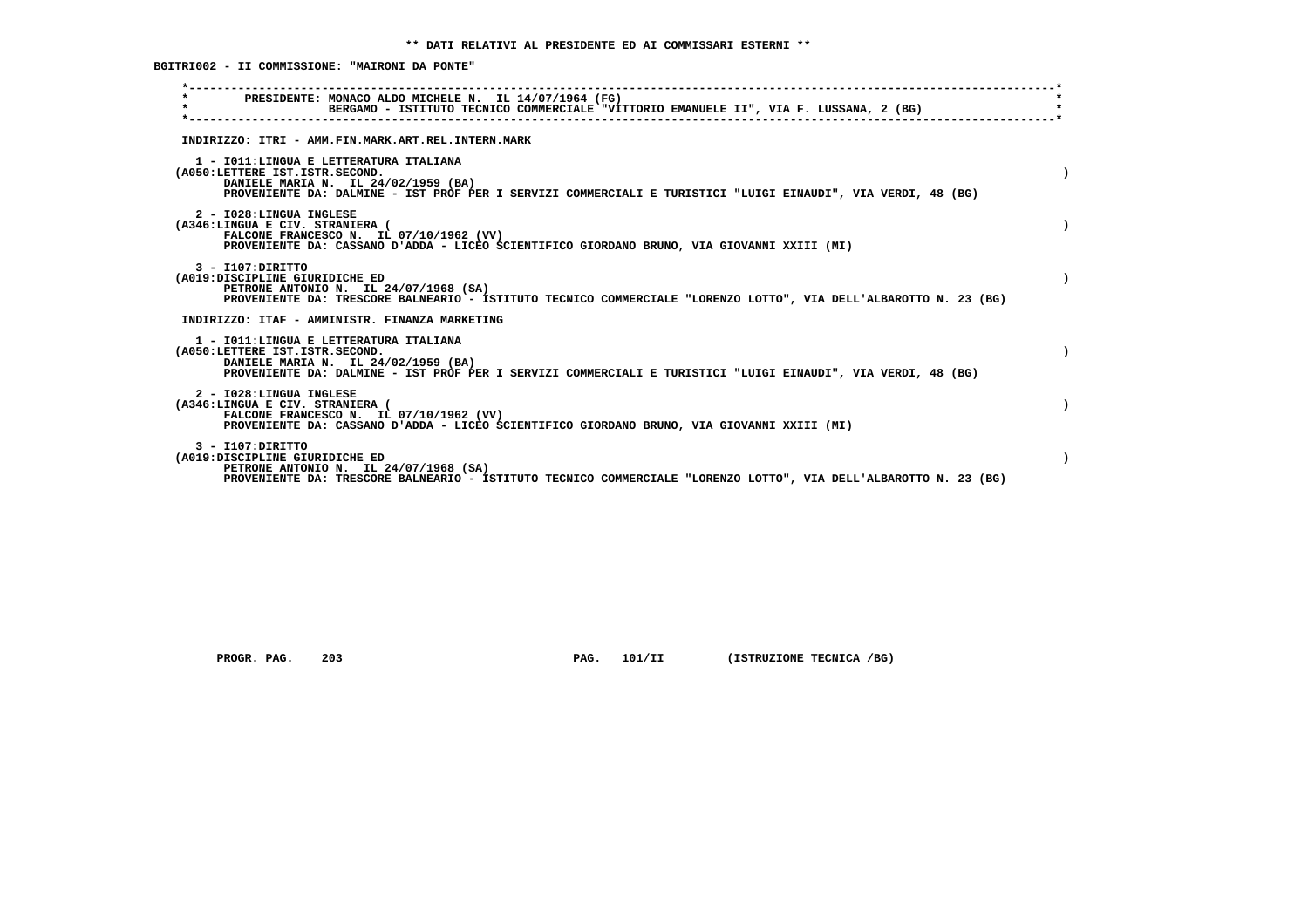**BGITRI002 - II COMMISSIONE: "MAIRONI DA PONTE"**

| PRESIDENTE: MONACO ALDO MICHELE N. IL 14/07/1964 (FG)<br>BERGAMO - ISTITUTO TECNICO COMMERCIALE "VITTORIO EMANUELE II", VIA F. LUSSANA, 2 (BG)                                                                                   |
|----------------------------------------------------------------------------------------------------------------------------------------------------------------------------------------------------------------------------------|
| INDIRIZZO: ITRI - AMM.FIN.MARK.ART.REL.INTERN.MARK                                                                                                                                                                               |
| 1 - IO11: LINGUA E LETTERATURA ITALIANA<br>(A050:LETTERE IST.ISTR.SECOND.<br>DANIELE MARIA N. IL 24/02/1959 (BA)<br>PROVENIENTE DA: DALMINE - IST PROF PER I SERVIZI COMMERCIALI E TURISTICI "LUIGI EINAUDI", VIA VERDI, 48 (BG) |
| 2 - I028:LINGUA INGLESE<br>(A346:LINGUA E CIV. STRANIERA (<br>FALCONE FRANCESCO N. IL 07/10/1962 (VV)<br>PROVENIENTE DA: CASSANO D'ADDA - LICEO SCIENTIFICO GIORDANO BRUNO, VIA GIOVANNI XXIII (MI)                              |
| $3 - I107:$ DIRITTO<br>(A019:DISCIPLINE GIURIDICHE ED<br>PETRONE ANTONIO N. IL 24/07/1968 (SA)<br>PROVENIENTE DA: TRESCORE BALNEARIO - ISTITUTO TECNICO COMMERCIALE "LORENZO LOTTO", VIA DELL'ALBAROTTO N. 23 (BG)               |
| INDIRIZZO: ITAF - AMMINISTR. FINANZA MARKETING                                                                                                                                                                                   |
| 1 - IO11: LINGUA E LETTERATURA ITALIANA<br>(A050:LETTERE IST.ISTR.SECOND.<br>DANIELE MARIA N. IL 24/02/1959 (BA)<br>PROVENIENTE DA: DALMINE - IST PROF PER I SERVIZI COMMERCIALI E TURISTICI "LUIGI EINAUDI", VIA VERDI, 48 (BG) |
| 2 - I028:LINGUA INGLESE<br>(A346:LINGUA E CIV. STRANIERA (<br>FALCONE FRANCESCO N. IL 07/10/1962 (VV)<br>PROVENIENTE DA: CASSANO D'ADDA - LICEO SCIENTIFICO GIORDANO BRUNO, VIA GIOVANNI XXIII (MI)                              |
| $3 - I107:$ DIRITTO<br>(A019:DISCIPLINE GIURIDICHE ED<br>PETRONE ANTONIO N. IL 24/07/1968 (SA)<br>PROVENIENTE DA: TRESCORE BALNEARIO - ISTITUTO TECNICO COMMERCIALE "LORENZO LOTTO", VIA DELL'ALBAROTTO N. 23 (BG)               |

 **PROGR. PAG.** 203 **PAG.** 101/II (ISTRUZIONE TECNICA /BG)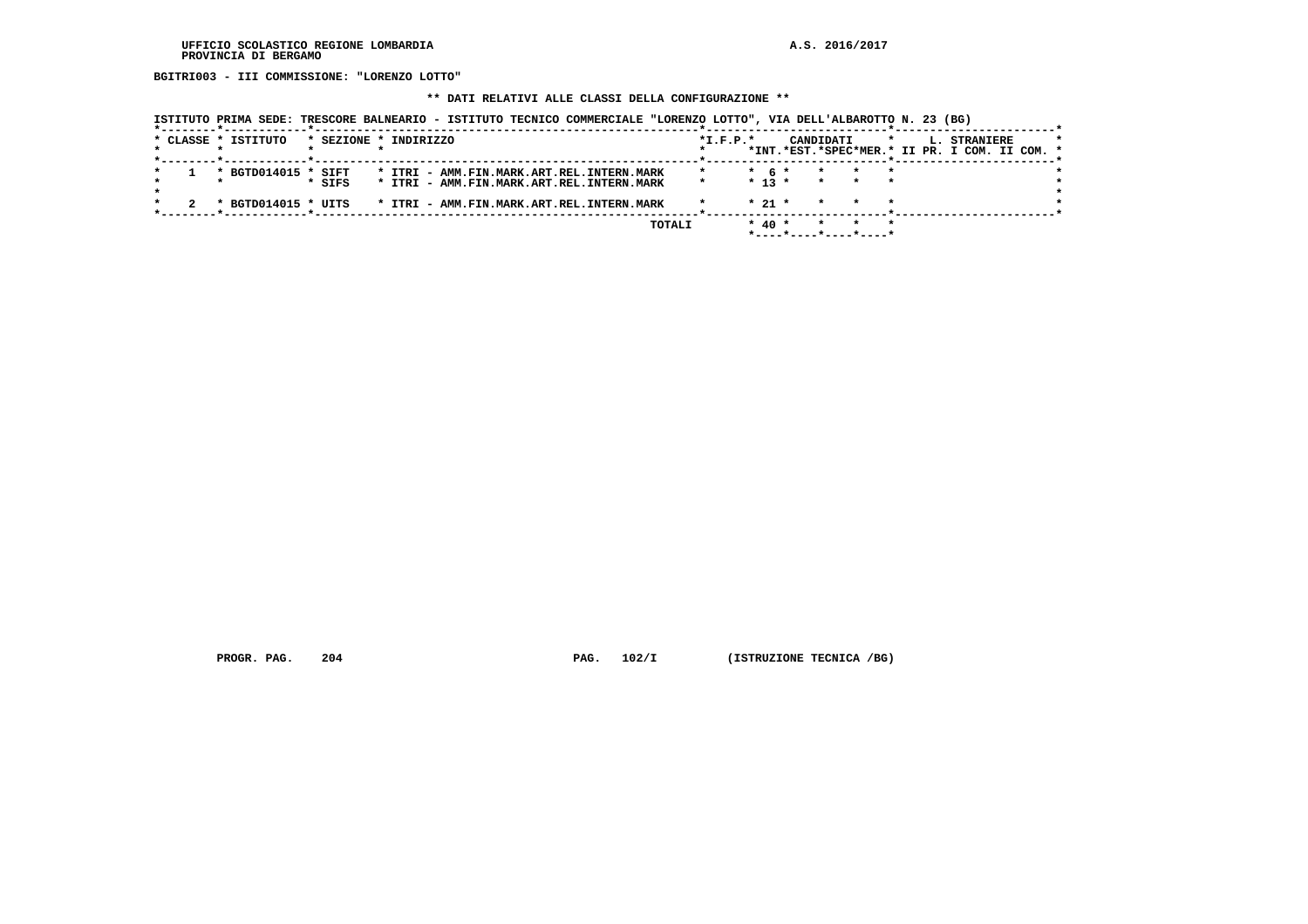**BGITRI003 - III COMMISSIONE: "LORENZO LOTTO"**

#### **\*\* DATI RELATIVI ALLE CLASSI DELLA CONFIGURAZIONE \*\***

 **ISTITUTO PRIMA SEDE: TRESCORE BALNEARIO - ISTITUTO TECNICO COMMERCIALE "LORENZO LOTTO", VIA DELL'ALBAROTTO N. 23 (BG)**

|  | * CLASSE * ISTITUTO | * SEZIONE * INDIRIZZO |  |                                           |  |        | $*L.F.P.*$ |            | CANDIDATI |         |  | L. STRANIERE                                  |  |  |
|--|---------------------|-----------------------|--|-------------------------------------------|--|--------|------------|------------|-----------|---------|--|-----------------------------------------------|--|--|
|  |                     |                       |  |                                           |  |        |            |            |           |         |  | *INT.*EST.*SPEC*MER.* II PR. I COM. II COM. * |  |  |
|  | * BGTD014015 * SIFT |                       |  | * ITRI - AMM.FIN.MARK.ART.REL.INTERN.MARK |  |        |            | $*$ 6 $*$  |           |         |  |                                               |  |  |
|  |                     | * SIFS                |  | * ITRI - AMM.FIN.MARK.ART.REL.INTERN.MARK |  |        | $\star$    | $* 13 *$   | $\star$   | $\star$ |  |                                               |  |  |
|  | * BGTD014015 * UITS |                       |  | * ITRI - AMM.FIN.MARK.ART.REL.INTERN.MARK |  |        |            | $* 21 *$   |           |         |  |                                               |  |  |
|  |                     |                       |  |                                           |  |        |            |            |           |         |  |                                               |  |  |
|  |                     |                       |  |                                           |  | TOTALI |            | $*$ 40 $*$ |           |         |  |                                               |  |  |
|  |                     |                       |  |                                           |  |        |            |            |           |         |  |                                               |  |  |

 **PROGR. PAG.** 204 **PAG.** 102/I (ISTRUZIONE TECNICA /BG)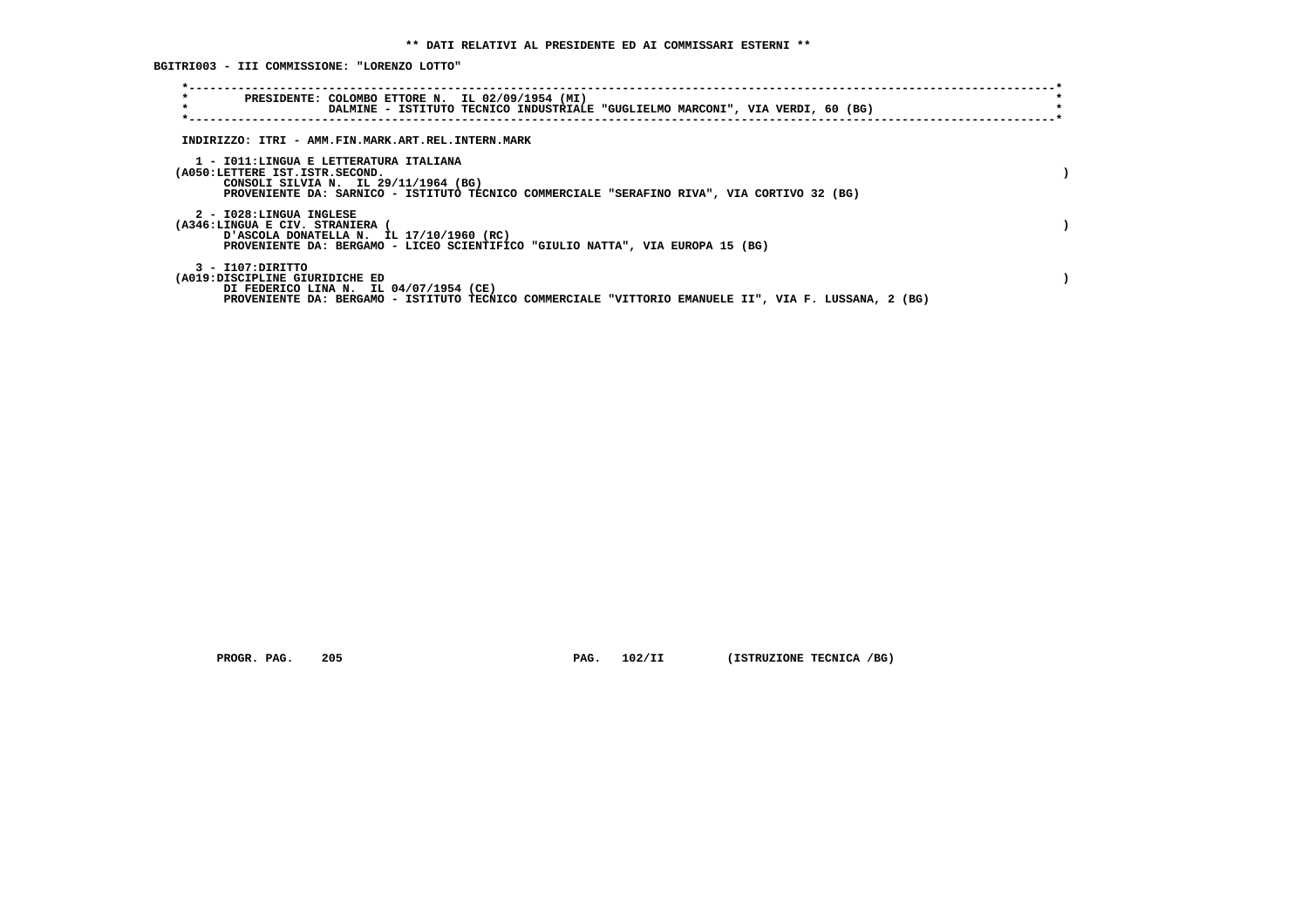**BGITRI003 - III COMMISSIONE: "LORENZO LOTTO"**

| $\star$<br>PRESIDENTE: COLOMBO ETTORE N. IL 02/09/1954 (MI)<br>$\star$<br>DALMINE - ISTITUTO TECNICO INDUSTRIALE "GUGLIELMO MARCONI", VIA VERDI, 60 (BG)                                                        |  |
|-----------------------------------------------------------------------------------------------------------------------------------------------------------------------------------------------------------------|--|
| INDIRIZZO: ITRI - AMM.FIN.MARK.ART.REL.INTERN.MARK                                                                                                                                                              |  |
| 1 - IO11:LINGUA E LETTERATURA ITALIANA<br>(A050:LETTERE IST.ISTR.SECOND.<br>CONSOLI SILVIA N. IL 29/11/1964 (BG)<br>PROVENIENTE DA: SARNICO - ISTITUTO TECNICO COMMERCIALE "SERAFINO RIVA", VIA CORTIVO 32 (BG) |  |
| 2 - I028:LINGUA INGLESE<br>(A346:LINGUA E CIV. STRANIERA<br>D'ASCOLA DONATELLA N. IL 17/10/1960 (RC)<br>PROVENIENTE DA: BERGAMO - LICEO SCIENTIFICO "GIULIO NATTA", VIA EUROPA 15 (BG)                          |  |
| 3 - I107:DIRITTO<br>(A019:DISCIPLINE GIURIDICHE ED<br>DI FEDERICO LINA N. IL 04/07/1954 (CE)<br>PROVENIENTE DA: BERGAMO - ISTITUTO TECNICO COMMERCIALE "VITTORIO EMANUELE II", VIA F. LUSSANA, 2 (BG)           |  |

 **PROGR. PAG.** 205 **PAG. 102/II (ISTRUZIONE TECNICA /BG)**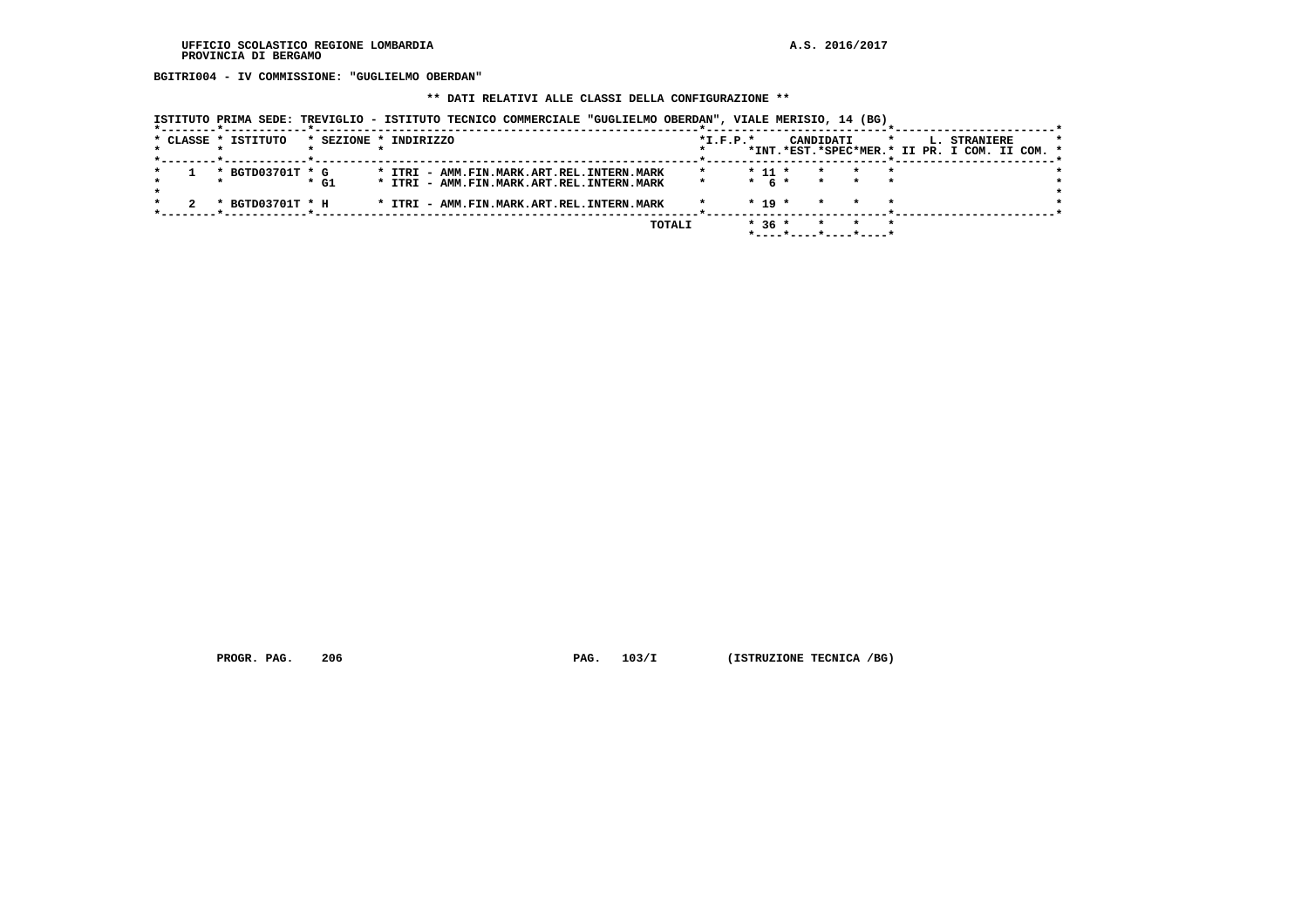**BGITRI004 - IV COMMISSIONE: "GUGLIELMO OBERDAN"**

#### **\*\* DATI RELATIVI ALLE CLASSI DELLA CONFIGURAZIONE \*\***

| ISTITUTO PRIMA SEDE: TREVIGLIO - ISTITUTO TECNICO COMMERCIALE "GUGLIELMO OBERDAN", VIALE MERISIO, 14 (BG) |  |  |  |  |  |
|-----------------------------------------------------------------------------------------------------------|--|--|--|--|--|
|                                                                                                           |  |  |  |  |  |

|  | * CLASSE * ISTITUTO |        | * SEZIONE * INDIRIZZO                     | $*$ I.F.P. $*$ |            |                       | CANDIDATI |  | L., | <b>STRANIERE</b>                              |  |  |
|--|---------------------|--------|-------------------------------------------|----------------|------------|-----------------------|-----------|--|-----|-----------------------------------------------|--|--|
|  |                     |        |                                           |                |            |                       |           |  |     | *INT.*EST.*SPEC*MER.* II PR. I COM. II COM. * |  |  |
|  | * BGTD03701T * G    |        | * ITRI - AMM.FIN.MARK.ART.REL.INTERN.MARK |                | $*$ 11 $*$ |                       | $\star$   |  |     |                                               |  |  |
|  |                     | $*$ G1 | * ITRI - AMM.FIN.MARK.ART.REL.INTERN.MARK |                | $*$ 6 $*$  |                       | $\star$   |  |     |                                               |  |  |
|  | * BGTD03701T * H    |        | * ITRI - AMM.FIN.MARK.ART.REL.INTERN.MARK |                | $*$ 19 $*$ |                       |           |  |     |                                               |  |  |
|  |                     |        | TOTALI                                    |                | $*36*$     | *----*----*----*----* |           |  |     |                                               |  |  |
|  |                     |        |                                           |                |            |                       |           |  |     |                                               |  |  |

 **PROGR. PAG.** 206 **PAG. 103/I** (ISTRUZIONE TECNICA /BG)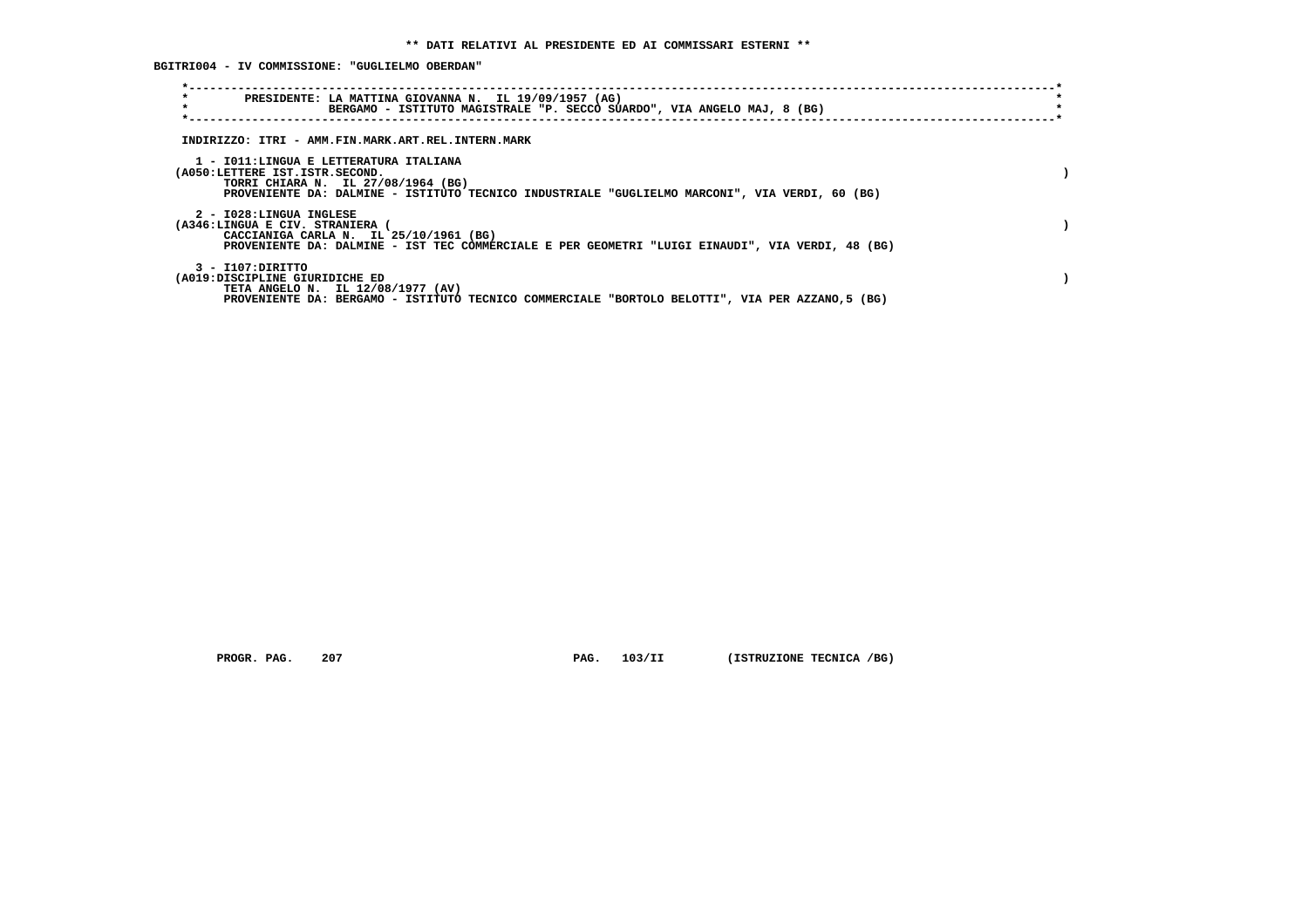**BGITRI004 - IV COMMISSIONE: "GUGLIELMO OBERDAN"**

| $\star$<br>PRESIDENTE: LA MATTINA GIOVANNA N. IL 19/09/1957 (AG)<br>$\star$<br>BERGAMO - ISTITUTO MAGISTRALE "P. SECCO SUARDO", VIA ANGELO MAJ, 8 (BG)                                                           |  |
|------------------------------------------------------------------------------------------------------------------------------------------------------------------------------------------------------------------|--|
| INDIRIZZO: ITRI - AMM.FIN.MARK.ART.REL.INTERN.MARK                                                                                                                                                               |  |
| 1 - IO11:LINGUA E LETTERATURA ITALIANA<br>(A050:LETTERE IST.ISTR.SECOND.<br>TORRI CHIARA N. IL 27/08/1964 (BG)<br>PROVENIENTE DA: DALMINE - ISTITUTO TECNICO INDUSTRIALE "GUGLIELMO MARCONI", VIA VERDI, 60 (BG) |  |
| 2 - I028:LINGUA INGLESE<br>(A346:LINGUA E CIV. STRANIERA<br>CACCIANIGA CARLA N. IL 25/10/1961 (BG)<br>PROVENIENTE DA: DALMINE - IST TEC COMMERCIALE E PER GEOMETRI "LUIGI EINAUDI", VIA VERDI, 48 (BG)           |  |
| 3 - I107:DIRITTO<br>(A019:DISCIPLINE GIURIDICHE ED<br>TETA ANGELO N. IL 12/08/1977 (AV)<br>PROVENIENTE DA: BERGAMO - ISTITUTO TECNICO COMMERCIALE "BORTOLO BELOTTI", VIA PER AZZANO,5 (BG)                       |  |

 **PROGR. PAG.** 207 **PAG.** 103/II (ISTRUZIONE TECNICA /BG)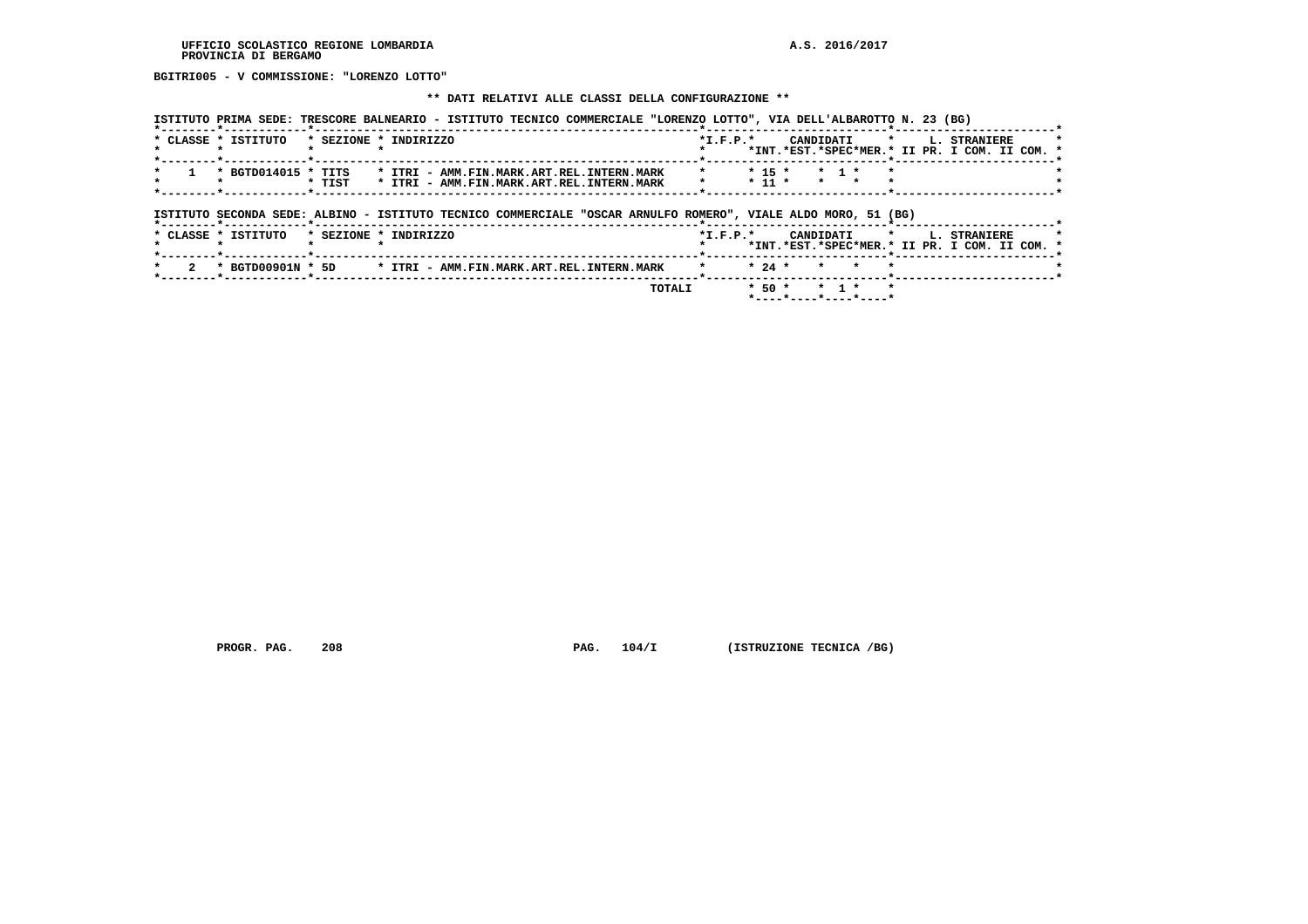**BGITRI005 - V COMMISSIONE: "LORENZO LOTTO"**

#### **\*\* DATI RELATIVI ALLE CLASSI DELLA CONFIGURAZIONE \*\***

| * CLASSE * ISTITUTO                                                                                           | * SEZIONE * INDIRIZZO |  |                                           |  | $*L.F.P.*$ |            |                   | CANDIDATI | $\star$ | L. STRANIERE                                                         |  |
|---------------------------------------------------------------------------------------------------------------|-----------------------|--|-------------------------------------------|--|------------|------------|-------------------|-----------|---------|----------------------------------------------------------------------|--|
|                                                                                                               |                       |  |                                           |  |            |            |                   |           |         | *INT.*EST.*SPEC*MER.* II PR. I COM. II COM. *                        |  |
| * BGTD014015 * TITS                                                                                           |                       |  | * ITRI - AMM.FIN.MARK.ART.REL.INTERN.MARK |  | $\star$    | $*$ 15 $*$ | $\star$ 1 $\star$ |           |         |                                                                      |  |
|                                                                                                               | * TIST                |  | * ITRI - AMM.FIN.MARK.ART.REL.INTERN.MARK |  |            | $*$ 11 $*$ | $\star$ $\star$   |           |         |                                                                      |  |
|                                                                                                               |                       |  |                                           |  |            |            |                   |           |         |                                                                      |  |
| ISTITUTO SECONDA SEDE: ALBINO - ISTITUTO TECNICO COMMERCIALE "OSCAR ARNULFO ROMERO", VIALE ALDO MORO, 51 (BG) |                       |  |                                           |  |            |            |                   |           |         |                                                                      |  |
| * CLASSE * ISTITUTO                                                                                           | * SEZIONE * INDIRIZZO |  |                                           |  | $*L.F.P.*$ |            | CANDIDATI         |           | $\star$ | <b>L. STRANIERE</b><br>*INT.*EST.*SPEC*MER.* II PR. I COM. II COM. * |  |
| * BGTD00901N * 5D                                                                                             |                       |  | * ITRI - AMM.FIN.MARK.ART.REL.INTERN.MARK |  |            | $* 24 *$   | $\star$           | $\star$   |         |                                                                      |  |

 **PROGR. PAG.** 208 **PAG. 104/I (ISTRUZIONE TECNICA /BG)**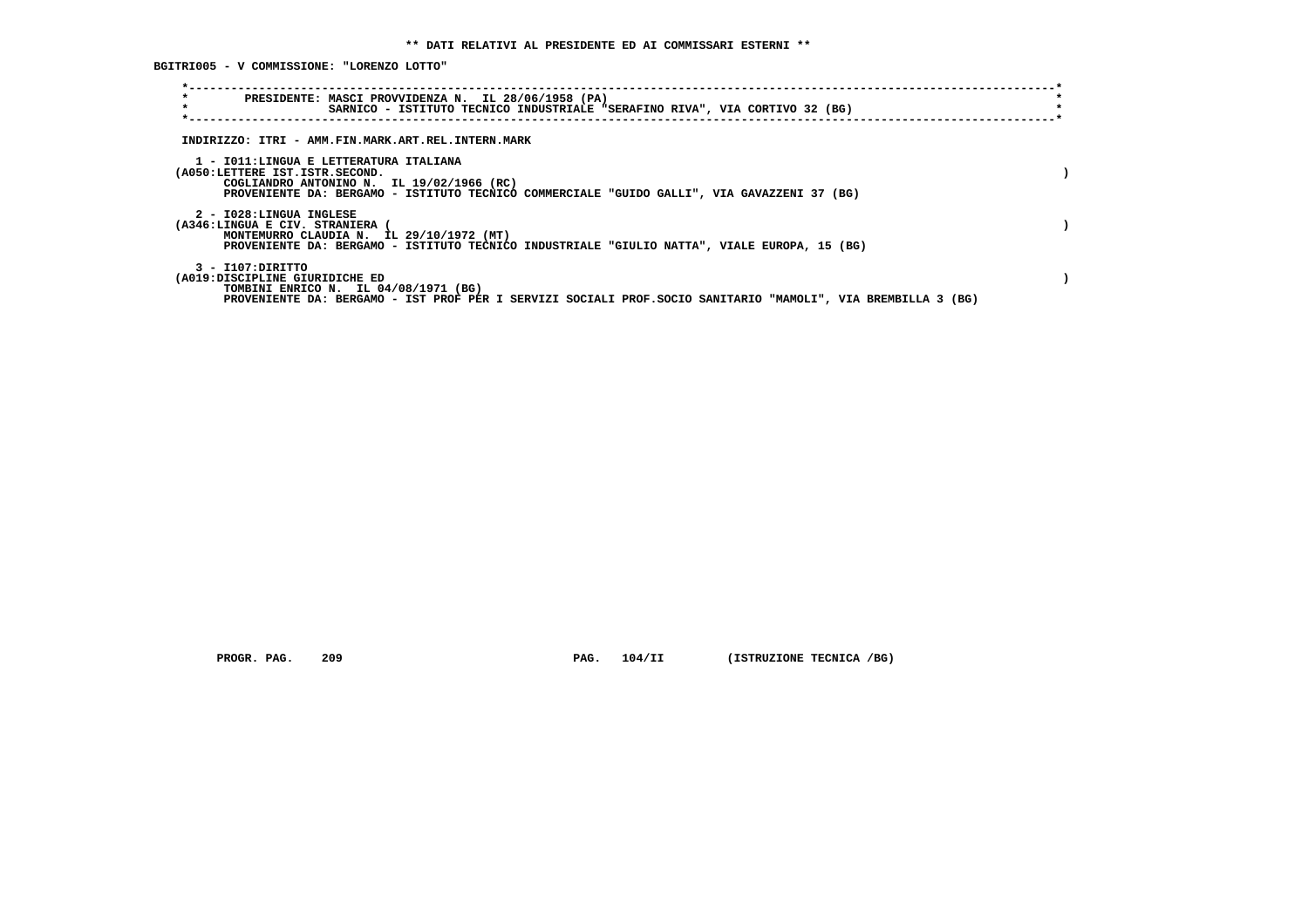**BGITRI005 - V COMMISSIONE: "LORENZO LOTTO"**

| PRESIDENTE: MASCI PROVVIDENZA N. IL 28/06/1958 (PA)<br>SARNICO - ISTITUTO TECNICO INDUSTRIALE "SERAFINO RIVA", VIA CORTIVO 32 (BG)                                                                                   |  |
|----------------------------------------------------------------------------------------------------------------------------------------------------------------------------------------------------------------------|--|
| INDIRIZZO: ITRI - AMM.FIN.MARK.ART.REL.INTERN.MARK                                                                                                                                                                   |  |
| 1 - IO11:LINGUA E LETTERATURA ITALIANA<br>(A050:LETTERE IST.ISTR.SECOND.<br>COGLIANDRO ANTONINO N. IL 19/02/1966 (RC)<br>PROVENIENTE DA: BERGAMO - ISTITUTO TECNICO COMMERCIALE "GUIDO GALLI", VIA GAVAZZENI 37 (BG) |  |
| 2 - I028:LINGUA INGLESE<br>(A346:LINGUA E CIV. STRANIERA<br>MONTEMURRO CLAUDIA N. IL 29/10/1972 (MT)<br>PROVENIENTE DA: BERGAMO - ISTITUTO TECNICO INDUSTRIALE "GIULIO NATTA", VIALE EUROPA, 15 (BG)                 |  |
| 3 - I107:DIRITTO<br>(A019:DISCIPLINE GIURIDICHE ED<br>TOMBINI ENRICO N. IL 04/08/1971 (BG)<br>PROVENIENTE DA: BERGAMO - IST PROF PER I SERVIZI SOCIALI PROF.SOCIO SANITARIO "MAMOLI", VIA BREMBILLA 3 (BG)           |  |

 **PROGR. PAG.** 209 **PAG.** 104/II (ISTRUZIONE TECNICA /BG)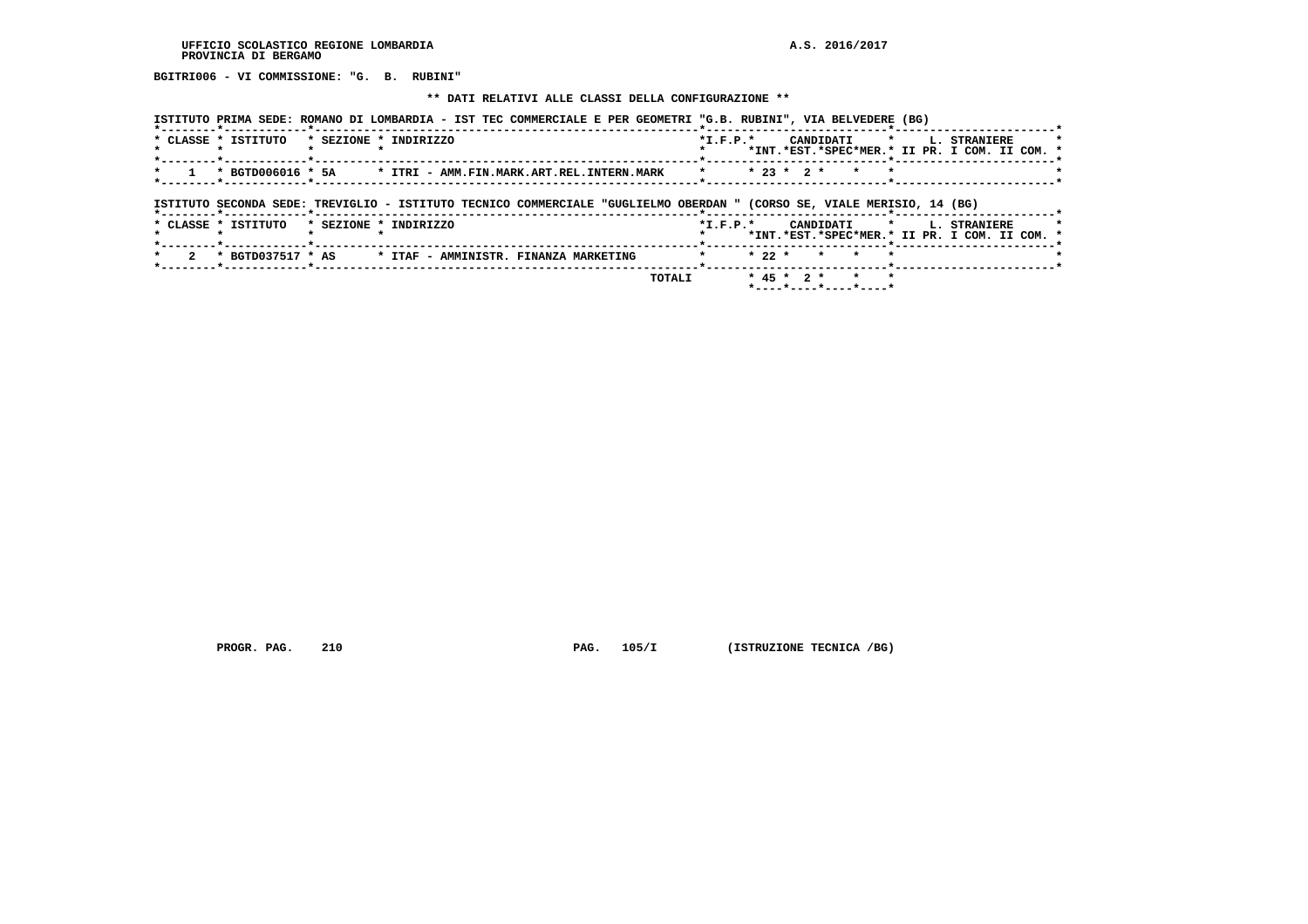**BGITRI006 - VI COMMISSIONE: "G. B. RUBINI"**

#### **\*\* DATI RELATIVI ALLE CLASSI DELLA CONFIGURAZIONE \*\***

| ISTITUTO PRIMA SEDE: ROMANO DI LOMBARDIA - IST TEC COMMERCIALE E PER GEOMETRI "G.B. RUBINI", VIA BELVEDERE (BG)        |                                                                                                                     |
|------------------------------------------------------------------------------------------------------------------------|---------------------------------------------------------------------------------------------------------------------|
| * CLASSE * ISTITUTO<br>* SEZIONE * INDIRIZZO                                                                           | $*$ I.F.P. $*$<br>CANDIDATI *<br>L. STRANIERE<br>*INT.*EST.*SPEC*MER.* II PR. I COM. II COM. *                      |
| * BGTD006016 * 5A * ITRI - AMM.FIN.MARK.ART.REL.INTERN.MARK                                                            | $* 23 * 2 *$<br>$\star$                                                                                             |
| ISTITUTO SECONDA SEDE: TREVIGLIO - ISTITUTO TECNICO COMMERCIALE "GUGLIELMO OBERDAN " (CORSO SE, VIALE MERISIO, 14 (BG) |                                                                                                                     |
| * CLASSE * ISTITUTO<br>* SEZIONE * INDIRIZZO                                                                           | $*$ I.F.P. $*$<br>$\star$ and $\star$<br>L. STRANIERE<br>CANDIDATI<br>*INT.*EST.*SPEC*MER.* II PR. I COM. II COM. * |
|                                                                                                                        | $* 22 *$<br>$\star$<br>$\star$                                                                                      |
| TOTALI                                                                                                                 | $* 45 * 2 *$                                                                                                        |

 **\*----\*----\*----\*----\***

 **PROGR. PAG.** 210 **PAG. 105/I (ISTRUZIONE TECNICA /BG)**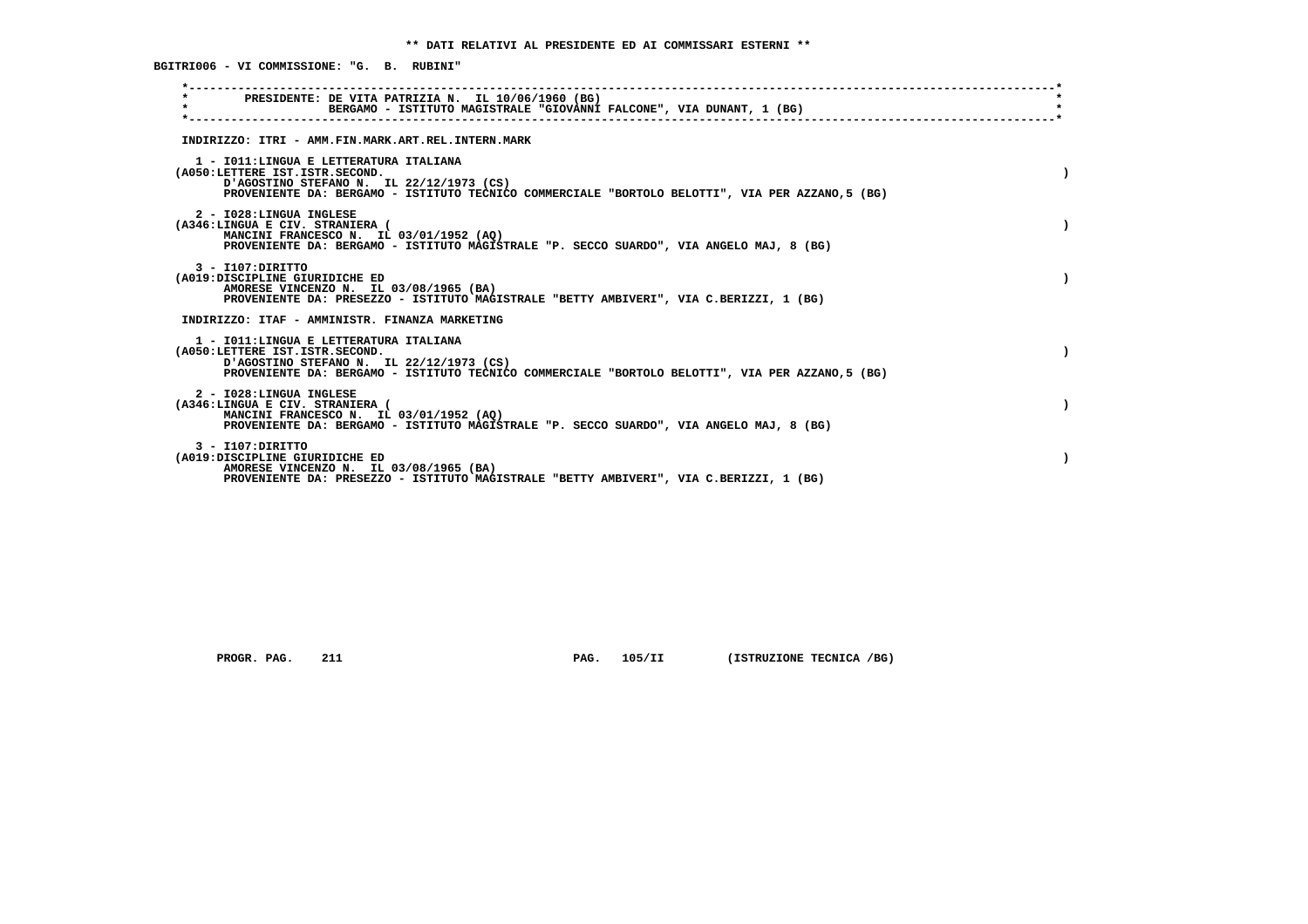**\*----------------------------------------------------------------------------------------------------------------------------\* \* PRESIDENTE: DE VITA PATRIZIA N. IL 10/06/1960 (BG) \* \* BERGAMO - ISTITUTO MAGISTRALE "GIOVANNI FALCONE", VIA DUNANT, 1 (BG) \* \*----------------------------------------------------------------------------------------------------------------------------\* INDIRIZZO: ITRI - AMM.FIN.MARK.ART.REL.INTERN.MARK 1 - I011:LINGUA E LETTERATURA ITALIANA (A050:LETTERE IST.ISTR.SECOND. ) D'AGOSTINO STEFANO N. IL 22/12/1973 (CS) PROVENIENTE DA: BERGAMO - ISTITUTO TECNICO COMMERCIALE "BORTOLO BELOTTI", VIA PER AZZANO,5 (BG) 2 - I028:LINGUA INGLESE (A346:LINGUA E CIV. STRANIERA ( ) MANCINI FRANCESCO N. IL 03/01/1952 (AQ) PROVENIENTE DA: BERGAMO - ISTITUTO MAGISTRALE "P. SECCO SUARDO", VIA ANGELO MAJ, 8 (BG) 3 - I107:DIRITTO (A019:DISCIPLINE GIURIDICHE ED ) AMORESE VINCENZO N. IL 03/08/1965 (BA) PROVENIENTE DA: PRESEZZO - ISTITUTO MAGISTRALE "BETTY AMBIVERI", VIA C.BERIZZI, 1 (BG) INDIRIZZO: ITAF - AMMINISTR. FINANZA MARKETING 1 - I011:LINGUA E LETTERATURA ITALIANA (A050:LETTERE IST.ISTR.SECOND. ) D'AGOSTINO STEFANO N. IL 22/12/1973 (CS) PROVENIENTE DA: BERGAMO - ISTITUTO TECNICO COMMERCIALE "BORTOLO BELOTTI", VIA PER AZZANO,5 (BG) 2 - I028:LINGUA INGLESE (A346:LINGUA E CIV. STRANIERA ( ) MANCINI FRANCESCO N. IL 03/01/1952 (AQ) PROVENIENTE DA: BERGAMO - ISTITUTO MAGISTRALE "P. SECCO SUARDO", VIA ANGELO MAJ, 8 (BG) 3 - I107:DIRITTO (A019:DISCIPLINE GIURIDICHE ED ) AMORESE VINCENZO N. IL 03/08/1965 (BA) PROVENIENTE DA: PRESEZZO - ISTITUTO MAGISTRALE "BETTY AMBIVERI", VIA C.BERIZZI, 1 (BG)**

 **PROGR. PAG.** 211 **PROGR. PAG. 105/II** (ISTRUZIONE TECNICA /BG)

 **BGITRI006 - VI COMMISSIONE: "G. B. RUBINI"**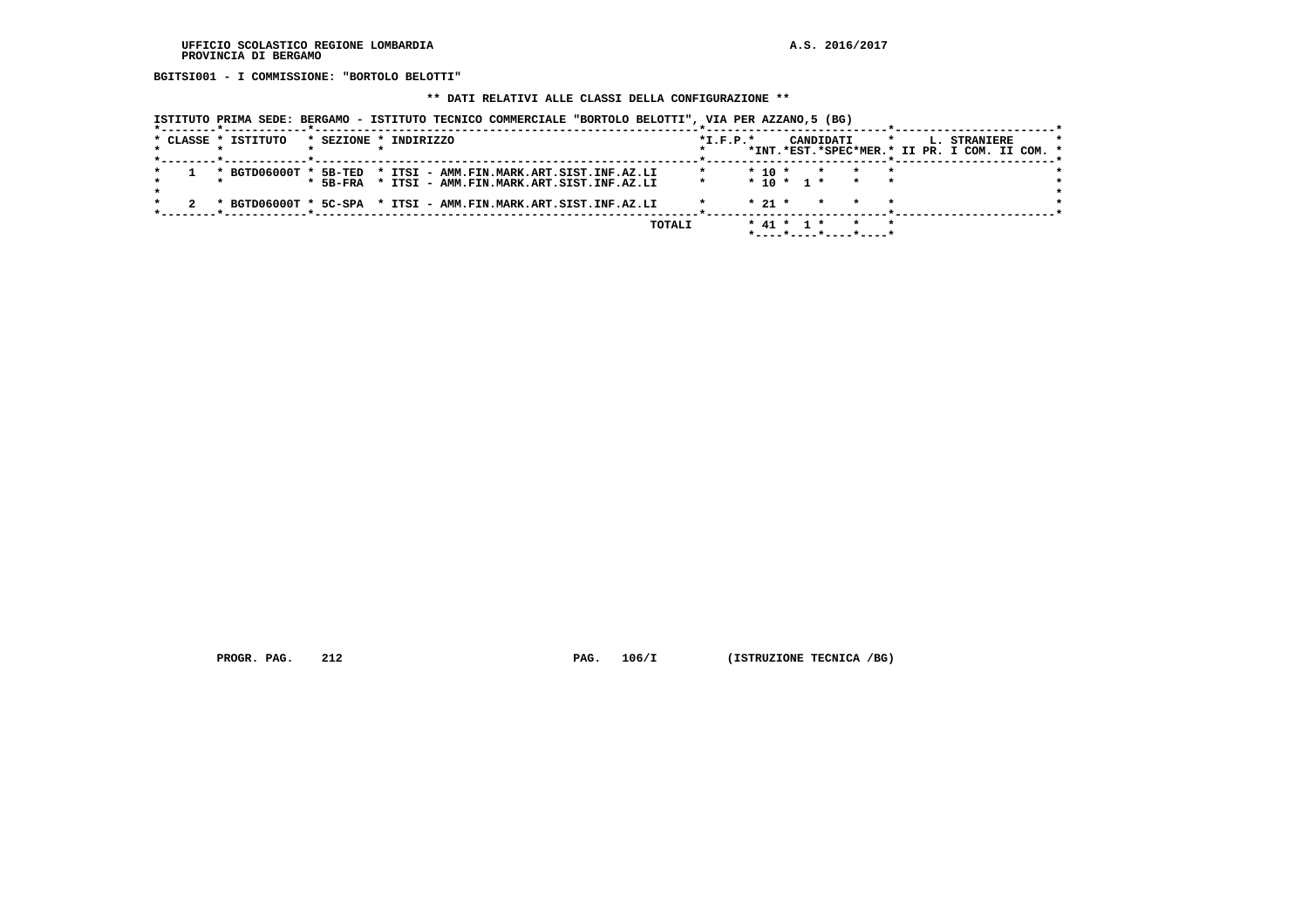**BGITSI001 - I COMMISSIONE: "BORTOLO BELOTTI"**

# **\*\* DATI RELATIVI ALLE CLASSI DELLA CONFIGURAZIONE \*\***

| ISTITUTO PRIMA SEDE: BERGAMO - ISTITUTO TECNICO COMMERCIALE "BORTOLO BELOTTI", VIA PER AZZANO,5 (BG) |  |  |  |
|------------------------------------------------------------------------------------------------------|--|--|--|
|                                                                                                      |  |  |  |

|  | * CLASSE * ISTITUTO                                            |            | * SEZIONE * INDIRIZZO                    |  |        | $*L.F.P.*$ |                  |  | CANDIDATI |                       | L. | <b>STRANIERE</b>                              |  |  |
|--|----------------------------------------------------------------|------------|------------------------------------------|--|--------|------------|------------------|--|-----------|-----------------------|----|-----------------------------------------------|--|--|
|  |                                                                |            |                                          |  |        |            |                  |  |           |                       |    | *INT.*EST.*SPEC*MER.* II PR. I COM. II COM. * |  |  |
|  | * BGTD06000T * 5B-TED                                          |            | * ITSI - AMM.FIN.MARK.ART.SIST.INF.AZ.LI |  |        |            | $* 10 *$         |  | $\star$   |                       |    |                                               |  |  |
|  |                                                                | $*$ 5B-FRA | * ITSI - AMM.FIN.MARK.ART.SIST.INF.AZ.LI |  |        |            | $* 10 * 1 *$     |  |           |                       |    |                                               |  |  |
|  |                                                                |            |                                          |  |        |            | $* 21 *$         |  |           |                       |    |                                               |  |  |
|  | * BGTD06000T * 5C-SPA * ITSI - AMM.FIN.MARK.ART.SIST.INF.AZ.LI |            |                                          |  |        |            |                  |  |           |                       |    |                                               |  |  |
|  |                                                                |            |                                          |  | TOTALI |            | $*$ 41 $*$ 1 $*$ |  |           |                       |    |                                               |  |  |
|  |                                                                |            |                                          |  |        |            |                  |  |           | *----*----*----*----* |    |                                               |  |  |

 **PROGR. PAG.** 212 **PAG.** 106/I (ISTRUZIONE TECNICA /BG)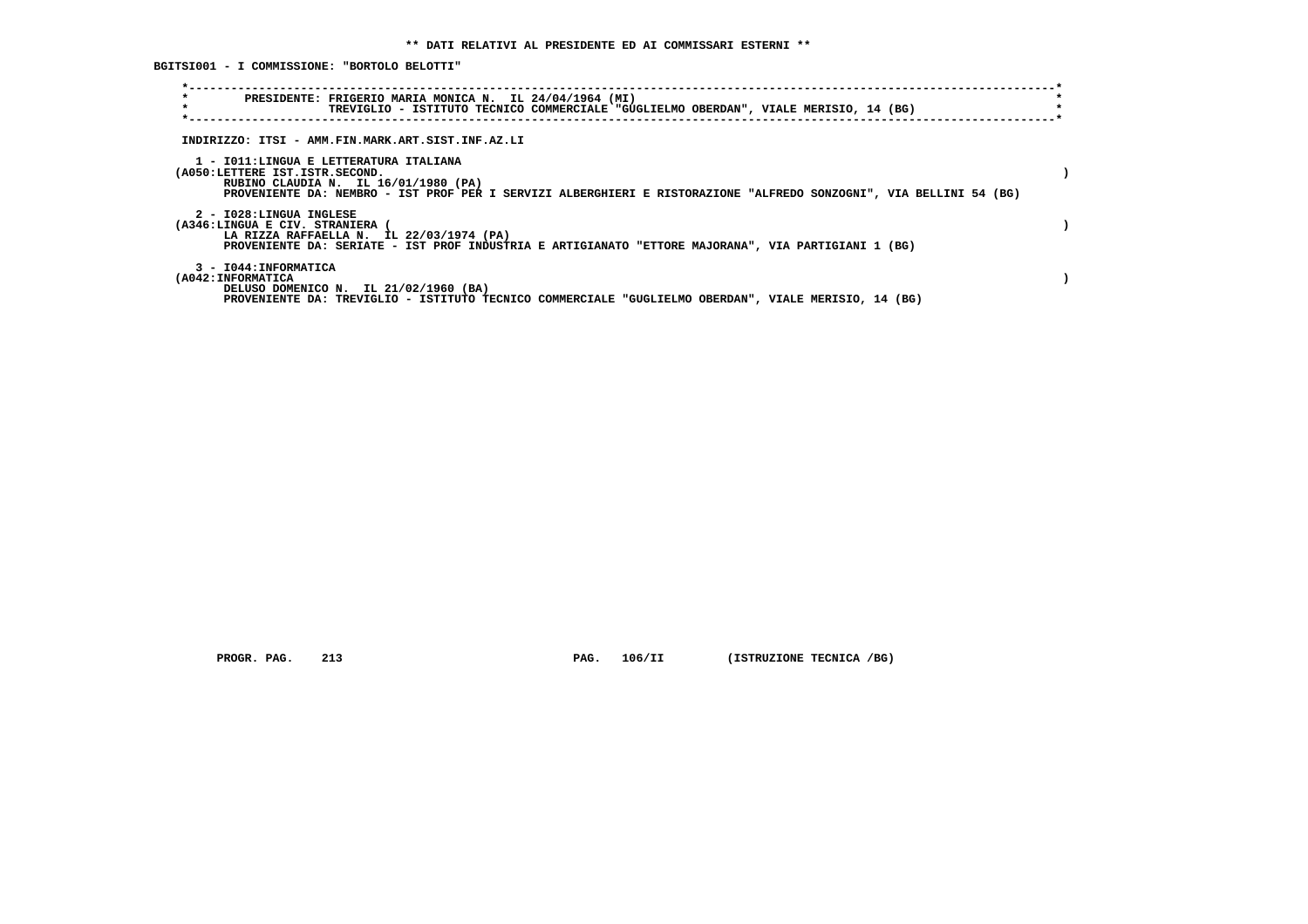**BGITSI001 - I COMMISSIONE: "BORTOLO BELOTTI"**

| $\star$<br>PRESIDENTE: FRIGERIO MARIA MONICA N. IL 24/04/1964 (MI)<br>$\star$<br>TREVIGLIO - ISTITUTO TECNICO COMMERCIALE "GUGLIELMO OBERDAN", VIALE MERISIO, 14 (BG)                                                                  |  |
|----------------------------------------------------------------------------------------------------------------------------------------------------------------------------------------------------------------------------------------|--|
| INDIRIZZO: ITSI - AMM.FIN.MARK.ART.SIST.INF.AZ.LI                                                                                                                                                                                      |  |
| 1 - IO11:LINGUA E LETTERATURA ITALIANA<br>(A050:LETTERE IST.ISTR.SECOND.<br>RUBINO CLAUDIA N. IL 16/01/1980 (PA)<br>PROVENIENTE DA: NEMBRO - IST PROF PER I SERVIZI ALBERGHIERI E RISTORAZIONE "ALFREDO SONZOGNI", VIA BELLINI 54 (BG) |  |
| 2 - I028:LINGUA INGLESE<br>(A346:LINGUA E CIV. STRANIERA<br>LA RIZZA RAFFAELLA N. IL 22/03/1974 (PA)<br>PROVENIENTE DA: SERIATE - IST PROF INDUSTRIA E ARTIGIANATO "ETTORE MAJORANA", VIA PARTIGIANI 1 (BG)                            |  |
| 3 - I044: INFORMATICA<br>(A042: INFORMATICA<br>DELUSO DOMENICO N. IL 21/02/1960 (BA)<br>PROVENIENTE DA: TREVIGLIO - ISTITUTO TECNICO COMMERCIALE "GUGLIELMO OBERDAN", VIALE MERISIO, 14 (BG)                                           |  |

 **PROGR. PAG.** 213 **PAG.** 106/II (ISTRUZIONE TECNICA /BG)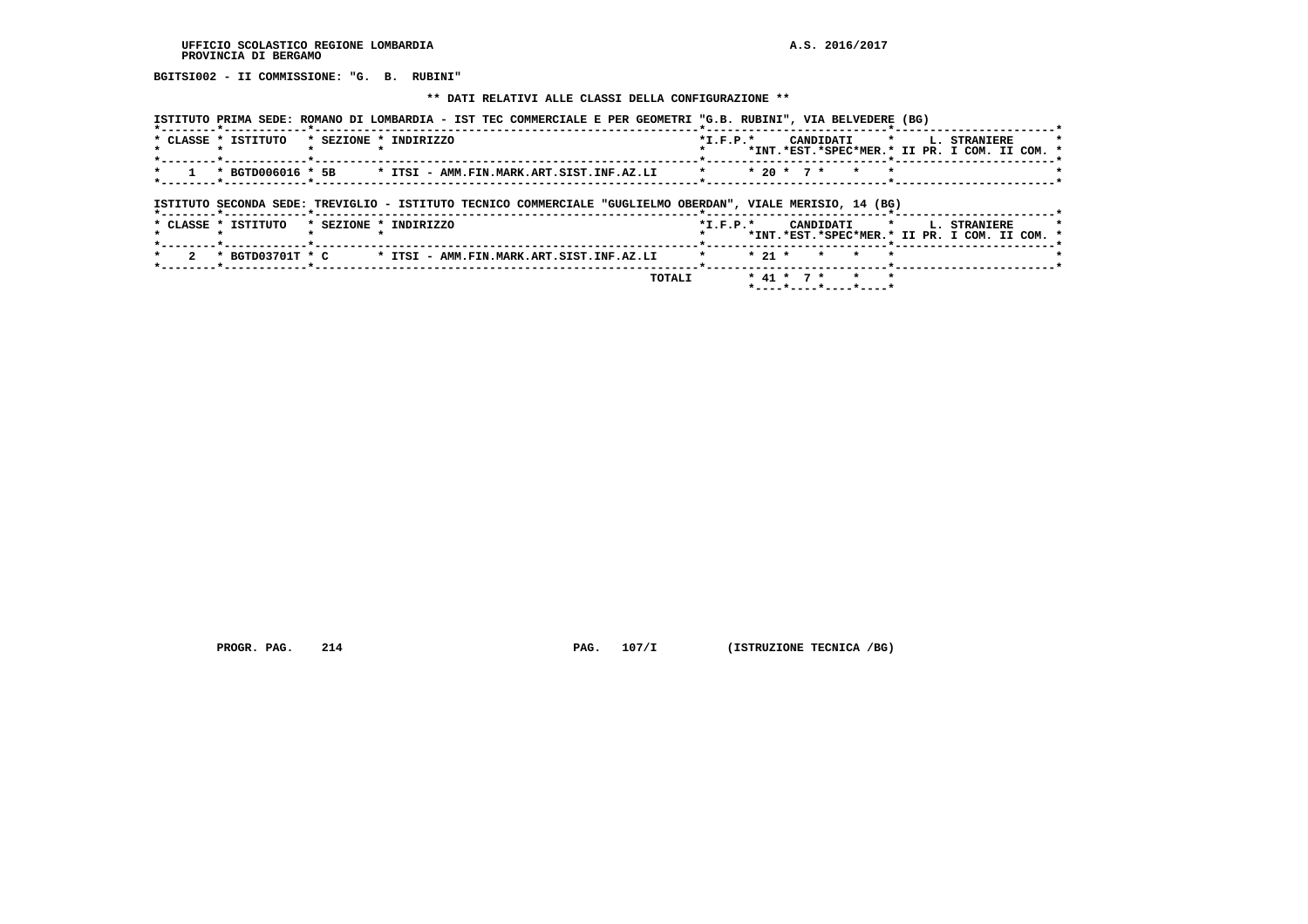**BGITSI002 - II COMMISSIONE: "G. B. RUBINI"**

#### **\*\* DATI RELATIVI ALLE CLASSI DELLA CONFIGURAZIONE \*\***

| ISTITUTO PRIMA SEDE: ROMANO DI LOMBARDIA - IST TEC COMMERCIALE E PER GEOMETRI "G.B. RUBINI", VIA BELVEDERE (BG)                                                                                   |                                                                                                     |
|---------------------------------------------------------------------------------------------------------------------------------------------------------------------------------------------------|-----------------------------------------------------------------------------------------------------|
| * CLASSE * ISTITUTO * SEZIONE * INDIRIZZO                                                                                                                                                         | $*T$ , $F$ , $D$ , $*$<br>CANDIDATI * I. STRANIERE<br>*INT.*EST.*SPEC*MER.* II PR. I COM. II COM. * |
| the contract of the contract of the contract of the contract of the contract of the contract of the contract of<br>$1$ * BGTD006016 * 5B * ITSI - AMM.FIN.MARK.ART.SIST.INF.AZ.LI<br>$\mathbf{r}$ | * 20 * 7 * * *                                                                                      |
|                                                                                                                                                                                                   |                                                                                                     |

# **ISTITUTO SECONDA SEDE: TREVIGLIO - ISTITUTO TECNICO COMMERCIALE "GUGLIELMO OBERDAN", VIALE MERISIO, 14 (BG)**

|  |                     |  | <b>TOTALI</b>                                               |            |  |  | * 41 * 7 * * * |  |                                                                           |  |  |
|--|---------------------|--|-------------------------------------------------------------|------------|--|--|----------------|--|---------------------------------------------------------------------------|--|--|
|  |                     |  | 2 * BGTD03701T * C * ITSI - AMM.FIN.MARK.ART.SIST.INF.AZ.LI |            |  |  | * 21 * * * *   |  |                                                                           |  |  |
|  | * CLASSE * ISTITUTO |  | * SEZIONE * INDIRIZZO                                       | $*T.F.P.*$ |  |  |                |  | CANDIDATI * L. STRANIERE<br>*INT.*EST.*SPEC*MER.* II PR. I COM. II COM. * |  |  |
|  |                     |  |                                                             |            |  |  |                |  |                                                                           |  |  |

 **PROGR. PAG.** 214 **PAG.** 107/I (ISTRUZIONE TECNICA /BG)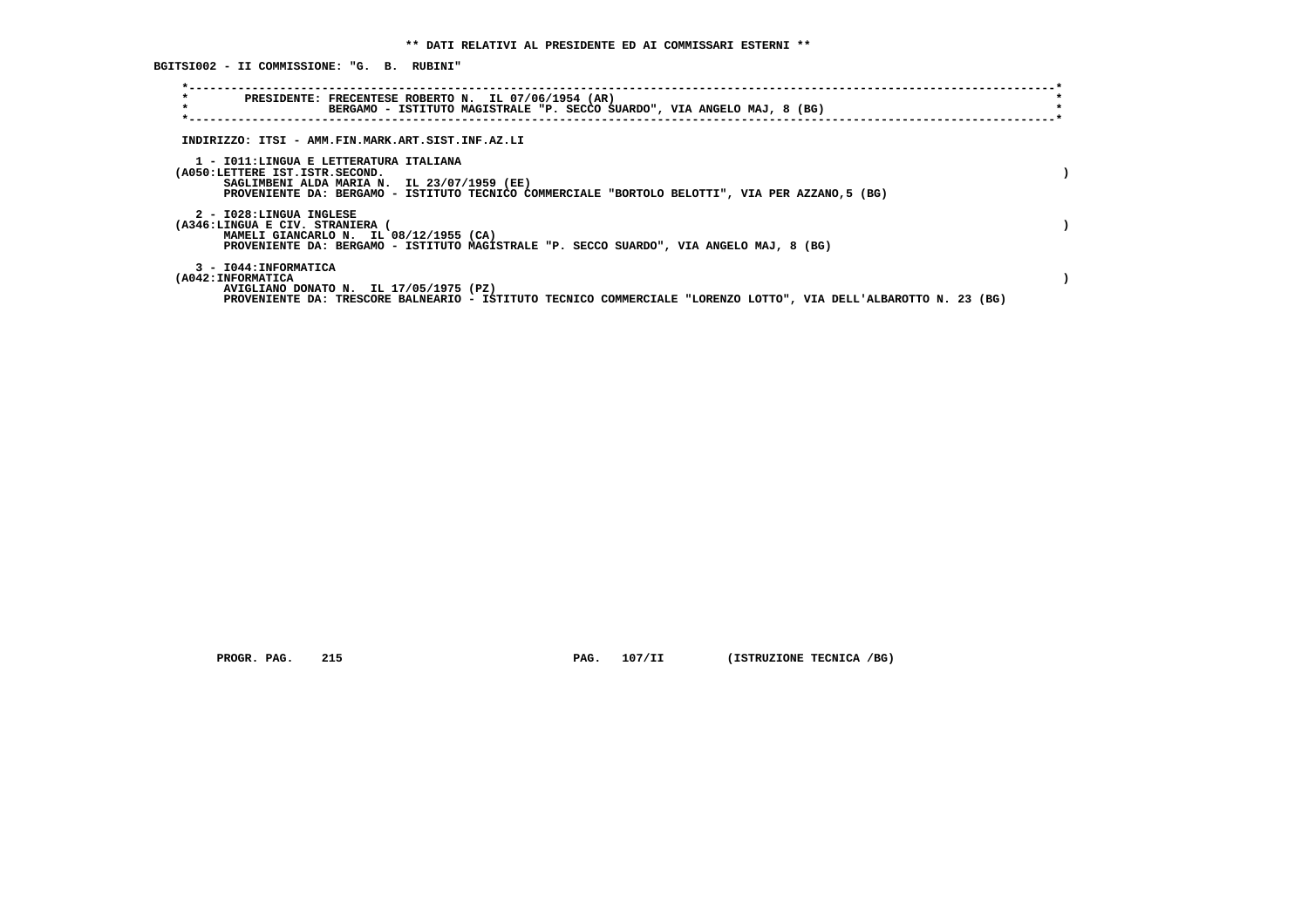**BGITSI002 - II COMMISSIONE: "G. B. RUBINI"**

| $\star$<br>$\star$                                       | PRESIDENTE: FRECENTESE ROBERTO N. IL 07/06/1954 (AR)<br>BERGAMO - ISTITUTO MAGISTRALE "P. SECCO SUARDO", VIA ANGELO MAJ, 8 (BG)                                                          |  |
|----------------------------------------------------------|------------------------------------------------------------------------------------------------------------------------------------------------------------------------------------------|--|
|                                                          | INDIRIZZO: ITSI - AMM.FIN.MARK.ART.SIST.INF.AZ.LI                                                                                                                                        |  |
| (A050:LETTERE IST.ISTR.SECOND.                           | 1 - IO11:LINGUA E LETTERATURA ITALIANA<br>SAGLIMBENI ALDA MARIA N. IL 23/07/1959 (EE)<br>PROVENIENTE DA: BERGAMO - ISTITUTO TECNICO COMMERCIALE "BORTOLO BELOTTI", VIA PER AZZANO,5 (BG) |  |
| 2 - I028:LINGUA INGLESE<br>(A346:LINGUA E CIV. STRANIERA | MAMELI GIANCARLO N. IL 08/12/1955 (CA)<br>PROVENIENTE DA: BERGAMO - ISTITUTO MAGISTRALE "P. SECCO SUARDO", VIA ANGELO MAJ, 8 (BG)                                                        |  |
| 3 - I044: INFORMATICA<br>(A042:INFORMATICA               | AVIGLIANO DONATO N. IL 17/05/1975 (PZ)<br>PROVENIENTE DA: TRESCORE BALNEARIO - ISTITUTO TECNICO COMMERCIALE "LORENZO LOTTO", VIA DELL'ALBAROTTO N. 23 (BG)                               |  |

 **PROGR. PAG.** 215 **PAG.** 107/II (ISTRUZIONE TECNICA /BG)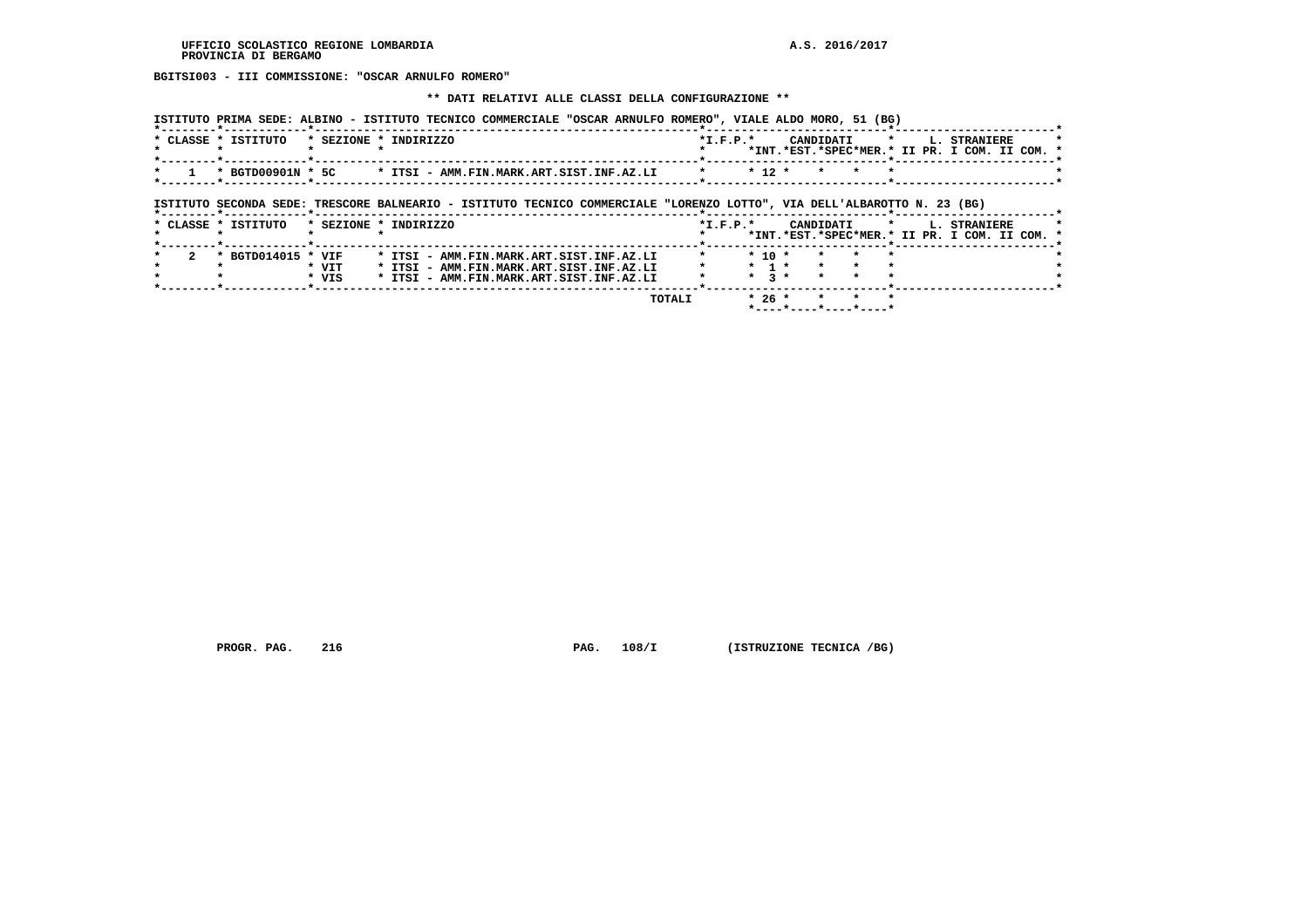**BGITSI003 - III COMMISSIONE: "OSCAR ARNULFO ROMERO"**

#### **\*\* DATI RELATIVI ALLE CLASSI DELLA CONFIGURAZIONE \*\***

| * CLASSE * ISTITUTO |                                      | ISTITUTO PRIMA SEDE: ALBINO - ISTITUTO TECNICO COMMERCIALE "OSCAR ARNULFO ROMERO", VIALE ALDO MORO, 51 (BG)<br>* SEZIONE * INDIRIZZO |         | $*I.F.P.*$                      | CANDIDATI                  | L. STRANIERE<br>$\star$<br>*INT.*EST.*SPEC*MER.* II PR. I COM. II COM.          |  |
|---------------------|--------------------------------------|--------------------------------------------------------------------------------------------------------------------------------------|---------|---------------------------------|----------------------------|---------------------------------------------------------------------------------|--|
|                     |                                      | $*$ BGTD00901N $*$ 5C $*$ ITSI - AMM.FIN.MARK.ART.SIST.INF.AZ.LI                                                                     | $\star$ | $* 12 *$                        | $\star$                    |                                                                                 |  |
|                     |                                      | ISTITUTO SECONDA SEDE: TRESCORE BALNEARIO - ISTITUTO TECNICO COMMERCIALE "LORENZO LOTTO", VIA DELL'ALBAROTTO N. 23 (BG)              |         |                                 |                            |                                                                                 |  |
|                     |                                      |                                                                                                                                      |         |                                 |                            |                                                                                 |  |
| * CLASSE * ISTITUTO |                                      | * SEZIONE * INDIRIZZO                                                                                                                |         | $*L.F.P.*$                      | CANDIDATI                  | $\star$ .<br><b>L. STRANIERE</b><br>*INT.*EST.*SPEC*MER.* II PR. I COM. II COM. |  |
|                     | * BGTD014015 * VIF<br>* VIT<br>* VIS | * ITSI - AMM.FIN.MARK.ART.SIST.INF.AZ.LI<br>* ITSI - AMM.FIN.MARK.ART.SIST.INF.AZ.LI<br>* ITSI - AMM.FIN.MARK.ART.SIST.INF.AZ.LI     |         | $*$ 10 $*$<br>$\star$ 1 $\star$ | $*$ 3 $*$<br>$\rightarrow$ |                                                                                 |  |

 **PROGR. PAG.** 216 **PAG. 108/I** (ISTRUZIONE TECNICA /BG)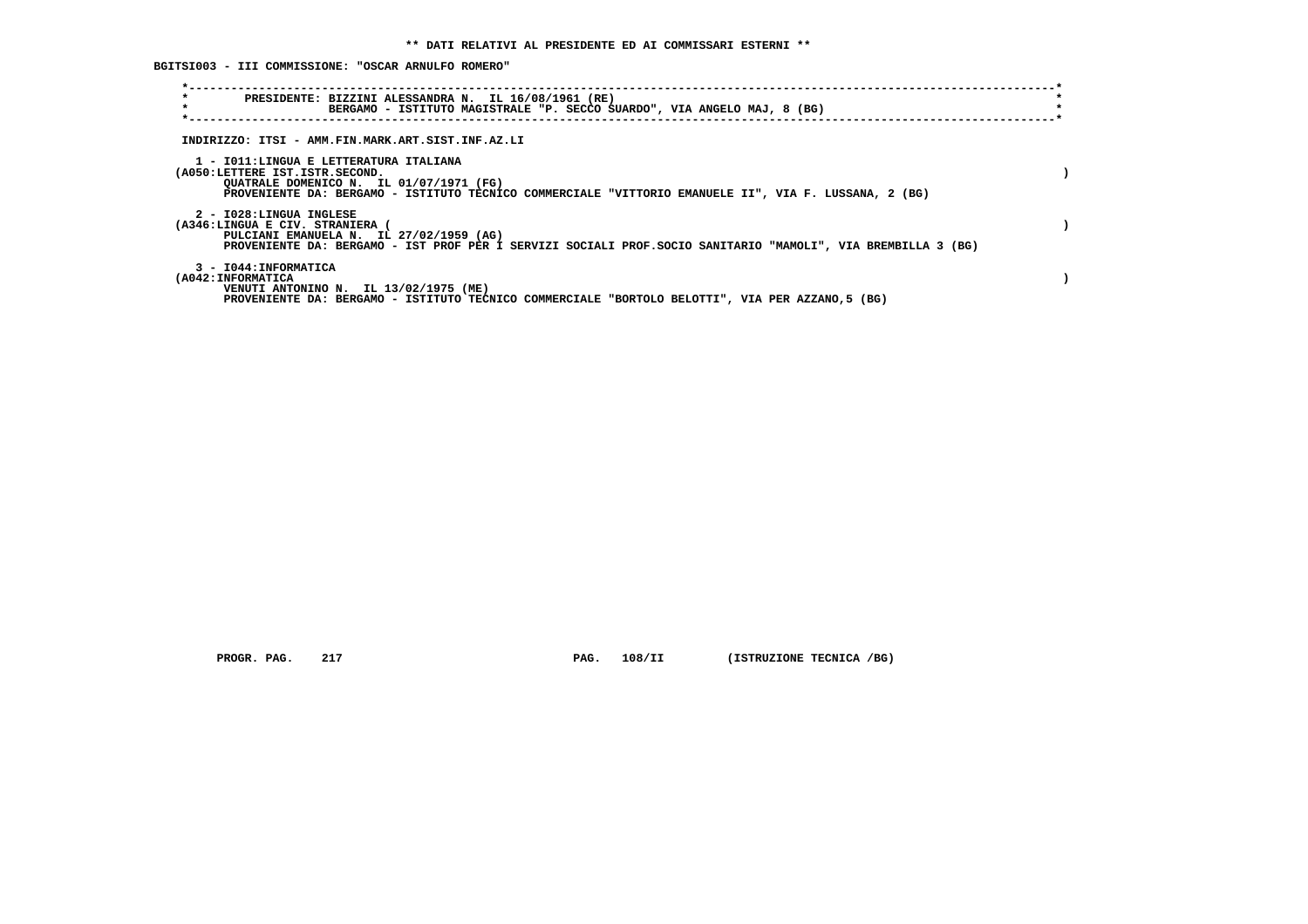**BGITSI003 - III COMMISSIONE: "OSCAR ARNULFO ROMERO"**

| $\star$<br>PRESIDENTE: BIZZINI ALESSANDRA N. IL 16/08/1961 (RE)<br>$\star$<br>BERGAMO - ISTITUTO MAGISTRALE "P. SECCO SUARDO", VIA ANGELO MAJ, 8 (BG)                                                                        |  |
|------------------------------------------------------------------------------------------------------------------------------------------------------------------------------------------------------------------------------|--|
| INDIRIZZO: ITSI - AMM.FIN.MARK.ART.SIST.INF.AZ.LI                                                                                                                                                                            |  |
| 1 - IO11:LINGUA E LETTERATURA ITALIANA<br>(A050:LETTERE IST.ISTR.SECOND.<br>QUATRALE DOMENICO N. IL 01/07/1971 (FG)<br>PROVENIENTE DA: BERGAMO - ISTITUTO TECNICO COMMERCIALE "VITTORIO EMANUELE II", VIA F. LUSSANA, 2 (BG) |  |
| 2 - I028:LINGUA INGLESE<br>(A346:LINGUA E CIV. STRANIERA<br>PULCIANI EMANUELA N. IL 27/02/1959 (AG)<br>PROVENIENTE DA: BERGAMO - IST PROF PER I SERVIZI SOCIALI PROF. SOCIO SANITARIO "MAMOLI", VIA BREMBILLA 3 (BG)         |  |
| 3 - I044: INFORMATICA<br>(A042: INFORMATICA<br>VENUTI ANTONINO N. IL 13/02/1975 (ME)<br>PROVENIENTE DA: BERGAMO - ISTITUTO TECNICO COMMERCIALE "BORTOLO BELOTTI", VIA PER AZZANO,5 (BG)                                      |  |

 **PROGR. PAG.** 217 **PAG.** 108/II (ISTRUZIONE TECNICA /BG)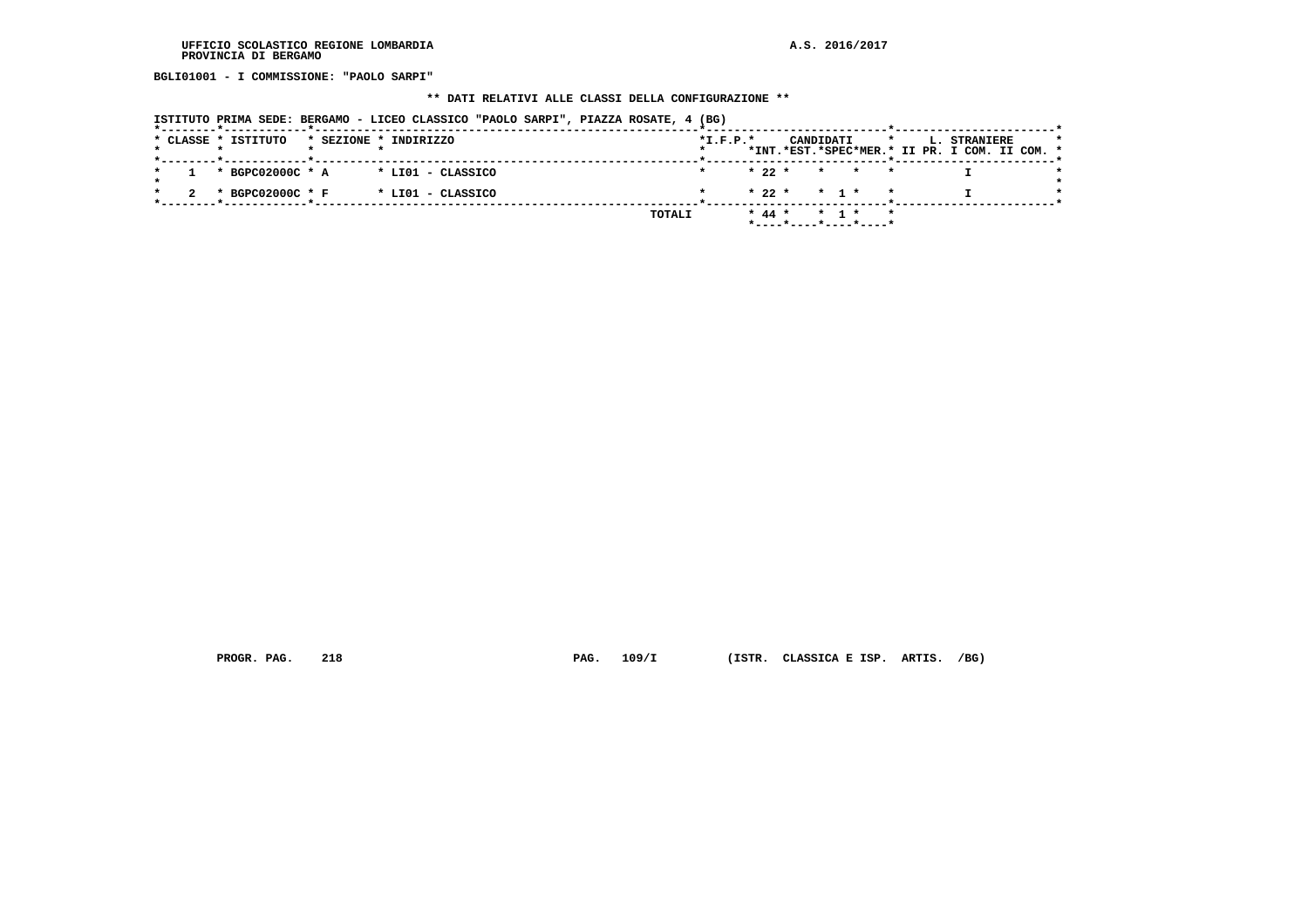**BGLI01001 - I COMMISSIONE: "PAOLO SARPI"**

# **\*\* DATI RELATIVI ALLE CLASSI DELLA CONFIGURAZIONE \*\***

| ISTITUTO PRIMA SEDE: BERGAMO - LICEO CLASSICO "PAOLO SARPI", PIAZZA ROSATE, 4 (BG) |  |  |  |  |  |  |  |  |  |  |  |
|------------------------------------------------------------------------------------|--|--|--|--|--|--|--|--|--|--|--|
|------------------------------------------------------------------------------------|--|--|--|--|--|--|--|--|--|--|--|

|  |  | * CLASSE * ISTITUTO |  | * SEZIONE * INDIRIZZO |               | $*L.F.P.*$ |          | CANDIDATI          |                   |                         |  | L. STRANIERE<br>*INT.*EST.*SPEC*MER.* II PR. I COM. II COM. * |  |  |
|--|--|---------------------|--|-----------------------|---------------|------------|----------|--------------------|-------------------|-------------------------|--|---------------------------------------------------------------|--|--|
|  |  |                     |  |                       |               |            |          |                    |                   |                         |  |                                                               |  |  |
|  |  | * BGPC02000C * A    |  | * LIO1 - CLASSICO     |               |            | $* 22 *$ |                    |                   | $\star$ $\star$ $\star$ |  |                                                               |  |  |
|  |  | * BGPC02000C * F    |  | * LIO1 - CLASSICO     |               |            |          | $* 22 * * 1 * * *$ |                   |                         |  |                                                               |  |  |
|  |  |                     |  |                       |               |            |          |                    |                   |                         |  |                                                               |  |  |
|  |  |                     |  |                       | <b>TOTALI</b> |            | $* 44 *$ |                    | $\star$ 1 $\star$ |                         |  |                                                               |  |  |
|  |  |                     |  |                       |               |            |          |                    |                   |                         |  |                                                               |  |  |

 **PROGR. PAG. 218 PAG. 109/I (ISTR. CLASSICA E ISP. ARTIS. /BG)**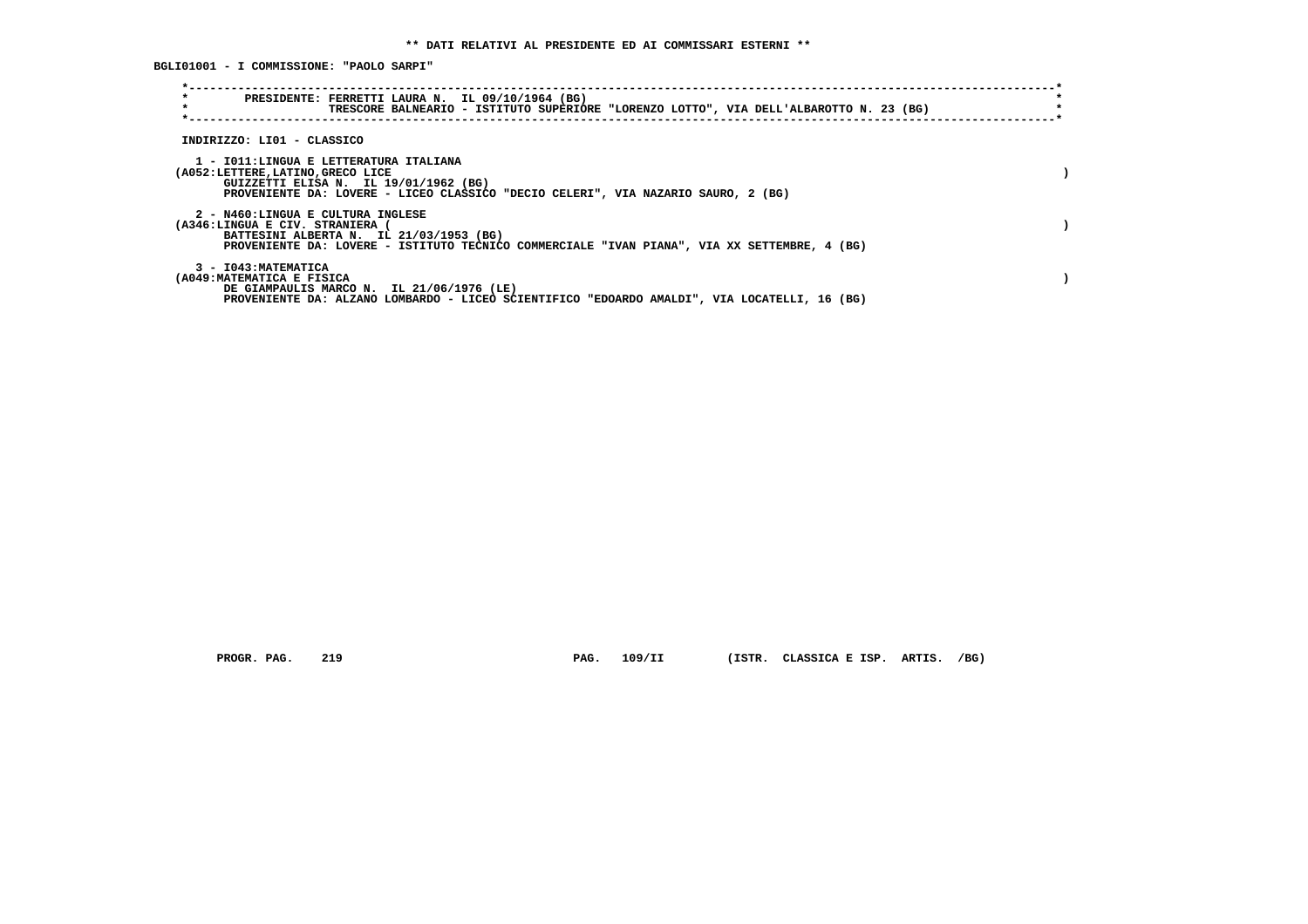**BGLI01001 - I COMMISSIONE: "PAOLO SARPI"**

| $\star$<br>PRESIDENTE: FERRETTI LAURA N. IL 09/10/1964 (BG)                                                                                                                                                   | TRESCORE BALNEARIO - ISTITUTO SUPERIORE "LORENZO LOTTO", VIA DELL'ALBAROTTO N. 23 (BG) |  |  |
|---------------------------------------------------------------------------------------------------------------------------------------------------------------------------------------------------------------|----------------------------------------------------------------------------------------|--|--|
| INDIRIZZO: LI01 - CLASSICO                                                                                                                                                                                    |                                                                                        |  |  |
| 1 - IO11:LINGUA E LETTERATURA ITALIANA<br>(A052:LETTERE, LATINO, GRECO LICE<br>GUIZZETTI ELISA N. IL 19/01/1962 (BG)<br>PROVENIENTE DA: LOVERE - LICEO CLASSICO "DECIO CELERI", VIA NAZARIO SAURO, 2 (BG)     |                                                                                        |  |  |
| 2 - N460:LINGUA E CULTURA INGLESE<br>(A346:LINGUA E CIV. STRANIERA<br>BATTESINI ALBERTA N. IL 21/03/1953 (BG)<br>PROVENIENTE DA: LOVERE - ISTITUTO TECNICO COMMERCIALE "IVAN PIANA", VIA XX SETTEMBRE, 4 (BG) |                                                                                        |  |  |
| 3 - I043: MATEMATICA<br>(A049: MATEMATICA E FISICA<br>DE GIAMPAULIS MARCO N. IL 21/06/1976 (LE)<br>PROVENIENTE DA: ALZANO LOMBARDO - LICEO SCIENTIFICO "EDOARDO AMALDI", VIA LOCATELLI, 16 (BG)               |                                                                                        |  |  |

 **PROGR. PAG. 219 PAG. 109/II (ISTR. CLASSICA E ISP. ARTIS. /BG)**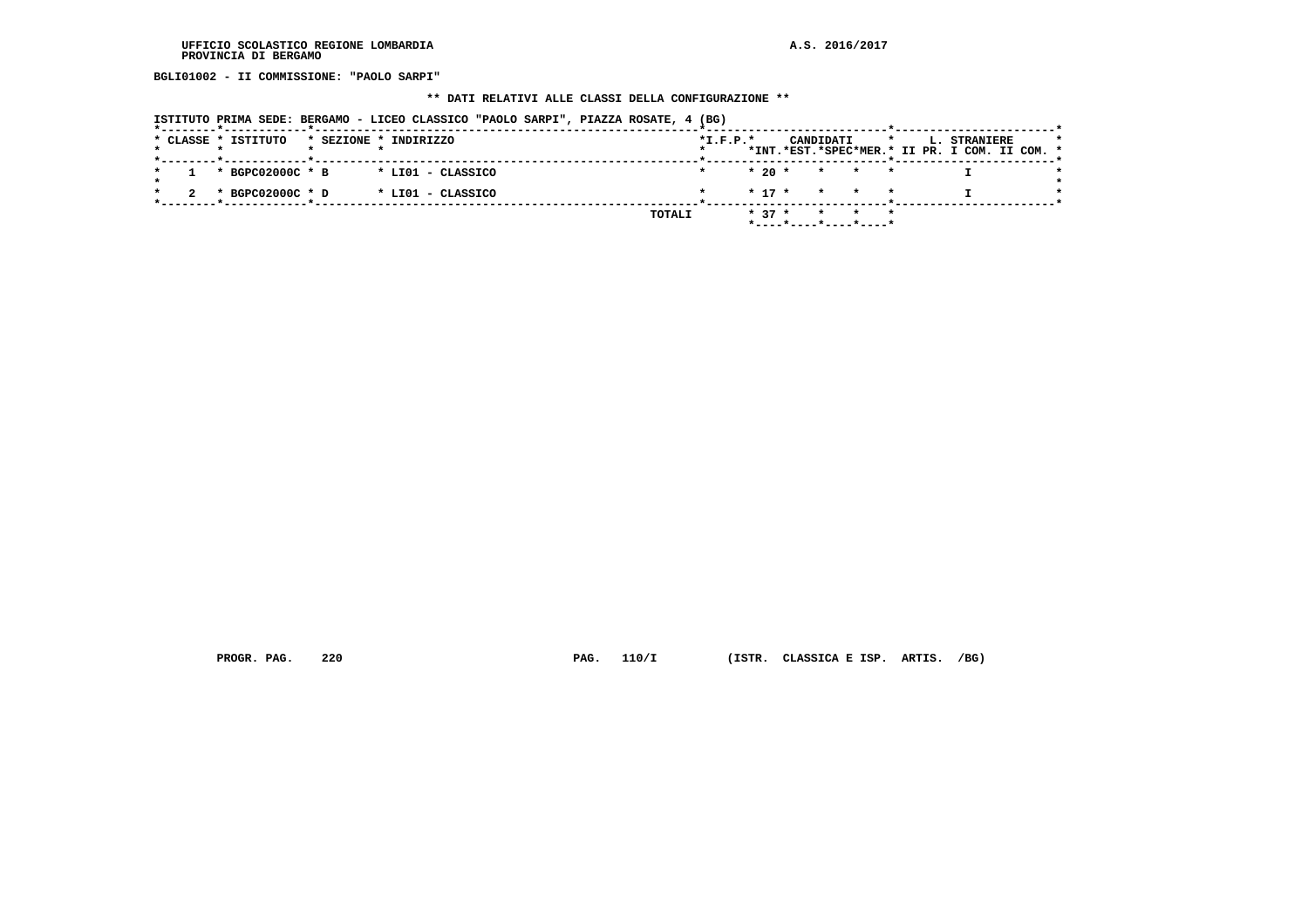**BGLI01002 - II COMMISSIONE: "PAOLO SARPI"**

# **\*\* DATI RELATIVI ALLE CLASSI DELLA CONFIGURAZIONE \*\***

|  | ISTITUTO PRIMA SEDE: BERGAMO - LICEO CLASSICO "PAOLO SARPI", PIAZZA ROSATE, 4 (BG) |  |  |  |  |  |  |  |  |  |  |  |
|--|------------------------------------------------------------------------------------|--|--|--|--|--|--|--|--|--|--|--|
|--|------------------------------------------------------------------------------------|--|--|--|--|--|--|--|--|--|--|--|

|  |  | * CLASSE * ISTITUTO | * BGPC02000C * B<br>* BGPC02000C * D | * SEZIONE * INDIRIZZO<br>* LIO1 - CLASSICO<br>* LIO1 - CLASSICO |  | TOTALI | $*L.F.P.*$ | $*20*$<br>$* 37 *$ | CANDIDATI | * * *<br>$*$ 17 $*$ $*$ $*$ $*$<br>*----*----*----*----* |  | L. STRANIERE | *INT.*EST.*SPEC*MER.* II PR. I COM. II COM. * |
|--|--|---------------------|--------------------------------------|-----------------------------------------------------------------|--|--------|------------|--------------------|-----------|----------------------------------------------------------|--|--------------|-----------------------------------------------|

 **PROGR. PAG. 220 PAG. 110/I (ISTR. CLASSICA E ISP. ARTIS. /BG)**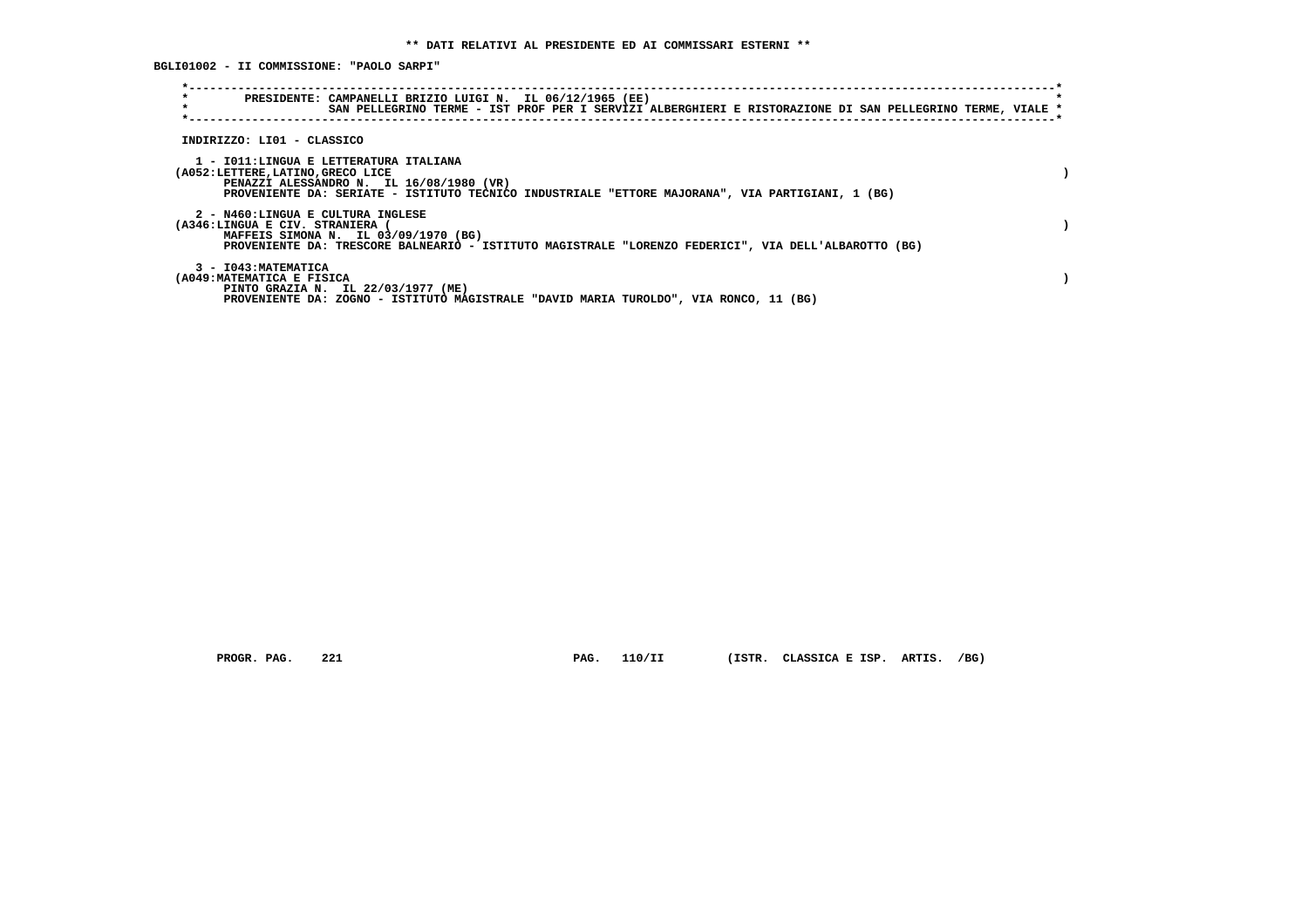**BGLI01002 - II COMMISSIONE: "PAOLO SARPI"**

| $\star$<br>$\star$ |                                                                                                                                                                                                                              | PRESIDENTE: CAMPANELLI BRIZIO LUIGI N. IL 06/12/1965 (EE)<br>SAN PELLEGRINO TERME - IST PROF PER I SERVIZI ALBERGHIERI E RISTORAZIONE DI SAN PELLEGRINO TERME, VIALE * |  |  |  |  |  |
|--------------------|------------------------------------------------------------------------------------------------------------------------------------------------------------------------------------------------------------------------------|------------------------------------------------------------------------------------------------------------------------------------------------------------------------|--|--|--|--|--|
|                    | INDIRIZZO: LI01 - CLASSICO                                                                                                                                                                                                   |                                                                                                                                                                        |  |  |  |  |  |
|                    | 1 - IO11: LINGUA E LETTERATURA ITALIANA<br>(A052:LETTERE, LATINO, GRECO LICE<br>PENAZZI ALESSANDRO N. IL 16/08/1980 (VR)<br>PROVENIENTE DA: SERIATE - ISTITUTO TECNICO INDUSTRIALE "ETTORE MAJORANA", VIA PARTIGIANI, 1 (BG) |                                                                                                                                                                        |  |  |  |  |  |
|                    | 2 - N460:LINGUA E CULTURA INGLESE<br>(A346:LINGUA E CIV. STRANIERA<br>MAFFEIS SIMONA N. IL 03/09/1970 (BG)<br>PROVENIENTE DA: TRESCORE BALNEARIO - ISTITUTO MAGISTRALE "LORENZO FEDERICI", VIA DELL'ALBAROTTO (BG)           |                                                                                                                                                                        |  |  |  |  |  |
|                    | 3 - I043: MATEMATICA<br>(A049:MATEMATICA E FISICA<br>PINTO GRAZIA N. IL 22/03/1977 (ME)<br>PROVENIENTE DA: ZOGNO - ISTITUTO MAGISTRALE "DAVID MARIA TUROLDO", VIA RONCO, 11 (BG)                                             |                                                                                                                                                                        |  |  |  |  |  |

 **PROGR. PAG. 221 PAG. 110/II (ISTR. CLASSICA E ISP. ARTIS. /BG)**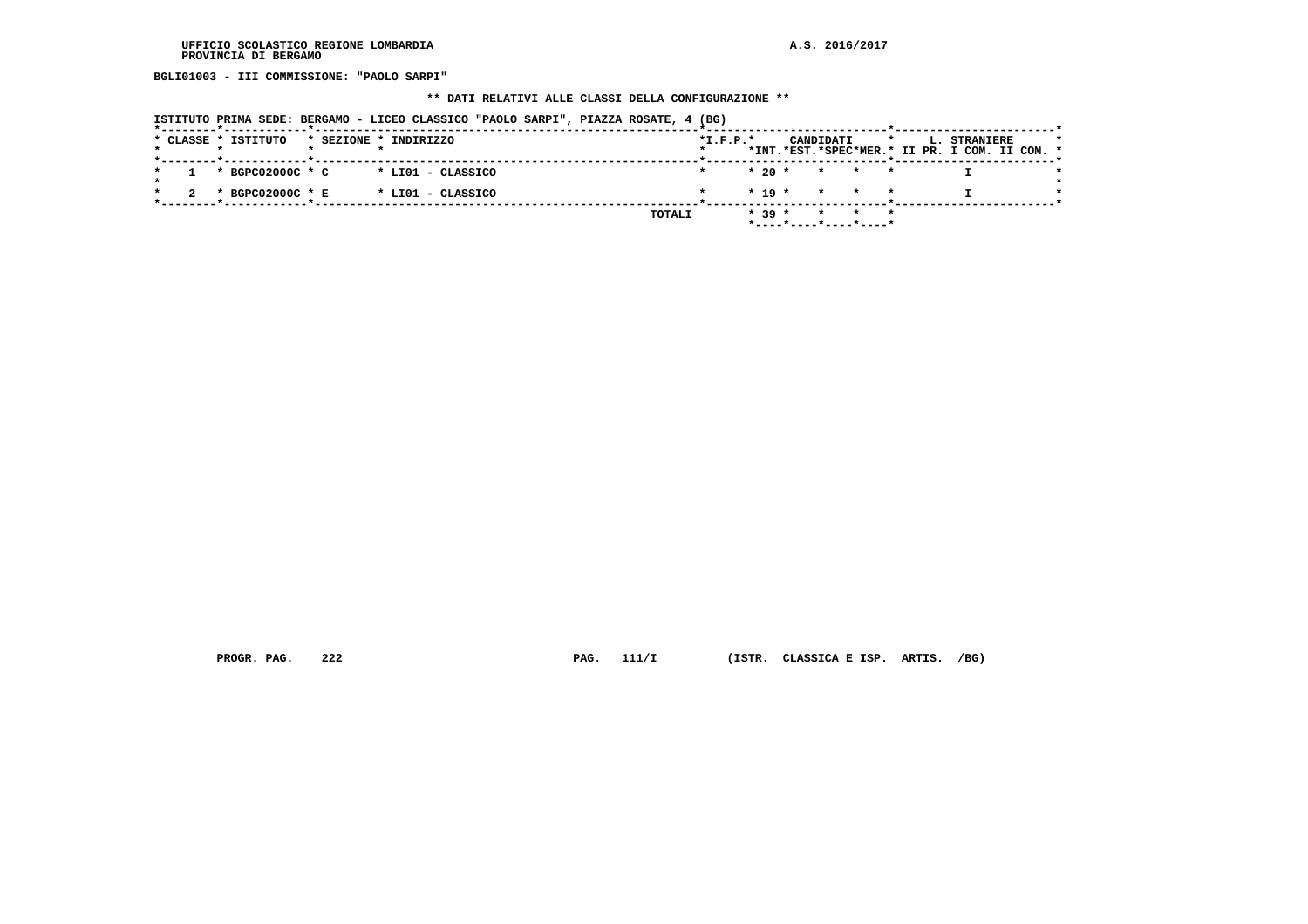**BGLI01003 - III COMMISSIONE: "PAOLO SARPI"**

# **\*\* DATI RELATIVI ALLE CLASSI DELLA CONFIGURAZIONE \*\***

| ISTITUTO PRIMA SEDE: BERGAMO - LICEO CLASSICO "PAOLO SARPI", PIAZZA ROSATE, 4 (BG) |  |  |
|------------------------------------------------------------------------------------|--|--|
|------------------------------------------------------------------------------------|--|--|

|  | * CLASSE * ISTITUTO |  | * SEZIONE * INDIRIZZO |        | $*L.F.P.*$ |          |                       | CANDIDATI |     |  | L. STRANIERE                                  |  |  |
|--|---------------------|--|-----------------------|--------|------------|----------|-----------------------|-----------|-----|--|-----------------------------------------------|--|--|
|  |                     |  |                       |        |            |          |                       |           |     |  | *INT.*EST.*SPEC*MER.* II PR. I COM. II COM. * |  |  |
|  | * BGPC02000C * C    |  | * LIO1 - CLASSICO     |        |            |          | $* 20 * * * * * * *$  |           |     |  |                                               |  |  |
|  | * BGPC02000C * E    |  | * LIO1 - CLASSICO     |        |            |          | $* 19 * * * * * *$    |           |     |  |                                               |  |  |
|  |                     |  |                       | TOTALI |            | $* 39 *$ |                       |           | * * |  |                                               |  |  |
|  |                     |  |                       |        |            |          | *----*----*----*----* |           |     |  |                                               |  |  |

 **PROGR. PAG.** 222 **PAG.** 111/I (ISTR. CLASSICA E ISP. ARTIS. /BG)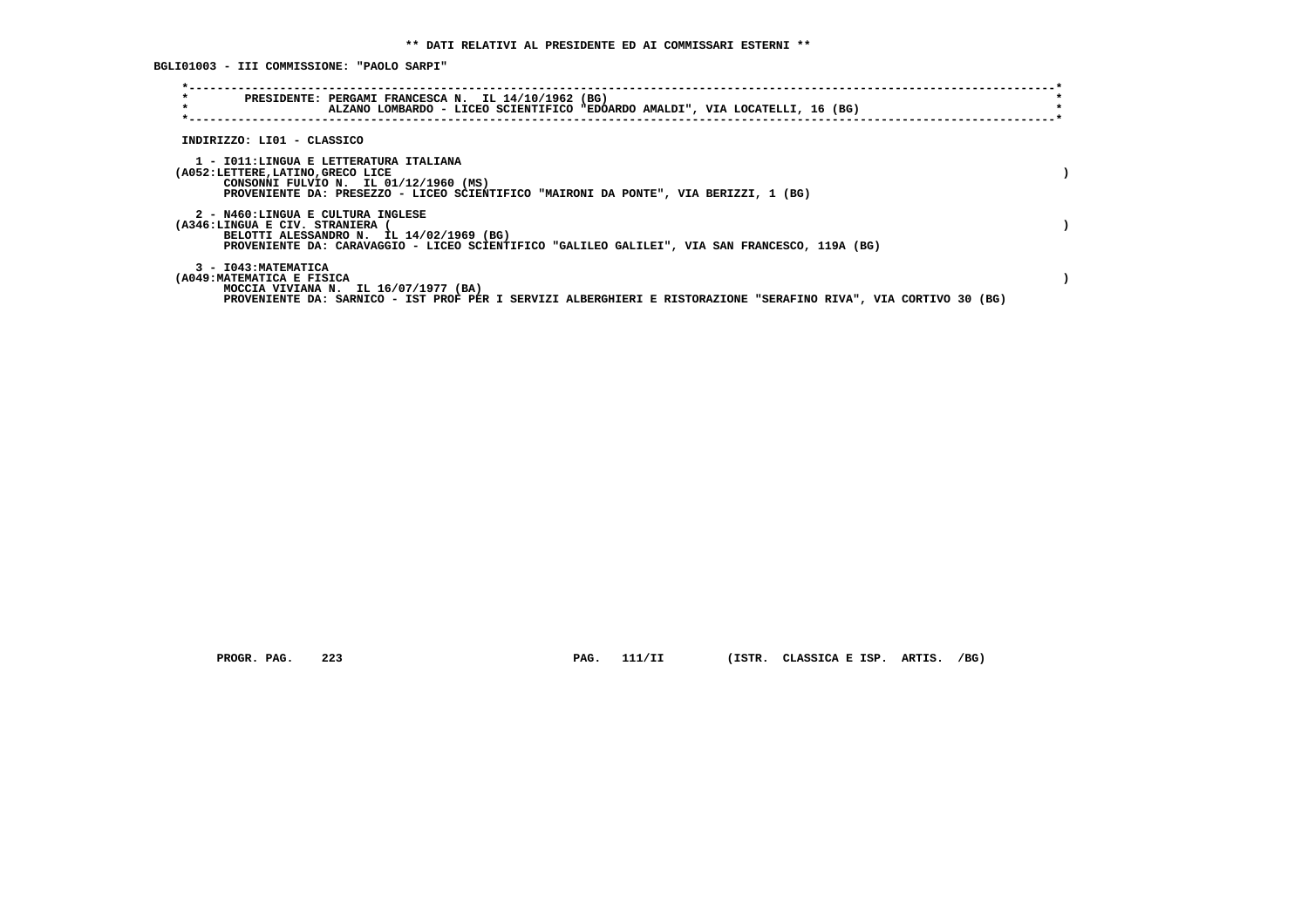**BGLI01003 - III COMMISSIONE: "PAOLO SARPI"**

| PRESIDENTE: PERGAMI FRANCESCA N. IL 14/10/1962 (BG)<br>ALZANO LOMBARDO - LICEO SCIENTIFICO "EDOARDO AMALDI", VIA LOCATELLI, 16 (BG)                                                                              |  |
|------------------------------------------------------------------------------------------------------------------------------------------------------------------------------------------------------------------|--|
| INDIRIZZO: LI01 - CLASSICO                                                                                                                                                                                       |  |
| 1 - IO11:LINGUA E LETTERATURA ITALIANA<br>(A052:LETTERE, LATINO, GRECO LICE<br>CONSONNI FULVIO N. IL 01/12/1960 (MS)<br>PROVENIENTE DA: PRESEZZO - LICEO SCIENTIFICO "MAIRONI DA PONTE", VIA BERIZZI, 1 (BG)     |  |
| 2 - N460:LINGUA E CULTURA INGLESE<br>(A346:LINGUA E CIV. STRANIERA<br>BELOTTI ALESSANDRO N. IL 14/02/1969 (BG)<br>PROVENIENTE DA: CARAVAGGIO - LICEO SCIENTIFICO "GALILEO GALILEI", VIA SAN FRANCESCO, 119A (BG) |  |
| 3 - I043: MATEMATICA<br>(A049: MATEMATICA E FISICA<br>MOCCIA VIVIANA N. IL $16/07/1977$ (BA)<br>PROVENIENTE DA: SARNICO - IST PROF PER I SERVIZI ALBERGHIERI E RISTORAZIONE "SERAFINO RIVA", VIA CORTIVO 30 (BG) |  |

 **PROGR. PAG. 223 PAG. 111/II (ISTR. CLASSICA E ISP. ARTIS. /BG)**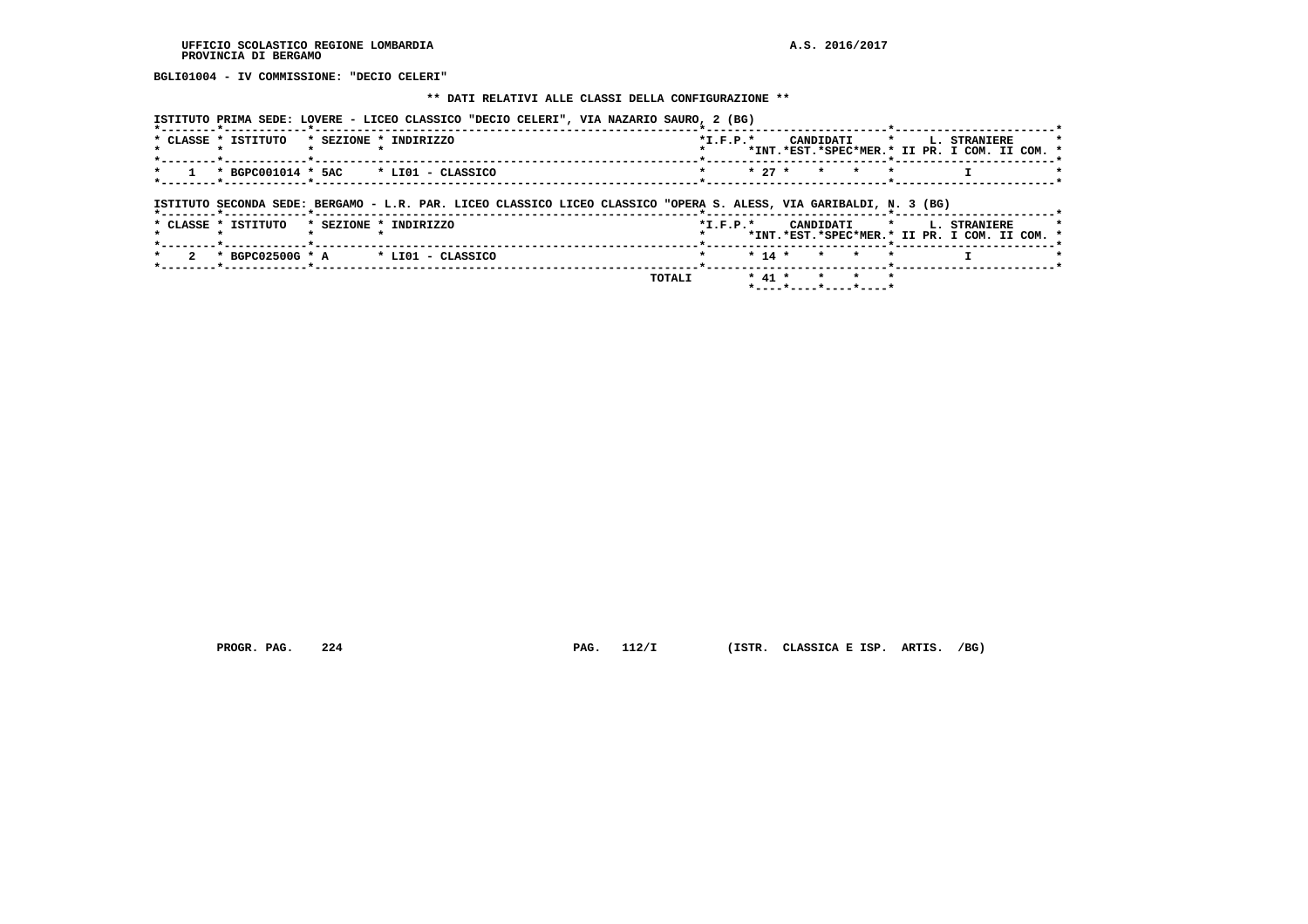**BGLI01004 - IV COMMISSIONE: "DECIO CELERI"**

#### **\*\* DATI RELATIVI ALLE CLASSI DELLA CONFIGURAZIONE \*\***

 **ISTITUTO PRIMA SEDE: LOVERE - LICEO CLASSICO "DECIO CELERI", VIA NAZARIO SAURO, 2 (BG)**

| $*$ CLASSE $*$ | TSTTTITO | $*$ SEZIONE $*$ | TNDTRTZZO                                                        | $*T$ , $F$ , $D$ , $*$ |  |                      |  | CANDIDATI * I. STRANIERE                      |  |
|----------------|----------|-----------------|------------------------------------------------------------------|------------------------|--|----------------------|--|-----------------------------------------------|--|
|                |          |                 |                                                                  |                        |  |                      |  | *INT.*EST.*SPEC*MER.* II PR. I COM. II COM. * |  |
|                |          |                 |                                                                  |                        |  |                      |  |                                               |  |
|                |          |                 | $\star$ 1 $\star$ BGPC001014 $\star$ 5AC $\star$ LI01 - CLASSICO |                        |  | $\star$ + 27 * * * * |  |                                               |  |
|                |          |                 |                                                                  |                        |  |                      |  |                                               |  |

# **ISTITUTO SECONDA SEDE: BERGAMO - L.R. PAR. LICEO CLASSICO LICEO CLASSICO "OPERA S. ALESS, VIA GARIBALDI, N. 3 (BG)**

|  |  | * CLASSE * ISTITUTO |  | * SEZIONE * INDIRIZZO                  |               | $*T.F.P.*$ |  |  |              |  | CANDIDATI * L. STRANIERE<br>*INT.*EST.*SPEC*MER.* II PR. I COM. II COM. * |  |  |
|--|--|---------------------|--|----------------------------------------|---------------|------------|--|--|--------------|--|---------------------------------------------------------------------------|--|--|
|  |  |                     |  | $2$ * BGPC02500G * A * LI01 - CLASSICO |               | $\star$    |  |  | * 14 * * * * |  |                                                                           |  |  |
|  |  |                     |  |                                        | <b>TOTALI</b> |            |  |  | * 41 * * * * |  |                                                                           |  |  |

 **PROGR. PAG. 224 PAG. 112/I (ISTR. CLASSICA E ISP. ARTIS. /BG)**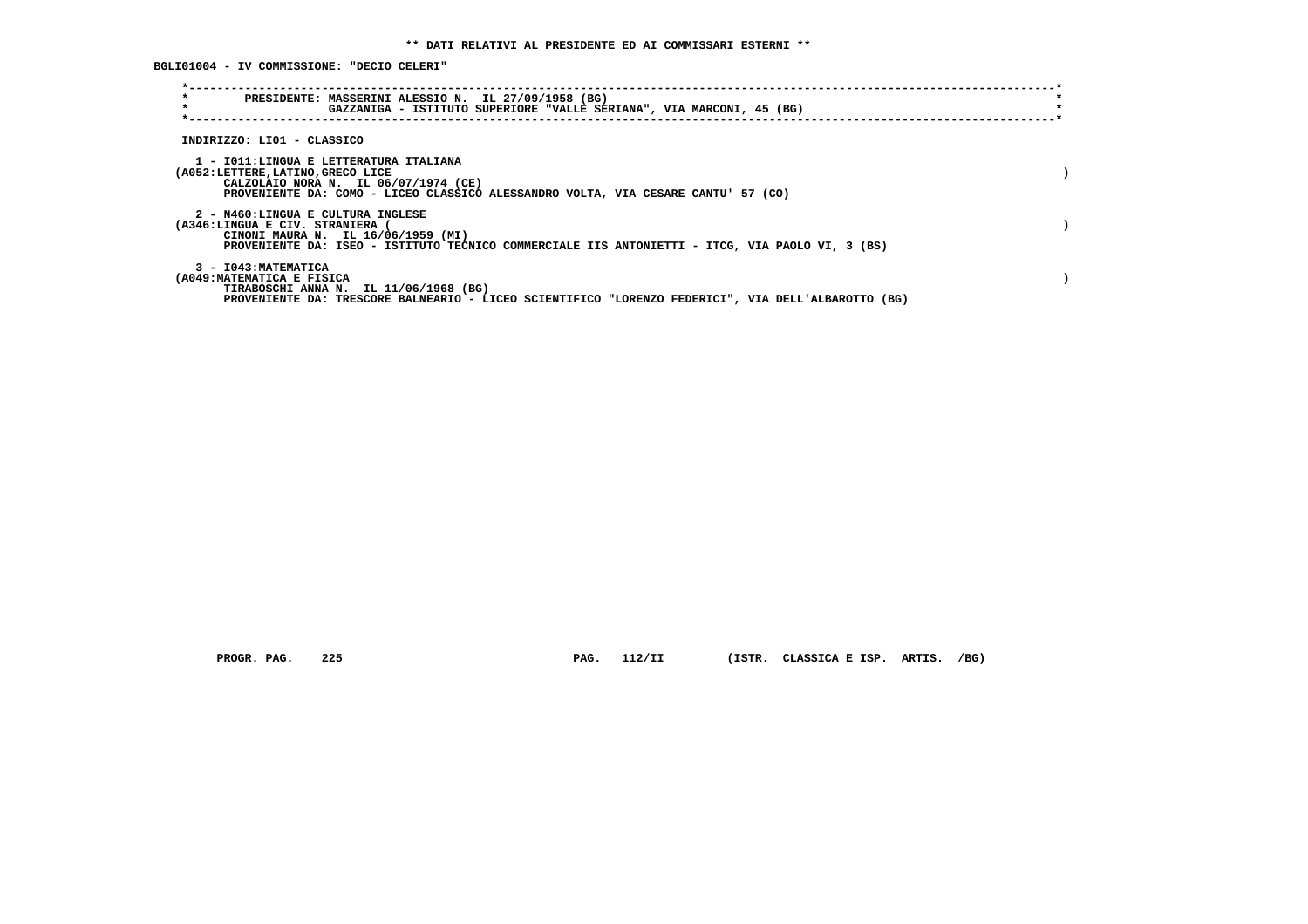**BGLI01004 - IV COMMISSIONE: "DECIO CELERI"**

| $\star$<br>PRESIDENTE: MASSERINI ALESSIO N. IL 27/09/1958 (BG)<br>$\star$<br>GAZZANIGA - ISTITUTO SUPERIORE "VALLE SERIANA", VIA MARCONI, 45 (BG)                                                           |  |
|-------------------------------------------------------------------------------------------------------------------------------------------------------------------------------------------------------------|--|
| INDIRIZZO: LI01 - CLASSICO                                                                                                                                                                                  |  |
| 1 - IO11:LINGUA E LETTERATURA ITALIANA<br>(A052:LETTERE, LATINO, GRECO LICE<br>CALZOLAIO NORA N. IL 06/07/1974 (CE)<br>PROVENIENTE DA: COMO - LICEO CLASSICO ALESSANDRO VOLTA, VIA CESARE CANTU' 57 (CO)    |  |
| 2 - N460:LINGUA E CULTURA INGLESE<br>(A346:LINGUA E CIV. STRANIERA<br>CINONI MAURA N. IL 16/06/1959 (MI)<br>PROVENIENTE DA: ISEO - ISTITUTO TECNICO COMMERCIALE IIS ANTONIETTI - ITCG, VIA PAOLO VI, 3 (BS) |  |
| 3 - I043: MATEMATICA<br>(A049: MATEMATICA E FISICA<br>TIRABOSCHI ANNA N. IL 11/06/1968 (BG)<br>PROVENIENTE DA: TRESCORE BALNEARIO - LICEO SCIENTIFICO "LORENZO FEDERICI", VIA DELL'ALBAROTTO (BG)           |  |

 **PROGR. PAG. 225 PAG. 112/II (ISTR. CLASSICA E ISP. ARTIS. /BG)**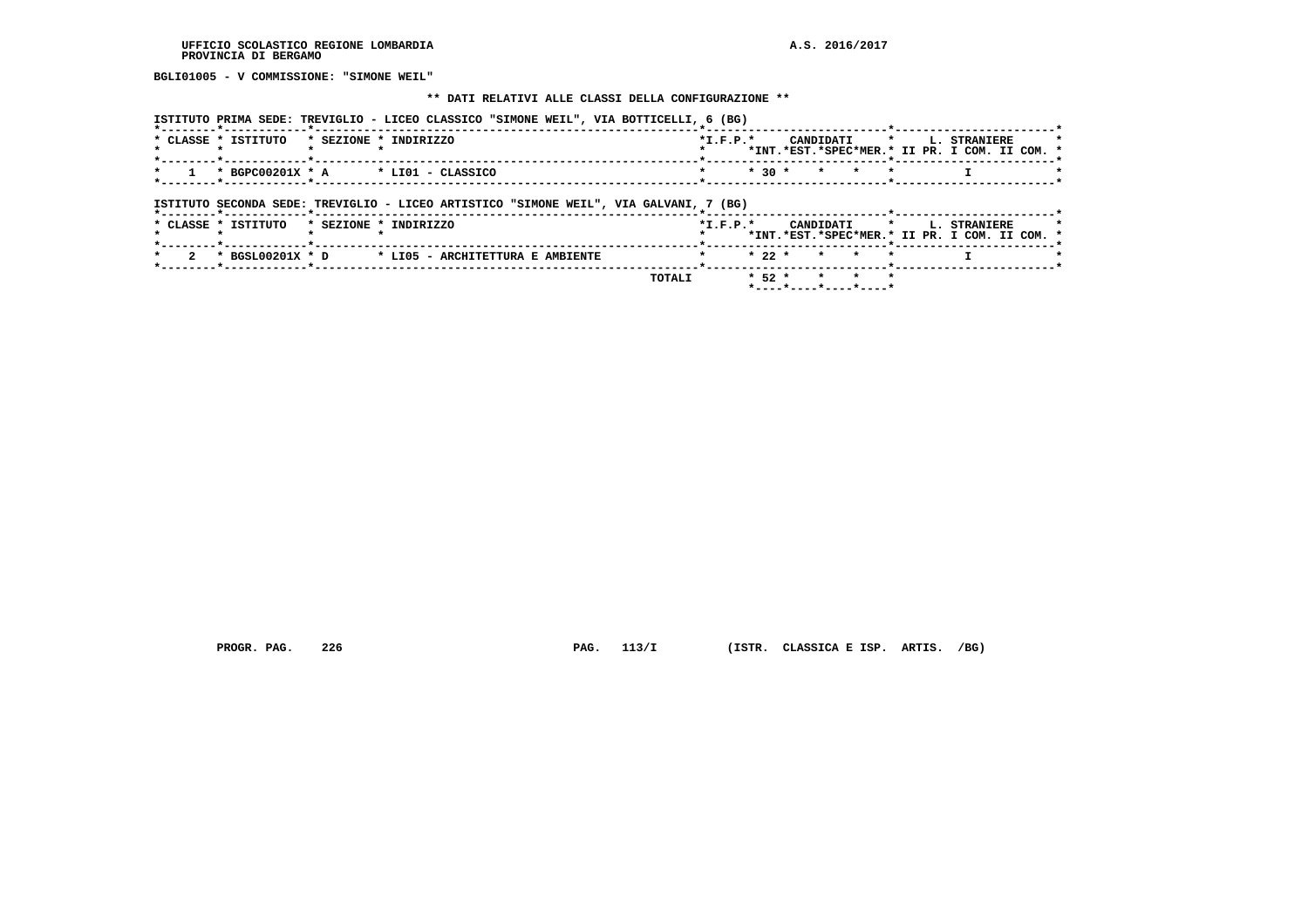**BGLI01005 - V COMMISSIONE: "SIMONE WEIL"**

#### **\*\* DATI RELATIVI ALLE CLASSI DELLA CONFIGURAZIONE \*\***

| ISTITUTO PRIMA SEDE: TREVIGLIO - LICEO CLASSICO "SIMONE WEIL", VIA BOTTICELLI, 6 (BG) |  |  |  |  |  |
|---------------------------------------------------------------------------------------|--|--|--|--|--|
|                                                                                       |  |  |  |  |  |

| $*$ CLASSE $*$ | . TSTITHTO           | * SEZIONE * INDIRIZZO | $*T$ , $F$ , $D$ , $*$ |  |                            |  | CANDIDATI * I. STRANIERE                      | $\star$ |
|----------------|----------------------|-----------------------|------------------------|--|----------------------------|--|-----------------------------------------------|---------|
|                |                      |                       |                        |  |                            |  | *INT.*EST.*SPEC*MER.* II PR. I COM. II COM. * |         |
|                |                      |                       |                        |  |                            |  |                                               |         |
|                | * 1 * BGPC00201X * A | * LIO1 - CLASSICO     |                        |  | $*$ $*$ 30 $*$ $*$ $*$ $*$ |  |                                               |         |
|                |                      |                       |                        |  |                            |  |                                               |         |

 **ISTITUTO SECONDA SEDE: TREVIGLIO - LICEO ARTISTICO "SIMONE WEIL", VIA GALVANI, 7 (BG)**

|  |                     |  | TOTALT                                              |                        |  | * 52 * * * *<br>$*$ - - - - $*$ - - - - $*$ - - - - $*$ - - - - $*$ |  |  |                                                                           |  |  |
|--|---------------------|--|-----------------------------------------------------|------------------------|--|---------------------------------------------------------------------|--|--|---------------------------------------------------------------------------|--|--|
|  |                     |  |                                                     |                        |  |                                                                     |  |  |                                                                           |  |  |
|  |                     |  | 2 * BGSL00201X * D * LI05 - ARCHITETTURA E AMBIENTE | * * 22 * * * *         |  |                                                                     |  |  |                                                                           |  |  |
|  | * CLASSE * ISTITUTO |  | * SEZIONE * INDIRIZZO                               | $*T$ , $F$ , $P$ , $*$ |  |                                                                     |  |  | CANDIDATI * L. STRANIERE<br>*INT.*EST.*SPEC*MER.* II PR. I COM. II COM. * |  |  |
|  |                     |  |                                                     |                        |  |                                                                     |  |  |                                                                           |  |  |

 **PROGR. PAG. 226 PAG. 113/I (ISTR. CLASSICA E ISP. ARTIS. /BG)**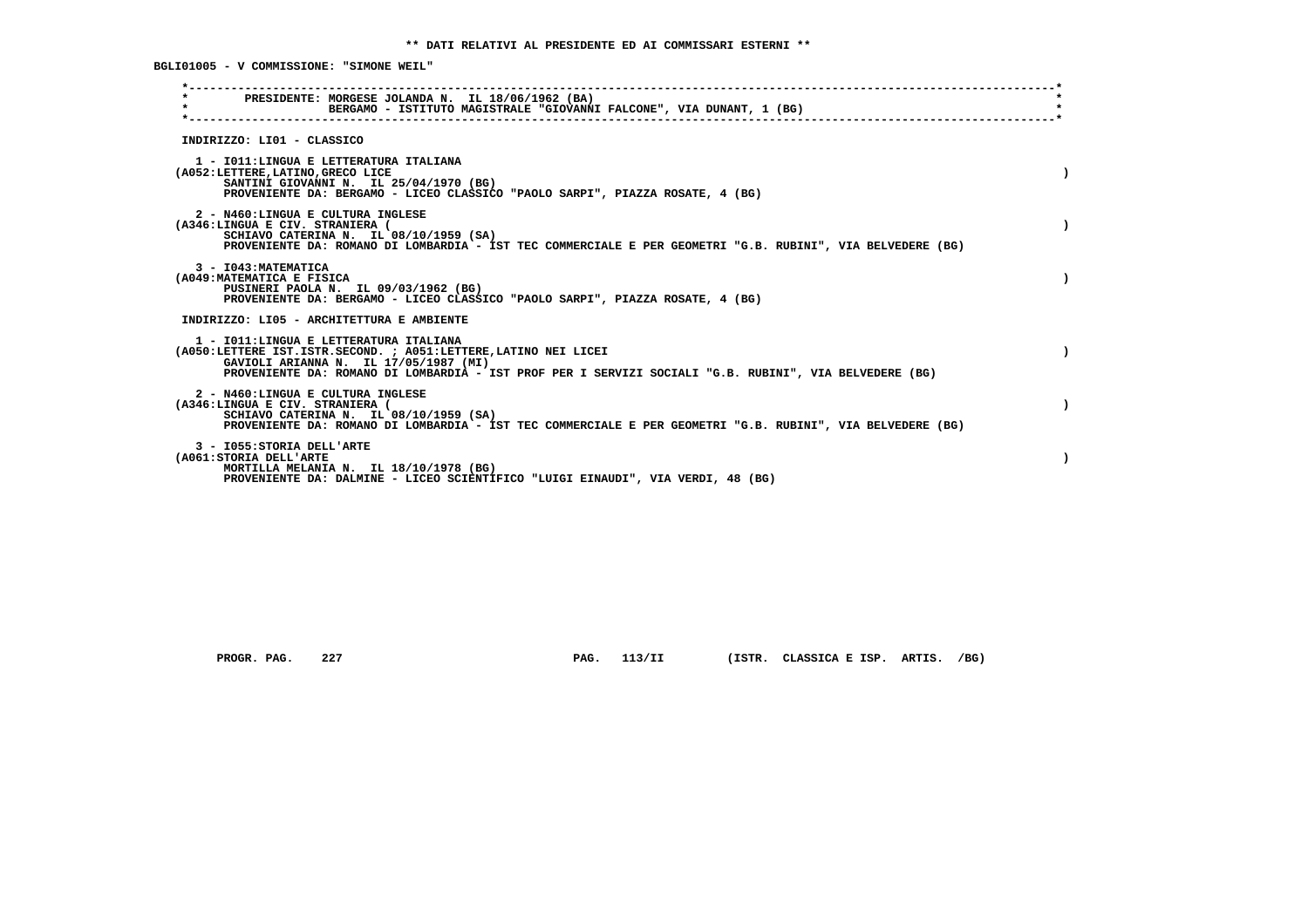**BGLI01005 - V COMMISSIONE: "SIMONE WEIL"**

| PRESIDENTE: MORGESE JOLANDA N. IL 18/06/1962 (BA)<br>$\star$<br>BERGAMO - ISTITUTO MAGISTRALE "GIOVANNI FALCONE", VIA DUNANT, 1 (BG)                                                                                                                          |  |
|---------------------------------------------------------------------------------------------------------------------------------------------------------------------------------------------------------------------------------------------------------------|--|
| INDIRIZZO: LI01 - CLASSICO                                                                                                                                                                                                                                    |  |
| 1 - IO11: LINGUA E LETTERATURA ITALIANA<br>(A052:LETTERE, LATINO, GRECO LICE<br>SANTINI GIOVANNI N. IL 25/04/1970 (BG)<br>PROVENIENTE DA: BERGAMO - LICEO CLASSICO "PAOLO SARPI", PIAZZA ROSATE, 4 (BG)                                                       |  |
| 2 - N460:LINGUA E CULTURA INGLESE<br>(A346:LINGUA E CIV. STRANIERA (<br>SCHIAVO CATERINA N. IL 08/10/1959 (SA)<br>PROVENIENTE DA: ROMANO DI LOMBARDIA - IST TEC COMMERCIALE E PER GEOMETRI "G.B. RUBINI", VIA BELVEDERE (BG)                                  |  |
| 3 - I043: MATEMATICA<br>(A049: MATEMATICA E FISICA<br>PUSINERI PAOLA N. IL 09/03/1962 (BG)<br>PROVENIENTE DA: BERGAMO - LICEO CLASSICO "PAOLO SARPI", PIAZZA ROSATE, 4 (BG)                                                                                   |  |
| INDIRIZZO: LI05 - ARCHITETTURA E AMBIENTE                                                                                                                                                                                                                     |  |
| 1 - IO11: LINGUA E LETTERATURA ITALIANA<br>(A050:LETTERE IST.ISTR.SECOND. ; A051:LETTERE, LATINO NEI LICEI<br>GAVIOLI ARIANNA N. IL 17/05/1987 (MI)<br>PROVENIENTE DA: ROMANO DI LOMBARDIA - IST PROF PER I SERVIZI SOCIALI "G.B. RUBINI", VIA BELVEDERE (BG) |  |
| 2 - N460:LINGUA E CULTURA INGLESE<br>(A346:LINGUA E CIV. STRANIERA (<br>SCHIAVO CATERINA N. IL 08/10/1959 (SA)<br>PROVENIENTE DA: ROMANO DI LOMBARDIA - IST TEC COMMERCIALE E PER GEOMETRI "G.B. RUBINI", VIA BELVEDERE (BG)                                  |  |
| 3 - I055: STORIA DELL'ARTE<br>(A061:STORIA DELL'ARTE<br>MORTILLA MELANIA N. IL 18/10/1978 (BG)<br>PROVENIENTE DA: DALMINE - LICEO SCIENTIFICO "LUIGI EINAUDI", VIA VERDI, 48 (BG)                                                                             |  |

 **PROGR. PAG. 227 PAG. 113/II (ISTR. CLASSICA E ISP. ARTIS. /BG)**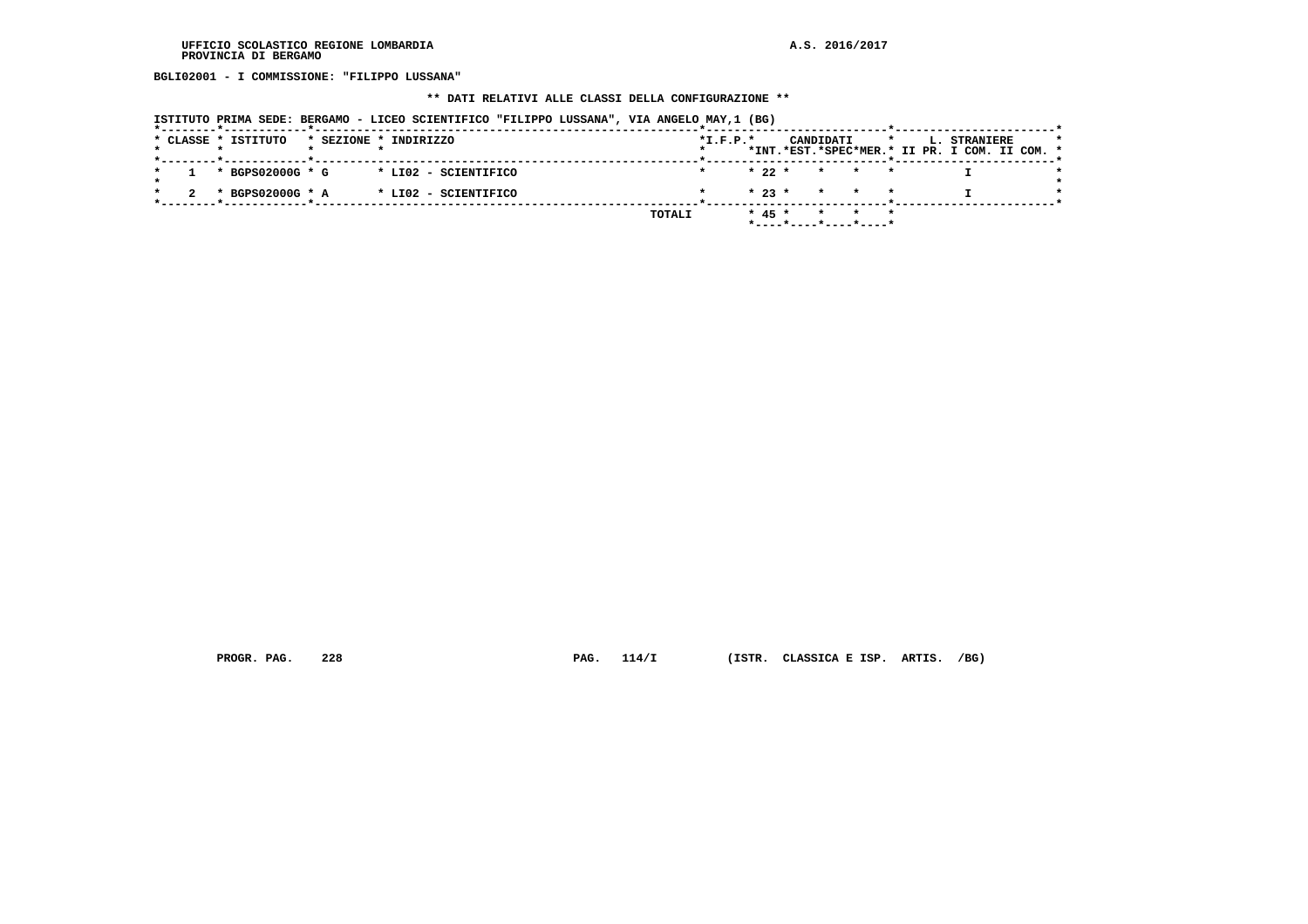**BGLI02001 - I COMMISSIONE: "FILIPPO LUSSANA"**

# **\*\* DATI RELATIVI ALLE CLASSI DELLA CONFIGURAZIONE \*\***

| ISTITUTO PRIMA SEDE: BERGAMO - LICEO SCIENTIFICO "FILIPPO LUSSANA", VIA ANGELO MAY,1 (BG) |  |  |  |  |  |  |  |
|-------------------------------------------------------------------------------------------|--|--|--|--|--|--|--|
|-------------------------------------------------------------------------------------------|--|--|--|--|--|--|--|

|  | * CLASSE * ISTITUTO |  | * SEZIONE * INDIRIZZO |        | $*L.F.P.*$ |          | CANDIDATI |                                            | $\star$ |  | <b>L. STRANIERE</b>                           |  | $\star$ |
|--|---------------------|--|-----------------------|--------|------------|----------|-----------|--------------------------------------------|---------|--|-----------------------------------------------|--|---------|
|  |                     |  |                       |        |            |          |           |                                            |         |  | *INT.*EST.*SPEC*MER.* II PR. I COM. II COM. * |  |         |
|  |                     |  |                       |        |            |          |           |                                            |         |  |                                               |  |         |
|  | * BGPS02000G * G    |  | * LI02 - SCIENTIFICO  |        |            |          |           | $\star$ 22 $\star$ $\star$ $\star$ $\star$ |         |  |                                               |  |         |
|  |                     |  |                       |        |            |          |           |                                            |         |  |                                               |  |         |
|  | * BGPS02000G * A    |  | * LI02 - SCIENTIFICO  |        |            |          |           | $* 23 * * * * * * *$                       |         |  |                                               |  |         |
|  |                     |  |                       |        |            |          |           |                                            |         |  |                                               |  |         |
|  |                     |  |                       | TOTALI |            | $* 45 *$ |           | $\star$ $\star$ $\star$                    |         |  |                                               |  |         |
|  |                     |  |                       |        |            |          |           | *----*----*----*----*                      |         |  |                                               |  |         |

 **PROGR. PAG. 228 PAG. 114/I (ISTR. CLASSICA E ISP. ARTIS. /BG)**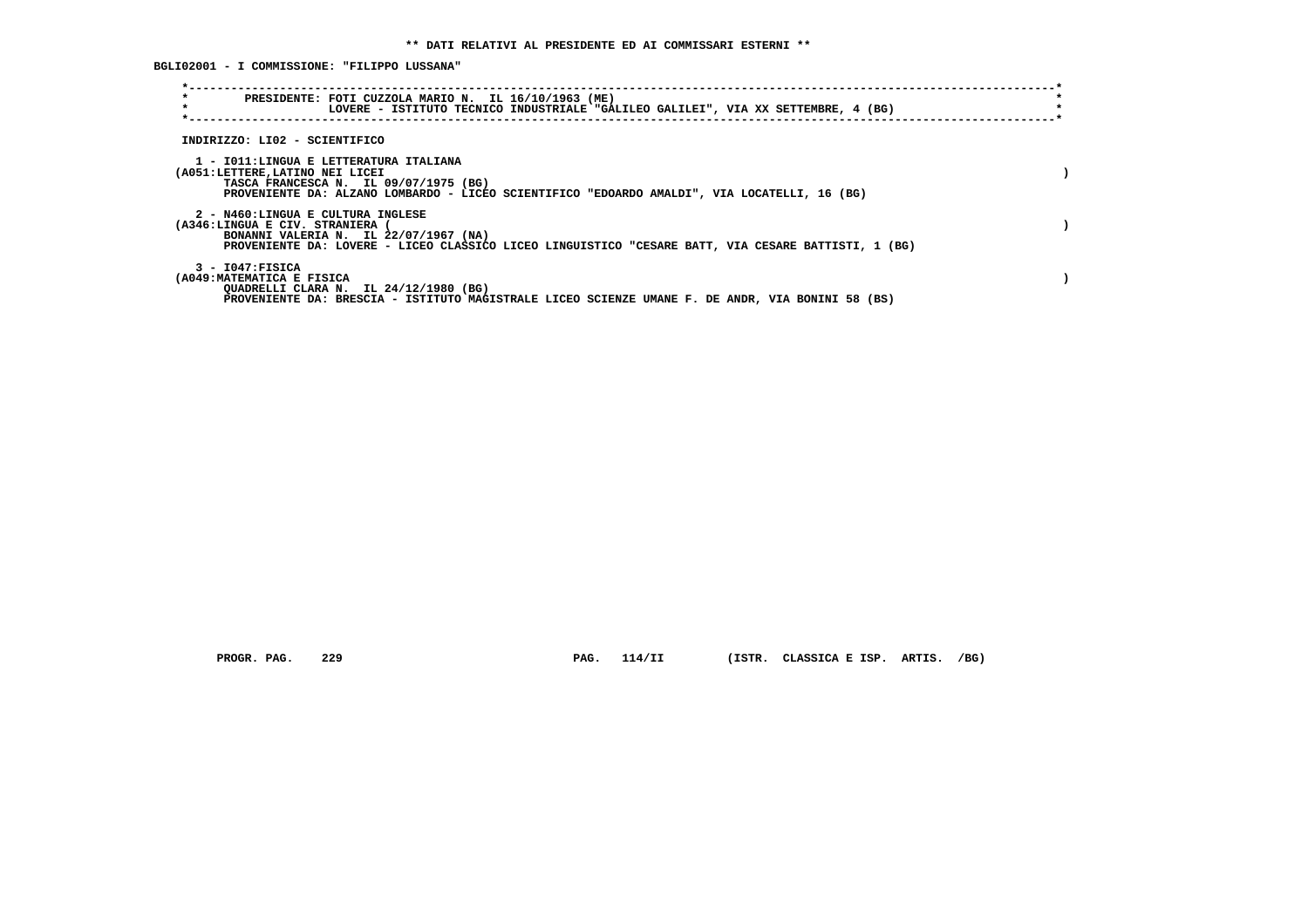**BGLI02001 - I COMMISSIONE: "FILIPPO LUSSANA"**

| $\star$<br>$\star$                                                 | PRESIDENTE: FOTI CUZZOLA MARIO N. IL 16/10/1963 (ME)<br>LOVERE - ISTITUTO TECNICO INDUSTRIALE "GALILEO GALILEI", VIA XX SETTEMBRE, 4 (BG)                                       |  |
|--------------------------------------------------------------------|---------------------------------------------------------------------------------------------------------------------------------------------------------------------------------|--|
| INDIRIZZO: LI02 - SCIENTIFICO                                      |                                                                                                                                                                                 |  |
| (A051:LETTERE,LATINO NEI LICEI                                     | 1 - IO11:LINGUA E LETTERATURA ITALIANA<br>TASCA FRANCESCA N. IL 09/07/1975 (BG)<br>PROVENIENTE DA: ALZANO LOMBARDO - LICEO SCIENTIFICO "EDOARDO AMALDI", VIA LOCATELLI, 16 (BG) |  |
| 2 - N460:LINGUA E CULTURA INGLESE<br>(A346:LINGUA E CIV. STRANIERA | BONANNI VALERIA N. IL 22/07/1967 (NA)<br>PROVENIENTE DA: LOVERE - LICEO CLASSICO LICEO LINGUISTICO "CESARE BATT, VIA CESARE BATTISTI, 1 (BG)                                    |  |
| $3 - 1047:$ FISICA<br>(A049:MATEMATICA E FISICA                    | QUADRELLI CLARA N. IL 24/12/1980 (BG)<br>PROVENIENTE DA: BRESCIA - ISTITUTO MAGISTRALE LICEO SCIENZE UMANE F. DE ANDR, VIA BONINI 58 (BS)                                       |  |

 **PROGR. PAG. 229 PAG. 114/II (ISTR. CLASSICA E ISP. ARTIS. /BG)**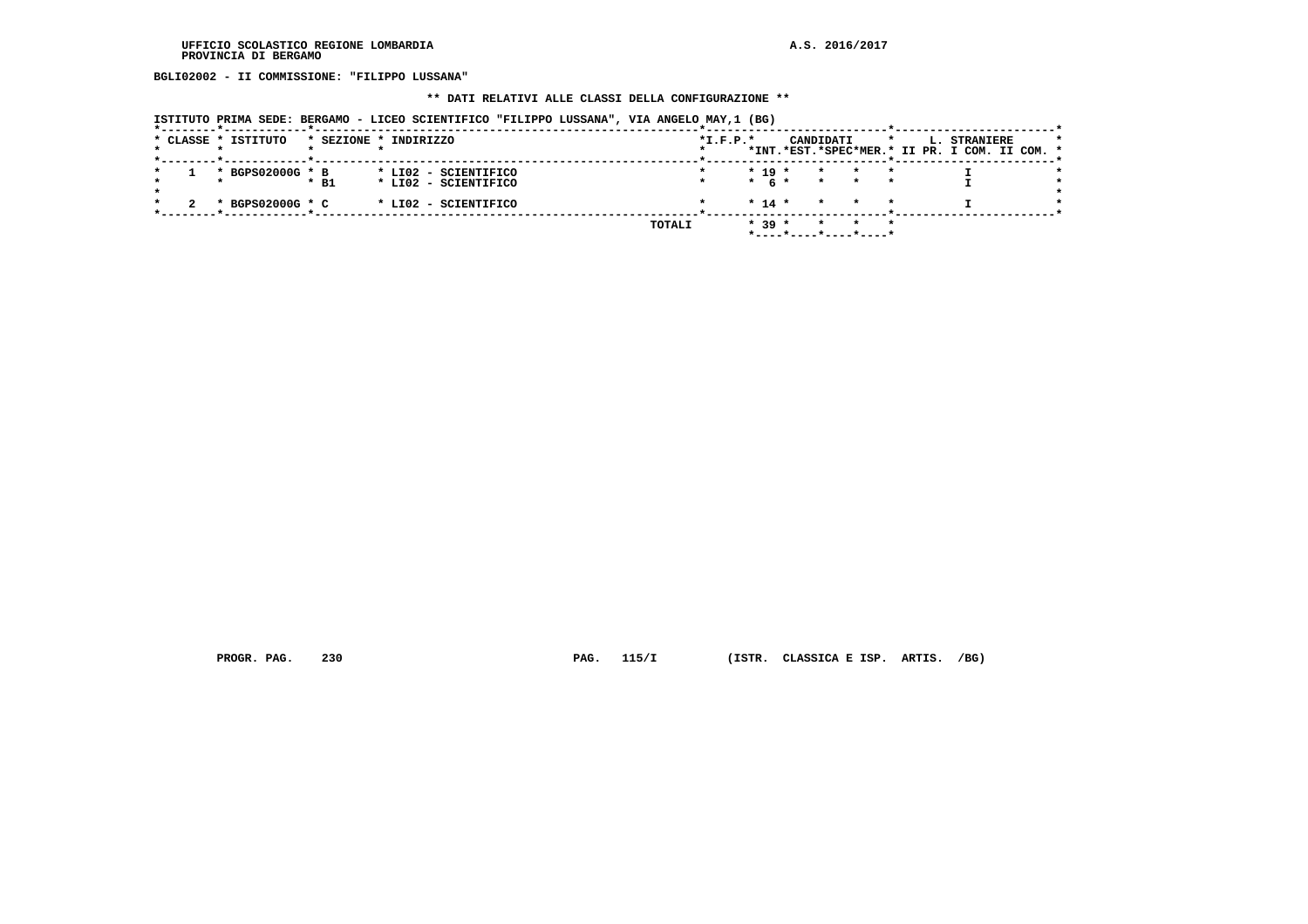**BGLI02002 - II COMMISSIONE: "FILIPPO LUSSANA"**

# **\*\* DATI RELATIVI ALLE CLASSI DELLA CONFIGURAZIONE \*\***

|  |  |  | ISTITUTO PRIMA SEDE: BERGAMO - LICEO SCIENTIFICO "FILIPPO LUSSANA", VIA ANGELO MAY,1 (BG) |  |
|--|--|--|-------------------------------------------------------------------------------------------|--|
|--|--|--|-------------------------------------------------------------------------------------------|--|

|  | * CLASSE * ISTITUTO | * SEZIONE * INDIRIZZO |  |                      |               | $*I.F.P.*$ |           | CANDIDATI |         |  | L. STRANIERE                                  |  |  |
|--|---------------------|-----------------------|--|----------------------|---------------|------------|-----------|-----------|---------|--|-----------------------------------------------|--|--|
|  |                     |                       |  |                      |               |            |           |           |         |  | *INT.*EST.*SPEC*MER.* II PR. I COM. II COM. * |  |  |
|  | * BGPS02000G * B    |                       |  | * LI02 - SCIENTIFICO |               |            | $* 19 *$  | $\star$   |         |  |                                               |  |  |
|  |                     | $*$ B1                |  | * LIO2 - SCIENTIFICO |               |            | $*$ 6 $*$ | $\star$   |         |  |                                               |  |  |
|  | * BGPS02000G * C    |                       |  | * LI02 - SCIENTIFICO |               |            | $* 14 *$  | $\star$   | $\star$ |  |                                               |  |  |
|  |                     |                       |  |                      | <b>TOTALI</b> |            | $* 39 *$  |           |         |  |                                               |  |  |
|  |                     |                       |  |                      |               |            |           |           |         |  |                                               |  |  |

 **PROGR. PAG. 230 PAG. 115/I (ISTR. CLASSICA E ISP. ARTIS. /BG)**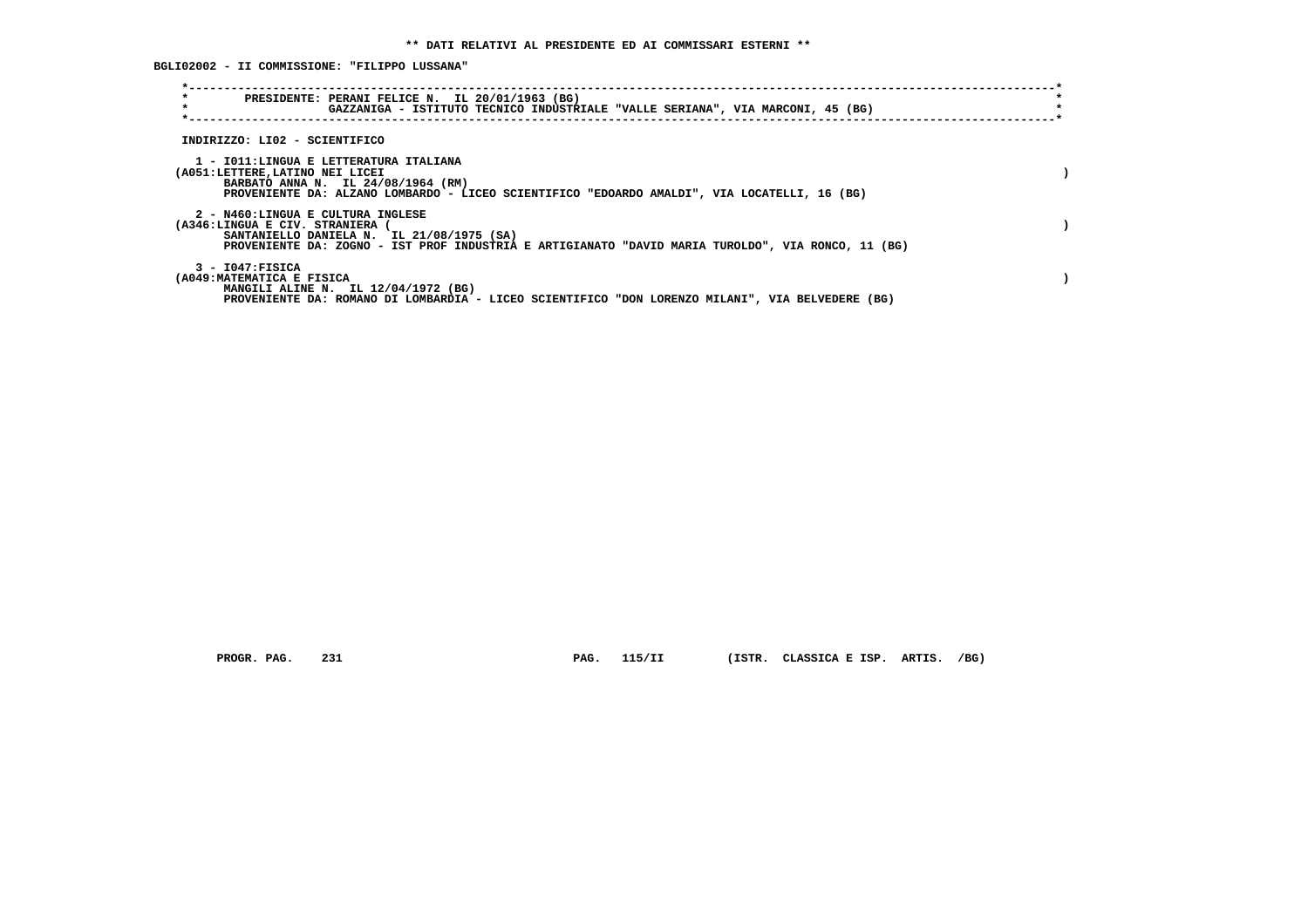**BGLI02002 - II COMMISSIONE: "FILIPPO LUSSANA"**

| $\star$<br>PRESIDENTE: PERANI FELICE N. IL 20/01/1963 (BG)<br>$\star$<br>GAZZANIGA - ISTITUTO TECNICO INDUSTRIALE "VALLE SERIANA", VIA MARCONI, 45 (BG)                                                               |  |
|-----------------------------------------------------------------------------------------------------------------------------------------------------------------------------------------------------------------------|--|
| INDIRIZZO: LI02 - SCIENTIFICO                                                                                                                                                                                         |  |
| 1 - IO11:LINGUA E LETTERATURA ITALIANA<br>(A051:LETTERE, LATINO NEI LICEI<br>BARBATO ANNA N. IL 24/08/1964 (RM)<br>PROVENIENTE DA: ALZANO LOMBARDO - LICEO SCIENTIFICO "EDOARDO AMALDI", VIA LOCATELLI, 16 (BG)       |  |
| 2 - N460:LINGUA E CULTURA INGLESE<br>(A346:LINGUA E CIV. STRANIERA<br>SANTANIELLO DANIELA N. IL 21/08/1975 (SA)<br>PROVENIENTE DA: ZOGNO - IST PROF INDUSTRIA E ARTIGIANATO "DAVID MARIA TUROLDO", VIA RONCO, 11 (BG) |  |
| $3 - 1047$ : FISICA<br>(A049: MATEMATICA E FISICA<br>MANGILI ALINE N. IL 12/04/1972 (BG)<br>PROVENIENTE DA: ROMANO DI LOMBARDIA - LICEO SCIENTIFICO "DON LORENZO MILANI", VIA BELVEDERE (BG)                          |  |

 **PROGR. PAG. 231 PAG. 115/II (ISTR. CLASSICA E ISP. ARTIS. /BG)**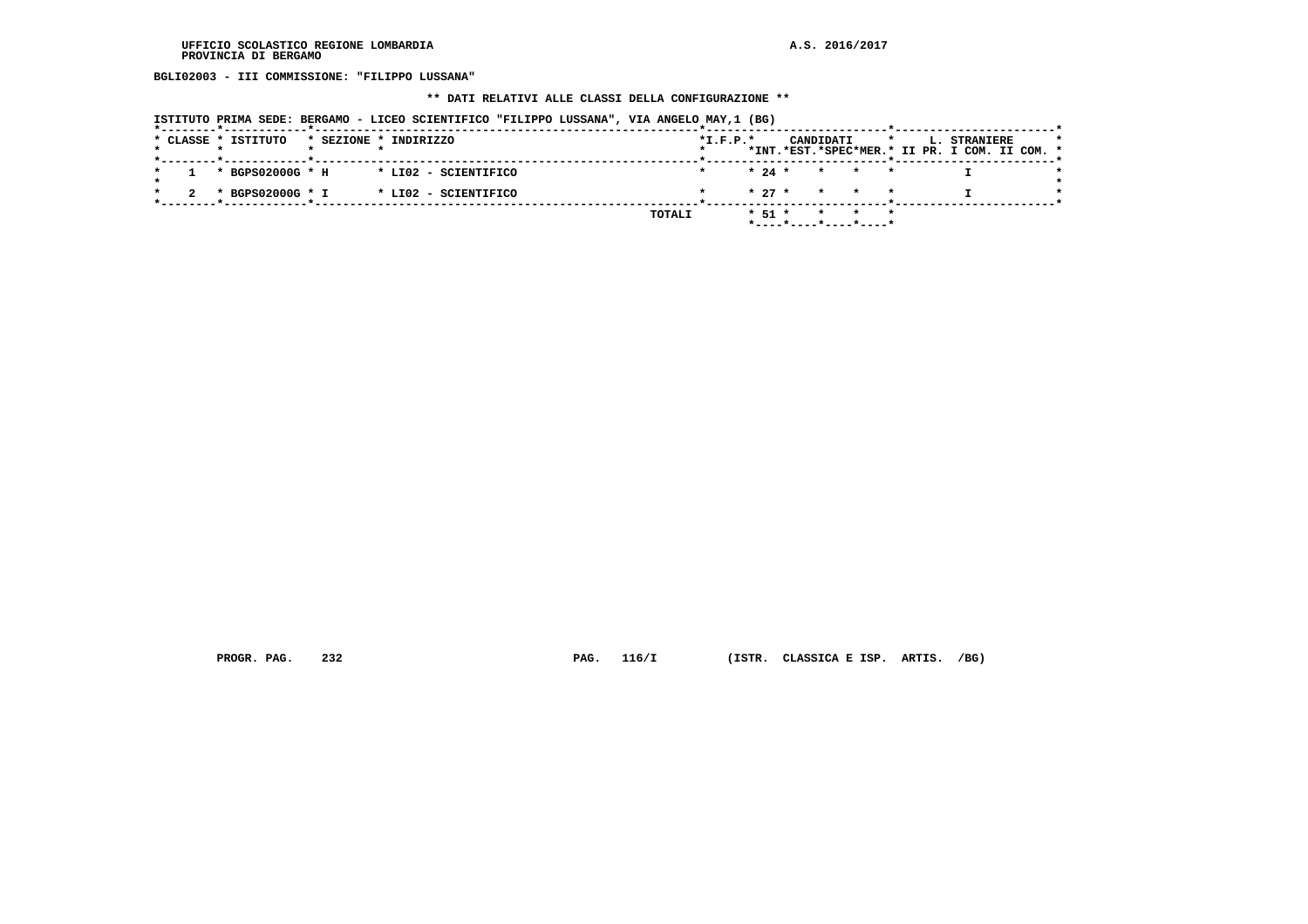**BGLI02003 - III COMMISSIONE: "FILIPPO LUSSANA"**

# **\*\* DATI RELATIVI ALLE CLASSI DELLA CONFIGURAZIONE \*\***

| ISTITUTO PRIMA SEDE: BERGAMO - LICEO SCIENTIFICO "FILIPPO LUSSANA", VIA ANGELO MAY,1 (BG) |  |  |  |  |  |
|-------------------------------------------------------------------------------------------|--|--|--|--|--|
|                                                                                           |  |  |  |  |  |

|  |  | * CLASSE * ISTITUTO |  | * SEZIONE * INDIRIZZO |        | $*L.F.P.*$ |            |                       | CANDIDATI |                         |  | L. STRANIERE<br>*INT.*EST.*SPEC*MER.* II PR. I COM. II COM. * |  |  |
|--|--|---------------------|--|-----------------------|--------|------------|------------|-----------------------|-----------|-------------------------|--|---------------------------------------------------------------|--|--|
|  |  |                     |  |                       |        |            |            |                       |           |                         |  |                                                               |  |  |
|  |  | * BGPS02000G * H    |  | * LI02 - SCIENTIFICO  |        |            |            | $* 24 *$              |           | $\star$ $\star$ $\star$ |  |                                                               |  |  |
|  |  |                     |  |                       |        |            |            |                       |           |                         |  |                                                               |  |  |
|  |  | * BGPS02000G * I    |  | * LI02 - SCIENTIFICO  |        |            |            | $* 27 * * * * * *$    |           |                         |  |                                                               |  |  |
|  |  |                     |  |                       |        |            |            |                       |           |                         |  |                                                               |  |  |
|  |  |                     |  |                       | TOTALI |            | $*$ 51 $*$ |                       |           |                         |  |                                                               |  |  |
|  |  |                     |  |                       |        |            |            | *----*----*----*----* |           |                         |  |                                                               |  |  |
|  |  |                     |  |                       |        |            |            |                       |           |                         |  |                                                               |  |  |

 **PROGR. PAG. 232 PAG. 116/I (ISTR. CLASSICA E ISP. ARTIS. /BG)**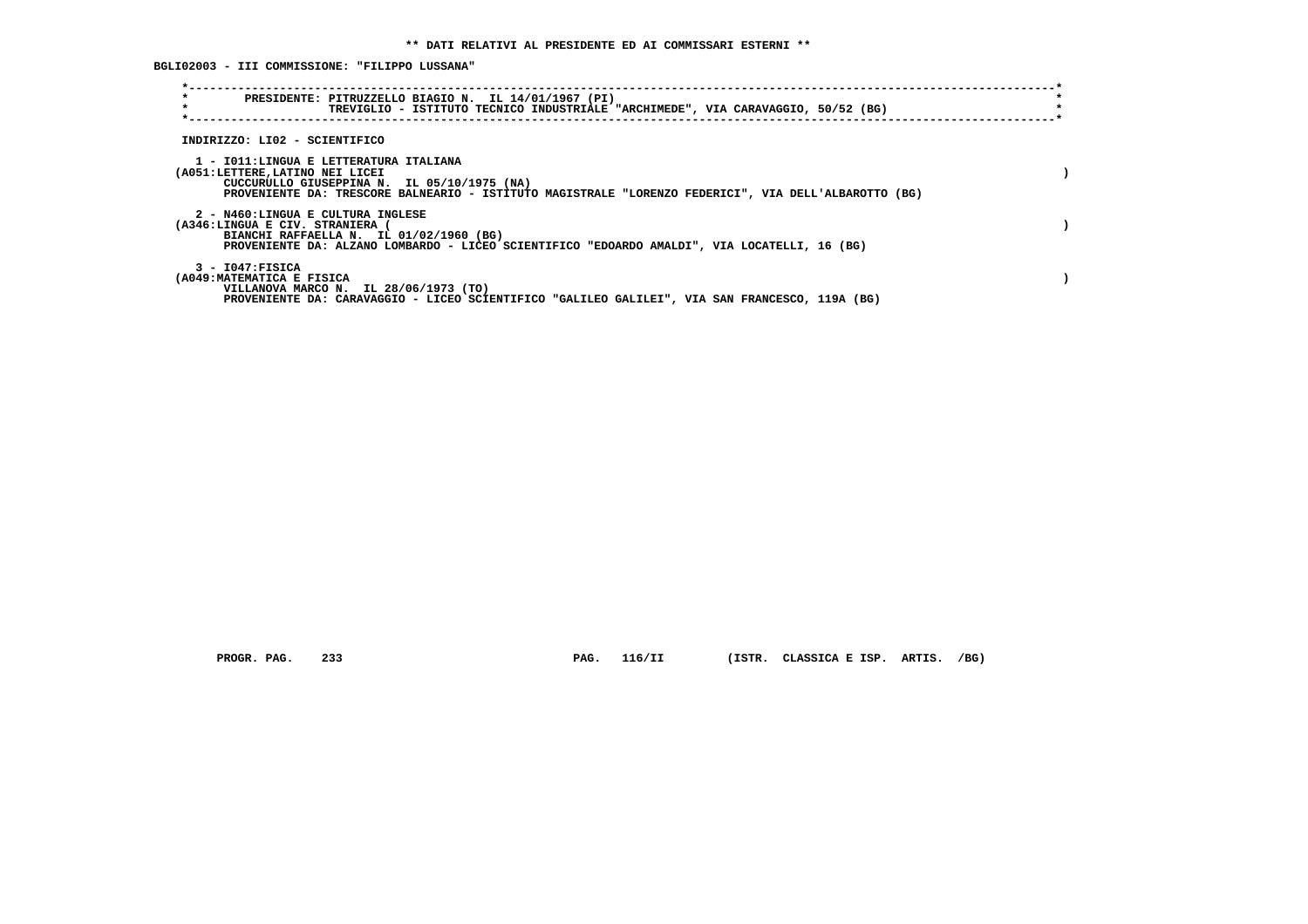**BGLI02003 - III COMMISSIONE: "FILIPPO LUSSANA"**

| $\star$<br>PRESIDENTE: PITRUZZELLO BIAGIO N. IL 14/01/1967 (PI)<br>$\star$                                                                                                                                                      | TREVIGLIO - ISTITUTO TECNICO INDUSTRIALE "ARCHIMEDE", VIA CARAVAGGIO, 50/52 (BG) |  |  |
|---------------------------------------------------------------------------------------------------------------------------------------------------------------------------------------------------------------------------------|----------------------------------------------------------------------------------|--|--|
| INDIRIZZO: LI02 - SCIENTIFICO                                                                                                                                                                                                   |                                                                                  |  |  |
| 1 - IO11:LINGUA E LETTERATURA ITALIANA<br>(A051:LETTERE,LATINO NEI LICEI<br>CUCCURULLO GIUSEPPINA N. IL 05/10/1975 (NA)<br>PROVENIENTE DA: TRESCORE BALNEARIO - ISTITUTO MAGISTRALE "LORENZO FEDERICI", VIA DELL'ALBAROTTO (BG) |                                                                                  |  |  |
| 2 - N460:LINGUA E CULTURA INGLESE<br>(A346:LINGUA E CIV. STRANIERA (<br>BIANCHI RAFFAELLA N. IL 01/02/1960 (BG)<br>PROVENIENTE DA: ALZANO LOMBARDO - LICEO SCIENTIFICO "EDOARDO AMALDI", VIA LOCATELLI, 16 (BG)                 |                                                                                  |  |  |
| 3 - I047:FISICA<br>(A049: MATEMATICA E FISICA<br>VILLANOVA MARCO N. IL 28/06/1973 (TO)<br>PROVENIENTE DA: CARAVAGGIO - LICEO SCIENTIFICO "GALILEO GALILEI", VIA SAN FRANCESCO, 119A (BG)                                        |                                                                                  |  |  |

 **PROGR. PAG. 233 PAG. 116/II (ISTR. CLASSICA E ISP. ARTIS. /BG)**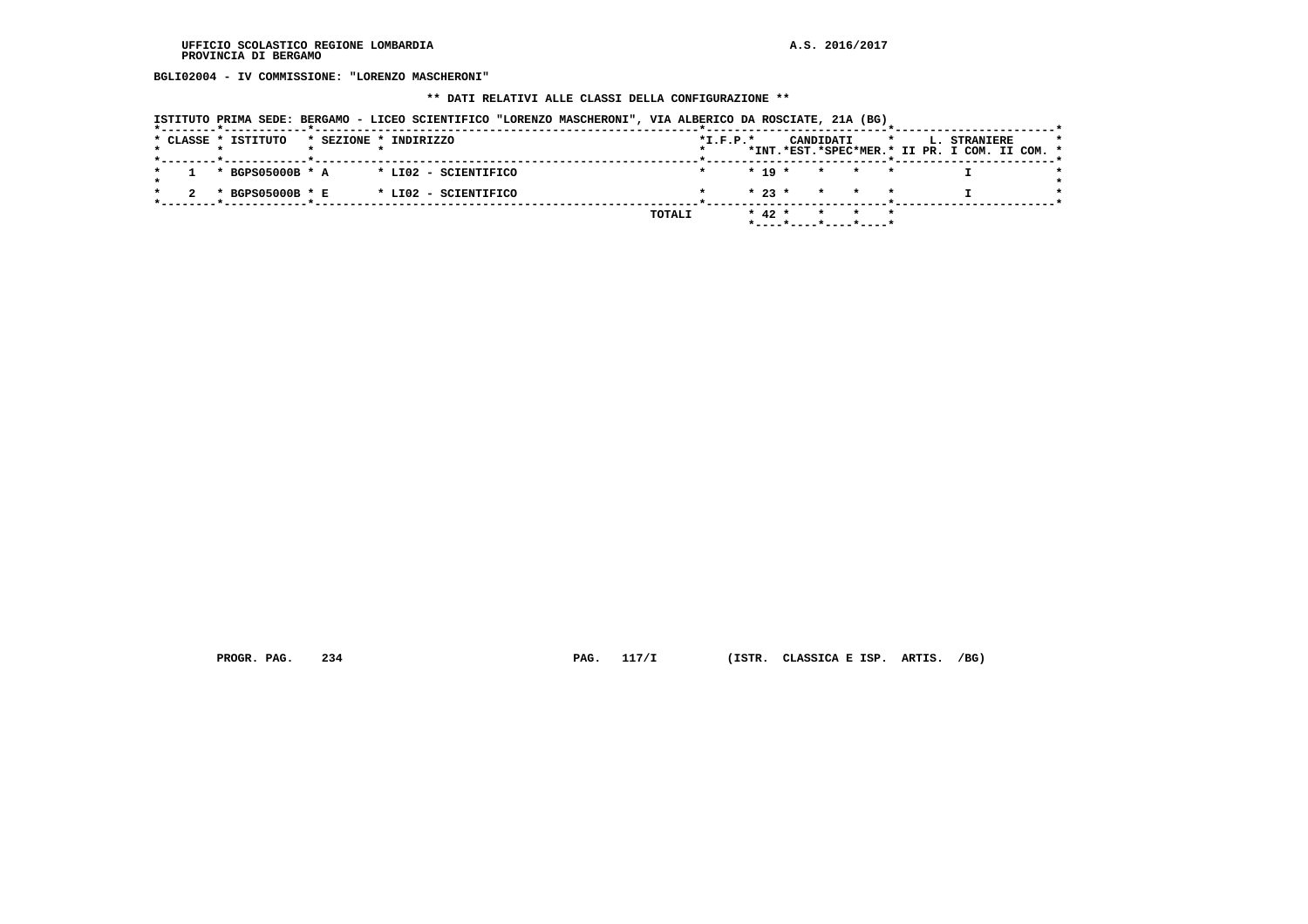**BGLI02004 - IV COMMISSIONE: "LORENZO MASCHERONI"**

# **\*\* DATI RELATIVI ALLE CLASSI DELLA CONFIGURAZIONE \*\***

| ISTITUTO PRIMA SEDE: BERGAMO - LICEO SCIENTIFICO "LORENZO MASCHERONI", VIA ALBERICO DA ROSCIATE, 21A (BG) |  |  |  |  |  |  |  |  |  |
|-----------------------------------------------------------------------------------------------------------|--|--|--|--|--|--|--|--|--|
|-----------------------------------------------------------------------------------------------------------|--|--|--|--|--|--|--|--|--|

|  |  | * CLASSE * ISTITUTO |  | * SEZIONE * INDIRIZZO |        | $*L.F.P.*$ |            |                                            | CANDIDATI |                         | *INT.*EST.*SPEC*MER.* II PR. I COM. II COM. * | L. STRANIERE |  |  |
|--|--|---------------------|--|-----------------------|--------|------------|------------|--------------------------------------------|-----------|-------------------------|-----------------------------------------------|--------------|--|--|
|  |  |                     |  |                       |        |            |            |                                            |           |                         |                                               |              |  |  |
|  |  | * BGPS05000B * A    |  | * LI02 - SCIENTIFICO  |        |            |            | $* 19 *$                                   |           | $\star$ $\star$ $\star$ |                                               |              |  |  |
|  |  |                     |  |                       |        |            |            |                                            |           |                         |                                               |              |  |  |
|  |  | * BGPS05000B * E    |  | * LI02 - SCIENTIFICO  |        |            |            | $\star$ 23 $\star$ $\star$ $\star$ $\star$ |           |                         |                                               |              |  |  |
|  |  |                     |  |                       |        |            |            |                                            |           |                         |                                               |              |  |  |
|  |  |                     |  |                       | TOTALI |            | $*$ 42 $*$ |                                            |           |                         |                                               |              |  |  |
|  |  |                     |  |                       |        |            |            | *----*----*----*----*                      |           |                         |                                               |              |  |  |
|  |  |                     |  |                       |        |            |            |                                            |           |                         |                                               |              |  |  |

 **PROGR. PAG. 234 PAG. 117/I (ISTR. CLASSICA E ISP. ARTIS. /BG)**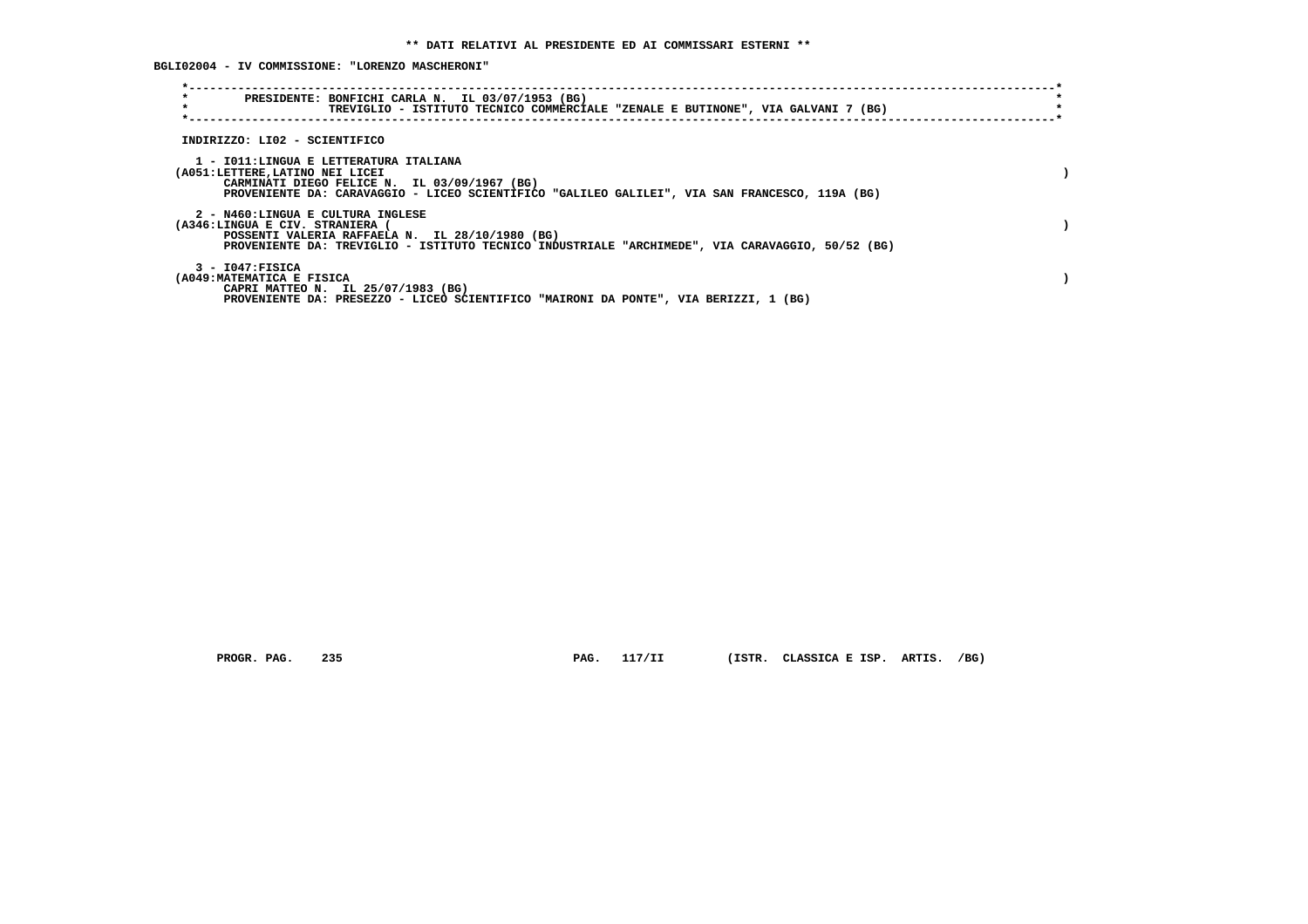**BGLI02004 - IV COMMISSIONE: "LORENZO MASCHERONI"**

| $\star$<br>PRESIDENTE: BONFICHI CARLA N. IL 03/07/1953 (BG)<br>$\star$<br>TREVIGLIO - ISTITUTO TECNICO COMMERCIALE "ZENALE E BUTINONE", VIA GALVANI 7 (BG)                                                                  |  |
|-----------------------------------------------------------------------------------------------------------------------------------------------------------------------------------------------------------------------------|--|
| INDIRIZZO: LI02 - SCIENTIFICO                                                                                                                                                                                               |  |
| 1 - IO11:LINGUA E LETTERATURA ITALIANA<br>(A051:LETTERE, LATINO NEI LICEI<br>CARMINATI DIEGO FELICE N. IL 03/09/1967 (BG)<br>PROVENIENTE DA: CARAVAGGIO - LICEO SCIENTIFICO "GALILEO GALILEI", VIA SAN FRANCESCO, 119A (BG) |  |
| 2 - N460:LINGUA E CULTURA INGLESE<br>(A346:LINGUA E CIV. STRANIERA<br>POSSENTI VALERIA RAFFAELA N. IL 28/10/1980 (BG)<br>PROVENIENTE DA: TREVIGLIO - ISTITUTO TECNICO INDUSTRIALE "ARCHIMEDE", VIA CARAVAGGIO, 50/52 (BG)   |  |
| $3 - 1047:$ FISICA<br>(A049: MATEMATICA E FISICA<br>CAPRI MATTEO N. IL 25/07/1983 (BG)<br>PROVENIENTE DA: PRESEZZO - LICEO SCIENTIFICO "MAIRONI DA PONTE", VIA BERIZZI, 1 (BG)                                              |  |

 **PROGR. PAG. 235 PAG. 117/II (ISTR. CLASSICA E ISP. ARTIS. /BG)**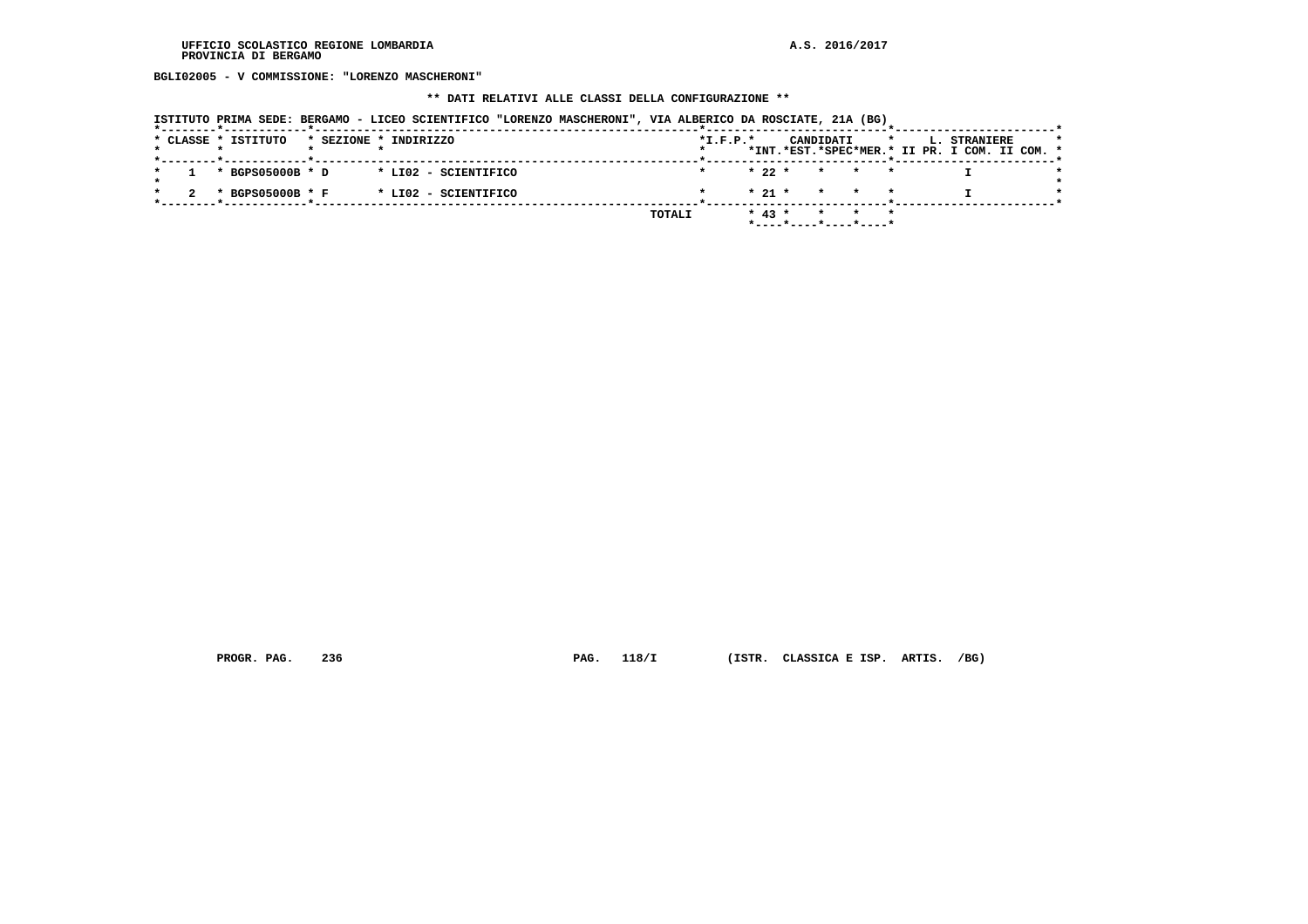**BGLI02005 - V COMMISSIONE: "LORENZO MASCHERONI"**

#### **\*\* DATI RELATIVI ALLE CLASSI DELLA CONFIGURAZIONE \*\***

| ISTITUTO PRIMA SEDE: BERGAMO - LICEO SCIENTIFICO "LORENZO MASCHERONI", VIA ALBERICO DA ROSCIATE, 21A (BG) |  |  |  |  |
|-----------------------------------------------------------------------------------------------------------|--|--|--|--|
|-----------------------------------------------------------------------------------------------------------|--|--|--|--|

|  | * CLASSE * ISTITUTO |  | * SEZIONE * INDIRIZZO |        | $*L.F.P.*$ |          |  | CANDIDATI |                         |  | L. STRANIERE<br>*INT.*EST.*SPEC*MER.* II PR. I COM. II COM. * |  |  |
|--|---------------------|--|-----------------------|--------|------------|----------|--|-----------|-------------------------|--|---------------------------------------------------------------|--|--|
|  |                     |  |                       |        |            |          |  |           |                         |  |                                                               |  |  |
|  | * BGPS05000B * D    |  | * LI02 - SCIENTIFICO  |        |            | $* 22 *$ |  |           | $\star$ $\star$ $\star$ |  |                                                               |  |  |
|  |                     |  |                       |        |            |          |  |           |                         |  |                                                               |  |  |
|  | * BGPS05000B * F    |  | * LI02 - SCIENTIFICO  |        |            | $* 21 *$ |  |           | $\star$ $\star$ $\star$ |  |                                                               |  |  |
|  |                     |  |                       |        |            |          |  |           |                         |  |                                                               |  |  |
|  |                     |  |                       | TOTALI |            | $* 43 *$ |  |           |                         |  |                                                               |  |  |
|  |                     |  |                       |        |            |          |  |           |                         |  |                                                               |  |  |

 **PROGR. PAG. 236 PAG. 118/I (ISTR. CLASSICA E ISP. ARTIS. /BG)**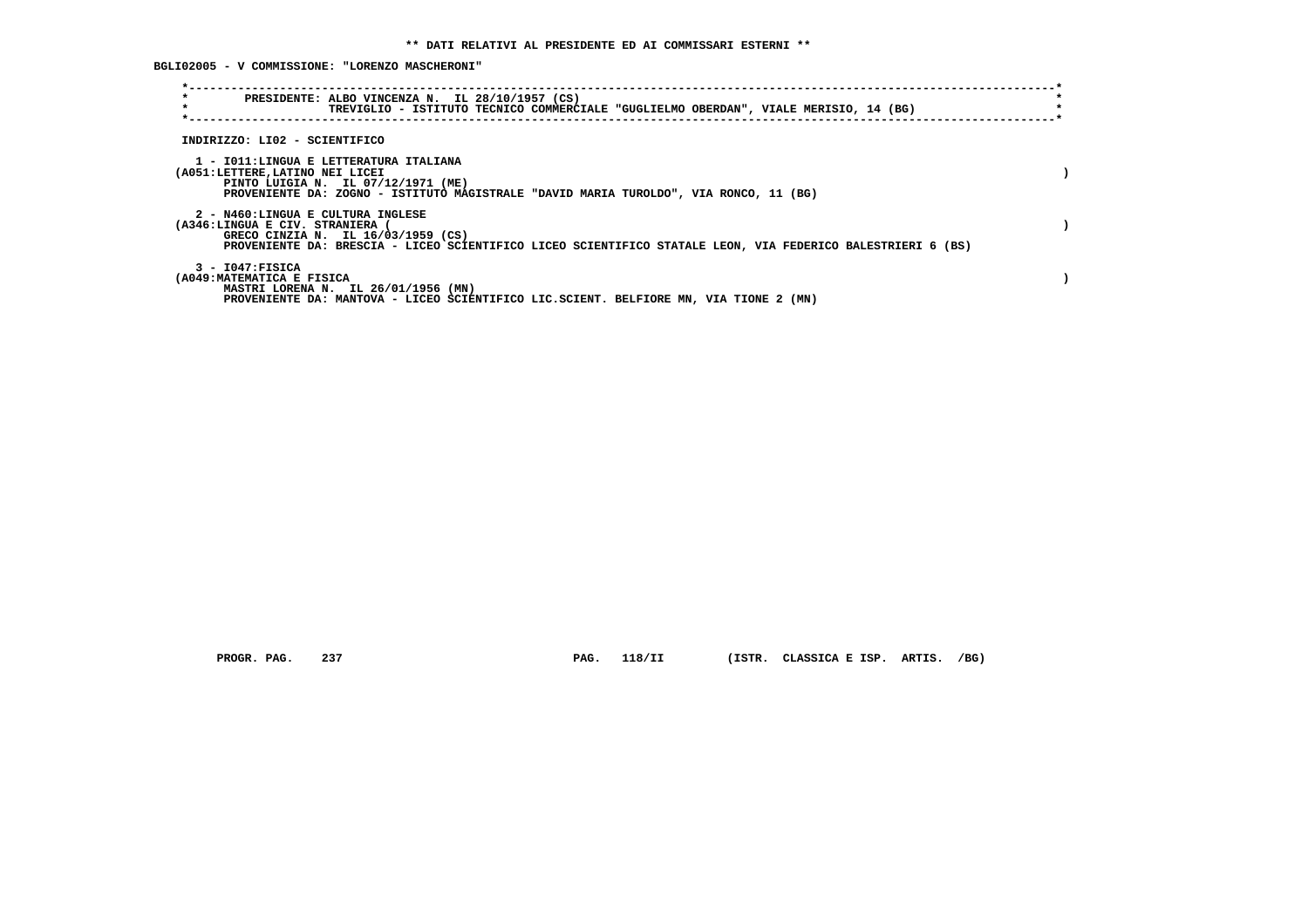**BGLI02005 - V COMMISSIONE: "LORENZO MASCHERONI"**

| $\star$<br>$\star$                                                 | PRESIDENTE: ALBO VINCENZA N. IL 28/10/1957 (CS)<br>TREVIGLIO - ISTITUTO TECNICO COMMERCIALE "GUGLIELMO OBERDAN", VIALE MERISIO, 14 (BG)                               |  |
|--------------------------------------------------------------------|-----------------------------------------------------------------------------------------------------------------------------------------------------------------------|--|
| INDIRIZZO: LI02 - SCIENTIFICO                                      |                                                                                                                                                                       |  |
| (A051:LETTERE, LATINO NEI LICEI                                    | 1 - IO11:LINGUA E LETTERATURA ITALIANA<br>PINTO LUIGIA N. IL 07/12/1971 (ME)<br>PROVENIENTE DA: ZOGNO - ISTITUTO MAGISTRALE "DAVID MARIA TUROLDO", VIA RONCO, 11 (BG) |  |
| 2 - N460:LINGUA E CULTURA INGLESE<br>(A346:LINGUA E CIV. STRANIERA | GRECO CINZIA N. IL 16/03/1959 (CS)<br>PROVENIENTE DA: BRESCIA - LICEO SCIENTIFICO LICEO SCIENTIFICO STATALE LEON, VIA FEDERICO BALESTRIERI 6 (BS)                     |  |
| $3 - 1047:$ FISICA<br>(A049: MATEMATICA E FISICA                   | MASTRI LORENA N. IL 26/01/1956 (MN)<br>PROVENIENTE DA: MANTOVA - LICEO SCIENTIFICO LIC.SCIENT. BELFIORE MN, VIA TIONE 2 (MN)                                          |  |

 **PROGR. PAG. 237 PAG. 118/II (ISTR. CLASSICA E ISP. ARTIS. /BG)**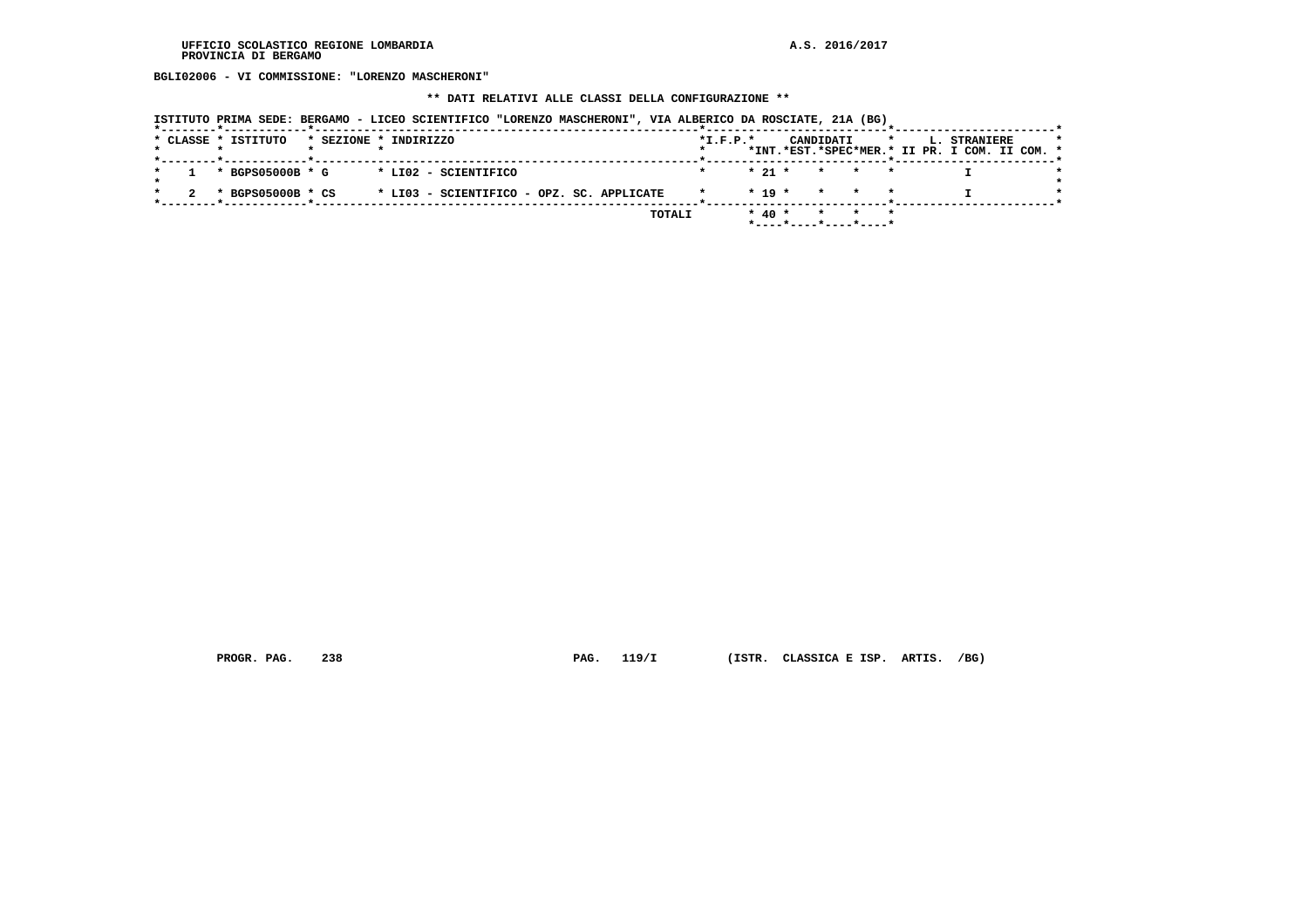**BGLI02006 - VI COMMISSIONE: "LORENZO MASCHERONI"**

#### **\*\* DATI RELATIVI ALLE CLASSI DELLA CONFIGURAZIONE \*\***

|  |  | ISTITUTO PRIMA SEDE: BERGAMO - LICEO SCIENTIFICO "LORENZO MASCHERONI", VIA ALBERICO DA ROSCIATE, 21A (BG) |  |  |  |  |
|--|--|-----------------------------------------------------------------------------------------------------------|--|--|--|--|
|--|--|-----------------------------------------------------------------------------------------------------------|--|--|--|--|

|  | * CLASSE * ISTITUTO |  | * SEZIONE * INDIRIZZO                     | $*L.F.P.*$ |            |  | CANDIDATI |                                            |  | <b>L. STRANIERE</b>                           |  |
|--|---------------------|--|-------------------------------------------|------------|------------|--|-----------|--------------------------------------------|--|-----------------------------------------------|--|
|  |                     |  |                                           |            |            |  |           |                                            |  | *INT.*EST.*SPEC*MER.* II PR. I COM. II COM. * |  |
|  |                     |  |                                           |            |            |  |           |                                            |  |                                               |  |
|  | * BGPS05000B * G    |  | * LI02 - SCIENTIFICO                      |            |            |  |           | $\star$ 21 $\star$ $\star$ $\star$ $\star$ |  |                                               |  |
|  |                     |  |                                           |            |            |  |           |                                            |  |                                               |  |
|  | * BGPS05000B * CS   |  | * LI03 - SCIENTIFICO - OPZ. SC. APPLICATE |            |            |  |           | $* 19 * * * * * *$                         |  |                                               |  |
|  |                     |  |                                           |            |            |  |           |                                            |  |                                               |  |
|  |                     |  | TOTALI                                    |            | $*$ 40 $*$ |  |           | * * *                                      |  |                                               |  |
|  |                     |  |                                           |            |            |  |           | $*$ ----*----*----*----*                   |  |                                               |  |

 **PROGR. PAG. 238 PAG. 119/I (ISTR. CLASSICA E ISP. ARTIS. /BG)**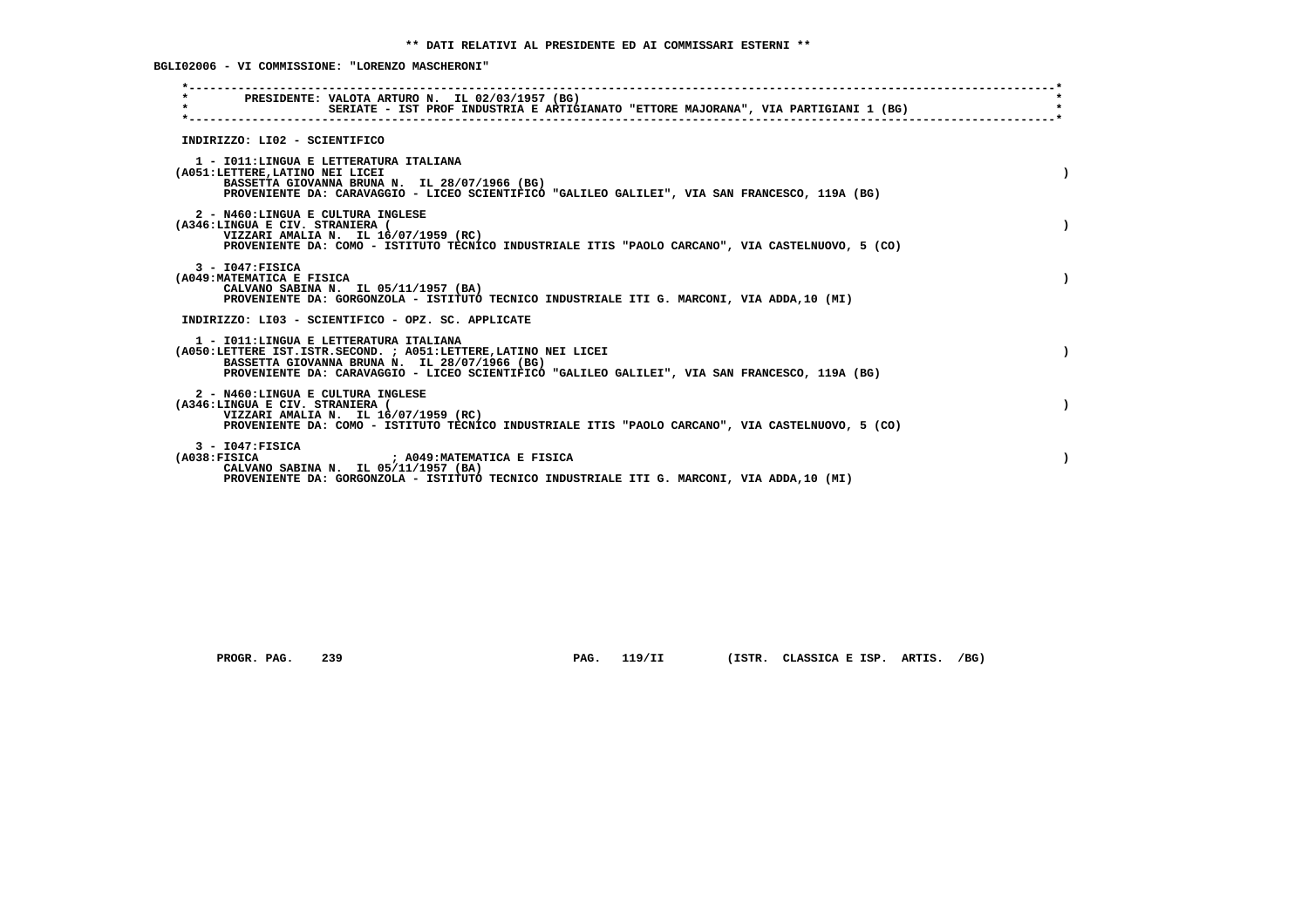**BGLI02006 - VI COMMISSIONE: "LORENZO MASCHERONI"**

| PRESIDENTE: VALOTA ARTURO N. IL 02/03/1957 (BG)<br>$\star$<br>SERIATE - IST PROF INDUSTRIA E ARTIGIANATO "ETTORE MAJORANA", VIA PARTIGIANI 1 (BG)                                                                                                             |           |
|---------------------------------------------------------------------------------------------------------------------------------------------------------------------------------------------------------------------------------------------------------------|-----------|
| INDIRIZZO: LI02 - SCIENTIFICO                                                                                                                                                                                                                                 |           |
| 1 - IO11: LINGUA E LETTERATURA ITALIANA<br>(A051:LETTERE, LATINO NEI LICEI<br>BASSETTA GIOVANNA BRUNA N. IL 28/07/1966 (BG)<br>PROVENIENTE DA: CARAVAGGIO - LICEO SCIENTIFICO "GALILEO GALILEI", VIA SAN FRANCESCO, 119A (BG)                                 |           |
| 2 - N460:LINGUA E CULTURA INGLESE<br>(A346:LINGUA E CIV. STRANIERA (<br>VIZZARI AMALIA N. IL 16/07/1959 (RC)<br>PROVENIENTE DA: COMO - ISTITUTO TECNICO INDUSTRIALE ITIS "PAOLO CARCANO", VIA CASTELNUOVO, 5 (CO)                                             |           |
| $3 - 1047:$ FISICA<br>(A049: MATEMATICA E FISICA<br>CALVANO SABINA N. IL 05/11/1957 (BA)<br>PROVENIENTE DA: GORGONZOLA - ISTITUTO TECNICO INDUSTRIALE ITI G. MARCONI, VIA ADDA,10 (MI)                                                                        |           |
| INDIRIZZO: LI03 - SCIENTIFICO - OPZ. SC. APPLICATE                                                                                                                                                                                                            |           |
| 1 - IO11: LINGUA E LETTERATURA ITALIANA<br>(A050:LETTERE IST.ISTR.SECOND. ; A051:LETTERE, LATINO NEI LICEI<br>BASSETTA GIOVANNA BRUNA N. IL 28/07/1966 (BG)<br>PROVENIENTE DA: CARAVAGGIO - LICEO SCIENTIFICO "GALILEO GALILEI", VIA SAN FRANCESCO, 119A (BG) | $\lambda$ |
| 2 - N460:LINGUA E CULTURA INGLESE<br>(A346:LINGUA E CIV. STRANIERA (<br>VIZZARI AMALIA N. IL 16/07/1959 (RC)<br>PROVENIENTE DA: COMO - ISTITUTO TECNICO INDUSTRIALE ITIS "PAOLO CARCANO", VIA CASTELNUOVO, 5 (CO)                                             |           |
| $3 - 1047:$ FISICA<br>(A038:FTSTCA<br>; A049:MATEMATICA E FISICA<br>CALVANO SABINA N. IL 05/11/1957 (BA)<br>PROVENIENTE DA: GORGONZOLA - ISTITUTO TECNICO INDUSTRIALE ITI G. MARCONI, VIA ADDA, 10 (MI)                                                       |           |
|                                                                                                                                                                                                                                                               |           |

 **PROGR. PAG. 239 PAG. 119/II (ISTR. CLASSICA E ISP. ARTIS. /BG)**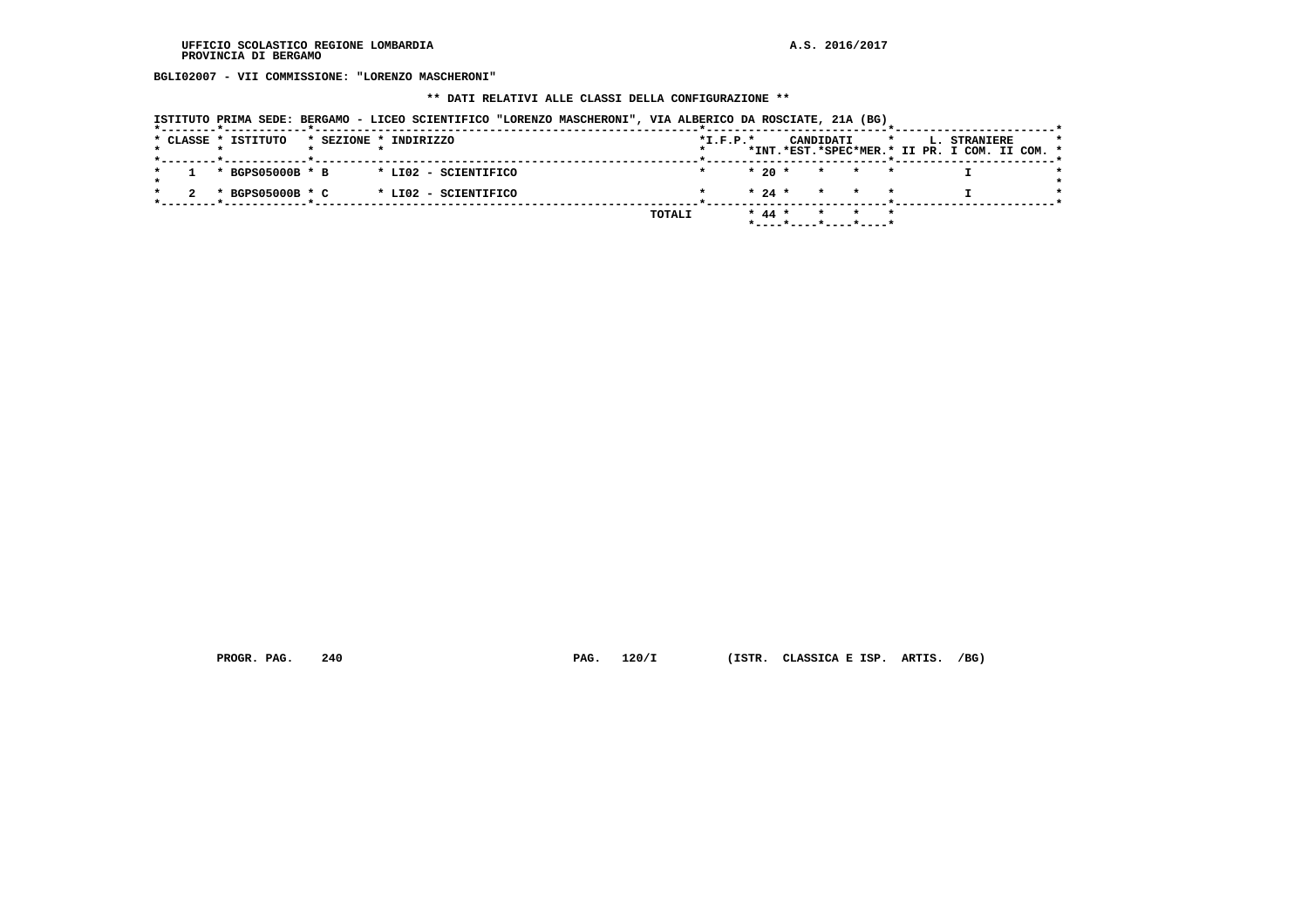**BGLI02007 - VII COMMISSIONE: "LORENZO MASCHERONI"**

# **\*\* DATI RELATIVI ALLE CLASSI DELLA CONFIGURAZIONE \*\***

| ISTITUTO PRIMA SEDE: BERGAMO - LICEO SCIENTIFICO "LORENZO MASCHERONI", VIA ALBERICO DA ROSCIATE, 21A (BG) |  |  |  |  |  |  |  |  |  |
|-----------------------------------------------------------------------------------------------------------|--|--|--|--|--|--|--|--|--|
|-----------------------------------------------------------------------------------------------------------|--|--|--|--|--|--|--|--|--|

|  |  | * CLASSE * ISTITUTO |  | * SEZIONE * INDIRIZZO |        | $*L.F.P.*$ |            |                                            | CANDIDATI |       | *INT.*EST.*SPEC*MER.* II PR. I COM. II COM. * | L. STRANIERE |  |  |
|--|--|---------------------|--|-----------------------|--------|------------|------------|--------------------------------------------|-----------|-------|-----------------------------------------------|--------------|--|--|
|  |  | * BGPS05000B * B    |  | * LI02 - SCIENTIFICO  |        |            |            | $*20*$                                     |           | * * * |                                               |              |  |  |
|  |  | * BGPS05000B * C    |  | * LI02 - SCIENTIFICO  |        |            |            | $\star$ 24 $\star$ $\star$ $\star$ $\star$ |           |       |                                               |              |  |  |
|  |  |                     |  |                       | TOTALI |            | $*$ 44 $*$ | *----*----*----*----*                      |           |       |                                               |              |  |  |
|  |  |                     |  |                       |        |            |            |                                            |           |       |                                               |              |  |  |

 **PROGR. PAG. 240 PAG. 120/I (ISTR. CLASSICA E ISP. ARTIS. /BG)**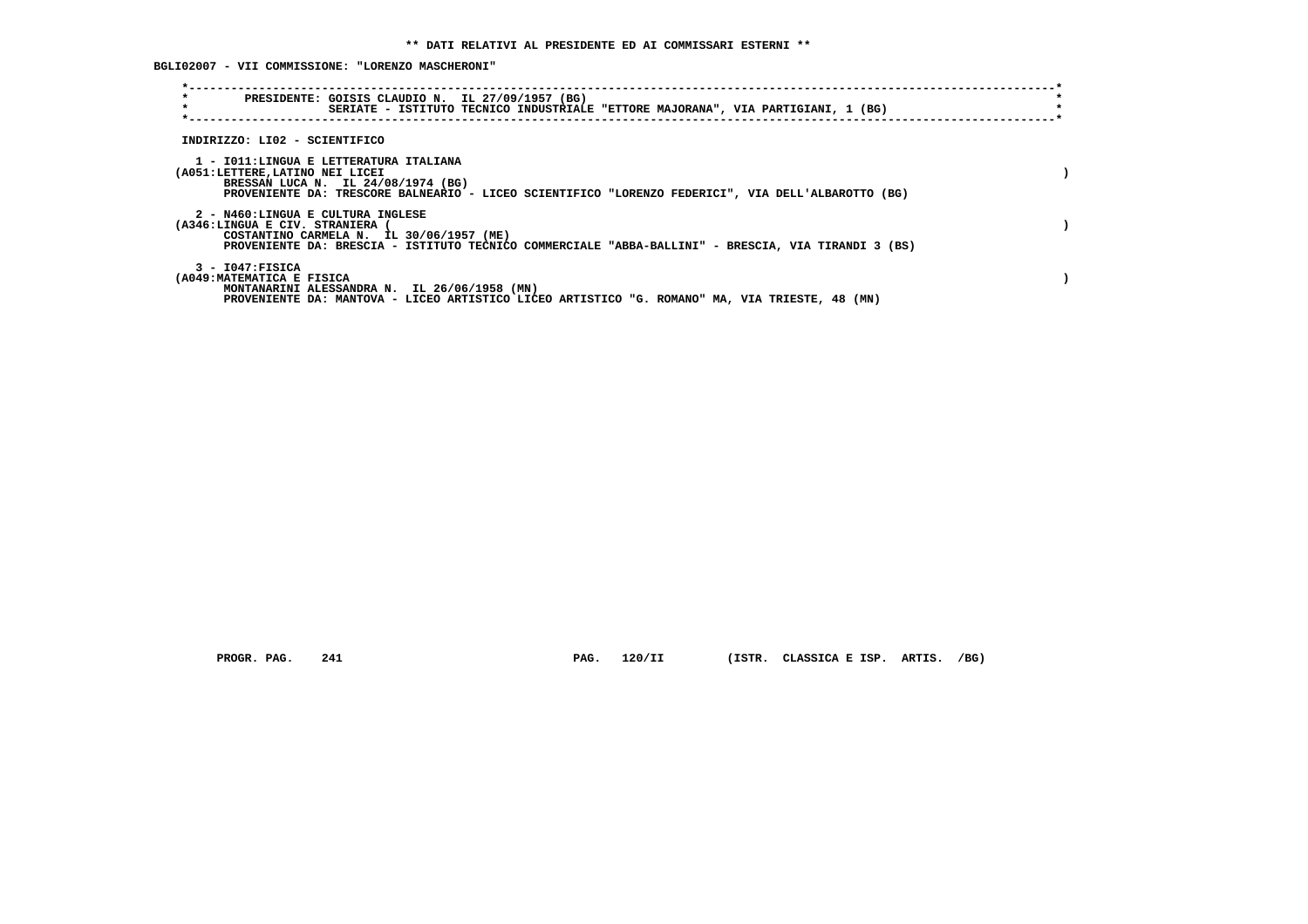**BGLI02007 - VII COMMISSIONE: "LORENZO MASCHERONI"**

| $\star$<br>$\star$                                                 | PRESIDENTE: GOISIS CLAUDIO N. IL 27/09/1957 (BG)<br>SERIATE - ISTITUTO TECNICO INDUSTRIALE "ETTORE MAJORANA", VIA PARTIGIANI, 1 (BG)                                               |  |
|--------------------------------------------------------------------|------------------------------------------------------------------------------------------------------------------------------------------------------------------------------------|--|
| INDIRIZZO: LI02 - SCIENTIFICO                                      |                                                                                                                                                                                    |  |
| (A051:LETTERE,LATINO NEI LICEI                                     | 1 - IO11:LINGUA E LETTERATURA ITALIANA<br>BRESSAN LUCA N. IL 24/08/1974 (BG)<br>PROVENIENTE DA: TRESCORE BALNEARIO - LICEO SCIENTIFICO "LORENZO FEDERICI", VIA DELL'ALBAROTTO (BG) |  |
| 2 - N460:LINGUA E CULTURA INGLESE<br>(A346:LINGUA E CIV. STRANIERA | COSTANTINO CARMELA N. IL 30/06/1957 (ME)<br>PROVENIENTE DA: BRESCIA - ISTITUTO TECNICO COMMERCIALE "ABBA-BALLINI" - BRESCIA, VIA TIRANDI 3 (BS)                                    |  |
| $3 - 1047:$ FISICA<br>(A049: MATEMATICA E FISICA                   | MONTANARINI ALESSANDRA N. IL 26/06/1958 (MN)<br>PROVENIENTE DA: MANTOVA - LICEO ARTISTICO LICEO ARTISTICO "G. ROMANO" MA, VIA TRIESTE, 48 (MN)                                     |  |

 **PROGR. PAG. 241 PAG. 120/II (ISTR. CLASSICA E ISP. ARTIS. /BG)**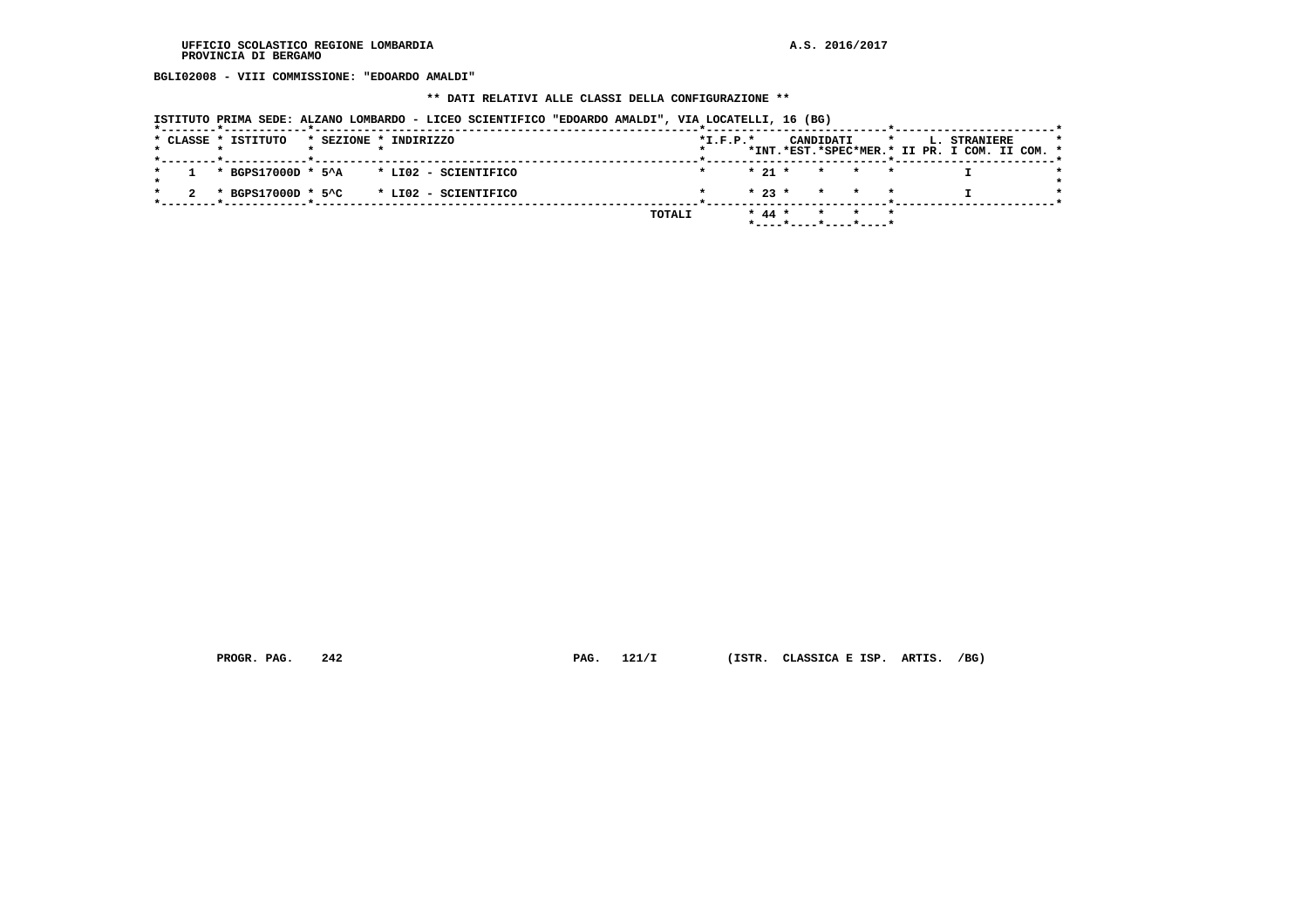**BGLI02008 - VIII COMMISSIONE: "EDOARDO AMALDI"**

#### **\*\* DATI RELATIVI ALLE CLASSI DELLA CONFIGURAZIONE \*\***

| ISTITUTO PRIMA SEDE: ALZANO LOMBARDO - LICEO SCIENTIFICO "EDOARDO AMALDI", VIA LOCATELLI, 16 (BG) |                                                                                                         |
|---------------------------------------------------------------------------------------------------|---------------------------------------------------------------------------------------------------------|
| * CLASSE * ISTITUTO<br>* SEZIONE * INDIRIZZO                                                      | $*$ I.F.P. $*$<br>CANDIDATI<br>$\star$<br>L. STRANIERE<br>*INT.*EST.*SPEC*MER.* II PR. I COM. II COM. * |
| * BGPS17000D * 5^A * LI02 - SCIENTIFICO                                                           | $* 21 *$<br>$\star$ $\star$                                                                             |
| $*$ BGPS17000D $*$ 5^C $*$ LI02 - SCIENTIFICO                                                     | $* 23 *$<br>* * *                                                                                       |
|                                                                                                   | $* 44 *$<br>TOTALI<br>$\star$<br>$*$ ----*----*----*----*                                               |

 **PROGR. PAG. 242 PAG. 121/I (ISTR. CLASSICA E ISP. ARTIS. /BG)**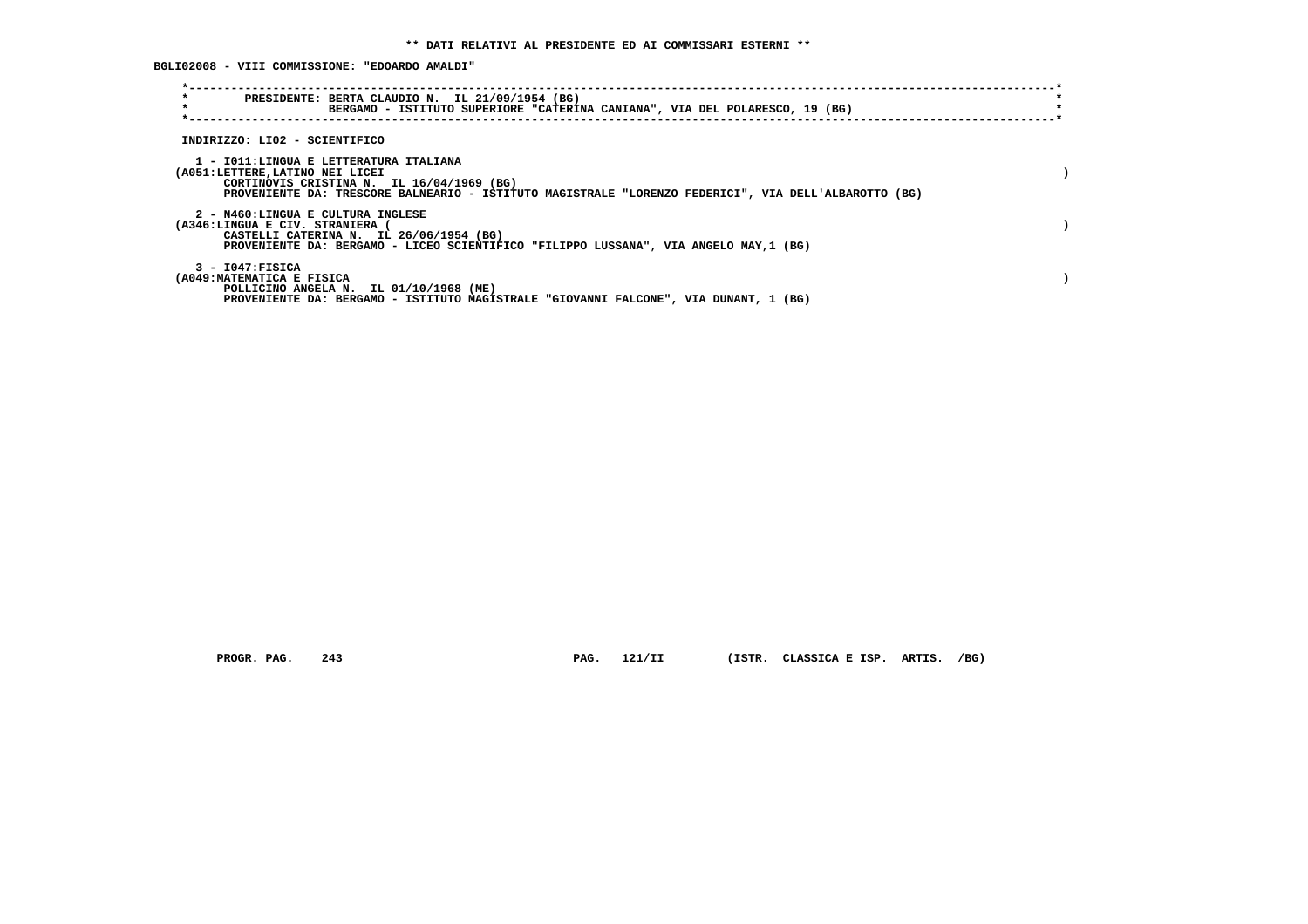**BGLI02008 - VIII COMMISSIONE: "EDOARDO AMALDI"**

| $\star$<br>$\star$                                                        | PRESIDENTE: BERTA CLAUDIO N. IL 21/09/1954 (BG)<br>BERGAMO - ISTITUTO SUPERIORE "CATERINA CANIANA", VIA DEL POLARESCO, 19 (BG)                    |  |
|---------------------------------------------------------------------------|---------------------------------------------------------------------------------------------------------------------------------------------------|--|
| INDIRIZZO: LI02 - SCIENTIFICO                                             |                                                                                                                                                   |  |
| 1 - IO11:LINGUA E LETTERATURA ITALIANA<br>(A051:LETTERE, LATINO NEI LICEI | CORTINOVIS CRISTINA N. IL 16/04/1969 (BG)<br>PROVENIENTE DA: TRESCORE BALNEARIO - ISTITUTO MAGISTRALE "LORENZO FEDERICI", VIA DELL'ALBAROTTO (BG) |  |
| 2 - N460:LINGUA E CULTURA INGLESE<br>(A346:LINGUA E CIV. STRANIERA        | CASTELLI CATERINA N. IL 26/06/1954 (BG)<br>PROVENIENTE DA: BERGAMO - LICEO SCIENTIFICO "FILIPPO LUSSANA", VIA ANGELO MAY, 1 (BG)                  |  |
| $3 - 1047:$ FISICA<br>(A049: MATEMATICA E FISICA                          | POLLICINO ANGELA N. IL 01/10/1968 (ME)<br>PROVENIENTE DA: BERGAMO - ISTITUTO MAGISTRALE "GIOVANNI FALCONE", VIA DUNANT, 1 (BG)                    |  |

 **PROGR. PAG. 243 PAG. 121/II (ISTR. CLASSICA E ISP. ARTIS. /BG)**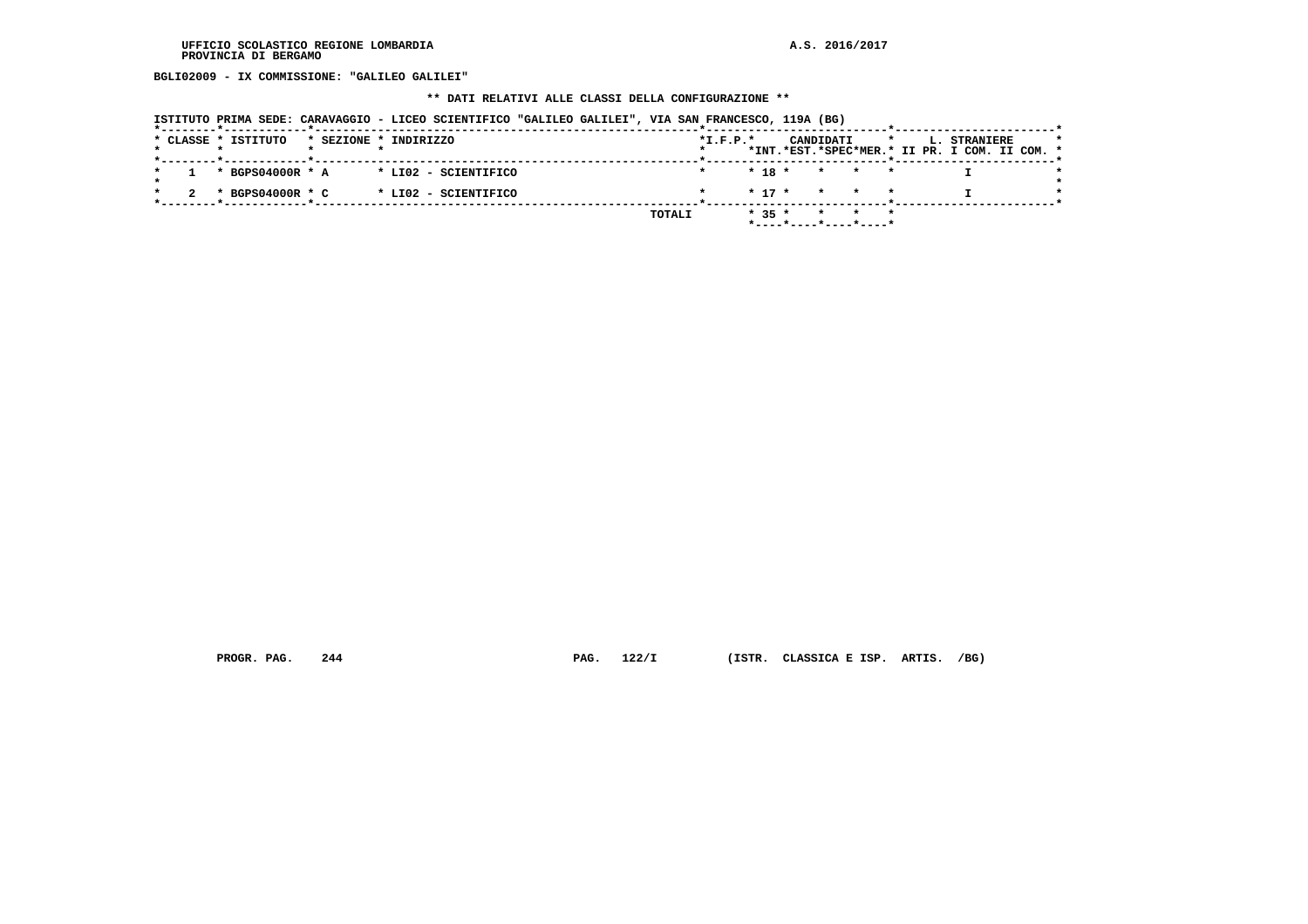**BGLI02009 - IX COMMISSIONE: "GALILEO GALILEI"**

# **\*\* DATI RELATIVI ALLE CLASSI DELLA CONFIGURAZIONE \*\***

|                                                         | ISTITUTO PRIMA SEDE: CARAVAGGIO - LICEO SCIENTIFICO "GALILEO GALILEI", VIA SAN FRANCESCO, 119A (BG) |                |          |                         |         |                                                               |
|---------------------------------------------------------|-----------------------------------------------------------------------------------------------------|----------------|----------|-------------------------|---------|---------------------------------------------------------------|
| * CLASSE * ISTITUTO<br>*--------*------------*--------- | * SEZIONE * INDIRIZZO                                                                               | $*$ I.F.P. $*$ |          | CANDIDATI               | $\star$ | L. STRANIERE<br>*INT.*EST.*SPEC*MER.* II PR. I COM. II COM. * |
| * BGPS04000R * A                                        | * LI02 - SCIENTIFICO                                                                                |                | $* 18 *$ | $\star$ $\star$         |         |                                                               |
| * BGPS04000R * C                                        | * LI02 - SCIENTIFICO                                                                                |                | $* 17 *$ | $\star$ $\star$ $\star$ |         |                                                               |
|                                                         |                                                                                                     | TOTALI         | $* 35 *$ | *----*----*----*----*   |         |                                                               |

 **PROGR. PAG. 244 PAG. 122/I (ISTR. CLASSICA E ISP. ARTIS. /BG)**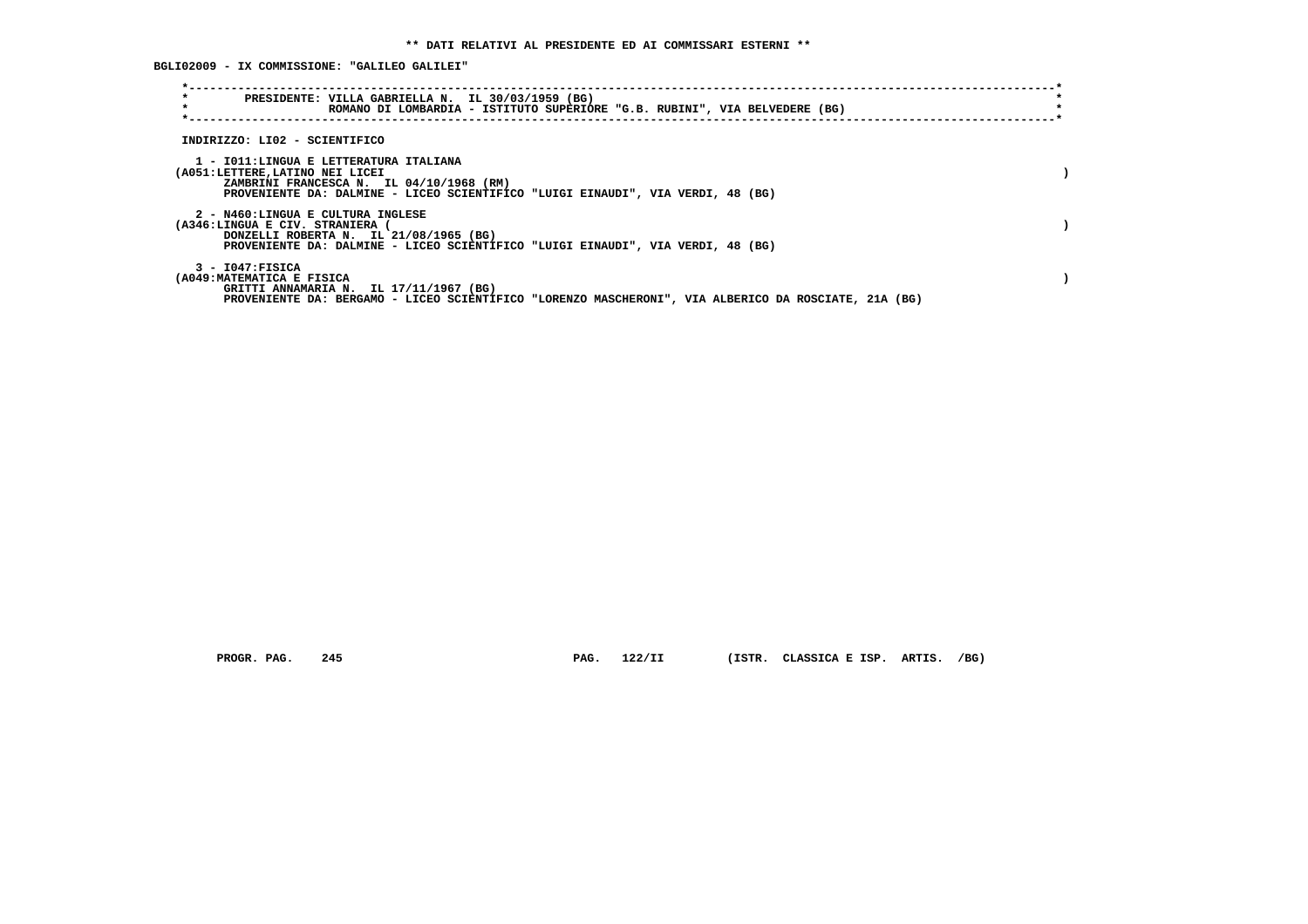**BGLI02009 - IX COMMISSIONE: "GALILEO GALILEI"**

| $\star$<br>$\star$                                                 | PRESIDENTE: VILLA GABRIELLA N. IL 30/03/1959 (BG)<br>ROMANO DI LOMBARDIA - ISTITUTO SUPERIORE "G.B. RUBINI", VIA BELVEDERE (BG)                                       |  |
|--------------------------------------------------------------------|-----------------------------------------------------------------------------------------------------------------------------------------------------------------------|--|
| INDIRIZZO: LI02 - SCIENTIFICO                                      |                                                                                                                                                                       |  |
| (A051:LETTERE,LATINO NEI LICEI                                     | 1 - IO11:LINGUA E LETTERATURA ITALIANA<br>ZAMBRINI FRANCESCA N. IL 04/10/1968 (RM)<br>PROVENIENTE DA: DALMINE - LICEO SCIENTIFICO "LUIGI EINAUDI", VIA VERDI, 48 (BG) |  |
| 2 - N460:LINGUA E CULTURA INGLESE<br>(A346:LINGUA E CIV. STRANIERA | DONZELLI ROBERTA N. IL 21/08/1965 (BG)<br>PROVENIENTE DA: DALMINE - LICEO SCIENTIFICO "LUIGI EINAUDI", VIA VERDI, 48 (BG)                                             |  |
| $3 - 1047:$ FISICA<br>(A049: MATEMATICA E FISICA                   | GRITTI ANNAMARIA N. IL 17/11/1967 (BG)<br>PROVENIENTE DA: BERGAMO - LICEO SCIENTIFICO "LORENZO MASCHERONI", VIA ALBERICO DA ROSCIATE, 21A (BG)                        |  |

 **PROGR. PAG. 245 PAG. 122/II (ISTR. CLASSICA E ISP. ARTIS. /BG)**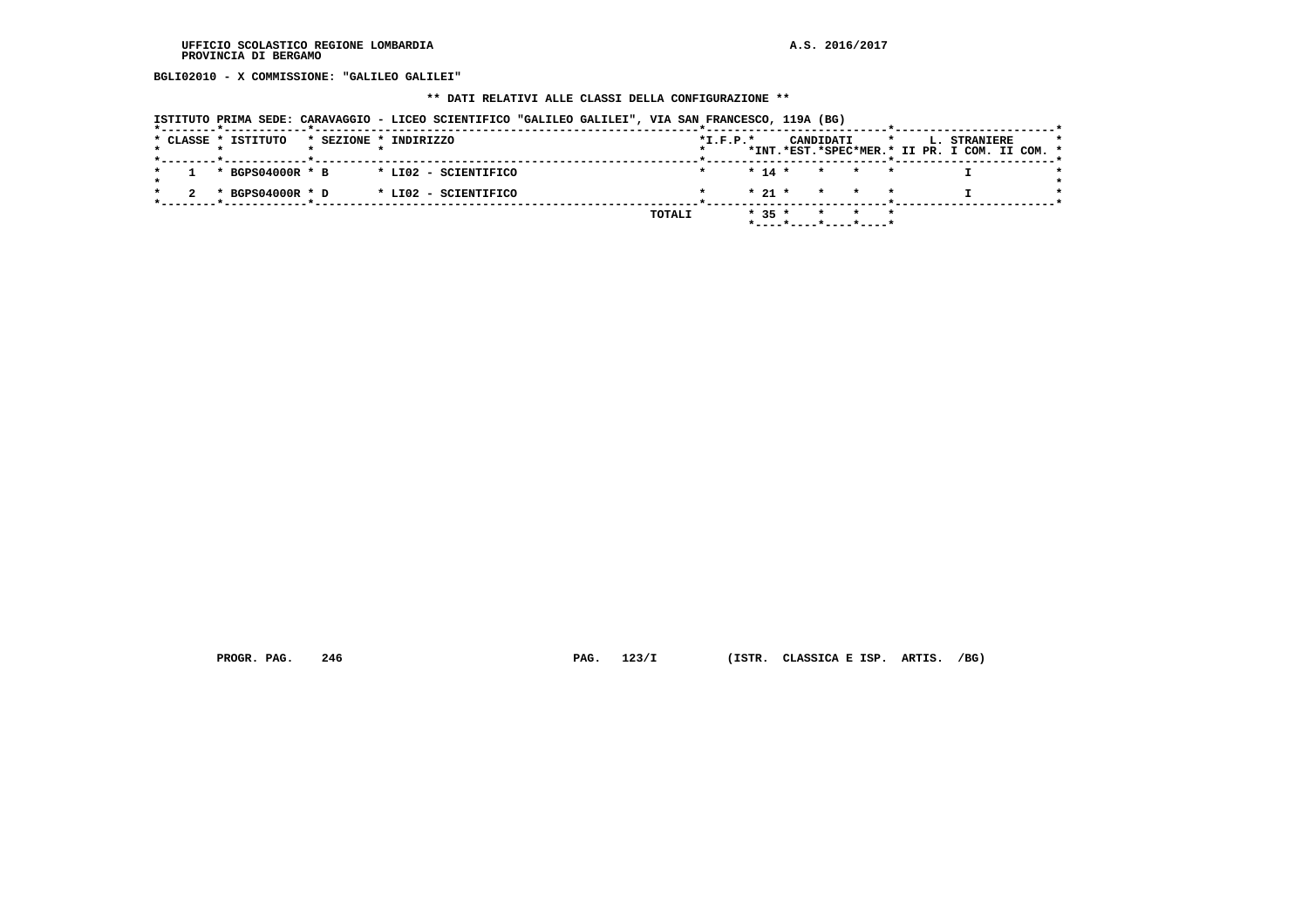**BGLI02010 - X COMMISSIONE: "GALILEO GALILEI"**

# **\*\* DATI RELATIVI ALLE CLASSI DELLA CONFIGURAZIONE \*\***

|  |  |                     |                       |  | ISTITUTO PRIMA SEDE: CARAVAGGIO - LICEO SCIENTIFICO "GALILEO GALILEI", VIA SAN FRANCESCO, 119A (BG) |  |        |                |          |                       |         |         |  |                                                               |  |  |
|--|--|---------------------|-----------------------|--|-----------------------------------------------------------------------------------------------------|--|--------|----------------|----------|-----------------------|---------|---------|--|---------------------------------------------------------------|--|--|
|  |  | * CLASSE * ISTITUTO | * SEZIONE * INDIRIZZO |  |                                                                                                     |  |        | $*$ I.F.P. $*$ |          | CANDIDATI             |         | $\star$ |  | L. STRANIERE<br>*INT.*EST.*SPEC*MER.* II PR. I COM. II COM. * |  |  |
|  |  | * BGPS04000R * B    |                       |  | * LI02 - SCIENTIFICO                                                                                |  |        |                | $* 14 *$ |                       | * * *   |         |  |                                                               |  |  |
|  |  | * BGPS04000R * D    |                       |  | * LI02 - SCIENTIFICO                                                                                |  |        |                | $* 21 *$ |                       | * * *   |         |  |                                                               |  |  |
|  |  |                     |                       |  |                                                                                                     |  | TOTALI |                | $* 35 *$ | *----*----*----*----* | $\star$ |         |  |                                                               |  |  |

 **PROGR. PAG. 246 PAG. 123/I (ISTR. CLASSICA E ISP. ARTIS. /BG)**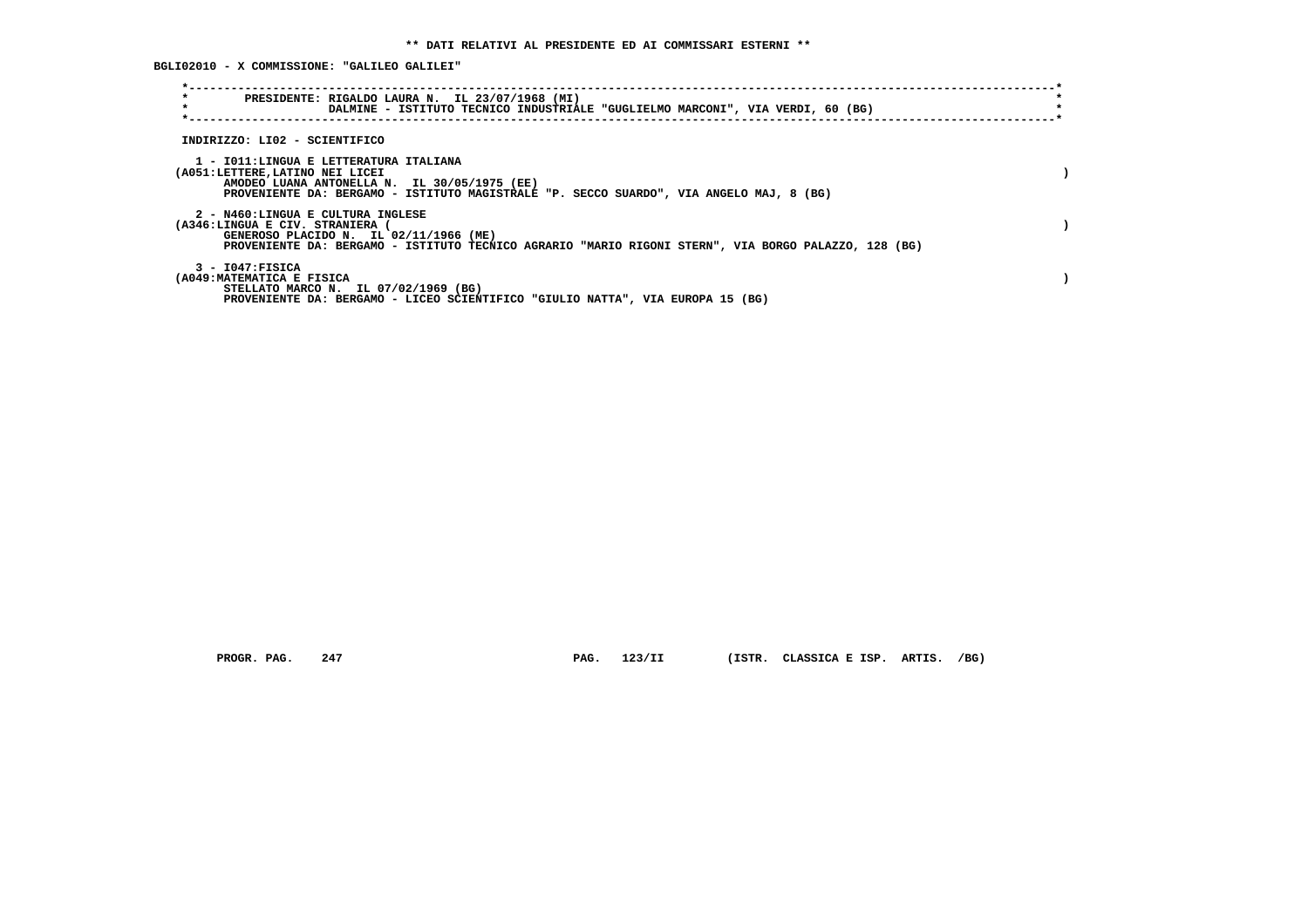**BGLI02010 - X COMMISSIONE: "GALILEO GALILEI"**

| $\star$<br>PRESIDENTE: RIGALDO LAURA N. IL 23/07/1968 (MI)<br>$\star$<br>DALMINE - ISTITUTO TECNICO INDUSTRIALE "GUGLIELMO MARCONI", VIA VERDI, 60 (BG)                                                              |  |
|----------------------------------------------------------------------------------------------------------------------------------------------------------------------------------------------------------------------|--|
| INDIRIZZO: LI02 - SCIENTIFICO                                                                                                                                                                                        |  |
| 1 - IO11:LINGUA E LETTERATURA ITALIANA<br>(A051:LETTERE, LATINO NEI LICEI<br>AMODEO LUANA ANTONELLA N. IL 30/05/1975 (EE)<br>PROVENIENTE DA: BERGAMO - ISTITUTO MAGISTRALE "P. SECCO SUARDO", VIA ANGELO MAJ, 8 (BG) |  |
| 2 - N460:LINGUA E CULTURA INGLESE<br>(A346:LINGUA E CIV. STRANIERA<br>GENEROSO PLACIDO N. IL 02/11/1966 (ME)<br>PROVENIENTE DA: BERGAMO - ISTITUTO TECNICO AGRARIO "MARIO RIGONI STERN", VIA BORGO PALAZZO, 128 (BG) |  |
| $3 - 1047:$ FISICA<br>(A049:MATEMATICA E FISICA<br>STELLATO MARCO N. IL 07/02/1969 (BG)<br>PROVENIENTE DA: BERGAMO - LICEO SCIENTIFICO "GIULIO NATTA", VIA EUROPA 15 (BG)                                            |  |

 **PROGR. PAG. 247 PAG. 123/II (ISTR. CLASSICA E ISP. ARTIS. /BG)**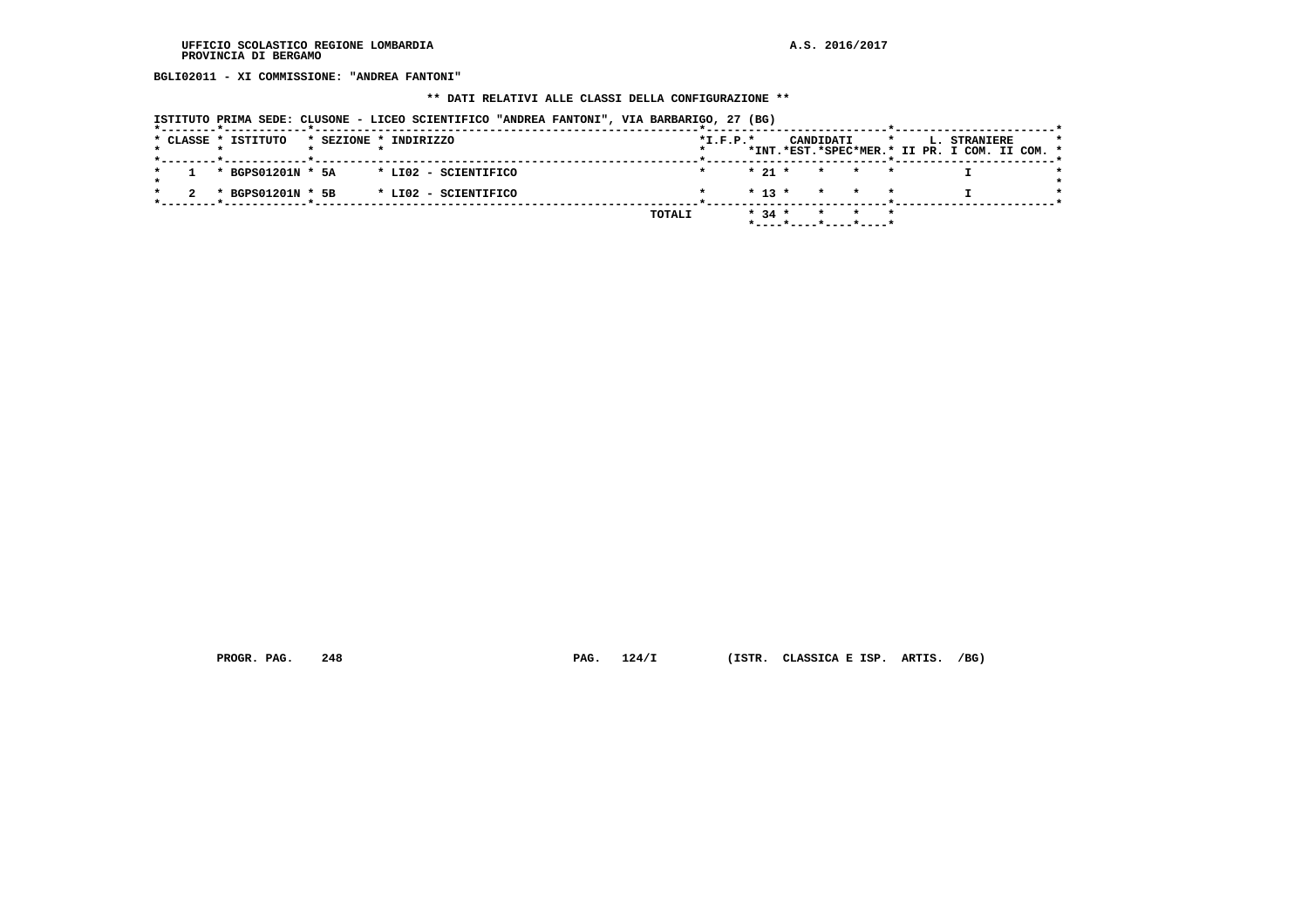**BGLI02011 - XI COMMISSIONE: "ANDREA FANTONI"**

# **\*\* DATI RELATIVI ALLE CLASSI DELLA CONFIGURAZIONE \*\***

| ISTITUTO PRIMA SEDE: CLUSONE - LICEO SCIENTIFICO "ANDREA FANTONI", VIA BARBARIGO, 27 (BG) |  |  |  |  |
|-------------------------------------------------------------------------------------------|--|--|--|--|
|                                                                                           |  |  |  |  |

|  | * CLASSE * ISTITUTO |  | * SEZIONE * INDIRIZZO                  |        | $*L.F.P.*$ |          |                                            | CANDIDATI | $\star$ |  | <b>L. STRANIERE</b>                           |  | $\star$ |
|--|---------------------|--|----------------------------------------|--------|------------|----------|--------------------------------------------|-----------|---------|--|-----------------------------------------------|--|---------|
|  |                     |  |                                        |        |            |          |                                            |           |         |  | *INT.*EST.*SPEC*MER.* II PR. I COM. II COM. * |  |         |
|  |                     |  |                                        |        |            |          |                                            |           |         |  |                                               |  |         |
|  |                     |  | * BGPS01201N * 5A * LI02 - SCIENTIFICO |        |            |          | $\star$ 21 $\star$ $\star$ $\star$ $\star$ |           |         |  |                                               |  |         |
|  |                     |  |                                        |        |            |          |                                            |           |         |  |                                               |  |         |
|  | * BGPS01201N * 5B   |  | * LI02 - SCIENTIFICO                   |        |            |          | $* 13 * * * * * * *$                       |           |         |  |                                               |  |         |
|  |                     |  |                                        |        |            |          |                                            |           |         |  |                                               |  |         |
|  |                     |  |                                        | TOTALI |            | $* 34 *$ |                                            |           | * * *   |  |                                               |  |         |
|  |                     |  |                                        |        |            |          | *----*----*----*----*                      |           |         |  |                                               |  |         |

 **PROGR. PAG. 248 PAG. 124/I (ISTR. CLASSICA E ISP. ARTIS. /BG)**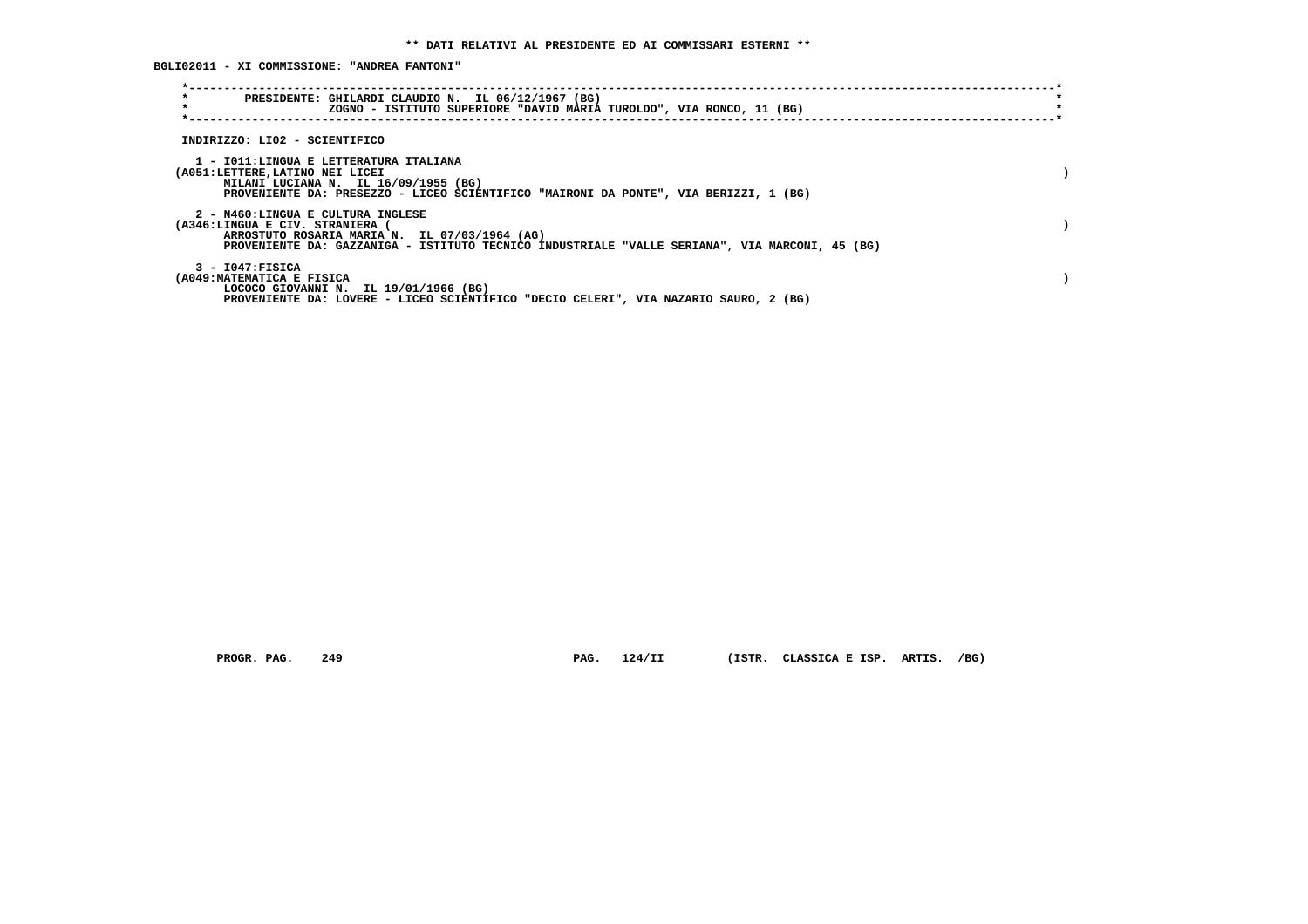**BGLI02011 - XI COMMISSIONE: "ANDREA FANTONI"**

| $\star$<br>PRESIDENTE: GHILARDI CLAUDIO N. IL 06/12/1967 (BG)<br>$\star$<br>ZOGNO - ISTITUTO SUPERIORE "DAVID MARIA TUROLDO", VIA RONCO, 11 (BG)                                                                      |  |
|-----------------------------------------------------------------------------------------------------------------------------------------------------------------------------------------------------------------------|--|
| INDIRIZZO: LI02 - SCIENTIFICO                                                                                                                                                                                         |  |
| 1 - IO11: LINGUA E LETTERATURA ITALIANA<br>(A051:LETTERE,LATINO NEI LICEI<br>MILANI LUCIANA N. IL 16/09/1955 (BG)<br>PROVENIENTE DA: PRESEZZO - LICEO SCIENTIFICO "MAIRONI DA PONTE", VIA BERIZZI, 1 (BG)             |  |
| 2 - N460:LINGUA E CULTURA INGLESE<br>(A346:LINGUA E CIV. STRANIERA<br>ARROSTUTO ROSARIA MARIA N. IL 07/03/1964 (AG)<br>PROVENIENTE DA: GAZZANIGA - ISTITUTO TECNICO INDUSTRIALE "VALLE SERIANA", VIA MARCONI, 45 (BG) |  |
| $3 - 1047$ : FISICA<br>(A049: MATEMATICA E FISICA<br>LOCOCO GIOVANNI N. IL 19/01/1966 (BG)<br>PROVENIENTE DA: LOVERE - LICEO SCIENTIFICO "DECIO CELERI", VIA NAZARIO SAURO, 2 (BG)                                    |  |

 **PROGR. PAG. 249 PAG. 124/II (ISTR. CLASSICA E ISP. ARTIS. /BG)**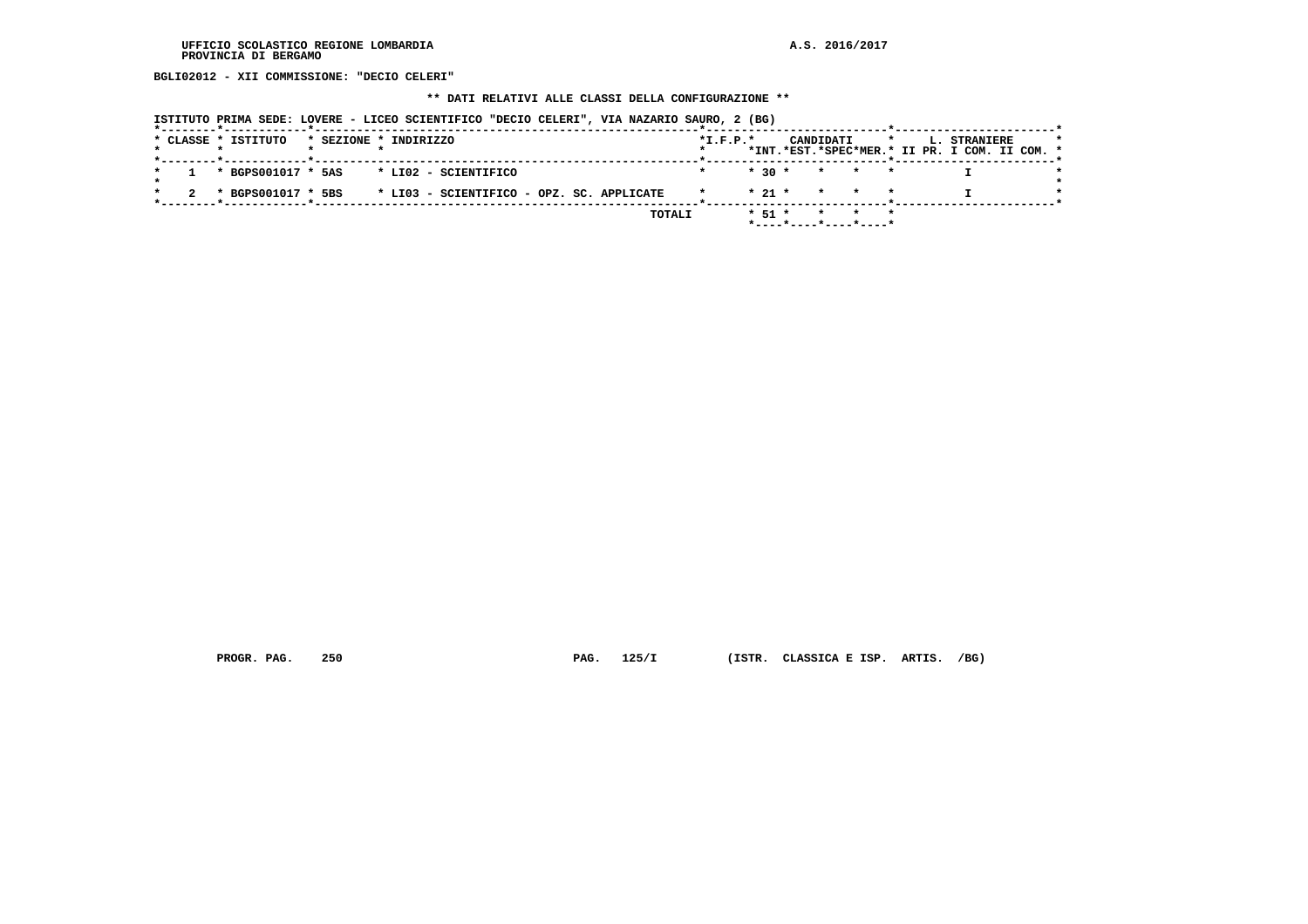**BGLI02012 - XII COMMISSIONE: "DECIO CELERI"**

#### **\*\* DATI RELATIVI ALLE CLASSI DELLA CONFIGURAZIONE \*\***

|  |                     | ISTITUTO PRIMA SEDE: LOVERE - LICEO SCIENTIFICO "DECIO CELERI", VIA NAZARIO SAURO, 2 (BG) |            |  |                      |  |                                               |  |
|--|---------------------|-------------------------------------------------------------------------------------------|------------|--|----------------------|--|-----------------------------------------------|--|
|  | * CLASSE * ISTITUTO | * SEZIONE * INDIRIZZO                                                                     | $*T.F.P.*$ |  |                      |  | CANDIDATI * L. STRANIERE                      |  |
|  |                     |                                                                                           |            |  |                      |  | *INT.*EST.*SPEC*MER.* II PR. I COM. II COM. * |  |
|  |                     | $1 * BGPS001017 * 5AS * LIO2 - SCIENTIFICO$                                               |            |  | $* 30 * * * * * * *$ |  |                                               |  |
|  |                     | 2 * BGPS001017 * 5BS * LI03 - SCIENTIFICO - OPZ. SC. APPLICATE                            |            |  | $* 21 * * * * * * *$ |  |                                               |  |
|  |                     |                                                                                           |            |  |                      |  |                                               |  |

 **TOTALI \* 51 \* \* \* \***

 **\*----\*----\*----\*----\***

 **PROGR. PAG. 250 PAG. 125/I (ISTR. CLASSICA E ISP. ARTIS. /BG)**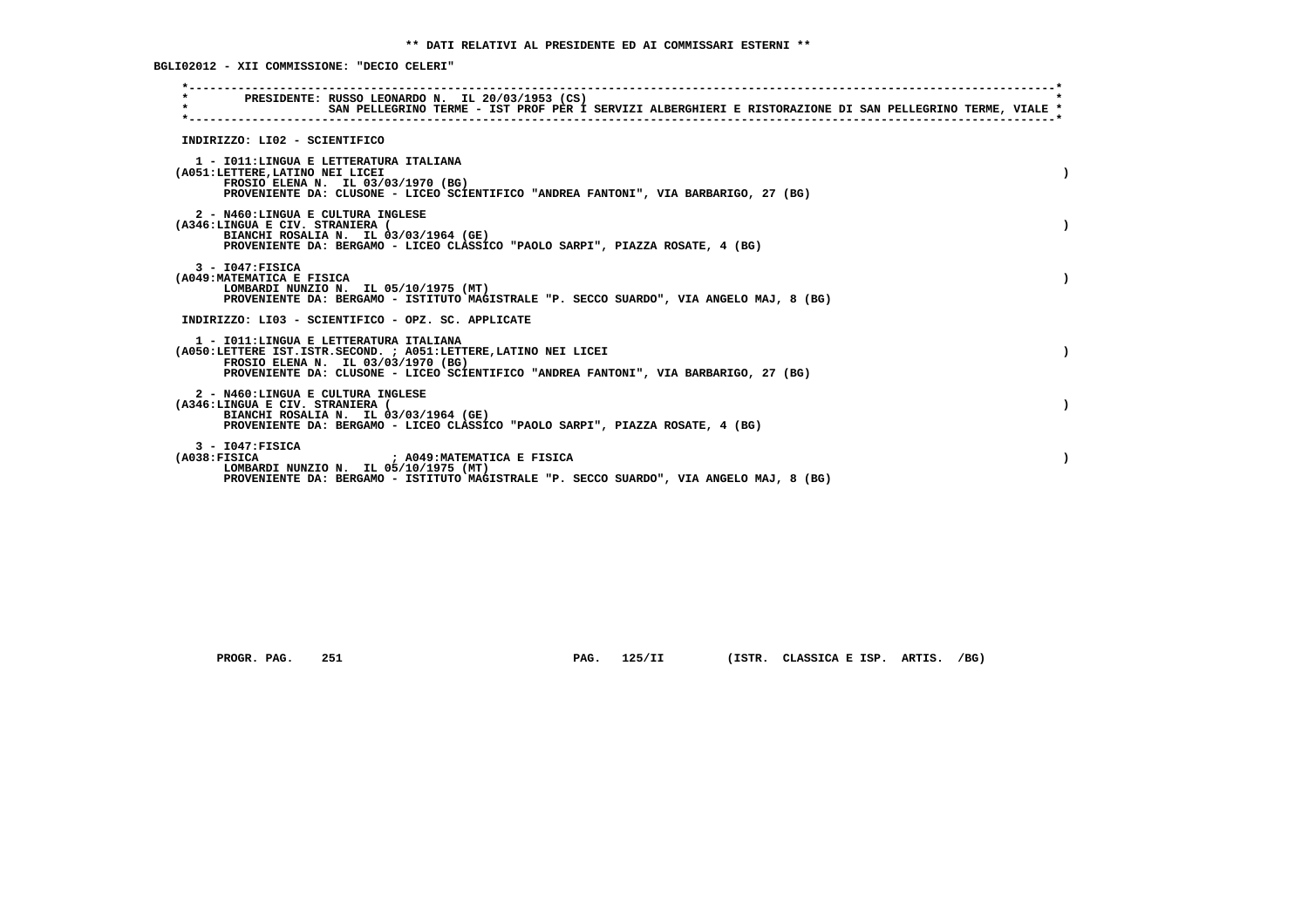**BGLI02012 - XII COMMISSIONE: "DECIO CELERI"**

| $\star$      | PRESIDENTE: RUSSO LEONARDO N. IL 20/03/1953 (CS)<br>SAN PELLEGRINO TERME - IST PROF PER I SERVIZI ALBERGHIERI E RISTORAZIONE DI SAN PELLEGRINO TERME, VIALE *                                                                           |  |
|--------------|-----------------------------------------------------------------------------------------------------------------------------------------------------------------------------------------------------------------------------------------|--|
|              | INDIRIZZO: LI02 - SCIENTIFICO                                                                                                                                                                                                           |  |
|              | 1 - IO11: LINGUA E LETTERATURA ITALIANA<br>(A051:LETTERE, LATINO NEI LICEI<br>FROSIO ELENA N. IL 03/03/1970 (BG)<br>PROVENIENTE DA: CLUSONE - LICEO SCIENTIFICO "ANDREA FANTONI", VIA BARBARIGO, 27 (BG)                                |  |
|              | 2 - N460:LINGUA E CULTURA INGLESE<br>(A346:LINGUA E CIV. STRANIERA (<br>BIANCHI ROSALIA N. IL 03/03/1964 (GE)<br>PROVENIENTE DA: BERGAMO - LICEO CLASSICO "PAOLO SARPI", PIAZZA ROSATE, 4 (BG)                                          |  |
|              | $3 - 1047:$ FISICA<br>(A049: MATEMATICA E FISICA<br>LOMBARDI NUNZIO N. IL 05/10/1975 (MT)<br>PROVENIENTE DA: BERGAMO - ISTITUTO MAGISTRALE "P. SECCO SUARDO", VIA ANGELO MAJ, 8 (BG)                                                    |  |
|              | INDIRIZZO: LI03 - SCIENTIFICO - OPZ. SC. APPLICATE                                                                                                                                                                                      |  |
|              | 1 - IO11: LINGUA E LETTERATURA ITALIANA<br>(A050:LETTERE IST.ISTR.SECOND. ; A051:LETTERE,LATINO NEI LICEI<br>FROSIO ELENA N. IL 03/03/1970 (BG)<br>PROVENIENTE DA: CLUSONE - LICEO SCIENTIFICO "ANDREA FANTONI", VIA BARBARIGO, 27 (BG) |  |
|              | 2 - N460:LINGUA E CULTURA INGLESE<br>(A346:LINGUA E CIV. STRANIERA (<br>BIANCHI ROSALIA N. IL 03/03/1964 (GE)<br>PROVENIENTE DA: BERGAMO - LICEO CLASSICO "PAOLO SARPI", PIAZZA ROSATE, 4 (BG)                                          |  |
| (A038:FTSTCA | $3 - 1047$ : FISICA<br>: A049:MATEMATICA E FISICA<br>LOMBARDI NUNZIO N. IL 05/10/1975 (MT)<br>PROVENIENTE DA: BERGAMO - ISTITUTO MAGISTRALE "P. SECCO SUARDO", VIA ANGELO MAJ, 8 (BG)                                                   |  |

 **PROGR. PAG. 251 PAG. 125/II (ISTR. CLASSICA E ISP. ARTIS. /BG)**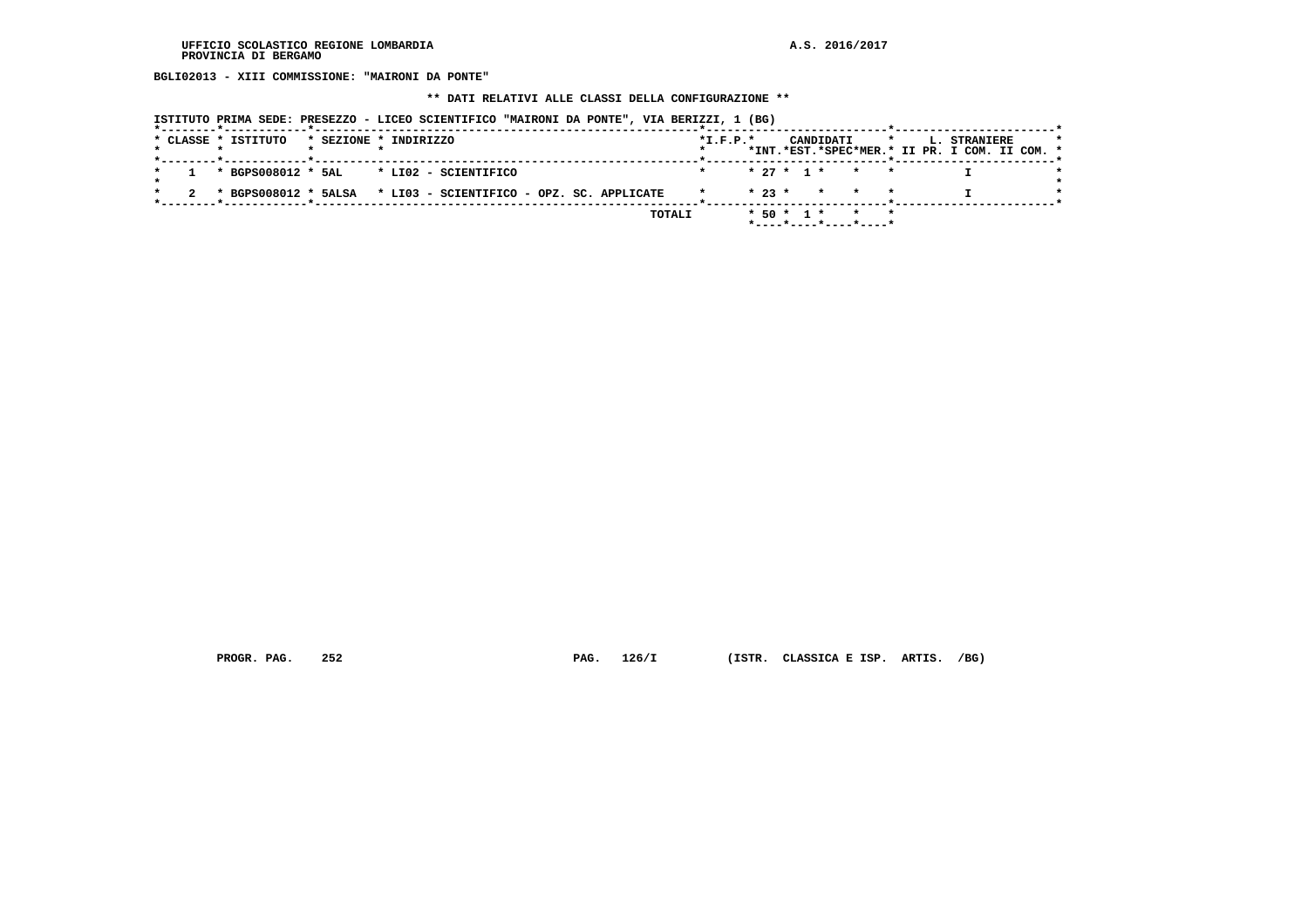**BGLI02013 - XIII COMMISSIONE: "MAIRONI DA PONTE"**

 **\*\* DATI RELATIVI ALLE CLASSI DELLA CONFIGURAZIONE \*\***

|  |  | ISTITUTO PRIMA SEDE: PRESEZZO - LICEO SCIENTIFICO "MAIRONI DA PONTE", VIA BERIZZI, 1 (BG)<br>* CLASSE * ISTITUTO | * SEZIONE * INDIRIZZO |  |  |  |  |        | $*L.F.P.*$ |  |  | CANDIDATI | $\star$                                       |  | <b>L. STRANIERE</b>                           |  |  |
|--|--|------------------------------------------------------------------------------------------------------------------|-----------------------|--|--|--|--|--------|------------|--|--|-----------|-----------------------------------------------|--|-----------------------------------------------|--|--|
|  |  | *--------*------------*---------------                                                                           |                       |  |  |  |  |        |            |  |  |           |                                               |  | *INT.*EST.*SPEC*MER.* II PR. I COM. II COM. * |  |  |
|  |  | $1 * BGPS008012 * SAL * LIO2 - SCIENTIFICO$                                                                      |                       |  |  |  |  |        |            |  |  |           | $* 27 * 1 * * * * *$                          |  |                                               |  |  |
|  |  | * BGPS008012 * 5ALSA * LI03 - SCIENTIFICO - OPZ. SC. APPLICATE                                                   |                       |  |  |  |  |        |            |  |  |           | $\star$ 23 $\star$ $\star$ $\star$ $\star$    |  |                                               |  |  |
|  |  |                                                                                                                  |                       |  |  |  |  | TOTALI |            |  |  |           | $* 50 * 1 * * * * *$<br>*----*----*----*----* |  |                                               |  |  |

 **PROGR. PAG. 252 PAG. 126/I (ISTR. CLASSICA E ISP. ARTIS. /BG)**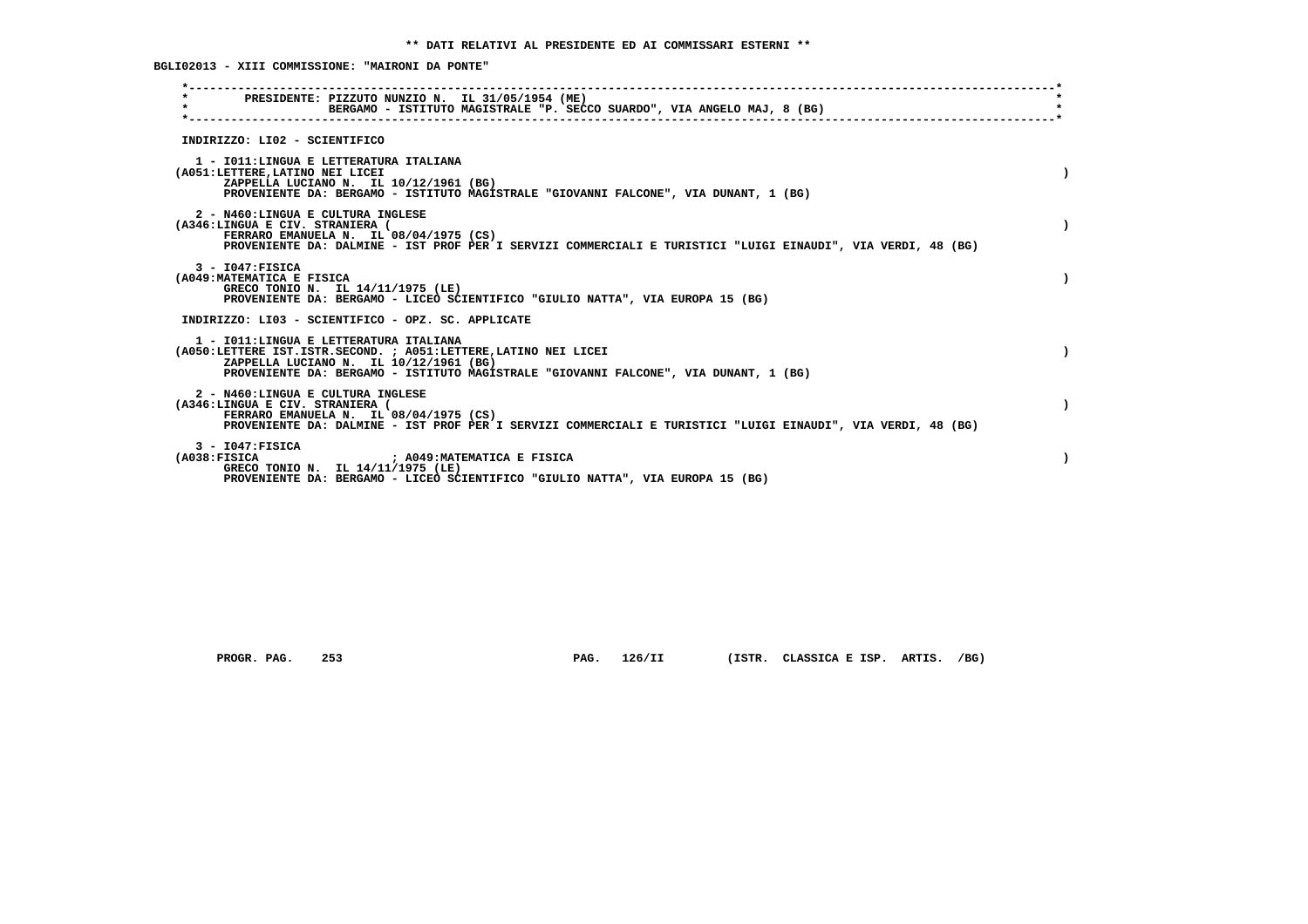**BGLI02013 - XIII COMMISSIONE: "MAIRONI DA PONTE"**

| PRESIDENTE: PIZZUTO NUNZIO N. IL 31/05/1954 (ME)<br>$\star$<br>BERGAMO - ISTITUTO MAGISTRALE "P. SECCO SUARDO", VIA ANGELO MAJ, 8 (BG)                                                                                                       |           |
|----------------------------------------------------------------------------------------------------------------------------------------------------------------------------------------------------------------------------------------------|-----------|
| INDIRIZZO: LI02 - SCIENTIFICO                                                                                                                                                                                                                |           |
| 1 - IO11: LINGUA E LETTERATURA ITALIANA<br>(A051:LETTERE, LATINO NEI LICEI<br>ZAPPELLA LUCIANO N. IL 10/12/1961 (BG)<br>PROVENIENTE DA: BERGAMO - ISTITUTO MAGISTRALE "GIOVANNI FALCONE", VIA DUNANT, 1 (BG)                                 |           |
| 2 - N460:LINGUA E CULTURA INGLESE<br>(A346:LINGUA E CIV. STRANIERA (<br>FERRARO EMANUELA N. IL 08/04/1975 (CS)<br>PROVENIENTE DA: DALMINE - IST PROF PER I SERVIZI COMMERCIALI E TURISTICI "LUIGI EINAUDI", VIA VERDI, 48 (BG)               |           |
| $3 - 1047:$ FISICA<br>(A049: MATEMATICA E FISICA<br>GRECO TONIO N. IL 14/11/1975 (LE)<br>PROVENIENTE DA: BERGAMO - LICEO SCIENTIFICO "GIULIO NATTA", VIA EUROPA 15 (BG)                                                                      |           |
| INDIRIZZO: LI03 - SCIENTIFICO - OPZ. SC. APPLICATE                                                                                                                                                                                           |           |
| 1 - IO11: LINGUA E LETTERATURA ITALIANA<br>(A050:LETTERE IST.ISTR.SECOND. ; A051:LETTERE, LATINO NEI LICEI<br>ZAPPELLA LUCIANO N. IL 10/12/1961 (BG)<br>PROVENIENTE DA: BERGAMO - ISTITUTO MAGISTRALE "GIOVANNI FALCONE", VIA DUNANT, 1 (BG) |           |
| 2 - N460:LINGUA E CULTURA INGLESE<br>(A346:LINGUA E CIV. STRANIERA (<br>FERRARO EMANUELA N. IL 08/04/1975 (CS)<br>PROVENIENTE DA: DALMINE - IST PROF PER I SERVIZI COMMERCIALI E TURISTICI "LUIGI EINAUDI", VIA VERDI, 48 (BG)               | $\lambda$ |
| $3 - 1047:$ FISICA<br>(A038:FISICA<br>: A049:MATEMATICA E FISICA<br>GRECO TONIO N. IL 14/11/1975 (LE)<br>PROVENIENTE DA: BERGAMO - LICEO SCIENTIFICO "GIULIO NATTA", VIA EUROPA 15 (BG)                                                      |           |

 **PROGR. PAG. 253 PAG. 126/II (ISTR. CLASSICA E ISP. ARTIS. /BG)**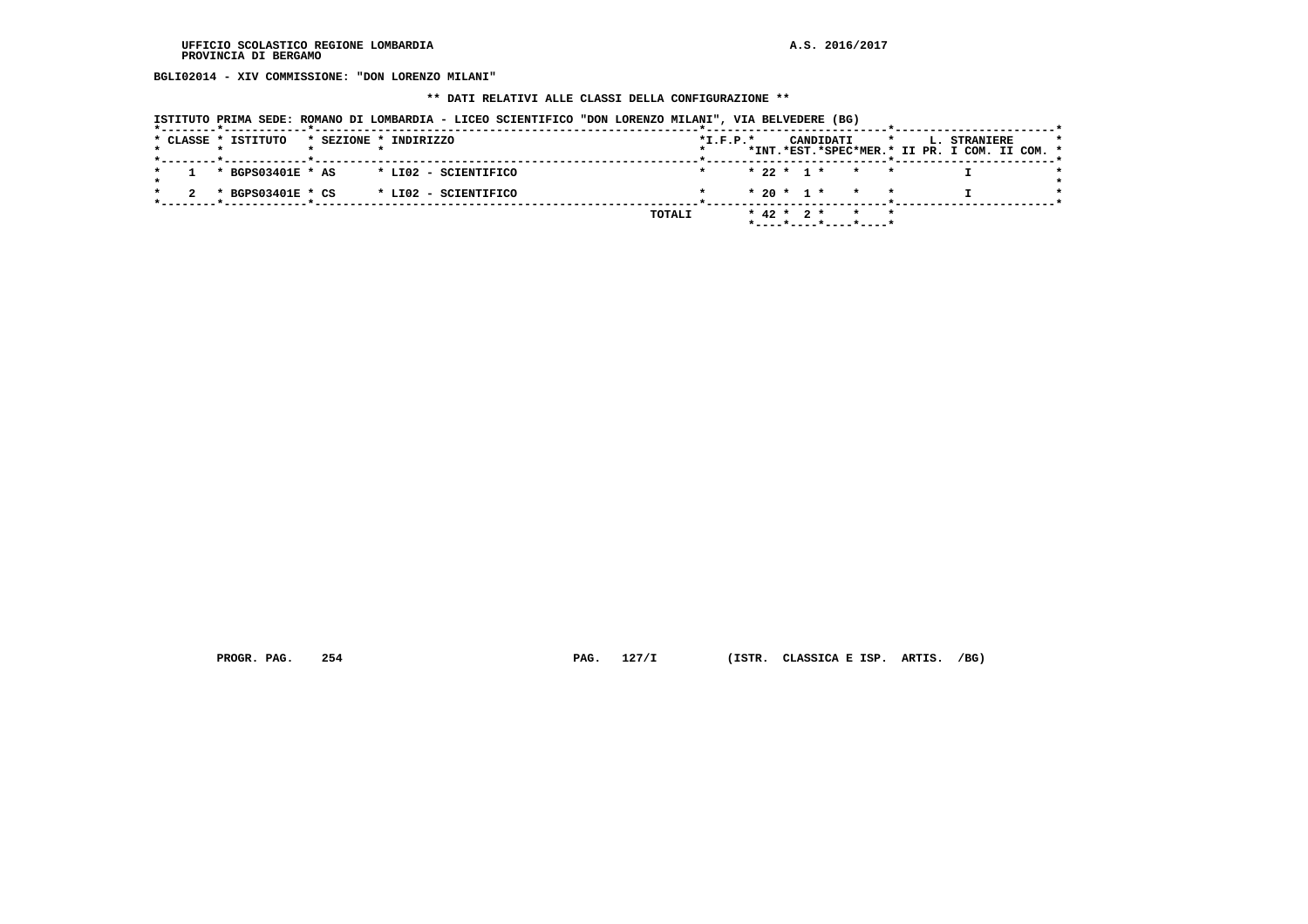**BGLI02014 - XIV COMMISSIONE: "DON LORENZO MILANI"**

#### **\*\* DATI RELATIVI ALLE CLASSI DELLA CONFIGURAZIONE \*\***

| ISTITUTO PRIMA SEDE: ROMANO DI LOMBARDIA - LICEO SCIENTIFICO "DON LORENZO MILANI", VIA BELVEDERE (BG) |  |  |  |
|-------------------------------------------------------------------------------------------------------|--|--|--|
|                                                                                                       |  |  |  |

|  |  | * CLASSE * ISTITUTO |  | * SEZIONE * INDIRIZZO |        | $*L.F.P.*$ |  |                  | CANDIDATI             |                 |  | L. STRANIERE<br>*INT.*EST.*SPEC*MER.* II PR. I COM. II COM. * |  |  |
|--|--|---------------------|--|-----------------------|--------|------------|--|------------------|-----------------------|-----------------|--|---------------------------------------------------------------|--|--|
|  |  | * BGPS03401E * AS   |  | * LI02 - SCIENTIFICO  |        |            |  |                  | $* 22 * 1 * * * * *$  |                 |  |                                                               |  |  |
|  |  | * BGPS03401E * CS   |  | * LI02 - SCIENTIFICO  |        |            |  |                  | $* 20 * 1 * * * * *$  |                 |  |                                                               |  |  |
|  |  |                     |  |                       | TOTALI |            |  | $*$ 42 $*$ 2 $*$ | *----*----*----*----* | $\star$ $\star$ |  |                                                               |  |  |

 **PROGR. PAG. 254 PAG. 127/I (ISTR. CLASSICA E ISP. ARTIS. /BG)**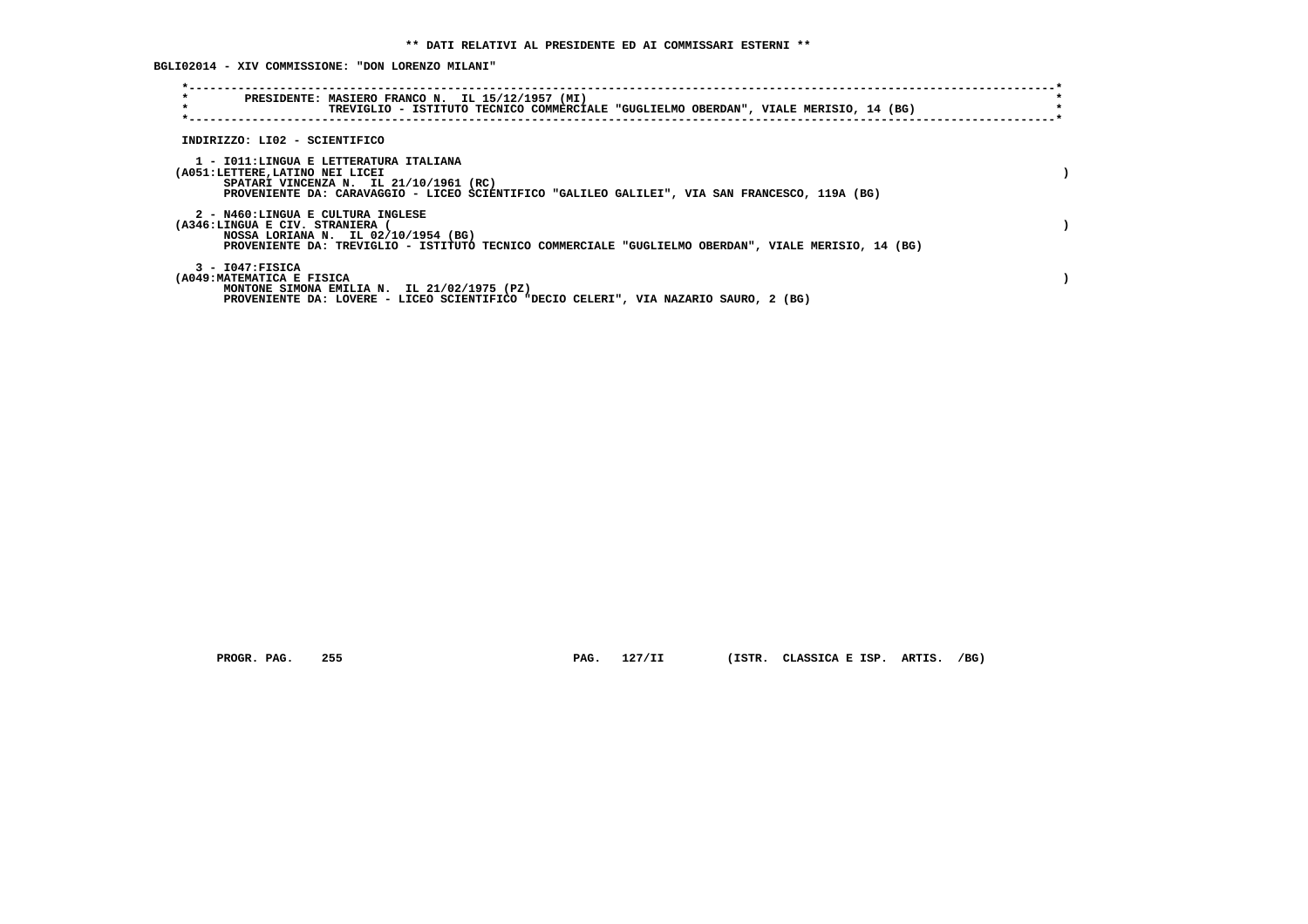**BGLI02014 - XIV COMMISSIONE: "DON LORENZO MILANI"**

| $\star$<br>$\star$                                                         | PRESIDENTE: MASIERO FRANCO N. IL 15/12/1957 (MI)<br>TREVIGLIO - ISTITUTO TECNICO COMMERCIALE "GUGLIELMO OBERDAN", VIALE MERISIO, 14 (BG)    |  |
|----------------------------------------------------------------------------|---------------------------------------------------------------------------------------------------------------------------------------------|--|
| INDIRIZZO: LI02 - SCIENTIFICO                                              |                                                                                                                                             |  |
| 1 - IO11: LINGUA E LETTERATURA ITALIANA<br>(A051:LETTERE, LATINO NEI LICEI | SPATARI VINCENZA N. IL 21/10/1961 (RC)<br>PROVENIENTE DA: CARAVAGGIO - LICEO SCIENTIFICO "GALILEO GALILEI", VIA SAN FRANCESCO, 119A (BG)    |  |
| 2 - N460:LINGUA E CULTURA INGLESE<br>(A346:LINGUA E CIV. STRANIERA         | NOSSA LORIANA N. IL 02/10/1954 (BG)<br>PROVENIENTE DA: TREVIGLIO - ISTITUTO TECNICO COMMERCIALE "GUGLIELMO OBERDAN", VIALE MERISIO, 14 (BG) |  |
| $3 - 1047:$ FISICA<br>(A049: MATEMATICA E FISICA                           | MONTONE SIMONA EMILIA N. IL 21/02/1975 (PZ)<br>PROVENIENTE DA: LOVERE - LICEO SCIENTIFICO "DECIO CELERI", VIA NAZARIO SAURO, 2 (BG)         |  |

 **PROGR. PAG. 255 PAG. 127/II (ISTR. CLASSICA E ISP. ARTIS. /BG)**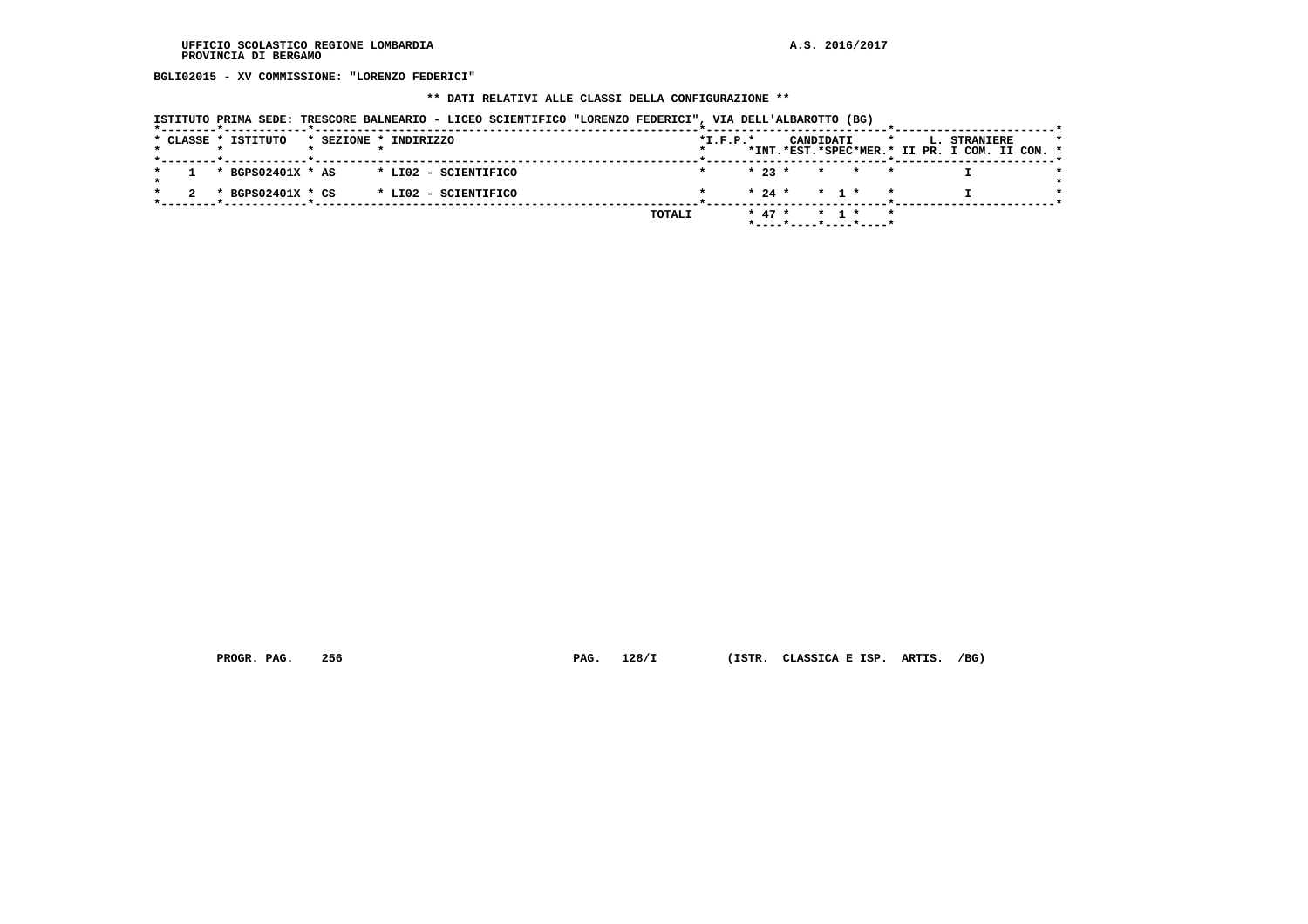**BGLI02015 - XV COMMISSIONE: "LORENZO FEDERICI"**

# **\*\* DATI RELATIVI ALLE CLASSI DELLA CONFIGURAZIONE \*\***

| ISTITUTO PRIMA SEDE: TRESCORE BALNEARIO - LICEO SCIENTIFICO "LORENZO FEDERICI", VIA DELL'ALBAROTTO (BG) |  |  |  |  |  |
|---------------------------------------------------------------------------------------------------------|--|--|--|--|--|
|                                                                                                         |  |  |  |  |  |

|        | CANDIDATI  |                      |                                                                      | $\star$                                                       |
|--------|------------|----------------------|----------------------------------------------------------------------|---------------------------------------------------------------|
|        |            |                      |                                                                      |                                                               |
|        |            |                      |                                                                      |                                                               |
|        |            |                      |                                                                      |                                                               |
| TOTALI | * 1 *      |                      |                                                                      |                                                               |
|        | $*I.F.P.*$ | $* 23 *$<br>$* 47 *$ | * * *<br>$* 24 * * 1 * * *$<br>$\mathbf{r}$<br>*----*----*----*----* | L. STRANIERE<br>*INT.*EST.*SPEC*MER.* II PR. I COM. II COM. * |

 **PROGR. PAG. 256 PAG. 128/I (ISTR. CLASSICA E ISP. ARTIS. /BG)**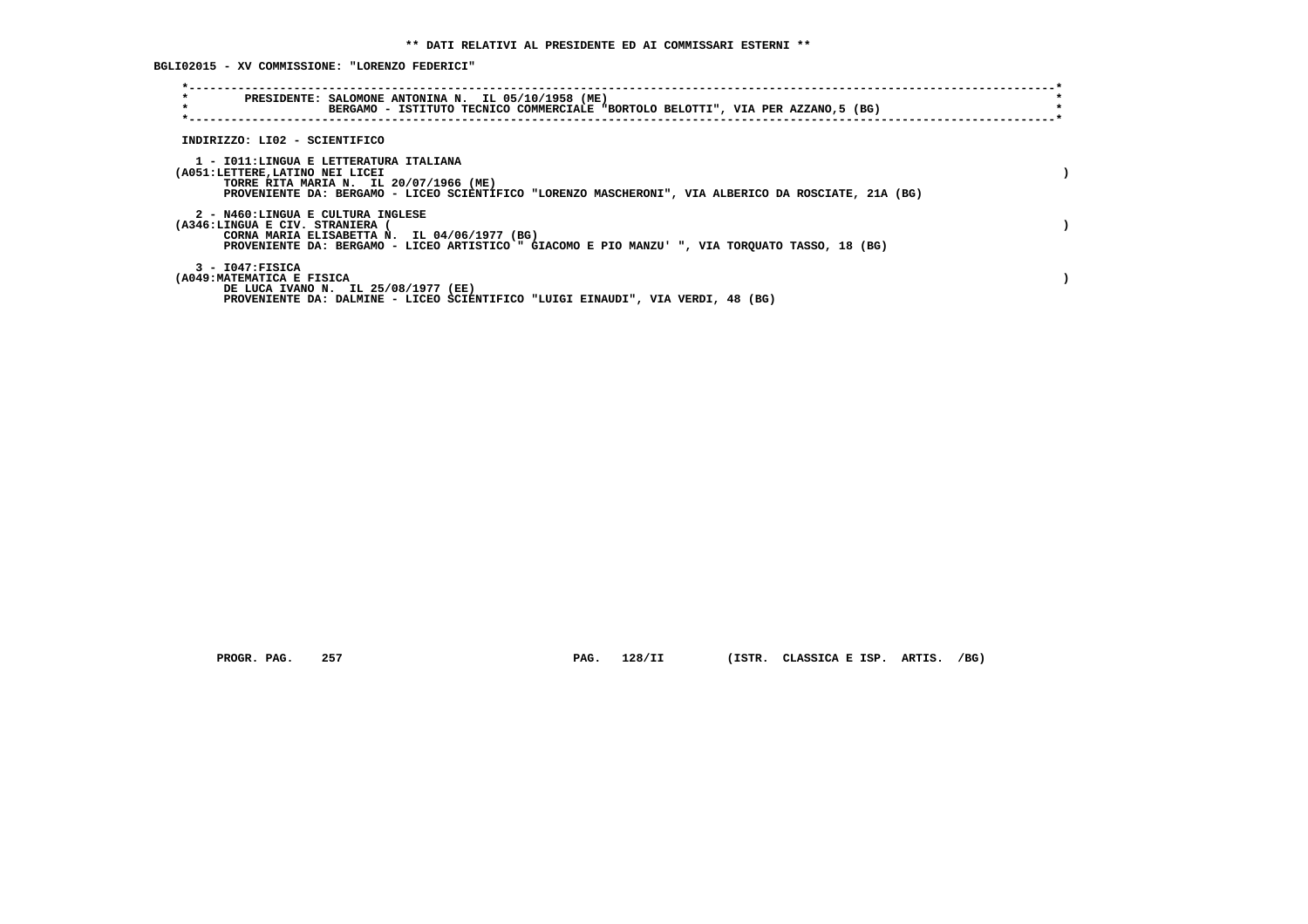**BGLI02015 - XV COMMISSIONE: "LORENZO FEDERICI"**

| $\star$<br>PRESIDENTE: SALOMONE ANTONINA N. IL 05/10/1958 (ME)<br>$\star$<br>BERGAMO - ISTITUTO TECNICO COMMERCIALE "BORTOLO BELOTTI", VIA PER AZZANO, 5 (BG)                                                              |  |
|----------------------------------------------------------------------------------------------------------------------------------------------------------------------------------------------------------------------------|--|
| INDIRIZZO: LI02 - SCIENTIFICO                                                                                                                                                                                              |  |
| 1 - IO11:LINGUA E LETTERATURA ITALIANA<br>(A051:LETTERE,LATINO NEI LICEI<br>TORRE RITA MARIA N. IL 20/07/1966 (ME)<br>PROVENIENTE DA: BERGAMO - LICEO SCIENTIFICO "LORENZO MASCHERONI", VIA ALBERICO DA ROSCIATE, 21A (BG) |  |
| 2 - N460:LINGUA E CULTURA INGLESE<br>(A346:LINGUA E CIV. STRANIERA<br>CORNA MARIA ELISABETTA N. IL 04/06/1977 (BG)<br>PROVENIENTE DA: BERGAMO - LICEO ARTISTICO " GIACOMO E PIO MANZU' ", VIA TORQUATO TASSO, 18 (BG)      |  |
| $3 - 1047:$ FISICA<br>(A049: MATEMATICA E FISICA<br>DE LUCA IVANO N. IL 25/08/1977 (EE)<br>PROVENIENTE DA: DALMINE - LICEO SCIENTIFICO "LUIGI EINAUDI", VIA VERDI, 48 (BG)                                                 |  |

 **PROGR. PAG. 257 PAG. 128/II (ISTR. CLASSICA E ISP. ARTIS. /BG)**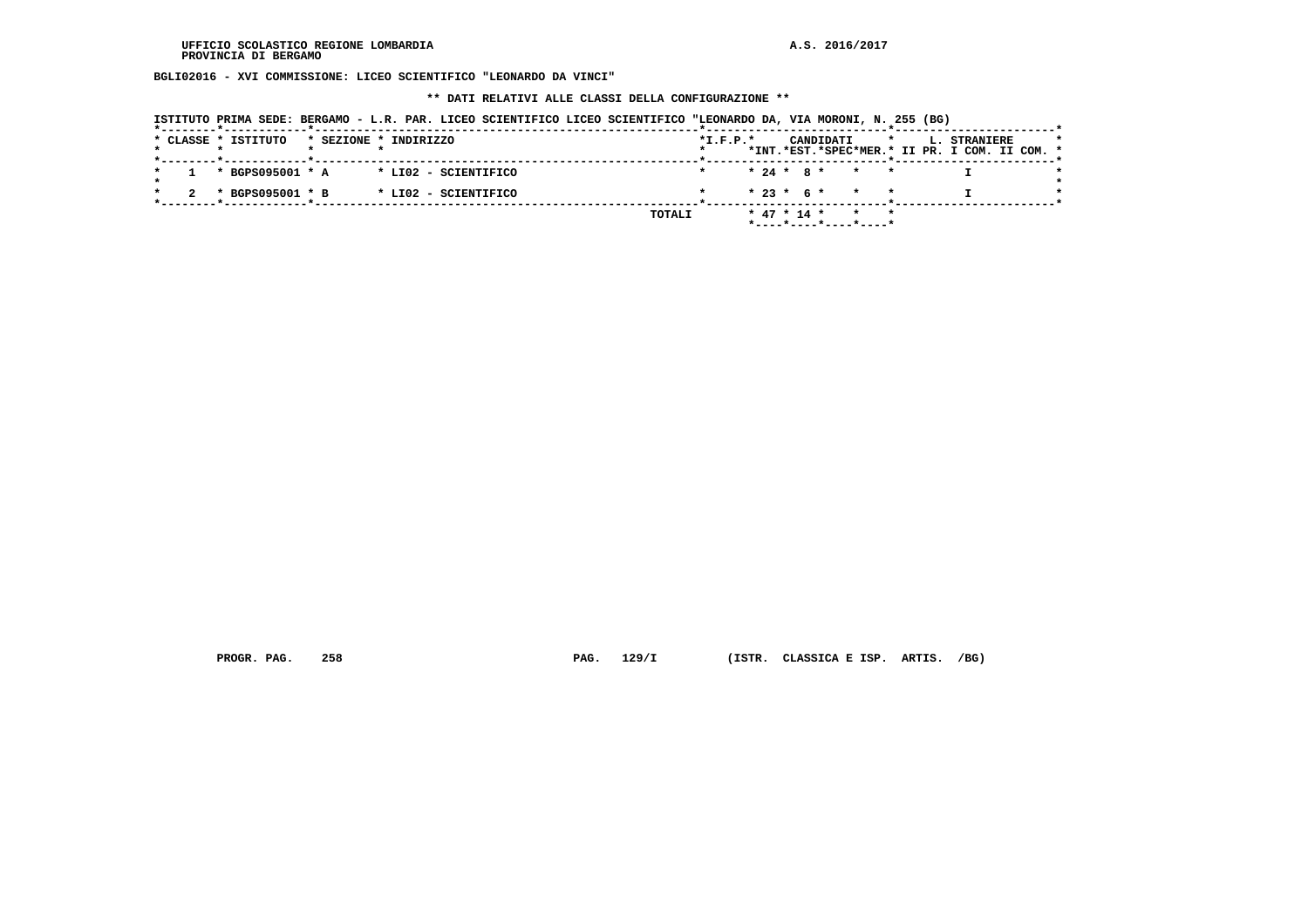**BGLI02016 - XVI COMMISSIONE: LICEO SCIENTIFICO "LEONARDO DA VINCI"**

 **\*\* DATI RELATIVI ALLE CLASSI DELLA CONFIGURAZIONE \*\***

| ISTITUTO PRIMA SEDE: BERGAMO - L.R. PAR. LICEO SCIENTIFICO LICEO SCIENTIFICO "LEONARDO DA, VIA MORONI, N. 255 (BG) |  |  |  |  |  |  |  |
|--------------------------------------------------------------------------------------------------------------------|--|--|--|--|--|--|--|
|--------------------------------------------------------------------------------------------------------------------|--|--|--|--|--|--|--|

|  | * CLASSE * ISTITUTO |  | * SEZIONE * INDIRIZZO                 |        | $*L.F.P.*$ |  |  | CANDIDATI |                           |  | <b>L. STRANIERE</b>                           | $\star$ |
|--|---------------------|--|---------------------------------------|--------|------------|--|--|-----------|---------------------------|--|-----------------------------------------------|---------|
|  |                     |  |                                       |        |            |  |  |           |                           |  | *INT.*EST.*SPEC*MER.* II PR. I COM. II COM. * |         |
|  |                     |  | * BGPS095001 * A * LI02 - SCIENTIFICO |        |            |  |  |           | $* 24 * 8 * * * * *$      |  |                                               |         |
|  |                     |  |                                       |        |            |  |  |           | $* 23 * 6 * * * * *$      |  |                                               |         |
|  | * BGPS095001 * B    |  | * LI02 - SCIENTIFICO                  |        |            |  |  |           |                           |  |                                               |         |
|  |                     |  |                                       | TOTALI |            |  |  |           | $*$ 47 $*$ 14 $*$ $*$ $*$ |  |                                               |         |
|  |                     |  |                                       |        |            |  |  |           | *----*----*----*----*     |  |                                               |         |

 **PROGR. PAG. 258 PAG. 129/I (ISTR. CLASSICA E ISP. ARTIS. /BG)**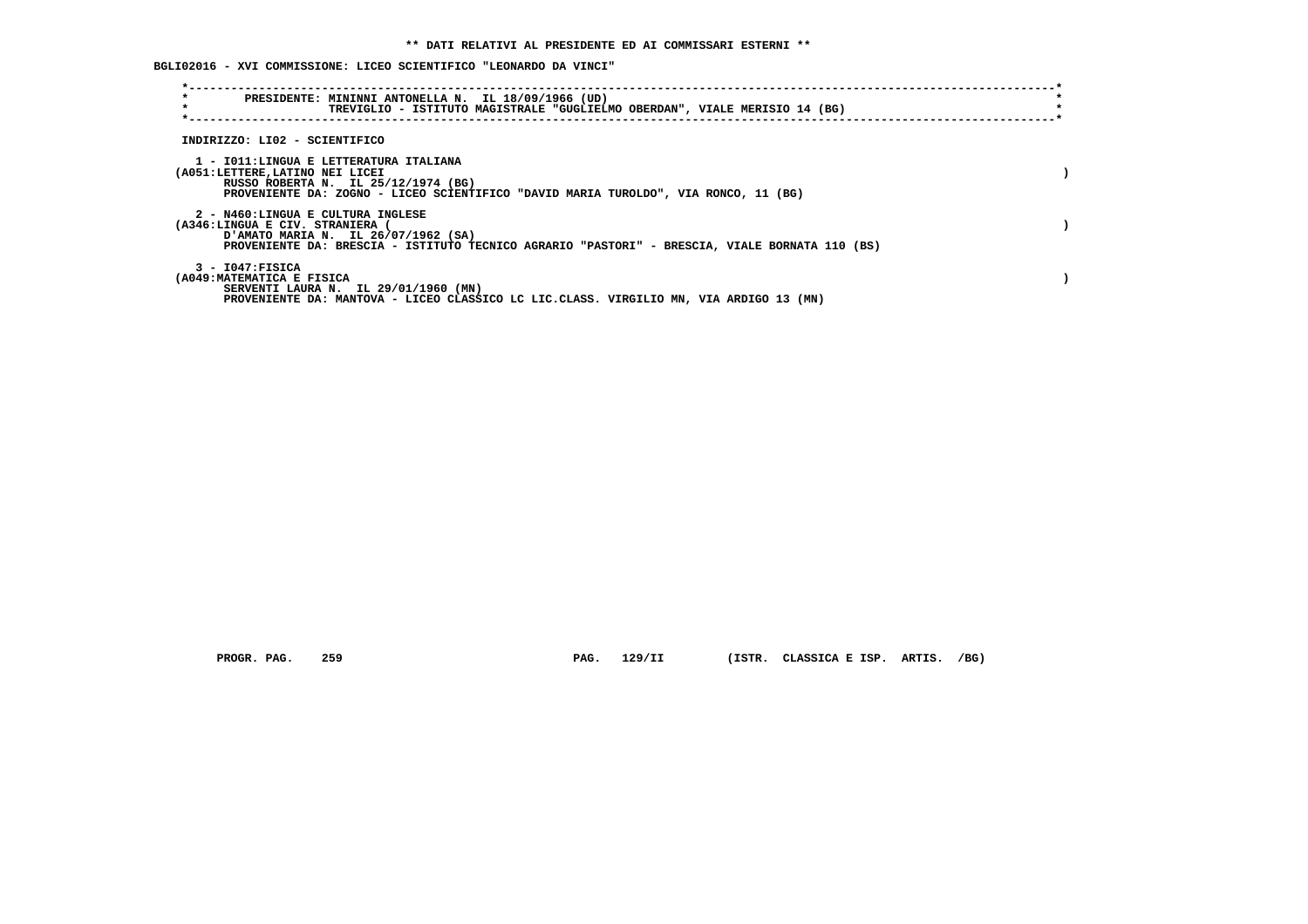**BGLI02016 - XVI COMMISSIONE: LICEO SCIENTIFICO "LEONARDO DA VINCI"**

| $\star$<br>PRESIDENTE: MININNI ANTONELLA N. IL 18/09/1966 (UD)<br>$\star$<br>TREVIGLIO - ISTITUTO MAGISTRALE "GUGLIELMO OBERDAN", VIALE MERISIO 14 (BG)                                                     |  |
|-------------------------------------------------------------------------------------------------------------------------------------------------------------------------------------------------------------|--|
| INDIRIZZO: LI02 - SCIENTIFICO                                                                                                                                                                               |  |
| 1 - IO11:LINGUA E LETTERATURA ITALIANA<br>(A051:LETTERE, LATINO NEI LICEI<br>RUSSO ROBERTA N. IL 25/12/1974 (BG)<br>PROVENIENTE DA: ZOGNO - LICEO SCIENTIFICO "DAVID MARIA TUROLDO", VIA RONCO, 11 (BG)     |  |
| 2 - N460:LINGUA E CULTURA INGLESE<br>(A346:LINGUA E CIV. STRANIERA<br>D'AMATO MARIA N. IL 26/07/1962 (SA)<br>PROVENIENTE DA: BRESCIA - ISTITUTO TECNICO AGRARIO "PASTORI" - BRESCIA, VIALE BORNATA 110 (BS) |  |
| $3 - 1047$ : FISICA<br>(A049: MATEMATICA E FISICA<br>SERVENTI LAURA N. IL 29/01/1960 (MN)<br>PROVENIENTE DA: MANTOVA - LICEO CLASSICO LC LIC.CLASS. VIRGILIO MN, VIA ARDIGO 13 (MN)                         |  |

 **PROGR. PAG. 259 PAG. 129/II (ISTR. CLASSICA E ISP. ARTIS. /BG)**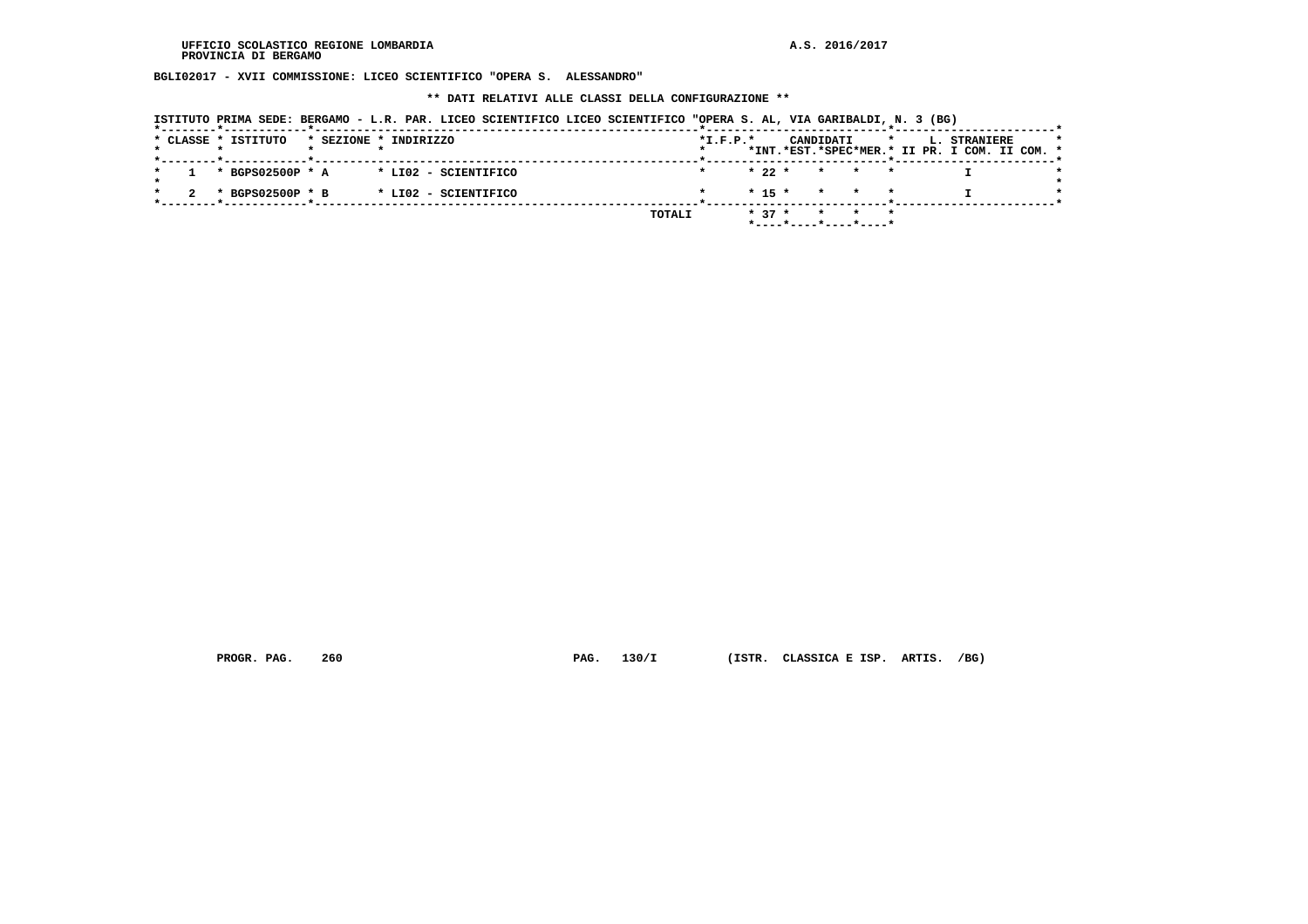**BGLI02017 - XVII COMMISSIONE: LICEO SCIENTIFICO "OPERA S. ALESSANDRO"**

 **\*\* DATI RELATIVI ALLE CLASSI DELLA CONFIGURAZIONE \*\***

| ISTITUTO PRIMA SEDE: BERGAMO - L.R. PAR. LICEO SCIENTIFICO LICEO SCIENTIFICO "OPERA S. AL, VIA GARIBALDI, N. 3 (BG) |  |  |  |  |  |  |  |  |  |  |  |  |  |  |  |  |  |
|---------------------------------------------------------------------------------------------------------------------|--|--|--|--|--|--|--|--|--|--|--|--|--|--|--|--|--|
|---------------------------------------------------------------------------------------------------------------------|--|--|--|--|--|--|--|--|--|--|--|--|--|--|--|--|--|

|  | * CLASSE * ISTITUTO |  | * SEZIONE * INDIRIZZO |        | $*L.F.P.*$ |          |                       | CANDIDATI |                         |  | L. STRANIERE<br>*INT.*EST.*SPEC*MER.* II PR. I COM. II COM. * |  |  |
|--|---------------------|--|-----------------------|--------|------------|----------|-----------------------|-----------|-------------------------|--|---------------------------------------------------------------|--|--|
|  |                     |  |                       |        |            |          |                       |           |                         |  |                                                               |  |  |
|  | * BGPS02500P * A    |  | * LI02 - SCIENTIFICO  |        |            | $* 22 *$ |                       |           | $\star$ $\star$ $\star$ |  |                                                               |  |  |
|  |                     |  |                       |        |            |          |                       |           |                         |  |                                                               |  |  |
|  | * BGPS02500P * B    |  | * LI02 - SCIENTIFICO  |        |            |          | $* 15 * * * * * *$    |           |                         |  |                                                               |  |  |
|  |                     |  |                       |        |            |          |                       |           |                         |  |                                                               |  |  |
|  |                     |  |                       | TOTALI |            | $* 37 *$ |                       |           |                         |  |                                                               |  |  |
|  |                     |  |                       |        |            |          | *----*----*----*----* |           |                         |  |                                                               |  |  |

 **PROGR. PAG. 260 PAG. 130/I (ISTR. CLASSICA E ISP. ARTIS. /BG)**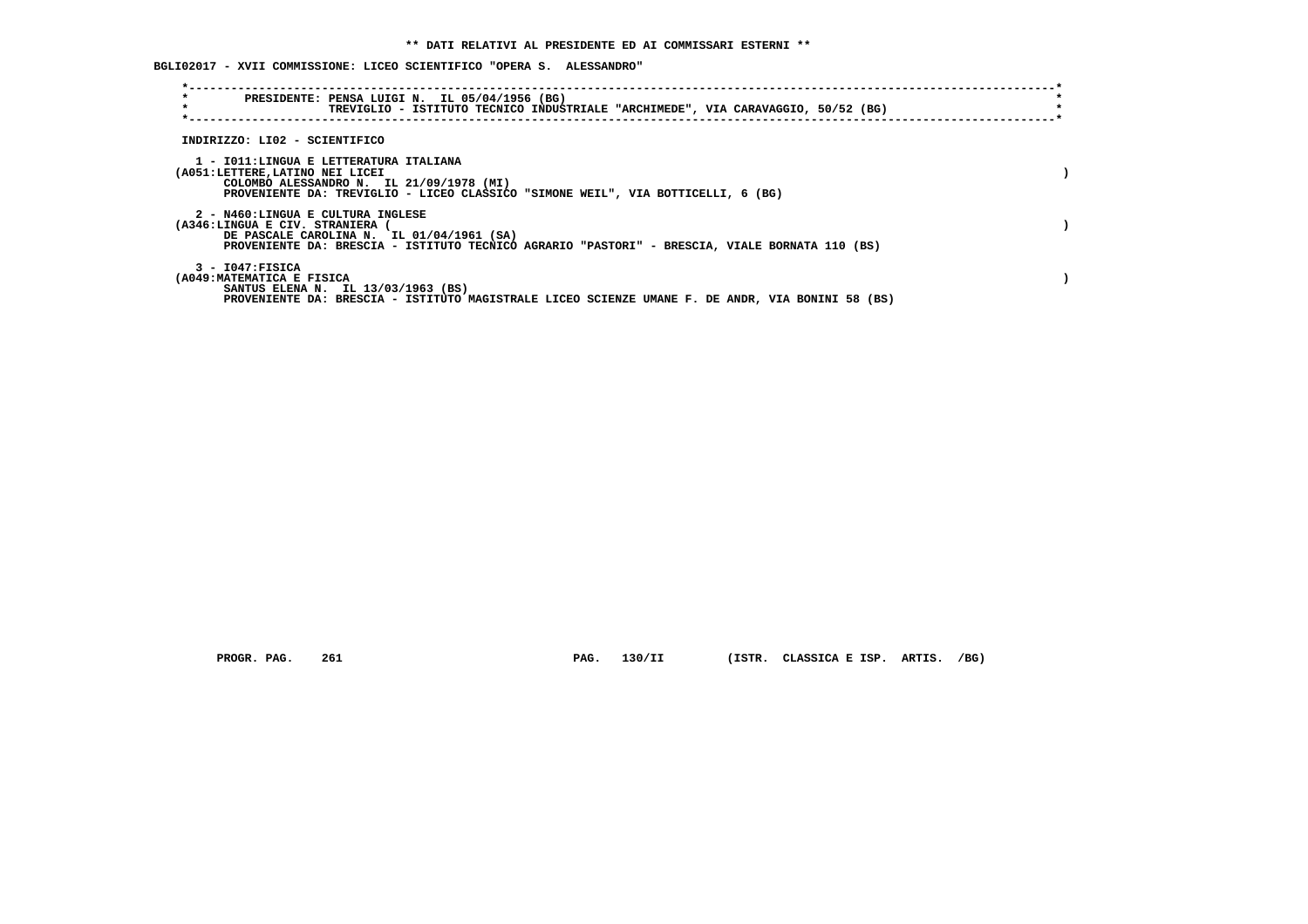**BGLI02017 - XVII COMMISSIONE: LICEO SCIENTIFICO "OPERA S. ALESSANDRO"**

| $\star$<br>PRESIDENTE: PENSA LUIGI N. IL 05/04/1956 (BG)<br>$\star$                                                                                                                                       | TREVIGLIO - ISTITUTO TECNICO INDUSTRIALE "ARCHIMEDE", VIA CARAVAGGIO, 50/52 (BG)                 |
|-----------------------------------------------------------------------------------------------------------------------------------------------------------------------------------------------------------|--------------------------------------------------------------------------------------------------|
| INDIRIZZO: LI02 - SCIENTIFICO                                                                                                                                                                             |                                                                                                  |
| 1 - IO11:LINGUA E LETTERATURA ITALIANA<br>(A051:LETTERE, LATINO NEI LICEI<br>COLOMBO ALESSANDRO N. IL 21/09/1978 (MI)<br>PROVENIENTE DA: TREVIGLIO - LICEO CLASSICO "SIMONE WEIL", VIA BOTTICELLI, 6 (BG) |                                                                                                  |
| 2 - N460:LINGUA E CULTURA INGLESE<br>(A346:LINGUA E CIV. STRANIERA<br>DE PASCALE CAROLINA N. IL 01/04/1961 (SA)                                                                                           | PROVENIENTE DA: BRESCIA - ISTITUTO TECNICO AGRARIO "PASTORI" - BRESCIA, VIALE BORNATA 110 (BS)   |
| 3 - I047:FISICA<br>(A049: MATEMATICA E FISICA<br>SANTUS ELENA N. IL 13/03/1963 (BS)                                                                                                                       | PROVENIENTE DA: BRESCIA - ISTITUTO MAGISTRALE LICEO SCIENZE UMANE F. DE ANDR, VIA BONINI 58 (BS) |

 **PROGR. PAG. 261 PAG. 130/II (ISTR. CLASSICA E ISP. ARTIS. /BG)**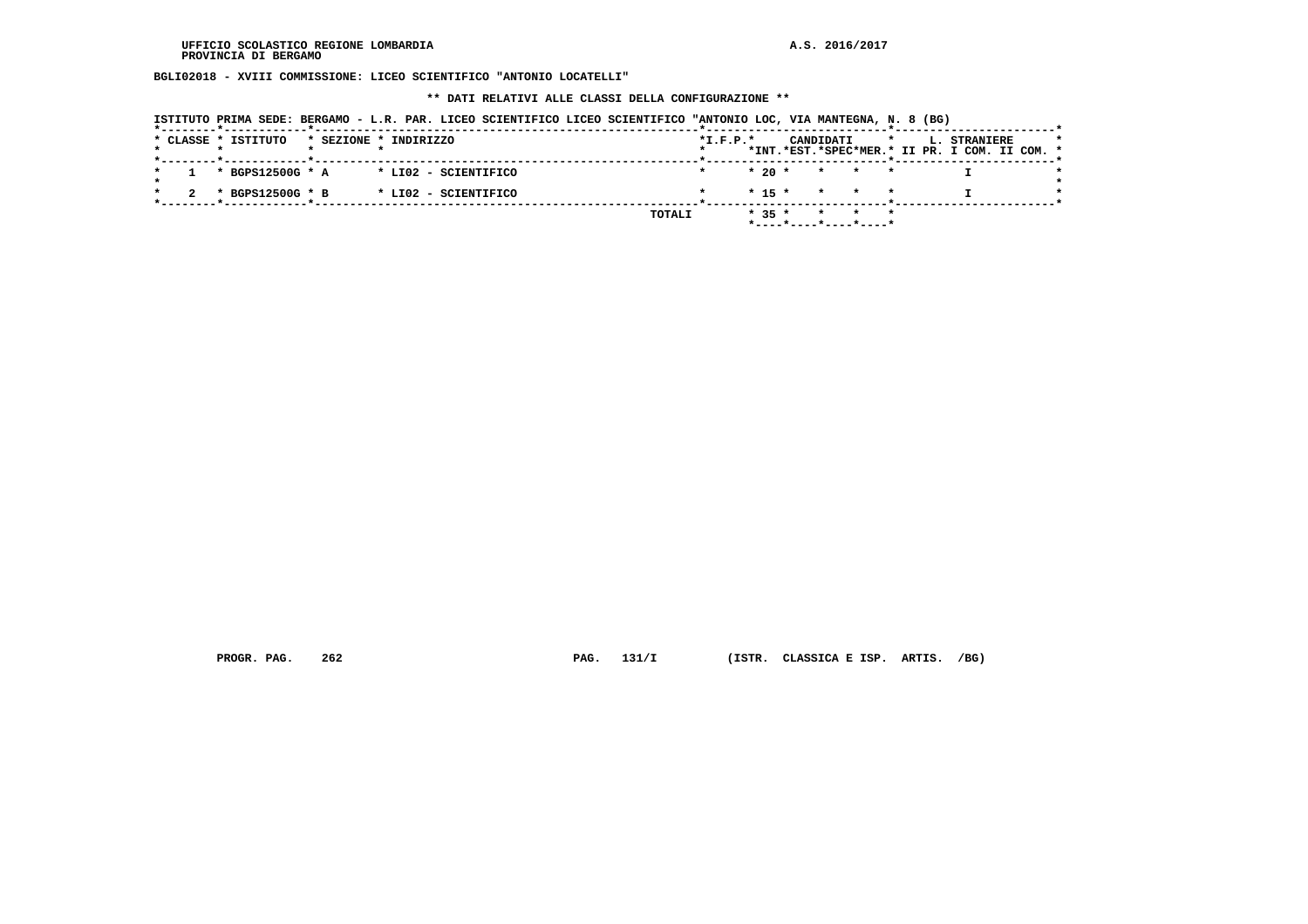**BGLI02018 - XVIII COMMISSIONE: LICEO SCIENTIFICO "ANTONIO LOCATELLI"**

 **\*\* DATI RELATIVI ALLE CLASSI DELLA CONFIGURAZIONE \*\***

| ISTITUTO PRIMA SEDE: BERGAMO - L.R. PAR. LICEO SCIENTIFICO LICEO SCIENTIFICO "ANTONIO LOC, VIA MANTEGNA, N. 8 (BG)                |                                                                                                     |
|-----------------------------------------------------------------------------------------------------------------------------------|-----------------------------------------------------------------------------------------------------|
| * CLASSE * ISTITUTO<br>* SEZIONE * INDIRIZZO<br>. _ _ _ _ _ _ _ _ <del>.</del> _ _ _ _ _ _ _ _ _ _ _ _ _ <del>.</del> _ _ _ _ _ _ | $*I.F.P.*$<br>CANDIDATI<br>L. STRANIERE<br>$\star$<br>*INT.*EST.*SPEC*MER.* II PR. I COM. II COM. * |
| * BGPS12500G * A<br>* LI02 - SCIENTIFICO                                                                                          | $*20$ $*$<br>* * *                                                                                  |
| * BGPS12500G * B<br>* LIO2 - SCIENTIFICO                                                                                          | $* 15 * * * * * *$                                                                                  |
|                                                                                                                                   | $* 35 *$<br>TOTALI<br>$*$ - - - - $*$ - - - - $*$ - - - - $*$ - - - - - $*$                         |

 **PROGR. PAG. 262 PAG. 131/I (ISTR. CLASSICA E ISP. ARTIS. /BG)**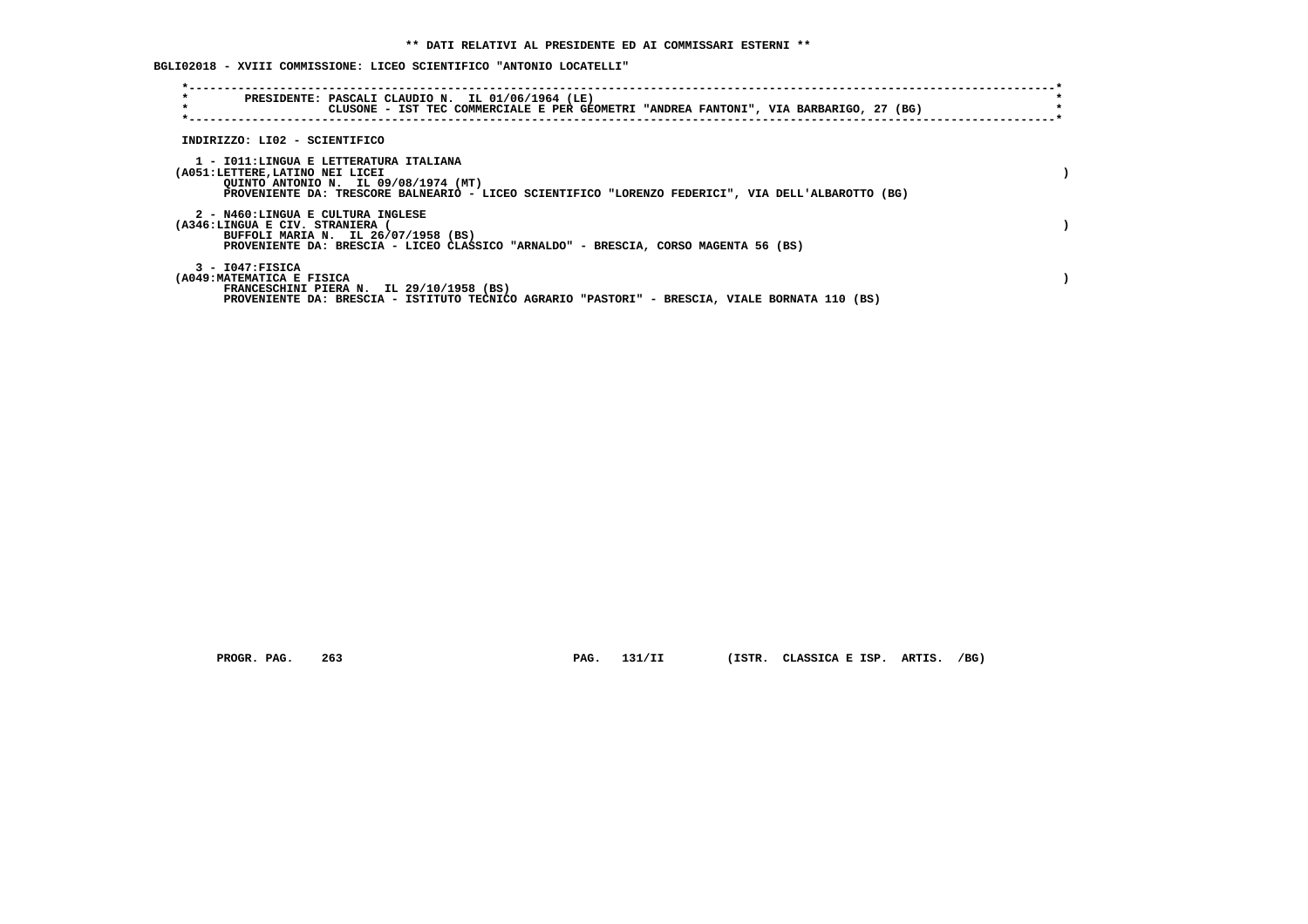**BGLI02018 - XVIII COMMISSIONE: LICEO SCIENTIFICO "ANTONIO LOCATELLI"**

| $\star$<br>$\star$                                                        | PRESIDENTE: PASCALI CLAUDIO N. IL 01/06/1964 (LE)<br>CLUSONE - IST TEC COMMERCIALE E PER GEOMETRI "ANDREA FANTONI", VIA BARBARIGO, 27 (BG) |  |
|---------------------------------------------------------------------------|--------------------------------------------------------------------------------------------------------------------------------------------|--|
| INDIRIZZO: LI02 - SCIENTIFICO                                             |                                                                                                                                            |  |
| 1 - IO11:LINGUA E LETTERATURA ITALIANA<br>(A051:LETTERE, LATINO NEI LICEI | QUINTO ANTONIO N. IL 09/08/1974 (MT)<br>PROVENIENTE DA: TRESCORE BALNEARIO - LICEO SCIENTIFICO "LORENZO FEDERICI", VIA DELL'ALBAROTTO (BG) |  |
| 2 - N460:LINGUA E CULTURA INGLESE<br>(A346:LINGUA E CIV. STRANIERA (      | BUFFOLI MARIA N. IL 26/07/1958 (BS)<br>PROVENIENTE DA: BRESCIA - LICEO CLASSICO "ARNALDO" - BRESCIA, CORSO MAGENTA 56 (BS)                 |  |
| $3 - 1047$ : FISICA<br>(A049: MATEMATICA E FISICA                         | FRANCESCHINI PIERA N. IL 29/10/1958 (BS)<br>PROVENIENTE DA: BRESCIA - ISTITUTO TECNICO AGRARIO "PASTORI" - BRESCIA, VIALE BORNATA 110 (BS) |  |

 **PROGR. PAG. 263 PAG. 131/II (ISTR. CLASSICA E ISP. ARTIS. /BG)**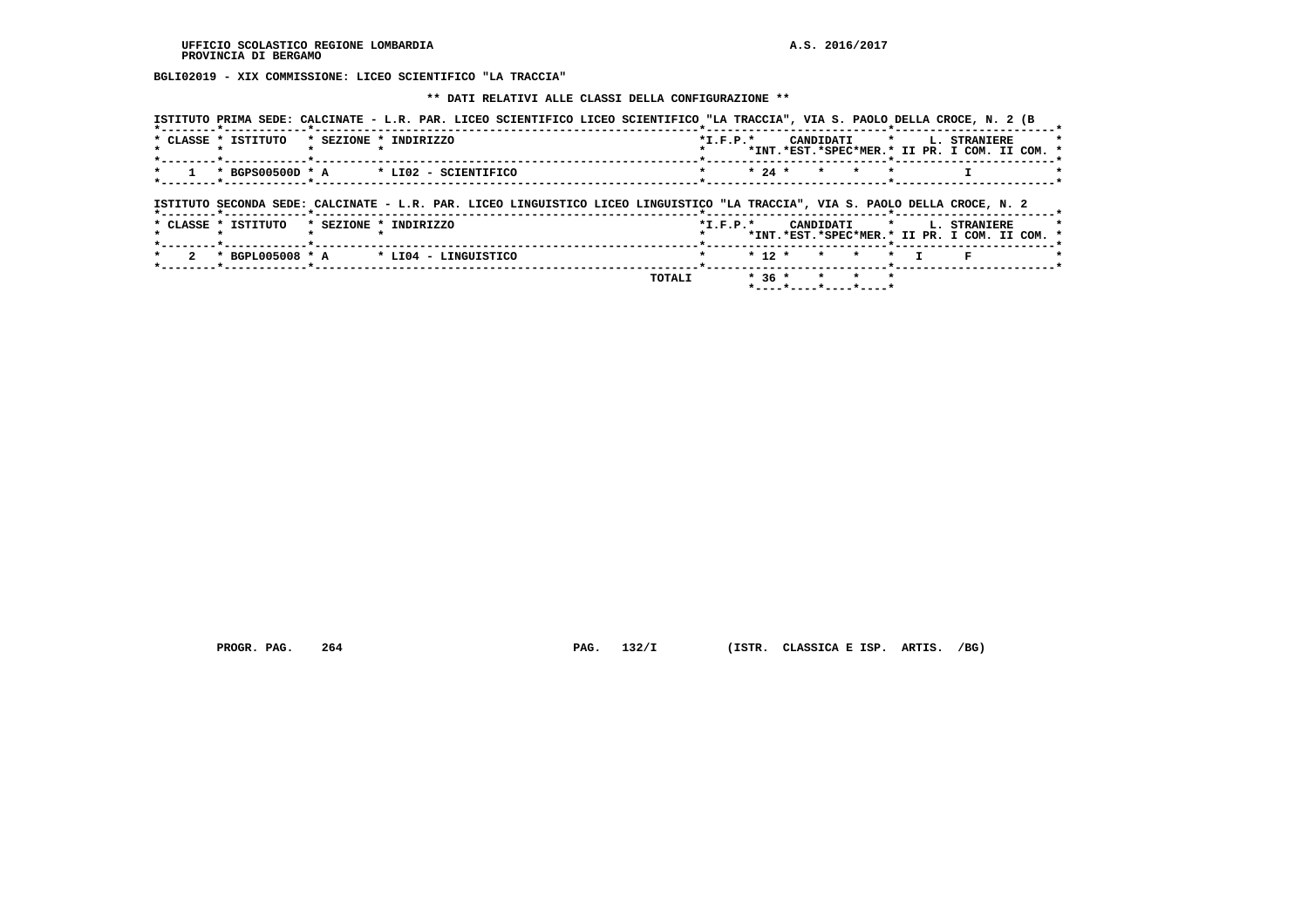**BGLI02019 - XIX COMMISSIONE: LICEO SCIENTIFICO "LA TRACCIA"**

 **\*\* DATI RELATIVI ALLE CLASSI DELLA CONFIGURAZIONE \*\***

| ISTITUTO PRIMA SEDE: CALCINATE - L.R. PAR. LICEO SCIENTIFICO LICEO SCIENTIFICO "LA TRACCIA", VIA S. PAOLO DELLA CROCE, N. 2 (B |                                                                                             |
|--------------------------------------------------------------------------------------------------------------------------------|---------------------------------------------------------------------------------------------|
| * CLASSE * ISTITUTO<br>* SEZIONE * INDIRIZZO                                                                                   | CANDIDATI * L. STRANIERE<br>$*$ I.F.P. $*$<br>*INT.*EST.*SPEC*MER.* II PR. I COM. II COM. * |
| * BGPS00500D * A * LI02 - SCIENTIFICO<br>*--------*------------*-------------                                                  | $\star$ 24 $\star$ $\star$ $\star$<br>$\star$                                               |
| ISTITUTO SECONDA SEDE: CALCINATE - L.R. PAR. LICEO LINGUISTICO LICEO LINGUISTICO "LA TRACCIA", VIA S. PAOLO DELLA CROCE, N. 2  |                                                                                             |
| * CLASSE * ISTITUTO<br>* SEZIONE * INDIRIZZO                                                                                   | *I.F.P.* CANDIDATI * L. STRANIERE<br>*INT.*EST.*SPEC*MER.* II PR. I COM. II COM. *          |
| $\star$ BGPL005008 $\star$ A $\star$ LI04 - LINGUISTICO<br>*------- <b>*</b> ----------- <b>*</b> ---------                    | $* 12 * * * * * T$                                                                          |
| TOTALI                                                                                                                         | $* 36 * * * * * * *$<br>$*$ ---- $*$ ---- $*$ ---- $*$ ----*                                |

 **PROGR. PAG. 264 PAG. 132/I (ISTR. CLASSICA E ISP. ARTIS. /BG)**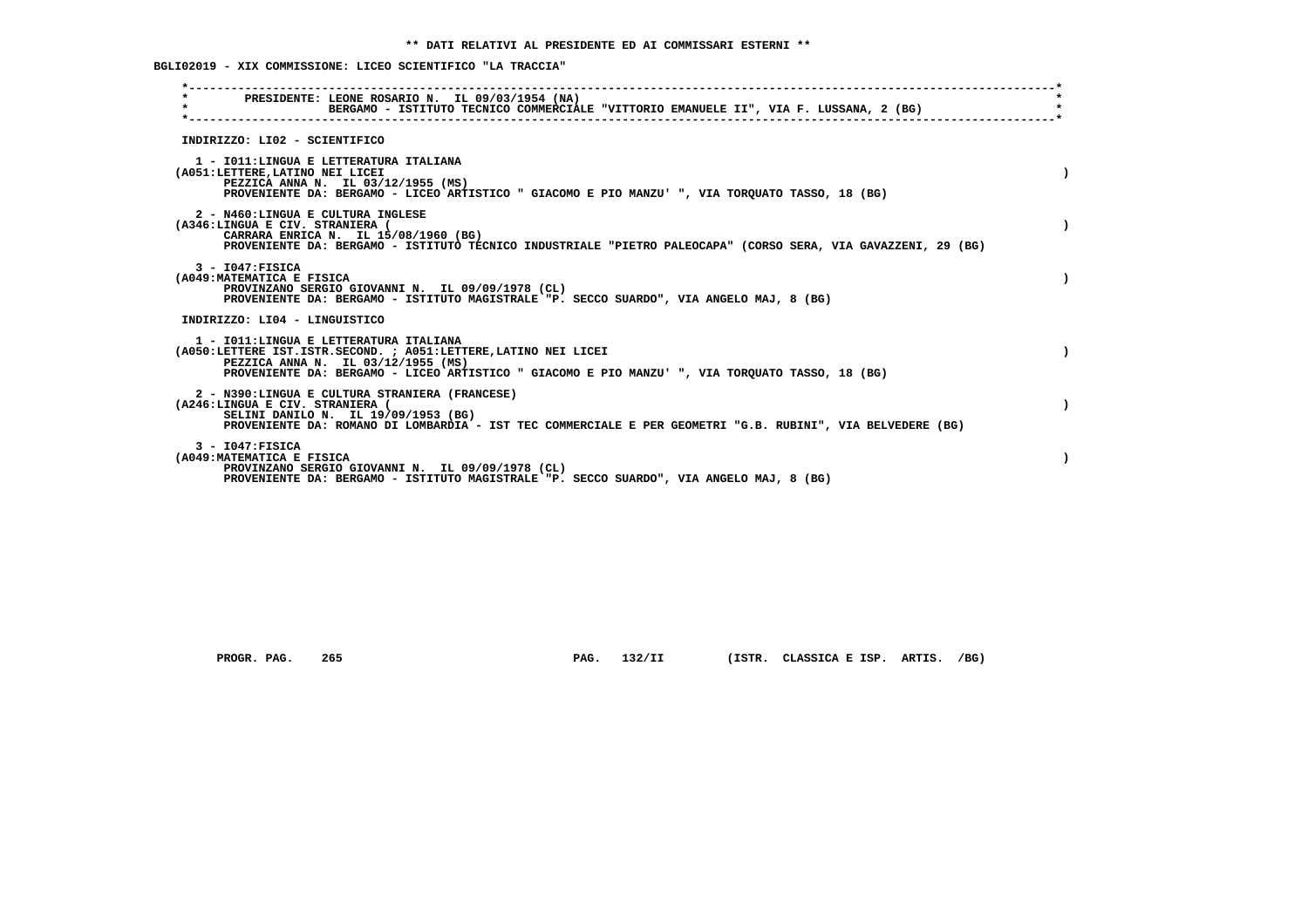# **BGLI02019 - XIX COMMISSIONE: LICEO SCIENTIFICO "LA TRACCIA"**

| $\star$ | PRESIDENTE: LEONE ROSARIO N. IL 09/03/1954 (NA)<br>BERGAMO - ISTITUTO TECNICO COMMERCIALE "VITTORIO EMANUELE II", VIA F. LUSSANA, 2 (BG)                                                                                                           |  |
|---------|----------------------------------------------------------------------------------------------------------------------------------------------------------------------------------------------------------------------------------------------------|--|
|         | INDIRIZZO: LI02 - SCIENTIFICO                                                                                                                                                                                                                      |  |
|         | 1 - IO11:LINGUA E LETTERATURA ITALIANA<br>(A051:LETTERE, LATINO NEI LICEI<br>PEZZICA ANNA N. IL 03/12/1955 (MS)<br>PROVENIENTE DA: BERGAMO - LICEO ARTISTICO " GIACOMO E PIO MANZU' ", VIA TORQUATO TASSO, 18 (BG)                                 |  |
|         | 2 - N460:LINGUA E CULTURA INGLESE<br>(A346:LINGUA E CIV. STRANIERA (<br>CARRARA ENRICA N. IL 15/08/1960 (BG)<br>PROVENIENTE DA: BERGAMO - ISTITUTO TECNICO INDUSTRIALE "PIETRO PALEOCAPA" (CORSO SERA, VIA GAVAZZENI, 29 (BG)                      |  |
|         | $3 - 1047:$ FISICA<br>(A049: MATEMATICA E FISICA<br>PROVINZANO SERGIO GIOVANNI N. IL 09/09/1978 (CL)<br>PROVENIENTE DA: BERGAMO - ISTITUTO MAGISTRALE "P. SECCO SUARDO", VIA ANGELO MAJ, 8 (BG)                                                    |  |
|         | INDIRIZZO: LI04 - LINGUISTICO                                                                                                                                                                                                                      |  |
|         | 1 - IO11: LINGUA E LETTERATURA ITALIANA<br>(A050:LETTERE IST.ISTR.SECOND. ; A051:LETTERE,LATINO NEI LICEI<br>PEZZICA ANNA N. IL 03/12/1955 (MS)<br>PROVENIENTE DA: BERGAMO - LICEO ARTISTICO " GIACOMO E PIO MANZU' ", VIA TORQUATO TASSO, 18 (BG) |  |
|         | 2 - N390:LINGUA E CULTURA STRANIERA (FRANCESE)<br>(A246:LINGUA E CIV. STRANIERA (<br>SELINI DANILO N. IL 19/09/1953 (BG)<br>PROVENIENTE DA: ROMANO DI LOMBARDIA - IST TEC COMMERCIALE E PER GEOMETRI "G.B. RUBINI", VIA BELVEDERE (BG)             |  |
|         | $3 - 1047:$ FISICA<br>(A049: MATEMATICA E FISICA<br>PROVINZANO SERGIO GIOVANNI N. IL 09/09/1978 (CL)<br>PROVENIENTE DA: BERGAMO - ISTITUTO MAGISTRALE "P. SECCO SUARDO", VIA ANGELO MAJ, 8 (BG)                                                    |  |

 **PROGR. PAG. 265 PAG. 132/II (ISTR. CLASSICA E ISP. ARTIS. /BG)**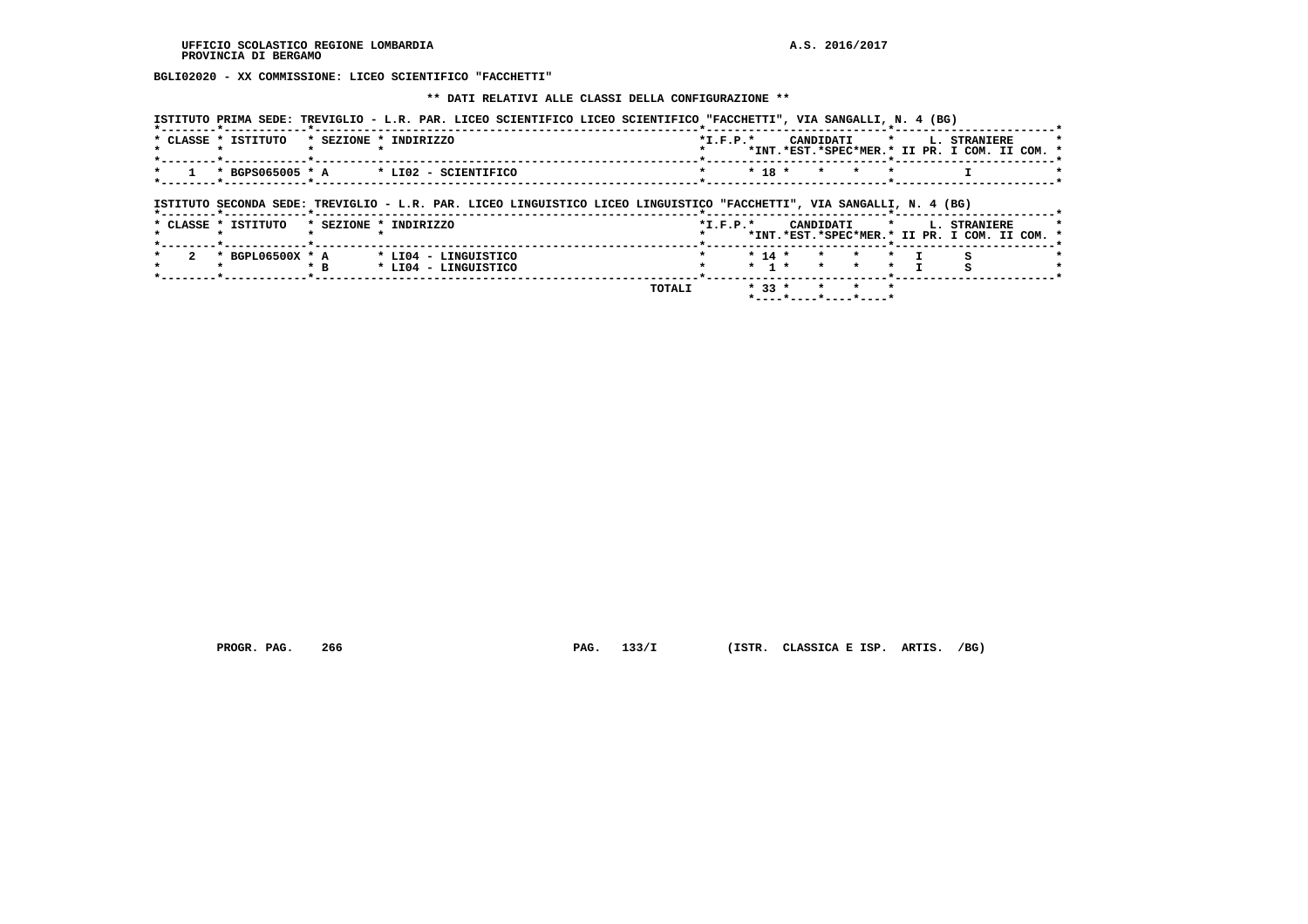**BGLI02020 - XX COMMISSIONE: LICEO SCIENTIFICO "FACCHETTI"**

 **\*\* DATI RELATIVI ALLE CLASSI DELLA CONFIGURAZIONE \*\***

| ISTITUTO PRIMA SEDE: TREVIGLIO - L.R. PAR. LICEO SCIENTIFICO LICEO SCIENTIFICO "FACCHETTI", VIA SANGALLI, N. 4 (BG) |                                                    |
|---------------------------------------------------------------------------------------------------------------------|----------------------------------------------------|
| * CLASSE * ISTITUTO<br>* SEZIONE * INDIRIZZO                                                                        | $*T$ , $F$ , $D$ , $*$<br>CANDIDATI * L. STRANIERE |
|                                                                                                                     | *INT.*EST.*SPEC*MER.* II PR. I COM. II COM. *      |
| $1 * BGPS065005 * A * LIO2 - SCIENTIFICO$                                                                           | $\star$ 18 $\star$ $\star$ $\star$ $\star$         |
|                                                                                                                     |                                                    |

 **ISTITUTO SECONDA SEDE: TREVIGLIO - L.R. PAR. LICEO LINGUISTICO LICEO LINGUISTICO "FACCHETTI", VIA SANGALLI, N. 4 (BG)**

|  | * CLASSE * ISTITUTO | * SEZIONE * | INDIRIZZO                                    |        | $*L.F.P.*$ |            |  | CANDIDATI |         |  | L. STRANIERE<br>*INT.*EST.*SPEC*MER.* II PR. I COM. II COM. * |  |
|--|---------------------|-------------|----------------------------------------------|--------|------------|------------|--|-----------|---------|--|---------------------------------------------------------------|--|
|  | * BGPL06500X * A    | $*$ B       | * LI04 - LINGUISTICO<br>* LI04 - LINGUISTICO |        |            | $*$ 14 $*$ |  |           | * * * T |  |                                                               |  |
|  |                     |             |                                              | TOTALI |            | $*33 *$    |  |           |         |  |                                                               |  |

 **PROGR. PAG. 266 PAG. 133/I (ISTR. CLASSICA E ISP. ARTIS. /BG)**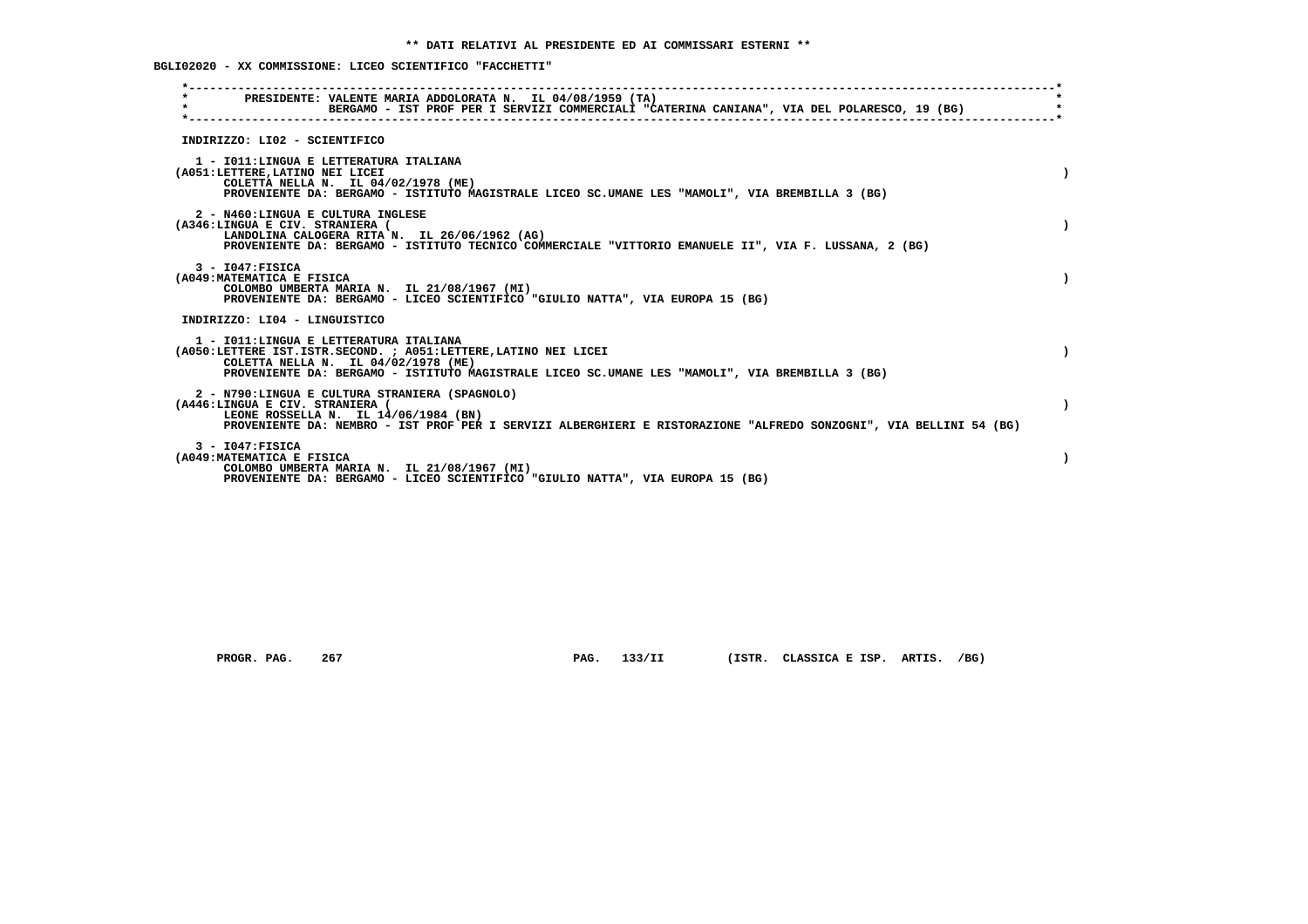**BGLI02020 - XX COMMISSIONE: LICEO SCIENTIFICO "FACCHETTI"**

| PRESIDENTE: VALENTE MARIA ADDOLORATA N. IL 04/08/1959 (TA)<br>$\star$<br>BERGAMO - IST PROF PER I SERVIZI COMMERCIALI "CATERINA CANIANA", VIA DEL POLARESCO, 19 (BG)                                                                                 |           |
|------------------------------------------------------------------------------------------------------------------------------------------------------------------------------------------------------------------------------------------------------|-----------|
| INDIRIZZO: LI02 - SCIENTIFICO                                                                                                                                                                                                                        |           |
| 1 - IO11: LINGUA E LETTERATURA ITALIANA<br>(A051:LETTERE, LATINO NEI LICEI<br>COLETTA NELLA N. IL 04/02/1978 (ME)<br>PROVENIENTE DA: BERGAMO - ISTITUTO MAGISTRALE LICEO SC.UMANE LES "MAMOLI", VIA BREMBILLA 3 (BG)                                 |           |
| 2 - N460:LINGUA E CULTURA INGLESE<br>(A346:LINGUA E CIV. STRANIERA (<br>LANDOLINA CALOGERA RITA N. IL 26/06/1962 (AG)<br>PROVENIENTE DA: BERGAMO - ISTITUTO TECNICO COMMERCIALE "VITTORIO EMANUELE II", VIA F. LUSSANA, 2 (BG)                       |           |
| $3 - 1047:$ FISICA<br>(A049: MATEMATICA E FISICA<br>COLOMBO UMBERTA MARIA N. IL 21/08/1967 (MI)<br>PROVENIENTE DA: BERGAMO - LICEO SCIENTIFICO "GIULIO NATTA", VIA EUROPA 15 (BG)                                                                    |           |
| INDIRIZZO: LI04 - LINGUISTICO                                                                                                                                                                                                                        |           |
| 1 - IO11: LINGUA E LETTERATURA ITALIANA<br>(A050:LETTERE IST.ISTR.SECOND. : A051:LETTERE, LATINO NEI LICEI<br>COLETTA NELLA N. IL 04/02/1978 (ME)<br>PROVENIENTE DA: BERGAMO - ISTITUTO MAGISTRALE LICEO SC.UMANE LES "MAMOLI", VIA BREMBILLA 3 (BG) |           |
| 2 - N790:LINGUA E CULTURA STRANIERA (SPAGNOLO)<br>(A446:LINGUA E CIV. STRANIERA (<br>LEONE ROSSELLA N. IL 14/06/1984 (BN)<br>PROVENIENTE DA: NEMBRO - IST PROF PER I SERVIZI ALBERGHIERI E RISTORAZIONE "ALFREDO SONZOGNI", VIA BELLINI 54 (BG)      | $\lambda$ |
| $3 - 1047:$ FISICA<br>(A049: MATEMATICA E FISICA<br>COLOMBO UMBERTA MARIA N. IL 21/08/1967 (MI)<br>PROVENIENTE DA: BERGAMO - LICEO SCIENTIFICO "GIULIO NATTA", VIA EUROPA 15 (BG)                                                                    |           |

 **PROGR. PAG. 267 PAG. 133/II (ISTR. CLASSICA E ISP. ARTIS. /BG)**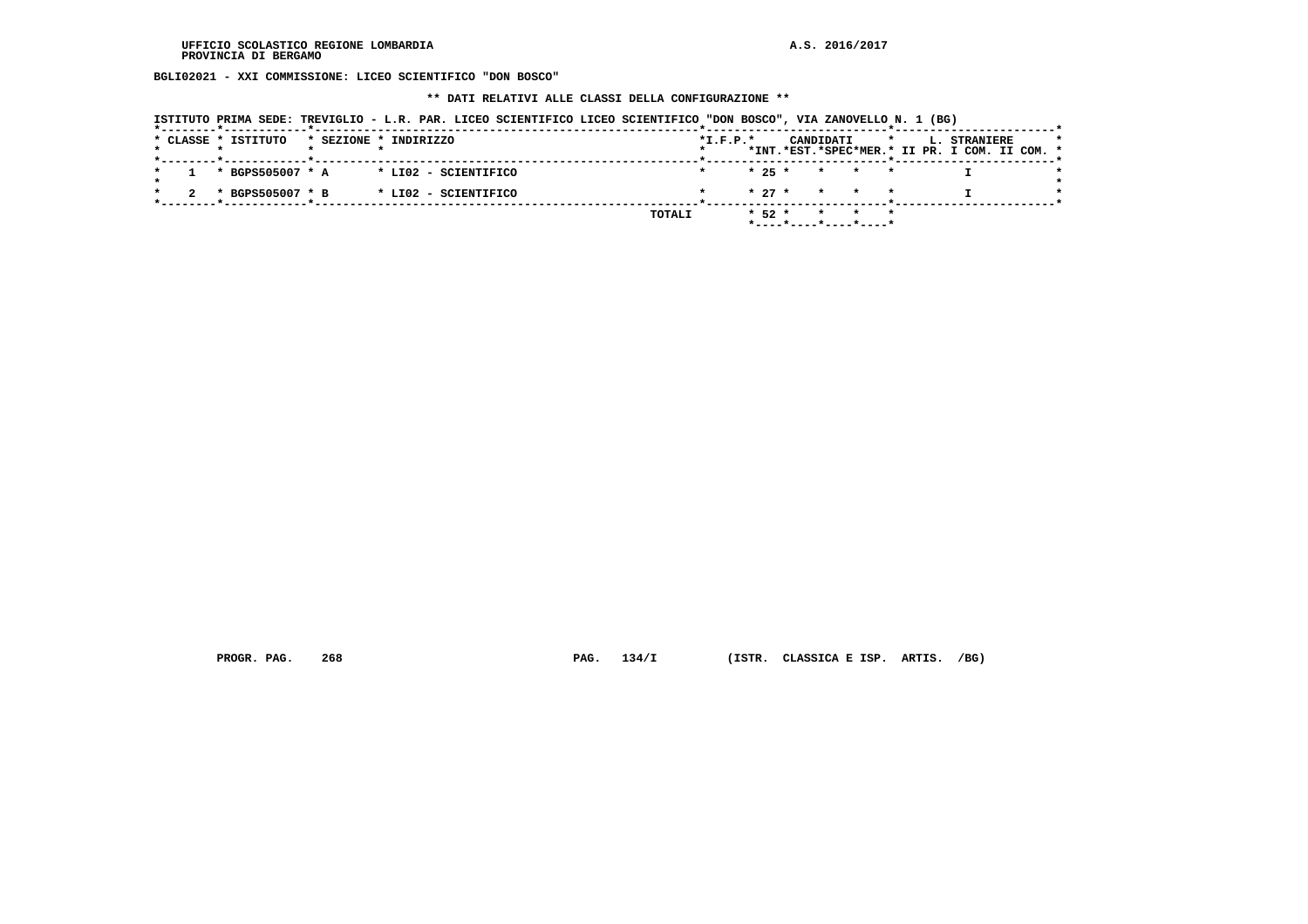**BGLI02021 - XXI COMMISSIONE: LICEO SCIENTIFICO "DON BOSCO"**

#### **\*\* DATI RELATIVI ALLE CLASSI DELLA CONFIGURAZIONE \*\***

 **ISTITUTO PRIMA SEDE: TREVIGLIO - L.R. PAR. LICEO SCIENTIFICO LICEO SCIENTIFICO "DON BOSCO", VIA ZANOVELLO N. 1 (BG)**

|  | * CLASSE * ISTITUTO |  | * SEZIONE * INDIRIZZO                     |        | $*L.F.P.*$ |            | CANDIDATI |                                            | $\star$ | <b>L. STRANIERE</b><br>*INT.*EST.*SPEC*MER.* II PR. I COM. II COM. * |  |  |
|--|---------------------|--|-------------------------------------------|--------|------------|------------|-----------|--------------------------------------------|---------|----------------------------------------------------------------------|--|--|
|  |                     |  |                                           |        |            |            |           |                                            |         |                                                                      |  |  |
|  |                     |  | $1 * BGPS505007 * A * LIO2 - SCIENTIFICO$ |        |            |            |           | $* 25 * * * * * * *$                       |         |                                                                      |  |  |
|  | * BGPS505007 * B    |  | * LI02 - SCIENTIFICO                      |        |            |            |           | $\star$ 27 $\star$ $\star$ $\star$ $\star$ |         |                                                                      |  |  |
|  |                     |  |                                           | TOTALI |            | $*$ 52 $*$ |           | * * *                                      |         |                                                                      |  |  |
|  |                     |  |                                           |        |            |            |           | *----*----*----*----*                      |         |                                                                      |  |  |

 **PROGR. PAG. 268 PAG. 134/I (ISTR. CLASSICA E ISP. ARTIS. /BG)**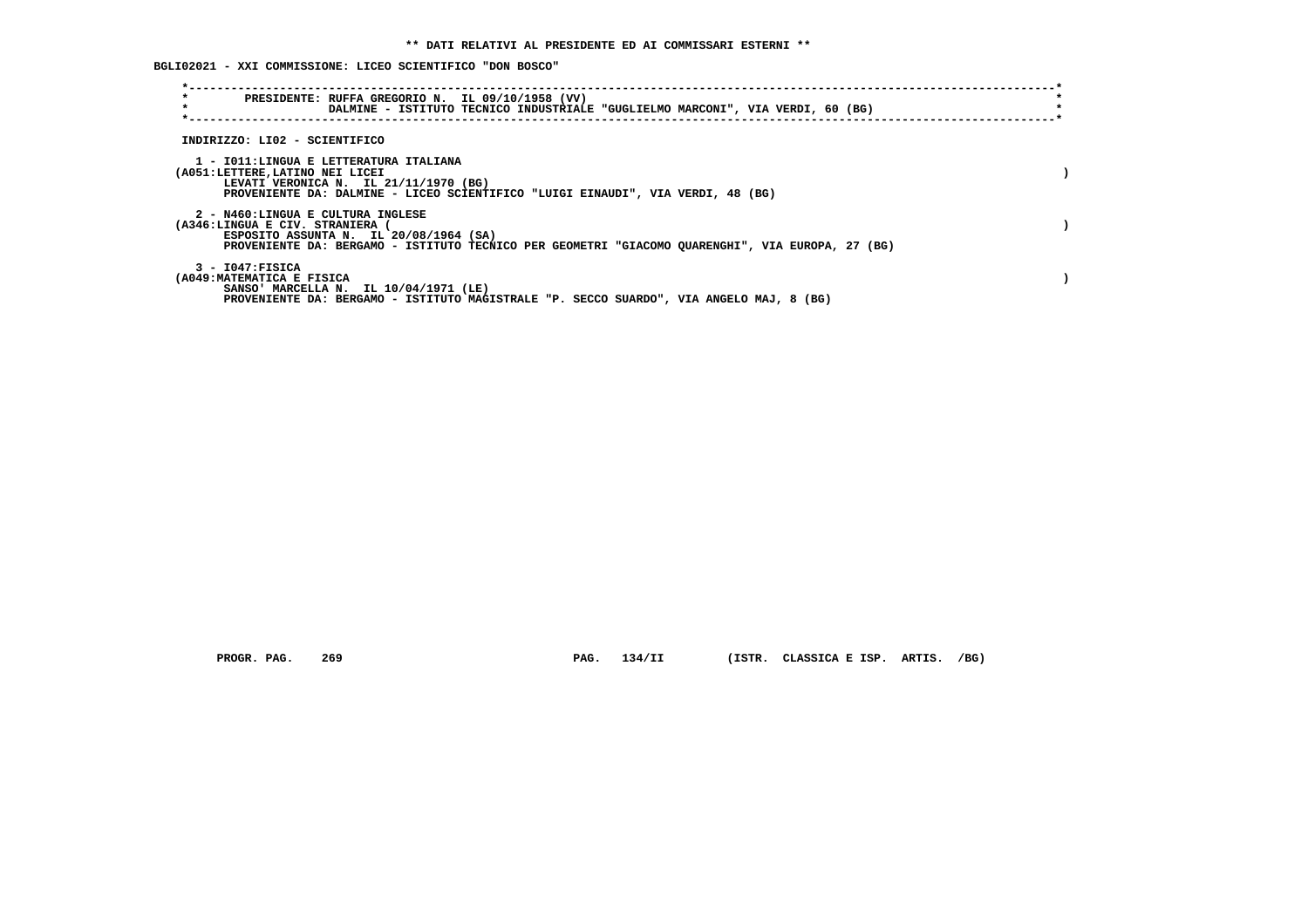**BGLI02021 - XXI COMMISSIONE: LICEO SCIENTIFICO "DON BOSCO"**

| $\star$<br>PRESIDENTE: RUFFA GREGORIO N. IL 09/10/1958 (VV)<br>$\star$<br>DALMINE - ISTITUTO TECNICO INDUSTRIALE "GUGLIELMO MARCONI", VIA VERDI, 60 (BG)                                                         |  |
|------------------------------------------------------------------------------------------------------------------------------------------------------------------------------------------------------------------|--|
| INDIRIZZO: LI02 - SCIENTIFICO                                                                                                                                                                                    |  |
| 1 - IO11:LINGUA E LETTERATURA ITALIANA<br>(A051:LETTERE, LATINO NEI LICEI<br>LEVATI VERONICA N. IL 21/11/1970 (BG)<br>PROVENIENTE DA: DALMINE - LICEO SCIENTIFICO "LUIGI EINAUDI", VIA VERDI, 48 (BG)            |  |
| 2 - N460:LINGUA E CULTURA INGLESE<br>(A346:LINGUA E CIV. STRANIERA<br>ESPOSITO ASSUNTA N. IL 20/08/1964 (SA)<br>PROVENIENTE DA: BERGAMO - ISTITUTO TECNICO PER GEOMETRI "GIACOMO QUARENGHI", VIA EUROPA, 27 (BG) |  |
| $3 - 1047:$ FISICA<br>(A049:MATEMATICA E FISICA<br>SANSO' MARCELLA N. IL 10/04/1971 (LE)<br>PROVENIENTE DA: BERGAMO - ISTITUTO MAGISTRALE "P. SECCO SUARDO", VIA ANGELO MAJ, 8 (BG)                              |  |

 **PROGR. PAG. 269 PAG. 134/II (ISTR. CLASSICA E ISP. ARTIS. /BG)**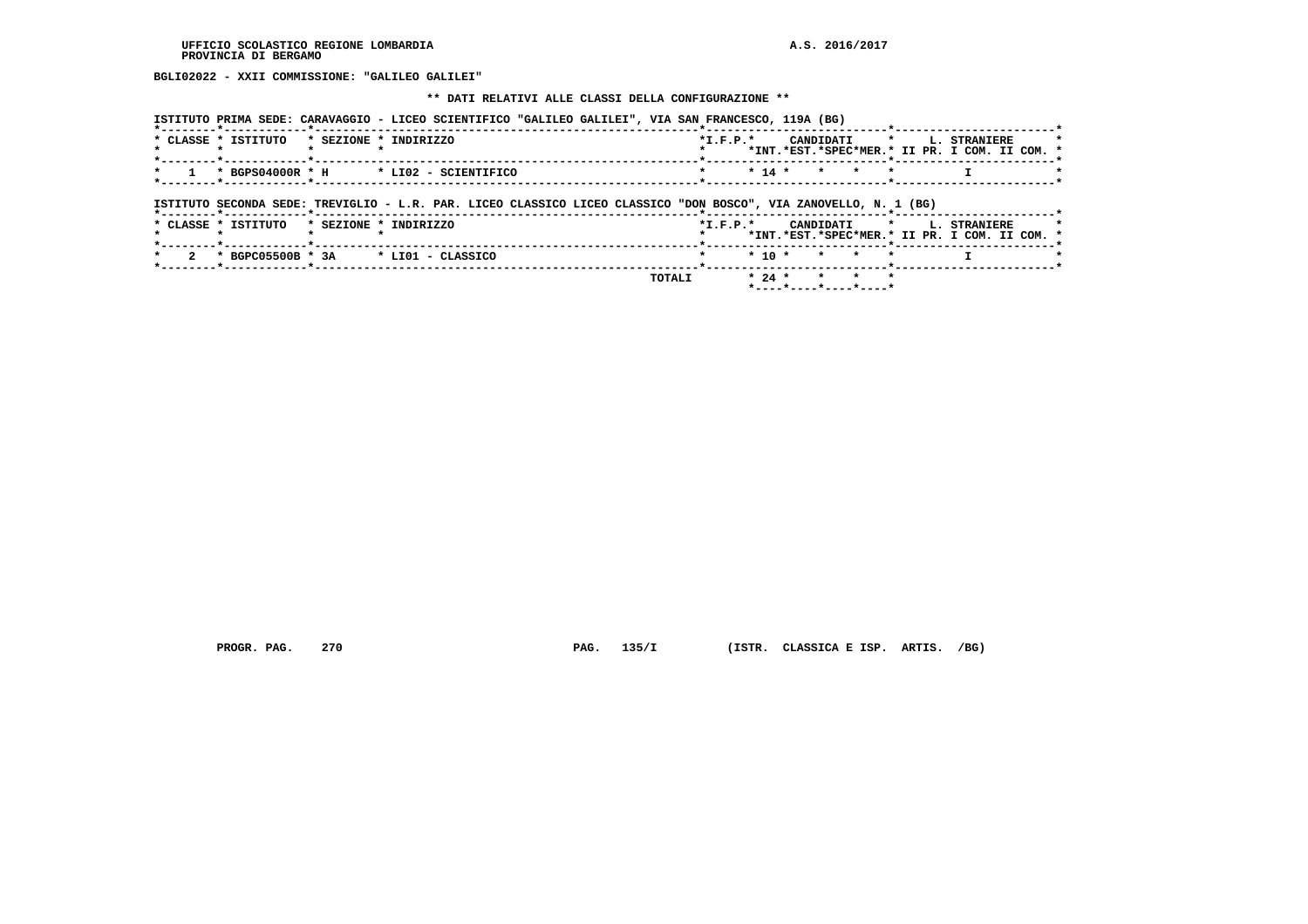**BGLI02022 - XXII COMMISSIONE: "GALILEO GALILEI"**

 **\*\* DATI RELATIVI ALLE CLASSI DELLA CONFIGURAZIONE \*\***

|                     |                                                            | ISTITUTO PRIMA SEDE: CARAVAGGIO - LICEO SCIENTIFICO "GALILEO GALILEI", VIA SAN FRANCESCO, 119A (BG)              |        |                |          |                    |                                                                          |  |
|---------------------|------------------------------------------------------------|------------------------------------------------------------------------------------------------------------------|--------|----------------|----------|--------------------|--------------------------------------------------------------------------|--|
| * CLASSE * ISTITUTO |                                                            | * SEZIONE * INDIRIZZO                                                                                            |        | $*$ I.F.P. $*$ |          | CANDIDATI          | $\star$<br>L. STRANIERE<br>*INT.*EST.*SPEC*MER.* II PR. I COM. II COM. * |  |
|                     | * BGPS04000R * H<br>*--------*----------- <b>*</b> ------- | * LI02 - SCIENTIFICO                                                                                             |        |                | $* 14 *$ | $\star$<br>$\star$ | $\star$                                                                  |  |
|                     |                                                            | ISTITUTO SECONDA SEDE: TREVIGLIO - L.R. PAR. LICEO CLASSICO LICEO CLASSICO "DON BOSCO", VIA ZANOVELLO, N. 1 (BG) |        |                |          |                    |                                                                          |  |
| * CLASSE * ISTITUTO |                                                            | * SEZIONE * INDIRIZZO                                                                                            |        | $*L.F.P.*$     |          | CANDIDATI          | * L. STRANIERE<br>*INT.*EST.*SPEC*MER.* II PR. I COM. II COM. *          |  |
|                     | * BGPC05500B * 3A                                          | * LIO1 - CLASSICO                                                                                                |        |                | $* 10 *$ |                    |                                                                          |  |
|                     |                                                            |                                                                                                                  | TOTALI |                | $* 24 *$ |                    |                                                                          |  |

 **\*----\*----\*----\*----\***

 **PROGR. PAG. 270 PAG. 135/I (ISTR. CLASSICA E ISP. ARTIS. /BG)**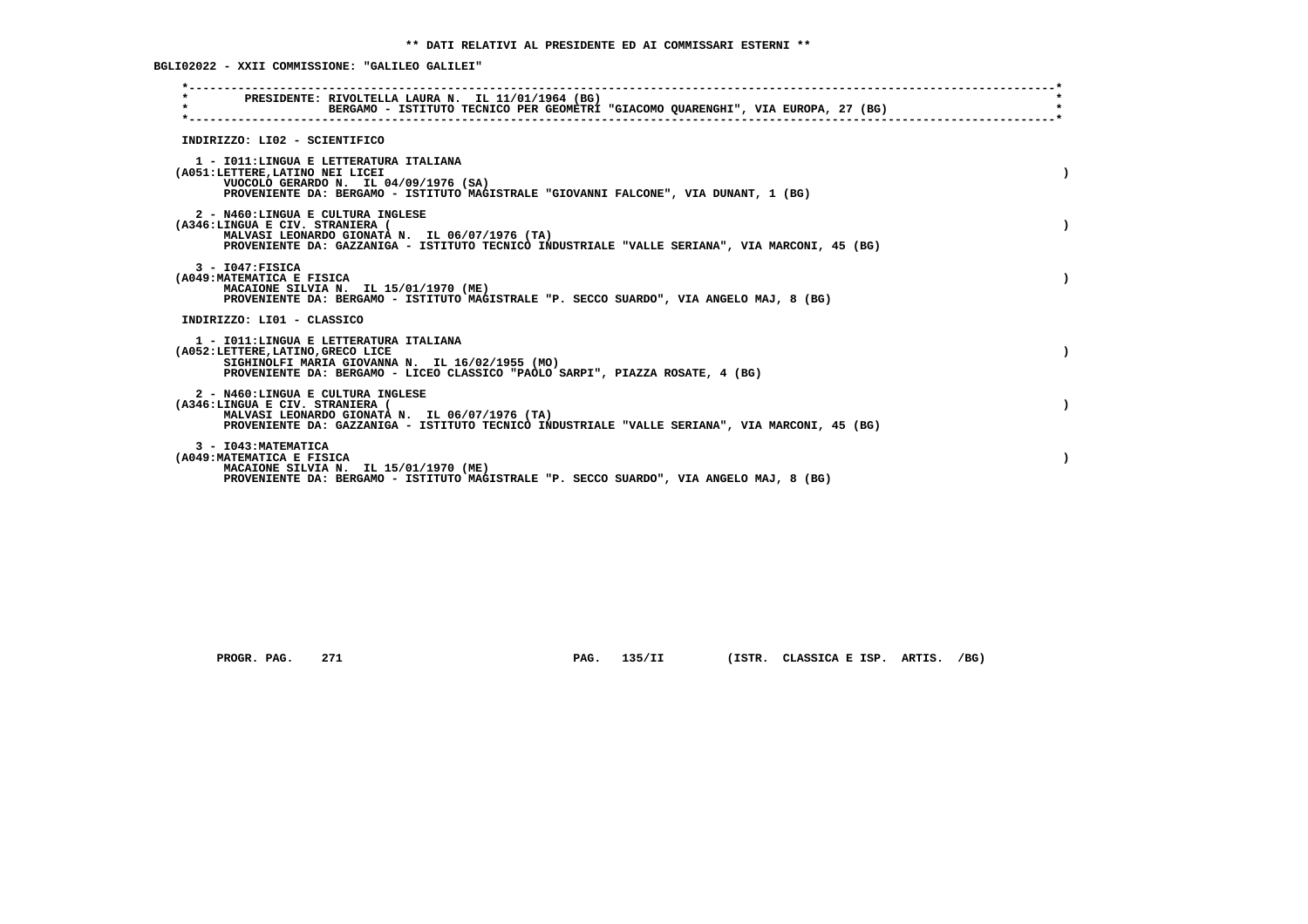**BGLI02022 - XXII COMMISSIONE: "GALILEO GALILEI"**

| PRESIDENTE: RIVOLTELLA LAURA N. IL 11/01/1964 (BG)<br>$\star$<br>BERGAMO - ISTITUTO TECNICO PER GEOMETRI "GIACOMO QUARENGHI", VIA EUROPA, 27 (BG)                                                                        |  |
|--------------------------------------------------------------------------------------------------------------------------------------------------------------------------------------------------------------------------|--|
| INDIRIZZO: LI02 - SCIENTIFICO                                                                                                                                                                                            |  |
| 1 - IO11: LINGUA E LETTERATURA ITALIANA<br>(A051:LETTERE, LATINO NEI LICEI<br>VUOCOLO GERARDO N. IL 04/09/1976 (SA)<br>PROVENIENTE DA: BERGAMO - ISTITUTO MAGISTRALE "GIOVANNI FALCONE", VIA DUNANT, 1 (BG)              |  |
| 2 - N460:LINGUA E CULTURA INGLESE<br>(A346:LINGUA E CIV. STRANIERA (<br>MALVASI LEONARDO GIONATA N. IL 06/07/1976 (TA)<br>PROVENIENTE DA: GAZZANIGA - ISTITUTO TECNICO INDUSTRIALE "VALLE SERIANA", VIA MARCONI, 45 (BG) |  |
| $3 - 1047:$ FISICA<br>(A049: MATEMATICA E FISICA<br>MACAIONE SILVIA N. IL 15/01/1970 (ME)<br>PROVENIENTE DA: BERGAMO - ISTITUTO MAGISTRALE "P. SECCO SUARDO", VIA ANGELO MAJ, 8 (BG)                                     |  |
| INDIRIZZO: LI01 - CLASSICO                                                                                                                                                                                               |  |
| 1 - IO11: LINGUA E LETTERATURA ITALIANA<br>(A052:LETTERE, LATINO, GRECO LICE<br>SIGHINOLFI MARIA GIOVANNA N. IL 16/02/1955 (MO)<br>PROVENIENTE DA: BERGAMO - LICEO CLASSICO "PAOLO SARPI", PIAZZA ROSATE, 4 (BG)         |  |
| 2 - N460:LINGUA E CULTURA INGLESE<br>(A346:LINGUA E CIV. STRANIERA (<br>MALVASI LEONARDO GIONATA N. IL 06/07/1976 (TA)<br>PROVENIENTE DA: GAZZANIGA - ISTITUTO TECNICO INDUSTRIALE "VALLE SERIANA", VIA MARCONI, 45 (BG) |  |
| 3 - I043: MATEMATICA<br>(A049: MATEMATICA E FISICA<br>MACAIONE SILVIA N. IL 15/01/1970 (ME)<br>PROVENIENTE DA: BERGAMO - ISTITUTO MAGISTRALE "P. SECCO SUARDO", VIA ANGELO MAJ, 8 (BG)                                   |  |

 **PROGR. PAG. 271 PAG. 135/II (ISTR. CLASSICA E ISP. ARTIS. /BG)**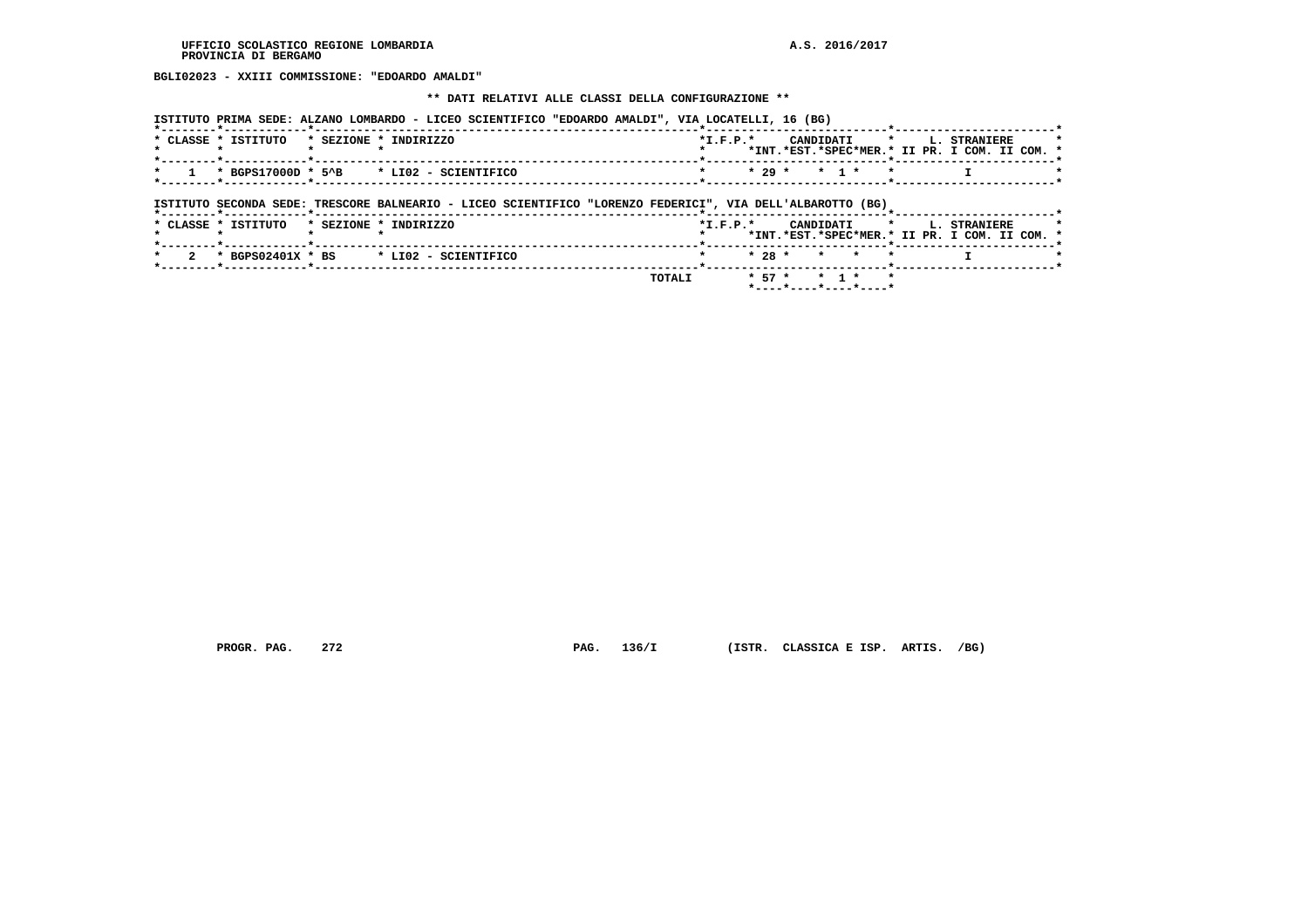**BGLI02023 - XXIII COMMISSIONE: "EDOARDO AMALDI"**

#### **\*\* DATI RELATIVI ALLE CLASSI DELLA CONFIGURAZIONE \*\***

| ISTITUTO PRIMA SEDE: ALZANO LOMBARDO - LICEO SCIENTIFICO "EDOARDO AMALDI", VIA LOCATELLI, 16 (BG) |                                                    |
|---------------------------------------------------------------------------------------------------|----------------------------------------------------|
| * CLASSE * ISTITUTO * SEZIONE * INDIRIZZO                                                         | CANDIDATI * L. STRANIERE<br>$*T$ , $F$ , $D$ , $*$ |
|                                                                                                   | *TNT.*EST.*SPEC*MER.* IT PR. T COM. TT COM. *      |
| $1 \times$ BGPS17000D * 5^B $\rightarrow$ LI02 - SCIENTIFICO                                      | $*$ $*$ 29 $*$ 1 $*$ $*$                           |
|                                                                                                   |                                                    |

 **ISTITUTO SECONDA SEDE: TRESCORE BALNEARIO - LICEO SCIENTIFICO "LORENZO FEDERICI", VIA DELL'ALBAROTTO (BG)**

|                     |                                          | <b>TOTALI</b> |            |  | $* 57 * * 1 * *$   |  |                                                                           |  |
|---------------------|------------------------------------------|---------------|------------|--|--------------------|--|---------------------------------------------------------------------------|--|
|                     | 2 * BGPS02401X * BS * LI02 - SCIENTIFICO |               |            |  | $* 28 * * * * * *$ |  |                                                                           |  |
| * CLASSE * ISTITUTO | * SEZIONE * INDIRIZZO                    |               | $*T.F.P.*$ |  |                    |  | CANDIDATI * L. STRANIERE<br>*INT.*EST.*SPEC*MER.* II PR. I COM. II COM. * |  |
|                     |                                          |               |            |  |                    |  |                                                                           |  |

 **PROGR. PAG. 272 PAG. 136/I (ISTR. CLASSICA E ISP. ARTIS. /BG)**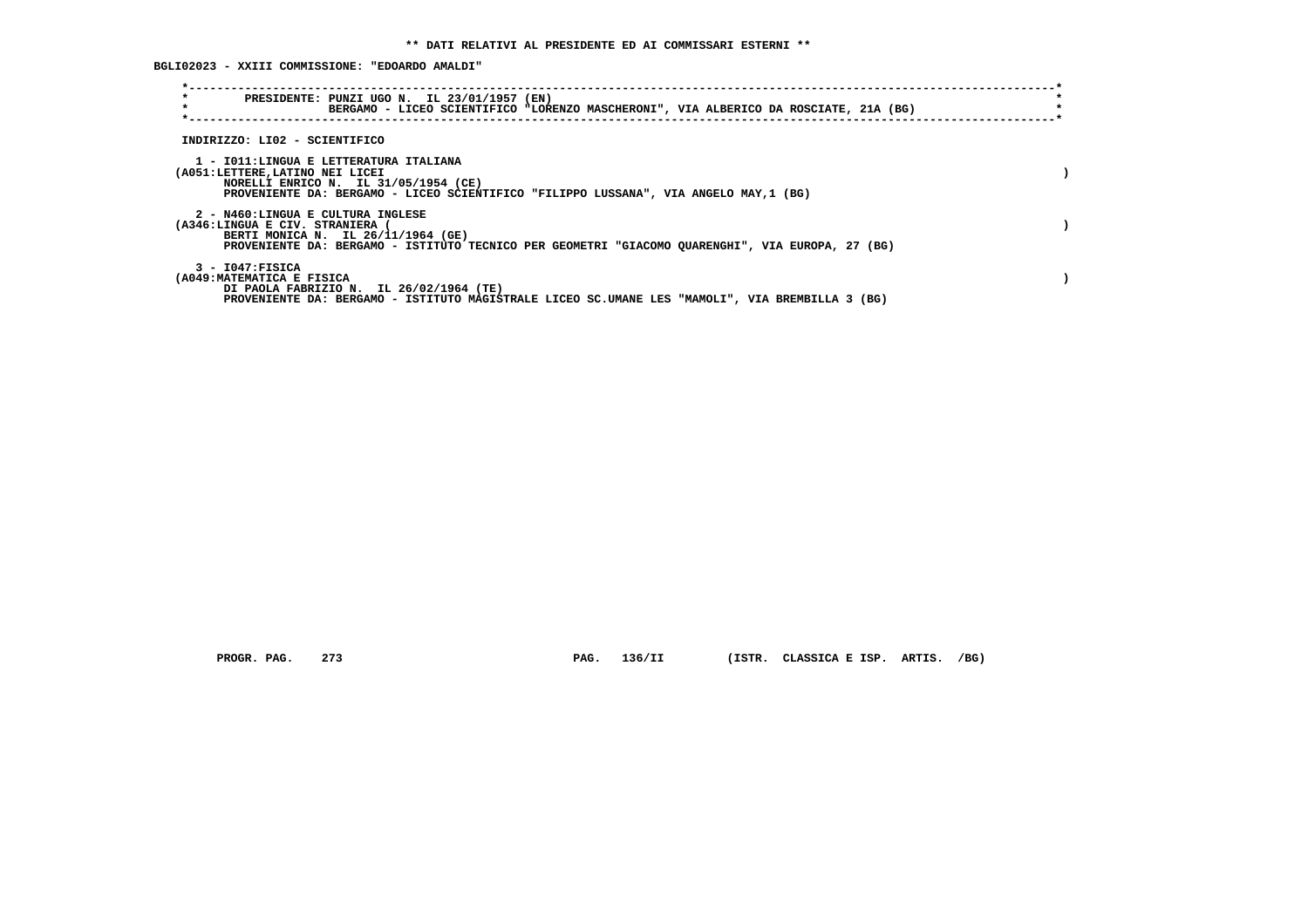**BGLI02023 - XXIII COMMISSIONE: "EDOARDO AMALDI"**

| $\star$<br>PRESIDENTE: PUNZI UGO N. IL 23/01/1957 (EN)<br>$\star$<br>BERGAMO - LICEO SCIENTIFICO "LORENZO MASCHERONI", VIA ALBERICO DA ROSCIATE, 21A (BG)                                                    |  |
|--------------------------------------------------------------------------------------------------------------------------------------------------------------------------------------------------------------|--|
| INDIRIZZO: LI02 - SCIENTIFICO                                                                                                                                                                                |  |
| 1 - IO11:LINGUA E LETTERATURA ITALIANA<br>(A051:LETTERE, LATINO NEI LICEI<br>NORELLI ENRICO N. IL 31/05/1954 (CE)<br>PROVENIENTE DA: BERGAMO - LICEO SCIENTIFICO "FILIPPO LUSSANA", VIA ANGELO MAY, 1 (BG)   |  |
| 2 - N460:LINGUA E CULTURA INGLESE<br>(A346:LINGUA E CIV. STRANIERA<br>BERTI MONICA N. IL 26/11/1964 (GE)<br>PROVENIENTE DA: BERGAMO - ISTITUTO TECNICO PER GEOMETRI "GIACOMO QUARENGHI", VIA EUROPA, 27 (BG) |  |
| $3 - 1047:$ FISICA<br>(A049: MATEMATICA E FISICA<br>DI PAOLA FABRIZIO N. IL 26/02/1964 (TE)<br>PROVENIENTE DA: BERGAMO - ISTITUTO MAGISTRALE LICEO SC.UMANE LES "MAMOLI", VIA BREMBILLA 3 (BG)               |  |

 **PROGR. PAG. 273 PAG. 136/II (ISTR. CLASSICA E ISP. ARTIS. /BG)**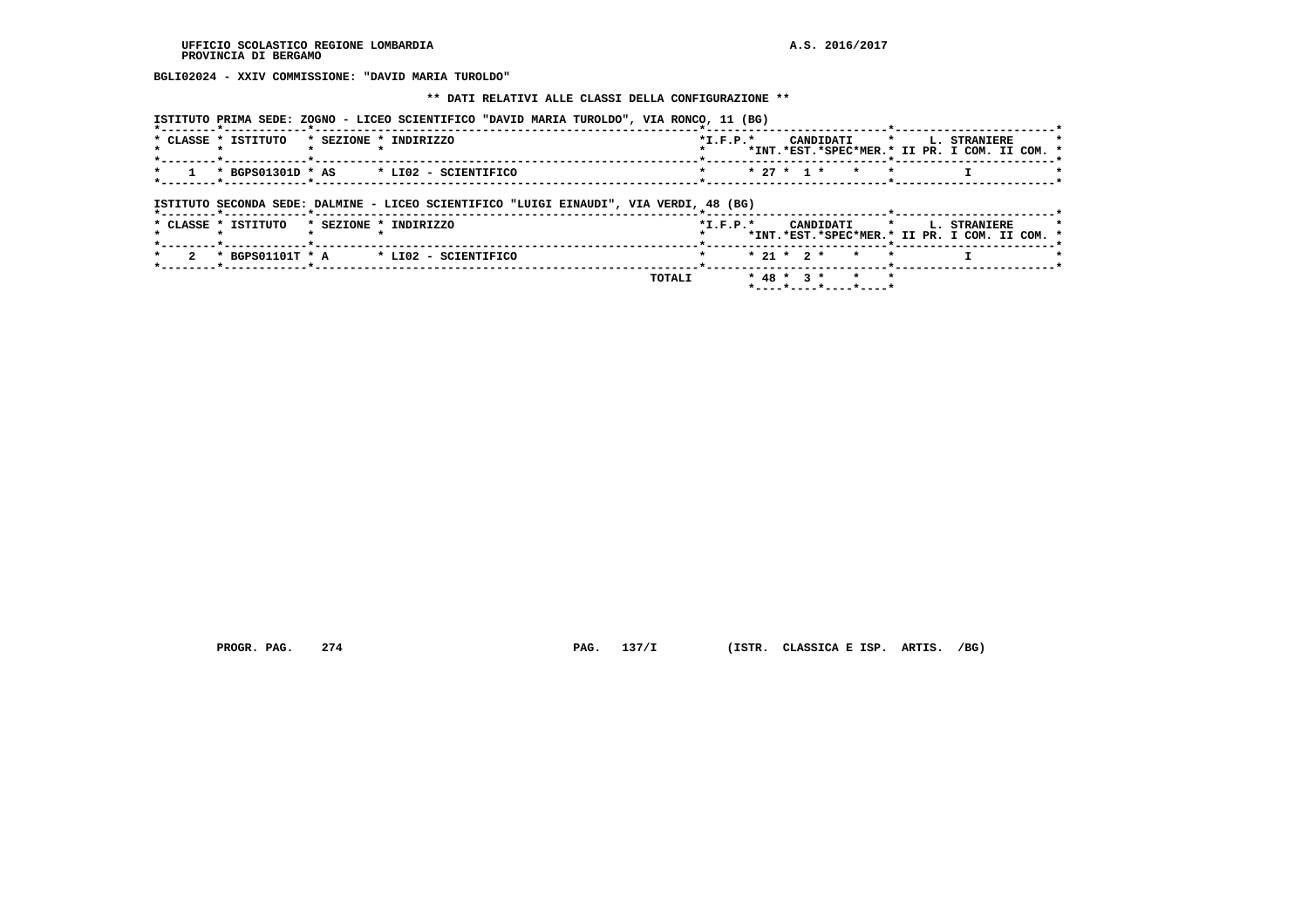**BGLI02024 - XXIV COMMISSIONE: "DAVID MARIA TUROLDO"**

#### **\*\* DATI RELATIVI ALLE CLASSI DELLA CONFIGURAZIONE \*\***

 **ISTITUTO PRIMA SEDE: ZOGNO - LICEO SCIENTIFICO "DAVID MARIA TUROLDO", VIA RONCO, 11 (BG)**

|  | * CLASSE * ISTITUTO   | * SEZIONE * INDIRIZZO | $*T$ , $F$ , $D$ , $*$                                                                                                                                                                                                       |  |  | CANDIDATI * I. STRANIERE                      |  |
|--|-----------------------|-----------------------|------------------------------------------------------------------------------------------------------------------------------------------------------------------------------------------------------------------------------|--|--|-----------------------------------------------|--|
|  |                       |                       |                                                                                                                                                                                                                              |  |  | *INT.*EST.*SPEC*MER.* II PR. I COM. II COM. * |  |
|  |                       |                       | - Construction of the Construction of the Construction of the Construction of the Construction of the Construction of the Construction of the Construction of the Construction of the Construction of the Construction of th |  |  |                                               |  |
|  | * 1 * BGPS01301D * AS | * LIO2 - SCIENTIFICO  | * * 27 * 1 * * *                                                                                                                                                                                                             |  |  |                                               |  |
|  |                       |                       |                                                                                                                                                                                                                              |  |  |                                               |  |

 **ISTITUTO SECONDA SEDE: DALMINE - LICEO SCIENTIFICO "LUIGI EINAUDI", VIA VERDI, 48 (BG)**

|  | * CLASSE * ISTITUTO |  | * SEZIONE * INDIRIZZO                            |         | $*T$ , $F$ , $D$ , $*$ |  |  |                                                    |  | CANDIDATI * L. STRANIERE<br>*INT.*EST.*SPEC*MER.* II PR. I COM. II COM. * |  |  |
|--|---------------------|--|--------------------------------------------------|---------|------------------------|--|--|----------------------------------------------------|--|---------------------------------------------------------------------------|--|--|
|  |                     |  | 2 * BGPS01101T * A $\qquad$ * LI02 - SCIENTIFICO |         |                        |  |  | * 21 * 2 * * *                                     |  |                                                                           |  |  |
|  |                     |  |                                                  | TOTAL T |                        |  |  | $* 48 * 3 * * * * * *$<br>$*$ ----*----*----*----* |  |                                                                           |  |  |

 **PROGR. PAG. 274 PAG. 137/I (ISTR. CLASSICA E ISP. ARTIS. /BG)**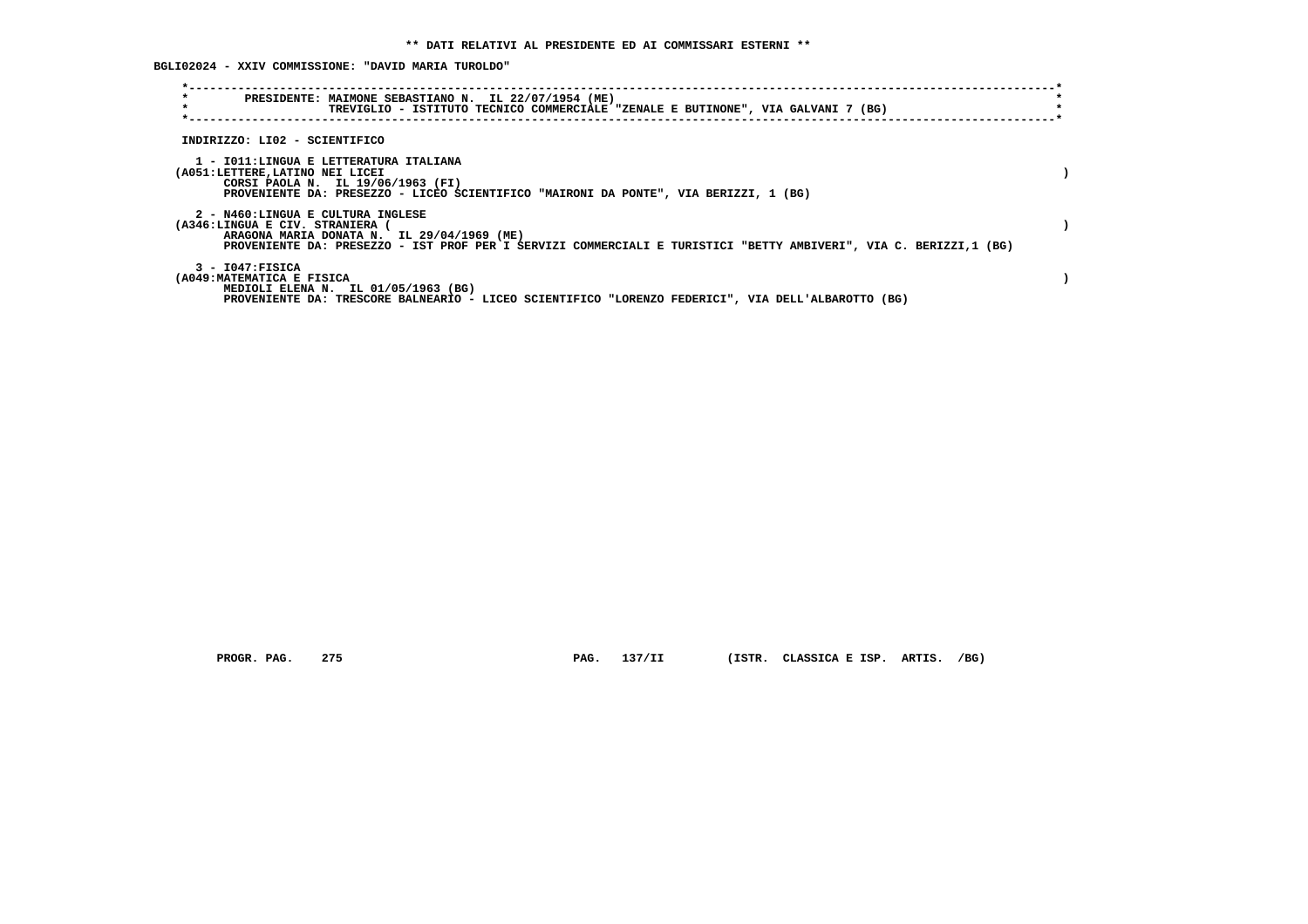**BGLI02024 - XXIV COMMISSIONE: "DAVID MARIA TUROLDO"**

| $\star$<br>$\star$                                                        | PRESIDENTE: MAIMONE SEBASTIANO N. IL 22/07/1954 (ME)<br>TREVIGLIO - ISTITUTO TECNICO COMMERCIALE "ZENALE E BUTINONE", VIA GALVANI 7 (BG)                        |  |
|---------------------------------------------------------------------------|-----------------------------------------------------------------------------------------------------------------------------------------------------------------|--|
| INDIRIZZO: LI02 - SCIENTIFICO                                             |                                                                                                                                                                 |  |
| 1 - IO11:LINGUA E LETTERATURA ITALIANA<br>(A051:LETTERE, LATINO NEI LICEI | CORSI PAOLA N. IL 19/06/1963 (FI)<br>PROVENIENTE DA: PRESEZZO - LICEO SCIENTIFICO "MAIRONI DA PONTE", VIA BERIZZI, 1 (BG)                                       |  |
| 2 - N460:LINGUA E CULTURA INGLESE<br>(A346:LINGUA E CIV. STRANIERA (      | ARAGONA MARIA DONATA N. IL 29/04/1969 (ME)<br>PROVENIENTE DA: PRESEZZO - IST PROF PER I SERVIZI COMMERCIALI E TURISTICI "BETTY AMBIVERI", VIA C. BERIZZI,1 (BG) |  |
| $3 - 1047:$ FISICA<br>(A049: MATEMATICA E FISICA                          | MEDIOLI ELENA N. IL 01/05/1963 (BG)<br>PROVENIENTE DA: TRESCORE BALNEARIO - LICEO SCIENTIFICO "LORENZO FEDERICI", VIA DELL'ALBAROTTO (BG)                       |  |

 **PROGR. PAG. 275 PAG. 137/II (ISTR. CLASSICA E ISP. ARTIS. /BG)**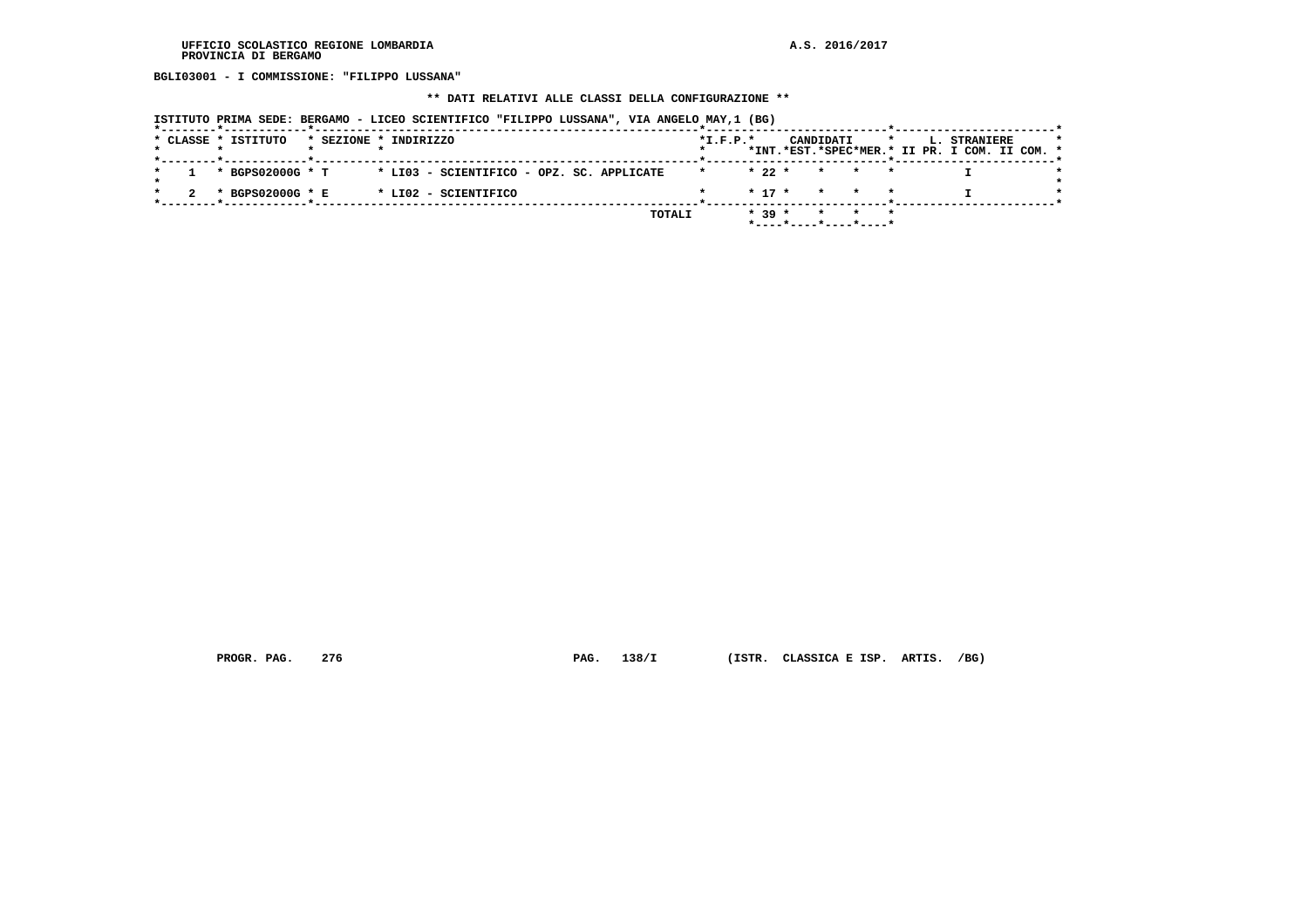**BGLI03001 - I COMMISSIONE: "FILIPPO LUSSANA"**

# **\*\* DATI RELATIVI ALLE CLASSI DELLA CONFIGURAZIONE \*\***

| ISTITUTO PRIMA SEDE: BERGAMO - LICEO SCIENTIFICO "FILIPPO LUSSANA", VIA ANGELO MAY,1 (BG) |  |  |
|-------------------------------------------------------------------------------------------|--|--|
|-------------------------------------------------------------------------------------------|--|--|

|  | * CLASSE * ISTITUTO | * SEZIONE * INDIRIZZO |                                           |  |        | $*L.F.P.*$ |          |                       | CANDIDATI       |  | L. STRANIERE<br>*INT.*EST.*SPEC*MER.* II PR. I COM. II COM. * |  |  |
|--|---------------------|-----------------------|-------------------------------------------|--|--------|------------|----------|-----------------------|-----------------|--|---------------------------------------------------------------|--|--|
|  |                     |                       |                                           |  |        |            |          |                       |                 |  |                                                               |  |  |
|  | * BGPS02000G * T    |                       | * LI03 - SCIENTIFICO - OPZ. SC. APPLICATE |  |        |            | $* 22 *$ |                       | $\star$ $\star$ |  |                                                               |  |  |
|  | * BGPS02000G * E    |                       | * LI02 - SCIENTIFICO                      |  |        |            |          | $* 17 * * * * * *$    |                 |  |                                                               |  |  |
|  |                     |                       |                                           |  | TOTALI |            | $* 39 *$ |                       |                 |  |                                                               |  |  |
|  |                     |                       |                                           |  |        |            |          | *----*----*----*----* |                 |  |                                                               |  |  |

 **PROGR. PAG. 276 PAG. 138/I (ISTR. CLASSICA E ISP. ARTIS. /BG)**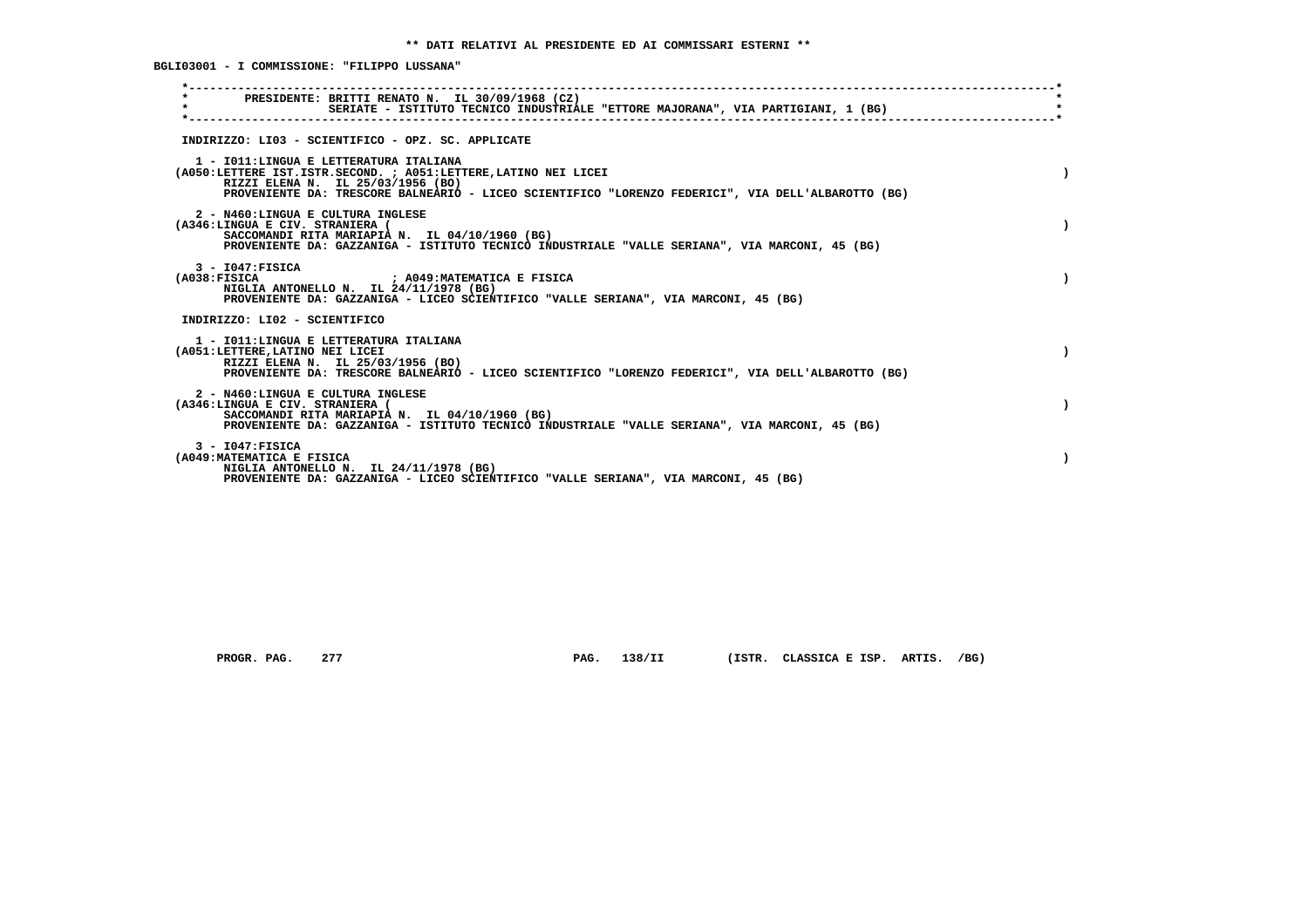**BGLI03001 - I COMMISSIONE: "FILIPPO LUSSANA"**

| PRESIDENTE: BRITTI RENATO N. IL 30/09/1968 (CZ)<br>$\star$<br>SERIATE - ISTITUTO TECNICO INDUSTRIALE "ETTORE MAJORANA", VIA PARTIGIANI, 1 (BG)                                                                                                        |  |
|-------------------------------------------------------------------------------------------------------------------------------------------------------------------------------------------------------------------------------------------------------|--|
| INDIRIZZO: LI03 - SCIENTIFICO - OPZ. SC. APPLICATE                                                                                                                                                                                                    |  |
| 1 - IO11: LINGUA E LETTERATURA ITALIANA<br>(A050:LETTERE IST.ISTR.SECOND. ; A051:LETTERE, LATINO NEI LICEI<br>RIZZI ELENA N. IL 25/03/1956 (BO)<br>PROVENIENTE DA: TRESCORE BALNEARIO - LICEO SCIENTIFICO "LORENZO FEDERICI", VIA DELL'ALBAROTTO (BG) |  |
| 2 - N460:LINGUA E CULTURA INGLESE<br>(A346:LINGUA E CIV. STRANIERA (<br>SACCOMANDI RITA MARIAPIA N. IL 04/10/1960 (BG)<br>PROVENIENTE DA: GAZZANIGA - ISTITUTO TECNICO INDUSTRIALE "VALLE SERIANA", VIA MARCONI, 45 (BG)                              |  |
| $3 - 1047:$ FISICA<br>; A049:MATEMATICA E FISICA<br>(A038:FTSTCA<br>NIGLIA ANTONELLO N. IL 24/11/1978 (BG)<br>PROVENIENTE DA: GAZZANIGA - LICEO SCIENTIFICO "VALLE SERIANA", VIA MARCONI, 45 (BG)                                                     |  |
| INDIRIZZO: LI02 - SCIENTIFICO                                                                                                                                                                                                                         |  |
| 1 - IO11:LINGUA E LETTERATURA ITALIANA<br>(A051:LETTERE, LATINO NEI LICEI<br>RIZZI ELENA N. IL 25/03/1956 (BO)<br>PROVENIENTE DA: TRESCORE BALNEARIO - LICEO SCIENTIFICO "LORENZO FEDERICI", VIA DELL'ALBAROTTO (BG)                                  |  |
| 2 - N460:LINGUA E CULTURA INGLESE<br>(A346:LINGUA E CIV. STRANIERA (<br>SACCOMANDI RITA MARIAPIA N. IL 04/10/1960 (BG)<br>PROVENIENTE DA: GAZZANIGA - ISTITUTO TECNICO INDUSTRIALE "VALLE SERIANA", VIA MARCONI, 45 (BG)                              |  |
| $3 - 1047:$ FISICA<br>(A049: MATEMATICA E FISICA<br>NIGLIA ANTONELLO N. IL 24/11/1978 (BG)<br>PROVENIENTE DA: GAZZANIGA - LICEO SCIENTIFICO "VALLE SERIANA", VIA MARCONI, 45 (BG)                                                                     |  |

 **PROGR. PAG. 277 PAG. 138/II (ISTR. CLASSICA E ISP. ARTIS. /BG)**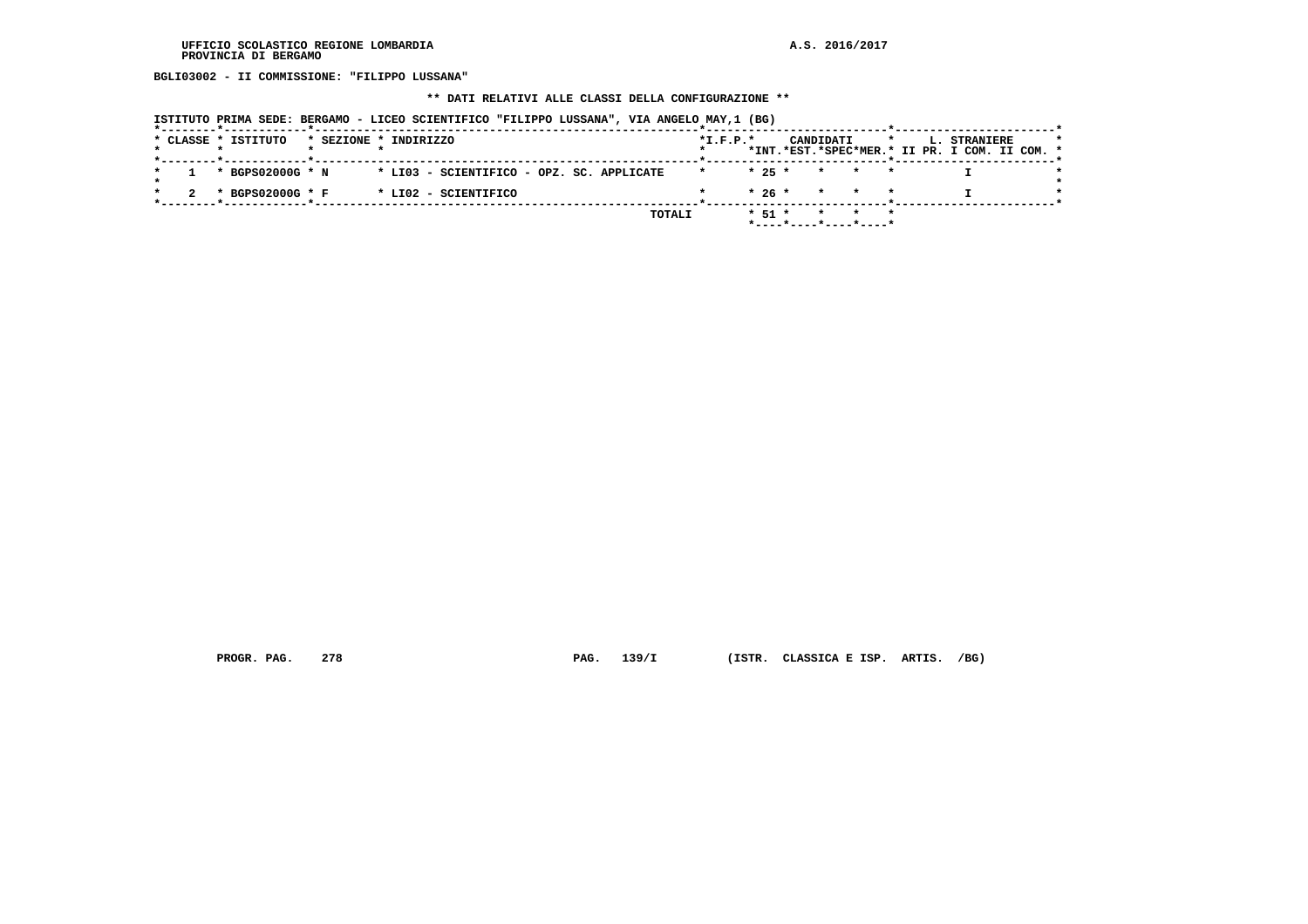**BGLI03002 - II COMMISSIONE: "FILIPPO LUSSANA"**

# **\*\* DATI RELATIVI ALLE CLASSI DELLA CONFIGURAZIONE \*\***

| ISTITUTO PRIMA SEDE: BERGAMO - LICEO SCIENTIFICO "FILIPPO LUSSANA", VIA ANGELO MAY,1 (BG) |  |  |  |
|-------------------------------------------------------------------------------------------|--|--|--|
|-------------------------------------------------------------------------------------------|--|--|--|

|  |  | * CLASSE * ISTITUTO |  | * SEZIONE * INDIRIZZO                     |        | $*L.F.P.*$ |            |                       | CANDIDATI |       |  | L. STRANIERE<br>*INT.*EST.*SPEC*MER.* II PR. I COM. II COM. * |  |
|--|--|---------------------|--|-------------------------------------------|--------|------------|------------|-----------------------|-----------|-------|--|---------------------------------------------------------------|--|
|  |  |                     |  |                                           |        |            |            |                       |           |       |  |                                                               |  |
|  |  | * BGPS02000G * N    |  | * LI03 - SCIENTIFICO - OPZ. SC. APPLICATE |        |            | $* 25 *$   |                       |           | * * * |  |                                                               |  |
|  |  | * BGPS02000G * F    |  | * LI02 - SCIENTIFICO                      |        |            |            | $* 26 * * * * * *$    |           |       |  |                                                               |  |
|  |  |                     |  |                                           | TOTALI |            | $*$ 51 $*$ |                       |           |       |  |                                                               |  |
|  |  |                     |  |                                           |        |            |            | *----*----*----*----* |           |       |  |                                                               |  |

 **PROGR. PAG. 278 PAG. 139/I (ISTR. CLASSICA E ISP. ARTIS. /BG)**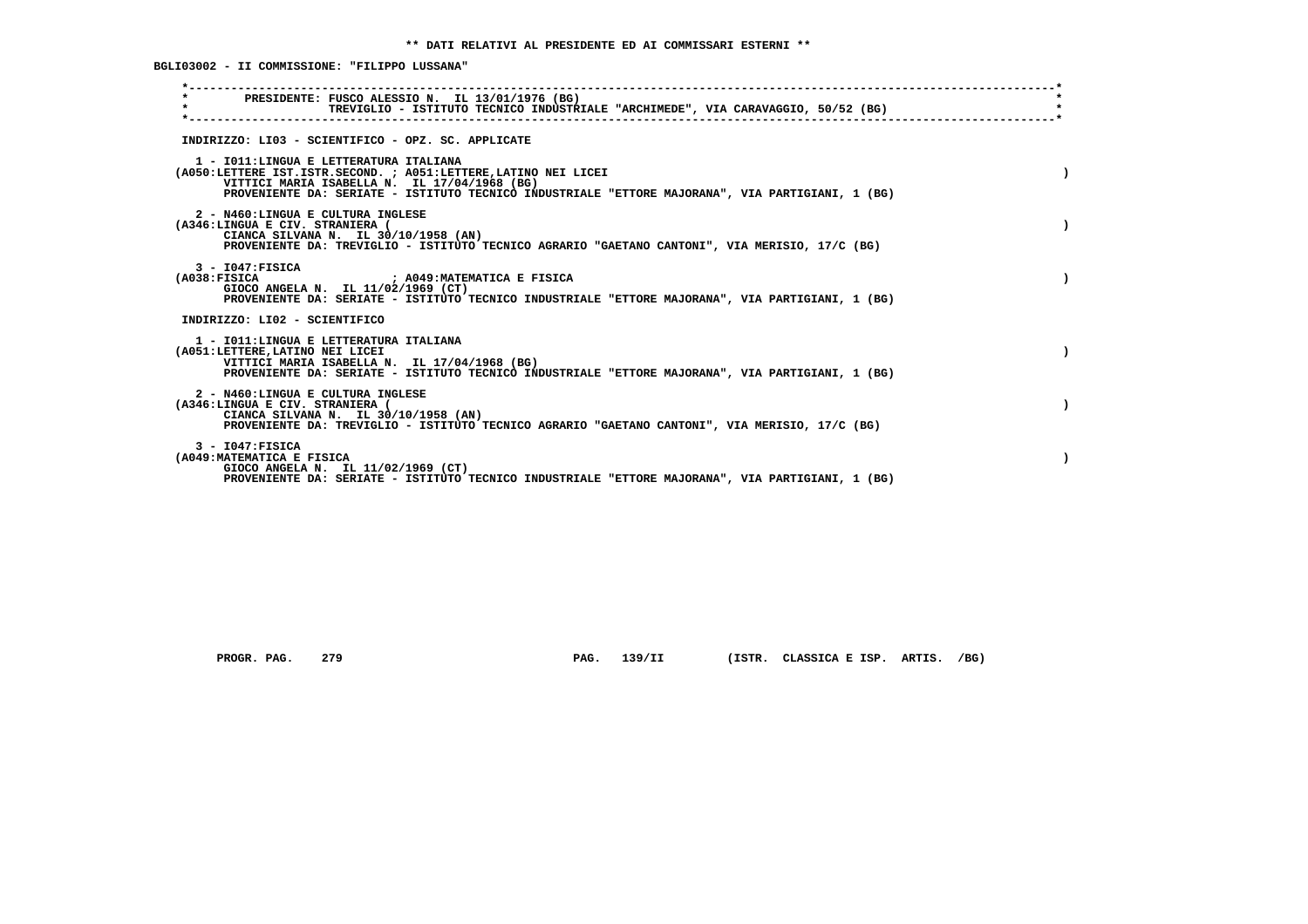**BGLI03002 - II COMMISSIONE: "FILIPPO LUSSANA"**

| PRESIDENTE: FUSCO ALESSIO N. IL 13/01/1976 (BG)<br>$\star$<br>TREVIGLIO - ISTITUTO TECNICO INDUSTRIALE "ARCHIMEDE", VIA CARAVAGGIO, 50/52 (BG)                                                                                                                 |  |
|----------------------------------------------------------------------------------------------------------------------------------------------------------------------------------------------------------------------------------------------------------------|--|
| INDIRIZZO: LI03 - SCIENTIFICO - OPZ. SC. APPLICATE                                                                                                                                                                                                             |  |
| 1 - IO11: LINGUA E LETTERATURA ITALIANA<br>(A050:LETTERE IST.ISTR.SECOND. ; A051:LETTERE, LATINO NEI LICEI<br>VITTICI MARIA ISABELLA N. IL 17/04/1968 (BG)<br>PROVENIENTE DA: SERIATE - ISTITUTO TECNICO INDUSTRIALE "ETTORE MAJORANA", VIA PARTIGIANI, 1 (BG) |  |
| 2 - N460:LINGUA E CULTURA INGLESE<br>(A346:LINGUA E CIV. STRANIERA (<br>CIANCA SILVANA N. IL 30/10/1958 (AN)<br>PROVENIENTE DA: TREVIGLIO - ISTITUTO TECNICO AGRARIO "GAETANO CANTONI", VIA MERISIO, 17/C (BG)                                                 |  |
| $3 - 1047:$ FISICA<br>(A038:FTSTCA<br>; A049:MATEMATICA E FISICA<br>GIOCO ANGELA N. IL 11/02/1969 (CT)<br>PROVENIENTE DA: SERIATE - ISTITUTO TECNICO INDUSTRIALE "ETTORE MAJORANA", VIA PARTIGIANI, 1 (BG)                                                     |  |
| INDIRIZZO: LI02 - SCIENTIFICO                                                                                                                                                                                                                                  |  |
| 1 - IO11: LINGUA E LETTERATURA ITALIANA<br>(A051:LETTERE, LATINO NEI LICEI<br>VITTICI MARIA ISABELLA N. IL 17/04/1968 (BG)<br>PROVENIENTE DA: SERIATE - ISTITUTO TECNICO INDUSTRIALE "ETTORE MAJORANA", VIA PARTIGIANI, 1 (BG)                                 |  |
| 2 - N460:LINGUA E CULTURA INGLESE<br>(A346:LINGUA E CIV. STRANIERA (<br>CIANCA SILVANA N. IL 30/10/1958 (AN)<br>PROVENIENTE DA: TREVIGLIO - ISTITUTO TECNICO AGRARIO "GAETANO CANTONI", VIA MERISIO, 17/C (BG)                                                 |  |
| $3 - 1047:$ FISICA<br>(A049: MATEMATICA E FISICA<br>GIOCO ANGELA N. IL 11/02/1969 (CT)<br>PROVENIENTE DA: SERIATE - ISTITUTO TECNICO INDUSTRIALE "ETTORE MAJORANA", VIA PARTIGIANI, 1 (BG)                                                                     |  |
|                                                                                                                                                                                                                                                                |  |

 **PROGR. PAG. 279 PAG. 139/II (ISTR. CLASSICA E ISP. ARTIS. /BG)**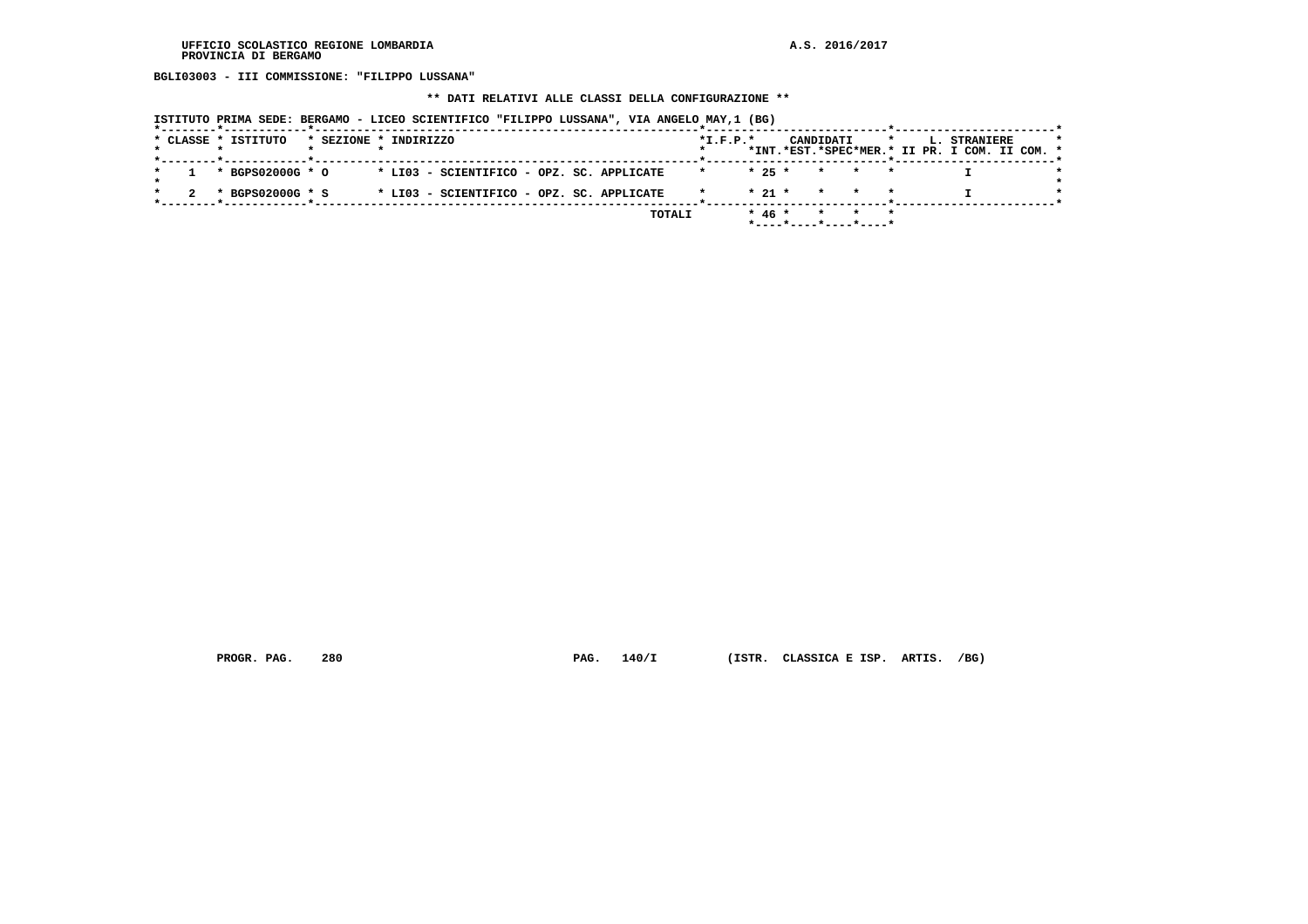**BGLI03003 - III COMMISSIONE: "FILIPPO LUSSANA"**

# **\*\* DATI RELATIVI ALLE CLASSI DELLA CONFIGURAZIONE \*\***

|  | ISTITUTO PRIMA SEDE: BERGAMO - LICEO SCIENTIFICO "FILIPPO LUSSANA", VIA ANGELO MAY, 1 (BG)<br>*--------*------------*-<br>* CLASSE * ISTITUTO | * SEZIONE * INDIRIZZO |  |  |  |                                           |        | $*I.F.P.*$ |          | CANDIDATI |         |              | $\star$ |  | L. STRANIERE                                  |  |  |
|--|-----------------------------------------------------------------------------------------------------------------------------------------------|-----------------------|--|--|--|-------------------------------------------|--------|------------|----------|-----------|---------|--------------|---------|--|-----------------------------------------------|--|--|
|  |                                                                                                                                               |                       |  |  |  |                                           |        |            |          |           |         |              |         |  | *INT.*EST.*SPEC*MER.* II PR. I COM. II COM. * |  |  |
|  | * BGPS02000G * O                                                                                                                              |                       |  |  |  | * LI03 - SCIENTIFICO - OPZ. SC. APPLICATE |        | $\star$    | $* 25 *$ |           | $\star$ |              |         |  |                                               |  |  |
|  | * BGPS02000G * S                                                                                                                              |                       |  |  |  | * LI03 - SCIENTIFICO - OPZ. SC. APPLICATE |        |            | $*21$ *  |           | $\star$ | $\mathbf{r}$ |         |  |                                               |  |  |
|  |                                                                                                                                               |                       |  |  |  |                                           | TOTALI |            | $* 46 *$ |           |         |              |         |  |                                               |  |  |

 **PROGR. PAG. 280 PAG. 140/I (ISTR. CLASSICA E ISP. ARTIS. /BG)**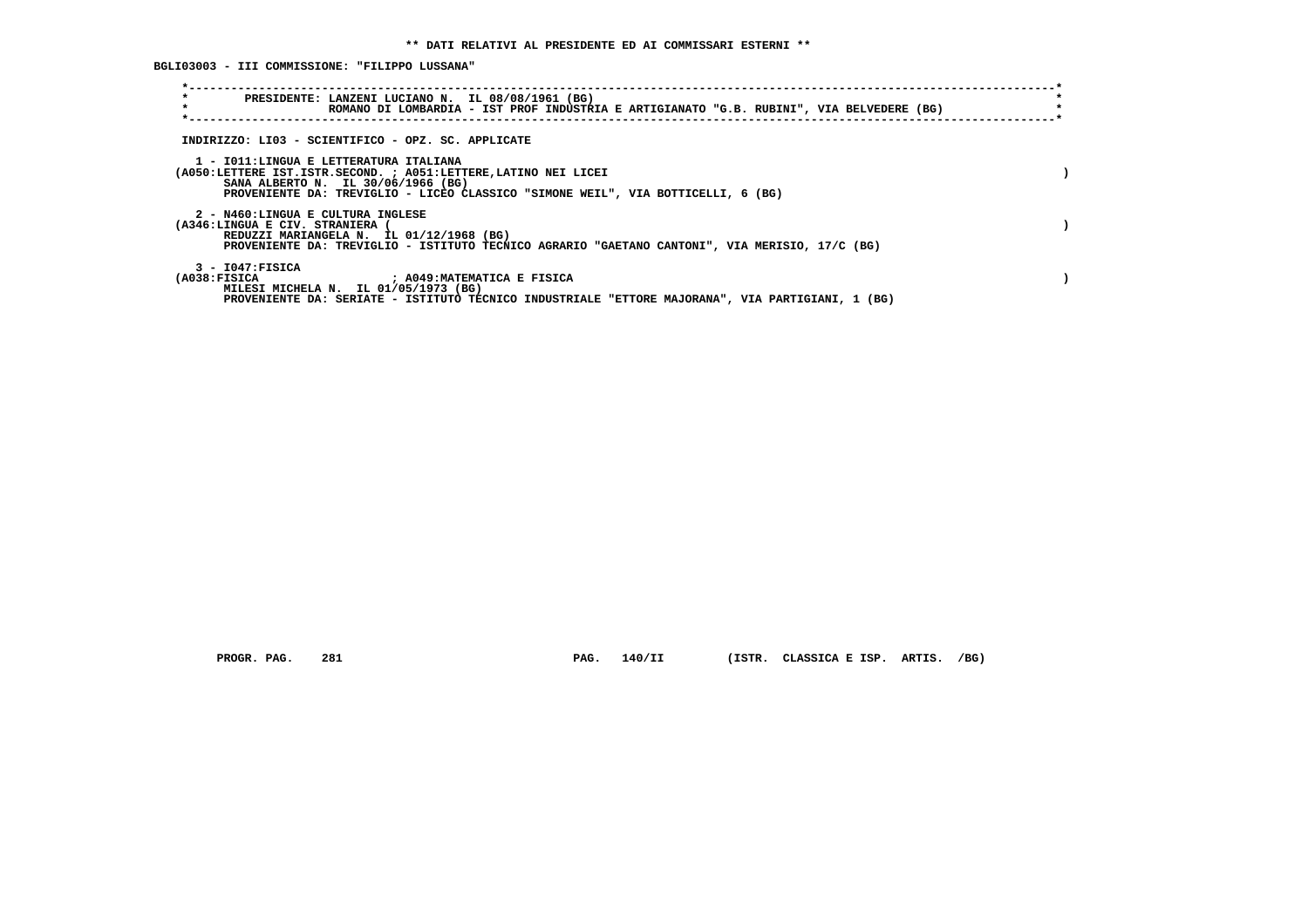**BGLI03003 - III COMMISSIONE: "FILIPPO LUSSANA"**

| $\star$<br>PRESIDENTE: LANZENI LUCIANO N. IL 08/08/1961 (BG)<br>$\star$<br>ROMANO DI LOMBARDIA - IST PROF INDUSTRIA E ARTIGIANATO "G.B. RUBINI", VIA BELVEDERE (BG)                                                                 |  |
|-------------------------------------------------------------------------------------------------------------------------------------------------------------------------------------------------------------------------------------|--|
| INDIRIZZO: LI03 - SCIENTIFICO - OPZ. SC. APPLICATE                                                                                                                                                                                  |  |
| 1 - IO11:LINGUA E LETTERATURA ITALIANA<br>(A050:LETTERE IST.ISTR.SECOND. ; A051:LETTERE, LATINO NEI LICEI<br>SANA ALBERTO N. IL 30/06/1966 (BG)<br>PROVENIENTE DA: TREVIGLIO - LICEO CLASSICO "SIMONE WEIL", VIA BOTTICELLI, 6 (BG) |  |
| 2 - N460:LINGUA E CULTURA INGLESE<br>(A346:LINGUA E CIV. STRANIERA<br>REDUZZI MARIANGELA N. IL 01/12/1968 (BG)<br>PROVENIENTE DA: TREVIGLIO - ISTITUTO TECNICO AGRARIO "GAETANO CANTONI", VIA MERISIO, 17/C (BG)                    |  |
| $3 - 1047:$ FISICA<br>(A038:FISICA ) ; A049:MATEMATICA E FISICA<br>MILESI MICHELA N. IL 01/05/1973 (BG)<br>PROVENIENTE DA: SERIATE - ISTITUTO TECNICO INDUSTRIALE "ETTORE MAJORANA", VIA PARTIGIANI, 1 (BG)                         |  |

 **PROGR. PAG. 281 PAG. 140/II (ISTR. CLASSICA E ISP. ARTIS. /BG)**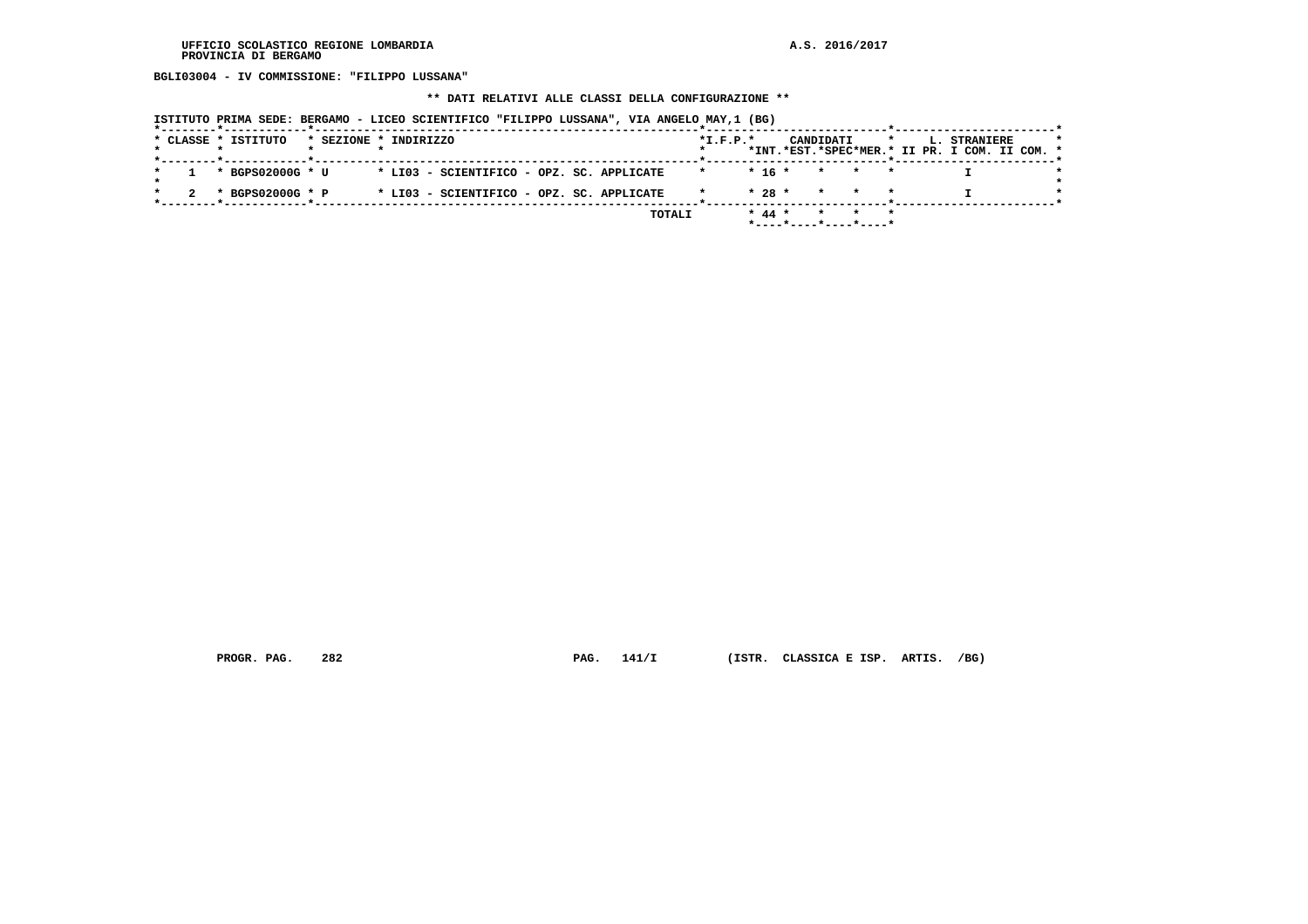**BGLI03004 - IV COMMISSIONE: "FILIPPO LUSSANA"**

# **\*\* DATI RELATIVI ALLE CLASSI DELLA CONFIGURAZIONE \*\***

|                     | ISTITUTO PRIMA SEDE: BERGAMO - LICEO SCIENTIFICO "FILIPPO LUSSANA", VIA ANGELO MAY,1 (BG) |                    |                          |                                                               |
|---------------------|-------------------------------------------------------------------------------------------|--------------------|--------------------------|---------------------------------------------------------------|
| * CLASSE * ISTITUTO | * SEZIONE * INDIRIZZO                                                                     | $*I.F.P.*$         | CANDIDATI<br>$\star$     | L. STRANIERE<br>*INT.*EST.*SPEC*MER.* II PR. I COM. II COM. * |
|                     |                                                                                           |                    |                          |                                                               |
| * BGPS02000G * U    | * LI03 - SCIENTIFICO - OPZ. SC. APPLICATE                                                 | $\star$            | $*$ 16 * * * *           |                                                               |
| * BGPS02000G * P    | * LI03 - SCIENTIFICO - OPZ. SC. APPLICATE                                                 | $* 28 *$           | * * *                    |                                                               |
|                     |                                                                                           | $* 44 *$<br>TOTALI | * * *                    |                                                               |
|                     |                                                                                           |                    | $*$ ----*----*----*----* |                                                               |

 **PROGR. PAG. 282 PAG. 141/I (ISTR. CLASSICA E ISP. ARTIS. /BG)**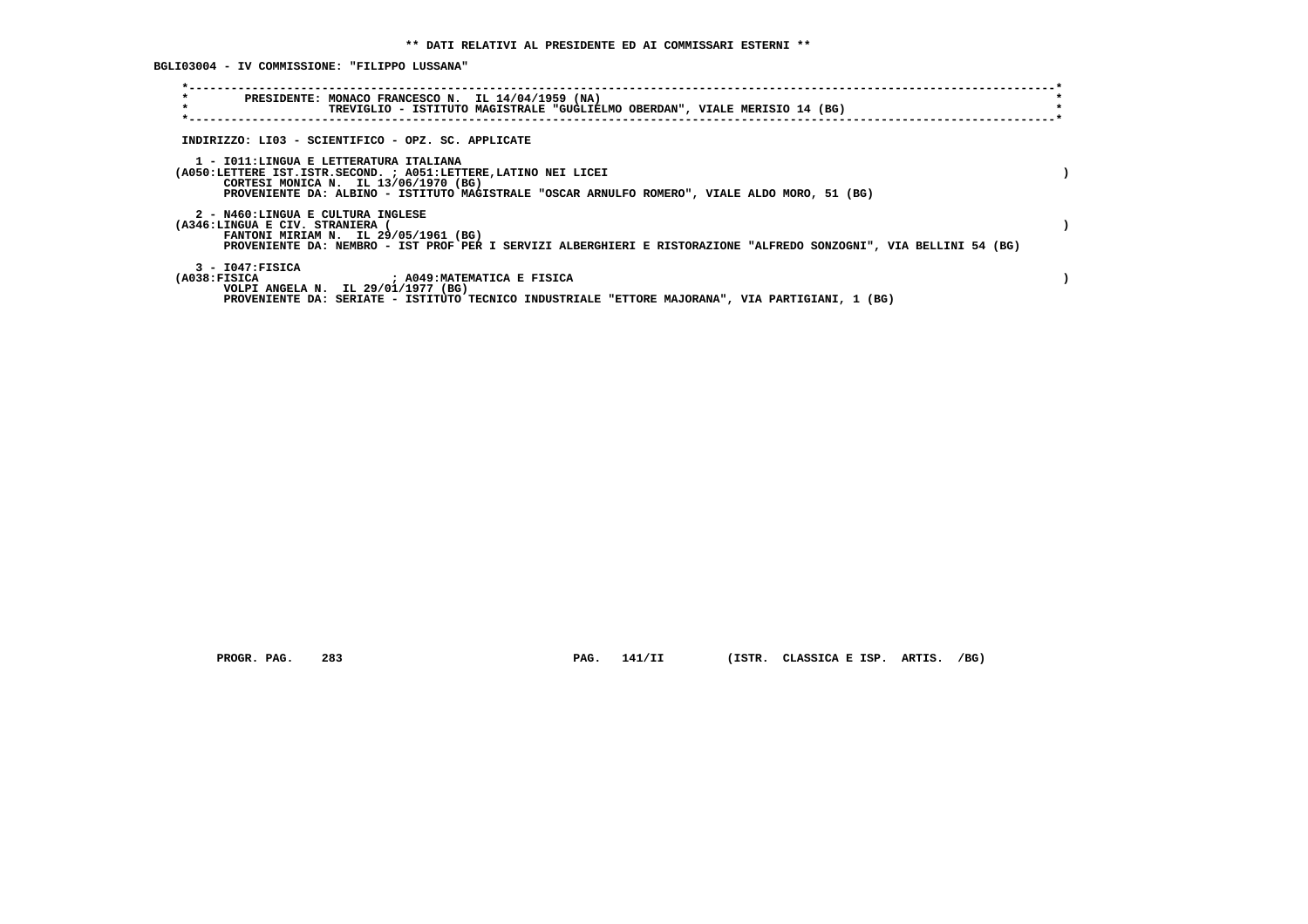**BGLI03004 - IV COMMISSIONE: "FILIPPO LUSSANA"**

| $\star$<br>PRESIDENTE: MONACO FRANCESCO N. IL 14/04/1959 (NA)<br>$\star$<br>TREVIGLIO - ISTITUTO MAGISTRALE "GUGLIELMO OBERDAN", VIALE MERISIO 14 (BG)                                                                                              |  |
|-----------------------------------------------------------------------------------------------------------------------------------------------------------------------------------------------------------------------------------------------------|--|
| INDIRIZZO: LI03 - SCIENTIFICO - OPZ. SC. APPLICATE                                                                                                                                                                                                  |  |
| 1 - IO11: LINGUA E LETTERATURA ITALIANA<br>(A050:LETTERE IST.ISTR.SECOND. ; A051:LETTERE, LATINO NEI LICEI<br>CORTESI MONICA N. IL 13/06/1970 (BG)<br>PROVENIENTE DA: ALBINO - ISTITUTO MAGISTRALE "OSCAR ARNULFO ROMERO", VIALE ALDO MORO, 51 (BG) |  |
| 2 - N460:LINGUA E CULTURA INGLESE<br>(A346:LINGUA E CIV. STRANIERA (<br>FANTONI MIRIAM N. IL 29/05/1961 (BG)<br>PROVENIENTE DA: NEMBRO - IST PROF PER I SERVIZI ALBERGHIERI E RISTORAZIONE "ALFREDO SONZOGNI", VIA BELLINI 54 (BG)                  |  |
| $3 - 1047:$ FISICA<br>$(A038:$ FISICA<br>; A049:MATEMATICA E FISICA<br>VOLPI ANGELA N. IL 29/01/1977 (BG)<br>PROVENIENTE DA: SERIATE - ISTITUTO TECNICO INDUSTRIALE "ETTORE MAJORANA", VIA PARTIGIANI, 1 (BG)                                       |  |

 **PROGR. PAG. 283 PAG. 141/II (ISTR. CLASSICA E ISP. ARTIS. /BG)**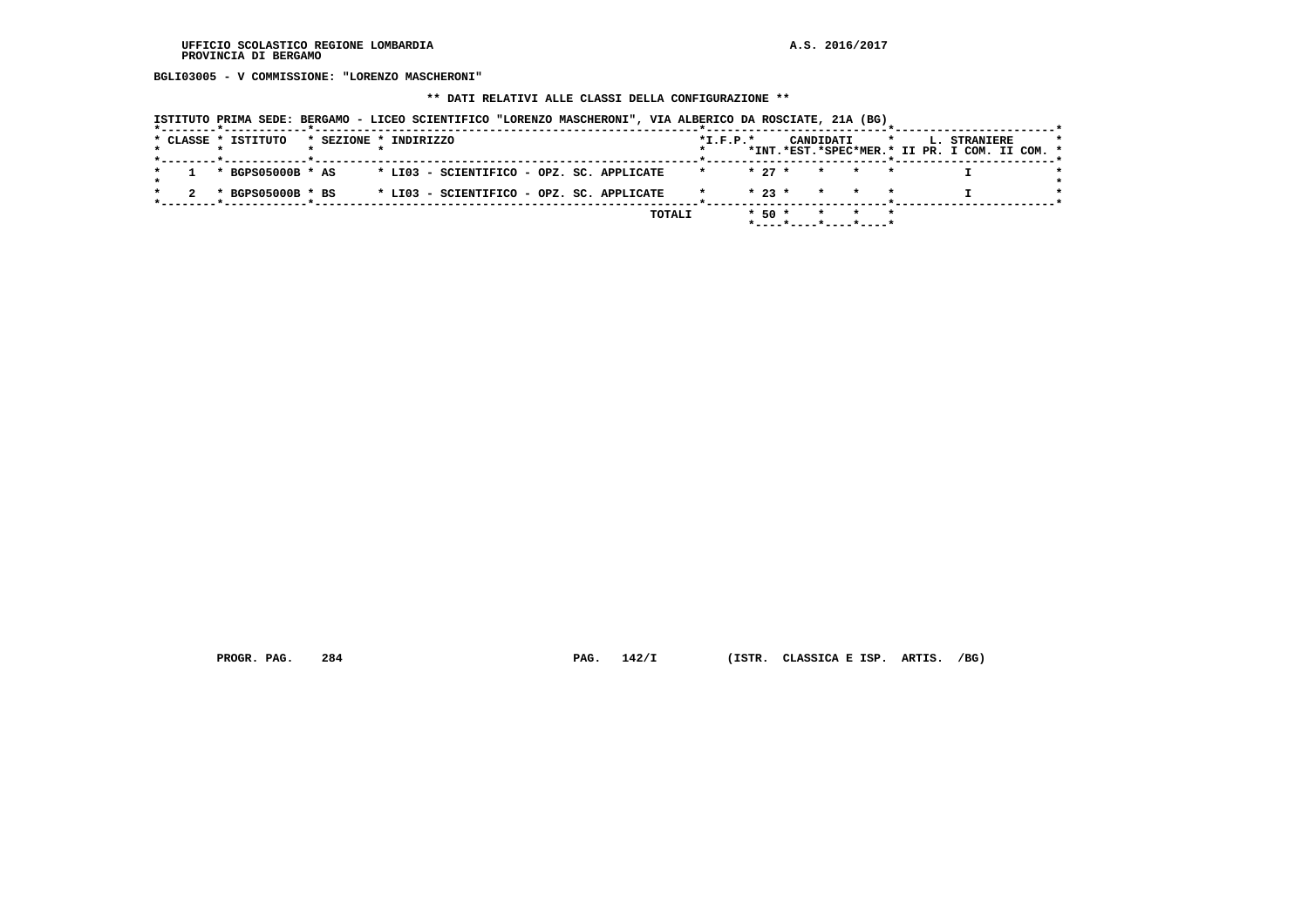**BGLI03005 - V COMMISSIONE: "LORENZO MASCHERONI"**

#### **\*\* DATI RELATIVI ALLE CLASSI DELLA CONFIGURAZIONE \*\***

|                       | ISTITUTO PRIMA SEDE: BERGAMO - LICEO SCIENTIFICO "LORENZO MASCHERONI", VIA ALBERICO DA ROSCIATE, 21A (BG) |                      |                                            |                                               |
|-----------------------|-----------------------------------------------------------------------------------------------------------|----------------------|--------------------------------------------|-----------------------------------------------|
| * CLASSE * ISTITUTO   | * SEZIONE * INDIRIZZO                                                                                     | $*$ I.F.P. $*$       | CANDIDATI<br>$\star$                       | L. STRANIERE                                  |
|                       |                                                                                                           |                      |                                            | *INT.*EST.*SPEC*MER.* II PR. I COM. II COM. * |
| * BGPS05000B * AS     | * LI03 - SCIENTIFICO - OPZ. SC. APPLICATE                                                                 | $* 27 *$             | $\star$ $\star$                            |                                               |
| $*$ BGPS05000B $*$ BS | * LI03 - SCIENTIFICO - OPZ. SC. APPLICATE                                                                 |                      | $\star$ 23 $\star$ $\star$ $\star$ $\star$ |                                               |
|                       |                                                                                                           | $*$ 50 $*$<br>TOTALI | $\star$                                    |                                               |
|                       |                                                                                                           |                      |                                            |                                               |

 **PROGR. PAG. 284 PAG. 142/I (ISTR. CLASSICA E ISP. ARTIS. /BG)**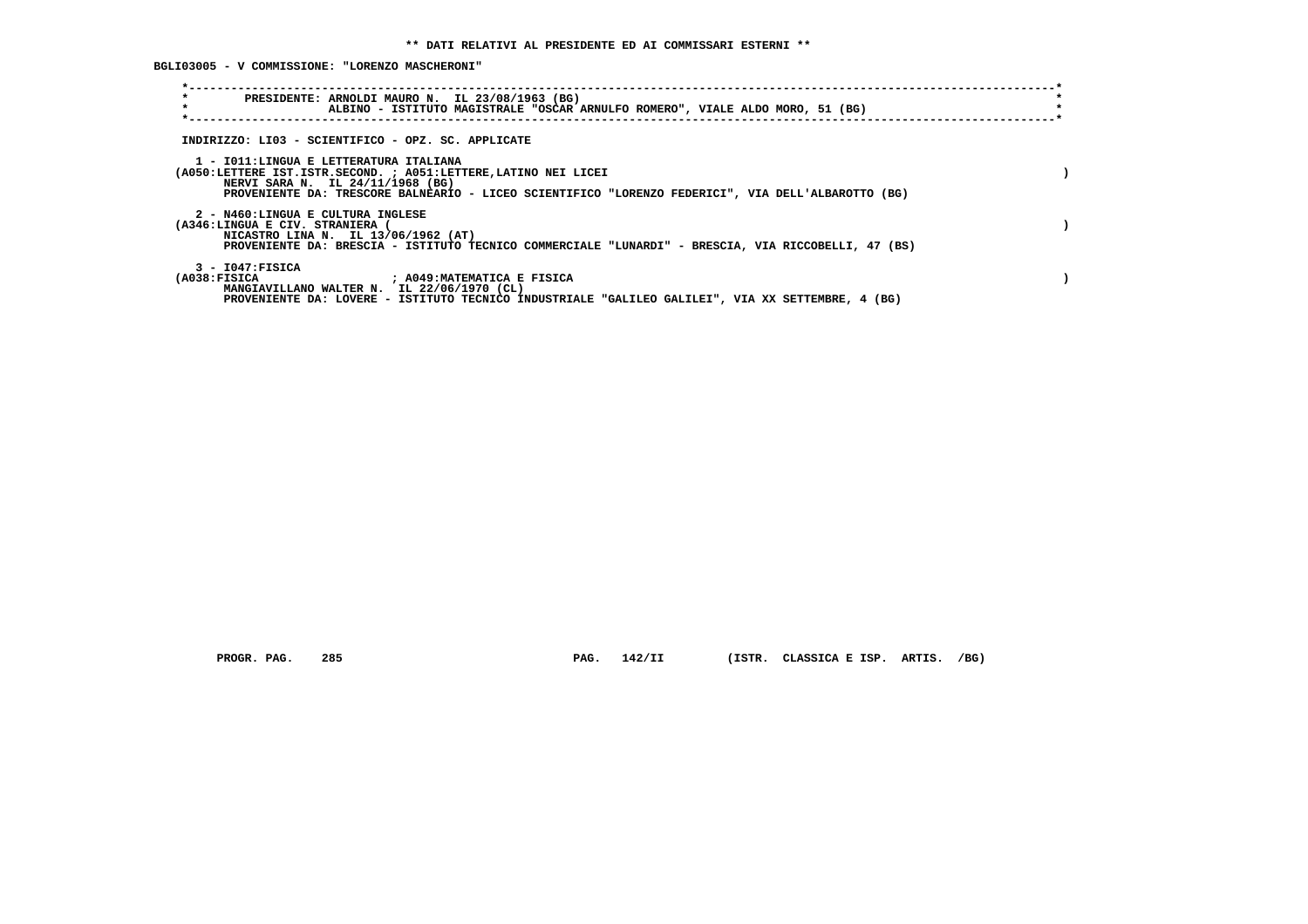**BGLI03005 - V COMMISSIONE: "LORENZO MASCHERONI"**

| $\star$<br>PRESIDENTE: ARNOLDI MAURO N. IL 23/08/1963 (BG)<br>$\star$<br>ALBINO - ISTITUTO MAGISTRALE "OSCAR ARNULFO ROMERO", VIALE ALDO MORO, 51 (BG)                                                                                               |  |
|------------------------------------------------------------------------------------------------------------------------------------------------------------------------------------------------------------------------------------------------------|--|
| INDIRIZZO: LI03 - SCIENTIFICO - OPZ. SC. APPLICATE                                                                                                                                                                                                   |  |
| 1 - IO11: LINGUA E LETTERATURA ITALIANA<br>(A050:LETTERE IST.ISTR.SECOND. ; A051:LETTERE, LATINO NEI LICEI<br>NERVI SARA N. IL 24/11/1968 (BG)<br>PROVENIENTE DA: TRESCORE BALNEARIO - LICEO SCIENTIFICO "LORENZO FEDERICI", VIA DELL'ALBAROTTO (BG) |  |
| 2 - N460:LINGUA E CULTURA INGLESE<br>(A346:LINGUA E CIV. STRANIERA (<br>NICASTRO LINA N. IL 13/06/1962 (AT)<br>PROVENIENTE DA: BRESCIA - ISTITUTO TECNICO COMMERCIALE "LUNARDI" - BRESCIA, VIA RICCOBELLI, 47 (BS)                                   |  |
| $3 - 1047:$ FISICA<br>(A038:FISICA<br>; A049:MATEMATICA E FISICA<br>MANGIAVILLANO WALTER N. IL 22/06/1970 (CL)<br>PROVENIENTE DA: LOVERE - ISTITUTO TECNICO INDUSTRIALE "GALILEO GALILEI", VIA XX SETTEMBRE, 4 (BG)                                  |  |

 **PROGR. PAG. 285 PAG. 142/II (ISTR. CLASSICA E ISP. ARTIS. /BG)**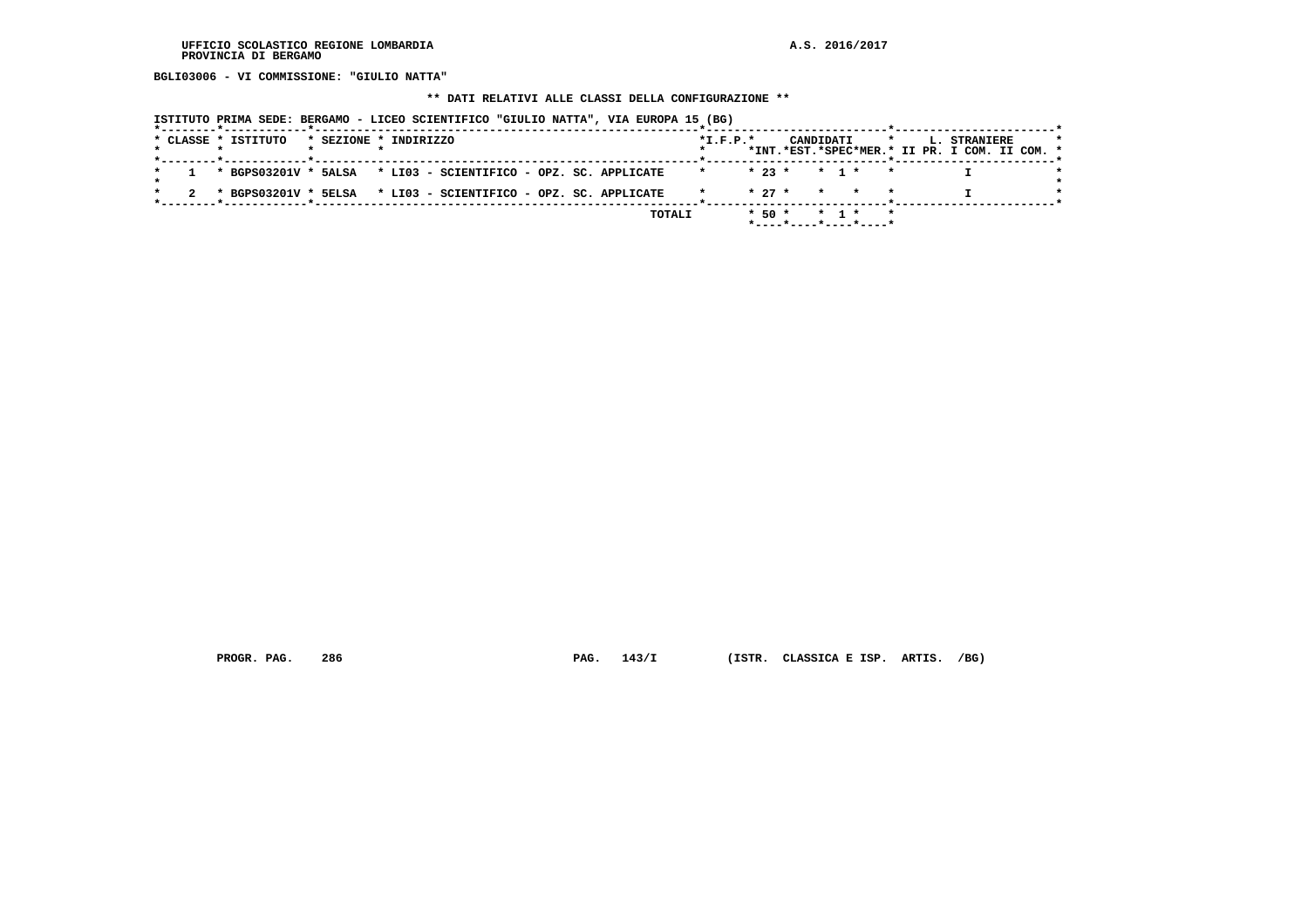**BGLI03006 - VI COMMISSIONE: "GIULIO NATTA"**

#### **\*\* DATI RELATIVI ALLE CLASSI DELLA CONFIGURAZIONE \*\***

 **ISTITUTO PRIMA SEDE: BERGAMO - LICEO SCIENTIFICO "GIULIO NATTA", VIA EUROPA 15 (BG)**

|  | * CLASSE * ISTITUTO |  | * SEZIONE * INDIRIZZO                                            |  |        | $*$ I.F.P. $*$ |  | CANDIDATI                                  |  | $\star$ | <b>L. STRANIERE</b>                           |  |
|--|---------------------|--|------------------------------------------------------------------|--|--------|----------------|--|--------------------------------------------|--|---------|-----------------------------------------------|--|
|  |                     |  |                                                                  |  |        |                |  |                                            |  |         | *INT.*EST.*SPEC*MER.* II PR. I COM. II COM. * |  |
|  |                     |  | 1 * BGPS03201V * 5ALSA * LI03 - SCIENTIFICO - OPZ. SC. APPLICATE |  |        |                |  | $* 23 * * 1 * * *$                         |  |         |                                               |  |
|  |                     |  |                                                                  |  |        |                |  |                                            |  |         |                                               |  |
|  |                     |  | * BGPS03201V * 5ELSA * LI03 - SCIENTIFICO - OPZ. SC. APPLICATE   |  |        |                |  | $\star$ 27 $\star$ $\star$ $\star$ $\star$ |  |         |                                               |  |
|  |                     |  |                                                                  |  | TOTALI |                |  | $* 50 * * 1 * *$                           |  |         |                                               |  |
|  |                     |  |                                                                  |  |        |                |  |                                            |  |         |                                               |  |

 **PROGR. PAG. 286 PAG. 143/I (ISTR. CLASSICA E ISP. ARTIS. /BG)**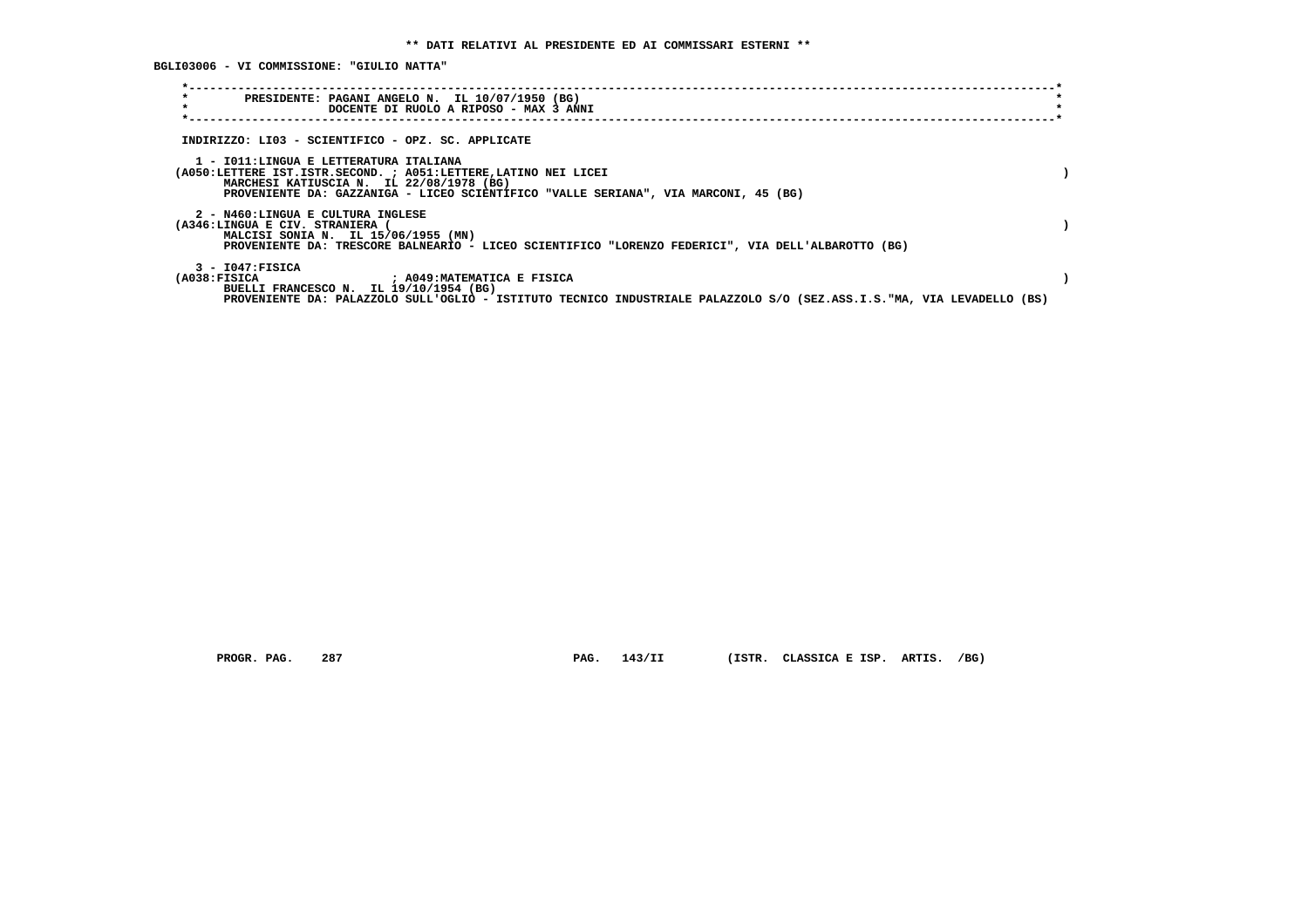**BGLI03006 - VI COMMISSIONE: "GIULIO NATTA"**

| $\star$<br>PRESIDENTE: PAGANI ANGELO N. IL 10/07/1950 (BG)<br>$\star$<br>DOCENTE DI RUOLO A RIPOSO - MAX 3 ANNI                                                  |  |
|------------------------------------------------------------------------------------------------------------------------------------------------------------------|--|
| INDIRIZZO: LI03 - SCIENTIFICO - OPZ. SC. APPLICATE                                                                                                               |  |
| 1 - IO11:LINGUA E LETTERATURA ITALIANA                                                                                                                           |  |
| (A050:LETTERE IST.ISTR.SECOND. ; A051:LETTERE, LATINO NEI LICEI                                                                                                  |  |
| MARCHESI KATIUSCIA N. IL 22/08/1978 (BG)<br>PROVENIENTE DA: GAZZANIGA - LICEO SCIENTIFICO "VALLE SERIANA", VIA MARCONI, 45 (BG)                                  |  |
| 2 - N460:LINGUA E CULTURA INGLESE                                                                                                                                |  |
| (A346:LINGUA E CIV. STRANIERA (<br>MALCISI SONIA N. IL 15/06/1955 (MN)                                                                                           |  |
| PROVENIENTE DA: TRESCORE BALNEARIO - LICEO SCIENTIFICO "LORENZO FEDERICI", VIA DELL'ALBAROTTO (BG)                                                               |  |
| $3 - 1047:$ FISICA<br>(A038:FISICA<br>: A049:MATEMATICA E FISICA                                                                                                 |  |
| BUELLI FRANCESCO N. IL 19/10/1954 (BG)<br>PROVENIENTE DA: PALAZZOLO SULL'OGLIO - ISTITUTO TECNICO INDUSTRIALE PALAZZOLO S/O (SEZ.ASS.I.S."MA, VIA LEVADELLO (BS) |  |
|                                                                                                                                                                  |  |

 **PROGR. PAG. 287 PAG. 143/II (ISTR. CLASSICA E ISP. ARTIS. /BG)**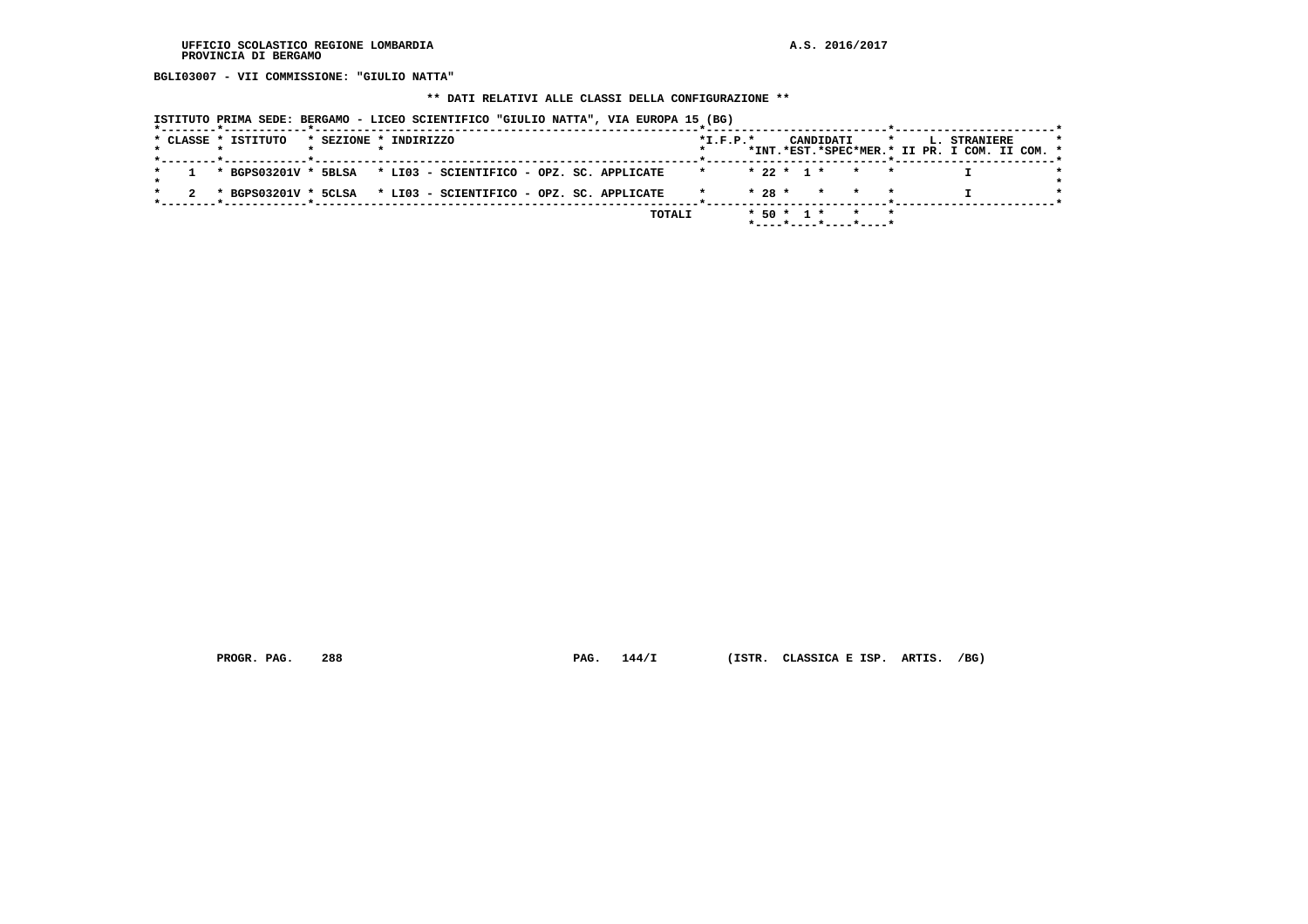**BGLI03007 - VII COMMISSIONE: "GIULIO NATTA"**

#### **\*\* DATI RELATIVI ALLE CLASSI DELLA CONFIGURAZIONE \*\***

 **ISTITUTO PRIMA SEDE: BERGAMO - LICEO SCIENTIFICO "GIULIO NATTA", VIA EUROPA 15 (BG)**

|  | * CLASSE * ISTITUTO |  | * SEZIONE * INDIRIZZO                                            |  |        | $*$ I.F.P. $*$ |  |  | CANDIDATI *           |  | <b>L. STRANIERE</b>                           | $\star$ |
|--|---------------------|--|------------------------------------------------------------------|--|--------|----------------|--|--|-----------------------|--|-----------------------------------------------|---------|
|  |                     |  |                                                                  |  |        |                |  |  |                       |  | *INT.*EST.*SPEC*MER.* II PR. I COM. II COM. * |         |
|  |                     |  | 1 * BGPS03201V * 5BLSA * LI03 - SCIENTIFICO - OPZ. SC. APPLICATE |  |        |                |  |  | * 22 * 1 * * * *      |  |                                               |         |
|  |                     |  |                                                                  |  |        |                |  |  | $* 28 * * * * * *$    |  |                                               |         |
|  |                     |  | 2 * BGPS03201V * 5CLSA * LI03 - SCIENTIFICO - OPZ. SC. APPLICATE |  |        |                |  |  |                       |  |                                               |         |
|  |                     |  |                                                                  |  | TOTALI |                |  |  | $* 50 * 1 * * * * *$  |  |                                               |         |
|  |                     |  |                                                                  |  |        |                |  |  | *----*----*----*----* |  |                                               |         |

 **PROGR. PAG. 288 PAG. 144/I (ISTR. CLASSICA E ISP. ARTIS. /BG)**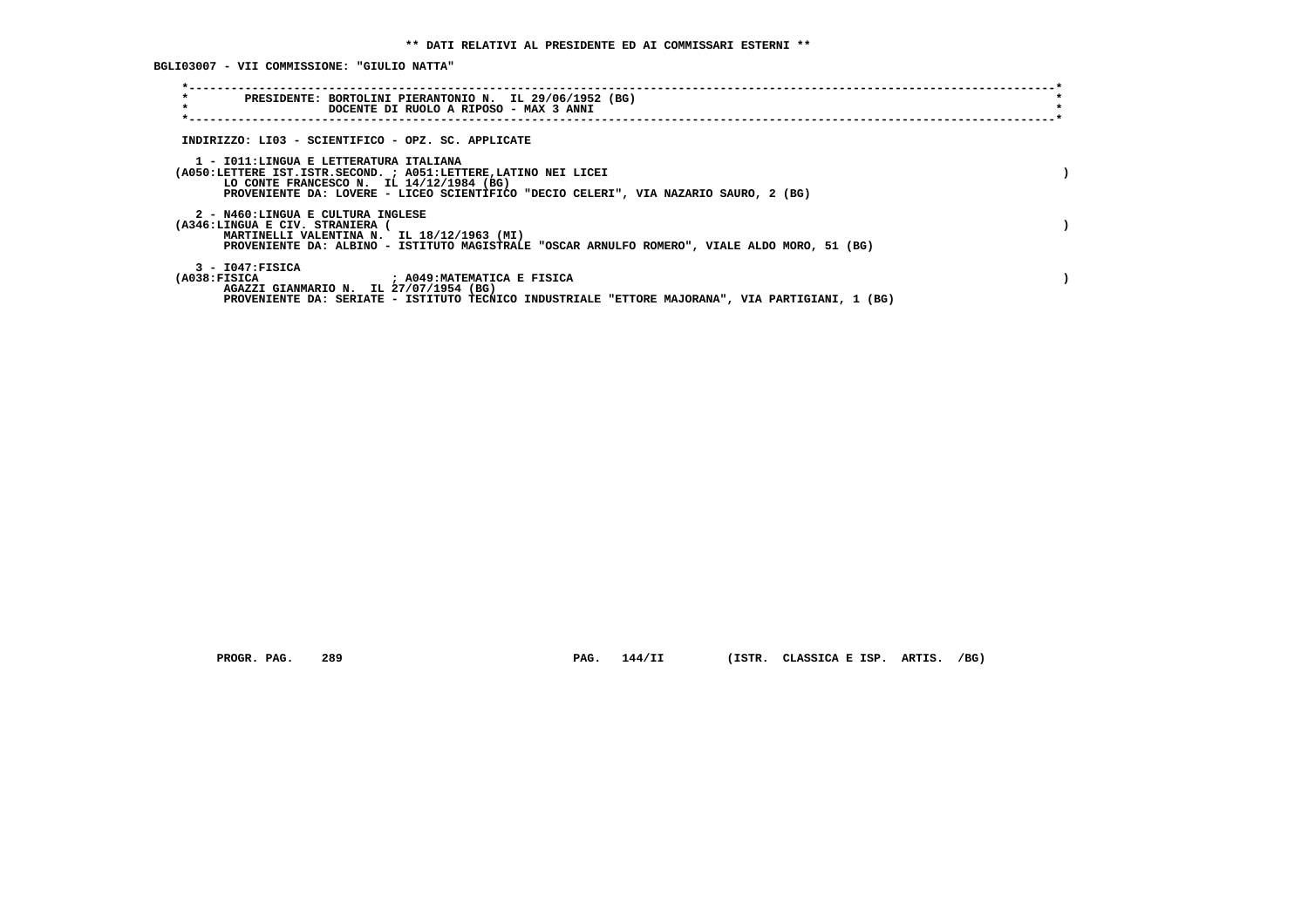**BGLI03007 - VII COMMISSIONE: "GIULIO NATTA"**

| $\star$<br>PRESIDENTE: BORTOLINI PIERANTONIO N. IL 29/06/1952 (BG)<br>$\star$<br>DOCENTE DI RUOLO A RIPOSO - MAX 3 ANNI                     |  |
|---------------------------------------------------------------------------------------------------------------------------------------------|--|
|                                                                                                                                             |  |
| INDIRIZZO: LI03 - SCIENTIFICO - OPZ. SC. APPLICATE                                                                                          |  |
| 1 - IO11: LINGUA E LETTERATURA ITALIANA<br>(A050:LETTERE IST.ISTR.SECOND. ; A051:LETTERE, LATINO NEI LICEI                                  |  |
| LO CONTE FRANCESCO N. IL $14/12/1984$ (BG)<br>PROVENIENTE DA: LOVERE - LICEO SCIENTIFICO "DECIO CELERI", VIA NAZARIO SAURO, 2 (BG)          |  |
| 2 - N460:LINGUA E CULTURA INGLESE                                                                                                           |  |
| (A346:LINGUA E CIV. STRANIERA                                                                                                               |  |
| MARTINELLI VALENTINA N. IL 18/12/1963 (MI)<br>PROVENIENTE DA: ALBINO - ISTITUTO MAGISTRALE "OSCAR ARNULFO ROMERO", VIALE ALDO MORO, 51 (BG) |  |
| $3 - 1047:$ FISICA                                                                                                                          |  |
| (A038:FISICA)<br>: A049: MATEMATICA E FISICA<br>AGAZZI GIANMARIO N. IL 27/07/1954 (BG)                                                      |  |
| PROVENIENTE DA: SERIATE - ISTITUTO TECNICO INDUSTRIALE "ETTORE MAJORANA", VIA PARTIGIANI, 1 (BG)                                            |  |

 **PROGR. PAG. 289 PAG. 144/II (ISTR. CLASSICA E ISP. ARTIS. /BG)**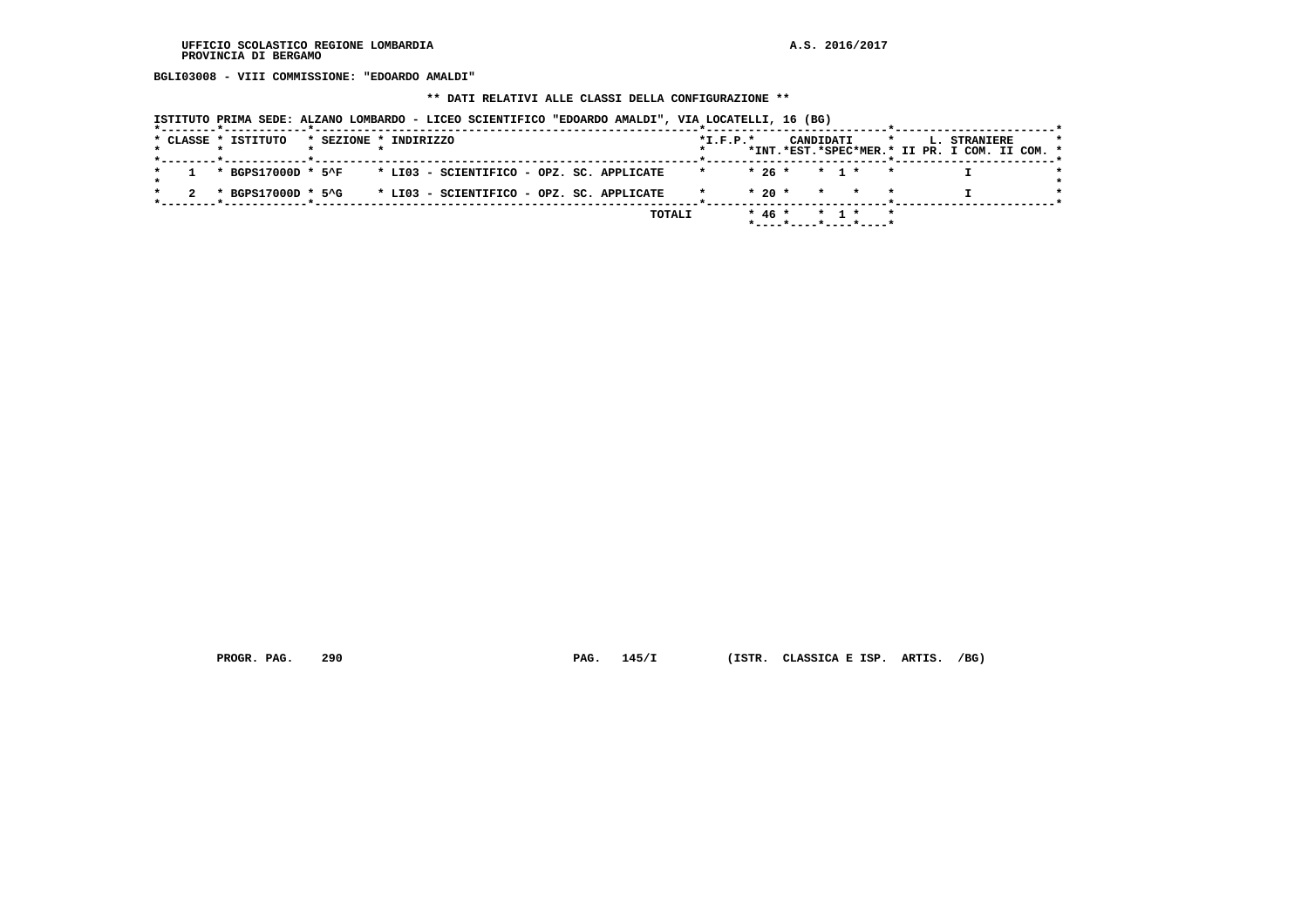**BGLI03008 - VIII COMMISSIONE: "EDOARDO AMALDI"**

#### **\*\* DATI RELATIVI ALLE CLASSI DELLA CONFIGURAZIONE \*\***

| ISTITUTO PRIMA SEDE: ALZANO LOMBARDO - LICEO SCIENTIFICO "EDOARDO AMALDI", VIA LOCATELLI, 16 (BG) |                                                                                                     |
|---------------------------------------------------------------------------------------------------|-----------------------------------------------------------------------------------------------------|
| * CLASSE * ISTITUTO<br>* SEZIONE * INDIRIZZO                                                      | $*L.F.P.*$<br>CANDIDATI<br>$\star$<br>L. STRANIERE<br>*INT.*EST.*SPEC*MER.* II PR. I COM. II COM. * |
| * BGPS17000D * 5^F * LI03 - SCIENTIFICO - OPZ. SC. APPLICATE                                      | $* 26 * * 1 *$<br>$\mathbf{x}$                                                                      |
| * BGPS17000D * 5^G<br>* LI03 - SCIENTIFICO - OPZ. SC. APPLICATE                                   | $* 20 * * * * * * *$                                                                                |
| TOTALI                                                                                            | $*$ 46 * * 1 *<br>$*$ - - - - $*$ - - - - $*$ - - - - $*$ - - - - $*$                               |

 **PROGR. PAG. 290 PAG. 145/I (ISTR. CLASSICA E ISP. ARTIS. /BG)**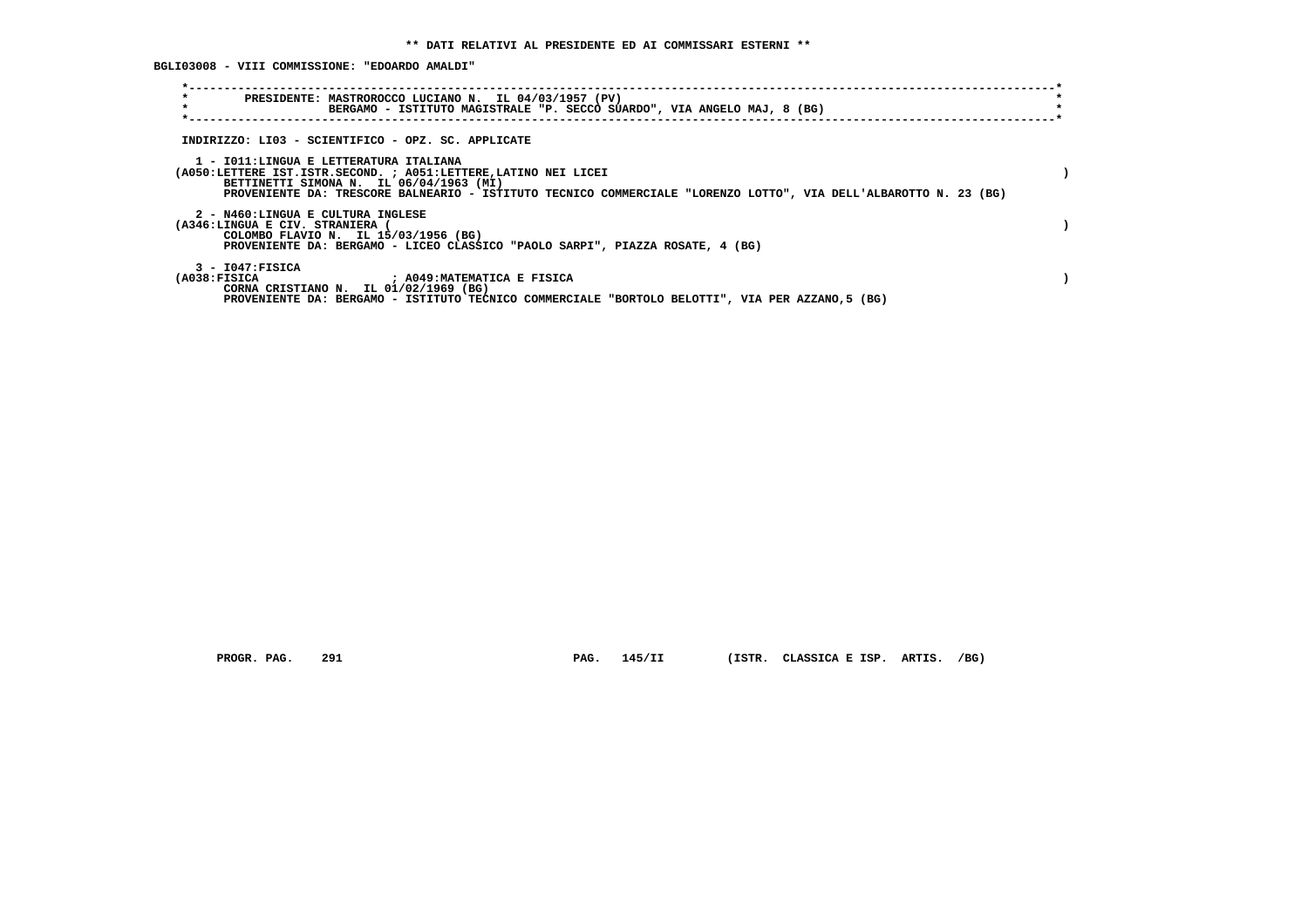**BGLI03008 - VIII COMMISSIONE: "EDOARDO AMALDI"**

| $\star$<br>PRESIDENTE: MASTROROCCO LUCIANO N. IL 04/03/1957 (PV)<br>$\star$<br>BERGAMO - ISTITUTO MAGISTRALE "P. SECCO SUARDO", VIA ANGELO MAJ, 8 (BG)                                                                                                                   |  |
|--------------------------------------------------------------------------------------------------------------------------------------------------------------------------------------------------------------------------------------------------------------------------|--|
| INDIRIZZO: LI03 - SCIENTIFICO - OPZ. SC. APPLICATE                                                                                                                                                                                                                       |  |
| 1 - IO11:LINGUA E LETTERATURA ITALIANA<br>(A050:LETTERE IST.ISTR.SECOND. ; A051:LETTERE, LATINO NEI LICEI<br>BETTINETTI SIMONA N. IL 06/04/1963 (MI)<br>PROVENIENTE DA: TRESCORE BALNEARIO - ISTITUTO TECNICO COMMERCIALE "LORENZO LOTTO", VIA DELL'ALBAROTTO N. 23 (BG) |  |
| 2 - N460:LINGUA E CULTURA INGLESE<br>(A346:LINGUA E CIV. STRANIERA (<br>COLOMBO FLAVIO N. IL 15/03/1956 (BG)<br>PROVENIENTE DA: BERGAMO - LICEO CLASSICO "PAOLO SARPI", PIAZZA ROSATE, 4 (BG)                                                                            |  |
| $3 - 1047:$ FISICA<br>(A038:FISICA ) ; A049:MATEMATICA E FISICA<br>CORNA CRISTIANO N. IL 01/02/1969 (BG)<br>PROVENIENTE DA: BERGAMO - ISTITUTO TECNICO COMMERCIALE "BORTOLO BELOTTI", VIA PER AZZANO, 5 (BG)                                                             |  |

 **PROGR. PAG. 291 PAG. 145/II (ISTR. CLASSICA E ISP. ARTIS. /BG)**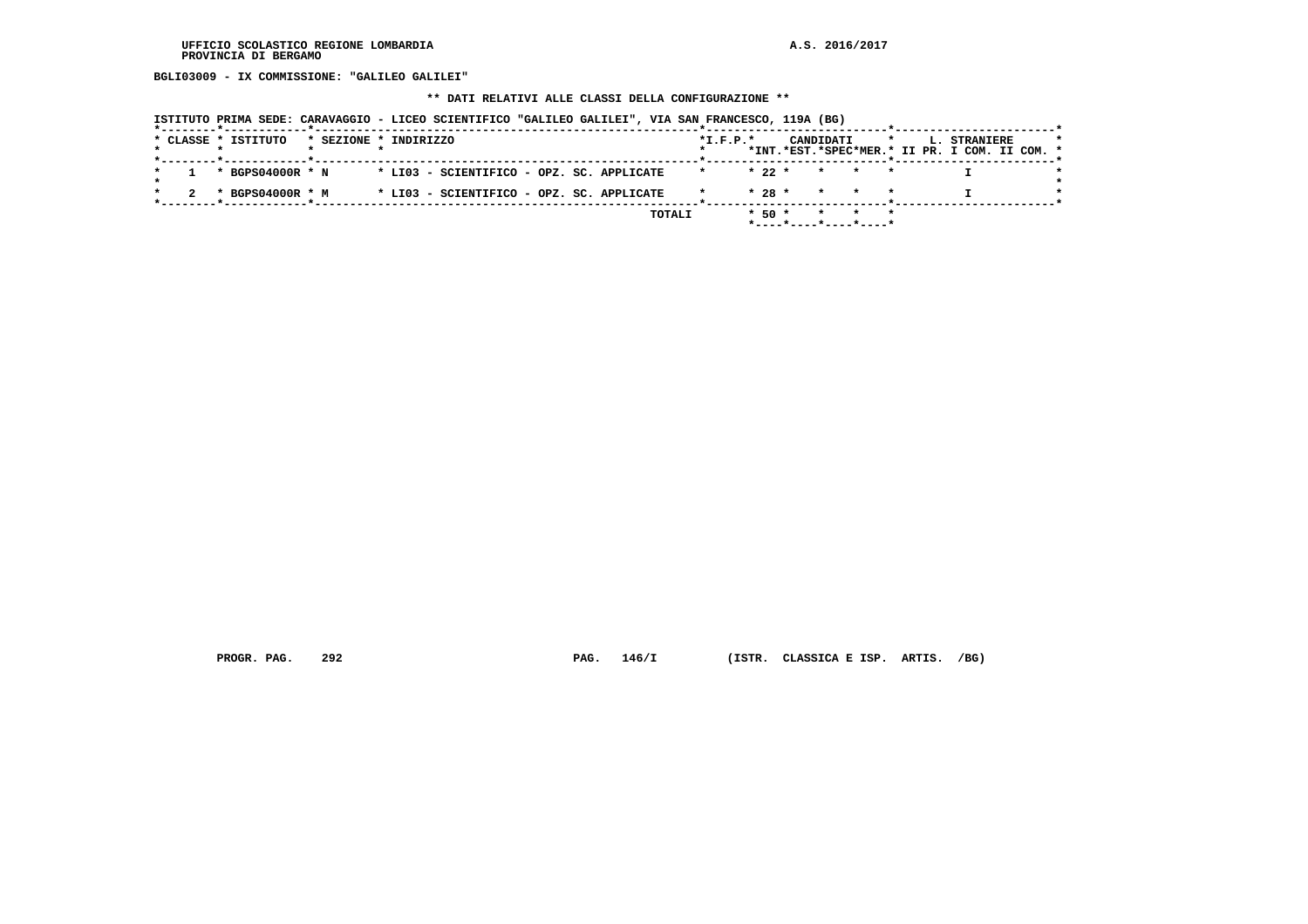**BGLI03009 - IX COMMISSIONE: "GALILEO GALILEI"**

# **\*\* DATI RELATIVI ALLE CLASSI DELLA CONFIGURAZIONE \*\***

|  |                     |  |                       |                                           |  | ISTITUTO PRIMA SEDE: CARAVAGGIO - LICEO SCIENTIFICO "GALILEO GALILEI", VIA SAN FRANCESCO, 119A (BG) |                |            |                 |       |         |                                                               |  |
|--|---------------------|--|-----------------------|-------------------------------------------|--|-----------------------------------------------------------------------------------------------------|----------------|------------|-----------------|-------|---------|---------------------------------------------------------------|--|
|  | * CLASSE * ISTITUTO |  | * SEZIONE * INDIRIZZO |                                           |  |                                                                                                     | $*$ I.F.P. $*$ |            | CANDIDATI       |       | $\star$ | L. STRANIERE<br>*INT.*EST.*SPEC*MER.* II PR. I COM. II COM. * |  |
|  | * BGPS04000R * N    |  |                       | * LI03 - SCIENTIFICO - OPZ. SC. APPLICATE |  |                                                                                                     | $\star$        | $* 22 *$   |                 | * * * |         |                                                               |  |
|  | * BGPS04000R * M    |  |                       | * LI03 - SCIENTIFICO - OPZ. SC. APPLICATE |  |                                                                                                     |                | $* 28 *$   | $\star$ $\star$ |       |         |                                                               |  |
|  |                     |  |                       |                                           |  | TOTALI                                                                                              |                | $*$ 50 $*$ |                 |       |         |                                                               |  |

 **PROGR. PAG. 292 PAG. 146/I (ISTR. CLASSICA E ISP. ARTIS. /BG)**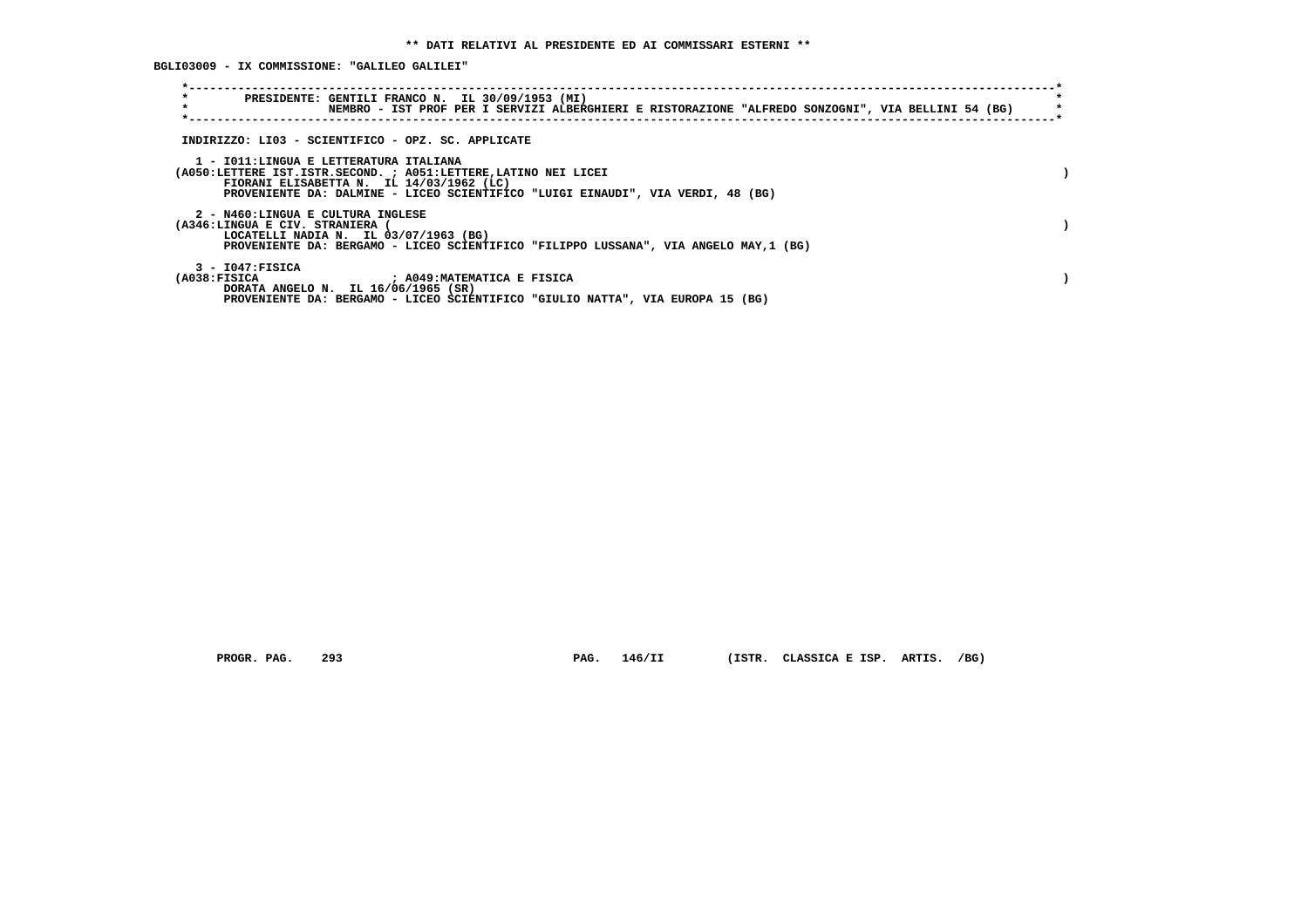**BGLI03009 - IX COMMISSIONE: "GALILEO GALILEI"**

| $\star$<br>PRESIDENTE: GENTILI FRANCO N. IL 30/09/1953 (MI)<br>NEMBRO - IST PROF PER I SERVIZI ALBERGHIERI E RISTORAZIONE "ALFREDO SONZOGNI", VIA BELLINI 54 (BG)                                                                        |  |
|------------------------------------------------------------------------------------------------------------------------------------------------------------------------------------------------------------------------------------------|--|
| INDIRIZZO: LI03 - SCIENTIFICO - OPZ. SC. APPLICATE                                                                                                                                                                                       |  |
| 1 - IO11:LINGUA E LETTERATURA ITALIANA<br>(A050:LETTERE IST.ISTR.SECOND. ; A051:LETTERE, LATINO NEI LICEI<br>FIORANI ELISABETTA N. IL 14/03/1962 (LC)<br>PROVENIENTE DA: DALMINE - LICEO SCIENTIFICO "LUIGI EINAUDI", VIA VERDI, 48 (BG) |  |
| 2 - N460:LINGUA E CULTURA INGLESE<br>(A346:LINGUA E CIV. STRANIERA<br>LOCATELLI NADIA N. IL 03/07/1963 (BG)<br>PROVENIENTE DA: BERGAMO - LICEO SCIENTIFICO "FILIPPO LUSSANA", VIA ANGELO MAY, 1 (BG)                                     |  |
| $3 - 1047:$ FISICA<br>(A038:FTSTCA<br>: A049:MATEMATICA E FISICA<br>DORATA ANGELO N. IL 16/06/1965 (SR)<br>PROVENIENTE DA: BERGAMO - LICEO SCIENTIFICO "GIULIO NATTA", VIA EUROPA 15 (BG)                                                |  |

 **PROGR. PAG. 293 PAG. 146/II (ISTR. CLASSICA E ISP. ARTIS. /BG)**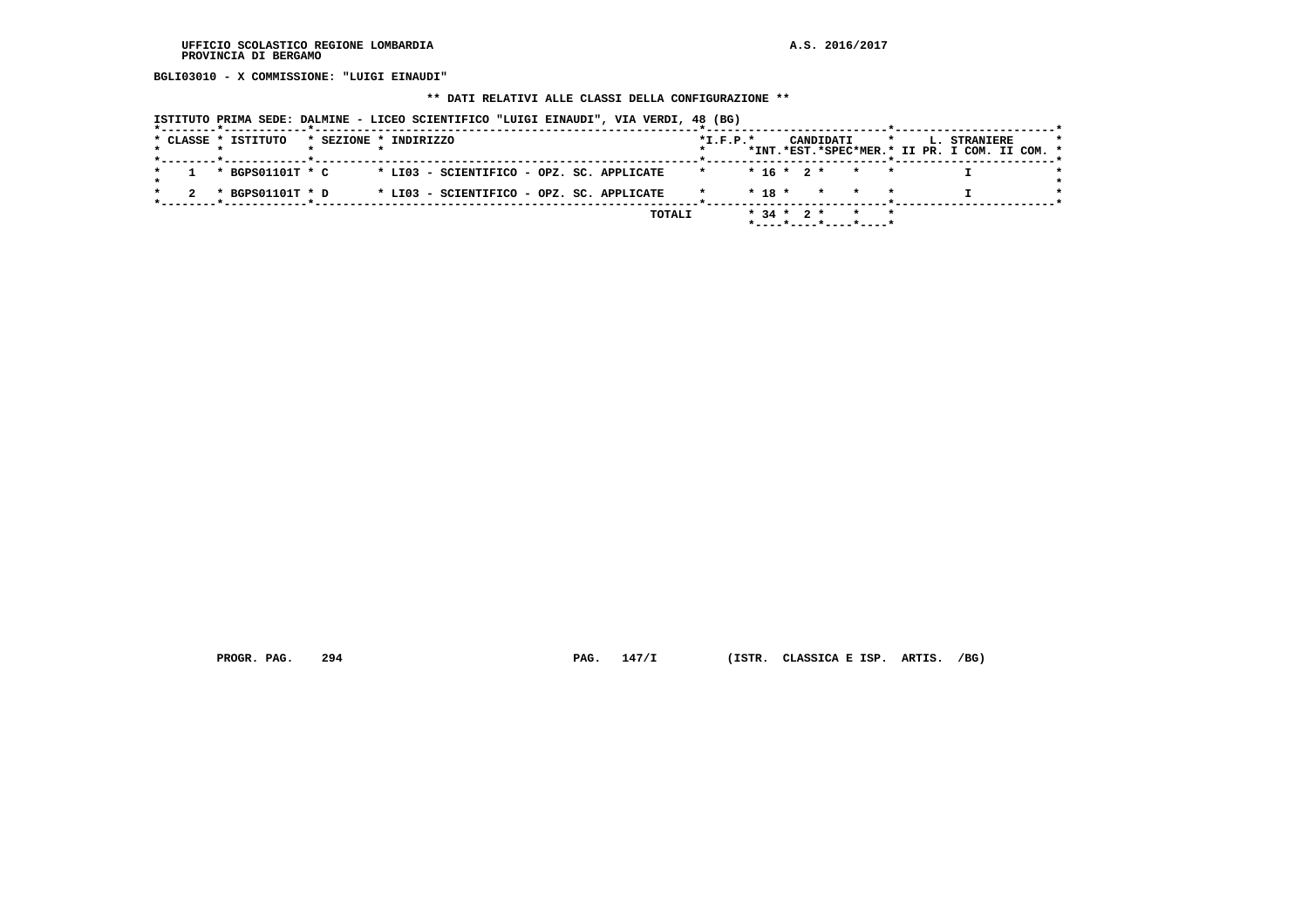**BGLI03010 - X COMMISSIONE: "LUIGI EINAUDI"**

# **\*\* DATI RELATIVI ALLE CLASSI DELLA CONFIGURAZIONE \*\***

|  |  |                     |                       |  |  |  | ISTITUTO PRIMA SEDE: DALMINE - LICEO SCIENTIFICO "LUIGI EINAUDI", VIA VERDI, 48 (BG) |                     |              |  |                 |                                                            |         |  |                                                               |  |  |
|--|--|---------------------|-----------------------|--|--|--|--------------------------------------------------------------------------------------|---------------------|--------------|--|-----------------|------------------------------------------------------------|---------|--|---------------------------------------------------------------|--|--|
|  |  | * CLASSE * ISTITUTO | * SEZIONE * INDIRIZZO |  |  |  |                                                                                      | $*I.F.P.*$          |              |  | CANDIDATI       |                                                            | $\star$ |  | L. STRANIERE<br>*INT.*EST.*SPEC*MER.* II PR. I COM. II COM. * |  |  |
|  |  | * BGPS01101T * C    |                       |  |  |  | * LI03 - SCIENTIFICO - OPZ. SC. APPLICATE                                            | $\star$ and $\star$ |              |  |                 | $* 16 * 2 * * * *$                                         |         |  |                                                               |  |  |
|  |  | * BGPS01101T * D    |                       |  |  |  | * LI03 - SCIENTIFICO - OPZ. SC. APPLICATE                                            |                     | $*$ 18 $*$   |  | $\star$ $\star$ |                                                            |         |  |                                                               |  |  |
|  |  |                     |                       |  |  |  | TOTALI                                                                               |                     | $* 34 * 2 *$ |  |                 | $\star$ $\star$<br>$*$ ---- $*$ ---- $*$ ---- $*$ ---- $*$ |         |  |                                                               |  |  |

 **PROGR. PAG. 294 PAG. 147/I (ISTR. CLASSICA E ISP. ARTIS. /BG)**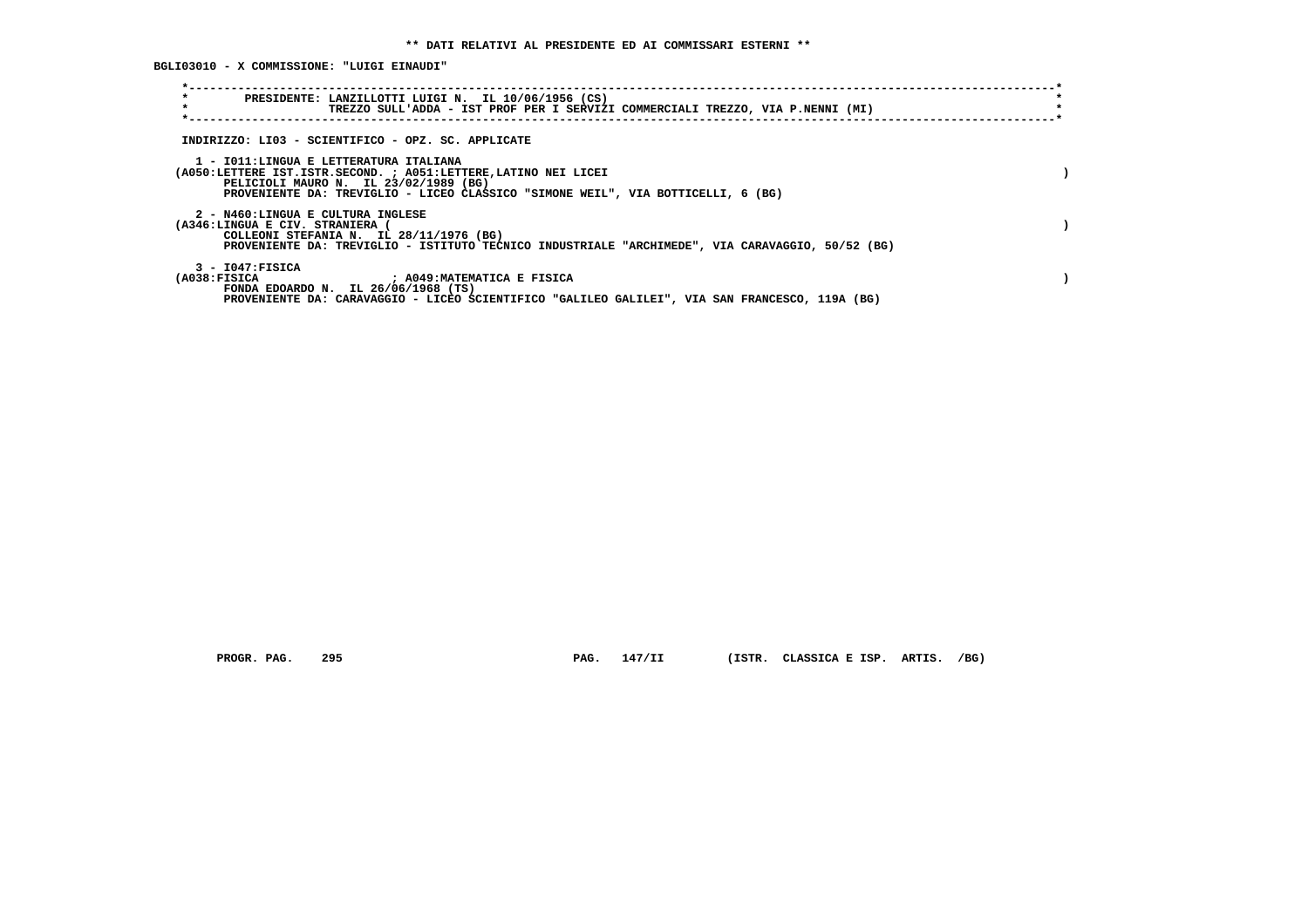**BGLI03010 - X COMMISSIONE: "LUIGI EINAUDI"**

| $\star$<br>PRESIDENTE: LANZILLOTTI LUIGI N. IL 10/06/1956 (CS)<br>$\star$<br>TREZZO SULL'ADDA - IST PROF PER I SERVIZI COMMERCIALI TREZZO, VIA P.NENNI (MI)                                                                             |  |
|-----------------------------------------------------------------------------------------------------------------------------------------------------------------------------------------------------------------------------------------|--|
| INDIRIZZO: LI03 - SCIENTIFICO - OPZ. SC. APPLICATE                                                                                                                                                                                      |  |
| 1 - IO11: LINGUA E LETTERATURA ITALIANA<br>(A050:LETTERE IST.ISTR.SECOND. ; A051:LETTERE, LATINO NEI LICEI<br>PELICIOLI MAURO N. IL 23/02/1989 (BG)<br>PROVENIENTE DA: TREVIGLIO - LICEO CLASSICO "SIMONE WEIL", VIA BOTTICELLI, 6 (BG) |  |
| 2 - N460:LINGUA E CULTURA INGLESE<br>(A346:LINGUA E CIV. STRANIERA (<br>COLLEONI STEFANIA N. IL 28/11/1976 (BG)<br>PROVENIENTE DA: TREVIGLIO - ISTITUTO TECNICO INDUSTRIALE "ARCHIMEDE", VIA CARAVAGGIO, 50/52 (BG)                     |  |
| $3 - 1047:$ FISICA<br>(A038:FISICA ) ; A049:MATEMATICA E FISICA<br>FONDA EDOARDO N. IL 26/06/1968 (TS)<br>PROVENIENTE DA: CARAVAGGIO - LICEO SCIENTIFICO "GALILEO GALILEI", VIA SAN FRANCESCO, 119A (BG)                                |  |

 **PROGR. PAG. 295 PAG. 147/II (ISTR. CLASSICA E ISP. ARTIS. /BG)**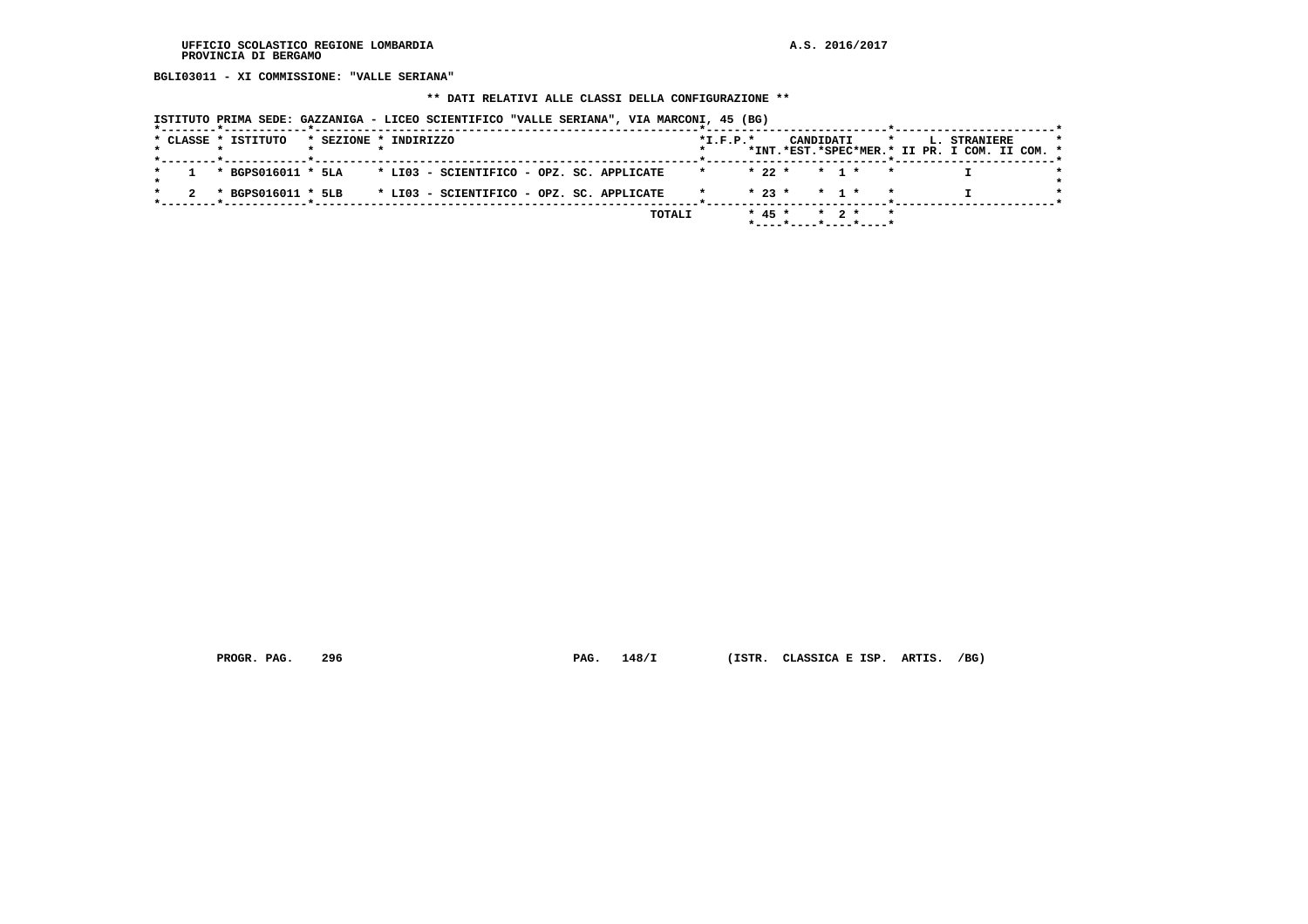**BGLI03011 - XI COMMISSIONE: "VALLE SERIANA"**

# **\*\* DATI RELATIVI ALLE CLASSI DELLA CONFIGURAZIONE \*\***

| ISTITUTO PRIMA SEDE: GAZZANIGA - LICEO SCIENTIFICO "VALLE SERIANA", VIA MARCONI, 45 (BG) |  |  |  |
|------------------------------------------------------------------------------------------|--|--|--|
|------------------------------------------------------------------------------------------|--|--|--|

|  |  | * CLASSE * ISTITUTO |  | * SEZIONE * INDIRIZZO                                                     |  |        | $*$ I.F.P. $*$ |  | CANDIDATI                                                  |  |  | <b>L. STRANIERE</b><br>*INT.*EST.*SPEC*MER.* II PR. I COM. II COM. * |  |  |
|--|--|---------------------|--|---------------------------------------------------------------------------|--|--------|----------------|--|------------------------------------------------------------|--|--|----------------------------------------------------------------------|--|--|
|  |  |                     |  |                                                                           |  |        |                |  |                                                            |  |  |                                                                      |  |  |
|  |  |                     |  | $1 \times$ BGPS016011 $*$ 5LA $*$ LI03 - SCIENTIFICO - OPZ. SC. APPLICATE |  |        |                |  | $* 22 * * 1 * * *$                                         |  |  |                                                                      |  |  |
|  |  |                     |  | * BGPS016011 * 5LB * LI03 - SCIENTIFICO - OPZ. SC. APPLICATE              |  |        |                |  | $* 23 * * 1 * * *$                                         |  |  |                                                                      |  |  |
|  |  |                     |  |                                                                           |  | TOTALI |                |  | $* 45 * * 2 * * *$<br>$*$ ---- $*$ ---- $*$ ---- $*$ ----* |  |  |                                                                      |  |  |
|  |  |                     |  |                                                                           |  |        |                |  |                                                            |  |  |                                                                      |  |  |

 **PROGR. PAG. 296 PAG. 148/I (ISTR. CLASSICA E ISP. ARTIS. /BG)**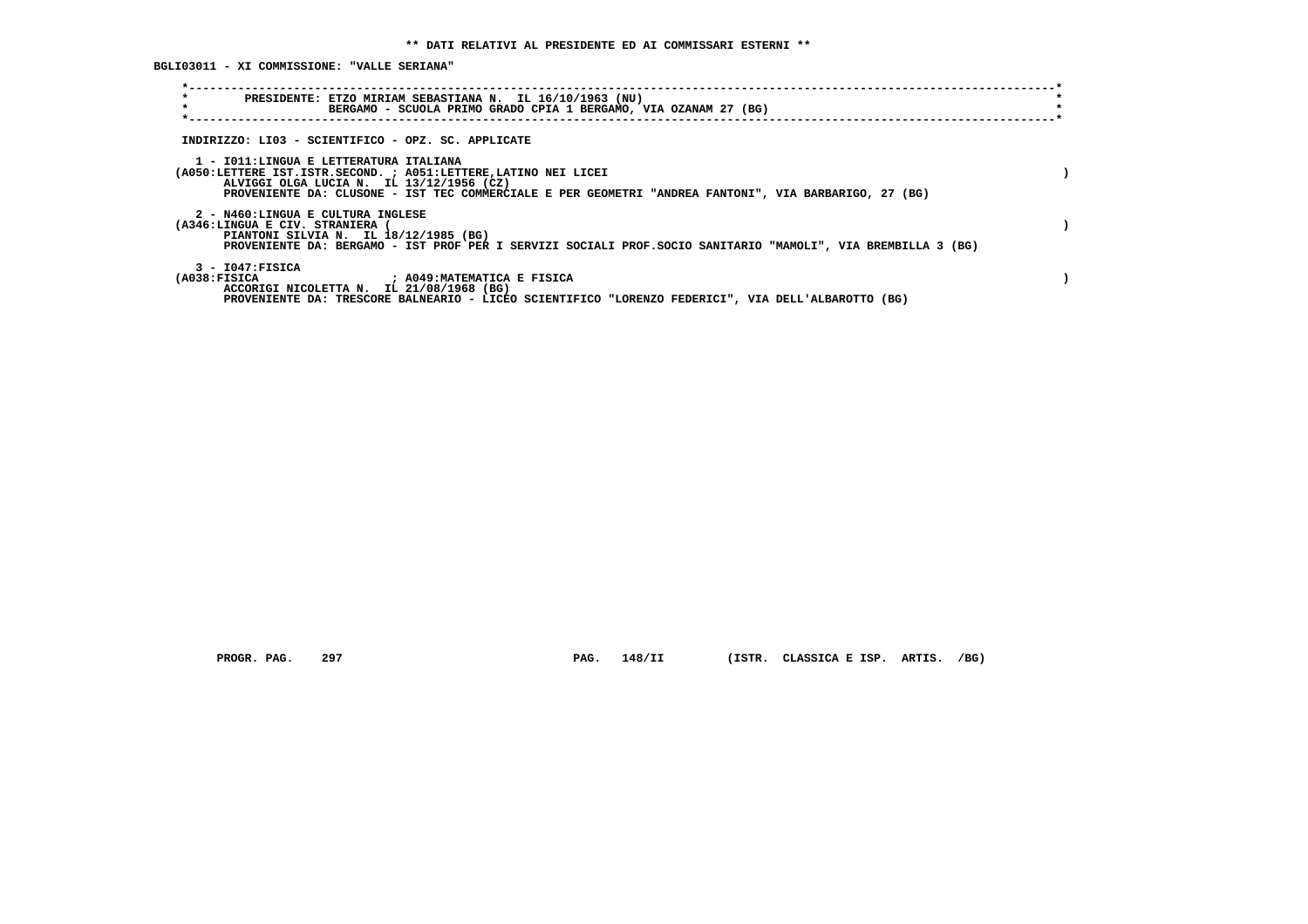**BGLI03011 - XI COMMISSIONE: "VALLE SERIANA"**

| $\star$<br>PRESIDENTE: ETZO MIRIAM SEBASTIANA N. IL 16/10/1963 (NU)<br>$\star$<br>BERGAMO - SCUOLA PRIMO GRADO CPIA 1 BERGAMO, VIA OZANAM 27 (BG)                                                                                                              | $\star$ |
|----------------------------------------------------------------------------------------------------------------------------------------------------------------------------------------------------------------------------------------------------------------|---------|
| INDIRIZZO: LI03 - SCIENTIFICO - OPZ. SC. APPLICATE                                                                                                                                                                                                             |         |
| 1 - IO11:LINGUA E LETTERATURA ITALIANA<br>(A050:LETTERE IST.ISTR.SECOND. ; A051:LETTERE, LATINO NEI LICEI<br>ALVIGGI OLGA LUCIA N. IL 13/12/1956 (CZ)<br>PROVENIENTE DA: CLUSONE - IST TEC COMMERCIALE E PER GEOMETRI "ANDREA FANTONI", VIA BARBARIGO, 27 (BG) |         |
| 2 - N460:LINGUA E CULTURA INGLESE<br>(A346:LINGUA E CIV. STRANIERA (<br>PIANTONI SILVIA N. IL 18/12/1985 (BG)<br>PROVENIENTE DA: BERGAMO - IST PROF PER I SERVIZI SOCIALI PROF.SOCIO SANITARIO "MAMOLI", VIA BREMBILLA 3 (BG)                                  |         |
| $3 - 1047:$ FISICA<br>(A038:FTSTCA<br>; A049:MATEMATICA E FISICA<br>ACCORIGI NICOLETTA N. IL 21/08/1968 (BG)<br>PROVENIENTE DA: TRESCORE BALNEARIO - LICEO SCIENTIFICO "LORENZO FEDERICI", VIA DELL'ALBAROTTO (BG)                                             |         |

 **PROGR. PAG. 297 PAG. 148/II (ISTR. CLASSICA E ISP. ARTIS. /BG)**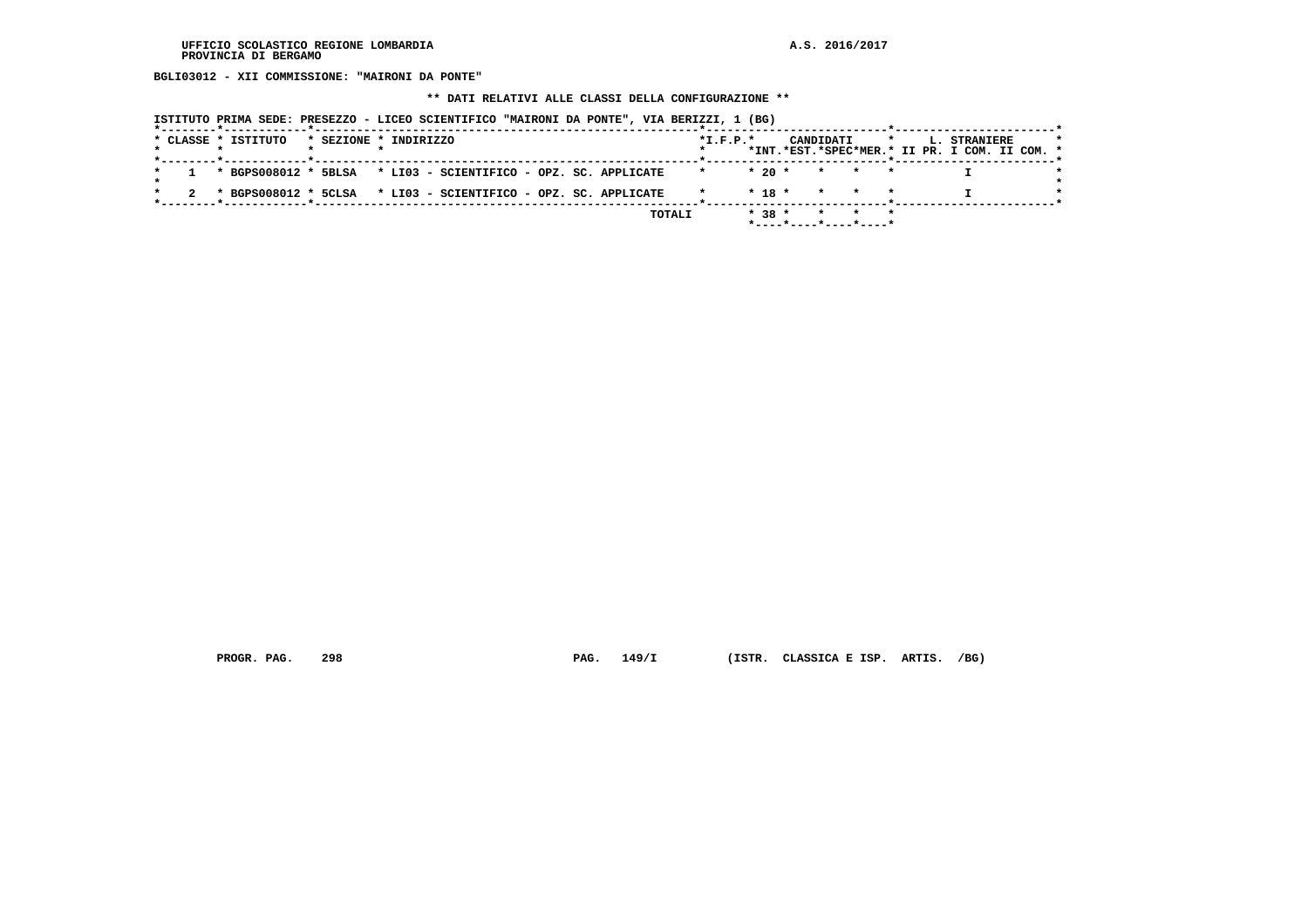**BGLI03012 - XII COMMISSIONE: "MAIRONI DA PONTE"**

 **\*\* DATI RELATIVI ALLE CLASSI DELLA CONFIGURAZIONE \*\***

|  | * CLASSE * ISTITUTO | * SEZIONE * INDIRIZZO |                                                                             |  |        | $*L.F.P.*$ |            | CANDIDATI       | $\star$                        |  | L. STRANIERE<br>*INT.*EST.*SPEC*MER.* II PR. I COM. II COM. * |  |
|--|---------------------|-----------------------|-----------------------------------------------------------------------------|--|--------|------------|------------|-----------------|--------------------------------|--|---------------------------------------------------------------|--|
|  |                     |                       |                                                                             |  |        |            |            |                 |                                |  |                                                               |  |
|  |                     |                       | $1 \times$ BGPS008012 $*$ 5BLSA $*$ LI03 - SCIENTIFICO - OPZ. SC. APPLICATE |  |        | $\star$    | $*20$ *    |                 | * * *                          |  |                                                               |  |
|  |                     |                       | * BGPS008012 * 5CLSA * LI03 - SCIENTIFICO - OPZ. SC. APPLICATE              |  |        |            | $*$ 18 $*$ | $\star$ $\star$ |                                |  |                                                               |  |
|  |                     |                       |                                                                             |  | TOTALI |            | $* 38 *$   |                 | * * *<br>*----*----*----*----* |  |                                                               |  |

 **PROGR. PAG. 298 PAG. 149/I (ISTR. CLASSICA E ISP. ARTIS. /BG)**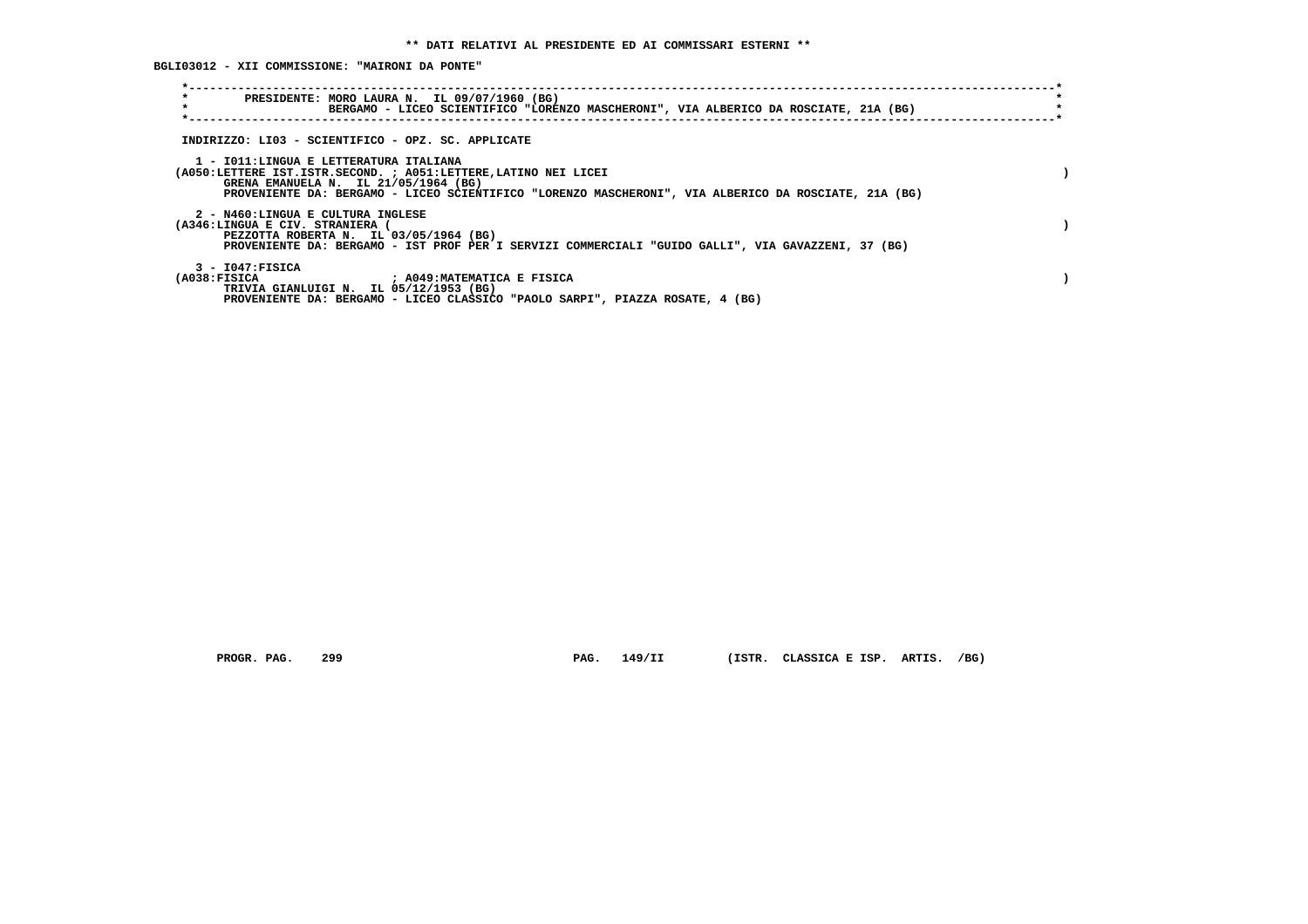**BGLI03012 - XII COMMISSIONE: "MAIRONI DA PONTE"**

| $\star$<br>PRESIDENTE: MORO LAURA N. IL 09/07/1960 (BG)<br>$\star$<br>BERGAMO - LICEO SCIENTIFICO "LORENZO MASCHERONI", VIA ALBERICO DA ROSCIATE, 21A (BG)                                                                                                |  |
|-----------------------------------------------------------------------------------------------------------------------------------------------------------------------------------------------------------------------------------------------------------|--|
| INDIRIZZO: LI03 - SCIENTIFICO - OPZ. SC. APPLICATE                                                                                                                                                                                                        |  |
| 1 - IO11:LINGUA E LETTERATURA ITALIANA<br>(A050:LETTERE IST.ISTR.SECOND. ; A051:LETTERE, LATINO NEI LICEI<br>GRENA EMANUELA N. IL 21/05/1964 (BG)<br>PROVENIENTE DA: BERGAMO - LICEO SCIENTIFICO "LORENZO MASCHERONI", VIA ALBERICO DA ROSCIATE, 21A (BG) |  |
| 2 - N460:LINGUA E CULTURA INGLESE<br>(A346:LINGUA E CIV. STRANIERA (<br>PEZZOTTA ROBERTA N. IL 03/05/1964 (BG)<br>PROVENIENTE DA: BERGAMO - IST PROF PER I SERVIZI COMMERCIALI "GUIDO GALLI", VIA GAVAZZENI, 37 (BG)                                      |  |
| $3 - 1047:$ FISICA<br>(A038:FISICA<br>; A049:MATEMATICA E FISICA<br>TRIVIA GIANLUIGI N. IL 05/12/1953 (BG)<br>PROVENIENTE DA: BERGAMO - LICEO CLASSICO "PAOLO SARPI", PIAZZA ROSATE, 4 (BG)                                                               |  |

 **PROGR. PAG. 299 PAG. 149/II (ISTR. CLASSICA E ISP. ARTIS. /BG)**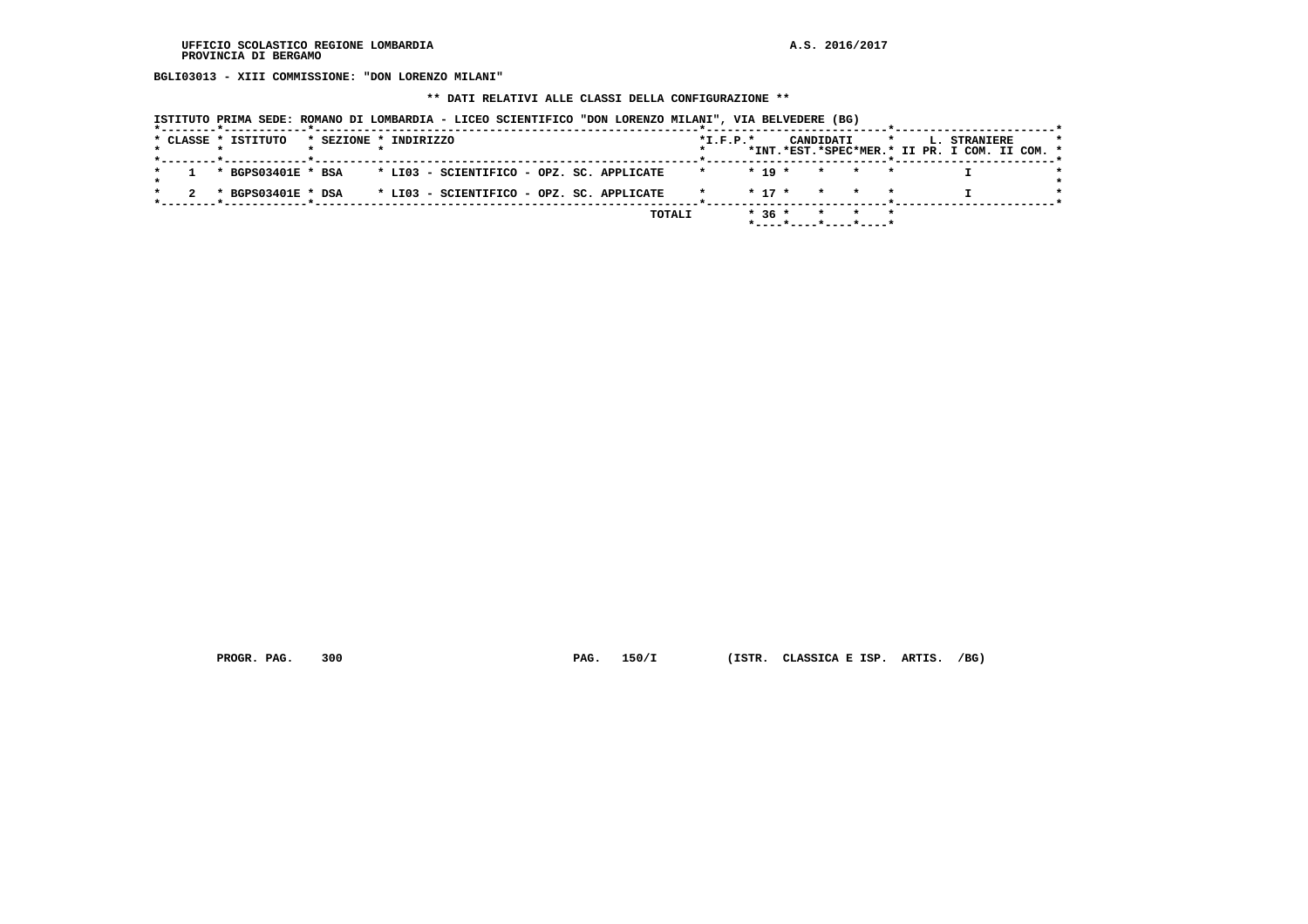**BGLI03013 - XIII COMMISSIONE: "DON LORENZO MILANI"**

 **\*\* DATI RELATIVI ALLE CLASSI DELLA CONFIGURAZIONE \*\***

| ISTITUTO PRIMA SEDE: ROMANO DI LOMBARDIA - LICEO SCIENTIFICO "DON LORENZO MILANI", VIA BELVEDERE (BG) |  |  |  |
|-------------------------------------------------------------------------------------------------------|--|--|--|
|                                                                                                       |  |  |  |

|  | * CLASSE * ISTITUTO | * SEZIONE * INDIRIZZO |  |  |  |                                                              | $*$ I.F.P. $*$ |        |  | CANDIDATI |                                                       |  | <b>L. STRANIERE</b>                           |  | $\star$ |
|--|---------------------|-----------------------|--|--|--|--------------------------------------------------------------|----------------|--------|--|-----------|-------------------------------------------------------|--|-----------------------------------------------|--|---------|
|  |                     |                       |  |  |  |                                                              |                |        |  |           |                                                       |  | *INT.*EST.*SPEC*MER.* II PR. I COM. II COM. * |  |         |
|  |                     |                       |  |  |  | * BGPS03401E * BSA * LI03 - SCIENTIFICO - OPZ. SC. APPLICATE | $\star$        |        |  |           | $\star$ 19 $\star$ $\star$ $\star$ $\star$            |  |                                               |  |         |
|  |                     |                       |  |  |  | * BGPS03401E * DSA * LI03 - SCIENTIFICO - OPZ. SC. APPLICATE |                |        |  |           | * 17 * * * *                                          |  |                                               |  |         |
|  |                     |                       |  |  |  | TOTALI                                                       |                | $*36*$ |  |           | * * *                                                 |  |                                               |  |         |
|  |                     |                       |  |  |  |                                                              |                |        |  |           | $*$ - - - - $*$ - - - - $*$ - - - - $*$ - - - - - $*$ |  |                                               |  |         |

 **PROGR. PAG. 300 PAG. 150/I (ISTR. CLASSICA E ISP. ARTIS. /BG)**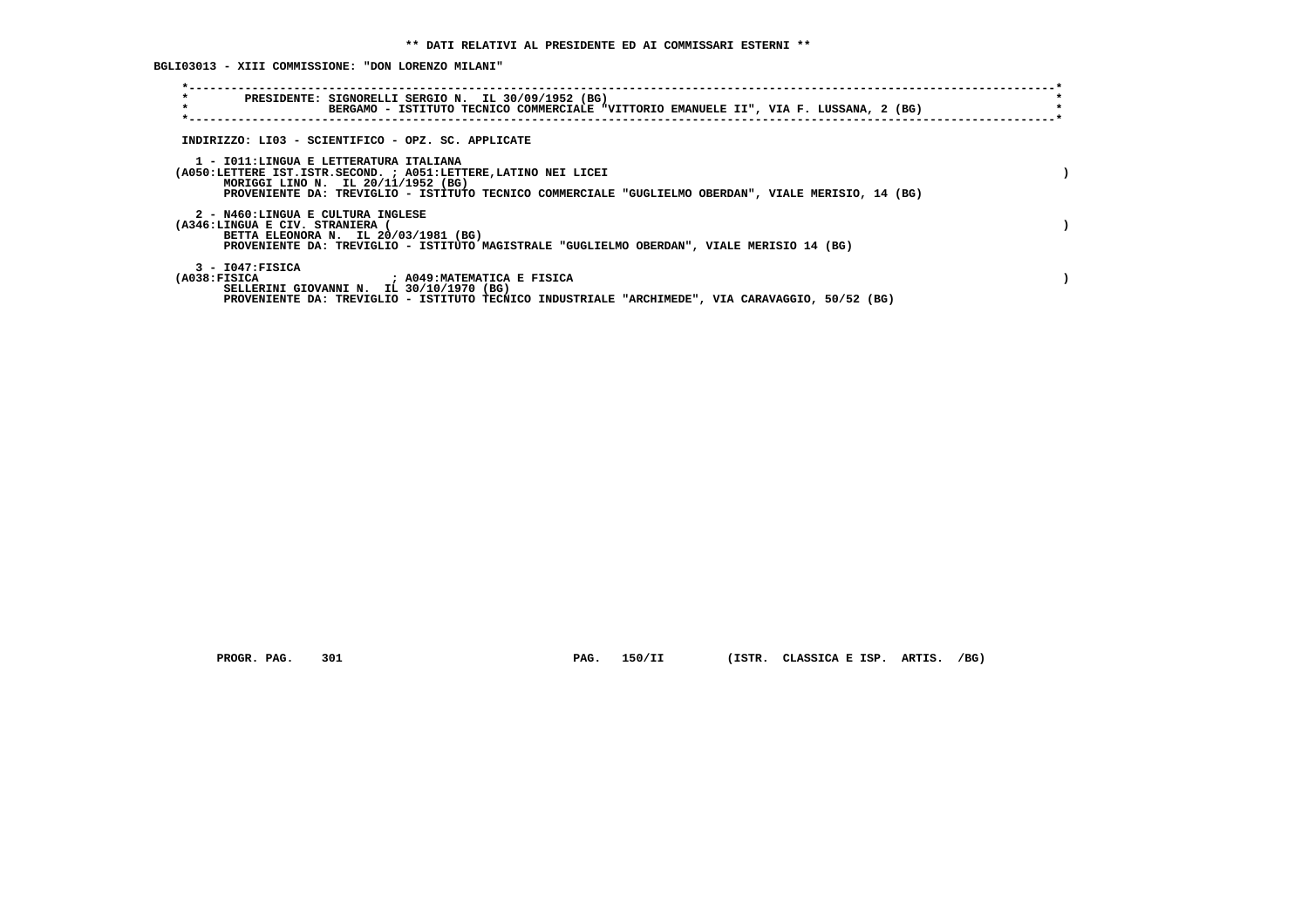**BGLI03013 - XIII COMMISSIONE: "DON LORENZO MILANI"**

| $\star$<br>$\star$                                                   | PRESIDENTE: SIGNORELLI SERGIO N. IL 30/09/1952 (BG)<br>BERGAMO - ISTITUTO TECNICO COMMERCIALE "VITTORIO EMANUELE II", VIA F. LUSSANA, 2 (BG)                                                                  |  |
|----------------------------------------------------------------------|---------------------------------------------------------------------------------------------------------------------------------------------------------------------------------------------------------------|--|
|                                                                      | INDIRIZZO: LI03 - SCIENTIFICO - OPZ. SC. APPLICATE                                                                                                                                                            |  |
| 1 - IO11:LINGUA E LETTERATURA ITALIANA                               | (A050:LETTERE IST.ISTR.SECOND. ; A051:LETTERE, LATINO NEI LICEI<br>MORIGGI LINO N. IL 20/11/1952 (BG)<br>PROVENIENTE DA: TREVIGLIO - ISTITUTO TECNICO COMMERCIALE "GUGLIELMO OBERDAN", VIALE MERISIO, 14 (BG) |  |
| 2 - N460:LINGUA E CULTURA INGLESE<br>(A346:LINGUA E CIV. STRANIERA ( | BETTA ELEONORA N. IL 20/03/1981 (BG)<br>PROVENIENTE DA: TREVIGLIO - ISTITUTO MAGISTRALE "GUGLIELMO OBERDAN", VIALE MERISIO 14 (BG)                                                                            |  |
| $3 - 1047:$ FISICA<br>(A038:FISICA                                   | ; A049:MATEMATICA E FISICA<br>SELLERINI GIOVANNI N. IL 30/10/1970 (BG)<br>PROVENIENTE DA: TREVIGLIO - ISTITUTO TECNICO INDUSTRIALE "ARCHIMEDE", VIA CARAVAGGIO, 50/52 (BG)                                    |  |

 **PROGR. PAG. 301 PAG. 150/II (ISTR. CLASSICA E ISP. ARTIS. /BG)**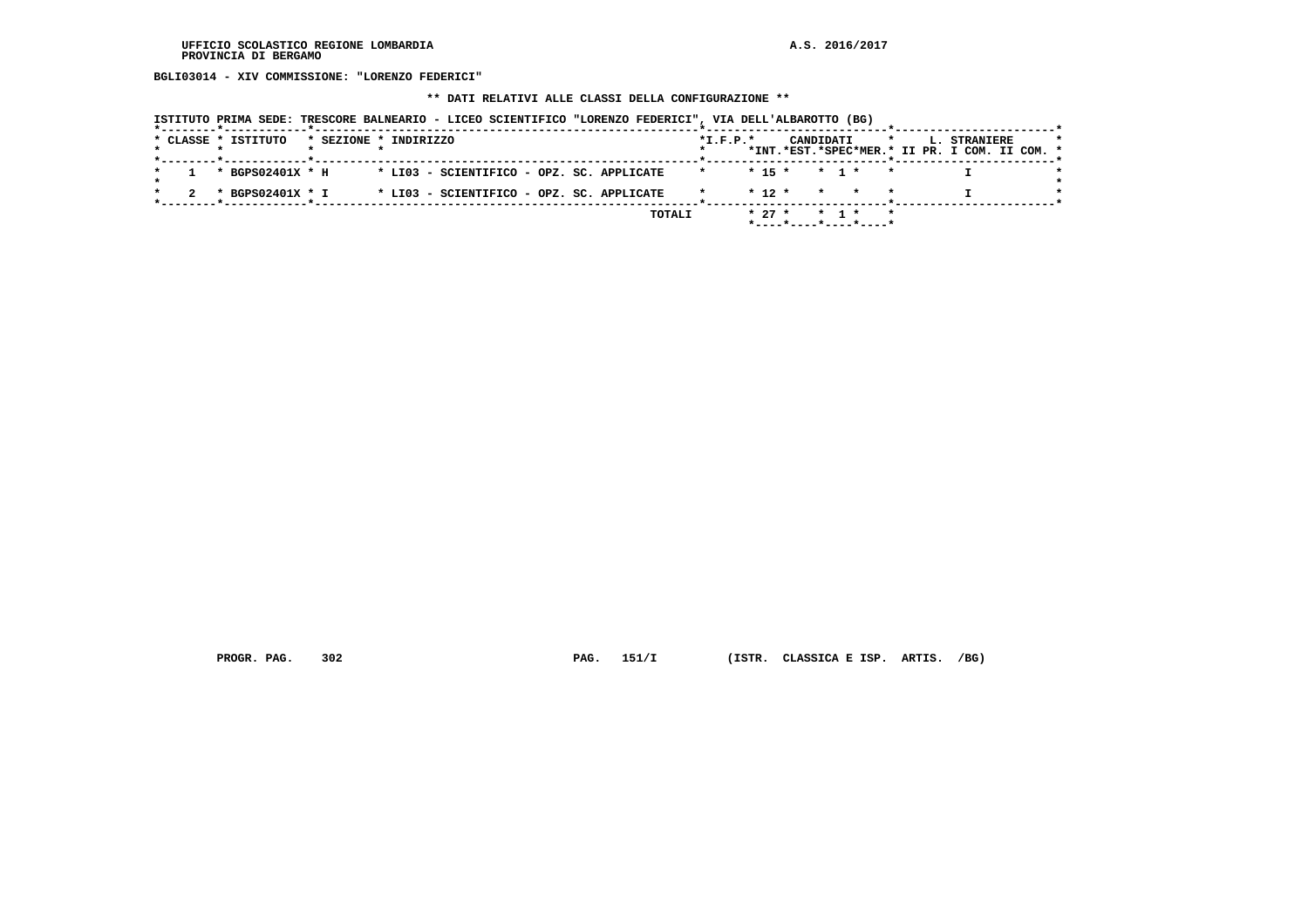**BGLI03014 - XIV COMMISSIONE: "LORENZO FEDERICI"**

 **\*\* DATI RELATIVI ALLE CLASSI DELLA CONFIGURAZIONE \*\***

|                     | ISTITUTO PRIMA SEDE: TRESCORE BALNEARIO - LICEO SCIENTIFICO "LORENZO FEDERICI", VIA DELL'ALBAROTTO (BG) |                                                                                                                            |
|---------------------|---------------------------------------------------------------------------------------------------------|----------------------------------------------------------------------------------------------------------------------------|
| * CLASSE * ISTITUTO | * SEZIONE * INDIRIZZO                                                                                   | $*L.F.P.*$<br>CANDIDATI<br>$\mathbf{H}$<br><b>L. STRANIERE</b><br>$\star$<br>*INT.*EST.*SPEC*MER.* II PR. I COM. II COM. * |
| * BGPS02401X * H    | * LI03 - SCIENTIFICO - OPZ. SC. APPLICATE                                                               | * * 15 * * 1 *                                                                                                             |
| * BGPS02401X * I    | * LI03 - SCIENTIFICO - OPZ. SC. APPLICATE                                                               | $*$ 12 $*$<br>* * *                                                                                                        |
|                     |                                                                                                         | TOTALI<br>$* 27 *$<br>* 1 *<br>*----*----*----*----*                                                                       |

 **PROGR. PAG. 302 PAG. 151/I (ISTR. CLASSICA E ISP. ARTIS. /BG)**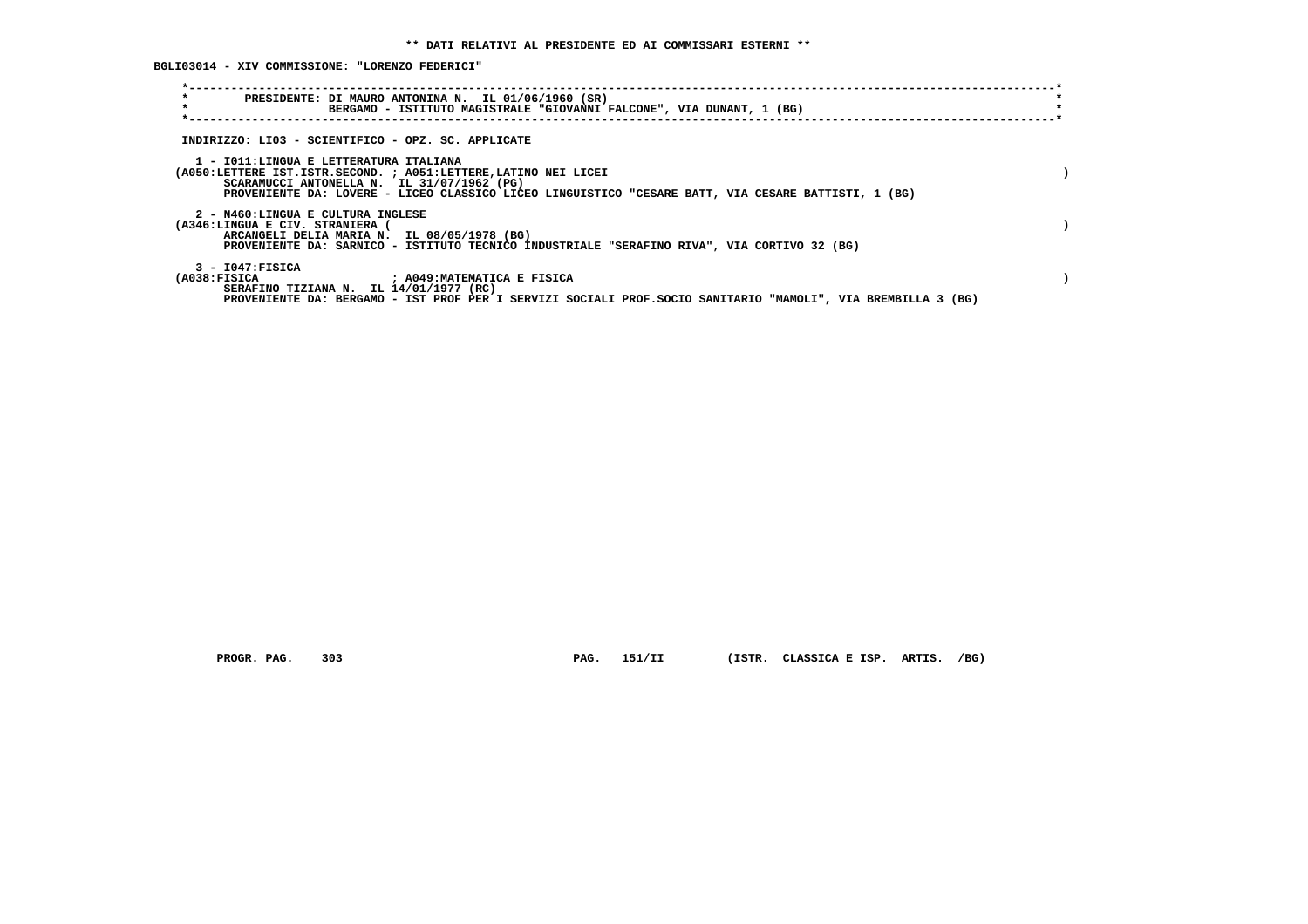**BGLI03014 - XIV COMMISSIONE: "LORENZO FEDERICI"**

| $\star$<br>PRESIDENTE: DI MAURO ANTONINA N. IL 01/06/1960 (SR)<br>$\star$<br>BERGAMO - ISTITUTO MAGISTRALE "GIOVANNI FALCONE", VIA DUNANT, 1 (BG)                                                                                                              |  |
|----------------------------------------------------------------------------------------------------------------------------------------------------------------------------------------------------------------------------------------------------------------|--|
| INDIRIZZO: LI03 - SCIENTIFICO - OPZ. SC. APPLICATE                                                                                                                                                                                                             |  |
| 1 - IO11:LINGUA E LETTERATURA ITALIANA<br>(A050:LETTERE IST.ISTR.SECOND. ; A051:LETTERE, LATINO NEI LICEI<br>SCARAMUCCI ANTONELLA N. IL 31/07/1962 (PG)<br>PROVENIENTE DA: LOVERE - LICEO CLASSICO LICEO LINGUISTICO "CESARE BATT, VIA CESARE BATTISTI, 1 (BG) |  |
| 2 - N460:LINGUA E CULTURA INGLESE<br>(A346:LINGUA E CIV. STRANIERA (<br>ARCANGELI DELIA MARIA N. IL 08/05/1978 (BG)<br>PROVENIENTE DA: SARNICO - ISTITUTO TECNICO INDUSTRIALE "SERAFINO RIVA", VIA CORTIVO 32 (BG)                                             |  |
| 3 - I047:FISICA<br>(A038:FISICA ) ; A049:MATEMATICA E FISICA<br>SERAFINO TIZIANA N. IL 14/01/1977 (RC)<br>PROVENIENTE DA: BERGAMO - IST PROF PER I SERVIZI SOCIALI PROF. SOCIO SANITARIO "MAMOLI", VIA BREMBILLA 3 (BG)                                        |  |

 **PROGR. PAG. 303 PAG. 151/II (ISTR. CLASSICA E ISP. ARTIS. /BG)**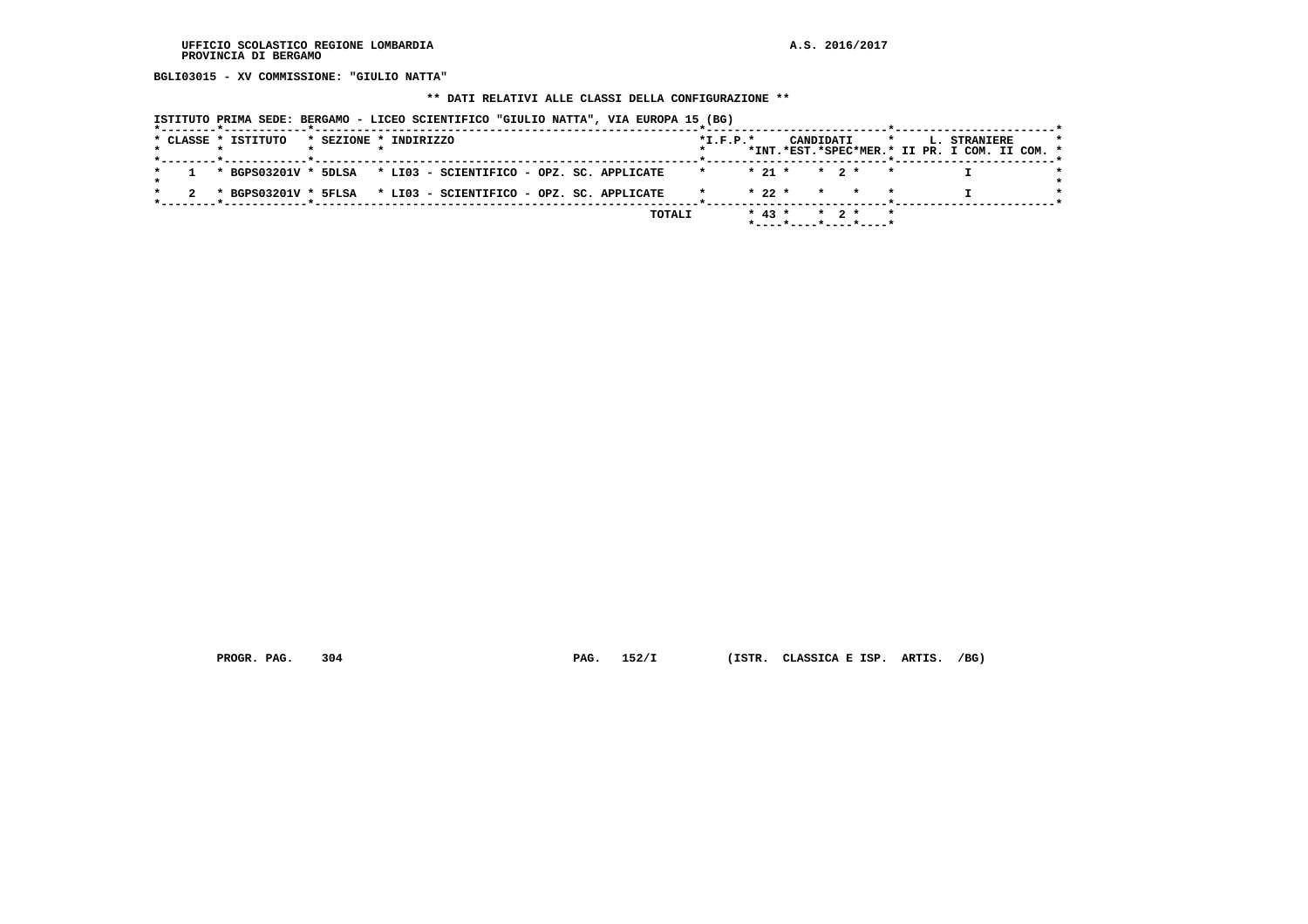**BGLI03015 - XV COMMISSIONE: "GIULIO NATTA"**

### **\*\* DATI RELATIVI ALLE CLASSI DELLA CONFIGURAZIONE \*\***

 **ISTITUTO PRIMA SEDE: BERGAMO - LICEO SCIENTIFICO "GIULIO NATTA", VIA EUROPA 15 (BG)**

|  | * CLASSE * ISTITUTO |  | * SEZIONE * INDIRIZZO                                            |  |        | $*T.F.P.*$               |  | CANDIDATI *                                |  |  | <b>L. STRANIERE</b>                           |  |
|--|---------------------|--|------------------------------------------------------------------|--|--------|--------------------------|--|--------------------------------------------|--|--|-----------------------------------------------|--|
|  |                     |  |                                                                  |  |        |                          |  |                                            |  |  | *INT.*EST.*SPEC*MER.* II PR. I COM. II COM. * |  |
|  |                     |  | 1 * BGPS03201V * 5DLSA * LI03 - SCIENTIFICO - OPZ. SC. APPLICATE |  |        | $*$ $*$ 21 $*$ 2 $*$ $*$ |  |                                            |  |  |                                               |  |
|  |                     |  | 2 * BGPS03201V * 5FLSA * LI03 - SCIENTIFICO - OPZ. SC. APPLICATE |  |        |                          |  | $\star$ 22 $\star$ $\star$ $\star$ $\star$ |  |  |                                               |  |
|  |                     |  |                                                                  |  |        |                          |  |                                            |  |  |                                               |  |
|  |                     |  |                                                                  |  | TOTALI |                          |  | $* 43 * * 2 * * *$                         |  |  |                                               |  |
|  |                     |  |                                                                  |  |        |                          |  | *----*----*----*----*                      |  |  |                                               |  |

 **PROGR. PAG. 304 PAG. 152/I (ISTR. CLASSICA E ISP. ARTIS. /BG)**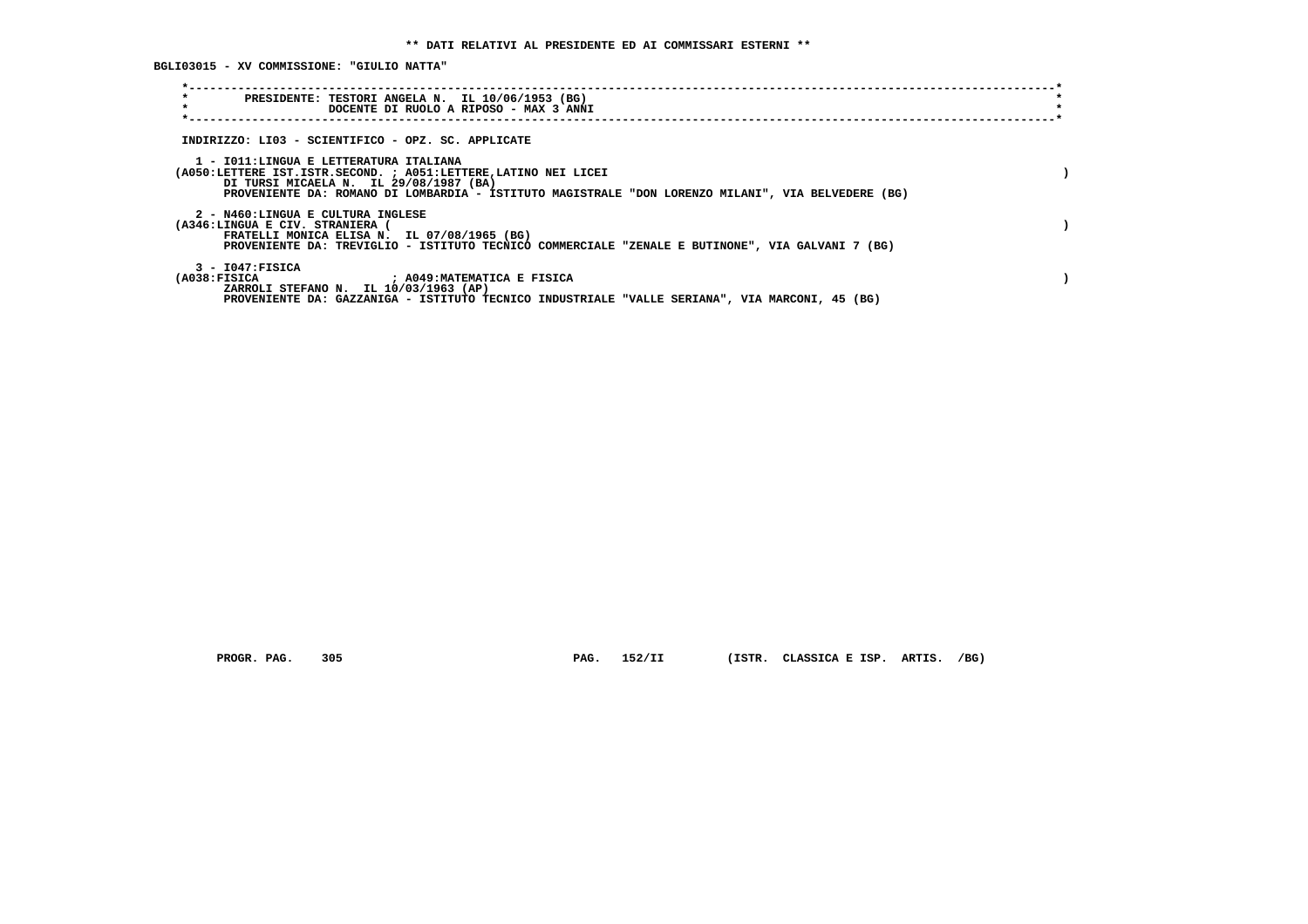**BGLI03015 - XV COMMISSIONE: "GIULIO NATTA"**

| $\star$<br>PRESIDENTE: TESTORI ANGELA N. IL 10/06/1953 (BG)<br>$\star$<br>DOCENTE DI RUOLO A RIPOSO - MAX 3 ANNI                                                                                                                                           |  |
|------------------------------------------------------------------------------------------------------------------------------------------------------------------------------------------------------------------------------------------------------------|--|
| INDIRIZZO: LI03 - SCIENTIFICO - OPZ. SC. APPLICATE                                                                                                                                                                                                         |  |
| 1 - IO11: LINGUA E LETTERATURA ITALIANA<br>(A050:LETTERE IST.ISTR.SECOND. ; A051:LETTERE, LATINO NEI LICEI<br>DI TURSI MICAELA N. IL 29/08/1987 (BA)<br>PROVENIENTE DA: ROMANO DI LOMBARDIA - ISTITUTO MAGISTRALE "DON LORENZO MILANI", VIA BELVEDERE (BG) |  |
| 2 - N460:LINGUA E CULTURA INGLESE<br>(A346:LINGUA E CIV. STRANIERA (<br>FRATELLI MONICA ELISA N. IL 07/08/1965 (BG)<br>PROVENIENTE DA: TREVIGLIO - ISTITUTO TECNICO COMMERCIALE "ZENALE E BUTINONE", VIA GALVANI 7 (BG)                                    |  |
| $3 - 1047:$ FISICA<br>(A038:FISICA<br>; A049:MATEMATICA E FISICA<br>ZARROLI STEFANO N. IL 10/03/1963 (AP)<br>PROVENIENTE DA: GAZZANIGA - ISTITUTO TECNICO INDUSTRIALE "VALLE SERIANA", VIA MARCONI, 45 (BG)                                                |  |

 **PROGR. PAG. 305 PAG. 152/II (ISTR. CLASSICA E ISP. ARTIS. /BG)**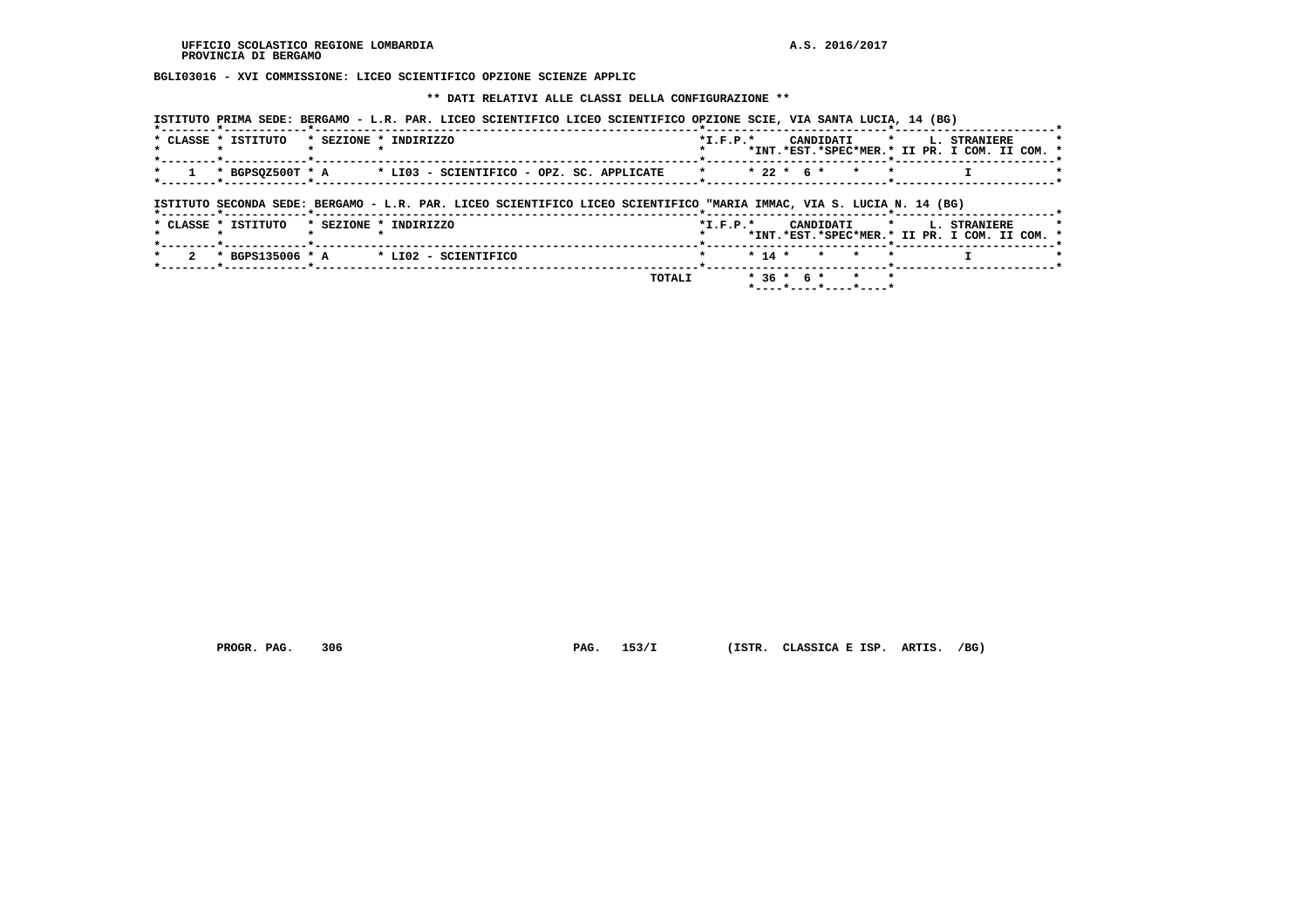**BGLI03016 - XVI COMMISSIONE: LICEO SCIENTIFICO OPZIONE SCIENZE APPLIC**

 **\*\* DATI RELATIVI ALLE CLASSI DELLA CONFIGURAZIONE \*\***

| ISTITUTO PRIMA SEDE: BERGAMO - L.R. PAR. LICEO SCIENTIFICO LICEO SCIENTIFICO OPZIONE SCIE, VIA SANTA LUCIA, 14 (BG)  |                                                                                                                                     |
|----------------------------------------------------------------------------------------------------------------------|-------------------------------------------------------------------------------------------------------------------------------------|
| * CLASSE * ISTITUTO * SEZIONE * INDIRIZZO                                                                            | $*L.F.P.*$<br>CANDIDATI * L. STRANIERE<br>*INT.*EST.*SPEC*MER.* II PR. I COM. II COM. *<br>.______ <b>*</b> _______________________ |
| 1 * BGPSQZ500T * A * LI03 - SCIENTIFICO - OPZ. SC. APPLICATE * * * 22 * 6 * * *                                      |                                                                                                                                     |
| ISTITUTO SECONDA SEDE: BERGAMO - L.R. PAR. LICEO SCIENTIFICO LICEO SCIENTIFICO "MARIA IMMAC, VIA S. LUCIA N. 14 (BG) |                                                                                                                                     |
| $\pm$ at the $\pm$ thermum $\pm$ and thus $\pm$ thermum                                                              | $\cdots$<br>$\sim$<br>10003377000                                                                                                   |

|  |  | * CLASSE * ISTITUTO |  | * SEZIONE * INDIRIZZO                                             | $*T$ , $F$ , $D$ , $*$ |  |  |                     |  | CANDIDATI * I. STRANIERE                      |  |  |
|--|--|---------------------|--|-------------------------------------------------------------------|------------------------|--|--|---------------------|--|-----------------------------------------------|--|--|
|  |  |                     |  |                                                                   |                        |  |  |                     |  | *INT.*EST.*SPEC*MER.* II PR. I COM. II COM. * |  |  |
|  |  |                     |  |                                                                   |                        |  |  |                     |  |                                               |  |  |
|  |  |                     |  | $\star$ 2 $\star$ BGPS135006 $\star$ A $\star$ LI02 - SCIENTIFICO | * * 14 * * * *         |  |  |                     |  |                                               |  |  |
|  |  |                     |  | TOTAI.T                                                           |                        |  |  | $*36 * 6 * * * * *$ |  |                                               |  |  |
|  |  |                     |  |                                                                   |                        |  |  |                     |  |                                               |  |  |

 **PROGR. PAG. 306 PAG. 153/I (ISTR. CLASSICA E ISP. ARTIS. /BG)**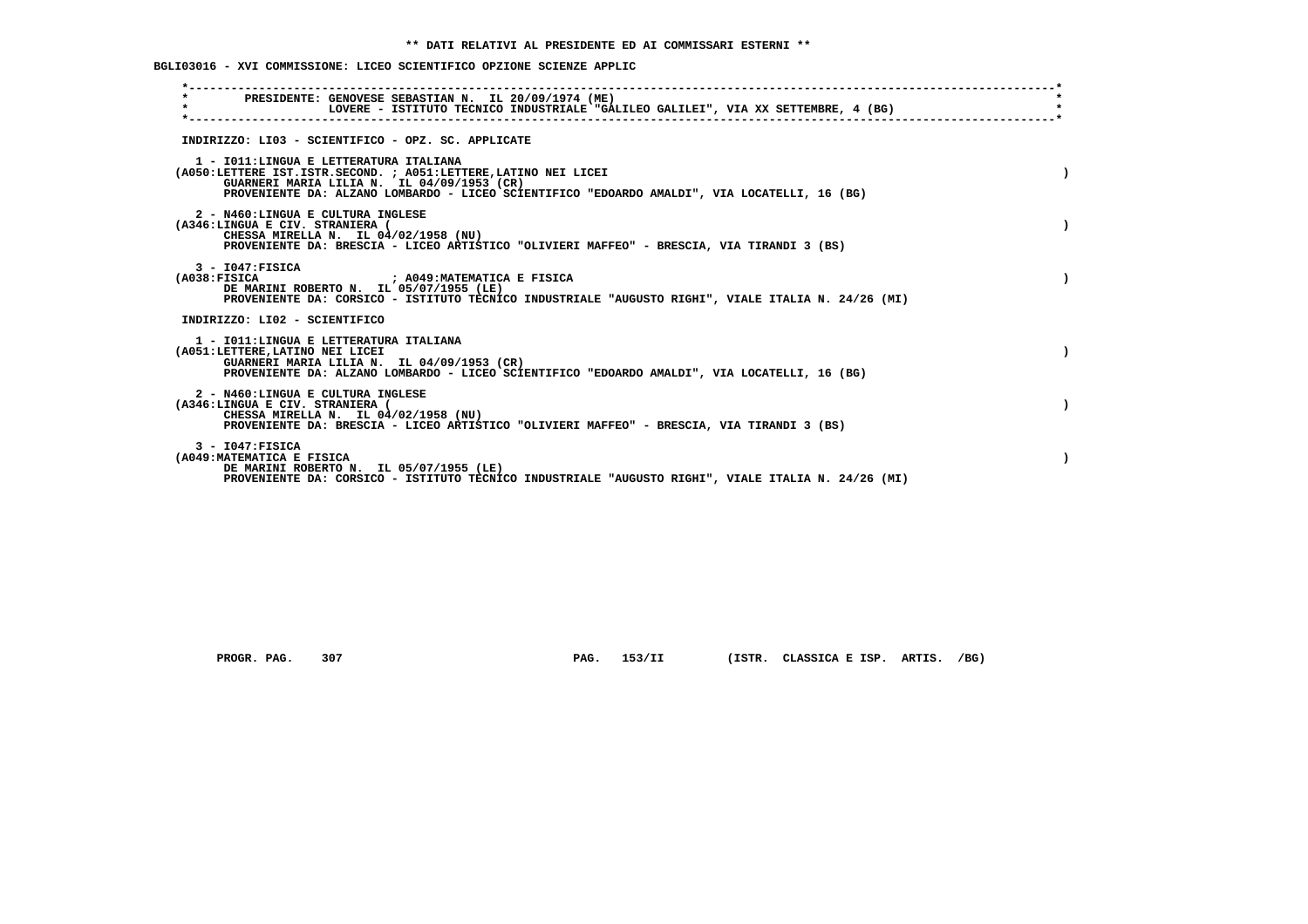**BGLI03016 - XVI COMMISSIONE: LICEO SCIENTIFICO OPZIONE SCIENZE APPLIC**

| PRESIDENTE: GENOVESE SEBASTIAN N. IL 20/09/1974 (ME)<br>$\star$<br>LOVERE - ISTITUTO TECNICO INDUSTRIALE "GALILEO GALILEI", VIA XX SETTEMBRE, 4 (BG)                                                                                                     |  |
|----------------------------------------------------------------------------------------------------------------------------------------------------------------------------------------------------------------------------------------------------------|--|
| INDIRIZZO: LI03 - SCIENTIFICO - OPZ. SC. APPLICATE                                                                                                                                                                                                       |  |
| 1 - IO11: LINGUA E LETTERATURA ITALIANA<br>(A050:LETTERE IST.ISTR.SECOND. ; A051:LETTERE, LATINO NEI LICEI<br>GUARNERI MARIA LILIA N. IL 04/09/1953 (CR)<br>PROVENIENTE DA: ALZANO LOMBARDO - LICEO SCIENTIFICO "EDOARDO AMALDI", VIA LOCATELLI, 16 (BG) |  |
| 2 - N460:LINGUA E CULTURA INGLESE<br>(A346:LINGUA E CIV. STRANIERA (<br>CHESSA MIRELLA N. IL 04/02/1958 (NU)<br>PROVENIENTE DA: BRESCIA - LICEO ARTISTICO "OLIVIERI MAFFEO" - BRESCIA, VIA TIRANDI 3 (BS)                                                |  |
| $3 - 1047:$ FISICA<br>(A038:FTSTCA<br>: A049:MATEMATICA E FISICA<br>DE MARINI ROBERTO N. IL 05/07/1955 (LE)<br>PROVENIENTE DA: CORSICO - ISTITUTO TECNICO INDUSTRIALE "AUGUSTO RIGHI", VIALE ITALIA N. 24/26 (MI)                                        |  |
| INDIRIZZO: LI02 - SCIENTIFICO                                                                                                                                                                                                                            |  |
| 1 - IO11: LINGUA E LETTERATURA ITALIANA<br>(A051:LETTERE, LATINO NEI LICEI<br>GUARNERI MARIA LILIA N. IL 04/09/1953 (CR)<br>PROVENIENTE DA: ALZANO LOMBARDO - LICEO SCIENTIFICO "EDOARDO AMALDI", VIA LOCATELLI, 16 (BG)                                 |  |
| 2 - N460:LINGUA E CULTURA INGLESE<br>(A346:LINGUA E CIV. STRANIERA (<br>CHESSA MIRELLA N. IL 04/02/1958 (NU)<br>PROVENIENTE DA: BRESCIA - LICEO ARTISTICO "OLIVIERI MAFFEO" - BRESCIA, VIA TIRANDI 3 (BS)                                                |  |
| $3 - 1047:$ FISICA<br>(A049: MATEMATICA E FISICA<br>DE MARINI ROBERTO N. IL 05/07/1955 (LE)<br>PROVENIENTE DA: CORSICO - ISTITUTO TECNICO INDUSTRIALE "AUGUSTO RIGHI", VIALE ITALIA N. 24/26 (MI)                                                        |  |

 **PROGR. PAG. 307 PAG. 153/II (ISTR. CLASSICA E ISP. ARTIS. /BG)**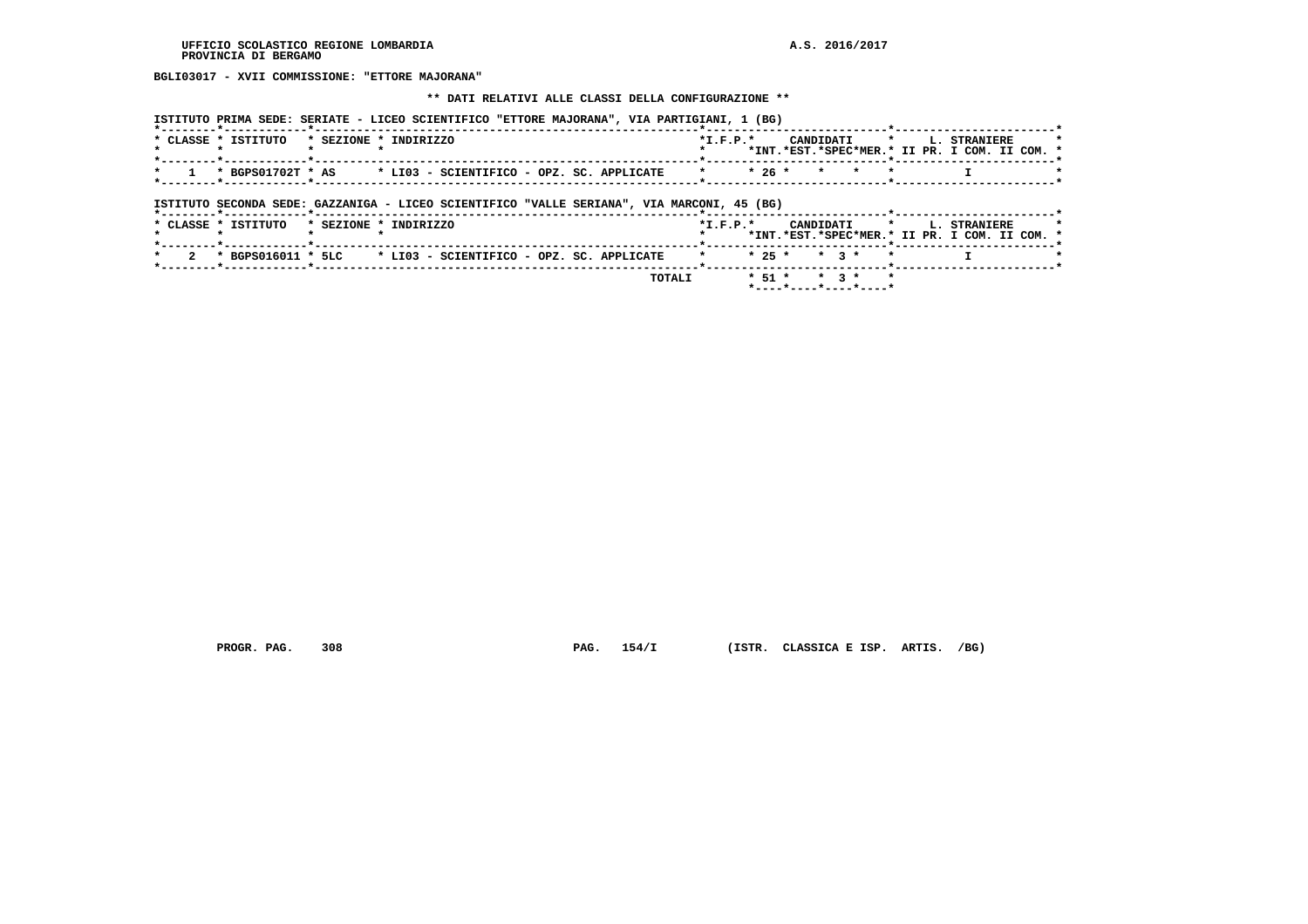**BGLI03017 - XVII COMMISSIONE: "ETTORE MAJORANA"**

#### **\*\* DATI RELATIVI ALLE CLASSI DELLA CONFIGURAZIONE \*\***

|  | ISTITUTO PRIMA SEDE: SERIATE - LICEO SCIENTIFICO "ETTORE MAJORANA", VIA PARTIGIANI, 1 (BG) |  |
|--|--------------------------------------------------------------------------------------------|--|
|  |                                                                                            |  |

| * CLASSE * ISTITUTO<br>$*$ SEZIONE $*$ | INDIRIZZO                                 | $*T.F.P.*$      | CANDIDATI * L. STRANIERE                      |  |
|----------------------------------------|-------------------------------------------|-----------------|-----------------------------------------------|--|
|                                        |                                           |                 | *TNT.*EST.*SPEC*MER.* IT PR. T COM. TT COM. * |  |
|                                        |                                           |                 |                                               |  |
| * BGPS01702T * AS                      | * LI03 - SCIENTIFICO - OPZ. SC. APPLICATE | $\star$ $\star$ | $\star$ 26 $\star$ $\star$ $\star$ $\star$    |  |
|                                        |                                           |                 |                                               |  |

 **ISTITUTO SECONDA SEDE: GAZZANIGA - LICEO SCIENTIFICO "VALLE SERIANA", VIA MARCONI, 45 (BG)**

|  |  | * CLASSE * ISTITUTO | * SEZIONE * INDIRIZZO |  |                                                                     |  |               | $*T.F.P.*$       |                    |  | CANDIDATI * |  | <b>L. STRANIERE</b><br>*INT.*EST.*SPEC*MER.* II PR. I COM. II COM. * |  |  |
|--|--|---------------------|-----------------------|--|---------------------------------------------------------------------|--|---------------|------------------|--------------------|--|-------------|--|----------------------------------------------------------------------|--|--|
|  |  |                     |                       |  | 2 * BGPS016011 * 5LC $\,$ * LI03 - SCIENTIFICO - OPZ. SC. APPLICATE |  |               | * * 25 * * 3 * * |                    |  |             |  |                                                                      |  |  |
|  |  |                     |                       |  |                                                                     |  | <b>TOTALI</b> |                  | $* 51 * * 3 * * *$ |  |             |  |                                                                      |  |  |

 **PROGR. PAG. 308 PAG. 154/I (ISTR. CLASSICA E ISP. ARTIS. /BG)**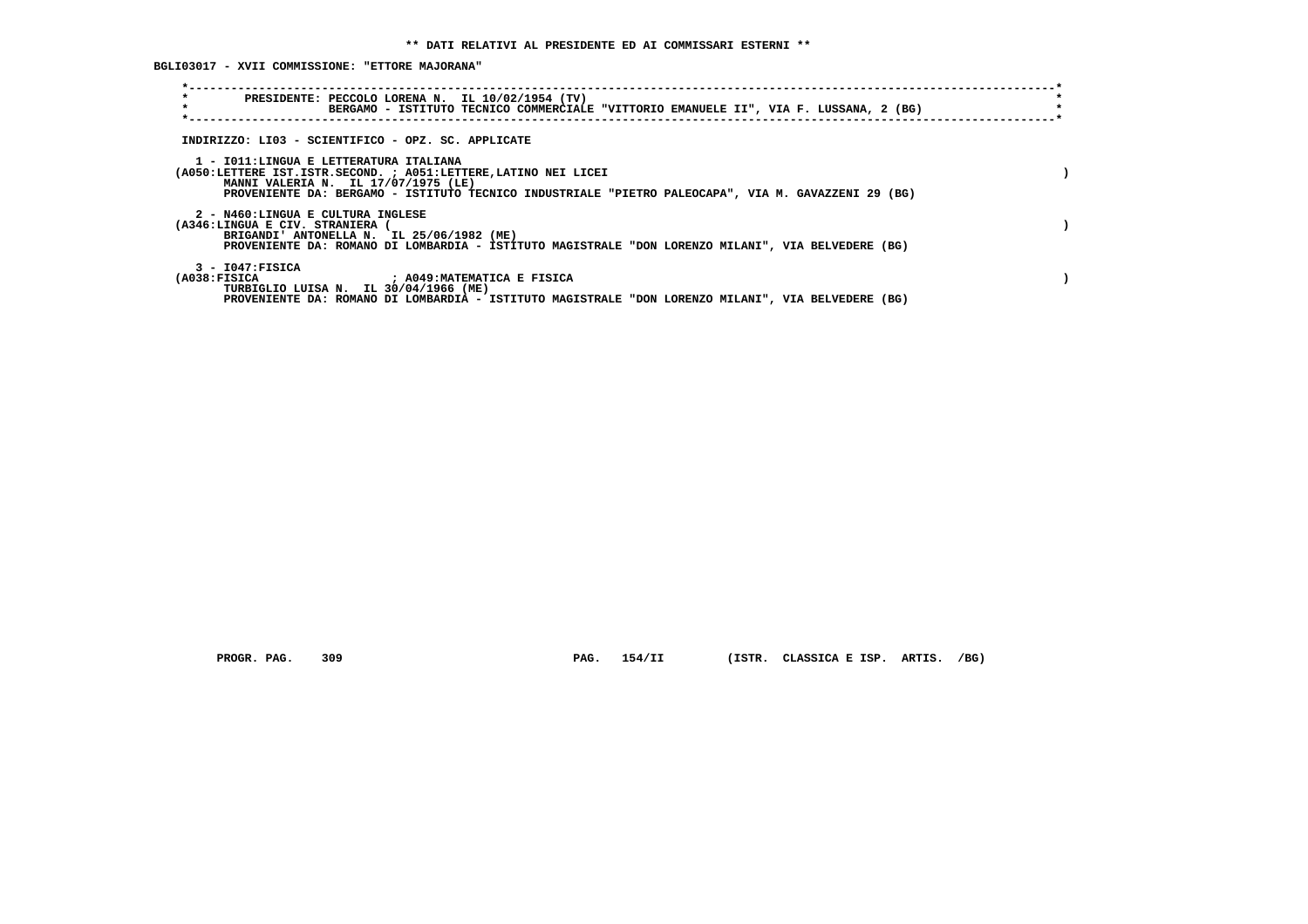**BGLI03017 - XVII COMMISSIONE: "ETTORE MAJORANA"**

| $\star$<br>PRESIDENTE: PECCOLO LORENA N. IL 10/02/1954 (TV)<br>$\star$<br>BERGAMO - ISTITUTO TECNICO COMMERCIALE "VITTORIO EMANUELE II", VIA F. LUSSANA, 2 (BG)                                                                                          |  |
|----------------------------------------------------------------------------------------------------------------------------------------------------------------------------------------------------------------------------------------------------------|--|
| INDIRIZZO: LI03 - SCIENTIFICO - OPZ. SC. APPLICATE                                                                                                                                                                                                       |  |
| 1 - IO11: LINGUA E LETTERATURA ITALIANA<br>(A050:LETTERE IST.ISTR.SECOND. ; A051:LETTERE, LATINO NEI LICEI<br>MANNI VALERIA N. IL 17/07/1975 (LE)<br>PROVENIENTE DA: BERGAMO - ISTITUTO TECNICO INDUSTRIALE "PIETRO PALEOCAPA", VIA M. GAVAZZENI 29 (BG) |  |
| 2 - N460:LINGUA E CULTURA INGLESE<br>(A346:LINGUA E CIV. STRANIERA (<br>BRIGANDI' ANTONELLA N. IL 25/06/1982 (ME)<br>PROVENIENTE DA: ROMANO DI LOMBARDIA - ISTITUTO MAGISTRALE "DON LORENZO MILANI", VIA BELVEDERE (BG)                                  |  |
| $3 - 1047:$ FISICA<br>(A038:FISICA<br>; A049:MATEMATICA E FISICA<br>TURBIGLIO LUISA N. IL 30/04/1966 (ME)<br>PROVENIENTE DA: ROMANO DI LOMBARDIA - ISTITUTO MAGISTRALE "DON LORENZO MILANI", VIA BELVEDERE (BG)                                          |  |

 **PROGR. PAG. 309 PAG. 154/II (ISTR. CLASSICA E ISP. ARTIS. /BG)**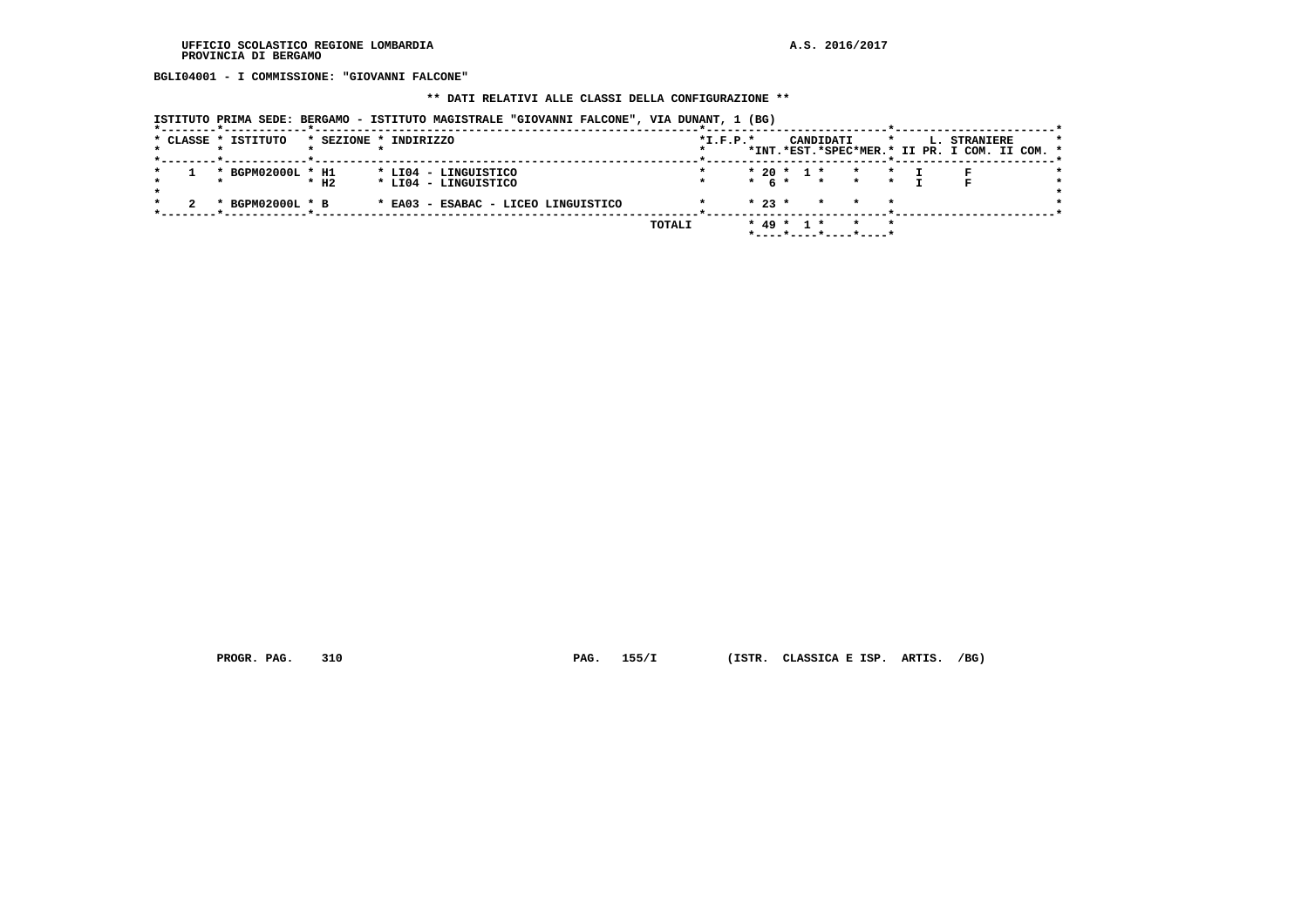**BGLI04001 - I COMMISSIONE: "GIOVANNI FALCONE"**

### **\*\* DATI RELATIVI ALLE CLASSI DELLA CONFIGURAZIONE \*\***

|  | * CLASSE * ISTITUTO |                    | * SEZIONE * INDIRIZZO               | $*L.F.P.*$ |              |  | CANDIDATI         |                                                    | $\star$ | L. STRANIERE<br>*INT.*EST.*SPEC*MER.* II PR. I COM. II COM. * |  |
|--|---------------------|--------------------|-------------------------------------|------------|--------------|--|-------------------|----------------------------------------------------|---------|---------------------------------------------------------------|--|
|  |                     |                    |                                     |            |              |  |                   |                                                    |         |                                                               |  |
|  | * BGPM02000L * H1   |                    | * LI04 - LINGUISTICO                |            | $* 20 * 1 *$ |  |                   | $\star$<br>$\mathbf{r}$                            |         |                                                               |  |
|  |                     | $*$ H <sub>2</sub> | * LI04 - LINGUISTICO                |            |              |  | $*$ 6 $*$ $*$ $*$ | $\star$                                            |         | P.                                                            |  |
|  | * BGPM02000L * B    |                    | * EA03 - ESABAC - LICEO LINGUISTICO |            | $* 23 *$     |  |                   |                                                    |         |                                                               |  |
|  |                     |                    |                                     | TOTALI     | $* 49 * 1 *$ |  |                   | $\star$<br>$*$ ---- $*$ ---- $*$ ---- $*$ ---- $*$ |         |                                                               |  |

 **ISTITUTO PRIMA SEDE: BERGAMO - ISTITUTO MAGISTRALE "GIOVANNI FALCONE", VIA DUNANT, 1 (BG)**

 **PROGR. PAG. 310 PAG. 155/I (ISTR. CLASSICA E ISP. ARTIS. /BG)**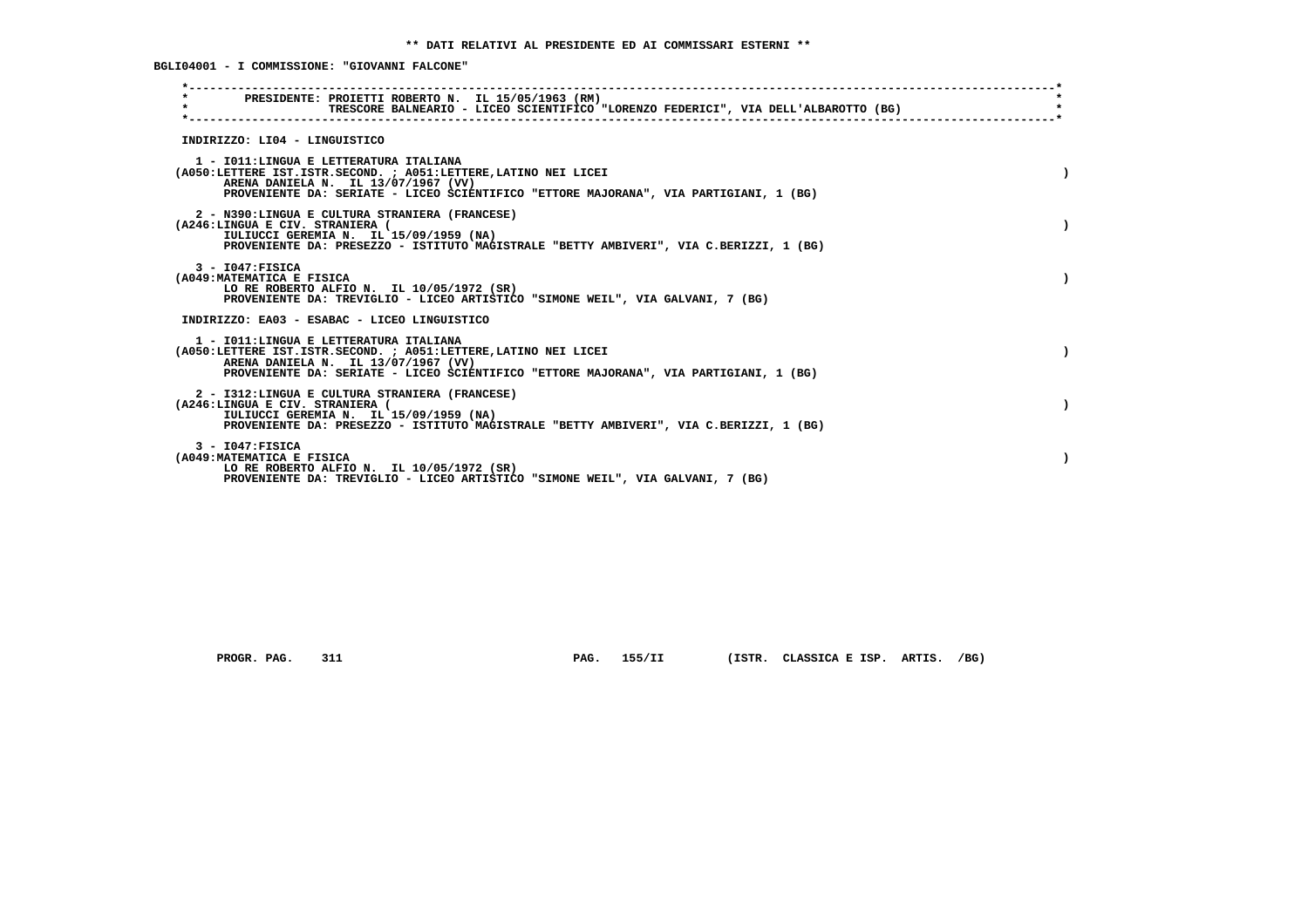**BGLI04001 - I COMMISSIONE: "GIOVANNI FALCONE"**

| $\star$ | PRESIDENTE: PROIETTI ROBERTO N. IL 15/05/1963 (RM)<br>TRESCORE BALNEARIO - LICEO SCIENTIFICO "LORENZO FEDERICI", VIA DELL'ALBAROTTO (BG)                                                                                                   |  |
|---------|--------------------------------------------------------------------------------------------------------------------------------------------------------------------------------------------------------------------------------------------|--|
|         | INDIRIZZO: LI04 - LINGUISTICO                                                                                                                                                                                                              |  |
|         | 1 - IO11: LINGUA E LETTERATURA ITALIANA<br>(A050:LETTERE IST.ISTR.SECOND. ; A051:LETTERE, LATINO NEI LICEI<br>ARENA DANIELA N. IL 13/07/1967 (VV)<br>PROVENIENTE DA: SERIATE - LICEO SCIENTIFICO "ETTORE MAJORANA", VIA PARTIGIANI, 1 (BG) |  |
|         | 2 - N390:LINGUA E CULTURA STRANIERA (FRANCESE)<br>(A246:LINGUA E CIV. STRANIERA (<br>IULIUCCI GEREMIA N. IL 15/09/1959 (NA)<br>PROVENIENTE DA: PRESEZZO - ISTITUTO MAGISTRALE "BETTY AMBIVERI", VIA C.BERIZZI, 1 (BG)                      |  |
|         | $3 - 1047:$ FISICA<br>(A049: MATEMATICA E FISICA<br>LO RE ROBERTO ALFIO N. IL 10/05/1972 (SR)<br>PROVENIENTE DA: TREVIGLIO - LICEO ARTISTICO "SIMONE WEIL", VIA GALVANI, 7 (BG)                                                            |  |
|         | INDIRIZZO: EA03 - ESABAC - LICEO LINGUISTICO                                                                                                                                                                                               |  |
|         | 1 - IO11: LINGUA E LETTERATURA ITALIANA<br>(A050:LETTERE IST.ISTR.SECOND. ; A051:LETTERE, LATINO NEI LICEI<br>ARENA DANIELA N. IL 13/07/1967 (VV)<br>PROVENIENTE DA: SERIATE - LICEO SCIENTIFICO "ETTORE MAJORANA", VIA PARTIGIANI, 1 (BG) |  |
|         | 2 - I312:LINGUA E CULTURA STRANIERA (FRANCESE)<br>(A246:LINGUA E CIV. STRANIERA (<br>IULIUCCI GEREMIA N. IL 15/09/1959 (NA)<br>PROVENIENTE DA: PRESEZZO - ISTITUTO MAGISTRALE "BETTY AMBIVERI", VIA C.BERIZZI, 1 (BG)                      |  |
|         | $3 - 1047:$ FISICA<br>(A049: MATEMATICA E FISICA<br>LO RE ROBERTO ALFIO N. IL 10/05/1972 (SR)<br>PROVENIENTE DA: TREVIGLIO - LICEO ARTISTICO "SIMONE WEIL", VIA GALVANI, 7 (BG)                                                            |  |

 **PROGR. PAG. 311 PAG. 155/II (ISTR. CLASSICA E ISP. ARTIS. /BG)**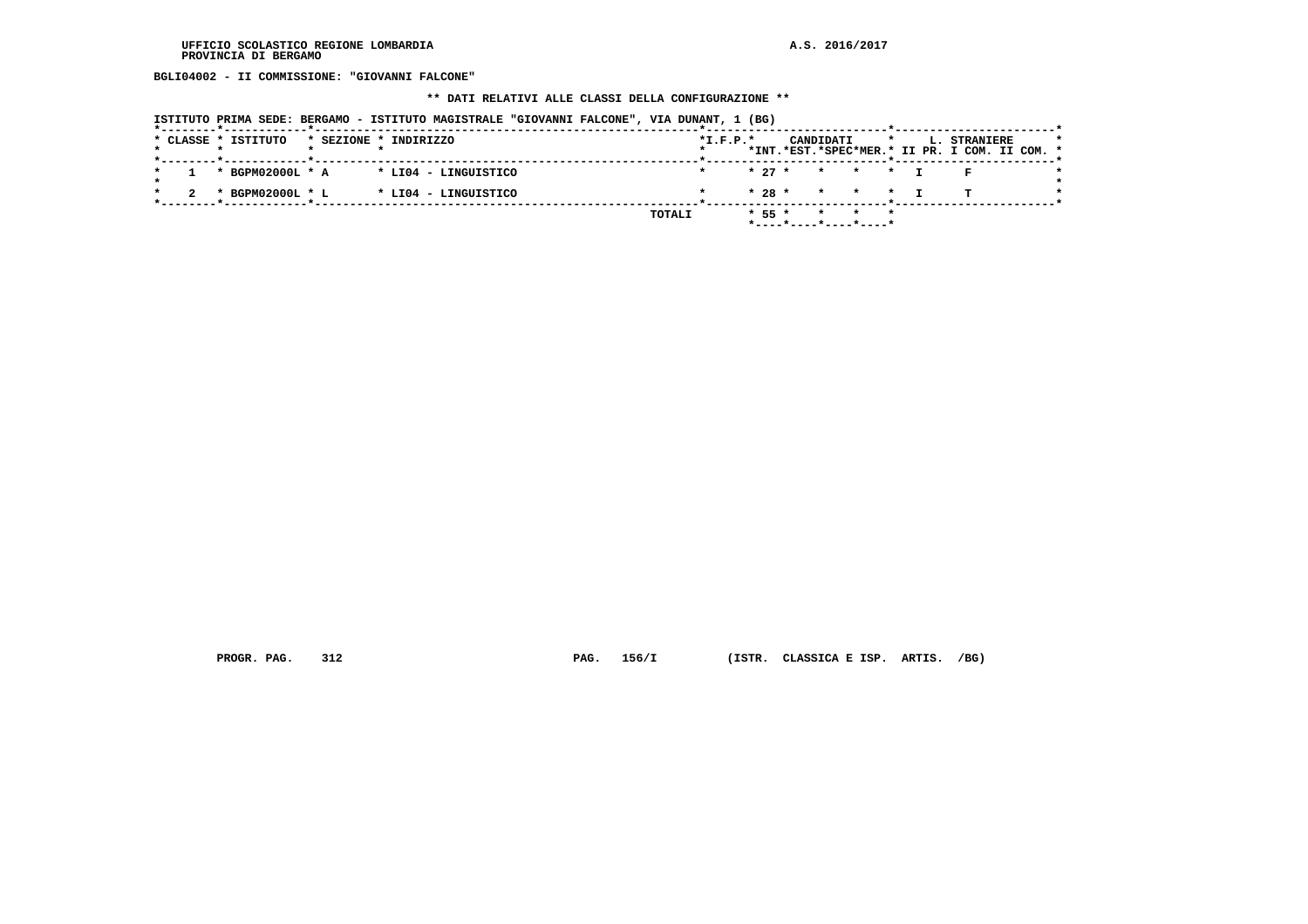**BGLI04002 - II COMMISSIONE: "GIOVANNI FALCONE"**

#### **\*\* DATI RELATIVI ALLE CLASSI DELLA CONFIGURAZIONE \*\***

| ISTITUTO PRIMA SEDE: BERGAMO - ISTITUTO MAGISTRALE "GIOVANNI FALCONE", VIA DUNANT, 1 (BG) |            |                                                                                       |
|-------------------------------------------------------------------------------------------|------------|---------------------------------------------------------------------------------------|
| * CLASSE * ISTITUTO<br>* SEZIONE * INDIRIZZO<br>*--------*------------*------------       | $*L.F.P.*$ | CANDIDATI<br>L. STRANIERE<br>$\star$<br>*INT.*EST.*SPEC*MER.* II PR. I COM. II COM. * |
| * BGPM02000L * A * LI04 - LINGUISTICO                                                     |            | $\star$ $\star$ $\star$<br>$* 27 *$                                                   |
| * BGPM02000L * L<br>* LI04 - LINGUISTICO                                                  |            | $* 28 *$<br>* * * I                                                                   |
|                                                                                           | TOTALI     | $* 55 *$<br>* *<br>$*$ ----*----*----*----*                                           |

 **PROGR. PAG. 312 PAG. 156/I (ISTR. CLASSICA E ISP. ARTIS. /BG)**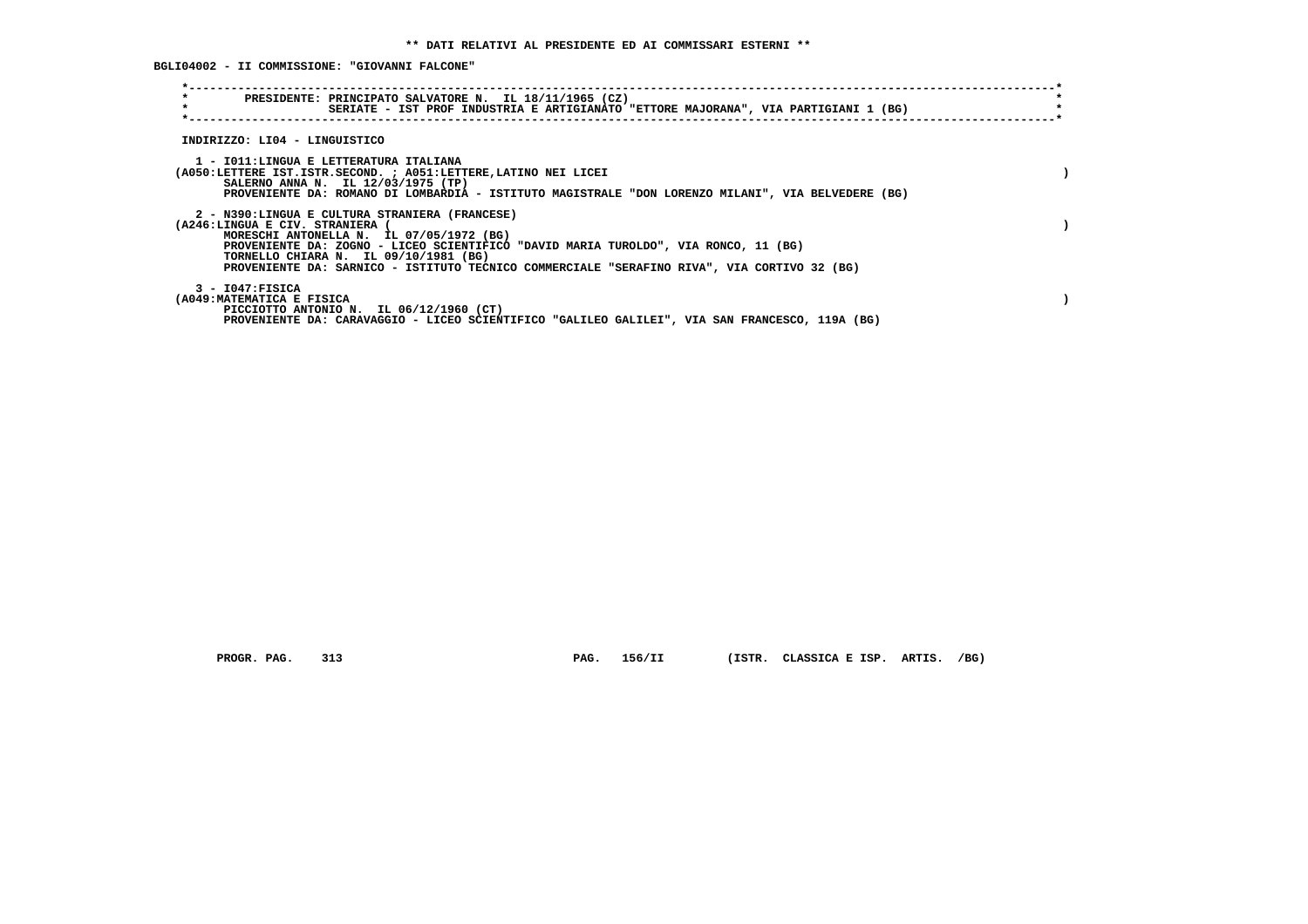**BGLI04002 - II COMMISSIONE: "GIOVANNI FALCONE"**

| $\star$                                          | PRESIDENTE: PRINCIPATO SALVATORE N. IL 18/11/1965 (CZ)<br>SERIATE - IST PROF INDUSTRIA E ARTIGIANATO "ETTORE MAJORANA", VIA PARTIGIANI 1 (BG)                                                                                                                                                                             |  |
|--------------------------------------------------|---------------------------------------------------------------------------------------------------------------------------------------------------------------------------------------------------------------------------------------------------------------------------------------------------------------------------|--|
| INDIRIZZO: LI04 - LINGUISTICO                    |                                                                                                                                                                                                                                                                                                                           |  |
|                                                  | 1 - IO11:LINGUA E LETTERATURA ITALIANA<br>(A050:LETTERE IST.ISTR.SECOND. ; A051:LETTERE, LATINO NEI LICEI<br>SALERNO ANNA N. IL 12/03/1975 (TP)<br>PROVENIENTE DA: ROMANO DI LOMBARDIA - ISTITUTO MAGISTRALE "DON LORENZO MILANI", VIA BELVEDERE (BG)                                                                     |  |
| (A246:LINGUA E CIV. STRANIERA                    | 2 - N390:LINGUA E CULTURA STRANIERA (FRANCESE)<br>MORESCHI ANTONELLA N. IL 07/05/1972 (BG)<br>PROVENIENTE DA: ZOGNO - LICEO SCIENTIFICO "DAVID MARIA TUROLDO", VIA RONCO, 11 (BG)<br>TORNELLO CHIARA N. IL 09/10/1981 (BG)<br>PROVENIENTE DA: SARNICO - ISTITUTO TECNICO COMMERCIALE "SERAFINO RIVA", VIA CORTIVO 32 (BG) |  |
| $3 - 1047:$ FISICA<br>(A049: MATEMATICA E FISICA | PICCIOTTO ANTONIO N. IL 06/12/1960 (CT)<br>PROVENIENTE DA: CARAVAGGIO - LICEO SCIENTIFICO "GALILEO GALILEI", VIA SAN FRANCESCO, 119A (BG)                                                                                                                                                                                 |  |

 **PROGR. PAG. 313 PAG. 156/II (ISTR. CLASSICA E ISP. ARTIS. /BG)**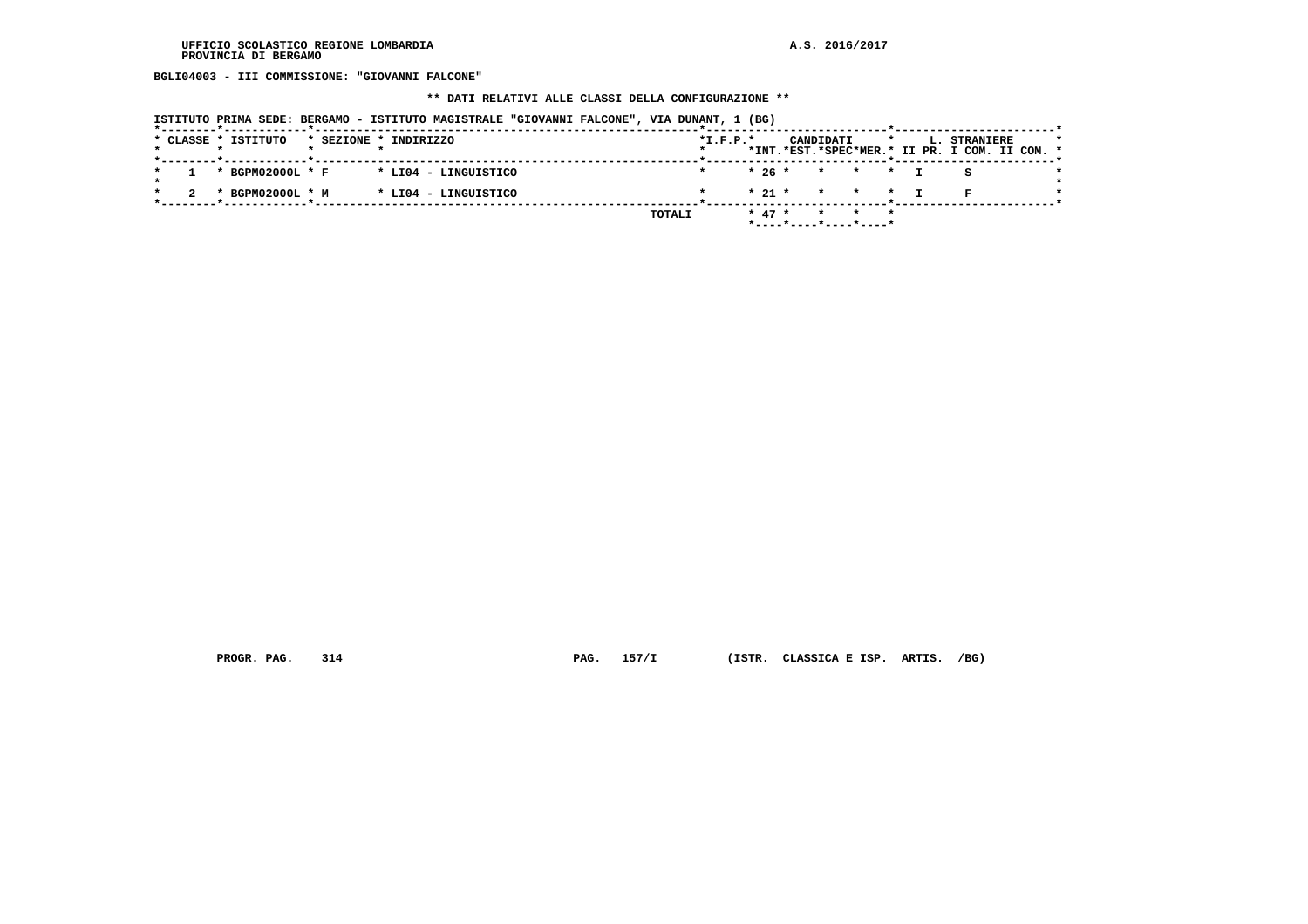**BGLI04003 - III COMMISSIONE: "GIOVANNI FALCONE"**

#### **\*\* DATI RELATIVI ALLE CLASSI DELLA CONFIGURAZIONE \*\***

|  | ISTITUTO PRIMA SEDE: BERGAMO - ISTITUTO MAGISTRALE "GIOVANNI FALCONE", VIA DUNANT, 1 (BG) |                       |                      |  |        |            |          |  |           |                                               |  |                                                                      |  |  |
|--|-------------------------------------------------------------------------------------------|-----------------------|----------------------|--|--------|------------|----------|--|-----------|-----------------------------------------------|--|----------------------------------------------------------------------|--|--|
|  | * CLASSE * ISTITUTO<br>*--------*------------*------------                                | * SEZIONE * INDIRIZZO |                      |  |        | $*I.F.P.*$ |          |  | CANDIDATI |                                               |  | <b>L. STRANIERE</b><br>*INT.*EST.*SPEC*MER.* II PR. I COM. II COM. * |  |  |
|  | * BGPM02000L * F                                                                          |                       | * LI04 - LINGUISTICO |  |        |            |          |  |           | $* 26 * * * * * T$                            |  |                                                                      |  |  |
|  | * BGPM02000L * M                                                                          |                       | * LI04 - LINGUISTICO |  |        |            | $* 21 *$ |  |           | $\star$ $\star$ $\star$                       |  |                                                                      |  |  |
|  |                                                                                           |                       |                      |  | TOTALI |            | $* 47 *$ |  |           | * * *<br>$*$ ---- $*$ ---- $*$ ---- $*$ ----* |  |                                                                      |  |  |

 **PROGR. PAG. 314 PAG. 157/I (ISTR. CLASSICA E ISP. ARTIS. /BG)**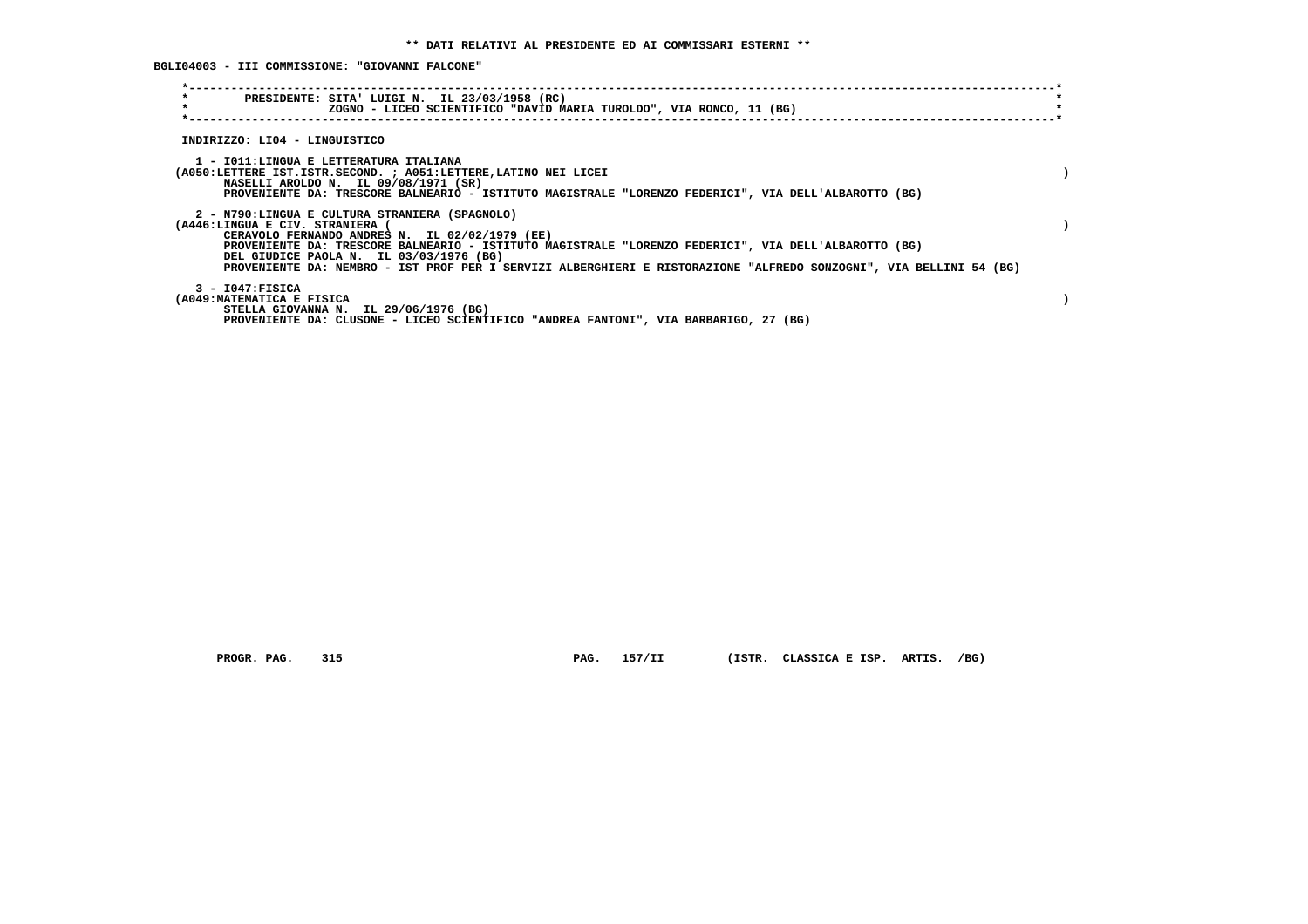**BGLI04003 - III COMMISSIONE: "GIOVANNI FALCONE"**

| $\star$<br>$\star$ | PRESIDENTE: SITA' LUIGI N. IL 23/03/1958 (RC)<br>ZOGNO - LICEO SCIENTIFICO "DAVID MARIA TUROLDO", VIA RONCO, 11 (BG)                                          |
|--------------------|---------------------------------------------------------------------------------------------------------------------------------------------------------------|
|                    | INDIRIZZO: LI04 - LINGUISTICO                                                                                                                                 |
|                    |                                                                                                                                                               |
|                    | 1 - IO11:LINGUA E LETTERATURA ITALIANA<br>(A050:LETTERE IST.ISTR.SECOND. ; A051:LETTERE, LATINO NEI LICEI                                                     |
|                    | NASELLI AROLDO N. IL 09/08/1971 (SR)<br>PROVENIENTE DA: TRESCORE BALNEARIO - ISTITUTO MAGISTRALE "LORENZO FEDERICI", VIA DELL'ALBAROTTO (BG)                  |
|                    |                                                                                                                                                               |
|                    | 2 - N790:LINGUA E CULTURA STRANIERA (SPAGNOLO)<br>(A446:LINGUA E CIV. STRANIERA (                                                                             |
|                    | CERAVOLO FERNANDO ANDRES N. IL 02/02/1979 (EE)                                                                                                                |
|                    | PROVENIENTE DA: TRESCORE BALNEARIO - ISTITUTO MAGISTRALE "LORENZO FEDERICI", VIA DELL'ALBAROTTO (BG)                                                          |
|                    | DEL GIUDICE PAOLA N. IL 03/03/1976 (BG)<br>PROVENIENTE DA: NEMBRO - IST PROF PER I SERVIZI ALBERGHIERI E RISTORAZIONE "ALFREDO SONZOGNI", VIA BELLINI 54 (BG) |
|                    |                                                                                                                                                               |
|                    | $3 - 1047:$ FISICA<br>(A049: MATEMATICA E FISICA                                                                                                              |
|                    | STELLA GIOVANNA N. IL 29/06/1976 (BG)                                                                                                                         |
|                    | PROVENIENTE DA: CLUSONE - LICEO SCIENTIFICO "ANDREA FANTONI", VIA BARBARIGO, 27 (BG)                                                                          |

 **PROGR. PAG. 315 PAG. 157/II (ISTR. CLASSICA E ISP. ARTIS. /BG)**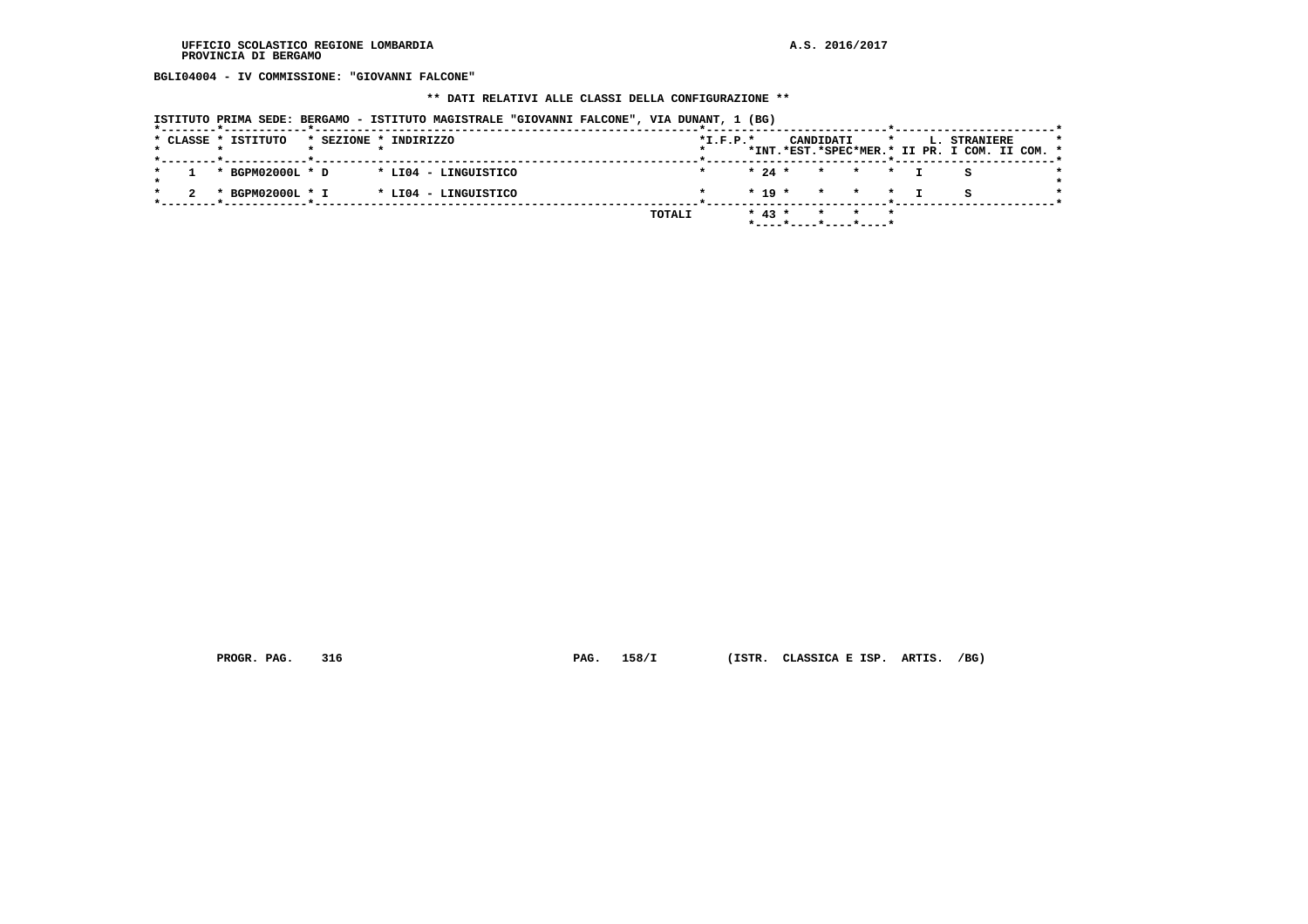**BGLI04004 - IV COMMISSIONE: "GIOVANNI FALCONE"**

#### **\*\* DATI RELATIVI ALLE CLASSI DELLA CONFIGURAZIONE \*\***

 **\*--------\*------------\*-------------------------------------------------------\*--------------------------\*-----------------------\***

|  |                     |                                                                   | ISTITUTO PRIMA SEDE: BERGAMO - ISTITUTO MAGISTRALE "GIOVANNI FALCONE", VIA DUNANT, 1 (BG) |  |            |  |                                                |  |                                               |         |
|--|---------------------|-------------------------------------------------------------------|-------------------------------------------------------------------------------------------|--|------------|--|------------------------------------------------|--|-----------------------------------------------|---------|
|  | * CLASSE * ISTITUTO | * SEZIONE * INDIRIZZO                                             |                                                                                           |  | $*T.F.P.*$ |  |                                                |  | CANDIDATI * L. STRANIERE                      | $\star$ |
|  |                     |                                                                   |                                                                                           |  |            |  |                                                |  | *INT.*EST.*SPEC*MER.* II PR. I COM. II COM. * |         |
|  |                     |                                                                   |                                                                                           |  |            |  |                                                |  |                                               |         |
|  |                     | $\star$ 1 $\star$ BGPM02000L $\star$ D $\star$ LI04 - LINGUISTICO |                                                                                           |  |            |  | $\star$ 24 $\star$ $\star$ $\star$ $\star$ T S |  |                                               |         |
|  |                     | 2 * BGPM02000L * I * LI04 - LINGUISTICO                           |                                                                                           |  |            |  |                                                |  |                                               | $\star$ |

 **TOTALI \* 43 \* \* \* \* \*----\*----\*----\*----\***

 **PROGR. PAG. 316 PAG. 158/I (ISTR. CLASSICA E ISP. ARTIS. /BG)**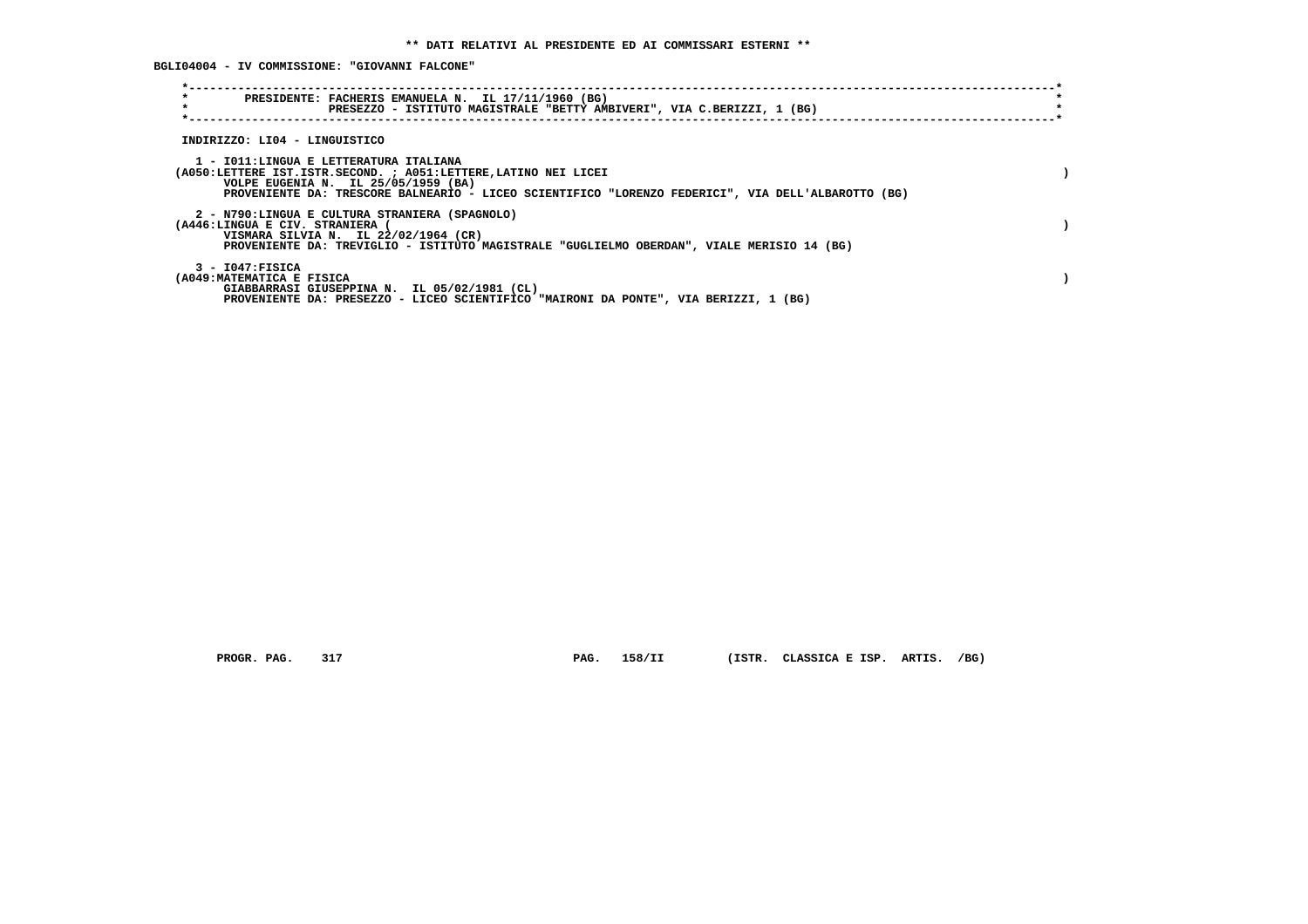**BGLI04004 - IV COMMISSIONE: "GIOVANNI FALCONE"**

| $\star$<br>PRESIDENTE: FACHERIS EMANUELA N. IL 17/11/1960 (BG)<br>$\star$<br>PRESEZZO - ISTITUTO MAGISTRALE "BETTY AMBIVERI", VIA C.BERIZZI, 1 (BG)                                                                                                    |  |
|--------------------------------------------------------------------------------------------------------------------------------------------------------------------------------------------------------------------------------------------------------|--|
| INDIRIZZO: LI04 - LINGUISTICO                                                                                                                                                                                                                          |  |
| 1 - IO11:LINGUA E LETTERATURA ITALIANA<br>(A050:LETTERE IST.ISTR.SECOND. ; A051:LETTERE, LATINO NEI LICEI<br>VOLPE EUGENIA N. IL 25/05/1959 (BA)<br>PROVENIENTE DA: TRESCORE BALNEARIO - LICEO SCIENTIFICO "LORENZO FEDERICI", VIA DELL'ALBAROTTO (BG) |  |
| 2 - N790:LINGUA E CULTURA STRANIERA (SPAGNOLO)<br>(A446:LINGUA E CIV. STRANIERA<br>VISMARA SILVIA N. IL 22/02/1964 (CR)<br>PROVENIENTE DA: TREVIGLIO - ISTITUTO MAGISTRALE "GUGLIELMO OBERDAN", VIALE MERISIO 14 (BG)                                  |  |
| $3 - 1047:$ FISICA<br>(A049: MATEMATICA E FISICA<br>GIABBARRASI GIUSEPPINA N. IL 05/02/1981 (CL)<br>PROVENIENTE DA: PRESEZZO - LICEO SCIENTIFICO "MAIRONI DA PONTE", VIA BERIZZI, 1 (BG)                                                               |  |

 **PROGR. PAG. 317 PAG. 158/II (ISTR. CLASSICA E ISP. ARTIS. /BG)**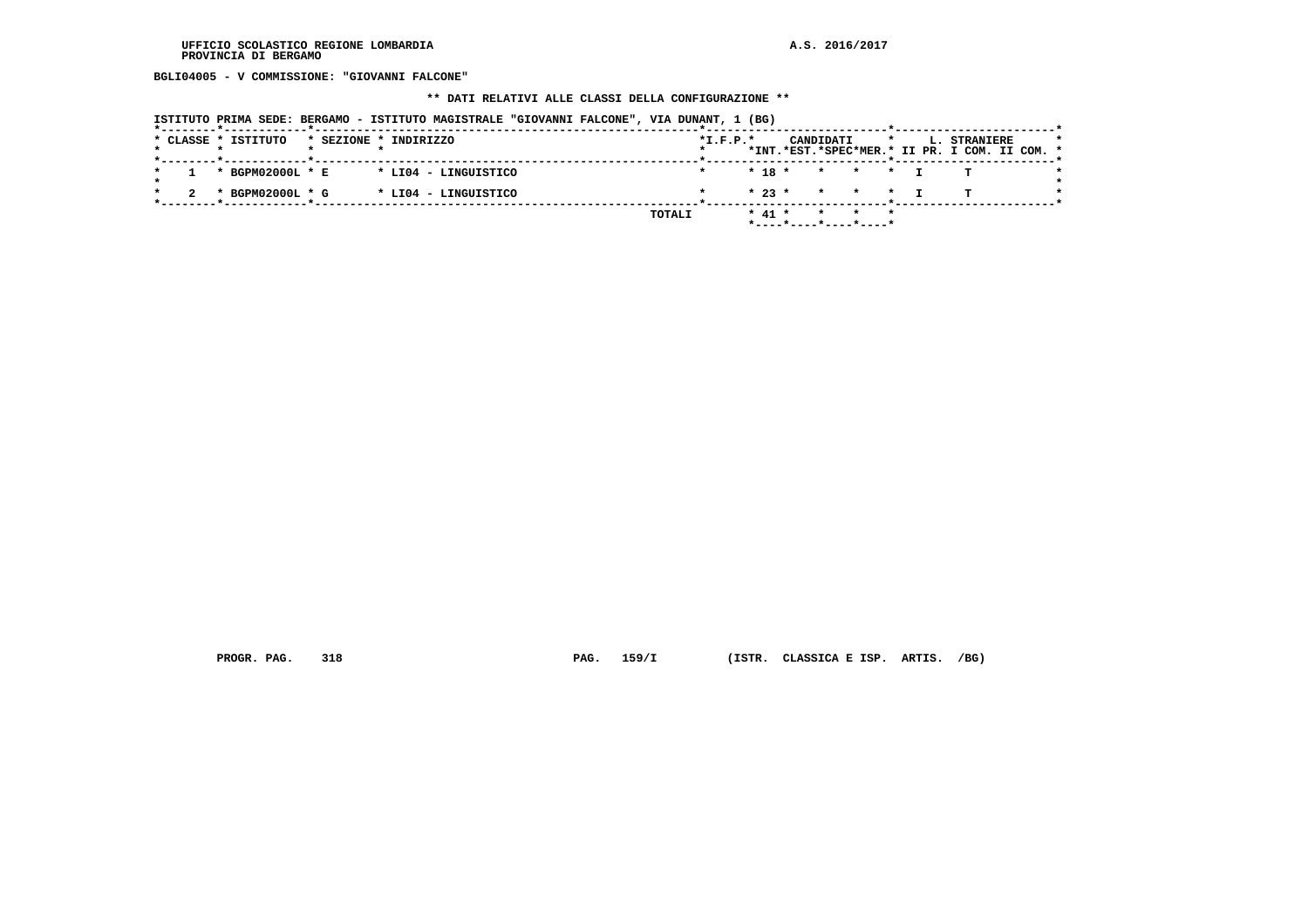**BGLI04005 - V COMMISSIONE: "GIOVANNI FALCONE"**

### **\*\* DATI RELATIVI ALLE CLASSI DELLA CONFIGURAZIONE \*\***

|  |  |                     |  | ISTITUTO PRIMA SEDE: BERGAMO - ISTITUTO MAGISTRALE "GIOVANNI FALCONE", VIA DUNANT, 1 (BG) |  |        |            |          |              |                                  |         |                                                               |  |  |
|--|--|---------------------|--|-------------------------------------------------------------------------------------------|--|--------|------------|----------|--------------|----------------------------------|---------|---------------------------------------------------------------|--|--|
|  |  | * CLASSE * ISTITUTO |  | * SEZIONE * INDIRIZZO                                                                     |  |        | $*L.F.P.*$ |          | CANDIDATI    |                                  | $\star$ | L. STRANIERE<br>*INT.*EST.*SPEC*MER.* II PR. I COM. II COM. * |  |  |
|  |  | * BGPM02000L * E    |  | * LI04 - LINGUISTICO                                                                      |  |        |            | $* 18 *$ | $\mathbf{x}$ | $\star$ $\sim$                   | $\star$ | п.                                                            |  |  |
|  |  | * BGPM02000L * G    |  | * LI04 - LINGUISTICO                                                                      |  |        |            | $* 23 *$ |              | * * * T                          |         |                                                               |  |  |
|  |  |                     |  |                                                                                           |  | TOTALI |            | $* 41 *$ | $\star$      | $\star$<br>*----*----*----*----* |         |                                                               |  |  |

 **PROGR. PAG. 318 PAG. 159/I (ISTR. CLASSICA E ISP. ARTIS. /BG)**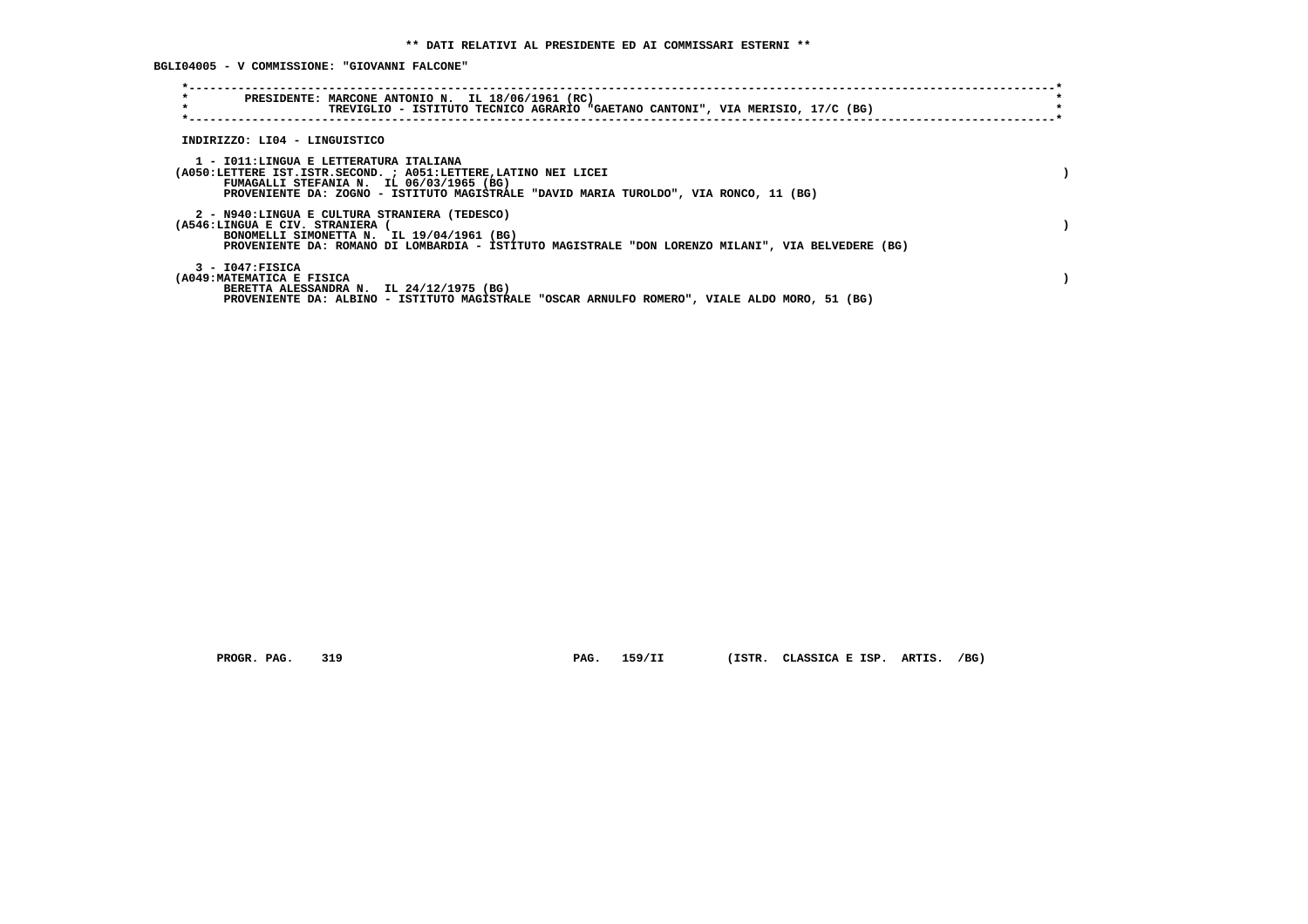**BGLI04005 - V COMMISSIONE: "GIOVANNI FALCONE"**

| $\star$<br>PRESIDENTE: MARCONE ANTONIO N. IL 18/06/1961 (RC)<br>$\star$<br>TREVIGLIO - ISTITUTO TECNICO AGRARIO "GAETANO CANTONI", VIA MERISIO, 17/C (BG)                                                                                      |  |
|------------------------------------------------------------------------------------------------------------------------------------------------------------------------------------------------------------------------------------------------|--|
| INDIRIZZO: LI04 - LINGUISTICO                                                                                                                                                                                                                  |  |
| 1 - IO11:LINGUA E LETTERATURA ITALIANA<br>(A050:LETTERE IST.ISTR.SECOND. ; A051:LETTERE, LATINO NEI LICEI<br>FUMAGALLI STEFANIA N. IL 06/03/1965 (BG)<br>PROVENIENTE DA: ZOGNO - ISTITUTO MAGISTRALE "DAVID MARIA TUROLDO", VIA RONCO, 11 (BG) |  |
| 2 - N940:LINGUA E CULTURA STRANIERA (TEDESCO)<br>(A546:LINGUA E CIV. STRANIERA<br>BONOMELLI SIMONETTA N. IL 19/04/1961 (BG)<br>PROVENIENTE DA: ROMANO DI LOMBARDIA - ISTITUTO MAGISTRALE "DON LORENZO MILANI", VIA BELVEDERE (BG)              |  |
| $3 - 1047:$ FISICA<br>(A049: MATEMATICA E FISICA<br>BERETTA ALESSANDRA N. IL 24/12/1975 (BG)<br>PROVENIENTE DA: ALBINO - ISTITUTO MAGISTRALE "OSCAR ARNULFO ROMERO", VIALE ALDO MORO, 51 (BG)                                                  |  |

 **PROGR. PAG. 319 PAG. 159/II (ISTR. CLASSICA E ISP. ARTIS. /BG)**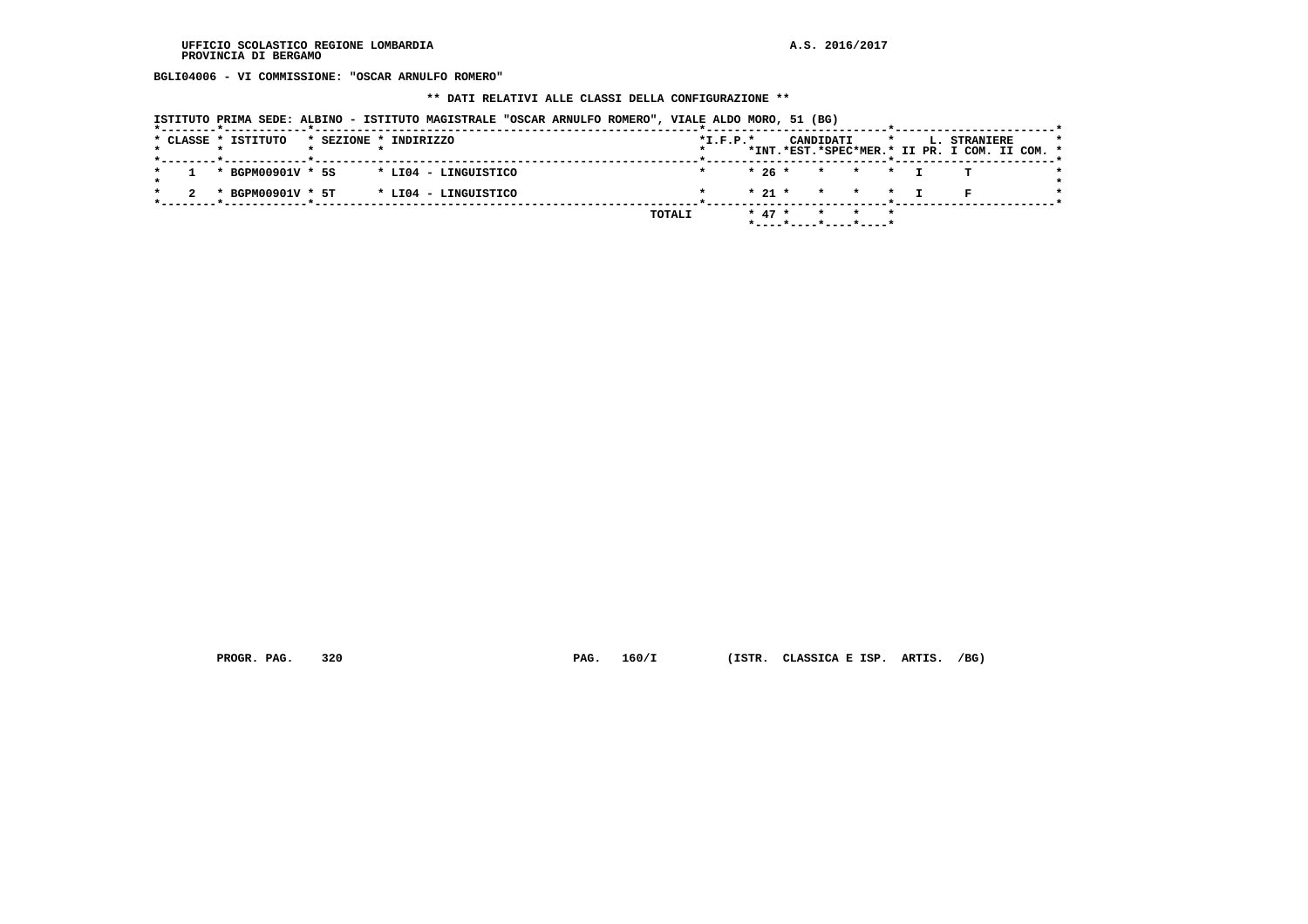**BGLI04006 - VI COMMISSIONE: "OSCAR ARNULFO ROMERO"**

#### **\*\* DATI RELATIVI ALLE CLASSI DELLA CONFIGURAZIONE \*\***

| ISTITUTO PRIMA SEDE: ALBINO - ISTITUTO MAGISTRALE "OSCAR ARNULFO ROMERO", VIALE ALDO MORO, 51 (BG) |                                                                                                     |  |
|----------------------------------------------------------------------------------------------------|-----------------------------------------------------------------------------------------------------|--|
| * CLASSE * ISTITUTO<br>* SEZIONE * INDIRIZZO                                                       | $*L.F.P.*$<br>CANDIDATI<br>L. STRANIERE<br>$\star$<br>*INT.*EST.*SPEC*MER.* II PR. I COM. II COM. * |  |
| * BGPM00901V * 5S<br>* LI04 - LINGUISTICO                                                          | $*26*$<br>* * *                                                                                     |  |
| * BGPM00901V * 5T<br>* LI04 - LINGUISTICO                                                          | $*$ 21 $*$<br>* * * T                                                                               |  |
| TOTALI                                                                                             | $* 47 *$<br>$\star$ $\star$<br>*----*----*----*----*                                                |  |

 **PROGR. PAG. 320 PAG. 160/I (ISTR. CLASSICA E ISP. ARTIS. /BG)**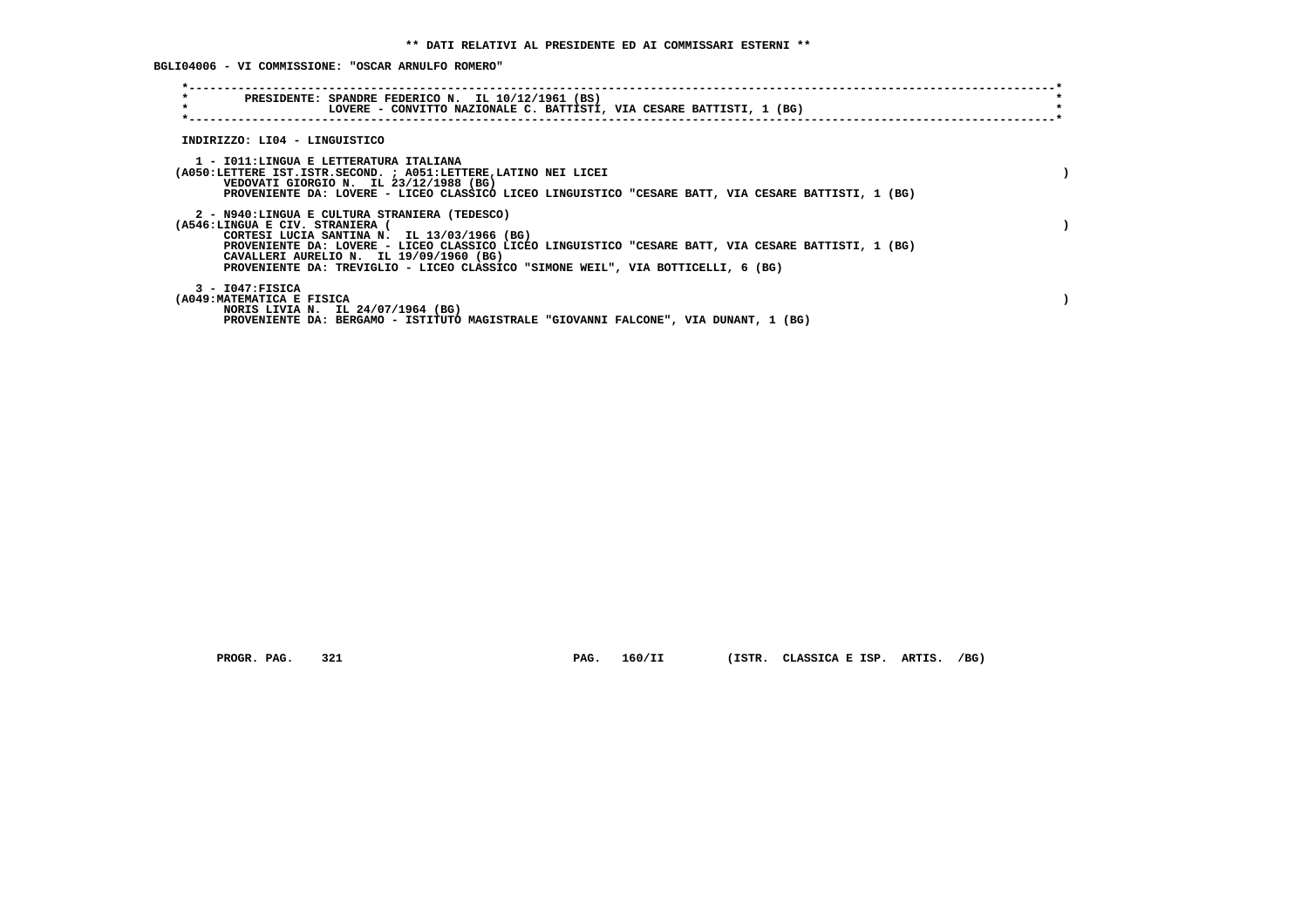**BGLI04006 - VI COMMISSIONE: "OSCAR ARNULFO ROMERO"**

| $\star$<br>$\star$ | PRESIDENTE: SPANDRE FEDERICO N. IL 10/12/1961 (BS)<br>LOVERE - CONVITTO NAZIONALE C. BATTISTI, VIA CESARE BATTISTI, 1 (BG)                         |  |
|--------------------|----------------------------------------------------------------------------------------------------------------------------------------------------|--|
|                    | INDIRIZZO: LI04 - LINGUISTICO                                                                                                                      |  |
|                    |                                                                                                                                                    |  |
|                    | 1 - IO11:LINGUA E LETTERATURA ITALIANA<br>(A050:LETTERE IST.ISTR.SECOND. ; A051:LETTERE, LATINO NEI LICEI                                          |  |
|                    | VEDOVATI GIORGIO N. IL 23/12/1988 (BG)<br>PROVENIENTE DA: LOVERE - LICEO CLASSICO LICEO LINGUISTICO "CESARE BATT, VIA CESARE BATTISTI, 1 (BG)      |  |
|                    | 2 - N940:LINGUA E CULTURA STRANIERA (TEDESCO)                                                                                                      |  |
|                    | (A546:LINGUA E CIV. STRANIERA (                                                                                                                    |  |
|                    | CORTESI LUCIA SANTINA N. IL 13/03/1966 (BG)<br>PROVENIENTE DA: LOVERE - LICEO CLASSICO LICEO LINGUISTICO "CESARE BATT, VIA CESARE BATTISTI, 1 (BG) |  |
|                    | CAVALLERI AURELIO N. IL 19/09/1960 (BG)<br>PROVENIENTE DA: TREVIGLIO - LICEO CLASSICO "SIMONE WEIL", VIA BOTTICELLI, 6 (BG)                        |  |
|                    | $3 - 1047:$ FISICA                                                                                                                                 |  |
|                    | (A049: MATEMATICA E FISICA                                                                                                                         |  |
|                    | NORIS LIVIA N. IL 24/07/1964 (BG)<br>PROVENIENTE DA: BERGAMO - ISTITUTO MAGISTRALE "GIOVANNI FALCONE", VIA DUNANT, 1 (BG)                          |  |

 **PROGR. PAG. 321 PAG. 160/II (ISTR. CLASSICA E ISP. ARTIS. /BG)**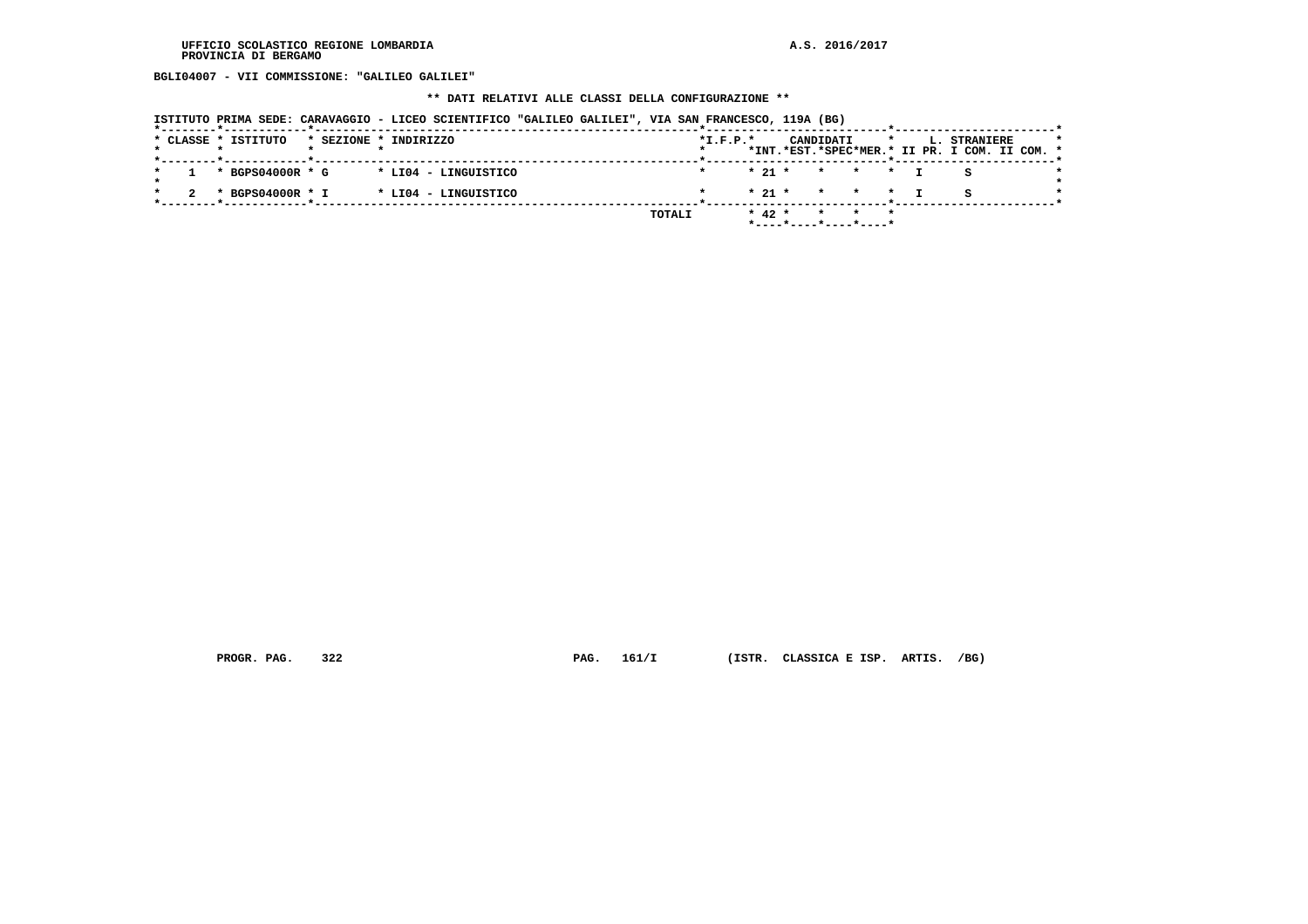**BGLI04007 - VII COMMISSIONE: "GALILEO GALILEI"**

# **\*\* DATI RELATIVI ALLE CLASSI DELLA CONFIGURAZIONE \*\***

|  | ISTITUTO PRIMA SEDE: CARAVAGGIO - LICEO SCIENTIFICO "GALILEO GALILEI", VIA SAN FRANCESCO, 119A (BG) |  |  |  |  |  |  |  |
|--|-----------------------------------------------------------------------------------------------------|--|--|--|--|--|--|--|
|--|-----------------------------------------------------------------------------------------------------|--|--|--|--|--|--|--|

|  | * CLASSE * ISTITUTO | * SEZIONE * INDIRIZZO |                      |        | $*L.F.P.*$ |            | CANDIDATI |                       |  | L. STRANIERE                                  | $\star$ |
|--|---------------------|-----------------------|----------------------|--------|------------|------------|-----------|-----------------------|--|-----------------------------------------------|---------|
|  |                     |                       |                      |        |            |            |           |                       |  | *INT.*EST.*SPEC*MER.* II PR. I COM. II COM. * |         |
|  |                     |                       |                      |        |            |            |           |                       |  |                                               |         |
|  | * BGPS04000R * G    |                       | * LI04 - LINGUISTICO |        |            |            |           | $* 21 * * * * * T$    |  |                                               |         |
|  |                     |                       |                      |        |            |            |           |                       |  |                                               |         |
|  | * BGPS04000R * I    |                       | * LI04 - LINGUISTICO |        |            |            |           | $* 21 * * * * * T$    |  |                                               |         |
|  |                     |                       |                      |        |            |            |           |                       |  |                                               |         |
|  |                     |                       |                      | TOTALI |            | $*$ 42 $*$ |           | * * *                 |  |                                               |         |
|  |                     |                       |                      |        |            |            |           | *----*----*----*----* |  |                                               |         |

 **PROGR. PAG. 322 PAG. 161/I (ISTR. CLASSICA E ISP. ARTIS. /BG)**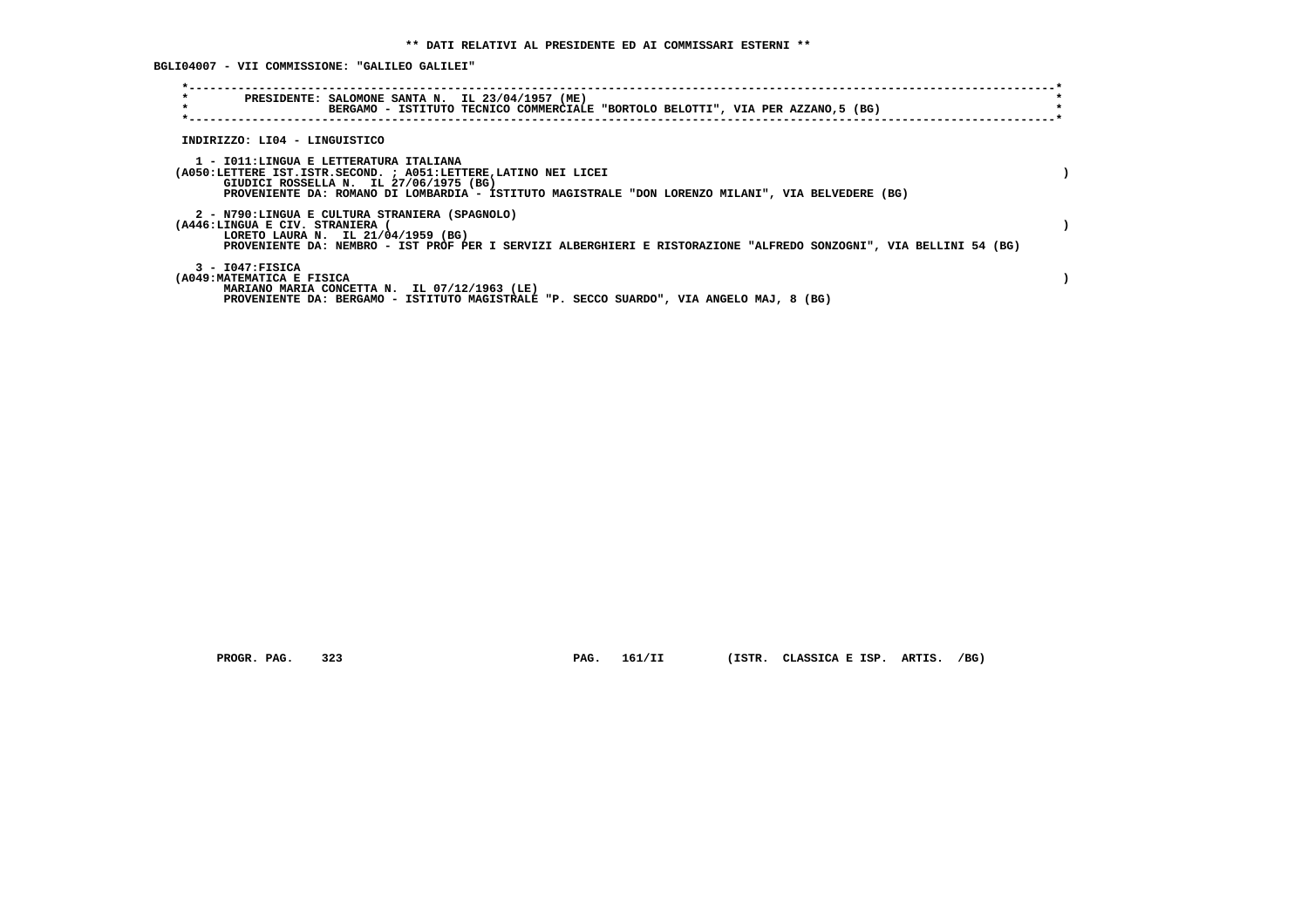**BGLI04007 - VII COMMISSIONE: "GALILEO GALILEI"**

| $\star$<br>$\star$                                                                                                                                  | PRESIDENTE: SALOMONE SANTA N. IL 23/04/1957 (ME)<br>BERGAMO - ISTITUTO TECNICO COMMERCIALE "BORTOLO BELOTTI", VIA PER AZZANO, 5 (BG) |  |
|-----------------------------------------------------------------------------------------------------------------------------------------------------|--------------------------------------------------------------------------------------------------------------------------------------|--|
| INDIRIZZO: LI04 - LINGUISTICO                                                                                                                       |                                                                                                                                      |  |
| 1 - IO11: LINGUA E LETTERATURA ITALIANA<br>(A050:LETTERE IST.ISTR.SECOND. ; A051:LETTERE,LATINO NEI LICEI<br>GIUDICI ROSSELLA N. IL 27/06/1975 (BG) | PROVENIENTE DA: ROMANO DI LOMBARDIA - ISTITUTO MAGISTRALE "DON LORENZO MILANI", VIA BELVEDERE (BG)                                   |  |
| 2 - N790:LINGUA E CULTURA STRANIERA (SPAGNOLO)<br>(A446:LINGUA E CIV. STRANIERA<br>LORETO LAURA N. IL 21/04/1959 (BG)                               | PROVENIENTE DA: NEMBRO - IST PROF PER I SERVIZI ALBERGHIERI E RISTORAZIONE "ALFREDO SONZOGNI", VIA BELLINI 54 (BG)                   |  |
| $3 - 1047:$ FISICA<br>(A049: MATEMATICA E FISICA<br>MARIANO MARIA CONCETTA N. IL 07/12/1963 (LE)                                                    | PROVENIENTE DA: BERGAMO - ISTITUTO MAGISTRALE "P. SECCO SUARDO", VIA ANGELO MAJ, 8 (BG)                                              |  |

 **PROGR. PAG. 323 PAG. 161/II (ISTR. CLASSICA E ISP. ARTIS. /BG)**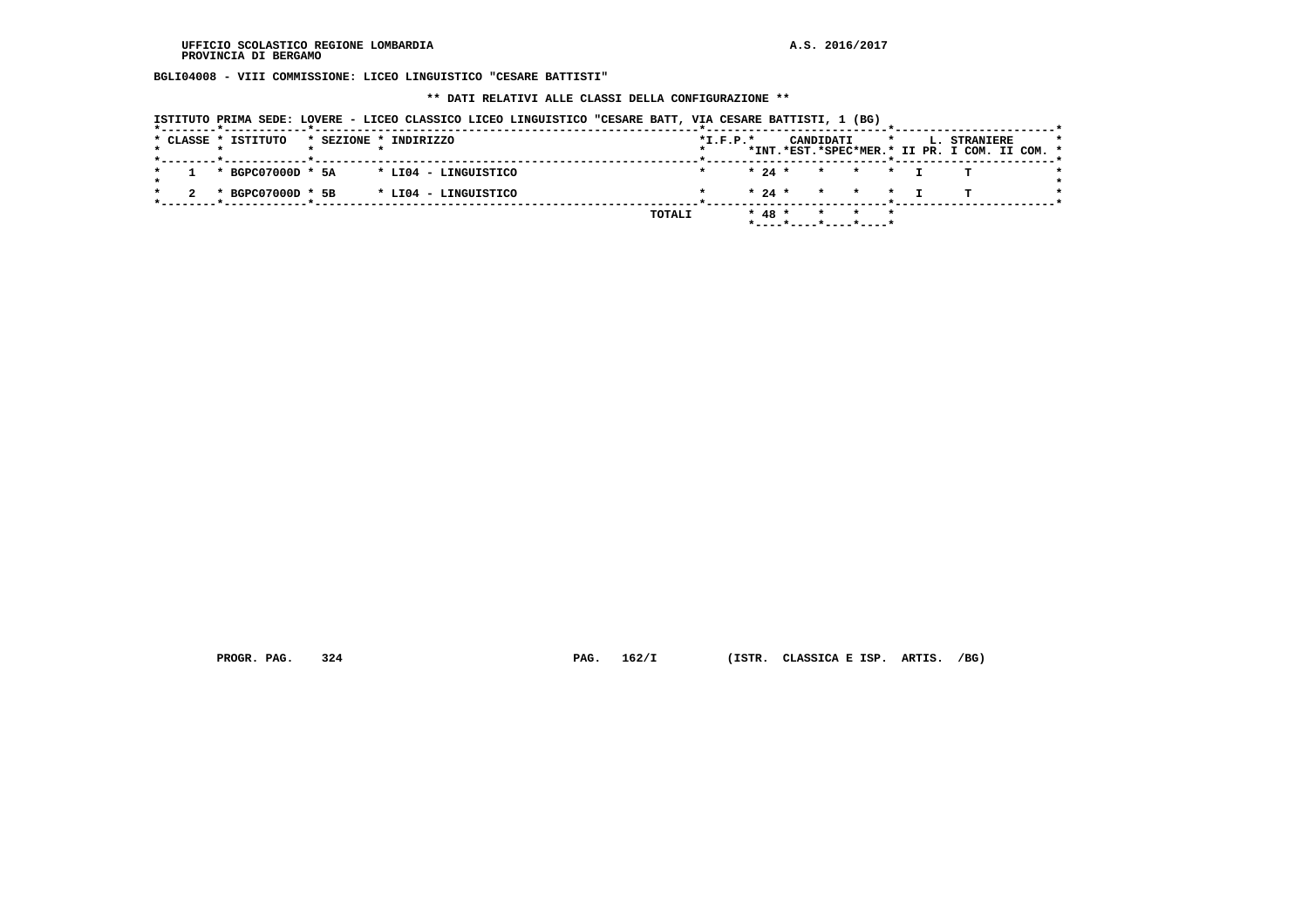**BGLI04008 - VIII COMMISSIONE: LICEO LINGUISTICO "CESARE BATTISTI"**

 **\*\* DATI RELATIVI ALLE CLASSI DELLA CONFIGURAZIONE \*\***

| ISTITUTO PRIMA SEDE: LOVERE - LICEO CLASSICO LICEO LINGUISTICO "CESARE BATT, VIA CESARE BATTISTI, 1 (BG) |  |  |  |  |
|----------------------------------------------------------------------------------------------------------|--|--|--|--|
|----------------------------------------------------------------------------------------------------------|--|--|--|--|

|  | * CLASSE * ISTITUTO |  | * SEZIONE * INDIRIZZO                  |        | $*L.F.P.*$ |          |  | CANDIDATI |                                                                    |  | <b>L. STRANIERE</b>                           | $\star$ |
|--|---------------------|--|----------------------------------------|--------|------------|----------|--|-----------|--------------------------------------------------------------------|--|-----------------------------------------------|---------|
|  |                     |  |                                        |        |            |          |  |           |                                                                    |  | *INT.*EST.*SPEC*MER.* II PR. I COM. II COM. * |         |
|  |                     |  |                                        |        |            |          |  |           |                                                                    |  |                                               |         |
|  |                     |  | * BGPC07000D * 5A * LI04 - LINGUISTICO |        |            |          |  |           | * 24 * * * * T                                                     |  |                                               |         |
|  |                     |  |                                        |        |            |          |  |           |                                                                    |  |                                               |         |
|  | * BGPC07000D * 5B   |  | * LI04 - LINGUISTICO                   |        |            |          |  |           | $\star$ 24 $\star$ $\star$ $\star$ $\star$ $\star$ $\star$ $\star$ |  |                                               |         |
|  |                     |  |                                        |        |            |          |  |           |                                                                    |  |                                               |         |
|  |                     |  |                                        | TOTALI |            | $* 48 *$ |  |           | * * *                                                              |  |                                               |         |
|  |                     |  |                                        |        |            |          |  |           | $*$ ----*----*----*----*                                           |  |                                               |         |

 **PROGR. PAG. 324 PAG. 162/I (ISTR. CLASSICA E ISP. ARTIS. /BG)**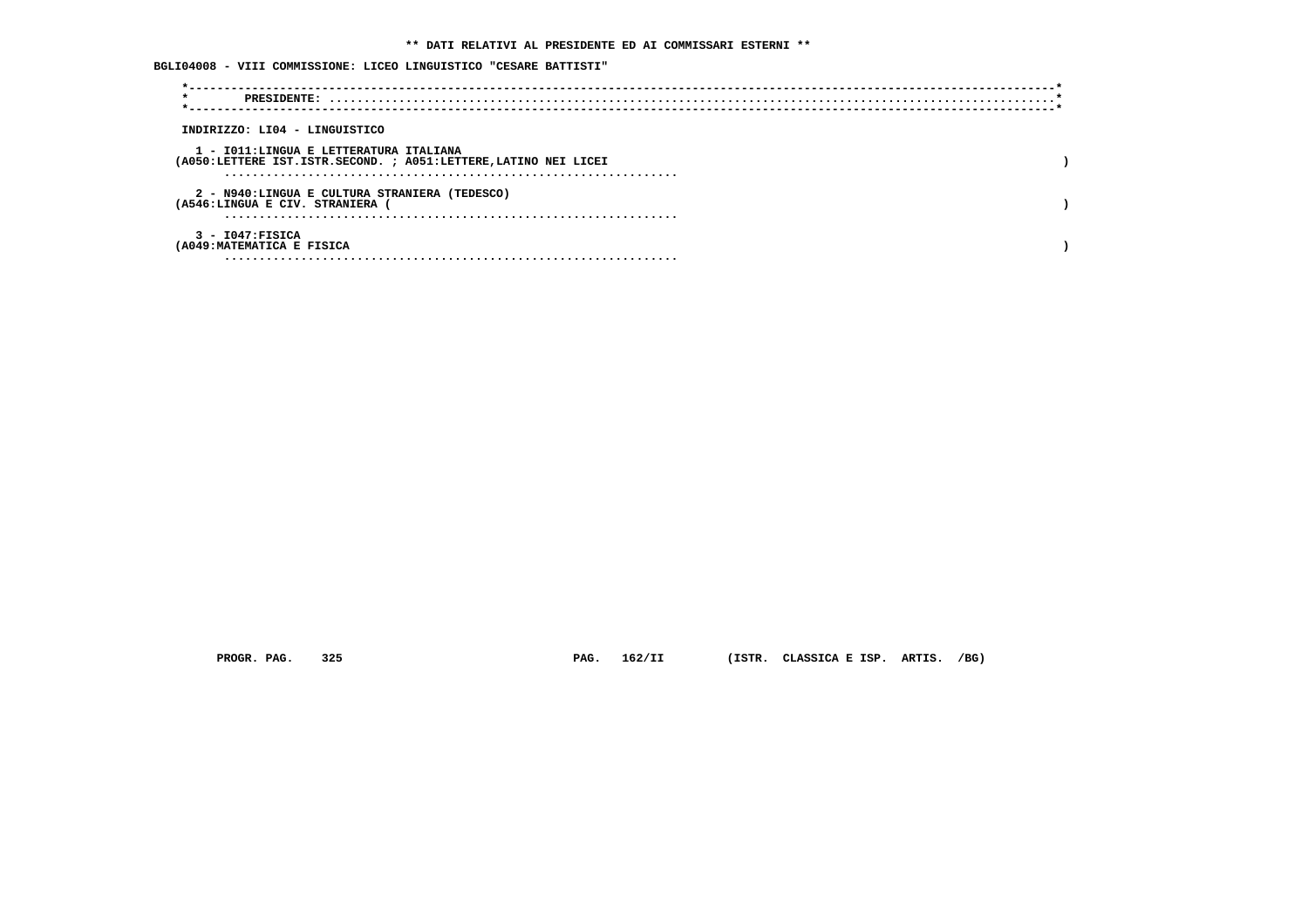# **\*\* DATI RELATIVI AL PRESIDENTE ED AI COMMISSARI ESTERNI \*\***

# **BGLI04008 - VIII COMMISSIONE: LICEO LINGUISTICO "CESARE BATTISTI"**

| $\star$                                                         |  |
|-----------------------------------------------------------------|--|
|                                                                 |  |
| INDIRIZZO: LI04 - LINGUISTICO                                   |  |
| 1 - IO11:LINGUA E LETTERATURA ITALIANA                          |  |
| (A050:LETTERE IST.ISTR.SECOND. ; A051:LETTERE, LATINO NEI LICEI |  |
|                                                                 |  |
| 2 - N940:LINGUA E CULTURA STRANIERA (TEDESCO)                   |  |
| (A546:LINGUA E CIV. STRANIERA                                   |  |
|                                                                 |  |
| $3 - 1047:$ FISICA                                              |  |
| (A049: MATEMATICA E FISICA                                      |  |
|                                                                 |  |

 **PROGR. PAG. 325 PAG. 162/II (ISTR. CLASSICA E ISP. ARTIS. /BG)**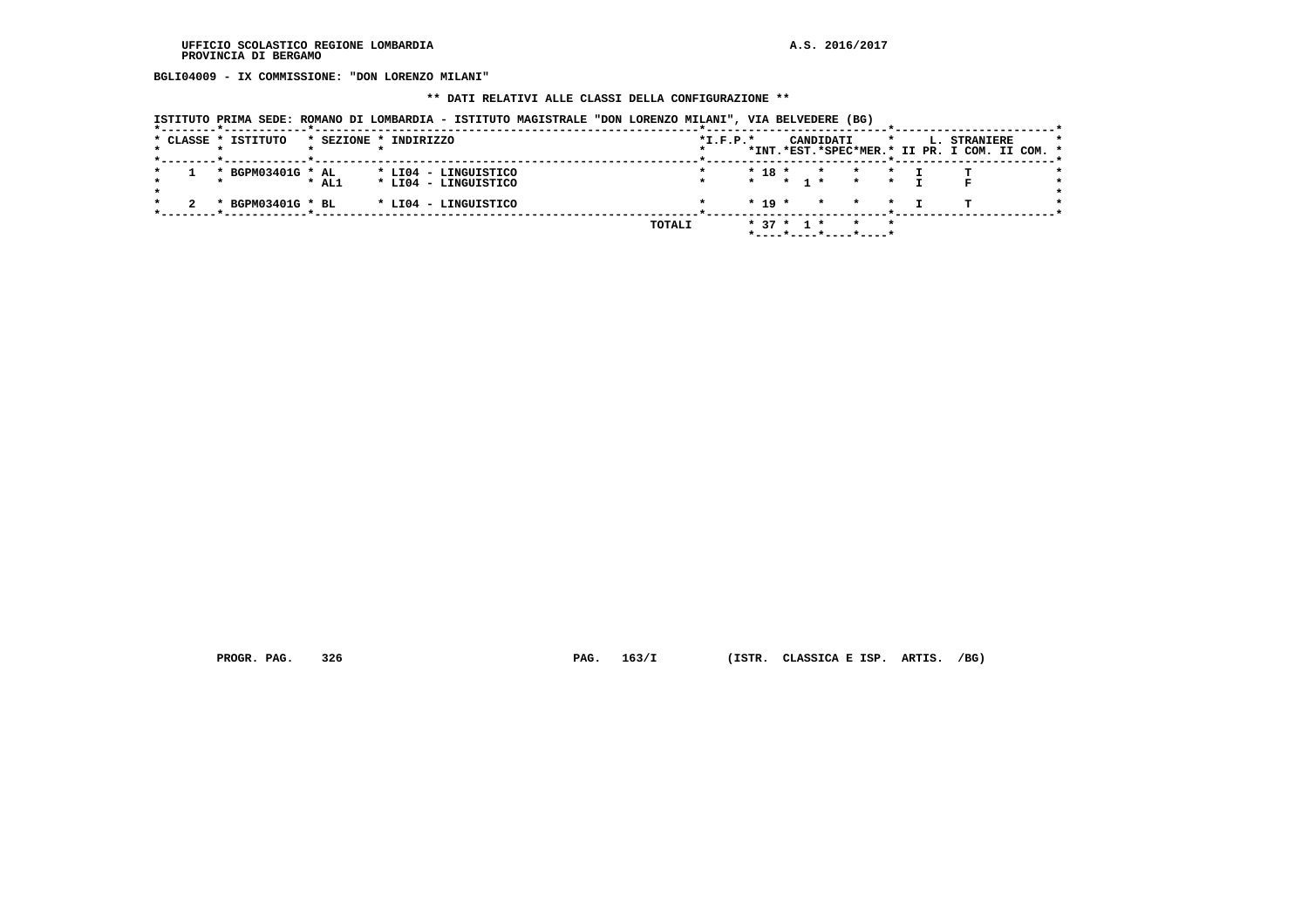**BGLI04009 - IX COMMISSIONE: "DON LORENZO MILANI"**

# **\*\* DATI RELATIVI ALLE CLASSI DELLA CONFIGURAZIONE \*\***

|  | ISTITUTO PRIMA SEDE: ROMANO DI LOMBARDIA - ISTITUTO MAGISTRALE "DON LORENZO MILANI", VIA BELVEDERE (BG) |  |  |
|--|---------------------------------------------------------------------------------------------------------|--|--|
|  |                                                                                                         |  |  |

|  | * CLASSE * ISTITUTO | * SEZIONE * INDIRIZZO |  |                      |  |  |        | $*L.F.P.*$ |              |       |         | CANDIDATI    |                       |  | L. STRANIERE                                  |  |  |
|--|---------------------|-----------------------|--|----------------------|--|--|--------|------------|--------------|-------|---------|--------------|-----------------------|--|-----------------------------------------------|--|--|
|  |                     |                       |  |                      |  |  |        |            |              |       |         |              |                       |  | *INT.*EST.*SPEC*MER.* II PR. I COM. II COM. * |  |  |
|  | * BGPM03401G * AL   |                       |  | * LI04 - LINGUISTICO |  |  |        |            | $* 18 *$     |       | $\star$ | $\mathbf{r}$ |                       |  |                                               |  |  |
|  |                     | $*$ AL1               |  | * LI04 - LINGUISTICO |  |  |        |            | $\star$ .    | * 1 * |         |              | $\star$               |  |                                               |  |  |
|  | * BGPM03401G * BL   |                       |  | * LI04 - LINGUISTICO |  |  |        |            | $*$ 19 $*$   |       | $\star$ |              | $\star$<br>$\star$    |  |                                               |  |  |
|  |                     |                       |  |                      |  |  | TOTALI |            | $* 37 * 1 *$ |       |         |              |                       |  |                                               |  |  |
|  |                     |                       |  |                      |  |  |        |            |              |       |         |              | *----*----*----*----* |  |                                               |  |  |

 **PROGR. PAG. 326 PAG. 163/I (ISTR. CLASSICA E ISP. ARTIS. /BG)**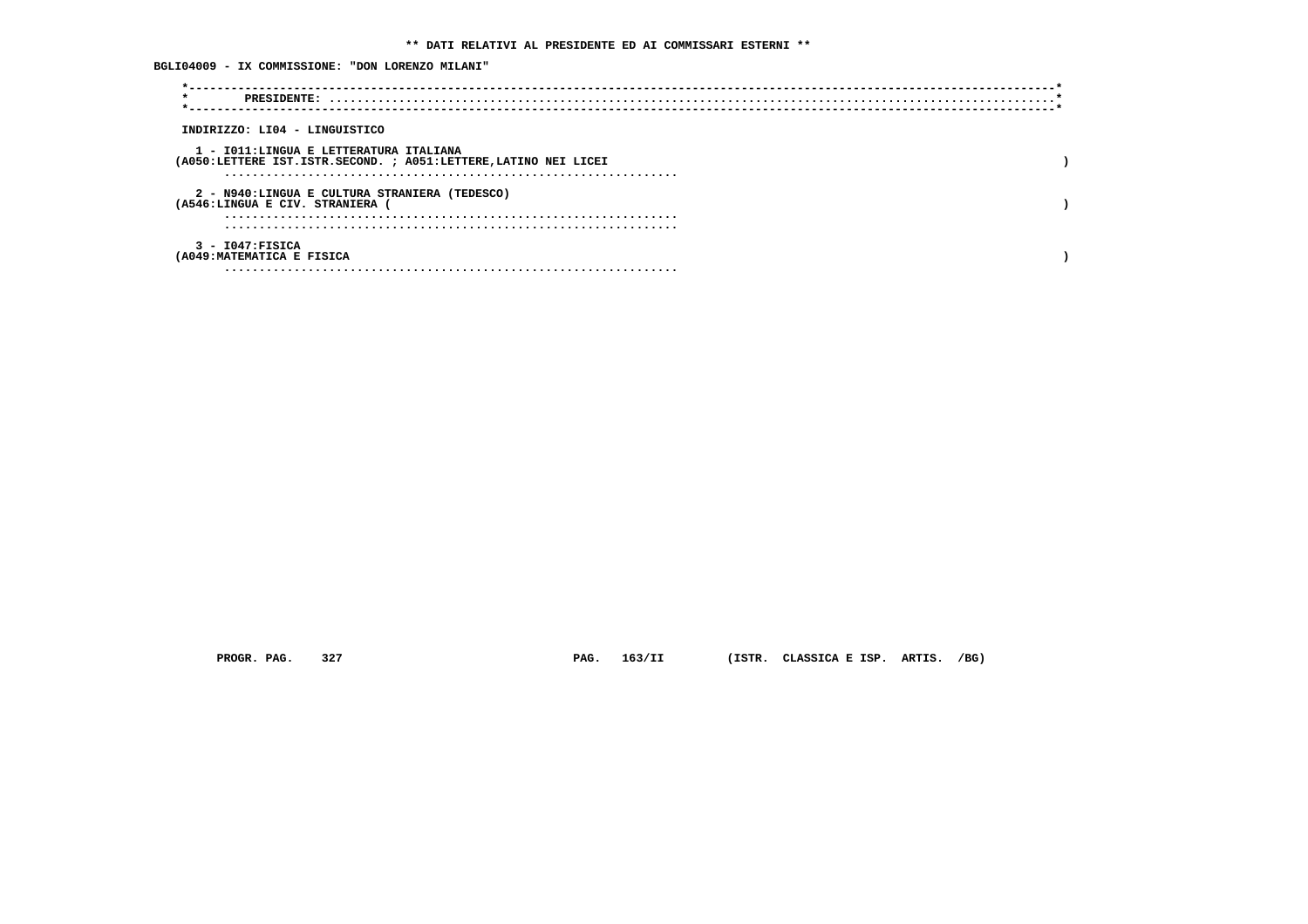| BGLI04009 - IX COMMISSIONE: "DON LORENZO MILANI"<br>$\star$                                               |  |
|-----------------------------------------------------------------------------------------------------------|--|
| INDIRIZZO: LI04 - LINGUISTICO                                                                             |  |
| 1 - IO11:LINGUA E LETTERATURA ITALIANA<br>(A050:LETTERE IST.ISTR.SECOND. ; A051:LETTERE, LATINO NEI LICEI |  |
| 2 - N940:LINGUA E CULTURA STRANIERA (TEDESCO)<br>(A546:LINGUA E CIV. STRANIERA (                          |  |
|                                                                                                           |  |
| $3 - 1047$ : FISICA<br>(A049: MATEMATICA E FISICA                                                         |  |
|                                                                                                           |  |

 **PROGR. PAG. 327 PAG. 163/II (ISTR. CLASSICA E ISP. ARTIS. /BG)**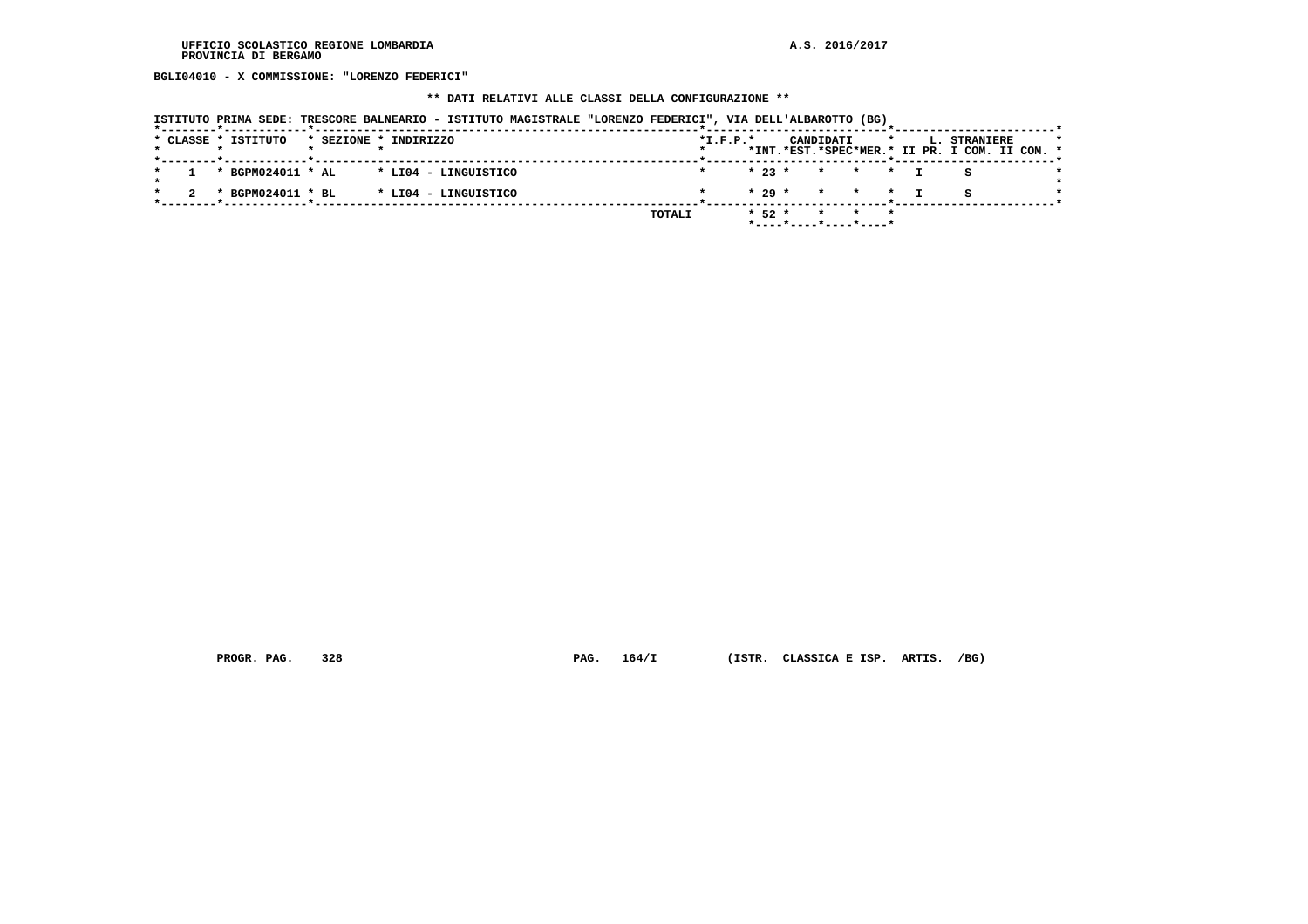**BGLI04010 - X COMMISSIONE: "LORENZO FEDERICI"**

# **\*\* DATI RELATIVI ALLE CLASSI DELLA CONFIGURAZIONE \*\***

|                     |                   | ISTITUTO PRIMA SEDE: TRESCORE BALNEARIO - ISTITUTO MAGISTRALE "LORENZO FEDERICI", VIA DELL'ALBAROTTO (BG) |  |        |            |          |                          |           |         |                                                               |  |
|---------------------|-------------------|-----------------------------------------------------------------------------------------------------------|--|--------|------------|----------|--------------------------|-----------|---------|---------------------------------------------------------------|--|
| * CLASSE * ISTITUTO |                   | * SEZIONE * INDIRIZZO                                                                                     |  |        | $*I.F.P.*$ |          |                          | CANDIDATI | $\star$ | L. STRANIERE<br>*INT.*EST.*SPEC*MER.* II PR. I COM. II COM. * |  |
|                     | * BGPM024011 * AL | * LI04 - LINGUISTICO                                                                                      |  |        |            | $* 23 *$ |                          |           | * * * T |                                                               |  |
|                     | * BGPM024011 * BL | * LI04 - LINGUISTICO                                                                                      |  |        |            | $* 29 *$ |                          |           | * * * I |                                                               |  |
|                     |                   |                                                                                                           |  | TOTALI |            | $*52*$   | $*$ ----*----*----*----* | $\star$   |         |                                                               |  |

 **PROGR. PAG. 328 PAG. 164/I (ISTR. CLASSICA E ISP. ARTIS. /BG)**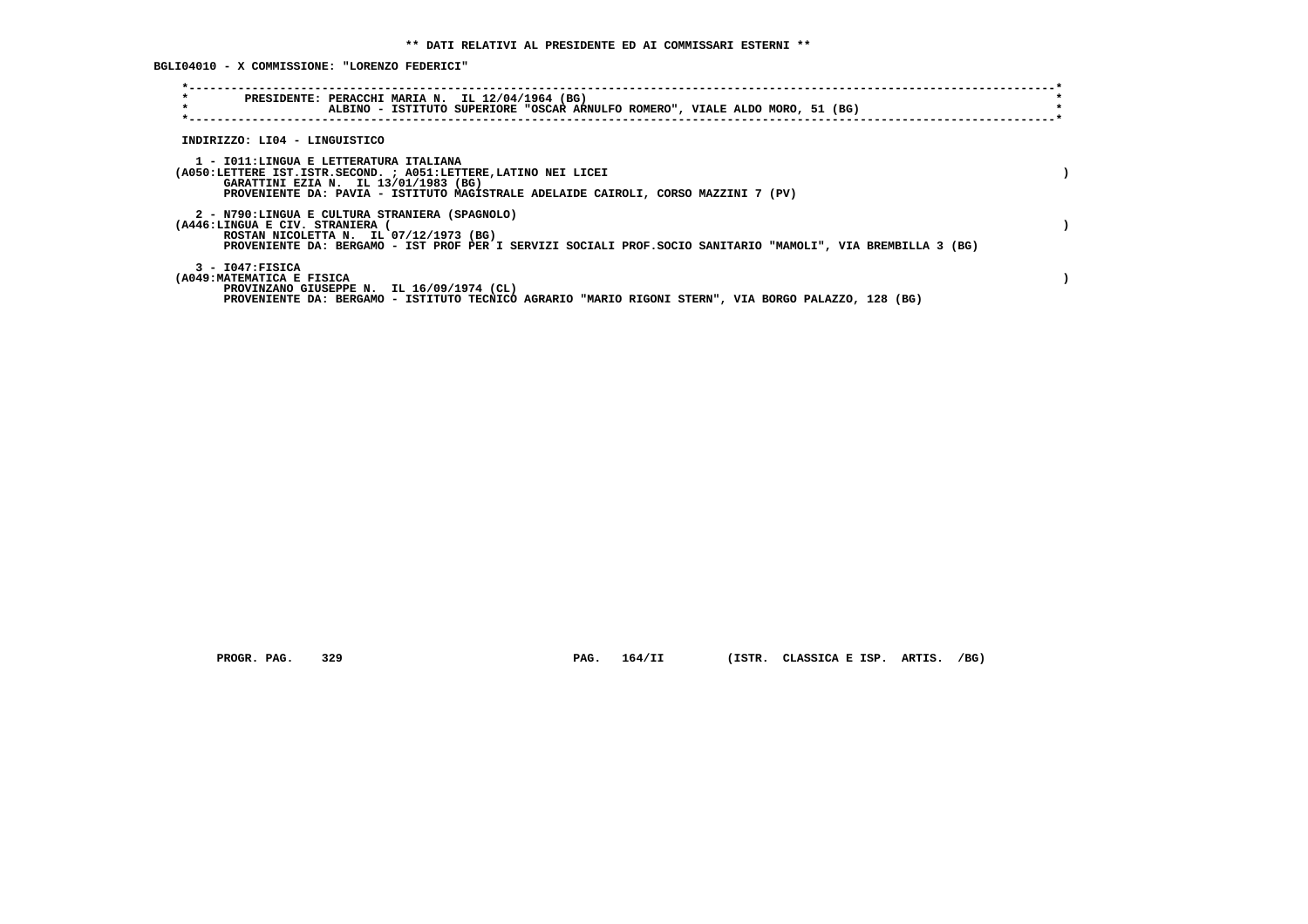**BGLI04010 - X COMMISSIONE: "LORENZO FEDERICI"**

| $\star$<br>PRESIDENTE: PERACCHI MARIA N. IL 12/04/1964 (BG)<br>$\star$<br>ALBINO - ISTITUTO SUPERIORE "OSCAR ARNULFO ROMERO", VIALE ALDO MORO, 51 (BG)                                                                                    |  |
|-------------------------------------------------------------------------------------------------------------------------------------------------------------------------------------------------------------------------------------------|--|
| INDIRIZZO: LI04 - LINGUISTICO                                                                                                                                                                                                             |  |
| 1 - IO11:LINGUA E LETTERATURA ITALIANA<br>(A050:LETTERE IST.ISTR.SECOND. ; A051:LETTERE, LATINO NEI LICEI<br>GARATTINI EZIA N. IL 13/01/1983 (BG)<br>PROVENIENTE DA: PAVIA - ISTITUTO MAGISTRALE ADELAIDE CAIROLI, CORSO MAZZINI 7 (PV)   |  |
| 2 - N790:LINGUA E CULTURA STRANIERA (SPAGNOLO)<br>(A446:LINGUA E CIV. STRANIERA<br>ROSTAN NICOLETTA N. IL 07/12/1973 (BG)<br>PROVENIENTE DA: BERGAMO - IST PROF PER I SERVIZI SOCIALI PROF.SOCIO SANITARIO "MAMOLI", VIA BREMBILLA 3 (BG) |  |
| 3 - I047:FISICA<br>(A049: MATEMATICA E FISICA<br>PROVINZANO GIUSEPPE N. IL 16/09/1974 (CL)<br>PROVENIENTE DA: BERGAMO - ISTITUTO TECNICO AGRARIO "MARIO RIGONI STERN", VIA BORGO PALAZZO, 128 (BG)                                        |  |

 **PROGR. PAG. 329 PAG. 164/II (ISTR. CLASSICA E ISP. ARTIS. /BG)**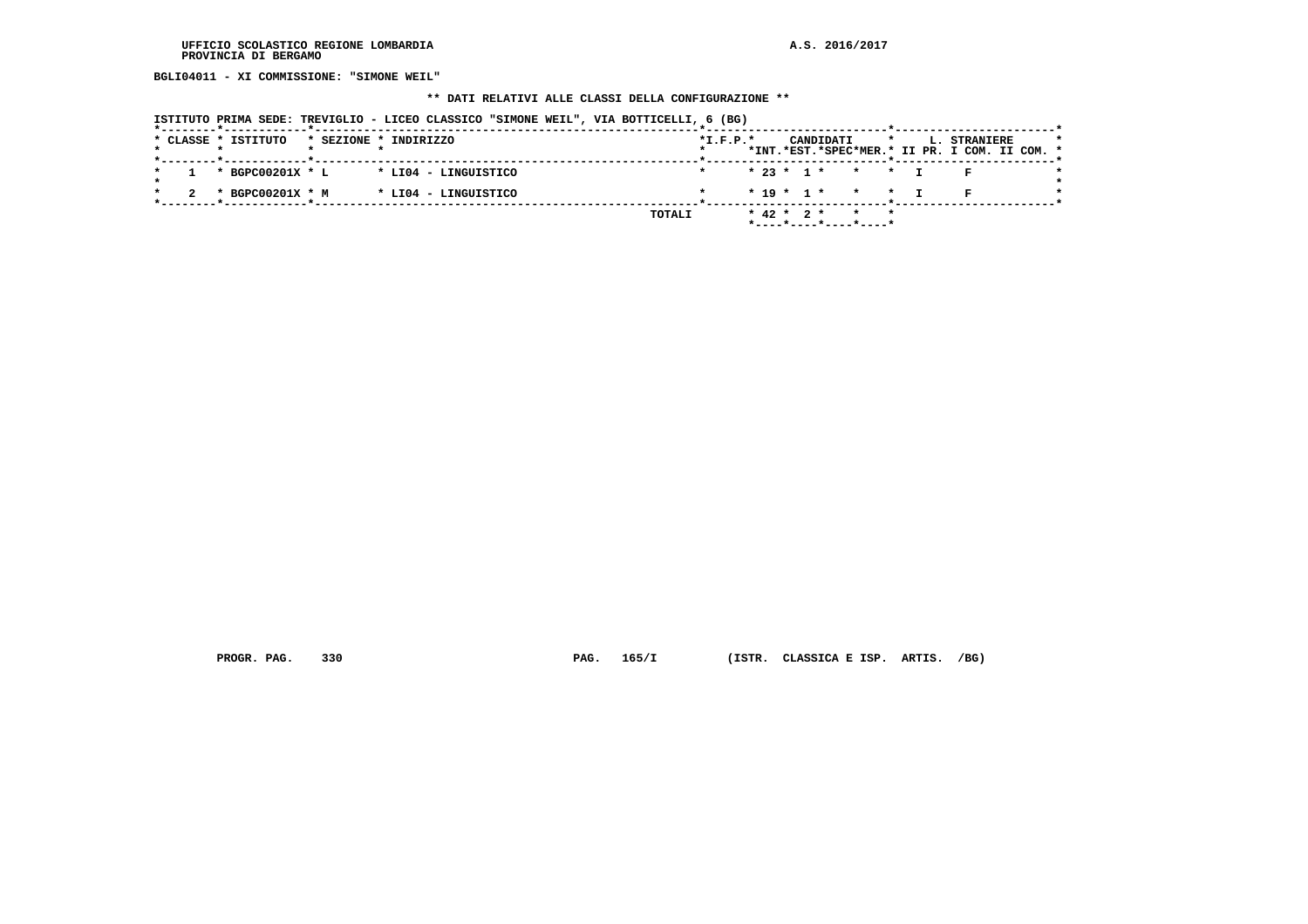**BGLI04011 - XI COMMISSIONE: "SIMONE WEIL"**

#### **\*\* DATI RELATIVI ALLE CLASSI DELLA CONFIGURAZIONE \*\***

 **ISTITUTO PRIMA SEDE: TREVIGLIO - LICEO CLASSICO "SIMONE WEIL", VIA BOTTICELLI, 6 (BG)**

|  | * CLASSE * ISTITUTO | * SEZIONE * INDIRIZZO |  |                      |  |        | $*$ I.F.P. $*$ |  |                  | CANDIDATI             |                 |  | <b>L. STRANIERE</b>                           |  |  |
|--|---------------------|-----------------------|--|----------------------|--|--------|----------------|--|------------------|-----------------------|-----------------|--|-----------------------------------------------|--|--|
|  |                     |                       |  |                      |  |        |                |  |                  |                       |                 |  | *INT.*EST.*SPEC*MER.* II PR. I COM. II COM. * |  |  |
|  | * BGPC00201X * L    |                       |  | * LI04 - LINGUISTICO |  |        |                |  |                  | $* 23 * 1 * * * * T$  |                 |  |                                               |  |  |
|  |                     |                       |  |                      |  |        |                |  |                  |                       |                 |  |                                               |  |  |
|  | * BGPC00201X * M    |                       |  | * LI04 - LINGUISTICO |  |        |                |  |                  | $* 19 * 1 * * * * T$  |                 |  |                                               |  |  |
|  |                     |                       |  |                      |  | TOTALI |                |  | $*$ 42 $*$ 2 $*$ |                       | $\star$ $\star$ |  |                                               |  |  |
|  |                     |                       |  |                      |  |        |                |  |                  | *----*----*----*----* |                 |  |                                               |  |  |

 **PROGR. PAG. 330 PAG. 165/I (ISTR. CLASSICA E ISP. ARTIS. /BG)**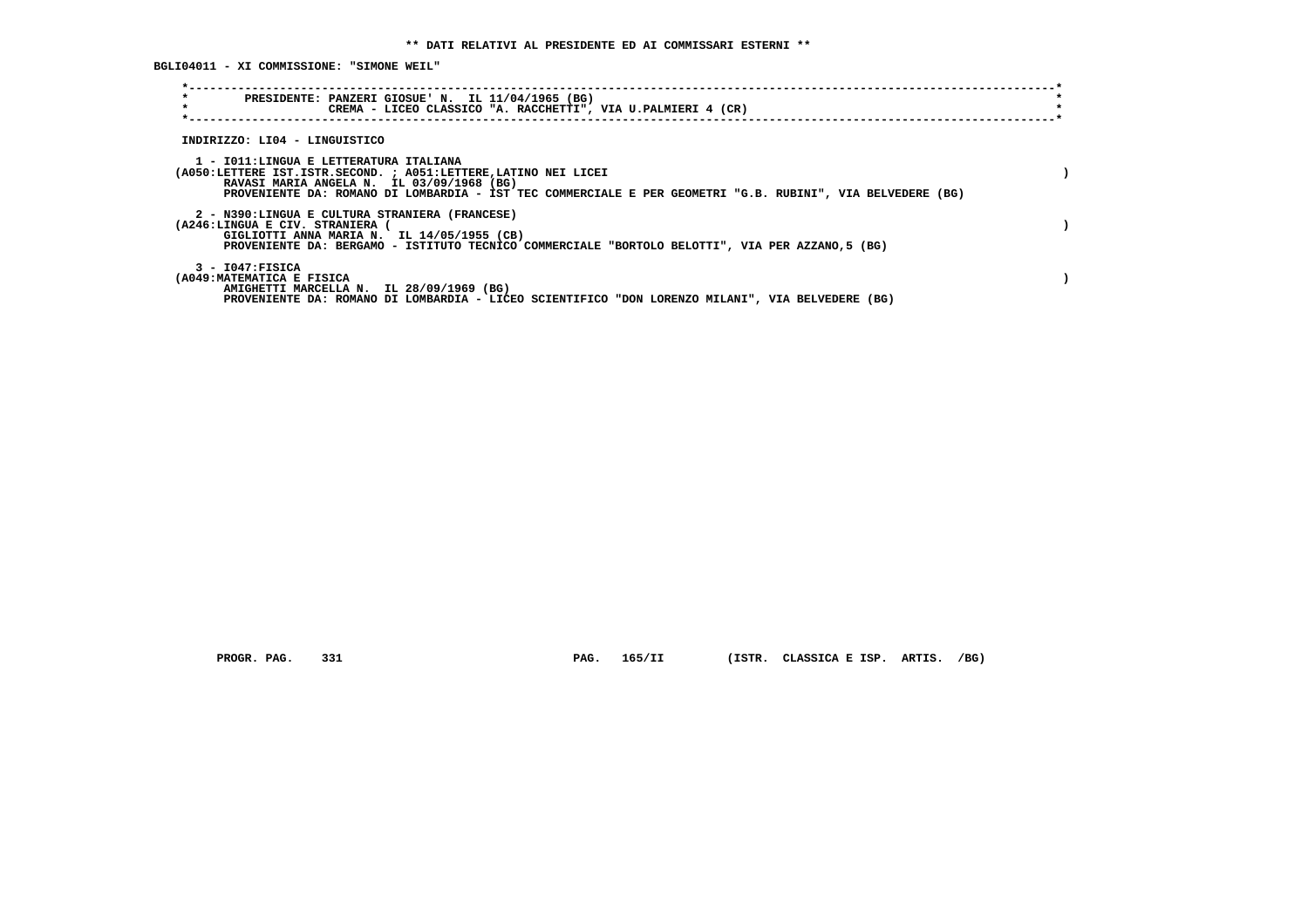**BGLI04011 - XI COMMISSIONE: "SIMONE WEIL"**

| $\star$<br>PRESIDENTE: PANZERI GIOSUE' N. IL 11/04/1965 (BG)<br>$\star$<br>CREMA - LICEO CLASSICO "A. RACCHETTI", VIA U.PALMIERI 4 (CR)        |  |
|------------------------------------------------------------------------------------------------------------------------------------------------|--|
|                                                                                                                                                |  |
| INDIRIZZO: LI04 - LINGUISTICO                                                                                                                  |  |
|                                                                                                                                                |  |
| 1 - IO11: LINGUA E LETTERATURA ITALIANA<br>(A050:LETTERE IST.ISTR.SECOND. ; A051:LETTERE, LATINO NEI LICEI                                     |  |
| RAVASI MARIA ANGELA N. IL 03/09/1968 (BG)                                                                                                      |  |
| PROVENIENTE DA: ROMANO DI LOMBARDIA - IST TEC COMMERCIALE E PER GEOMETRI "G.B. RUBINI", VIA BELVEDERE (BG)                                     |  |
| 2 - N390:LINGUA E CULTURA STRANIERA (FRANCESE)                                                                                                 |  |
| (A246:LINGUA E CIV. STRANIERA (                                                                                                                |  |
| GIGLIOTTI ANNA MARIA N. IL 14/05/1955 (CB)<br>PROVENIENTE DA: BERGAMO - ISTITUTO TECNICO COMMERCIALE "BORTOLO BELOTTI", VIA PER AZZANO, 5 (BG) |  |
|                                                                                                                                                |  |
| $3 - 1047:$ FISICA                                                                                                                             |  |
| (A049: MATEMATICA E FISICA<br>AMIGHETTI MARCELLA N. IL 28/09/1969 (BG)                                                                         |  |
| PROVENIENTE DA: ROMANO DI LOMBARDIA - LICEO SCIENTIFICO "DON LORENZO MILANI", VIA BELVEDERE (BG)                                               |  |

 **PROGR. PAG. 331 PAG. 165/II (ISTR. CLASSICA E ISP. ARTIS. /BG)**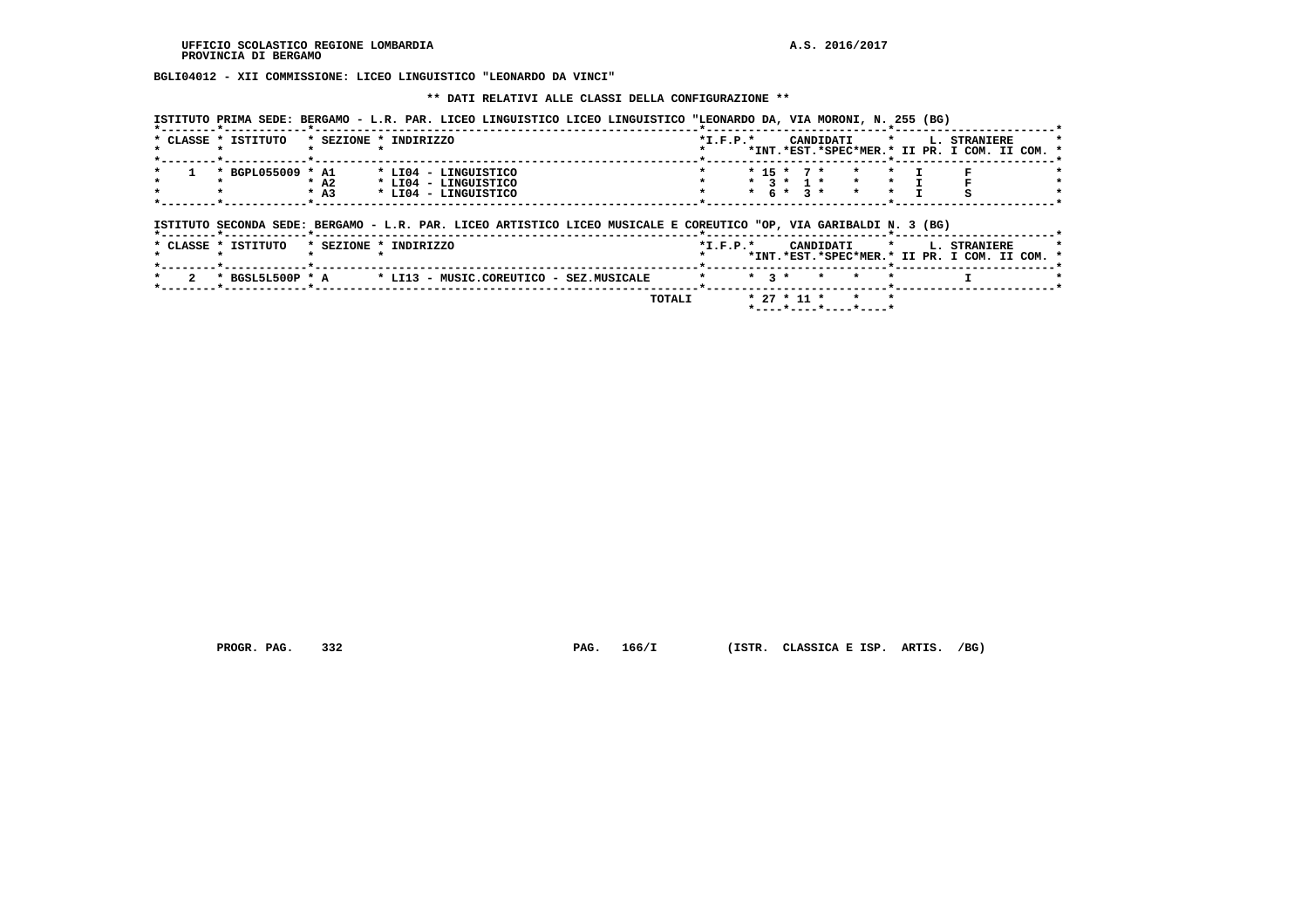$\star$ -------\*

 **BGLI04012 - XII COMMISSIONE: LICEO LINGUISTICO "LEONARDO DA VINCI"**

 **\*\* DATI RELATIVI ALLE CLASSI DELLA CONFIGURAZIONE \*\***

|  |                                           |        |                      | ISTITUTO PRIMA SEDE: BERGAMO - L.R. PAR. LICEO LINGUISTICO LICEO LINGUISTICO "LEONARDO DA, VIA MORONI, N. 255 (BG)<br>------------- <b>*</b> ------- |            |  |                                               |  |                                                                           |  |
|--|-------------------------------------------|--------|----------------------|------------------------------------------------------------------------------------------------------------------------------------------------------|------------|--|-----------------------------------------------|--|---------------------------------------------------------------------------|--|
|  | * CLASSE * ISTITUTO * SEZIONE * INDIRIZZO |        |                      |                                                                                                                                                      | $*T.F.P.*$ |  |                                               |  | CANDIDATI * L. STRANIERE<br>*INT.*EST.*SPEC*MER.* II PR. I COM. II COM. * |  |
|  | * BGPL055009 * A1                         |        | * LI04 - LINGUISTICO |                                                                                                                                                      |            |  | * 15 * 7 * * * I F                            |  |                                                                           |  |
|  |                                           | $*$ A2 | * LI04 - LINGUISTICO |                                                                                                                                                      |            |  | $\star$ 3 $\star$ 1 $\star$ $\star$ $\star$ T |  |                                                                           |  |
|  |                                           | $*$ A3 | * LI04 - LINGUISTICO |                                                                                                                                                      |            |  | $* 6 * 3 * * * * T$                           |  |                                                                           |  |

 **ISTITUTO SECONDA SEDE: BERGAMO - L.R. PAR. LICEO ARTISTICO LICEO MUSICALE E COREUTICO "OP, VIA GARIBALDI N. 3 (BG)**

 **\*--------\*------------\*-------------------------------------------------------\*--------------------------\*-----------------------\***

| * CLASSE * ISTITUTO | * SEZIONE * INDIRIZZO                   | $*T.F.P.*$ |                       | CANDIDATI * L. STRANIERE                      |  |
|---------------------|-----------------------------------------|------------|-----------------------|-----------------------------------------------|--|
|                     |                                         |            |                       | *INT.*EST.*SPEC*MER.* II PR. I COM. II COM. * |  |
|                     |                                         |            |                       |                                               |  |
| * BGSL5L500P * A    | * LI13 - MUSIC.COREUTICO - SEZ.MUSICALE |            | * * ? * * * *         |                                               |  |
|                     |                                         |            |                       |                                               |  |
|                     | TOTALI                                  |            | $* 27 * 11 * * * * *$ |                                               |  |
|                     |                                         |            |                       |                                               |  |

 **PROGR. PAG. 332 PAG. 166/I (ISTR. CLASSICA E ISP. ARTIS. /BG)**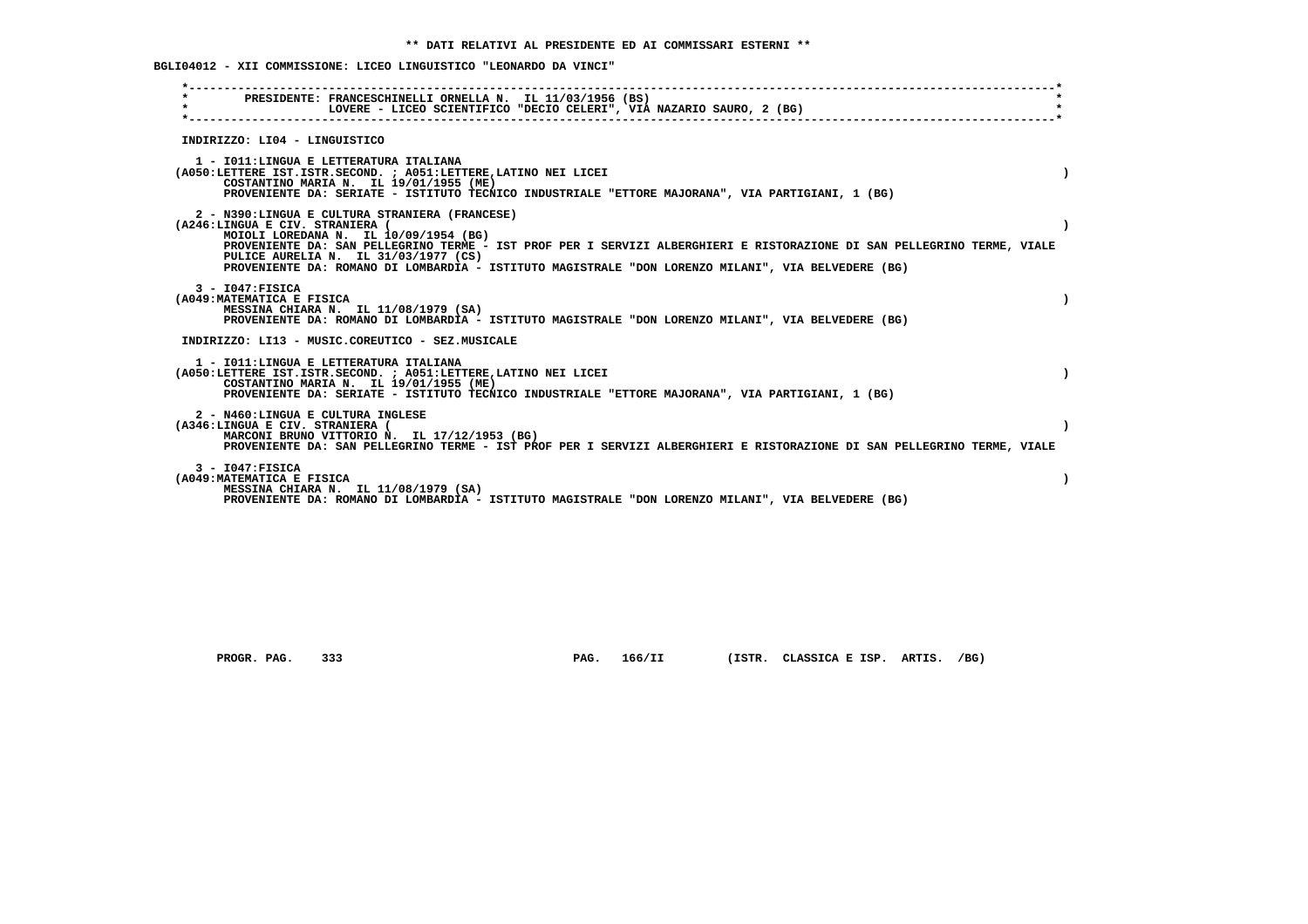**BGLI04012 - XII COMMISSIONE: LICEO LINGUISTICO "LEONARDO DA VINCI"**

| PRESIDENTE: FRANCESCHINELLI ORNELLA N. IL 11/03/1956 (BS)<br>$\star$<br>LOVERE - LICEO SCIENTIFICO "DECIO CELERI", VIA NAZARIO SAURO, 2 (BG)                                                                                                                                                                                                                                                        |  |
|-----------------------------------------------------------------------------------------------------------------------------------------------------------------------------------------------------------------------------------------------------------------------------------------------------------------------------------------------------------------------------------------------------|--|
| INDIRIZZO: LI04 - LINGUISTICO                                                                                                                                                                                                                                                                                                                                                                       |  |
| 1 - IO11: LINGUA E LETTERATURA ITALIANA<br>(A050:LETTERE IST.ISTR.SECOND. ; A051:LETTERE, LATINO NEI LICEI<br>COSTANTINO MARIA N. IL 19/01/1955 (ME)<br>PROVENIENTE DA: SERIATE - ISTITUTO TECNICO INDUSTRIALE "ETTORE MAJORANA", VIA PARTIGIANI, 1 (BG)                                                                                                                                            |  |
| 2 - N390:LINGUA E CULTURA STRANIERA (FRANCESE)<br>(A246:LINGUA E CIV. STRANIERA (<br>MOIOLI LOREDANA N. IL 10/09/1954 (BG)<br>PROVENIENTE DA: SAN PELLEGRINO TERME - IST PROF PER I SERVIZI ALBERGHIERI E RISTORAZIONE DI SAN PELLEGRINO TERME, VIALE<br>PULICE AURELIA N. IL 31/03/1977 (CS)<br>PROVENIENTE DA: ROMANO DI LOMBARDIA - ISTITUTO MAGISTRALE "DON LORENZO MILANI", VIA BELVEDERE (BG) |  |
| $3 - 1047:$ FISICA<br>(A049: MATEMATICA E FISICA<br>MESSINA CHIARA N. IL 11/08/1979 (SA)<br>PROVENIENTE DA: ROMANO DI LOMBARDIA - ISTITUTO MAGISTRALE "DON LORENZO MILANI", VIA BELVEDERE (BG)                                                                                                                                                                                                      |  |
| INDIRIZZO: LI13 - MUSIC.COREUTICO - SEZ.MUSICALE                                                                                                                                                                                                                                                                                                                                                    |  |
| 1 - IO11: LINGUA E LETTERATURA ITALIANA<br>(A050:LETTERE IST.ISTR.SECOND. ; A051:LETTERE, LATINO NEI LICEI<br>COSTANTINO MARIA N. IL 19/01/1955 (ME)<br>PROVENIENTE DA: SERIATE - ISTITUTO TECNICO INDUSTRIALE "ETTORE MAJORANA", VIA PARTIGIANI, 1 (BG)                                                                                                                                            |  |
| 2 - N460:LINGUA E CULTURA INGLESE<br>(A346:LINGUA E CIV. STRANIERA (<br>MARCONI BRUNO VITTORIO N. IL 17/12/1953 (BG)<br>PROVENIENTE DA: SAN PELLEGRINO TERME - IST PROF PER I SERVIZI ALBERGHIERI E RISTORAZIONE DI SAN PELLEGRINO TERME, VIALE                                                                                                                                                     |  |
| $3 - 1047:$ FISICA<br>(A049: MATEMATICA E FISICA<br>MESSINA CHIARA N. IL 11/08/1979 (SA)<br>PROVENIENTE DA: ROMANO DI LOMBARDIA - ISTITUTO MAGISTRALE "DON LORENZO MILANI", VIA BELVEDERE (BG)                                                                                                                                                                                                      |  |
|                                                                                                                                                                                                                                                                                                                                                                                                     |  |

 **PROGR. PAG. 333 PAG. 166/II (ISTR. CLASSICA E ISP. ARTIS. /BG)**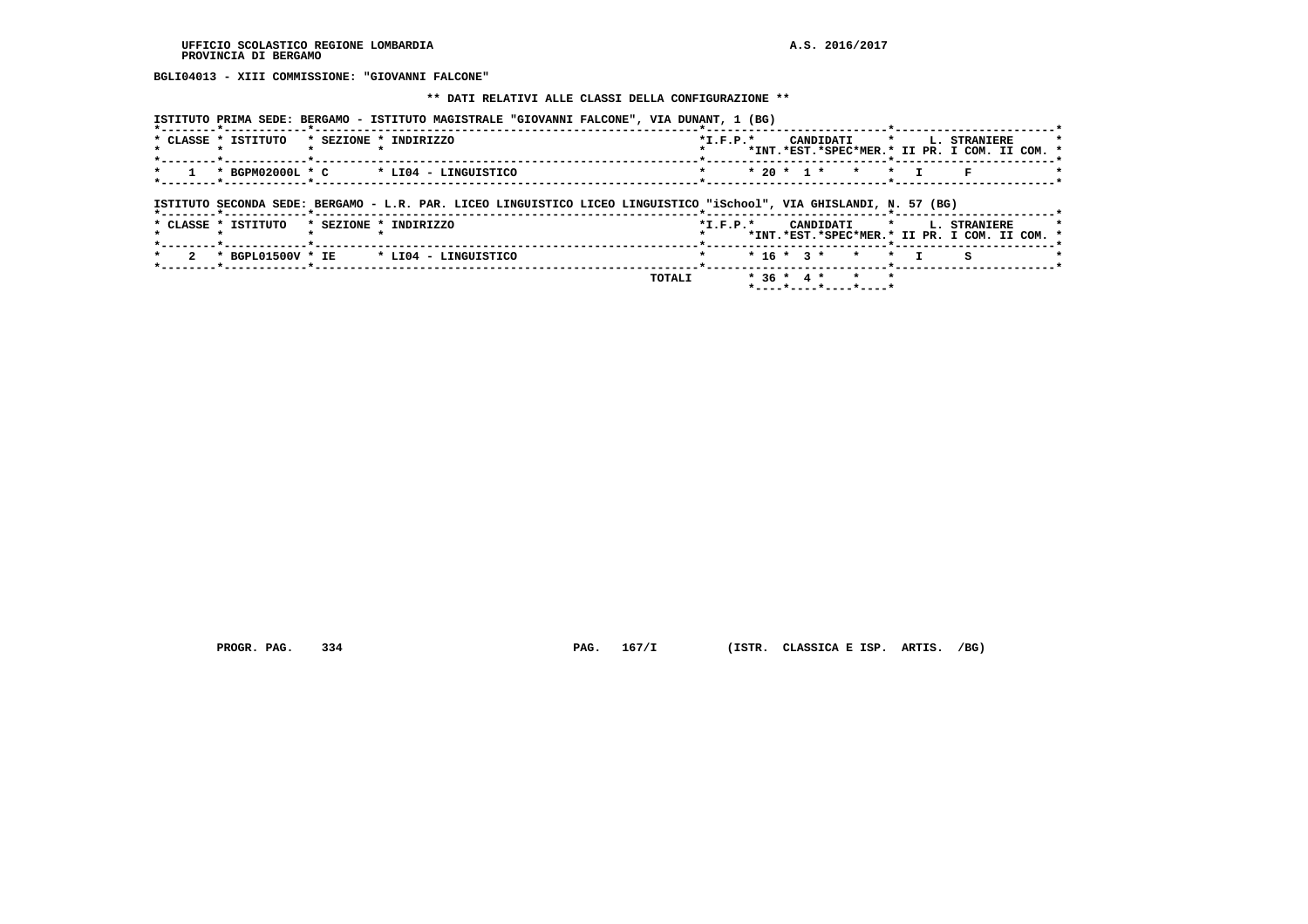**BGLI04013 - XIII COMMISSIONE: "GIOVANNI FALCONE"**

 **\*\* DATI RELATIVI ALLE CLASSI DELLA CONFIGURAZIONE \*\***

| PRIMA<br>SEDE<br><b>STITUTO</b> | <b>MAGISTRALE</b><br><b>BERGAMC</b><br>ISTITUTO | <b>"GIOVANNI</b><br><b>FALCONE"</b><br>VIA | $\mathbf{a}$<br>יטם |
|---------------------------------|-------------------------------------------------|--------------------------------------------|---------------------|
|                                 |                                                 |                                            |                     |

| * CLASSE * ISTITUTO                                               | * SEZIONE * INDIRIZZO | $*T$ , $F$ , $D$ , $*$                                                                                          | CANDIDATI * I. STRANIERE                      |  |  |
|-------------------------------------------------------------------|-----------------------|-----------------------------------------------------------------------------------------------------------------|-----------------------------------------------|--|--|
|                                                                   |                       |                                                                                                                 | *INT.*EST.*SPEC*MER.* II PR. I COM. II COM. * |  |  |
|                                                                   |                       | the contract of the contract of the contract of the contract of the contract of the contract of the contract of |                                               |  |  |
| $\star$ 1 $\star$ BGPM02000L $\star$ C $\star$ LI04 - LINGUISTICO |                       |                                                                                                                 | * 20 * 1 * * * T F                            |  |  |
|                                                                   |                       |                                                                                                                 |                                               |  |  |

 **ISTITUTO SECONDA SEDE: BERGAMO - L.R. PAR. LICEO LINGUISTICO LICEO LINGUISTICO "iSchool", VIA GHISLANDI, N. 57 (BG)**

|  | * CLASSE * ISTITUTO | * SEZIONE * INDIRIZZO                    |        | $*L.F.P.*$           |  |                                                 |  | CANDIDATI * L. STRANIERE<br>*INT.*EST.*SPEC*MER.* II PR. I COM. II COM. * | $\overline{\phantom{a}}$ |
|--|---------------------|------------------------------------------|--------|----------------------|--|-------------------------------------------------|--|---------------------------------------------------------------------------|--------------------------|
|  |                     | 2 * BGPL01500V * IE * LI04 - LINGUISTICO |        | * * 16 * 3 * * * I S |  |                                                 |  |                                                                           |                          |
|  |                     |                                          | TOTALI |                      |  | $*36 * 4 * * * * *$<br>$*$ ----*----*----*----* |  |                                                                           |                          |

 **PROGR. PAG. 334 PAG. 167/I (ISTR. CLASSICA E ISP. ARTIS. /BG)**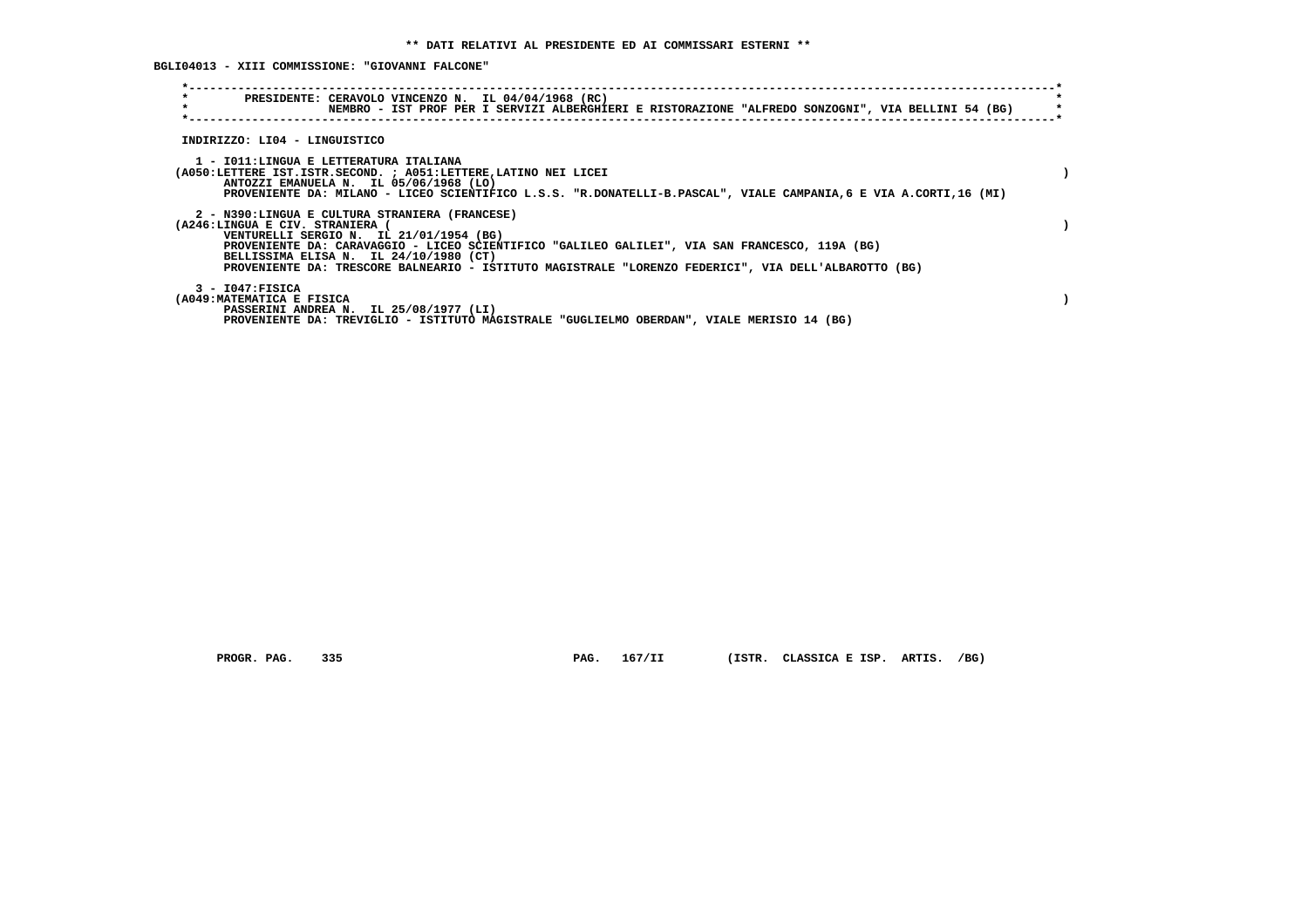# **BGLI04013 - XIII COMMISSIONE: "GIOVANNI FALCONE"**

| $\star$                        | PRESIDENTE: CERAVOLO VINCENZO N. IL 04/04/1968 (RC)                                                                                                          |  |  |  |  |
|--------------------------------|--------------------------------------------------------------------------------------------------------------------------------------------------------------|--|--|--|--|
|                                | NEMBRO - IST PROF PER I SERVIZI ALBERGHIERI E RISTORAZIONE "ALFREDO SONZOGNI", VIA BELLINI 54 (BG)                                                           |  |  |  |  |
|                                |                                                                                                                                                              |  |  |  |  |
| INDIRIZZO: LI04 - LINGUISTICO  |                                                                                                                                                              |  |  |  |  |
|                                |                                                                                                                                                              |  |  |  |  |
|                                | 1 - IO11:LINGUA E LETTERATURA ITALIANA                                                                                                                       |  |  |  |  |
|                                | (A050:LETTERE IST.ISTR.SECOND. ; A051:LETTERE, LATINO NEI LICEI                                                                                              |  |  |  |  |
|                                | ANTOZZI EMANUELA N. IL 05/06/1968 (LO)<br>PROVENIENTE DA: MILANO - LICEO SCIENTIFICO L.S.S. "R.DONATELLI-B.PASCAL", VIALE CAMPANIA, 6 E VIA A.CORTI, 16 (MI) |  |  |  |  |
|                                |                                                                                                                                                              |  |  |  |  |
|                                | 2 - N390:LINGUA E CULTURA STRANIERA (FRANCESE)                                                                                                               |  |  |  |  |
| (A246:LINGUA E CIV. STRANIERA) |                                                                                                                                                              |  |  |  |  |
|                                | VENTURELLI SERGIO N. IL 21/01/1954 (BG)                                                                                                                      |  |  |  |  |
|                                | PROVENIENTE DA: CARAVAGGIO - LICEO SCIENTIFICO "GALILEO GALILEI", VIA SAN FRANCESCO, 119A (BG)                                                               |  |  |  |  |
|                                | BELLISSIMA ELISA N. IL 24/10/1980 (CT)<br>PROVENIENTE DA: TRESCORE BALNEARIO - ISTITUTO MAGISTRALE "LORENZO FEDERICI", VIA DELL'ALBAROTTO (BG)               |  |  |  |  |
|                                |                                                                                                                                                              |  |  |  |  |
| 3 - I047:FISICA                |                                                                                                                                                              |  |  |  |  |
| (A049: MATEMATICA E FISICA     |                                                                                                                                                              |  |  |  |  |
|                                | PASSERINI ANDREA N. IL 25/08/1977 (LI)                                                                                                                       |  |  |  |  |
|                                | PROVENIENTE DA: TREVIGLIO - ISTITUTO MAGISTRALE "GUGLIELMO OBERDAN", VIALE MERISIO 14 (BG)                                                                   |  |  |  |  |

 **PROGR. PAG. 335 PAG. 167/II (ISTR. CLASSICA E ISP. ARTIS. /BG)**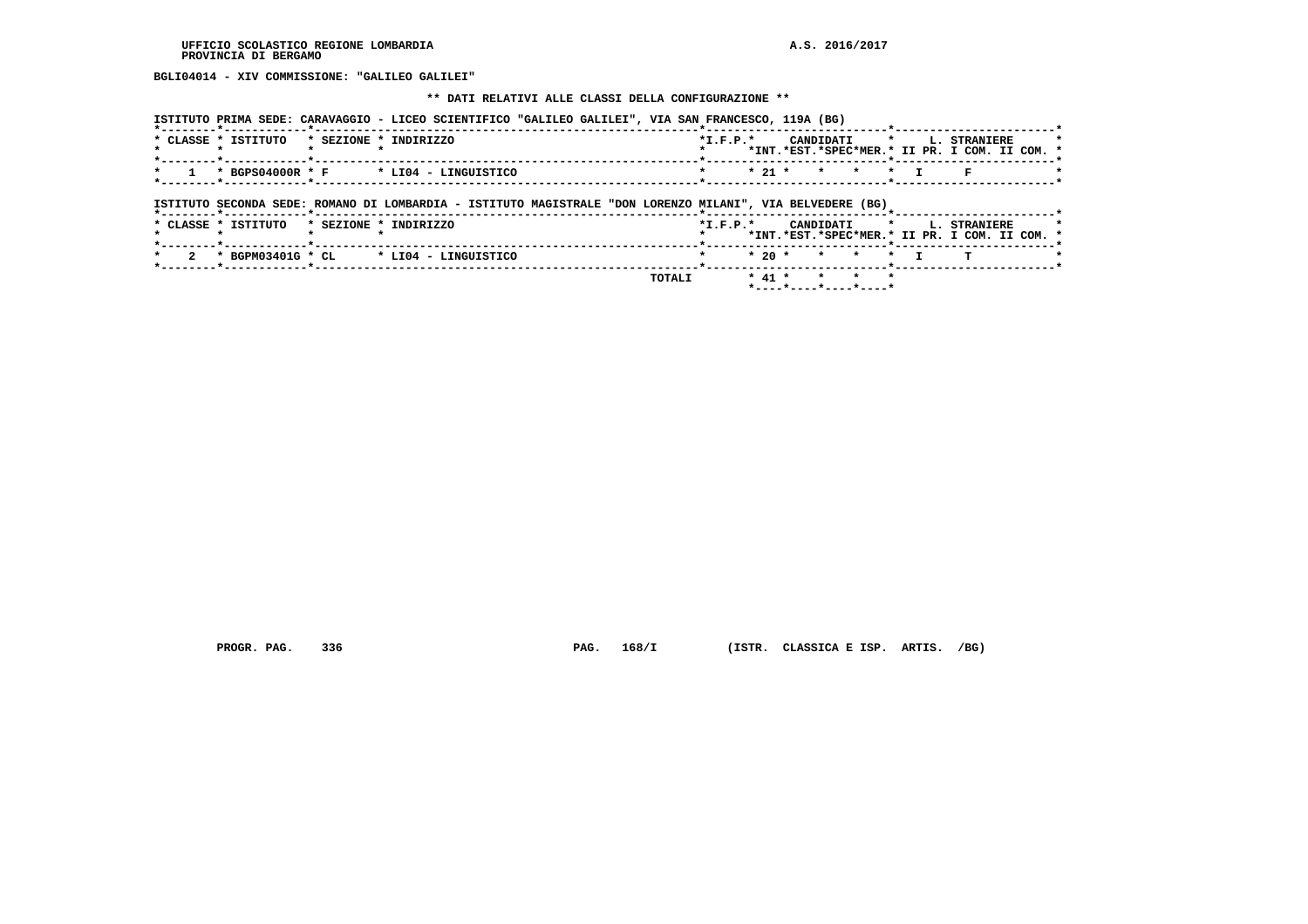**BGLI04014 - XIV COMMISSIONE: "GALILEO GALILEI"**

#### **\*\* DATI RELATIVI ALLE CLASSI DELLA CONFIGURAZIONE \*\***

|                                                                   | ISTITUTO PRIMA SEDE: CARAVAGGIO - LICEO SCIENTIFICO "GALILEO GALILEI", VIA SAN FRANCESCO, 119A (BG) |                        |                                               |
|-------------------------------------------------------------------|-----------------------------------------------------------------------------------------------------|------------------------|-----------------------------------------------|
|                                                                   |                                                                                                     | $*T$ , $F$ , $D$ , $*$ | CANDIDATI * I. STRANIERE                      |
| * CLASSE * ISTITUTO * SEZIONE * INDIRIZZO                         |                                                                                                     |                        | *INT.*EST.*SPEC*MER.* II PR. I COM. II COM. * |
|                                                                   |                                                                                                     |                        | -------- <b>--*----------------------</b>     |
| $\star$ 1 $\star$ BGPS04000R $\star$ F $\star$ LI04 - LINGUISTICO |                                                                                                     | * * 21 * * * * * T F   |                                               |
|                                                                   |                                                                                                     |                        |                                               |

 **ISTITUTO SECONDA SEDE: ROMANO DI LOMBARDIA - ISTITUTO MAGISTRALE "DON LORENZO MILANI", VIA BELVEDERE (BG)**

| *INT.*EST.*SPEC*MER.* II PR. I COM. II COM. *<br>2 * BGPM03401G * CL * LI04 - LINGUISTICO<br>* * 20 * * * * * I T | <b>TOTALI</b><br>* 41 * * * * |  |
|-------------------------------------------------------------------------------------------------------------------|-------------------------------|--|
|                                                                                                                   |                               |  |
| $*T.F.P.*$<br>* CLASSE * ISTITUTO<br>* SEZIONE * INDIRIZZO<br>CANDIDATI * L. STRANIERE                            |                               |  |

 **PROGR. PAG. 336 PAG. 168/I (ISTR. CLASSICA E ISP. ARTIS. /BG)**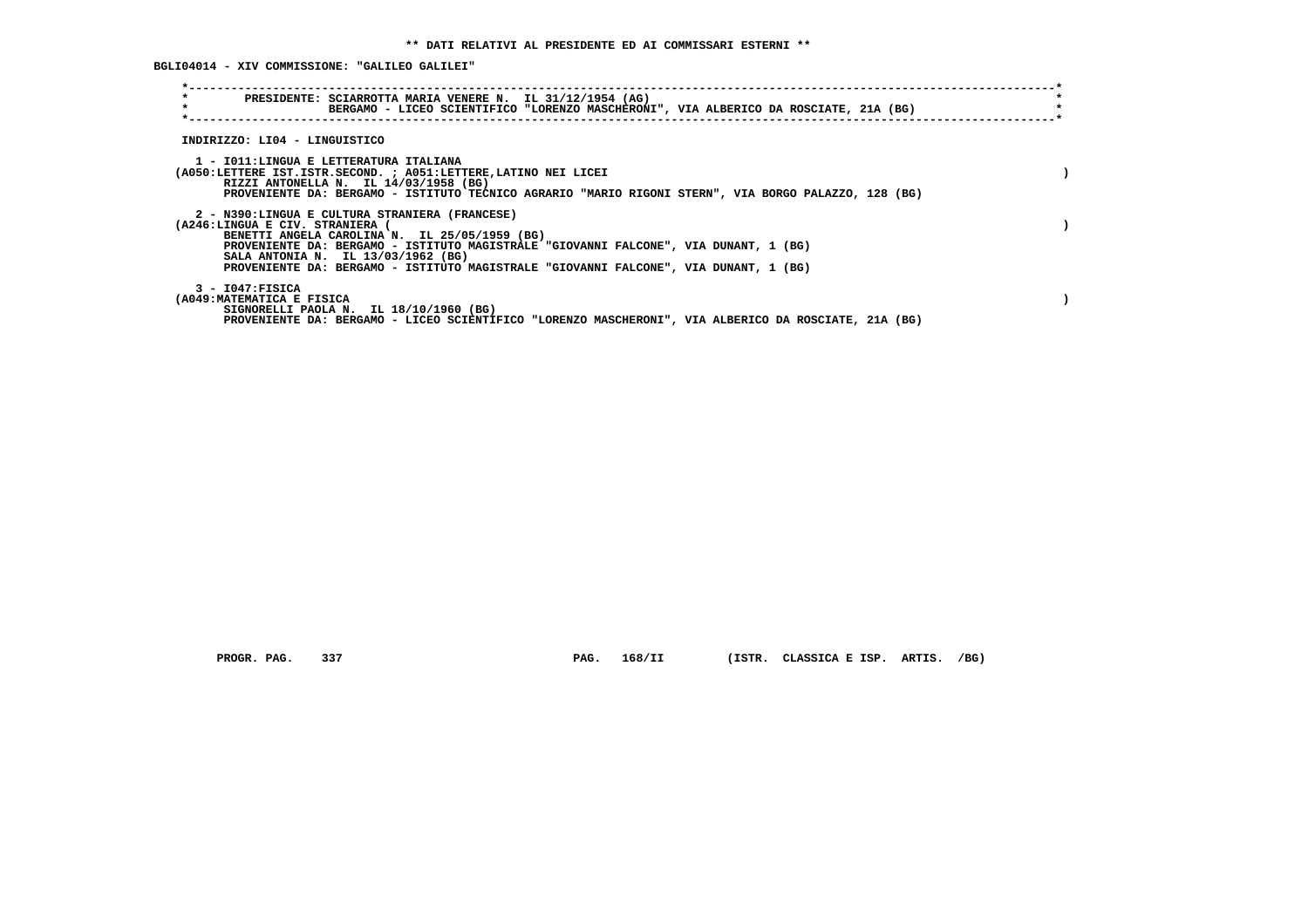**BGLI04014 - XIV COMMISSIONE: "GALILEO GALILEI"**

| $\star$                                         | PRESIDENTE: SCIARROTTA MARIA VENERE N. IL 31/12/1954 (AG)<br>BERGAMO - LICEO SCIENTIFICO "LORENZO MASCHERONI", VIA ALBERICO DA ROSCIATE, 21A (BG)                                                                                                                                                                     |  |
|-------------------------------------------------|-----------------------------------------------------------------------------------------------------------------------------------------------------------------------------------------------------------------------------------------------------------------------------------------------------------------------|--|
| INDIRIZZO: LI04 - LINGUISTICO                   |                                                                                                                                                                                                                                                                                                                       |  |
|                                                 | 1 - IO11:LINGUA E LETTERATURA ITALIANA<br>(A050:LETTERE IST.ISTR.SECOND. ; A051:LETTERE, LATINO NEI LICEI<br>RIZZI ANTONELLA N. IL 14/03/1958 (BG)<br>PROVENIENTE DA: BERGAMO - ISTITUTO TECNICO AGRARIO "MARIO RIGONI STERN", VIA BORGO PALAZZO, 128 (BG)                                                            |  |
| (A246:LINGUA E CIV. STRANIERA                   | 2 - N390:LINGUA E CULTURA STRANIERA (FRANCESE)<br>BENETTI ANGELA CAROLINA N. IL 25/05/1959 (BG)<br>PROVENIENTE DA: BERGAMO - ISTITUTO MAGISTRALE "GIOVANNI FALCONE", VIA DUNANT, 1 (BG)<br>SALA ANTONIA N. IL 13/03/1962 (BG)<br>PROVENIENTE DA: BERGAMO - ISTITUTO MAGISTRALE "GIOVANNI FALCONE", VIA DUNANT, 1 (BG) |  |
| $3 - 1047:$ FISICA<br>(A049:MATEMATICA E FISICA | SIGNORELLI PAOLA N. IL 18/10/1960 (BG)<br>PROVENIENTE DA: BERGAMO - LICEO SCIENTIFICO "LORENZO MASCHERONI", VIA ALBERICO DA ROSCIATE, 21A (BG)                                                                                                                                                                        |  |

 **PROGR. PAG. 337 PAG. 168/II (ISTR. CLASSICA E ISP. ARTIS. /BG)**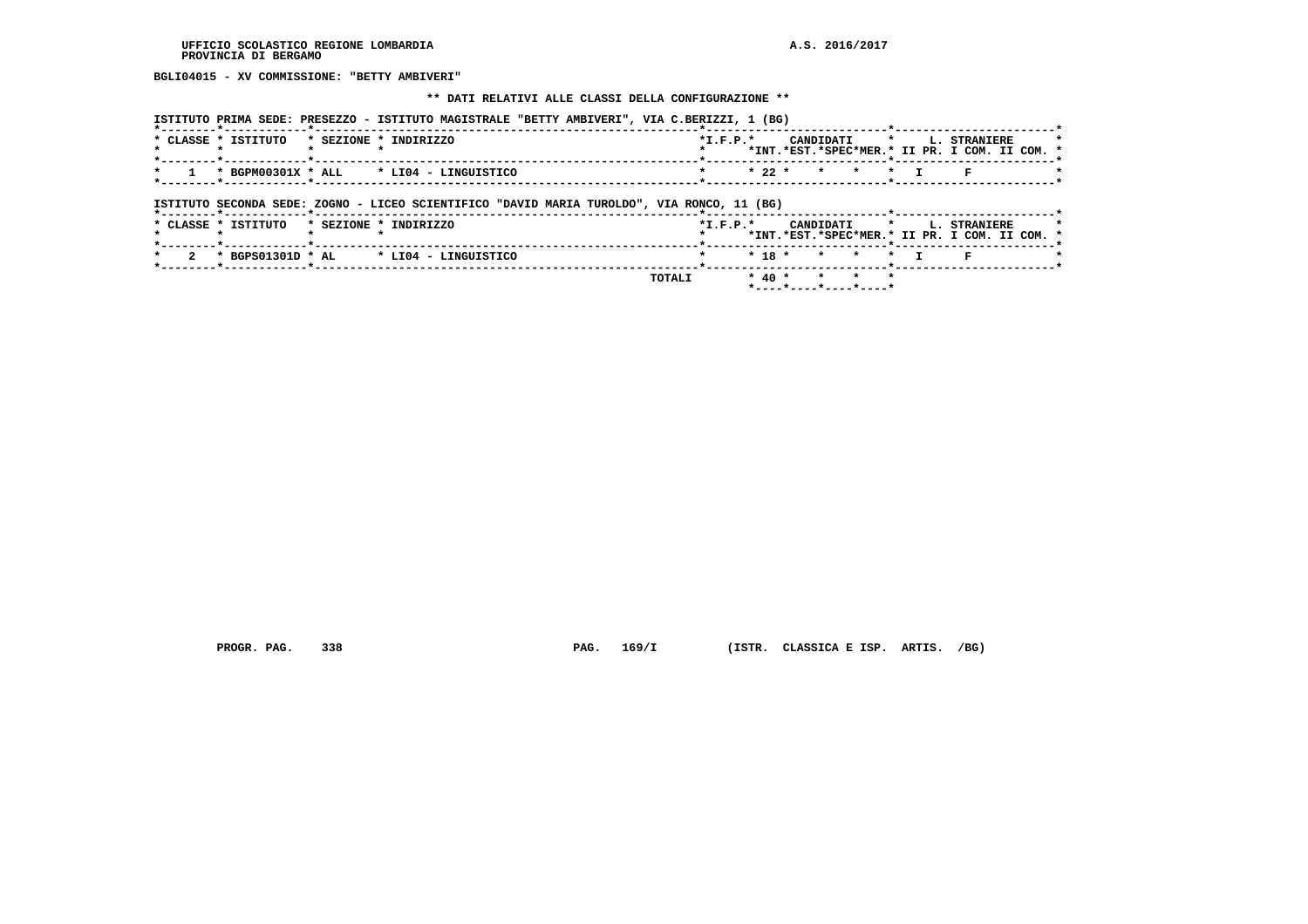**BGLI04015 - XV COMMISSIONE: "BETTY AMBIVERI"**

#### **\*\* DATI RELATIVI ALLE CLASSI DELLA CONFIGURAZIONE \*\***

| ISTITUTO PRIMA SEDE: PRESEZZO - ISTITUTO MAGISTRALE "BETTY AMBIVERI", VIA C.BERIZZI, 1 (BG) |                                                    |
|---------------------------------------------------------------------------------------------|----------------------------------------------------|
|                                                                                             |                                                    |
| $*$ CLASSE $*$ TSTITUTO $*$ SEZIONE $*$ INDIRIZZO                                           | $*T$ , $F$ , $D$ , $*$<br>CANDIDATI * I. STRANIERE |
|                                                                                             | *INT.*EST.*SPEC*MER.* II PR. I COM. II COM. *      |
|                                                                                             |                                                    |
| $\star$ 1 $\star$ BGPM00301X $\star$ ALL $\star$ LI04 - LINGUISTICO                         | * 22 * * * * T F                                   |
|                                                                                             |                                                    |

 **ISTITUTO SECONDA SEDE: ZOGNO - LICEO SCIENTIFICO "DAVID MARIA TUROLDO", VIA RONCO, 11 (BG)**

|                     |                                                                   | <b>TOTALI</b> |            |  | $* 40 * * * * * * *$ |  |                                                                           |  |
|---------------------|-------------------------------------------------------------------|---------------|------------|--|----------------------|--|---------------------------------------------------------------------------|--|
|                     | $2 \times B$ GPS01301D * AL $\longrightarrow L$ I04 - LINGUISTICO |               |            |  | * 18 * * * * T F     |  |                                                                           |  |
| * CLASSE * ISTITUTO | * SEZIONE * INDIRIZZO                                             |               | $*T.F.P.*$ |  |                      |  | CANDIDATI * L. STRANIERE<br>*INT.*EST.*SPEC*MER.* II PR. I COM. II COM. * |  |
|                     |                                                                   |               |            |  |                      |  |                                                                           |  |
|                     |                                                                   |               |            |  |                      |  |                                                                           |  |

 **PROGR. PAG. 338 PAG. 169/I (ISTR. CLASSICA E ISP. ARTIS. /BG)**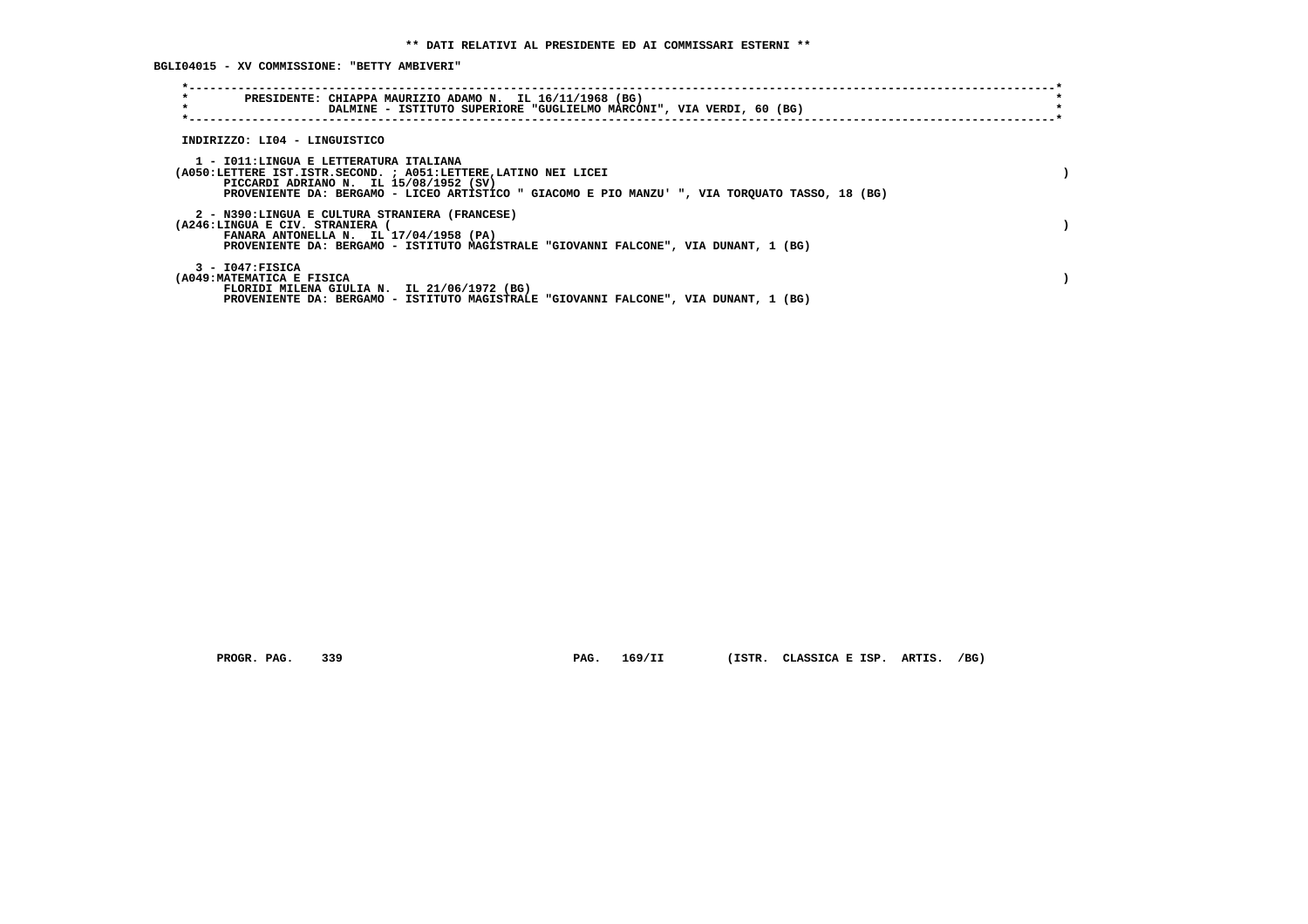**BGLI04015 - XV COMMISSIONE: "BETTY AMBIVERI"**

| $\star$<br>PRESIDENTE: CHIAPPA MAURIZIO ADAMO N. IL 16/11/1968 (BG)<br>$\star$<br>DALMINE - ISTITUTO SUPERIORE "GUGLIELMO MARCONI", VIA VERDI, 60 (BG)                                                                                                 |  |
|--------------------------------------------------------------------------------------------------------------------------------------------------------------------------------------------------------------------------------------------------------|--|
| INDIRIZZO: LI04 - LINGUISTICO                                                                                                                                                                                                                          |  |
| 1 - IO11:LINGUA E LETTERATURA ITALIANA<br>(A050:LETTERE IST.ISTR.SECOND. ; A051:LETTERE, LATINO NEI LICEI<br>PICCARDI ADRIANO N. IL 15/08/1952 (SV)<br>PROVENIENTE DA: BERGAMO - LICEO ARTISTICO " GIACOMO E PIO MANZU' ", VIA TORQUATO TASSO, 18 (BG) |  |
| 2 - N390:LINGUA E CULTURA STRANIERA (FRANCESE)<br>(A246:LINGUA E CIV. STRANIERA<br>FANARA ANTONELLA N. IL 17/04/1958 (PA)<br>PROVENIENTE DA: BERGAMO - ISTITUTO MAGISTRALE "GIOVANNI FALCONE", VIA DUNANT, 1 (BG)                                      |  |
| 3 - I047:FISICA<br>(A049: MATEMATICA E FISICA<br>FLORIDI MILENA GIULIA N. IL 21/06/1972 (BG)<br>PROVENIENTE DA: BERGAMO - ISTITUTO MAGISTRALE "GIOVANNI FALCONE", VIA DUNANT, 1 (BG)                                                                   |  |

 **PROGR. PAG. 339 PAG. 169/II (ISTR. CLASSICA E ISP. ARTIS. /BG)**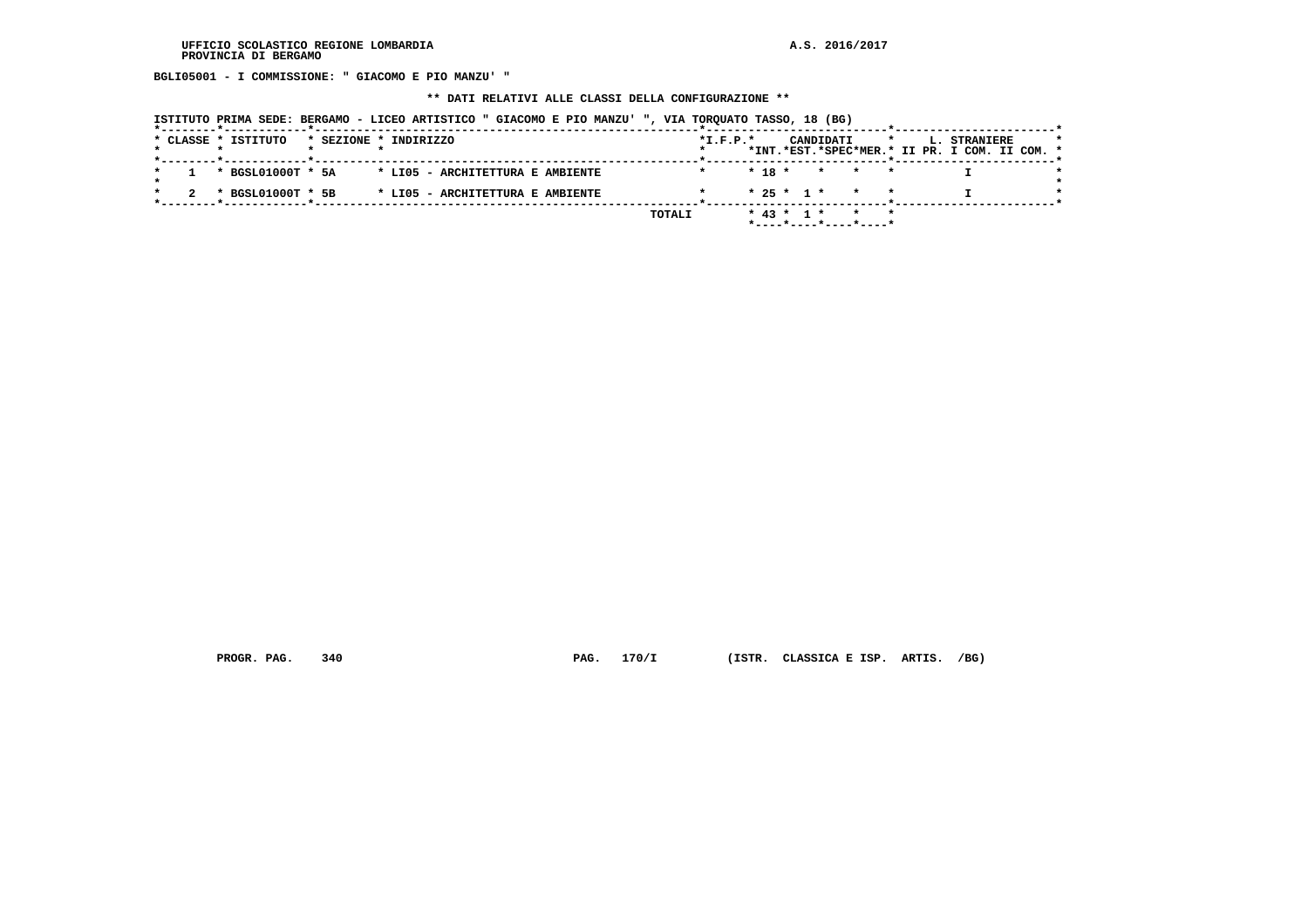**BGLI05001 - I COMMISSIONE: " GIACOMO E PIO MANZU' "**

 **\*\* DATI RELATIVI ALLE CLASSI DELLA CONFIGURAZIONE \*\***

| ISTITUTO PRIMA SEDE: BERGAMO - LICEO ARTISTICO " GIACOMO E PIO MANZU' ", VIA TORQUATO TASSO, 18 (BG) |  |  |  |  |
|------------------------------------------------------------------------------------------------------|--|--|--|--|
|                                                                                                      |  |  |  |  |

|  | * CLASSE * ISTITUTO |  | * SEZIONE * INDIRIZZO            |        | $*I.F.P.*$ |  |                  | CANDIDATI |                       |  | <b>L. STRANIERE</b>                           |  | $\star$ |
|--|---------------------|--|----------------------------------|--------|------------|--|------------------|-----------|-----------------------|--|-----------------------------------------------|--|---------|
|  |                     |  |                                  |        |            |  |                  |           |                       |  | *INT.*EST.*SPEC*MER.* II PR. I COM. II COM. * |  |         |
|  |                     |  |                                  |        |            |  |                  |           |                       |  |                                               |  |         |
|  | * BGSL01000T * 5A   |  | * LIO5 - ARCHITETTURA E AMBIENTE |        |            |  | $* 18 *$         |           | * * *                 |  |                                               |  |         |
|  |                     |  |                                  |        |            |  |                  |           |                       |  |                                               |  |         |
|  | * BGSL01000T * 5B   |  | * LIO5 - ARCHITETTURA E AMBIENTE |        |            |  |                  |           | $* 25 * 1 * * * * *$  |  |                                               |  |         |
|  |                     |  |                                  |        |            |  |                  |           |                       |  |                                               |  |         |
|  |                     |  |                                  | TOTALI |            |  | $*$ 43 $*$ 1 $*$ |           | $\star$ $\star$       |  |                                               |  |         |
|  |                     |  |                                  |        |            |  |                  |           | *----*----*----*----* |  |                                               |  |         |

 **PROGR. PAG. 340 PAG. 170/I (ISTR. CLASSICA E ISP. ARTIS. /BG)**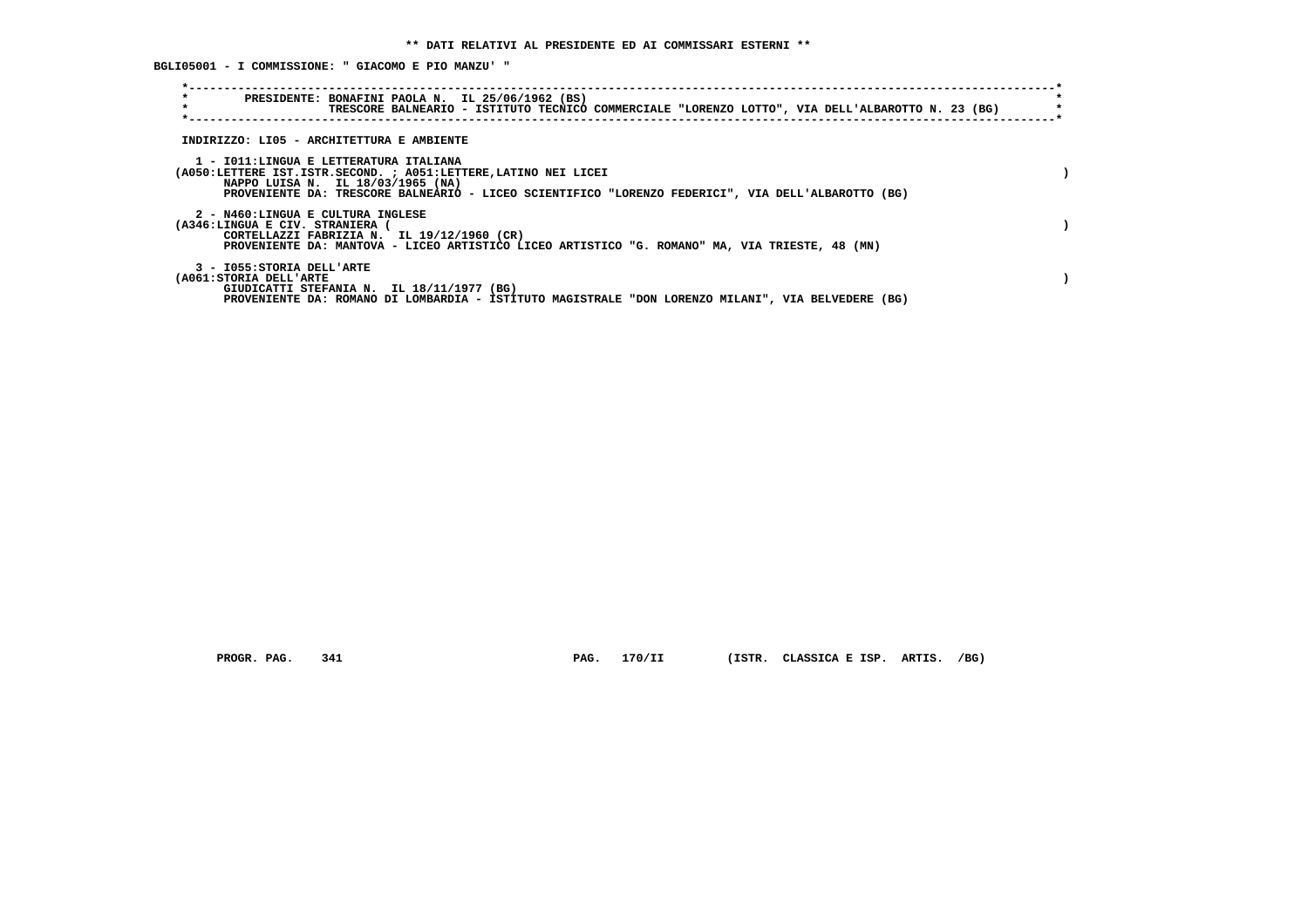**BGLI05001 - I COMMISSIONE: " GIACOMO E PIO MANZU' "**

| $\star$<br>$\star$                                                 | PRESIDENTE: BONAFINI PAOLA N. IL 25/06/1962 (BS)<br>TRESCORE BALNEARIO - ISTITUTO TECNICO COMMERCIALE "LORENZO LOTTO", VIA DELL'ALBAROTTO N. 23 (BG)                                                                                                 |  |
|--------------------------------------------------------------------|------------------------------------------------------------------------------------------------------------------------------------------------------------------------------------------------------------------------------------------------------|--|
|                                                                    | INDIRIZZO: LI05 - ARCHITETTURA E AMBIENTE                                                                                                                                                                                                            |  |
|                                                                    | 1 - IO11:LINGUA E LETTERATURA ITALIANA<br>(A050:LETTERE IST.ISTR.SECOND. ; A051:LETTERE, LATINO NEI LICEI<br>NAPPO LUISA N. IL 18/03/1965 (NA)<br>PROVENIENTE DA: TRESCORE BALNEARIO - LICEO SCIENTIFICO "LORENZO FEDERICI", VIA DELL'ALBAROTTO (BG) |  |
| 2 - N460:LINGUA E CULTURA INGLESE<br>(A346:LINGUA E CIV. STRANIERA | CORTELLAZZI FABRIZIA N. IL 19/12/1960 (CR)<br>PROVENIENTE DA: MANTOVA - LICEO ARTISTICO LICEO ARTISTICO "G. ROMANO" MA, VIA TRIESTE, 48 (MN)                                                                                                         |  |
| 3 - I055: STORIA DELL'ARTE<br>(A061:STORIA DELL'ARTE               | GIUDICATTI STEFANIA N. IL 18/11/1977 (BG)<br>PROVENIENTE DA: ROMANO DI LOMBARDIA - ISTITUTO MAGISTRALE "DON LORENZO MILANI", VIA BELVEDERE (BG)                                                                                                      |  |

 **PROGR. PAG. 341 PAG. 170/II (ISTR. CLASSICA E ISP. ARTIS. /BG)**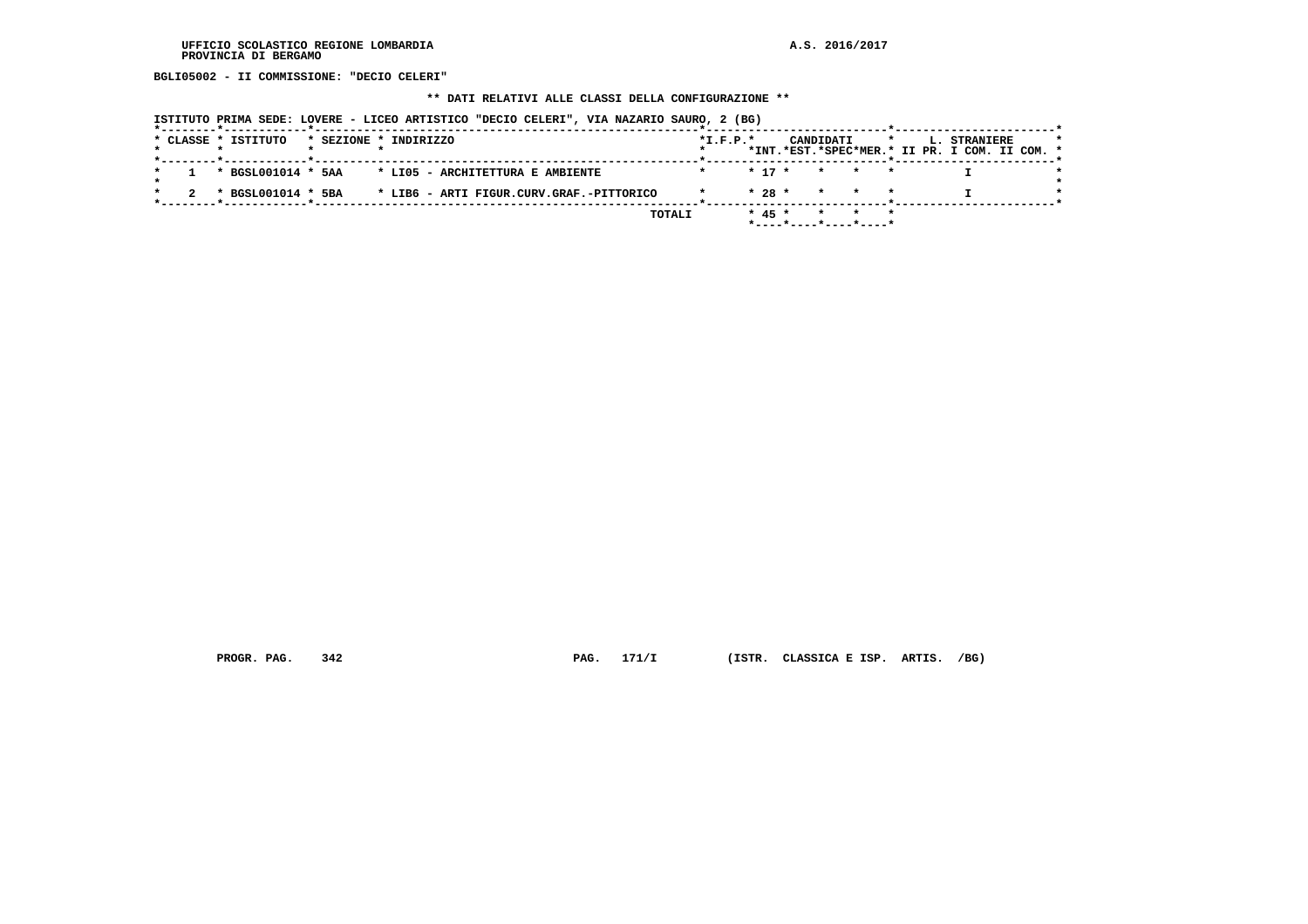**BGLI05002 - II COMMISSIONE: "DECIO CELERI"**

#### **\*\* DATI RELATIVI ALLE CLASSI DELLA CONFIGURAZIONE \*\***

 **ISTITUTO PRIMA SEDE: LOVERE - LICEO ARTISTICO "DECIO CELERI", VIA NAZARIO SAURO, 2 (BG)**

|  | * CLASSE * ISTITUTO |  | * SEZIONE * INDIRIZZO                               | $*L.F.P.*$ |          |                    | CANDIDATI | $\star$ |  | <b>L. STRANIERE</b><br>*INT.*EST.*SPEC*MER.* II PR. I COM. II COM. * |  |
|--|---------------------|--|-----------------------------------------------------|------------|----------|--------------------|-----------|---------|--|----------------------------------------------------------------------|--|
|  |                     |  |                                                     |            |          |                    |           |         |  |                                                                      |  |
|  |                     |  | * BGSL001014 * 5AA * LI05 - ARCHITETTURA E AMBIENTE |            |          | $* 17 * * * * * *$ |           |         |  |                                                                      |  |
|  |                     |  |                                                     |            |          |                    |           |         |  |                                                                      |  |
|  |                     |  |                                                     |            |          | $* 28 * * * * * *$ |           |         |  |                                                                      |  |
|  |                     |  |                                                     |            |          |                    |           |         |  |                                                                      |  |
|  |                     |  | <b>TOTALI</b>                                       |            | $* 45 *$ |                    |           | * * *   |  |                                                                      |  |
|  |                     |  |                                                     |            |          |                    |           |         |  |                                                                      |  |

 **PROGR. PAG. 342 PAG. 171/I (ISTR. CLASSICA E ISP. ARTIS. /BG)**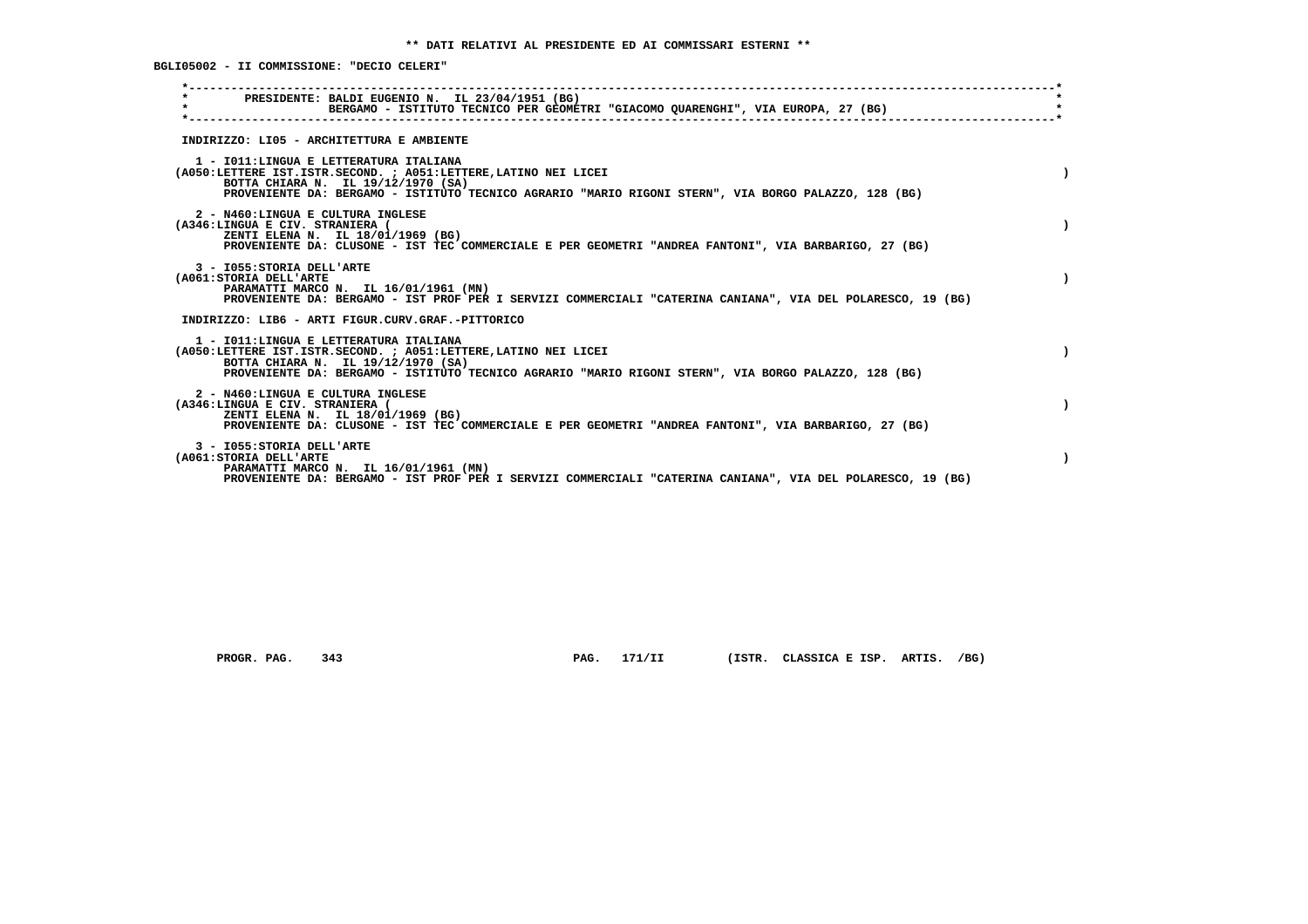**BGLI05002 - II COMMISSIONE: "DECIO CELERI"**

| PRESIDENTE: BALDI EUGENIO N. IL 23/04/1951 (BG)<br>$\star$<br>BERGAMO - ISTITUTO TECNICO PER GEOMETRI "GIACOMO QUARENGHI", VIA EUROPA, 27 (BG)                                                                                                           |           |
|----------------------------------------------------------------------------------------------------------------------------------------------------------------------------------------------------------------------------------------------------------|-----------|
| INDIRIZZO: LI05 - ARCHITETTURA E AMBIENTE                                                                                                                                                                                                                |           |
| 1 - IO11: LINGUA E LETTERATURA ITALIANA<br>(A050:LETTERE IST.ISTR.SECOND. ; A051:LETTERE, LATINO NEI LICEI<br>BOTTA CHIARA N. IL 19/12/1970 (SA)<br>PROVENIENTE DA: BERGAMO - ISTITUTO TECNICO AGRARIO "MARIO RIGONI STERN", VIA BORGO PALAZZO, 128 (BG) |           |
| 2 - N460:LINGUA E CULTURA INGLESE<br>(A346:LINGUA E CIV. STRANIERA (<br>ZENTI ELENA N. IL 18/01/1969 (BG)<br>PROVENIENTE DA: CLUSONE - IST TEC COMMERCIALE E PER GEOMETRI "ANDREA FANTONI", VIA BARBARIGO, 27 (BG)                                       |           |
| 3 - I055: STORIA DELL'ARTE<br>(A061: STORIA DELL'ARTE<br>PARAMATTI MARCO N. IL 16/01/1961 (MN)<br>PROVENIENTE DA: BERGAMO - IST PROF PER I SERVIZI COMMERCIALI "CATERINA CANIANA", VIA DEL POLARESCO, 19 (BG)                                            |           |
| INDIRIZZO: LIB6 - ARTI FIGUR.CURV.GRAF.-PITTORICO                                                                                                                                                                                                        |           |
| 1 - IO11: LINGUA E LETTERATURA ITALIANA<br>(A050:LETTERE IST.ISTR.SECOND. ; A051:LETTERE, LATINO NEI LICEI<br>BOTTA CHIARA N. IL 19/12/1970 (SA)<br>PROVENIENTE DA: BERGAMO - ISTITUTO TECNICO AGRARIO "MARIO RIGONI STERN", VIA BORGO PALAZZO, 128 (BG) | $\lambda$ |
| 2 - N460:LINGUA E CULTURA INGLESE<br>(A346:LINGUA E CIV. STRANIERA (<br>ZENTI ELENA N. IL 18/01/1969 (BG)<br>PROVENIENTE DA: CLUSONE - IST TEC COMMERCIALE E PER GEOMETRI "ANDREA FANTONI", VIA BARBARIGO, 27 (BG)                                       |           |
| 3 - I055: STORIA DELL'ARTE<br>(A061: STORIA DELL'ARTE<br>PARAMATTI MARCO N. IL 16/01/1961 (MN)<br>PROVENIENTE DA: BERGAMO - IST PROF PER I SERVIZI COMMERCIALI "CATERINA CANIANA", VIA DEL POLARESCO, 19 (BG)                                            |           |
|                                                                                                                                                                                                                                                          |           |

 **PROGR. PAG. 343 PAG. 171/II (ISTR. CLASSICA E ISP. ARTIS. /BG)**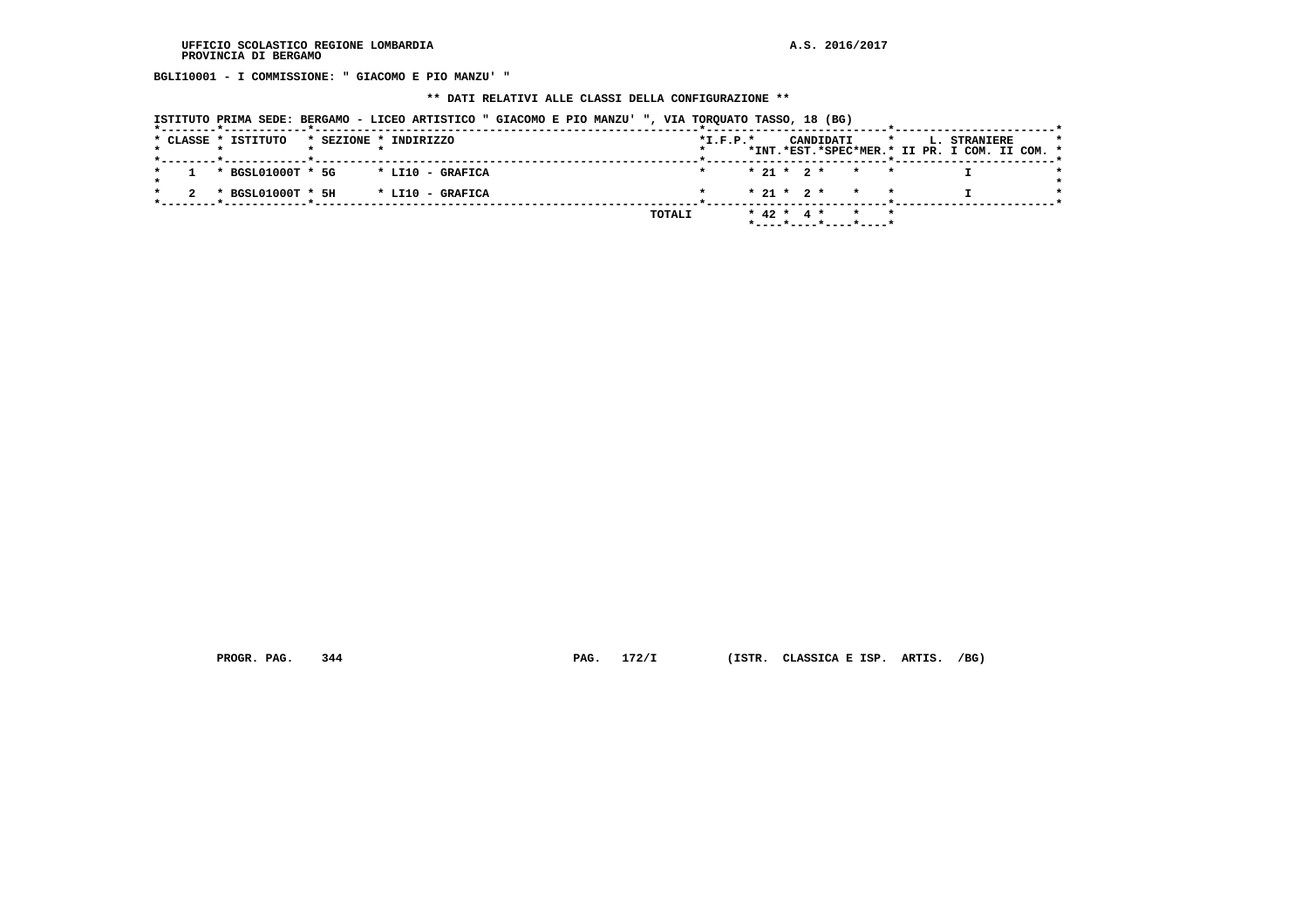**BGLI10001 - I COMMISSIONE: " GIACOMO E PIO MANZU' "**

#### **\*\* DATI RELATIVI ALLE CLASSI DELLA CONFIGURAZIONE \*\***

| ISTITUTO PRIMA SEDE: BERGAMO - LICEO ARTISTICO " GIACOMO E PIO MANZU' ", VIA TORQUATO TASSO, 18 (BG) |  |  |  |  |
|------------------------------------------------------------------------------------------------------|--|--|--|--|
|                                                                                                      |  |  |  |  |

|  |  | * CLASSE * ISTITUTO |  | * SEZIONE * INDIRIZZO |  |  |        | $*L.F.P.*$ |  |                  | CANDIDATI                                |  | L. STRANIERE<br>*INT.*EST.*SPEC*MER.* II PR. I COM. II COM. * |  |  |
|--|--|---------------------|--|-----------------------|--|--|--------|------------|--|------------------|------------------------------------------|--|---------------------------------------------------------------|--|--|
|  |  | * BGSL01000T * 5G   |  | * LI10 - GRAFICA      |  |  |        |            |  |                  | $* 21 * 2 * * * * *$                     |  |                                                               |  |  |
|  |  | * BGSL01000T * 5H   |  | * LI10 - GRAFICA      |  |  |        |            |  |                  | $* 21 * 2 * * * * *$                     |  |                                                               |  |  |
|  |  |                     |  |                       |  |  | TOTALI |            |  | $*$ 42 $*$ 4 $*$ | $\star$ $\star$<br>*----*----*----*----* |  |                                                               |  |  |

 **PROGR. PAG. 344 PAG. 172/I (ISTR. CLASSICA E ISP. ARTIS. /BG)**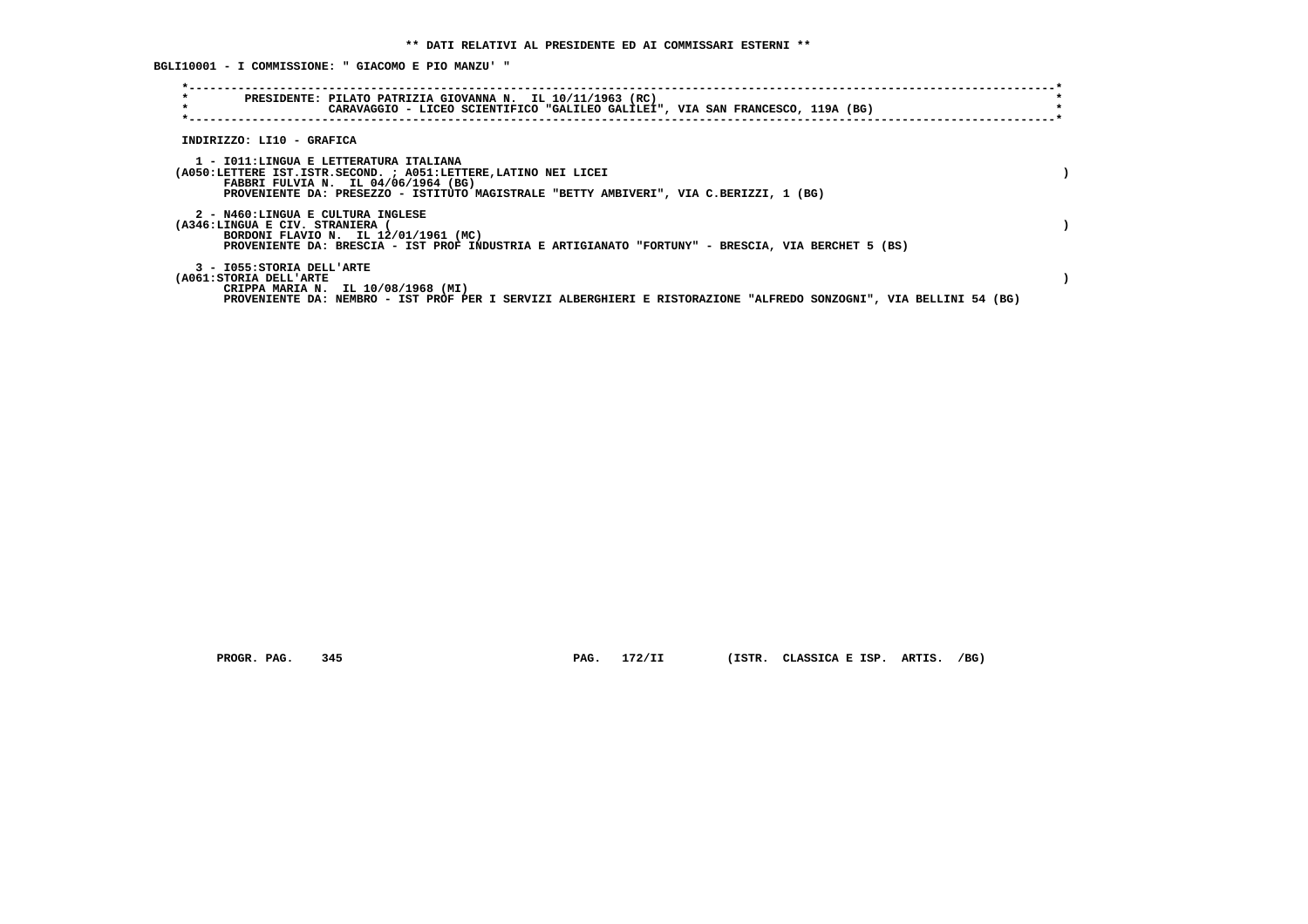**\*----------------------------------------------------------------------------------------------------------------------------\* \* PRESIDENTE: PILATO PATRIZIA GIOVANNA N. IL 10/11/1963 (RC) \*** $\star$  **\* CARAVAGGIO - LICEO SCIENTIFICO "GALILEO GALILEI", VIA SAN FRANCESCO, 119A (BG) \* \*----------------------------------------------------------------------------------------------------------------------------\* INDIRIZZO: LI10 - GRAFICA 1 - I011:LINGUA E LETTERATURA ITALIANA (A050:LETTERE IST.ISTR.SECOND. ; A051:LETTERE,LATINO NEI LICEI ) FABBRI FULVIA N. IL 04/06/1964 (BG) PROVENIENTE DA: PRESEZZO - ISTITUTO MAGISTRALE "BETTY AMBIVERI", VIA C.BERIZZI, 1 (BG) 2 - N460:LINGUA E CULTURA INGLESE (A346:LINGUA E CIV. STRANIERA ( ) BORDONI FLAVIO N. IL 12/01/1961 (MC) PROVENIENTE DA: BRESCIA - IST PROF INDUSTRIA E ARTIGIANATO "FORTUNY" - BRESCIA, VIA BERCHET 5 (BS) 3 - I055:STORIA DELL'ARTE (A061:STORIA DELL'ARTE ) CRIPPA MARIA N. IL 10/08/1968 (MI) PROVENIENTE DA: NEMBRO - IST PROF PER I SERVIZI ALBERGHIERI E RISTORAZIONE "ALFREDO SONZOGNI", VIA BELLINI 54 (BG)**

 **BGLI10001 - I COMMISSIONE: " GIACOMO E PIO MANZU' "**

 **PROGR. PAG. 345 PAG. 172/II (ISTR. CLASSICA E ISP. ARTIS. /BG)**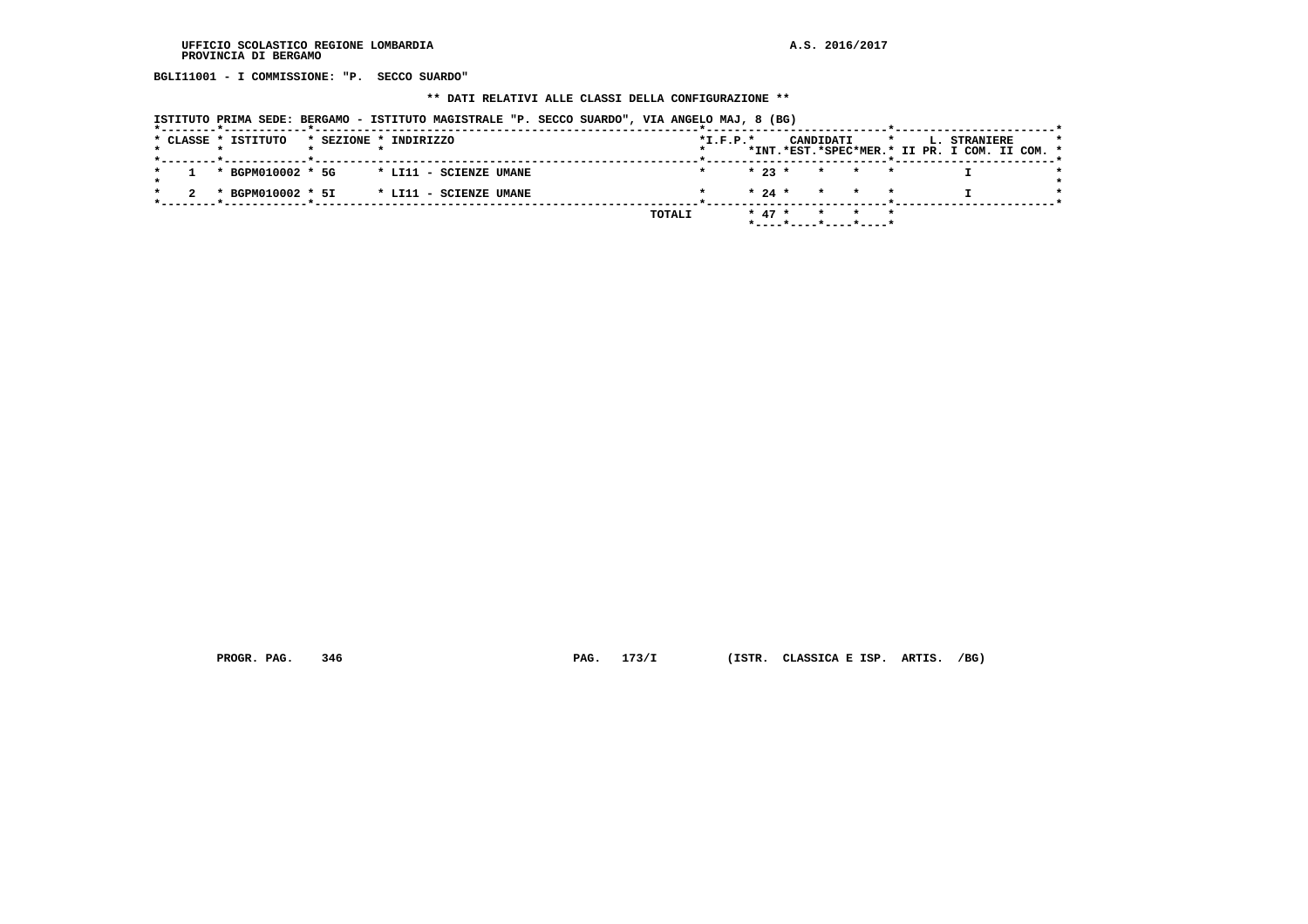**BGLI11001 - I COMMISSIONE: "P. SECCO SUARDO"**

#### **\*\* DATI RELATIVI ALLE CLASSI DELLA CONFIGURAZIONE \*\***

| ISTITUTO PRIMA SEDE: BERGAMO - ISTITUTO MAGISTRALE "P. SECCO SUARDO", VIA ANGELO MAJ, 8 (BG) |                                                                                                     |
|----------------------------------------------------------------------------------------------|-----------------------------------------------------------------------------------------------------|
| * CLASSE * ISTITUTO<br>* SEZIONE * INDIRIZZO                                                 | $*L.F.P.*$<br>CANDIDATI<br>L. STRANIERE<br>$\star$<br>*INT.*EST.*SPEC*MER.* II PR. I COM. II COM. * |
| * BGPM010002 * 5G<br>* LI11 - SCIENZE UMANE                                                  | $* 23 *$<br>$\star$ $\star$ $\star$                                                                 |
| * BGPM010002 * 5I<br>* LI11 - SCIENZE UMANE                                                  | $* 24 *$<br>* * *                                                                                   |
|                                                                                              | $* 47 *$<br>TOTALI<br>*----*----*----*----*                                                         |

 **PROGR. PAG. 346 PAG. 173/I (ISTR. CLASSICA E ISP. ARTIS. /BG)**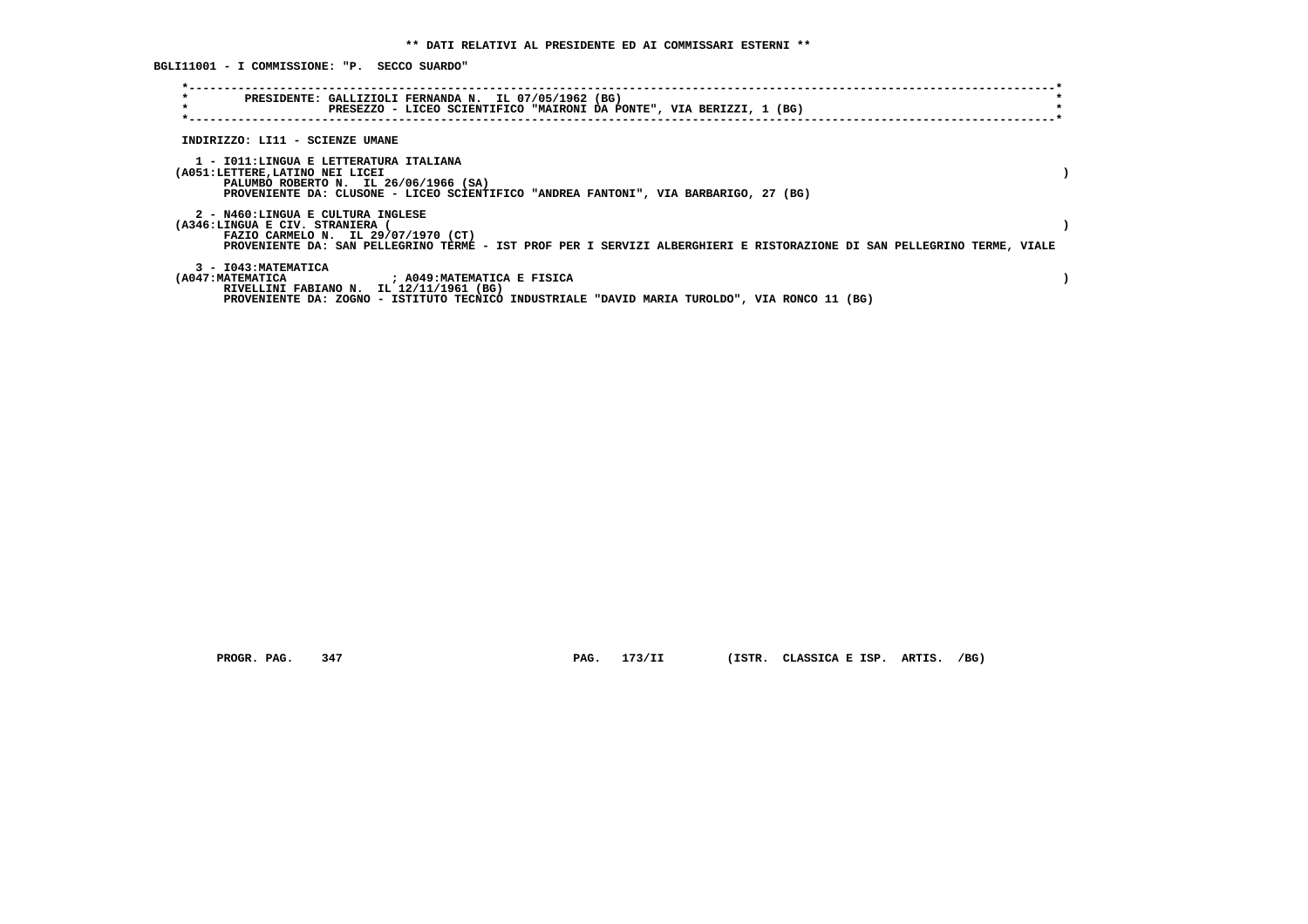**BGLI11001 - I COMMISSIONE: "P. SECCO SUARDO"**

| $\star$<br>$\star$              | PRESIDENTE: GALLIZIOLI FERNANDA N. IL 07/05/1962 (BG)<br>PRESEZZO - LICEO SCIENTIFICO "MAIRONI DA PONTE", VIA BERIZZI, 1 (BG)                                                                       |  |
|---------------------------------|-----------------------------------------------------------------------------------------------------------------------------------------------------------------------------------------------------|--|
| INDIRIZZO: LI11 - SCIENZE UMANE |                                                                                                                                                                                                     |  |
| (A051:LETTERE,LATINO NEI LICEI  | 1 - IO11:LINGUA E LETTERATURA ITALIANA<br>PALUMBO ROBERTO N. IL 26/06/1966 (SA)<br>PROVENIENTE DA: CLUSONE - LICEO SCIENTIFICO "ANDREA FANTONI", VIA BARBARIGO, 27 (BG)                             |  |
| (A346:LINGUA E CIV. STRANIERA)  | 2 - N460:LINGUA E CULTURA INGLESE<br>FAZIO CARMELO N. IL 29/07/1970 (CT)<br>PROVENIENTE DA: SAN PELLEGRINO TERME - IST PROF PER I SERVIZI ALBERGHIERI E RISTORAZIONE DI SAN PELLEGRINO TERME, VIALE |  |
| 3 - I043: MATEMATICA            | (A047: MATEMATICA ) ; A049: MATEMATICA E FISICA<br>RIVELLINI FABIANO N. IL 12/11/1961 (BG)<br>PROVENIENTE DA: ZOGNO - ISTITUTO TECNICO INDUSTRIALE "DAVID MARIA TUROLDO", VIA RONCO 11 (BG)         |  |

 **PROGR. PAG. 347 PAG. 173/II (ISTR. CLASSICA E ISP. ARTIS. /BG)**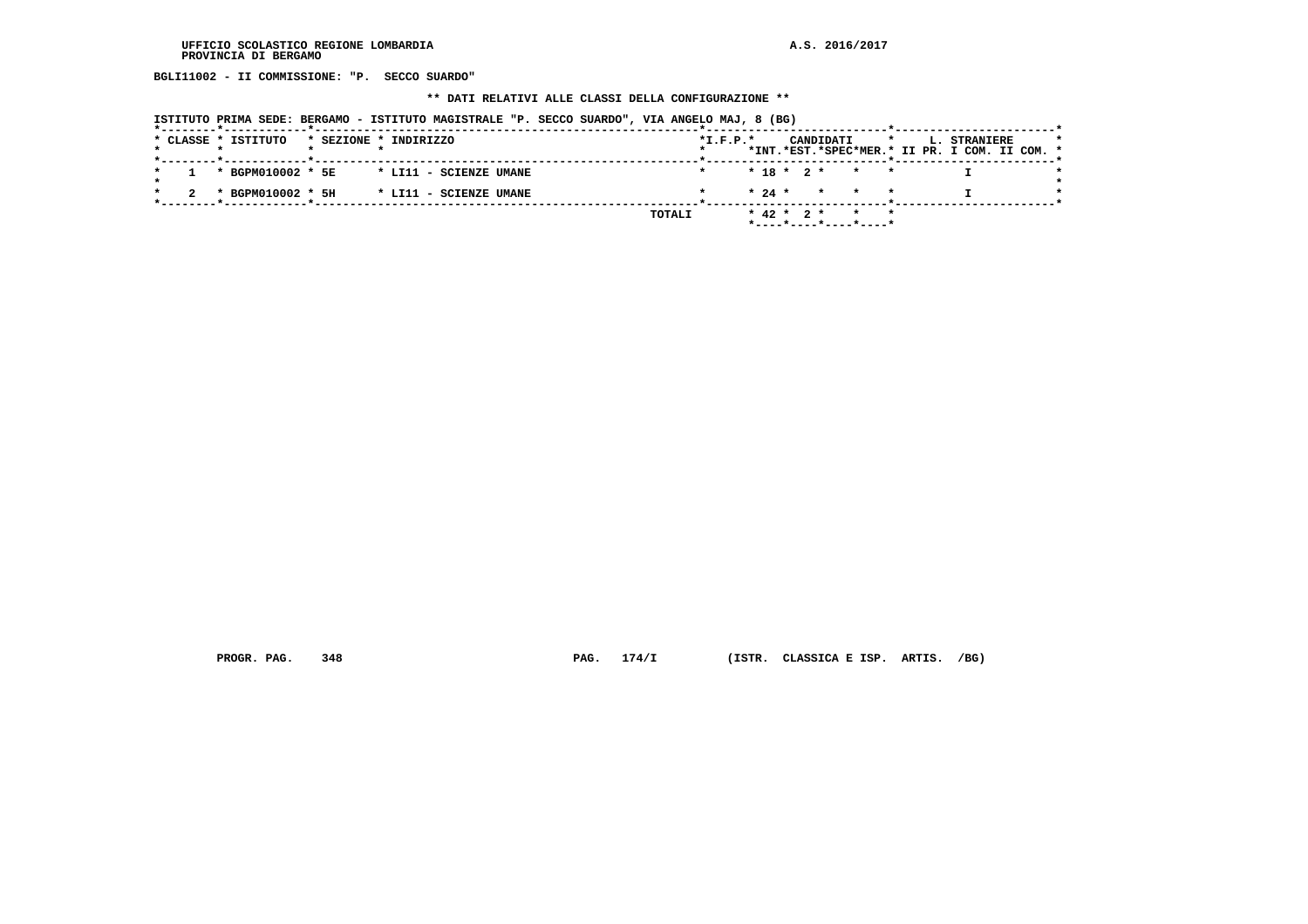**BGLI11002 - II COMMISSIONE: "P. SECCO SUARDO"**

# **\*\* DATI RELATIVI ALLE CLASSI DELLA CONFIGURAZIONE \*\***

| ISTITUTO PRIMA SEDE: BERGAMO - ISTITUTO MAGISTRALE "P. SECCO SUARDO", VIA ANGELO MAJ, 8 (BG) |                            |                                                                       |              |
|----------------------------------------------------------------------------------------------|----------------------------|-----------------------------------------------------------------------|--------------|
| * CLASSE * ISTITUTO<br>* SEZIONE * INDIRIZZO                                                 | $*L.F.P.*$                 | CANDIDATI<br>$\star$<br>*INT.*EST.*SPEC*MER.* II PR. I COM. II COM. * | L. STRANIERE |
| * BGPM010002 * 5E<br>* LI11 - SCIENZE UMANE                                                  |                            | $* 18 * 2 * * * * *$                                                  |              |
| * BGPM010002 * 5H<br>* LI11 - SCIENZE UMANE                                                  |                            | $\star$ 24 $\star$ $\star$ $\star$ $\star$                            |              |
|                                                                                              | $*$ 42 $*$ 2 $*$<br>TOTALI | $\star$<br>*----*----*----*----*                                      |              |

 **PROGR. PAG. 348 PAG. 174/I (ISTR. CLASSICA E ISP. ARTIS. /BG)**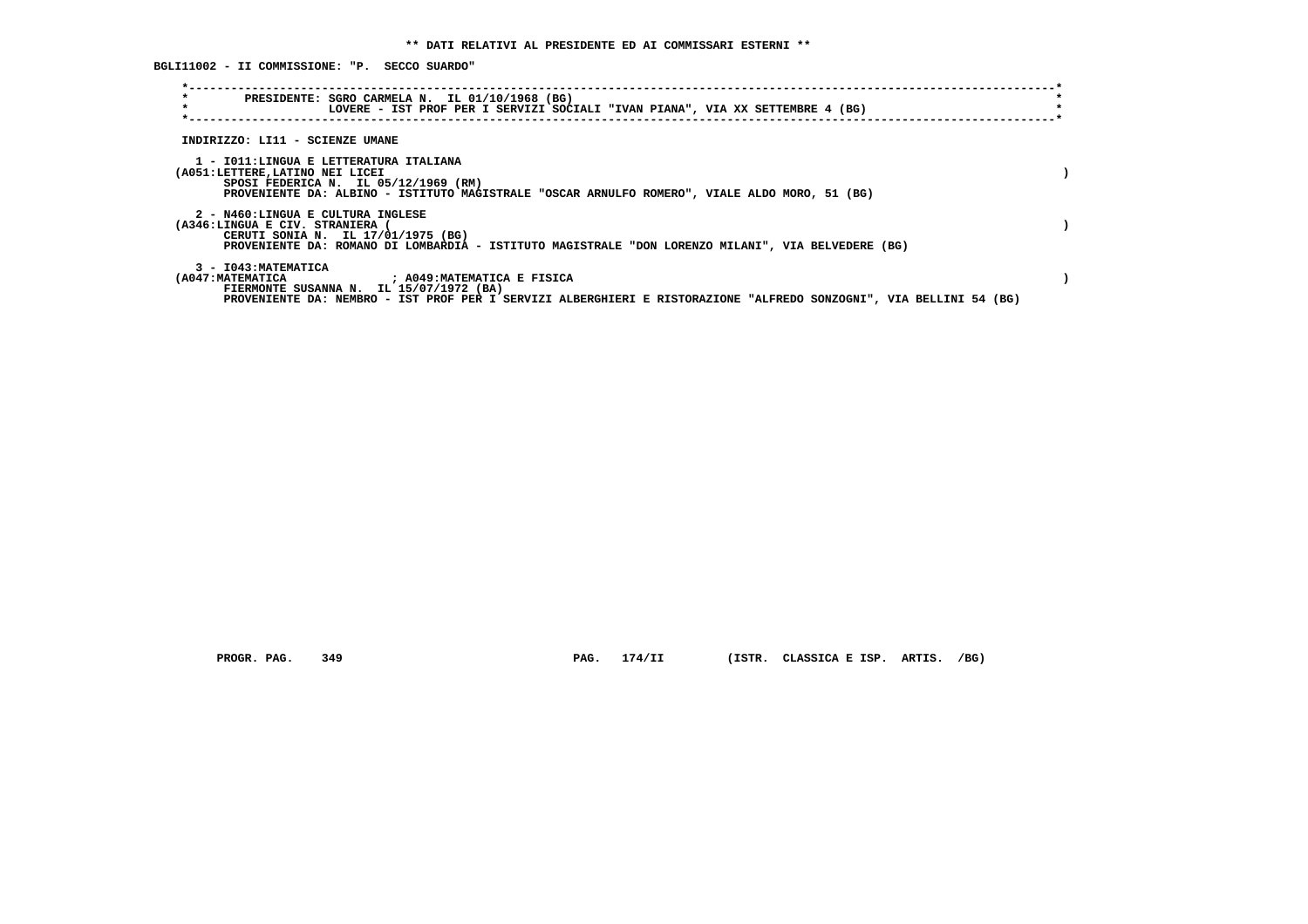**BGLI11002 - II COMMISSIONE: "P. SECCO SUARDO"**

| $\star$<br>$\star$             | PRESIDENTE: SGRO CARMELA N. IL 01/10/1968 (BG)<br>LOVERE - IST PROF PER I SERVIZI SOCIALI "IVAN PIANA", VIA XX SETTEMBRE 4 (BG)                                                                              |  |
|--------------------------------|--------------------------------------------------------------------------------------------------------------------------------------------------------------------------------------------------------------|--|
|                                | INDIRIZZO: LI11 - SCIENZE UMANE                                                                                                                                                                              |  |
| (A051:LETTERE,LATINO NEI LICEI | 1 - IO11:LINGUA E LETTERATURA ITALIANA<br>SPOSI FEDERICA N. IL 05/12/1969 (RM)<br>PROVENIENTE DA: ALBINO - ISTITUTO MAGISTRALE "OSCAR ARNULFO ROMERO", VIALE ALDO MORO, 51 (BG)                              |  |
| (A346:LINGUA E CIV. STRANIERA) | 2 - N460:LINGUA E CULTURA INGLESE<br>CERUTI SONIA N. IL 17/01/1975 (BG)<br>PROVENIENTE DA: ROMANO DI LOMBARDIA - ISTITUTO MAGISTRALE "DON LORENZO MILANI", VIA BELVEDERE (BG)                                |  |
| 3 - I043: MATEMATICA           | (A047:MATEMATICA ) A049:MATEMATICA E FISICA<br>FIERMONTE SUSANNA N. IL 15/07/1972 (BA)<br>PROVENIENTE DA: NEMBRO - IST PROF PER I SERVIZI ALBERGHIERI E RISTORAZIONE "ALFREDO SONZOGNI", VIA BELLINI 54 (BG) |  |

 **PROGR. PAG. 349 PAG. 174/II (ISTR. CLASSICA E ISP. ARTIS. /BG)**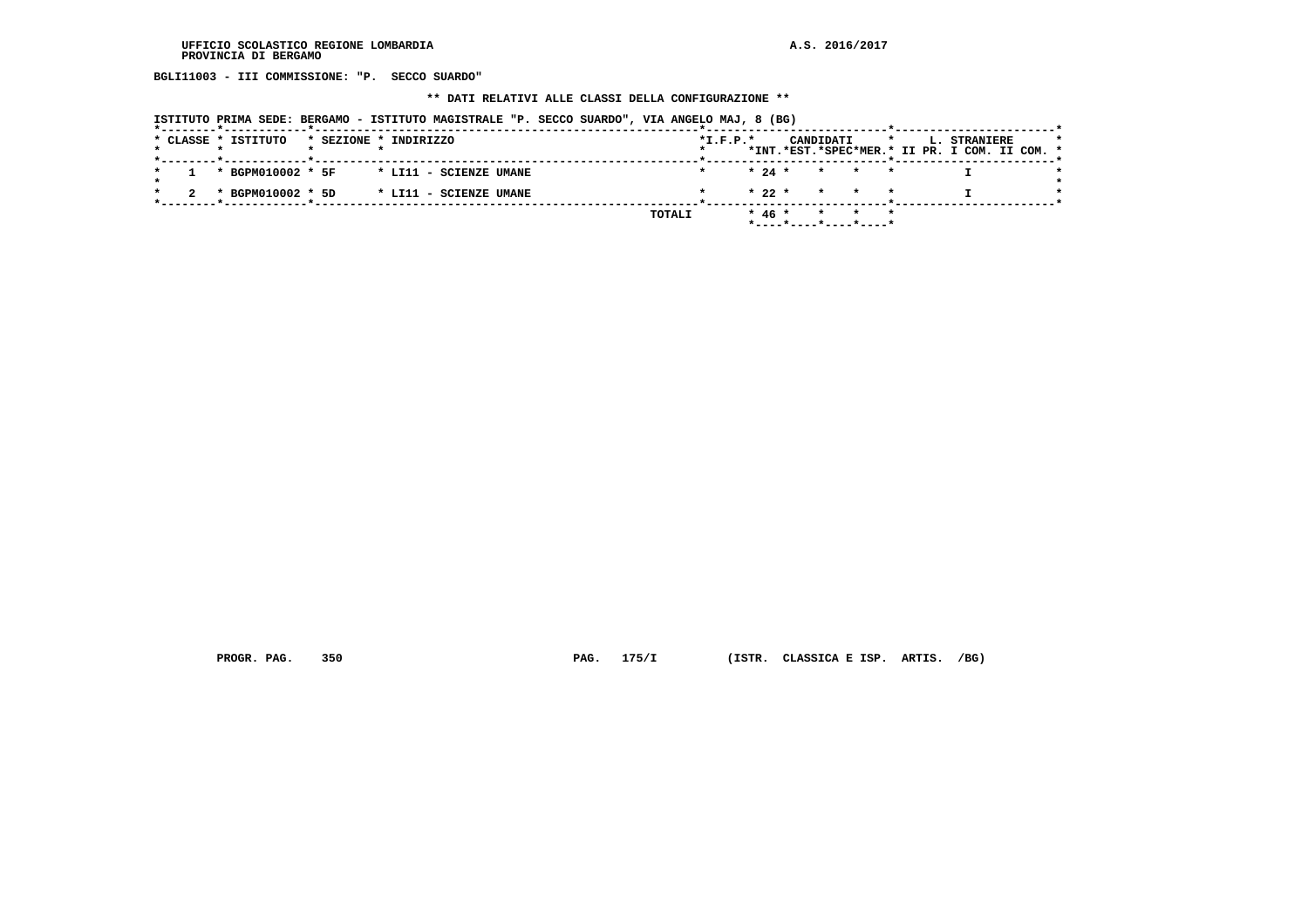**BGLI11003 - III COMMISSIONE: "P. SECCO SUARDO"**

#### **\*\* DATI RELATIVI ALLE CLASSI DELLA CONFIGURAZIONE \*\***

| ISTITUTO PRIMA SEDE: BERGAMO - ISTITUTO MAGISTRALE "P. SECCO SUARDO", VIA ANGELO MAJ, 8 (BG) |        |            |                       |         |         |                                                               |  |
|----------------------------------------------------------------------------------------------|--------|------------|-----------------------|---------|---------|---------------------------------------------------------------|--|
| * CLASSE * ISTITUTO<br>* SEZIONE * INDIRIZZO                                                 |        | $*L.F.P.*$ | CANDIDATI             |         | $\star$ | L. STRANIERE<br>*INT.*EST.*SPEC*MER.* II PR. I COM. II COM. * |  |
| * BGPM010002 * 5F<br>* LI11 - SCIENZE UMANE                                                  |        | $* 24 *$   | * * *                 | $\star$ |         |                                                               |  |
| * BGPM010002 * 5D<br>* LI11 - SCIENZE UMANE                                                  |        | $* 22 *$   | $\star$               |         |         |                                                               |  |
|                                                                                              | TOTALI | $* 46 *$   | *----*----*----*----* | $\star$ |         |                                                               |  |

 **PROGR. PAG. 350 PAG. 175/I (ISTR. CLASSICA E ISP. ARTIS. /BG)**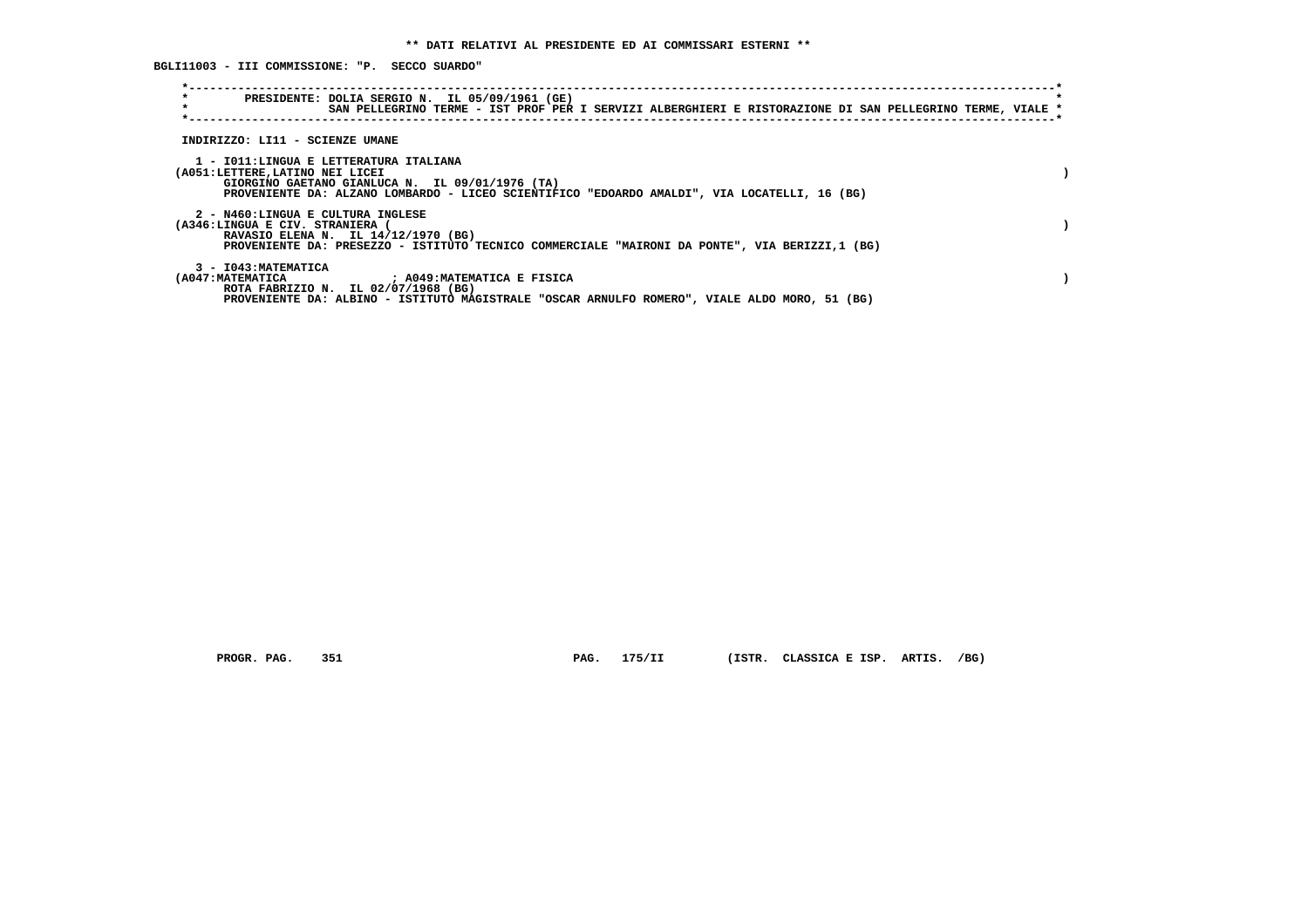**\*----------------------------------------------------------------------------------------------------------------------------\* \* PRESIDENTE: DOLIA SERGIO N. IL 05/09/1961 (GE) \* \* SAN PELLEGRINO TERME - IST PROF PER I SERVIZI ALBERGHIERI E RISTORAZIONE DI SAN PELLEGRINO TERME, VIALE \* \*----------------------------------------------------------------------------------------------------------------------------\* INDIRIZZO: LI11 - SCIENZE UMANE 1 - I011:LINGUA E LETTERATURA ITALIANA (A051:LETTERE,LATINO NEI LICEI ) GIORGINO GAETANO GIANLUCA N. IL 09/01/1976 (TA) PROVENIENTE DA: ALZANO LOMBARDO - LICEO SCIENTIFICO "EDOARDO AMALDI", VIA LOCATELLI, 16 (BG) 2 - N460:LINGUA E CULTURA INGLESE (A346:LINGUA E CIV. STRANIERA ( ) RAVASIO ELENA N. IL 14/12/1970 (BG) PROVENIENTE DA: PRESEZZO - ISTITUTO TECNICO COMMERCIALE "MAIRONI DA PONTE", VIA BERIZZI,1 (BG) 3 - I043:MATEMATICA (A047:MATEMATICA ; A049:MATEMATICA E FISICA ) ROTA FABRIZIO N. IL 02/07/1968 (BG) PROVENIENTE DA: ALBINO - ISTITUTO MAGISTRALE "OSCAR ARNULFO ROMERO", VIALE ALDO MORO, 51 (BG)**

 **BGLI11003 - III COMMISSIONE: "P. SECCO SUARDO"**

 **PROGR. PAG. 351 PAG. 175/II (ISTR. CLASSICA E ISP. ARTIS. /BG)**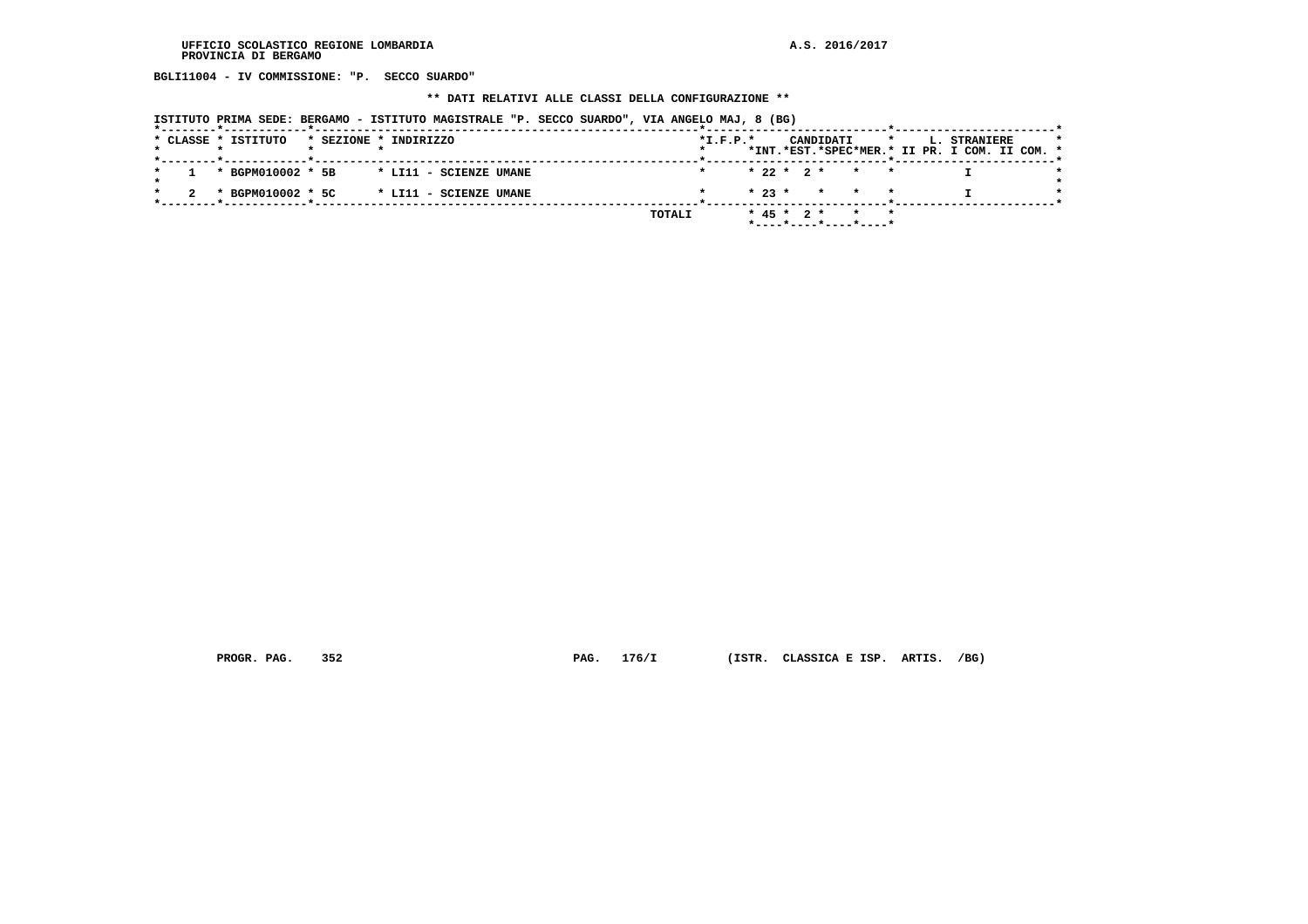**BGLI11004 - IV COMMISSIONE: "P. SECCO SUARDO"**

# **\*\* DATI RELATIVI ALLE CLASSI DELLA CONFIGURAZIONE \*\***

| ISTITUTO PRIMA SEDE: BERGAMO - ISTITUTO MAGISTRALE "P. SECCO SUARDO", VIA ANGELO MAJ, 8 (BG) |                                                                                                     |
|----------------------------------------------------------------------------------------------|-----------------------------------------------------------------------------------------------------|
| * CLASSE * ISTITUTO<br>* SEZIONE * INDIRIZZO<br>*--------*------------*----                  | $*L.F.P.*$<br>CANDIDATI<br>L. STRANIERE<br>$\star$<br>*INT.*EST.*SPEC*MER.* II PR. I COM. II COM. * |
| * BGPM010002 * 5B<br>* LI11 - SCIENZE UMANE                                                  | $* 22 * 2 * * * * *$                                                                                |
| * BGPM010002 * 5C<br>* LI11 - SCIENZE UMANE                                                  | $\star$ 23 $\star$ $\star$ $\star$ $\star$                                                          |
|                                                                                              | $* 45 * 2 *$<br>TOTALI<br>*----*----*----*----*                                                     |

 **PROGR. PAG. 352 PAG. 176/I (ISTR. CLASSICA E ISP. ARTIS. /BG)**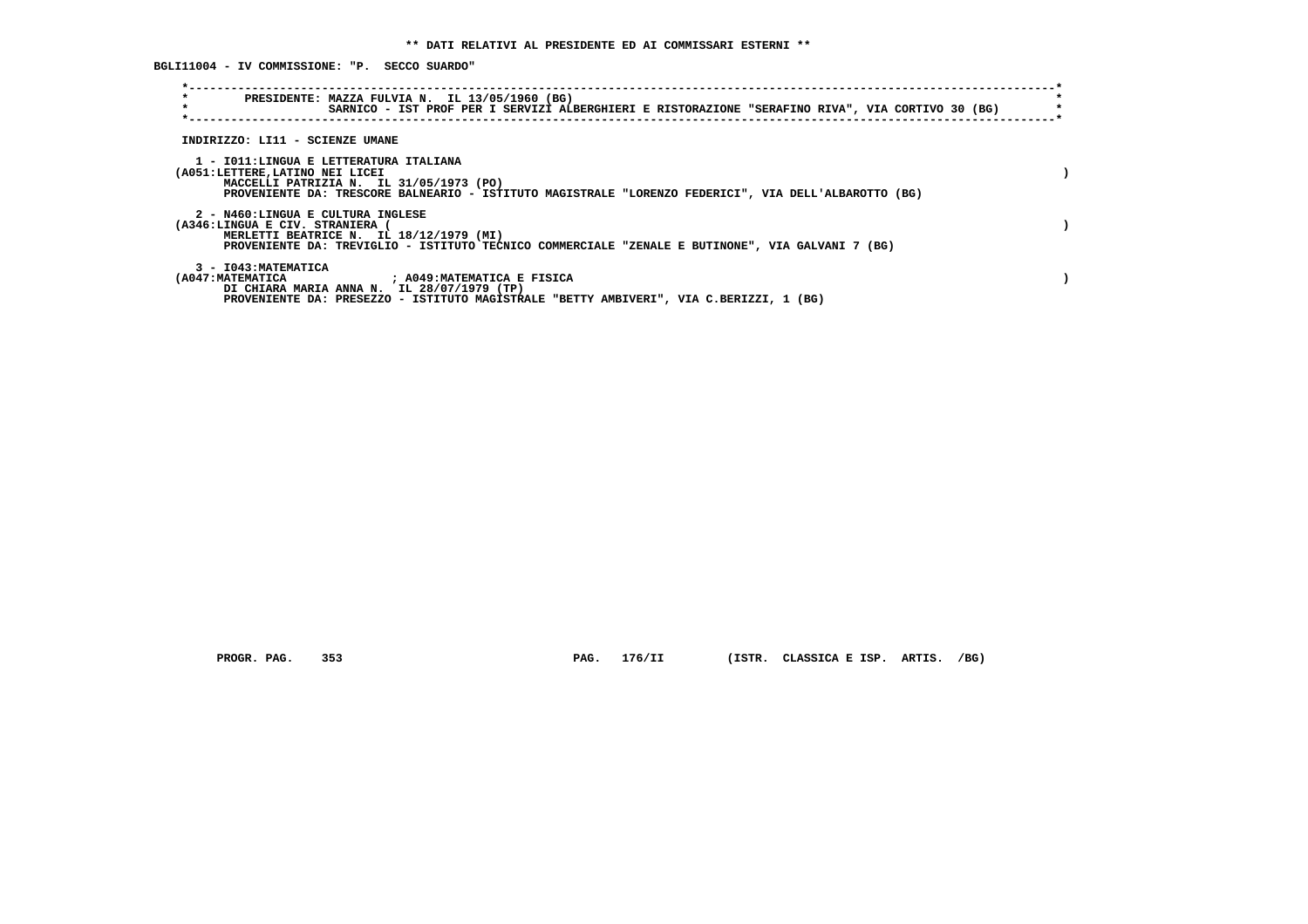**BGLI11004 - IV COMMISSIONE: "P. SECCO SUARDO"**

| $\star$<br>$\star$                                                        | PRESIDENTE: MAZZA FULVIA N. IL 13/05/1960 (BG)<br>SARNICO - IST PROF PER I SERVIZI ALBERGHIERI E RISTORAZIONE "SERAFINO RIVA", VIA CORTIVO 30 (BG)                 |  |
|---------------------------------------------------------------------------|--------------------------------------------------------------------------------------------------------------------------------------------------------------------|--|
| INDIRIZZO: LI11 - SCIENZE UMANE                                           |                                                                                                                                                                    |  |
| 1 - IO11:LINGUA E LETTERATURA ITALIANA<br>(A051:LETTERE, LATINO NEI LICEI | MACCELLI PATRIZIA N. IL 31/05/1973 (PO)<br>PROVENIENTE DA: TRESCORE BALNEARIO - ISTITUTO MAGISTRALE "LORENZO FEDERICI", VIA DELL'ALBAROTTO (BG)                    |  |
| 2 - N460:LINGUA E CULTURA INGLESE<br>(A346:LINGUA E CIV. STRANIERA (      | MERLETTI BEATRICE N. IL 18/12/1979 (MI)<br>PROVENIENTE DA: TREVIGLIO - ISTITUTO TECNICO COMMERCIALE "ZENALE E BUTINONE", VIA GALVANI 7 (BG)                        |  |
| 3 - I043: MATEMATICA<br>(A047:MATEMATICA                                  | : A049:MATEMATICA E FISICA<br>DI CHIARA MARIA ANNA N. IL 28/07/1979 (TP)<br>PROVENIENTE DA: PRESEZZO - ISTITUTO MAGISTRALE "BETTY AMBIVERI", VIA C.BERIZZI, 1 (BG) |  |

 **PROGR. PAG. 353 PAG. 176/II (ISTR. CLASSICA E ISP. ARTIS. /BG)**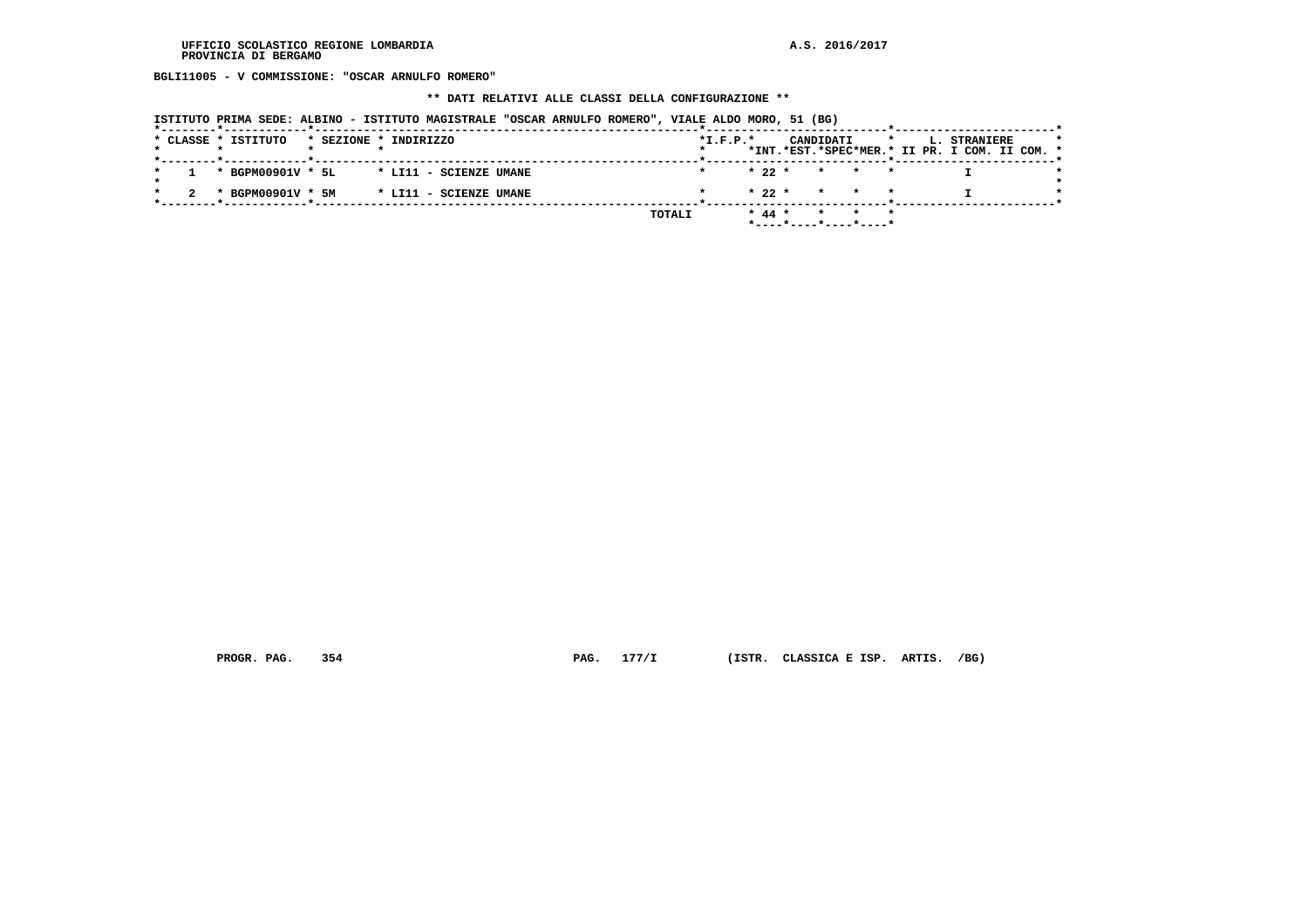**BGLI11005 - V COMMISSIONE: "OSCAR ARNULFO ROMERO"**

#### **\*\* DATI RELATIVI ALLE CLASSI DELLA CONFIGURAZIONE \*\***

| ISTITUTO PRIMA SEDE: ALBINO - ISTITUTO MAGISTRALE "OSCAR ARNULFO ROMERO", VIALE ALDO MORO, 51 (BG) |            |          |                            |                                                                      |  |
|----------------------------------------------------------------------------------------------------|------------|----------|----------------------------|----------------------------------------------------------------------|--|
| * CLASSE * ISTITUTO<br>* SEZIONE * INDIRIZZO                                                       | $*I.F.P.*$ |          | CANDIDATI                  | <b>L. STRANIERE</b><br>*INT.*EST.*SPEC*MER.* II PR. I COM. II COM. * |  |
| * BGPM00901V * 5L<br>* LI11 - SCIENZE UMANE                                                        |            | $* 22 *$ | $\star$<br>$\star$ $\star$ |                                                                      |  |
| * BGPM00901V * 5M<br>* LI11 - SCIENZE UMANE<br>---*------------*----                               |            | $* 22 *$ | * * *                      |                                                                      |  |
| TOTALI                                                                                             |            | $* 44 *$ | *----*----*----*----*      |                                                                      |  |

 **PROGR. PAG. 354 PAG. 177/I (ISTR. CLASSICA E ISP. ARTIS. /BG)**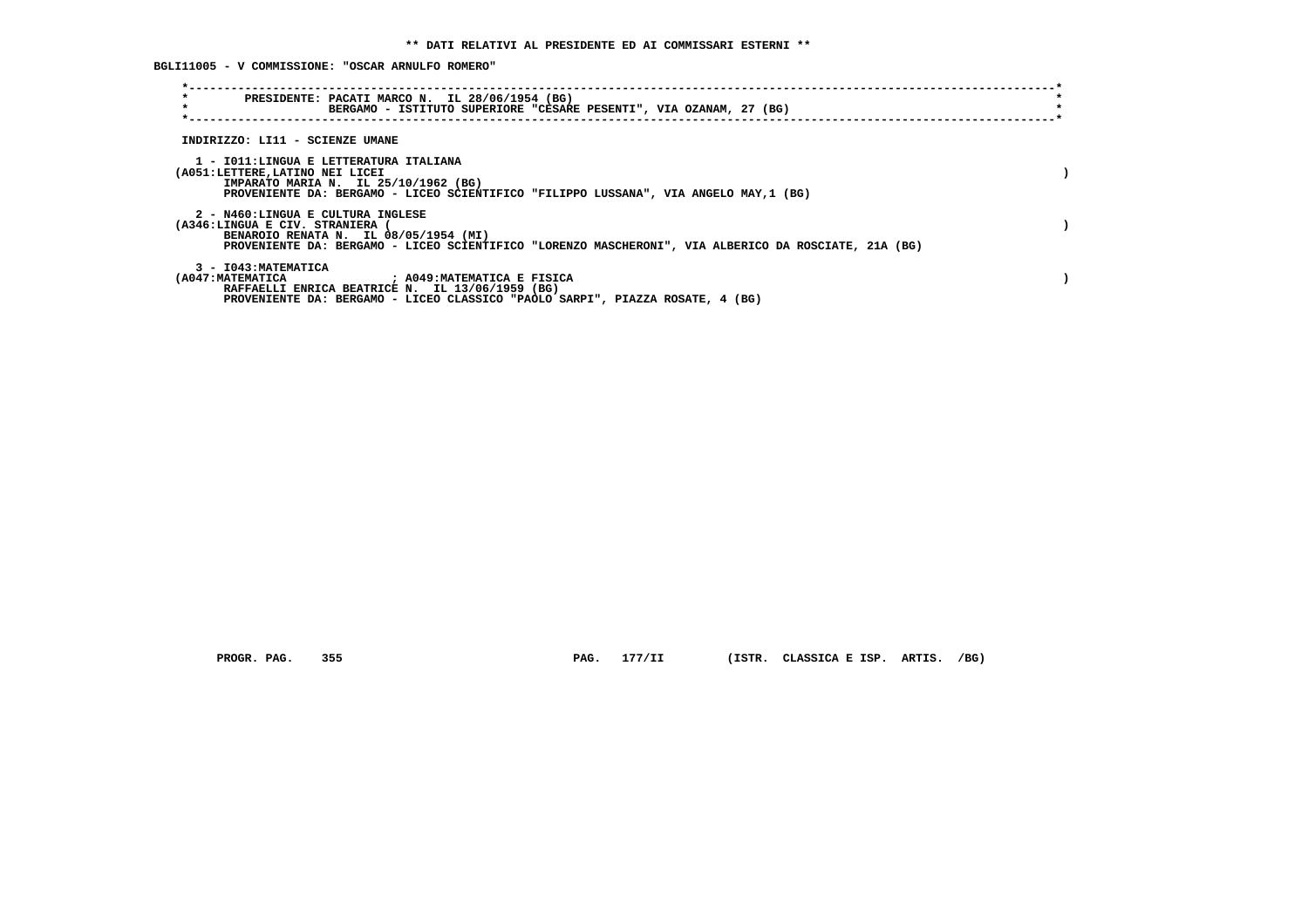**BGLI11005 - V COMMISSIONE: "OSCAR ARNULFO ROMERO"**

| $\star$<br>PRESIDENTE: PACATI MARCO N. IL 28/06/1954 (BG)<br>$\star$<br>BERGAMO - ISTITUTO SUPERIORE "CESARE PESENTI", VIA OZANAM, 27 (BG)                                                                                              |  |
|-----------------------------------------------------------------------------------------------------------------------------------------------------------------------------------------------------------------------------------------|--|
| INDIRIZZO: LI11 - SCIENZE UMANE                                                                                                                                                                                                         |  |
| 1 - IO11:LINGUA E LETTERATURA ITALIANA<br>(A051:LETTERE, LATINO NEI LICEI<br>IMPARATO MARIA N. IL 25/10/1962 (BG)<br>PROVENIENTE DA: BERGAMO - LICEO SCIENTIFICO "FILIPPO LUSSANA", VIA ANGELO MAY, 1 (BG)                              |  |
| 2 - N460:LINGUA E CULTURA INGLESE<br>(A346:LINGUA E CIV. STRANIERA<br>BENAROIO RENATA N. IL 08/05/1954 (MI)<br>PROVENIENTE DA: BERGAMO - LICEO SCIENTIFICO "LORENZO MASCHERONI", VIA ALBERICO DA ROSCIATE, 21A (BG)                     |  |
| 3 - I043: MATEMATICA<br>(A047:MATEMATICA                                 ; A049:MATEMATICA E FISICA<br>RAFFAELLI ENRICA BEATRICE N. IL 13/06/1959 (BG)<br>PROVENIENTE DA: BERGAMO - LICEO CLASSICO "PAOLO SARPI", PIAZZA ROSATE, 4 (BG) |  |

 **PROGR. PAG. 355 PAG. 177/II (ISTR. CLASSICA E ISP. ARTIS. /BG)**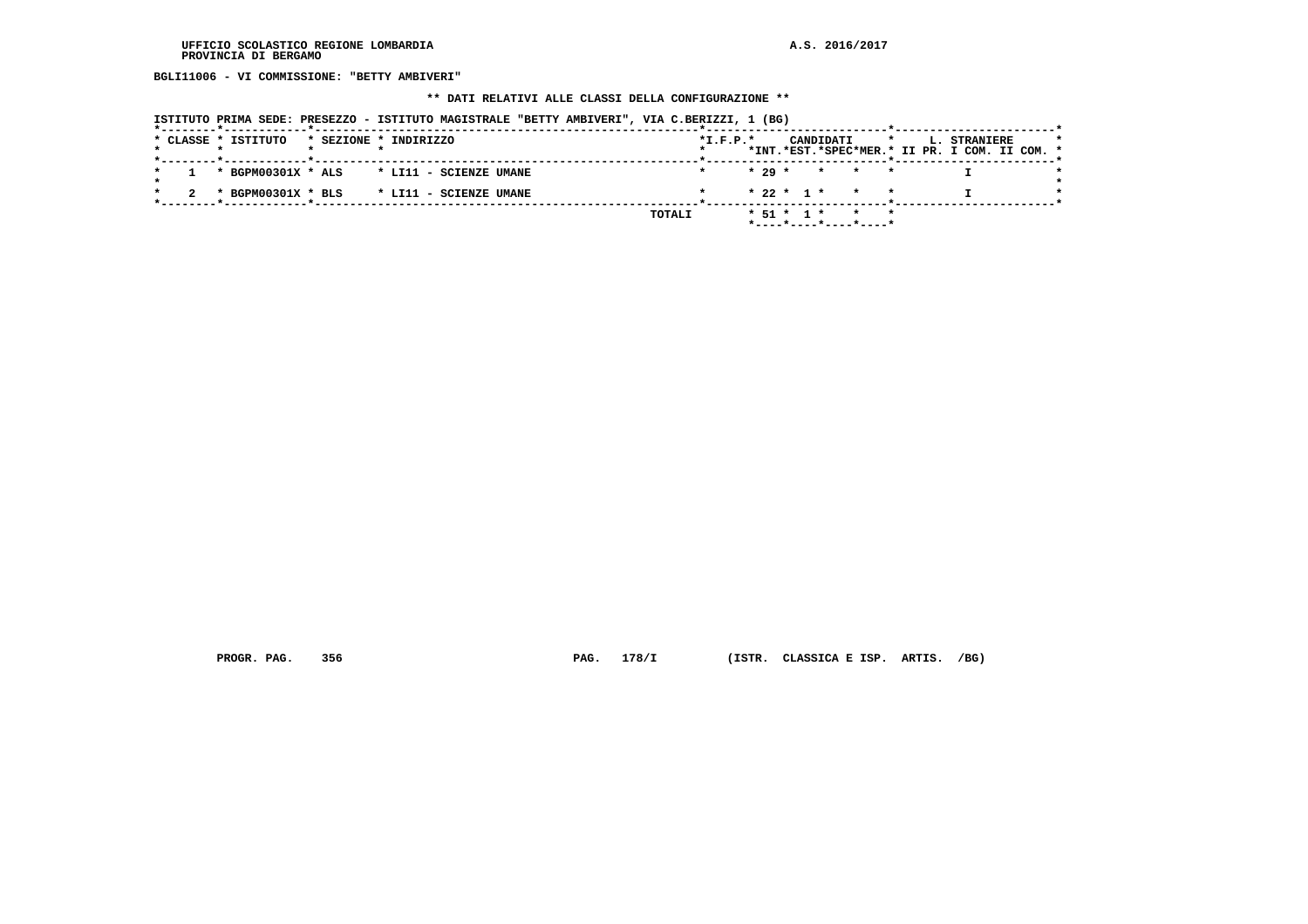**BGLI11006 - VI COMMISSIONE: "BETTY AMBIVERI"**

# **\*\* DATI RELATIVI ALLE CLASSI DELLA CONFIGURAZIONE \*\***

|  |  | ISTITUTO PRIMA SEDE: PRESEZZO - ISTITUTO MAGISTRALE "BETTY AMBIVERI", VIA C.BERIZZI, 1 (BG)                                      |                       |                        |  |  |        |            |          |                  |           |                                          |         |  |                                                               |  |  |
|--|--|----------------------------------------------------------------------------------------------------------------------------------|-----------------------|------------------------|--|--|--------|------------|----------|------------------|-----------|------------------------------------------|---------|--|---------------------------------------------------------------|--|--|
|  |  | * CLASSE * ISTITUTO                                                                                                              | * SEZIONE * INDIRIZZO |                        |  |  |        | $*I.F.P.*$ |          |                  | CANDIDATI |                                          | $\star$ |  | L. STRANIERE<br>*INT.*EST.*SPEC*MER.* II PR. I COM. II COM. * |  |  |
|  |  | . _ _ _ _ <del>*</del> _ _ _ _ _ _ _ _ _ _ _ _ <del>*</del> _ _ _ _ _ _ _ _ _ _ _ _<br>* BGPM00301X * ALS * LI11 - SCIENZE UMANE |                       |                        |  |  |        |            | $* 29 *$ |                  |           | * * *                                    |         |  |                                                               |  |  |
|  |  | * BGPM00301X * BLS                                                                                                               |                       | * LI11 - SCIENZE UMANE |  |  |        |            |          |                  |           | $* 22 * 1 * * * * *$                     |         |  |                                                               |  |  |
|  |  |                                                                                                                                  |                       |                        |  |  | TOTALI |            |          | $*$ 51 $*$ 1 $*$ |           | $\star$ $\star$<br>*----*----*----*----* |         |  |                                                               |  |  |

 **PROGR. PAG. 356 PAG. 178/I (ISTR. CLASSICA E ISP. ARTIS. /BG)**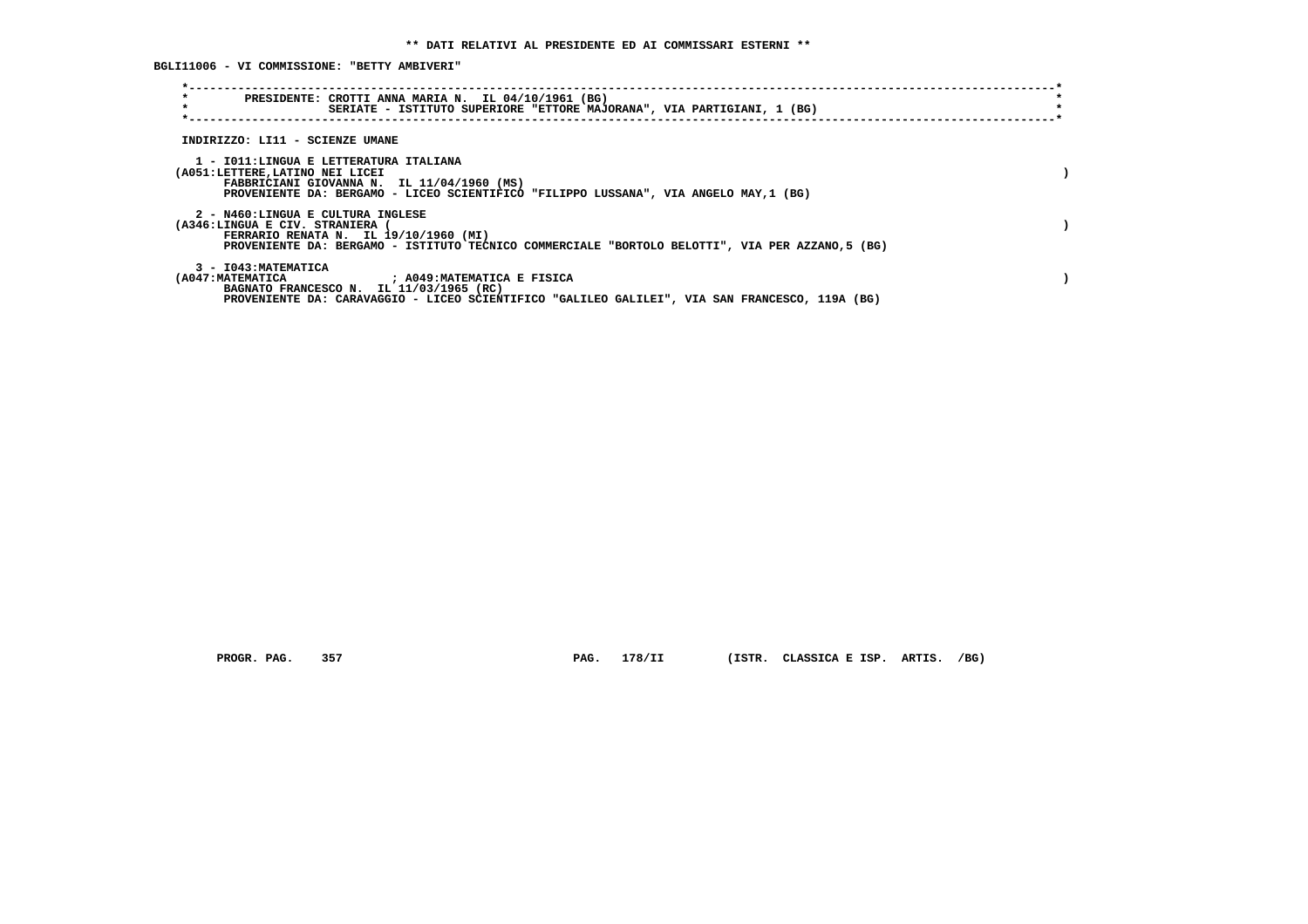**BGLI11006 - VI COMMISSIONE: "BETTY AMBIVERI"**

| $\star$<br>PRESIDENTE: CROTTI ANNA MARIA N. IL 04/10/1961 (BG)<br>$\star$<br>SERIATE - ISTITUTO SUPERIORE "ETTORE MAJORANA", VIA PARTIGIANI, 1 (BG)                                                                 |  |
|---------------------------------------------------------------------------------------------------------------------------------------------------------------------------------------------------------------------|--|
| INDIRIZZO: LI11 - SCIENZE UMANE                                                                                                                                                                                     |  |
| 1 - IO11:LINGUA E LETTERATURA ITALIANA<br>(A051:LETTERE,LATINO NEI LICEI<br>FABBRICIANI GIOVANNA N. IL 11/04/1960 (MS)<br>PROVENIENTE DA: BERGAMO - LICEO SCIENTIFICO "FILIPPO LUSSANA", VIA ANGELO MAY, 1 (BG)     |  |
| 2 - N460:LINGUA E CULTURA INGLESE<br>(A346:LINGUA E CIV. STRANIERA<br>FERRARIO RENATA N. IL 19/10/1960 (MI)<br>PROVENIENTE DA: BERGAMO - ISTITUTO TECNICO COMMERCIALE "BORTOLO BELOTTI", VIA PER AZZANO,5 (BG)      |  |
| 3 - I043: MATEMATICA<br>(A047:MATEMATICA<br>; A049:MATEMATICA E FISICA<br>BAGNATO FRANCESCO N. IL 11/03/1965 (RC)<br>PROVENIENTE DA: CARAVAGGIO - LICEO SCIENTIFICO "GALILEO GALILEI", VIA SAN FRANCESCO, 119A (BG) |  |

 **PROGR. PAG. 357 PAG. 178/II (ISTR. CLASSICA E ISP. ARTIS. /BG)**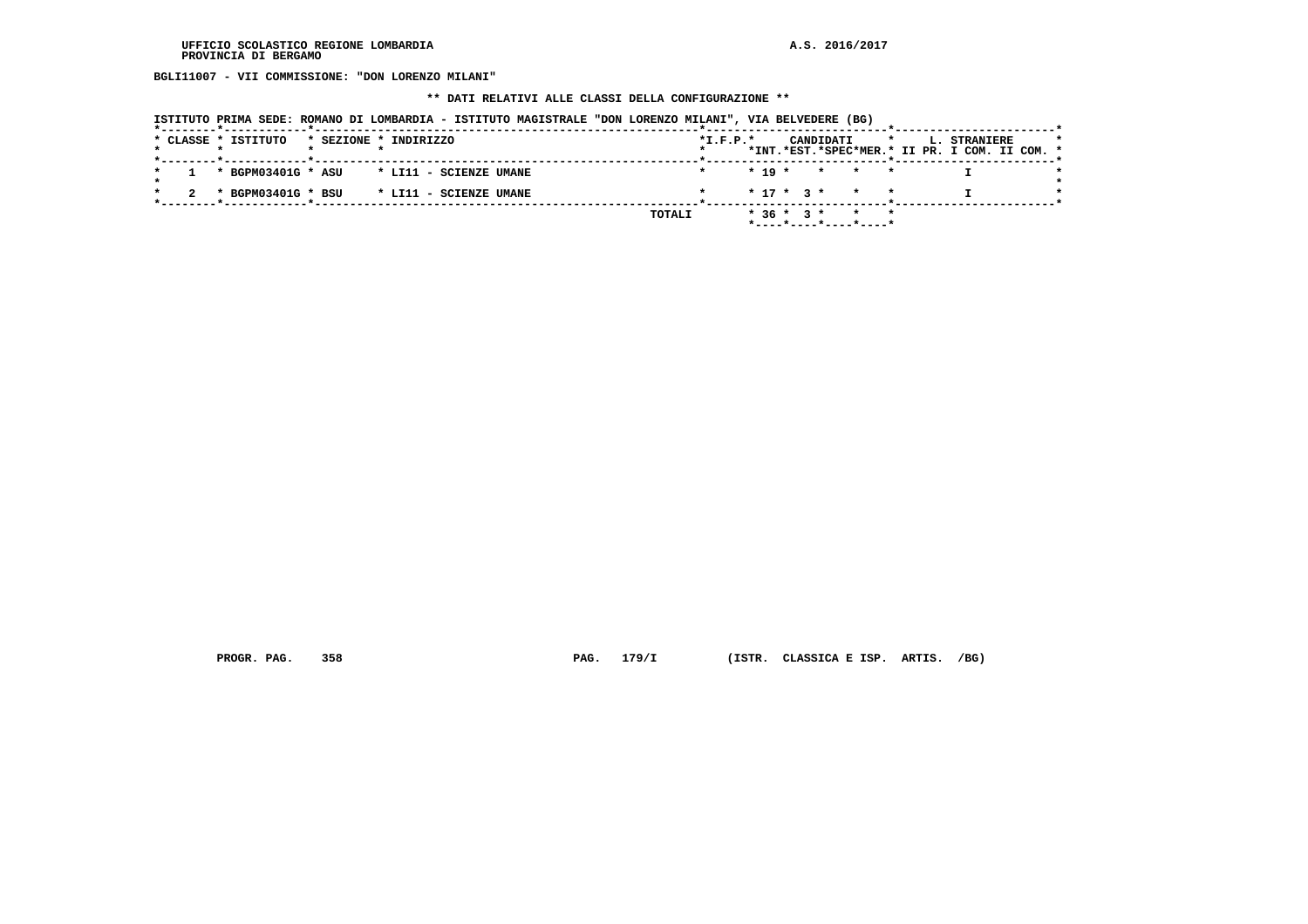**BGLI11007 - VII COMMISSIONE: "DON LORENZO MILANI"**

# **\*\* DATI RELATIVI ALLE CLASSI DELLA CONFIGURAZIONE \*\***

|  | ISTITUTO PRIMA SEDE: ROMANO DI LOMBARDIA - ISTITUTO MAGISTRALE "DON LORENZO MILANI", VIA BELVEDERE (BG) |  |  |
|--|---------------------------------------------------------------------------------------------------------|--|--|
|  |                                                                                                         |  |  |

|  |  | * CLASSE * ISTITUTO |  | * SEZIONE * INDIRIZZO                     |        | $*L.F.P.*$ |  |             | CANDIDATI               |  |  | L. STRANIERE<br>*INT.*EST.*SPEC*MER.* II PR. I COM. II COM. * |  |  |
|--|--|---------------------|--|-------------------------------------------|--------|------------|--|-------------|-------------------------|--|--|---------------------------------------------------------------|--|--|
|  |  |                     |  |                                           |        |            |  |             |                         |  |  |                                                               |  |  |
|  |  |                     |  | * BGPM03401G * ASU * LI11 - SCIENZE UMANE |        |            |  | $* 19 *$    | $\star$ $\star$ $\star$ |  |  |                                                               |  |  |
|  |  |                     |  | * BGPM03401G * BSU * LI11 - SCIENZE UMANE |        |            |  |             | $* 17 * 3 * * * * *$    |  |  |                                                               |  |  |
|  |  |                     |  |                                           | TOTALI |            |  | $*36 * 3 *$ | *----*----*----*----*   |  |  |                                                               |  |  |
|  |  |                     |  |                                           |        |            |  |             |                         |  |  |                                                               |  |  |

 **PROGR. PAG. 358 PAG. 179/I (ISTR. CLASSICA E ISP. ARTIS. /BG)**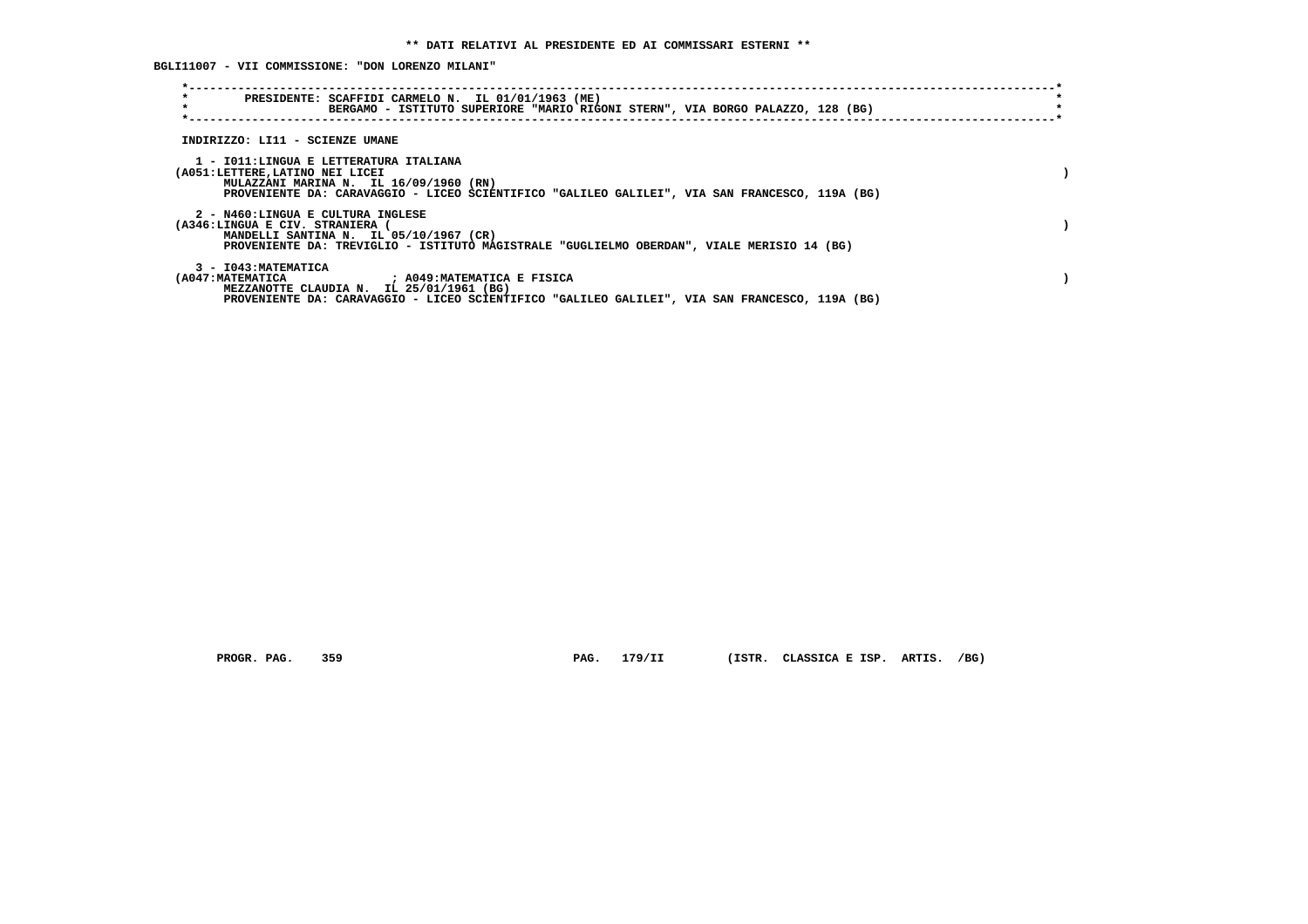**BGLI11007 - VII COMMISSIONE: "DON LORENZO MILANI"**

| $\star$<br>PRESIDENTE: SCAFFIDI CARMELO N. IL 01/01/1963 (ME)<br>$\star$<br>BERGAMO - ISTITUTO SUPERIORE "MARIO RIGONI STERN", VIA BORGO PALAZZO, 128 (BG)                                                           |  |
|----------------------------------------------------------------------------------------------------------------------------------------------------------------------------------------------------------------------|--|
| INDIRIZZO: LI11 - SCIENZE UMANE                                                                                                                                                                                      |  |
| 1 - IO11:LINGUA E LETTERATURA ITALIANA<br>(A051:LETTERE,LATINO NEI LICEI<br>MULAZZANI MARINA N. IL 16/09/1960 (RN)<br>PROVENIENTE DA: CARAVAGGIO - LICEO SCIENTIFICO "GALILEO GALILEI", VIA SAN FRANCESCO, 119A (BG) |  |
| 2 - N460:LINGUA E CULTURA INGLESE<br>(A346:LINGUA E CIV. STRANIERA (<br>MANDELLI SANTINA N. IL 05/10/1967 (CR)<br>PROVENIENTE DA: TREVIGLIO - ISTITUTO MAGISTRALE "GUGLIELMO OBERDAN", VIALE MERISIO 14 (BG)         |  |
| 3 - I043: MATEMATICA<br>(A047:MATEMATICA ) A049:MATEMATICA E FISICA<br>MEZZANOTTE CLAUDIA N. IL 25/01/1961 (BG)<br>PROVENIENTE DA: CARAVAGGIO - LICEO SCIENTIFICO "GALILEO GALILEI", VIA SAN FRANCESCO, 119A (BG)    |  |

 **PROGR. PAG. 359 PAG. 179/II (ISTR. CLASSICA E ISP. ARTIS. /BG)**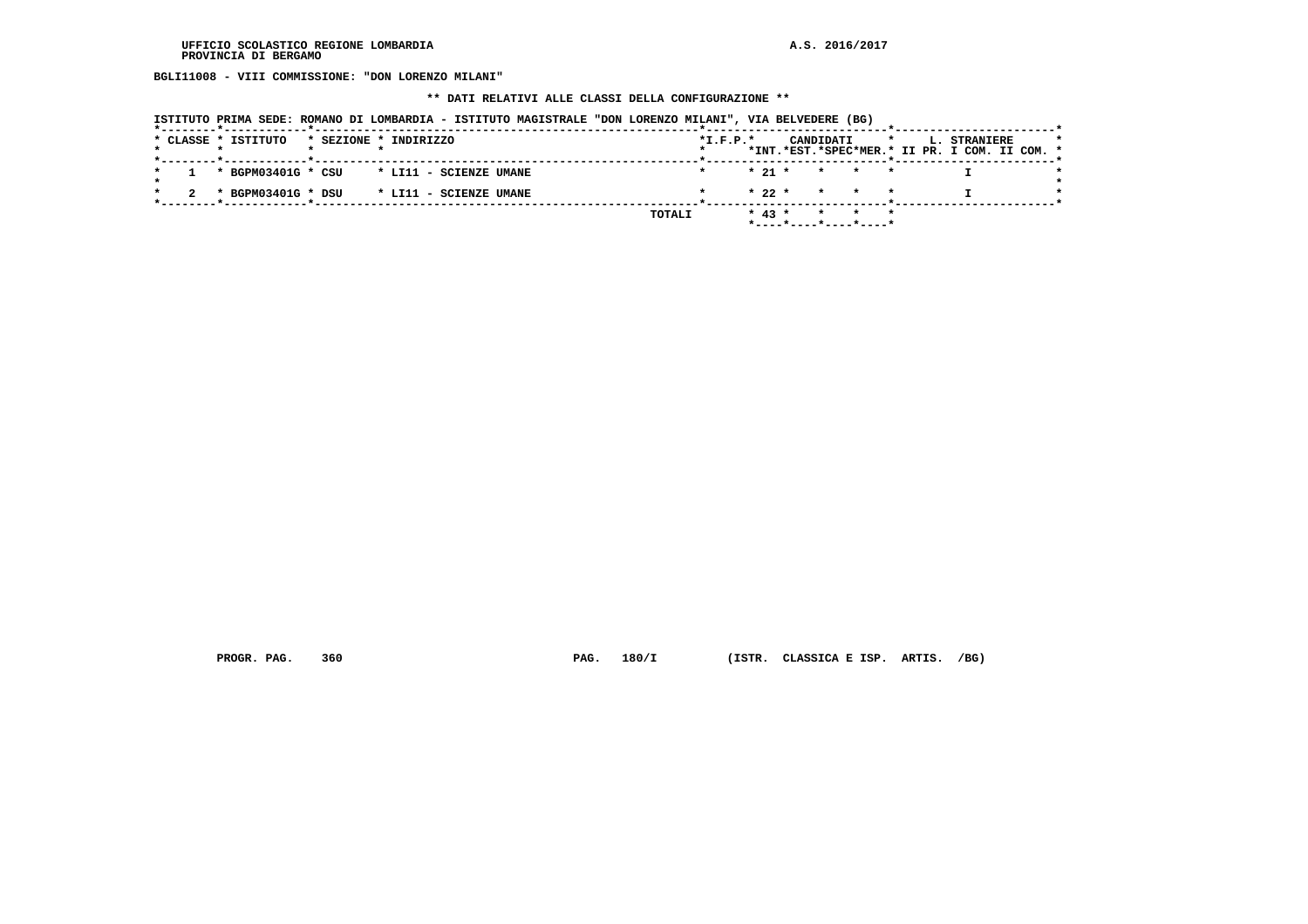**BGLI11008 - VIII COMMISSIONE: "DON LORENZO MILANI"**

# **\*\* DATI RELATIVI ALLE CLASSI DELLA CONFIGURAZIONE \*\***

|  | ISTITUTO PRIMA SEDE: ROMANO DI LOMBARDIA - ISTITUTO MAGISTRALE "DON LORENZO MILANI", VIA BELVEDERE (BG) |  |  |
|--|---------------------------------------------------------------------------------------------------------|--|--|
|  |                                                                                                         |  |  |

|  |  | * CLASSE * ISTITUTO | * BGPM03401G * CSU | * SEZIONE * INDIRIZZO | * LI11 - SCIENZE UMANE<br>* BGPM03401G * DSU * LI11 - SCIENZE UMANE | TOTALI | $*L.F.P.*$ | $* 21 *$<br>$* 22 *$<br>$* 43 *$ | CANDIDATI | * * *<br>* * * |  | L. STRANIERE | *INT.*EST.*SPEC*MER.* II PR. I COM. II COM. * |
|--|--|---------------------|--------------------|-----------------------|---------------------------------------------------------------------|--------|------------|----------------------------------|-----------|----------------|--|--------------|-----------------------------------------------|

 **PROGR. PAG. 360 PAG. 180/I (ISTR. CLASSICA E ISP. ARTIS. /BG)**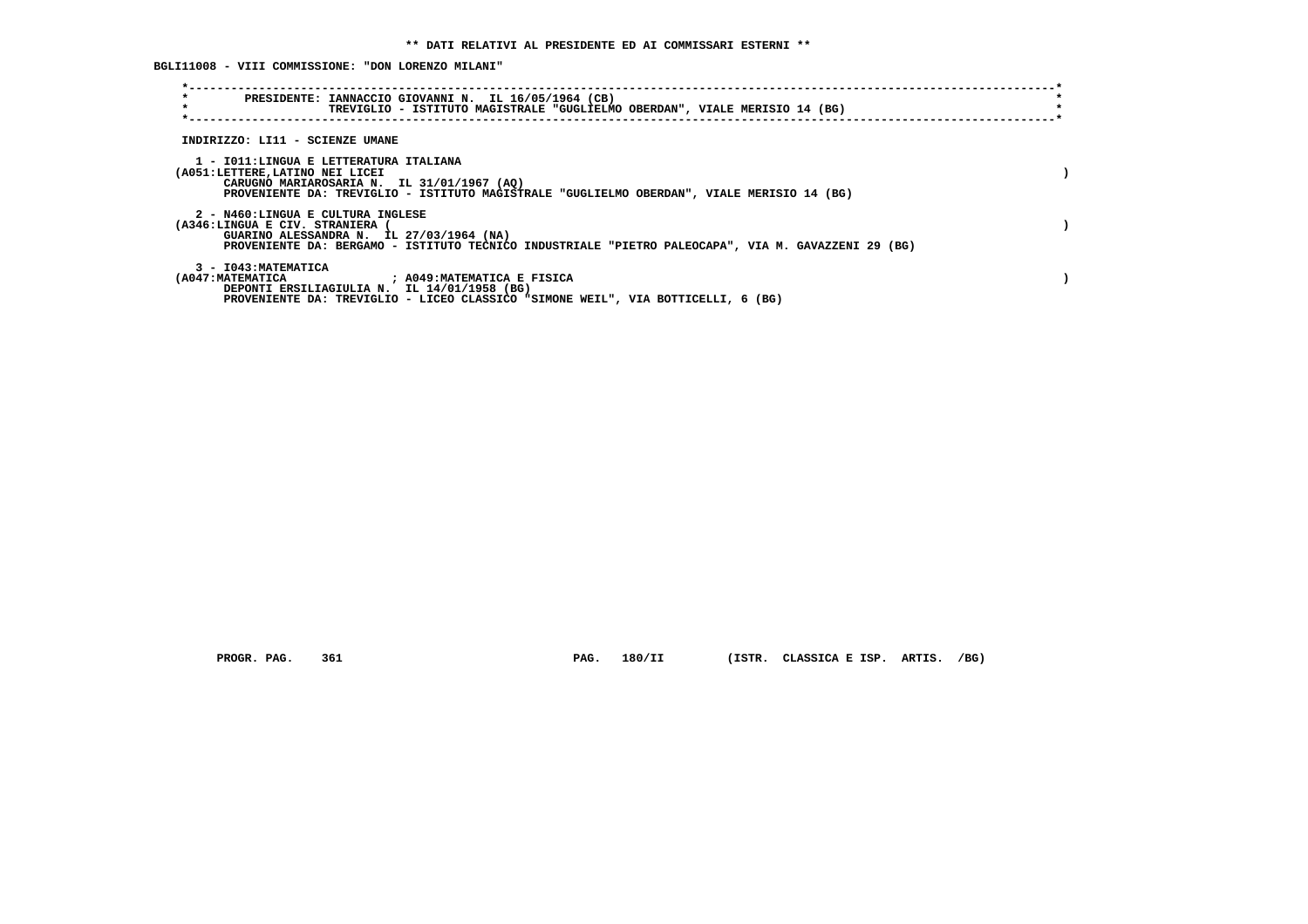**BGLI11008 - VIII COMMISSIONE: "DON LORENZO MILANI"**

| $\star$<br>$\star$                                                        | PRESIDENTE: IANNACCIO GIOVANNI N. IL 16/05/1964 (CB)<br>TREVIGLIO - ISTITUTO MAGISTRALE "GUGLIELMO OBERDAN", VIALE MERISIO 14 (BG)                            |  |
|---------------------------------------------------------------------------|---------------------------------------------------------------------------------------------------------------------------------------------------------------|--|
| INDIRIZZO: LI11 - SCIENZE UMANE                                           |                                                                                                                                                               |  |
| 1 - IO11:LINGUA E LETTERATURA ITALIANA<br>(A051:LETTERE, LATINO NEI LICEI | CARUGNO MARIAROSARIA N. IL 31/01/1967 (AO)<br>PROVENIENTE DA: TREVIGLIO - ISTITUTO MAGISTRALE "GUGLIELMO OBERDAN", VIALE MERISIO 14 (BG)                      |  |
| 2 - N460:LINGUA E CULTURA INGLESE<br>(A346:LINGUA E CIV. STRANIERA        | GUARINO ALESSANDRA N. IL 27/03/1964 (NA)<br>PROVENIENTE DA: BERGAMO - ISTITUTO TECNICO INDUSTRIALE "PIETRO PALEOCAPA", VIA M. GAVAZZENI 29 (BG)               |  |
| 3 - I043: MATEMATICA<br>(A047:MATEMATICA                                  | ; A049:MATEMATICA E FISICA<br>DEPONTI ERSILIAGIULIA N. IL 14/01/1958 (BG)<br>PROVENIENTE DA: TREVIGLIO - LICEO CLASSICO "SIMONE WEIL", VIA BOTTICELLI, 6 (BG) |  |

 **PROGR. PAG. 361 PAG. 180/II (ISTR. CLASSICA E ISP. ARTIS. /BG)**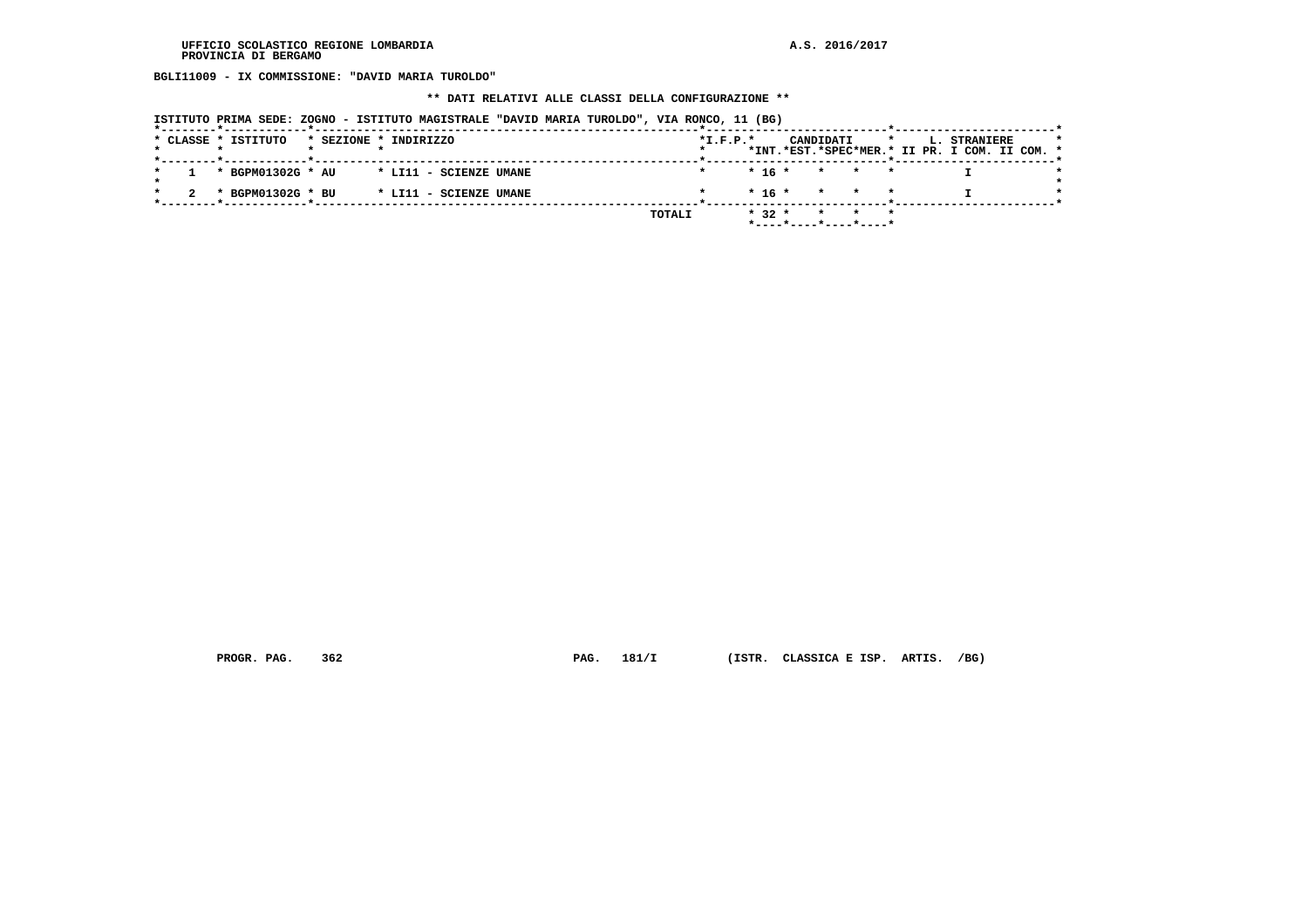**BGLI11009 - IX COMMISSIONE: "DAVID MARIA TUROLDO"**

### **\*\* DATI RELATIVI ALLE CLASSI DELLA CONFIGURAZIONE \*\***

| ISTITUTO PRIMA SEDE: ZOGNO - ISTITUTO MAGISTRALE "DAVID MARIA TUROLDO", VIA RONCO, 11 (BG) |  |  |
|--------------------------------------------------------------------------------------------|--|--|
|                                                                                            |  |  |

|  | * CLASSE * ISTITUTO |  | * SEZIONE * INDIRIZZO  |        | $*L.F.P.*$ |          |                    | CANDIDATI |                         |  | L. STRANIERE<br>*INT.*EST.*SPEC*MER.* II PR. I COM. II COM. * |  |
|--|---------------------|--|------------------------|--------|------------|----------|--------------------|-----------|-------------------------|--|---------------------------------------------------------------|--|
|  |                     |  |                        |        |            |          |                    |           |                         |  |                                                               |  |
|  | * BGPM01302G * AU   |  | * LI11 - SCIENZE UMANE |        |            | $* 16 *$ |                    |           | $\star$ $\star$ $\star$ |  |                                                               |  |
|  |                     |  |                        |        |            |          |                    |           |                         |  |                                                               |  |
|  | * BGPM01302G * BU   |  | * LI11 - SCIENZE UMANE |        |            |          | $* 16 * * * * * *$ |           |                         |  |                                                               |  |
|  |                     |  |                        | TOTALI |            | $* 32 *$ |                    |           |                         |  |                                                               |  |
|  |                     |  |                        |        |            |          |                    |           |                         |  |                                                               |  |

 **PROGR. PAG. 362 PAG. 181/I (ISTR. CLASSICA E ISP. ARTIS. /BG)**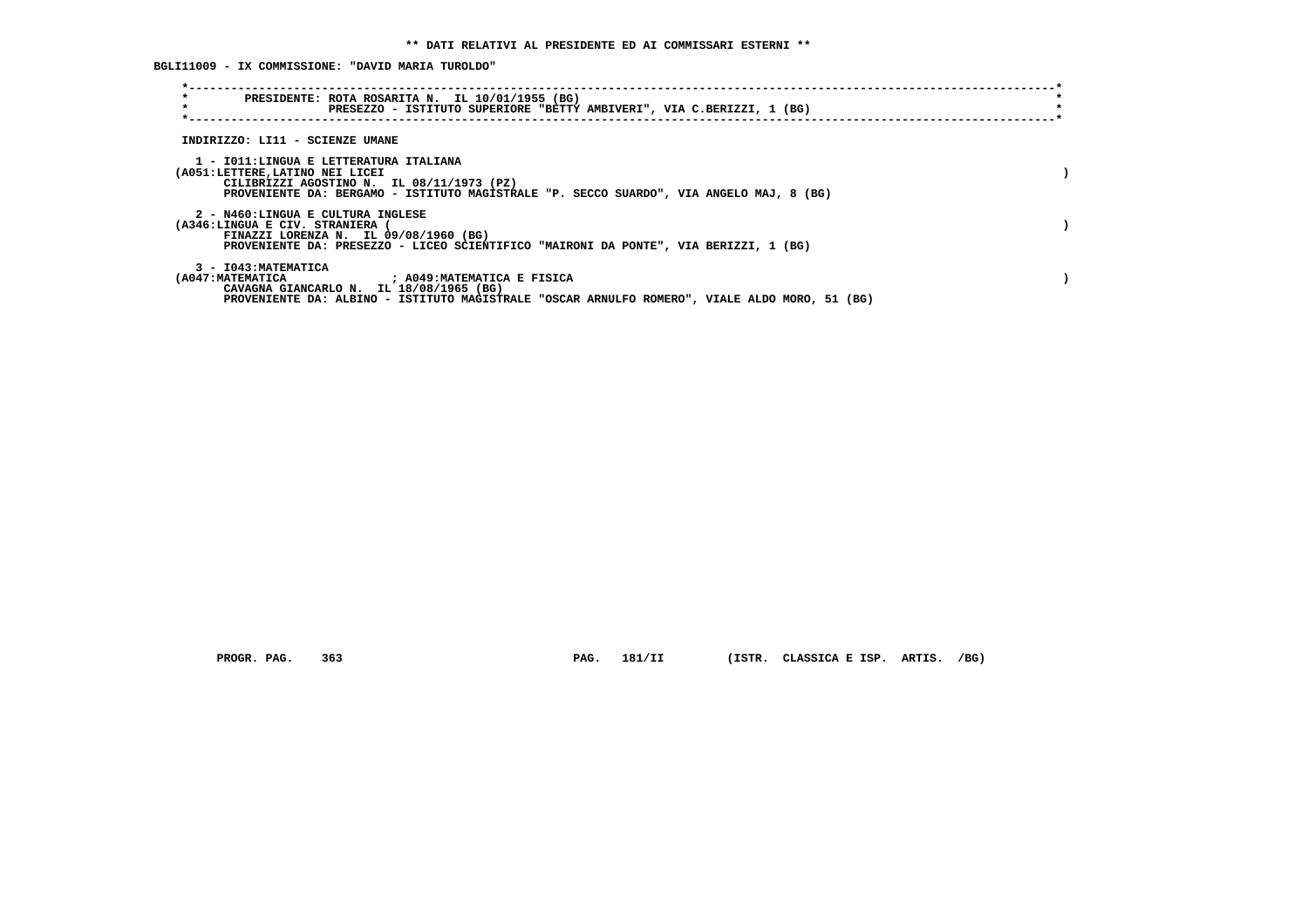**BGLI11009 - IX COMMISSIONE: "DAVID MARIA TUROLDO"**

| PRESIDENTE: ROTA ROSARITA N. IL 10/01/1955 (BG)<br>$\star$<br>PRESEZZO - ISTITUTO SUPERIORE "BETTY AMBIVERI", VIA C.BERIZZI, 1 (BG)                                                                                                             |  |
|-------------------------------------------------------------------------------------------------------------------------------------------------------------------------------------------------------------------------------------------------|--|
| INDIRIZZO: LI11 - SCIENZE UMANE                                                                                                                                                                                                                 |  |
| 1 - IO11:LINGUA E LETTERATURA ITALIANA<br>(A051:LETTERE, LATINO NEI LICEI<br>CILIBRIZZI AGOSTINO N. IL 08/11/1973 (PZ)<br>PROVENIENTE DA: BERGAMO - ISTITUTO MAGISTRALE "P. SECCO SUARDO", VIA ANGELO MAJ, 8 (BG)                               |  |
| 2 - N460:LINGUA E CULTURA INGLESE<br>(A346:LINGUA E CIV. STRANIERA<br>FINAZZI LORENZA N. IL 09/08/1960 (BG)<br>PROVENIENTE DA: PRESEZZO - LICEO SCIENTIFICO "MAIRONI DA PONTE", VIA BERIZZI, 1 (BG)                                             |  |
| 3 - I043: MATEMATICA<br>(A047:MATEMATICA                                 ; A049:MATEMATICA E FISICA<br>CAVAGNA GIANCARLO N. IL 18/08/1965 (BG)<br>PROVENIENTE DA: ALBINO - ISTITUTO MAGISTRALE "OSCAR ARNULFO ROMERO", VIALE ALDO MORO, 51 (BG) |  |

 **PROGR. PAG. 363 PAG. 181/II (ISTR. CLASSICA E ISP. ARTIS. /BG)**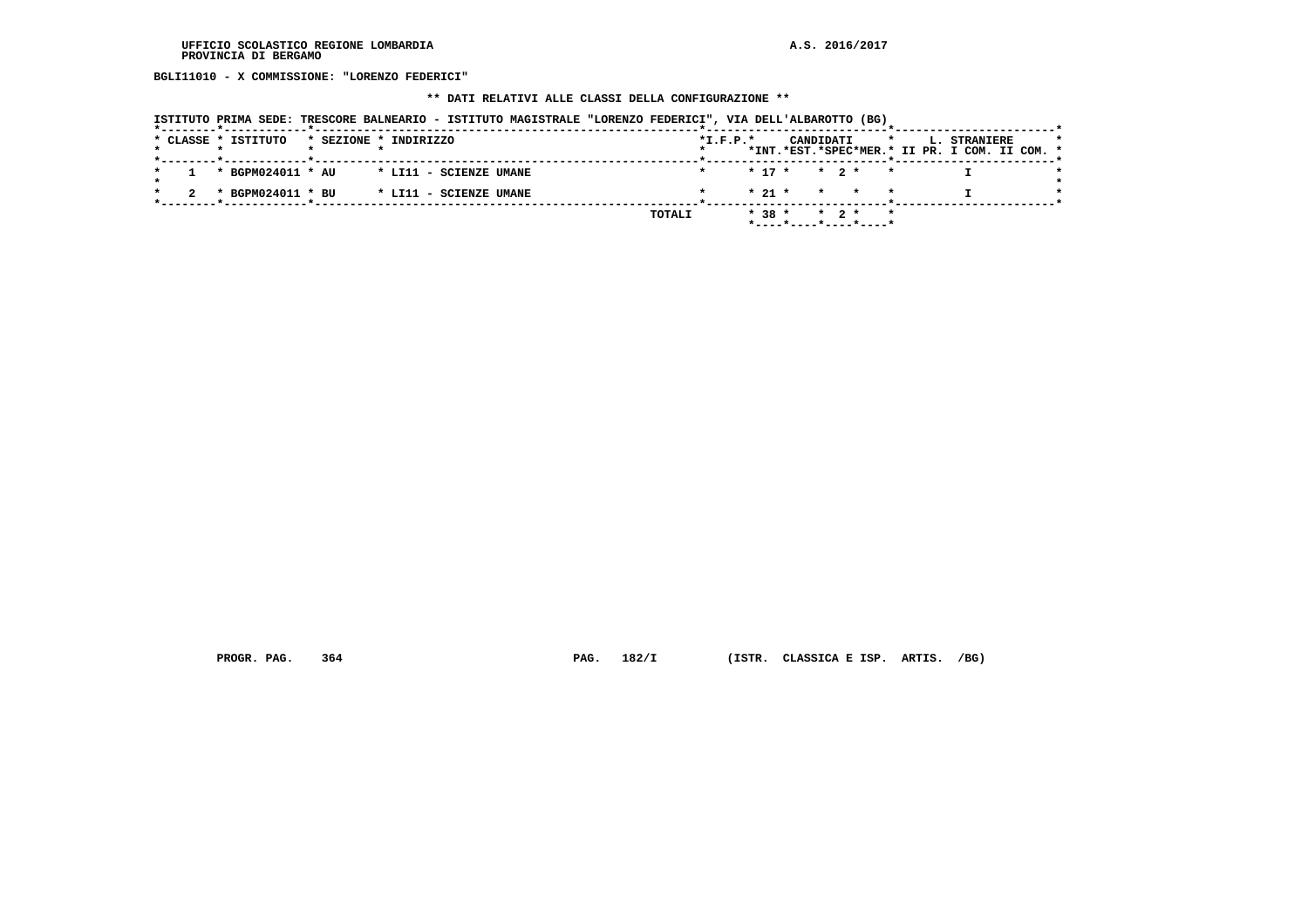**BGLI11010 - X COMMISSIONE: "LORENZO FEDERICI"**

# **\*\* DATI RELATIVI ALLE CLASSI DELLA CONFIGURAZIONE \*\***

|                                              | ISTITUTO PRIMA SEDE: TRESCORE BALNEARIO - ISTITUTO MAGISTRALE "LORENZO FEDERICI", VIA DELL'ALBAROTTO (BG) |                                                                                                     |
|----------------------------------------------|-----------------------------------------------------------------------------------------------------------|-----------------------------------------------------------------------------------------------------|
| * CLASSE * ISTITUTO<br>* SEZIONE * INDIRIZZO |                                                                                                           | $*L.F.P.*$<br>CANDIDATI<br>L. STRANIERE<br>$\star$<br>*INT.*EST.*SPEC*MER.* II PR. I COM. II COM. * |
| * BGPM024011 * AU                            | * LI11 - SCIENZE UMANE                                                                                    | $* 17 * * 2 * * *$                                                                                  |
| * BGPM024011 * BU                            | * LI11 - SCIENZE UMANE                                                                                    | $*21$ *<br>* * *                                                                                    |
|                                              | TOTALI                                                                                                    | $* 38 *$<br>$*$ 2 $*$                                                                               |

 **PROGR. PAG. 364 PAG. 182/I (ISTR. CLASSICA E ISP. ARTIS. /BG)**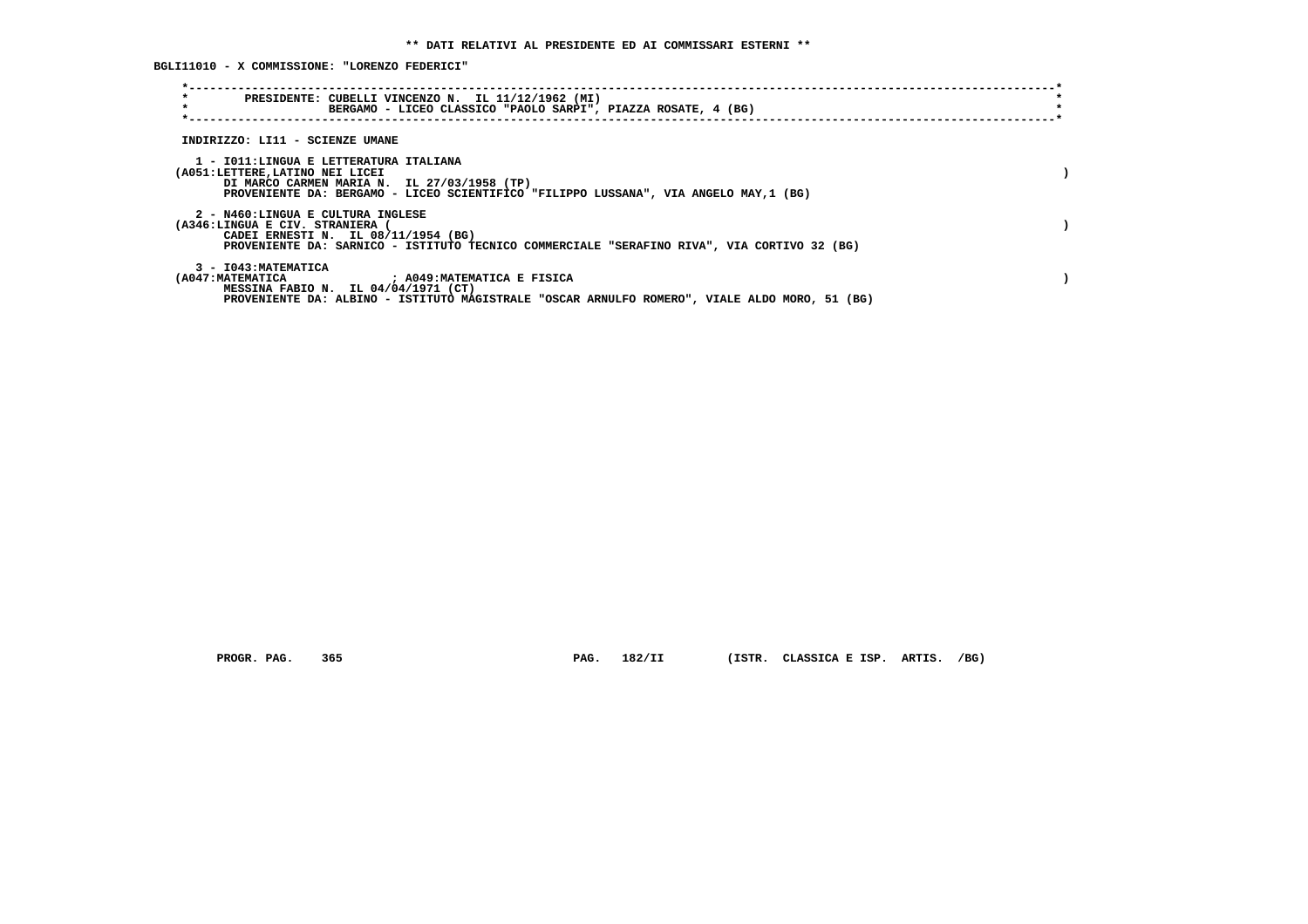**BGLI11010 - X COMMISSIONE: "LORENZO FEDERICI"**

| $\star$<br>PRESIDENTE: CUBELLI VINCENZO N. IL 11/12/1962 (MI)<br>$\star$<br>BERGAMO - LICEO CLASSICO "PAOLO SARPI", PIAZZA ROSATE, 4 (BG)                                                                         |  |
|-------------------------------------------------------------------------------------------------------------------------------------------------------------------------------------------------------------------|--|
| INDIRIZZO: LI11 - SCIENZE UMANE                                                                                                                                                                                   |  |
| 1 - IO11:LINGUA E LETTERATURA ITALIANA<br>(A051:LETTERE, LATINO NEI LICEI<br>DI MARCO CARMEN MARIA N. IL 27/03/1958 (TP)<br>PROVENIENTE DA: BERGAMO - LICEO SCIENTIFICO "FILIPPO LUSSANA", VIA ANGELO MAY, 1 (BG) |  |
| 2 - N460:LINGUA E CULTURA INGLESE<br>(A346:LINGUA E CIV. STRANIERA (<br>CADEI ERNESTI N. IL 08/11/1954 (BG)<br>PROVENIENTE DA: SARNICO - ISTITUTO TECNICO COMMERCIALE "SERAFINO RIVA", VIA CORTIVO 32 (BG)        |  |
| 3 - I043: MATEMATICA<br>(A047:MATEMATICA ) : A049:MATEMATICA E FISICA<br>MESSINA FABIO N. IL 04/04/1971 (CT)<br>PROVENIENTE DA: ALBINO - ISTITUTO MAGISTRALE "OSCAR ARNULFO ROMERO", VIALE ALDO MORO, 51 (BG)     |  |

 **PROGR. PAG. 365 PAG. 182/II (ISTR. CLASSICA E ISP. ARTIS. /BG)**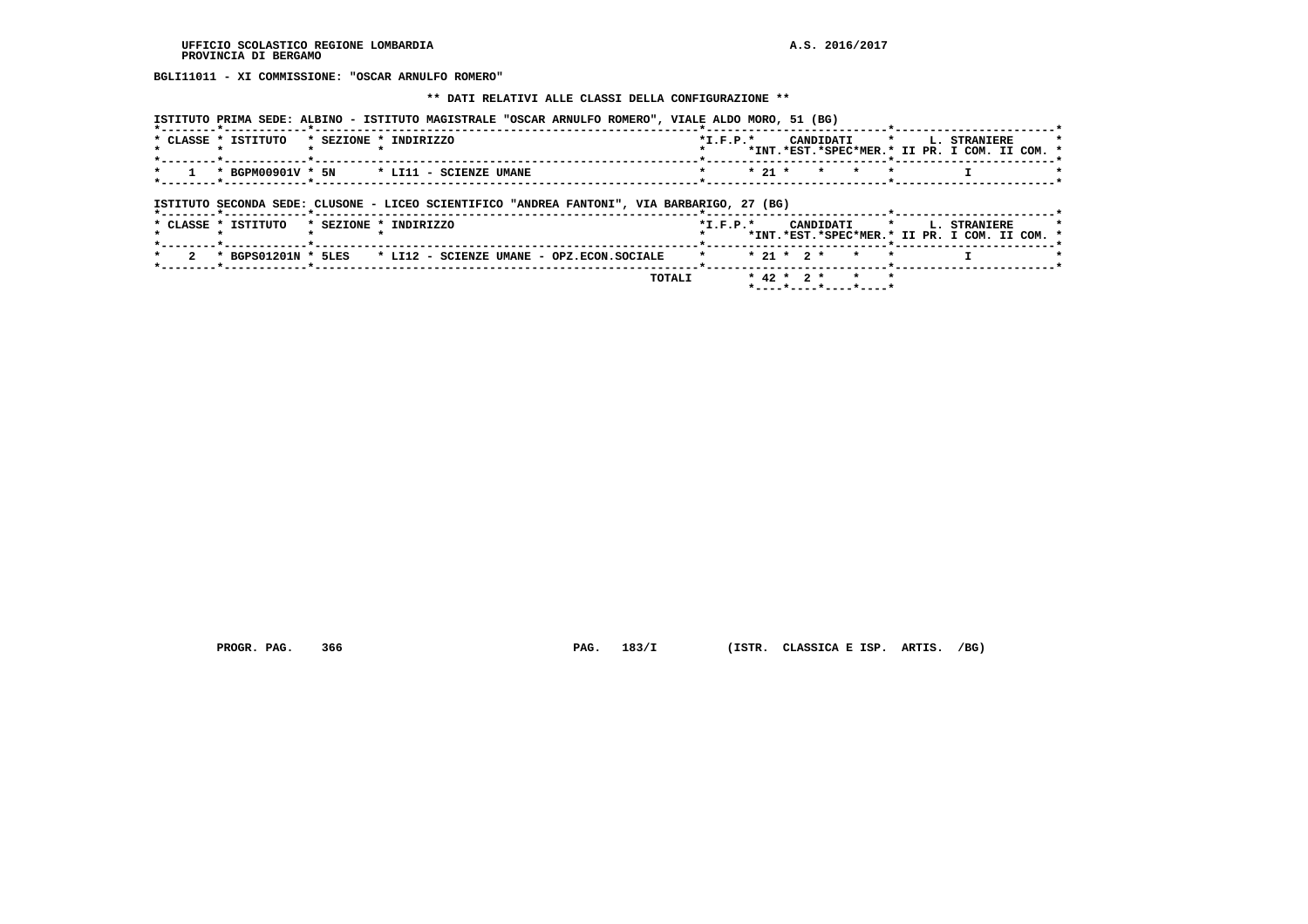**BGLI11011 - XI COMMISSIONE: "OSCAR ARNULFO ROMERO"**

### **\*\* DATI RELATIVI ALLE CLASSI DELLA CONFIGURAZIONE \*\***

|                     | ISTITUTO PRIMA SEDE: ALBINO - ISTITUTO MAGISTRALE "OSCAR ARNULFO ROMERO", VIALE ALDO MORO, 51 (BG) | ------ <b>--------*----------</b> -                                                                             |                |                                               |  |
|---------------------|----------------------------------------------------------------------------------------------------|-----------------------------------------------------------------------------------------------------------------|----------------|-----------------------------------------------|--|
| * CLASSE * ISTITUTO | * SEZIONE * INDIRIZZO                                                                              | $*T$ , $F$ , $P$ , $*$                                                                                          |                | CANDIDATI * L. STRANIERE                      |  |
|                     |                                                                                                    |                                                                                                                 |                | *INT.*EST.*SPEC*MER.* II PR. I COM. II COM. * |  |
|                     | * BGPM00901V * 5N * LI11 - SCIENZE UMANE                                                           |                                                                                                                 | * * 21 * * * * |                                               |  |
|                     |                                                                                                    | the contract of the contract of the contract of the contract of the contract of the contract of the contract of |                |                                               |  |

 **ISTITUTO SECONDA SEDE: CLUSONE - LICEO SCIENTIFICO "ANDREA FANTONI", VIA BARBARIGO, 27 (BG)**

|  | * CLASSE * ISTITUTO | * SEZIONE * INDIRIZZO |  |  |                                                                 | $*T$ , $F$ , $P$ , $*$ |  |  |                |  | CANDIDATI * L. STRANIERE<br>*INT.*EST.*SPEC*MER.* II PR. I COM. II COM. * |  |  |
|--|---------------------|-----------------------|--|--|-----------------------------------------------------------------|------------------------|--|--|----------------|--|---------------------------------------------------------------------------|--|--|
|  |                     |                       |  |  | 2 * BGPS01201N * 5LES * LI12 - SCIENZE UMANE - OPZ.ECON.SOCIALE | * * 21 * 2 * * *       |  |  |                |  |                                                                           |  |  |
|  |                     |                       |  |  | <b>TOTALI</b>                                                   |                        |  |  | * 42 * 2 * * * |  |                                                                           |  |  |

 **PROGR. PAG. 366 PAG. 183/I (ISTR. CLASSICA E ISP. ARTIS. /BG)**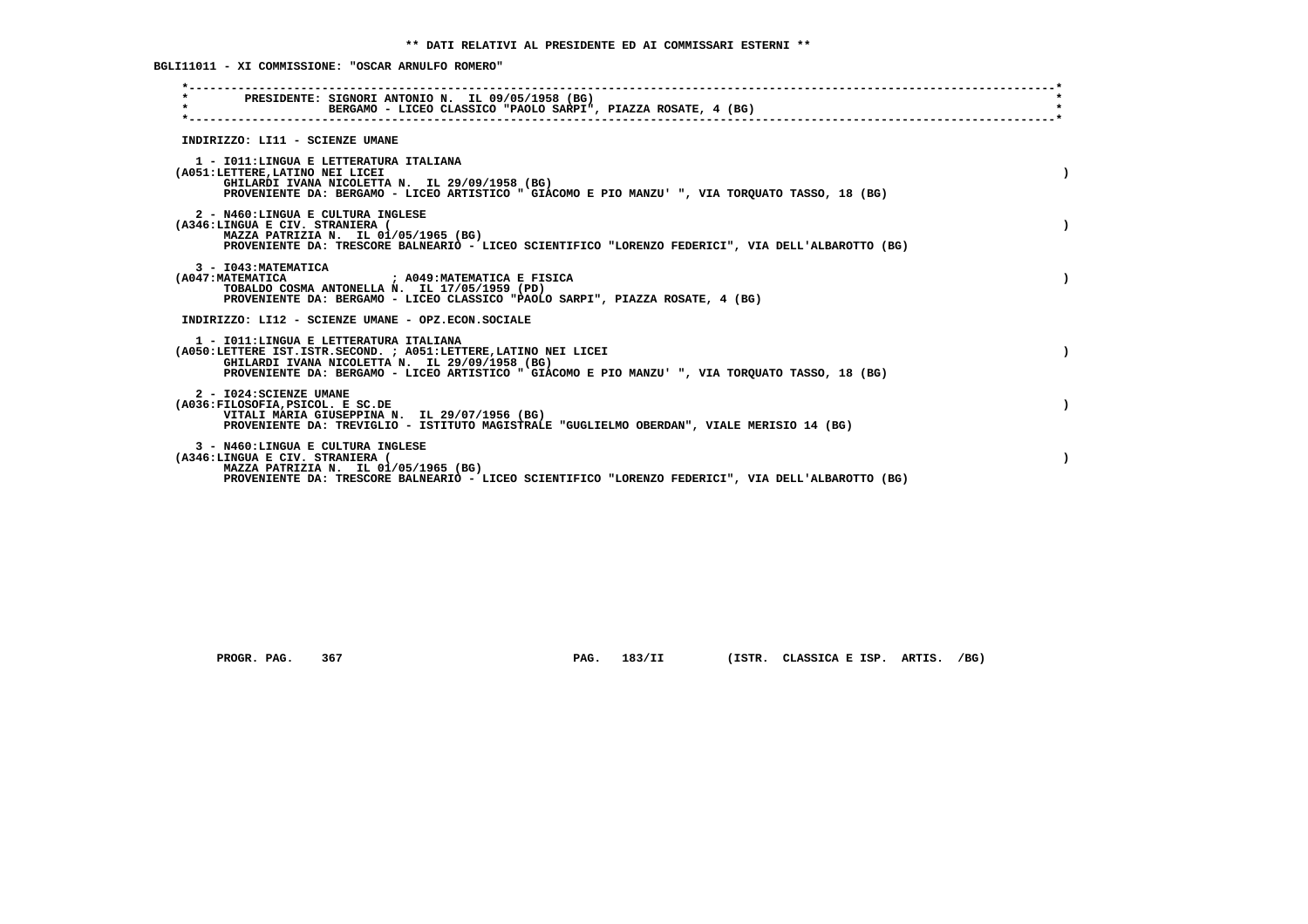**BGLI11011 - XI COMMISSIONE: "OSCAR ARNULFO ROMERO"**

| PRESIDENTE: SIGNORI ANTONIO N. IL 09/05/1958 (BG)<br>$\star$<br>BERGAMO - LICEO CLASSICO "PAOLO SARPI", PIAZZA ROSATE, 4 (BG) |  |
|-------------------------------------------------------------------------------------------------------------------------------|--|
|                                                                                                                               |  |
| INDIRIZZO: LI11 - SCIENZE UMANE                                                                                               |  |
| 1 - IO11: LINGUA E LETTERATURA ITALIANA                                                                                       |  |
| (A051:LETTERE, LATINO NEI LICEI<br>GHILARDI IVANA NICOLETTA N. IL 29/09/1958 (BG)                                             |  |
| PROVENIENTE DA: BERGAMO - LICEO ARTISTICO " GIACOMO E PIO MANZU' ", VIA TORQUATO TASSO, 18 (BG)                               |  |
| 2 - N460:LINGUA E CULTURA INGLESE                                                                                             |  |
| (A346:LINGUA E CIV. STRANIERA (<br>MAZZA PATRIZIA N. IL 01/05/1965 (BG)                                                       |  |
| PROVENIENTE DA: TRESCORE BALNEARIO - LICEO SCIENTIFICO "LORENZO FEDERICI", VIA DELL'ALBAROTTO (BG)                            |  |
| 3 - I043: MATEMATICA                                                                                                          |  |
| (A047: MATEMATICA ) ; A049: MATEMATICA E FISICA<br>TOBALDO COSMA ANTONELLA N. IL 17/05/1959 (PD)                              |  |
| PROVENIENTE DA: BERGAMO - LICEO CLASSICO "PAOLO SARPI", PIAZZA ROSATE, 4 (BG)                                                 |  |
| INDIRIZZO: LI12 - SCIENZE UMANE - OPZ.ECON.SOCIALE                                                                            |  |
| 1 - IO11: LINGUA E LETTERATURA ITALIANA                                                                                       |  |
| (A050:LETTERE IST.ISTR.SECOND. ; A051:LETTERE, LATINO NEI LICEI<br>GHILARDI IVANA NICOLETTA N. IL 29/09/1958 (BG)             |  |
| PROVENIENTE DA: BERGAMO - LICEO ARTISTICO " GIACOMO E PIO MANZU' ", VIA TORQUATO TASSO, 18 (BG)                               |  |
| 2 - I024: SCIENZE UMANE                                                                                                       |  |
| (A036:FILOSOFIA, PSICOL. E SC.DE<br>VITALI MARIA GIUSEPPINA N. IL 29/07/1956 (BG)                                             |  |
| PROVENIENTE DA: TREVIGLIO - ISTITUTO MAGISTRALE "GUGLIELMO OBERDAN", VIALE MERISIO 14 (BG)                                    |  |
| 3 - N460:LINGUA E CULTURA INGLESE                                                                                             |  |
| (A346:LINGUA E CIV. STRANIERA (<br>MAZZA PATRIZIA N. IL 01/05/1965 (BG)                                                       |  |
| PROVENIENTE DA: TRESCORE BALNEARIO - LICEO SCIENTIFICO "LORENZO FEDERICI", VIA DELL'ALBAROTTO (BG)                            |  |

 **PROGR. PAG. 367 PAG. 183/II (ISTR. CLASSICA E ISP. ARTIS. /BG)**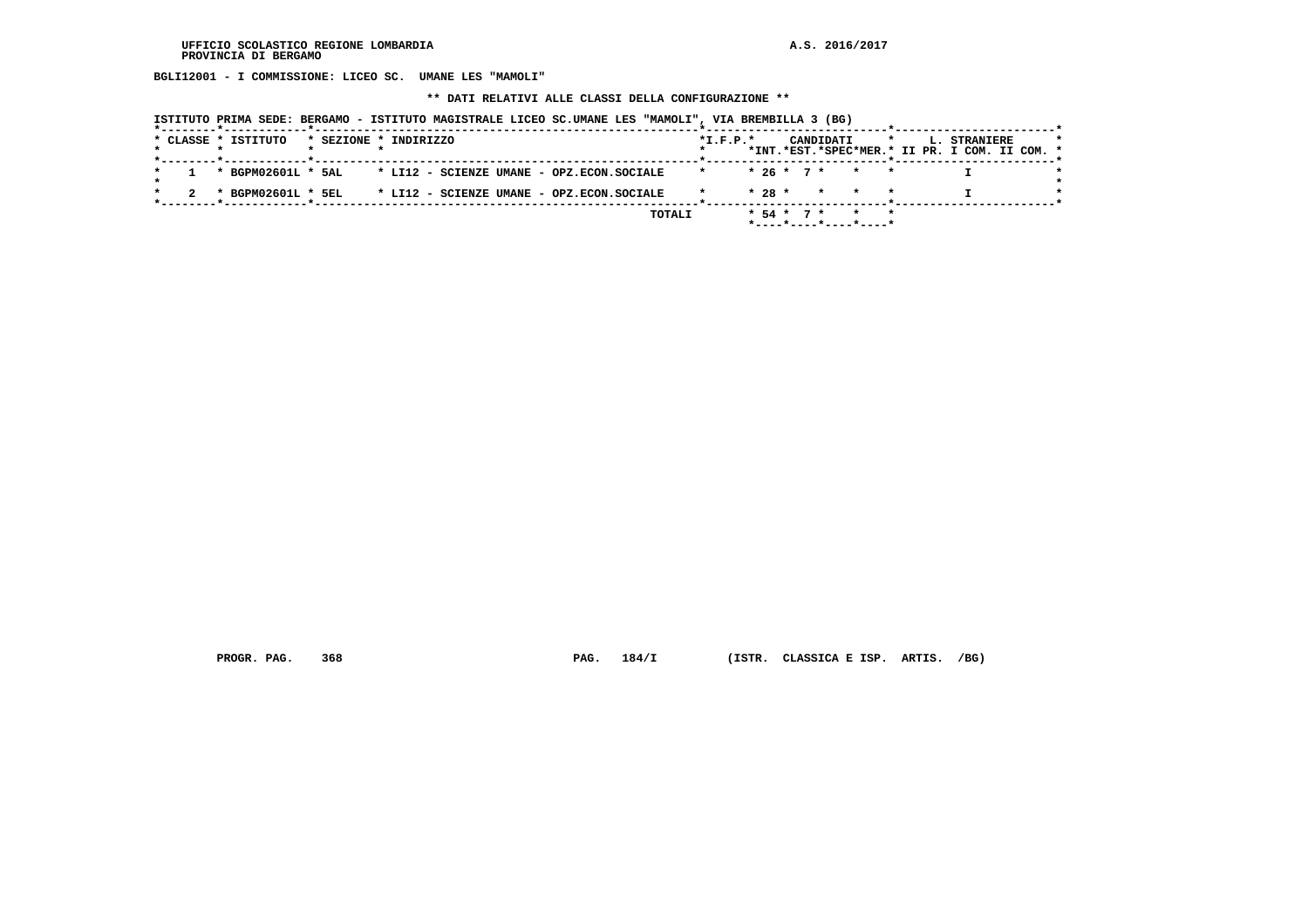**BGLI12001 - I COMMISSIONE: LICEO SC. UMANE LES "MAMOLI"**

 **\*\* DATI RELATIVI ALLE CLASSI DELLA CONFIGURAZIONE \*\***

|  |                     |                                                          |                                                              |  | ISTITUTO PRIMA SEDE: BERGAMO - ISTITUTO MAGISTRALE LICEO SC.UMANE LES "MAMOLI", VIA BREMBILLA 3 (BG) |                  |  |           |                                                                               |  |                                                                      |  |
|--|---------------------|----------------------------------------------------------|--------------------------------------------------------------|--|------------------------------------------------------------------------------------------------------|------------------|--|-----------|-------------------------------------------------------------------------------|--|----------------------------------------------------------------------|--|
|  | * CLASSE * ISTITUTO | * SEZIONE * INDIRIZZO<br>_______*____________*__________ |                                                              |  |                                                                                                      | $*L.F.P.*$       |  | CANDIDATI | $\star$                                                                       |  | <b>L. STRANIERE</b><br>*INT.*EST.*SPEC*MER.* II PR. I COM. II COM. * |  |
|  |                     |                                                          | * BGPM02601L * 5AL * LI12 - SCIENZE UMANE - OPZ.ECON.SOCIALE |  |                                                                                                      | * * 26 * 7 * * * |  |           |                                                                               |  |                                                                      |  |
|  |                     |                                                          | * BGPM02601L * 5EL * LI12 - SCIENZE UMANE - OPZ.ECON.SOCIALE |  |                                                                                                      |                  |  |           | $* 28 * * * * * *$                                                            |  |                                                                      |  |
|  |                     |                                                          |                                                              |  | TOTALI                                                                                               |                  |  |           | $* 54 * 7 * * * * *$<br>$*$ - - - - $*$ - - - - $*$ - - - - $*$ - - - - - $*$ |  |                                                                      |  |

 **PROGR. PAG. 368 PAG. 184/I (ISTR. CLASSICA E ISP. ARTIS. /BG)**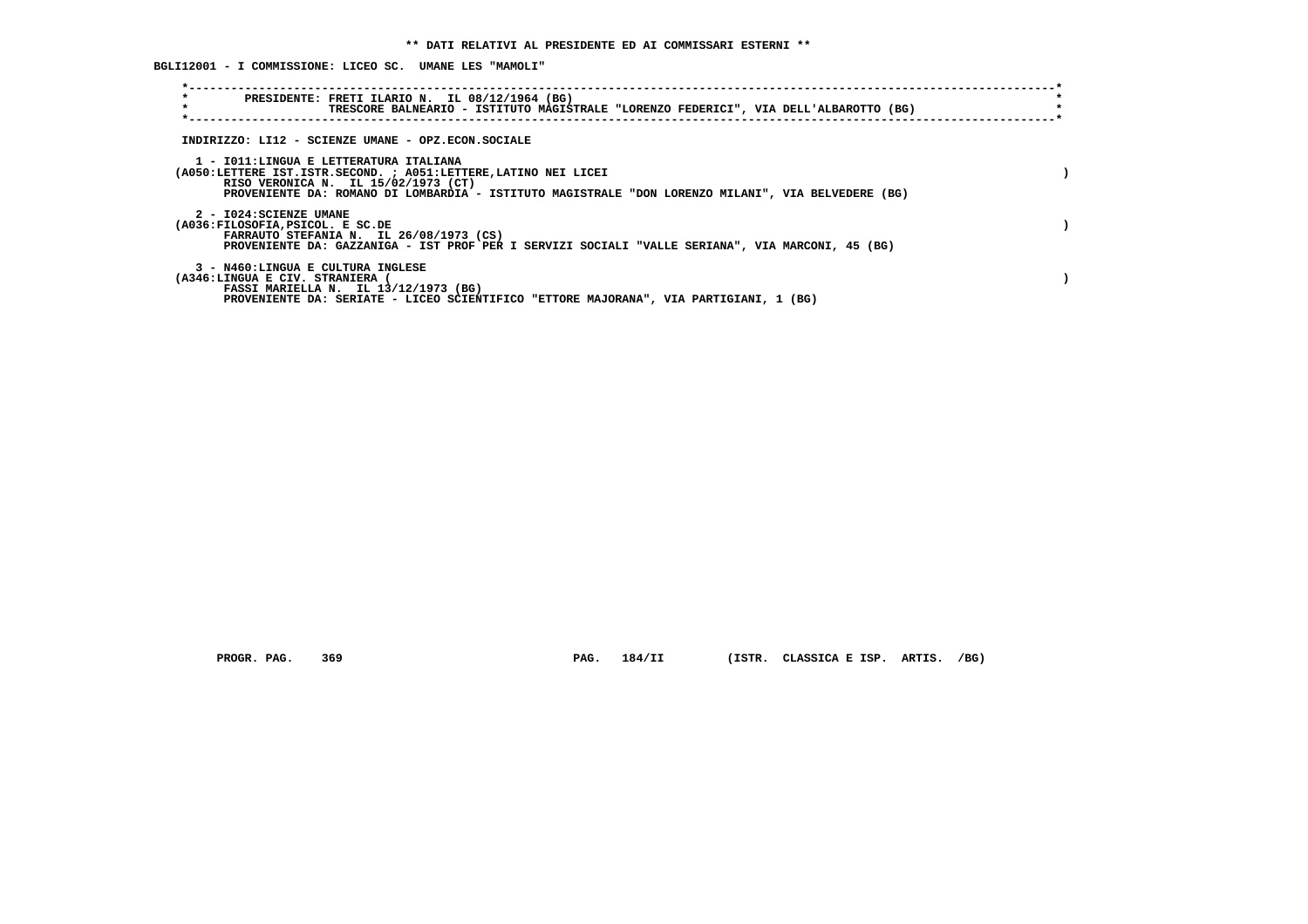**BGLI12001 - I COMMISSIONE: LICEO SC. UMANE LES "MAMOLI"**

| $\star$<br>PRESIDENTE: FRETI ILARIO N. IL 08/12/1964 (BG)<br>$\star$<br>TRESCORE BALNEARIO - ISTITUTO MAGISTRALE "LORENZO FEDERICI", VIA DELL'ALBAROTTO (BG)                                                                                           |  |
|--------------------------------------------------------------------------------------------------------------------------------------------------------------------------------------------------------------------------------------------------------|--|
| INDIRIZZO: LI12 - SCIENZE UMANE - OPZ.ECON.SOCIALE                                                                                                                                                                                                     |  |
| 1 - IO11:LINGUA E LETTERATURA ITALIANA<br>(A050:LETTERE IST.ISTR.SECOND. ; A051:LETTERE, LATINO NEI LICEI<br>RISO VERONICA N. IL 15/02/1973 (CT)<br>PROVENIENTE DA: ROMANO DI LOMBARDIA - ISTITUTO MAGISTRALE "DON LORENZO MILANI", VIA BELVEDERE (BG) |  |
| 2 - I024: SCIENZE UMANE<br>(A036:FILOSOFIA, PSICOL. E SC.DE<br>FARRAUTO STEFANIA N. IL 26/08/1973 (CS)<br>PROVENIENTE DA: GAZZANIGA - IST PROF PER I SERVIZI SOCIALI "VALLE SERIANA", VIA MARCONI, 45 (BG)                                             |  |
| 3 - N460:LINGUA E CULTURA INGLESE<br>(A346:LINGUA E CIV. STRANIERA<br>FASSI MARIELLA N. IL 13/12/1973 (BG)<br>PROVENIENTE DA: SERIATE - LICEO SCIENTIFICO "ETTORE MAJORANA", VIA PARTIGIANI, 1 (BG)                                                    |  |

 **PROGR. PAG. 369 PAG. 184/II (ISTR. CLASSICA E ISP. ARTIS. /BG)**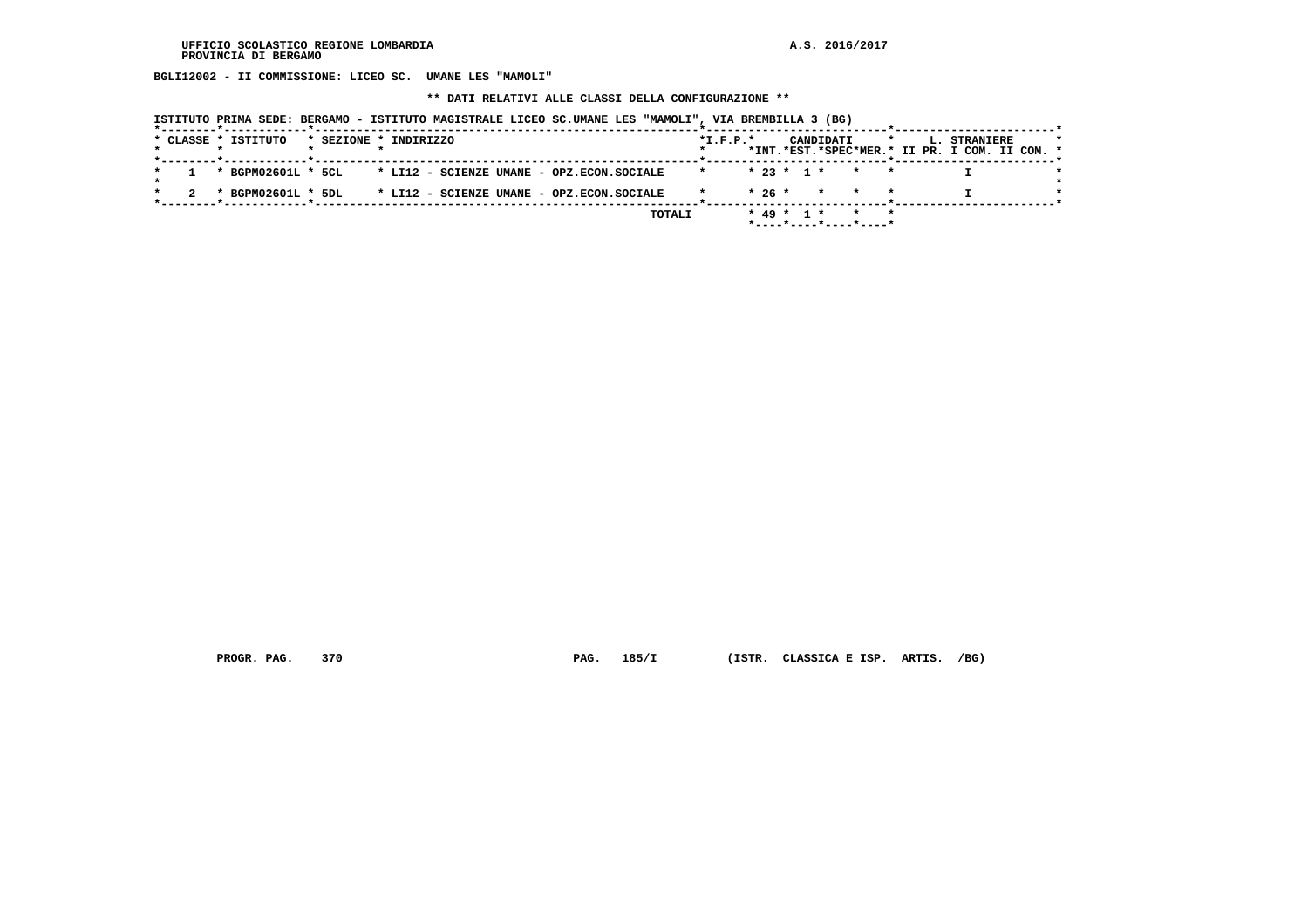**BGLI12002 - II COMMISSIONE: LICEO SC. UMANE LES "MAMOLI"**

 **\*\* DATI RELATIVI ALLE CLASSI DELLA CONFIGURAZIONE \*\***

| ISTITUTO PRIMA SEDE: BERGAMO - ISTITUTO MAGISTRALE LICEO SC.UMANE LES "MAMOLI", VIA BREMBILLA 3 (BG) |  |  |  |  |  |  |
|------------------------------------------------------------------------------------------------------|--|--|--|--|--|--|
|------------------------------------------------------------------------------------------------------|--|--|--|--|--|--|

|  | * CLASSE * ISTITUTO |  | * SEZIONE * INDIRIZZO                                        |        | $*L.F.P.*$   |  |  | CANDIDATI |                       |  | * L. STRANIERE<br>*INT.*EST.*SPEC*MER.* II PR. I COM. II COM. * | $\star$ |
|--|---------------------|--|--------------------------------------------------------------|--------|--------------|--|--|-----------|-----------------------|--|-----------------------------------------------------------------|---------|
|  |                     |  |                                                              |        |              |  |  |           |                       |  |                                                                 |         |
|  |                     |  | * BGPM02601L * 5CL * LI12 - SCIENZE UMANE - OPZ.ECON.SOCIALE |        | $\mathbf{r}$ |  |  |           | $* 23 * 1 * * * * *$  |  |                                                                 |         |
|  |                     |  | * BGPM02601L * 5DL * LI12 - SCIENZE UMANE - OPZ.ECON.SOCIALE |        |              |  |  |           | $* 26 * * * * * *$    |  |                                                                 |         |
|  |                     |  |                                                              |        |              |  |  |           |                       |  |                                                                 |         |
|  |                     |  |                                                              | TOTALI |              |  |  |           | * 49 * 1 * * *        |  |                                                                 |         |
|  |                     |  |                                                              |        |              |  |  |           | *----*----*----*----* |  |                                                                 |         |

 **PROGR. PAG. 370 PAG. 185/I (ISTR. CLASSICA E ISP. ARTIS. /BG)**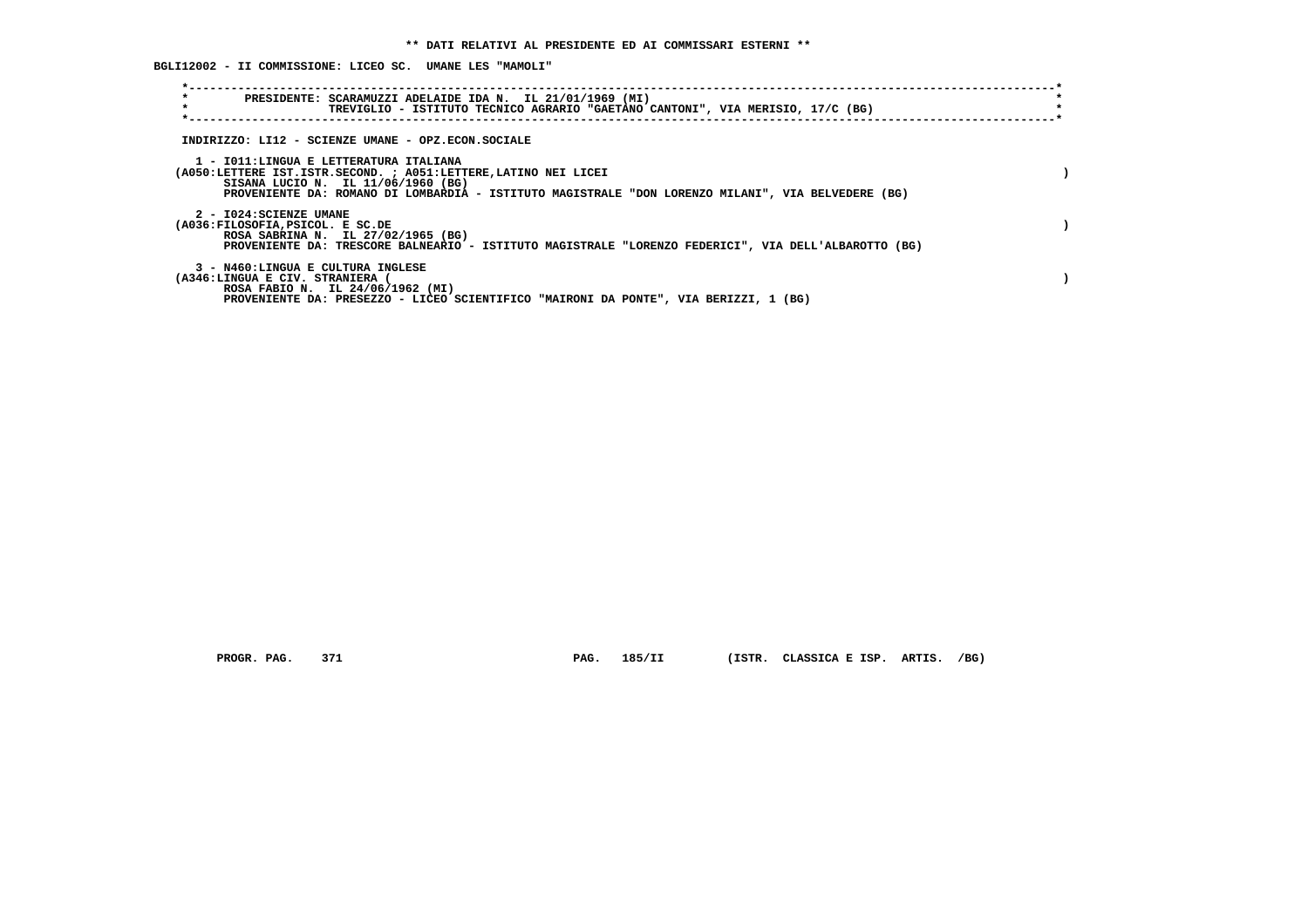**BGLI12002 - II COMMISSIONE: LICEO SC. UMANE LES "MAMOLI"**

| $\star$<br>PRESIDENTE: SCARAMUZZI ADELAIDE IDA N. IL 21/01/1969 (MI)<br>$\star$<br>TREVIGLIO - ISTITUTO TECNICO AGRARIO "GAETANO CANTONI", VIA MERISIO, 17/C (BG)                                                                                     |  |
|-------------------------------------------------------------------------------------------------------------------------------------------------------------------------------------------------------------------------------------------------------|--|
| INDIRIZZO: LI12 - SCIENZE UMANE - OPZ.ECON.SOCIALE                                                                                                                                                                                                    |  |
| 1 - IO11:LINGUA E LETTERATURA ITALIANA<br>(A050:LETTERE IST.ISTR.SECOND. ; A051:LETTERE, LATINO NEI LICEI<br>SISANA LUCIO N. IL 11/06/1960 (BG)<br>PROVENIENTE DA: ROMANO DI LOMBARDIA - ISTITUTO MAGISTRALE "DON LORENZO MILANI", VIA BELVEDERE (BG) |  |
| 2 - I024: SCIENZE UMANE<br>(A036:FILOSOFIA, PSICOL. E SC.DE<br>ROSA SABRINA N. IL 27/02/1965 (BG)<br>PROVENIENTE DA: TRESCORE BALNEARIO - ISTITUTO MAGISTRALE "LORENZO FEDERICI", VIA DELL'ALBAROTTO (BG)                                             |  |
| 3 - N460:LINGUA E CULTURA INGLESE<br>(A346:LINGUA E CIV. STRANIERA<br>ROSA FABIO N. IL 24/06/1962 (MI)<br>PROVENIENTE DA: PRESEZZO - LICEO SCIENTIFICO "MAIRONI DA PONTE", VIA BERIZZI, 1 (BG)                                                        |  |

 **PROGR. PAG. 371 PAG. 185/II (ISTR. CLASSICA E ISP. ARTIS. /BG)**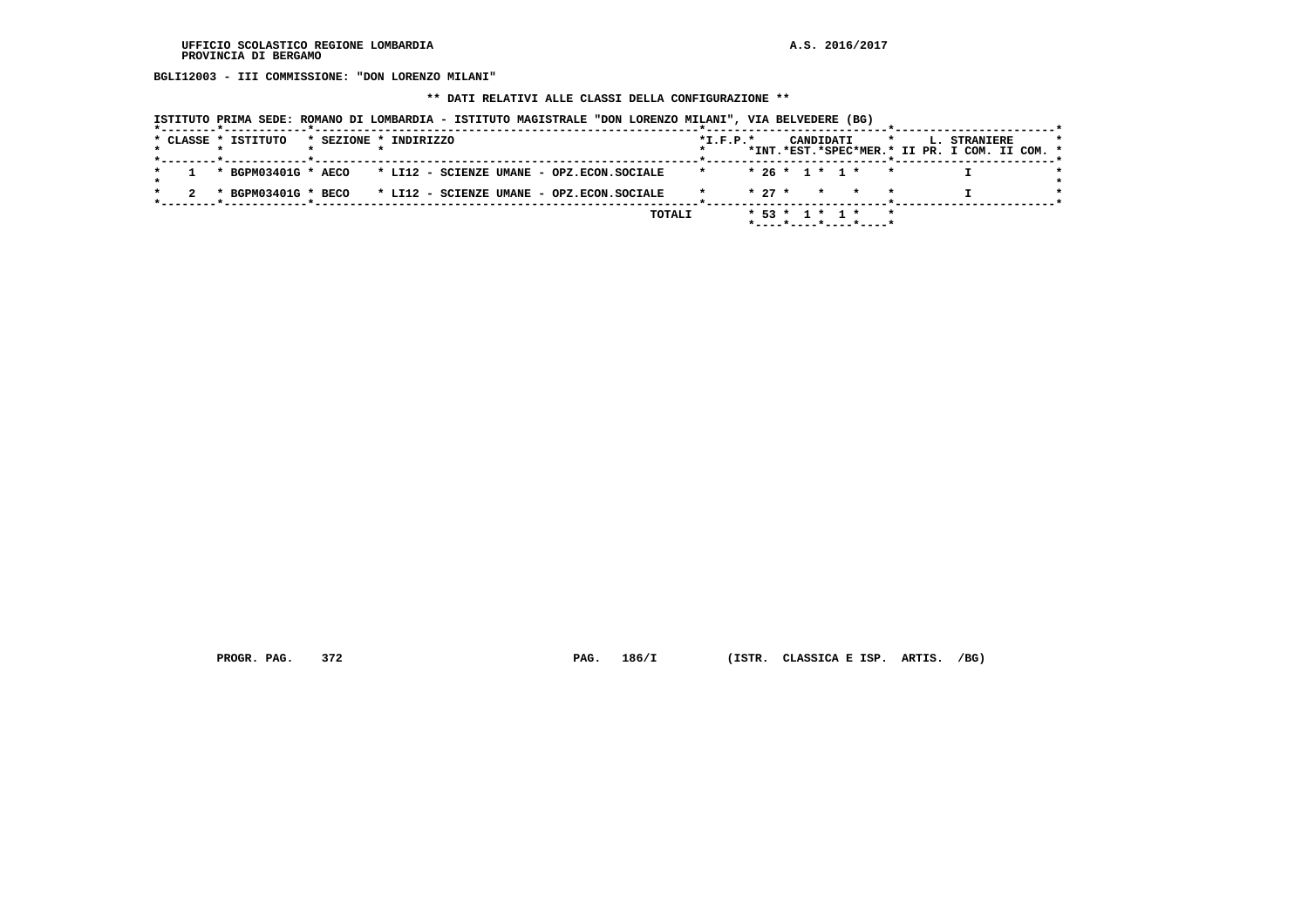**BGLI12003 - III COMMISSIONE: "DON LORENZO MILANI"**

# **\*\* DATI RELATIVI ALLE CLASSI DELLA CONFIGURAZIONE \*\***

|  | ISTITUTO PRIMA SEDE: ROMANO DI LOMBARDIA - ISTITUTO MAGISTRALE "DON LORENZO MILANI", VIA BELVEDERE (BG) |  |  |
|--|---------------------------------------------------------------------------------------------------------|--|--|
|  |                                                                                                         |  |  |

|  |  | * CLASSE * ISTITUTO |  | * SEZIONE * INDIRIZZO                     |  |        | $*$ I.F.P. $*$ |          |  | CANDIDATI        |                       |  | L. STRANIERE<br>*INT.*EST.*SPEC*MER.* II PR. I COM. II COM. * |  |  |
|--|--|---------------------|--|-------------------------------------------|--|--------|----------------|----------|--|------------------|-----------------------|--|---------------------------------------------------------------|--|--|
|  |  |                     |  |                                           |  |        |                |          |  |                  |                       |  |                                                               |  |  |
|  |  | * BGPM03401G * AECO |  | * LI12 - SCIENZE UMANE - OPZ.ECON.SOCIALE |  |        |                |          |  | $* 26 * 1 * 1 *$ |                       |  |                                                               |  |  |
|  |  |                     |  |                                           |  |        |                |          |  |                  |                       |  |                                                               |  |  |
|  |  | * BGPM03401G * BECO |  | * LI12 - SCIENZE UMANE - OPZ.ECON.SOCIALE |  |        |                | $* 27 *$ |  |                  | * * *                 |  |                                                               |  |  |
|  |  |                     |  |                                           |  | TOTALI |                |          |  | $* 53 * 1 * 1 *$ |                       |  |                                                               |  |  |
|  |  |                     |  |                                           |  |        |                |          |  |                  | *----*----*----*----* |  |                                                               |  |  |

 **PROGR. PAG. 372 PAG. 186/I (ISTR. CLASSICA E ISP. ARTIS. /BG)**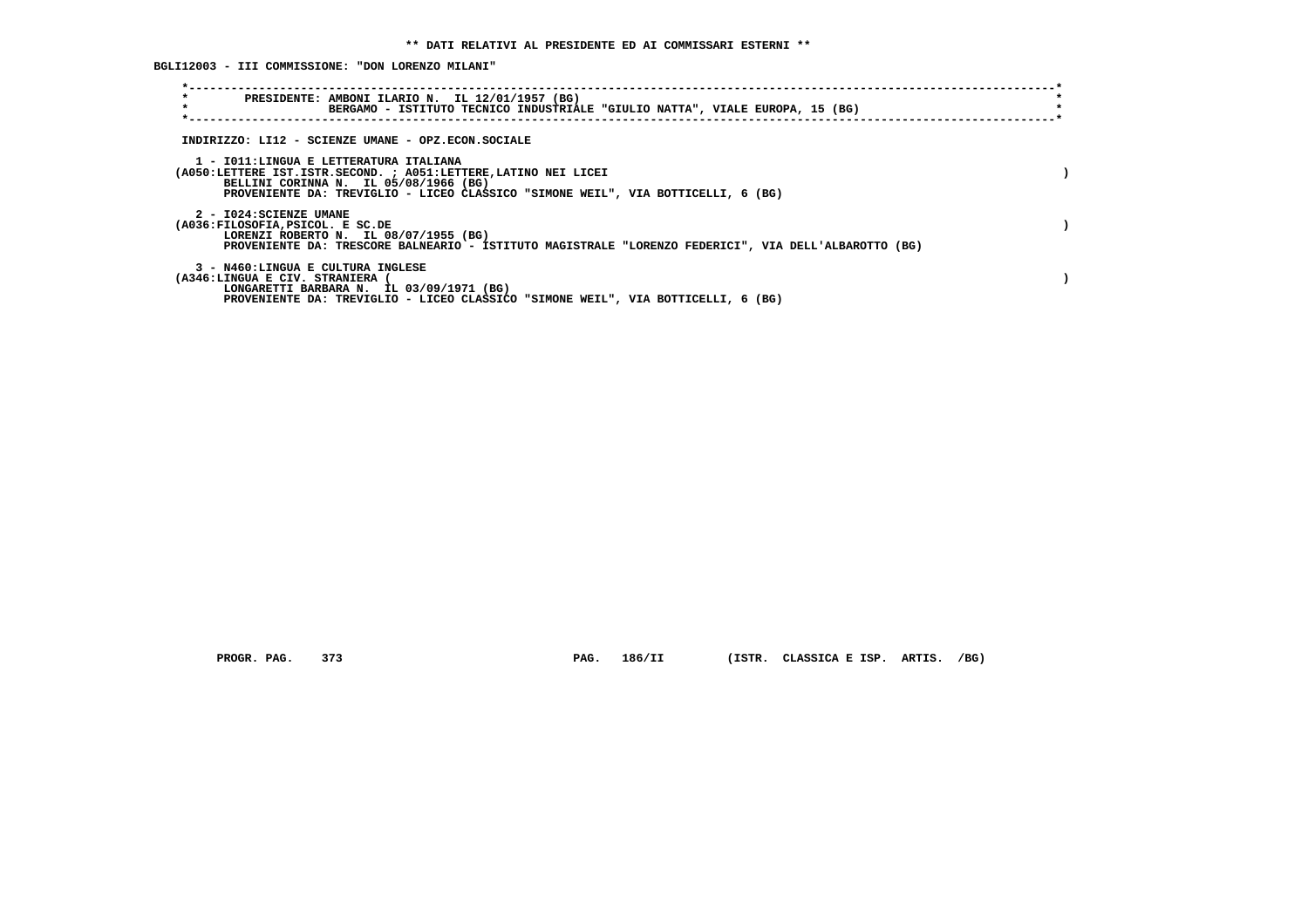**BGLI12003 - III COMMISSIONE: "DON LORENZO MILANI"**

| $\star$<br>PRESIDENTE: AMBONI ILARIO N. IL 12/01/1957 (BG)<br>$\star$<br>BERGAMO - ISTITUTO TECNICO INDUSTRIALE "GIULIO NATTA", VIALE EUROPA, 15 (BG)                                                                                 |  |
|---------------------------------------------------------------------------------------------------------------------------------------------------------------------------------------------------------------------------------------|--|
| INDIRIZZO: LI12 - SCIENZE UMANE - OPZ.ECON.SOCIALE                                                                                                                                                                                    |  |
| 1 - IO11:LINGUA E LETTERATURA ITALIANA<br>(A050:LETTERE IST.ISTR.SECOND. ; A051:LETTERE,LATINO NEI LICEI<br>BELLINI CORINNA N. IL 05/08/1966 (BG)<br>PROVENIENTE DA: TREVIGLIO - LICEO CLASSICO "SIMONE WEIL", VIA BOTTICELLI, 6 (BG) |  |
| 2 - I024: SCIENZE UMANE<br>(A036:FILOSOFIA, PSICOL. E SC.DE<br>LORENZI ROBERTO N. IL 08/07/1955 (BG)<br>PROVENIENTE DA: TRESCORE BALNEARIO - ISTITUTO MAGISTRALE "LORENZO FEDERICI", VIA DELL'ALBAROTTO (BG)                          |  |
| 3 - N460:LINGUA E CULTURA INGLESE<br>(A346:LINGUA E CIV. STRANIERA<br>LONGARETTI BARBARA N. IL 03/09/1971 (BG)<br>PROVENIENTE DA: TREVIGLIO - LICEO CLASSICO "SIMONE WEIL", VIA BOTTICELLI, 6 (BG)                                    |  |

 **PROGR. PAG. 373 PAG. 186/II (ISTR. CLASSICA E ISP. ARTIS. /BG)**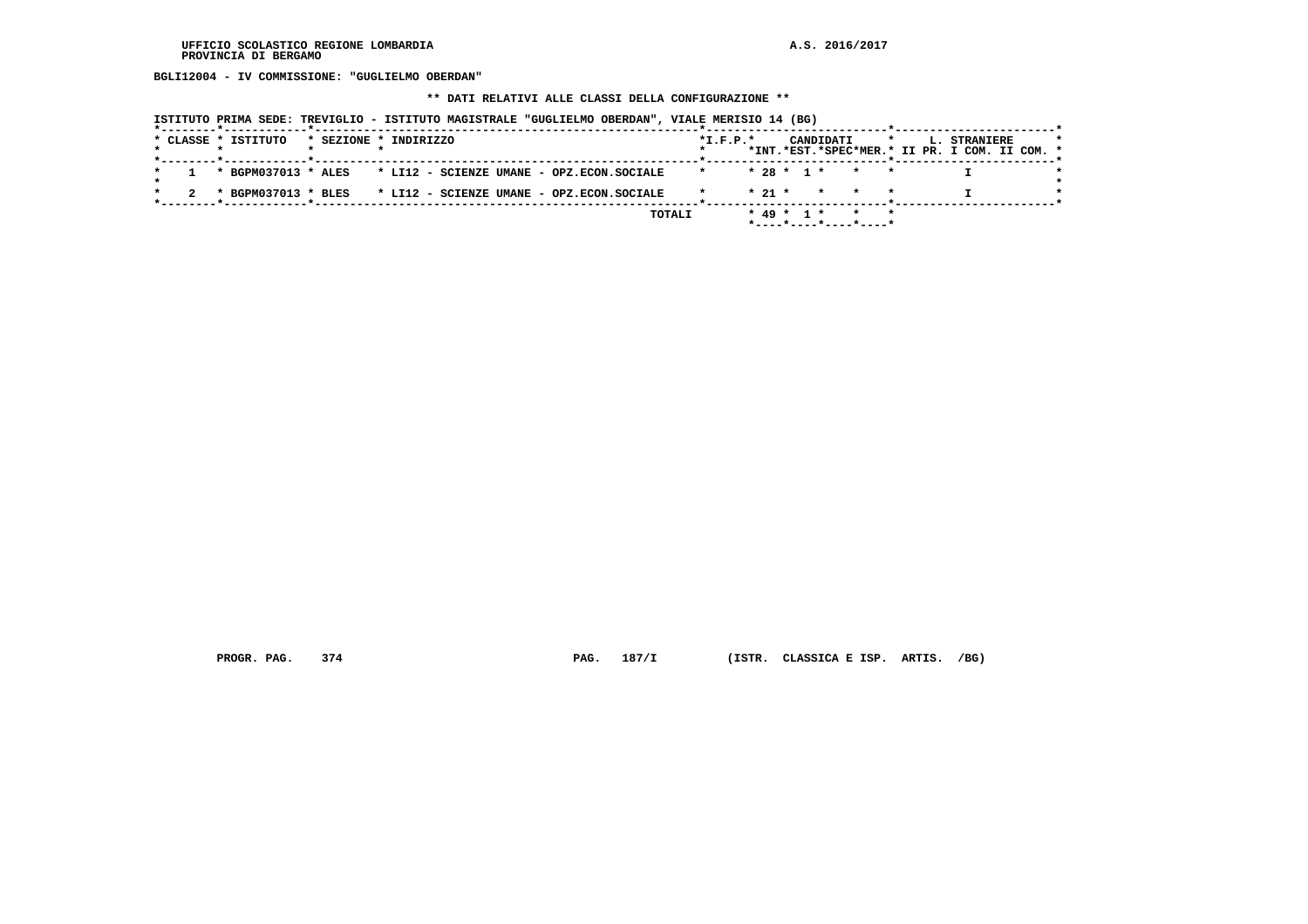**BGLI12004 - IV COMMISSIONE: "GUGLIELMO OBERDAN"**

# **\*\* DATI RELATIVI ALLE CLASSI DELLA CONFIGURAZIONE \*\***

|  |                     |                       |  |  | ISTITUTO PRIMA SEDE: TREVIGLIO - ISTITUTO MAGISTRALE "GUGLIELMO OBERDAN", VIALE MERISIO 14 (BG) |            |          |              |           |                       |         |                                                               |  |  |
|--|---------------------|-----------------------|--|--|-------------------------------------------------------------------------------------------------|------------|----------|--------------|-----------|-----------------------|---------|---------------------------------------------------------------|--|--|
|  | * CLASSE * ISTITUTO | * SEZIONE * INDIRIZZO |  |  |                                                                                                 | $*L.F.P.*$ |          |              | CANDIDATI |                       | $\star$ | L. STRANIERE<br>*INT.*EST.*SPEC*MER.* II PR. I COM. II COM. * |  |  |
|  |                     |                       |  |  | * BGPM037013 * ALES * LI12 - SCIENZE UMANE - OPZ.ECON.SOCIALE                                   | $\star$    |          |              |           | $* 28 * 1 * *$        |         |                                                               |  |  |
|  | * BGPM037013 * BLES |                       |  |  | * LI12 - SCIENZE UMANE - OPZ.ECON.SOCIALE                                                       |            | $* 21 *$ |              | $\star$   |                       |         |                                                               |  |  |
|  |                     |                       |  |  | TOTALI                                                                                          |            |          | $* 49 * 1 *$ |           | *----*----*----*----* |         |                                                               |  |  |

 **PROGR. PAG. 374 PAG. 187/I (ISTR. CLASSICA E ISP. ARTIS. /BG)**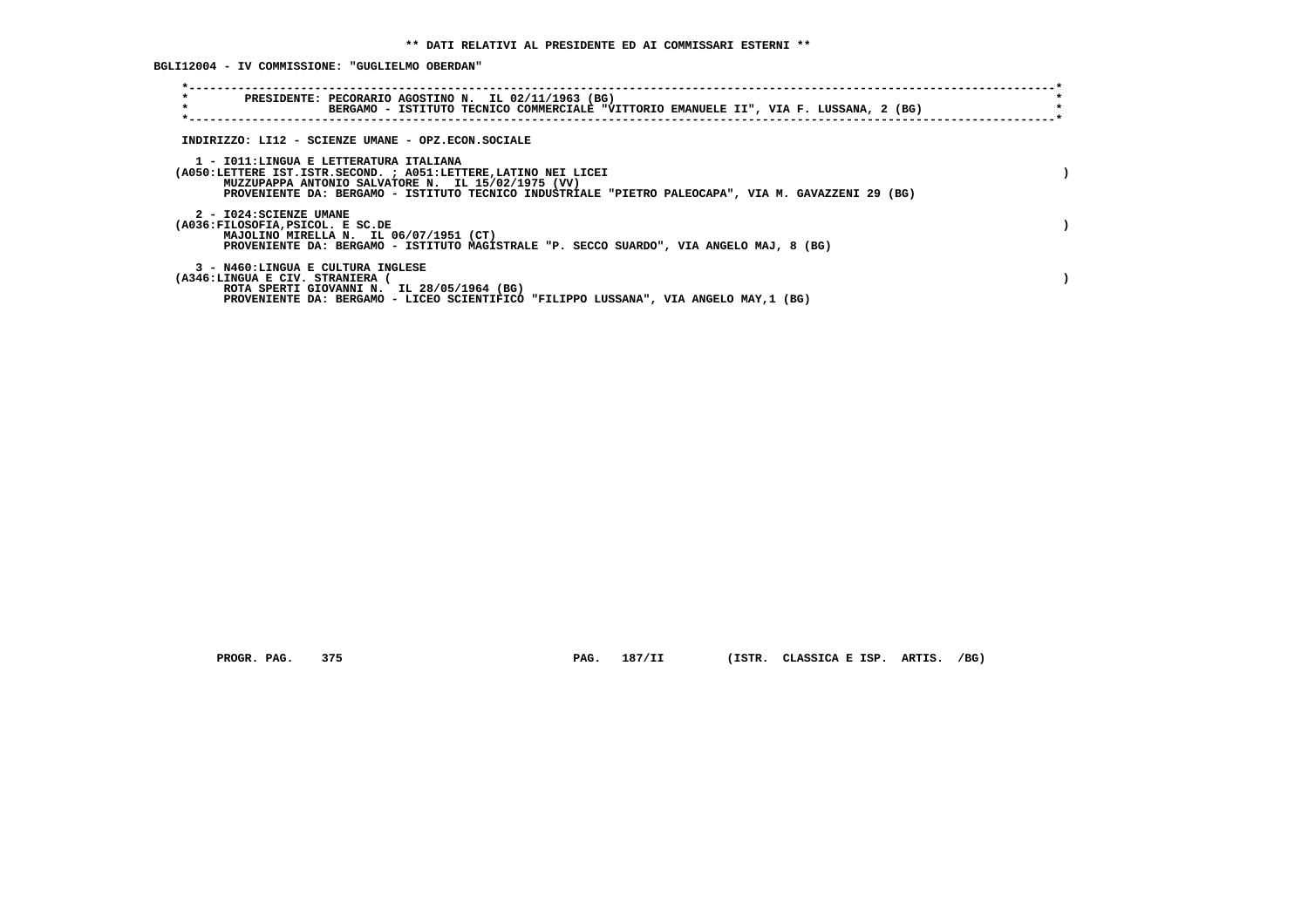**BGLI12004 - IV COMMISSIONE: "GUGLIELMO OBERDAN"**

| $\star$                                                             | PRESIDENTE: PECORARIO AGOSTINO N. IL 02/11/1963 (BG)<br>BERGAMO - ISTITUTO TECNICO COMMERCIALE "VITTORIO EMANUELE II", VIA F. LUSSANA, 2 (BG)                                                                                |  |
|---------------------------------------------------------------------|------------------------------------------------------------------------------------------------------------------------------------------------------------------------------------------------------------------------------|--|
|                                                                     | INDIRIZZO: LI12 - SCIENZE UMANE - OPZ.ECON.SOCIALE                                                                                                                                                                           |  |
| 1 - IO11: LINGUA E LETTERATURA ITALIANA                             | (A050:LETTERE IST.ISTR.SECOND. ; A051:LETTERE, LATINO NEI LICEI<br>MUZZUPAPPA ANTONIO SALVATORE N. IL 15/02/1975 (VV)<br>PROVENIENTE DA: BERGAMO - ISTITUTO TECNICO INDUSTRIALE "PIETRO PALEOCAPA", VIA M. GAVAZZENI 29 (BG) |  |
| 2 - I024: SCIENZE UMANE<br>(A036:FILOSOFIA, PSICOL. E SC.DE         | MAJOLINO MIRELLA N. IL 06/07/1951 (CT)<br>PROVENIENTE DA: BERGAMO - ISTITUTO MAGISTRALE "P. SECCO SUARDO", VIA ANGELO MAJ, 8 (BG)                                                                                            |  |
| 3 - N460:LINGUA E CULTURA INGLESE<br>(A346:LINGUA E CIV. STRANIERA) | ROTA SPERTI GIOVANNI N. IL 28/05/1964 (BG)<br>PROVENIENTE DA: BERGAMO - LICEO SCIENTIFICO "FILIPPO LUSSANA", VIA ANGELO MAY,1 (BG)                                                                                           |  |

 **PROGR. PAG. 375 PAG. 187/II (ISTR. CLASSICA E ISP. ARTIS. /BG)**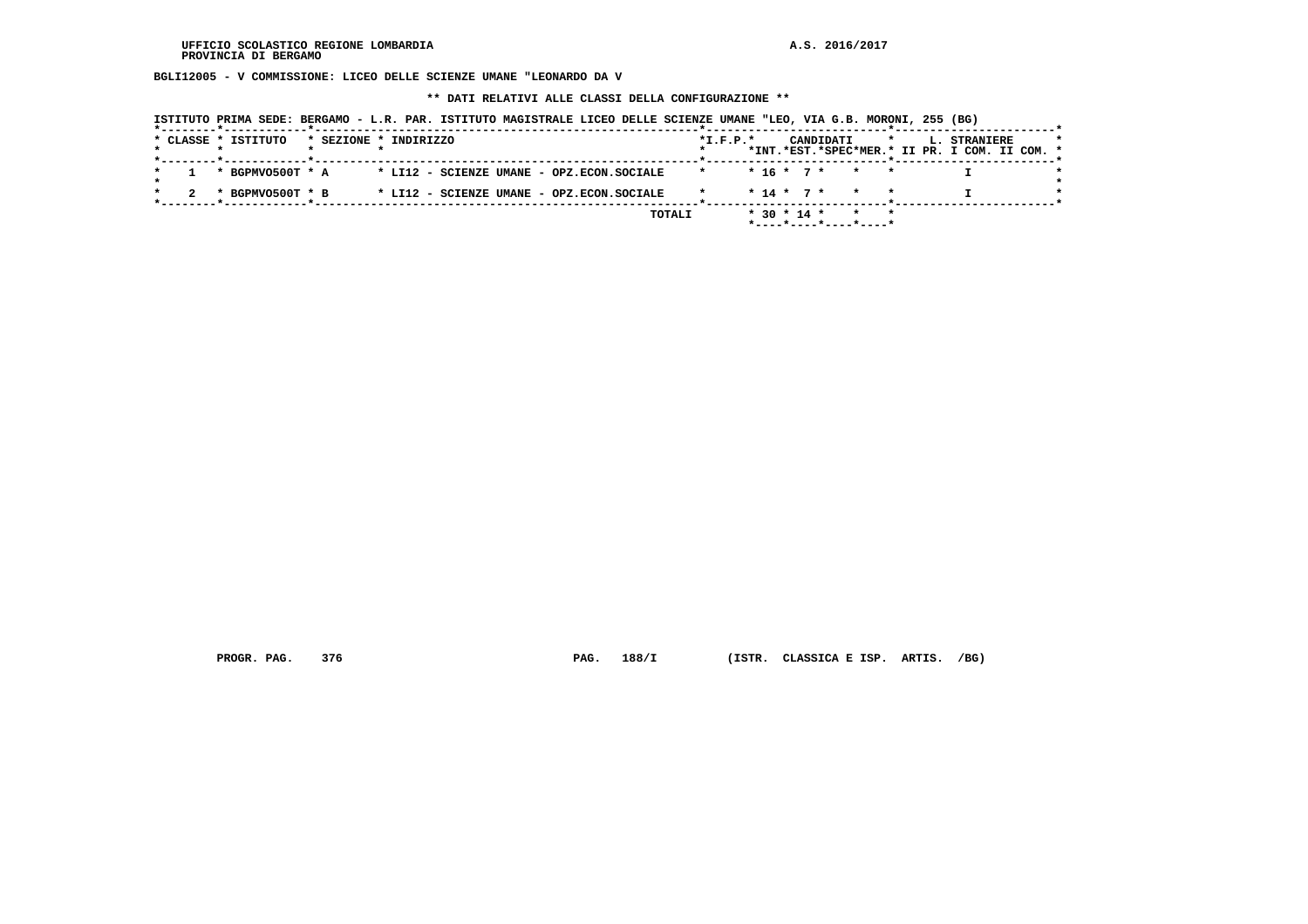**BGLI12005 - V COMMISSIONE: LICEO DELLE SCIENZE UMANE "LEONARDO DA V**

 **\*\* DATI RELATIVI ALLE CLASSI DELLA CONFIGURAZIONE \*\***

| ISTITUTO PRIMA SEDE: BERGAMO - L.R. PAR. ISTITUTO MAGISTRALE LICEO DELLE SCIENZE UMANE "LEO, VIA G.B. MORONI, 255 (BG) |  |  |
|------------------------------------------------------------------------------------------------------------------------|--|--|
|------------------------------------------------------------------------------------------------------------------------|--|--|

|  | * CLASSE * ISTITUTO |  | * SEZIONE * INDIRIZZO                     |  |        | $*L.F.P.*$ |  |                   | CANDIDATI |                       | $\star$ | <b>L. STRANIERE</b><br>*INT.*EST.*SPEC*MER.* II PR. I COM. II COM. * |  |
|--|---------------------|--|-------------------------------------------|--|--------|------------|--|-------------------|-----------|-----------------------|---------|----------------------------------------------------------------------|--|
|  | * BGPMVO500T * A    |  | * LI12 - SCIENZE UMANE - OPZ.ECON.SOCIALE |  |        |            |  |                   |           | $* 16 * 7 * * * *$    |         |                                                                      |  |
|  | * BGPMVO500T * B    |  | * LI12 - SCIENZE UMANE - OPZ.ECON.SOCIALE |  |        |            |  |                   |           | $* 14 * 7 * * * * *$  |         |                                                                      |  |
|  |                     |  |                                           |  | TOTALI |            |  | $*$ 30 $*$ 14 $*$ |           | *----*----*----*----* |         |                                                                      |  |

 **PROGR. PAG. 376 PAG. 188/I (ISTR. CLASSICA E ISP. ARTIS. /BG)**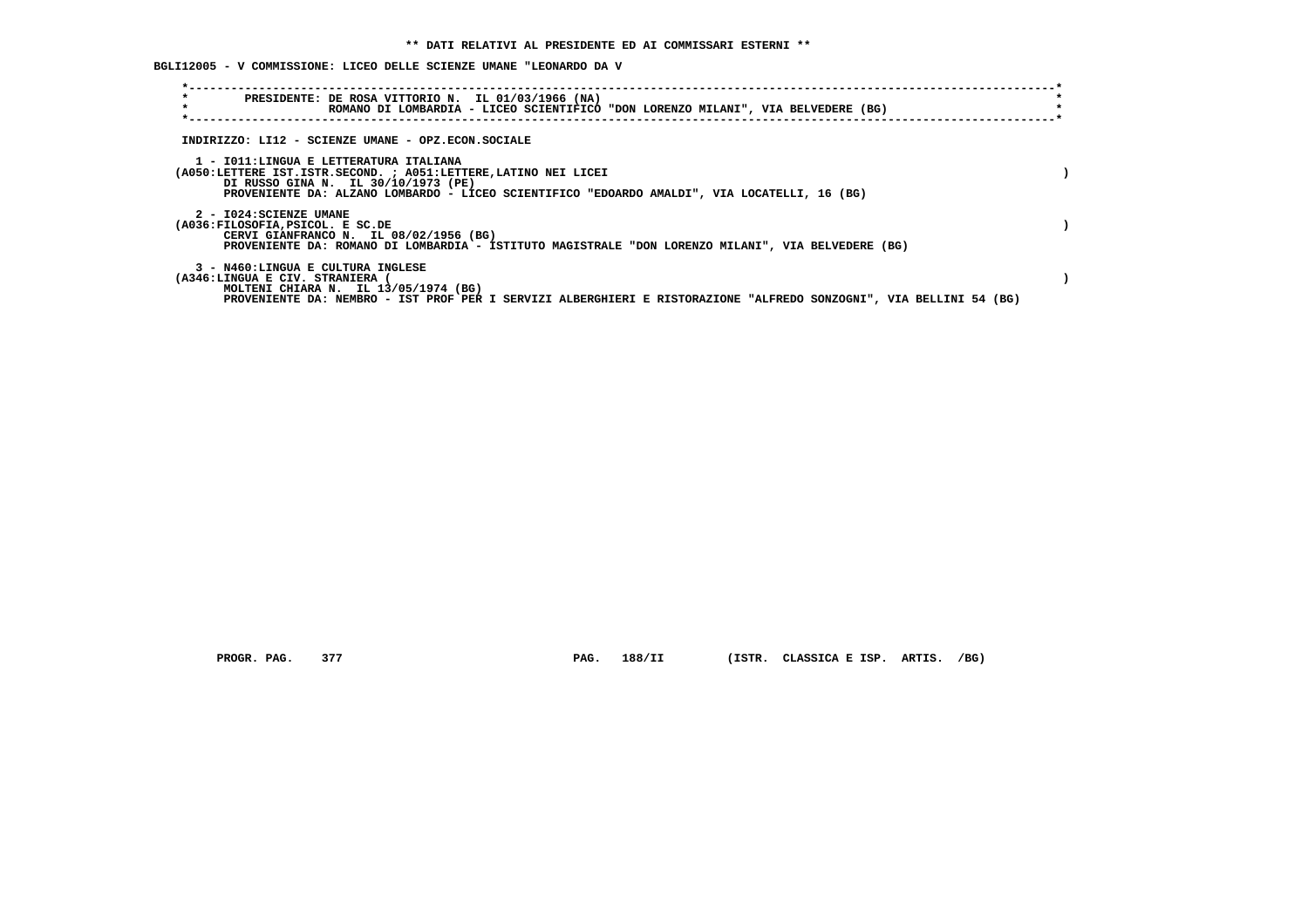**BGLI12005 - V COMMISSIONE: LICEO DELLE SCIENZE UMANE "LEONARDO DA V**

| $\star$<br>PRESIDENTE: DE ROSA VITTORIO N. IL 01/03/1966 (NA)<br>$\star$<br>ROMANO DI LOMBARDIA - LICEO SCIENTIFICO "DON LORENZO MILANI", VIA BELVEDERE (BG)                                                                                      |  |
|---------------------------------------------------------------------------------------------------------------------------------------------------------------------------------------------------------------------------------------------------|--|
| INDIRIZZO: LI12 - SCIENZE UMANE - OPZ.ECON.SOCIALE                                                                                                                                                                                                |  |
| 1 - IO11: LINGUA E LETTERATURA ITALIANA<br>(A050:LETTERE IST.ISTR.SECOND. ; A051:LETTERE, LATINO NEI LICEI<br>DI RUSSO GINA N. IL 30/10/1973 (PE)<br>PROVENIENTE DA: ALZANO LOMBARDO - LICEO SCIENTIFICO "EDOARDO AMALDI", VIA LOCATELLI, 16 (BG) |  |
| 2 - I024: SCIENZE UMANE<br>(A036:FILOSOFIA, PSICOL. E SC.DE<br>CERVI GIANFRANCO N. IL 08/02/1956 (BG)<br>PROVENIENTE DA: ROMANO DI LOMBARDIA - ISTITUTO MAGISTRALE "DON LORENZO MILANI", VIA BELVEDERE (BG)                                       |  |
| 3 - N460:LINGUA E CULTURA INGLESE<br>(A346:LINGUA E CIV. STRANIERA<br>MOLTENI CHIARA N. IL 13/05/1974 (BG)<br>PROVENIENTE DA: NEMBRO - IST PROF PER I SERVIZI ALBERGHIERI E RISTORAZIONE "ALFREDO SONZOGNI", VIA BELLINI 54 (BG)                  |  |

 **PROGR. PAG. 377 PAG. 188/II (ISTR. CLASSICA E ISP. ARTIS. /BG)**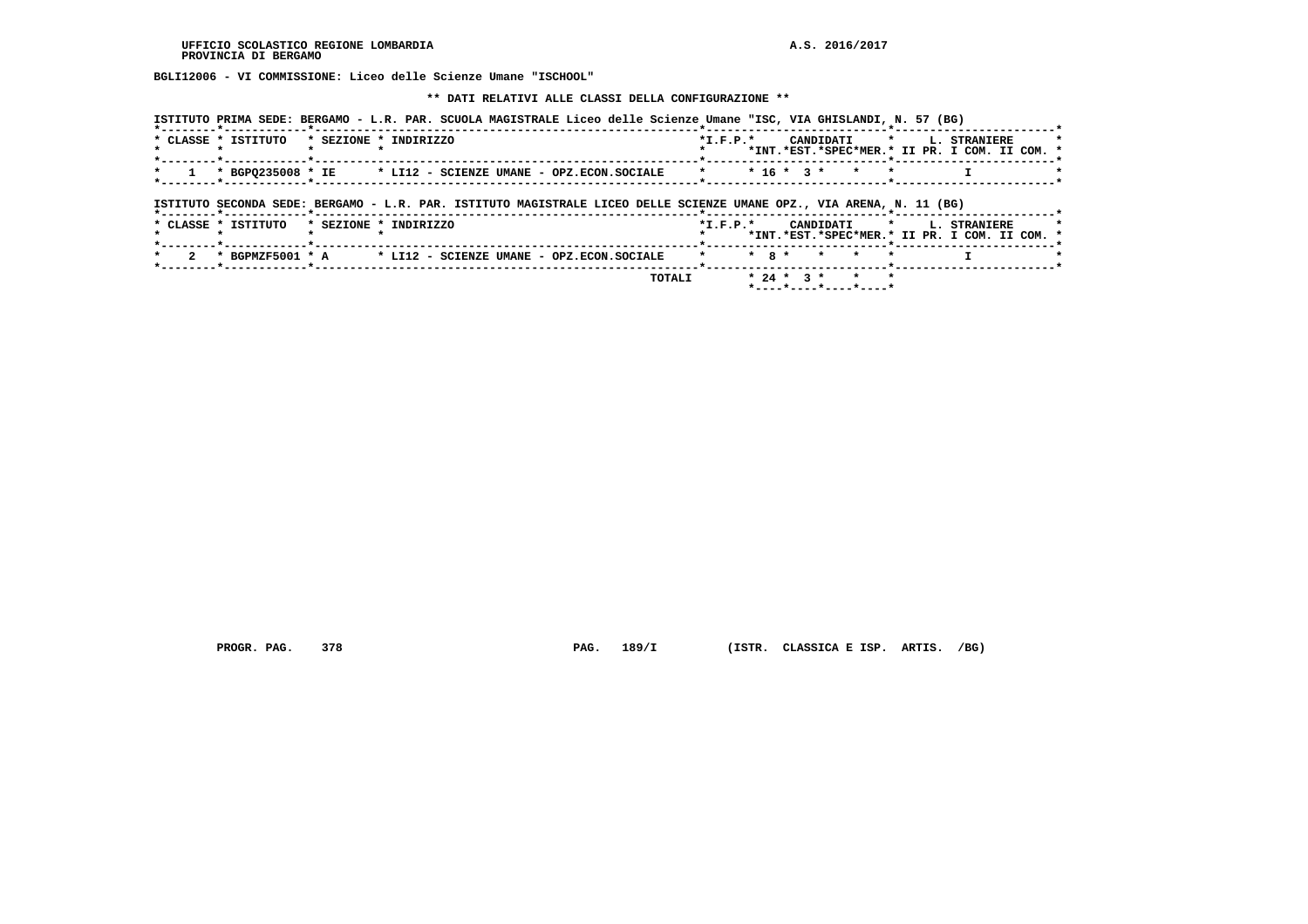**BGLI12006 - VI COMMISSIONE: Liceo delle Scienze Umane "ISCHOOL"**

 **\*\* DATI RELATIVI ALLE CLASSI DELLA CONFIGURAZIONE \*\***

| ISTITUTO PRIMA SEDE: BERGAMO - L.R. PAR. SCUOLA MAGISTRALE Liceo delle Scienze Umane "ISC, VIA GHISLANDI, N. 57 (BG) |            |                                                                           |
|----------------------------------------------------------------------------------------------------------------------|------------|---------------------------------------------------------------------------|
| * CLASSE * ISTITUTO<br>* SEZIONE * INDIRIZZO                                                                         | $*T.F.P.*$ | CANDIDATI * L. STRANIERE<br>*INT.*EST.*SPEC*MER.* II PR. I COM. II COM. * |
| $1$ * BGP0235008 * IE * LI12 - SCIENZE UMANE - OPZ.ECON.SOCIALE                                                      |            | $*$ $*$ 16 $*$ 3 $*$ $*$ $*$                                              |
|                                                                                                                      |            |                                                                           |

 **ISTITUTO SECONDA SEDE: BERGAMO - L.R. PAR. ISTITUTO MAGISTRALE LICEO DELLE SCIENZE UMANE OPZ., VIA ARENA, N. 11 (BG)**

|  | * CLASSE * ISTITUTO | * SEZIONE * INDIRIZZO |  |  |                                                                                       | $*T$ , $F$ , $D$ , $*$ |  |  |                      |  | CANDIDATI * L. STRANIERE<br>*INT.*EST.*SPEC*MER.* II PR. I COM. II COM. * |  |  |
|--|---------------------|-----------------------|--|--|---------------------------------------------------------------------------------------|------------------------|--|--|----------------------|--|---------------------------------------------------------------------------|--|--|
|  |                     |                       |  |  | 2 * BGPMZF5001 * A $\qquad$ * LI12 - SCIENZE UMANE - OPZ.ECON.SOCIALE * * 8 * * * * * |                        |  |  |                      |  |                                                                           |  |  |
|  |                     |                       |  |  | <b>TOTALI</b>                                                                         |                        |  |  | $* 24 * 3 * * * * *$ |  |                                                                           |  |  |

 **PROGR. PAG. 378 PAG. 189/I (ISTR. CLASSICA E ISP. ARTIS. /BG)**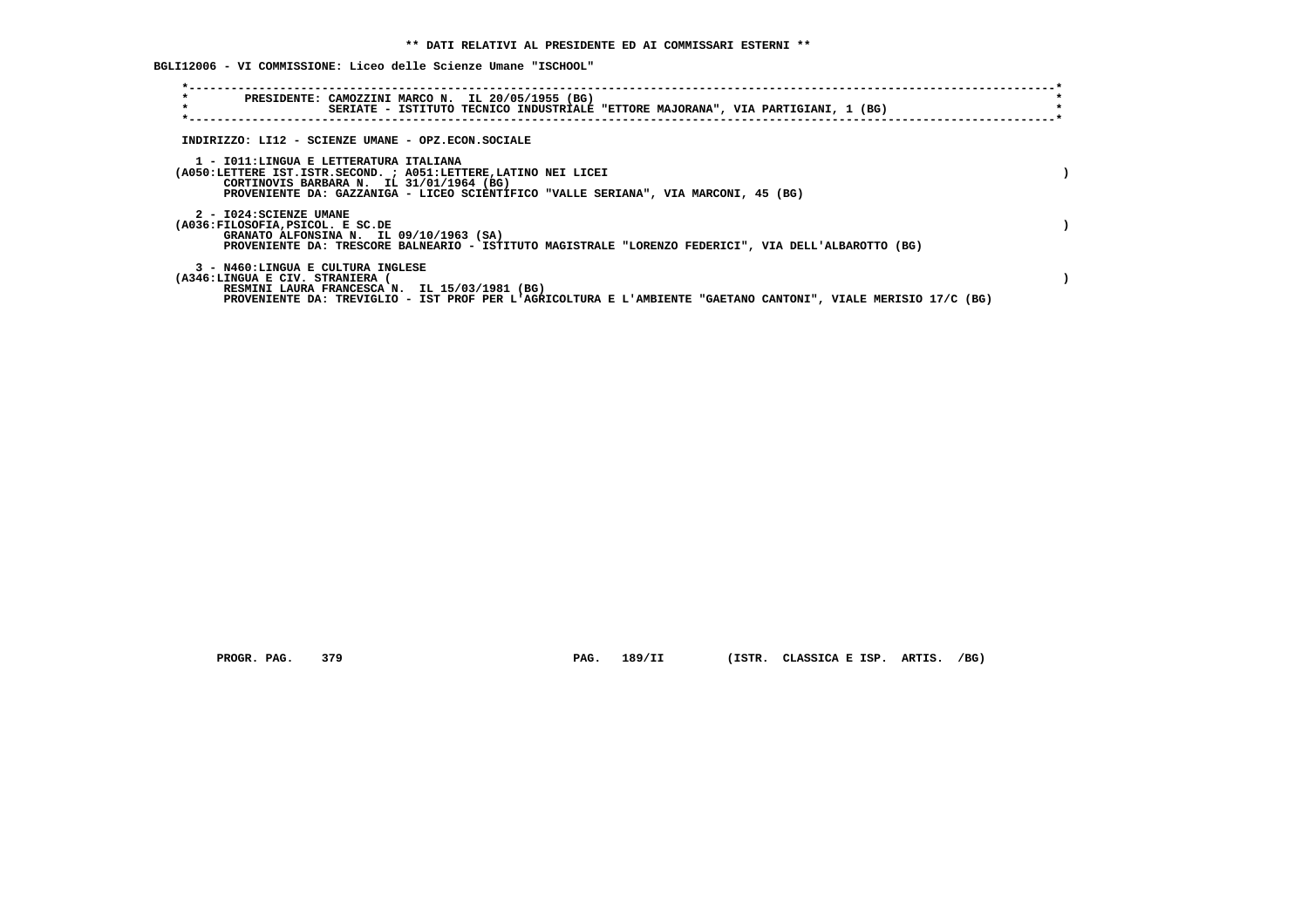**BGLI12006 - VI COMMISSIONE: Liceo delle Scienze Umane "ISCHOOL"**

| $\star$                                                                                                                                                                                                                                      |  |
|----------------------------------------------------------------------------------------------------------------------------------------------------------------------------------------------------------------------------------------------|--|
| PRESIDENTE: CAMOZZINI MARCO N. IL 20/05/1955 (BG)<br>$\star$<br>SERIATE - ISTITUTO TECNICO INDUSTRIALE "ETTORE MAJORANA", VIA PARTIGIANI, 1 (BG)                                                                                             |  |
| INDIRIZZO: LI12 - SCIENZE UMANE - OPZ.ECON.SOCIALE                                                                                                                                                                                           |  |
| 1 - IO11:LINGUA E LETTERATURA ITALIANA<br>(A050:LETTERE IST.ISTR.SECOND. ; A051:LETTERE, LATINO NEI LICEI<br>CORTINOVIS BARBARA N. IL 31/01/1964 (BG)<br>PROVENIENTE DA: GAZZANIGA - LICEO SCIENTIFICO "VALLE SERIANA", VIA MARCONI, 45 (BG) |  |
| 2 - I024: SCIENZE UMANE<br>(A036:FILOSOFIA, PSICOL. E SC.DE<br>GRANATO ALFONSINA N. IL 09/10/1963 (SA)<br>PROVENIENTE DA: TRESCORE BALNEARIO - ISTITUTO MAGISTRALE "LORENZO FEDERICI", VIA DELL'ALBAROTTO (BG)                               |  |
| 3 - N460:LINGUA E CULTURA INGLESE<br>(A346:LINGUA E CIV. STRANIERA<br>RESMINI LAURA FRANCESCA N. IL 15/03/1981 (BG)<br>PROVENIENTE DA: TREVIGLIO - IST PROF PER L'AGRICOLTURA E L'AMBIENTE "GAETANO CANTONI", VIALE MERISIO 17/C (BG)        |  |

 **PROGR. PAG. 379 PAG. 189/II (ISTR. CLASSICA E ISP. ARTIS. /BG)**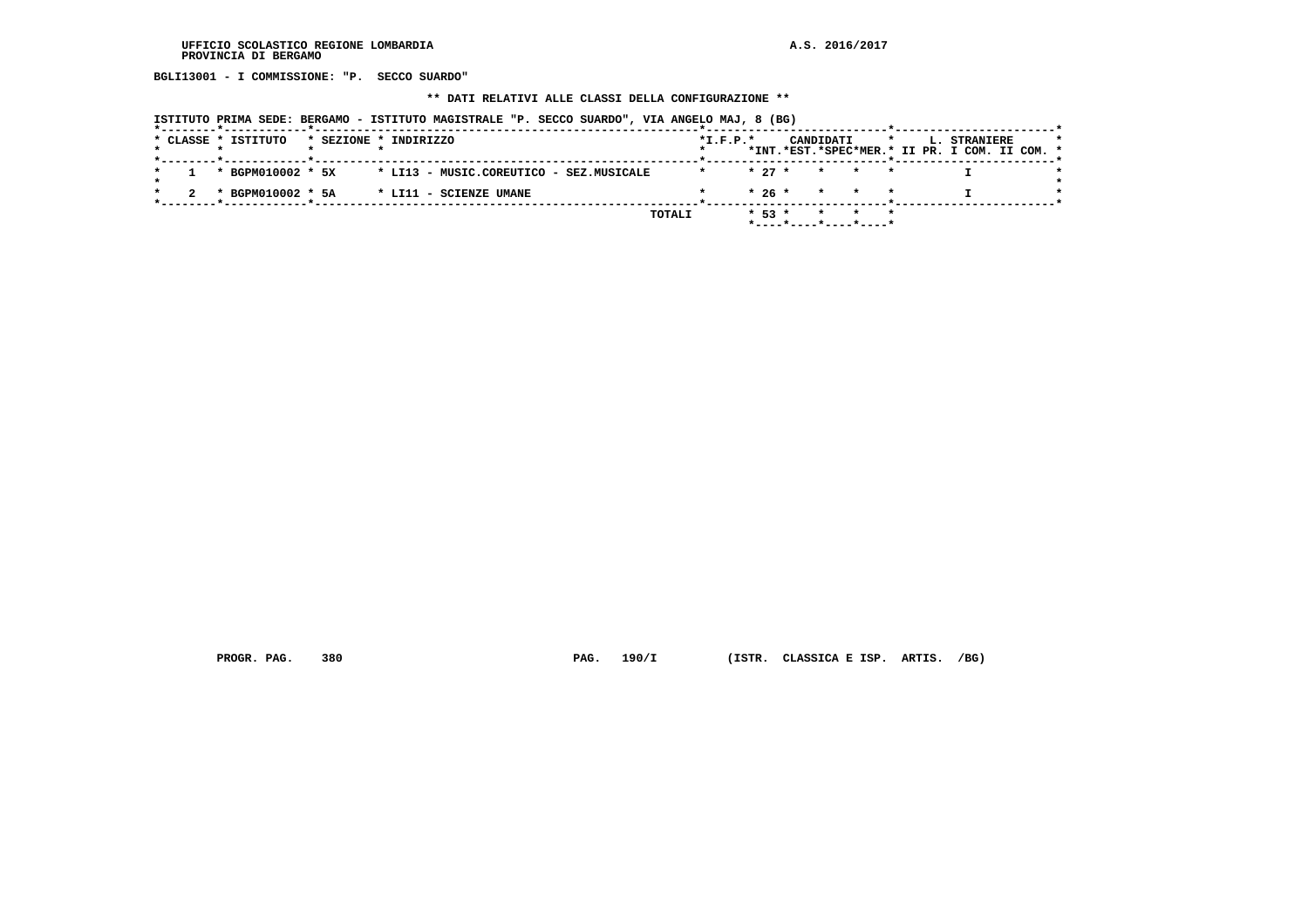**BGLI13001 - I COMMISSIONE: "P. SECCO SUARDO"**

# **\*\* DATI RELATIVI ALLE CLASSI DELLA CONFIGURAZIONE \*\***

|  |                     | ISTITUTO PRIMA SEDE: BERGAMO - ISTITUTO MAGISTRALE "P. SECCO SUARDO", VIA ANGELO MAJ, 8 (BG) |        |            |          |                       |         |                                                               |  |
|--|---------------------|----------------------------------------------------------------------------------------------|--------|------------|----------|-----------------------|---------|---------------------------------------------------------------|--|
|  | * CLASSE * ISTITUTO | * SEZIONE * INDIRIZZO                                                                        |        | $*I.F.P.*$ |          | CANDIDATI             | $\star$ | L. STRANIERE<br>*INT.*EST.*SPEC*MER.* II PR. I COM. II COM. * |  |
|  | * BGPM010002 * 5X   | * LI13 - MUSIC.COREUTICO - SEZ.MUSICALE                                                      |        | $\star$    | $* 27 *$ | $\star$               |         |                                                               |  |
|  | * BGPM010002 * 5A   | * LI11 - SCIENZE UMANE                                                                       |        |            | $*26*$   | $\star$<br>$\star$    |         |                                                               |  |
|  |                     |                                                                                              | TOTALI |            | $* 53 *$ | *----*----*----*----* |         |                                                               |  |

 **PROGR. PAG. 380 PAG. 190/I (ISTR. CLASSICA E ISP. ARTIS. /BG)**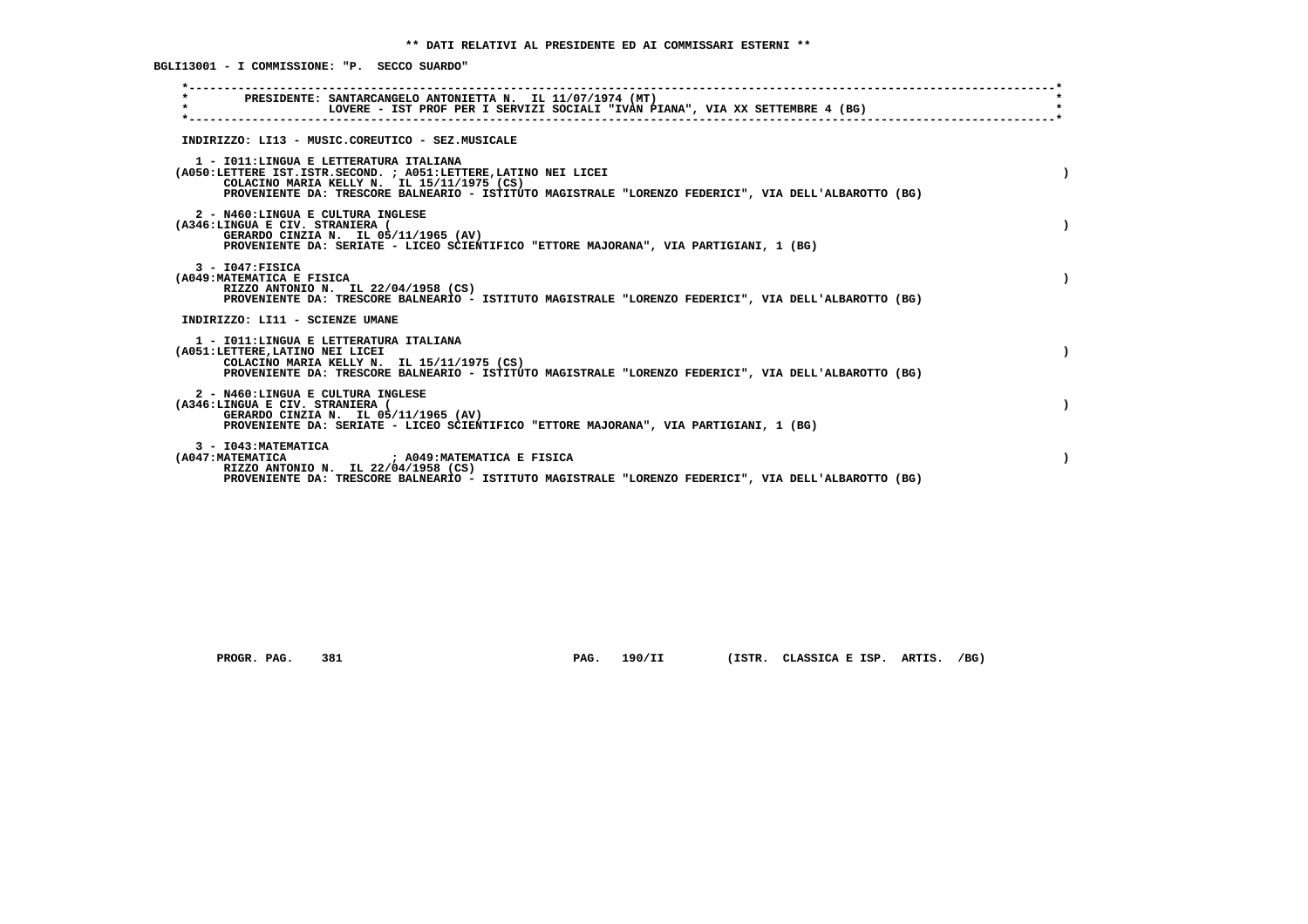**\*----------------------------------------------------------------------------------------------------------------------------\* \* PRESIDENTE: SANTARCANGELO ANTONIETTA N. IL 11/07/1974 (MT) \* \* LOVERE - IST PROF PER I SERVIZI SOCIALI "IVAN PIANA", VIA XX SETTEMBRE 4 (BG) \* \*----------------------------------------------------------------------------------------------------------------------------\* INDIRIZZO: LI13 - MUSIC.COREUTICO - SEZ.MUSICALE 1 - I011:LINGUA E LETTERATURA ITALIANA (A050:LETTERE IST.ISTR.SECOND. ; A051:LETTERE,LATINO NEI LICEI ) COLACINO MARIA KELLY N. IL 15/11/1975 (CS) PROVENIENTE DA: TRESCORE BALNEARIO - ISTITUTO MAGISTRALE "LORENZO FEDERICI", VIA DELL'ALBAROTTO (BG) 2 - N460:LINGUA E CULTURA INGLESE (A346:LINGUA E CIV. STRANIERA ( ) GERARDO CINZIA N. IL 05/11/1965 (AV) PROVENIENTE DA: SERIATE - LICEO SCIENTIFICO "ETTORE MAJORANA", VIA PARTIGIANI, 1 (BG) 3 - I047:FISICA (A049:MATEMATICA E FISICA ) RIZZO ANTONIO N. IL 22/04/1958 (CS) PROVENIENTE DA: TRESCORE BALNEARIO - ISTITUTO MAGISTRALE "LORENZO FEDERICI", VIA DELL'ALBAROTTO (BG) INDIRIZZO: LI11 - SCIENZE UMANE 1 - I011:LINGUA E LETTERATURA ITALIANA (A051:LETTERE,LATINO NEI LICEI ) COLACINO MARIA KELLY N. IL 15/11/1975 (CS) PROVENIENTE DA: TRESCORE BALNEARIO - ISTITUTO MAGISTRALE "LORENZO FEDERICI", VIA DELL'ALBAROTTO (BG) 2 - N460:LINGUA E CULTURA INGLESE (A346:LINGUA E CIV. STRANIERA ( ) GERARDO CINZIA N. IL 05/11/1965 (AV) PROVENIENTE DA: SERIATE - LICEO SCIENTIFICO "ETTORE MAJORANA", VIA PARTIGIANI, 1 (BG) 3 - I043:MATEMATICA (A047:MATEMATICA ; A049:MATEMATICA E FISICA ) RIZZO ANTONIO N. IL 22/04/1958 (CS) PROVENIENTE DA: TRESCORE BALNEARIO - ISTITUTO MAGISTRALE "LORENZO FEDERICI", VIA DELL'ALBAROTTO (BG)**

 **BGLI13001 - I COMMISSIONE: "P. SECCO SUARDO"**

 **PROGR. PAG. 381 PAG. 190/II (ISTR. CLASSICA E ISP. ARTIS. /BG)**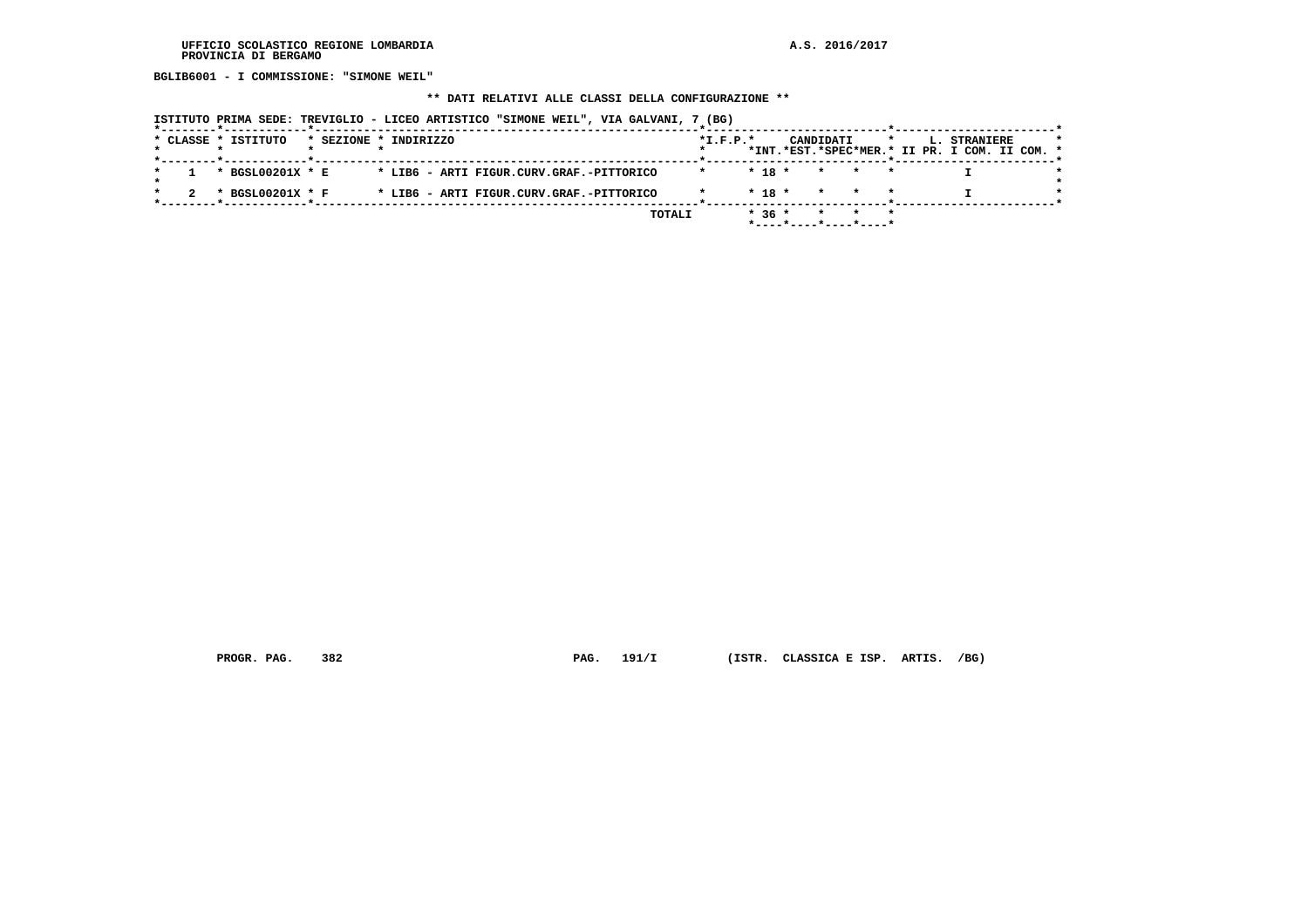**BGLIB6001 - I COMMISSIONE: "SIMONE WEIL"**

### **\*\* DATI RELATIVI ALLE CLASSI DELLA CONFIGURAZIONE \*\***

 **ISTITUTO PRIMA SEDE: TREVIGLIO - LICEO ARTISTICO "SIMONE WEIL", VIA GALVANI, 7 (BG)**

|  | * CLASSE * ISTITUTO |  | * SEZIONE * INDIRIZZO                    |  |        | $*L.F.P.*$ |            | CANDIDATI |  | L. STRANIERE                                  |  |  |
|--|---------------------|--|------------------------------------------|--|--------|------------|------------|-----------|--|-----------------------------------------------|--|--|
|  |                     |  |                                          |  |        |            |            |           |  | *INT.*EST.*SPEC*MER.* II PR. I COM. II COM. * |  |  |
|  | * BGSL00201X * E    |  | * LIB6 - ARTI FIGUR.CURV.GRAF.-PITTORICO |  |        |            | $* 18 *$   | $\star$   |  |                                               |  |  |
|  | * BGSL00201X * F    |  | * LIB6 - ARTI FIGUR.CURV.GRAF.-PITTORICO |  |        |            | $*$ 18 $*$ |           |  |                                               |  |  |
|  |                     |  |                                          |  |        |            |            |           |  |                                               |  |  |
|  |                     |  |                                          |  | TOTALI |            | $*36*$     |           |  |                                               |  |  |
|  |                     |  |                                          |  |        |            |            |           |  |                                               |  |  |

 **PROGR. PAG. 382 PAG. 191/I (ISTR. CLASSICA E ISP. ARTIS. /BG)**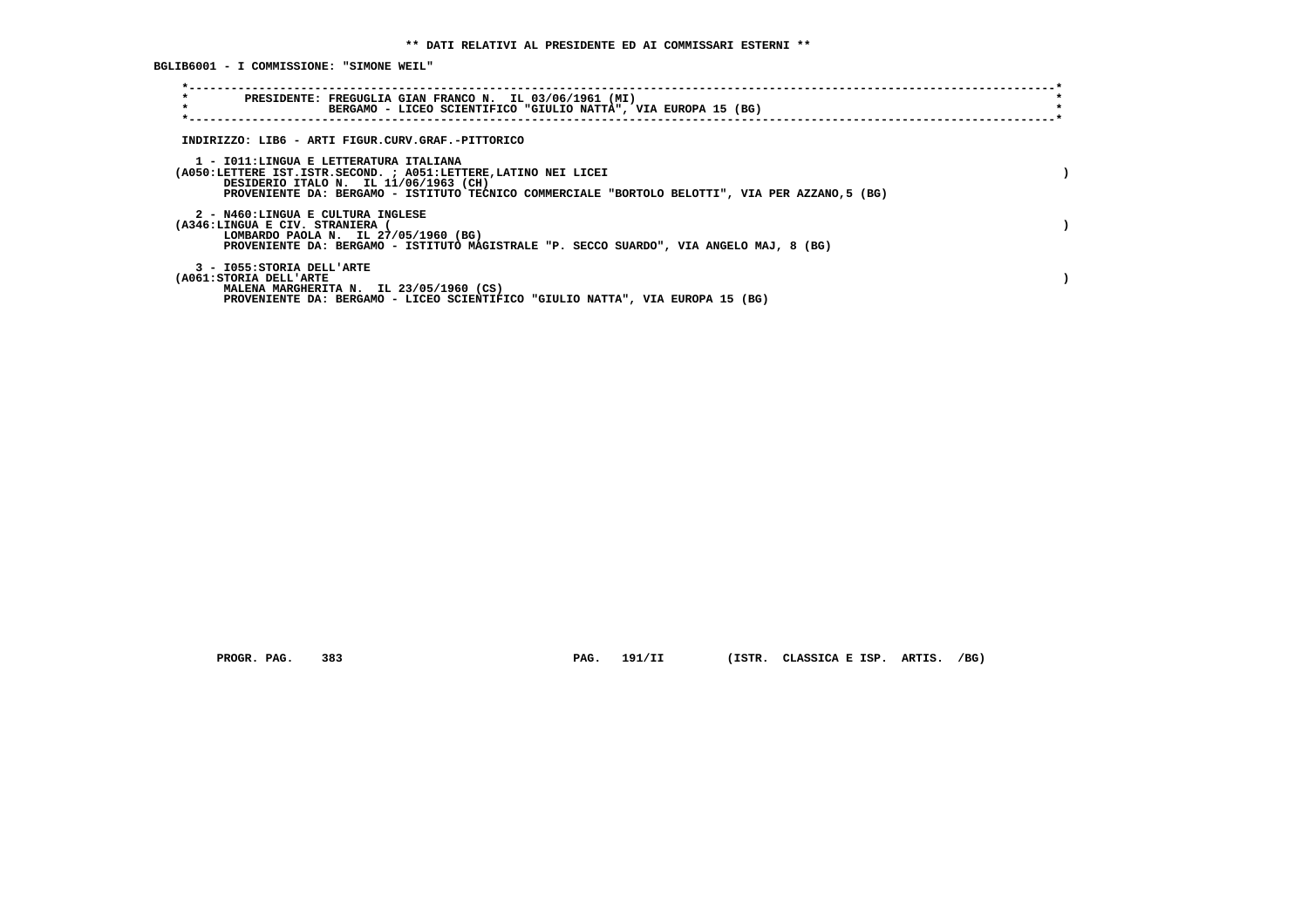**BGLIB6001 - I COMMISSIONE: "SIMONE WEIL"**

| $\star$<br>PRESIDENTE: FREGUGLIA GIAN FRANCO N. IL 03/06/1961 (MI)<br>$\star$<br>BERGAMO - LICEO SCIENTIFICO "GIULIO NATTA", VIA EUROPA 15 (BG)                                                                                                       |  |
|-------------------------------------------------------------------------------------------------------------------------------------------------------------------------------------------------------------------------------------------------------|--|
| INDIRIZZO: LIB6 - ARTI FIGUR.CURV.GRAF.-PITTORICO                                                                                                                                                                                                     |  |
| 1 - IO11:LINGUA E LETTERATURA ITALIANA<br>(A050:LETTERE IST.ISTR.SECOND. ; A051:LETTERE, LATINO NEI LICEI<br>DESIDERIO ITALO N. IL 11/06/1963 (CH)<br>PROVENIENTE DA: BERGAMO - ISTITUTO TECNICO COMMERCIALE "BORTOLO BELOTTI", VIA PER AZZANO,5 (BG) |  |
| 2 - N460:LINGUA E CULTURA INGLESE<br>(A346:LINGUA E CIV. STRANIERA (<br>LOMBARDO PAOLA N. IL 27/05/1960 (BG)<br>PROVENIENTE DA: BERGAMO - ISTITUTO MAGISTRALE "P. SECCO SUARDO", VIA ANGELO MAJ, 8 (BG)                                               |  |
| 3 - I055: STORIA DELL'ARTE<br>(A061:STORIA DELL'ARTE<br>MALENA MARGHERITA N. IL 23/05/1960 (CS)<br>PROVENIENTE DA: BERGAMO - LICEO SCIENTIFICO "GIULIO NATTA", VIA EUROPA 15 (BG)                                                                     |  |

 **PROGR. PAG. 383 PAG. 191/II (ISTR. CLASSICA E ISP. ARTIS. /BG)**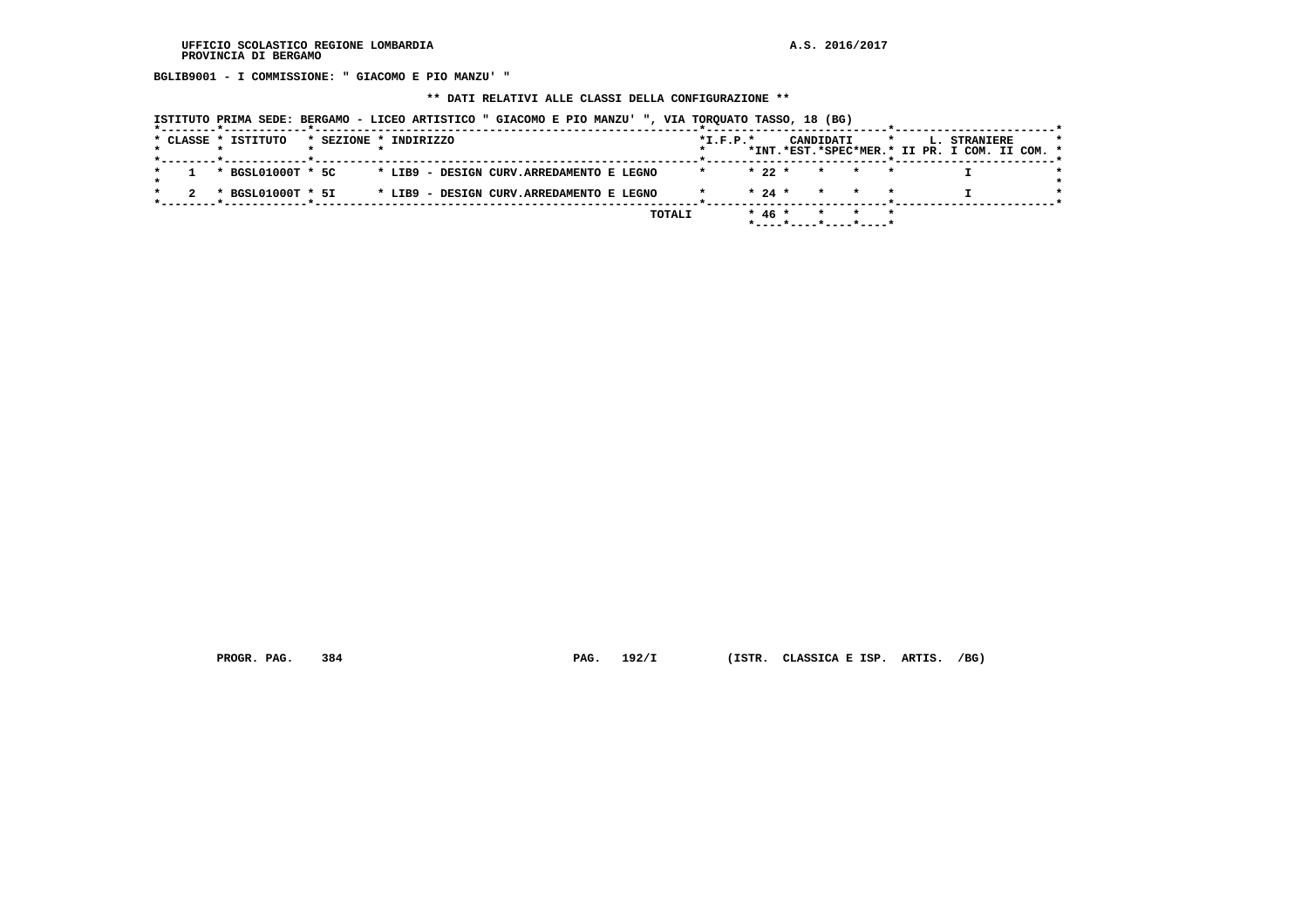**BGLIB9001 - I COMMISSIONE: " GIACOMO E PIO MANZU' "**

### **\*\* DATI RELATIVI ALLE CLASSI DELLA CONFIGURAZIONE \*\***

 **ISTITUTO PRIMA SEDE: BERGAMO - LICEO ARTISTICO " GIACOMO E PIO MANZU' ", VIA TORQUATO TASSO, 18 (BG)**

|  | * CLASSE * ISTITUTO |  | * SEZIONE * INDIRIZZO                    |  |        | $*L.F.P.*$ |          | CANDIDATI       |                                      |  | L. STRANIERE                                  |  |
|--|---------------------|--|------------------------------------------|--|--------|------------|----------|-----------------|--------------------------------------|--|-----------------------------------------------|--|
|  |                     |  |                                          |  |        |            |          |                 |                                      |  | *INT.*EST.*SPEC*MER.* II PR. I COM. II COM. * |  |
|  | * BGSL01000T * 5C   |  | * LIB9 - DESIGN CURV.ARREDAMENTO E LEGNO |  |        |            | $*22*$   | $\star$ $\star$ |                                      |  |                                               |  |
|  |                     |  |                                          |  |        |            |          |                 |                                      |  |                                               |  |
|  | * BGSL01000T * 5I   |  | * LIB9 - DESIGN CURV.ARREDAMENTO E LEGNO |  |        |            | $* 24 *$ |                 | * * *                                |  |                                               |  |
|  |                     |  |                                          |  | TOTALI |            | $* 46 *$ |                 | * * *                                |  |                                               |  |
|  |                     |  |                                          |  |        |            |          |                 | $*$ ---- $*$ ---- $*$ ---- $*$ ----* |  |                                               |  |

 **PROGR. PAG. 384 PAG. 192/I (ISTR. CLASSICA E ISP. ARTIS. /BG)**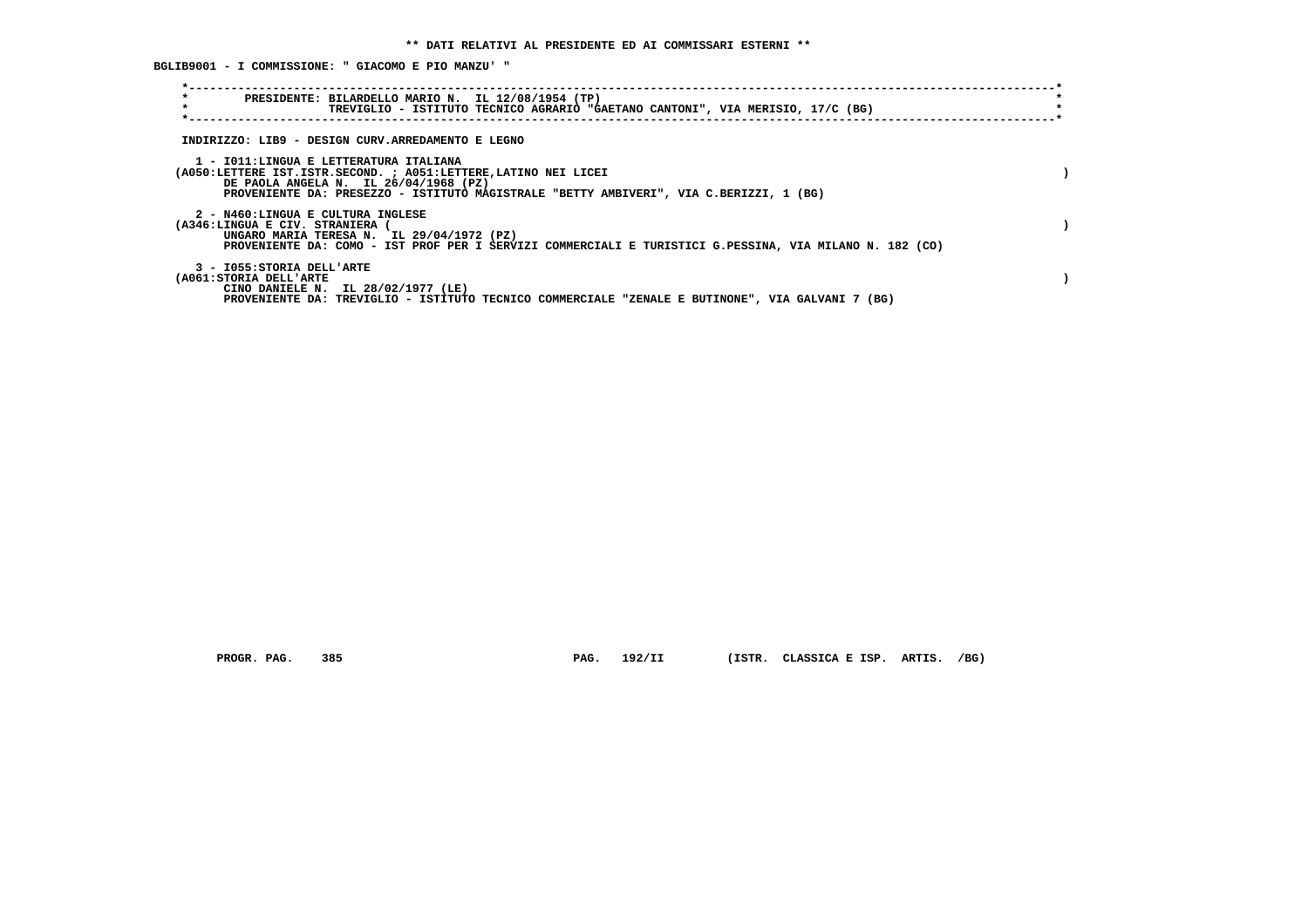**BGLIB9001 - I COMMISSIONE: " GIACOMO E PIO MANZU' "**

| $\star$<br>PRESIDENTE: BILARDELLO MARIO N. IL 12/08/1954 (TP)<br>$\star$<br>TREVIGLIO - ISTITUTO TECNICO AGRARIO "GAETANO CANTONI", VIA MERISIO, 17/C (BG)                                                                                    |  |
|-----------------------------------------------------------------------------------------------------------------------------------------------------------------------------------------------------------------------------------------------|--|
| INDIRIZZO: LIB9 - DESIGN CURV.ARREDAMENTO E LEGNO                                                                                                                                                                                             |  |
| 1 - IO11: LINGUA E LETTERATURA ITALIANA<br>(A050:LETTERE IST.ISTR.SECOND. ; A051:LETTERE, LATINO NEI LICEI<br>DE PAOLA ANGELA N. IL 26/04/1968 (PZ)<br>PROVENIENTE DA: PRESEZZO - ISTITUTO MAGISTRALE "BETTY AMBIVERI", VIA C.BERIZZI, 1 (BG) |  |
| 2 - N460:LINGUA E CULTURA INGLESE<br>(A346:LINGUA E CIV. STRANIERA<br>UNGARO MARIA TERESA N. IL 29/04/1972 (PZ)<br>PROVENIENTE DA: COMO - IST PROF PER I SERVIZI COMMERCIALI E TURISTICI G.PESSINA, VIA MILANO N. 182 (CO)                    |  |
| 3 - I055: STORIA DELL'ARTE<br>(A061: STORIA DELL'ARTE<br>CINO DANIELE N. IL 28/02/1977 (LE)<br>PROVENIENTE DA: TREVIGLIO - ISTITUTO TECNICO COMMERCIALE "ZENALE E BUTINONE", VIA GALVANI 7 (BG)                                               |  |

 **PROGR. PAG. 385 PAG. 192/II (ISTR. CLASSICA E ISP. ARTIS. /BG)**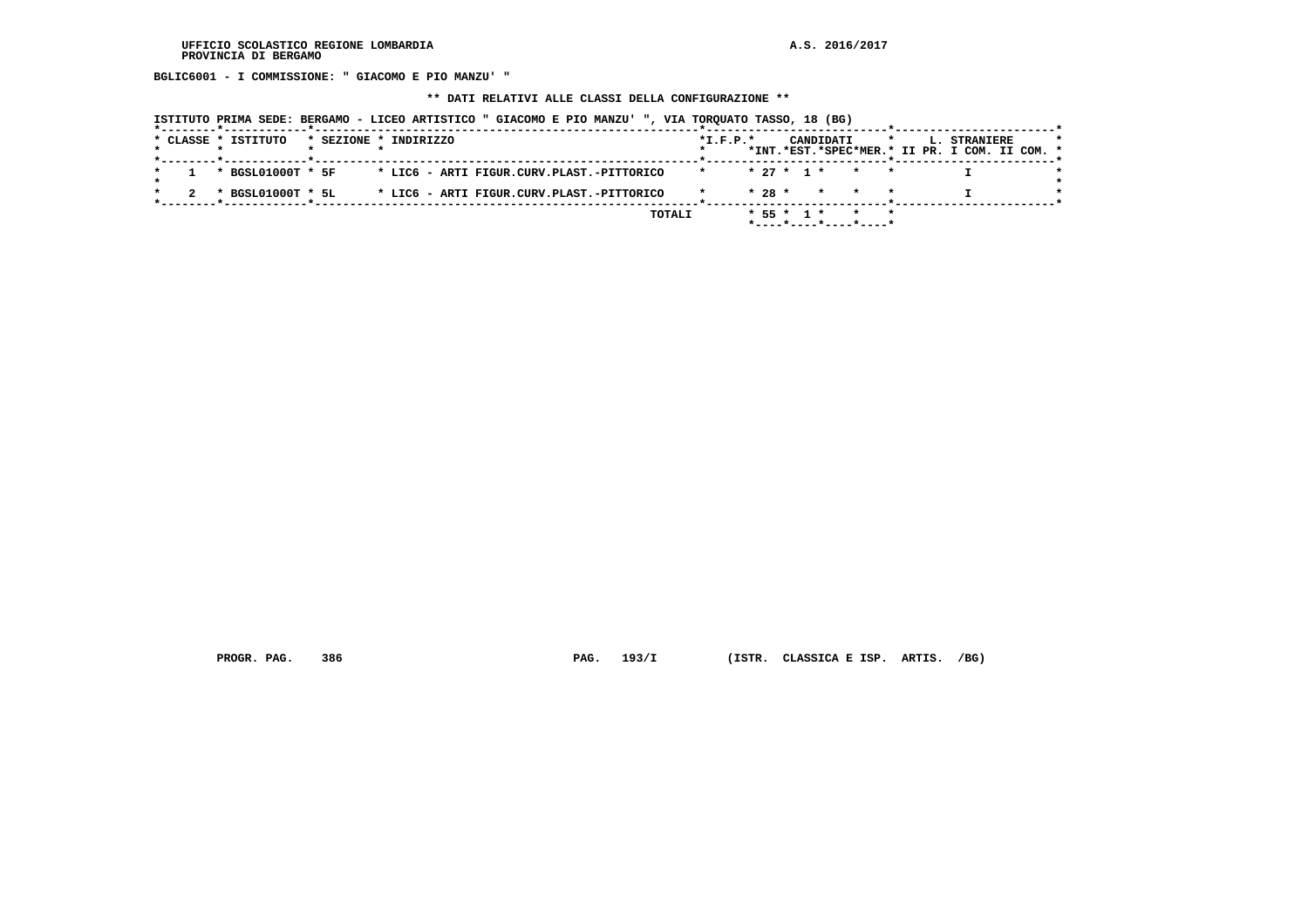**BGLIC6001 - I COMMISSIONE: " GIACOMO E PIO MANZU' "**

 **\*\* DATI RELATIVI ALLE CLASSI DELLA CONFIGURAZIONE \*\***

 **ISTITUTO PRIMA SEDE: BERGAMO - LICEO ARTISTICO " GIACOMO E PIO MANZU' ", VIA TORQUATO TASSO, 18 (BG)**

|  |  | * CLASSE * ISTITUTO |  | * SEZIONE * INDIRIZZO                     |  |  |        | $*L.F.P.*$ |          |              | CANDIDATI             |  |  | L. STRANIERE<br>*INT.*EST.*SPEC*MER.* II PR. I COM. II COM. * |  |  |
|--|--|---------------------|--|-------------------------------------------|--|--|--------|------------|----------|--------------|-----------------------|--|--|---------------------------------------------------------------|--|--|
|  |  | * BGSL01000T * 5F   |  | * LIC6 - ARTI FIGUR.CURV.PLAST.-PITTORICO |  |  |        |            |          | $* 27 * 1 *$ | $\star$               |  |  |                                                               |  |  |
|  |  | * BGSL01000T * 5L   |  | * LIC6 - ARTI FIGUR.CURV.PLAST.-PITTORICO |  |  |        |            | $* 28 *$ |              | $\star$               |  |  |                                                               |  |  |
|  |  |                     |  |                                           |  |  | TOTALI |            |          | $* 55 * 1 *$ | *----*----*----*----* |  |  |                                                               |  |  |

 **PROGR. PAG. 386 PAG. 193/I (ISTR. CLASSICA E ISP. ARTIS. /BG)**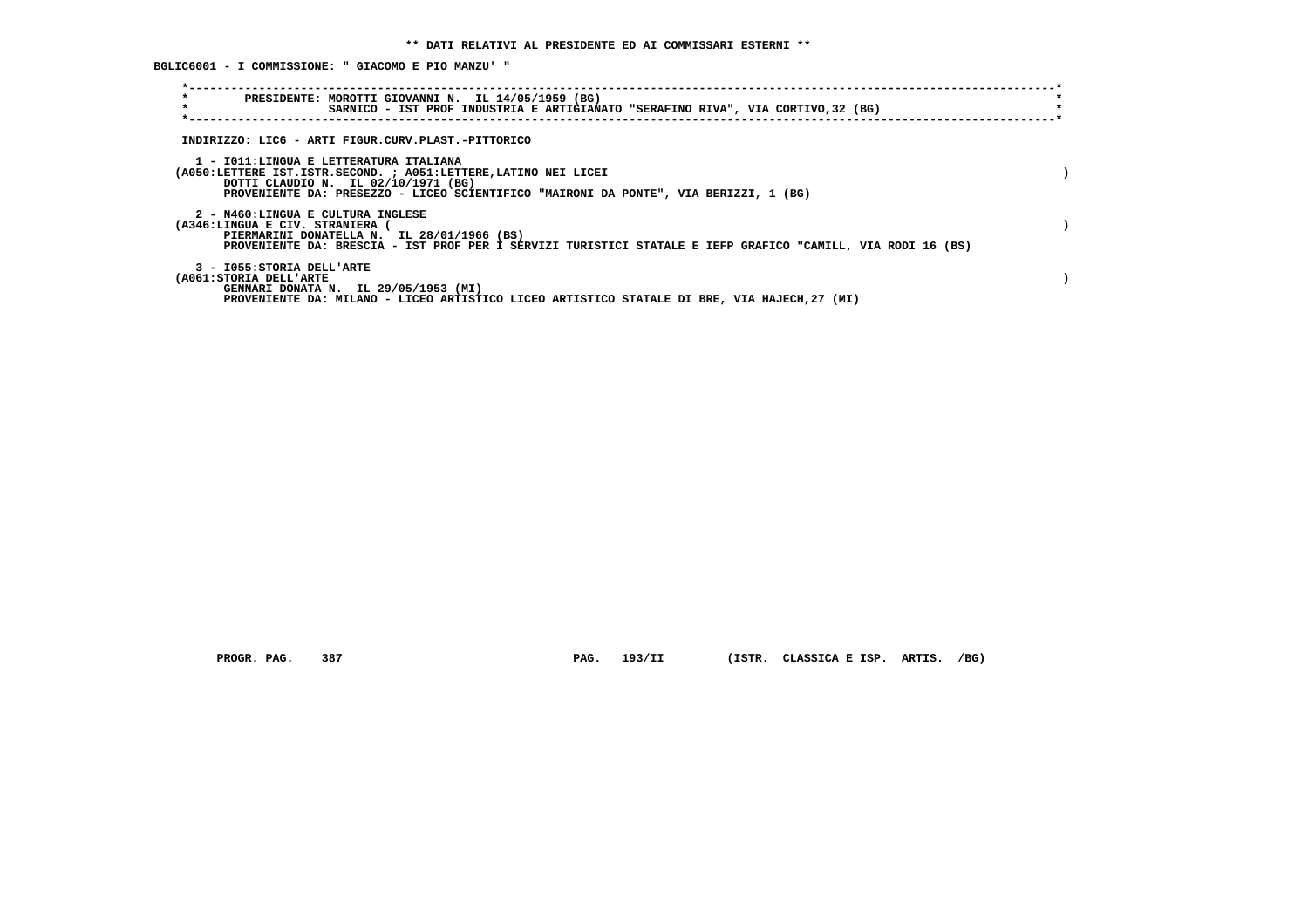**BGLIC6001 - I COMMISSIONE: " GIACOMO E PIO MANZU' "**

| $\star$<br>PRESIDENTE: MOROTTI GIOVANNI N. IL 14/05/1959 (BG)<br>$\star$<br>SARNICO - IST PROF INDUSTRIA E ARTIGIANATO "SERAFINO RIVA", VIA CORTIVO, 32 (BG)                                                                             |  |
|------------------------------------------------------------------------------------------------------------------------------------------------------------------------------------------------------------------------------------------|--|
| INDIRIZZO: LIC6 - ARTI FIGUR.CURV.PLAST.-PITTORICO                                                                                                                                                                                       |  |
| 1 - IO11:LINGUA E LETTERATURA ITALIANA<br>(A050:LETTERE IST.ISTR.SECOND. ; A051:LETTERE, LATINO NEI LICEI<br>DOTTI CLAUDIO N. IL 02/10/1971 (BG)<br>PROVENIENTE DA: PRESEZZO - LICEO SCIENTIFICO "MAIRONI DA PONTE", VIA BERIZZI, 1 (BG) |  |
| 2 - N460:LINGUA E CULTURA INGLESE<br>(A346:LINGUA E CIV. STRANIERA (<br>PIERMARINI DONATELLA N. IL 28/01/1966 (BS)<br>PROVENIENTE DA: BRESCIA - IST PROF PER I SERVIZI TURISTICI STATALE E IEFP GRAFICO "CAMILL, VIA RODI 16 (BS)        |  |
| 3 - I055: STORIA DELL'ARTE<br>(A061:STORIA DELL'ARTE<br>GENNARI DONATA N. IL 29/05/1953 (MI)<br>PROVENIENTE DA: MILANO - LICEO ARTISTICO LICEO ARTISTICO STATALE DI BRE, VIA HAJECH, 27 (MI)                                             |  |

 **PROGR. PAG. 387 PAG. 193/II (ISTR. CLASSICA E ISP. ARTIS. /BG)**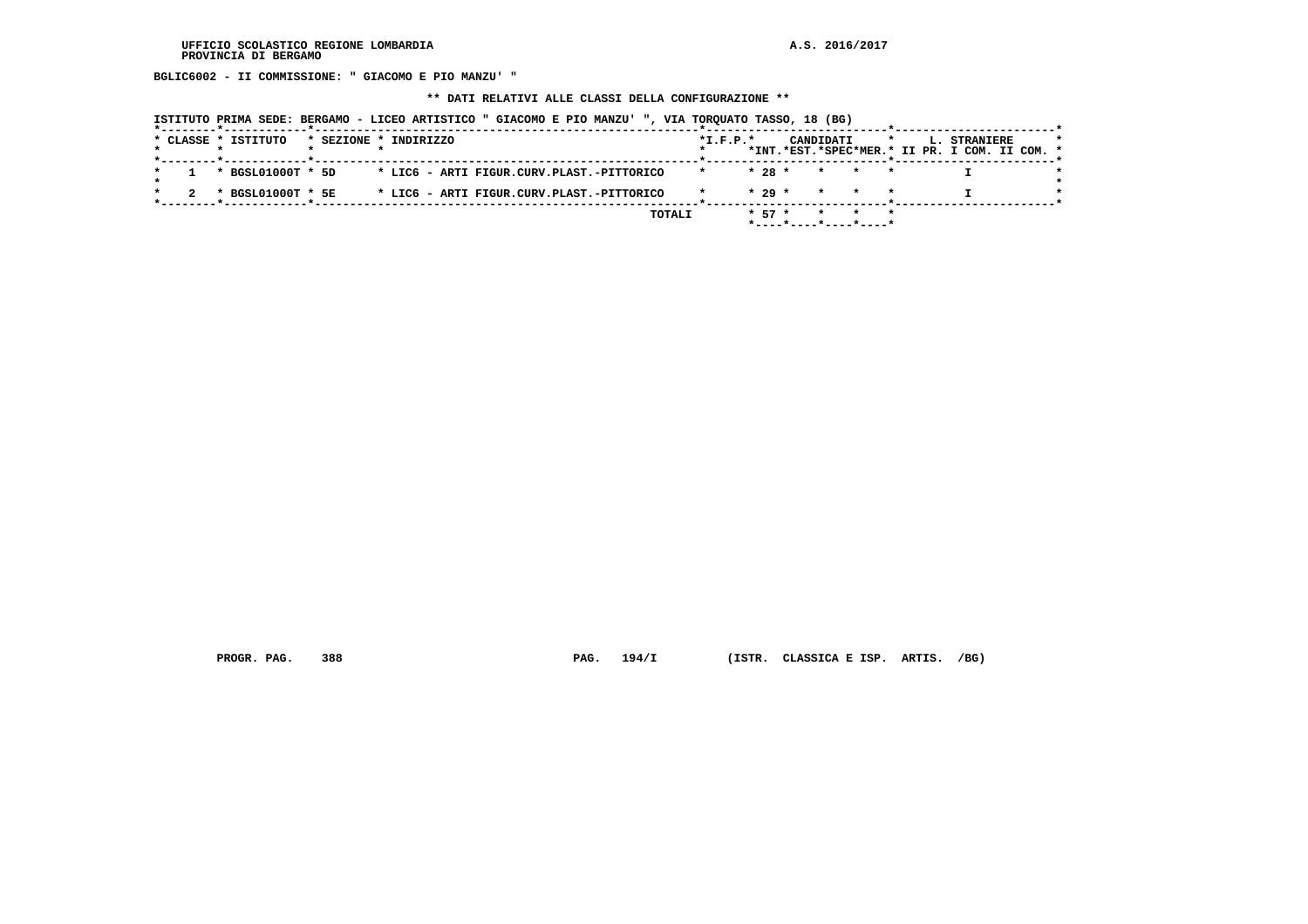**BGLIC6002 - II COMMISSIONE: " GIACOMO E PIO MANZU' "**

 **\*\* DATI RELATIVI ALLE CLASSI DELLA CONFIGURAZIONE \*\***

 **ISTITUTO PRIMA SEDE: BERGAMO - LICEO ARTISTICO " GIACOMO E PIO MANZU' ", VIA TORQUATO TASSO, 18 (BG)**

|  |  | * CLASSE * ISTITUTO | * SEZIONE * INDIRIZZO |  |  |  |  |                                           |        | $*$ I.F.P. $*$ |            |  | CANDIDATI |                       |  | L. STRANIERE<br>*INT.*EST.*SPEC*MER.* II PR. I COM. II COM. * |  |  |
|--|--|---------------------|-----------------------|--|--|--|--|-------------------------------------------|--------|----------------|------------|--|-----------|-----------------------|--|---------------------------------------------------------------|--|--|
|  |  |                     |                       |  |  |  |  |                                           |        |                |            |  |           |                       |  |                                                               |  |  |
|  |  | * BGSL01000T * 5D   |                       |  |  |  |  | * LIC6 - ARTI FIGUR.CURV.PLAST.-PITTORICO |        |                | $* 28 *$   |  | $\star$   | $\star$               |  |                                                               |  |  |
|  |  | * BGSL01000T * 5E   |                       |  |  |  |  | * LIC6 - ARTI FIGUR.CURV.PLAST.-PITTORICO |        |                | $* 29 *$   |  |           | * * *                 |  |                                                               |  |  |
|  |  |                     |                       |  |  |  |  |                                           | TOTALI |                | $*$ 57 $*$ |  |           |                       |  |                                                               |  |  |
|  |  |                     |                       |  |  |  |  |                                           |        |                |            |  |           | *----*----*----*----* |  |                                                               |  |  |

 **PROGR. PAG. 388 PAG. 194/I (ISTR. CLASSICA E ISP. ARTIS. /BG)**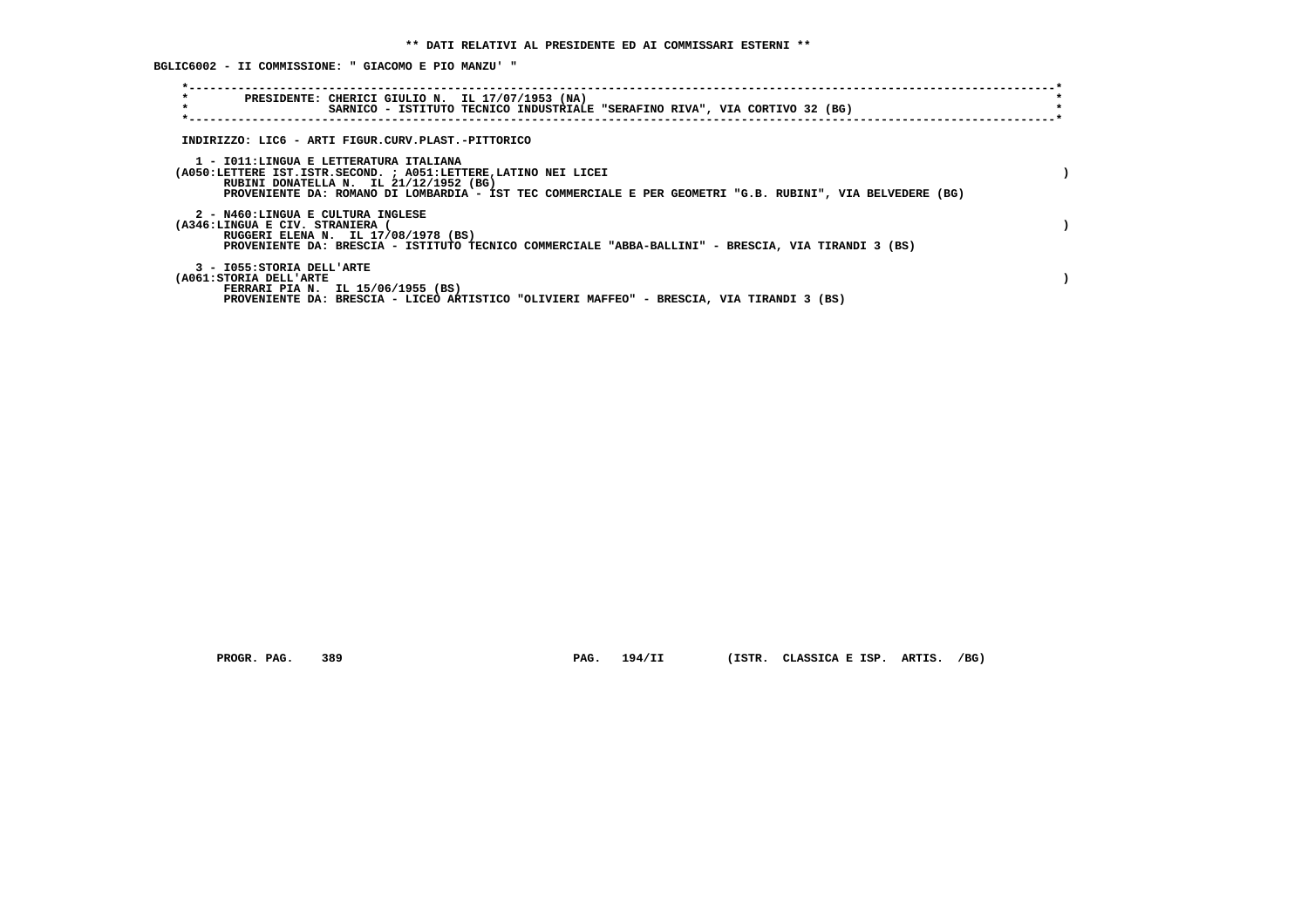**BGLIC6002 - II COMMISSIONE: " GIACOMO E PIO MANZU' "**

| $\star$<br>PRESIDENTE: CHERICI GIULIO N. IL 17/07/1953 (NA)<br>$\star$<br>SARNICO - ISTITUTO TECNICO INDUSTRIALE "SERAFINO RIVA", VIA CORTIVO 32 (BG)                                                                                                             |  |
|-------------------------------------------------------------------------------------------------------------------------------------------------------------------------------------------------------------------------------------------------------------------|--|
| INDIRIZZO: LIC6 - ARTI FIGUR.CURV.PLAST.-PITTORICO                                                                                                                                                                                                                |  |
| 1 - IO11:LINGUA E LETTERATURA ITALIANA<br>(A050:LETTERE IST.ISTR.SECOND. ; A051:LETTERE, LATINO NEI LICEI<br>RUBINI DONATELLA N. IL 21/12/1952 (BG)<br>PROVENIENTE DA: ROMANO DI LOMBARDIA - IST TEC COMMERCIALE E PER GEOMETRI "G.B. RUBINI", VIA BELVEDERE (BG) |  |
| 2 - N460:LINGUA E CULTURA INGLESE<br>(A346:LINGUA E CIV. STRANIERA (<br>RUGGERI ELENA N. IL 17/08/1978 (BS)<br>PROVENIENTE DA: BRESCIA - ISTITUTO TECNICO COMMERCIALE "ABBA-BALLINI" - BRESCIA, VIA TIRANDI 3 (BS)                                                |  |
| 3 - I055: STORIA DELL'ARTE<br>(A061: STORIA DELL'ARTE<br>FERRARI PIA N. IL 15/06/1955 (BS)<br>PROVENIENTE DA: BRESCIA - LICEO ARTISTICO "OLIVIERI MAFFEO" - BRESCIA, VIA TIRANDI 3 (BS)                                                                           |  |

 **PROGR. PAG. 389 PAG. 194/II (ISTR. CLASSICA E ISP. ARTIS. /BG)**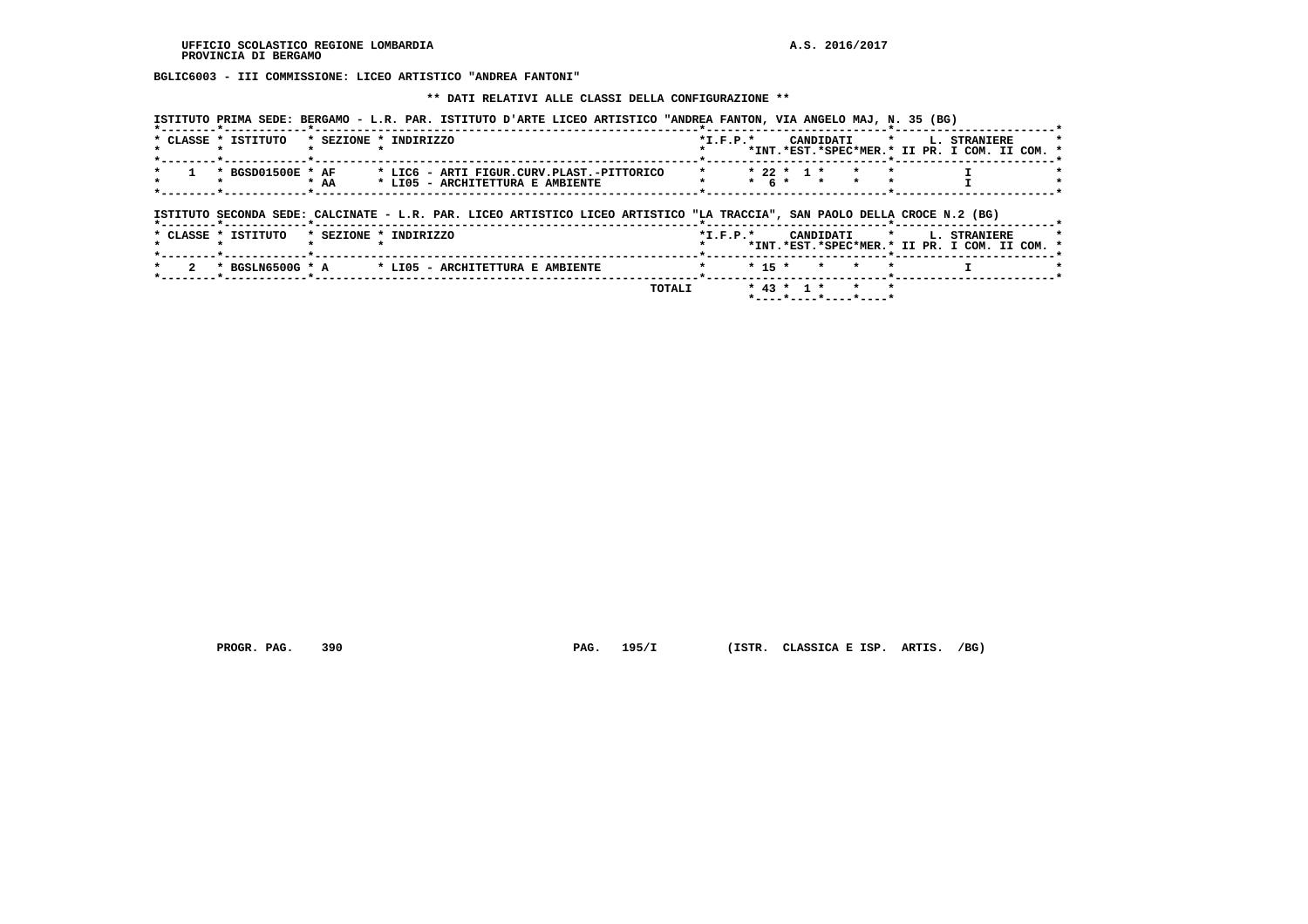**BGLIC6003 - III COMMISSIONE: LICEO ARTISTICO "ANDREA FANTONI"**

### **\*\* DATI RELATIVI ALLE CLASSI DELLA CONFIGURAZIONE \*\***

 **ISTITUTO PRIMA SEDE: BERGAMO - L.R. PAR. ISTITUTO D'ARTE LICEO ARTISTICO "ANDREA FANTON, VIA ANGELO MAJ, N. 35 (BG)**

|  | * CLASSE * ISTITUTO | * SEZIONE * INDIRIZZO |  |                                           |                                                                                                                           | $*L.F.P.*$ |               | CANDIDATI            |  | <b>L. STRANIERE</b>                           |  |
|--|---------------------|-----------------------|--|-------------------------------------------|---------------------------------------------------------------------------------------------------------------------------|------------|---------------|----------------------|--|-----------------------------------------------|--|
|  |                     |                       |  |                                           |                                                                                                                           |            |               |                      |  | *INT.*EST.*SPEC*MER.* II PR. I COM. II COM. * |  |
|  |                     |                       |  |                                           |                                                                                                                           |            |               |                      |  |                                               |  |
|  | * BGSD01500E * AF   |                       |  | * LIC6 - ARTI FIGUR.CURV.PLAST.-PITTORICO |                                                                                                                           |            |               | $* 22 * 1 * * * * *$ |  |                                               |  |
|  |                     | $*$ AA                |  | * LIO5 - ARCHITETTURA E AMBIENTE          |                                                                                                                           |            | $*$ 6 $*$ $*$ |                      |  |                                               |  |
|  |                     |                       |  |                                           |                                                                                                                           |            |               |                      |  |                                               |  |
|  |                     |                       |  |                                           |                                                                                                                           |            |               |                      |  |                                               |  |
|  |                     |                       |  |                                           | ISTITUTO SECONDA SEDE: CALCINATE - L.R. PAR. LICEO ARTISTICO LICEO ARTISTICO "LA TRACCIA", SAN PAOLO DELLA CROCE N.2 (BG) |            |               |                      |  |                                               |  |
|  |                     |                       |  |                                           |                                                                                                                           |            |               |                      |  |                                               |  |
|  |                     |                       |  |                                           |                                                                                                                           |            |               |                      |  |                                               |  |

| <b>CLASSE</b> | * ISTITUTO | * SEZIONE * INDIRIZZO                                 |                | CANDIDATI * L. | <b>STRANTERE</b>                              |  |
|---------------|------------|-------------------------------------------------------|----------------|----------------|-----------------------------------------------|--|
|               |            |                                                       |                |                | *INT.*EST.*SPEC*MER.* II PR. I COM. II COM. * |  |
|               |            |                                                       |                |                |                                               |  |
|               |            | * 2 * BGSLN6500G * A * LI05 - ARCHITETTURA E AMBIENTE | * * 15 * * * * |                |                                               |  |
|               |            |                                                       |                |                |                                               |  |

 **TOTALI \* 43 \* 1 \* \* \* \*----\*----\*----\*----\***

 **PROGR. PAG. 390 PAG. 195/I (ISTR. CLASSICA E ISP. ARTIS. /BG)**